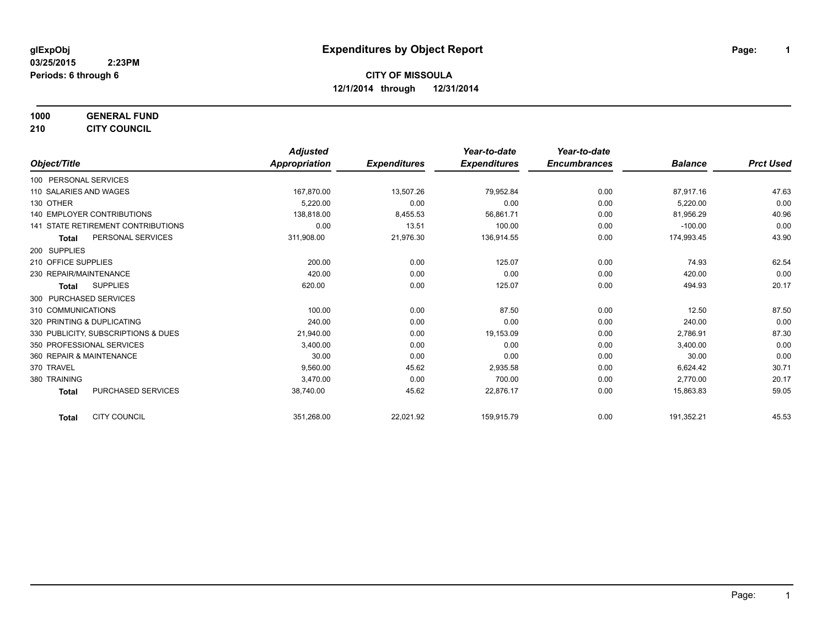**1000 GENERAL FUND 210 CITY COUNCIL**

*Object/Title Adjusted Appropriation Expenditures Year-to-date Expenditures Year-to-date Encumbrances Balance Prct Used* 100 PERSONAL SERVICES 110 SALARIES AND WAGES 167,870.00 13,507.26 79,952.84 0.00 87,917.16 47.63 130 OTHER 5,220.00 0.00 0.00 0.00 5,220.00 0.00 138,818.00 8 8455.53 56,861.71 0.00 81,956.29 81,956.29 40.96 141 STATE RETIREMENT CONTRIBUTIONS 0.00 13.51 100.00 0.00 -100.00 0.00 **Total** PERSONAL SERVICES 311,908.00 21,976.30 136,914.55 0.00 174,993.45 43.90 200 SUPPLIES 210 OFFICE SUPPLIES 200.00 0.00 125.07 0.00 74.93 62.54 230 REPAIR/MAINTENANCE 420.00 0.00 0.00 0.00 420.00 0.00 **Total** SUPPLIES 620.00 0.00 125.07 0.00 494.93 20.17 300 PURCHASED SERVICES 310 COMMUNICATIONS 687.50 12.50 1310 COMMUNICATIONS 687.50 12.50 2.00 2.00 12.50 2.50 2.50 12.50 12.50 2.50 2.50 12.50 12.50 2.50 12.50 12.50 12.50 12.50 12.50 12.50 12.50 12.50 12.50 12.50 12.50 12.50 12.50 12.50 12.50 12 320 PRINTING & DUPLICATING 240.00 0.00 0.00 0.00 240.00 0.00 330 PUBLICITY, SUBSCRIPTIONS & DUES 21,940.00 21,940.00 0.00 19,153.09 0.00 0.00 2,786.91 2,786.91 87.30 350 PROFESSIONAL SERVICES 3,400.00 0.00 0.00 0.00 3,400.00 0.00 360 REPAIR & MAINTENANCE 30.00 0.00 0.00 0.00 30.00 0.00 370 TRAVEL 9,560.00 45.62 2,935.58 0.00 6,624.42 30.71 380 TRAINING 3,470.00 0.00 700.00 0.00 2,770.00 20.17 **Total** PURCHASED SERVICES 38,740.00 45.62 22,876.17 0.00 15,863.83 59.05 **Total** CITY COUNCIL 351,268.00 22,021.92 159,915.79 0.00 191,352.21 45.53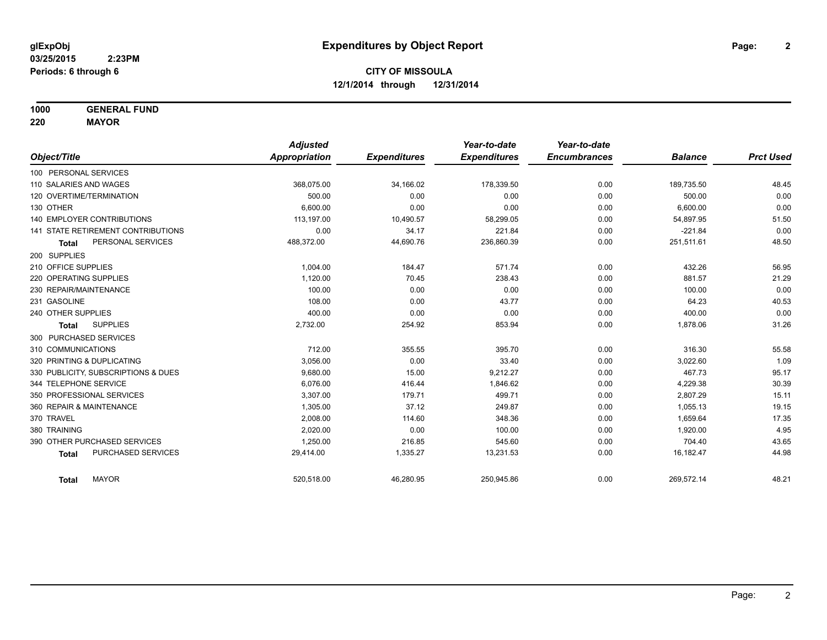**1000 GENERAL FUND**

**220 MAYOR**

|                                     | <b>Adjusted</b> |                     | Year-to-date        | Year-to-date        |                |                  |
|-------------------------------------|-----------------|---------------------|---------------------|---------------------|----------------|------------------|
| Object/Title                        | Appropriation   | <b>Expenditures</b> | <b>Expenditures</b> | <b>Encumbrances</b> | <b>Balance</b> | <b>Prct Used</b> |
| 100 PERSONAL SERVICES               |                 |                     |                     |                     |                |                  |
| 110 SALARIES AND WAGES              | 368,075.00      | 34,166.02           | 178,339.50          | 0.00                | 189,735.50     | 48.45            |
| 120 OVERTIME/TERMINATION            | 500.00          | 0.00                | 0.00                | 0.00                | 500.00         | 0.00             |
| 130 OTHER                           | 6.600.00        | 0.00                | 0.00                | 0.00                | 6,600.00       | 0.00             |
| <b>140 EMPLOYER CONTRIBUTIONS</b>   | 113,197.00      | 10,490.57           | 58,299.05           | 0.00                | 54,897.95      | 51.50            |
| 141 STATE RETIREMENT CONTRIBUTIONS  | 0.00            | 34.17               | 221.84              | 0.00                | $-221.84$      | 0.00             |
| PERSONAL SERVICES<br><b>Total</b>   | 488,372.00      | 44,690.76           | 236,860.39          | 0.00                | 251,511.61     | 48.50            |
| 200 SUPPLIES                        |                 |                     |                     |                     |                |                  |
| 210 OFFICE SUPPLIES                 | 1,004.00        | 184.47              | 571.74              | 0.00                | 432.26         | 56.95            |
| 220 OPERATING SUPPLIES              | 1,120.00        | 70.45               | 238.43              | 0.00                | 881.57         | 21.29            |
| 230 REPAIR/MAINTENANCE              | 100.00          | 0.00                | 0.00                | 0.00                | 100.00         | 0.00             |
| 231 GASOLINE                        | 108.00          | 0.00                | 43.77               | 0.00                | 64.23          | 40.53            |
| 240 OTHER SUPPLIES                  | 400.00          | 0.00                | 0.00                | 0.00                | 400.00         | 0.00             |
| <b>SUPPLIES</b><br><b>Total</b>     | 2,732.00        | 254.92              | 853.94              | 0.00                | 1,878.06       | 31.26            |
| 300 PURCHASED SERVICES              |                 |                     |                     |                     |                |                  |
| 310 COMMUNICATIONS                  | 712.00          | 355.55              | 395.70              | 0.00                | 316.30         | 55.58            |
| 320 PRINTING & DUPLICATING          | 3,056.00        | 0.00                | 33.40               | 0.00                | 3,022.60       | 1.09             |
| 330 PUBLICITY, SUBSCRIPTIONS & DUES | 9,680.00        | 15.00               | 9,212.27            | 0.00                | 467.73         | 95.17            |
| 344 TELEPHONE SERVICE               | 6.076.00        | 416.44              | 1,846.62            | 0.00                | 4,229.38       | 30.39            |
| 350 PROFESSIONAL SERVICES           | 3,307.00        | 179.71              | 499.71              | 0.00                | 2,807.29       | 15.11            |
| 360 REPAIR & MAINTENANCE            | 1,305.00        | 37.12               | 249.87              | 0.00                | 1,055.13       | 19.15            |
| 370 TRAVEL                          | 2,008.00        | 114.60              | 348.36              | 0.00                | 1,659.64       | 17.35            |
| 380 TRAINING                        | 2,020.00        | 0.00                | 100.00              | 0.00                | 1,920.00       | 4.95             |
| 390 OTHER PURCHASED SERVICES        | 1,250.00        | 216.85              | 545.60              | 0.00                | 704.40         | 43.65            |
| PURCHASED SERVICES<br><b>Total</b>  | 29,414.00       | 1,335.27            | 13,231.53           | 0.00                | 16,182.47      | 44.98            |
| <b>MAYOR</b><br><b>Total</b>        | 520,518.00      | 46,280.95           | 250,945.86          | 0.00                | 269,572.14     | 48.21            |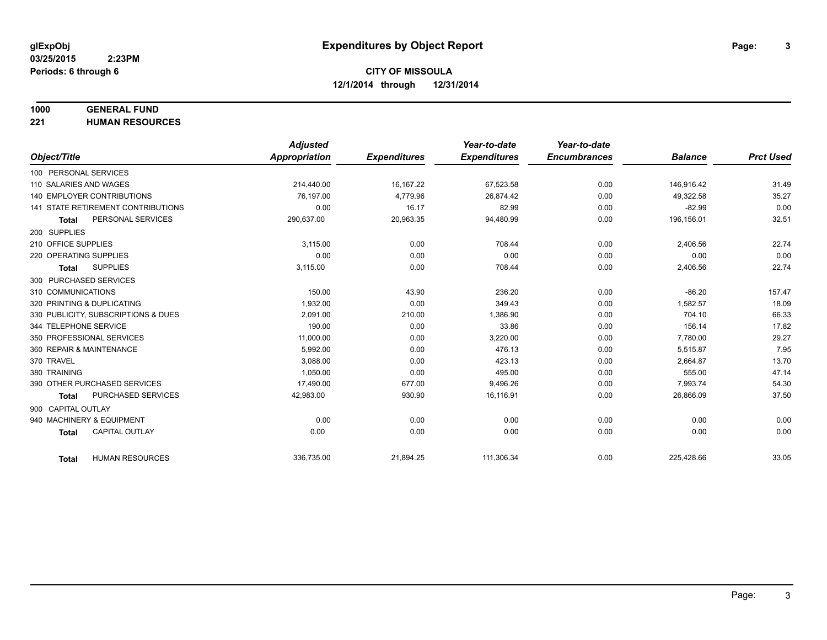# **1000 GENERAL FUND**

**221 HUMAN RESOURCES**

|                                           | <b>Adjusted</b>      |                     | Year-to-date        | Year-to-date        |                |                  |
|-------------------------------------------|----------------------|---------------------|---------------------|---------------------|----------------|------------------|
| Object/Title                              | <b>Appropriation</b> | <b>Expenditures</b> | <b>Expenditures</b> | <b>Encumbrances</b> | <b>Balance</b> | <b>Prct Used</b> |
| 100 PERSONAL SERVICES                     |                      |                     |                     |                     |                |                  |
| 110 SALARIES AND WAGES                    | 214,440.00           | 16, 167.22          | 67,523.58           | 0.00                | 146,916.42     | 31.49            |
| <b>140 EMPLOYER CONTRIBUTIONS</b>         | 76.197.00            | 4,779.96            | 26.874.42           | 0.00                | 49,322.58      | 35.27            |
| <b>141 STATE RETIREMENT CONTRIBUTIONS</b> | 0.00                 | 16.17               | 82.99               | 0.00                | $-82.99$       | 0.00             |
| PERSONAL SERVICES<br><b>Total</b>         | 290,637.00           | 20,963.35           | 94,480.99           | 0.00                | 196,156.01     | 32.51            |
| 200 SUPPLIES                              |                      |                     |                     |                     |                |                  |
| 210 OFFICE SUPPLIES                       | 3.115.00             | 0.00                | 708.44              | 0.00                | 2,406.56       | 22.74            |
| 220 OPERATING SUPPLIES                    | 0.00                 | 0.00                | 0.00                | 0.00                | 0.00           | 0.00             |
| <b>SUPPLIES</b><br><b>Total</b>           | 3,115.00             | 0.00                | 708.44              | 0.00                | 2,406.56       | 22.74            |
| 300 PURCHASED SERVICES                    |                      |                     |                     |                     |                |                  |
| 310 COMMUNICATIONS                        | 150.00               | 43.90               | 236.20              | 0.00                | $-86.20$       | 157.47           |
| 320 PRINTING & DUPLICATING                | 1.932.00             | 0.00                | 349.43              | 0.00                | 1.582.57       | 18.09            |
| 330 PUBLICITY, SUBSCRIPTIONS & DUES       | 2,091.00             | 210.00              | 1,386.90            | 0.00                | 704.10         | 66.33            |
| 344 TELEPHONE SERVICE                     | 190.00               | 0.00                | 33.86               | 0.00                | 156.14         | 17.82            |
| 350 PROFESSIONAL SERVICES                 | 11,000.00            | 0.00                | 3,220.00            | 0.00                | 7,780.00       | 29.27            |
| 360 REPAIR & MAINTENANCE                  | 5,992.00             | 0.00                | 476.13              | 0.00                | 5,515.87       | 7.95             |
| 370 TRAVEL                                | 3.088.00             | 0.00                | 423.13              | 0.00                | 2,664.87       | 13.70            |
| 380 TRAINING                              | 1,050.00             | 0.00                | 495.00              | 0.00                | 555.00         | 47.14            |
| 390 OTHER PURCHASED SERVICES              | 17,490.00            | 677.00              | 9,496.26            | 0.00                | 7,993.74       | 54.30            |
| <b>PURCHASED SERVICES</b><br><b>Total</b> | 42,983.00            | 930.90              | 16,116.91           | 0.00                | 26,866.09      | 37.50            |
| 900 CAPITAL OUTLAY                        |                      |                     |                     |                     |                |                  |
| 940 MACHINERY & EQUIPMENT                 | 0.00                 | 0.00                | 0.00                | 0.00                | 0.00           | 0.00             |
| <b>CAPITAL OUTLAY</b><br><b>Total</b>     | 0.00                 | 0.00                | 0.00                | 0.00                | 0.00           | 0.00             |
|                                           |                      |                     |                     |                     |                |                  |
| <b>HUMAN RESOURCES</b><br><b>Total</b>    | 336,735.00           | 21,894.25           | 111,306.34          | 0.00                | 225,428.66     | 33.05            |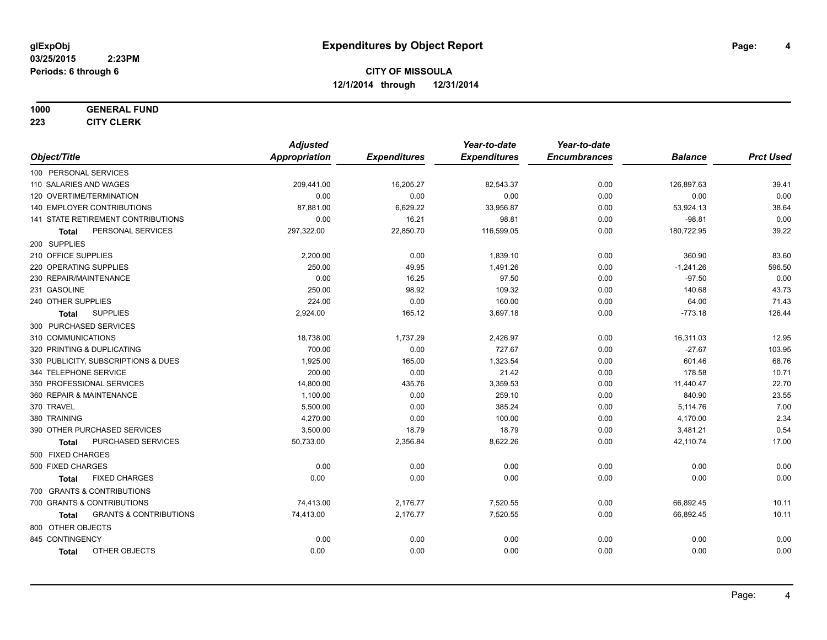### **1000 GENERAL FUND**

**223 CITY CLERK**

|                                                   | <b>Adjusted</b>      |                     | Year-to-date        | Year-to-date        |                |                  |
|---------------------------------------------------|----------------------|---------------------|---------------------|---------------------|----------------|------------------|
| Object/Title                                      | <b>Appropriation</b> | <b>Expenditures</b> | <b>Expenditures</b> | <b>Encumbrances</b> | <b>Balance</b> | <b>Prct Used</b> |
| 100 PERSONAL SERVICES                             |                      |                     |                     |                     |                |                  |
| 110 SALARIES AND WAGES                            | 209,441.00           | 16,205.27           | 82,543.37           | 0.00                | 126,897.63     | 39.41            |
| 120 OVERTIME/TERMINATION                          | 0.00                 | 0.00                | 0.00                | 0.00                | 0.00           | 0.00             |
| 140 EMPLOYER CONTRIBUTIONS                        | 87,881.00            | 6,629.22            | 33,956.87           | 0.00                | 53,924.13      | 38.64            |
| 141 STATE RETIREMENT CONTRIBUTIONS                | 0.00                 | 16.21               | 98.81               | 0.00                | $-98.81$       | 0.00             |
| PERSONAL SERVICES<br><b>Total</b>                 | 297,322.00           | 22,850.70           | 116,599.05          | 0.00                | 180,722.95     | 39.22            |
| 200 SUPPLIES                                      |                      |                     |                     |                     |                |                  |
| 210 OFFICE SUPPLIES                               | 2,200.00             | 0.00                | 1,839.10            | 0.00                | 360.90         | 83.60            |
| 220 OPERATING SUPPLIES                            | 250.00               | 49.95               | 1,491.26            | 0.00                | $-1,241.26$    | 596.50           |
| 230 REPAIR/MAINTENANCE                            | 0.00                 | 16.25               | 97.50               | 0.00                | $-97.50$       | 0.00             |
| 231 GASOLINE                                      | 250.00               | 98.92               | 109.32              | 0.00                | 140.68         | 43.73            |
| 240 OTHER SUPPLIES                                | 224.00               | 0.00                | 160.00              | 0.00                | 64.00          | 71.43            |
| <b>SUPPLIES</b><br>Total                          | 2,924.00             | 165.12              | 3,697.18            | 0.00                | $-773.18$      | 126.44           |
| 300 PURCHASED SERVICES                            |                      |                     |                     |                     |                |                  |
| 310 COMMUNICATIONS                                | 18,738.00            | 1,737.29            | 2,426.97            | 0.00                | 16,311.03      | 12.95            |
| 320 PRINTING & DUPLICATING                        | 700.00               | 0.00                | 727.67              | 0.00                | $-27.67$       | 103.95           |
| 330 PUBLICITY, SUBSCRIPTIONS & DUES               | 1,925.00             | 165.00              | 1,323.54            | 0.00                | 601.46         | 68.76            |
| 344 TELEPHONE SERVICE                             | 200.00               | 0.00                | 21.42               | 0.00                | 178.58         | 10.71            |
| 350 PROFESSIONAL SERVICES                         | 14,800.00            | 435.76              | 3,359.53            | 0.00                | 11,440.47      | 22.70            |
| 360 REPAIR & MAINTENANCE                          | 1,100.00             | 0.00                | 259.10              | 0.00                | 840.90         | 23.55            |
| 370 TRAVEL                                        | 5,500.00             | 0.00                | 385.24              | 0.00                | 5,114.76       | 7.00             |
| 380 TRAINING                                      | 4,270.00             | 0.00                | 100.00              | 0.00                | 4,170.00       | 2.34             |
| 390 OTHER PURCHASED SERVICES                      | 3,500.00             | 18.79               | 18.79               | 0.00                | 3,481.21       | 0.54             |
| PURCHASED SERVICES<br><b>Total</b>                | 50,733.00            | 2,356.84            | 8,622.26            | 0.00                | 42,110.74      | 17.00            |
| 500 FIXED CHARGES                                 |                      |                     |                     |                     |                |                  |
| 500 FIXED CHARGES                                 | 0.00                 | 0.00                | 0.00                | 0.00                | 0.00           | 0.00             |
| <b>FIXED CHARGES</b><br><b>Total</b>              | 0.00                 | 0.00                | 0.00                | 0.00                | 0.00           | 0.00             |
| 700 GRANTS & CONTRIBUTIONS                        |                      |                     |                     |                     |                |                  |
| 700 GRANTS & CONTRIBUTIONS                        | 74,413.00            | 2,176.77            | 7,520.55            | 0.00                | 66,892.45      | 10.11            |
| <b>GRANTS &amp; CONTRIBUTIONS</b><br><b>Total</b> | 74,413.00            | 2,176.77            | 7,520.55            | 0.00                | 66,892.45      | 10.11            |
| 800 OTHER OBJECTS                                 |                      |                     |                     |                     |                |                  |
| 845 CONTINGENCY                                   | 0.00                 | 0.00                | 0.00                | 0.00                | 0.00           | 0.00             |
| OTHER OBJECTS<br><b>Total</b>                     | 0.00                 | 0.00                | 0.00                | 0.00                | 0.00           | 0.00             |
|                                                   |                      |                     |                     |                     |                |                  |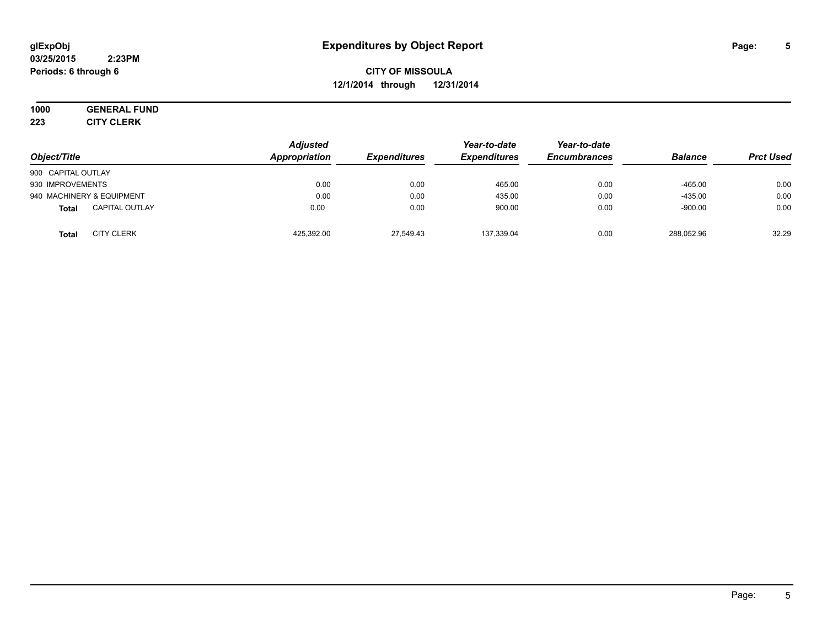#### **03/25/2015 2:23PM Periods: 6 through 6**

**CITY OF MISSOULA 12/1/2014 through 12/31/2014**

**1000 GENERAL FUND 223 CITY CLERK**

|                                       | <b>Adjusted</b> |                     | Year-to-date        | Year-to-date        |                |                  |
|---------------------------------------|-----------------|---------------------|---------------------|---------------------|----------------|------------------|
| Object/Title                          | Appropriation   | <b>Expenditures</b> | <b>Expenditures</b> | <b>Encumbrances</b> | <b>Balance</b> | <b>Prct Used</b> |
| 900 CAPITAL OUTLAY                    |                 |                     |                     |                     |                |                  |
| 930 IMPROVEMENTS                      | 0.00            | 0.00                | 465.00              | 0.00                | $-465.00$      | 0.00             |
| 940 MACHINERY & EQUIPMENT             | 0.00            | 0.00                | 435.00              | 0.00                | $-435.00$      | 0.00             |
| <b>CAPITAL OUTLAY</b><br><b>Total</b> | 0.00            | 0.00                | 900.00              | 0.00                | $-900.00$      | 0.00             |
| <b>CITY CLERK</b><br>Total            | 425,392.00      | 27,549.43           | 137,339.04          | 0.00                | 288,052.96     | 32.29            |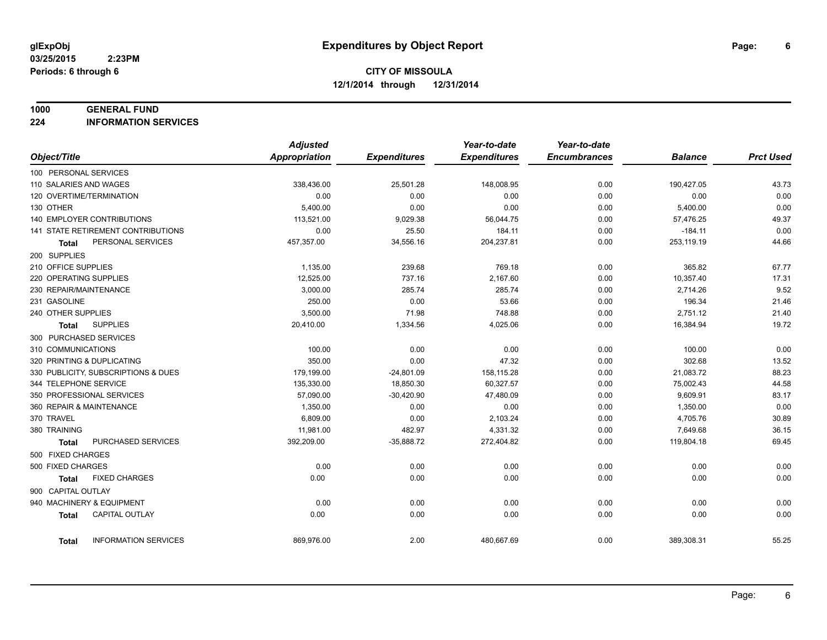#### **1000 GENERAL FUND**

**224 INFORMATION SERVICES**

|                                             | <b>Adjusted</b> |                     | Year-to-date        | Year-to-date        |                |                  |
|---------------------------------------------|-----------------|---------------------|---------------------|---------------------|----------------|------------------|
| Object/Title                                | Appropriation   | <b>Expenditures</b> | <b>Expenditures</b> | <b>Encumbrances</b> | <b>Balance</b> | <b>Prct Used</b> |
| 100 PERSONAL SERVICES                       |                 |                     |                     |                     |                |                  |
| 110 SALARIES AND WAGES                      | 338,436.00      | 25,501.28           | 148,008.95          | 0.00                | 190,427.05     | 43.73            |
| 120 OVERTIME/TERMINATION                    | 0.00            | 0.00                | 0.00                | 0.00                | 0.00           | 0.00             |
| 130 OTHER                                   | 5,400.00        | 0.00                | 0.00                | 0.00                | 5,400.00       | 0.00             |
| 140 EMPLOYER CONTRIBUTIONS                  | 113,521.00      | 9,029.38            | 56,044.75           | 0.00                | 57,476.25      | 49.37            |
| 141 STATE RETIREMENT CONTRIBUTIONS          | 0.00            | 25.50               | 184.11              | 0.00                | $-184.11$      | 0.00             |
| PERSONAL SERVICES<br><b>Total</b>           | 457,357.00      | 34,556.16           | 204,237.81          | 0.00                | 253,119.19     | 44.66            |
| 200 SUPPLIES                                |                 |                     |                     |                     |                |                  |
| 210 OFFICE SUPPLIES                         | 1,135.00        | 239.68              | 769.18              | 0.00                | 365.82         | 67.77            |
| 220 OPERATING SUPPLIES                      | 12,525.00       | 737.16              | 2,167.60            | 0.00                | 10,357.40      | 17.31            |
| 230 REPAIR/MAINTENANCE                      | 3,000.00        | 285.74              | 285.74              | 0.00                | 2,714.26       | 9.52             |
| 231 GASOLINE                                | 250.00          | 0.00                | 53.66               | 0.00                | 196.34         | 21.46            |
| 240 OTHER SUPPLIES                          | 3,500.00        | 71.98               | 748.88              | 0.00                | 2,751.12       | 21.40            |
| <b>SUPPLIES</b><br>Total                    | 20,410.00       | 1,334.56            | 4,025.06            | 0.00                | 16,384.94      | 19.72            |
| 300 PURCHASED SERVICES                      |                 |                     |                     |                     |                |                  |
| 310 COMMUNICATIONS                          | 100.00          | 0.00                | 0.00                | 0.00                | 100.00         | 0.00             |
| 320 PRINTING & DUPLICATING                  | 350.00          | 0.00                | 47.32               | 0.00                | 302.68         | 13.52            |
| 330 PUBLICITY, SUBSCRIPTIONS & DUES         | 179,199.00      | $-24,801.09$        | 158,115.28          | 0.00                | 21,083.72      | 88.23            |
| 344 TELEPHONE SERVICE                       | 135,330.00      | 18,850.30           | 60,327.57           | 0.00                | 75,002.43      | 44.58            |
| 350 PROFESSIONAL SERVICES                   | 57,090.00       | $-30,420.90$        | 47,480.09           | 0.00                | 9,609.91       | 83.17            |
| 360 REPAIR & MAINTENANCE                    | 1,350.00        | 0.00                | 0.00                | 0.00                | 1,350.00       | 0.00             |
| 370 TRAVEL                                  | 6,809.00        | 0.00                | 2,103.24            | 0.00                | 4,705.76       | 30.89            |
| 380 TRAINING                                | 11,981.00       | 482.97              | 4,331.32            | 0.00                | 7,649.68       | 36.15            |
| PURCHASED SERVICES<br><b>Total</b>          | 392,209.00      | $-35,888.72$        | 272,404.82          | 0.00                | 119,804.18     | 69.45            |
| 500 FIXED CHARGES                           |                 |                     |                     |                     |                |                  |
| 500 FIXED CHARGES                           | 0.00            | 0.00                | 0.00                | 0.00                | 0.00           | 0.00             |
| <b>FIXED CHARGES</b><br><b>Total</b>        | 0.00            | 0.00                | 0.00                | 0.00                | 0.00           | 0.00             |
| 900 CAPITAL OUTLAY                          |                 |                     |                     |                     |                |                  |
| 940 MACHINERY & EQUIPMENT                   | 0.00            | 0.00                | 0.00                | 0.00                | 0.00           | 0.00             |
| <b>CAPITAL OUTLAY</b><br><b>Total</b>       | 0.00            | 0.00                | 0.00                | 0.00                | 0.00           | 0.00             |
|                                             |                 |                     |                     |                     |                |                  |
| <b>INFORMATION SERVICES</b><br><b>Total</b> | 869,976.00      | 2.00                | 480,667.69          | 0.00                | 389,308.31     | 55.25            |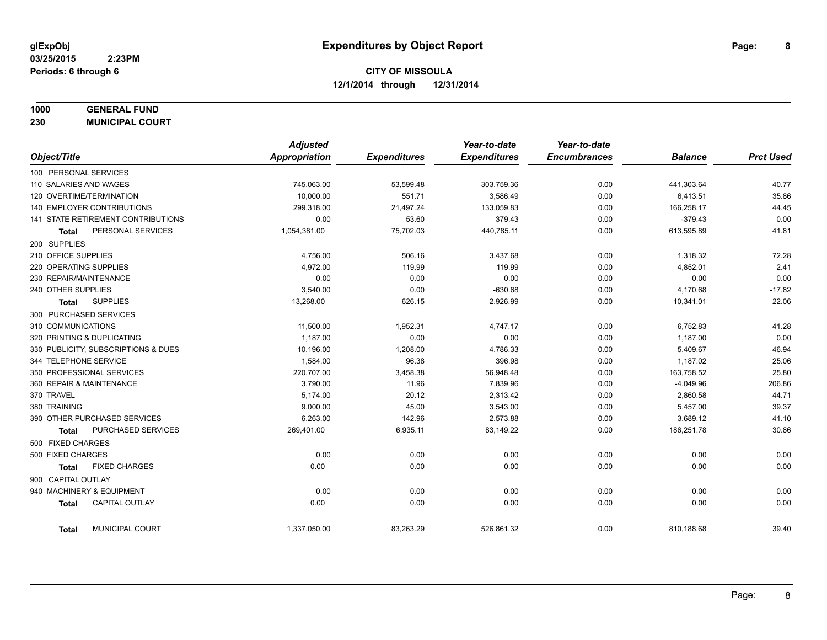# **1000 GENERAL FUND**

**230 MUNICIPAL COURT**

|                                       | <b>Adjusted</b> |                     | Year-to-date        | Year-to-date        |                |                  |
|---------------------------------------|-----------------|---------------------|---------------------|---------------------|----------------|------------------|
| Object/Title                          | Appropriation   | <b>Expenditures</b> | <b>Expenditures</b> | <b>Encumbrances</b> | <b>Balance</b> | <b>Prct Used</b> |
| 100 PERSONAL SERVICES                 |                 |                     |                     |                     |                |                  |
| 110 SALARIES AND WAGES                | 745,063.00      | 53,599.48           | 303,759.36          | 0.00                | 441,303.64     | 40.77            |
| 120 OVERTIME/TERMINATION              | 10.000.00       | 551.71              | 3.586.49            | 0.00                | 6,413.51       | 35.86            |
| 140 EMPLOYER CONTRIBUTIONS            | 299,318.00      | 21,497.24           | 133,059.83          | 0.00                | 166,258.17     | 44.45            |
| 141 STATE RETIREMENT CONTRIBUTIONS    | 0.00            | 53.60               | 379.43              | 0.00                | $-379.43$      | 0.00             |
| PERSONAL SERVICES<br><b>Total</b>     | 1,054,381.00    | 75,702.03           | 440,785.11          | 0.00                | 613,595.89     | 41.81            |
| 200 SUPPLIES                          |                 |                     |                     |                     |                |                  |
| 210 OFFICE SUPPLIES                   | 4,756.00        | 506.16              | 3,437.68            | 0.00                | 1,318.32       | 72.28            |
| 220 OPERATING SUPPLIES                | 4,972.00        | 119.99              | 119.99              | 0.00                | 4,852.01       | 2.41             |
| 230 REPAIR/MAINTENANCE                | 0.00            | 0.00                | 0.00                | 0.00                | 0.00           | 0.00             |
| 240 OTHER SUPPLIES                    | 3,540.00        | 0.00                | $-630.68$           | 0.00                | 4,170.68       | $-17.82$         |
| <b>SUPPLIES</b><br>Total              | 13,268.00       | 626.15              | 2,926.99            | 0.00                | 10,341.01      | 22.06            |
| 300 PURCHASED SERVICES                |                 |                     |                     |                     |                |                  |
| 310 COMMUNICATIONS                    | 11,500.00       | 1,952.31            | 4,747.17            | 0.00                | 6,752.83       | 41.28            |
| 320 PRINTING & DUPLICATING            | 1,187.00        | 0.00                | 0.00                | 0.00                | 1,187.00       | 0.00             |
| 330 PUBLICITY, SUBSCRIPTIONS & DUES   | 10,196.00       | 1,208.00            | 4,786.33            | 0.00                | 5,409.67       | 46.94            |
| 344 TELEPHONE SERVICE                 | 1,584.00        | 96.38               | 396.98              | 0.00                | 1,187.02       | 25.06            |
| 350 PROFESSIONAL SERVICES             | 220,707.00      | 3,458.38            | 56,948.48           | 0.00                | 163,758.52     | 25.80            |
| 360 REPAIR & MAINTENANCE              | 3,790.00        | 11.96               | 7,839.96            | 0.00                | $-4,049.96$    | 206.86           |
| 370 TRAVEL                            | 5,174.00        | 20.12               | 2,313.42            | 0.00                | 2,860.58       | 44.71            |
| 380 TRAINING                          | 9,000.00        | 45.00               | 3,543.00            | 0.00                | 5,457.00       | 39.37            |
| 390 OTHER PURCHASED SERVICES          | 6,263.00        | 142.96              | 2,573.88            | 0.00                | 3,689.12       | 41.10            |
| PURCHASED SERVICES<br><b>Total</b>    | 269,401.00      | 6,935.11            | 83,149.22           | 0.00                | 186,251.78     | 30.86            |
| 500 FIXED CHARGES                     |                 |                     |                     |                     |                |                  |
| 500 FIXED CHARGES                     | 0.00            | 0.00                | 0.00                | 0.00                | 0.00           | 0.00             |
| <b>FIXED CHARGES</b><br><b>Total</b>  | 0.00            | 0.00                | 0.00                | 0.00                | 0.00           | 0.00             |
| 900 CAPITAL OUTLAY                    |                 |                     |                     |                     |                |                  |
| 940 MACHINERY & EQUIPMENT             | 0.00            | 0.00                | 0.00                | 0.00                | 0.00           | 0.00             |
| <b>CAPITAL OUTLAY</b><br><b>Total</b> | 0.00            | 0.00                | 0.00                | 0.00                | 0.00           | 0.00             |
| MUNICIPAL COURT<br><b>Total</b>       | 1,337,050.00    | 83,263.29           | 526,861.32          | 0.00                | 810,188.68     | 39.40            |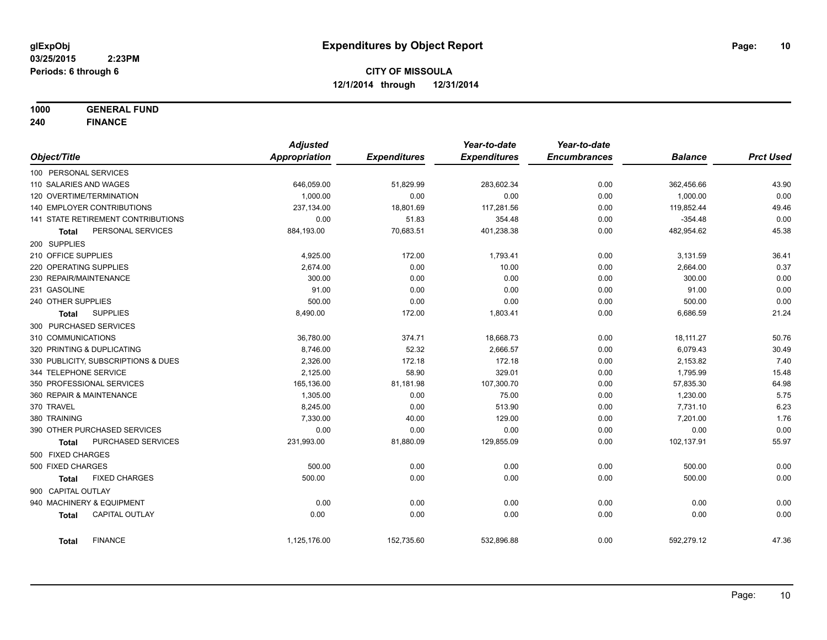**1000 GENERAL FUND**

**240 FINANCE**

|                                       | <b>Adjusted</b> |                     | Year-to-date        | Year-to-date        |                |                  |
|---------------------------------------|-----------------|---------------------|---------------------|---------------------|----------------|------------------|
| Object/Title                          | Appropriation   | <b>Expenditures</b> | <b>Expenditures</b> | <b>Encumbrances</b> | <b>Balance</b> | <b>Prct Used</b> |
| 100 PERSONAL SERVICES                 |                 |                     |                     |                     |                |                  |
| 110 SALARIES AND WAGES                | 646,059.00      | 51,829.99           | 283,602.34          | 0.00                | 362,456.66     | 43.90            |
| 120 OVERTIME/TERMINATION              | 1,000.00        | 0.00                | 0.00                | 0.00                | 1,000.00       | 0.00             |
| <b>140 EMPLOYER CONTRIBUTIONS</b>     | 237,134.00      | 18,801.69           | 117,281.56          | 0.00                | 119,852.44     | 49.46            |
| 141 STATE RETIREMENT CONTRIBUTIONS    | 0.00            | 51.83               | 354.48              | 0.00                | $-354.48$      | 0.00             |
| PERSONAL SERVICES<br>Total            | 884,193.00      | 70,683.51           | 401,238.38          | 0.00                | 482,954.62     | 45.38            |
| 200 SUPPLIES                          |                 |                     |                     |                     |                |                  |
| 210 OFFICE SUPPLIES                   | 4,925.00        | 172.00              | 1,793.41            | 0.00                | 3,131.59       | 36.41            |
| 220 OPERATING SUPPLIES                | 2,674.00        | 0.00                | 10.00               | 0.00                | 2,664.00       | 0.37             |
| 230 REPAIR/MAINTENANCE                | 300.00          | 0.00                | 0.00                | 0.00                | 300.00         | 0.00             |
| 231 GASOLINE                          | 91.00           | 0.00                | 0.00                | 0.00                | 91.00          | 0.00             |
| 240 OTHER SUPPLIES                    | 500.00          | 0.00                | 0.00                | 0.00                | 500.00         | 0.00             |
| <b>SUPPLIES</b><br>Total              | 8,490.00        | 172.00              | 1,803.41            | 0.00                | 6,686.59       | 21.24            |
| 300 PURCHASED SERVICES                |                 |                     |                     |                     |                |                  |
| 310 COMMUNICATIONS                    | 36,780.00       | 374.71              | 18,668.73           | 0.00                | 18,111.27      | 50.76            |
| 320 PRINTING & DUPLICATING            | 8,746.00        | 52.32               | 2,666.57            | 0.00                | 6,079.43       | 30.49            |
| 330 PUBLICITY, SUBSCRIPTIONS & DUES   | 2,326.00        | 172.18              | 172.18              | 0.00                | 2,153.82       | 7.40             |
| 344 TELEPHONE SERVICE                 | 2,125.00        | 58.90               | 329.01              | 0.00                | 1,795.99       | 15.48            |
| 350 PROFESSIONAL SERVICES             | 165,136.00      | 81,181.98           | 107,300.70          | 0.00                | 57,835.30      | 64.98            |
| 360 REPAIR & MAINTENANCE              | 1,305.00        | 0.00                | 75.00               | 0.00                | 1,230.00       | 5.75             |
| 370 TRAVEL                            | 8,245.00        | 0.00                | 513.90              | 0.00                | 7,731.10       | 6.23             |
| 380 TRAINING                          | 7,330.00        | 40.00               | 129.00              | 0.00                | 7,201.00       | 1.76             |
| 390 OTHER PURCHASED SERVICES          | 0.00            | 0.00                | 0.00                | 0.00                | 0.00           | 0.00             |
| PURCHASED SERVICES<br><b>Total</b>    | 231,993.00      | 81,880.09           | 129,855.09          | 0.00                | 102,137.91     | 55.97            |
| 500 FIXED CHARGES                     |                 |                     |                     |                     |                |                  |
| 500 FIXED CHARGES                     | 500.00          | 0.00                | 0.00                | 0.00                | 500.00         | 0.00             |
| <b>FIXED CHARGES</b><br><b>Total</b>  | 500.00          | 0.00                | 0.00                | 0.00                | 500.00         | 0.00             |
| 900 CAPITAL OUTLAY                    |                 |                     |                     |                     |                |                  |
| 940 MACHINERY & EQUIPMENT             | 0.00            | 0.00                | 0.00                | 0.00                | 0.00           | 0.00             |
| <b>CAPITAL OUTLAY</b><br><b>Total</b> | 0.00            | 0.00                | 0.00                | 0.00                | 0.00           | 0.00             |
| <b>FINANCE</b><br><b>Total</b>        | 1,125,176.00    | 152,735.60          | 532,896.88          | 0.00                | 592,279.12     | 47.36            |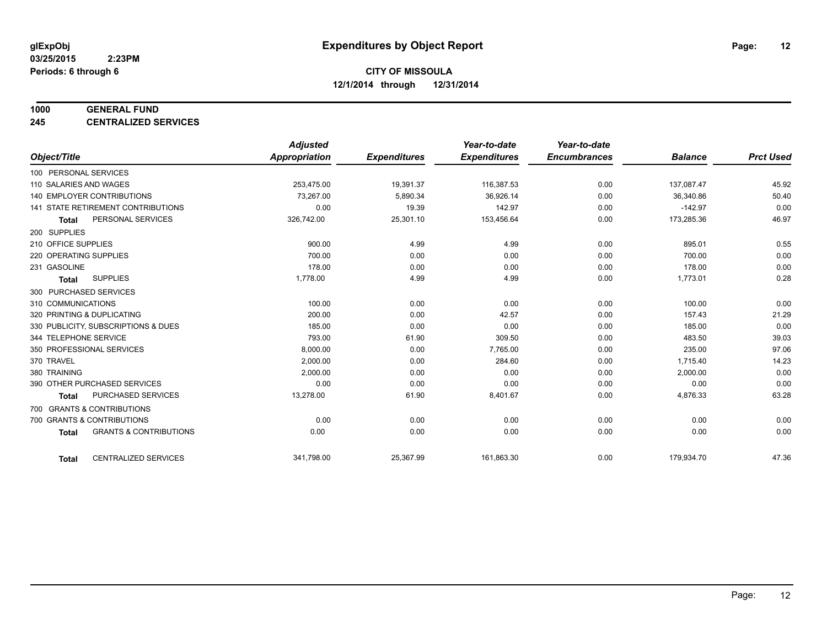#### **1000 GENERAL FUND**

**245 CENTRALIZED SERVICES**

|                                                   | <b>Adjusted</b> |                     | Year-to-date        | Year-to-date        |                |                  |
|---------------------------------------------------|-----------------|---------------------|---------------------|---------------------|----------------|------------------|
| Object/Title                                      | Appropriation   | <b>Expenditures</b> | <b>Expenditures</b> | <b>Encumbrances</b> | <b>Balance</b> | <b>Prct Used</b> |
| 100 PERSONAL SERVICES                             |                 |                     |                     |                     |                |                  |
| 110 SALARIES AND WAGES                            | 253,475.00      | 19,391.37           | 116,387.53          | 0.00                | 137,087.47     | 45.92            |
| <b>140 EMPLOYER CONTRIBUTIONS</b>                 | 73.267.00       | 5,890.34            | 36,926.14           | 0.00                | 36,340.86      | 50.40            |
| 141 STATE RETIREMENT CONTRIBUTIONS                | 0.00            | 19.39               | 142.97              | 0.00                | $-142.97$      | 0.00             |
| PERSONAL SERVICES<br>Total                        | 326,742.00      | 25,301.10           | 153,456.64          | 0.00                | 173,285.36     | 46.97            |
| 200 SUPPLIES                                      |                 |                     |                     |                     |                |                  |
| 210 OFFICE SUPPLIES                               | 900.00          | 4.99                | 4.99                | 0.00                | 895.01         | 0.55             |
| 220 OPERATING SUPPLIES                            | 700.00          | 0.00                | 0.00                | 0.00                | 700.00         | 0.00             |
| 231 GASOLINE                                      | 178.00          | 0.00                | 0.00                | 0.00                | 178.00         | 0.00             |
| <b>SUPPLIES</b><br><b>Total</b>                   | 1,778.00        | 4.99                | 4.99                | 0.00                | 1,773.01       | 0.28             |
| 300 PURCHASED SERVICES                            |                 |                     |                     |                     |                |                  |
| 310 COMMUNICATIONS                                | 100.00          | 0.00                | 0.00                | 0.00                | 100.00         | 0.00             |
| 320 PRINTING & DUPLICATING                        | 200.00          | 0.00<br>0.00        | 42.57<br>0.00       | 0.00<br>0.00        | 157.43         | 21.29            |
| 330 PUBLICITY, SUBSCRIPTIONS & DUES               | 185.00          |                     |                     |                     | 185.00         | 0.00             |
| 344 TELEPHONE SERVICE                             | 793.00          | 61.90               | 309.50              | 0.00                | 483.50         | 39.03            |
| 350 PROFESSIONAL SERVICES                         | 8,000.00        | 0.00                | 7,765.00            | 0.00                | 235.00         | 97.06            |
| 370 TRAVEL                                        | 2,000.00        | 0.00                | 284.60              | 0.00                | 1,715.40       | 14.23            |
| 380 TRAINING                                      | 2,000.00        | 0.00                | 0.00                | 0.00                | 2,000.00       | 0.00             |
| 390 OTHER PURCHASED SERVICES                      | 0.00            | 0.00                | 0.00                | 0.00                | 0.00           | 0.00             |
| PURCHASED SERVICES<br>Total                       | 13,278.00       | 61.90               | 8,401.67            | 0.00                | 4,876.33       | 63.28            |
| 700 GRANTS & CONTRIBUTIONS                        |                 |                     |                     |                     |                |                  |
| 700 GRANTS & CONTRIBUTIONS                        | 0.00            | 0.00                | 0.00                | 0.00                | 0.00           | 0.00             |
| <b>GRANTS &amp; CONTRIBUTIONS</b><br><b>Total</b> | 0.00            | 0.00                | 0.00                | 0.00                | 0.00           | 0.00             |
|                                                   |                 |                     |                     |                     |                |                  |
| <b>CENTRALIZED SERVICES</b><br><b>Total</b>       | 341,798.00      | 25,367.99           | 161,863.30          | 0.00                | 179,934.70     | 47.36            |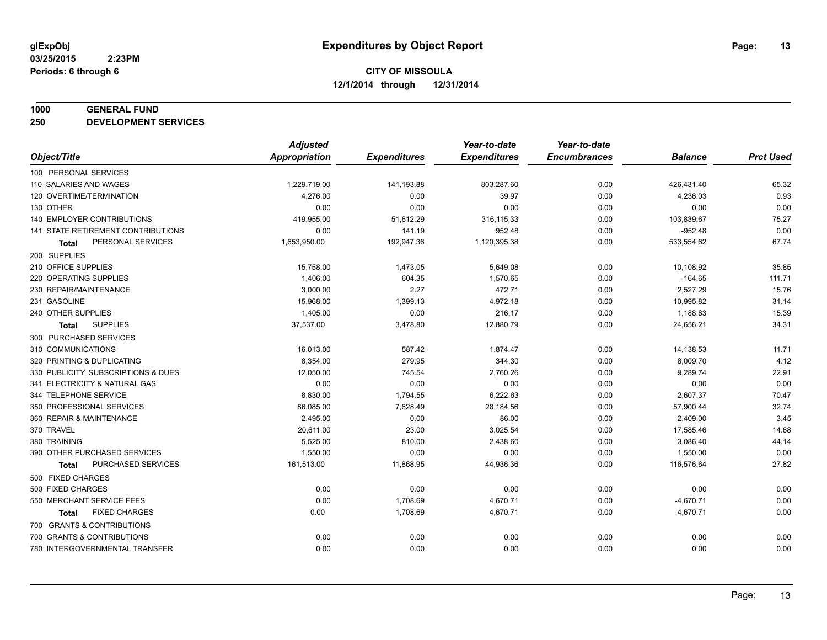#### **1000 GENERAL FUND**

**250 DEVELOPMENT SERVICES**

|                                      | <b>Adjusted</b>      |                     | Year-to-date        | Year-to-date        |                |                  |
|--------------------------------------|----------------------|---------------------|---------------------|---------------------|----------------|------------------|
| Object/Title                         | <b>Appropriation</b> | <b>Expenditures</b> | <b>Expenditures</b> | <b>Encumbrances</b> | <b>Balance</b> | <b>Prct Used</b> |
| 100 PERSONAL SERVICES                |                      |                     |                     |                     |                |                  |
| 110 SALARIES AND WAGES               | 1,229,719.00         | 141,193.88          | 803,287.60          | 0.00                | 426,431.40     | 65.32            |
| 120 OVERTIME/TERMINATION             | 4,276.00             | 0.00                | 39.97               | 0.00                | 4,236.03       | 0.93             |
| 130 OTHER                            | 0.00                 | 0.00                | 0.00                | 0.00                | 0.00           | 0.00             |
| 140 EMPLOYER CONTRIBUTIONS           | 419,955.00           | 51,612.29           | 316, 115.33         | 0.00                | 103,839.67     | 75.27            |
| 141 STATE RETIREMENT CONTRIBUTIONS   | 0.00                 | 141.19              | 952.48              | 0.00                | $-952.48$      | 0.00             |
| PERSONAL SERVICES<br><b>Total</b>    | 1,653,950.00         | 192,947.36          | 1,120,395.38        | 0.00                | 533,554.62     | 67.74            |
| 200 SUPPLIES                         |                      |                     |                     |                     |                |                  |
| 210 OFFICE SUPPLIES                  | 15,758.00            | 1,473.05            | 5,649.08            | 0.00                | 10,108.92      | 35.85            |
| 220 OPERATING SUPPLIES               | 1,406.00             | 604.35              | 1,570.65            | 0.00                | $-164.65$      | 111.71           |
| 230 REPAIR/MAINTENANCE               | 3,000.00             | 2.27                | 472.71              | 0.00                | 2,527.29       | 15.76            |
| 231 GASOLINE                         | 15.968.00            | 1,399.13            | 4,972.18            | 0.00                | 10,995.82      | 31.14            |
| 240 OTHER SUPPLIES                   | 1,405.00             | 0.00                | 216.17              | 0.00                | 1,188.83       | 15.39            |
| <b>SUPPLIES</b><br><b>Total</b>      | 37,537.00            | 3,478.80            | 12,880.79           | 0.00                | 24,656.21      | 34.31            |
| 300 PURCHASED SERVICES               |                      |                     |                     |                     |                |                  |
| 310 COMMUNICATIONS                   | 16,013.00            | 587.42              | 1,874.47            | 0.00                | 14,138.53      | 11.71            |
| 320 PRINTING & DUPLICATING           | 8,354.00             | 279.95              | 344.30              | 0.00                | 8,009.70       | 4.12             |
| 330 PUBLICITY, SUBSCRIPTIONS & DUES  | 12,050.00            | 745.54              | 2,760.26            | 0.00                | 9,289.74       | 22.91            |
| 341 ELECTRICITY & NATURAL GAS        | 0.00                 | 0.00                | 0.00                | 0.00                | 0.00           | 0.00             |
| 344 TELEPHONE SERVICE                | 8,830.00             | 1,794.55            | 6,222.63            | 0.00                | 2,607.37       | 70.47            |
| 350 PROFESSIONAL SERVICES            | 86,085.00            | 7,628.49            | 28,184.56           | 0.00                | 57,900.44      | 32.74            |
| 360 REPAIR & MAINTENANCE             | 2,495.00             | 0.00                | 86.00               | 0.00                | 2,409.00       | 3.45             |
| 370 TRAVEL                           | 20,611.00            | 23.00               | 3,025.54            | 0.00                | 17,585.46      | 14.68            |
| 380 TRAINING                         | 5,525.00             | 810.00              | 2,438.60            | 0.00                | 3,086.40       | 44.14            |
| 390 OTHER PURCHASED SERVICES         | 1,550.00             | 0.00                | 0.00                | 0.00                | 1,550.00       | 0.00             |
| PURCHASED SERVICES<br><b>Total</b>   | 161,513.00           | 11,868.95           | 44,936.36           | 0.00                | 116,576.64     | 27.82            |
| 500 FIXED CHARGES                    |                      |                     |                     |                     |                |                  |
| 500 FIXED CHARGES                    | 0.00                 | 0.00                | 0.00                | 0.00                | 0.00           | 0.00             |
| 550 MERCHANT SERVICE FEES            | 0.00                 | 1,708.69            | 4,670.71            | 0.00                | $-4,670.71$    | 0.00             |
| <b>FIXED CHARGES</b><br><b>Total</b> | 0.00                 | 1,708.69            | 4,670.71            | 0.00                | $-4,670.71$    | 0.00             |
| 700 GRANTS & CONTRIBUTIONS           |                      |                     |                     |                     |                |                  |
| 700 GRANTS & CONTRIBUTIONS           | 0.00                 | 0.00                | 0.00                | 0.00                | 0.00           | 0.00             |
| 780 INTERGOVERNMENTAL TRANSFER       | 0.00                 | 0.00                | 0.00                | 0.00                | 0.00           | 0.00             |
|                                      |                      |                     |                     |                     |                |                  |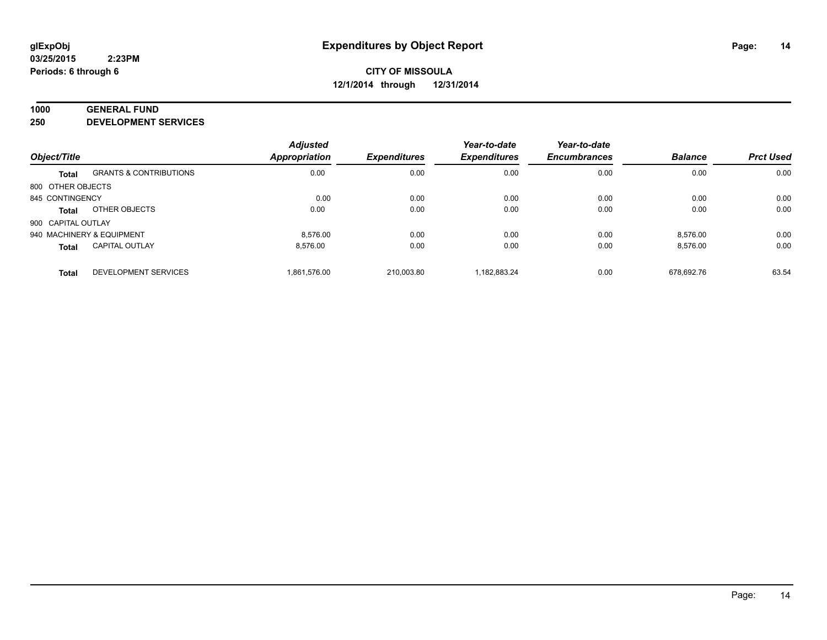#### **1000 GENERAL FUND**

**250 DEVELOPMENT SERVICES**

|                    |                                   | <b>Adjusted</b>      |                     | Year-to-date        | Year-to-date        |                |                  |
|--------------------|-----------------------------------|----------------------|---------------------|---------------------|---------------------|----------------|------------------|
| Object/Title       |                                   | <b>Appropriation</b> | <b>Expenditures</b> | <b>Expenditures</b> | <b>Encumbrances</b> | <b>Balance</b> | <b>Prct Used</b> |
| <b>Total</b>       | <b>GRANTS &amp; CONTRIBUTIONS</b> | 0.00                 | 0.00                | 0.00                | 0.00                | 0.00           | 0.00             |
| 800 OTHER OBJECTS  |                                   |                      |                     |                     |                     |                |                  |
| 845 CONTINGENCY    |                                   | 0.00                 | 0.00                | 0.00                | 0.00                | 0.00           | 0.00             |
| <b>Total</b>       | OTHER OBJECTS                     | 0.00                 | 0.00                | 0.00                | 0.00                | 0.00           | 0.00             |
| 900 CAPITAL OUTLAY |                                   |                      |                     |                     |                     |                |                  |
|                    | 940 MACHINERY & EQUIPMENT         | 8.576.00             | 0.00                | 0.00                | 0.00                | 8.576.00       | 0.00             |
| <b>Total</b>       | <b>CAPITAL OUTLAY</b>             | 8.576.00             | 0.00                | 0.00                | 0.00                | 8,576.00       | 0.00             |
| <b>Total</b>       | <b>DEVELOPMENT SERVICES</b>       | 1.861.576.00         | 210.003.80          | 1.182.883.24        | 0.00                | 678.692.76     | 63.54            |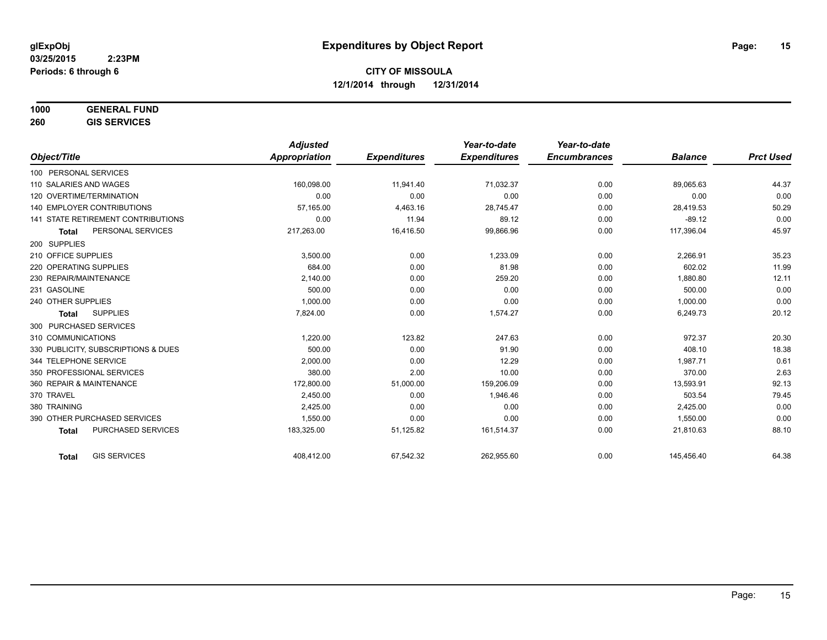# **1000 GENERAL FUND**

**260 GIS SERVICES**

|                                     | <b>Adjusted</b>      |                     | Year-to-date        | Year-to-date        |                |                  |
|-------------------------------------|----------------------|---------------------|---------------------|---------------------|----------------|------------------|
| Object/Title                        | <b>Appropriation</b> | <b>Expenditures</b> | <b>Expenditures</b> | <b>Encumbrances</b> | <b>Balance</b> | <b>Prct Used</b> |
| 100 PERSONAL SERVICES               |                      |                     |                     |                     |                |                  |
| 110 SALARIES AND WAGES              | 160,098.00           | 11,941.40           | 71,032.37           | 0.00                | 89,065.63      | 44.37            |
| 120 OVERTIME/TERMINATION            | 0.00                 | 0.00                | 0.00                | 0.00                | 0.00           | 0.00             |
| <b>140 EMPLOYER CONTRIBUTIONS</b>   | 57,165.00            | 4,463.16            | 28,745.47           | 0.00                | 28,419.53      | 50.29            |
| 141 STATE RETIREMENT CONTRIBUTIONS  | 0.00                 | 11.94               | 89.12               | 0.00                | $-89.12$       | 0.00             |
| PERSONAL SERVICES<br><b>Total</b>   | 217,263.00           | 16,416.50           | 99,866.96           | 0.00                | 117,396.04     | 45.97            |
| 200 SUPPLIES                        |                      |                     |                     |                     |                |                  |
| 210 OFFICE SUPPLIES                 | 3,500.00             | 0.00                | 1,233.09            | 0.00                | 2,266.91       | 35.23            |
| 220 OPERATING SUPPLIES              | 684.00               | 0.00                | 81.98               | 0.00                | 602.02         | 11.99            |
| 230 REPAIR/MAINTENANCE              | 2.140.00             | 0.00                | 259.20              | 0.00                | 1,880.80       | 12.11            |
| 231 GASOLINE                        | 500.00               | 0.00                | 0.00                | 0.00                | 500.00         | 0.00             |
| 240 OTHER SUPPLIES                  | 1,000.00             | 0.00                | 0.00                | 0.00                | 1,000.00       | 0.00             |
| <b>SUPPLIES</b><br><b>Total</b>     | 7,824.00             | 0.00                | 1,574.27            | 0.00                | 6,249.73       | 20.12            |
| 300 PURCHASED SERVICES              |                      |                     |                     |                     |                |                  |
| 310 COMMUNICATIONS                  | 1,220.00             | 123.82              | 247.63              | 0.00                | 972.37         | 20.30            |
| 330 PUBLICITY, SUBSCRIPTIONS & DUES | 500.00               | 0.00                | 91.90               | 0.00                | 408.10         | 18.38            |
| 344 TELEPHONE SERVICE               | 2,000.00             | 0.00                | 12.29               | 0.00                | 1,987.71       | 0.61             |
| 350 PROFESSIONAL SERVICES           | 380.00               | 2.00                | 10.00               | 0.00                | 370.00         | 2.63             |
| 360 REPAIR & MAINTENANCE            | 172,800.00           | 51,000.00           | 159,206.09          | 0.00                | 13,593.91      | 92.13            |
| 370 TRAVEL                          | 2,450.00             | 0.00                | 1,946.46            | 0.00                | 503.54         | 79.45            |
| 380 TRAINING                        | 2,425.00             | 0.00                | 0.00                | 0.00                | 2,425.00       | 0.00             |
| 390 OTHER PURCHASED SERVICES        | 1,550.00             | 0.00                | 0.00                | 0.00                | 1,550.00       | 0.00             |
| PURCHASED SERVICES<br><b>Total</b>  | 183,325.00           | 51,125.82           | 161,514.37          | 0.00                | 21,810.63      | 88.10            |
| <b>GIS SERVICES</b><br><b>Total</b> | 408,412.00           | 67,542.32           | 262,955.60          | 0.00                | 145,456.40     | 64.38            |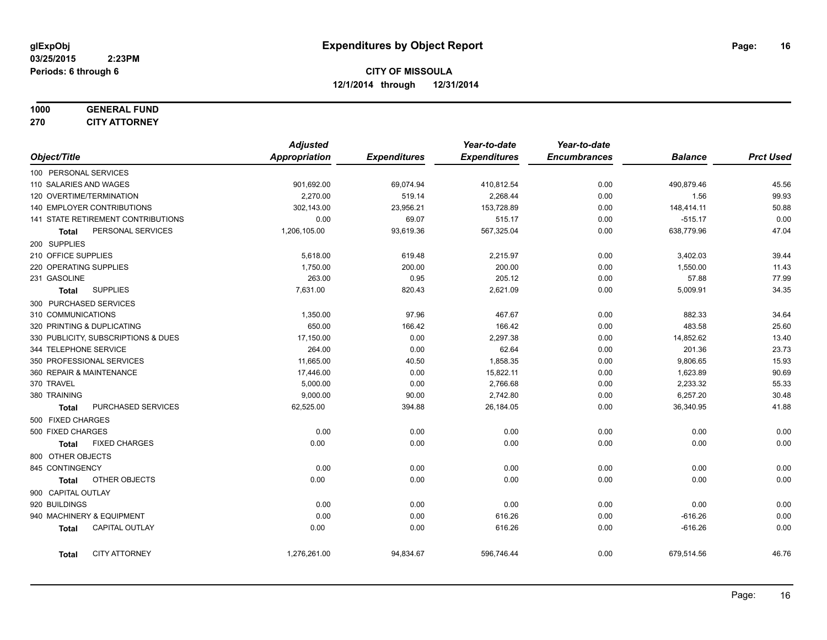### **1000 GENERAL FUND 270 CITY ATTORNEY**

|                                     |                                    | <b>Adjusted</b> |                     | Year-to-date        | Year-to-date        |                |                  |
|-------------------------------------|------------------------------------|-----------------|---------------------|---------------------|---------------------|----------------|------------------|
| Object/Title                        |                                    | Appropriation   | <b>Expenditures</b> | <b>Expenditures</b> | <b>Encumbrances</b> | <b>Balance</b> | <b>Prct Used</b> |
|                                     | 100 PERSONAL SERVICES              |                 |                     |                     |                     |                |                  |
|                                     | 110 SALARIES AND WAGES             | 901,692.00      | 69,074.94           | 410,812.54          | 0.00                | 490,879.46     | 45.56            |
|                                     | 120 OVERTIME/TERMINATION           | 2,270.00        | 519.14              | 2,268.44            | 0.00                | 1.56           | 99.93            |
| <b>140 EMPLOYER CONTRIBUTIONS</b>   |                                    | 302,143.00      | 23,956.21           | 153,728.89          | 0.00                | 148,414.11     | 50.88            |
|                                     | 141 STATE RETIREMENT CONTRIBUTIONS | 0.00            | 69.07               | 515.17              | 0.00                | $-515.17$      | 0.00             |
| <b>Total</b>                        | PERSONAL SERVICES                  | 1,206,105.00    | 93,619.36           | 567,325.04          | 0.00                | 638,779.96     | 47.04            |
| 200 SUPPLIES                        |                                    |                 |                     |                     |                     |                |                  |
| 210 OFFICE SUPPLIES                 |                                    | 5,618.00        | 619.48              | 2,215.97            | 0.00                | 3,402.03       | 39.44            |
|                                     | 220 OPERATING SUPPLIES             | 1,750.00        | 200.00              | 200.00              | 0.00                | 1,550.00       | 11.43            |
| 231 GASOLINE                        |                                    | 263.00          | 0.95                | 205.12              | 0.00                | 57.88          | 77.99            |
| Total                               | <b>SUPPLIES</b>                    | 7,631.00        | 820.43              | 2,621.09            | 0.00                | 5,009.91       | 34.35            |
|                                     | 300 PURCHASED SERVICES             |                 |                     |                     |                     |                |                  |
| 310 COMMUNICATIONS                  |                                    | 1,350.00        | 97.96               | 467.67              | 0.00                | 882.33         | 34.64            |
| 320 PRINTING & DUPLICATING          |                                    | 650.00          | 166.42              | 166.42              | 0.00                | 483.58         | 25.60            |
| 330 PUBLICITY, SUBSCRIPTIONS & DUES |                                    | 17,150.00       | 0.00                | 2,297.38            | 0.00                | 14,852.62      | 13.40            |
| 344 TELEPHONE SERVICE               |                                    | 264.00          | 0.00                | 62.64               | 0.00                | 201.36         | 23.73            |
|                                     | 350 PROFESSIONAL SERVICES          | 11,665.00       | 40.50               | 1,858.35            | 0.00                | 9,806.65       | 15.93            |
|                                     | 360 REPAIR & MAINTENANCE           | 17,446.00       | 0.00                | 15,822.11           | 0.00                | 1,623.89       | 90.69            |
| 370 TRAVEL                          |                                    | 5,000.00        | 0.00                | 2,766.68            | 0.00                | 2,233.32       | 55.33            |
| 380 TRAINING                        |                                    | 9,000.00        | 90.00               | 2,742.80            | 0.00                | 6,257.20       | 30.48            |
| <b>Total</b>                        | PURCHASED SERVICES                 | 62,525.00       | 394.88              | 26,184.05           | 0.00                | 36,340.95      | 41.88            |
| 500 FIXED CHARGES                   |                                    |                 |                     |                     |                     |                |                  |
| 500 FIXED CHARGES                   |                                    | 0.00            | 0.00                | 0.00                | 0.00                | 0.00           | 0.00             |
| Total                               | <b>FIXED CHARGES</b>               | 0.00            | 0.00                | 0.00                | 0.00                | 0.00           | 0.00             |
| 800 OTHER OBJECTS                   |                                    |                 |                     |                     |                     |                |                  |
| 845 CONTINGENCY                     |                                    | 0.00            | 0.00                | 0.00                | 0.00                | 0.00           | 0.00             |
| <b>Total</b>                        | OTHER OBJECTS                      | 0.00            | 0.00                | 0.00                | 0.00                | 0.00           | 0.00             |
| 900 CAPITAL OUTLAY                  |                                    |                 |                     |                     |                     |                |                  |
| 920 BUILDINGS                       |                                    | 0.00            | 0.00                | 0.00                | 0.00                | 0.00           | 0.00             |
|                                     | 940 MACHINERY & EQUIPMENT          | 0.00            | 0.00                | 616.26              | 0.00                | $-616.26$      | 0.00             |
| <b>Total</b>                        | CAPITAL OUTLAY                     | 0.00            | 0.00                | 616.26              | 0.00                | $-616.26$      | 0.00             |
|                                     |                                    |                 |                     |                     |                     |                |                  |
| Total                               | <b>CITY ATTORNEY</b>               | 1,276,261.00    | 94,834.67           | 596,746.44          | 0.00                | 679,514.56     | 46.76            |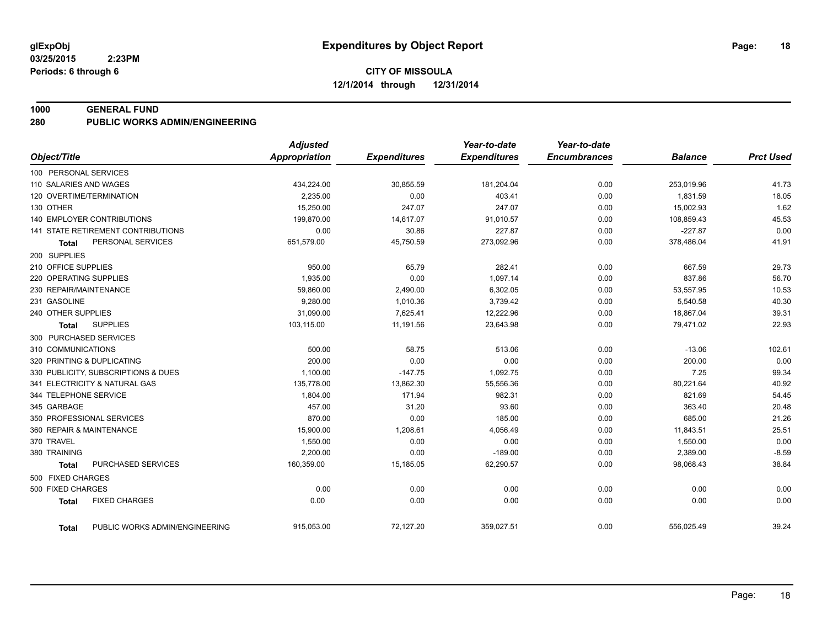#### **1000 GENERAL FUND**

**280 PUBLIC WORKS ADMIN/ENGINEERING**

|                                                | <b>Adjusted</b>      |                     | Year-to-date        | Year-to-date        |                |                  |
|------------------------------------------------|----------------------|---------------------|---------------------|---------------------|----------------|------------------|
| Object/Title                                   | <b>Appropriation</b> | <b>Expenditures</b> | <b>Expenditures</b> | <b>Encumbrances</b> | <b>Balance</b> | <b>Prct Used</b> |
| 100 PERSONAL SERVICES                          |                      |                     |                     |                     |                |                  |
| 110 SALARIES AND WAGES                         | 434,224.00           | 30,855.59           | 181,204.04          | 0.00                | 253,019.96     | 41.73            |
| 120 OVERTIME/TERMINATION                       | 2,235.00             | 0.00                | 403.41              | 0.00                | 1,831.59       | 18.05            |
| 130 OTHER                                      | 15,250.00            | 247.07              | 247.07              | 0.00                | 15,002.93      | 1.62             |
| <b>140 EMPLOYER CONTRIBUTIONS</b>              | 199,870.00           | 14,617.07           | 91,010.57           | 0.00                | 108,859.43     | 45.53            |
| 141 STATE RETIREMENT CONTRIBUTIONS             | 0.00                 | 30.86               | 227.87              | 0.00                | $-227.87$      | 0.00             |
| PERSONAL SERVICES<br><b>Total</b>              | 651,579.00           | 45,750.59           | 273,092.96          | 0.00                | 378,486.04     | 41.91            |
| 200 SUPPLIES                                   |                      |                     |                     |                     |                |                  |
| 210 OFFICE SUPPLIES                            | 950.00               | 65.79               | 282.41              | 0.00                | 667.59         | 29.73            |
| 220 OPERATING SUPPLIES                         | 1,935.00             | 0.00                | 1,097.14            | 0.00                | 837.86         | 56.70            |
| 230 REPAIR/MAINTENANCE                         | 59,860.00            | 2,490.00            | 6,302.05            | 0.00                | 53,557.95      | 10.53            |
| 231 GASOLINE                                   | 9,280.00             | 1,010.36            | 3,739.42            | 0.00                | 5,540.58       | 40.30            |
| 240 OTHER SUPPLIES                             | 31,090.00            | 7,625.41            | 12,222.96           | 0.00                | 18,867.04      | 39.31            |
| <b>SUPPLIES</b><br><b>Total</b>                | 103,115.00           | 11,191.56           | 23,643.98           | 0.00                | 79,471.02      | 22.93            |
| 300 PURCHASED SERVICES                         |                      |                     |                     |                     |                |                  |
| 310 COMMUNICATIONS                             | 500.00               | 58.75               | 513.06              | 0.00                | $-13.06$       | 102.61           |
| 320 PRINTING & DUPLICATING                     | 200.00               | 0.00                | 0.00                | 0.00                | 200.00         | 0.00             |
| 330 PUBLICITY, SUBSCRIPTIONS & DUES            | 1,100.00             | $-147.75$           | 1,092.75            | 0.00                | 7.25           | 99.34            |
| 341 ELECTRICITY & NATURAL GAS                  | 135,778.00           | 13,862.30           | 55,556.36           | 0.00                | 80,221.64      | 40.92            |
| 344 TELEPHONE SERVICE                          | 1,804.00             | 171.94              | 982.31              | 0.00                | 821.69         | 54.45            |
| 345 GARBAGE                                    | 457.00               | 31.20               | 93.60               | 0.00                | 363.40         | 20.48            |
| 350 PROFESSIONAL SERVICES                      | 870.00               | 0.00                | 185.00              | 0.00                | 685.00         | 21.26            |
| 360 REPAIR & MAINTENANCE                       | 15,900.00            | 1,208.61            | 4,056.49            | 0.00                | 11,843.51      | 25.51            |
| 370 TRAVEL                                     | 1,550.00             | 0.00                | 0.00                | 0.00                | 1,550.00       | 0.00             |
| 380 TRAINING                                   | 2,200.00             | 0.00                | $-189.00$           | 0.00                | 2,389.00       | $-8.59$          |
| PURCHASED SERVICES<br><b>Total</b>             | 160,359.00           | 15,185.05           | 62,290.57           | 0.00                | 98,068.43      | 38.84            |
| 500 FIXED CHARGES                              |                      |                     |                     |                     |                |                  |
| 500 FIXED CHARGES                              | 0.00                 | 0.00                | 0.00                | 0.00                | 0.00           | 0.00             |
| <b>FIXED CHARGES</b><br><b>Total</b>           | 0.00                 | 0.00                | 0.00                | 0.00                | 0.00           | 0.00             |
| PUBLIC WORKS ADMIN/ENGINEERING<br><b>Total</b> | 915,053.00           | 72,127.20           | 359,027.51          | 0.00                | 556,025.49     | 39.24            |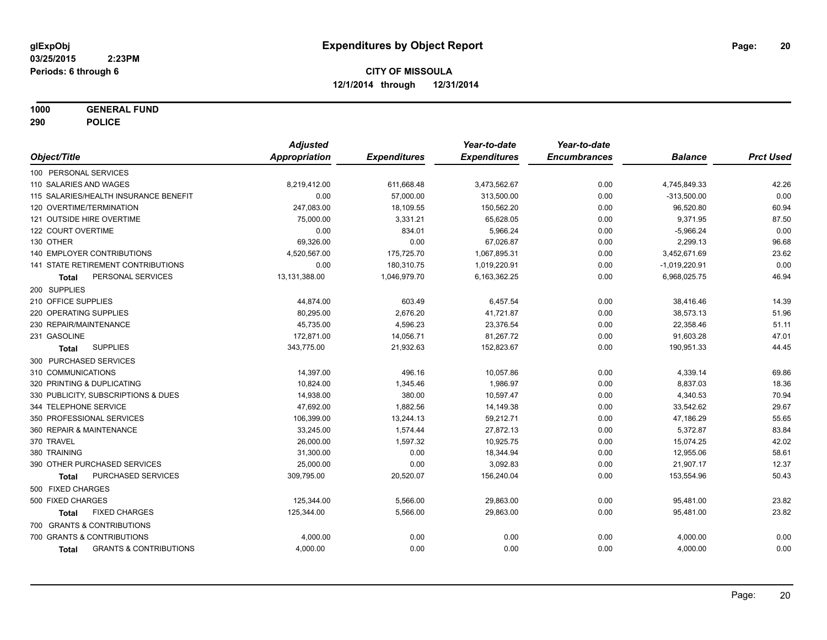**1000 GENERAL FUND**

**290 POLICE**

|                                                   | <b>Adjusted</b> |                     | Year-to-date        | Year-to-date        |                 |                  |
|---------------------------------------------------|-----------------|---------------------|---------------------|---------------------|-----------------|------------------|
| Object/Title                                      | Appropriation   | <b>Expenditures</b> | <b>Expenditures</b> | <b>Encumbrances</b> | <b>Balance</b>  | <b>Prct Used</b> |
| 100 PERSONAL SERVICES                             |                 |                     |                     |                     |                 |                  |
| 110 SALARIES AND WAGES                            | 8,219,412.00    | 611,668.48          | 3,473,562.67        | 0.00                | 4,745,849.33    | 42.26            |
| 115 SALARIES/HEALTH INSURANCE BENEFIT             | 0.00            | 57,000.00           | 313,500.00          | 0.00                | $-313,500.00$   | 0.00             |
| 120 OVERTIME/TERMINATION                          | 247,083.00      | 18,109.55           | 150,562.20          | 0.00                | 96,520.80       | 60.94            |
| 121 OUTSIDE HIRE OVERTIME                         | 75,000.00       | 3,331.21            | 65,628.05           | 0.00                | 9,371.95        | 87.50            |
| 122 COURT OVERTIME                                | 0.00            | 834.01              | 5,966.24            | 0.00                | $-5,966.24$     | 0.00             |
| 130 OTHER                                         | 69,326.00       | 0.00                | 67,026.87           | 0.00                | 2,299.13        | 96.68            |
| 140 EMPLOYER CONTRIBUTIONS                        | 4,520,567.00    | 175,725.70          | 1,067,895.31        | 0.00                | 3,452,671.69    | 23.62            |
| <b>141 STATE RETIREMENT CONTRIBUTIONS</b>         | 0.00            | 180,310.75          | 1,019,220.91        | 0.00                | $-1,019,220.91$ | 0.00             |
| PERSONAL SERVICES<br><b>Total</b>                 | 13,131,388.00   | 1,046,979.70        | 6,163,362.25        | 0.00                | 6,968,025.75    | 46.94            |
| 200 SUPPLIES                                      |                 |                     |                     |                     |                 |                  |
| 210 OFFICE SUPPLIES                               | 44,874.00       | 603.49              | 6,457.54            | 0.00                | 38,416.46       | 14.39            |
| 220 OPERATING SUPPLIES                            | 80,295.00       | 2,676.20            | 41,721.87           | 0.00                | 38,573.13       | 51.96            |
| 230 REPAIR/MAINTENANCE                            | 45,735.00       | 4,596.23            | 23,376.54           | 0.00                | 22,358.46       | 51.11            |
| 231 GASOLINE                                      | 172,871.00      | 14,056.71           | 81,267.72           | 0.00                | 91,603.28       | 47.01            |
| <b>SUPPLIES</b><br><b>Total</b>                   | 343,775.00      | 21,932.63           | 152,823.67          | 0.00                | 190,951.33      | 44.45            |
| 300 PURCHASED SERVICES                            |                 |                     |                     |                     |                 |                  |
| 310 COMMUNICATIONS                                | 14,397.00       | 496.16              | 10,057.86           | 0.00                | 4,339.14        | 69.86            |
| 320 PRINTING & DUPLICATING                        | 10,824.00       | 1,345.46            | 1,986.97            | 0.00                | 8,837.03        | 18.36            |
| 330 PUBLICITY, SUBSCRIPTIONS & DUES               | 14,938.00       | 380.00              | 10,597.47           | 0.00                | 4,340.53        | 70.94            |
| 344 TELEPHONE SERVICE                             | 47,692.00       | 1,882.56            | 14,149.38           | 0.00                | 33,542.62       | 29.67            |
| 350 PROFESSIONAL SERVICES                         | 106,399.00      | 13,244.13           | 59,212.71           | 0.00                | 47,186.29       | 55.65            |
| 360 REPAIR & MAINTENANCE                          | 33,245.00       | 1,574.44            | 27,872.13           | 0.00                | 5,372.87        | 83.84            |
| 370 TRAVEL                                        | 26,000.00       | 1,597.32            | 10,925.75           | 0.00                | 15,074.25       | 42.02            |
| 380 TRAINING                                      | 31,300.00       | 0.00                | 18,344.94           | 0.00                | 12,955.06       | 58.61            |
| 390 OTHER PURCHASED SERVICES                      | 25,000.00       | 0.00                | 3,092.83            | 0.00                | 21,907.17       | 12.37            |
| PURCHASED SERVICES<br><b>Total</b>                | 309,795.00      | 20,520.07           | 156,240.04          | 0.00                | 153,554.96      | 50.43            |
| 500 FIXED CHARGES                                 |                 |                     |                     |                     |                 |                  |
| 500 FIXED CHARGES                                 | 125,344.00      | 5,566.00            | 29,863.00           | 0.00                | 95,481.00       | 23.82            |
| <b>FIXED CHARGES</b><br><b>Total</b>              | 125,344.00      | 5,566.00            | 29,863.00           | 0.00                | 95,481.00       | 23.82            |
| 700 GRANTS & CONTRIBUTIONS                        |                 |                     |                     |                     |                 |                  |
| 700 GRANTS & CONTRIBUTIONS                        | 4,000.00        | 0.00                | 0.00                | 0.00                | 4,000.00        | 0.00             |
| <b>GRANTS &amp; CONTRIBUTIONS</b><br><b>Total</b> | 4,000.00        | 0.00                | 0.00                | 0.00                | 4,000.00        | 0.00             |
|                                                   |                 |                     |                     |                     |                 |                  |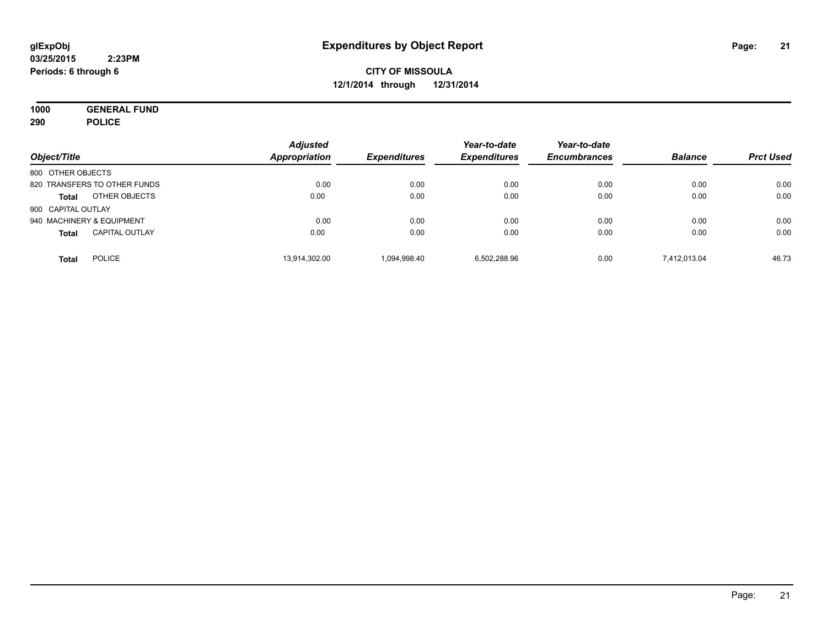**1000 GENERAL FUND 290 POLICE**

| Object/Title       |                              | <b>Adjusted</b><br>Appropriation | <b>Expenditures</b> | Year-to-date<br><b>Expenditures</b> | Year-to-date<br><b>Encumbrances</b> | <b>Balance</b> | <b>Prct Used</b> |
|--------------------|------------------------------|----------------------------------|---------------------|-------------------------------------|-------------------------------------|----------------|------------------|
| 800 OTHER OBJECTS  |                              |                                  |                     |                                     |                                     |                |                  |
|                    | 820 TRANSFERS TO OTHER FUNDS | 0.00                             | 0.00                | 0.00                                | 0.00                                | 0.00           | 0.00             |
| <b>Total</b>       | OTHER OBJECTS                | 0.00                             | 0.00                | 0.00                                | 0.00                                | 0.00           | 0.00             |
| 900 CAPITAL OUTLAY |                              |                                  |                     |                                     |                                     |                |                  |
|                    | 940 MACHINERY & EQUIPMENT    | 0.00                             | 0.00                | 0.00                                | 0.00                                | 0.00           | 0.00             |
| <b>Total</b>       | <b>CAPITAL OUTLAY</b>        | 0.00                             | 0.00                | 0.00                                | 0.00                                | 0.00           | 0.00             |
| <b>Total</b>       | <b>POLICE</b>                | 13,914,302.00                    | 1.094.998.40        | 6,502,288.96                        | 0.00                                | 7.412.013.04   | 46.73            |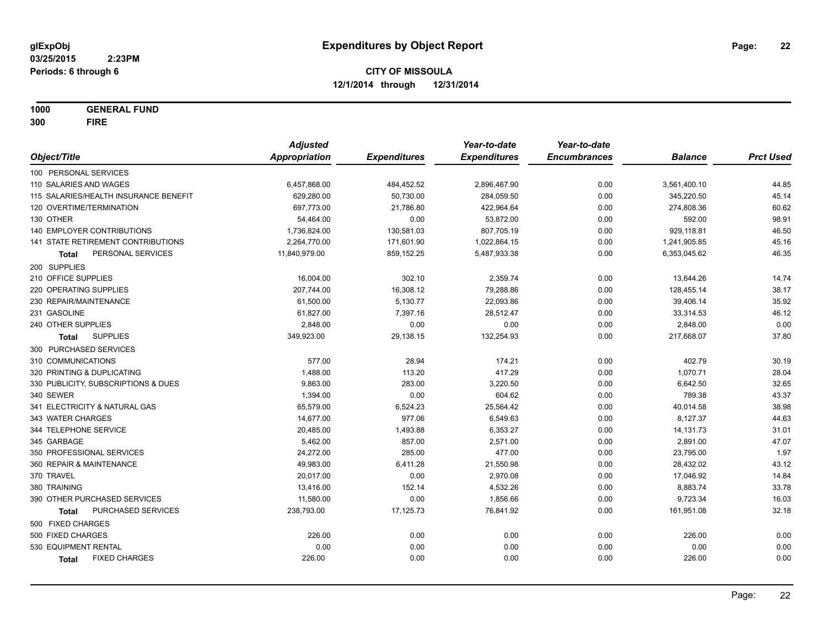**1000 GENERAL FUND 300 FIRE**

|                                       | <b>Adjusted</b>      |                     | Year-to-date        | Year-to-date        |                |                  |
|---------------------------------------|----------------------|---------------------|---------------------|---------------------|----------------|------------------|
| Object/Title                          | <b>Appropriation</b> | <b>Expenditures</b> | <b>Expenditures</b> | <b>Encumbrances</b> | <b>Balance</b> | <b>Prct Used</b> |
| 100 PERSONAL SERVICES                 |                      |                     |                     |                     |                |                  |
| 110 SALARIES AND WAGES                | 6,457,868.00         | 484,452.52          | 2,896,467.90        | 0.00                | 3,561,400.10   | 44.85            |
| 115 SALARIES/HEALTH INSURANCE BENEFIT | 629,280.00           | 50,730.00           | 284,059.50          | 0.00                | 345,220.50     | 45.14            |
| 120 OVERTIME/TERMINATION              | 697,773.00           | 21,786.80           | 422,964.64          | 0.00                | 274,808.36     | 60.62            |
| 130 OTHER                             | 54,464.00            | 0.00                | 53,872.00           | 0.00                | 592.00         | 98.91            |
| 140 EMPLOYER CONTRIBUTIONS            | 1,736,824.00         | 130,581.03          | 807,705.19          | 0.00                | 929,118.81     | 46.50            |
| 141 STATE RETIREMENT CONTRIBUTIONS    | 2,264,770.00         | 171,601.90          | 1,022,864.15        | 0.00                | 1,241,905.85   | 45.16            |
| PERSONAL SERVICES<br>Total            | 11,840,979.00        | 859,152.25          | 5,487,933.38        | 0.00                | 6,353,045.62   | 46.35            |
| 200 SUPPLIES                          |                      |                     |                     |                     |                |                  |
| 210 OFFICE SUPPLIES                   | 16,004.00            | 302.10              | 2,359.74            | 0.00                | 13,644.26      | 14.74            |
| 220 OPERATING SUPPLIES                | 207,744.00           | 16,308.12           | 79,288.86           | 0.00                | 128,455.14     | 38.17            |
| 230 REPAIR/MAINTENANCE                | 61,500.00            | 5,130.77            | 22,093.86           | 0.00                | 39,406.14      | 35.92            |
| 231 GASOLINE                          | 61,827.00            | 7,397.16            | 28,512.47           | 0.00                | 33,314.53      | 46.12            |
| 240 OTHER SUPPLIES                    | 2,848.00             | 0.00                | 0.00                | 0.00                | 2,848.00       | 0.00             |
| <b>SUPPLIES</b><br><b>Total</b>       | 349,923.00           | 29,138.15           | 132,254.93          | 0.00                | 217,668.07     | 37.80            |
| 300 PURCHASED SERVICES                |                      |                     |                     |                     |                |                  |
| 310 COMMUNICATIONS                    | 577.00               | 28.94               | 174.21              | 0.00                | 402.79         | 30.19            |
| 320 PRINTING & DUPLICATING            | 1,488.00             | 113.20              | 417.29              | 0.00                | 1,070.71       | 28.04            |
| 330 PUBLICITY, SUBSCRIPTIONS & DUES   | 9,863.00             | 283.00              | 3,220.50            | 0.00                | 6,642.50       | 32.65            |
| 340 SEWER                             | 1,394.00             | 0.00                | 604.62              | 0.00                | 789.38         | 43.37            |
| 341 ELECTRICITY & NATURAL GAS         | 65,579.00            | 6,524.23            | 25,564.42           | 0.00                | 40,014.58      | 38.98            |
| 343 WATER CHARGES                     | 14,677.00            | 977.06              | 6,549.63            | 0.00                | 8,127.37       | 44.63            |
| 344 TELEPHONE SERVICE                 | 20,485.00            | 1,493.88            | 6,353.27            | 0.00                | 14,131.73      | 31.01            |
| 345 GARBAGE                           | 5,462.00             | 857.00              | 2,571.00            | 0.00                | 2,891.00       | 47.07            |
| 350 PROFESSIONAL SERVICES             | 24,272.00            | 285.00              | 477.00              | 0.00                | 23,795.00      | 1.97             |
| 360 REPAIR & MAINTENANCE              | 49,983.00            | 6,411.28            | 21,550.98           | 0.00                | 28,432.02      | 43.12            |
| 370 TRAVEL                            | 20,017.00            | 0.00                | 2,970.08            | 0.00                | 17,046.92      | 14.84            |
| 380 TRAINING                          | 13,416.00            | 152.14              | 4,532.26            | 0.00                | 8,883.74       | 33.78            |
| 390 OTHER PURCHASED SERVICES          | 11,580.00            | 0.00                | 1,856.66            | 0.00                | 9,723.34       | 16.03            |
| PURCHASED SERVICES<br><b>Total</b>    | 238,793.00           | 17,125.73           | 76,841.92           | 0.00                | 161,951.08     | 32.18            |
| 500 FIXED CHARGES                     |                      |                     |                     |                     |                |                  |
| 500 FIXED CHARGES                     | 226.00               | 0.00                | 0.00                | 0.00                | 226.00         | 0.00             |
| 530 EQUIPMENT RENTAL                  | 0.00                 | 0.00                | 0.00                | 0.00                | 0.00           | 0.00             |
| <b>FIXED CHARGES</b><br><b>Total</b>  | 226.00               | 0.00                | 0.00                | 0.00                | 226.00         | 0.00             |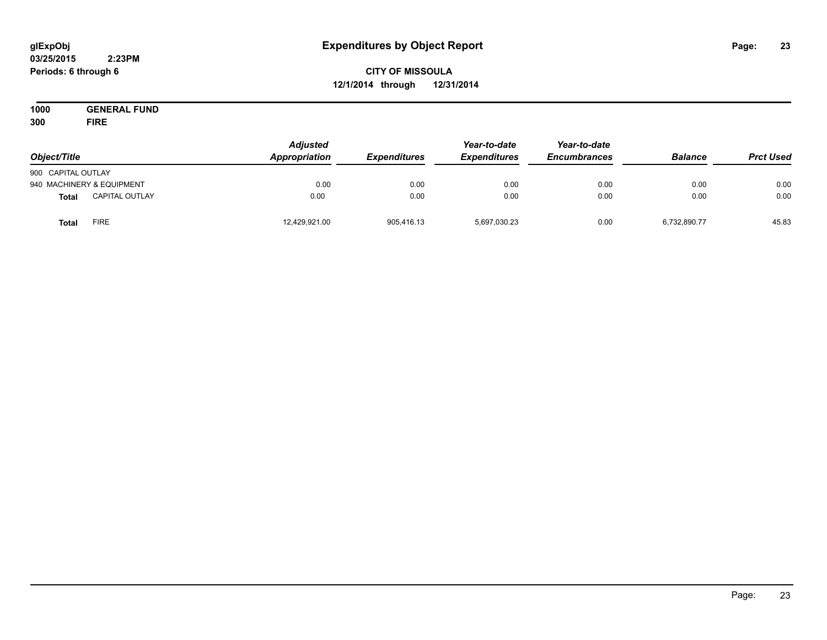#### **03/25/2015 2:23PM Periods: 6 through 6**

# **CITY OF MISSOULA 12/1/2014 through 12/31/2014**

**1000 GENERAL FUND 300 FIRE**

| Object/Title       |                           | <b>Adjusted</b><br>Appropriation | <b>Expenditures</b> | Year-to-date<br><b>Expenditures</b> | Year-to-date<br><b>Encumbrances</b> | <b>Balance</b> | <b>Prct Used</b> |
|--------------------|---------------------------|----------------------------------|---------------------|-------------------------------------|-------------------------------------|----------------|------------------|
| 900 CAPITAL OUTLAY |                           |                                  |                     |                                     |                                     |                |                  |
|                    | 940 MACHINERY & EQUIPMENT | 0.00                             | 0.00                | 0.00                                | 0.00                                | 0.00           | 0.00             |
| <b>Total</b>       | <b>CAPITAL OUTLAY</b>     | 0.00                             | 0.00                | 0.00                                | 0.00                                | 0.00           | 0.00             |
| Total              | <b>FIRE</b>               | 12,429,921.00                    | 905,416.13          | 5,697,030.23                        | 0.00                                | 6,732,890.77   | 45.83            |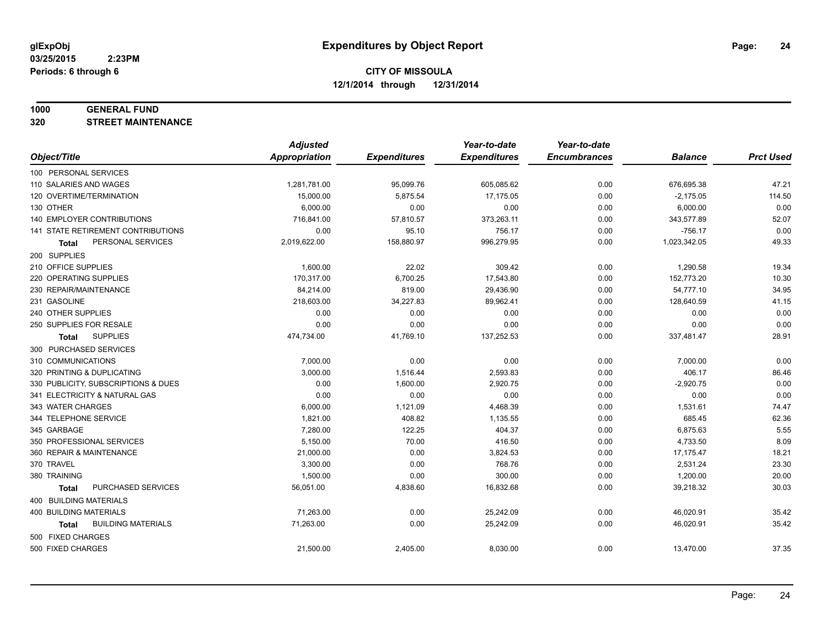#### **1000 GENERAL FUND**

**320 STREET MAINTENANCE**

|                                           | <b>Adjusted</b>      |                     | Year-to-date        | Year-to-date        |                |                  |
|-------------------------------------------|----------------------|---------------------|---------------------|---------------------|----------------|------------------|
| Object/Title                              | <b>Appropriation</b> | <b>Expenditures</b> | <b>Expenditures</b> | <b>Encumbrances</b> | <b>Balance</b> | <b>Prct Used</b> |
| 100 PERSONAL SERVICES                     |                      |                     |                     |                     |                |                  |
| 110 SALARIES AND WAGES                    | 1,281,781.00         | 95,099.76           | 605,085.62          | 0.00                | 676,695.38     | 47.21            |
| 120 OVERTIME/TERMINATION                  | 15,000.00            | 5,875.54            | 17,175.05           | 0.00                | $-2,175.05$    | 114.50           |
| 130 OTHER                                 | 6,000.00             | 0.00                | 0.00                | 0.00                | 6,000.00       | 0.00             |
| 140 EMPLOYER CONTRIBUTIONS                | 716,841.00           | 57,810.57           | 373,263.11          | 0.00                | 343,577.89     | 52.07            |
| <b>141 STATE RETIREMENT CONTRIBUTIONS</b> | 0.00                 | 95.10               | 756.17              | 0.00                | $-756.17$      | 0.00             |
| PERSONAL SERVICES<br>Total                | 2,019,622.00         | 158,880.97          | 996,279.95          | 0.00                | 1,023,342.05   | 49.33            |
| 200 SUPPLIES                              |                      |                     |                     |                     |                |                  |
| 210 OFFICE SUPPLIES                       | 1,600.00             | 22.02               | 309.42              | 0.00                | 1,290.58       | 19.34            |
| 220 OPERATING SUPPLIES                    | 170,317.00           | 6,700.25            | 17,543.80           | 0.00                | 152,773.20     | 10.30            |
| 230 REPAIR/MAINTENANCE                    | 84,214.00            | 819.00              | 29,436.90           | 0.00                | 54,777.10      | 34.95            |
| 231 GASOLINE                              | 218,603.00           | 34,227.83           | 89,962.41           | 0.00                | 128,640.59     | 41.15            |
| 240 OTHER SUPPLIES                        | 0.00                 | 0.00                | 0.00                | 0.00                | 0.00           | 0.00             |
| 250 SUPPLIES FOR RESALE                   | 0.00                 | 0.00                | 0.00                | 0.00                | 0.00           | 0.00             |
| <b>SUPPLIES</b><br><b>Total</b>           | 474,734.00           | 41,769.10           | 137,252.53          | 0.00                | 337,481.47     | 28.91            |
| 300 PURCHASED SERVICES                    |                      |                     |                     |                     |                |                  |
| 310 COMMUNICATIONS                        | 7,000.00             | 0.00                | 0.00                | 0.00                | 7,000.00       | 0.00             |
| 320 PRINTING & DUPLICATING                | 3,000.00             | 1,516.44            | 2,593.83            | 0.00                | 406.17         | 86.46            |
| 330 PUBLICITY, SUBSCRIPTIONS & DUES       | 0.00                 | 1,600.00            | 2,920.75            | 0.00                | $-2,920.75$    | 0.00             |
| 341 ELECTRICITY & NATURAL GAS             | 0.00                 | 0.00                | 0.00                | 0.00                | 0.00           | 0.00             |
| 343 WATER CHARGES                         | 6,000.00             | 1,121.09            | 4,468.39            | 0.00                | 1,531.61       | 74.47            |
| 344 TELEPHONE SERVICE                     | 1,821.00             | 408.82              | 1,135.55            | 0.00                | 685.45         | 62.36            |
| 345 GARBAGE                               | 7,280.00             | 122.25              | 404.37              | 0.00                | 6,875.63       | 5.55             |
| 350 PROFESSIONAL SERVICES                 | 5,150.00             | 70.00               | 416.50              | 0.00                | 4,733.50       | 8.09             |
| 360 REPAIR & MAINTENANCE                  | 21,000.00            | 0.00                | 3,824.53            | 0.00                | 17,175.47      | 18.21            |
| 370 TRAVEL                                | 3,300.00             | 0.00                | 768.76              | 0.00                | 2,531.24       | 23.30            |
| 380 TRAINING                              | 1,500.00             | 0.00                | 300.00              | 0.00                | 1,200.00       | 20.00            |
| PURCHASED SERVICES<br><b>Total</b>        | 56,051.00            | 4,838.60            | 16,832.68           | 0.00                | 39,218.32      | 30.03            |
| 400 BUILDING MATERIALS                    |                      |                     |                     |                     |                |                  |
| 400 BUILDING MATERIALS                    | 71,263.00            | 0.00                | 25,242.09           | 0.00                | 46,020.91      | 35.42            |
| <b>BUILDING MATERIALS</b><br>Total        | 71,263.00            | 0.00                | 25,242.09           | 0.00                | 46,020.91      | 35.42            |
| 500 FIXED CHARGES                         |                      |                     |                     |                     |                |                  |
| 500 FIXED CHARGES                         | 21,500.00            | 2,405.00            | 8,030.00            | 0.00                | 13,470.00      | 37.35            |
|                                           |                      |                     |                     |                     |                |                  |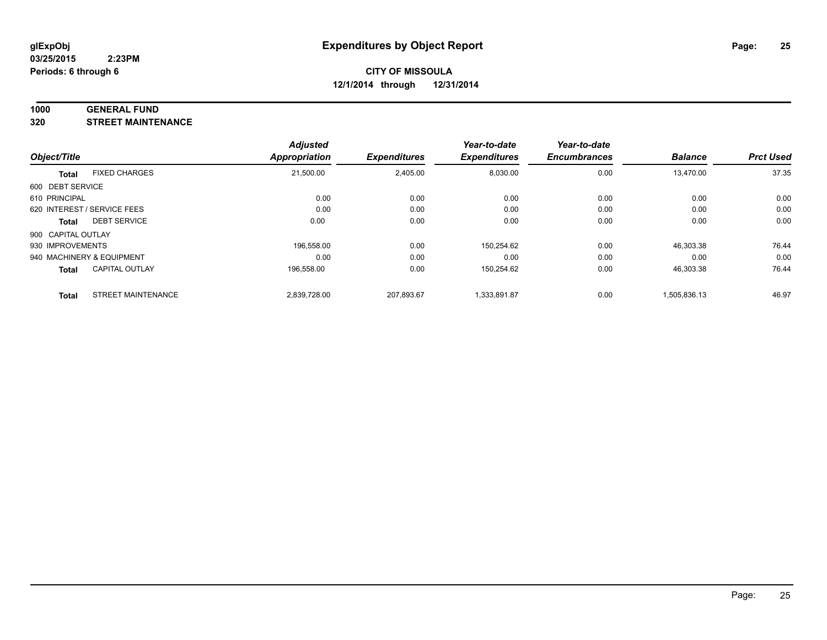#### **1000 GENERAL FUND**

**320 STREET MAINTENANCE**

|                    |                             | <b>Adjusted</b> |                     | Year-to-date        | Year-to-date        |                |                  |
|--------------------|-----------------------------|-----------------|---------------------|---------------------|---------------------|----------------|------------------|
| Object/Title       |                             | Appropriation   | <b>Expenditures</b> | <b>Expenditures</b> | <b>Encumbrances</b> | <b>Balance</b> | <b>Prct Used</b> |
| <b>Total</b>       | <b>FIXED CHARGES</b>        | 21,500.00       | 2,405.00            | 8,030.00            | 0.00                | 13,470.00      | 37.35            |
| 600 DEBT SERVICE   |                             |                 |                     |                     |                     |                |                  |
| 610 PRINCIPAL      |                             | 0.00            | 0.00                | 0.00                | 0.00                | 0.00           | 0.00             |
|                    | 620 INTEREST / SERVICE FEES | 0.00            | 0.00                | 0.00                | 0.00                | 0.00           | 0.00             |
| Total              | <b>DEBT SERVICE</b>         | 0.00            | 0.00                | 0.00                | 0.00                | 0.00           | 0.00             |
| 900 CAPITAL OUTLAY |                             |                 |                     |                     |                     |                |                  |
| 930 IMPROVEMENTS   |                             | 196.558.00      | 0.00                | 150,254.62          | 0.00                | 46,303.38      | 76.44            |
|                    | 940 MACHINERY & EQUIPMENT   | 0.00            | 0.00                | 0.00                | 0.00                | 0.00           | 0.00             |
| <b>Total</b>       | <b>CAPITAL OUTLAY</b>       | 196,558.00      | 0.00                | 150,254.62          | 0.00                | 46,303.38      | 76.44            |
| <b>Total</b>       | <b>STREET MAINTENANCE</b>   | 2.839.728.00    | 207.893.67          | 1.333.891.87        | 0.00                | 1,505,836.13   | 46.97            |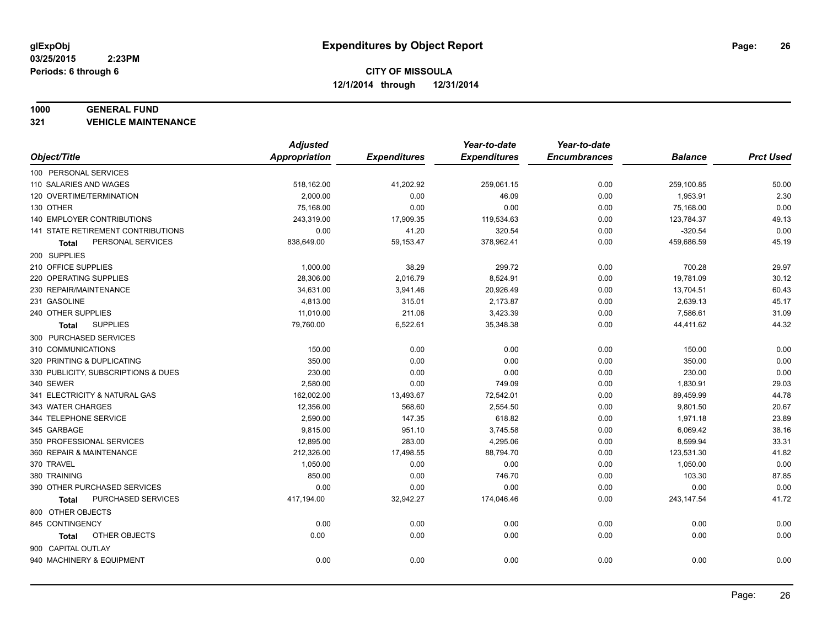#### **1000 GENERAL FUND**

**321 VEHICLE MAINTENANCE**

|                                           | <b>Adjusted</b> |                     | Year-to-date        | Year-to-date        |                |                  |
|-------------------------------------------|-----------------|---------------------|---------------------|---------------------|----------------|------------------|
| Object/Title                              | Appropriation   | <b>Expenditures</b> | <b>Expenditures</b> | <b>Encumbrances</b> | <b>Balance</b> | <b>Prct Used</b> |
| 100 PERSONAL SERVICES                     |                 |                     |                     |                     |                |                  |
| 110 SALARIES AND WAGES                    | 518,162.00      | 41,202.92           | 259,061.15          | 0.00                | 259,100.85     | 50.00            |
| 120 OVERTIME/TERMINATION                  | 2,000.00        | 0.00                | 46.09               | 0.00                | 1,953.91       | 2.30             |
| 130 OTHER                                 | 75,168.00       | 0.00                | 0.00                | 0.00                | 75,168.00      | 0.00             |
| 140 EMPLOYER CONTRIBUTIONS                | 243,319.00      | 17,909.35           | 119,534.63          | 0.00                | 123,784.37     | 49.13            |
| <b>141 STATE RETIREMENT CONTRIBUTIONS</b> | 0.00            | 41.20               | 320.54              | 0.00                | $-320.54$      | 0.00             |
| PERSONAL SERVICES<br>Total                | 838,649.00      | 59,153.47           | 378,962.41          | 0.00                | 459,686.59     | 45.19            |
| 200 SUPPLIES                              |                 |                     |                     |                     |                |                  |
| 210 OFFICE SUPPLIES                       | 1,000.00        | 38.29               | 299.72              | 0.00                | 700.28         | 29.97            |
| 220 OPERATING SUPPLIES                    | 28,306.00       | 2,016.79            | 8,524.91            | 0.00                | 19,781.09      | 30.12            |
| 230 REPAIR/MAINTENANCE                    | 34,631.00       | 3,941.46            | 20,926.49           | 0.00                | 13,704.51      | 60.43            |
| 231 GASOLINE                              | 4,813.00        | 315.01              | 2,173.87            | 0.00                | 2,639.13       | 45.17            |
| 240 OTHER SUPPLIES                        | 11,010.00       | 211.06              | 3,423.39            | 0.00                | 7,586.61       | 31.09            |
| <b>SUPPLIES</b><br>Total                  | 79,760.00       | 6,522.61            | 35,348.38           | 0.00                | 44,411.62      | 44.32            |
| 300 PURCHASED SERVICES                    |                 |                     |                     |                     |                |                  |
| 310 COMMUNICATIONS                        | 150.00          | 0.00                | 0.00                | 0.00                | 150.00         | 0.00             |
| 320 PRINTING & DUPLICATING                | 350.00          | 0.00                | 0.00                | 0.00                | 350.00         | 0.00             |
| 330 PUBLICITY, SUBSCRIPTIONS & DUES       | 230.00          | 0.00                | 0.00                | 0.00                | 230.00         | 0.00             |
| 340 SEWER                                 | 2,580.00        | 0.00                | 749.09              | 0.00                | 1,830.91       | 29.03            |
| 341 ELECTRICITY & NATURAL GAS             | 162,002.00      | 13,493.67           | 72,542.01           | 0.00                | 89,459.99      | 44.78            |
| 343 WATER CHARGES                         | 12,356.00       | 568.60              | 2,554.50            | 0.00                | 9,801.50       | 20.67            |
| 344 TELEPHONE SERVICE                     | 2,590.00        | 147.35              | 618.82              | 0.00                | 1,971.18       | 23.89            |
| 345 GARBAGE                               | 9,815.00        | 951.10              | 3,745.58            | 0.00                | 6,069.42       | 38.16            |
| 350 PROFESSIONAL SERVICES                 | 12,895.00       | 283.00              | 4,295.06            | 0.00                | 8,599.94       | 33.31            |
| 360 REPAIR & MAINTENANCE                  | 212,326.00      | 17,498.55           | 88,794.70           | 0.00                | 123,531.30     | 41.82            |
| 370 TRAVEL                                | 1,050.00        | 0.00                | 0.00                | 0.00                | 1,050.00       | 0.00             |
| 380 TRAINING                              | 850.00          | 0.00                | 746.70              | 0.00                | 103.30         | 87.85            |
| 390 OTHER PURCHASED SERVICES              | 0.00            | 0.00                | 0.00                | 0.00                | 0.00           | 0.00             |
| PURCHASED SERVICES<br>Total               | 417,194.00      | 32,942.27           | 174,046.46          | 0.00                | 243, 147.54    | 41.72            |
| 800 OTHER OBJECTS                         |                 |                     |                     |                     |                |                  |
| 845 CONTINGENCY                           | 0.00            | 0.00                | 0.00                | 0.00                | 0.00           | 0.00             |
| OTHER OBJECTS<br>Total                    | 0.00            | 0.00                | 0.00                | 0.00                | 0.00           | 0.00             |
| 900 CAPITAL OUTLAY                        |                 |                     |                     |                     |                |                  |
| 940 MACHINERY & EQUIPMENT                 | 0.00            | 0.00                | 0.00                | 0.00                | 0.00           | 0.00             |
|                                           |                 |                     |                     |                     |                |                  |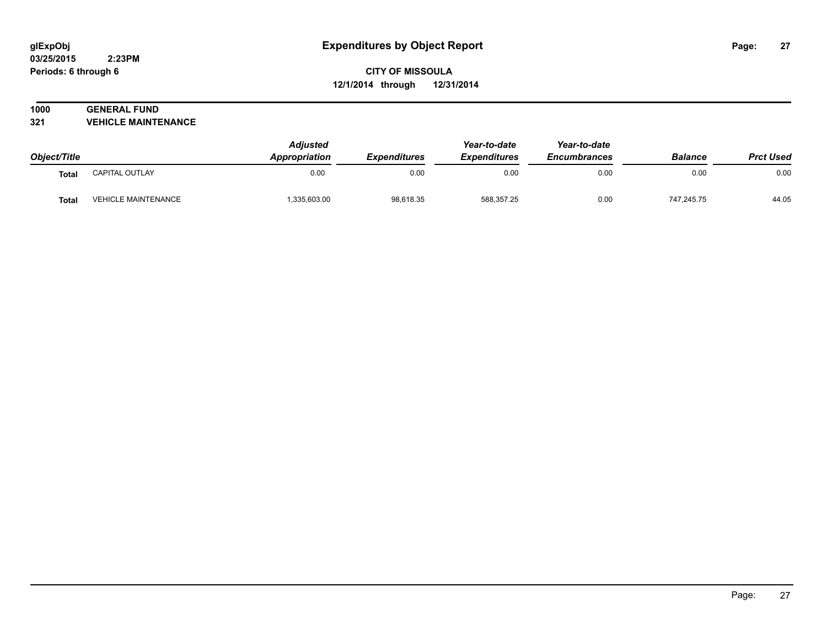#### **03/25/2015 2:23PM Periods: 6 through 6**

# **CITY OF MISSOULA 12/1/2014 through 12/31/2014**

# **1000 GENERAL FUND**

**321 VEHICLE MAINTENANCE**

| Object/Title |                            | <b>Adjusted</b><br><b>Appropriation</b> | <b>Expenditures</b> | Year-to-date<br><b>Expenditures</b> | Year-to-date<br><b>Encumbrances</b> | <b>Balance</b> | <b>Prct Used</b> |
|--------------|----------------------------|-----------------------------------------|---------------------|-------------------------------------|-------------------------------------|----------------|------------------|
| <b>Total</b> | CAPITAL OUTLAY             | 0.00                                    | 0.00                | 0.00                                | 0.00                                | 0.00           | 0.00             |
| <b>Total</b> | <b>VEHICLE MAINTENANCE</b> | 1,335,603.00                            | 98,618.35           | 588,357.25                          | 0.00                                | 747.245.75     | 44.05            |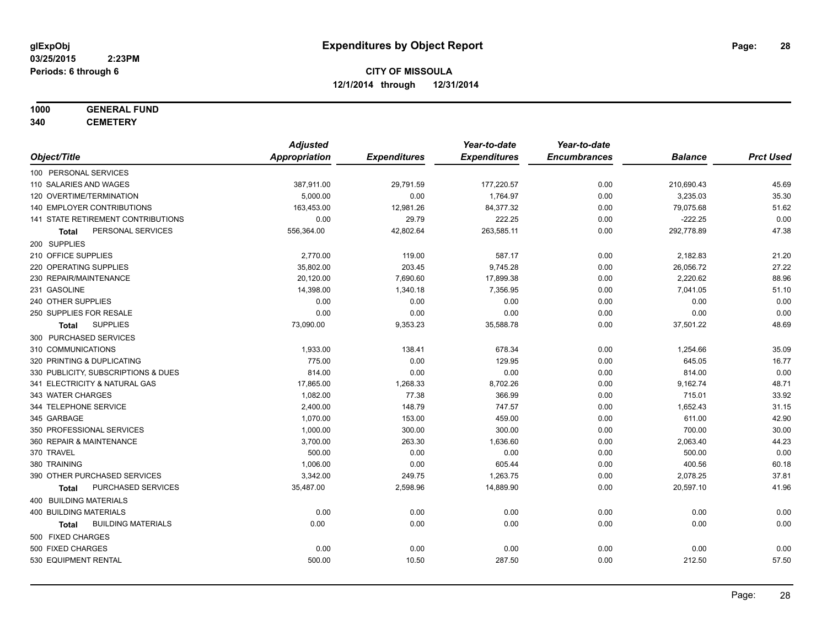# **1000 GENERAL FUND**

**340 CEMETERY**

|                                           | <b>Adjusted</b>      |                     | Year-to-date        | Year-to-date        |                |                  |
|-------------------------------------------|----------------------|---------------------|---------------------|---------------------|----------------|------------------|
| Object/Title                              | <b>Appropriation</b> | <b>Expenditures</b> | <b>Expenditures</b> | <b>Encumbrances</b> | <b>Balance</b> | <b>Prct Used</b> |
| 100 PERSONAL SERVICES                     |                      |                     |                     |                     |                |                  |
| 110 SALARIES AND WAGES                    | 387,911.00           | 29,791.59           | 177,220.57          | 0.00                | 210,690.43     | 45.69            |
| 120 OVERTIME/TERMINATION                  | 5,000.00             | 0.00                | 1,764.97            | 0.00                | 3,235.03       | 35.30            |
| 140 EMPLOYER CONTRIBUTIONS                | 163,453.00           | 12,981.26           | 84,377.32           | 0.00                | 79,075.68      | 51.62            |
| 141 STATE RETIREMENT CONTRIBUTIONS        | 0.00                 | 29.79               | 222.25              | 0.00                | $-222.25$      | 0.00             |
| PERSONAL SERVICES<br>Total                | 556,364.00           | 42,802.64           | 263,585.11          | 0.00                | 292,778.89     | 47.38            |
| 200 SUPPLIES                              |                      |                     |                     |                     |                |                  |
| 210 OFFICE SUPPLIES                       | 2,770.00             | 119.00              | 587.17              | 0.00                | 2,182.83       | 21.20            |
| 220 OPERATING SUPPLIES                    | 35,802.00            | 203.45              | 9,745.28            | 0.00                | 26,056.72      | 27.22            |
| 230 REPAIR/MAINTENANCE                    | 20,120.00            | 7,690.60            | 17,899.38           | 0.00                | 2,220.62       | 88.96            |
| 231 GASOLINE                              | 14,398.00            | 1,340.18            | 7,356.95            | 0.00                | 7,041.05       | 51.10            |
| 240 OTHER SUPPLIES                        | 0.00                 | 0.00                | 0.00                | 0.00                | 0.00           | 0.00             |
| 250 SUPPLIES FOR RESALE                   | 0.00                 | 0.00                | 0.00                | 0.00                | 0.00           | 0.00             |
| <b>SUPPLIES</b><br>Total                  | 73,090.00            | 9,353.23            | 35,588.78           | 0.00                | 37,501.22      | 48.69            |
| 300 PURCHASED SERVICES                    |                      |                     |                     |                     |                |                  |
| 310 COMMUNICATIONS                        | 1,933.00             | 138.41              | 678.34              | 0.00                | 1,254.66       | 35.09            |
| 320 PRINTING & DUPLICATING                | 775.00               | 0.00                | 129.95              | 0.00                | 645.05         | 16.77            |
| 330 PUBLICITY, SUBSCRIPTIONS & DUES       | 814.00               | 0.00                | 0.00                | 0.00                | 814.00         | 0.00             |
| 341 ELECTRICITY & NATURAL GAS             | 17,865.00            | 1,268.33            | 8,702.26            | 0.00                | 9,162.74       | 48.71            |
| 343 WATER CHARGES                         | 1,082.00             | 77.38               | 366.99              | 0.00                | 715.01         | 33.92            |
| 344 TELEPHONE SERVICE                     | 2,400.00             | 148.79              | 747.57              | 0.00                | 1,652.43       | 31.15            |
| 345 GARBAGE                               | 1,070.00             | 153.00              | 459.00              | 0.00                | 611.00         | 42.90            |
| 350 PROFESSIONAL SERVICES                 | 1,000.00             | 300.00              | 300.00              | 0.00                | 700.00         | 30.00            |
| 360 REPAIR & MAINTENANCE                  | 3,700.00             | 263.30              | 1,636.60            | 0.00                | 2,063.40       | 44.23            |
| 370 TRAVEL                                | 500.00               | 0.00                | 0.00                | 0.00                | 500.00         | 0.00             |
| 380 TRAINING                              | 1,006.00             | 0.00                | 605.44              | 0.00                | 400.56         | 60.18            |
| 390 OTHER PURCHASED SERVICES              | 3,342.00             | 249.75              | 1,263.75            | 0.00                | 2,078.25       | 37.81            |
| PURCHASED SERVICES<br><b>Total</b>        | 35,487.00            | 2,598.96            | 14,889.90           | 0.00                | 20,597.10      | 41.96            |
| 400 BUILDING MATERIALS                    |                      |                     |                     |                     |                |                  |
| 400 BUILDING MATERIALS                    | 0.00                 | 0.00                | 0.00                | 0.00                | 0.00           | 0.00             |
| <b>BUILDING MATERIALS</b><br><b>Total</b> | 0.00                 | 0.00                | 0.00                | 0.00                | 0.00           | 0.00             |
| 500 FIXED CHARGES                         |                      |                     |                     |                     |                |                  |
| 500 FIXED CHARGES                         | 0.00                 | 0.00                | 0.00                | 0.00                | 0.00           | 0.00             |
| 530 EQUIPMENT RENTAL                      | 500.00               | 10.50               | 287.50              | 0.00                | 212.50         | 57.50            |
|                                           |                      |                     |                     |                     |                |                  |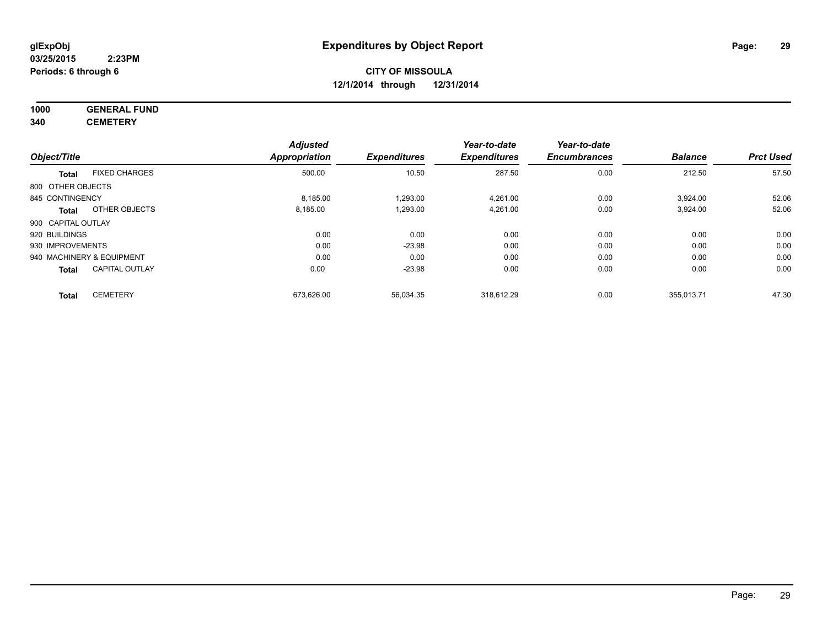# **1000 GENERAL FUND**

**340 CEMETERY**

|                    |                           | <b>Adjusted</b> |                     | Year-to-date        | Year-to-date        |                |                  |
|--------------------|---------------------------|-----------------|---------------------|---------------------|---------------------|----------------|------------------|
| Object/Title       |                           | Appropriation   | <b>Expenditures</b> | <b>Expenditures</b> | <b>Encumbrances</b> | <b>Balance</b> | <b>Prct Used</b> |
| Total              | <b>FIXED CHARGES</b>      | 500.00          | 10.50               | 287.50              | 0.00                | 212.50         | 57.50            |
| 800 OTHER OBJECTS  |                           |                 |                     |                     |                     |                |                  |
| 845 CONTINGENCY    |                           | 8,185.00        | 1,293.00            | 4,261.00            | 0.00                | 3,924.00       | 52.06            |
| Total              | OTHER OBJECTS             | 8,185.00        | 1,293.00            | 4,261.00            | 0.00                | 3,924.00       | 52.06            |
| 900 CAPITAL OUTLAY |                           |                 |                     |                     |                     |                |                  |
| 920 BUILDINGS      |                           | 0.00            | 0.00                | 0.00                | 0.00                | 0.00           | 0.00             |
| 930 IMPROVEMENTS   |                           | 0.00            | $-23.98$            | 0.00                | 0.00                | 0.00           | 0.00             |
|                    | 940 MACHINERY & EQUIPMENT | 0.00            | 0.00                | 0.00                | 0.00                | 0.00           | 0.00             |
| <b>Total</b>       | <b>CAPITAL OUTLAY</b>     | 0.00            | $-23.98$            | 0.00                | 0.00                | 0.00           | 0.00             |
| <b>Total</b>       | <b>CEMETERY</b>           | 673,626.00      | 56,034.35           | 318.612.29          | 0.00                | 355,013.71     | 47.30            |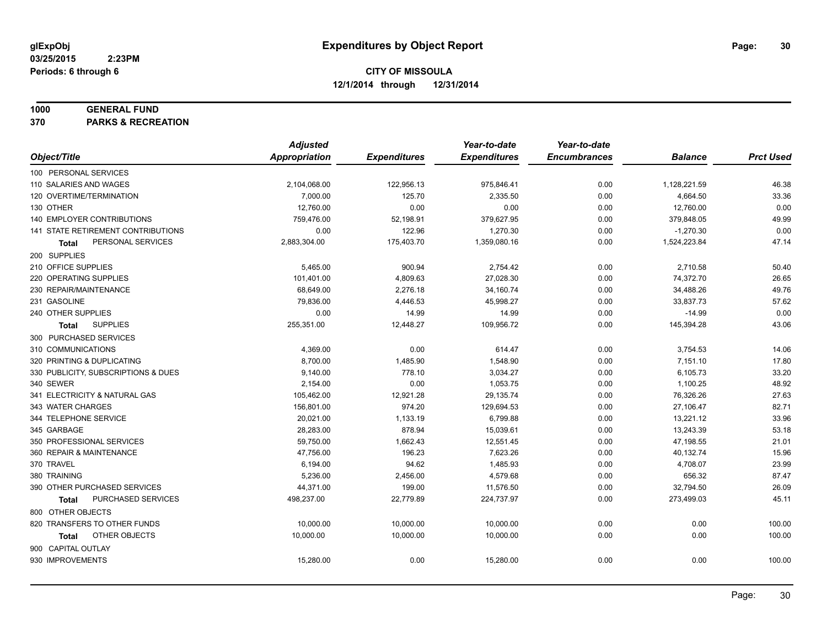#### **1000 GENERAL FUND**

**370 PARKS & RECREATION**

|                                     | <b>Adjusted</b>      |                     | Year-to-date        | Year-to-date        |                |                  |
|-------------------------------------|----------------------|---------------------|---------------------|---------------------|----------------|------------------|
| Object/Title                        | <b>Appropriation</b> | <b>Expenditures</b> | <b>Expenditures</b> | <b>Encumbrances</b> | <b>Balance</b> | <b>Prct Used</b> |
| 100 PERSONAL SERVICES               |                      |                     |                     |                     |                |                  |
| 110 SALARIES AND WAGES              | 2,104,068.00         | 122,956.13          | 975,846.41          | 0.00                | 1,128,221.59   | 46.38            |
| 120 OVERTIME/TERMINATION            | 7,000.00             | 125.70              | 2,335.50            | 0.00                | 4,664.50       | 33.36            |
| 130 OTHER                           | 12,760.00            | 0.00                | 0.00                | 0.00                | 12,760.00      | 0.00             |
| 140 EMPLOYER CONTRIBUTIONS          | 759,476.00           | 52,198.91           | 379,627.95          | 0.00                | 379,848.05     | 49.99            |
| 141 STATE RETIREMENT CONTRIBUTIONS  | 0.00                 | 122.96              | 1,270.30            | 0.00                | $-1,270.30$    | 0.00             |
| PERSONAL SERVICES<br>Total          | 2,883,304.00         | 175,403.70          | 1,359,080.16        | 0.00                | 1,524,223.84   | 47.14            |
| 200 SUPPLIES                        |                      |                     |                     |                     |                |                  |
| 210 OFFICE SUPPLIES                 | 5,465.00             | 900.94              | 2,754.42            | 0.00                | 2,710.58       | 50.40            |
| 220 OPERATING SUPPLIES              | 101,401.00           | 4,809.63            | 27,028.30           | 0.00                | 74,372.70      | 26.65            |
| 230 REPAIR/MAINTENANCE              | 68,649.00            | 2,276.18            | 34,160.74           | 0.00                | 34,488.26      | 49.76            |
| 231 GASOLINE                        | 79,836.00            | 4,446.53            | 45,998.27           | 0.00                | 33,837.73      | 57.62            |
| 240 OTHER SUPPLIES                  | 0.00                 | 14.99               | 14.99               | 0.00                | $-14.99$       | 0.00             |
| <b>SUPPLIES</b><br><b>Total</b>     | 255,351.00           | 12,448.27           | 109,956.72          | 0.00                | 145,394.28     | 43.06            |
| 300 PURCHASED SERVICES              |                      |                     |                     |                     |                |                  |
| 310 COMMUNICATIONS                  | 4,369.00             | 0.00                | 614.47              | 0.00                | 3,754.53       | 14.06            |
| 320 PRINTING & DUPLICATING          | 8,700.00             | 1,485.90            | 1,548.90            | 0.00                | 7,151.10       | 17.80            |
| 330 PUBLICITY, SUBSCRIPTIONS & DUES | 9,140.00             | 778.10              | 3,034.27            | 0.00                | 6,105.73       | 33.20            |
| 340 SEWER                           | 2,154.00             | 0.00                | 1,053.75            | 0.00                | 1,100.25       | 48.92            |
| 341 ELECTRICITY & NATURAL GAS       | 105,462.00           | 12,921.28           | 29,135.74           | 0.00                | 76,326.26      | 27.63            |
| 343 WATER CHARGES                   | 156,801.00           | 974.20              | 129,694.53          | 0.00                | 27,106.47      | 82.71            |
| 344 TELEPHONE SERVICE               | 20,021.00            | 1,133.19            | 6,799.88            | 0.00                | 13,221.12      | 33.96            |
| 345 GARBAGE                         | 28,283.00            | 878.94              | 15,039.61           | 0.00                | 13,243.39      | 53.18            |
| 350 PROFESSIONAL SERVICES           | 59,750.00            | 1,662.43            | 12,551.45           | 0.00                | 47,198.55      | 21.01            |
| 360 REPAIR & MAINTENANCE            | 47,756.00            | 196.23              | 7,623.26            | 0.00                | 40,132.74      | 15.96            |
| 370 TRAVEL                          | 6,194.00             | 94.62               | 1,485.93            | 0.00                | 4,708.07       | 23.99            |
| 380 TRAINING                        | 5,236.00             | 2,456.00            | 4,579.68            | 0.00                | 656.32         | 87.47            |
| 390 OTHER PURCHASED SERVICES        | 44,371.00            | 199.00              | 11,576.50           | 0.00                | 32,794.50      | 26.09            |
| PURCHASED SERVICES<br><b>Total</b>  | 498,237.00           | 22,779.89           | 224,737.97          | 0.00                | 273,499.03     | 45.11            |
| 800 OTHER OBJECTS                   |                      |                     |                     |                     |                |                  |
| 820 TRANSFERS TO OTHER FUNDS        | 10,000.00            | 10,000.00           | 10,000.00           | 0.00                | 0.00           | 100.00           |
| OTHER OBJECTS<br>Total              | 10,000.00            | 10,000.00           | 10,000.00           | 0.00                | 0.00           | 100.00           |
| 900 CAPITAL OUTLAY                  |                      |                     |                     |                     |                |                  |
| 930 IMPROVEMENTS                    | 15,280.00            | 0.00                | 15,280.00           | 0.00                | 0.00           | 100.00           |
|                                     |                      |                     |                     |                     |                |                  |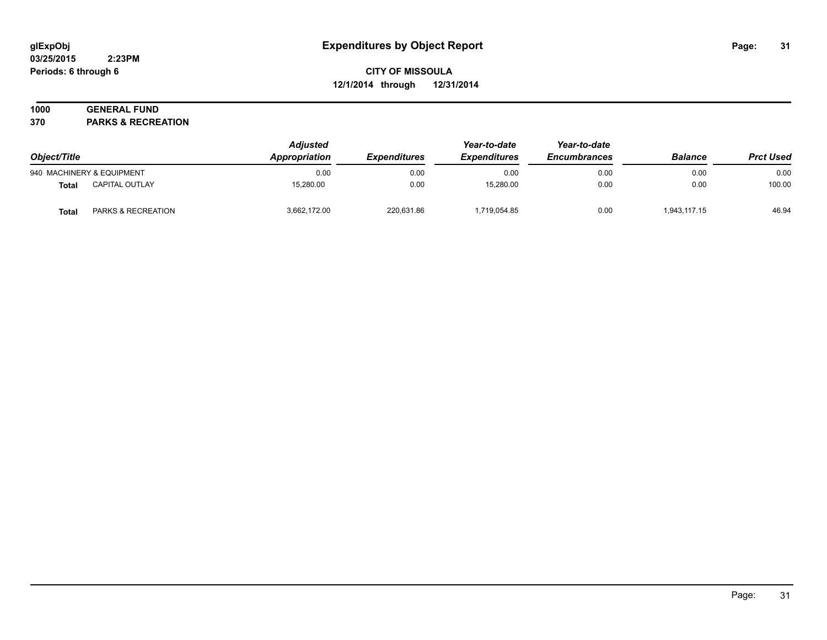#### **03/25/2015 2:23PM Periods: 6 through 6**

# **CITY OF MISSOULA 12/1/2014 through 12/31/2014**

# **1000 GENERAL FUND**

**370 PARKS & RECREATION**

| Object/Title |                           | <b>Adjusted</b><br>Appropriation | <i><b>Expenditures</b></i> | Year-to-date<br><b>Expenditures</b> | Year-to-date<br><b>Encumbrances</b> | <b>Balance</b> | <b>Prct Used</b> |
|--------------|---------------------------|----------------------------------|----------------------------|-------------------------------------|-------------------------------------|----------------|------------------|
|              | 940 MACHINERY & EQUIPMENT | 0.00                             | 0.00                       | 0.00                                | 0.00                                | 0.00           | 0.00             |
| Total        | <b>CAPITAL OUTLAY</b>     | 15,280.00                        | 0.00                       | 15,280.00                           | 0.00                                | 0.00           | 100.00           |
| Total        | PARKS & RECREATION        | 3,662,172.00                     | 220,631.86                 | 1,719,054.85                        | 0.00                                | 1,943,117.15   | 46.94            |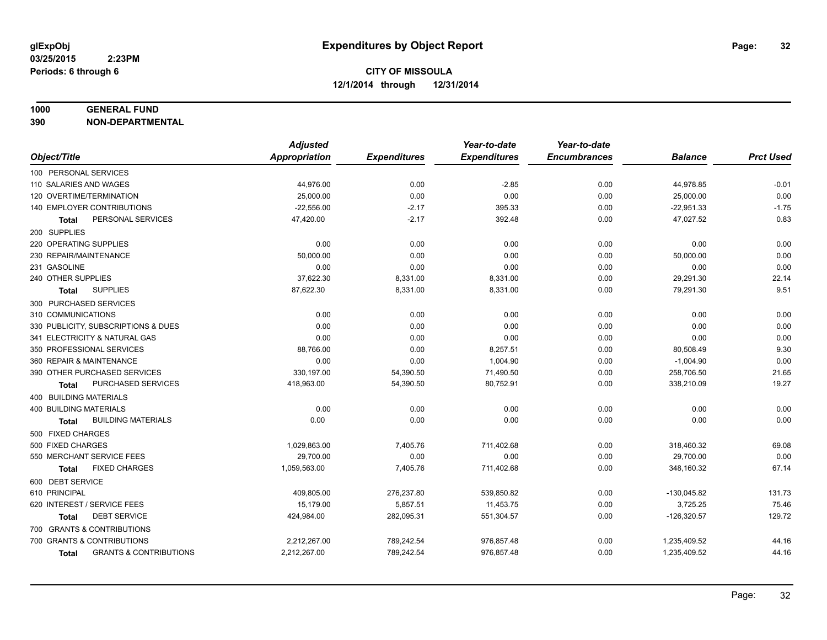#### **1000 GENERAL FUND**

**390 NON-DEPARTMENTAL**

|                                            | <b>Adjusted</b> |                     | Year-to-date        | Year-to-date        |                |                  |
|--------------------------------------------|-----------------|---------------------|---------------------|---------------------|----------------|------------------|
| Object/Title                               | Appropriation   | <b>Expenditures</b> | <b>Expenditures</b> | <b>Encumbrances</b> | <b>Balance</b> | <b>Prct Used</b> |
| 100 PERSONAL SERVICES                      |                 |                     |                     |                     |                |                  |
| 110 SALARIES AND WAGES                     | 44,976.00       | 0.00                | $-2.85$             | 0.00                | 44,978.85      | $-0.01$          |
| 120 OVERTIME/TERMINATION                   | 25,000.00       | 0.00                | 0.00                | 0.00                | 25,000.00      | 0.00             |
| 140 EMPLOYER CONTRIBUTIONS                 | $-22,556.00$    | $-2.17$             | 395.33              | 0.00                | $-22,951.33$   | $-1.75$          |
| PERSONAL SERVICES<br>Total                 | 47,420.00       | $-2.17$             | 392.48              | 0.00                | 47,027.52      | 0.83             |
| 200 SUPPLIES                               |                 |                     |                     |                     |                |                  |
| 220 OPERATING SUPPLIES                     | 0.00            | 0.00                | 0.00                | 0.00                | 0.00           | 0.00             |
| 230 REPAIR/MAINTENANCE                     | 50,000.00       | 0.00                | 0.00                | 0.00                | 50,000.00      | 0.00             |
| 231 GASOLINE                               | 0.00            | 0.00                | 0.00                | 0.00                | 0.00           | 0.00             |
| 240 OTHER SUPPLIES                         | 37,622.30       | 8,331.00            | 8,331.00            | 0.00                | 29,291.30      | 22.14            |
| <b>SUPPLIES</b><br>Total                   | 87,622.30       | 8,331.00            | 8,331.00            | 0.00                | 79,291.30      | 9.51             |
| 300 PURCHASED SERVICES                     |                 |                     |                     |                     |                |                  |
| 310 COMMUNICATIONS                         | 0.00            | 0.00                | 0.00                | 0.00                | 0.00           | 0.00             |
| 330 PUBLICITY, SUBSCRIPTIONS & DUES        | 0.00            | 0.00                | 0.00                | 0.00                | 0.00           | 0.00             |
| 341 ELECTRICITY & NATURAL GAS              | 0.00            | 0.00                | 0.00                | 0.00                | 0.00           | 0.00             |
| 350 PROFESSIONAL SERVICES                  | 88,766.00       | 0.00                | 8,257.51            | 0.00                | 80,508.49      | 9.30             |
| 360 REPAIR & MAINTENANCE                   | 0.00            | 0.00                | 1,004.90            | 0.00                | $-1,004.90$    | 0.00             |
| 390 OTHER PURCHASED SERVICES               | 330,197.00      | 54,390.50           | 71,490.50           | 0.00                | 258,706.50     | 21.65            |
| PURCHASED SERVICES<br>Total                | 418,963.00      | 54,390.50           | 80,752.91           | 0.00                | 338,210.09     | 19.27            |
| 400 BUILDING MATERIALS                     |                 |                     |                     |                     |                |                  |
| <b>400 BUILDING MATERIALS</b>              | 0.00            | 0.00                | 0.00                | 0.00                | 0.00           | 0.00             |
| <b>BUILDING MATERIALS</b><br>Total         | 0.00            | 0.00                | 0.00                | 0.00                | 0.00           | 0.00             |
| 500 FIXED CHARGES                          |                 |                     |                     |                     |                |                  |
| 500 FIXED CHARGES                          | 1,029,863.00    | 7,405.76            | 711,402.68          | 0.00                | 318,460.32     | 69.08            |
| 550 MERCHANT SERVICE FEES                  | 29,700.00       | 0.00                | 0.00                | 0.00                | 29,700.00      | 0.00             |
| <b>FIXED CHARGES</b><br><b>Total</b>       | 1,059,563.00    | 7,405.76            | 711,402.68          | 0.00                | 348,160.32     | 67.14            |
| 600 DEBT SERVICE                           |                 |                     |                     |                     |                |                  |
| 610 PRINCIPAL                              | 409,805.00      | 276,237.80          | 539,850.82          | 0.00                | $-130,045.82$  | 131.73           |
| 620 INTEREST / SERVICE FEES                | 15,179.00       | 5,857.51            | 11,453.75           | 0.00                | 3,725.25       | 75.46            |
| <b>DEBT SERVICE</b><br>Total               | 424,984.00      | 282,095.31          | 551,304.57          | 0.00                | $-126,320.57$  | 129.72           |
| 700 GRANTS & CONTRIBUTIONS                 |                 |                     |                     |                     |                |                  |
| 700 GRANTS & CONTRIBUTIONS                 | 2,212,267.00    | 789,242.54          | 976,857.48          | 0.00                | 1,235,409.52   | 44.16            |
| <b>GRANTS &amp; CONTRIBUTIONS</b><br>Total | 2,212,267.00    | 789,242.54          | 976,857.48          | 0.00                | 1,235,409.52   | 44.16            |
|                                            |                 |                     |                     |                     |                |                  |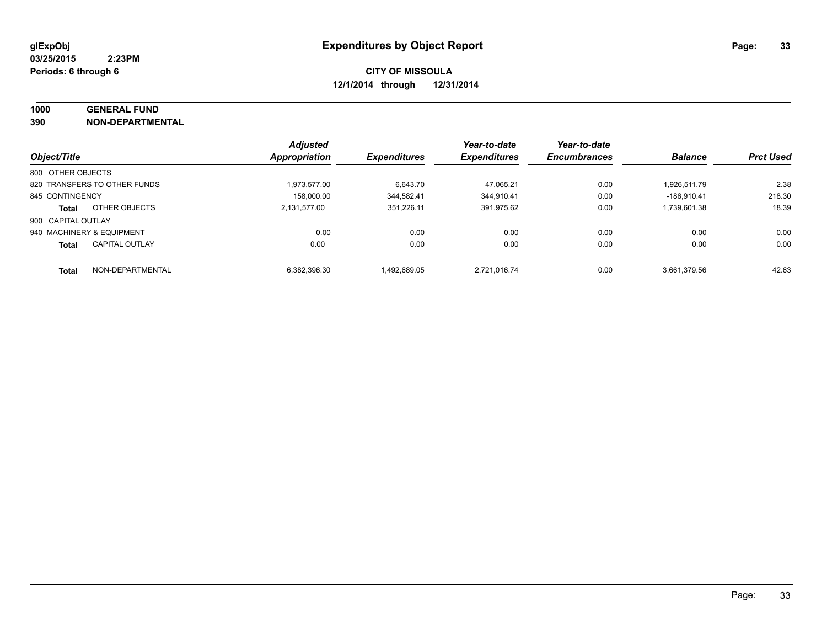# **1000 GENERAL FUND**

**390 NON-DEPARTMENTAL**

|                           |                              | <b>Adjusted</b> |                     | Year-to-date        | Year-to-date        |                |                  |
|---------------------------|------------------------------|-----------------|---------------------|---------------------|---------------------|----------------|------------------|
| Object/Title              |                              | Appropriation   | <b>Expenditures</b> | <b>Expenditures</b> | <b>Encumbrances</b> | <b>Balance</b> | <b>Prct Used</b> |
| 800 OTHER OBJECTS         |                              |                 |                     |                     |                     |                |                  |
|                           | 820 TRANSFERS TO OTHER FUNDS | 1.973.577.00    | 6,643.70            | 47.065.21           | 0.00                | 1.926.511.79   | 2.38             |
| 845 CONTINGENCY           |                              | 158.000.00      | 344.582.41          | 344.910.41          | 0.00                | $-186.910.41$  | 218.30           |
| <b>Total</b>              | OTHER OBJECTS                | 2,131,577.00    | 351.226.11          | 391,975.62          | 0.00                | 1.739.601.38   | 18.39            |
| 900 CAPITAL OUTLAY        |                              |                 |                     |                     |                     |                |                  |
| 940 MACHINERY & EQUIPMENT |                              | 0.00            | 0.00                | 0.00                | 0.00                | 0.00           | 0.00             |
| <b>Total</b>              | <b>CAPITAL OUTLAY</b>        | 0.00            | 0.00                | 0.00                | 0.00                | 0.00           | 0.00             |
| <b>Total</b>              | NON-DEPARTMENTAL             | 6,382,396.30    | 1.492.689.05        | 2.721.016.74        | 0.00                | 3.661.379.56   | 42.63            |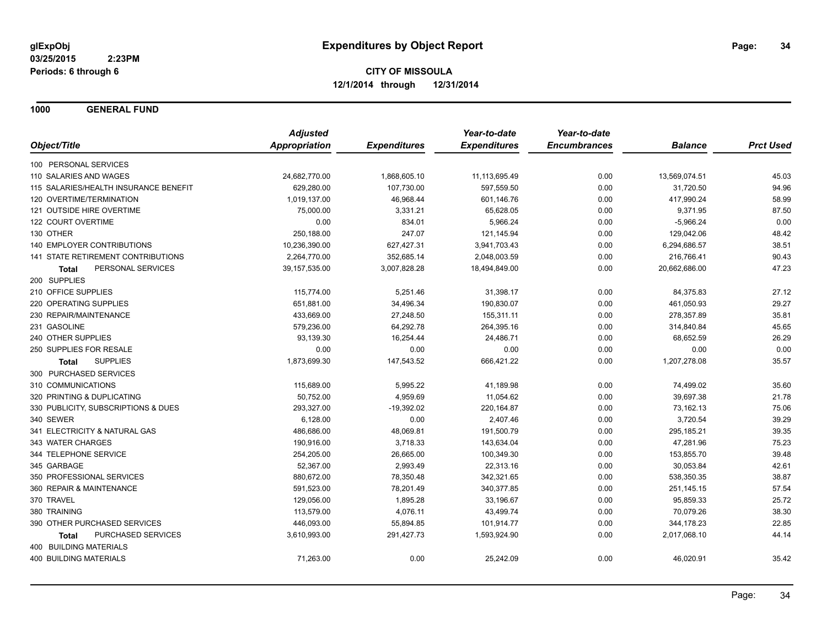**1000 GENERAL FUND**

|                                       | <b>Adjusted</b>      |                     | Year-to-date        | Year-to-date        |                |                  |
|---------------------------------------|----------------------|---------------------|---------------------|---------------------|----------------|------------------|
| Object/Title                          | <b>Appropriation</b> | <b>Expenditures</b> | <b>Expenditures</b> | <b>Encumbrances</b> | <b>Balance</b> | <b>Prct Used</b> |
| 100 PERSONAL SERVICES                 |                      |                     |                     |                     |                |                  |
| 110 SALARIES AND WAGES                | 24,682,770.00        | 1,868,605.10        | 11, 113, 695.49     | 0.00                | 13,569,074.51  | 45.03            |
| 115 SALARIES/HEALTH INSURANCE BENEFIT | 629,280.00           | 107,730.00          | 597,559.50          | 0.00                | 31,720.50      | 94.96            |
| 120 OVERTIME/TERMINATION              | 1,019,137.00         | 46,968.44           | 601,146.76          | 0.00                | 417,990.24     | 58.99            |
| 121 OUTSIDE HIRE OVERTIME             | 75,000.00            | 3,331.21            | 65,628.05           | 0.00                | 9,371.95       | 87.50            |
| 122 COURT OVERTIME                    | 0.00                 | 834.01              | 5,966.24            | 0.00                | $-5,966.24$    | 0.00             |
| 130 OTHER                             | 250,188.00           | 247.07              | 121,145.94          | 0.00                | 129,042.06     | 48.42            |
| 140 EMPLOYER CONTRIBUTIONS            | 10,236,390.00        | 627,427.31          | 3,941,703.43        | 0.00                | 6,294,686.57   | 38.51            |
| 141 STATE RETIREMENT CONTRIBUTIONS    | 2,264,770.00         | 352,685.14          | 2,048,003.59        | 0.00                | 216,766.41     | 90.43            |
| PERSONAL SERVICES<br>Total            | 39,157,535.00        | 3,007,828.28        | 18,494,849.00       | 0.00                | 20,662,686.00  | 47.23            |
| 200 SUPPLIES                          |                      |                     |                     |                     |                |                  |
| 210 OFFICE SUPPLIES                   | 115,774.00           | 5,251.46            | 31,398.17           | 0.00                | 84,375.83      | 27.12            |
| 220 OPERATING SUPPLIES                | 651,881.00           | 34,496.34           | 190,830.07          | 0.00                | 461,050.93     | 29.27            |
| 230 REPAIR/MAINTENANCE                | 433,669.00           | 27,248.50           | 155,311.11          | 0.00                | 278,357.89     | 35.81            |
| 231 GASOLINE                          | 579,236.00           | 64,292.78           | 264,395.16          | 0.00                | 314,840.84     | 45.65            |
| 240 OTHER SUPPLIES                    | 93,139.30            | 16,254.44           | 24,486.71           | 0.00                | 68,652.59      | 26.29            |
| 250 SUPPLIES FOR RESALE               | 0.00                 | 0.00                | 0.00                | 0.00                | 0.00           | 0.00             |
| <b>SUPPLIES</b><br><b>Total</b>       | 1,873,699.30         | 147,543.52          | 666,421.22          | 0.00                | 1,207,278.08   | 35.57            |
| 300 PURCHASED SERVICES                |                      |                     |                     |                     |                |                  |
| 310 COMMUNICATIONS                    | 115,689.00           | 5,995.22            | 41,189.98           | 0.00                | 74,499.02      | 35.60            |
| 320 PRINTING & DUPLICATING            | 50,752.00            | 4,959.69            | 11,054.62           | 0.00                | 39,697.38      | 21.78            |
| 330 PUBLICITY, SUBSCRIPTIONS & DUES   | 293,327.00           | $-19,392.02$        | 220, 164.87         | 0.00                | 73,162.13      | 75.06            |
| 340 SEWER                             | 6,128.00             | 0.00                | 2,407.46            | 0.00                | 3,720.54       | 39.29            |
| 341 ELECTRICITY & NATURAL GAS         | 486,686.00           | 48,069.81           | 191,500.79          | 0.00                | 295, 185.21    | 39.35            |
| 343 WATER CHARGES                     | 190,916.00           | 3,718.33            | 143,634.04          | 0.00                | 47,281.96      | 75.23            |
| 344 TELEPHONE SERVICE                 | 254,205.00           | 26,665.00           | 100,349.30          | 0.00                | 153,855.70     | 39.48            |
| 345 GARBAGE                           | 52,367.00            | 2,993.49            | 22,313.16           | 0.00                | 30,053.84      | 42.61            |
| 350 PROFESSIONAL SERVICES             | 880,672.00           | 78,350.48           | 342,321.65          | 0.00                | 538,350.35     | 38.87            |
| 360 REPAIR & MAINTENANCE              | 591,523.00           | 78,201.49           | 340,377.85          | 0.00                | 251,145.15     | 57.54            |
| 370 TRAVEL                            | 129,056.00           | 1,895.28            | 33,196.67           | 0.00                | 95,859.33      | 25.72            |
| 380 TRAINING                          | 113,579.00           | 4,076.11            | 43,499.74           | 0.00                | 70,079.26      | 38.30            |
| 390 OTHER PURCHASED SERVICES          | 446,093.00           | 55,894.85           | 101,914.77          | 0.00                | 344,178.23     | 22.85            |
| PURCHASED SERVICES<br><b>Total</b>    | 3,610,993.00         | 291,427.73          | 1,593,924.90        | 0.00                | 2,017,068.10   | 44.14            |
| 400 BUILDING MATERIALS                |                      |                     |                     |                     |                |                  |
| <b>400 BUILDING MATERIALS</b>         | 71,263.00            | 0.00                | 25,242.09           | 0.00                | 46,020.91      | 35.42            |
|                                       |                      |                     |                     |                     |                |                  |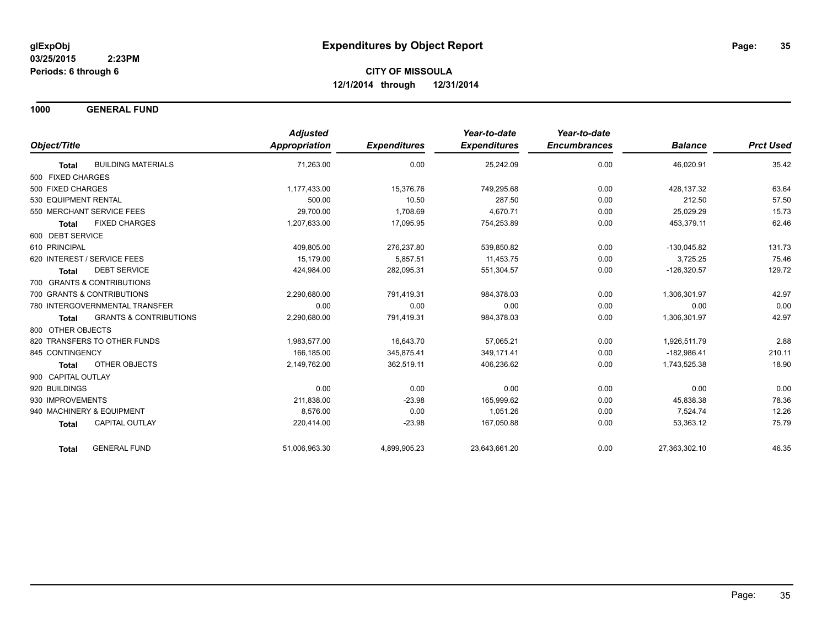**1000 GENERAL FUND**

|                                                   | <b>Adjusted</b>      |                     | Year-to-date        | Year-to-date        |                |                  |
|---------------------------------------------------|----------------------|---------------------|---------------------|---------------------|----------------|------------------|
| Object/Title                                      | <b>Appropriation</b> | <b>Expenditures</b> | <b>Expenditures</b> | <b>Encumbrances</b> | <b>Balance</b> | <b>Prct Used</b> |
| <b>BUILDING MATERIALS</b><br><b>Total</b>         | 71,263.00            | 0.00                | 25,242.09           | 0.00                | 46,020.91      | 35.42            |
| 500 FIXED CHARGES                                 |                      |                     |                     |                     |                |                  |
| 500 FIXED CHARGES                                 | 1,177,433.00         | 15,376.76           | 749,295.68          | 0.00                | 428,137.32     | 63.64            |
| 530 EQUIPMENT RENTAL                              | 500.00               | 10.50               | 287.50              | 0.00                | 212.50         | 57.50            |
| 550 MERCHANT SERVICE FEES                         | 29,700.00            | 1,708.69            | 4.670.71            | 0.00                | 25,029.29      | 15.73            |
| <b>FIXED CHARGES</b><br><b>Total</b>              | 1,207,633.00         | 17,095.95           | 754,253.89          | 0.00                | 453,379.11     | 62.46            |
| 600 DEBT SERVICE                                  |                      |                     |                     |                     |                |                  |
| 610 PRINCIPAL                                     | 409,805.00           | 276,237.80          | 539,850.82          | 0.00                | $-130,045.82$  | 131.73           |
| 620 INTEREST / SERVICE FEES                       | 15.179.00            | 5,857.51            | 11,453.75           | 0.00                | 3,725.25       | 75.46            |
| <b>DEBT SERVICE</b><br><b>Total</b>               | 424.984.00           | 282,095.31          | 551,304.57          | 0.00                | $-126,320.57$  | 129.72           |
| 700 GRANTS & CONTRIBUTIONS                        |                      |                     |                     |                     |                |                  |
| 700 GRANTS & CONTRIBUTIONS                        | 2,290,680.00         | 791,419.31          | 984,378.03          | 0.00                | 1,306,301.97   | 42.97            |
| 780 INTERGOVERNMENTAL TRANSFER                    | 0.00                 | 0.00                | 0.00                | 0.00                | 0.00           | 0.00             |
| <b>GRANTS &amp; CONTRIBUTIONS</b><br><b>Total</b> | 2,290,680.00         | 791,419.31          | 984,378.03          | 0.00                | 1,306,301.97   | 42.97            |
| 800 OTHER OBJECTS                                 |                      |                     |                     |                     |                |                  |
| 820 TRANSFERS TO OTHER FUNDS                      | 1,983,577.00         | 16,643.70           | 57,065.21           | 0.00                | 1,926,511.79   | 2.88             |
| 845 CONTINGENCY                                   | 166,185.00           | 345,875.41          | 349,171.41          | 0.00                | $-182,986.41$  | 210.11           |
| <b>OTHER OBJECTS</b><br>Total                     | 2,149,762.00         | 362,519.11          | 406,236.62          | 0.00                | 1,743,525.38   | 18.90            |
| 900 CAPITAL OUTLAY                                |                      |                     |                     |                     |                |                  |
| 920 BUILDINGS                                     | 0.00                 | 0.00                | 0.00                | 0.00                | 0.00           | 0.00             |
| 930 IMPROVEMENTS                                  | 211,838.00           | $-23.98$            | 165,999.62          | 0.00                | 45,838.38      | 78.36            |
| 940 MACHINERY & EQUIPMENT                         | 8.576.00             | 0.00                | 1.051.26            | 0.00                | 7,524.74       | 12.26            |
| CAPITAL OUTLAY<br><b>Total</b>                    | 220,414.00           | $-23.98$            | 167,050.88          | 0.00                | 53,363.12      | 75.79            |
| <b>GENERAL FUND</b><br><b>Total</b>               | 51,006,963.30        | 4,899,905.23        | 23,643,661.20       | 0.00                | 27,363,302.10  | 46.35            |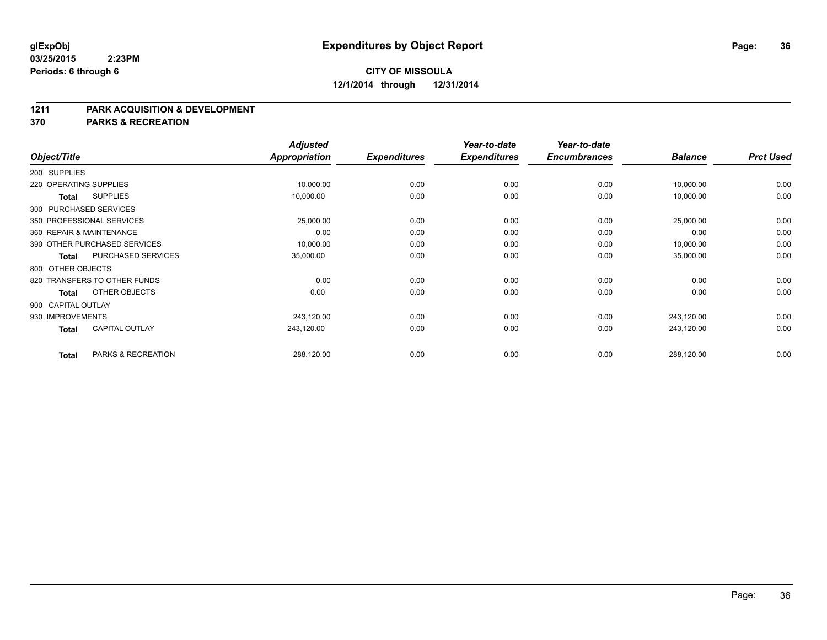### **1211 PARK ACQUISITION & DEVELOPMENT**

**370 PARKS & RECREATION**

| Object/Title           |                              | <b>Adjusted</b><br><b>Appropriation</b> | <b>Expenditures</b> | Year-to-date<br><b>Expenditures</b> | Year-to-date<br><b>Encumbrances</b> | <b>Balance</b> | <b>Prct Used</b> |
|------------------------|------------------------------|-----------------------------------------|---------------------|-------------------------------------|-------------------------------------|----------------|------------------|
|                        |                              |                                         |                     |                                     |                                     |                |                  |
| 200 SUPPLIES           |                              |                                         |                     |                                     |                                     |                |                  |
| 220 OPERATING SUPPLIES |                              | 10,000.00                               | 0.00                | 0.00                                | 0.00                                | 10,000.00      | 0.00             |
| <b>Total</b>           | <b>SUPPLIES</b>              | 10,000.00                               | 0.00                | 0.00                                | 0.00                                | 10,000.00      | 0.00             |
|                        | 300 PURCHASED SERVICES       |                                         |                     |                                     |                                     |                |                  |
|                        | 350 PROFESSIONAL SERVICES    | 25,000.00                               | 0.00                | 0.00                                | 0.00                                | 25,000.00      | 0.00             |
|                        | 360 REPAIR & MAINTENANCE     | 0.00                                    | 0.00                | 0.00                                | 0.00                                | 0.00           | 0.00             |
|                        | 390 OTHER PURCHASED SERVICES | 10,000.00                               | 0.00                | 0.00                                | 0.00                                | 10,000.00      | 0.00             |
| <b>Total</b>           | PURCHASED SERVICES           | 35,000.00                               | 0.00                | 0.00                                | 0.00                                | 35,000.00      | 0.00             |
| 800 OTHER OBJECTS      |                              |                                         |                     |                                     |                                     |                |                  |
|                        | 820 TRANSFERS TO OTHER FUNDS | 0.00                                    | 0.00                | 0.00                                | 0.00                                | 0.00           | 0.00             |
| <b>Total</b>           | OTHER OBJECTS                | 0.00                                    | 0.00                | 0.00                                | 0.00                                | 0.00           | 0.00             |
| 900 CAPITAL OUTLAY     |                              |                                         |                     |                                     |                                     |                |                  |
| 930 IMPROVEMENTS       |                              | 243,120.00                              | 0.00                | 0.00                                | 0.00                                | 243,120.00     | 0.00             |
| <b>Total</b>           | <b>CAPITAL OUTLAY</b>        | 243,120.00                              | 0.00                | 0.00                                | 0.00                                | 243,120.00     | 0.00             |
| <b>Total</b>           | PARKS & RECREATION           | 288,120.00                              | 0.00                | 0.00                                | 0.00                                | 288,120.00     | 0.00             |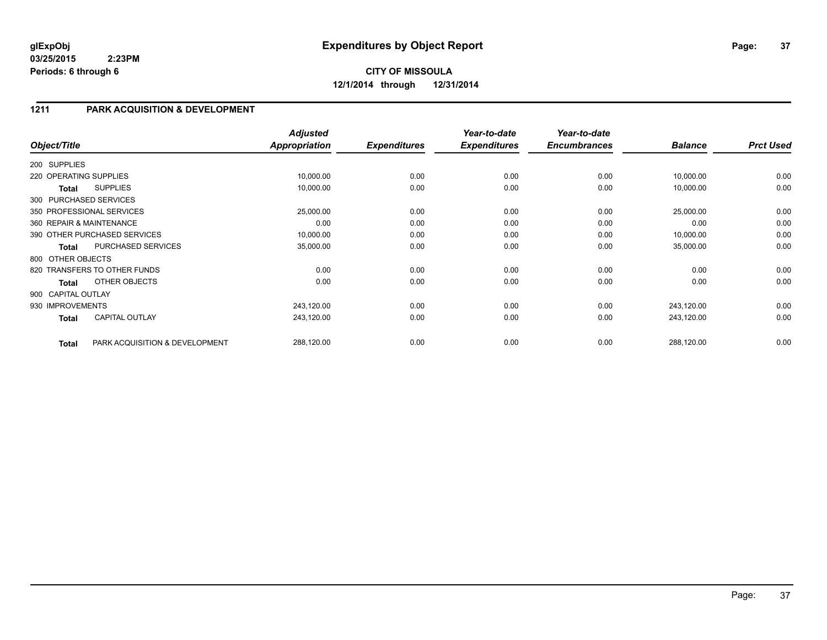## **1211 PARK ACQUISITION & DEVELOPMENT**

| Object/Title           |                                | <b>Adjusted</b><br>Appropriation | <b>Expenditures</b> | Year-to-date<br><b>Expenditures</b> | Year-to-date<br><b>Encumbrances</b> | <b>Balance</b> | <b>Prct Used</b> |
|------------------------|--------------------------------|----------------------------------|---------------------|-------------------------------------|-------------------------------------|----------------|------------------|
| 200 SUPPLIES           |                                |                                  |                     |                                     |                                     |                |                  |
| 220 OPERATING SUPPLIES |                                | 10,000.00                        | 0.00                | 0.00                                | 0.00                                | 10,000.00      | 0.00             |
| Total                  | <b>SUPPLIES</b>                | 10,000.00                        | 0.00                | 0.00                                | 0.00                                | 10,000.00      | 0.00             |
|                        | 300 PURCHASED SERVICES         |                                  |                     |                                     |                                     |                |                  |
|                        | 350 PROFESSIONAL SERVICES      | 25,000.00                        | 0.00                | 0.00                                | 0.00                                | 25,000.00      | 0.00             |
|                        | 360 REPAIR & MAINTENANCE       | 0.00                             | 0.00                | 0.00                                | 0.00                                | 0.00           | 0.00             |
|                        | 390 OTHER PURCHASED SERVICES   | 10,000.00                        | 0.00                | 0.00                                | 0.00                                | 10,000.00      | 0.00             |
| <b>Total</b>           | PURCHASED SERVICES             | 35,000.00                        | 0.00                | 0.00                                | 0.00                                | 35,000.00      | 0.00             |
| 800 OTHER OBJECTS      |                                |                                  |                     |                                     |                                     |                |                  |
|                        | 820 TRANSFERS TO OTHER FUNDS   | 0.00                             | 0.00                | 0.00                                | 0.00                                | 0.00           | 0.00             |
| <b>Total</b>           | OTHER OBJECTS                  | 0.00                             | 0.00                | 0.00                                | 0.00                                | 0.00           | 0.00             |
| 900 CAPITAL OUTLAY     |                                |                                  |                     |                                     |                                     |                |                  |
| 930 IMPROVEMENTS       |                                | 243,120.00                       | 0.00                | 0.00                                | 0.00                                | 243,120.00     | 0.00             |
| <b>Total</b>           | <b>CAPITAL OUTLAY</b>          | 243,120.00                       | 0.00                | 0.00                                | 0.00                                | 243,120.00     | 0.00             |
| <b>Total</b>           | PARK ACQUISITION & DEVELOPMENT | 288,120.00                       | 0.00                | 0.00                                | 0.00                                | 288,120.00     | 0.00             |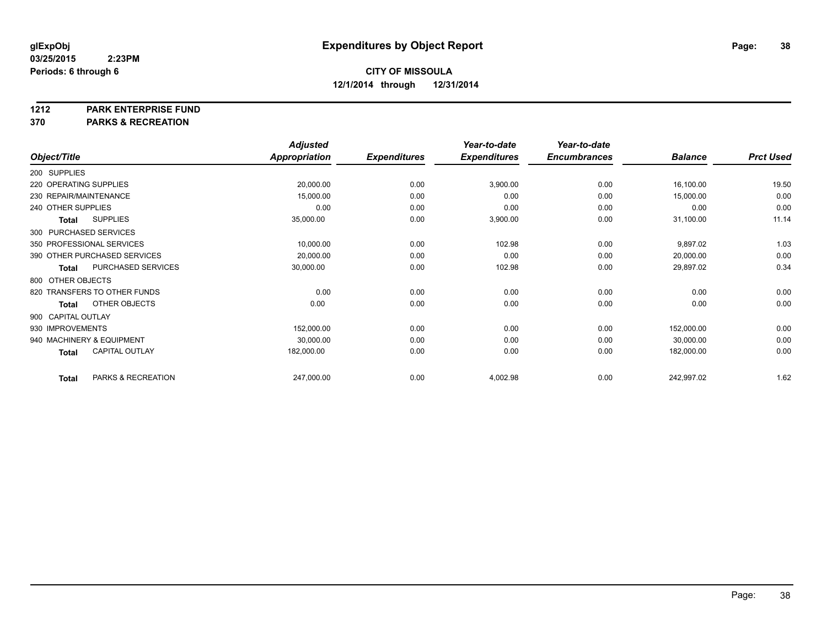**1212 PARK ENTERPRISE FUND**

**370 PARKS & RECREATION**

|                        |                              | <b>Adjusted</b> |                     | Year-to-date        | Year-to-date        |                |                  |
|------------------------|------------------------------|-----------------|---------------------|---------------------|---------------------|----------------|------------------|
| Object/Title           |                              | Appropriation   | <b>Expenditures</b> | <b>Expenditures</b> | <b>Encumbrances</b> | <b>Balance</b> | <b>Prct Used</b> |
| 200 SUPPLIES           |                              |                 |                     |                     |                     |                |                  |
| 220 OPERATING SUPPLIES |                              | 20,000.00       | 0.00                | 3,900.00            | 0.00                | 16,100.00      | 19.50            |
|                        | 230 REPAIR/MAINTENANCE       | 15,000.00       | 0.00                | 0.00                | 0.00                | 15,000.00      | 0.00             |
| 240 OTHER SUPPLIES     |                              | 0.00            | 0.00                | 0.00                | 0.00                | 0.00           | 0.00             |
| <b>Total</b>           | <b>SUPPLIES</b>              | 35,000.00       | 0.00                | 3,900.00            | 0.00                | 31,100.00      | 11.14            |
|                        | 300 PURCHASED SERVICES       |                 |                     |                     |                     |                |                  |
|                        | 350 PROFESSIONAL SERVICES    | 10,000.00       | 0.00                | 102.98              | 0.00                | 9,897.02       | 1.03             |
|                        | 390 OTHER PURCHASED SERVICES | 20,000.00       | 0.00                | 0.00                | 0.00                | 20,000.00      | 0.00             |
| <b>Total</b>           | PURCHASED SERVICES           | 30,000.00       | 0.00                | 102.98              | 0.00                | 29,897.02      | 0.34             |
| 800 OTHER OBJECTS      |                              |                 |                     |                     |                     |                |                  |
|                        | 820 TRANSFERS TO OTHER FUNDS | 0.00            | 0.00                | 0.00                | 0.00                | 0.00           | 0.00             |
| <b>Total</b>           | OTHER OBJECTS                | 0.00            | 0.00                | 0.00                | 0.00                | 0.00           | 0.00             |
| 900 CAPITAL OUTLAY     |                              |                 |                     |                     |                     |                |                  |
| 930 IMPROVEMENTS       |                              | 152,000.00      | 0.00                | 0.00                | 0.00                | 152,000.00     | 0.00             |
|                        | 940 MACHINERY & EQUIPMENT    | 30,000.00       | 0.00                | 0.00                | 0.00                | 30,000.00      | 0.00             |
| <b>Total</b>           | <b>CAPITAL OUTLAY</b>        | 182,000.00      | 0.00                | 0.00                | 0.00                | 182,000.00     | 0.00             |
| <b>Total</b>           | PARKS & RECREATION           | 247,000.00      | 0.00                | 4,002.98            | 0.00                | 242,997.02     | 1.62             |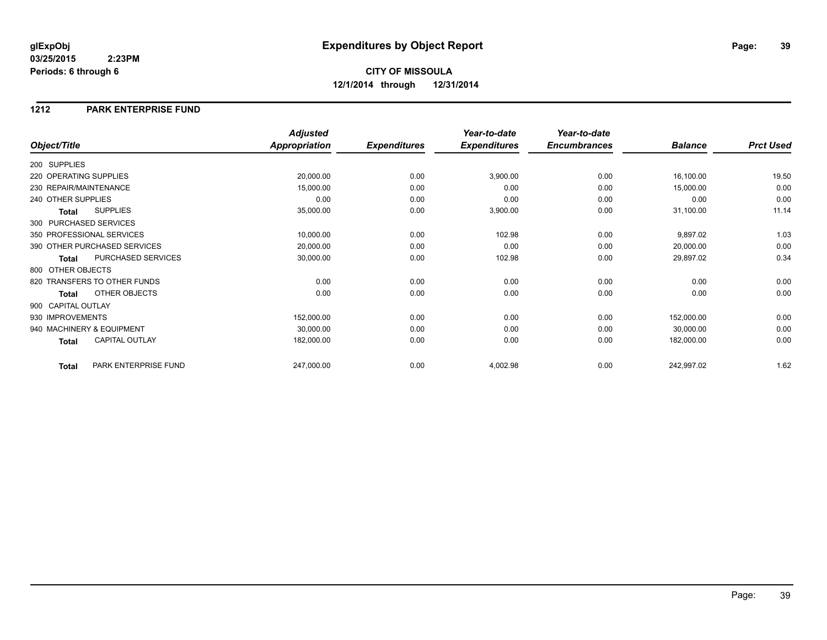### **1212 PARK ENTERPRISE FUND**

|                                       | <b>Adjusted</b>      |                     | Year-to-date        | Year-to-date        |                |                  |
|---------------------------------------|----------------------|---------------------|---------------------|---------------------|----------------|------------------|
| Object/Title                          | <b>Appropriation</b> | <b>Expenditures</b> | <b>Expenditures</b> | <b>Encumbrances</b> | <b>Balance</b> | <b>Prct Used</b> |
| 200 SUPPLIES                          |                      |                     |                     |                     |                |                  |
| 220 OPERATING SUPPLIES                | 20,000.00            | 0.00                | 3,900.00            | 0.00                | 16,100.00      | 19.50            |
| 230 REPAIR/MAINTENANCE                | 15,000.00            | 0.00                | 0.00                | 0.00                | 15,000.00      | 0.00             |
| 240 OTHER SUPPLIES                    | 0.00                 | 0.00                | 0.00                | 0.00                | 0.00           | 0.00             |
| <b>SUPPLIES</b><br><b>Total</b>       | 35,000.00            | 0.00                | 3,900.00            | 0.00                | 31,100.00      | 11.14            |
| 300 PURCHASED SERVICES                |                      |                     |                     |                     |                |                  |
| 350 PROFESSIONAL SERVICES             | 10,000.00            | 0.00                | 102.98              | 0.00                | 9,897.02       | 1.03             |
| 390 OTHER PURCHASED SERVICES          | 20,000.00            | 0.00                | 0.00                | 0.00                | 20,000.00      | 0.00             |
| PURCHASED SERVICES<br><b>Total</b>    | 30,000.00            | 0.00                | 102.98              | 0.00                | 29,897.02      | 0.34             |
| 800 OTHER OBJECTS                     |                      |                     |                     |                     |                |                  |
| 820 TRANSFERS TO OTHER FUNDS          | 0.00                 | 0.00                | 0.00                | 0.00                | 0.00           | 0.00             |
| OTHER OBJECTS<br><b>Total</b>         | 0.00                 | 0.00                | 0.00                | 0.00                | 0.00           | 0.00             |
| 900 CAPITAL OUTLAY                    |                      |                     |                     |                     |                |                  |
| 930 IMPROVEMENTS                      | 152,000.00           | 0.00                | 0.00                | 0.00                | 152,000.00     | 0.00             |
| 940 MACHINERY & EQUIPMENT             | 30,000.00            | 0.00                | 0.00                | 0.00                | 30,000.00      | 0.00             |
| <b>CAPITAL OUTLAY</b><br><b>Total</b> | 182,000.00           | 0.00                | 0.00                | 0.00                | 182,000.00     | 0.00             |
| PARK ENTERPRISE FUND<br><b>Total</b>  | 247,000.00           | 0.00                | 4,002.98            | 0.00                | 242,997.02     | 1.62             |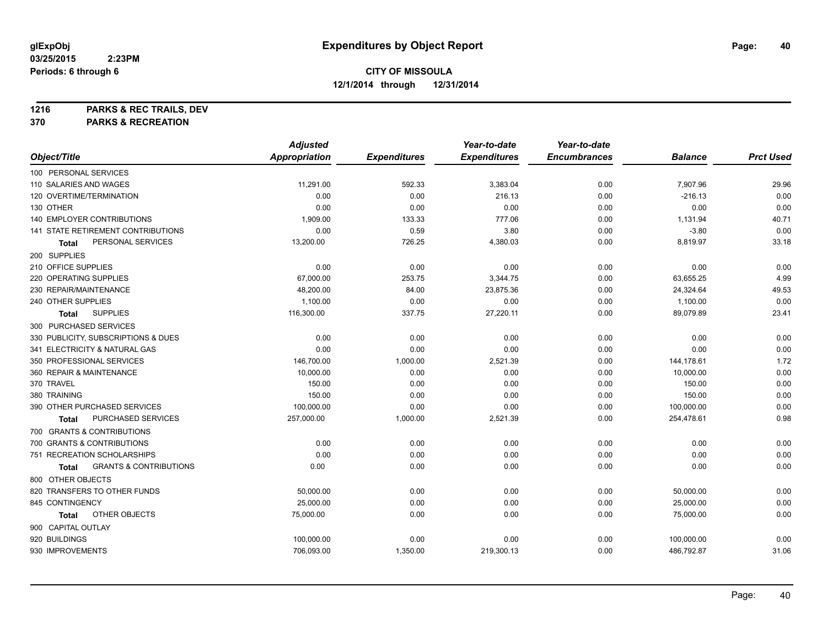**1216 PARKS & REC TRAILS, DEV**

**370 PARKS & RECREATION**

|                                                   | <b>Adjusted</b>      |                     | Year-to-date        | Year-to-date        |                |                  |
|---------------------------------------------------|----------------------|---------------------|---------------------|---------------------|----------------|------------------|
| Object/Title                                      | <b>Appropriation</b> | <b>Expenditures</b> | <b>Expenditures</b> | <b>Encumbrances</b> | <b>Balance</b> | <b>Prct Used</b> |
| 100 PERSONAL SERVICES                             |                      |                     |                     |                     |                |                  |
| 110 SALARIES AND WAGES                            | 11,291.00            | 592.33              | 3,383.04            | 0.00                | 7,907.96       | 29.96            |
| 120 OVERTIME/TERMINATION                          | 0.00                 | 0.00                | 216.13              | 0.00                | $-216.13$      | 0.00             |
| 130 OTHER                                         | 0.00                 | 0.00                | 0.00                | 0.00                | 0.00           | 0.00             |
| 140 EMPLOYER CONTRIBUTIONS                        | 1,909.00             | 133.33              | 777.06              | 0.00                | 1,131.94       | 40.71            |
| 141 STATE RETIREMENT CONTRIBUTIONS                | 0.00                 | 0.59                | 3.80                | 0.00                | $-3.80$        | 0.00             |
| PERSONAL SERVICES<br>Total                        | 13,200.00            | 726.25              | 4,380.03            | 0.00                | 8,819.97       | 33.18            |
| 200 SUPPLIES                                      |                      |                     |                     |                     |                |                  |
| 210 OFFICE SUPPLIES                               | 0.00                 | 0.00                | 0.00                | 0.00                | 0.00           | 0.00             |
| 220 OPERATING SUPPLIES                            | 67,000.00            | 253.75              | 3,344.75            | 0.00                | 63,655.25      | 4.99             |
| 230 REPAIR/MAINTENANCE                            | 48,200.00            | 84.00               | 23,875.36           | 0.00                | 24,324.64      | 49.53            |
| 240 OTHER SUPPLIES                                | 1,100.00             | 0.00                | 0.00                | 0.00                | 1,100.00       | 0.00             |
| <b>SUPPLIES</b><br>Total                          | 116,300.00           | 337.75              | 27,220.11           | 0.00                | 89,079.89      | 23.41            |
| 300 PURCHASED SERVICES                            |                      |                     |                     |                     |                |                  |
| 330 PUBLICITY, SUBSCRIPTIONS & DUES               | 0.00                 | 0.00                | 0.00                | 0.00                | 0.00           | 0.00             |
| 341 ELECTRICITY & NATURAL GAS                     | 0.00                 | 0.00                | 0.00                | 0.00                | 0.00           | 0.00             |
| 350 PROFESSIONAL SERVICES                         | 146,700.00           | 1,000.00            | 2,521.39            | 0.00                | 144,178.61     | 1.72             |
| 360 REPAIR & MAINTENANCE                          | 10,000.00            | 0.00                | 0.00                | 0.00                | 10,000.00      | 0.00             |
| 370 TRAVEL                                        | 150.00               | 0.00                | 0.00                | 0.00                | 150.00         | 0.00             |
| 380 TRAINING                                      | 150.00               | 0.00                | 0.00                | 0.00                | 150.00         | 0.00             |
| 390 OTHER PURCHASED SERVICES                      | 100,000.00           | 0.00                | 0.00                | 0.00                | 100,000.00     | 0.00             |
| PURCHASED SERVICES<br><b>Total</b>                | 257,000.00           | 1,000.00            | 2,521.39            | 0.00                | 254,478.61     | 0.98             |
| 700 GRANTS & CONTRIBUTIONS                        |                      |                     |                     |                     |                |                  |
| 700 GRANTS & CONTRIBUTIONS                        | 0.00                 | 0.00                | 0.00                | 0.00                | 0.00           | 0.00             |
| 751 RECREATION SCHOLARSHIPS                       | 0.00                 | 0.00                | 0.00                | 0.00                | 0.00           | 0.00             |
| <b>GRANTS &amp; CONTRIBUTIONS</b><br><b>Total</b> | 0.00                 | 0.00                | 0.00                | 0.00                | 0.00           | 0.00             |
| 800 OTHER OBJECTS                                 |                      |                     |                     |                     |                |                  |
| 820 TRANSFERS TO OTHER FUNDS                      | 50,000.00            | 0.00                | 0.00                | 0.00                | 50,000.00      | 0.00             |
| 845 CONTINGENCY                                   | 25,000.00            | 0.00                | 0.00                | 0.00                | 25,000.00      | 0.00             |
| OTHER OBJECTS<br>Total                            | 75,000.00            | 0.00                | 0.00                | 0.00                | 75,000.00      | 0.00             |
| 900 CAPITAL OUTLAY                                |                      |                     |                     |                     |                |                  |
| 920 BUILDINGS                                     | 100,000.00           | 0.00                | 0.00                | 0.00                | 100,000.00     | 0.00             |
| 930 IMPROVEMENTS                                  | 706,093.00           | 1,350.00            | 219,300.13          | 0.00                | 486,792.87     | 31.06            |
|                                                   |                      |                     |                     |                     |                |                  |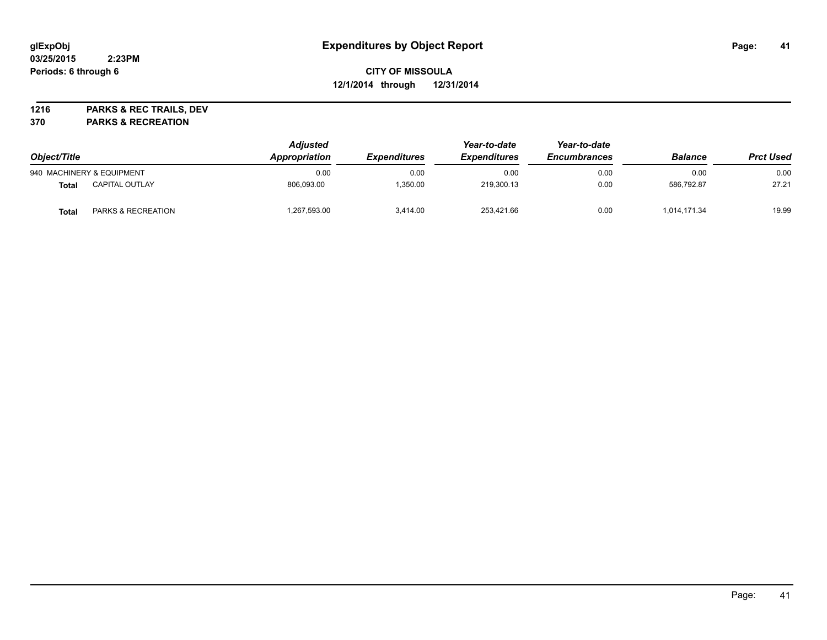## **CITY OF MISSOULA 12/1/2014 through 12/31/2014**

**1216 PARKS & REC TRAILS, DEV**

**370 PARKS & RECREATION**

| Object/Title |                               | <b>Adjusted</b><br>Appropriation | <i><b>Expenditures</b></i> | Year-to-date<br><b>Expenditures</b> | Year-to-date<br><b>Encumbrances</b> | <b>Balance</b> | <b>Prct Used</b> |
|--------------|-------------------------------|----------------------------------|----------------------------|-------------------------------------|-------------------------------------|----------------|------------------|
|              | 940 MACHINERY & EQUIPMENT     | 0.00                             | 0.00                       | 0.00                                | 0.00                                | 0.00           | 0.00             |
| Total        | <b>CAPITAL OUTLAY</b>         | 806.093.00                       | 1,350.00                   | 219,300.13                          | 0.00                                | 586.792.87     | 27.21            |
| Total        | <b>PARKS &amp; RECREATION</b> | 1,267,593.00                     | 3.414.00                   | 253,421.66                          | 0.00                                | 1,014,171.34   | 19.99            |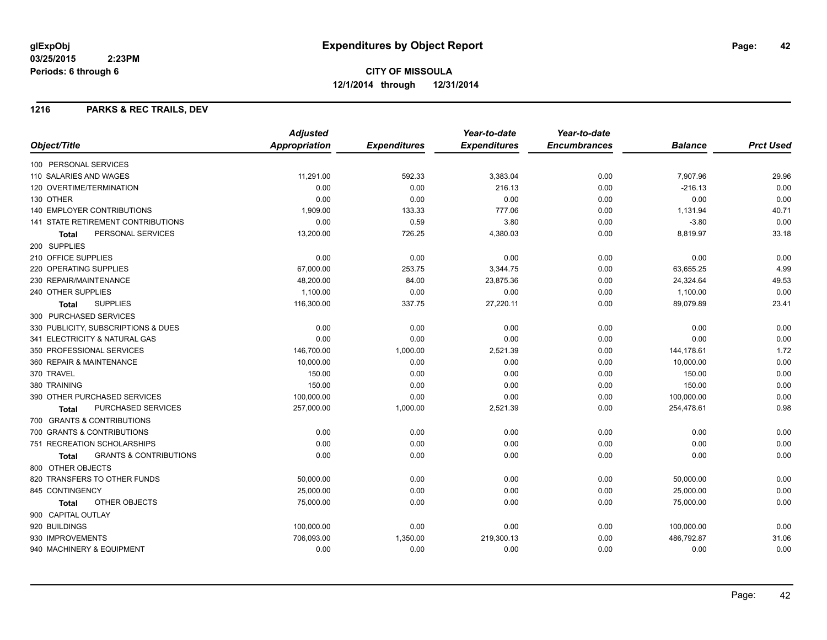## **1216 PARKS & REC TRAILS, DEV**

|                                            | <b>Adjusted</b>      |                     | Year-to-date        | Year-to-date        |                |                  |
|--------------------------------------------|----------------------|---------------------|---------------------|---------------------|----------------|------------------|
| Object/Title                               | <b>Appropriation</b> | <b>Expenditures</b> | <b>Expenditures</b> | <b>Encumbrances</b> | <b>Balance</b> | <b>Prct Used</b> |
| 100 PERSONAL SERVICES                      |                      |                     |                     |                     |                |                  |
| 110 SALARIES AND WAGES                     | 11,291.00            | 592.33              | 3,383.04            | 0.00                | 7,907.96       | 29.96            |
| 120 OVERTIME/TERMINATION                   | 0.00                 | 0.00                | 216.13              | 0.00                | $-216.13$      | 0.00             |
| 130 OTHER                                  | 0.00                 | 0.00                | 0.00                | 0.00                | 0.00           | 0.00             |
| 140 EMPLOYER CONTRIBUTIONS                 | 1,909.00             | 133.33              | 777.06              | 0.00                | 1,131.94       | 40.71            |
| 141 STATE RETIREMENT CONTRIBUTIONS         | 0.00                 | 0.59                | 3.80                | 0.00                | $-3.80$        | 0.00             |
| PERSONAL SERVICES<br><b>Total</b>          | 13,200.00            | 726.25              | 4,380.03            | 0.00                | 8,819.97       | 33.18            |
| 200 SUPPLIES                               |                      |                     |                     |                     |                |                  |
| 210 OFFICE SUPPLIES                        | 0.00                 | 0.00                | 0.00                | 0.00                | 0.00           | 0.00             |
| <b>220 OPERATING SUPPLIES</b>              | 67,000.00            | 253.75              | 3,344.75            | 0.00                | 63,655.25      | 4.99             |
| 230 REPAIR/MAINTENANCE                     | 48,200.00            | 84.00               | 23,875.36           | 0.00                | 24,324.64      | 49.53            |
| 240 OTHER SUPPLIES                         | 1,100.00             | 0.00                | 0.00                | 0.00                | 1,100.00       | 0.00             |
| <b>SUPPLIES</b><br><b>Total</b>            | 116,300.00           | 337.75              | 27,220.11           | 0.00                | 89,079.89      | 23.41            |
| 300 PURCHASED SERVICES                     |                      |                     |                     |                     |                |                  |
| 330 PUBLICITY, SUBSCRIPTIONS & DUES        | 0.00                 | 0.00                | 0.00                | 0.00                | 0.00           | 0.00             |
| 341 ELECTRICITY & NATURAL GAS              | 0.00                 | 0.00                | 0.00                | 0.00                | 0.00           | 0.00             |
| 350 PROFESSIONAL SERVICES                  | 146,700.00           | 1,000.00            | 2,521.39            | 0.00                | 144,178.61     | 1.72             |
| 360 REPAIR & MAINTENANCE                   | 10,000.00            | 0.00                | 0.00                | 0.00                | 10,000.00      | 0.00             |
| 370 TRAVEL                                 | 150.00               | 0.00                | 0.00                | 0.00                | 150.00         | 0.00             |
| 380 TRAINING                               | 150.00               | 0.00                | 0.00                | 0.00                | 150.00         | 0.00             |
| 390 OTHER PURCHASED SERVICES               | 100,000.00           | 0.00                | 0.00                | 0.00                | 100,000.00     | 0.00             |
| PURCHASED SERVICES<br><b>Total</b>         | 257,000.00           | 1,000.00            | 2,521.39            | 0.00                | 254,478.61     | 0.98             |
| 700 GRANTS & CONTRIBUTIONS                 |                      |                     |                     |                     |                |                  |
| 700 GRANTS & CONTRIBUTIONS                 | 0.00                 | 0.00                | 0.00                | 0.00                | 0.00           | 0.00             |
| 751 RECREATION SCHOLARSHIPS                | 0.00                 | 0.00                | 0.00                | 0.00                | 0.00           | 0.00             |
| <b>GRANTS &amp; CONTRIBUTIONS</b><br>Total | 0.00                 | 0.00                | 0.00                | 0.00                | 0.00           | 0.00             |
| 800 OTHER OBJECTS                          |                      |                     |                     |                     |                |                  |
| 820 TRANSFERS TO OTHER FUNDS               | 50,000.00            | 0.00                | 0.00                | 0.00                | 50,000.00      | 0.00             |
| 845 CONTINGENCY                            | 25,000.00            | 0.00                | 0.00                | 0.00                | 25,000.00      | 0.00             |
| OTHER OBJECTS<br>Total                     | 75,000.00            | 0.00                | 0.00                | 0.00                | 75,000.00      | 0.00             |
| 900 CAPITAL OUTLAY                         |                      |                     |                     |                     |                |                  |
| 920 BUILDINGS                              | 100,000.00           | 0.00                | 0.00                | 0.00                | 100,000.00     | 0.00             |
| 930 IMPROVEMENTS                           | 706,093.00           | 1,350.00            | 219,300.13          | 0.00                | 486,792.87     | 31.06            |
| 940 MACHINERY & EQUIPMENT                  | 0.00                 | 0.00                | 0.00                | 0.00                | 0.00           | 0.00             |
|                                            |                      |                     |                     |                     |                |                  |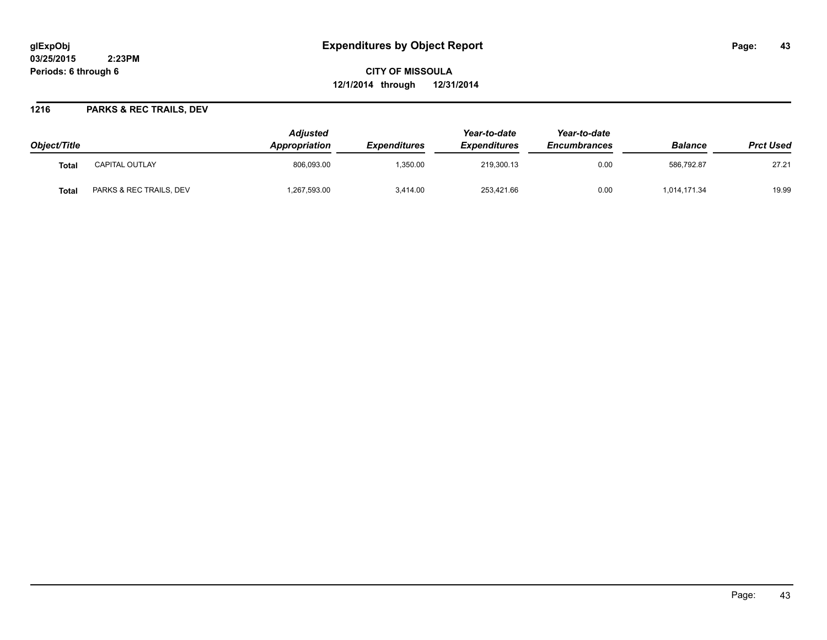# **glExpObj Expenditures by Object Report Page: 43**

**03/25/2015 2:23PM Periods: 6 through 6**

**CITY OF MISSOULA 12/1/2014 through 12/31/2014**

### **1216 PARKS & REC TRAILS, DEV**

| Object/Title |                         | <b>Adjusted</b><br>Appropriation | <i><b>Expenditures</b></i> | Year-to-date<br><b>Expenditures</b> | Year-to-date<br><b>Encumbrances</b> | <b>Balance</b> | <b>Prct Used</b> |
|--------------|-------------------------|----------------------------------|----------------------------|-------------------------------------|-------------------------------------|----------------|------------------|
| <b>Total</b> | <b>CAPITAL OUTLAY</b>   | 806.093.00                       | 1.350.00                   | 219.300.13                          | 0.00                                | 586.792.87     | 27.21            |
| Tota.        | PARKS & REC TRAILS, DEV | ,267,593.00                      | 3.414.00                   | 253.421.66                          | 0.00                                | 1,014,171.34   | 19.99            |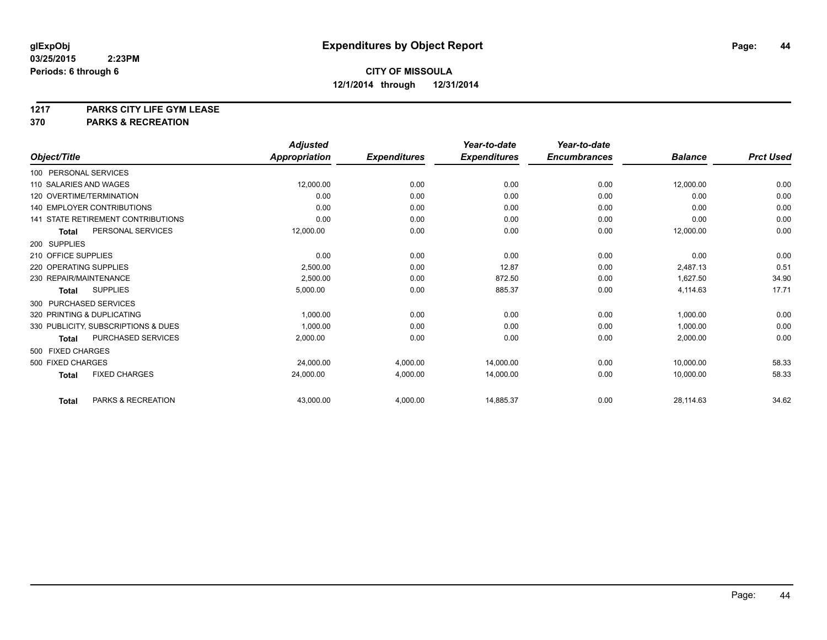**1217 PARKS CITY LIFE GYM LEASE**

**370 PARKS & RECREATION**

|                          |                                           | <b>Adjusted</b>      |                     | Year-to-date        | Year-to-date        |                |                  |
|--------------------------|-------------------------------------------|----------------------|---------------------|---------------------|---------------------|----------------|------------------|
| Object/Title             |                                           | <b>Appropriation</b> | <b>Expenditures</b> | <b>Expenditures</b> | <b>Encumbrances</b> | <b>Balance</b> | <b>Prct Used</b> |
| 100 PERSONAL SERVICES    |                                           |                      |                     |                     |                     |                |                  |
| 110 SALARIES AND WAGES   |                                           | 12,000.00            | 0.00                | 0.00                | 0.00                | 12,000.00      | 0.00             |
| 120 OVERTIME/TERMINATION |                                           | 0.00                 | 0.00                | 0.00                | 0.00                | 0.00           | 0.00             |
|                          | <b>140 EMPLOYER CONTRIBUTIONS</b>         | 0.00                 | 0.00                | 0.00                | 0.00                | 0.00           | 0.00             |
|                          | <b>141 STATE RETIREMENT CONTRIBUTIONS</b> | 0.00                 | 0.00                | 0.00                | 0.00                | 0.00           | 0.00             |
| <b>Total</b>             | PERSONAL SERVICES                         | 12,000.00            | 0.00                | 0.00                | 0.00                | 12,000.00      | 0.00             |
| 200 SUPPLIES             |                                           |                      |                     |                     |                     |                |                  |
| 210 OFFICE SUPPLIES      |                                           | 0.00                 | 0.00                | 0.00                | 0.00                | 0.00           | 0.00             |
| 220 OPERATING SUPPLIES   |                                           | 2,500.00             | 0.00                | 12.87               | 0.00                | 2.487.13       | 0.51             |
| 230 REPAIR/MAINTENANCE   |                                           | 2,500.00             | 0.00                | 872.50              | 0.00                | 1,627.50       | 34.90            |
| <b>Total</b>             | <b>SUPPLIES</b>                           | 5,000.00             | 0.00                | 885.37              | 0.00                | 4,114.63       | 17.71            |
| 300 PURCHASED SERVICES   |                                           |                      |                     |                     |                     |                |                  |
|                          | 320 PRINTING & DUPLICATING                | 1,000.00             | 0.00                | 0.00                | 0.00                | 1,000.00       | 0.00             |
|                          | 330 PUBLICITY, SUBSCRIPTIONS & DUES       | 1,000.00             | 0.00                | 0.00                | 0.00                | 1,000.00       | 0.00             |
| <b>Total</b>             | PURCHASED SERVICES                        | 2,000.00             | 0.00                | 0.00                | 0.00                | 2,000.00       | 0.00             |
| 500 FIXED CHARGES        |                                           |                      |                     |                     |                     |                |                  |
| 500 FIXED CHARGES        |                                           | 24,000.00            | 4,000.00            | 14,000.00           | 0.00                | 10,000.00      | 58.33            |
| <b>Total</b>             | <b>FIXED CHARGES</b>                      | 24,000.00            | 4,000.00            | 14,000.00           | 0.00                | 10,000.00      | 58.33            |
| <b>Total</b>             | PARKS & RECREATION                        | 43,000.00            | 4,000.00            | 14,885.37           | 0.00                | 28,114.63      | 34.62            |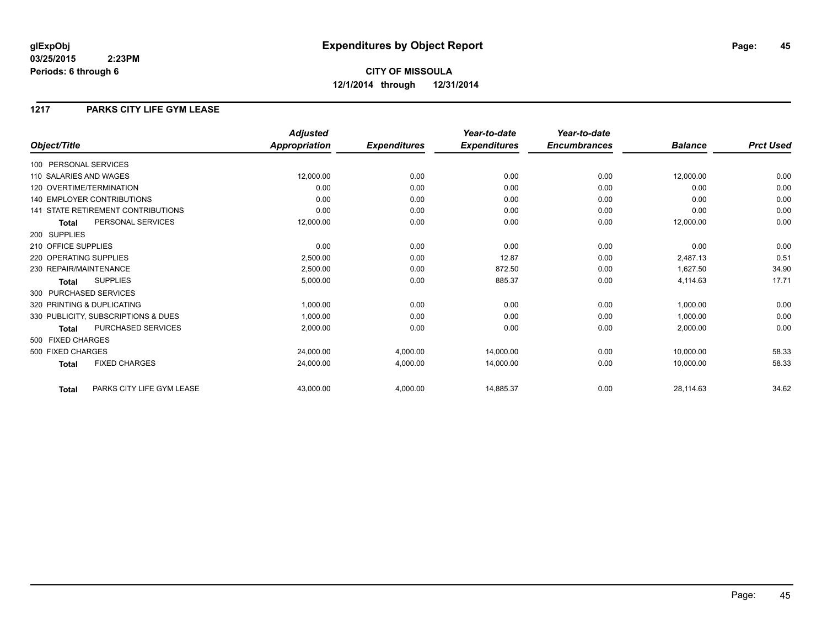## **CITY OF MISSOULA 12/1/2014 through 12/31/2014**

## **1217 PARKS CITY LIFE GYM LEASE**

|                                           | <b>Adjusted</b>      |                     | Year-to-date        | Year-to-date        |                |                  |
|-------------------------------------------|----------------------|---------------------|---------------------|---------------------|----------------|------------------|
| Object/Title                              | <b>Appropriation</b> | <b>Expenditures</b> | <b>Expenditures</b> | <b>Encumbrances</b> | <b>Balance</b> | <b>Prct Used</b> |
| 100 PERSONAL SERVICES                     |                      |                     |                     |                     |                |                  |
| 110 SALARIES AND WAGES                    | 12,000.00            | 0.00                | 0.00                | 0.00                | 12,000.00      | 0.00             |
| 120 OVERTIME/TERMINATION                  | 0.00                 | 0.00                | 0.00                | 0.00                | 0.00           | 0.00             |
| <b>140 EMPLOYER CONTRIBUTIONS</b>         | 0.00                 | 0.00                | 0.00                | 0.00                | 0.00           | 0.00             |
| <b>141 STATE RETIREMENT CONTRIBUTIONS</b> | 0.00                 | 0.00                | 0.00                | 0.00                | 0.00           | 0.00             |
| PERSONAL SERVICES<br><b>Total</b>         | 12,000.00            | 0.00                | 0.00                | 0.00                | 12,000.00      | 0.00             |
| 200 SUPPLIES                              |                      |                     |                     |                     |                |                  |
| 210 OFFICE SUPPLIES                       | 0.00                 | 0.00                | 0.00                | 0.00                | 0.00           | 0.00             |
| 220 OPERATING SUPPLIES                    | 2,500.00             | 0.00                | 12.87               | 0.00                | 2,487.13       | 0.51             |
| 230 REPAIR/MAINTENANCE                    | 2,500.00             | 0.00                | 872.50              | 0.00                | 1,627.50       | 34.90            |
| <b>SUPPLIES</b><br><b>Total</b>           | 5,000.00             | 0.00                | 885.37              | 0.00                | 4,114.63       | 17.71            |
| 300 PURCHASED SERVICES                    |                      |                     |                     |                     |                |                  |
| 320 PRINTING & DUPLICATING                | 1,000.00             | 0.00                | 0.00                | 0.00                | 1,000.00       | 0.00             |
| 330 PUBLICITY, SUBSCRIPTIONS & DUES       | 1,000.00             | 0.00                | 0.00                | 0.00                | 1,000.00       | 0.00             |
| PURCHASED SERVICES<br><b>Total</b>        | 2,000.00             | 0.00                | 0.00                | 0.00                | 2,000.00       | 0.00             |
| 500 FIXED CHARGES                         |                      |                     |                     |                     |                |                  |
| 500 FIXED CHARGES                         | 24,000.00            | 4,000.00            | 14,000.00           | 0.00                | 10,000.00      | 58.33            |
| <b>FIXED CHARGES</b><br><b>Total</b>      | 24,000.00            | 4,000.00            | 14,000.00           | 0.00                | 10,000.00      | 58.33            |
| PARKS CITY LIFE GYM LEASE<br><b>Total</b> | 43,000.00            | 4,000.00            | 14,885.37           | 0.00                | 28,114.63      | 34.62            |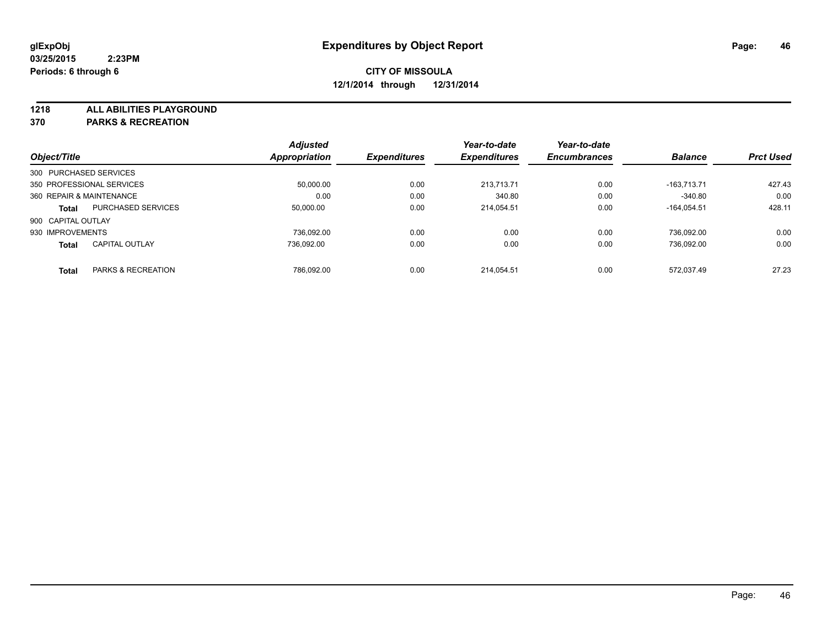**1218 ALL ABILITIES PLAYGROUND**

**370 PARKS & RECREATION**

|                          |                           | <b>Adjusted</b>      |                     | Year-to-date        | Year-to-date        |                |                  |
|--------------------------|---------------------------|----------------------|---------------------|---------------------|---------------------|----------------|------------------|
| Object/Title             |                           | <b>Appropriation</b> | <b>Expenditures</b> | <b>Expenditures</b> | <b>Encumbrances</b> | <b>Balance</b> | <b>Prct Used</b> |
| 300 PURCHASED SERVICES   |                           |                      |                     |                     |                     |                |                  |
|                          | 350 PROFESSIONAL SERVICES | 50.000.00            | 0.00                | 213.713.71          | 0.00                | $-163.713.71$  | 427.43           |
| 360 REPAIR & MAINTENANCE |                           | 0.00                 | 0.00                | 340.80              | 0.00                | $-340.80$      | 0.00             |
| <b>Total</b>             | <b>PURCHASED SERVICES</b> | 50,000.00            | 0.00                | 214.054.51          | 0.00                | $-164.054.51$  | 428.11           |
| 900 CAPITAL OUTLAY       |                           |                      |                     |                     |                     |                |                  |
| 930 IMPROVEMENTS         |                           | 736.092.00           | 0.00                | 0.00                | 0.00                | 736.092.00     | 0.00             |
| <b>Total</b>             | <b>CAPITAL OUTLAY</b>     | 736.092.00           | 0.00                | 0.00                | 0.00                | 736.092.00     | 0.00             |
| <b>Total</b>             | PARKS & RECREATION        | 786.092.00           | 0.00                | 214.054.51          | 0.00                | 572.037.49     | 27.23            |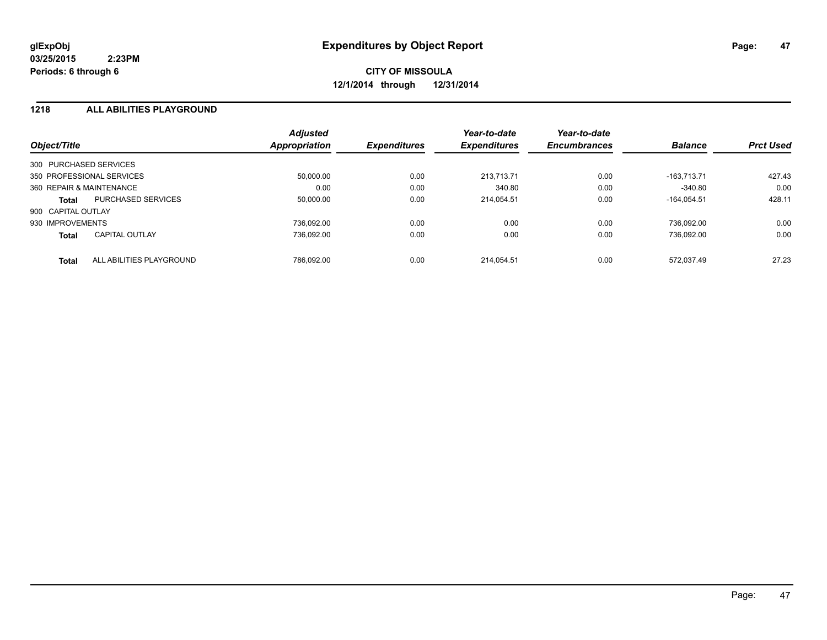### **1218 ALL ABILITIES PLAYGROUND**

| Object/Title             |                           | <b>Adjusted</b><br>Appropriation | <b>Expenditures</b> | Year-to-date<br><b>Expenditures</b> | Year-to-date<br><b>Encumbrances</b> | <b>Balance</b> | <b>Prct Used</b> |
|--------------------------|---------------------------|----------------------------------|---------------------|-------------------------------------|-------------------------------------|----------------|------------------|
| 300 PURCHASED SERVICES   |                           |                                  |                     |                                     |                                     |                |                  |
|                          | 350 PROFESSIONAL SERVICES | 50.000.00                        | 0.00                | 213.713.71                          | 0.00                                | $-163.713.71$  | 427.43           |
| 360 REPAIR & MAINTENANCE |                           | 0.00                             | 0.00                | 340.80                              | 0.00                                | $-340.80$      | 0.00             |
| Total                    | <b>PURCHASED SERVICES</b> | 50.000.00                        | 0.00                | 214.054.51                          | 0.00                                | $-164.054.51$  | 428.11           |
| 900 CAPITAL OUTLAY       |                           |                                  |                     |                                     |                                     |                |                  |
| 930 IMPROVEMENTS         |                           | 736.092.00                       | 0.00                | 0.00                                | 0.00                                | 736.092.00     | 0.00             |
| <b>Total</b>             | <b>CAPITAL OUTLAY</b>     | 736.092.00                       | 0.00                | 0.00                                | 0.00                                | 736.092.00     | 0.00             |
| <b>Total</b>             | ALL ABILITIES PLAYGROUND  | 786.092.00                       | 0.00                | 214.054.51                          | 0.00                                | 572.037.49     | 27.23            |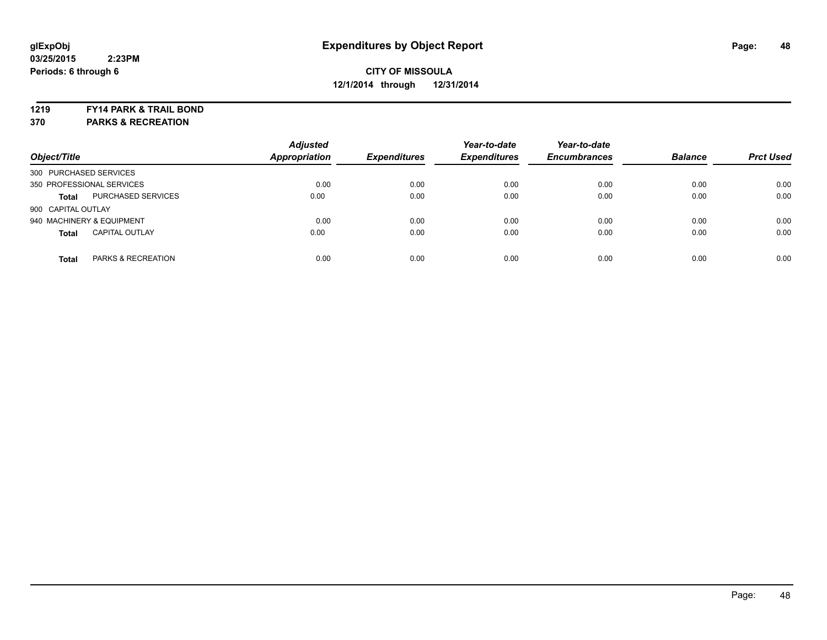**1219 FY14 PARK & TRAIL BOND**

**370 PARKS & RECREATION**

| Object/Title           |                           | <b>Adjusted</b><br><b>Appropriation</b> | <b>Expenditures</b> | Year-to-date<br><b>Expenditures</b> | Year-to-date<br><b>Encumbrances</b> | <b>Balance</b> | <b>Prct Used</b> |
|------------------------|---------------------------|-----------------------------------------|---------------------|-------------------------------------|-------------------------------------|----------------|------------------|
| 300 PURCHASED SERVICES |                           |                                         |                     |                                     |                                     |                |                  |
|                        | 350 PROFESSIONAL SERVICES | 0.00                                    | 0.00                | 0.00                                | 0.00                                | 0.00           | 0.00             |
| <b>Total</b>           | <b>PURCHASED SERVICES</b> | 0.00                                    | 0.00                | 0.00                                | 0.00                                | 0.00           | 0.00             |
| 900 CAPITAL OUTLAY     |                           |                                         |                     |                                     |                                     |                |                  |
|                        | 940 MACHINERY & EQUIPMENT | 0.00                                    | 0.00                | 0.00                                | 0.00                                | 0.00           | 0.00             |
| <b>Total</b>           | <b>CAPITAL OUTLAY</b>     | 0.00                                    | 0.00                | 0.00                                | 0.00                                | 0.00           | 0.00             |
| <b>Total</b>           | PARKS & RECREATION        | 0.00                                    | 0.00                | 0.00                                | 0.00                                | 0.00           | 0.00             |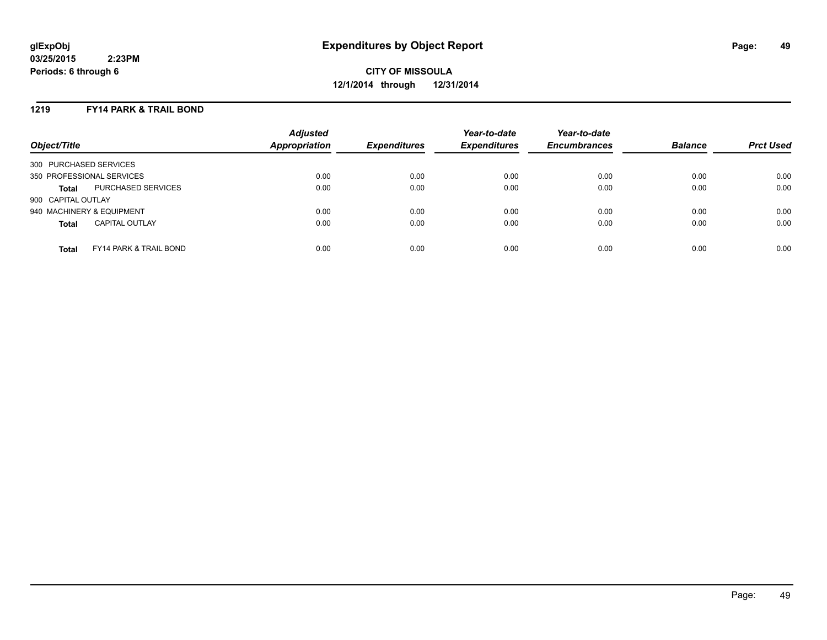### **1219 FY14 PARK & TRAIL BOND**

| Object/Title              |                                   | <b>Adjusted</b><br>Appropriation | <b>Expenditures</b> | Year-to-date<br><b>Expenditures</b> | Year-to-date<br><b>Encumbrances</b> | <b>Balance</b> | <b>Prct Used</b> |
|---------------------------|-----------------------------------|----------------------------------|---------------------|-------------------------------------|-------------------------------------|----------------|------------------|
| 300 PURCHASED SERVICES    |                                   |                                  |                     |                                     |                                     |                |                  |
| 350 PROFESSIONAL SERVICES |                                   | 0.00                             | 0.00                | 0.00                                | 0.00                                | 0.00           | 0.00             |
| <b>Total</b>              | PURCHASED SERVICES                | 0.00                             | 0.00                | 0.00                                | 0.00                                | 0.00           | 0.00             |
| 900 CAPITAL OUTLAY        |                                   |                                  |                     |                                     |                                     |                |                  |
| 940 MACHINERY & EQUIPMENT |                                   | 0.00                             | 0.00                | 0.00                                | 0.00                                | 0.00           | 0.00             |
| <b>Total</b>              | <b>CAPITAL OUTLAY</b>             | 0.00                             | 0.00                | 0.00                                | 0.00                                | 0.00           | 0.00             |
| <b>Total</b>              | <b>FY14 PARK &amp; TRAIL BOND</b> | 0.00                             | 0.00                | 0.00                                | 0.00                                | 0.00           | 0.00             |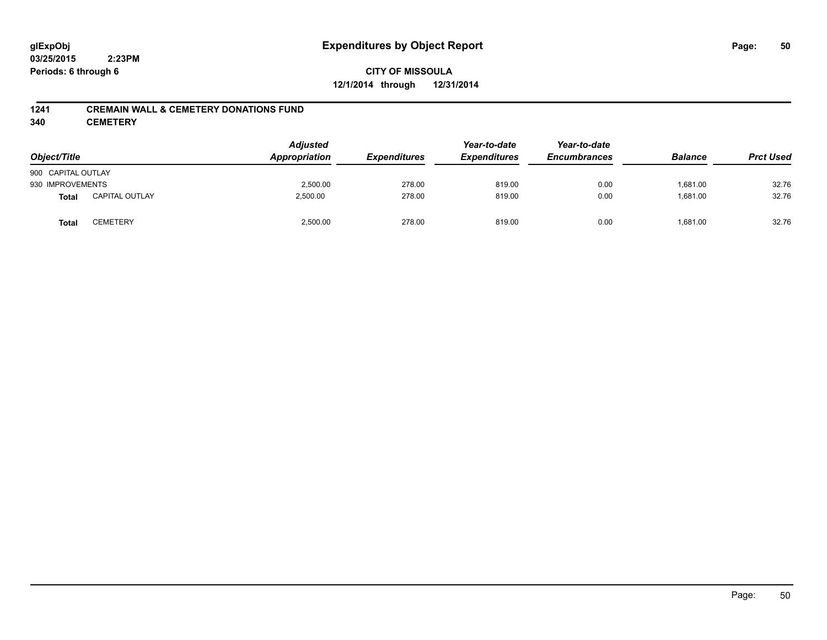## **CITY OF MISSOULA 12/1/2014 through 12/31/2014**

### **1241 CREMAIN WALL & CEMETERY DONATIONS FUND**

**340 CEMETERY**

| Object/Title       |                       | <b>Adjusted</b><br>Appropriation | <b>Expenditures</b> | Year-to-date<br><b>Expenditures</b> | Year-to-date<br><b>Encumbrances</b> | <b>Balance</b> | <b>Prct Used</b> |
|--------------------|-----------------------|----------------------------------|---------------------|-------------------------------------|-------------------------------------|----------------|------------------|
| 900 CAPITAL OUTLAY |                       |                                  |                     |                                     |                                     |                |                  |
| 930 IMPROVEMENTS   |                       | 2,500.00                         | 278.00              | 819.00                              | 0.00                                | 1.681.00       | 32.76            |
| <b>Total</b>       | <b>CAPITAL OUTLAY</b> | 2,500.00                         | 278.00              | 819.00                              | 0.00                                | 1,681.00       | 32.76            |
| <b>Total</b>       | CEMETERY              | 2,500.00                         | 278.00              | 819.00                              | 0.00                                | 1.681.00       | 32.76            |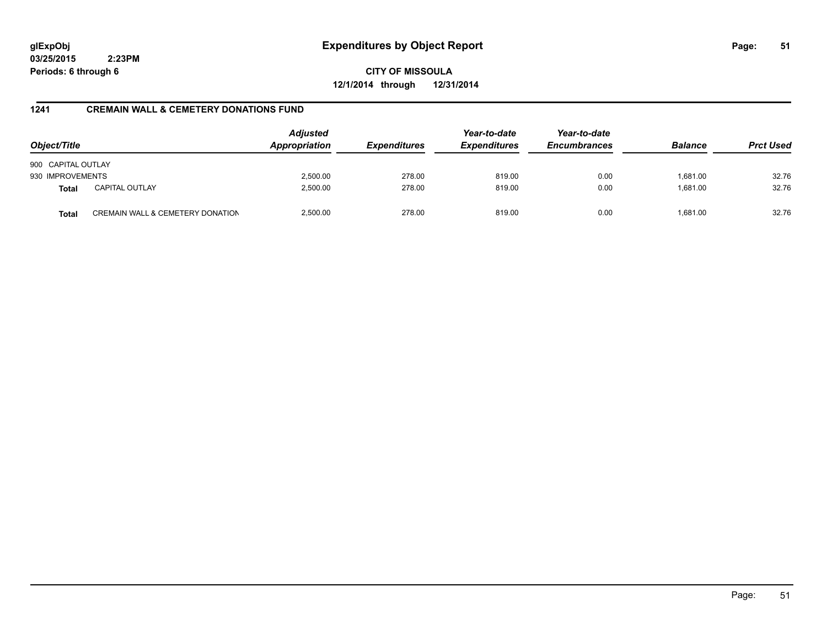**CITY OF MISSOULA 12/1/2014 through 12/31/2014**

### **1241 CREMAIN WALL & CEMETERY DONATIONS FUND**

| Object/Title       |                                  | <b>Adjusted</b><br>Appropriation | <b>Expenditures</b> | Year-to-date<br><b>Expenditures</b> | Year-to-date<br><b>Encumbrances</b> | <b>Balance</b> | <b>Prct Used</b> |
|--------------------|----------------------------------|----------------------------------|---------------------|-------------------------------------|-------------------------------------|----------------|------------------|
| 900 CAPITAL OUTLAY |                                  |                                  |                     |                                     |                                     |                |                  |
| 930 IMPROVEMENTS   |                                  | 2,500.00                         | 278.00              | 819.00                              | 0.00                                | 1,681.00       | 32.76            |
| <b>Total</b>       | <b>CAPITAL OUTLAY</b>            | 2,500.00                         | 278.00              | 819.00                              | 0.00                                | 1.681.00       | 32.76            |
| <b>Total</b>       | CREMAIN WALL & CEMETERY DONATION | 2,500.00                         | 278.00              | 819.00                              | 0.00                                | 1.681.00       | 32.76            |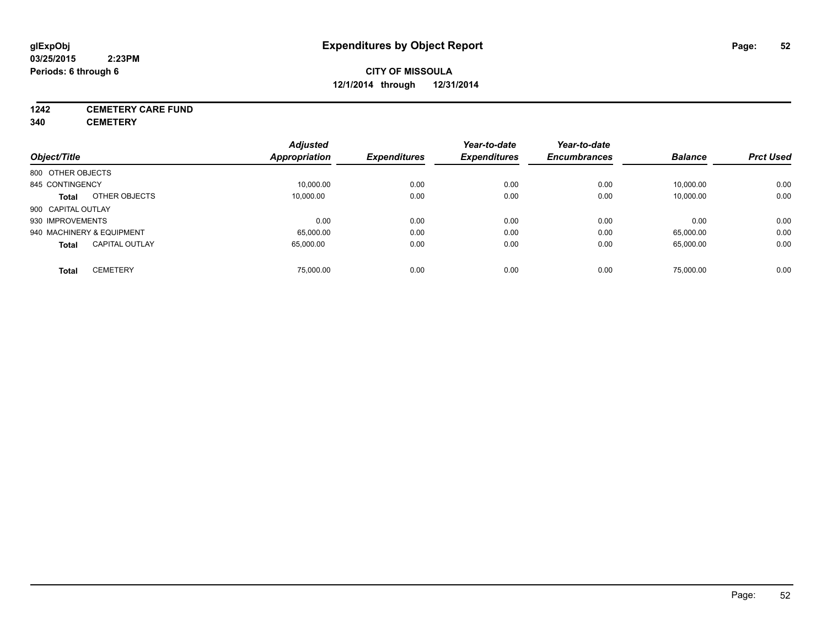## **1242 CEMETERY CARE FUND**

**340 CEMETERY**

|                                       | <b>Adjusted</b> |                     | Year-to-date        | Year-to-date        |                |                  |
|---------------------------------------|-----------------|---------------------|---------------------|---------------------|----------------|------------------|
| Object/Title                          | Appropriation   | <b>Expenditures</b> | <b>Expenditures</b> | <b>Encumbrances</b> | <b>Balance</b> | <b>Prct Used</b> |
| 800 OTHER OBJECTS                     |                 |                     |                     |                     |                |                  |
| 845 CONTINGENCY                       | 10,000.00       | 0.00                | 0.00                | 0.00                | 10,000.00      | 0.00             |
| OTHER OBJECTS<br><b>Total</b>         | 10.000.00       | 0.00                | 0.00                | 0.00                | 10,000.00      | 0.00             |
| 900 CAPITAL OUTLAY                    |                 |                     |                     |                     |                |                  |
| 930 IMPROVEMENTS                      | 0.00            | 0.00                | 0.00                | 0.00                | 0.00           | 0.00             |
| 940 MACHINERY & EQUIPMENT             | 65,000.00       | 0.00                | 0.00                | 0.00                | 65,000.00      | 0.00             |
| <b>CAPITAL OUTLAY</b><br><b>Total</b> | 65.000.00       | 0.00                | 0.00                | 0.00                | 65,000.00      | 0.00             |
| <b>CEMETERY</b><br>Total              | 75.000.00       | 0.00                | 0.00                | 0.00                | 75,000.00      | 0.00             |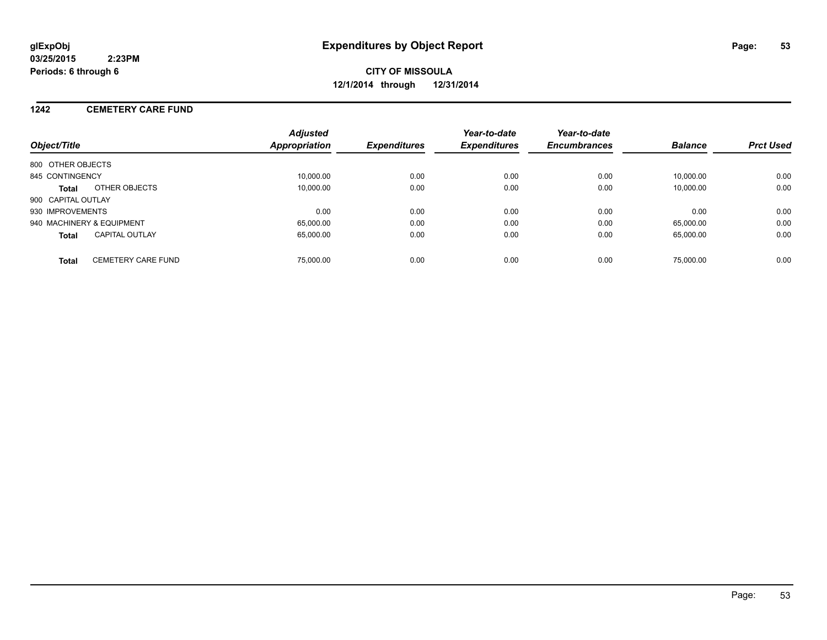### **1242 CEMETERY CARE FUND**

| Object/Title                              | <b>Adjusted</b><br>Appropriation | <b>Expenditures</b> | Year-to-date<br><b>Expenditures</b> | Year-to-date<br><b>Encumbrances</b> | <b>Balance</b> | <b>Prct Used</b> |
|-------------------------------------------|----------------------------------|---------------------|-------------------------------------|-------------------------------------|----------------|------------------|
| 800 OTHER OBJECTS                         |                                  |                     |                                     |                                     |                |                  |
| 845 CONTINGENCY                           | 10.000.00                        | 0.00                | 0.00                                | 0.00                                | 10.000.00      | 0.00             |
| OTHER OBJECTS<br>Total                    | 10.000.00                        | 0.00                | 0.00                                | 0.00                                | 10.000.00      | 0.00             |
| 900 CAPITAL OUTLAY                        |                                  |                     |                                     |                                     |                |                  |
| 930 IMPROVEMENTS                          | 0.00                             | 0.00                | 0.00                                | 0.00                                | 0.00           | 0.00             |
| 940 MACHINERY & EQUIPMENT                 | 65.000.00                        | 0.00                | 0.00                                | 0.00                                | 65.000.00      | 0.00             |
| <b>CAPITAL OUTLAY</b><br><b>Total</b>     | 65.000.00                        | 0.00                | 0.00                                | 0.00                                | 65.000.00      | 0.00             |
| <b>CEMETERY CARE FUND</b><br><b>Total</b> | 75,000.00                        | 0.00                | 0.00                                | 0.00                                | 75,000.00      | 0.00             |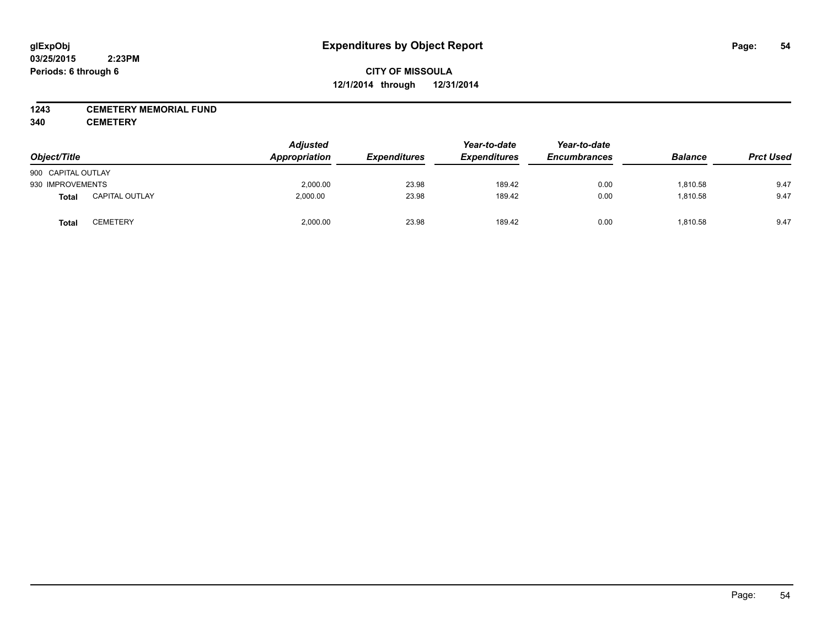### **1243 CEMETERY MEMORIAL FUND**

**340 CEMETERY**

| Object/Title       |                       | <b>Adjusted</b><br>Appropriation | <b>Expenditures</b> | Year-to-date<br><b>Expenditures</b> | Year-to-date<br><b>Encumbrances</b> | <b>Balance</b> | <b>Prct Used</b> |
|--------------------|-----------------------|----------------------------------|---------------------|-------------------------------------|-------------------------------------|----------------|------------------|
| 900 CAPITAL OUTLAY |                       |                                  |                     |                                     |                                     |                |                  |
| 930 IMPROVEMENTS   |                       | 2,000.00                         | 23.98               | 189.42                              | 0.00                                | 1,810.58       | 9.47             |
| <b>Total</b>       | <b>CAPITAL OUTLAY</b> | 2,000.00                         | 23.98               | 189.42                              | 0.00                                | 1,810.58       | 9.47             |
| Total              | CEMETERY              | 2,000.00                         | 23.98               | 189.42                              | 0.00                                | 1,810.58       | 9.47             |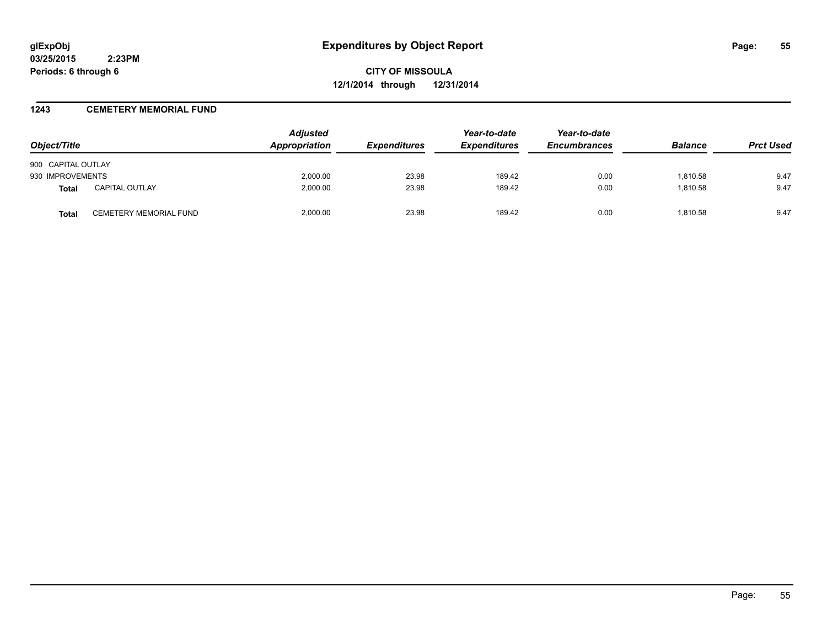**CITY OF MISSOULA 12/1/2014 through 12/31/2014**

### **1243 CEMETERY MEMORIAL FUND**

| Object/Title       |                        | <b>Adjusted</b><br>Appropriation | <i><b>Expenditures</b></i> | Year-to-date<br><b>Expenditures</b> | Year-to-date<br><b>Encumbrances</b> | <b>Balance</b> | <b>Prct Used</b> |
|--------------------|------------------------|----------------------------------|----------------------------|-------------------------------------|-------------------------------------|----------------|------------------|
| 900 CAPITAL OUTLAY |                        |                                  |                            |                                     |                                     |                |                  |
| 930 IMPROVEMENTS   |                        | 2,000.00                         | 23.98                      | 189.42                              | 0.00                                | 1,810.58       | 9.47             |
| Total              | <b>CAPITAL OUTLAY</b>  | 2,000.00                         | 23.98                      | 189.42                              | 0.00                                | 1,810.58       | 9.47             |
| <b>Total</b>       | CEMETERY MEMORIAL FUND | 2.000.00                         | 23.98                      | 189.42                              | 0.00                                | 1.810.58       | 9.47             |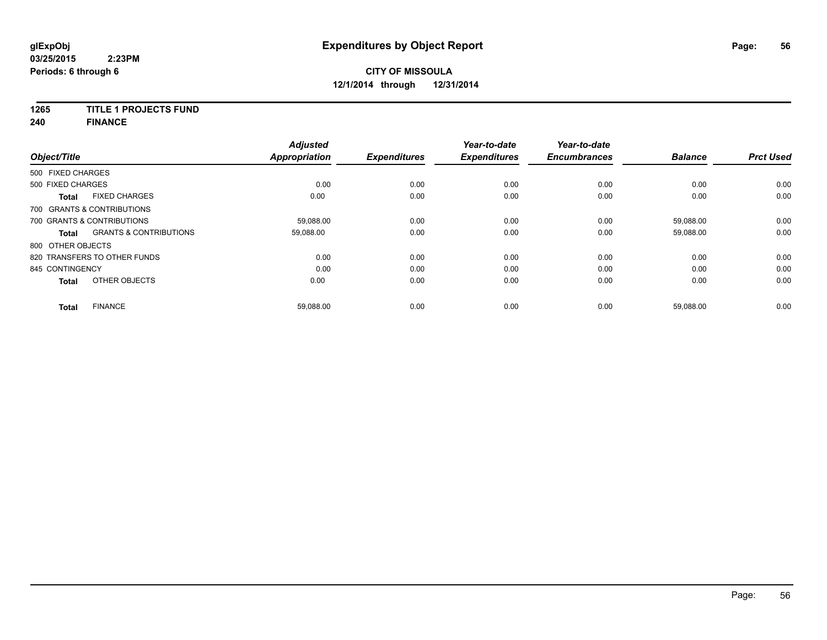## **1265 TITLE 1 PROJECTS FUND**

**240 FINANCE**

| Object/Title      |                                   | <b>Adjusted</b><br><b>Appropriation</b> | <b>Expenditures</b> | Year-to-date<br><b>Expenditures</b> | Year-to-date<br><b>Encumbrances</b> | <b>Balance</b> | <b>Prct Used</b> |
|-------------------|-----------------------------------|-----------------------------------------|---------------------|-------------------------------------|-------------------------------------|----------------|------------------|
| 500 FIXED CHARGES |                                   |                                         |                     |                                     |                                     |                |                  |
| 500 FIXED CHARGES |                                   | 0.00                                    | 0.00                | 0.00                                | 0.00                                | 0.00           | 0.00             |
| <b>Total</b>      | <b>FIXED CHARGES</b>              | 0.00                                    | 0.00                | 0.00                                | 0.00                                | 0.00           | 0.00             |
|                   | 700 GRANTS & CONTRIBUTIONS        |                                         |                     |                                     |                                     |                |                  |
|                   | 700 GRANTS & CONTRIBUTIONS        | 59,088.00                               | 0.00                | 0.00                                | 0.00                                | 59,088.00      | 0.00             |
| <b>Total</b>      | <b>GRANTS &amp; CONTRIBUTIONS</b> | 59,088.00                               | 0.00                | 0.00                                | 0.00                                | 59,088.00      | 0.00             |
| 800 OTHER OBJECTS |                                   |                                         |                     |                                     |                                     |                |                  |
|                   | 820 TRANSFERS TO OTHER FUNDS      | 0.00                                    | 0.00                | 0.00                                | 0.00                                | 0.00           | 0.00             |
| 845 CONTINGENCY   |                                   | 0.00                                    | 0.00                | 0.00                                | 0.00                                | 0.00           | 0.00             |
| <b>Total</b>      | OTHER OBJECTS                     | 0.00                                    | 0.00                | 0.00                                | 0.00                                | 0.00           | 0.00             |
| Total             | <b>FINANCE</b>                    | 59,088.00                               | 0.00                | 0.00                                | 0.00                                | 59,088.00      | 0.00             |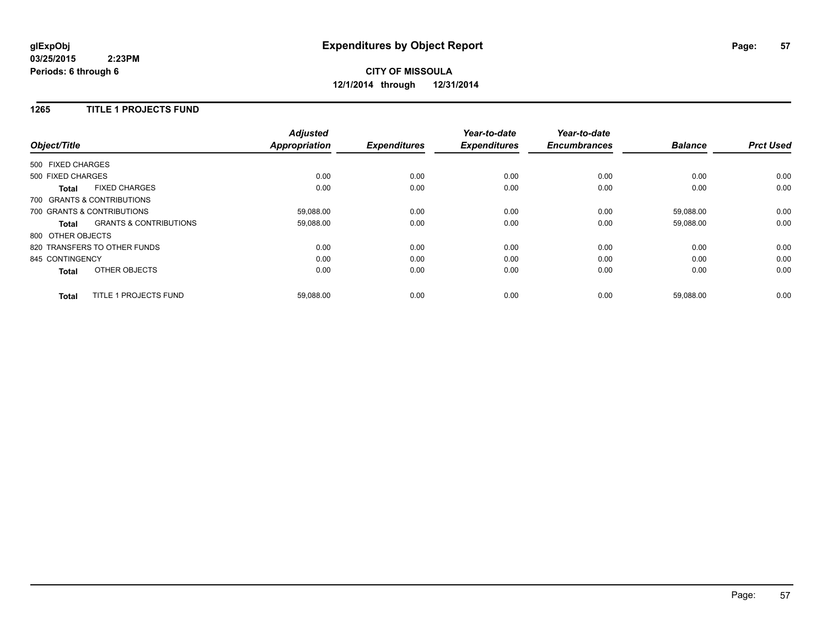## **CITY OF MISSOULA 12/1/2014 through 12/31/2014**

### **1265 TITLE 1 PROJECTS FUND**

| Object/Title      |                                   | <b>Adjusted</b><br><b>Appropriation</b> | <b>Expenditures</b> | Year-to-date<br><b>Expenditures</b> | Year-to-date<br><b>Encumbrances</b> | <b>Balance</b> | <b>Prct Used</b> |
|-------------------|-----------------------------------|-----------------------------------------|---------------------|-------------------------------------|-------------------------------------|----------------|------------------|
| 500 FIXED CHARGES |                                   |                                         |                     |                                     |                                     |                |                  |
| 500 FIXED CHARGES |                                   | 0.00                                    | 0.00                | 0.00                                | 0.00                                | 0.00           | 0.00             |
| <b>Total</b>      | <b>FIXED CHARGES</b>              | 0.00                                    | 0.00                | 0.00                                | 0.00                                | 0.00           | 0.00             |
|                   | 700 GRANTS & CONTRIBUTIONS        |                                         |                     |                                     |                                     |                |                  |
|                   | 700 GRANTS & CONTRIBUTIONS        | 59,088.00                               | 0.00                | 0.00                                | 0.00                                | 59,088.00      | 0.00             |
| Total             | <b>GRANTS &amp; CONTRIBUTIONS</b> | 59,088.00                               | 0.00                | 0.00                                | 0.00                                | 59,088.00      | 0.00             |
| 800 OTHER OBJECTS |                                   |                                         |                     |                                     |                                     |                |                  |
|                   | 820 TRANSFERS TO OTHER FUNDS      | 0.00                                    | 0.00                | 0.00                                | 0.00                                | 0.00           | 0.00             |
| 845 CONTINGENCY   |                                   | 0.00                                    | 0.00                | 0.00                                | 0.00                                | 0.00           | 0.00             |
| <b>Total</b>      | OTHER OBJECTS                     | 0.00                                    | 0.00                | 0.00                                | 0.00                                | 0.00           | 0.00             |
| <b>Total</b>      | TITLE 1 PROJECTS FUND             | 59,088.00                               | 0.00                | 0.00                                | 0.00                                | 59,088.00      | 0.00             |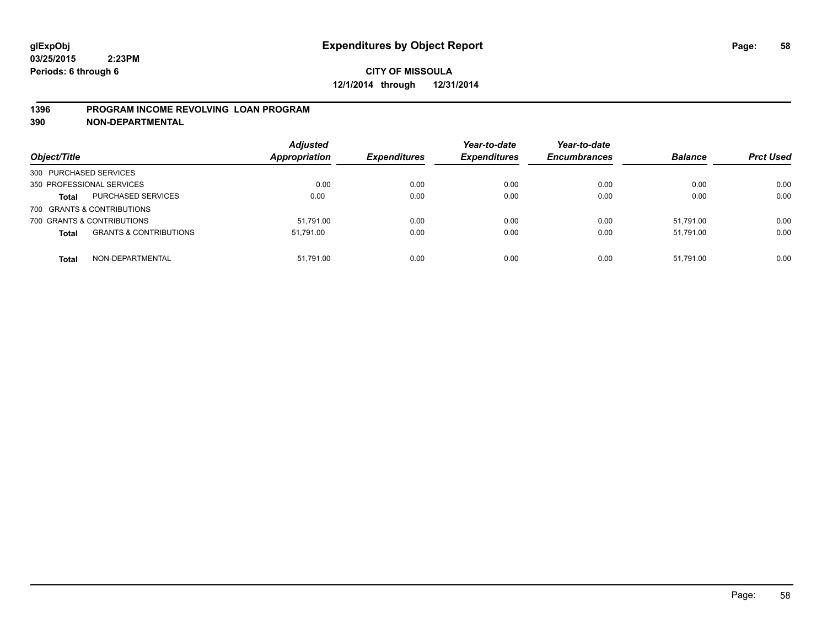### **1396 PROGRAM INCOME REVOLVING LOAN PROGRAM**

**390 NON-DEPARTMENTAL**

| Object/Title           |                                   | <b>Adjusted</b><br><b>Appropriation</b> | <b>Expenditures</b> | Year-to-date<br><b>Expenditures</b> | Year-to-date<br><b>Encumbrances</b> | <b>Balance</b> | <b>Prct Used</b> |
|------------------------|-----------------------------------|-----------------------------------------|---------------------|-------------------------------------|-------------------------------------|----------------|------------------|
| 300 PURCHASED SERVICES |                                   |                                         |                     |                                     |                                     |                |                  |
|                        | 350 PROFESSIONAL SERVICES         | 0.00                                    | 0.00                | 0.00                                | 0.00                                | 0.00           | 0.00             |
| <b>Total</b>           | PURCHASED SERVICES                | 0.00                                    | 0.00                | 0.00                                | 0.00                                | 0.00           | 0.00             |
|                        | 700 GRANTS & CONTRIBUTIONS        |                                         |                     |                                     |                                     |                |                  |
|                        | 700 GRANTS & CONTRIBUTIONS        | 51.791.00                               | 0.00                | 0.00                                | 0.00                                | 51.791.00      | 0.00             |
| <b>Total</b>           | <b>GRANTS &amp; CONTRIBUTIONS</b> | 51.791.00                               | 0.00                | 0.00                                | 0.00                                | 51.791.00      | 0.00             |
| <b>Total</b>           | NON-DEPARTMENTAL                  | 51.791.00                               | 0.00                | 0.00                                | 0.00                                | 51.791.00      | 0.00             |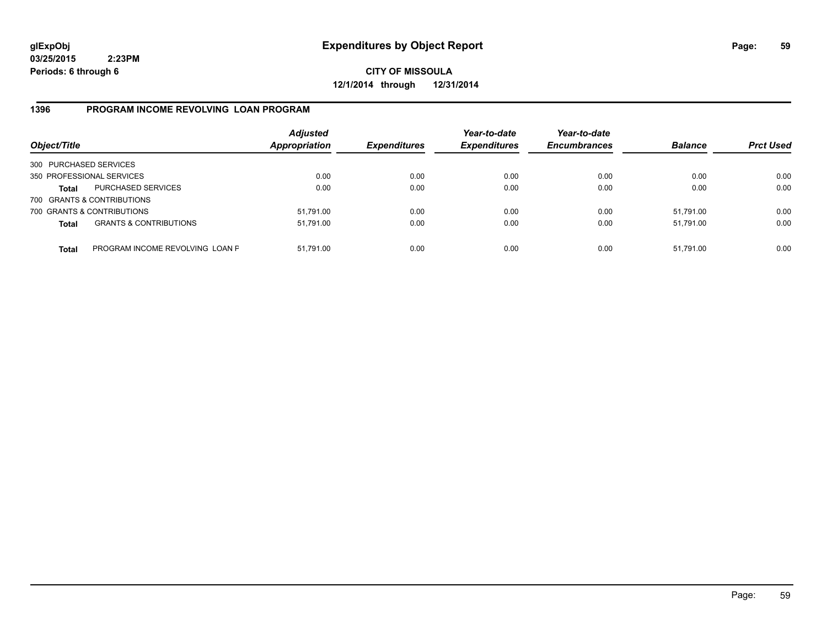**CITY OF MISSOULA 12/1/2014 through 12/31/2014**

### **1396 PROGRAM INCOME REVOLVING LOAN PROGRAM**

| Object/Title           |                                   | <b>Adjusted</b><br>Appropriation | <b>Expenditures</b> | Year-to-date<br><b>Expenditures</b> | Year-to-date<br><b>Encumbrances</b> | <b>Balance</b> | <b>Prct Used</b> |
|------------------------|-----------------------------------|----------------------------------|---------------------|-------------------------------------|-------------------------------------|----------------|------------------|
| 300 PURCHASED SERVICES |                                   |                                  |                     |                                     |                                     |                |                  |
|                        | 350 PROFESSIONAL SERVICES         | 0.00                             | 0.00                | 0.00                                | 0.00                                | 0.00           | 0.00             |
| Total                  | <b>PURCHASED SERVICES</b>         | 0.00                             | 0.00                | 0.00                                | 0.00                                | 0.00           | 0.00             |
|                        | 700 GRANTS & CONTRIBUTIONS        |                                  |                     |                                     |                                     |                |                  |
|                        | 700 GRANTS & CONTRIBUTIONS        | 51,791.00                        | 0.00                | 0.00                                | 0.00                                | 51,791.00      | 0.00             |
| <b>Total</b>           | <b>GRANTS &amp; CONTRIBUTIONS</b> | 51,791.00                        | 0.00                | 0.00                                | 0.00                                | 51.791.00      | 0.00             |
| <b>Total</b>           | PROGRAM INCOME REVOLVING LOAN P   | 51,791.00                        | 0.00                | 0.00                                | 0.00                                | 51,791.00      | 0.00             |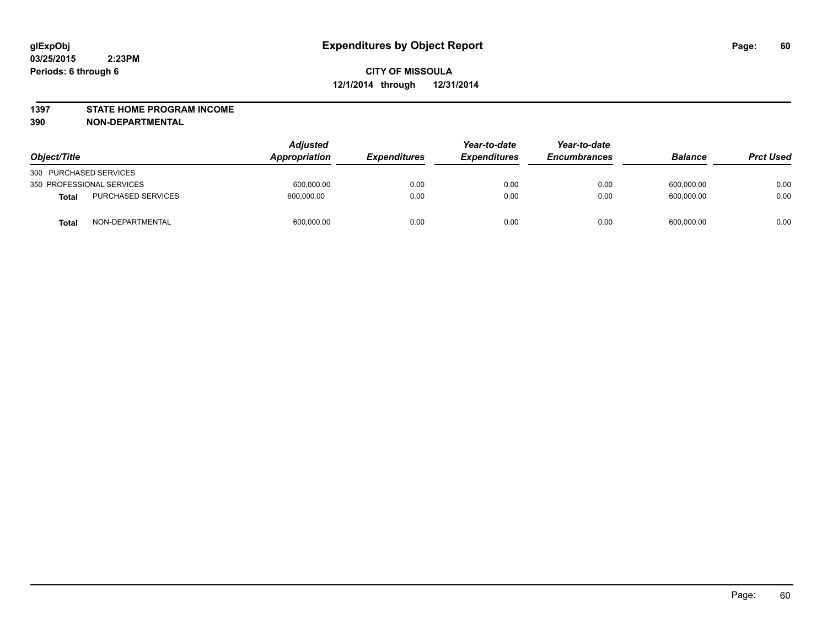#### **1397 STATE HOME PROGRAM INCOME**

**390 NON-DEPARTMENTAL**

| Object/Title                       |  | <b>Adjusted</b><br><b>Appropriation</b> | <i><b>Expenditures</b></i> | Year-to-date<br><b>Expenditures</b> | Year-to-date<br><b>Encumbrances</b> | <b>Balance</b> | <b>Prct Used</b> |
|------------------------------------|--|-----------------------------------------|----------------------------|-------------------------------------|-------------------------------------|----------------|------------------|
| 300 PURCHASED SERVICES             |  |                                         |                            |                                     |                                     |                |                  |
| 350 PROFESSIONAL SERVICES          |  | 600,000.00                              | 0.00                       | 0.00                                | 0.00                                | 600,000.00     | 0.00             |
| PURCHASED SERVICES<br><b>Total</b> |  | 600.000.00                              | 0.00                       | 0.00                                | 0.00                                | 600.000.00     | 0.00             |
| NON-DEPARTMENTAL<br><b>Total</b>   |  | 600,000.00                              | 0.00                       | 0.00                                | 0.00                                | 600,000.00     | 0.00             |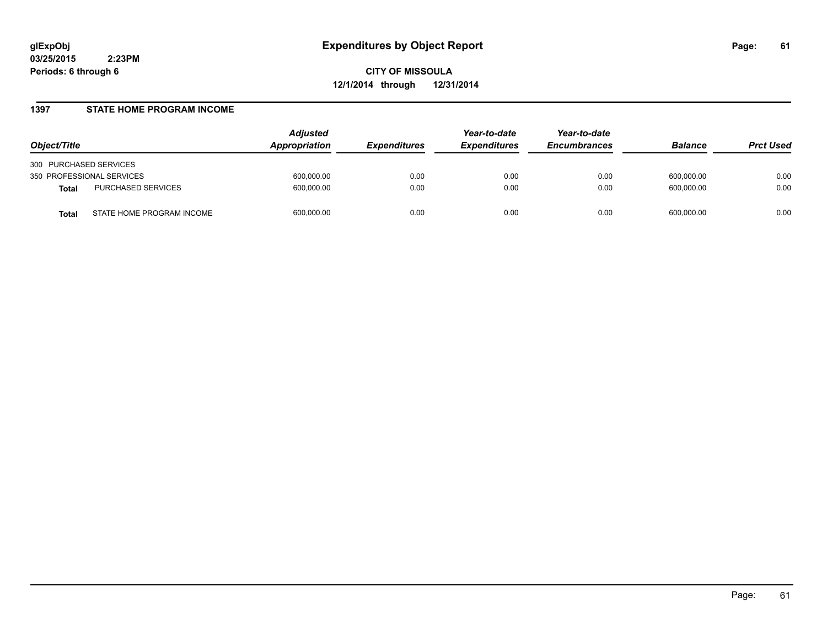**CITY OF MISSOULA 12/1/2014 through 12/31/2014**

#### **1397 STATE HOME PROGRAM INCOME**

| Object/Title                              | <b>Adjusted</b><br><b>Appropriation</b> | <b>Expenditures</b> | Year-to-date<br><b>Expenditures</b> | Year-to-date<br><b>Encumbrances</b> | <b>Balance</b> | <b>Prct Used</b> |
|-------------------------------------------|-----------------------------------------|---------------------|-------------------------------------|-------------------------------------|----------------|------------------|
| 300 PURCHASED SERVICES                    |                                         |                     |                                     |                                     |                |                  |
| 350 PROFESSIONAL SERVICES                 | 600,000.00                              | 0.00                | 0.00                                | 0.00                                | 600.000.00     | 0.00             |
| PURCHASED SERVICES<br><b>Total</b>        | 600,000.00                              | 0.00                | 0.00                                | 0.00                                | 600.000.00     | 0.00             |
| STATE HOME PROGRAM INCOME<br><b>Total</b> | 600,000.00                              | 0.00                | 0.00                                | 0.00                                | 600.000.00     | 0.00             |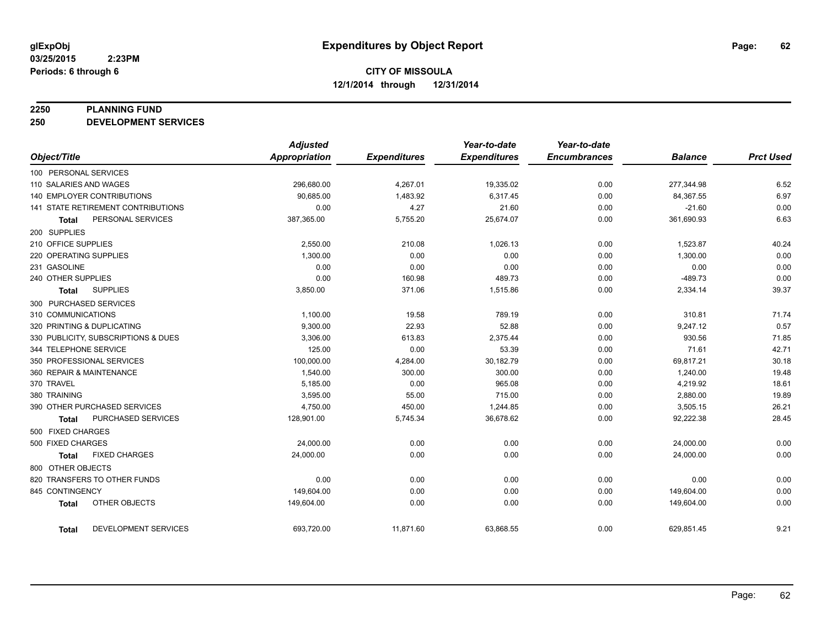#### **2250 PLANNING FUND**

**250 DEVELOPMENT SERVICES**

|                                      | <b>Adjusted</b> |                     | Year-to-date        | Year-to-date        |                |                  |
|--------------------------------------|-----------------|---------------------|---------------------|---------------------|----------------|------------------|
| Object/Title                         | Appropriation   | <b>Expenditures</b> | <b>Expenditures</b> | <b>Encumbrances</b> | <b>Balance</b> | <b>Prct Used</b> |
| 100 PERSONAL SERVICES                |                 |                     |                     |                     |                |                  |
| 110 SALARIES AND WAGES               | 296,680.00      | 4,267.01            | 19,335.02           | 0.00                | 277,344.98     | 6.52             |
| <b>140 EMPLOYER CONTRIBUTIONS</b>    | 90,685.00       | 1,483.92            | 6,317.45            | 0.00                | 84,367.55      | 6.97             |
| 141 STATE RETIREMENT CONTRIBUTIONS   | 0.00            | 4.27                | 21.60               | 0.00                | $-21.60$       | 0.00             |
| PERSONAL SERVICES<br><b>Total</b>    | 387,365.00      | 5,755.20            | 25,674.07           | 0.00                | 361,690.93     | 6.63             |
| 200 SUPPLIES                         |                 |                     |                     |                     |                |                  |
| 210 OFFICE SUPPLIES                  | 2,550.00        | 210.08              | 1,026.13            | 0.00                | 1,523.87       | 40.24            |
| 220 OPERATING SUPPLIES               | 1,300.00        | 0.00                | 0.00                | 0.00                | 1,300.00       | 0.00             |
| 231 GASOLINE                         | 0.00            | 0.00                | 0.00                | 0.00                | 0.00           | 0.00             |
| 240 OTHER SUPPLIES                   | 0.00            | 160.98              | 489.73              | 0.00                | $-489.73$      | 0.00             |
| <b>SUPPLIES</b><br><b>Total</b>      | 3,850.00        | 371.06              | 1,515.86            | 0.00                | 2,334.14       | 39.37            |
| 300 PURCHASED SERVICES               |                 |                     |                     |                     |                |                  |
| 310 COMMUNICATIONS                   | 1,100.00        | 19.58               | 789.19              | 0.00                | 310.81         | 71.74            |
| 320 PRINTING & DUPLICATING           | 9,300.00        | 22.93               | 52.88               | 0.00                | 9,247.12       | 0.57             |
| 330 PUBLICITY, SUBSCRIPTIONS & DUES  | 3.306.00        | 613.83              | 2,375.44            | 0.00                | 930.56         | 71.85            |
| 344 TELEPHONE SERVICE                | 125.00          | 0.00                | 53.39               | 0.00                | 71.61          | 42.71            |
| 350 PROFESSIONAL SERVICES            | 100,000.00      | 4,284.00            | 30,182.79           | 0.00                | 69,817.21      | 30.18            |
| 360 REPAIR & MAINTENANCE             | 1,540.00        | 300.00              | 300.00              | 0.00                | 1,240.00       | 19.48            |
| 370 TRAVEL                           | 5,185.00        | 0.00                | 965.08              | 0.00                | 4,219.92       | 18.61            |
| 380 TRAINING                         | 3,595.00        | 55.00               | 715.00              | 0.00                | 2,880.00       | 19.89            |
| 390 OTHER PURCHASED SERVICES         | 4,750.00        | 450.00              | 1,244.85            | 0.00                | 3,505.15       | 26.21            |
| PURCHASED SERVICES<br>Total          | 128,901.00      | 5,745.34            | 36,678.62           | 0.00                | 92,222.38      | 28.45            |
| 500 FIXED CHARGES                    |                 |                     |                     |                     |                |                  |
| 500 FIXED CHARGES                    | 24,000.00       | 0.00                | 0.00                | 0.00                | 24,000.00      | 0.00             |
| <b>FIXED CHARGES</b><br>Total        | 24,000.00       | 0.00                | 0.00                | 0.00                | 24,000.00      | 0.00             |
| 800 OTHER OBJECTS                    |                 |                     |                     |                     |                |                  |
| 820 TRANSFERS TO OTHER FUNDS         | 0.00            | 0.00                | 0.00                | 0.00                | 0.00           | 0.00             |
| 845 CONTINGENCY                      | 149,604.00      | 0.00                | 0.00                | 0.00                | 149,604.00     | 0.00             |
| OTHER OBJECTS<br><b>Total</b>        | 149,604.00      | 0.00                | 0.00                | 0.00                | 149,604.00     | 0.00             |
| <b>DEVELOPMENT SERVICES</b><br>Total | 693,720.00      | 11,871.60           | 63,868.55           | 0.00                | 629,851.45     | 9.21             |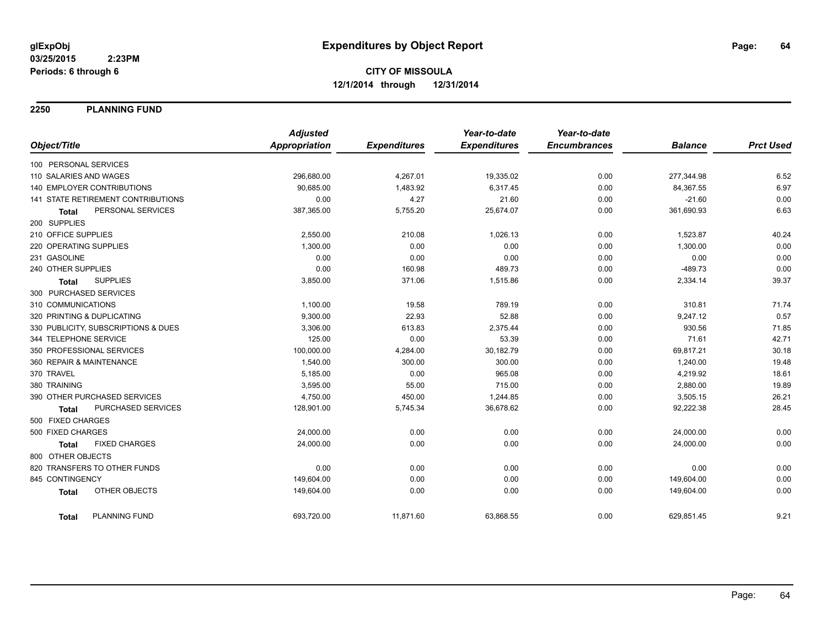**2250 PLANNING FUND**

|                                      | <b>Adjusted</b> |                     | Year-to-date        | Year-to-date        |                |                  |
|--------------------------------------|-----------------|---------------------|---------------------|---------------------|----------------|------------------|
| Object/Title                         | Appropriation   | <b>Expenditures</b> | <b>Expenditures</b> | <b>Encumbrances</b> | <b>Balance</b> | <b>Prct Used</b> |
| 100 PERSONAL SERVICES                |                 |                     |                     |                     |                |                  |
| 110 SALARIES AND WAGES               | 296,680.00      | 4,267.01            | 19,335.02           | 0.00                | 277,344.98     | 6.52             |
| <b>140 EMPLOYER CONTRIBUTIONS</b>    | 90,685.00       | 1,483.92            | 6,317.45            | 0.00                | 84,367.55      | 6.97             |
| 141 STATE RETIREMENT CONTRIBUTIONS   | 0.00            | 4.27                | 21.60               | 0.00                | $-21.60$       | 0.00             |
| PERSONAL SERVICES<br><b>Total</b>    | 387,365.00      | 5,755.20            | 25,674.07           | 0.00                | 361,690.93     | 6.63             |
| 200 SUPPLIES                         |                 |                     |                     |                     |                |                  |
| 210 OFFICE SUPPLIES                  | 2,550.00        | 210.08              | 1,026.13            | 0.00                | 1,523.87       | 40.24            |
| 220 OPERATING SUPPLIES               | 1,300.00        | 0.00                | 0.00                | 0.00                | 1,300.00       | 0.00             |
| 231 GASOLINE                         | 0.00            | 0.00                | 0.00                | 0.00                | 0.00           | 0.00             |
| 240 OTHER SUPPLIES                   | 0.00            | 160.98              | 489.73              | 0.00                | $-489.73$      | 0.00             |
| <b>SUPPLIES</b><br><b>Total</b>      | 3,850.00        | 371.06              | 1,515.86            | 0.00                | 2,334.14       | 39.37            |
| 300 PURCHASED SERVICES               |                 |                     |                     |                     |                |                  |
| 310 COMMUNICATIONS                   | 1,100.00        | 19.58               | 789.19              | 0.00                | 310.81         | 71.74            |
| 320 PRINTING & DUPLICATING           | 9,300.00        | 22.93               | 52.88               | 0.00                | 9,247.12       | 0.57             |
| 330 PUBLICITY, SUBSCRIPTIONS & DUES  | 3,306.00        | 613.83              | 2,375.44            | 0.00                | 930.56         | 71.85            |
| 344 TELEPHONE SERVICE                | 125.00          | 0.00                | 53.39               | 0.00                | 71.61          | 42.71            |
| 350 PROFESSIONAL SERVICES            | 100,000.00      | 4,284.00            | 30,182.79           | 0.00                | 69,817.21      | 30.18            |
| 360 REPAIR & MAINTENANCE             | 1,540.00        | 300.00              | 300.00              | 0.00                | 1,240.00       | 19.48            |
| 370 TRAVEL                           | 5,185.00        | 0.00                | 965.08              | 0.00                | 4,219.92       | 18.61            |
| 380 TRAINING                         | 3,595.00        | 55.00               | 715.00              | 0.00                | 2,880.00       | 19.89            |
| 390 OTHER PURCHASED SERVICES         | 4,750.00        | 450.00              | 1,244.85            | 0.00                | 3,505.15       | 26.21            |
| PURCHASED SERVICES<br><b>Total</b>   | 128,901.00      | 5,745.34            | 36,678.62           | 0.00                | 92,222.38      | 28.45            |
| 500 FIXED CHARGES                    |                 |                     |                     |                     |                |                  |
| 500 FIXED CHARGES                    | 24,000.00       | 0.00                | 0.00                | 0.00                | 24,000.00      | 0.00             |
| <b>FIXED CHARGES</b><br><b>Total</b> | 24,000.00       | 0.00                | 0.00                | 0.00                | 24,000.00      | 0.00             |
| 800 OTHER OBJECTS                    |                 |                     |                     |                     |                |                  |
| 820 TRANSFERS TO OTHER FUNDS         | 0.00            | 0.00                | 0.00                | 0.00                | 0.00           | 0.00             |
| 845 CONTINGENCY                      | 149,604.00      | 0.00                | 0.00                | 0.00                | 149,604.00     | 0.00             |
| OTHER OBJECTS<br><b>Total</b>        | 149,604.00      | 0.00                | 0.00                | 0.00                | 149,604.00     | 0.00             |
| PLANNING FUND<br><b>Total</b>        | 693,720.00      | 11,871.60           | 63,868.55           | 0.00                | 629,851.45     | 9.21             |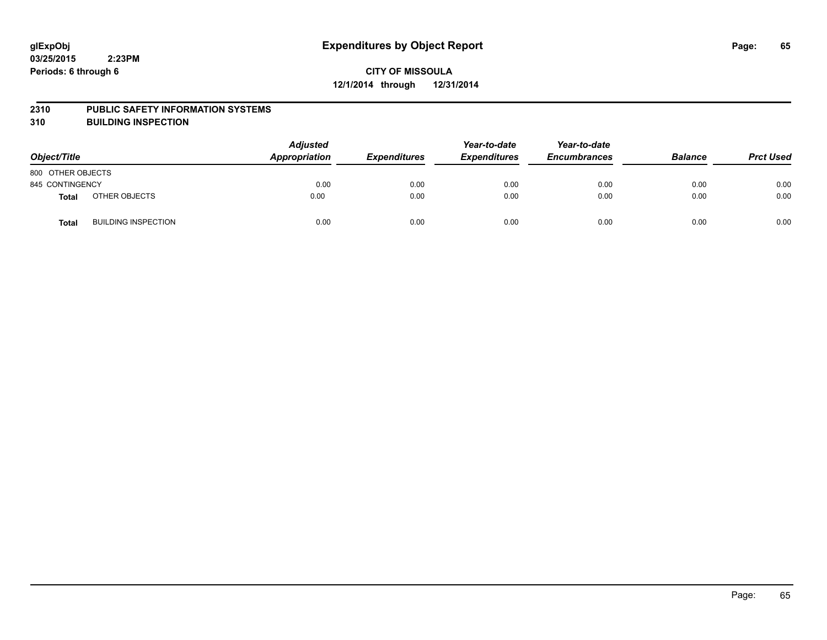#### **2310 PUBLIC SAFETY INFORMATION SYSTEMS**

**310 BUILDING INSPECTION**

| Object/Title      |                            | <b>Adjusted</b><br>Appropriation | <b>Expenditures</b> | Year-to-date<br><b>Expenditures</b> | Year-to-date<br><b>Encumbrances</b> | <b>Balance</b> | <b>Prct Used</b> |
|-------------------|----------------------------|----------------------------------|---------------------|-------------------------------------|-------------------------------------|----------------|------------------|
| 800 OTHER OBJECTS |                            |                                  |                     |                                     |                                     |                |                  |
| 845 CONTINGENCY   |                            | 0.00                             | 0.00                | 0.00                                | 0.00                                | 0.00           | 0.00             |
| <b>Total</b>      | OTHER OBJECTS              | 0.00                             | 0.00                | 0.00                                | 0.00                                | 0.00           | 0.00             |
| <b>Total</b>      | <b>BUILDING INSPECTION</b> | 0.00                             | 0.00                | 0.00                                | 0.00                                | 0.00           | 0.00             |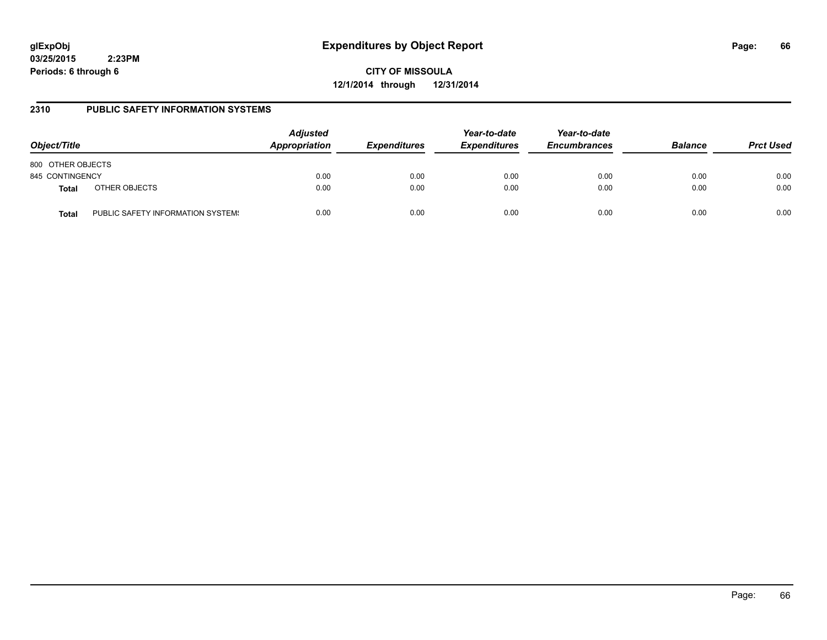# **glExpObj Expenditures by Object Report Page: 66**

**03/25/2015 2:23PM Periods: 6 through 6**

**CITY OF MISSOULA 12/1/2014 through 12/31/2014**

## **2310 PUBLIC SAFETY INFORMATION SYSTEMS**

| Object/Title                  | <b>Adjusted</b><br>Appropriation  | <b>Expenditures</b> |      | Year-to-date<br><b>Expenditures</b> | Year-to-date<br><b>Encumbrances</b> | <b>Balance</b> | <b>Prct Used</b> |
|-------------------------------|-----------------------------------|---------------------|------|-------------------------------------|-------------------------------------|----------------|------------------|
| 800 OTHER OBJECTS             |                                   |                     |      |                                     |                                     |                |                  |
| 845 CONTINGENCY               |                                   | 0.00                | 0.00 | 0.00                                | 0.00                                | 0.00           | 0.00             |
| OTHER OBJECTS<br><b>Total</b> |                                   | 0.00                | 0.00 | 0.00                                | 0.00                                | 0.00           | 0.00             |
| Total                         | PUBLIC SAFETY INFORMATION SYSTEM! | 0.00                | 0.00 | 0.00                                | 0.00                                | 0.00           | 0.00             |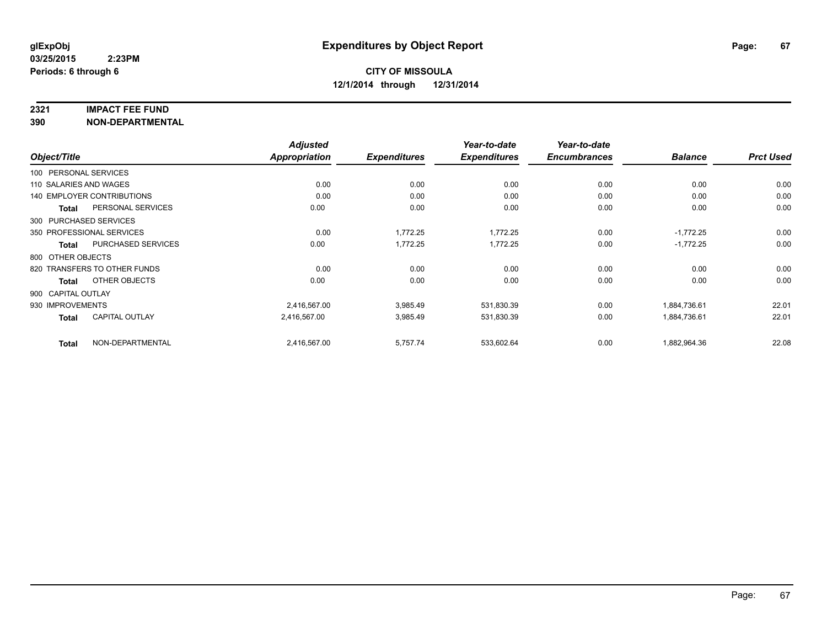#### **2321 IMPACT FEE FUND**

**390 NON-DEPARTMENTAL**

|                        |                                   | <b>Adjusted</b> |                     | Year-to-date        | Year-to-date        |                |                  |
|------------------------|-----------------------------------|-----------------|---------------------|---------------------|---------------------|----------------|------------------|
| Object/Title           |                                   | Appropriation   | <b>Expenditures</b> | <b>Expenditures</b> | <b>Encumbrances</b> | <b>Balance</b> | <b>Prct Used</b> |
| 100 PERSONAL SERVICES  |                                   |                 |                     |                     |                     |                |                  |
| 110 SALARIES AND WAGES |                                   | 0.00            | 0.00                | 0.00                | 0.00                | 0.00           | 0.00             |
|                        | <b>140 EMPLOYER CONTRIBUTIONS</b> | 0.00            | 0.00                | 0.00                | 0.00                | 0.00           | 0.00             |
| <b>Total</b>           | PERSONAL SERVICES                 | 0.00            | 0.00                | 0.00                | 0.00                | 0.00           | 0.00             |
|                        | 300 PURCHASED SERVICES            |                 |                     |                     |                     |                |                  |
|                        | 350 PROFESSIONAL SERVICES         | 0.00            | 1,772.25            | 1,772.25            | 0.00                | $-1,772.25$    | 0.00             |
| Total                  | PURCHASED SERVICES                | 0.00            | 1,772.25            | 1,772.25            | 0.00                | $-1,772.25$    | 0.00             |
| 800 OTHER OBJECTS      |                                   |                 |                     |                     |                     |                |                  |
|                        | 820 TRANSFERS TO OTHER FUNDS      | 0.00            | 0.00                | 0.00                | 0.00                | 0.00           | 0.00             |
| <b>Total</b>           | OTHER OBJECTS                     | 0.00            | 0.00                | 0.00                | 0.00                | 0.00           | 0.00             |
| 900 CAPITAL OUTLAY     |                                   |                 |                     |                     |                     |                |                  |
| 930 IMPROVEMENTS       |                                   | 2,416,567.00    | 3,985.49            | 531,830.39          | 0.00                | 1,884,736.61   | 22.01            |
| <b>Total</b>           | CAPITAL OUTLAY                    | 2,416,567.00    | 3,985.49            | 531,830.39          | 0.00                | 1,884,736.61   | 22.01            |
| <b>Total</b>           | NON-DEPARTMENTAL                  | 2,416,567.00    | 5,757.74            | 533,602.64          | 0.00                | 1,882,964.36   | 22.08            |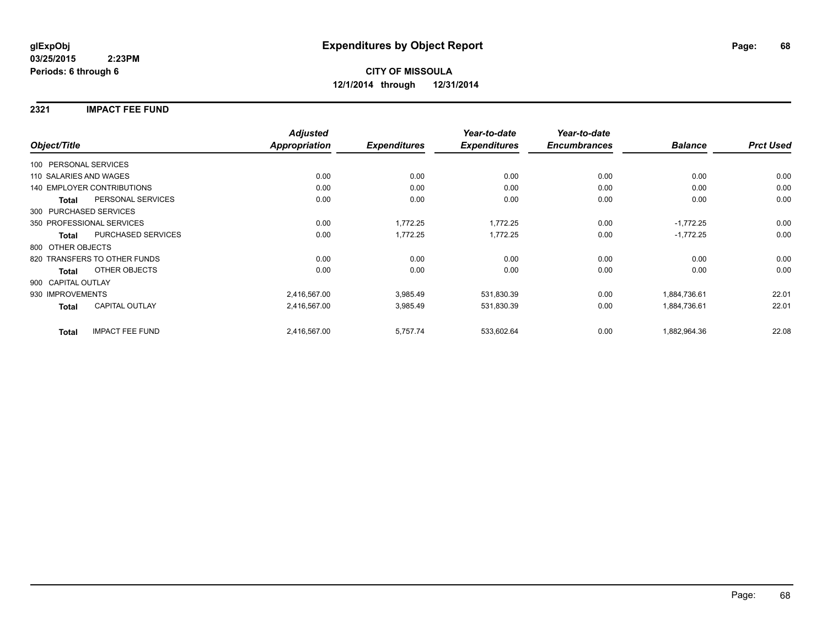### **2321 IMPACT FEE FUND**

|                        |                                   | <b>Adjusted</b>      |                     | Year-to-date        | Year-to-date        |                |                  |
|------------------------|-----------------------------------|----------------------|---------------------|---------------------|---------------------|----------------|------------------|
| Object/Title           |                                   | <b>Appropriation</b> | <b>Expenditures</b> | <b>Expenditures</b> | <b>Encumbrances</b> | <b>Balance</b> | <b>Prct Used</b> |
| 100 PERSONAL SERVICES  |                                   |                      |                     |                     |                     |                |                  |
| 110 SALARIES AND WAGES |                                   | 0.00                 | 0.00                | 0.00                | 0.00                | 0.00           | 0.00             |
|                        | <b>140 EMPLOYER CONTRIBUTIONS</b> | 0.00                 | 0.00                | 0.00                | 0.00                | 0.00           | 0.00             |
| <b>Total</b>           | PERSONAL SERVICES                 | 0.00                 | 0.00                | 0.00                | 0.00                | 0.00           | 0.00             |
|                        | 300 PURCHASED SERVICES            |                      |                     |                     |                     |                |                  |
|                        | 350 PROFESSIONAL SERVICES         | 0.00                 | 1,772.25            | 1,772.25            | 0.00                | $-1,772.25$    | 0.00             |
| <b>Total</b>           | PURCHASED SERVICES                | 0.00                 | 1,772.25            | 1,772.25            | 0.00                | $-1,772.25$    | 0.00             |
| 800 OTHER OBJECTS      |                                   |                      |                     |                     |                     |                |                  |
|                        | 820 TRANSFERS TO OTHER FUNDS      | 0.00                 | 0.00                | 0.00                | 0.00                | 0.00           | 0.00             |
| <b>Total</b>           | OTHER OBJECTS                     | 0.00                 | 0.00                | 0.00                | 0.00                | 0.00           | 0.00             |
| 900 CAPITAL OUTLAY     |                                   |                      |                     |                     |                     |                |                  |
| 930 IMPROVEMENTS       |                                   | 2,416,567.00         | 3,985.49            | 531,830.39          | 0.00                | 1,884,736.61   | 22.01            |
| <b>Total</b>           | <b>CAPITAL OUTLAY</b>             | 2,416,567.00         | 3,985.49            | 531,830.39          | 0.00                | 1,884,736.61   | 22.01            |
| <b>Total</b>           | <b>IMPACT FEE FUND</b>            | 2,416,567.00         | 5,757.74            | 533,602.64          | 0.00                | 1,882,964.36   | 22.08            |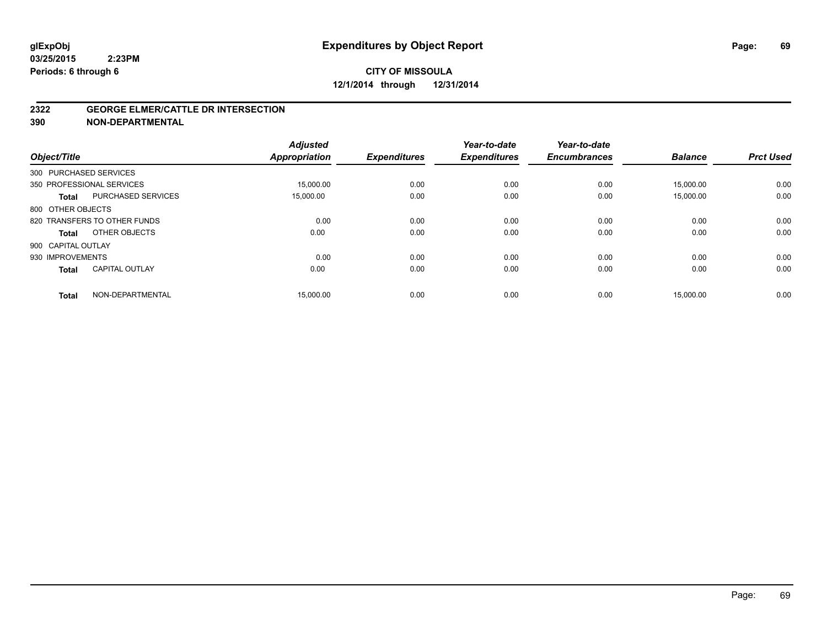#### **2322 GEORGE ELMER/CATTLE DR INTERSECTION**

**390 NON-DEPARTMENTAL**

| Object/Title           |                              | <b>Adjusted</b><br><b>Appropriation</b> | <b>Expenditures</b> | Year-to-date<br><b>Expenditures</b> | Year-to-date<br><b>Encumbrances</b> | <b>Balance</b> | <b>Prct Used</b> |
|------------------------|------------------------------|-----------------------------------------|---------------------|-------------------------------------|-------------------------------------|----------------|------------------|
| 300 PURCHASED SERVICES |                              |                                         |                     |                                     |                                     |                |                  |
|                        | 350 PROFESSIONAL SERVICES    | 15.000.00                               | 0.00                | 0.00                                | 0.00                                | 15.000.00      | 0.00             |
| <b>Total</b>           | <b>PURCHASED SERVICES</b>    | 15,000.00                               | 0.00                | 0.00                                | 0.00                                | 15,000.00      | 0.00             |
| 800 OTHER OBJECTS      |                              |                                         |                     |                                     |                                     |                |                  |
|                        | 820 TRANSFERS TO OTHER FUNDS | 0.00                                    | 0.00                | 0.00                                | 0.00                                | 0.00           | 0.00             |
| Total                  | OTHER OBJECTS                | 0.00                                    | 0.00                | 0.00                                | 0.00                                | 0.00           | 0.00             |
| 900 CAPITAL OUTLAY     |                              |                                         |                     |                                     |                                     |                |                  |
| 930 IMPROVEMENTS       |                              | 0.00                                    | 0.00                | 0.00                                | 0.00                                | 0.00           | 0.00             |
| <b>Total</b>           | <b>CAPITAL OUTLAY</b>        | 0.00                                    | 0.00                | 0.00                                | 0.00                                | 0.00           | 0.00             |
| <b>Total</b>           | NON-DEPARTMENTAL             | 15,000.00                               | 0.00                | 0.00                                | 0.00                                | 15,000.00      | 0.00             |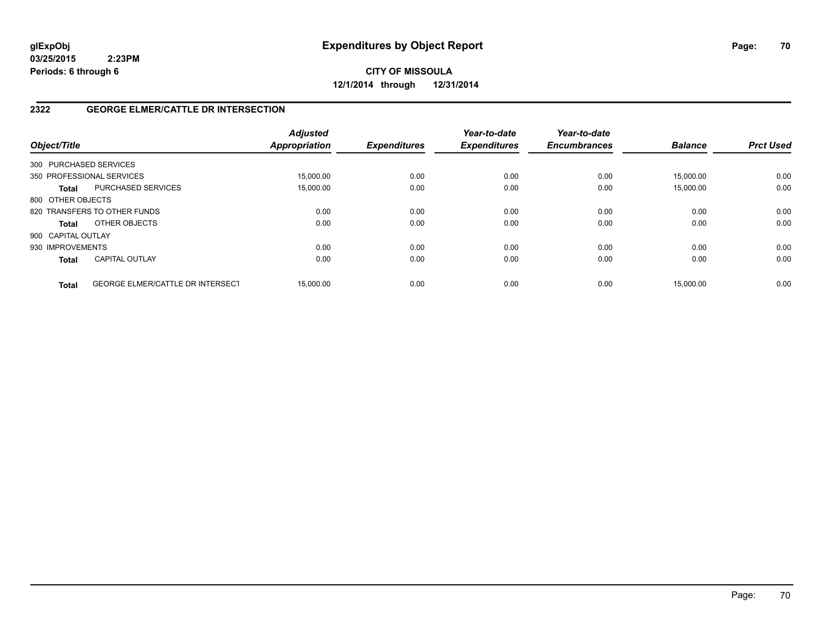**CITY OF MISSOULA 12/1/2014 through 12/31/2014**

## **2322 GEORGE ELMER/CATTLE DR INTERSECTION**

| Object/Title       |                                         | <b>Adjusted</b><br><b>Appropriation</b> | <b>Expenditures</b> | Year-to-date<br><b>Expenditures</b> | Year-to-date<br><b>Encumbrances</b> | <b>Balance</b> | <b>Prct Used</b> |
|--------------------|-----------------------------------------|-----------------------------------------|---------------------|-------------------------------------|-------------------------------------|----------------|------------------|
|                    | 300 PURCHASED SERVICES                  |                                         |                     |                                     |                                     |                |                  |
|                    | 350 PROFESSIONAL SERVICES               | 15.000.00                               | 0.00                | 0.00                                | 0.00                                | 15.000.00      | 0.00             |
| <b>Total</b>       | PURCHASED SERVICES                      | 15,000.00                               | 0.00                | 0.00                                | 0.00                                | 15.000.00      | 0.00             |
| 800 OTHER OBJECTS  |                                         |                                         |                     |                                     |                                     |                |                  |
|                    | 820 TRANSFERS TO OTHER FUNDS            | 0.00                                    | 0.00                | 0.00                                | 0.00                                | 0.00           | 0.00             |
| <b>Total</b>       | OTHER OBJECTS                           | 0.00                                    | 0.00                | 0.00                                | 0.00                                | 0.00           | 0.00             |
| 900 CAPITAL OUTLAY |                                         |                                         |                     |                                     |                                     |                |                  |
| 930 IMPROVEMENTS   |                                         | 0.00                                    | 0.00                | 0.00                                | 0.00                                | 0.00           | 0.00             |
| <b>Total</b>       | <b>CAPITAL OUTLAY</b>                   | 0.00                                    | 0.00                | 0.00                                | 0.00                                | 0.00           | 0.00             |
| <b>Total</b>       | <b>GEORGE ELMER/CATTLE DR INTERSECT</b> | 15.000.00                               | 0.00                | 0.00                                | 0.00                                | 15.000.00      | 0.00             |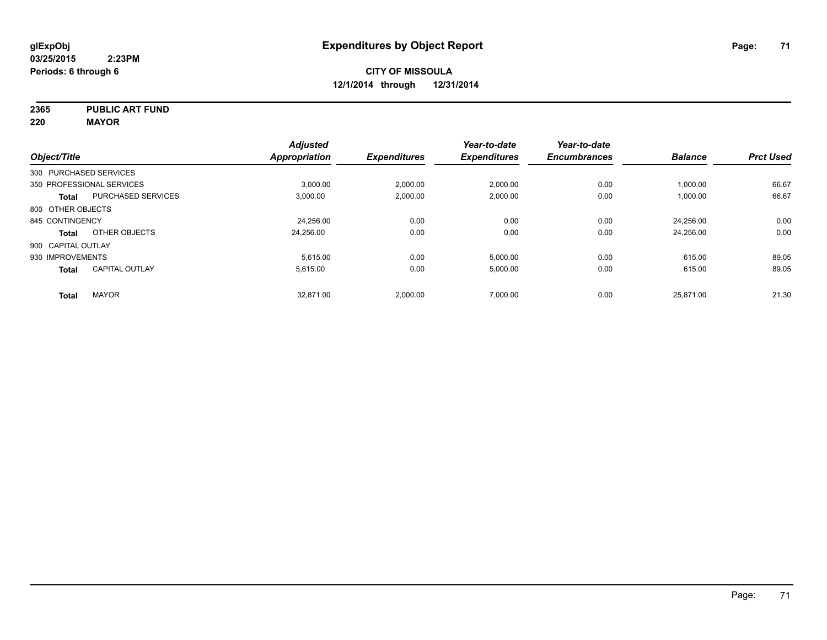**2365 PUBLIC ART FUND**

**220 MAYOR**

|                        |                           | <b>Adjusted</b> |                     | Year-to-date        | Year-to-date        |                |                  |
|------------------------|---------------------------|-----------------|---------------------|---------------------|---------------------|----------------|------------------|
| Object/Title           |                           | Appropriation   | <b>Expenditures</b> | <b>Expenditures</b> | <b>Encumbrances</b> | <b>Balance</b> | <b>Prct Used</b> |
| 300 PURCHASED SERVICES |                           |                 |                     |                     |                     |                |                  |
|                        | 350 PROFESSIONAL SERVICES | 3,000.00        | 2,000.00            | 2,000.00            | 0.00                | 1,000.00       | 66.67            |
| <b>Total</b>           | <b>PURCHASED SERVICES</b> | 3,000.00        | 2,000.00            | 2,000.00            | 0.00                | 1,000.00       | 66.67            |
| 800 OTHER OBJECTS      |                           |                 |                     |                     |                     |                |                  |
| 845 CONTINGENCY        |                           | 24.256.00       | 0.00                | 0.00                | 0.00                | 24.256.00      | 0.00             |
| Total                  | OTHER OBJECTS             | 24,256.00       | 0.00                | 0.00                | 0.00                | 24,256.00      | 0.00             |
| 900 CAPITAL OUTLAY     |                           |                 |                     |                     |                     |                |                  |
| 930 IMPROVEMENTS       |                           | 5,615.00        | 0.00                | 5,000.00            | 0.00                | 615.00         | 89.05            |
| <b>Total</b>           | <b>CAPITAL OUTLAY</b>     | 5.615.00        | 0.00                | 5,000.00            | 0.00                | 615.00         | 89.05            |
| <b>Total</b>           | <b>MAYOR</b>              | 32,871.00       | 2,000.00            | 7,000.00            | 0.00                | 25,871.00      | 21.30            |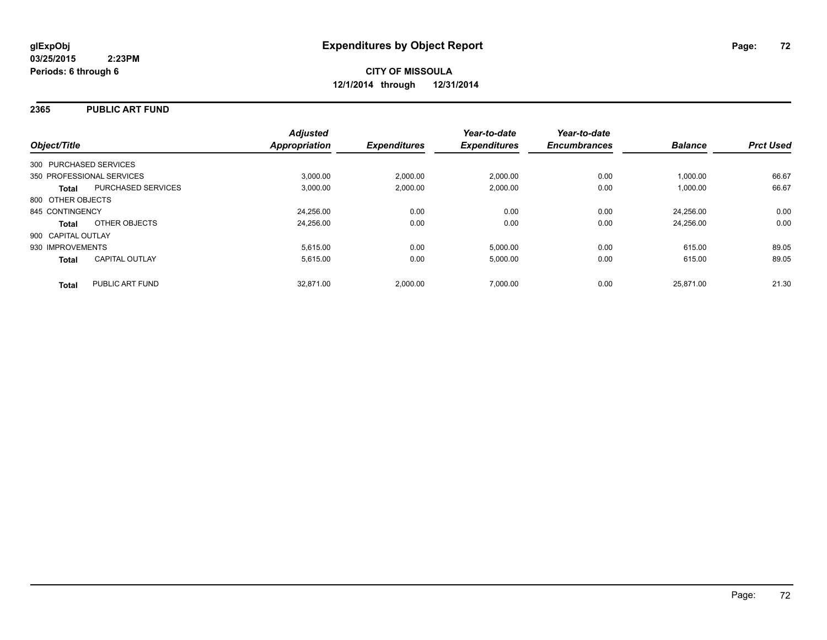### **2365 PUBLIC ART FUND**

| Object/Title              |                       | <b>Adjusted</b><br>Appropriation | <b>Expenditures</b> | Year-to-date<br><b>Expenditures</b> | Year-to-date<br><b>Encumbrances</b> | <b>Balance</b> | <b>Prct Used</b> |
|---------------------------|-----------------------|----------------------------------|---------------------|-------------------------------------|-------------------------------------|----------------|------------------|
| 300 PURCHASED SERVICES    |                       |                                  |                     |                                     |                                     |                |                  |
| 350 PROFESSIONAL SERVICES |                       | 3.000.00                         | 2,000.00            | 2.000.00                            | 0.00                                | 1,000.00       | 66.67            |
| <b>Total</b>              | PURCHASED SERVICES    | 3,000.00                         | 2,000.00            | 2.000.00                            | 0.00                                | 1,000.00       | 66.67            |
| 800 OTHER OBJECTS         |                       |                                  |                     |                                     |                                     |                |                  |
| 845 CONTINGENCY           |                       | 24.256.00                        | 0.00                | 0.00                                | 0.00                                | 24.256.00      | 0.00             |
| <b>Total</b>              | OTHER OBJECTS         | 24,256.00                        | 0.00                | 0.00                                | 0.00                                | 24.256.00      | 0.00             |
| 900 CAPITAL OUTLAY        |                       |                                  |                     |                                     |                                     |                |                  |
| 930 IMPROVEMENTS          |                       | 5,615.00                         | 0.00                | 5,000.00                            | 0.00                                | 615.00         | 89.05            |
| <b>Total</b>              | <b>CAPITAL OUTLAY</b> | 5,615.00                         | 0.00                | 5,000.00                            | 0.00                                | 615.00         | 89.05            |
| <b>Total</b>              | PUBLIC ART FUND       | 32.871.00                        | 2,000.00            | 7.000.00                            | 0.00                                | 25.871.00      | 21.30            |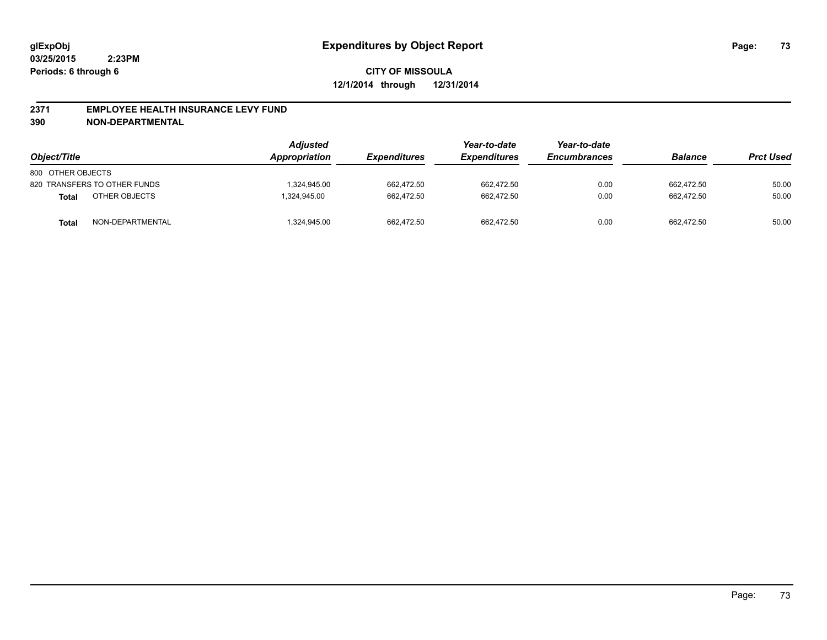#### **2371 EMPLOYEE HEALTH INSURANCE LEVY FUND**

**390 NON-DEPARTMENTAL**

| Object/Title      |                              | <b>Adjusted</b><br>Appropriation | <b>Expenditures</b> | Year-to-date<br><b>Expenditures</b> | Year-to-date<br><b>Encumbrances</b> | <b>Balance</b> | <b>Prct Used</b> |
|-------------------|------------------------------|----------------------------------|---------------------|-------------------------------------|-------------------------------------|----------------|------------------|
| 800 OTHER OBJECTS |                              |                                  |                     |                                     |                                     |                |                  |
|                   | 820 TRANSFERS TO OTHER FUNDS | .324.945.00                      | 662.472.50          | 662.472.50                          | 0.00                                | 662.472.50     | 50.00            |
| <b>Total</b>      | OTHER OBJECTS                | 1,324,945.00                     | 662.472.50          | 662.472.50                          | 0.00                                | 662.472.50     | 50.00            |
| <b>Total</b>      | NON-DEPARTMENTAL             | ,324,945.00                      | 662.472.50          | 662,472.50                          | 0.00                                | 662.472.50     | 50.00            |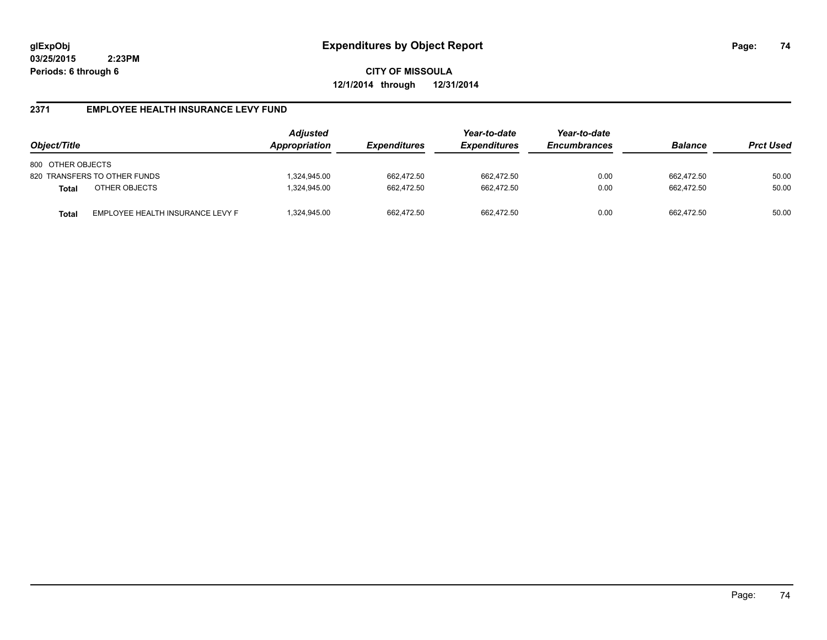**CITY OF MISSOULA 12/1/2014 through 12/31/2014**

## **2371 EMPLOYEE HEALTH INSURANCE LEVY FUND**

| Object/Title                                     | <b>Adjusted</b><br>Appropriation | <b>Expenditures</b> | Year-to-date<br><b>Expenditures</b> | Year-to-date<br><b>Encumbrances</b> | <b>Balance</b> | <b>Prct Used</b> |
|--------------------------------------------------|----------------------------------|---------------------|-------------------------------------|-------------------------------------|----------------|------------------|
| 800 OTHER OBJECTS                                |                                  |                     |                                     |                                     |                |                  |
| 820 TRANSFERS TO OTHER FUNDS                     | ,324,945.00                      | 662.472.50          | 662,472.50                          | 0.00                                | 662.472.50     | 50.00            |
| OTHER OBJECTS<br><b>Total</b>                    | 324,945.00                       | 662.472.50          | 662.472.50                          | 0.00                                | 662.472.50     | 50.00            |
| EMPLOYEE HEALTH INSURANCE LEVY F<br><b>Total</b> | ,324,945.00                      | 662.472.50          | 662.472.50                          | 0.00                                | 662.472.50     | 50.00            |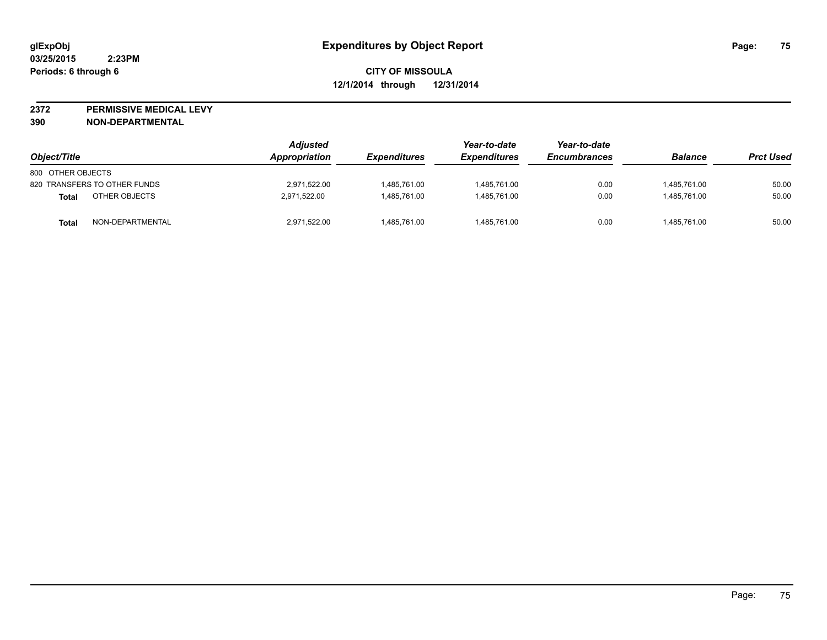**2372 PERMISSIVE MEDICAL LEVY**

**390 NON-DEPARTMENTAL**

| Object/Title                 |                  | <b>Adjusted</b><br><b>Appropriation</b> | <i><b>Expenditures</b></i> | Year-to-date<br><b>Expenditures</b> | Year-to-date<br><b>Encumbrances</b> | <b>Balance</b> | <b>Prct Used</b> |
|------------------------------|------------------|-----------------------------------------|----------------------------|-------------------------------------|-------------------------------------|----------------|------------------|
| 800 OTHER OBJECTS            |                  |                                         |                            |                                     |                                     |                |                  |
| 820 TRANSFERS TO OTHER FUNDS |                  | 2,971,522.00                            | 1,485,761.00               | 1,485,761.00                        | 0.00                                | 1,485,761.00   | 50.00            |
| <b>Total</b>                 | OTHER OBJECTS    | 2.971.522.00                            | 1.485.761.00               | 1.485.761.00                        | 0.00                                | 1.485.761.00   | 50.00            |
| <b>Total</b>                 | NON-DEPARTMENTAL | 2,971,522.00                            | 1,485,761.00               | 1,485,761.00                        | 0.00                                | 1,485,761.00   | 50.00            |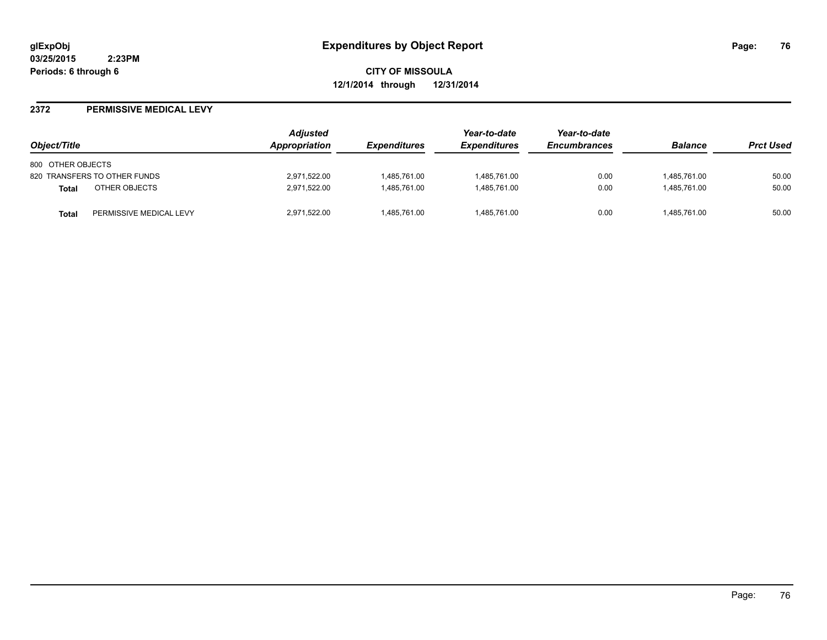**CITY OF MISSOULA 12/1/2014 through 12/31/2014**

#### **2372 PERMISSIVE MEDICAL LEVY**

| Object/Title                            | Adjusted<br>Appropriation | <i><b>Expenditures</b></i> | Year-to-date<br><b>Expenditures</b> | Year-to-date<br><b>Encumbrances</b> | <b>Balance</b> | <b>Prct Used</b> |
|-----------------------------------------|---------------------------|----------------------------|-------------------------------------|-------------------------------------|----------------|------------------|
| 800 OTHER OBJECTS                       |                           |                            |                                     |                                     |                |                  |
| 820 TRANSFERS TO OTHER FUNDS            | 2,971,522.00              | 1.485.761.00               | 1,485,761.00                        | 0.00                                | 1,485,761.00   | 50.00            |
| OTHER OBJECTS<br><b>Total</b>           | 2,971,522.00              | 1.485.761.00               | 1,485,761.00                        | 0.00                                | 1.485.761.00   | 50.00            |
| PERMISSIVE MEDICAL LEVY<br><b>Total</b> | 2,971,522.00              | 1,485,761.00               | 1,485,761.00                        | 0.00                                | 1,485,761.00   | 50.00            |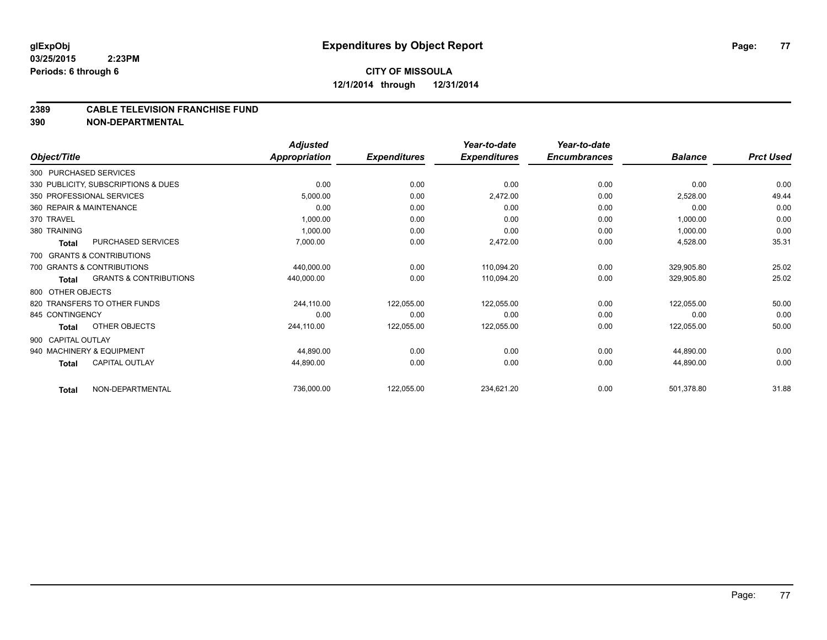# **CITY OF MISSOULA 12/1/2014 through 12/31/2014**

#### **2389 CABLE TELEVISION FRANCHISE FUND**

**390 NON-DEPARTMENTAL**

|                        |                                     | <b>Adjusted</b>      |                     | Year-to-date        | Year-to-date        |                |                  |
|------------------------|-------------------------------------|----------------------|---------------------|---------------------|---------------------|----------------|------------------|
| Object/Title           |                                     | <b>Appropriation</b> | <b>Expenditures</b> | <b>Expenditures</b> | <b>Encumbrances</b> | <b>Balance</b> | <b>Prct Used</b> |
| 300 PURCHASED SERVICES |                                     |                      |                     |                     |                     |                |                  |
|                        | 330 PUBLICITY, SUBSCRIPTIONS & DUES | 0.00                 | 0.00                | 0.00                | 0.00                | 0.00           | 0.00             |
|                        | 350 PROFESSIONAL SERVICES           | 5,000.00             | 0.00                | 2,472.00            | 0.00                | 2,528.00       | 49.44            |
|                        | 360 REPAIR & MAINTENANCE            | 0.00                 | 0.00                | 0.00                | 0.00                | 0.00           | 0.00             |
| 370 TRAVEL             |                                     | 1,000.00             | 0.00                | 0.00                | 0.00                | 1,000.00       | 0.00             |
| 380 TRAINING           |                                     | 1,000.00             | 0.00                | 0.00                | 0.00                | 1,000.00       | 0.00             |
| <b>Total</b>           | PURCHASED SERVICES                  | 7,000.00             | 0.00                | 2,472.00            | 0.00                | 4,528.00       | 35.31            |
|                        | 700 GRANTS & CONTRIBUTIONS          |                      |                     |                     |                     |                |                  |
|                        | 700 GRANTS & CONTRIBUTIONS          | 440,000.00           | 0.00                | 110,094.20          | 0.00                | 329,905.80     | 25.02            |
| Total                  | <b>GRANTS &amp; CONTRIBUTIONS</b>   | 440,000.00           | 0.00                | 110,094.20          | 0.00                | 329,905.80     | 25.02            |
| 800 OTHER OBJECTS      |                                     |                      |                     |                     |                     |                |                  |
|                        | 820 TRANSFERS TO OTHER FUNDS        | 244,110.00           | 122,055.00          | 122,055.00          | 0.00                | 122,055.00     | 50.00            |
| 845 CONTINGENCY        |                                     | 0.00                 | 0.00                | 0.00                | 0.00                | 0.00           | 0.00             |
| Total                  | OTHER OBJECTS                       | 244,110.00           | 122,055.00          | 122,055.00          | 0.00                | 122,055.00     | 50.00            |
| 900 CAPITAL OUTLAY     |                                     |                      |                     |                     |                     |                |                  |
|                        | 940 MACHINERY & EQUIPMENT           | 44,890.00            | 0.00                | 0.00                | 0.00                | 44,890.00      | 0.00             |
| <b>Total</b>           | <b>CAPITAL OUTLAY</b>               | 44,890.00            | 0.00                | 0.00                | 0.00                | 44,890.00      | 0.00             |
| <b>Total</b>           | NON-DEPARTMENTAL                    | 736,000.00           | 122,055.00          | 234,621.20          | 0.00                | 501,378.80     | 31.88            |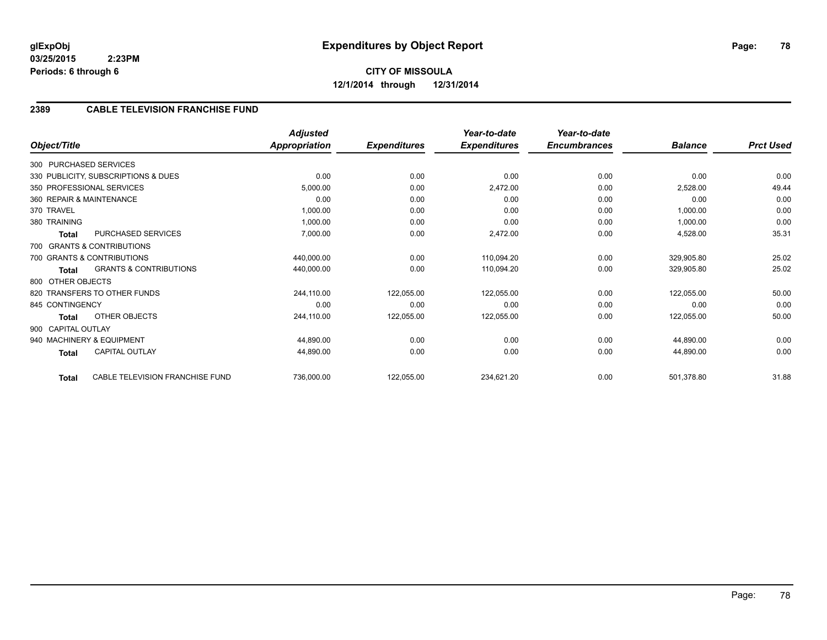# **2389 CABLE TELEVISION FRANCHISE FUND**

| Object/Title       |                                     | <b>Adjusted</b><br><b>Appropriation</b> | <b>Expenditures</b> | Year-to-date<br><b>Expenditures</b> | Year-to-date<br><b>Encumbrances</b> | <b>Balance</b> | <b>Prct Used</b> |
|--------------------|-------------------------------------|-----------------------------------------|---------------------|-------------------------------------|-------------------------------------|----------------|------------------|
|                    |                                     |                                         |                     |                                     |                                     |                |                  |
|                    | 300 PURCHASED SERVICES              |                                         |                     |                                     |                                     |                |                  |
|                    | 330 PUBLICITY, SUBSCRIPTIONS & DUES | 0.00                                    | 0.00                | 0.00                                | 0.00                                | 0.00           | 0.00             |
|                    | 350 PROFESSIONAL SERVICES           | 5,000.00                                | 0.00                | 2,472.00                            | 0.00                                | 2,528.00       | 49.44            |
|                    | 360 REPAIR & MAINTENANCE            | 0.00                                    | 0.00                | 0.00                                | 0.00                                | 0.00           | 0.00             |
| 370 TRAVEL         |                                     | 1,000.00                                | 0.00                | 0.00                                | 0.00                                | 1,000.00       | 0.00             |
| 380 TRAINING       |                                     | 1,000.00                                | 0.00                | 0.00                                | 0.00                                | 1,000.00       | 0.00             |
| Total              | PURCHASED SERVICES                  | 7,000.00                                | 0.00                | 2,472.00                            | 0.00                                | 4,528.00       | 35.31            |
|                    | 700 GRANTS & CONTRIBUTIONS          |                                         |                     |                                     |                                     |                |                  |
|                    | 700 GRANTS & CONTRIBUTIONS          | 440,000.00                              | 0.00                | 110,094.20                          | 0.00                                | 329,905.80     | 25.02            |
| Total              | <b>GRANTS &amp; CONTRIBUTIONS</b>   | 440,000.00                              | 0.00                | 110,094.20                          | 0.00                                | 329,905.80     | 25.02            |
| 800 OTHER OBJECTS  |                                     |                                         |                     |                                     |                                     |                |                  |
|                    | 820 TRANSFERS TO OTHER FUNDS        | 244,110.00                              | 122,055.00          | 122,055.00                          | 0.00                                | 122,055.00     | 50.00            |
| 845 CONTINGENCY    |                                     | 0.00                                    | 0.00                | 0.00                                | 0.00                                | 0.00           | 0.00             |
| Total              | OTHER OBJECTS                       | 244,110.00                              | 122,055.00          | 122,055.00                          | 0.00                                | 122,055.00     | 50.00            |
| 900 CAPITAL OUTLAY |                                     |                                         |                     |                                     |                                     |                |                  |
|                    | 940 MACHINERY & EQUIPMENT           | 44,890.00                               | 0.00                | 0.00                                | 0.00                                | 44,890.00      | 0.00             |
| Total              | <b>CAPITAL OUTLAY</b>               | 44,890.00                               | 0.00                | 0.00                                | 0.00                                | 44,890.00      | 0.00             |
| <b>Total</b>       | CABLE TELEVISION FRANCHISE FUND     | 736,000.00                              | 122,055.00          | 234,621.20                          | 0.00                                | 501,378.80     | 31.88            |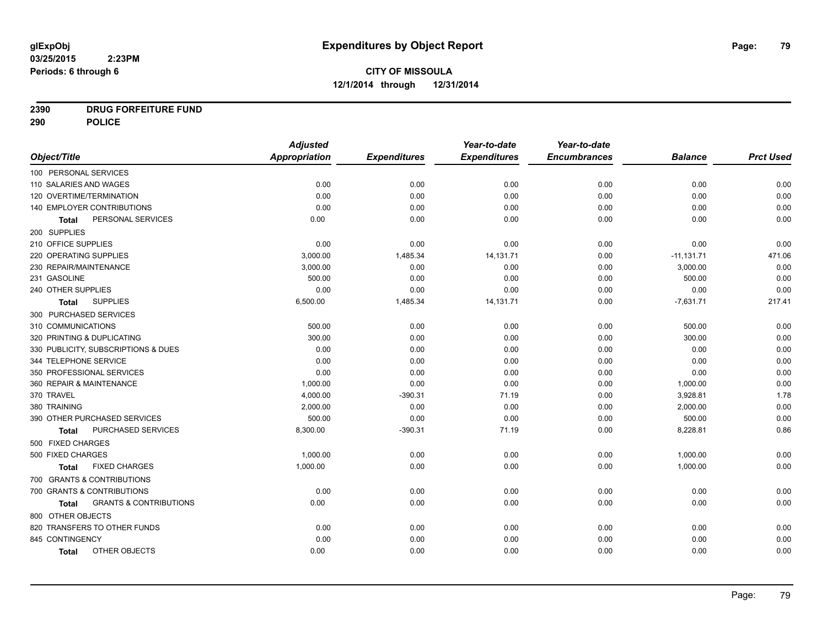# **2390 DRUG FORFEITURE FUND**

**290 POLICE**

|                                            | <b>Adjusted</b> |                     | Year-to-date        | Year-to-date        |                |                  |
|--------------------------------------------|-----------------|---------------------|---------------------|---------------------|----------------|------------------|
| Object/Title                               | Appropriation   | <b>Expenditures</b> | <b>Expenditures</b> | <b>Encumbrances</b> | <b>Balance</b> | <b>Prct Used</b> |
| 100 PERSONAL SERVICES                      |                 |                     |                     |                     |                |                  |
| 110 SALARIES AND WAGES                     | 0.00            | 0.00                | 0.00                | 0.00                | 0.00           | 0.00             |
| 120 OVERTIME/TERMINATION                   | 0.00            | 0.00                | 0.00                | 0.00                | 0.00           | 0.00             |
| 140 EMPLOYER CONTRIBUTIONS                 | 0.00            | 0.00                | 0.00                | 0.00                | 0.00           | 0.00             |
| PERSONAL SERVICES<br><b>Total</b>          | 0.00            | 0.00                | 0.00                | 0.00                | 0.00           | 0.00             |
| 200 SUPPLIES                               |                 |                     |                     |                     |                |                  |
| 210 OFFICE SUPPLIES                        | 0.00            | 0.00                | 0.00                | 0.00                | 0.00           | 0.00             |
| 220 OPERATING SUPPLIES                     | 3,000.00        | 1,485.34            | 14,131.71           | 0.00                | $-11,131.71$   | 471.06           |
| 230 REPAIR/MAINTENANCE                     | 3,000.00        | 0.00                | 0.00                | 0.00                | 3,000.00       | 0.00             |
| 231 GASOLINE                               | 500.00          | 0.00                | 0.00                | 0.00                | 500.00         | 0.00             |
| 240 OTHER SUPPLIES                         | 0.00            | 0.00                | 0.00                | 0.00                | 0.00           | 0.00             |
| <b>SUPPLIES</b><br><b>Total</b>            | 6,500.00        | 1,485.34            | 14,131.71           | 0.00                | $-7,631.71$    | 217.41           |
| 300 PURCHASED SERVICES                     |                 |                     |                     |                     |                |                  |
| 310 COMMUNICATIONS                         | 500.00          | 0.00                | 0.00                | 0.00                | 500.00         | 0.00             |
| 320 PRINTING & DUPLICATING                 | 300.00          | 0.00                | 0.00                | 0.00                | 300.00         | 0.00             |
| 330 PUBLICITY, SUBSCRIPTIONS & DUES        | 0.00            | 0.00                | 0.00                | 0.00                | 0.00           | 0.00             |
| 344 TELEPHONE SERVICE                      | 0.00            | 0.00                | 0.00                | 0.00                | 0.00           | 0.00             |
| 350 PROFESSIONAL SERVICES                  | 0.00            | 0.00                | 0.00                | 0.00                | 0.00           | 0.00             |
| 360 REPAIR & MAINTENANCE                   | 1,000.00        | 0.00                | 0.00                | 0.00                | 1,000.00       | 0.00             |
| 370 TRAVEL                                 | 4,000.00        | $-390.31$           | 71.19               | 0.00                | 3,928.81       | 1.78             |
| 380 TRAINING                               | 2,000.00        | 0.00                | 0.00                | 0.00                | 2,000.00       | 0.00             |
| 390 OTHER PURCHASED SERVICES               | 500.00          | 0.00                | 0.00                | 0.00                | 500.00         | 0.00             |
| PURCHASED SERVICES<br><b>Total</b>         | 8,300.00        | $-390.31$           | 71.19               | 0.00                | 8,228.81       | 0.86             |
| 500 FIXED CHARGES                          |                 |                     |                     |                     |                |                  |
| 500 FIXED CHARGES                          | 1,000.00        | 0.00                | 0.00                | 0.00                | 1,000.00       | 0.00             |
| <b>FIXED CHARGES</b><br>Total              | 1,000.00        | 0.00                | 0.00                | 0.00                | 1,000.00       | 0.00             |
| 700 GRANTS & CONTRIBUTIONS                 |                 |                     |                     |                     |                |                  |
| 700 GRANTS & CONTRIBUTIONS                 | 0.00            | 0.00                | 0.00                | 0.00                | 0.00           | 0.00             |
| <b>GRANTS &amp; CONTRIBUTIONS</b><br>Total | 0.00            | 0.00                | 0.00                | 0.00                | 0.00           | 0.00             |
| 800 OTHER OBJECTS                          |                 |                     |                     |                     |                |                  |
| 820 TRANSFERS TO OTHER FUNDS               | 0.00            | 0.00                | 0.00                | 0.00                | 0.00           | 0.00             |
| 845 CONTINGENCY                            | 0.00            | 0.00                | 0.00                | 0.00                | 0.00           | 0.00             |
| OTHER OBJECTS<br><b>Total</b>              | 0.00            | 0.00                | 0.00                | 0.00                | 0.00           | 0.00             |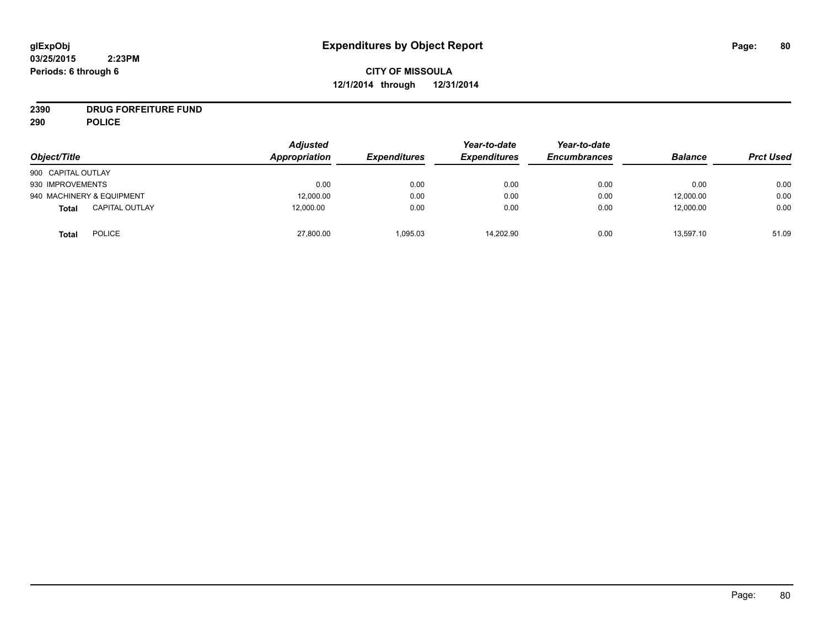# **CITY OF MISSOULA 12/1/2014 through 12/31/2014**

# **2390 DRUG FORFEITURE FUND**

**290 POLICE**

| Object/Title                          | <b>Adjusted</b><br>Appropriation | <b>Expenditures</b> | Year-to-date<br><b>Expenditures</b> | Year-to-date<br><b>Encumbrances</b> | <b>Balance</b> | <b>Prct Used</b> |
|---------------------------------------|----------------------------------|---------------------|-------------------------------------|-------------------------------------|----------------|------------------|
| 900 CAPITAL OUTLAY                    |                                  |                     |                                     |                                     |                |                  |
|                                       |                                  |                     |                                     |                                     |                |                  |
| 930 IMPROVEMENTS                      | 0.00                             | 0.00                | 0.00                                | 0.00                                | 0.00           | 0.00             |
| 940 MACHINERY & EQUIPMENT             | 12,000.00                        | 0.00                | 0.00                                | 0.00                                | 12,000.00      | 0.00             |
| <b>CAPITAL OUTLAY</b><br><b>Total</b> | 12.000.00                        | 0.00                | 0.00                                | 0.00                                | 12,000.00      | 0.00             |
| <b>POLICE</b><br><b>Total</b>         | 27,800.00                        | 1,095.03            | 14,202.90                           | 0.00                                | 13,597.10      | 51.09            |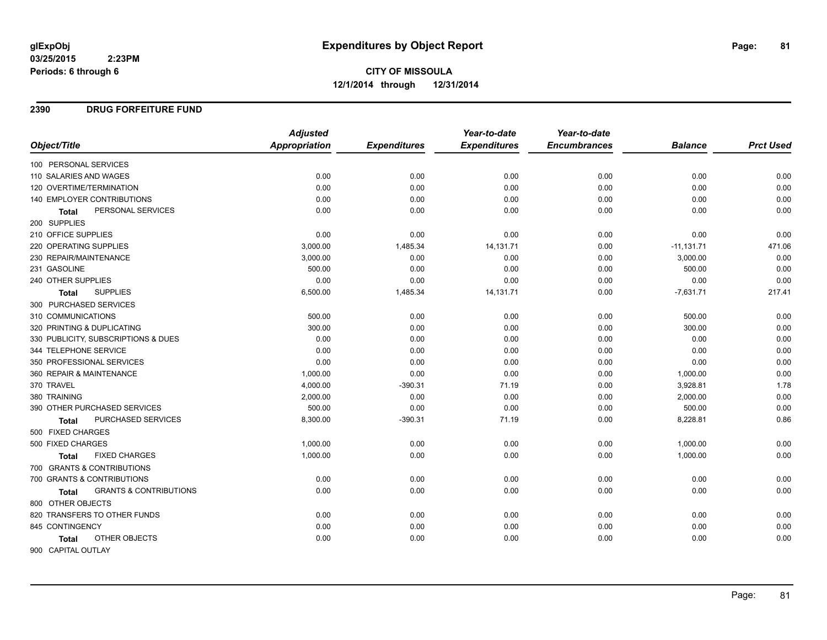# **CITY OF MISSOULA 12/1/2014 through 12/31/2014**

#### **2390 DRUG FORFEITURE FUND**

|                                                   | <b>Adjusted</b> |                     | Year-to-date        | Year-to-date        |                |                  |
|---------------------------------------------------|-----------------|---------------------|---------------------|---------------------|----------------|------------------|
| Object/Title                                      | Appropriation   | <b>Expenditures</b> | <b>Expenditures</b> | <b>Encumbrances</b> | <b>Balance</b> | <b>Prct Used</b> |
| 100 PERSONAL SERVICES                             |                 |                     |                     |                     |                |                  |
| 110 SALARIES AND WAGES                            | 0.00            | 0.00                | 0.00                | 0.00                | 0.00           | 0.00             |
| 120 OVERTIME/TERMINATION                          | 0.00            | 0.00                | 0.00                | 0.00                | 0.00           | 0.00             |
| <b>140 EMPLOYER CONTRIBUTIONS</b>                 | 0.00            | 0.00                | 0.00                | 0.00                | 0.00           | 0.00             |
| PERSONAL SERVICES<br><b>Total</b>                 | 0.00            | 0.00                | 0.00                | 0.00                | 0.00           | 0.00             |
| 200 SUPPLIES                                      |                 |                     |                     |                     |                |                  |
| 210 OFFICE SUPPLIES                               | 0.00            | 0.00                | 0.00                | 0.00                | 0.00           | 0.00             |
| 220 OPERATING SUPPLIES                            | 3,000.00        | 1,485.34            | 14,131.71           | 0.00                | $-11,131.71$   | 471.06           |
| 230 REPAIR/MAINTENANCE                            | 3,000.00        | 0.00                | 0.00                | 0.00                | 3,000.00       | 0.00             |
| 231 GASOLINE                                      | 500.00          | 0.00                | 0.00                | 0.00                | 500.00         | 0.00             |
| 240 OTHER SUPPLIES                                | 0.00            | 0.00                | 0.00                | 0.00                | 0.00           | 0.00             |
| <b>SUPPLIES</b><br>Total                          | 6,500.00        | 1,485.34            | 14,131.71           | 0.00                | $-7,631.71$    | 217.41           |
| 300 PURCHASED SERVICES                            |                 |                     |                     |                     |                |                  |
| 310 COMMUNICATIONS                                | 500.00          | 0.00                | 0.00                | 0.00                | 500.00         | 0.00             |
| 320 PRINTING & DUPLICATING                        | 300.00          | 0.00                | 0.00                | 0.00                | 300.00         | 0.00             |
| 330 PUBLICITY, SUBSCRIPTIONS & DUES               | 0.00            | 0.00                | 0.00                | 0.00                | 0.00           | 0.00             |
| 344 TELEPHONE SERVICE                             | 0.00            | 0.00                | 0.00                | 0.00                | 0.00           | 0.00             |
| 350 PROFESSIONAL SERVICES                         | 0.00            | 0.00                | 0.00                | 0.00                | 0.00           | 0.00             |
| 360 REPAIR & MAINTENANCE                          | 1,000.00        | 0.00                | 0.00                | 0.00                | 1,000.00       | 0.00             |
| 370 TRAVEL                                        | 4,000.00        | $-390.31$           | 71.19               | 0.00                | 3,928.81       | 1.78             |
| 380 TRAINING                                      | 2,000.00        | 0.00                | 0.00                | 0.00                | 2,000.00       | 0.00             |
| 390 OTHER PURCHASED SERVICES                      | 500.00          | 0.00                | 0.00                | 0.00                | 500.00         | 0.00             |
| PURCHASED SERVICES<br>Total                       | 8,300.00        | $-390.31$           | 71.19               | 0.00                | 8,228.81       | 0.86             |
| 500 FIXED CHARGES                                 |                 |                     |                     |                     |                |                  |
| 500 FIXED CHARGES                                 | 1,000.00        | 0.00                | 0.00                | 0.00                | 1,000.00       | 0.00             |
| <b>FIXED CHARGES</b><br><b>Total</b>              | 1,000.00        | 0.00                | 0.00                | 0.00                | 1,000.00       | 0.00             |
| 700 GRANTS & CONTRIBUTIONS                        |                 |                     |                     |                     |                |                  |
| 700 GRANTS & CONTRIBUTIONS                        | 0.00            | 0.00                | 0.00                | 0.00                | 0.00           | 0.00             |
| <b>GRANTS &amp; CONTRIBUTIONS</b><br><b>Total</b> | 0.00            | 0.00                | 0.00                | 0.00                | 0.00           | 0.00             |
| 800 OTHER OBJECTS                                 |                 |                     |                     |                     |                |                  |
| 820 TRANSFERS TO OTHER FUNDS                      | 0.00            | 0.00                | 0.00                | 0.00                | 0.00           | 0.00             |
| 845 CONTINGENCY                                   | 0.00            | 0.00                | 0.00                | 0.00                | 0.00           | 0.00             |
| OTHER OBJECTS<br><b>Total</b>                     | 0.00            | 0.00                | 0.00                | 0.00                | 0.00           | 0.00             |
| 900 CAPITAL OUTLAY                                |                 |                     |                     |                     |                |                  |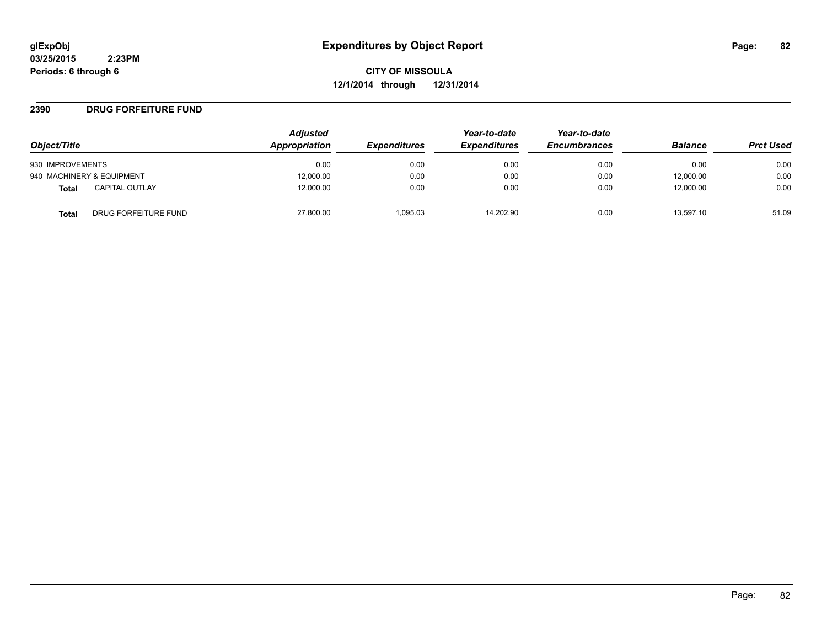**CITY OF MISSOULA 12/1/2014 through 12/31/2014**

#### **2390 DRUG FORFEITURE FUND**

|                                      | <b>Adjusted</b> |                     | Year-to-date        | Year-to-date        |                |                  |
|--------------------------------------|-----------------|---------------------|---------------------|---------------------|----------------|------------------|
| Object/Title                         | Appropriation   | <b>Expenditures</b> | <b>Expenditures</b> | <b>Encumbrances</b> | <b>Balance</b> | <b>Prct Used</b> |
| 930 IMPROVEMENTS                     | 0.00            | 0.00                | 0.00                | 0.00                | 0.00           | 0.00             |
| 940 MACHINERY & EQUIPMENT            | 12,000.00       | 0.00                | 0.00                | 0.00                | 12,000.00      | 0.00             |
| <b>CAPITAL OUTLAY</b><br>Total       | 12,000.00       | 0.00                | 0.00                | 0.00                | 12,000.00      | 0.00             |
| DRUG FORFEITURE FUND<br><b>Total</b> | 27,800.00       | 1.095.03            | 14.202.90           | 0.00                | 13.597.10      | 51.09            |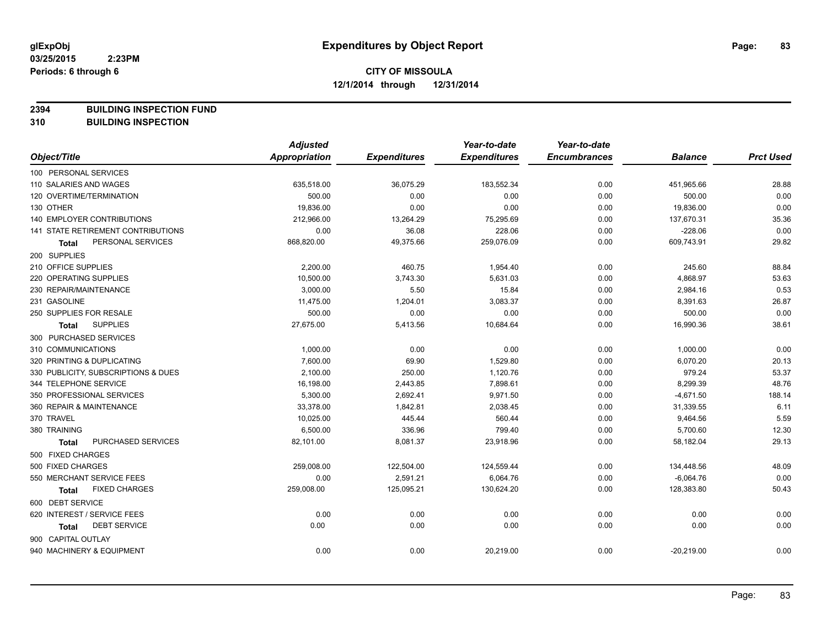**2394 BUILDING INSPECTION FUND**

**310 BUILDING INSPECTION**

|                                           | <b>Adjusted</b>      |                     | Year-to-date        | Year-to-date        |                |                  |
|-------------------------------------------|----------------------|---------------------|---------------------|---------------------|----------------|------------------|
| Object/Title                              | <b>Appropriation</b> | <b>Expenditures</b> | <b>Expenditures</b> | <b>Encumbrances</b> | <b>Balance</b> | <b>Prct Used</b> |
| 100 PERSONAL SERVICES                     |                      |                     |                     |                     |                |                  |
| 110 SALARIES AND WAGES                    | 635,518.00           | 36,075.29           | 183,552.34          | 0.00                | 451,965.66     | 28.88            |
| 120 OVERTIME/TERMINATION                  | 500.00               | 0.00                | 0.00                | 0.00                | 500.00         | 0.00             |
| 130 OTHER                                 | 19,836.00            | 0.00                | 0.00                | 0.00                | 19,836.00      | 0.00             |
| <b>140 EMPLOYER CONTRIBUTIONS</b>         | 212,966.00           | 13,264.29           | 75,295.69           | 0.00                | 137,670.31     | 35.36            |
| <b>141 STATE RETIREMENT CONTRIBUTIONS</b> | 0.00                 | 36.08               | 228.06              | 0.00                | $-228.06$      | 0.00             |
| PERSONAL SERVICES<br>Total                | 868,820.00           | 49,375.66           | 259,076.09          | 0.00                | 609,743.91     | 29.82            |
| 200 SUPPLIES                              |                      |                     |                     |                     |                |                  |
| 210 OFFICE SUPPLIES                       | 2,200.00             | 460.75              | 1,954.40            | 0.00                | 245.60         | 88.84            |
| 220 OPERATING SUPPLIES                    | 10,500.00            | 3,743.30            | 5,631.03            | 0.00                | 4,868.97       | 53.63            |
| 230 REPAIR/MAINTENANCE                    | 3,000.00             | 5.50                | 15.84               | 0.00                | 2,984.16       | 0.53             |
| 231 GASOLINE                              | 11,475.00            | 1,204.01            | 3,083.37            | 0.00                | 8,391.63       | 26.87            |
| 250 SUPPLIES FOR RESALE                   | 500.00               | 0.00                | 0.00                | 0.00                | 500.00         | 0.00             |
| <b>SUPPLIES</b><br><b>Total</b>           | 27,675.00            | 5,413.56            | 10,684.64           | 0.00                | 16,990.36      | 38.61            |
| 300 PURCHASED SERVICES                    |                      |                     |                     |                     |                |                  |
| 310 COMMUNICATIONS                        | 1,000.00             | 0.00                | 0.00                | 0.00                | 1,000.00       | 0.00             |
| 320 PRINTING & DUPLICATING                | 7,600.00             | 69.90               | 1,529.80            | 0.00                | 6,070.20       | 20.13            |
| 330 PUBLICITY, SUBSCRIPTIONS & DUES       | 2,100.00             | 250.00              | 1,120.76            | 0.00                | 979.24         | 53.37            |
| 344 TELEPHONE SERVICE                     | 16,198.00            | 2,443.85            | 7,898.61            | 0.00                | 8,299.39       | 48.76            |
| 350 PROFESSIONAL SERVICES                 | 5,300.00             | 2,692.41            | 9,971.50            | 0.00                | $-4,671.50$    | 188.14           |
| 360 REPAIR & MAINTENANCE                  | 33,378.00            | 1,842.81            | 2,038.45            | 0.00                | 31,339.55      | 6.11             |
| 370 TRAVEL                                | 10,025.00            | 445.44              | 560.44              | 0.00                | 9,464.56       | 5.59             |
| 380 TRAINING                              | 6,500.00             | 336.96              | 799.40              | 0.00                | 5,700.60       | 12.30            |
| PURCHASED SERVICES<br><b>Total</b>        | 82,101.00            | 8,081.37            | 23,918.96           | 0.00                | 58,182.04      | 29.13            |
| 500 FIXED CHARGES                         |                      |                     |                     |                     |                |                  |
| 500 FIXED CHARGES                         | 259,008.00           | 122,504.00          | 124,559.44          | 0.00                | 134,448.56     | 48.09            |
| 550 MERCHANT SERVICE FEES                 | 0.00                 | 2,591.21            | 6,064.76            | 0.00                | $-6,064.76$    | 0.00             |
| <b>FIXED CHARGES</b><br><b>Total</b>      | 259,008.00           | 125,095.21          | 130,624.20          | 0.00                | 128,383.80     | 50.43            |
| 600 DEBT SERVICE                          |                      |                     |                     |                     |                |                  |
| 620 INTEREST / SERVICE FEES               | 0.00                 | 0.00                | 0.00                | 0.00                | 0.00           | 0.00             |
| <b>DEBT SERVICE</b><br><b>Total</b>       | 0.00                 | 0.00                | 0.00                | 0.00                | 0.00           | 0.00             |
| 900 CAPITAL OUTLAY                        |                      |                     |                     |                     |                |                  |
| 940 MACHINERY & EQUIPMENT                 | 0.00                 | 0.00                | 20,219.00           | 0.00                | $-20,219.00$   | 0.00             |
|                                           |                      |                     |                     |                     |                |                  |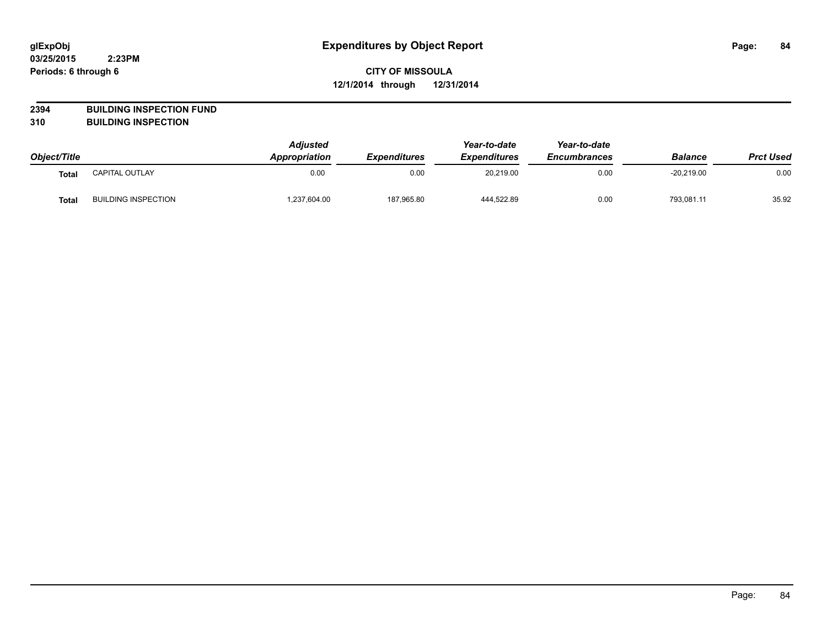# **2394 BUILDING INSPECTION FUND**

**310 BUILDING INSPECTION**

|              |                            | <b>Adjusted</b> |                            | Year-to-date<br><b>Expenditures</b> | Year-to-date<br><b>Encumbrances</b> |                | <b>Prct Used</b> |
|--------------|----------------------------|-----------------|----------------------------|-------------------------------------|-------------------------------------|----------------|------------------|
| Object/Title |                            | Appropriation   | <i><b>Expenditures</b></i> |                                     |                                     | <b>Balance</b> |                  |
| Tota.        | CAPITAL OUTLAY             | 0.00            | 0.00                       | 20,219.00                           | 0.00                                | $-20,219.00$   | 0.00             |
| <b>Total</b> | <b>BUILDING INSPECTION</b> | .237,604.00     | 187,965.80                 | 444.522.89                          | 0.00                                | 793,081.11     | 35.92            |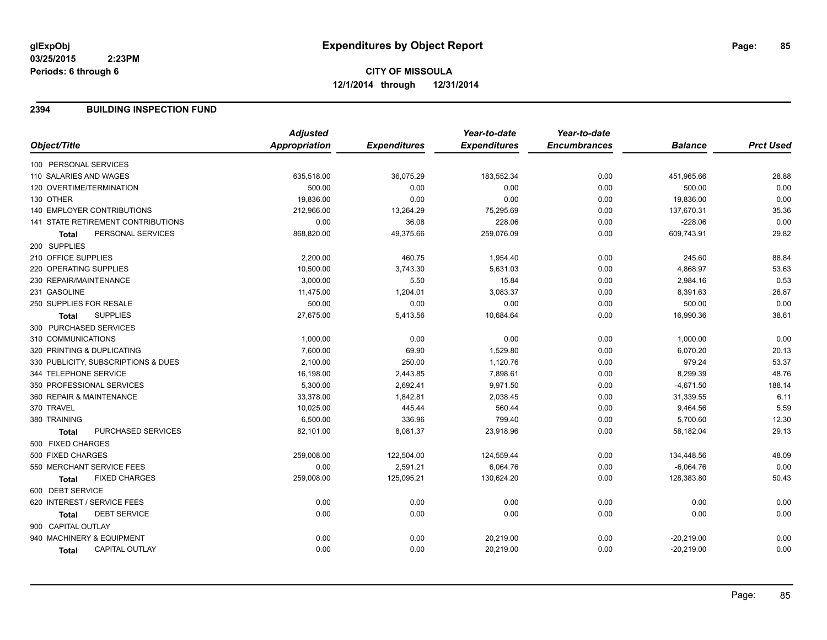#### **2394 BUILDING INSPECTION FUND**

|                                           | <b>Adjusted</b> |                     | Year-to-date        | Year-to-date        |                |                  |
|-------------------------------------------|-----------------|---------------------|---------------------|---------------------|----------------|------------------|
| Object/Title                              | Appropriation   | <b>Expenditures</b> | <b>Expenditures</b> | <b>Encumbrances</b> | <b>Balance</b> | <b>Prct Used</b> |
| 100 PERSONAL SERVICES                     |                 |                     |                     |                     |                |                  |
| 110 SALARIES AND WAGES                    | 635,518.00      | 36,075.29           | 183,552.34          | 0.00                | 451,965.66     | 28.88            |
| 120 OVERTIME/TERMINATION                  | 500.00          | 0.00                | 0.00                | 0.00                | 500.00         | 0.00             |
| 130 OTHER                                 | 19,836.00       | 0.00                | 0.00                | 0.00                | 19,836.00      | 0.00             |
| <b>140 EMPLOYER CONTRIBUTIONS</b>         | 212,966.00      | 13,264.29           | 75,295.69           | 0.00                | 137,670.31     | 35.36            |
| <b>141 STATE RETIREMENT CONTRIBUTIONS</b> | 0.00            | 36.08               | 228.06              | 0.00                | $-228.06$      | 0.00             |
| PERSONAL SERVICES<br><b>Total</b>         | 868,820.00      | 49,375.66           | 259,076.09          | 0.00                | 609,743.91     | 29.82            |
| 200 SUPPLIES                              |                 |                     |                     |                     |                |                  |
| 210 OFFICE SUPPLIES                       | 2,200.00        | 460.75              | 1,954.40            | 0.00                | 245.60         | 88.84            |
| 220 OPERATING SUPPLIES                    | 10,500.00       | 3,743.30            | 5,631.03            | 0.00                | 4,868.97       | 53.63            |
| 230 REPAIR/MAINTENANCE                    | 3,000.00        | 5.50                | 15.84               | 0.00                | 2,984.16       | 0.53             |
| 231 GASOLINE                              | 11,475.00       | 1,204.01            | 3,083.37            | 0.00                | 8,391.63       | 26.87            |
| 250 SUPPLIES FOR RESALE                   | 500.00          | 0.00                | 0.00                | 0.00                | 500.00         | 0.00             |
| <b>SUPPLIES</b><br><b>Total</b>           | 27,675.00       | 5,413.56            | 10,684.64           | 0.00                | 16,990.36      | 38.61            |
| 300 PURCHASED SERVICES                    |                 |                     |                     |                     |                |                  |
| 310 COMMUNICATIONS                        | 1,000.00        | 0.00                | 0.00                | 0.00                | 1,000.00       | 0.00             |
| 320 PRINTING & DUPLICATING                | 7,600.00        | 69.90               | 1,529.80            | 0.00                | 6,070.20       | 20.13            |
| 330 PUBLICITY, SUBSCRIPTIONS & DUES       | 2,100.00        | 250.00              | 1,120.76            | 0.00                | 979.24         | 53.37            |
| 344 TELEPHONE SERVICE                     | 16,198.00       | 2,443.85            | 7,898.61            | 0.00                | 8,299.39       | 48.76            |
| 350 PROFESSIONAL SERVICES                 | 5,300.00        | 2,692.41            | 9,971.50            | 0.00                | $-4,671.50$    | 188.14           |
| 360 REPAIR & MAINTENANCE                  | 33,378.00       | 1,842.81            | 2,038.45            | 0.00                | 31,339.55      | 6.11             |
| 370 TRAVEL                                | 10,025.00       | 445.44              | 560.44              | 0.00                | 9,464.56       | 5.59             |
| 380 TRAINING                              | 6,500.00        | 336.96              | 799.40              | 0.00                | 5,700.60       | 12.30            |
| PURCHASED SERVICES<br><b>Total</b>        | 82,101.00       | 8,081.37            | 23,918.96           | 0.00                | 58,182.04      | 29.13            |
| 500 FIXED CHARGES                         |                 |                     |                     |                     |                |                  |
| 500 FIXED CHARGES                         | 259,008.00      | 122,504.00          | 124,559.44          | 0.00                | 134,448.56     | 48.09            |
| 550 MERCHANT SERVICE FEES                 | 0.00            | 2,591.21            | 6,064.76            | 0.00                | $-6,064.76$    | 0.00             |
| <b>FIXED CHARGES</b><br>Total             | 259,008.00      | 125,095.21          | 130,624.20          | 0.00                | 128,383.80     | 50.43            |
| 600 DEBT SERVICE                          |                 |                     |                     |                     |                |                  |
| 620 INTEREST / SERVICE FEES               | 0.00            | 0.00                | 0.00                | 0.00                | 0.00           | 0.00             |
| <b>DEBT SERVICE</b><br>Total              | 0.00            | 0.00                | 0.00                | 0.00                | 0.00           | 0.00             |
| 900 CAPITAL OUTLAY                        |                 |                     |                     |                     |                |                  |
| 940 MACHINERY & EQUIPMENT                 | 0.00            | 0.00                | 20,219.00           | 0.00                | $-20,219.00$   | 0.00             |
| <b>CAPITAL OUTLAY</b><br>Total            | 0.00            | 0.00                | 20,219.00           | 0.00                | $-20,219.00$   | 0.00             |
|                                           |                 |                     |                     |                     |                |                  |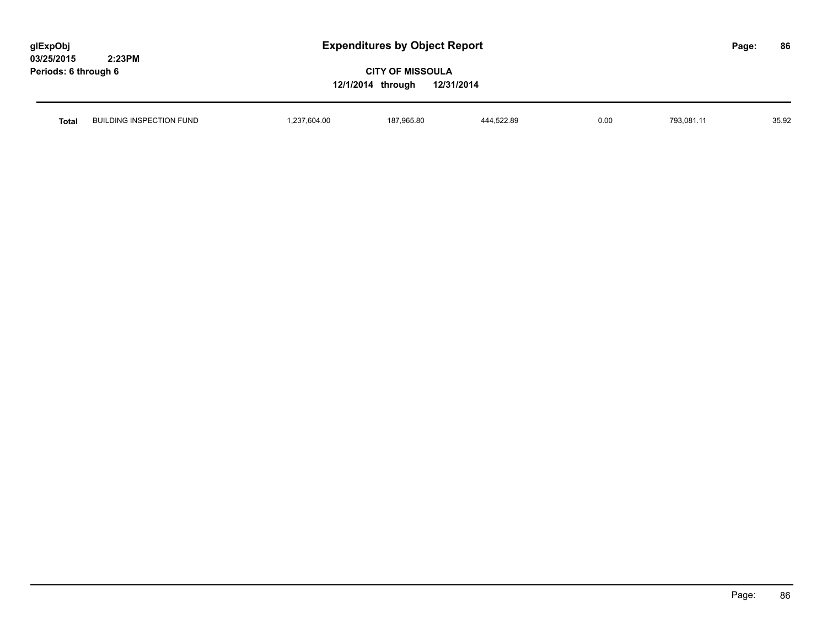| glExpObj             |        |
|----------------------|--------|
| <b>03/25/2015</b>    | 2:23PM |
| Periods: 6 through 6 |        |

| Total | JILDING INSPECTION FUND<br>Βl | 2270400<br>∵.o∪4.∪u | 187.965.80<br>. | 444.522.89 | 0.00 | $\overline{z}$<br>- 793.06 . | 35.92 |
|-------|-------------------------------|---------------------|-----------------|------------|------|------------------------------|-------|
|       |                               |                     |                 |            |      |                              |       |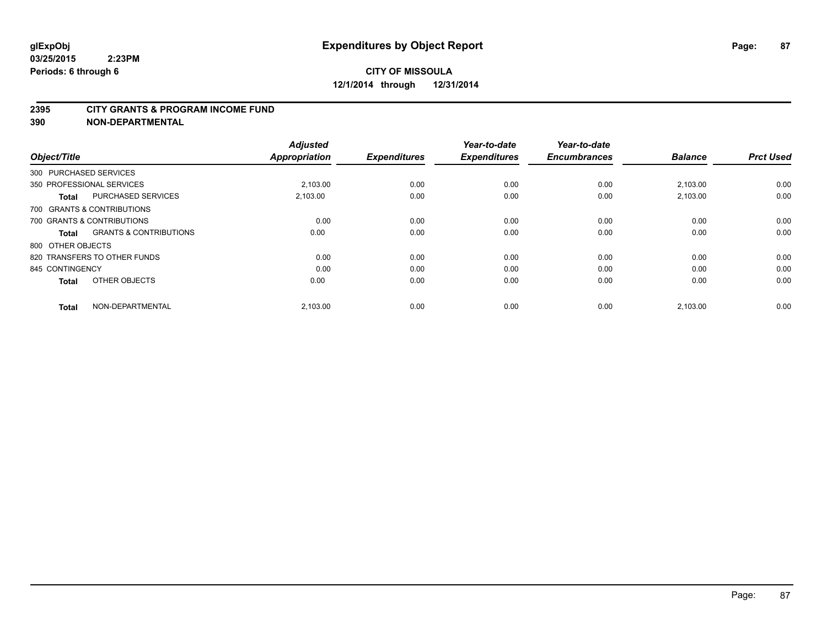#### **2395 CITY GRANTS & PROGRAM INCOME FUND**

**390 NON-DEPARTMENTAL**

| Object/Title           |                                   | <b>Adjusted</b><br><b>Appropriation</b> | <b>Expenditures</b> | Year-to-date<br><b>Expenditures</b> | Year-to-date<br><b>Encumbrances</b> | <b>Balance</b> | <b>Prct Used</b> |
|------------------------|-----------------------------------|-----------------------------------------|---------------------|-------------------------------------|-------------------------------------|----------------|------------------|
| 300 PURCHASED SERVICES |                                   |                                         |                     |                                     |                                     |                |                  |
|                        | 350 PROFESSIONAL SERVICES         | 2.103.00                                | 0.00                | 0.00                                | 0.00                                | 2,103.00       | 0.00             |
| <b>Total</b>           | <b>PURCHASED SERVICES</b>         | 2,103.00                                | 0.00                | 0.00                                | 0.00                                | 2,103.00       | 0.00             |
|                        | 700 GRANTS & CONTRIBUTIONS        |                                         |                     |                                     |                                     |                |                  |
|                        | 700 GRANTS & CONTRIBUTIONS        | 0.00                                    | 0.00                | 0.00                                | 0.00                                | 0.00           | 0.00             |
| <b>Total</b>           | <b>GRANTS &amp; CONTRIBUTIONS</b> | 0.00                                    | 0.00                | 0.00                                | 0.00                                | 0.00           | 0.00             |
| 800 OTHER OBJECTS      |                                   |                                         |                     |                                     |                                     |                |                  |
|                        | 820 TRANSFERS TO OTHER FUNDS      | 0.00                                    | 0.00                | 0.00                                | 0.00                                | 0.00           | 0.00             |
| 845 CONTINGENCY        |                                   | 0.00                                    | 0.00                | 0.00                                | 0.00                                | 0.00           | 0.00             |
| <b>Total</b>           | OTHER OBJECTS                     | 0.00                                    | 0.00                | 0.00                                | 0.00                                | 0.00           | 0.00             |
| <b>Total</b>           | NON-DEPARTMENTAL                  | 2,103.00                                | 0.00                | 0.00                                | 0.00                                | 2,103.00       | 0.00             |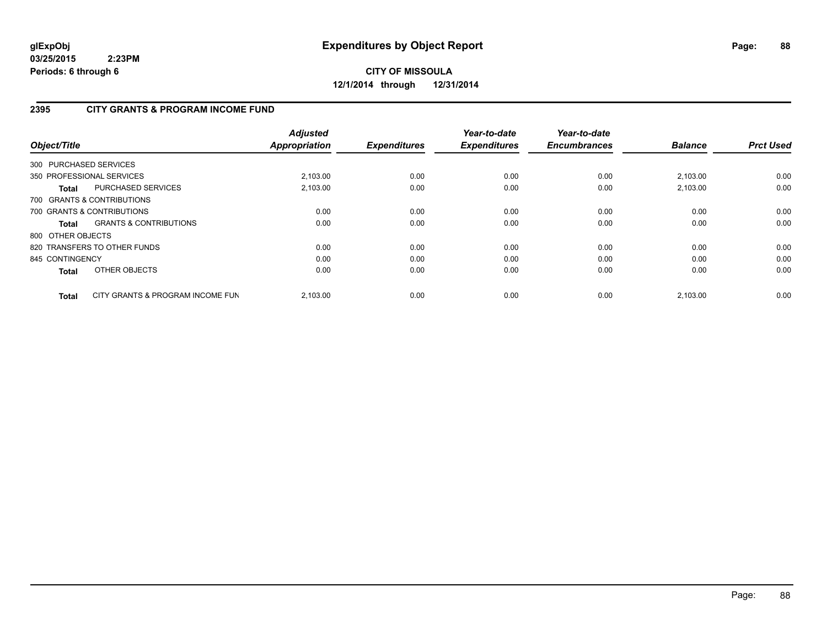# **CITY OF MISSOULA 12/1/2014 through 12/31/2014**

# **2395 CITY GRANTS & PROGRAM INCOME FUND**

| Object/Title           |                                   | <b>Adjusted</b><br><b>Appropriation</b> | <b>Expenditures</b> | Year-to-date<br><b>Expenditures</b> | Year-to-date<br><b>Encumbrances</b> | <b>Balance</b> | <b>Prct Used</b> |
|------------------------|-----------------------------------|-----------------------------------------|---------------------|-------------------------------------|-------------------------------------|----------------|------------------|
| 300 PURCHASED SERVICES |                                   |                                         |                     |                                     |                                     |                |                  |
|                        | 350 PROFESSIONAL SERVICES         | 2,103.00                                | 0.00                | 0.00                                | 0.00                                | 2,103.00       | 0.00             |
| <b>Total</b>           | <b>PURCHASED SERVICES</b>         | 2,103.00                                | 0.00                | 0.00                                | 0.00                                | 2,103.00       | 0.00             |
|                        | 700 GRANTS & CONTRIBUTIONS        |                                         |                     |                                     |                                     |                |                  |
|                        | 700 GRANTS & CONTRIBUTIONS        | 0.00                                    | 0.00                | 0.00                                | 0.00                                | 0.00           | 0.00             |
| Total                  | <b>GRANTS &amp; CONTRIBUTIONS</b> | 0.00                                    | 0.00                | 0.00                                | 0.00                                | 0.00           | 0.00             |
| 800 OTHER OBJECTS      |                                   |                                         |                     |                                     |                                     |                |                  |
|                        | 820 TRANSFERS TO OTHER FUNDS      | 0.00                                    | 0.00                | 0.00                                | 0.00                                | 0.00           | 0.00             |
| 845 CONTINGENCY        |                                   | 0.00                                    | 0.00                | 0.00                                | 0.00                                | 0.00           | 0.00             |
| <b>Total</b>           | OTHER OBJECTS                     | 0.00                                    | 0.00                | 0.00                                | 0.00                                | 0.00           | 0.00             |
| <b>Total</b>           | CITY GRANTS & PROGRAM INCOME FUN  | 2.103.00                                | 0.00                | 0.00                                | 0.00                                | 2.103.00       | 0.00             |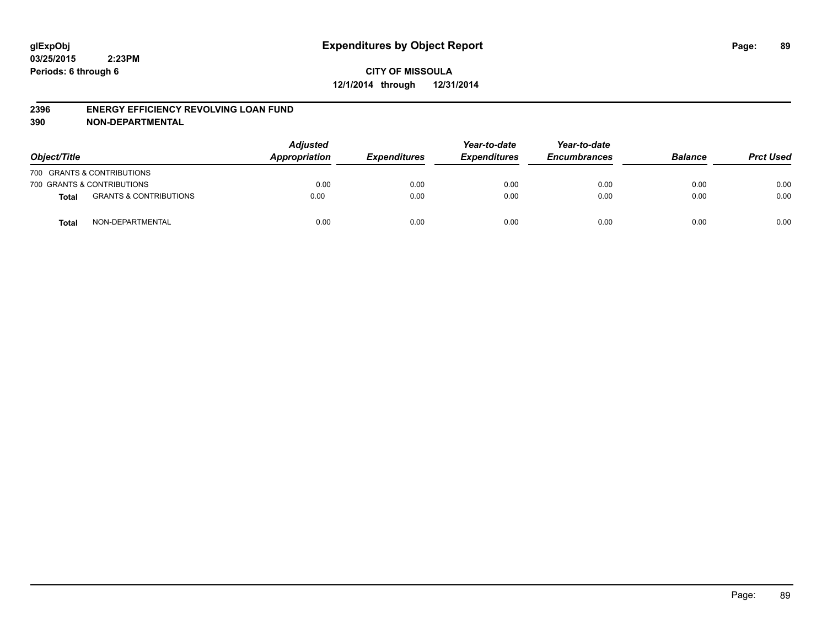#### **2396 ENERGY EFFICIENCY REVOLVING LOAN FUND**

**390 NON-DEPARTMENTAL**

| Object/Title |                                   | <b>Adjusted</b><br>Appropriation | <b>Expenditures</b> | Year-to-date<br><b>Expenditures</b> | Year-to-date<br><b>Encumbrances</b> | <b>Balance</b> | <b>Prct Used</b> |
|--------------|-----------------------------------|----------------------------------|---------------------|-------------------------------------|-------------------------------------|----------------|------------------|
|              | 700 GRANTS & CONTRIBUTIONS        |                                  |                     |                                     |                                     |                |                  |
|              | 700 GRANTS & CONTRIBUTIONS        | 0.00                             | 0.00                | 0.00                                | 0.00                                | 0.00           | 0.00             |
| <b>Total</b> | <b>GRANTS &amp; CONTRIBUTIONS</b> | 0.00                             | 0.00                | 0.00                                | 0.00                                | 0.00           | 0.00             |
| <b>Total</b> | NON-DEPARTMENTAL                  | 0.00                             | 0.00                | 0.00                                | 0.00                                | 0.00           | 0.00             |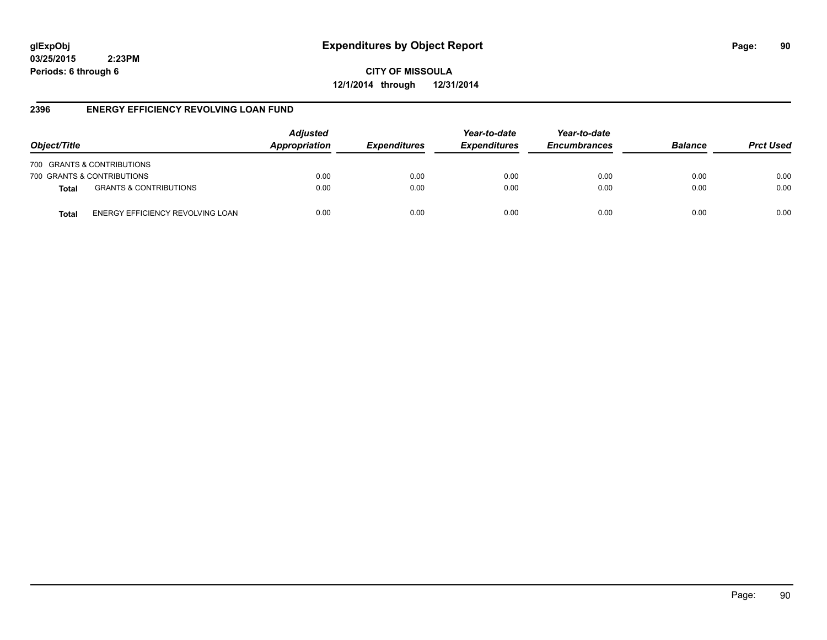# **glExpObj Expenditures by Object Report Page: 90**

**03/25/2015 2:23PM Periods: 6 through 6**

**12/1/2014 through 12/31/2014**

## **2396 ENERGY EFFICIENCY REVOLVING LOAN FUND**

| Object/Title |                                         | <b>Adjusted</b><br>Appropriation | <b>Expenditures</b> | Year-to-date<br><b>Expenditures</b> | Year-to-date<br><b>Encumbrances</b> | <b>Balance</b> | <b>Prct Used</b> |
|--------------|-----------------------------------------|----------------------------------|---------------------|-------------------------------------|-------------------------------------|----------------|------------------|
|              | 700 GRANTS & CONTRIBUTIONS              |                                  |                     |                                     |                                     |                |                  |
|              | 700 GRANTS & CONTRIBUTIONS              | 0.00                             | 0.00                | 0.00                                | 0.00                                | 0.00           | 0.00             |
| <b>Total</b> | <b>GRANTS &amp; CONTRIBUTIONS</b>       | 0.00                             | 0.00                | 0.00                                | 0.00                                | 0.00           | 0.00             |
| <b>Total</b> | <b>ENERGY EFFICIENCY REVOLVING LOAN</b> | 0.00                             | 0.00                | 0.00                                | 0.00                                | 0.00           | 0.00             |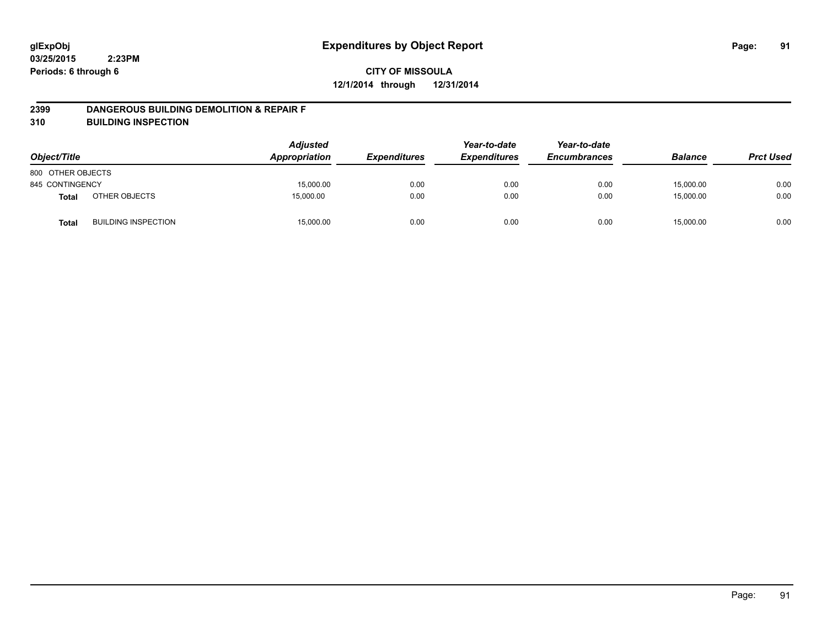#### **2399 DANGEROUS BUILDING DEMOLITION & REPAIR F**

**310 BUILDING INSPECTION**

| Object/Title      |                            | <b>Adjusted</b><br>Appropriation | <b>Expenditures</b> | Year-to-date<br><b>Expenditures</b> | Year-to-date<br><b>Encumbrances</b> | <b>Balance</b> | <b>Prct Used</b> |
|-------------------|----------------------------|----------------------------------|---------------------|-------------------------------------|-------------------------------------|----------------|------------------|
| 800 OTHER OBJECTS |                            |                                  |                     |                                     |                                     |                |                  |
| 845 CONTINGENCY   |                            | 15,000.00                        | 0.00                | 0.00                                | 0.00                                | 15,000.00      | 0.00             |
| <b>Total</b>      | OTHER OBJECTS              | 15,000.00                        | 0.00                | 0.00                                | 0.00                                | 15,000.00      | 0.00             |
| <b>Total</b>      | <b>BUILDING INSPECTION</b> | 15,000.00                        | 0.00                | 0.00                                | 0.00                                | 15,000.00      | 0.00             |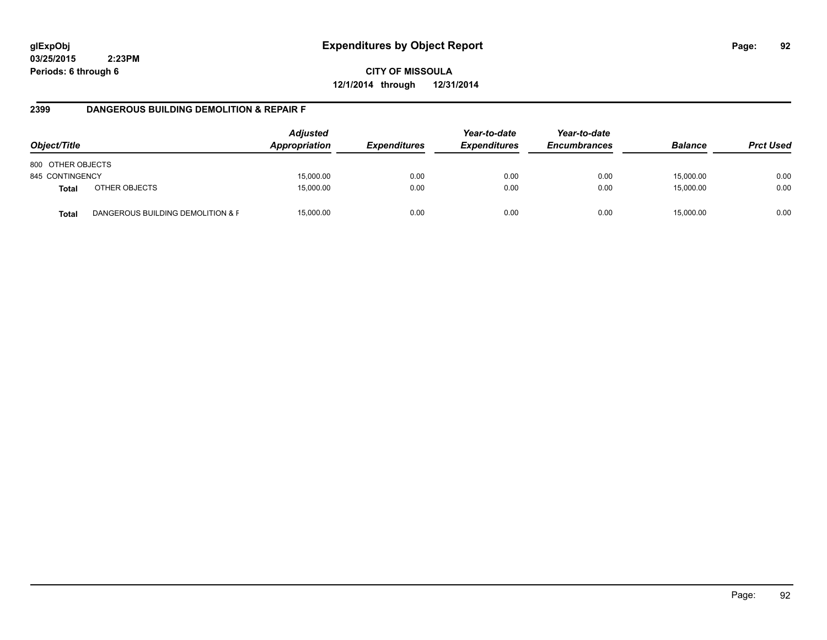**CITY OF MISSOULA 12/1/2014 through 12/31/2014**

#### **2399 DANGEROUS BUILDING DEMOLITION & REPAIR F**

| Object/Title      |                                   | <b>Adjusted</b><br>Appropriation | <i><b>Expenditures</b></i> | Year-to-date<br><b>Expenditures</b> | Year-to-date<br><b>Encumbrances</b> | <b>Balance</b> | <b>Prct Used</b> |
|-------------------|-----------------------------------|----------------------------------|----------------------------|-------------------------------------|-------------------------------------|----------------|------------------|
| 800 OTHER OBJECTS |                                   |                                  |                            |                                     |                                     |                |                  |
| 845 CONTINGENCY   |                                   | 15,000.00                        | 0.00                       | 0.00                                | 0.00                                | 15,000.00      | 0.00             |
| <b>Total</b>      | OTHER OBJECTS                     | 15,000.00                        | 0.00                       | 0.00                                | 0.00                                | 15,000.00      | 0.00             |
| <b>Total</b>      | DANGEROUS BUILDING DEMOLITION & F | 15,000.00                        | 0.00                       | 0.00                                | 0.00                                | 15.000.00      | 0.00             |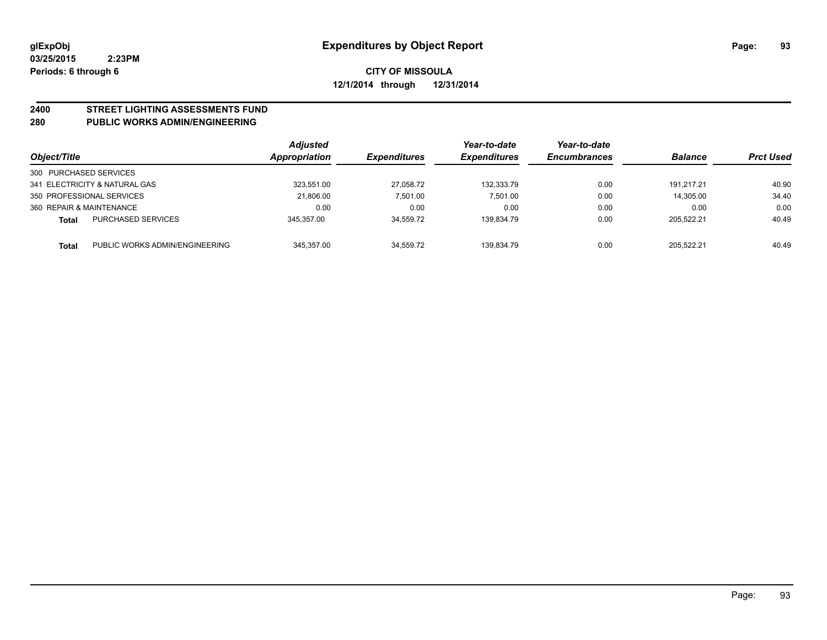# **2400 STREET LIGHTING ASSESSMENTS FUND**

# **280 PUBLIC WORKS ADMIN/ENGINEERING**

| Object/Title             |                                | <b>Adjusted</b><br><b>Appropriation</b> | <b>Expenditures</b> | Year-to-date<br><b>Expenditures</b> | Year-to-date<br><b>Encumbrances</b> | <b>Balance</b> | <b>Prct Used</b> |
|--------------------------|--------------------------------|-----------------------------------------|---------------------|-------------------------------------|-------------------------------------|----------------|------------------|
| 300 PURCHASED SERVICES   |                                |                                         |                     |                                     |                                     |                |                  |
|                          | 341 ELECTRICITY & NATURAL GAS  | 323.551.00                              | 27,058.72           | 132.333.79                          | 0.00                                | 191.217.21     | 40.90            |
|                          | 350 PROFESSIONAL SERVICES      | 21.806.00                               | 7.501.00            | 7.501.00                            | 0.00                                | 14.305.00      | 34.40            |
| 360 REPAIR & MAINTENANCE |                                | 0.00                                    | 0.00                | 0.00                                | 0.00                                | 0.00           | 0.00             |
| Total                    | <b>PURCHASED SERVICES</b>      | 345.357.00                              | 34,559.72           | 139.834.79                          | 0.00                                | 205.522.21     | 40.49            |
| <b>Total</b>             | PUBLIC WORKS ADMIN/ENGINEERING | 345.357.00                              | 34.559.72           | 139.834.79                          | 0.00                                | 205.522.21     | 40.49            |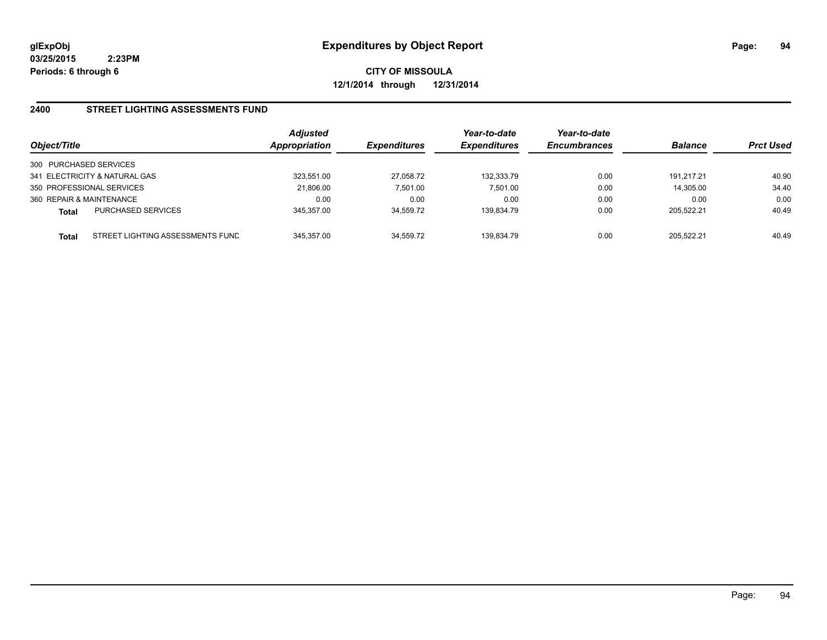**CITY OF MISSOULA 12/1/2014 through 12/31/2014**

#### **2400 STREET LIGHTING ASSESSMENTS FUND**

| Object/Title                                     | <b>Adjusted</b><br>Appropriation | <b>Expenditures</b> | Year-to-date<br><b>Expenditures</b> | Year-to-date<br><b>Encumbrances</b> | <b>Balance</b> | <b>Prct Used</b> |
|--------------------------------------------------|----------------------------------|---------------------|-------------------------------------|-------------------------------------|----------------|------------------|
| 300 PURCHASED SERVICES                           |                                  |                     |                                     |                                     |                |                  |
| 341 ELECTRICITY & NATURAL GAS                    | 323.551.00                       | 27,058.72           | 132.333.79                          | 0.00                                | 191.217.21     | 40.90            |
| 350 PROFESSIONAL SERVICES                        | 21,806.00                        | 7,501.00            | 7,501.00                            | 0.00                                | 14,305.00      | 34.40            |
| 360 REPAIR & MAINTENANCE                         | 0.00                             | 0.00                | 0.00                                | 0.00                                | 0.00           | 0.00             |
| <b>PURCHASED SERVICES</b><br><b>Total</b>        | 345.357.00                       | 34.559.72           | 139.834.79                          | 0.00                                | 205.522.21     | 40.49            |
| STREET LIGHTING ASSESSMENTS FUND<br><b>Total</b> | 345.357.00                       | 34.559.72           | 139.834.79                          | 0.00                                | 205.522.21     | 40.49            |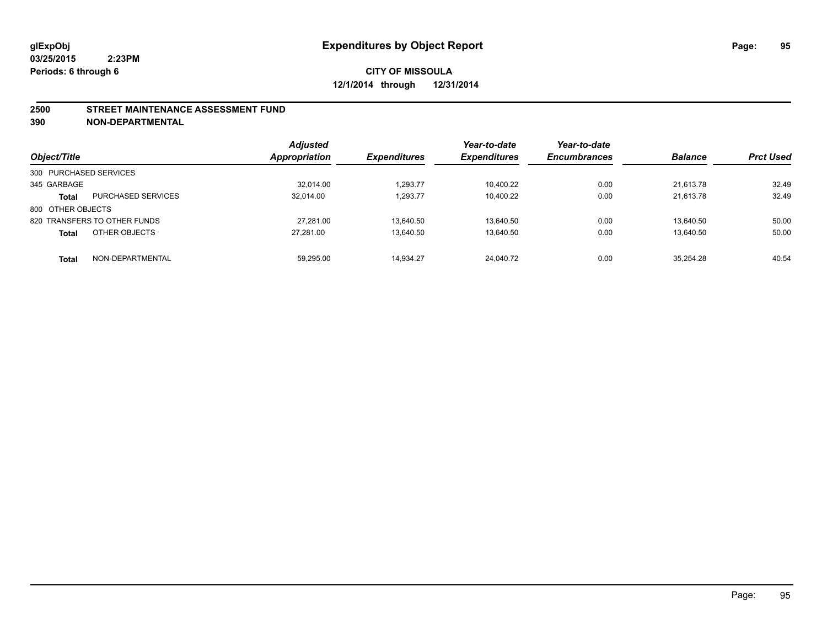#### **2500 STREET MAINTENANCE ASSESSMENT FUND**

**390 NON-DEPARTMENTAL**

| Object/Title           |                              | <b>Adjusted</b><br><b>Appropriation</b> | <b>Expenditures</b> | Year-to-date<br><b>Expenditures</b> | Year-to-date<br><b>Encumbrances</b> | <b>Balance</b> | <b>Prct Used</b> |
|------------------------|------------------------------|-----------------------------------------|---------------------|-------------------------------------|-------------------------------------|----------------|------------------|
| 300 PURCHASED SERVICES |                              |                                         |                     |                                     |                                     |                |                  |
| 345 GARBAGE            |                              | 32.014.00                               | 1.293.77            | 10.400.22                           | 0.00                                | 21.613.78      | 32.49            |
| <b>Total</b>           | <b>PURCHASED SERVICES</b>    | 32,014.00                               | 1,293.77            | 10,400.22                           | 0.00                                | 21.613.78      | 32.49            |
| 800 OTHER OBJECTS      |                              |                                         |                     |                                     |                                     |                |                  |
|                        | 820 TRANSFERS TO OTHER FUNDS | 27.281.00                               | 13.640.50           | 13.640.50                           | 0.00                                | 13.640.50      | 50.00            |
| <b>Total</b>           | OTHER OBJECTS                | 27.281.00                               | 13,640.50           | 13,640.50                           | 0.00                                | 13,640.50      | 50.00            |
| <b>Total</b>           | NON-DEPARTMENTAL             | 59,295.00                               | 14,934.27           | 24.040.72                           | 0.00                                | 35.254.28      | 40.54            |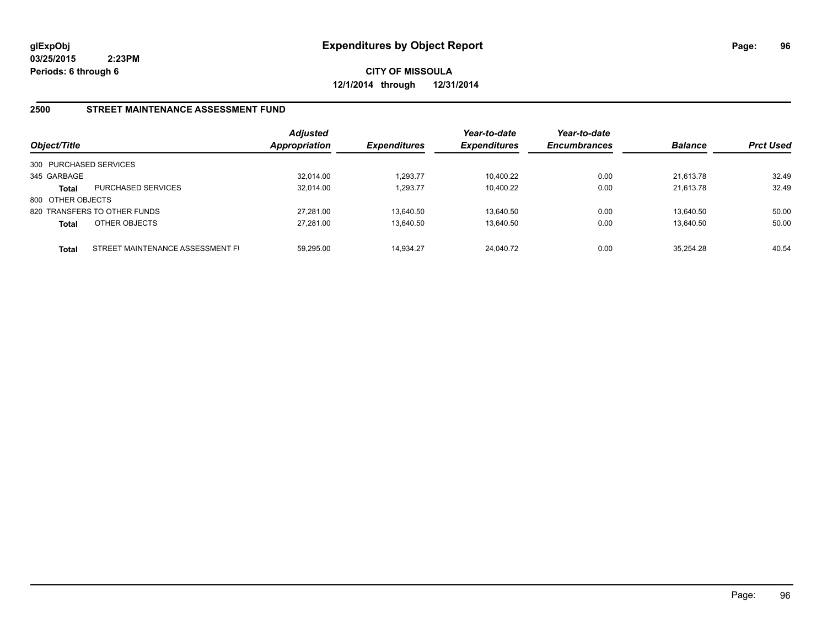**CITY OF MISSOULA 12/1/2014 through 12/31/2014**

#### **2500 STREET MAINTENANCE ASSESSMENT FUND**

| Object/Title           |                                  | <b>Adjusted</b><br>Appropriation | <b>Expenditures</b> | Year-to-date<br><b>Expenditures</b> | Year-to-date<br><b>Encumbrances</b> | <b>Balance</b> | <b>Prct Used</b> |
|------------------------|----------------------------------|----------------------------------|---------------------|-------------------------------------|-------------------------------------|----------------|------------------|
| 300 PURCHASED SERVICES |                                  |                                  |                     |                                     |                                     |                |                  |
| 345 GARBAGE            |                                  | 32.014.00                        | 1.293.77            | 10,400.22                           | 0.00                                | 21.613.78      | 32.49            |
| <b>Total</b>           | <b>PURCHASED SERVICES</b>        | 32.014.00                        | 1.293.77            | 10.400.22                           | 0.00                                | 21.613.78      | 32.49            |
| 800 OTHER OBJECTS      |                                  |                                  |                     |                                     |                                     |                |                  |
|                        | 820 TRANSFERS TO OTHER FUNDS     | 27.281.00                        | 13.640.50           | 13.640.50                           | 0.00                                | 13.640.50      | 50.00            |
| <b>Total</b>           | OTHER OBJECTS                    | 27.281.00                        | 13,640.50           | 13.640.50                           | 0.00                                | 13,640.50      | 50.00            |
| <b>Total</b>           | STREET MAINTENANCE ASSESSMENT FI | 59.295.00                        | 14.934.27           | 24.040.72                           | 0.00                                | 35.254.28      | 40.54            |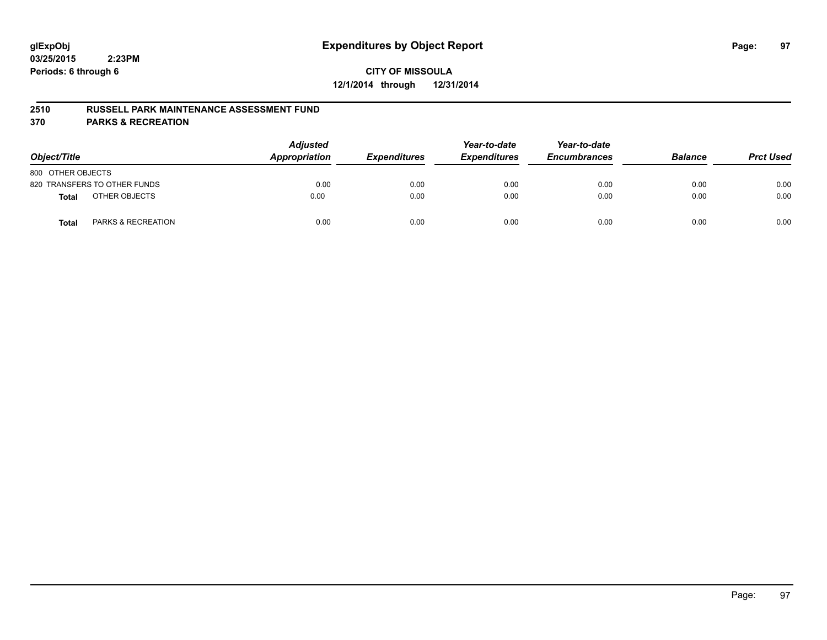#### **2510 RUSSELL PARK MAINTENANCE ASSESSMENT FUND**

**370 PARKS & RECREATION**

| Object/Title                           | <b>Adjusted</b><br>Appropriation | <b>Expenditures</b> | Year-to-date<br><b>Expenditures</b> | Year-to-date<br><b>Encumbrances</b> | <b>Balance</b> | <b>Prct Used</b> |
|----------------------------------------|----------------------------------|---------------------|-------------------------------------|-------------------------------------|----------------|------------------|
| 800 OTHER OBJECTS                      |                                  |                     |                                     |                                     |                |                  |
| 820 TRANSFERS TO OTHER FUNDS           | 0.00                             | 0.00                | 0.00                                | 0.00                                | 0.00           | 0.00             |
| OTHER OBJECTS<br><b>Total</b>          | 0.00                             | 0.00                | 0.00                                | 0.00                                | 0.00           | 0.00             |
| <b>PARKS &amp; RECREATION</b><br>Total | 0.00                             | 0.00                | 0.00                                | 0.00                                | 0.00           | 0.00             |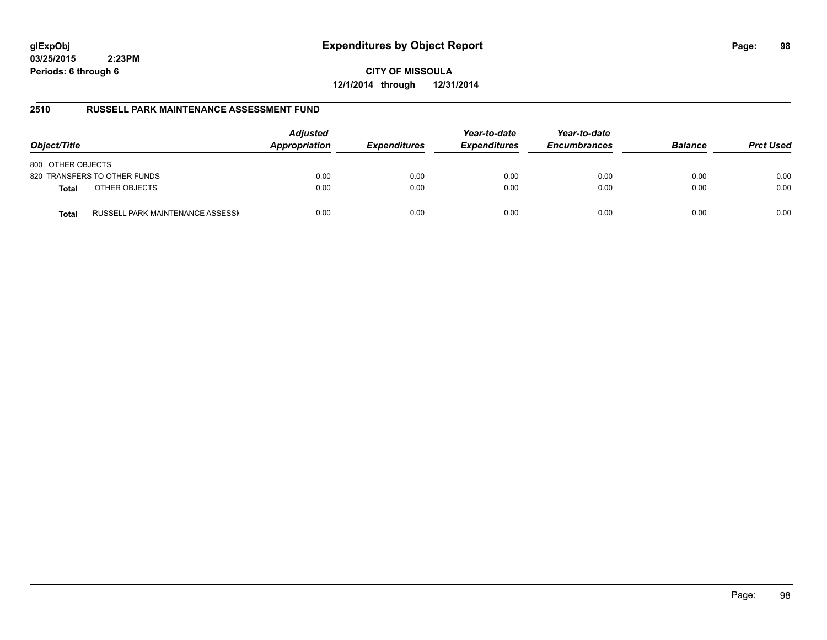# **glExpObj Expenditures by Object Report Page: 98**

**03/25/2015 2:23PM Periods: 6 through 6**

**CITY OF MISSOULA 12/1/2014 through 12/31/2014**

#### **2510 RUSSELL PARK MAINTENANCE ASSESSMENT FUND**

| Object/Title                                     | <b>Adjusted</b><br>Appropriation | <b>Expenditures</b> | Year-to-date<br><b>Expenditures</b> | Year-to-date<br><b>Encumbrances</b> | <b>Balance</b> | <b>Prct Used</b> |
|--------------------------------------------------|----------------------------------|---------------------|-------------------------------------|-------------------------------------|----------------|------------------|
| 800 OTHER OBJECTS                                |                                  |                     |                                     |                                     |                |                  |
| 820 TRANSFERS TO OTHER FUNDS                     | 0.00                             | 0.00                | 0.00                                | 0.00                                | 0.00           | 0.00             |
| OTHER OBJECTS<br><b>Total</b>                    | 0.00                             | 0.00                | 0.00                                | 0.00                                | 0.00           | 0.00             |
| RUSSELL PARK MAINTENANCE ASSESSN<br><b>Total</b> | 0.00                             | 0.00                | 0.00                                | 0.00                                | 0.00           | 0.00             |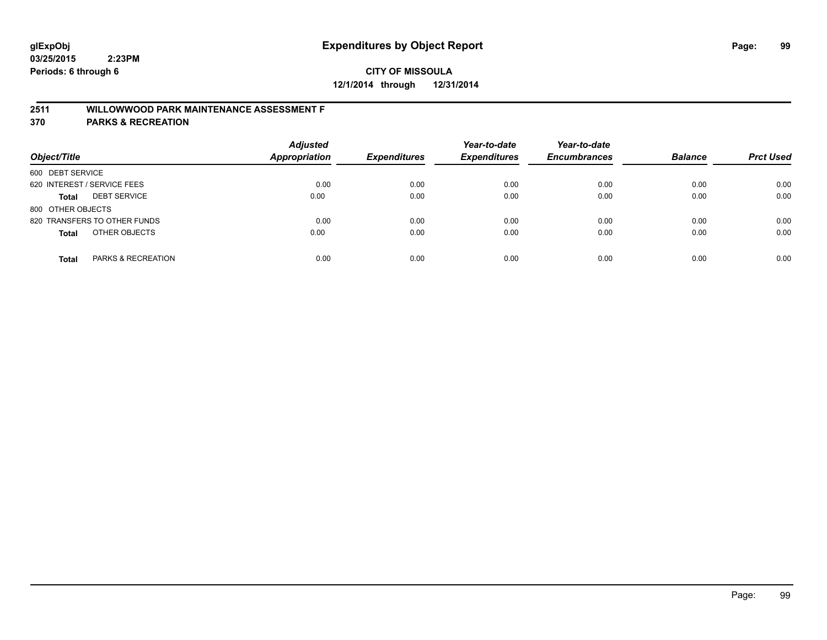# **2511 WILLOWWOOD PARK MAINTENANCE ASSESSMENT F**

**370 PARKS & RECREATION**

| Object/Title                        | <b>Adjusted</b><br>Appropriation | <b>Expenditures</b> | Year-to-date<br><b>Expenditures</b> | Year-to-date<br><b>Encumbrances</b> | <b>Balance</b> | <b>Prct Used</b> |
|-------------------------------------|----------------------------------|---------------------|-------------------------------------|-------------------------------------|----------------|------------------|
| 600 DEBT SERVICE                    |                                  |                     |                                     |                                     |                |                  |
| 620 INTEREST / SERVICE FEES         | 0.00                             | 0.00                | 0.00                                | 0.00                                | 0.00           | 0.00             |
| <b>DEBT SERVICE</b><br><b>Total</b> | 0.00                             | 0.00                | 0.00                                | 0.00                                | 0.00           | 0.00             |
| 800 OTHER OBJECTS                   |                                  |                     |                                     |                                     |                |                  |
| 820 TRANSFERS TO OTHER FUNDS        | 0.00                             | 0.00                | 0.00                                | 0.00                                | 0.00           | 0.00             |
| OTHER OBJECTS<br><b>Total</b>       | 0.00                             | 0.00                | 0.00                                | 0.00                                | 0.00           | 0.00             |
| PARKS & RECREATION<br><b>Total</b>  | 0.00                             | 0.00                | 0.00                                | 0.00                                | 0.00           | 0.00             |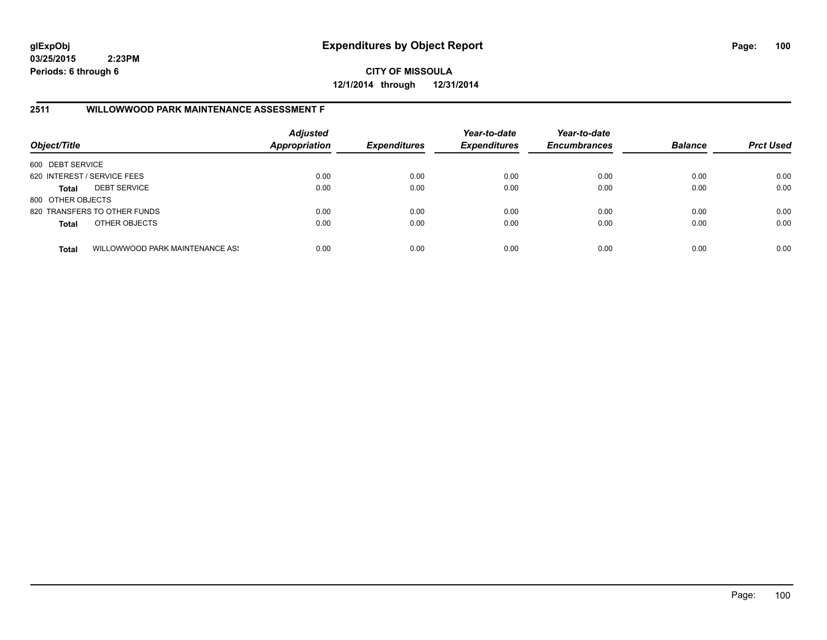**CITY OF MISSOULA 12/1/2014 through 12/31/2014**

# **2511 WILLOWWOOD PARK MAINTENANCE ASSESSMENT F**

| Object/Title                |                                 | <b>Adjusted</b><br><b>Appropriation</b> | <b>Expenditures</b> | Year-to-date<br><b>Expenditures</b> | Year-to-date<br><b>Encumbrances</b> | <b>Balance</b> | <b>Prct Used</b> |
|-----------------------------|---------------------------------|-----------------------------------------|---------------------|-------------------------------------|-------------------------------------|----------------|------------------|
| 600 DEBT SERVICE            |                                 |                                         |                     |                                     |                                     |                |                  |
| 620 INTEREST / SERVICE FEES |                                 | 0.00                                    | 0.00                | 0.00                                | 0.00                                | 0.00           | 0.00             |
| <b>Total</b>                | <b>DEBT SERVICE</b>             | 0.00                                    | 0.00                | 0.00                                | 0.00                                | 0.00           | 0.00             |
| 800 OTHER OBJECTS           |                                 |                                         |                     |                                     |                                     |                |                  |
|                             | 820 TRANSFERS TO OTHER FUNDS    | 0.00                                    | 0.00                | 0.00                                | 0.00                                | 0.00           | 0.00             |
| <b>Total</b>                | OTHER OBJECTS                   | 0.00                                    | 0.00                | 0.00                                | 0.00                                | 0.00           | 0.00             |
| <b>Total</b>                | WILLOWWOOD PARK MAINTENANCE ASS | 0.00                                    | 0.00                | 0.00                                | 0.00                                | 0.00           | 0.00             |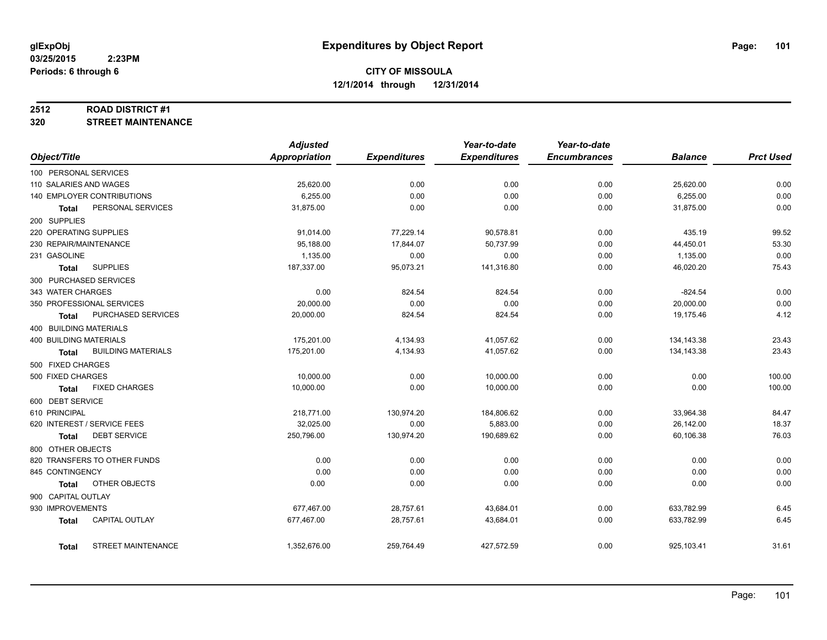#### **2512 ROAD DISTRICT #1**

**320 STREET MAINTENANCE**

|                                           | <b>Adjusted</b>          |                     | Year-to-date        | Year-to-date        |                |                  |
|-------------------------------------------|--------------------------|---------------------|---------------------|---------------------|----------------|------------------|
| Object/Title                              | Appropriation            | <b>Expenditures</b> | <b>Expenditures</b> | <b>Encumbrances</b> | <b>Balance</b> | <b>Prct Used</b> |
| 100 PERSONAL SERVICES                     |                          |                     |                     |                     |                |                  |
| 110 SALARIES AND WAGES                    | 25,620.00                | 0.00                | 0.00                | 0.00                | 25,620.00      | 0.00             |
| 140 EMPLOYER CONTRIBUTIONS                | 6,255.00                 | 0.00                | 0.00                | 0.00                | 6,255.00       | 0.00             |
| PERSONAL SERVICES<br>Total                | 31,875.00                | 0.00                | 0.00                | 0.00                | 31,875.00      | 0.00             |
| 200 SUPPLIES                              |                          |                     |                     |                     |                |                  |
| 220 OPERATING SUPPLIES                    | 91,014.00                | 77,229.14           | 90,578.81           | 0.00                | 435.19         | 99.52            |
| 230 REPAIR/MAINTENANCE                    | 95,188.00                | 17,844.07           | 50,737.99           | 0.00                | 44,450.01      | 53.30            |
| 231 GASOLINE                              | 1,135.00                 | 0.00                | 0.00                | 0.00                | 1,135.00       | 0.00             |
| <b>SUPPLIES</b><br><b>Total</b>           | 187,337.00               | 95,073.21           | 141,316.80          | 0.00                | 46,020.20      | 75.43            |
| 300 PURCHASED SERVICES                    |                          |                     |                     |                     |                |                  |
| 343 WATER CHARGES                         | 0.00                     | 824.54              | 824.54              | 0.00                | $-824.54$      | 0.00             |
| 350 PROFESSIONAL SERVICES                 | 20,000.00                | 0.00                | 0.00                | 0.00                | 20,000.00      | 0.00             |
| PURCHASED SERVICES<br>Total               | 20,000.00                | 824.54              | 824.54              | 0.00                | 19,175.46      | 4.12             |
| 400 BUILDING MATERIALS                    |                          |                     |                     |                     |                |                  |
| <b>400 BUILDING MATERIALS</b>             | 175,201.00               | 4,134.93            | 41,057.62           | 0.00                | 134, 143.38    | 23.43            |
| <b>BUILDING MATERIALS</b><br><b>Total</b> | 175,201.00               | 4,134.93            | 41,057.62           | 0.00                | 134,143.38     | 23.43            |
| 500 FIXED CHARGES                         |                          |                     |                     |                     |                |                  |
| 500 FIXED CHARGES                         | 10,000.00                | 0.00                | 10,000.00           | 0.00                | 0.00           | 100.00           |
| <b>FIXED CHARGES</b><br><b>Total</b>      | 10,000.00                | 0.00                | 10,000.00           | 0.00                | 0.00           | 100.00           |
| 600 DEBT SERVICE                          |                          |                     |                     |                     |                |                  |
| 610 PRINCIPAL                             | 218,771.00               | 130,974.20          | 184,806.62          | 0.00                | 33,964.38      | 84.47            |
| 620 INTEREST / SERVICE FEES               | 32,025.00                | 0.00                | 5,883.00            | 0.00                | 26,142.00      | 18.37            |
| <b>DEBT SERVICE</b><br>Total              | 250,796.00               | 130,974.20          | 190,689.62          | 0.00                | 60,106.38      | 76.03            |
| 800 OTHER OBJECTS                         |                          |                     |                     |                     |                |                  |
| 820 TRANSFERS TO OTHER FUNDS              | 0.00                     | 0.00                | 0.00                | 0.00                | 0.00           | 0.00             |
| 845 CONTINGENCY                           | 0.00                     | 0.00                | 0.00                | 0.00                | 0.00           | 0.00             |
| OTHER OBJECTS<br>Total                    | 0.00                     | 0.00                | 0.00                | 0.00                | 0.00           | 0.00             |
| 900 CAPITAL OUTLAY                        |                          |                     |                     |                     |                |                  |
| 930 IMPROVEMENTS                          |                          | 28,757.61           | 43,684.01           |                     | 633,782.99     |                  |
| <b>CAPITAL OUTLAY</b>                     | 677,467.00<br>677,467.00 |                     | 43,684.01           | 0.00                | 633,782.99     | 6.45<br>6.45     |
| <b>Total</b>                              |                          | 28,757.61           |                     | 0.00                |                |                  |
| <b>STREET MAINTENANCE</b><br>Total        | 1,352,676.00             | 259,764.49          | 427,572.59          | 0.00                | 925,103.41     | 31.61            |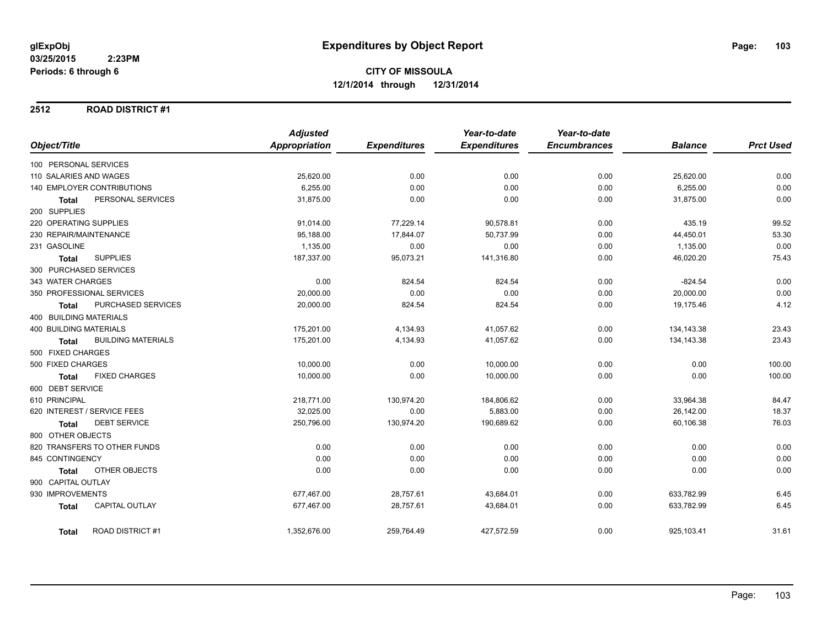#### **2512 ROAD DISTRICT #1**

|                                           | <b>Adjusted</b>      |                     | Year-to-date        | Year-to-date        |                |                  |
|-------------------------------------------|----------------------|---------------------|---------------------|---------------------|----------------|------------------|
| Object/Title                              | <b>Appropriation</b> | <b>Expenditures</b> | <b>Expenditures</b> | <b>Encumbrances</b> | <b>Balance</b> | <b>Prct Used</b> |
| 100 PERSONAL SERVICES                     |                      |                     |                     |                     |                |                  |
| 110 SALARIES AND WAGES                    | 25,620.00            | 0.00                | 0.00                | 0.00                | 25,620.00      | 0.00             |
| 140 EMPLOYER CONTRIBUTIONS                | 6,255.00             | 0.00                | 0.00                | 0.00                | 6,255.00       | 0.00             |
| PERSONAL SERVICES<br><b>Total</b>         | 31,875.00            | 0.00                | 0.00                | 0.00                | 31,875.00      | 0.00             |
| 200 SUPPLIES                              |                      |                     |                     |                     |                |                  |
| 220 OPERATING SUPPLIES                    | 91,014.00            | 77,229.14           | 90,578.81           | 0.00                | 435.19         | 99.52            |
| 230 REPAIR/MAINTENANCE                    | 95,188.00            | 17,844.07           | 50,737.99           | 0.00                | 44,450.01      | 53.30            |
| 231 GASOLINE                              | 1,135.00             | 0.00                | 0.00                | 0.00                | 1,135.00       | 0.00             |
| <b>SUPPLIES</b><br><b>Total</b>           | 187,337.00           | 95,073.21           | 141,316.80          | 0.00                | 46,020.20      | 75.43            |
| 300 PURCHASED SERVICES                    |                      |                     |                     |                     |                |                  |
| 343 WATER CHARGES                         | 0.00                 | 824.54              | 824.54              | 0.00                | $-824.54$      | 0.00             |
| 350 PROFESSIONAL SERVICES                 | 20,000.00            | 0.00                | 0.00                | 0.00                | 20,000.00      | 0.00             |
| PURCHASED SERVICES<br><b>Total</b>        | 20,000.00            | 824.54              | 824.54              | 0.00                | 19,175.46      | 4.12             |
| 400 BUILDING MATERIALS                    |                      |                     |                     |                     |                |                  |
| <b>400 BUILDING MATERIALS</b>             | 175,201.00           | 4,134.93            | 41,057.62           | 0.00                | 134, 143.38    | 23.43            |
| <b>BUILDING MATERIALS</b><br><b>Total</b> | 175,201.00           | 4,134.93            | 41,057.62           | 0.00                | 134, 143. 38   | 23.43            |
| 500 FIXED CHARGES                         |                      |                     |                     |                     |                |                  |
| 500 FIXED CHARGES                         | 10,000.00            | 0.00                | 10,000.00           | 0.00                | 0.00           | 100.00           |
| <b>FIXED CHARGES</b><br><b>Total</b>      | 10,000.00            | 0.00                | 10,000.00           | 0.00                | 0.00           | 100.00           |
| 600 DEBT SERVICE                          |                      |                     |                     |                     |                |                  |
| 610 PRINCIPAL                             | 218,771.00           | 130,974.20          | 184,806.62          | 0.00                | 33,964.38      | 84.47            |
| 620 INTEREST / SERVICE FEES               | 32,025.00            | 0.00                | 5,883.00            | 0.00                | 26,142.00      | 18.37            |
| <b>DEBT SERVICE</b><br><b>Total</b>       | 250,796.00           | 130,974.20          | 190,689.62          | 0.00                | 60,106.38      | 76.03            |
| 800 OTHER OBJECTS                         |                      |                     |                     |                     |                |                  |
| 820 TRANSFERS TO OTHER FUNDS              | 0.00                 | 0.00                | 0.00                | 0.00                | 0.00           | 0.00             |
| 845 CONTINGENCY                           | 0.00                 | 0.00                | 0.00                | 0.00                | 0.00           | 0.00             |
| OTHER OBJECTS<br><b>Total</b>             | 0.00                 | 0.00                | 0.00                | 0.00                | 0.00           | 0.00             |
| 900 CAPITAL OUTLAY                        |                      |                     |                     |                     |                |                  |
| 930 IMPROVEMENTS                          | 677,467.00           | 28,757.61           | 43,684.01           | 0.00                | 633,782.99     | 6.45             |
| <b>CAPITAL OUTLAY</b><br><b>Total</b>     | 677,467.00           | 28,757.61           | 43,684.01           | 0.00                | 633,782.99     | 6.45             |
| <b>ROAD DISTRICT #1</b><br><b>Total</b>   | 1,352,676.00         | 259,764.49          | 427,572.59          | 0.00                | 925,103.41     | 31.61            |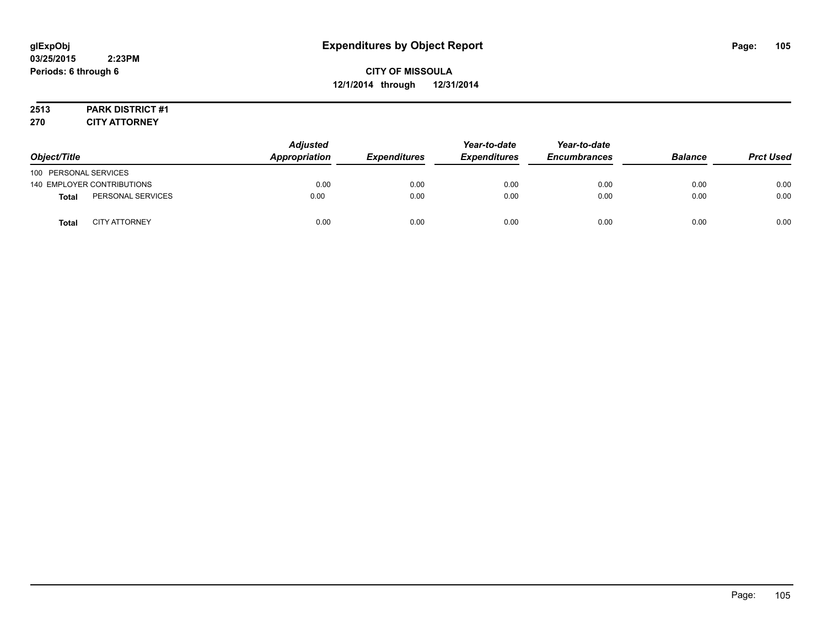# **2513 PARK DISTRICT #1**

**270 CITY ATTORNEY**

|                            |                      | <b>Adjusted</b> |                     | Year-to-date        | Year-to-date        |                |                  |
|----------------------------|----------------------|-----------------|---------------------|---------------------|---------------------|----------------|------------------|
| Object/Title               |                      | Appropriation   | <b>Expenditures</b> | <b>Expenditures</b> | <b>Encumbrances</b> | <b>Balance</b> | <b>Prct Used</b> |
| 100 PERSONAL SERVICES      |                      |                 |                     |                     |                     |                |                  |
| 140 EMPLOYER CONTRIBUTIONS |                      | 0.00            | 0.00                | 0.00                | 0.00                | 0.00           | 0.00             |
| <b>Total</b>               | PERSONAL SERVICES    | 0.00            | 0.00                | 0.00                | 0.00                | 0.00           | 0.00             |
| <b>Total</b>               | <b>CITY ATTORNEY</b> | 0.00            | 0.00                | 0.00                | 0.00                | 0.00           | 0.00             |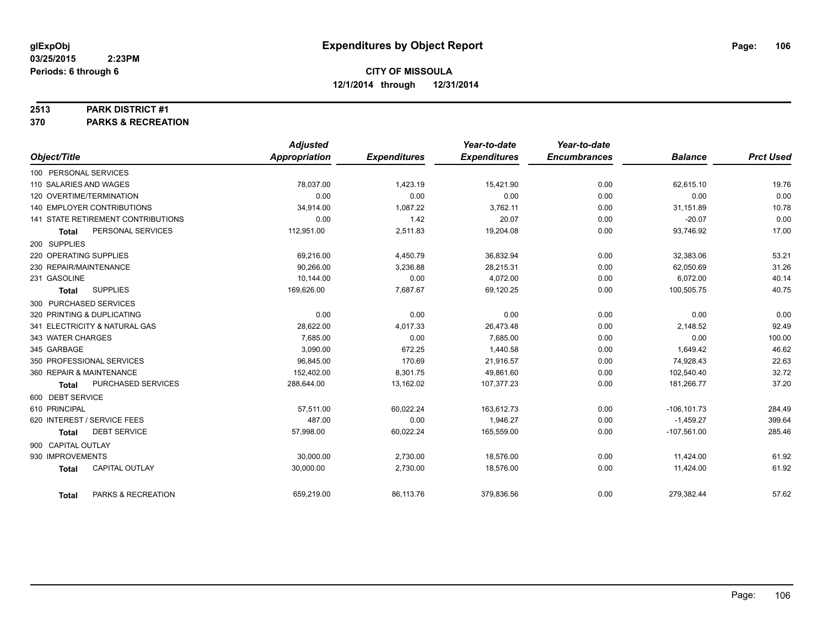#### **2513 PARK DISTRICT #1**

**370 PARKS & RECREATION**

|                                     | <b>Adjusted</b> |                     | Year-to-date        | Year-to-date        |                |                  |
|-------------------------------------|-----------------|---------------------|---------------------|---------------------|----------------|------------------|
| Object/Title                        | Appropriation   | <b>Expenditures</b> | <b>Expenditures</b> | <b>Encumbrances</b> | <b>Balance</b> | <b>Prct Used</b> |
| 100 PERSONAL SERVICES               |                 |                     |                     |                     |                |                  |
| 110 SALARIES AND WAGES              | 78,037.00       | 1,423.19            | 15,421.90           | 0.00                | 62,615.10      | 19.76            |
| 120 OVERTIME/TERMINATION            | 0.00            | 0.00                | 0.00                | 0.00                | 0.00           | 0.00             |
| <b>140 EMPLOYER CONTRIBUTIONS</b>   | 34,914.00       | 1,087.22            | 3,762.11            | 0.00                | 31,151.89      | 10.78            |
| 141 STATE RETIREMENT CONTRIBUTIONS  | 0.00            | 1.42                | 20.07               | 0.00                | $-20.07$       | 0.00             |
| PERSONAL SERVICES<br>Total          | 112,951.00      | 2,511.83            | 19,204.08           | 0.00                | 93,746.92      | 17.00            |
| 200 SUPPLIES                        |                 |                     |                     |                     |                |                  |
| 220 OPERATING SUPPLIES              | 69,216.00       | 4,450.79            | 36,832.94           | 0.00                | 32,383.06      | 53.21            |
| 230 REPAIR/MAINTENANCE              | 90,266.00       | 3,236.88            | 28,215.31           | 0.00                | 62,050.69      | 31.26            |
| 231 GASOLINE                        | 10,144.00       | 0.00                | 4,072.00            | 0.00                | 6,072.00       | 40.14            |
| <b>SUPPLIES</b><br><b>Total</b>     | 169,626.00      | 7,687.67            | 69,120.25           | 0.00                | 100,505.75     | 40.75            |
| 300 PURCHASED SERVICES              |                 |                     |                     |                     |                |                  |
| 320 PRINTING & DUPLICATING          | 0.00            | 0.00                | 0.00                | 0.00                | 0.00           | 0.00             |
| 341 ELECTRICITY & NATURAL GAS       | 28,622.00       | 4,017.33            | 26,473.48           | 0.00                | 2,148.52       | 92.49            |
| 343 WATER CHARGES                   | 7,685.00        | 0.00                | 7,685.00            | 0.00                | 0.00           | 100.00           |
| 345 GARBAGE                         | 3.090.00        | 672.25              | 1.440.58            | 0.00                | 1,649.42       | 46.62            |
| 350 PROFESSIONAL SERVICES           | 96,845.00       | 170.69              | 21,916.57           | 0.00                | 74,928.43      | 22.63            |
| 360 REPAIR & MAINTENANCE            | 152,402.00      | 8,301.75            | 49,861.60           | 0.00                | 102,540.40     | 32.72            |
| PURCHASED SERVICES<br>Total         | 288,644.00      | 13,162.02           | 107,377.23          | 0.00                | 181,266.77     | 37.20            |
| 600 DEBT SERVICE                    |                 |                     |                     |                     |                |                  |
| 610 PRINCIPAL                       | 57,511.00       | 60,022.24           | 163,612.73          | 0.00                | $-106, 101.73$ | 284.49           |
| 620 INTEREST / SERVICE FEES         | 487.00          | 0.00                | 1,946.27            | 0.00                | $-1,459.27$    | 399.64           |
| <b>DEBT SERVICE</b><br><b>Total</b> | 57.998.00       | 60,022.24           | 165,559.00          | 0.00                | $-107,561.00$  | 285.46           |
| 900 CAPITAL OUTLAY                  |                 |                     |                     |                     |                |                  |
| 930 IMPROVEMENTS                    | 30,000.00       | 2,730.00            | 18,576.00           | 0.00                | 11,424.00      | 61.92            |
| CAPITAL OUTLAY<br><b>Total</b>      | 30,000.00       | 2,730.00            | 18,576.00           | 0.00                | 11,424.00      | 61.92            |
| PARKS & RECREATION<br><b>Total</b>  | 659,219.00      | 86,113.76           | 379,836.56          | 0.00                | 279,382.44     | 57.62            |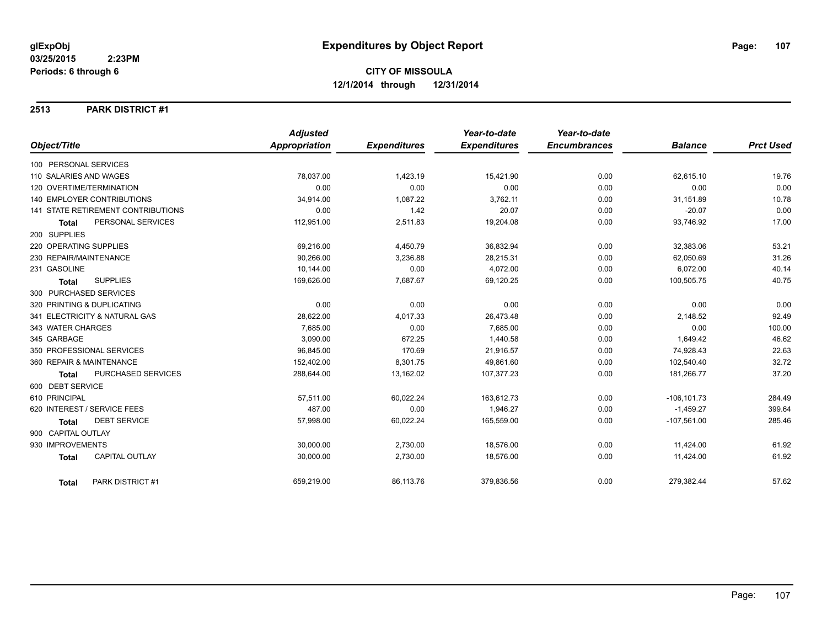#### **2513 PARK DISTRICT #1**

|                                       | <b>Adjusted</b>      |                     | Year-to-date        | Year-to-date        |                |                  |
|---------------------------------------|----------------------|---------------------|---------------------|---------------------|----------------|------------------|
| Object/Title                          | <b>Appropriation</b> | <b>Expenditures</b> | <b>Expenditures</b> | <b>Encumbrances</b> | <b>Balance</b> | <b>Prct Used</b> |
| 100 PERSONAL SERVICES                 |                      |                     |                     |                     |                |                  |
| 110 SALARIES AND WAGES                | 78,037.00            | 1,423.19            | 15,421.90           | 0.00                | 62,615.10      | 19.76            |
| 120 OVERTIME/TERMINATION              | 0.00                 | 0.00                | 0.00                | 0.00                | 0.00           | 0.00             |
| 140 EMPLOYER CONTRIBUTIONS            | 34,914.00            | 1,087.22            | 3,762.11            | 0.00                | 31,151.89      | 10.78            |
| 141 STATE RETIREMENT CONTRIBUTIONS    | 0.00                 | 1.42                | 20.07               | 0.00                | $-20.07$       | 0.00             |
| PERSONAL SERVICES<br><b>Total</b>     | 112,951.00           | 2,511.83            | 19,204.08           | 0.00                | 93,746.92      | 17.00            |
| 200 SUPPLIES                          |                      |                     |                     |                     |                |                  |
| 220 OPERATING SUPPLIES                | 69,216.00            | 4,450.79            | 36,832.94           | 0.00                | 32,383.06      | 53.21            |
| 230 REPAIR/MAINTENANCE                | 90,266.00            | 3,236.88            | 28,215.31           | 0.00                | 62,050.69      | 31.26            |
| 231 GASOLINE                          | 10,144.00            | 0.00                | 4,072.00            | 0.00                | 6,072.00       | 40.14            |
| <b>SUPPLIES</b><br><b>Total</b>       | 169,626.00           | 7,687.67            | 69,120.25           | 0.00                | 100,505.75     | 40.75            |
| 300 PURCHASED SERVICES                |                      |                     |                     |                     |                |                  |
| 320 PRINTING & DUPLICATING            | 0.00                 | 0.00                | 0.00                | 0.00                | 0.00           | 0.00             |
| 341 ELECTRICITY & NATURAL GAS         | 28,622.00            | 4,017.33            | 26,473.48           | 0.00                | 2,148.52       | 92.49            |
| 343 WATER CHARGES                     | 7.685.00             | 0.00                | 7.685.00            | 0.00                | 0.00           | 100.00           |
| 345 GARBAGE                           | 3,090.00             | 672.25              | 1,440.58            | 0.00                | 1,649.42       | 46.62            |
| 350 PROFESSIONAL SERVICES             | 96,845.00            | 170.69              | 21,916.57           | 0.00                | 74,928.43      | 22.63            |
| 360 REPAIR & MAINTENANCE              | 152,402.00           | 8,301.75            | 49,861.60           | 0.00                | 102,540.40     | 32.72            |
| PURCHASED SERVICES<br><b>Total</b>    | 288,644.00           | 13,162.02           | 107,377.23          | 0.00                | 181,266.77     | 37.20            |
| 600 DEBT SERVICE                      |                      |                     |                     |                     |                |                  |
| 610 PRINCIPAL                         | 57,511.00            | 60,022.24           | 163,612.73          | 0.00                | $-106, 101.73$ | 284.49           |
| 620 INTEREST / SERVICE FEES           | 487.00               | 0.00                | 1,946.27            | 0.00                | $-1,459.27$    | 399.64           |
| <b>DEBT SERVICE</b><br><b>Total</b>   | 57,998.00            | 60,022.24           | 165,559.00          | 0.00                | $-107,561.00$  | 285.46           |
| 900 CAPITAL OUTLAY                    |                      |                     |                     |                     |                |                  |
| 930 IMPROVEMENTS                      | 30,000.00            | 2,730.00            | 18,576.00           | 0.00                | 11,424.00      | 61.92            |
| <b>CAPITAL OUTLAY</b><br><b>Total</b> | 30,000.00            | 2,730.00            | 18,576.00           | 0.00                | 11,424.00      | 61.92            |
| PARK DISTRICT #1<br><b>Total</b>      | 659,219.00           | 86,113.76           | 379,836.56          | 0.00                | 279,382.44     | 57.62            |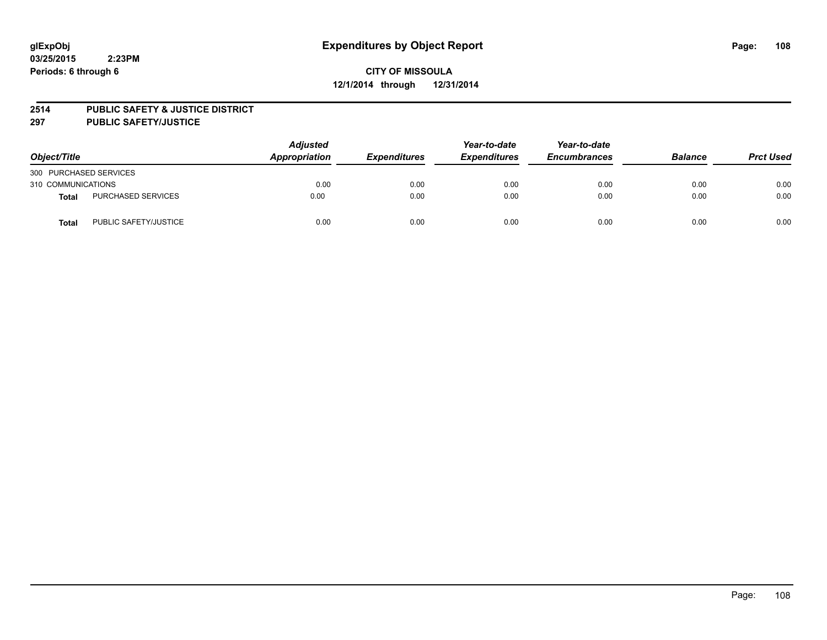#### **2514 PUBLIC SAFETY & JUSTICE DISTRICT**

**297 PUBLIC SAFETY/JUSTICE**

| Object/Title           |                           | <b>Adjusted</b><br>Appropriation | <b>Expenditures</b> | Year-to-date<br><b>Expenditures</b> | Year-to-date<br><b>Encumbrances</b> | <b>Balance</b> | <b>Prct Used</b> |
|------------------------|---------------------------|----------------------------------|---------------------|-------------------------------------|-------------------------------------|----------------|------------------|
| 300 PURCHASED SERVICES |                           |                                  |                     |                                     |                                     |                |                  |
| 310 COMMUNICATIONS     |                           | 0.00                             | 0.00                | 0.00                                | 0.00                                | 0.00           | 0.00             |
| Total                  | <b>PURCHASED SERVICES</b> | 0.00                             | 0.00                | 0.00                                | 0.00                                | 0.00           | 0.00             |
| Total                  | PUBLIC SAFETY/JUSTICE     | 0.00                             | 0.00                | 0.00                                | 0.00                                | 0.00           | 0.00             |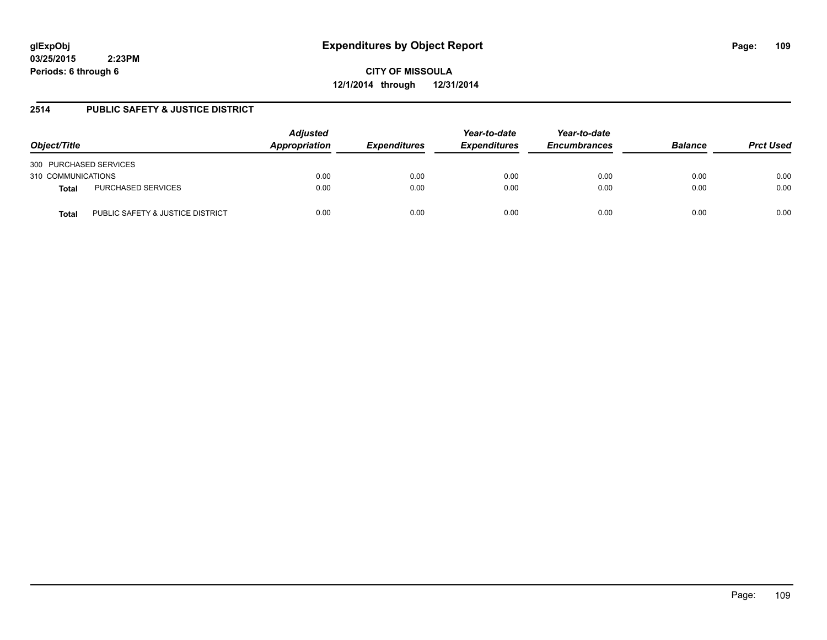# **glExpObj Expenditures by Object Report Page: 109**

**03/25/2015 2:23PM Periods: 6 through 6**

**CITY OF MISSOULA 12/1/2014 through 12/31/2014**

#### **2514 PUBLIC SAFETY & JUSTICE DISTRICT**

| Object/Title                              | <b>Adjusted</b><br>Appropriation | <b>Expenditures</b> | Year-to-date<br><b>Expenditures</b> | Year-to-date<br><b>Encumbrances</b> | <b>Balance</b> | <b>Prct Used</b> |
|-------------------------------------------|----------------------------------|---------------------|-------------------------------------|-------------------------------------|----------------|------------------|
| 300 PURCHASED SERVICES                    |                                  |                     |                                     |                                     |                |                  |
| 310 COMMUNICATIONS                        | 0.00                             | 0.00                | 0.00                                | 0.00                                | 0.00           | 0.00             |
| PURCHASED SERVICES<br>Total               | 0.00                             | 0.00                | 0.00                                | 0.00                                | 0.00           | 0.00             |
| PUBLIC SAFETY & JUSTICE DISTRICT<br>Total | 0.00                             | 0.00                | 0.00                                | 0.00                                | 0.00           | 0.00             |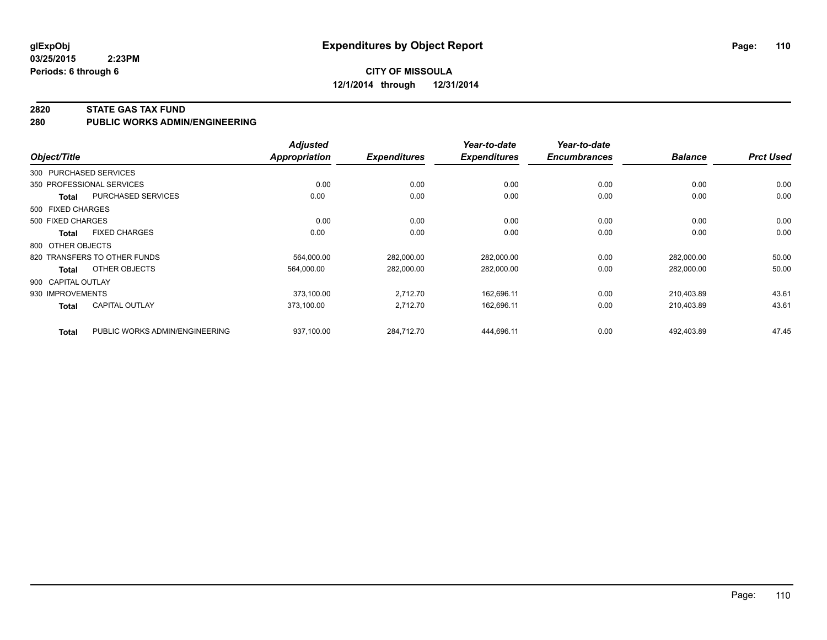**03/25/2015 2:23PM Periods: 6 through 6**

#### **2820 STATE GAS TAX FUND**

**280 PUBLIC WORKS ADMIN/ENGINEERING**

| Object/Title       |                                | <b>Adjusted</b><br><b>Appropriation</b> | <b>Expenditures</b> | Year-to-date<br><b>Expenditures</b> | Year-to-date<br><b>Encumbrances</b> | <b>Balance</b> | <b>Prct Used</b> |
|--------------------|--------------------------------|-----------------------------------------|---------------------|-------------------------------------|-------------------------------------|----------------|------------------|
|                    | 300 PURCHASED SERVICES         |                                         |                     |                                     |                                     |                |                  |
|                    | 350 PROFESSIONAL SERVICES      | 0.00                                    | 0.00                | 0.00                                | 0.00                                | 0.00           | 0.00             |
| Total              | <b>PURCHASED SERVICES</b>      | 0.00                                    | 0.00                | 0.00                                | 0.00                                | 0.00           | 0.00             |
| 500 FIXED CHARGES  |                                |                                         |                     |                                     |                                     |                |                  |
| 500 FIXED CHARGES  |                                | 0.00                                    | 0.00                | 0.00                                | 0.00                                | 0.00           | 0.00             |
| Total              | <b>FIXED CHARGES</b>           | 0.00                                    | 0.00                | 0.00                                | 0.00                                | 0.00           | 0.00             |
| 800 OTHER OBJECTS  |                                |                                         |                     |                                     |                                     |                |                  |
|                    | 820 TRANSFERS TO OTHER FUNDS   | 564,000.00                              | 282,000.00          | 282,000.00                          | 0.00                                | 282,000.00     | 50.00            |
| Total              | OTHER OBJECTS                  | 564.000.00                              | 282,000.00          | 282,000.00                          | 0.00                                | 282,000.00     | 50.00            |
| 900 CAPITAL OUTLAY |                                |                                         |                     |                                     |                                     |                |                  |
| 930 IMPROVEMENTS   |                                | 373.100.00                              | 2,712.70            | 162,696.11                          | 0.00                                | 210,403.89     | 43.61            |
| <b>Total</b>       | <b>CAPITAL OUTLAY</b>          | 373,100.00                              | 2,712.70            | 162,696.11                          | 0.00                                | 210,403.89     | 43.61            |
| <b>Total</b>       | PUBLIC WORKS ADMIN/ENGINEERING | 937,100.00                              | 284,712.70          | 444,696.11                          | 0.00                                | 492,403.89     | 47.45            |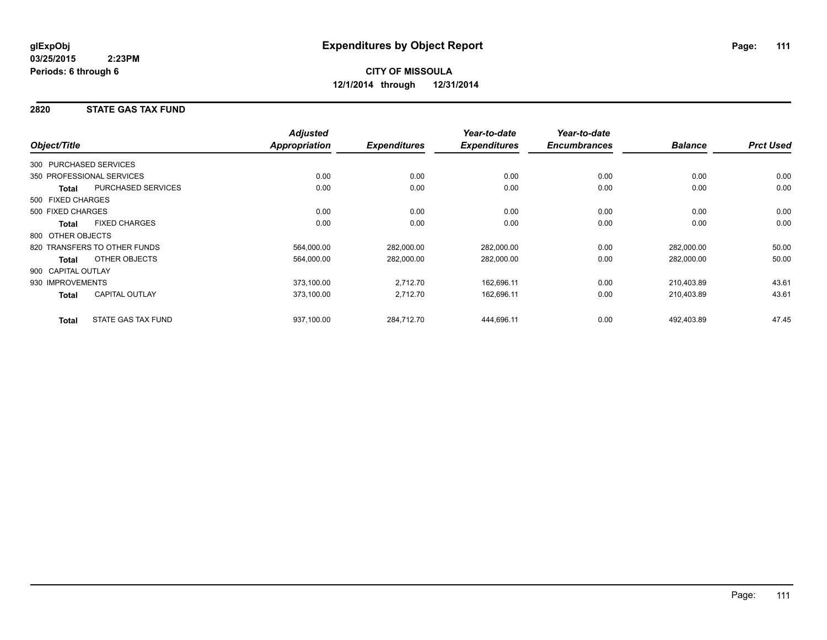#### **2820 STATE GAS TAX FUND**

|                                       | <b>Adjusted</b>      |                     | Year-to-date        | Year-to-date        |                |                  |
|---------------------------------------|----------------------|---------------------|---------------------|---------------------|----------------|------------------|
| Object/Title                          | <b>Appropriation</b> | <b>Expenditures</b> | <b>Expenditures</b> | <b>Encumbrances</b> | <b>Balance</b> | <b>Prct Used</b> |
| 300 PURCHASED SERVICES                |                      |                     |                     |                     |                |                  |
| 350 PROFESSIONAL SERVICES             | 0.00                 | 0.00                | 0.00                | 0.00                | 0.00           | 0.00             |
| PURCHASED SERVICES<br><b>Total</b>    | 0.00                 | 0.00                | 0.00                | 0.00                | 0.00           | 0.00             |
| 500 FIXED CHARGES                     |                      |                     |                     |                     |                |                  |
| 500 FIXED CHARGES                     | 0.00                 | 0.00                | 0.00                | 0.00                | 0.00           | 0.00             |
| <b>FIXED CHARGES</b><br><b>Total</b>  | 0.00                 | 0.00                | 0.00                | 0.00                | 0.00           | 0.00             |
| 800 OTHER OBJECTS                     |                      |                     |                     |                     |                |                  |
| 820 TRANSFERS TO OTHER FUNDS          | 564,000.00           | 282,000.00          | 282,000.00          | 0.00                | 282,000.00     | 50.00            |
| OTHER OBJECTS<br><b>Total</b>         | 564,000.00           | 282,000.00          | 282,000.00          | 0.00                | 282,000.00     | 50.00            |
| 900 CAPITAL OUTLAY                    |                      |                     |                     |                     |                |                  |
| 930 IMPROVEMENTS                      | 373,100.00           | 2,712.70            | 162,696.11          | 0.00                | 210,403.89     | 43.61            |
| <b>CAPITAL OUTLAY</b><br><b>Total</b> | 373,100.00           | 2,712.70            | 162,696.11          | 0.00                | 210,403.89     | 43.61            |
| STATE GAS TAX FUND<br><b>Total</b>    | 937,100.00           | 284,712.70          | 444,696.11          | 0.00                | 492,403.89     | 47.45            |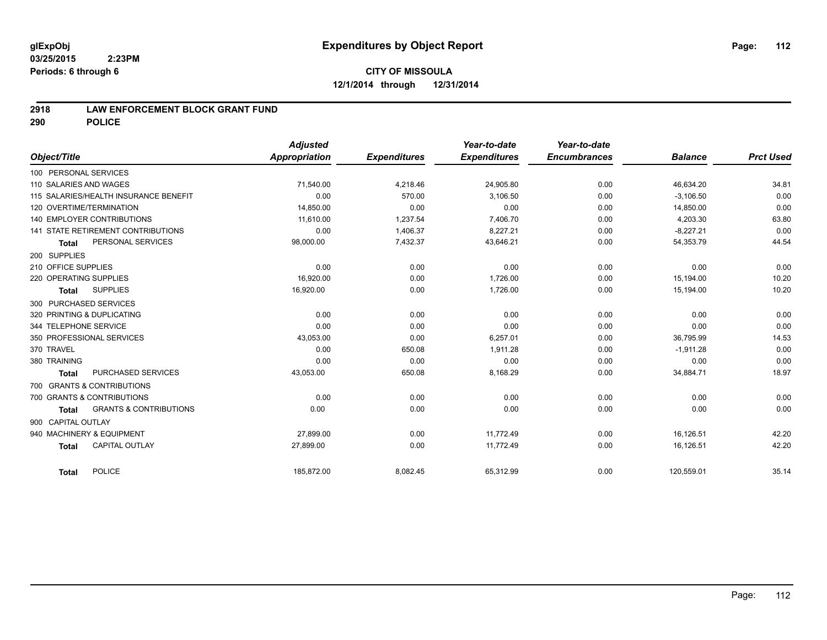#### **2918 LAW ENFORCEMENT BLOCK GRANT FUND**

**290 POLICE**

|                                                   | <b>Adjusted</b>      |                     | Year-to-date        | Year-to-date        |                |                  |
|---------------------------------------------------|----------------------|---------------------|---------------------|---------------------|----------------|------------------|
| Object/Title                                      | <b>Appropriation</b> | <b>Expenditures</b> | <b>Expenditures</b> | <b>Encumbrances</b> | <b>Balance</b> | <b>Prct Used</b> |
| 100 PERSONAL SERVICES                             |                      |                     |                     |                     |                |                  |
| 110 SALARIES AND WAGES                            | 71,540.00            | 4,218.46            | 24,905.80           | 0.00                | 46,634.20      | 34.81            |
| 115 SALARIES/HEALTH INSURANCE BENEFIT             | 0.00                 | 570.00              | 3,106.50            | 0.00                | $-3,106.50$    | 0.00             |
| 120 OVERTIME/TERMINATION                          | 14,850.00            | 0.00                | 0.00                | 0.00                | 14,850.00      | 0.00             |
| <b>140 EMPLOYER CONTRIBUTIONS</b>                 | 11,610.00            | 1,237.54            | 7,406.70            | 0.00                | 4,203.30       | 63.80            |
| <b>141 STATE RETIREMENT CONTRIBUTIONS</b>         | 0.00                 | 1,406.37            | 8,227.21            | 0.00                | $-8,227.21$    | 0.00             |
| PERSONAL SERVICES<br>Total                        | 98,000.00            | 7,432.37            | 43,646.21           | 0.00                | 54,353.79      | 44.54            |
| 200 SUPPLIES                                      |                      |                     |                     |                     |                |                  |
| 210 OFFICE SUPPLIES                               | 0.00                 | 0.00                | 0.00                | 0.00                | 0.00           | 0.00             |
| 220 OPERATING SUPPLIES                            | 16,920.00            | 0.00                | 1,726.00            | 0.00                | 15,194.00      | 10.20            |
| <b>SUPPLIES</b><br><b>Total</b>                   | 16,920.00            | 0.00                | 1,726.00            | 0.00                | 15,194.00      | 10.20            |
| 300 PURCHASED SERVICES                            |                      |                     |                     |                     |                |                  |
| 320 PRINTING & DUPLICATING                        | 0.00                 | 0.00                | 0.00                | 0.00                | 0.00           | 0.00             |
| 344 TELEPHONE SERVICE                             | 0.00                 | 0.00                | 0.00                | 0.00                | 0.00           | 0.00             |
| 350 PROFESSIONAL SERVICES                         | 43,053.00            | 0.00                | 6,257.01            | 0.00                | 36,795.99      | 14.53            |
| 370 TRAVEL                                        | 0.00                 | 650.08              | 1,911.28            | 0.00                | $-1,911.28$    | 0.00             |
| 380 TRAINING                                      | 0.00                 | 0.00                | 0.00                | 0.00                | 0.00           | 0.00             |
| PURCHASED SERVICES<br><b>Total</b>                | 43,053.00            | 650.08              | 8,168.29            | 0.00                | 34,884.71      | 18.97            |
| 700 GRANTS & CONTRIBUTIONS                        |                      |                     |                     |                     |                |                  |
| 700 GRANTS & CONTRIBUTIONS                        | 0.00                 | 0.00                | 0.00                | 0.00                | 0.00           | 0.00             |
| <b>GRANTS &amp; CONTRIBUTIONS</b><br><b>Total</b> | 0.00                 | 0.00                | 0.00                | 0.00                | 0.00           | 0.00             |
| 900 CAPITAL OUTLAY                                |                      |                     |                     |                     |                |                  |
| 940 MACHINERY & EQUIPMENT                         | 27,899.00            | 0.00                | 11,772.49           | 0.00                | 16,126.51      | 42.20            |
| <b>CAPITAL OUTLAY</b><br><b>Total</b>             | 27,899.00            | 0.00                | 11,772.49           | 0.00                | 16,126.51      | 42.20            |
|                                                   |                      |                     |                     |                     |                |                  |
| <b>POLICE</b><br><b>Total</b>                     | 185,872.00           | 8,082.45            | 65,312.99           | 0.00                | 120,559.01     | 35.14            |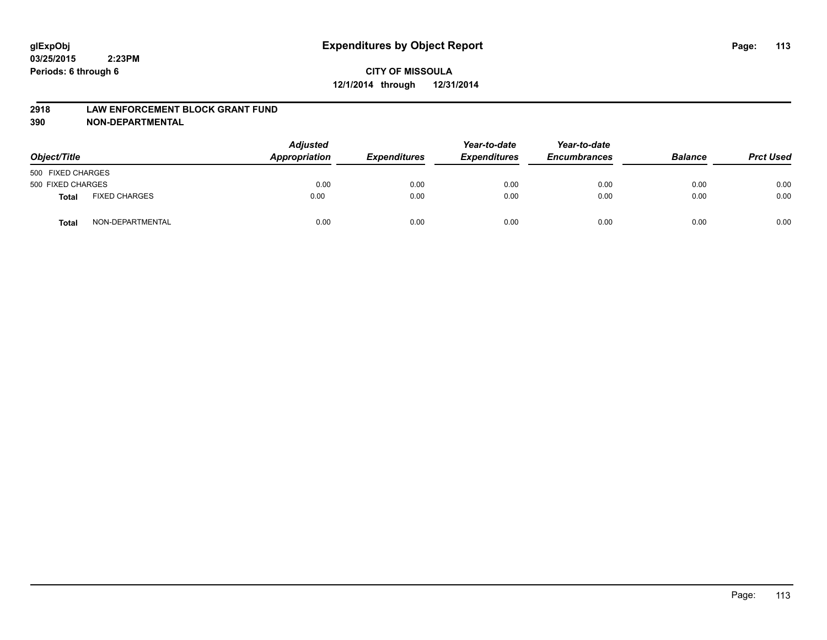#### **2918 LAW ENFORCEMENT BLOCK GRANT FUND**

**390 NON-DEPARTMENTAL**

| Object/Title      |                      | <b>Adjusted</b><br>Appropriation | <b>Expenditures</b> | Year-to-date<br><b>Expenditures</b> | Year-to-date<br><b>Encumbrances</b> | <b>Balance</b> | <b>Prct Used</b> |
|-------------------|----------------------|----------------------------------|---------------------|-------------------------------------|-------------------------------------|----------------|------------------|
| 500 FIXED CHARGES |                      |                                  |                     |                                     |                                     |                |                  |
| 500 FIXED CHARGES |                      | 0.00                             | 0.00                | 0.00                                | 0.00                                | 0.00           | 0.00             |
| <b>Total</b>      | <b>FIXED CHARGES</b> | 0.00                             | 0.00                | 0.00                                | 0.00                                | 0.00           | 0.00             |
| Total             | NON-DEPARTMENTAL     | 0.00                             | 0.00                | 0.00                                | 0.00                                | 0.00           | 0.00             |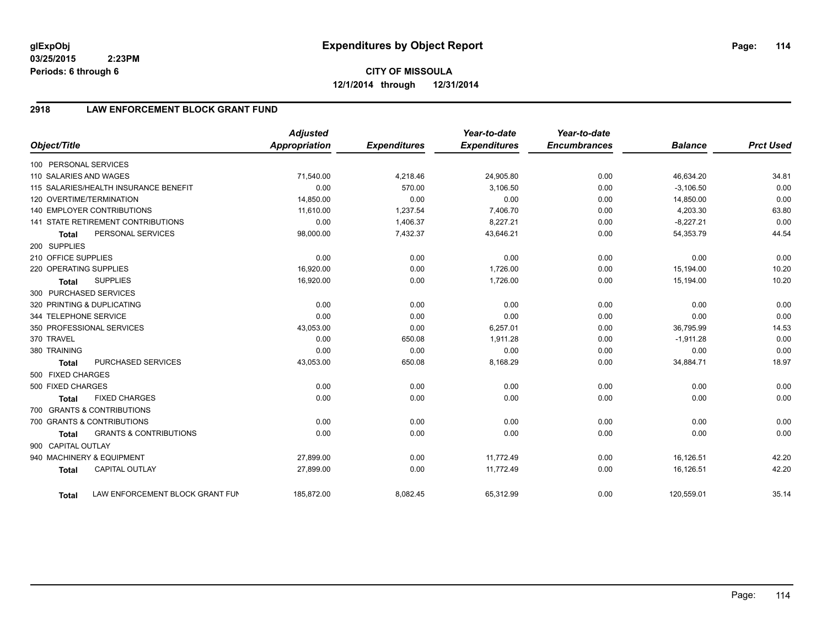**03/25/2015 2:23PM Periods: 6 through 6**

**CITY OF MISSOULA 12/1/2014 through 12/31/2014**

## **2918 LAW ENFORCEMENT BLOCK GRANT FUND**

| Object/Title           |                                           | <b>Adjusted</b><br>Appropriation | <b>Expenditures</b> | Year-to-date<br><b>Expenditures</b> | Year-to-date<br><b>Encumbrances</b> | <b>Balance</b> | <b>Prct Used</b> |
|------------------------|-------------------------------------------|----------------------------------|---------------------|-------------------------------------|-------------------------------------|----------------|------------------|
|                        |                                           |                                  |                     |                                     |                                     |                |                  |
| 100 PERSONAL SERVICES  |                                           |                                  |                     |                                     |                                     |                |                  |
| 110 SALARIES AND WAGES |                                           | 71,540.00                        | 4,218.46            | 24,905.80                           | 0.00                                | 46,634.20      | 34.81            |
|                        | 115 SALARIES/HEALTH INSURANCE BENEFIT     | 0.00                             | 570.00              | 3,106.50                            | 0.00                                | $-3,106.50$    | 0.00             |
|                        | 120 OVERTIME/TERMINATION                  | 14,850.00                        | 0.00                | 0.00                                | 0.00                                | 14,850.00      | 0.00             |
|                        | <b>140 EMPLOYER CONTRIBUTIONS</b>         | 11.610.00                        | 1,237.54            | 7,406.70                            | 0.00                                | 4,203.30       | 63.80            |
|                        | <b>141 STATE RETIREMENT CONTRIBUTIONS</b> | 0.00                             | 1,406.37            | 8,227.21                            | 0.00                                | $-8,227.21$    | 0.00             |
| <b>Total</b>           | PERSONAL SERVICES                         | 98,000.00                        | 7,432.37            | 43,646.21                           | 0.00                                | 54,353.79      | 44.54            |
| 200 SUPPLIES           |                                           |                                  |                     |                                     |                                     |                |                  |
| 210 OFFICE SUPPLIES    |                                           | 0.00                             | 0.00                | 0.00                                | 0.00                                | 0.00           | 0.00             |
| 220 OPERATING SUPPLIES |                                           | 16,920.00                        | 0.00                | 1,726.00                            | 0.00                                | 15,194.00      | 10.20            |
| <b>Total</b>           | <b>SUPPLIES</b>                           | 16,920.00                        | 0.00                | 1,726.00                            | 0.00                                | 15,194.00      | 10.20            |
|                        | 300 PURCHASED SERVICES                    |                                  |                     |                                     |                                     |                |                  |
|                        | 320 PRINTING & DUPLICATING                | 0.00                             | 0.00                | 0.00                                | 0.00                                | 0.00           | 0.00             |
| 344 TELEPHONE SERVICE  |                                           | 0.00                             | 0.00                | 0.00                                | 0.00                                | 0.00           | 0.00             |
|                        | 350 PROFESSIONAL SERVICES                 | 43,053.00                        | 0.00                | 6,257.01                            | 0.00                                | 36,795.99      | 14.53            |
| 370 TRAVEL             |                                           | 0.00                             | 650.08              | 1,911.28                            | 0.00                                | $-1,911.28$    | 0.00             |
| 380 TRAINING           |                                           | 0.00                             | 0.00                | 0.00                                | 0.00                                | 0.00           | 0.00             |
| <b>Total</b>           | PURCHASED SERVICES                        | 43,053.00                        | 650.08              | 8,168.29                            | 0.00                                | 34,884.71      | 18.97            |
| 500 FIXED CHARGES      |                                           |                                  |                     |                                     |                                     |                |                  |
| 500 FIXED CHARGES      |                                           | 0.00                             | 0.00                | 0.00                                | 0.00                                | 0.00           | 0.00             |
| <b>Total</b>           | <b>FIXED CHARGES</b>                      | 0.00                             | 0.00                | 0.00                                | 0.00                                | 0.00           | 0.00             |
|                        | 700 GRANTS & CONTRIBUTIONS                |                                  |                     |                                     |                                     |                |                  |
|                        | 700 GRANTS & CONTRIBUTIONS                | 0.00                             | 0.00                | 0.00                                | 0.00                                | 0.00           | 0.00             |
| <b>Total</b>           | <b>GRANTS &amp; CONTRIBUTIONS</b>         | 0.00                             | 0.00                | 0.00                                | 0.00                                | 0.00           | 0.00             |
| 900 CAPITAL OUTLAY     |                                           |                                  |                     |                                     |                                     |                |                  |
|                        | 940 MACHINERY & EQUIPMENT                 | 27,899.00                        | 0.00                | 11,772.49                           | 0.00                                | 16,126.51      | 42.20            |
| <b>Total</b>           | <b>CAPITAL OUTLAY</b>                     | 27,899.00                        | 0.00                | 11,772.49                           | 0.00                                | 16,126.51      | 42.20            |
|                        |                                           |                                  |                     |                                     |                                     |                |                  |
| <b>Total</b>           | LAW ENFORCEMENT BLOCK GRANT FUN           | 185,872.00                       | 8,082.45            | 65,312.99                           | 0.00                                | 120,559.01     | 35.14            |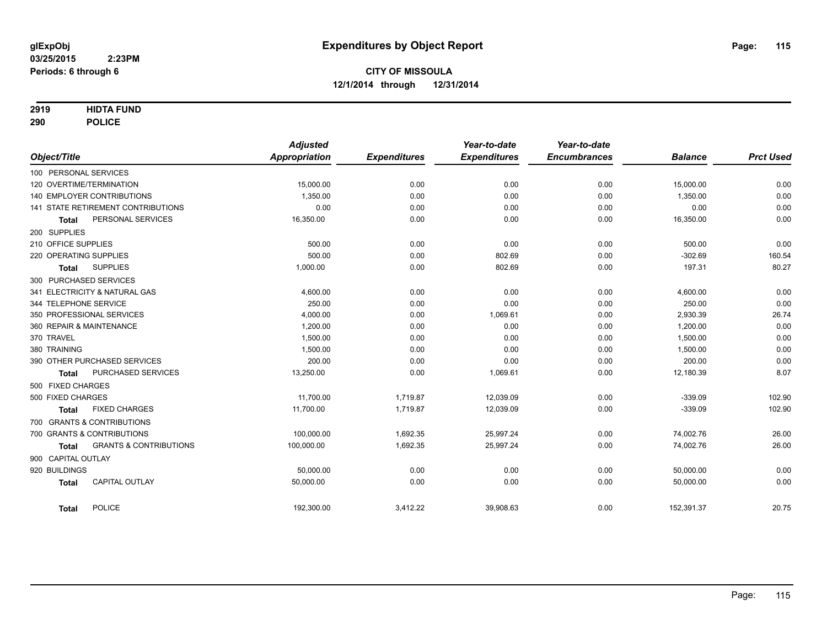#### **2919 HIDTA FUND**

**290 POLICE**

| Object/Title  |                                                   | <b>Adjusted</b><br><b>Appropriation</b> | <b>Expenditures</b> | Year-to-date<br><b>Expenditures</b> | Year-to-date<br><b>Encumbrances</b> | <b>Balance</b> | <b>Prct Used</b> |
|---------------|---------------------------------------------------|-----------------------------------------|---------------------|-------------------------------------|-------------------------------------|----------------|------------------|
|               |                                                   |                                         |                     |                                     |                                     |                |                  |
|               | 100 PERSONAL SERVICES                             |                                         |                     |                                     |                                     |                |                  |
|               | 120 OVERTIME/TERMINATION                          | 15,000.00                               | 0.00                | 0.00                                | 0.00                                | 15,000.00      | 0.00             |
|               | 140 EMPLOYER CONTRIBUTIONS                        | 1.350.00                                | 0.00                | 0.00                                | 0.00                                | 1,350.00       | 0.00             |
|               | 141 STATE RETIREMENT CONTRIBUTIONS                | 0.00                                    | 0.00                | 0.00                                | 0.00                                | 0.00           | 0.00             |
|               | PERSONAL SERVICES<br><b>Total</b>                 | 16,350.00                               | 0.00                | 0.00                                | 0.00                                | 16,350.00      | 0.00             |
| 200 SUPPLIES  |                                                   |                                         |                     |                                     |                                     |                |                  |
|               | 210 OFFICE SUPPLIES                               | 500.00                                  | 0.00                | 0.00                                | 0.00                                | 500.00         | 0.00             |
|               | 220 OPERATING SUPPLIES                            | 500.00                                  | 0.00                | 802.69                              | 0.00                                | $-302.69$      | 160.54           |
|               | <b>SUPPLIES</b><br><b>Total</b>                   | 1.000.00                                | 0.00                | 802.69                              | 0.00                                | 197.31         | 80.27            |
|               | 300 PURCHASED SERVICES                            |                                         |                     |                                     |                                     |                |                  |
|               | 341 ELECTRICITY & NATURAL GAS                     | 4,600.00                                | 0.00                | 0.00                                | 0.00                                | 4,600.00       | 0.00             |
|               | 344 TELEPHONE SERVICE                             | 250.00                                  | 0.00                | 0.00                                | 0.00                                | 250.00         | 0.00             |
|               | 350 PROFESSIONAL SERVICES                         | 4,000.00                                | 0.00                | 1,069.61                            | 0.00                                | 2,930.39       | 26.74            |
|               | 360 REPAIR & MAINTENANCE                          | 1,200.00                                | 0.00                | 0.00                                | 0.00                                | 1,200.00       | 0.00             |
| 370 TRAVEL    |                                                   | 1.500.00                                | 0.00                | 0.00                                | 0.00                                | 1,500.00       | 0.00             |
| 380 TRAINING  |                                                   | 1,500.00                                | 0.00                | 0.00                                | 0.00                                | 1,500.00       | 0.00             |
|               | 390 OTHER PURCHASED SERVICES                      | 200.00                                  | 0.00                | 0.00                                | 0.00                                | 200.00         | 0.00             |
|               | PURCHASED SERVICES<br><b>Total</b>                | 13,250.00                               | 0.00                | 1,069.61                            | 0.00                                | 12,180.39      | 8.07             |
|               | 500 FIXED CHARGES                                 |                                         |                     |                                     |                                     |                |                  |
|               | 500 FIXED CHARGES                                 | 11,700.00                               | 1,719.87            | 12,039.09                           | 0.00                                | $-339.09$      | 102.90           |
|               | <b>FIXED CHARGES</b><br><b>Total</b>              | 11,700.00                               | 1,719.87            | 12,039.09                           | 0.00                                | $-339.09$      | 102.90           |
|               | 700 GRANTS & CONTRIBUTIONS                        |                                         |                     |                                     |                                     |                |                  |
|               | 700 GRANTS & CONTRIBUTIONS                        | 100.000.00                              | 1,692.35            | 25,997.24                           | 0.00                                | 74.002.76      | 26.00            |
|               | <b>GRANTS &amp; CONTRIBUTIONS</b><br><b>Total</b> | 100,000.00                              | 1,692.35            | 25,997.24                           | 0.00                                | 74,002.76      | 26.00            |
|               | 900 CAPITAL OUTLAY                                |                                         |                     |                                     |                                     |                |                  |
| 920 BUILDINGS |                                                   | 50,000.00                               | 0.00                | 0.00                                | 0.00                                | 50,000.00      | 0.00             |
|               | <b>CAPITAL OUTLAY</b><br><b>Total</b>             | 50,000.00                               | 0.00                | 0.00                                | 0.00                                | 50,000.00      | 0.00             |
|               |                                                   |                                         |                     |                                     |                                     |                |                  |
|               | <b>POLICE</b><br><b>Total</b>                     | 192,300.00                              | 3,412.22            | 39,908.63                           | 0.00                                | 152,391.37     | 20.75            |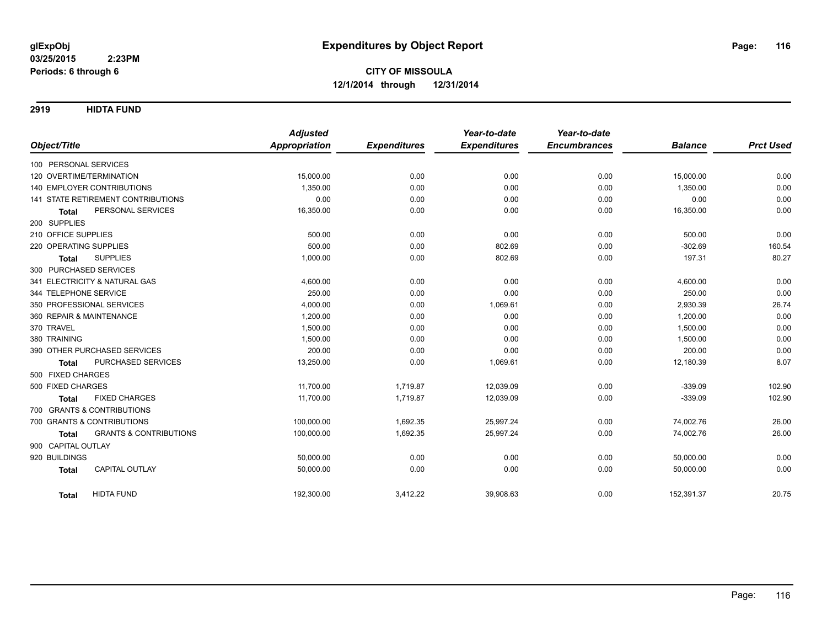**2919 HIDTA FUND**

|                                                   | <b>Adjusted</b> |                     | Year-to-date        | Year-to-date        |                |                  |
|---------------------------------------------------|-----------------|---------------------|---------------------|---------------------|----------------|------------------|
| Object/Title                                      | Appropriation   | <b>Expenditures</b> | <b>Expenditures</b> | <b>Encumbrances</b> | <b>Balance</b> | <b>Prct Used</b> |
| 100 PERSONAL SERVICES                             |                 |                     |                     |                     |                |                  |
| 120 OVERTIME/TERMINATION                          | 15,000.00       | 0.00                | 0.00                | 0.00                | 15,000.00      | 0.00             |
| 140 EMPLOYER CONTRIBUTIONS                        | 1,350.00        | 0.00                | 0.00                | 0.00                | 1,350.00       | 0.00             |
| <b>141 STATE RETIREMENT CONTRIBUTIONS</b>         | 0.00            | 0.00                | 0.00                | 0.00                | 0.00           | 0.00             |
| PERSONAL SERVICES<br><b>Total</b>                 | 16,350.00       | 0.00                | 0.00                | 0.00                | 16,350.00      | 0.00             |
| 200 SUPPLIES                                      |                 |                     |                     |                     |                |                  |
| 210 OFFICE SUPPLIES                               | 500.00          | 0.00                | 0.00                | 0.00                | 500.00         | 0.00             |
| 220 OPERATING SUPPLIES                            | 500.00          | 0.00                | 802.69              | 0.00                | $-302.69$      | 160.54           |
| <b>SUPPLIES</b><br><b>Total</b>                   | 1,000.00        | 0.00                | 802.69              | 0.00                | 197.31         | 80.27            |
| 300 PURCHASED SERVICES                            |                 |                     |                     |                     |                |                  |
| 341 ELECTRICITY & NATURAL GAS                     | 4,600.00        | 0.00                | 0.00                | 0.00                | 4,600.00       | 0.00             |
| 344 TELEPHONE SERVICE                             | 250.00          | 0.00                | 0.00                | 0.00                | 250.00         | 0.00             |
| 350 PROFESSIONAL SERVICES                         | 4,000.00        | 0.00                | 1,069.61            | 0.00                | 2,930.39       | 26.74            |
| 360 REPAIR & MAINTENANCE                          | 1,200.00        | 0.00                | 0.00                | 0.00                | 1,200.00       | 0.00             |
| 370 TRAVEL                                        | 1,500.00        | 0.00                | 0.00                | 0.00                | 1,500.00       | 0.00             |
| 380 TRAINING                                      | 1,500.00        | 0.00                | 0.00                | 0.00                | 1,500.00       | 0.00             |
| 390 OTHER PURCHASED SERVICES                      | 200.00          | 0.00                | 0.00                | 0.00                | 200.00         | 0.00             |
| PURCHASED SERVICES<br><b>Total</b>                | 13,250.00       | 0.00                | 1,069.61            | 0.00                | 12,180.39      | 8.07             |
| 500 FIXED CHARGES                                 |                 |                     |                     |                     |                |                  |
| 500 FIXED CHARGES                                 | 11,700.00       | 1,719.87            | 12,039.09           | 0.00                | $-339.09$      | 102.90           |
| <b>FIXED CHARGES</b><br><b>Total</b>              | 11,700.00       | 1,719.87            | 12,039.09           | 0.00                | $-339.09$      | 102.90           |
| 700 GRANTS & CONTRIBUTIONS                        |                 |                     |                     |                     |                |                  |
| 700 GRANTS & CONTRIBUTIONS                        | 100,000.00      | 1,692.35            | 25,997.24           | 0.00                | 74,002.76      | 26.00            |
| <b>GRANTS &amp; CONTRIBUTIONS</b><br><b>Total</b> | 100,000.00      | 1,692.35            | 25,997.24           | 0.00                | 74,002.76      | 26.00            |
| 900 CAPITAL OUTLAY                                |                 |                     |                     |                     |                |                  |
| 920 BUILDINGS                                     | 50,000.00       | 0.00                | 0.00                | 0.00                | 50,000.00      | 0.00             |
| <b>CAPITAL OUTLAY</b><br><b>Total</b>             | 50,000.00       | 0.00                | 0.00                | 0.00                | 50,000.00      | 0.00             |
| <b>HIDTA FUND</b><br><b>Total</b>                 | 192,300.00      | 3,412.22            | 39,908.63           | 0.00                | 152,391.37     | 20.75            |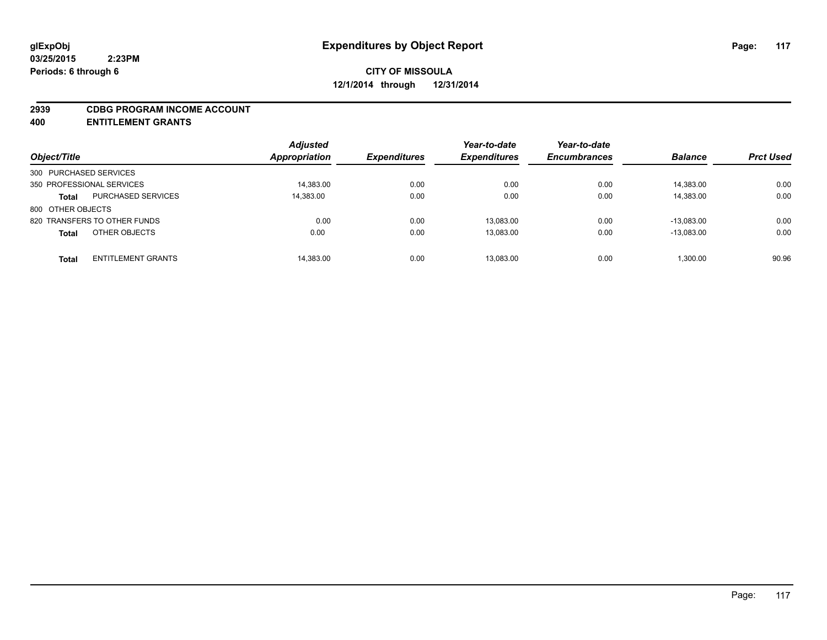#### **2939 CDBG PROGRAM INCOME ACCOUNT**

**400 ENTITLEMENT GRANTS**

| Object/Title                              | <b>Adjusted</b><br><b>Appropriation</b> | <b>Expenditures</b> | Year-to-date<br><b>Expenditures</b> | Year-to-date<br><b>Encumbrances</b> | <b>Balance</b> | <b>Prct Used</b> |
|-------------------------------------------|-----------------------------------------|---------------------|-------------------------------------|-------------------------------------|----------------|------------------|
| 300 PURCHASED SERVICES                    |                                         |                     |                                     |                                     |                |                  |
| 350 PROFESSIONAL SERVICES                 | 14,383.00                               | 0.00                | 0.00                                | 0.00                                | 14,383.00      | 0.00             |
| <b>PURCHASED SERVICES</b><br><b>Total</b> | 14,383.00                               | 0.00                | 0.00                                | 0.00                                | 14,383.00      | 0.00             |
| 800 OTHER OBJECTS                         |                                         |                     |                                     |                                     |                |                  |
| 820 TRANSFERS TO OTHER FUNDS              |                                         | 0.00<br>0.00        | 13,083.00                           | 0.00                                | $-13.083.00$   | 0.00             |
| OTHER OBJECTS<br><b>Total</b>             |                                         | 0.00<br>0.00        | 13,083.00                           | 0.00                                | $-13.083.00$   | 0.00             |
| <b>ENTITLEMENT GRANTS</b><br><b>Total</b> | 14,383.00                               | 0.00                | 13,083.00                           | 0.00                                | 1.300.00       | 90.96            |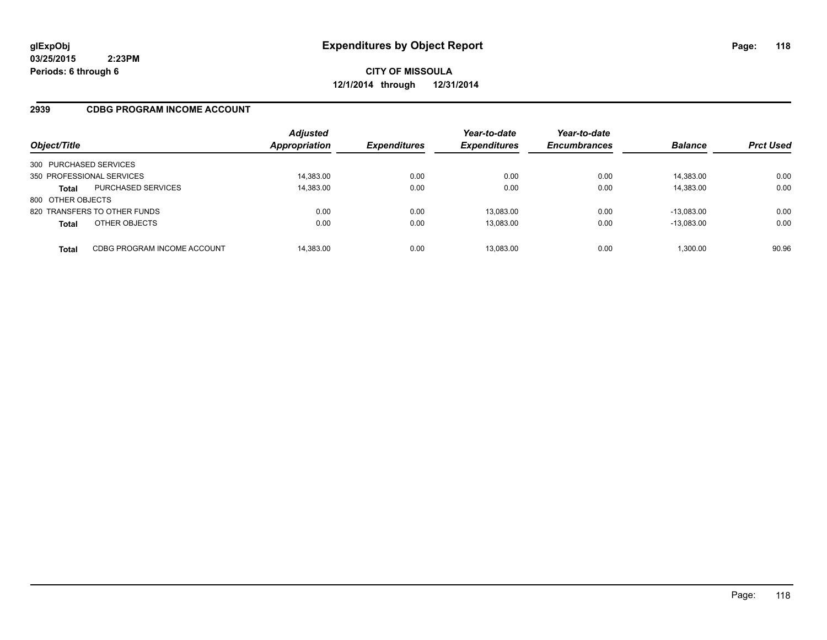**03/25/2015 2:23PM Periods: 6 through 6**

**CITY OF MISSOULA 12/1/2014 through 12/31/2014**

#### **2939 CDBG PROGRAM INCOME ACCOUNT**

| Object/Title              |                              | <b>Adjusted</b><br><b>Appropriation</b> | <b>Expenditures</b> | Year-to-date<br><b>Expenditures</b> | Year-to-date<br><b>Encumbrances</b> | <b>Balance</b> | <b>Prct Used</b> |
|---------------------------|------------------------------|-----------------------------------------|---------------------|-------------------------------------|-------------------------------------|----------------|------------------|
| 300 PURCHASED SERVICES    |                              |                                         |                     |                                     |                                     |                |                  |
| 350 PROFESSIONAL SERVICES |                              | 14,383.00                               | 0.00                | 0.00                                | 0.00                                | 14,383.00      | 0.00             |
| <b>Total</b>              | <b>PURCHASED SERVICES</b>    | 14,383.00                               | 0.00                | 0.00                                | 0.00                                | 14,383.00      | 0.00             |
| 800 OTHER OBJECTS         |                              |                                         |                     |                                     |                                     |                |                  |
|                           | 820 TRANSFERS TO OTHER FUNDS | 0.00                                    | 0.00                | 13.083.00                           | 0.00                                | $-13.083.00$   | 0.00             |
| <b>Total</b>              | OTHER OBJECTS                | 0.00                                    | 0.00                | 13,083.00                           | 0.00                                | $-13,083.00$   | 0.00             |
| Total                     | CDBG PROGRAM INCOME ACCOUNT  | 14,383.00                               | 0.00                | 13.083.00                           | 0.00                                | 1,300.00       | 90.96            |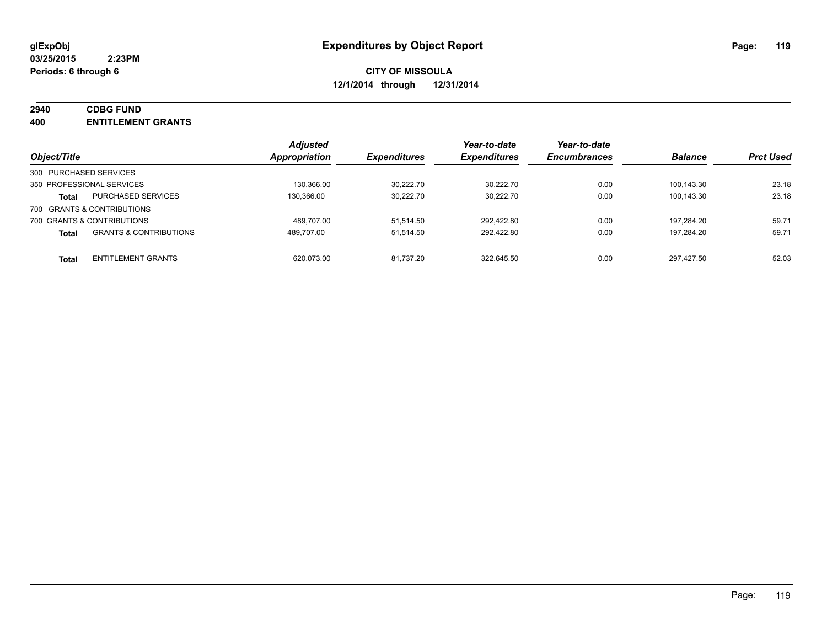# **2940 CDBG FUND**

**400 ENTITLEMENT GRANTS**

| Object/Title                                      | <b>Adjusted</b><br><b>Appropriation</b> | <i><b>Expenditures</b></i> | Year-to-date<br><b>Expenditures</b> | Year-to-date<br><b>Encumbrances</b> | <b>Balance</b> | <b>Prct Used</b> |
|---------------------------------------------------|-----------------------------------------|----------------------------|-------------------------------------|-------------------------------------|----------------|------------------|
| 300 PURCHASED SERVICES                            |                                         |                            |                                     |                                     |                |                  |
| 350 PROFESSIONAL SERVICES                         | 130.366.00                              | 30.222.70                  | 30.222.70                           | 0.00                                | 100.143.30     | 23.18            |
| <b>PURCHASED SERVICES</b><br><b>Total</b>         | 130.366.00                              | 30.222.70                  | 30.222.70                           | 0.00                                | 100.143.30     | 23.18            |
| 700 GRANTS & CONTRIBUTIONS                        |                                         |                            |                                     |                                     |                |                  |
| 700 GRANTS & CONTRIBUTIONS                        | 489.707.00                              | 51.514.50                  | 292.422.80                          | 0.00                                | 197.284.20     | 59.71            |
| <b>GRANTS &amp; CONTRIBUTIONS</b><br><b>Total</b> | 489.707.00                              | 51.514.50                  | 292.422.80                          | 0.00                                | 197.284.20     | 59.71            |
| <b>ENTITLEMENT GRANTS</b><br><b>Total</b>         | 620.073.00                              | 81.737.20                  | 322.645.50                          | 0.00                                | 297.427.50     | 52.03            |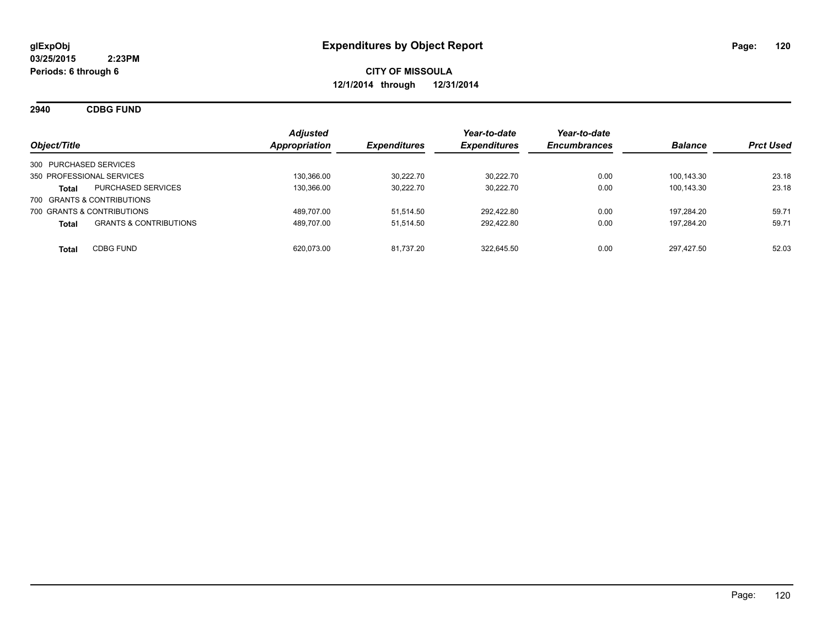**2940 CDBG FUND**

| Object/Title                                      | <b>Adjusted</b><br>Appropriation | <b>Expenditures</b> | Year-to-date<br><b>Expenditures</b> | Year-to-date<br><b>Encumbrances</b> | <b>Balance</b> | <b>Prct Used</b> |
|---------------------------------------------------|----------------------------------|---------------------|-------------------------------------|-------------------------------------|----------------|------------------|
| 300 PURCHASED SERVICES                            |                                  |                     |                                     |                                     |                |                  |
| 350 PROFESSIONAL SERVICES                         | 130.366.00                       | 30.222.70           | 30.222.70                           | 0.00                                | 100.143.30     | 23.18            |
| <b>PURCHASED SERVICES</b><br>Total                | 130.366.00                       | 30.222.70           | 30.222.70                           | 0.00                                | 100.143.30     | 23.18            |
| 700 GRANTS & CONTRIBUTIONS                        |                                  |                     |                                     |                                     |                |                  |
| 700 GRANTS & CONTRIBUTIONS                        | 489.707.00                       | 51.514.50           | 292.422.80                          | 0.00                                | 197.284.20     | 59.71            |
| <b>GRANTS &amp; CONTRIBUTIONS</b><br><b>Total</b> | 489.707.00                       | 51.514.50           | 292.422.80                          | 0.00                                | 197.284.20     | 59.71            |
| <b>CDBG FUND</b><br><b>Total</b>                  | 620.073.00                       | 81.737.20           | 322.645.50                          | 0.00                                | 297.427.50     | 52.03            |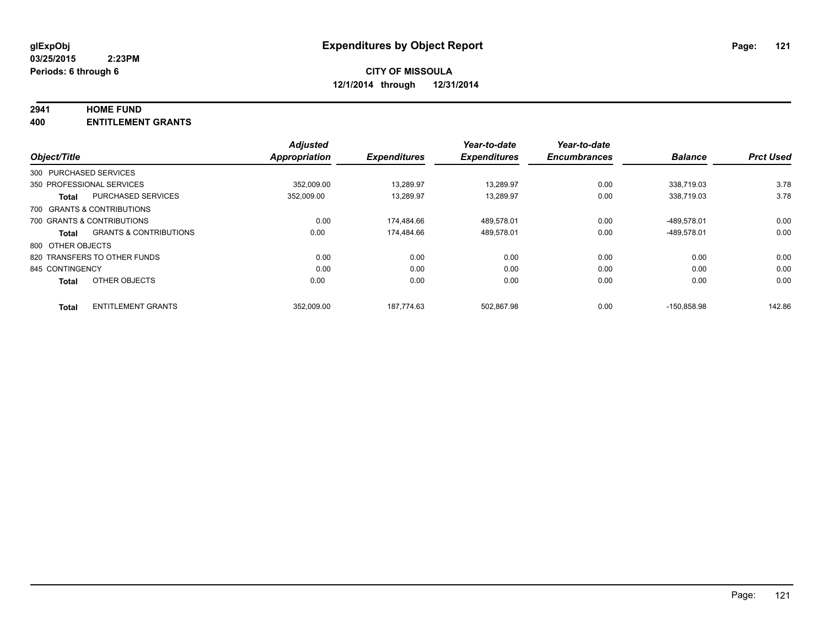#### **2941 HOME FUND**

**400 ENTITLEMENT GRANTS**

|                                            | <b>Adjusted</b> |                     | Year-to-date        | Year-to-date        |                |                  |
|--------------------------------------------|-----------------|---------------------|---------------------|---------------------|----------------|------------------|
| Object/Title                               | Appropriation   | <b>Expenditures</b> | <b>Expenditures</b> | <b>Encumbrances</b> | <b>Balance</b> | <b>Prct Used</b> |
| 300 PURCHASED SERVICES                     |                 |                     |                     |                     |                |                  |
| 350 PROFESSIONAL SERVICES                  | 352.009.00      | 13.289.97           | 13.289.97           | 0.00                | 338.719.03     | 3.78             |
| <b>PURCHASED SERVICES</b><br><b>Total</b>  | 352,009.00      | 13.289.97           | 13,289.97           | 0.00                | 338.719.03     | 3.78             |
| 700 GRANTS & CONTRIBUTIONS                 |                 |                     |                     |                     |                |                  |
| 700 GRANTS & CONTRIBUTIONS                 | 0.00            | 174.484.66          | 489,578.01          | 0.00                | -489,578.01    | 0.00             |
| <b>GRANTS &amp; CONTRIBUTIONS</b><br>Total | 0.00            | 174.484.66          | 489.578.01          | 0.00                | -489,578.01    | 0.00             |
| 800 OTHER OBJECTS                          |                 |                     |                     |                     |                |                  |
| 820 TRANSFERS TO OTHER FUNDS               | 0.00            | 0.00                | 0.00                | 0.00                | 0.00           | 0.00             |
| 845 CONTINGENCY                            | 0.00            | 0.00                | 0.00                | 0.00                | 0.00           | 0.00             |
| OTHER OBJECTS<br><b>Total</b>              | 0.00            | 0.00                | 0.00                | 0.00                | 0.00           | 0.00             |
| <b>ENTITLEMENT GRANTS</b><br><b>Total</b>  | 352,009.00      | 187.774.63          | 502.867.98          | 0.00                | $-150.858.98$  | 142.86           |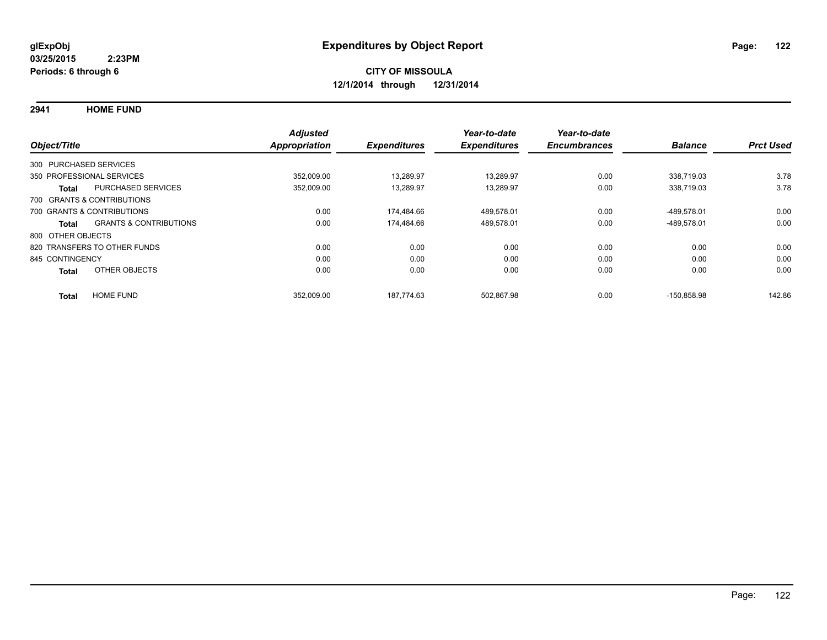**2941 HOME FUND**

|                        |                                   | <b>Adjusted</b>      |                     | Year-to-date        | Year-to-date        |                |                  |
|------------------------|-----------------------------------|----------------------|---------------------|---------------------|---------------------|----------------|------------------|
| Object/Title           |                                   | <b>Appropriation</b> | <b>Expenditures</b> | <b>Expenditures</b> | <b>Encumbrances</b> | <b>Balance</b> | <b>Prct Used</b> |
| 300 PURCHASED SERVICES |                                   |                      |                     |                     |                     |                |                  |
|                        | 350 PROFESSIONAL SERVICES         | 352,009.00           | 13,289.97           | 13,289.97           | 0.00                | 338.719.03     | 3.78             |
| Total                  | <b>PURCHASED SERVICES</b>         | 352,009.00           | 13,289.97           | 13,289.97           | 0.00                | 338,719.03     | 3.78             |
|                        | 700 GRANTS & CONTRIBUTIONS        |                      |                     |                     |                     |                |                  |
|                        | 700 GRANTS & CONTRIBUTIONS        | 0.00                 | 174.484.66          | 489,578.01          | 0.00                | -489.578.01    | 0.00             |
| Total                  | <b>GRANTS &amp; CONTRIBUTIONS</b> | 0.00                 | 174.484.66          | 489,578.01          | 0.00                | -489,578.01    | 0.00             |
| 800 OTHER OBJECTS      |                                   |                      |                     |                     |                     |                |                  |
|                        | 820 TRANSFERS TO OTHER FUNDS      | 0.00                 | 0.00                | 0.00                | 0.00                | 0.00           | 0.00             |
| 845 CONTINGENCY        |                                   | 0.00                 | 0.00                | 0.00                | 0.00                | 0.00           | 0.00             |
| <b>Total</b>           | OTHER OBJECTS                     | 0.00                 | 0.00                | 0.00                | 0.00                | 0.00           | 0.00             |
| <b>Total</b>           | <b>HOME FUND</b>                  | 352,009.00           | 187.774.63          | 502.867.98          | 0.00                | $-150.858.98$  | 142.86           |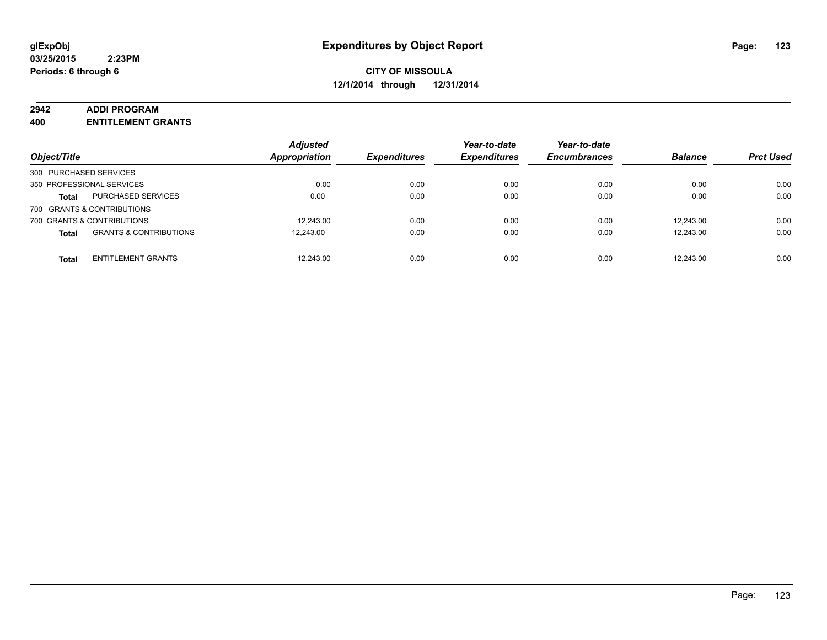#### **2942 ADDI PROGRAM**

**400 ENTITLEMENT GRANTS**

| Object/Title               |                                   | <b>Adjusted</b><br><b>Appropriation</b> | <b>Expenditures</b> | Year-to-date<br><b>Expenditures</b> | Year-to-date<br><b>Encumbrances</b> | <b>Balance</b> | <b>Prct Used</b> |
|----------------------------|-----------------------------------|-----------------------------------------|---------------------|-------------------------------------|-------------------------------------|----------------|------------------|
| 300 PURCHASED SERVICES     |                                   |                                         |                     |                                     |                                     |                |                  |
| 350 PROFESSIONAL SERVICES  |                                   | 0.00                                    | 0.00                | 0.00                                | 0.00                                | 0.00           | 0.00             |
| <b>Total</b>               | <b>PURCHASED SERVICES</b>         | 0.00                                    | 0.00                | 0.00                                | 0.00                                | 0.00           | 0.00             |
| 700 GRANTS & CONTRIBUTIONS |                                   |                                         |                     |                                     |                                     |                |                  |
| 700 GRANTS & CONTRIBUTIONS |                                   | 12.243.00                               | 0.00                | 0.00                                | 0.00                                | 12.243.00      | 0.00             |
| <b>Total</b>               | <b>GRANTS &amp; CONTRIBUTIONS</b> | 12.243.00                               | 0.00                | 0.00                                | 0.00                                | 12.243.00      | 0.00             |
| <b>Total</b>               | <b>ENTITLEMENT GRANTS</b>         | 12,243.00                               | 0.00                | 0.00                                | 0.00                                | 12.243.00      | 0.00             |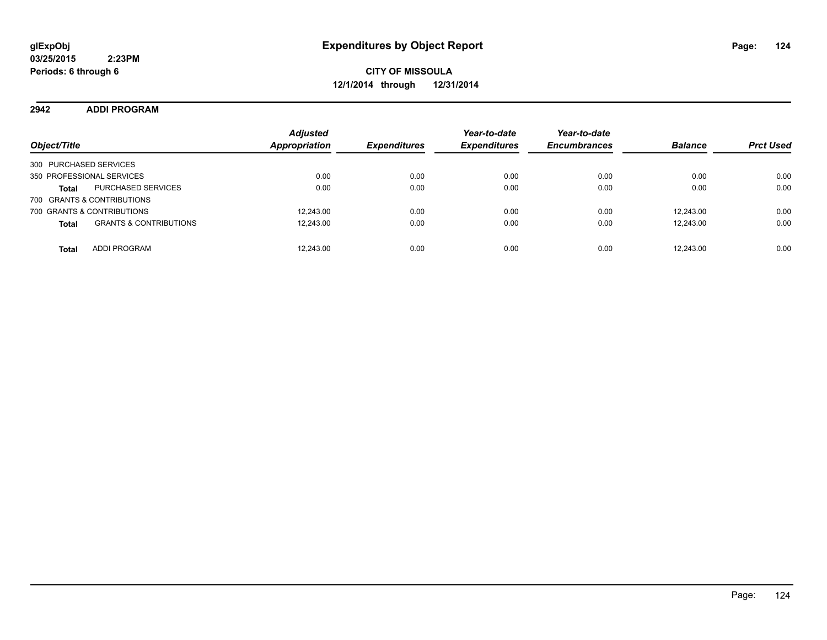#### **2942 ADDI PROGRAM**

| Object/Title                                      | <b>Adjusted</b><br><b>Appropriation</b> | <b>Expenditures</b> | Year-to-date<br><b>Expenditures</b> | Year-to-date<br><b>Encumbrances</b> | <b>Balance</b> | <b>Prct Used</b> |
|---------------------------------------------------|-----------------------------------------|---------------------|-------------------------------------|-------------------------------------|----------------|------------------|
| 300 PURCHASED SERVICES                            |                                         |                     |                                     |                                     |                |                  |
| 350 PROFESSIONAL SERVICES                         | 0.00                                    | 0.00                | 0.00                                | 0.00                                | 0.00           | 0.00             |
| <b>PURCHASED SERVICES</b><br><b>Total</b>         | 0.00                                    | 0.00                | 0.00                                | 0.00                                | 0.00           | 0.00             |
| 700 GRANTS & CONTRIBUTIONS                        |                                         |                     |                                     |                                     |                |                  |
| 700 GRANTS & CONTRIBUTIONS                        | 12.243.00                               | 0.00                | 0.00                                | 0.00                                | 12.243.00      | 0.00             |
| <b>GRANTS &amp; CONTRIBUTIONS</b><br><b>Total</b> | 12,243.00                               | 0.00                | 0.00                                | 0.00                                | 12.243.00      | 0.00             |
| <b>ADDI PROGRAM</b><br><b>Total</b>               | 12,243.00                               | 0.00                | 0.00                                | 0.00                                | 12.243.00      | 0.00             |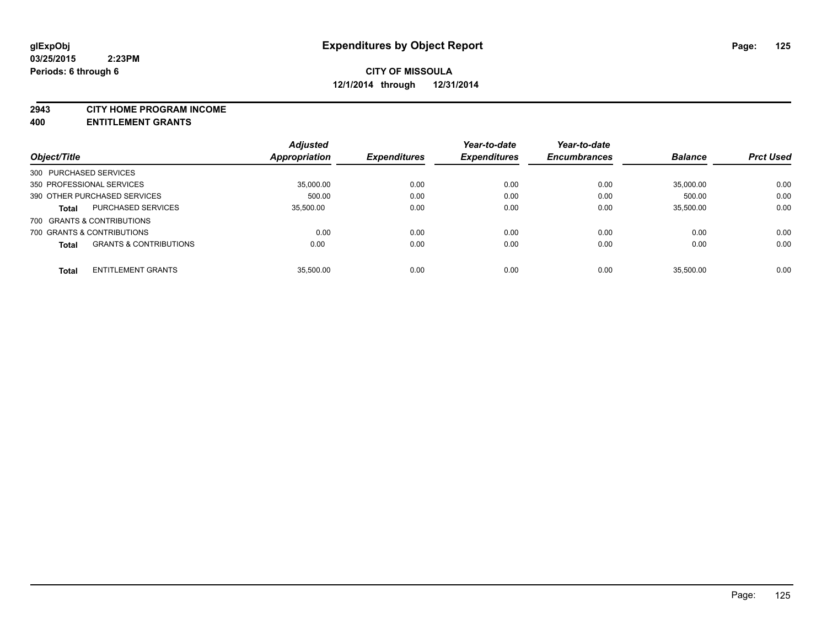#### **2943 CITY HOME PROGRAM INCOME**

**400 ENTITLEMENT GRANTS**

|                        |                                   | <b>Adjusted</b> |                     | Year-to-date        | Year-to-date        |                |                  |
|------------------------|-----------------------------------|-----------------|---------------------|---------------------|---------------------|----------------|------------------|
| Object/Title           |                                   | Appropriation   | <b>Expenditures</b> | <b>Expenditures</b> | <b>Encumbrances</b> | <b>Balance</b> | <b>Prct Used</b> |
| 300 PURCHASED SERVICES |                                   |                 |                     |                     |                     |                |                  |
|                        | 350 PROFESSIONAL SERVICES         | 35.000.00       | 0.00                | 0.00                | 0.00                | 35.000.00      | 0.00             |
|                        | 390 OTHER PURCHASED SERVICES      | 500.00          | 0.00                | 0.00                | 0.00                | 500.00         | 0.00             |
| <b>Total</b>           | <b>PURCHASED SERVICES</b>         | 35.500.00       | 0.00                | 0.00                | 0.00                | 35.500.00      | 0.00             |
|                        | 700 GRANTS & CONTRIBUTIONS        |                 |                     |                     |                     |                |                  |
|                        | 700 GRANTS & CONTRIBUTIONS        | 0.00            | 0.00                | 0.00                | 0.00                | 0.00           | 0.00             |
| <b>Total</b>           | <b>GRANTS &amp; CONTRIBUTIONS</b> | 0.00            | 0.00                | 0.00                | 0.00                | 0.00           | 0.00             |
| <b>Total</b>           | <b>ENTITLEMENT GRANTS</b>         | 35.500.00       | 0.00                | 0.00                | 0.00                | 35.500.00      | 0.00             |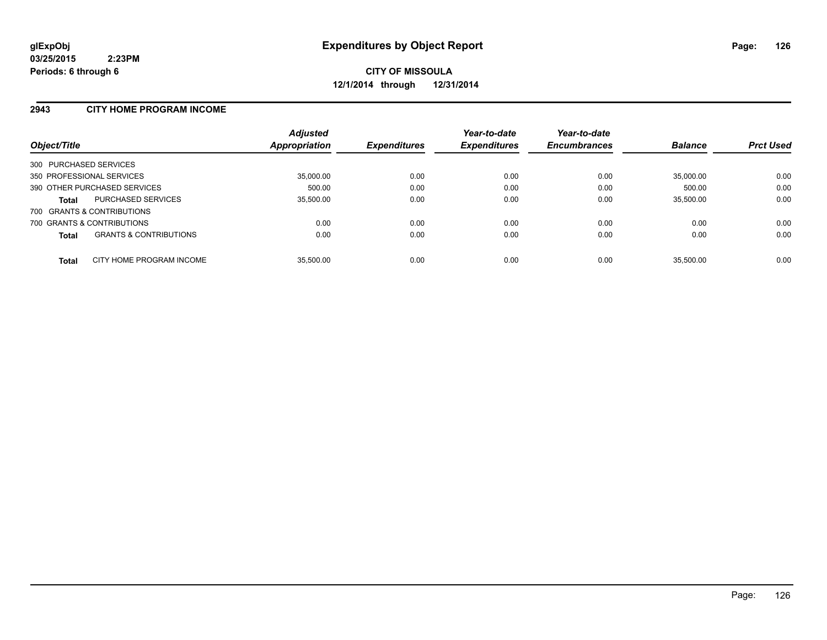#### **2943 CITY HOME PROGRAM INCOME**

| Object/Title                                      | <b>Adjusted</b><br>Appropriation | <b>Expenditures</b> | Year-to-date<br><b>Expenditures</b> | Year-to-date<br><b>Encumbrances</b> | <b>Balance</b> | <b>Prct Used</b> |
|---------------------------------------------------|----------------------------------|---------------------|-------------------------------------|-------------------------------------|----------------|------------------|
| 300 PURCHASED SERVICES                            |                                  |                     |                                     |                                     |                |                  |
| 350 PROFESSIONAL SERVICES                         | 35,000.00                        | 0.00                | 0.00                                | 0.00                                | 35.000.00      | 0.00             |
| 390 OTHER PURCHASED SERVICES                      | 500.00                           | 0.00                | 0.00                                | 0.00                                | 500.00         | 0.00             |
| <b>PURCHASED SERVICES</b><br><b>Total</b>         | 35,500.00                        | 0.00                | 0.00                                | 0.00                                | 35,500.00      | 0.00             |
| 700 GRANTS & CONTRIBUTIONS                        |                                  |                     |                                     |                                     |                |                  |
| 700 GRANTS & CONTRIBUTIONS                        | 0.00                             | 0.00                | 0.00                                | 0.00                                | 0.00           | 0.00             |
| <b>GRANTS &amp; CONTRIBUTIONS</b><br><b>Total</b> | 0.00                             | 0.00                | 0.00                                | 0.00                                | 0.00           | 0.00             |
| CITY HOME PROGRAM INCOME<br><b>Total</b>          | 35.500.00                        | 0.00                | 0.00                                | 0.00                                | 35.500.00      | 0.00             |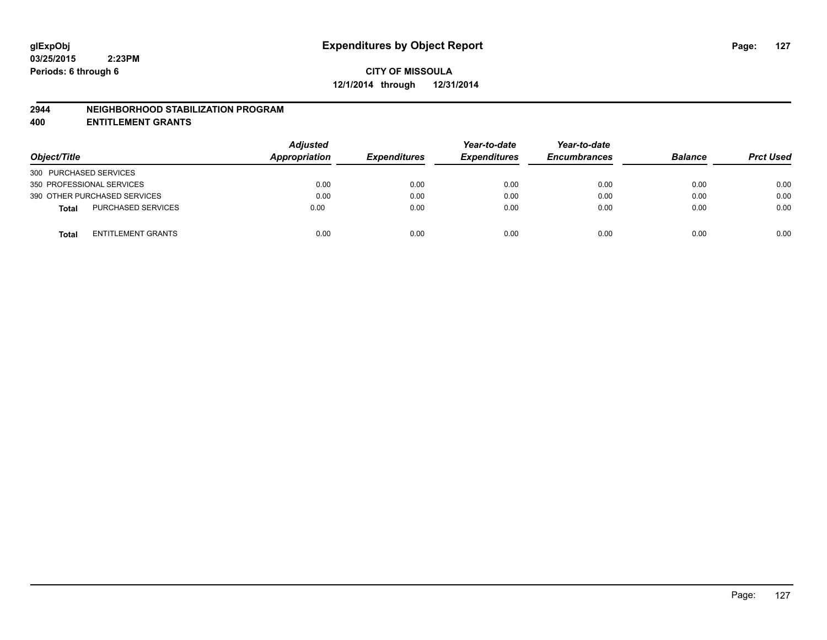#### **2944 NEIGHBORHOOD STABILIZATION PROGRAM**

**400 ENTITLEMENT GRANTS**

| Object/Title                              | <b>Adjusted</b><br>Appropriation | <b>Expenditures</b> | Year-to-date<br><b>Expenditures</b> | Year-to-date<br><b>Encumbrances</b> | <b>Balance</b> | <b>Prct Used</b> |
|-------------------------------------------|----------------------------------|---------------------|-------------------------------------|-------------------------------------|----------------|------------------|
| 300 PURCHASED SERVICES                    |                                  |                     |                                     |                                     |                |                  |
| 350 PROFESSIONAL SERVICES                 | 0.00                             | 0.00                | 0.00                                | 0.00                                | 0.00           | 0.00             |
| 390 OTHER PURCHASED SERVICES              | 0.00                             | 0.00                | 0.00                                | 0.00                                | 0.00           | 0.00             |
| <b>PURCHASED SERVICES</b><br><b>Total</b> | 0.00                             | 0.00                | 0.00                                | 0.00                                | 0.00           | 0.00             |
| ENTITLEMENT GRANTS<br><b>Total</b>        | 0.00                             | 0.00                | 0.00                                | 0.00                                | 0.00           | 0.00             |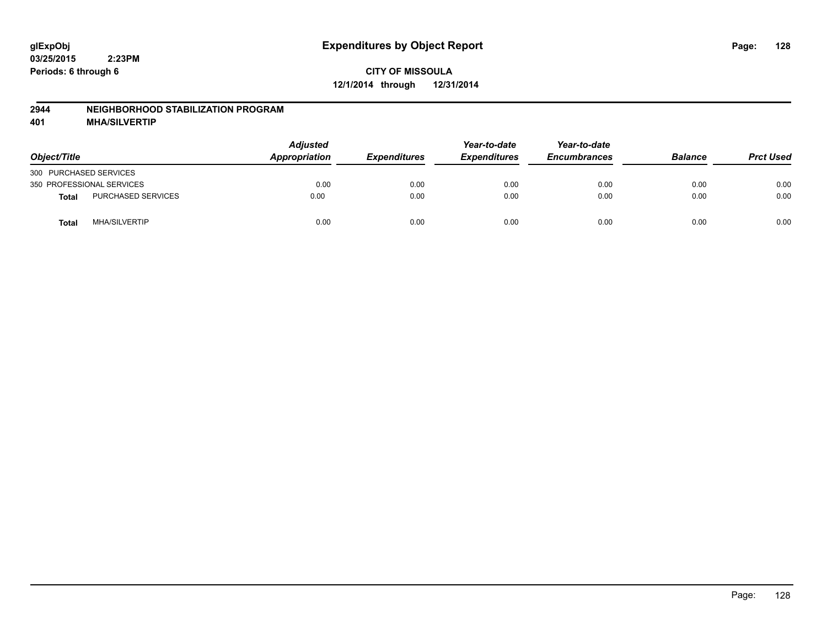#### **2944 NEIGHBORHOOD STABILIZATION PROGRAM**

**401 MHA/SILVERTIP**

| Object/Title              |                      | <b>Adjusted</b><br>Appropriation | <b>Expenditures</b> | Year-to-date<br><b>Expenditures</b> | Year-to-date<br><b>Encumbrances</b> | <b>Balance</b> | <b>Prct Used</b> |
|---------------------------|----------------------|----------------------------------|---------------------|-------------------------------------|-------------------------------------|----------------|------------------|
| 300 PURCHASED SERVICES    |                      |                                  |                     |                                     |                                     |                |                  |
| 350 PROFESSIONAL SERVICES |                      | 0.00                             | 0.00                | 0.00                                | 0.00                                | 0.00           | 0.00             |
| <b>Total</b>              | PURCHASED SERVICES   | 0.00                             | 0.00                | 0.00                                | 0.00                                | 0.00           | 0.00             |
| <b>Total</b>              | <b>MHA/SILVERTIP</b> | 0.00                             | 0.00                | 0.00                                | 0.00                                | 0.00           | 0.00             |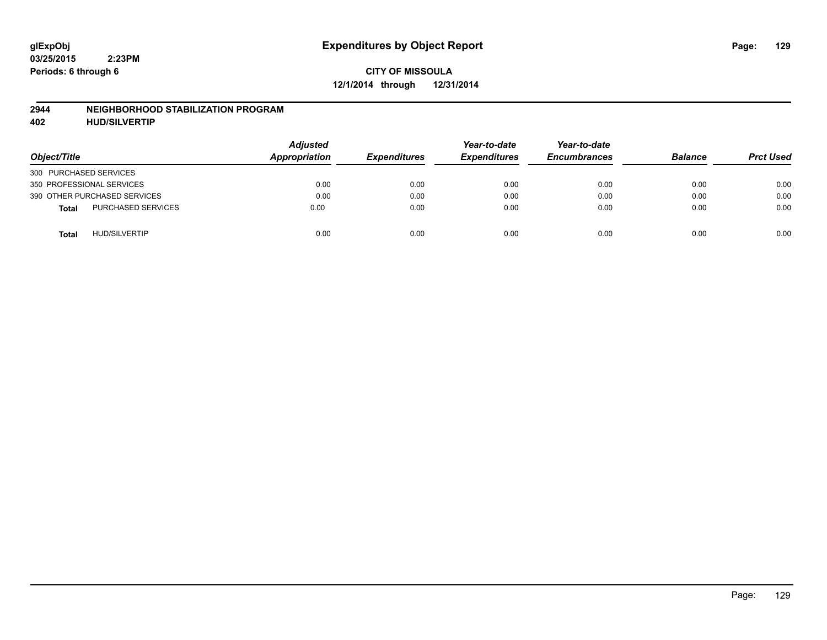#### **2944 NEIGHBORHOOD STABILIZATION PROGRAM**

**402 HUD/SILVERTIP**

| Object/Title                              | <b>Adjusted</b><br>Appropriation | <b>Expenditures</b> | Year-to-date<br><b>Expenditures</b> | Year-to-date<br><b>Encumbrances</b> | <b>Balance</b> | <b>Prct Used</b> |
|-------------------------------------------|----------------------------------|---------------------|-------------------------------------|-------------------------------------|----------------|------------------|
| 300 PURCHASED SERVICES                    |                                  |                     |                                     |                                     |                |                  |
| 350 PROFESSIONAL SERVICES                 | 0.00                             | 0.00                | 0.00                                | 0.00                                | 0.00           | 0.00             |
| 390 OTHER PURCHASED SERVICES              | 0.00                             | 0.00                | 0.00                                | 0.00                                | 0.00           | 0.00             |
| <b>PURCHASED SERVICES</b><br><b>Total</b> | 0.00                             | 0.00                | 0.00                                | 0.00                                | 0.00           | 0.00             |
| <b>HUD/SILVERTIP</b><br><b>Total</b>      | 0.00                             | 0.00                | 0.00                                | 0.00                                | 0.00           | 0.00             |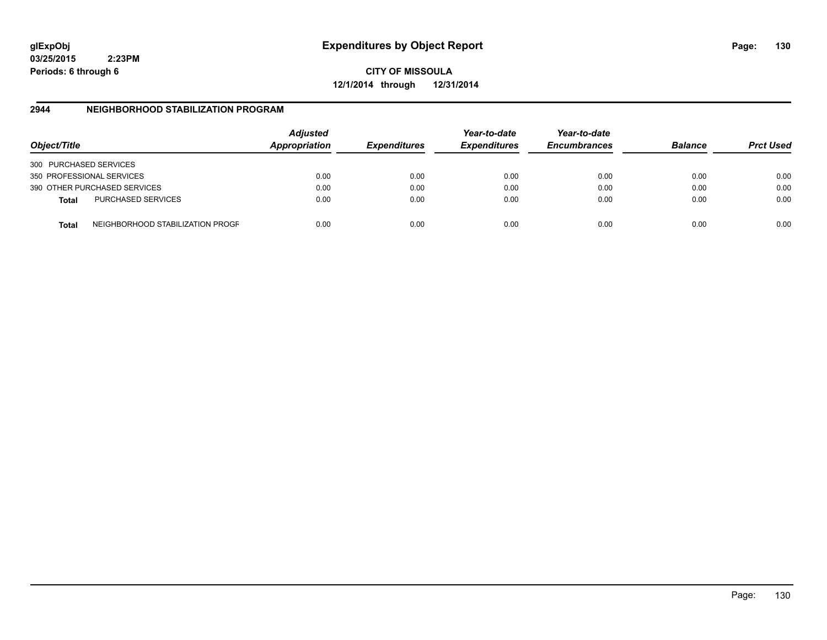**03/25/2015 2:23PM Periods: 6 through 6**

**CITY OF MISSOULA 12/1/2014 through 12/31/2014**

#### **2944 NEIGHBORHOOD STABILIZATION PROGRAM**

| Object/Title           |                                  | <b>Adjusted</b><br>Appropriation | <b>Expenditures</b> | Year-to-date<br><b>Expenditures</b> | Year-to-date<br><b>Encumbrances</b> | <b>Balance</b> | <b>Prct Used</b> |
|------------------------|----------------------------------|----------------------------------|---------------------|-------------------------------------|-------------------------------------|----------------|------------------|
| 300 PURCHASED SERVICES |                                  |                                  |                     |                                     |                                     |                |                  |
|                        | 350 PROFESSIONAL SERVICES        | 0.00                             | 0.00                | 0.00                                | 0.00                                | 0.00           | 0.00             |
|                        | 390 OTHER PURCHASED SERVICES     | 0.00                             | 0.00                | 0.00                                | 0.00                                | 0.00           | 0.00             |
| <b>Total</b>           | <b>PURCHASED SERVICES</b>        | 0.00                             | 0.00                | 0.00                                | 0.00                                | 0.00           | 0.00             |
| Total                  | NEIGHBORHOOD STABILIZATION PROGF | 0.00                             | 0.00                | 0.00                                | 0.00                                | 0.00           | 0.00             |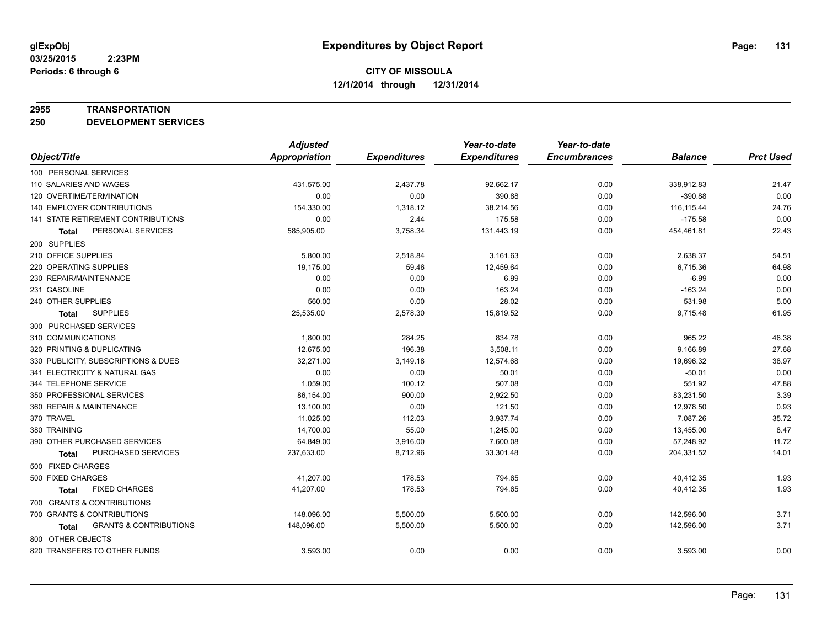#### **2955 TRANSPORTATION**

**250 DEVELOPMENT SERVICES**

|                                                   | <b>Adjusted</b>      |                     | Year-to-date        | Year-to-date        |                |                  |
|---------------------------------------------------|----------------------|---------------------|---------------------|---------------------|----------------|------------------|
| Object/Title                                      | <b>Appropriation</b> | <b>Expenditures</b> | <b>Expenditures</b> | <b>Encumbrances</b> | <b>Balance</b> | <b>Prct Used</b> |
| 100 PERSONAL SERVICES                             |                      |                     |                     |                     |                |                  |
| 110 SALARIES AND WAGES                            | 431,575.00           | 2,437.78            | 92,662.17           | 0.00                | 338,912.83     | 21.47            |
| 120 OVERTIME/TERMINATION                          | 0.00                 | 0.00                | 390.88              | 0.00                | $-390.88$      | 0.00             |
| <b>140 EMPLOYER CONTRIBUTIONS</b>                 | 154,330.00           | 1,318.12            | 38,214.56           | 0.00                | 116, 115.44    | 24.76            |
| 141 STATE RETIREMENT CONTRIBUTIONS                | 0.00                 | 2.44                | 175.58              | 0.00                | $-175.58$      | 0.00             |
| PERSONAL SERVICES<br><b>Total</b>                 | 585,905.00           | 3,758.34            | 131,443.19          | 0.00                | 454,461.81     | 22.43            |
| 200 SUPPLIES                                      |                      |                     |                     |                     |                |                  |
| 210 OFFICE SUPPLIES                               | 5,800.00             | 2,518.84            | 3,161.63            | 0.00                | 2,638.37       | 54.51            |
| 220 OPERATING SUPPLIES                            | 19,175.00            | 59.46               | 12,459.64           | 0.00                | 6,715.36       | 64.98            |
| 230 REPAIR/MAINTENANCE                            | 0.00                 | 0.00                | 6.99                | 0.00                | $-6.99$        | 0.00             |
| 231 GASOLINE                                      | 0.00                 | 0.00                | 163.24              | 0.00                | $-163.24$      | 0.00             |
| 240 OTHER SUPPLIES                                | 560.00               | 0.00                | 28.02               | 0.00                | 531.98         | 5.00             |
| <b>SUPPLIES</b><br><b>Total</b>                   | 25,535.00            | 2,578.30            | 15,819.52           | 0.00                | 9,715.48       | 61.95            |
| 300 PURCHASED SERVICES                            |                      |                     |                     |                     |                |                  |
| 310 COMMUNICATIONS                                | 1,800.00             | 284.25              | 834.78              | 0.00                | 965.22         | 46.38            |
| 320 PRINTING & DUPLICATING                        | 12,675.00            | 196.38              | 3,508.11            | 0.00                | 9,166.89       | 27.68            |
| 330 PUBLICITY, SUBSCRIPTIONS & DUES               | 32,271.00            | 3,149.18            | 12,574.68           | 0.00                | 19,696.32      | 38.97            |
| 341 ELECTRICITY & NATURAL GAS                     | 0.00                 | 0.00                | 50.01               | 0.00                | $-50.01$       | 0.00             |
| 344 TELEPHONE SERVICE                             | 1,059.00             | 100.12              | 507.08              | 0.00                | 551.92         | 47.88            |
| 350 PROFESSIONAL SERVICES                         | 86,154.00            | 900.00              | 2,922.50            | 0.00                | 83,231.50      | 3.39             |
| 360 REPAIR & MAINTENANCE                          | 13,100.00            | 0.00                | 121.50              | 0.00                | 12,978.50      | 0.93             |
| 370 TRAVEL                                        | 11,025.00            | 112.03              | 3,937.74            | 0.00                | 7,087.26       | 35.72            |
| 380 TRAINING                                      | 14,700.00            | 55.00               | 1,245.00            | 0.00                | 13,455.00      | 8.47             |
| 390 OTHER PURCHASED SERVICES                      | 64,849.00            | 3,916.00            | 7,600.08            | 0.00                | 57,248.92      | 11.72            |
| PURCHASED SERVICES<br><b>Total</b>                | 237,633.00           | 8,712.96            | 33,301.48           | 0.00                | 204,331.52     | 14.01            |
| 500 FIXED CHARGES                                 |                      |                     |                     |                     |                |                  |
| 500 FIXED CHARGES                                 | 41,207.00            | 178.53              | 794.65              | 0.00                | 40,412.35      | 1.93             |
| <b>FIXED CHARGES</b><br><b>Total</b>              | 41,207.00            | 178.53              | 794.65              | 0.00                | 40,412.35      | 1.93             |
| 700 GRANTS & CONTRIBUTIONS                        |                      |                     |                     |                     |                |                  |
| 700 GRANTS & CONTRIBUTIONS                        | 148,096.00           | 5,500.00            | 5,500.00            | 0.00                | 142,596.00     | 3.71             |
| <b>GRANTS &amp; CONTRIBUTIONS</b><br><b>Total</b> | 148,096.00           | 5,500.00            | 5,500.00            | 0.00                | 142,596.00     | 3.71             |
| 800 OTHER OBJECTS                                 |                      |                     |                     |                     |                |                  |
| 820 TRANSFERS TO OTHER FUNDS                      | 3,593.00             | 0.00                | 0.00                | 0.00                | 3,593.00       | 0.00             |
|                                                   |                      |                     |                     |                     |                |                  |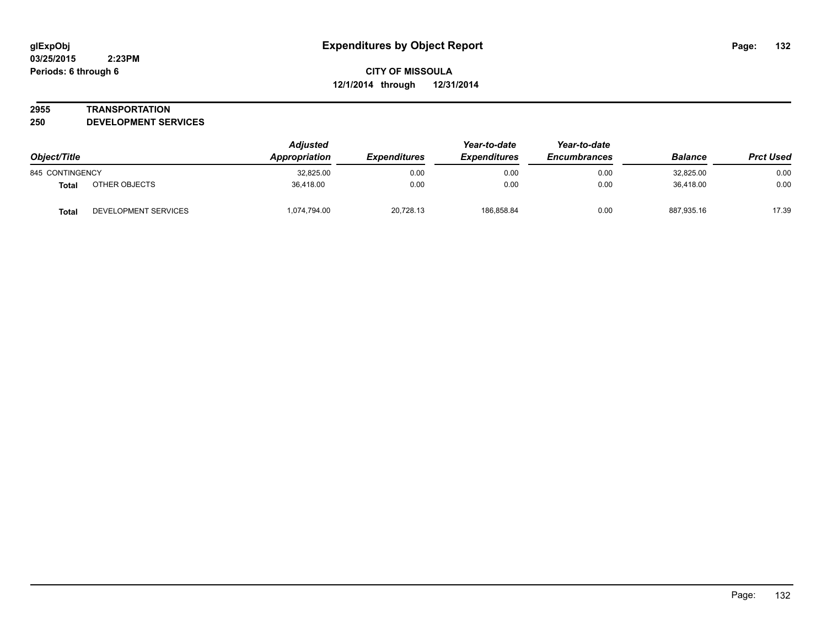#### **2955 TRANSPORTATION**

**250 DEVELOPMENT SERVICES**

| Object/Title    |                      | <b>Adjusted</b><br>Appropriation | <b>Expenditures</b> | Year-to-date<br><b>Expenditures</b> | Year-to-date<br><b>Encumbrances</b> | <b>Balance</b> | <b>Prct Used</b> |
|-----------------|----------------------|----------------------------------|---------------------|-------------------------------------|-------------------------------------|----------------|------------------|
| 845 CONTINGENCY |                      | 32,825.00                        | 0.00                | 0.00                                | 0.00                                | 32,825.00      | 0.00             |
| <b>Total</b>    | OTHER OBJECTS        | 36.418.00                        | 0.00                | 0.00                                | 0.00                                | 36.418.00      | 0.00             |
| <b>Total</b>    | DEVELOPMENT SERVICES | 1,074,794.00                     | 20,728.13           | 186.858.84                          | 0.00                                | 887,935.16     | 17.39            |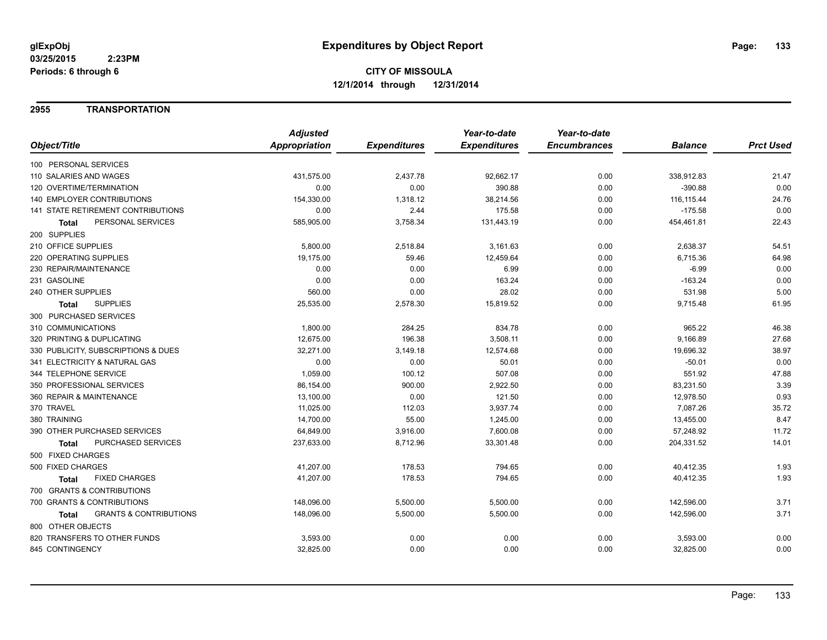#### **2955 TRANSPORTATION**

|                                                   | <b>Adjusted</b> |                     | Year-to-date        | Year-to-date        |                |                  |
|---------------------------------------------------|-----------------|---------------------|---------------------|---------------------|----------------|------------------|
| Object/Title                                      | Appropriation   | <b>Expenditures</b> | <b>Expenditures</b> | <b>Encumbrances</b> | <b>Balance</b> | <b>Prct Used</b> |
| 100 PERSONAL SERVICES                             |                 |                     |                     |                     |                |                  |
| 110 SALARIES AND WAGES                            | 431,575.00      | 2,437.78            | 92,662.17           | 0.00                | 338,912.83     | 21.47            |
| 120 OVERTIME/TERMINATION                          | 0.00            | 0.00                | 390.88              | 0.00                | $-390.88$      | 0.00             |
| 140 EMPLOYER CONTRIBUTIONS                        | 154,330.00      | 1,318.12            | 38,214.56           | 0.00                | 116, 115.44    | 24.76            |
| <b>141 STATE RETIREMENT CONTRIBUTIONS</b>         | 0.00            | 2.44                | 175.58              | 0.00                | $-175.58$      | 0.00             |
| PERSONAL SERVICES<br>Total                        | 585,905.00      | 3,758.34            | 131,443.19          | 0.00                | 454,461.81     | 22.43            |
| 200 SUPPLIES                                      |                 |                     |                     |                     |                |                  |
| 210 OFFICE SUPPLIES                               | 5,800.00        | 2,518.84            | 3,161.63            | 0.00                | 2,638.37       | 54.51            |
| 220 OPERATING SUPPLIES                            | 19,175.00       | 59.46               | 12,459.64           | 0.00                | 6,715.36       | 64.98            |
| 230 REPAIR/MAINTENANCE                            | 0.00            | 0.00                | 6.99                | 0.00                | $-6.99$        | 0.00             |
| 231 GASOLINE                                      | 0.00            | 0.00                | 163.24              | 0.00                | $-163.24$      | 0.00             |
| 240 OTHER SUPPLIES                                | 560.00          | 0.00                | 28.02               | 0.00                | 531.98         | 5.00             |
| <b>SUPPLIES</b><br><b>Total</b>                   | 25,535.00       | 2,578.30            | 15,819.52           | 0.00                | 9,715.48       | 61.95            |
| 300 PURCHASED SERVICES                            |                 |                     |                     |                     |                |                  |
| 310 COMMUNICATIONS                                | 1,800.00        | 284.25              | 834.78              | 0.00                | 965.22         | 46.38            |
| 320 PRINTING & DUPLICATING                        | 12,675.00       | 196.38              | 3,508.11            | 0.00                | 9,166.89       | 27.68            |
| 330 PUBLICITY, SUBSCRIPTIONS & DUES               | 32,271.00       | 3,149.18            | 12,574.68           | 0.00                | 19,696.32      | 38.97            |
| 341 ELECTRICITY & NATURAL GAS                     | 0.00            | 0.00                | 50.01               | 0.00                | $-50.01$       | 0.00             |
| 344 TELEPHONE SERVICE                             | 1,059.00        | 100.12              | 507.08              | 0.00                | 551.92         | 47.88            |
| 350 PROFESSIONAL SERVICES                         | 86,154.00       | 900.00              | 2,922.50            | 0.00                | 83,231.50      | 3.39             |
| 360 REPAIR & MAINTENANCE                          | 13,100.00       | 0.00                | 121.50              | 0.00                | 12,978.50      | 0.93             |
| 370 TRAVEL                                        | 11,025.00       | 112.03              | 3,937.74            | 0.00                | 7,087.26       | 35.72            |
| 380 TRAINING                                      | 14,700.00       | 55.00               | 1,245.00            | 0.00                | 13,455.00      | 8.47             |
| 390 OTHER PURCHASED SERVICES                      | 64,849.00       | 3,916.00            | 7,600.08            | 0.00                | 57,248.92      | 11.72            |
| PURCHASED SERVICES<br><b>Total</b>                | 237,633.00      | 8,712.96            | 33,301.48           | 0.00                | 204,331.52     | 14.01            |
| 500 FIXED CHARGES                                 |                 |                     |                     |                     |                |                  |
| 500 FIXED CHARGES                                 | 41,207.00       | 178.53              | 794.65              | 0.00                | 40,412.35      | 1.93             |
| <b>FIXED CHARGES</b><br><b>Total</b>              | 41,207.00       | 178.53              | 794.65              | 0.00                | 40,412.35      | 1.93             |
| 700 GRANTS & CONTRIBUTIONS                        |                 |                     |                     |                     |                |                  |
| 700 GRANTS & CONTRIBUTIONS                        | 148,096.00      | 5,500.00            | 5,500.00            | 0.00                | 142,596.00     | 3.71             |
| <b>GRANTS &amp; CONTRIBUTIONS</b><br><b>Total</b> | 148,096.00      | 5,500.00            | 5,500.00            | 0.00                | 142,596.00     | 3.71             |
| 800 OTHER OBJECTS                                 |                 |                     |                     |                     |                |                  |
| 820 TRANSFERS TO OTHER FUNDS                      | 3,593.00        | 0.00                | 0.00                | 0.00                | 3,593.00       | 0.00             |
| 845 CONTINGENCY                                   | 32,825.00       | 0.00                | 0.00                | 0.00                | 32,825.00      | 0.00             |
|                                                   |                 |                     |                     |                     |                |                  |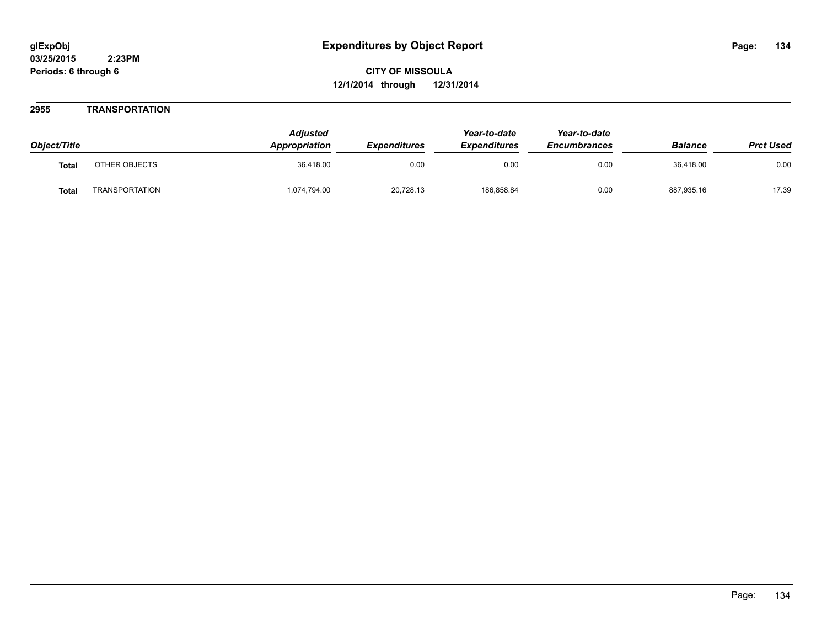#### **2955 TRANSPORTATION**

| Object/Title |                       | <b>Adjusted</b><br><b>Appropriation</b> | <b>Expenditures</b> | Year-to-date<br><b>Expenditures</b> | Year-to-date<br><b>Encumbrances</b> | <b>Balance</b> | <b>Prct Used</b> |
|--------------|-----------------------|-----------------------------------------|---------------------|-------------------------------------|-------------------------------------|----------------|------------------|
| <b>Total</b> | OTHER OBJECTS         | 36.418.00                               | 0.00                | 0.00                                | 0.00                                | 36.418.00      | 0.00             |
| <b>Total</b> | <b>TRANSPORTATION</b> | 1,074,794.00                            | 20,728.13           | 186,858.84                          | 0.00                                | 887,935.16     | 17.39            |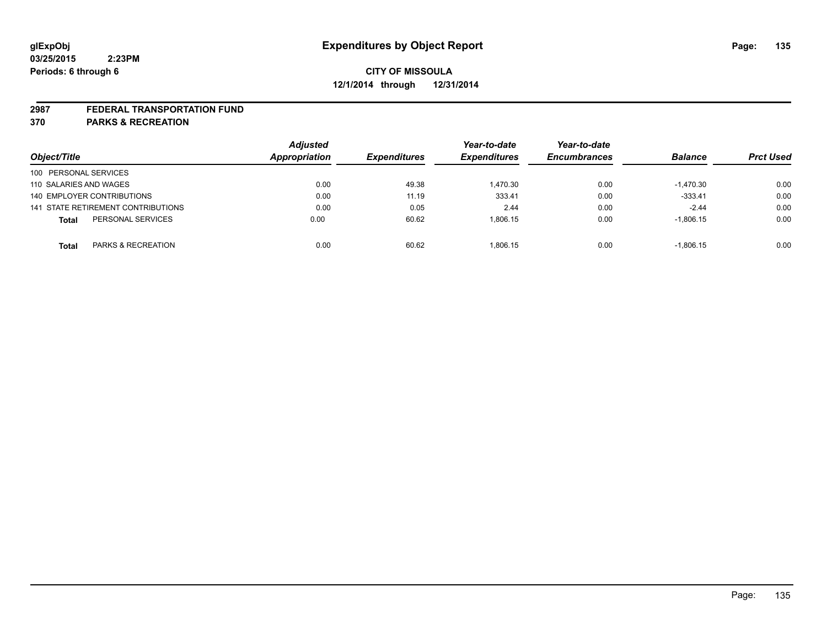#### **2987 FEDERAL TRANSPORTATION FUND**

**370 PARKS & RECREATION**

|                                    | <b>Adjusted</b> |                     | Year-to-date        | Year-to-date        |                |                  |
|------------------------------------|-----------------|---------------------|---------------------|---------------------|----------------|------------------|
| Object/Title                       | Appropriation   | <b>Expenditures</b> | <b>Expenditures</b> | <b>Encumbrances</b> | <b>Balance</b> | <b>Prct Used</b> |
| 100 PERSONAL SERVICES              |                 |                     |                     |                     |                |                  |
| 110 SALARIES AND WAGES             | 0.00            | 49.38               | 1.470.30            | 0.00                | $-1.470.30$    | 0.00             |
| 140 EMPLOYER CONTRIBUTIONS         | 0.00            | 11.19               | 333.41              | 0.00                | $-333.41$      | 0.00             |
| 141 STATE RETIREMENT CONTRIBUTIONS | 0.00            | 0.05                | 2.44                | 0.00                | $-2.44$        | 0.00             |
| PERSONAL SERVICES<br><b>Total</b>  | 0.00            | 60.62               | 1.806.15            | 0.00                | $-1,806.15$    | 0.00             |
| PARKS & RECREATION<br><b>Total</b> | 0.00            | 60.62               | 1.806.15            | 0.00                | $-1.806.15$    | 0.00             |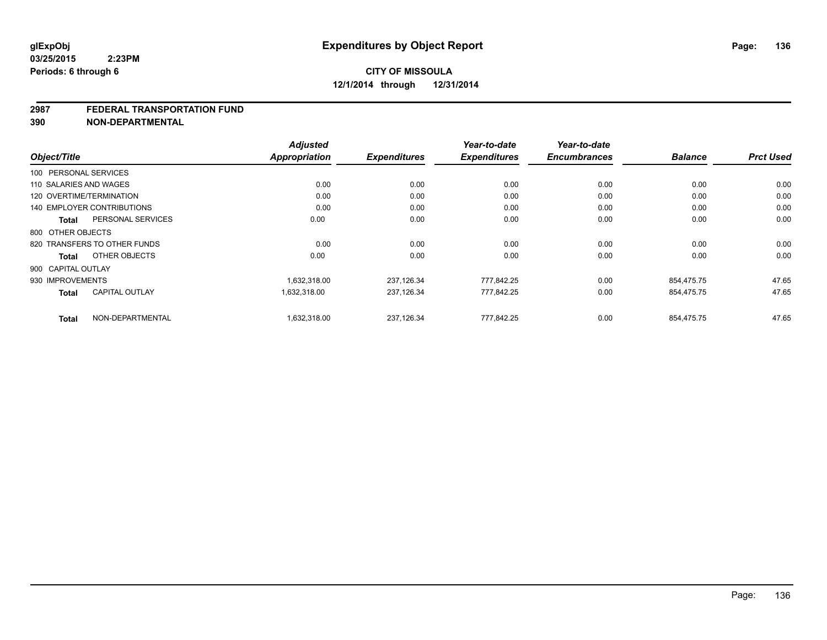#### **2987 FEDERAL TRANSPORTATION FUND**

**390 NON-DEPARTMENTAL**

|                                       | <b>Adjusted</b> |                     | Year-to-date        | Year-to-date        |                |                  |
|---------------------------------------|-----------------|---------------------|---------------------|---------------------|----------------|------------------|
| Object/Title                          | Appropriation   | <b>Expenditures</b> | <b>Expenditures</b> | <b>Encumbrances</b> | <b>Balance</b> | <b>Prct Used</b> |
| 100 PERSONAL SERVICES                 |                 |                     |                     |                     |                |                  |
| 110 SALARIES AND WAGES                | 0.00            | 0.00                | 0.00                | 0.00                | 0.00           | 0.00             |
| 120 OVERTIME/TERMINATION              | 0.00            | 0.00                | 0.00                | 0.00                | 0.00           | 0.00             |
| <b>140 EMPLOYER CONTRIBUTIONS</b>     | 0.00            | 0.00                | 0.00                | 0.00                | 0.00           | 0.00             |
| PERSONAL SERVICES<br><b>Total</b>     | 0.00            | 0.00                | 0.00                | 0.00                | 0.00           | 0.00             |
| 800 OTHER OBJECTS                     |                 |                     |                     |                     |                |                  |
| 820 TRANSFERS TO OTHER FUNDS          | 0.00            | 0.00                | 0.00                | 0.00                | 0.00           | 0.00             |
| OTHER OBJECTS<br><b>Total</b>         | 0.00            | 0.00                | 0.00                | 0.00                | 0.00           | 0.00             |
| 900 CAPITAL OUTLAY                    |                 |                     |                     |                     |                |                  |
| 930 IMPROVEMENTS                      | 1,632,318.00    | 237,126.34          | 777,842.25          | 0.00                | 854.475.75     | 47.65            |
| <b>CAPITAL OUTLAY</b><br><b>Total</b> | 1,632,318.00    | 237,126.34          | 777,842.25          | 0.00                | 854,475.75     | 47.65            |
| NON-DEPARTMENTAL<br><b>Total</b>      | 1.632.318.00    | 237,126.34          | 777.842.25          | 0.00                | 854.475.75     | 47.65            |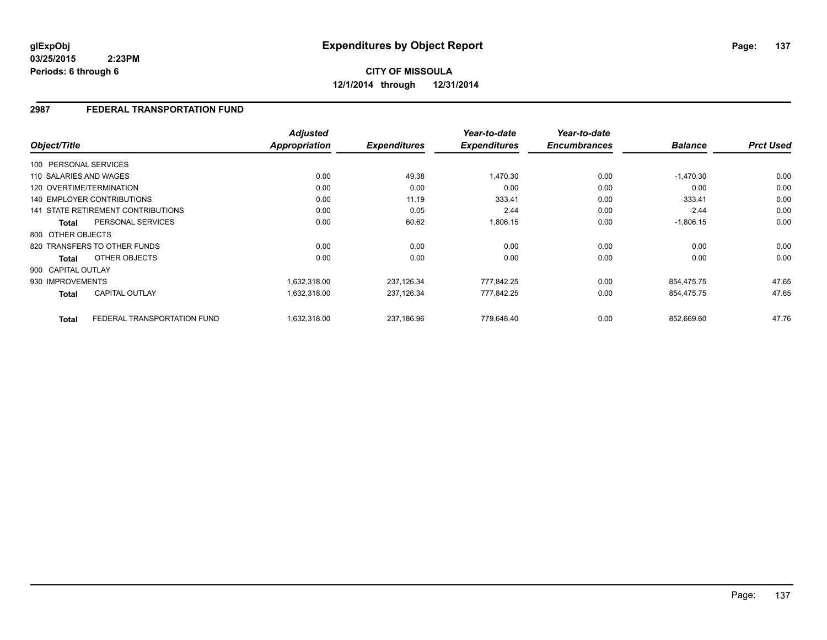**03/25/2015 2:23PM Periods: 6 through 6**

# **CITY OF MISSOULA 12/1/2014 through 12/31/2014**

#### **2987 FEDERAL TRANSPORTATION FUND**

|                        |                                    | <b>Adjusted</b>      |                     | Year-to-date        | Year-to-date<br><b>Encumbrances</b> |                | <b>Prct Used</b> |
|------------------------|------------------------------------|----------------------|---------------------|---------------------|-------------------------------------|----------------|------------------|
| Object/Title           |                                    | <b>Appropriation</b> | <b>Expenditures</b> | <b>Expenditures</b> |                                     | <b>Balance</b> |                  |
| 100 PERSONAL SERVICES  |                                    |                      |                     |                     |                                     |                |                  |
| 110 SALARIES AND WAGES |                                    | 0.00                 | 49.38               | 1,470.30            | 0.00                                | $-1,470.30$    | 0.00             |
|                        | 120 OVERTIME/TERMINATION           | 0.00                 | 0.00                | 0.00                | 0.00                                | 0.00           | 0.00             |
|                        | <b>140 EMPLOYER CONTRIBUTIONS</b>  | 0.00                 | 11.19               | 333.41              | 0.00                                | $-333.41$      | 0.00             |
|                        | 141 STATE RETIREMENT CONTRIBUTIONS | 0.00                 | 0.05                | 2.44                | 0.00                                | $-2.44$        | 0.00             |
| <b>Total</b>           | PERSONAL SERVICES                  | 0.00                 | 60.62               | 1,806.15            | 0.00                                | $-1,806.15$    | 0.00             |
| 800 OTHER OBJECTS      |                                    |                      |                     |                     |                                     |                |                  |
|                        | 820 TRANSFERS TO OTHER FUNDS       | 0.00                 | 0.00                | 0.00                | 0.00                                | 0.00           | 0.00             |
| Total                  | OTHER OBJECTS                      | 0.00                 | 0.00                | 0.00                | 0.00                                | 0.00           | 0.00             |
| 900 CAPITAL OUTLAY     |                                    |                      |                     |                     |                                     |                |                  |
| 930 IMPROVEMENTS       |                                    | 1,632,318.00         | 237,126.34          | 777,842.25          | 0.00                                | 854,475.75     | 47.65            |
| <b>Total</b>           | <b>CAPITAL OUTLAY</b>              | 1,632,318.00         | 237,126.34          | 777,842.25          | 0.00                                | 854,475.75     | 47.65            |
| <b>Total</b>           | FEDERAL TRANSPORTATION FUND        | 1,632,318.00         | 237.186.96          | 779.648.40          | 0.00                                | 852,669.60     | 47.76            |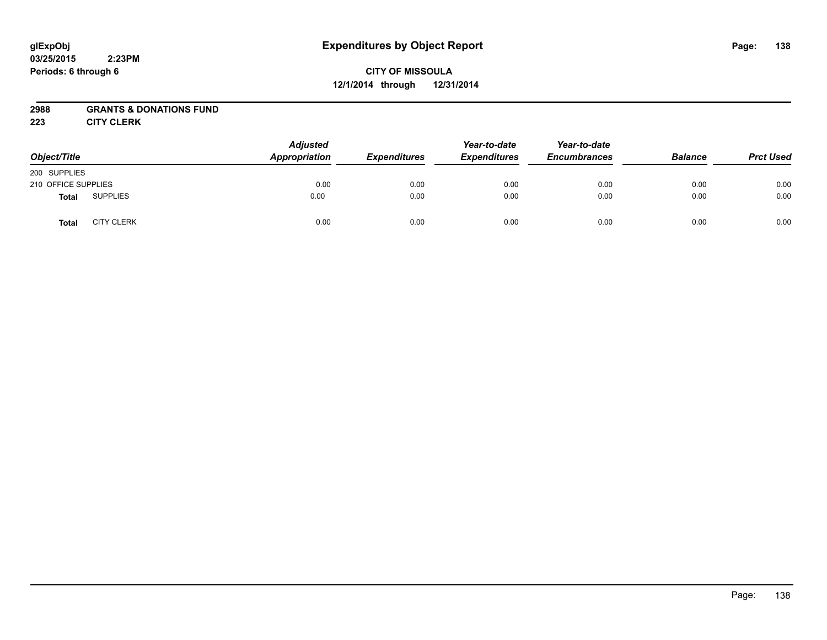#### **03/25/2015 2:23PM Periods: 6 through 6**

# **CITY OF MISSOULA 12/1/2014 through 12/31/2014**

#### **2988 GRANTS & DONATIONS FUND**

**223 CITY CLERK**

| Object/Title        |                   | <b>Adjusted</b><br><b>Appropriation</b> | <b>Expenditures</b> | Year-to-date<br><b>Expenditures</b> | Year-to-date<br><b>Encumbrances</b> | <b>Balance</b> | <b>Prct Used</b> |
|---------------------|-------------------|-----------------------------------------|---------------------|-------------------------------------|-------------------------------------|----------------|------------------|
| 200 SUPPLIES        |                   |                                         |                     |                                     |                                     |                |                  |
| 210 OFFICE SUPPLIES |                   | 0.00                                    | 0.00                | 0.00                                | 0.00                                | 0.00           | 0.00             |
| <b>Total</b>        | <b>SUPPLIES</b>   | 0.00                                    | 0.00                | 0.00                                | 0.00                                | 0.00           | 0.00             |
| <b>Total</b>        | <b>CITY CLERK</b> | 0.00                                    | 0.00                | 0.00                                | 0.00                                | 0.00           | 0.00             |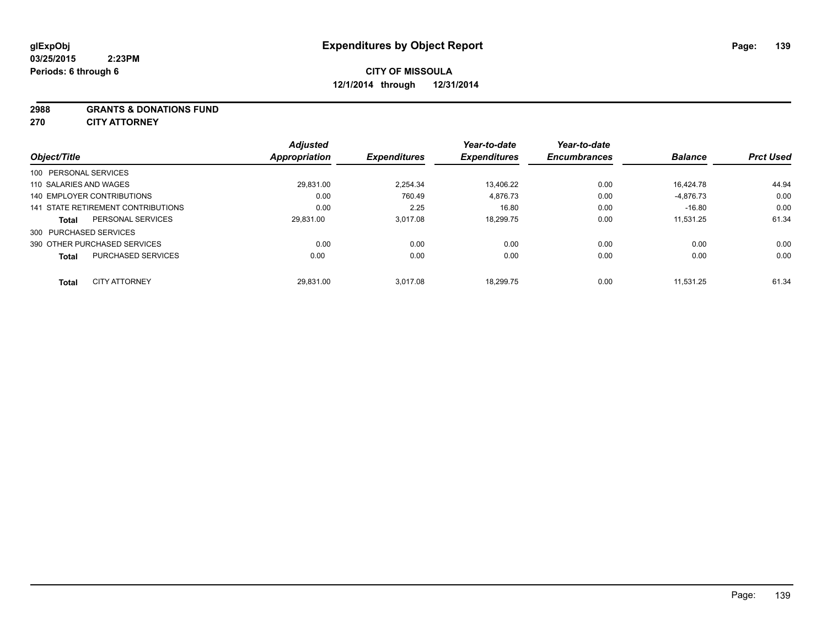**2988 GRANTS & DONATIONS FUND**

**270 CITY ATTORNEY**

|                            |                                    | <b>Adjusted</b>      |                     | Year-to-date        | Year-to-date        |                |                  |
|----------------------------|------------------------------------|----------------------|---------------------|---------------------|---------------------|----------------|------------------|
| Object/Title               |                                    | <b>Appropriation</b> | <b>Expenditures</b> | <b>Expenditures</b> | <b>Encumbrances</b> | <b>Balance</b> | <b>Prct Used</b> |
| 100 PERSONAL SERVICES      |                                    |                      |                     |                     |                     |                |                  |
| 110 SALARIES AND WAGES     |                                    | 29,831.00            | 2.254.34            | 13,406.22           | 0.00                | 16.424.78      | 44.94            |
| 140 EMPLOYER CONTRIBUTIONS |                                    | 0.00                 | 760.49              | 4.876.73            | 0.00                | $-4,876.73$    | 0.00             |
|                            | 141 STATE RETIREMENT CONTRIBUTIONS | 0.00                 | 2.25                | 16.80               | 0.00                | $-16.80$       | 0.00             |
| <b>Total</b>               | PERSONAL SERVICES                  | 29.831.00            | 3.017.08            | 18.299.75           | 0.00                | 11.531.25      | 61.34            |
| 300 PURCHASED SERVICES     |                                    |                      |                     |                     |                     |                |                  |
|                            | 390 OTHER PURCHASED SERVICES       | 0.00                 | 0.00                | 0.00                | 0.00                | 0.00           | 0.00             |
| <b>Total</b>               | <b>PURCHASED SERVICES</b>          | 0.00                 | 0.00                | 0.00                | 0.00                | 0.00           | 0.00             |
| <b>Total</b>               | <b>CITY ATTORNEY</b>               | 29.831.00            | 3.017.08            | 18.299.75           | 0.00                | 11.531.25      | 61.34            |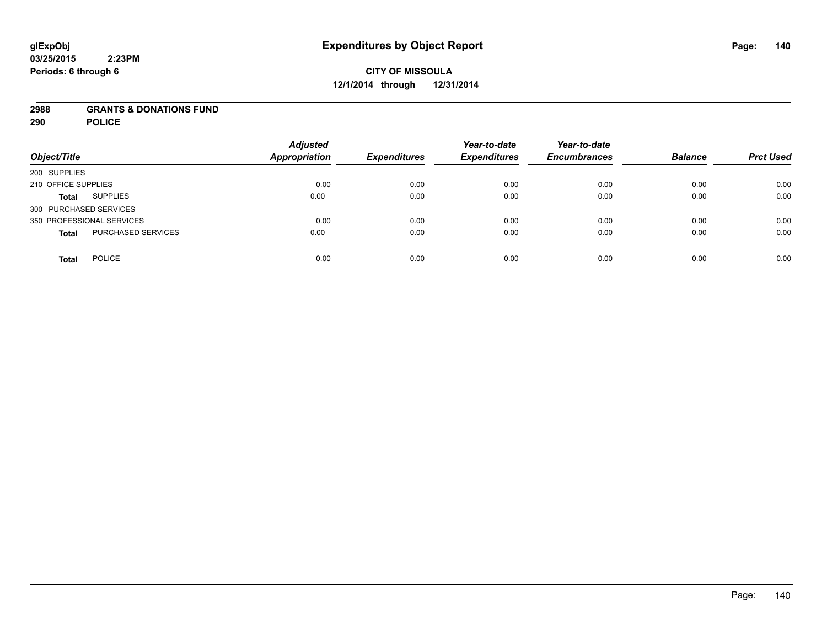#### **2988 GRANTS & DONATIONS FUND**

**290 POLICE**

| Object/Title                              | <b>Adjusted</b><br><b>Appropriation</b> | <b>Expenditures</b> | Year-to-date<br><b>Expenditures</b> | Year-to-date<br><b>Encumbrances</b> | <b>Balance</b> | <b>Prct Used</b> |
|-------------------------------------------|-----------------------------------------|---------------------|-------------------------------------|-------------------------------------|----------------|------------------|
| 200 SUPPLIES                              |                                         |                     |                                     |                                     |                |                  |
| 210 OFFICE SUPPLIES                       | 0.00                                    | 0.00                | 0.00                                | 0.00                                | 0.00           | 0.00             |
| <b>SUPPLIES</b><br><b>Total</b>           | 0.00                                    | 0.00                | 0.00                                | 0.00                                | 0.00           | 0.00             |
| 300 PURCHASED SERVICES                    |                                         |                     |                                     |                                     |                |                  |
| 350 PROFESSIONAL SERVICES                 | 0.00                                    | 0.00                | 0.00                                | 0.00                                | 0.00           | 0.00             |
| <b>PURCHASED SERVICES</b><br><b>Total</b> | 0.00                                    | 0.00                | 0.00                                | 0.00                                | 0.00           | 0.00             |
| <b>POLICE</b><br><b>Total</b>             | 0.00                                    | 0.00                | 0.00                                | 0.00                                | 0.00           | 0.00             |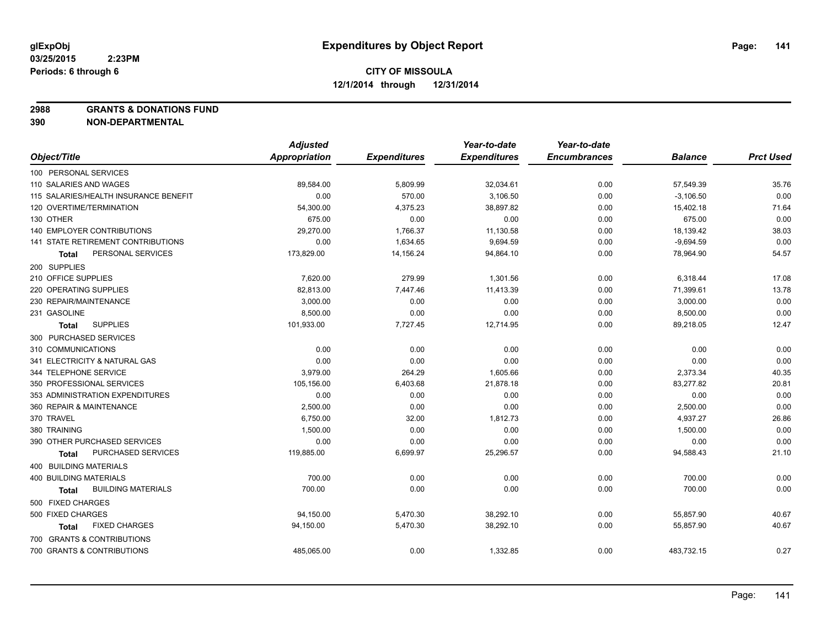**2988 GRANTS & DONATIONS FUND**

**390 NON-DEPARTMENTAL**

|                                           | <b>Adjusted</b>      |                     | Year-to-date        | Year-to-date        |                |                  |
|-------------------------------------------|----------------------|---------------------|---------------------|---------------------|----------------|------------------|
| Object/Title                              | <b>Appropriation</b> | <b>Expenditures</b> | <b>Expenditures</b> | <b>Encumbrances</b> | <b>Balance</b> | <b>Prct Used</b> |
| 100 PERSONAL SERVICES                     |                      |                     |                     |                     |                |                  |
| 110 SALARIES AND WAGES                    | 89,584.00            | 5,809.99            | 32,034.61           | 0.00                | 57,549.39      | 35.76            |
| 115 SALARIES/HEALTH INSURANCE BENEFIT     | 0.00                 | 570.00              | 3,106.50            | 0.00                | $-3,106.50$    | 0.00             |
| 120 OVERTIME/TERMINATION                  | 54,300.00            | 4,375.23            | 38,897.82           | 0.00                | 15,402.18      | 71.64            |
| 130 OTHER                                 | 675.00               | 0.00                | 0.00                | 0.00                | 675.00         | 0.00             |
| 140 EMPLOYER CONTRIBUTIONS                | 29,270.00            | 1,766.37            | 11,130.58           | 0.00                | 18,139.42      | 38.03            |
| 141 STATE RETIREMENT CONTRIBUTIONS        | 0.00                 | 1,634.65            | 9,694.59            | 0.00                | $-9,694.59$    | 0.00             |
| PERSONAL SERVICES<br>Total                | 173,829.00           | 14,156.24           | 94,864.10           | 0.00                | 78,964.90      | 54.57            |
| 200 SUPPLIES                              |                      |                     |                     |                     |                |                  |
| 210 OFFICE SUPPLIES                       | 7,620.00             | 279.99              | 1,301.56            | 0.00                | 6,318.44       | 17.08            |
| 220 OPERATING SUPPLIES                    | 82,813.00            | 7,447.46            | 11,413.39           | 0.00                | 71,399.61      | 13.78            |
| 230 REPAIR/MAINTENANCE                    | 3,000.00             | 0.00                | 0.00                | 0.00                | 3,000.00       | 0.00             |
| 231 GASOLINE                              | 8,500.00             | 0.00                | 0.00                | 0.00                | 8,500.00       | 0.00             |
| <b>SUPPLIES</b><br><b>Total</b>           | 101,933.00           | 7,727.45            | 12,714.95           | 0.00                | 89,218.05      | 12.47            |
| 300 PURCHASED SERVICES                    |                      |                     |                     |                     |                |                  |
| 310 COMMUNICATIONS                        | 0.00                 | 0.00                | 0.00                | 0.00                | 0.00           | 0.00             |
| 341 ELECTRICITY & NATURAL GAS             | 0.00                 | 0.00                | 0.00                | 0.00                | 0.00           | 0.00             |
| 344 TELEPHONE SERVICE                     | 3,979.00             | 264.29              | 1,605.66            | 0.00                | 2,373.34       | 40.35            |
| 350 PROFESSIONAL SERVICES                 | 105,156.00           | 6,403.68            | 21,878.18           | 0.00                | 83,277.82      | 20.81            |
| 353 ADMINISTRATION EXPENDITURES           | 0.00                 | 0.00                | 0.00                | 0.00                | 0.00           | 0.00             |
| 360 REPAIR & MAINTENANCE                  | 2,500.00             | 0.00                | 0.00                | 0.00                | 2,500.00       | 0.00             |
| 370 TRAVEL                                | 6,750.00             | 32.00               | 1,812.73            | 0.00                | 4,937.27       | 26.86            |
| 380 TRAINING                              | 1,500.00             | 0.00                | 0.00                | 0.00                | 1,500.00       | 0.00             |
| 390 OTHER PURCHASED SERVICES              | 0.00                 | 0.00                | 0.00                | 0.00                | 0.00           | 0.00             |
| PURCHASED SERVICES<br><b>Total</b>        | 119,885.00           | 6,699.97            | 25,296.57           | 0.00                | 94,588.43      | 21.10            |
| 400 BUILDING MATERIALS                    |                      |                     |                     |                     |                |                  |
| 400 BUILDING MATERIALS                    | 700.00               | 0.00                | 0.00                | 0.00                | 700.00         | 0.00             |
| <b>BUILDING MATERIALS</b><br><b>Total</b> | 700.00               | 0.00                | 0.00                | 0.00                | 700.00         | 0.00             |
| 500 FIXED CHARGES                         |                      |                     |                     |                     |                |                  |
| 500 FIXED CHARGES                         | 94,150.00            | 5,470.30            | 38,292.10           | 0.00                | 55,857.90      | 40.67            |
| <b>FIXED CHARGES</b><br>Total             | 94,150.00            | 5,470.30            | 38,292.10           | 0.00                | 55,857.90      | 40.67            |
| 700 GRANTS & CONTRIBUTIONS                |                      |                     |                     |                     |                |                  |
| 700 GRANTS & CONTRIBUTIONS                | 485,065.00           | 0.00                | 1,332.85            | 0.00                | 483,732.15     | 0.27             |
|                                           |                      |                     |                     |                     |                |                  |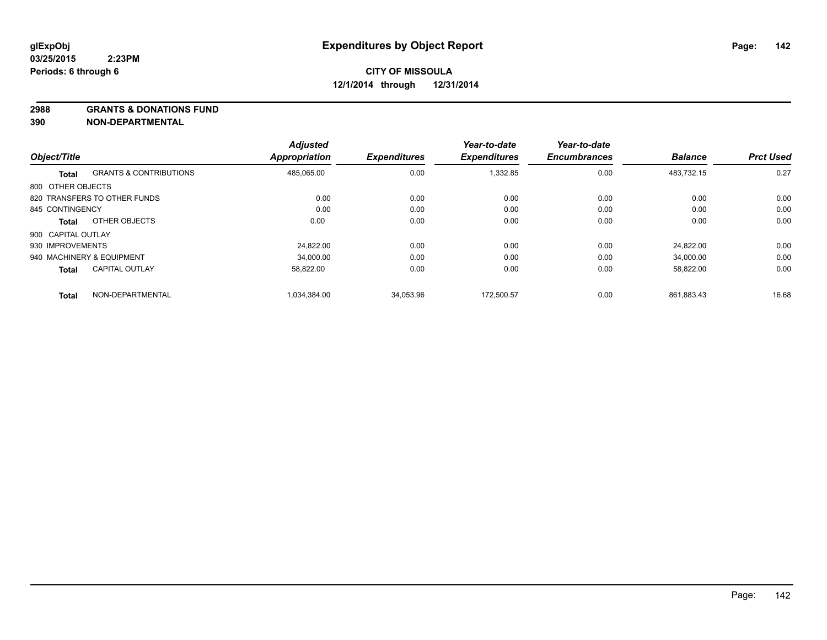**2988 GRANTS & DONATIONS FUND**

**390 NON-DEPARTMENTAL**

| Object/Title       |                                   | <b>Adjusted</b><br><b>Appropriation</b> | <b>Expenditures</b> | Year-to-date<br><b>Expenditures</b> | Year-to-date<br><b>Encumbrances</b> | <b>Balance</b> | <b>Prct Used</b> |
|--------------------|-----------------------------------|-----------------------------------------|---------------------|-------------------------------------|-------------------------------------|----------------|------------------|
|                    |                                   |                                         |                     |                                     |                                     |                |                  |
| <b>Total</b>       | <b>GRANTS &amp; CONTRIBUTIONS</b> | 485,065.00                              | 0.00                | 1,332.85                            | 0.00                                | 483,732.15     | 0.27             |
| 800 OTHER OBJECTS  |                                   |                                         |                     |                                     |                                     |                |                  |
|                    | 820 TRANSFERS TO OTHER FUNDS      | 0.00                                    | 0.00                | 0.00                                | 0.00                                | 0.00           | 0.00             |
| 845 CONTINGENCY    |                                   | 0.00                                    | 0.00                | 0.00                                | 0.00                                | 0.00           | 0.00             |
| <b>Total</b>       | OTHER OBJECTS                     | 0.00                                    | 0.00                | 0.00                                | 0.00                                | 0.00           | 0.00             |
| 900 CAPITAL OUTLAY |                                   |                                         |                     |                                     |                                     |                |                  |
| 930 IMPROVEMENTS   |                                   | 24.822.00                               | 0.00                | 0.00                                | 0.00                                | 24.822.00      | 0.00             |
|                    | 940 MACHINERY & EQUIPMENT         | 34.000.00                               | 0.00                | 0.00                                | 0.00                                | 34.000.00      | 0.00             |
| <b>Total</b>       | <b>CAPITAL OUTLAY</b>             | 58,822.00                               | 0.00                | 0.00                                | 0.00                                | 58,822.00      | 0.00             |
| <b>Total</b>       | NON-DEPARTMENTAL                  | 1.034.384.00                            | 34.053.96           | 172.500.57                          | 0.00                                | 861.883.43     | 16.68            |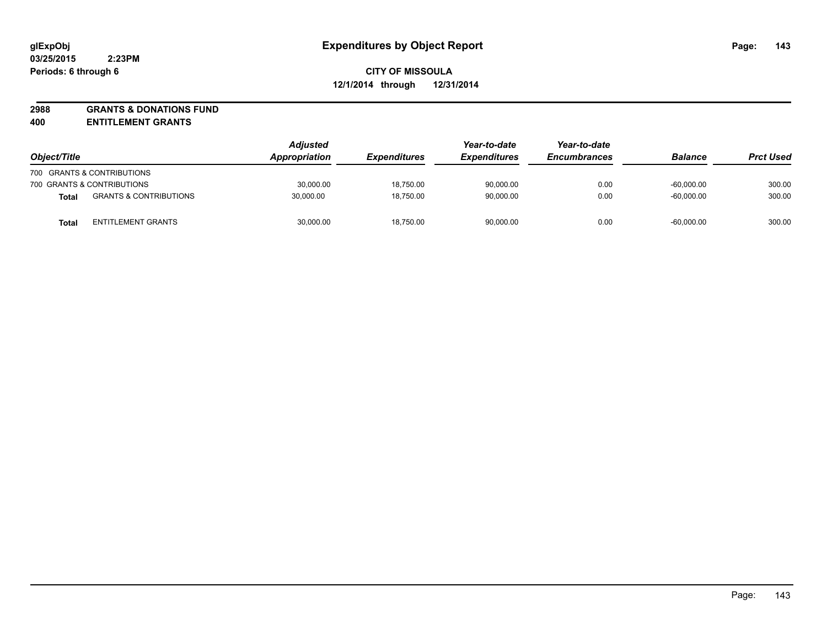**2988 GRANTS & DONATIONS FUND**

**400 ENTITLEMENT GRANTS**

| Object/Title                                      | <b>Adjusted</b><br><b>Appropriation</b> | <b>Expenditures</b> | Year-to-date<br><b>Expenditures</b> | Year-to-date<br><b>Encumbrances</b> | <b>Balance</b> | <b>Prct Used</b> |
|---------------------------------------------------|-----------------------------------------|---------------------|-------------------------------------|-------------------------------------|----------------|------------------|
| 700 GRANTS & CONTRIBUTIONS                        |                                         |                     |                                     |                                     |                |                  |
| 700 GRANTS & CONTRIBUTIONS                        | 30,000.00                               | 18,750.00           | 90,000.00                           | 0.00                                | $-60.000.00$   | 300.00           |
| <b>GRANTS &amp; CONTRIBUTIONS</b><br><b>Total</b> | 30.000.00                               | 18,750.00           | 90.000.00                           | 0.00                                | $-60.000.00$   | 300.00           |
| ENTITLEMENT GRANTS<br><b>Total</b>                | 30,000.00                               | 18,750.00           | 90,000.00                           | 0.00                                | $-60,000.00$   | 300.00           |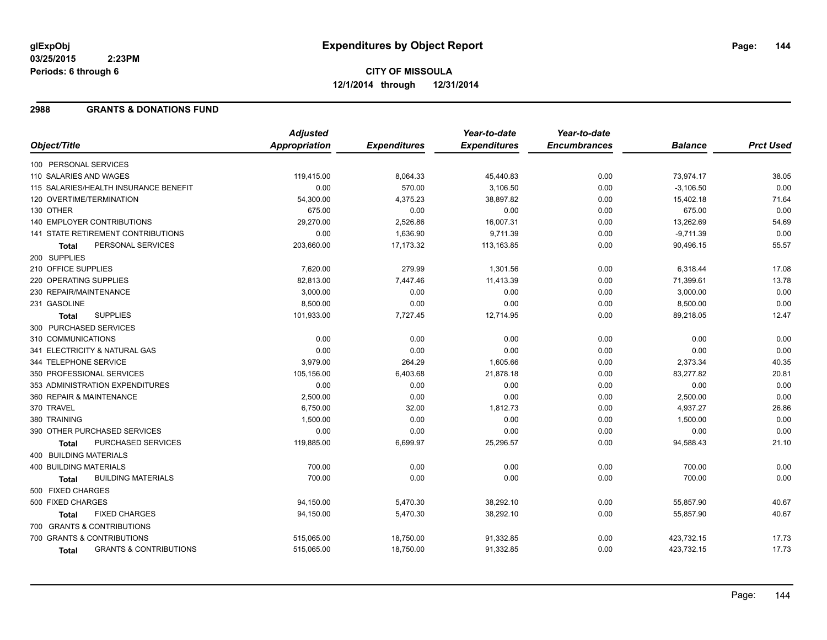#### **2988 GRANTS & DONATIONS FUND**

|                                                   | <b>Adjusted</b> |                     | Year-to-date        | Year-to-date        |                |                  |
|---------------------------------------------------|-----------------|---------------------|---------------------|---------------------|----------------|------------------|
| Object/Title                                      | Appropriation   | <b>Expenditures</b> | <b>Expenditures</b> | <b>Encumbrances</b> | <b>Balance</b> | <b>Prct Used</b> |
| 100 PERSONAL SERVICES                             |                 |                     |                     |                     |                |                  |
| 110 SALARIES AND WAGES                            | 119,415.00      | 8,064.33            | 45,440.83           | 0.00                | 73,974.17      | 38.05            |
| 115 SALARIES/HEALTH INSURANCE BENEFIT             | 0.00            | 570.00              | 3,106.50            | 0.00                | $-3,106.50$    | 0.00             |
| 120 OVERTIME/TERMINATION                          | 54,300.00       | 4,375.23            | 38,897.82           | 0.00                | 15,402.18      | 71.64            |
| 130 OTHER                                         | 675.00          | 0.00                | 0.00                | 0.00                | 675.00         | 0.00             |
| <b>140 EMPLOYER CONTRIBUTIONS</b>                 | 29,270.00       | 2,526.86            | 16,007.31           | 0.00                | 13,262.69      | 54.69            |
| 141 STATE RETIREMENT CONTRIBUTIONS                | 0.00            | 1,636.90            | 9,711.39            | 0.00                | $-9,711.39$    | 0.00             |
| PERSONAL SERVICES<br><b>Total</b>                 | 203,660.00      | 17,173.32           | 113,163.85          | 0.00                | 90,496.15      | 55.57            |
| 200 SUPPLIES                                      |                 |                     |                     |                     |                |                  |
| 210 OFFICE SUPPLIES                               | 7,620.00        | 279.99              | 1,301.56            | 0.00                | 6,318.44       | 17.08            |
| 220 OPERATING SUPPLIES                            | 82,813.00       | 7,447.46            | 11,413.39           | 0.00                | 71,399.61      | 13.78            |
| 230 REPAIR/MAINTENANCE                            | 3,000.00        | 0.00                | 0.00                | 0.00                | 3,000.00       | 0.00             |
| 231 GASOLINE                                      | 8,500.00        | 0.00                | 0.00                | 0.00                | 8,500.00       | 0.00             |
| <b>SUPPLIES</b><br><b>Total</b>                   | 101,933.00      | 7,727.45            | 12,714.95           | 0.00                | 89,218.05      | 12.47            |
| 300 PURCHASED SERVICES                            |                 |                     |                     |                     |                |                  |
| 310 COMMUNICATIONS                                | 0.00            | 0.00                | 0.00                | 0.00                | 0.00           | 0.00             |
| 341 ELECTRICITY & NATURAL GAS                     | 0.00            | 0.00                | 0.00                | 0.00                | 0.00           | 0.00             |
| 344 TELEPHONE SERVICE                             | 3,979.00        | 264.29              | 1,605.66            | 0.00                | 2,373.34       | 40.35            |
| 350 PROFESSIONAL SERVICES                         | 105,156.00      | 6,403.68            | 21,878.18           | 0.00                | 83,277.82      | 20.81            |
| 353 ADMINISTRATION EXPENDITURES                   | 0.00            | 0.00                | 0.00                | 0.00                | 0.00           | 0.00             |
| 360 REPAIR & MAINTENANCE                          | 2,500.00        | 0.00                | 0.00                | 0.00                | 2,500.00       | 0.00             |
| 370 TRAVEL                                        | 6,750.00        | 32.00               | 1,812.73            | 0.00                | 4,937.27       | 26.86            |
| 380 TRAINING                                      | 1,500.00        | 0.00                | 0.00                | 0.00                | 1,500.00       | 0.00             |
| 390 OTHER PURCHASED SERVICES                      | 0.00            | 0.00                | 0.00                | 0.00                | 0.00           | 0.00             |
| <b>PURCHASED SERVICES</b><br><b>Total</b>         | 119,885.00      | 6,699.97            | 25,296.57           | 0.00                | 94,588.43      | 21.10            |
| 400 BUILDING MATERIALS                            |                 |                     |                     |                     |                |                  |
| <b>400 BUILDING MATERIALS</b>                     | 700.00          | 0.00                | 0.00                | 0.00                | 700.00         | 0.00             |
| <b>BUILDING MATERIALS</b><br>Total                | 700.00          | 0.00                | 0.00                | 0.00                | 700.00         | 0.00             |
| 500 FIXED CHARGES                                 |                 |                     |                     |                     |                |                  |
| 500 FIXED CHARGES                                 | 94,150.00       | 5,470.30            | 38,292.10           | 0.00                | 55,857.90      | 40.67            |
| <b>FIXED CHARGES</b><br>Total                     | 94,150.00       | 5,470.30            | 38,292.10           | 0.00                | 55,857.90      | 40.67            |
| 700 GRANTS & CONTRIBUTIONS                        |                 |                     |                     |                     |                |                  |
| 700 GRANTS & CONTRIBUTIONS                        | 515,065.00      | 18,750.00           | 91,332.85           | 0.00                | 423,732.15     | 17.73            |
| <b>GRANTS &amp; CONTRIBUTIONS</b><br><b>Total</b> | 515,065.00      | 18,750.00           | 91,332.85           | 0.00                | 423,732.15     | 17.73            |
|                                                   |                 |                     |                     |                     |                |                  |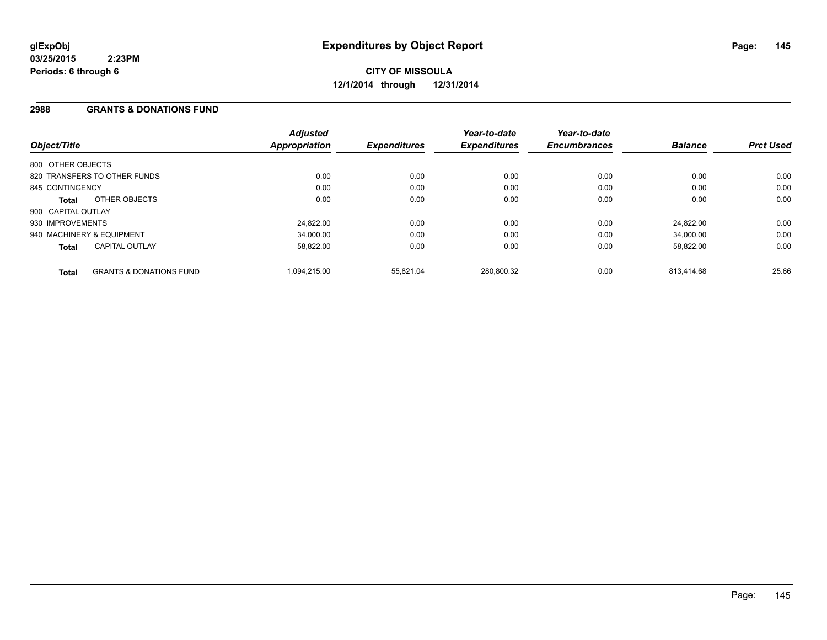#### **2988 GRANTS & DONATIONS FUND**

| Object/Title                 |                                    | <b>Adjusted</b><br><b>Appropriation</b> | <b>Expenditures</b> | Year-to-date<br><b>Expenditures</b> | Year-to-date<br><b>Encumbrances</b> | <b>Balance</b> | <b>Prct Used</b> |
|------------------------------|------------------------------------|-----------------------------------------|---------------------|-------------------------------------|-------------------------------------|----------------|------------------|
| 800 OTHER OBJECTS            |                                    |                                         |                     |                                     |                                     |                |                  |
| 820 TRANSFERS TO OTHER FUNDS |                                    | 0.00                                    | 0.00                | 0.00                                | 0.00                                | 0.00           | 0.00             |
| 845 CONTINGENCY              |                                    | 0.00                                    | 0.00                | 0.00                                | 0.00                                | 0.00           | 0.00             |
| Total                        | OTHER OBJECTS                      | 0.00                                    | 0.00                | 0.00                                | 0.00                                | 0.00           | 0.00             |
| 900 CAPITAL OUTLAY           |                                    |                                         |                     |                                     |                                     |                |                  |
| 930 IMPROVEMENTS             |                                    | 24,822.00                               | 0.00                | 0.00                                | 0.00                                | 24.822.00      | 0.00             |
| 940 MACHINERY & EQUIPMENT    |                                    | 34.000.00                               | 0.00                | 0.00                                | 0.00                                | 34.000.00      | 0.00             |
| <b>Total</b>                 | <b>CAPITAL OUTLAY</b>              | 58.822.00                               | 0.00                | 0.00                                | 0.00                                | 58,822.00      | 0.00             |
| <b>Total</b>                 | <b>GRANTS &amp; DONATIONS FUND</b> | 1.094.215.00                            | 55,821.04           | 280,800.32                          | 0.00                                | 813.414.68     | 25.66            |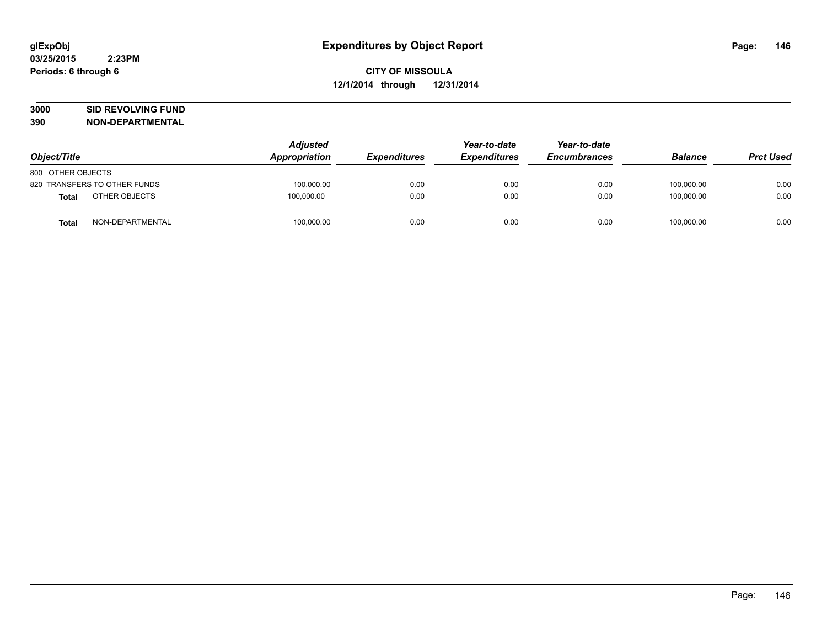# **3000 SID REVOLVING FUND**

| Object/Title      |                              | <b>Adjusted</b><br>Appropriation | <b>Expenditures</b> | Year-to-date        | Year-to-date<br><b>Encumbrances</b> | <b>Balance</b> | <b>Prct Used</b> |
|-------------------|------------------------------|----------------------------------|---------------------|---------------------|-------------------------------------|----------------|------------------|
|                   |                              |                                  |                     | <b>Expenditures</b> |                                     |                |                  |
| 800 OTHER OBJECTS |                              |                                  |                     |                     |                                     |                |                  |
|                   | 820 TRANSFERS TO OTHER FUNDS | 100.000.00                       | 0.00                | 0.00                | 0.00                                | 100.000.00     | 0.00             |
| Total             | OTHER OBJECTS                | 100,000.00                       | 0.00                | 0.00                | 0.00                                | 100,000.00     | 0.00             |
| <b>Total</b>      | NON-DEPARTMENTAL             | 100,000.00                       | 0.00                | 0.00                | 0.00                                | 100,000.00     | 0.00             |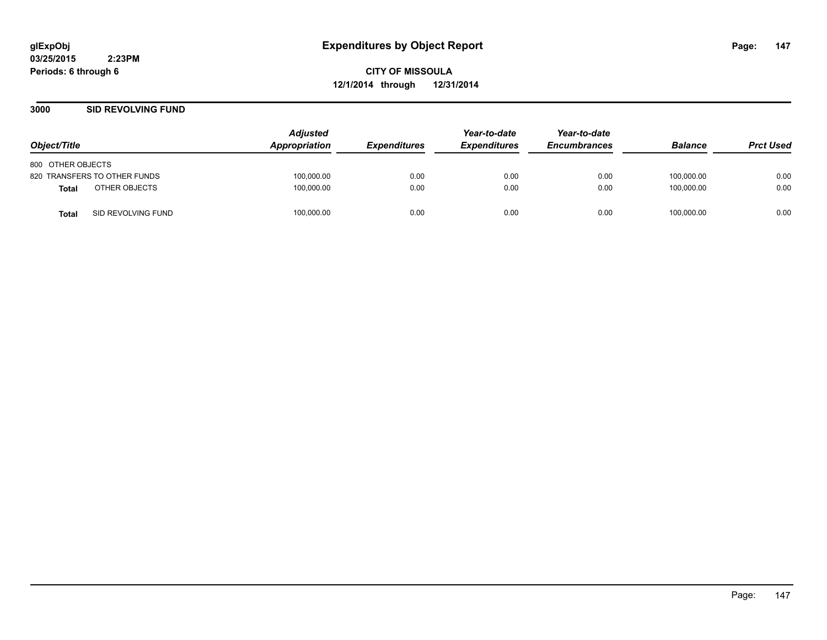**CITY OF MISSOULA 12/1/2014 through 12/31/2014**

#### **3000 SID REVOLVING FUND**

| Object/Title                       | <b>Adjusted</b><br>Appropriation | <i><b>Expenditures</b></i> | Year-to-date<br><b>Expenditures</b> | Year-to-date<br><b>Encumbrances</b> | <b>Balance</b> | <b>Prct Used</b> |
|------------------------------------|----------------------------------|----------------------------|-------------------------------------|-------------------------------------|----------------|------------------|
| 800 OTHER OBJECTS                  |                                  |                            |                                     |                                     |                |                  |
| 820 TRANSFERS TO OTHER FUNDS       | 100,000.00                       | 0.00                       | 0.00                                | 0.00                                | 100,000.00     | 0.00             |
| OTHER OBJECTS<br><b>Total</b>      | 100,000.00                       | 0.00                       | 0.00                                | 0.00                                | 100.000.00     | 0.00             |
| SID REVOLVING FUND<br><b>Total</b> | 100,000.00                       | 0.00                       | 0.00                                | 0.00                                | 100,000.00     | 0.00             |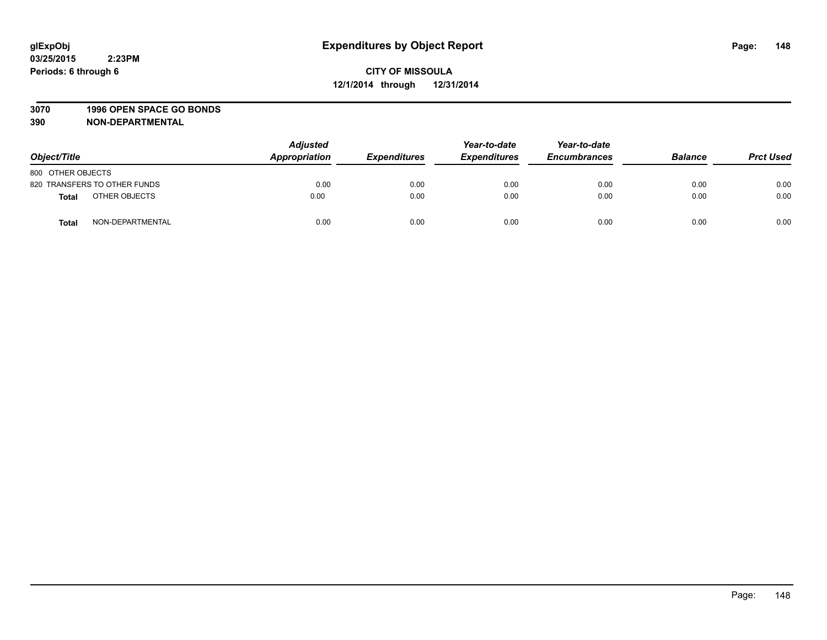#### **3070 1996 OPEN SPACE GO BONDS**

| Object/Title      |                              | <b>Adjusted</b><br>Appropriation | <b>Expenditures</b> | Year-to-date<br><b>Expenditures</b> | Year-to-date<br><b>Encumbrances</b> | <b>Balance</b> | <b>Prct Used</b> |
|-------------------|------------------------------|----------------------------------|---------------------|-------------------------------------|-------------------------------------|----------------|------------------|
| 800 OTHER OBJECTS |                              |                                  |                     |                                     |                                     |                |                  |
|                   | 820 TRANSFERS TO OTHER FUNDS | 0.00                             | 0.00                | 0.00                                | 0.00                                | 0.00           | 0.00             |
| <b>Total</b>      | OTHER OBJECTS                | 0.00                             | 0.00                | 0.00                                | 0.00                                | 0.00           | 0.00             |
| <b>Total</b>      | NON-DEPARTMENTAL             | 0.00                             | 0.00                | 0.00                                | 0.00                                | 0.00           | 0.00             |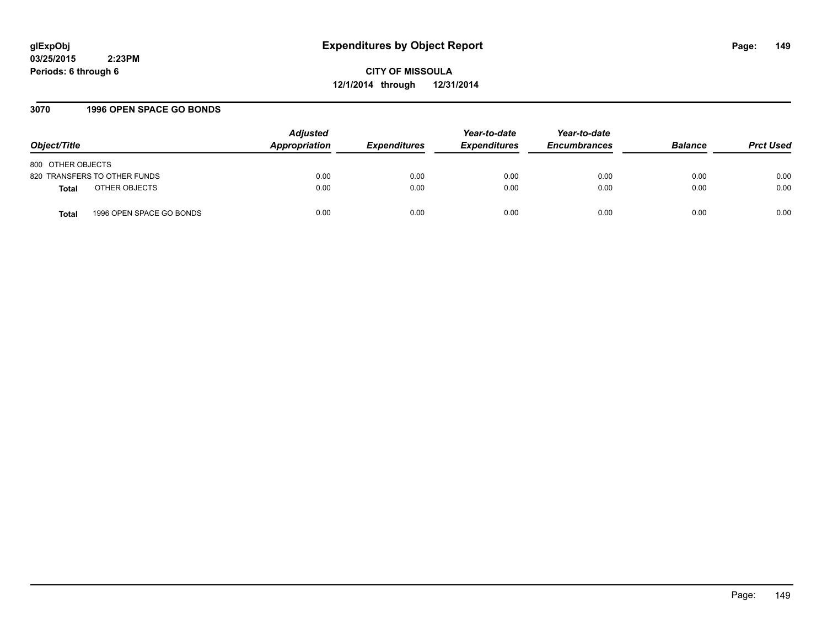## **glExpObj Expenditures by Object Report Page: 149**

**03/25/2015 2:23PM Periods: 6 through 6**

**CITY OF MISSOULA 12/1/2014 through 12/31/2014**

#### **3070 1996 OPEN SPACE GO BONDS**

| Object/Title                      | <b>Adjusted</b><br>Appropriation | <i><b>Expenditures</b></i> | Year-to-date<br><b>Expenditures</b> | Year-to-date<br><b>Encumbrances</b> | <b>Balance</b> | <b>Prct Used</b> |
|-----------------------------------|----------------------------------|----------------------------|-------------------------------------|-------------------------------------|----------------|------------------|
| 800 OTHER OBJECTS                 |                                  |                            |                                     |                                     |                |                  |
| 820 TRANSFERS TO OTHER FUNDS      | 0.00                             | 0.00                       | 0.00                                | 0.00                                | 0.00           | 0.00             |
| OTHER OBJECTS<br><b>Total</b>     | 0.00                             | 0.00                       | 0.00                                | 0.00                                | 0.00           | 0.00             |
| 1996 OPEN SPACE GO BONDS<br>Total | 0.00                             | 0.00                       | 0.00                                | 0.00                                | 0.00           | 0.00             |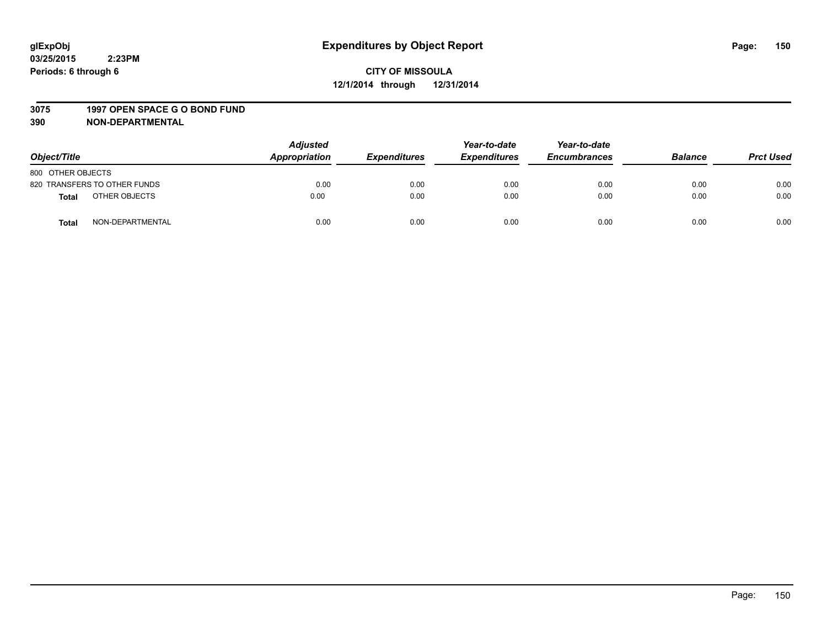#### **3075 1997 OPEN SPACE G O BOND FUND**

| Object/Title                     | <b>Adjusted</b><br>Appropriation | <b>Expenditures</b> | Year-to-date<br><b>Expenditures</b> | Year-to-date<br><b>Encumbrances</b> | <b>Balance</b> | <b>Prct Used</b> |
|----------------------------------|----------------------------------|---------------------|-------------------------------------|-------------------------------------|----------------|------------------|
|                                  |                                  |                     |                                     |                                     |                |                  |
| 800 OTHER OBJECTS                |                                  |                     |                                     |                                     |                |                  |
| 820 TRANSFERS TO OTHER FUNDS     | 0.00                             | 0.00                | 0.00                                | 0.00                                | 0.00           | 0.00             |
| OTHER OBJECTS<br><b>Total</b>    | 0.00                             | 0.00                | 0.00                                | 0.00                                | 0.00           | 0.00             |
| NON-DEPARTMENTAL<br><b>Total</b> | 0.00                             | 0.00                | 0.00                                | 0.00                                | 0.00           | 0.00             |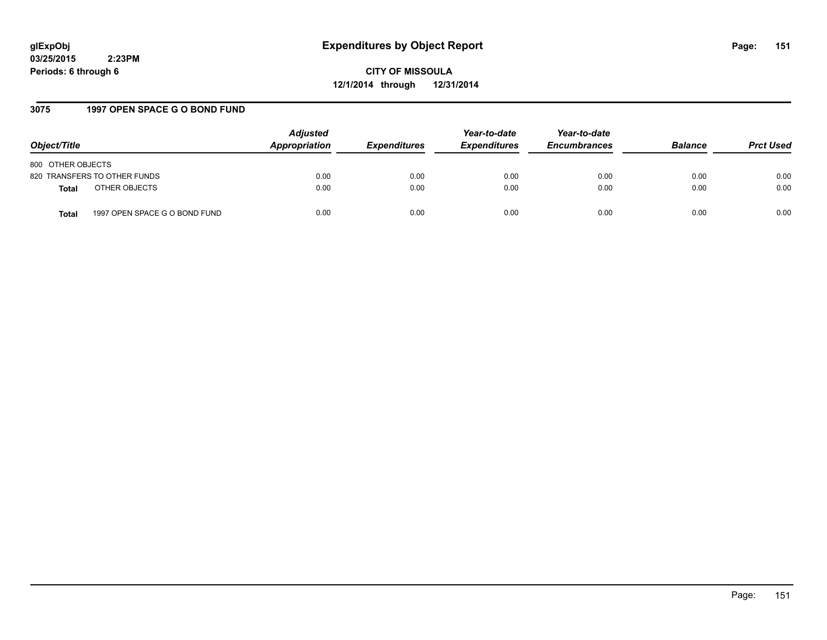## **glExpObj Expenditures by Object Report Page: 151**

**03/25/2015 2:23PM Periods: 6 through 6**

**CITY OF MISSOULA 12/1/2014 through 12/31/2014**

#### **3075 1997 OPEN SPACE G O BOND FUND**

| Object/Title                           | <b>Adjusted</b><br>Appropriation | <i><b>Expenditures</b></i> | Year-to-date<br><b>Expenditures</b> | Year-to-date<br><b>Encumbrances</b> | <b>Balance</b> | <b>Prct Used</b> |
|----------------------------------------|----------------------------------|----------------------------|-------------------------------------|-------------------------------------|----------------|------------------|
| 800 OTHER OBJECTS                      |                                  |                            |                                     |                                     |                |                  |
| 820 TRANSFERS TO OTHER FUNDS           | 0.00                             | 0.00                       | 0.00                                | 0.00                                | 0.00           | 0.00             |
| OTHER OBJECTS<br>Total                 | 0.00                             | 0.00                       | 0.00                                | 0.00                                | 0.00           | 0.00             |
| 1997 OPEN SPACE G O BOND FUND<br>Total | 0.00                             | 0.00                       | 0.00                                | 0.00                                | 0.00           | 0.00             |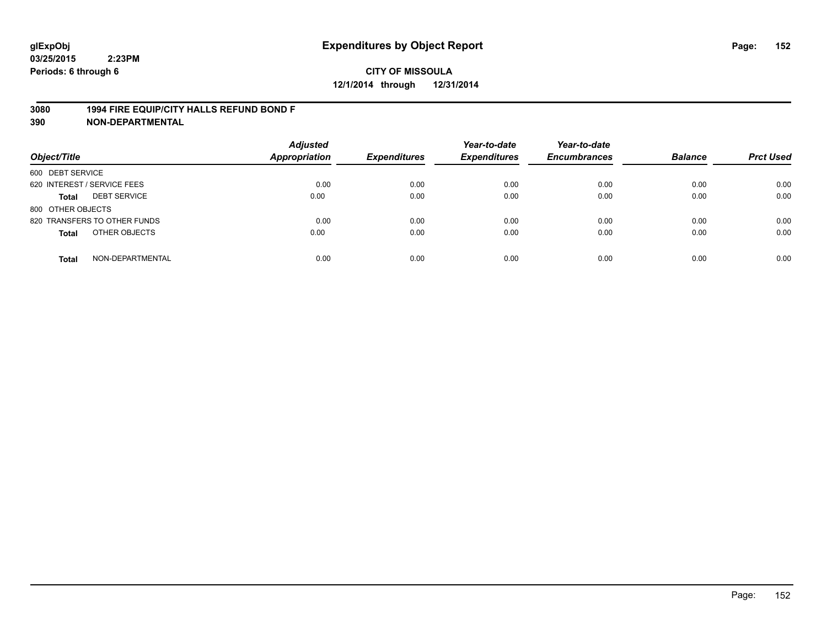#### **3080 1994 FIRE EQUIP/CITY HALLS REFUND BOND F**

| Object/Title                        | <b>Adjusted</b><br>Appropriation | <b>Expenditures</b> | Year-to-date<br><b>Expenditures</b> | Year-to-date<br><b>Encumbrances</b> | <b>Balance</b> | <b>Prct Used</b> |
|-------------------------------------|----------------------------------|---------------------|-------------------------------------|-------------------------------------|----------------|------------------|
| 600 DEBT SERVICE                    |                                  |                     |                                     |                                     |                |                  |
| 620 INTEREST / SERVICE FEES         | 0.00                             | 0.00                | 0.00                                | 0.00                                | 0.00           | 0.00             |
| <b>DEBT SERVICE</b><br><b>Total</b> | 0.00                             | 0.00                | 0.00                                | 0.00                                | 0.00           | 0.00             |
| 800 OTHER OBJECTS                   |                                  |                     |                                     |                                     |                |                  |
| 820 TRANSFERS TO OTHER FUNDS        | 0.00                             | 0.00                | 0.00                                | 0.00                                | 0.00           | 0.00             |
| OTHER OBJECTS<br><b>Total</b>       | 0.00                             | 0.00                | 0.00                                | 0.00                                | 0.00           | 0.00             |
| NON-DEPARTMENTAL<br><b>Total</b>    | 0.00                             | 0.00                | 0.00                                | 0.00                                | 0.00           | 0.00             |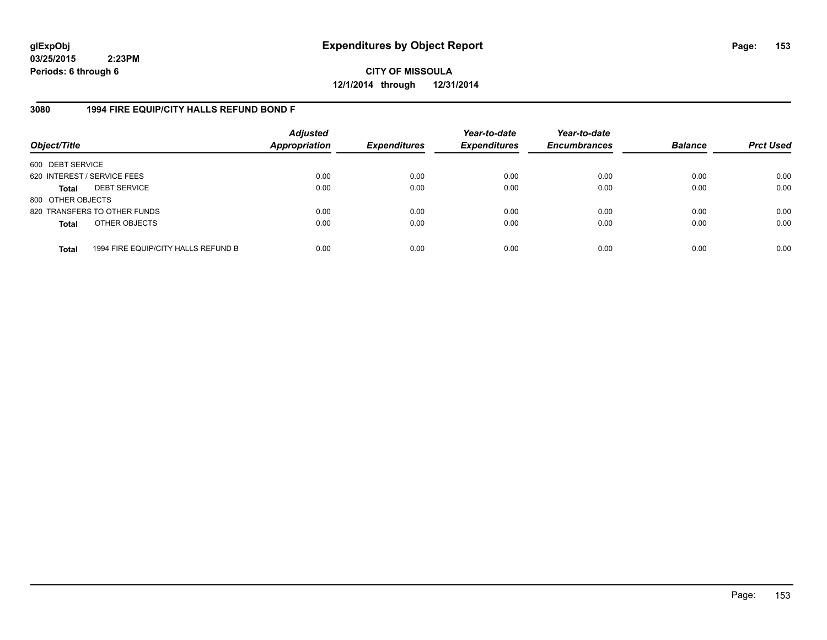**CITY OF MISSOULA 12/1/2014 through 12/31/2014**

#### **3080 1994 FIRE EQUIP/CITY HALLS REFUND BOND F**

| Object/Title                |                                     | <b>Adjusted</b><br>Appropriation | <b>Expenditures</b> | Year-to-date<br><b>Expenditures</b> | Year-to-date<br><b>Encumbrances</b> | <b>Balance</b> | <b>Prct Used</b> |
|-----------------------------|-------------------------------------|----------------------------------|---------------------|-------------------------------------|-------------------------------------|----------------|------------------|
| 600 DEBT SERVICE            |                                     |                                  |                     |                                     |                                     |                |                  |
| 620 INTEREST / SERVICE FEES |                                     | 0.00                             | 0.00                | 0.00                                | 0.00                                | 0.00           | 0.00             |
| <b>Total</b>                | <b>DEBT SERVICE</b>                 | 0.00                             | 0.00                | 0.00                                | 0.00                                | 0.00           | 0.00             |
| 800 OTHER OBJECTS           |                                     |                                  |                     |                                     |                                     |                |                  |
|                             | 820 TRANSFERS TO OTHER FUNDS        | 0.00                             | 0.00                | 0.00                                | 0.00                                | 0.00           | 0.00             |
| <b>Total</b>                | OTHER OBJECTS                       | 0.00                             | 0.00                | 0.00                                | 0.00                                | 0.00           | 0.00             |
| <b>Total</b>                | 1994 FIRE EQUIP/CITY HALLS REFUND B | 0.00                             | 0.00                | 0.00                                | 0.00                                | 0.00           | 0.00             |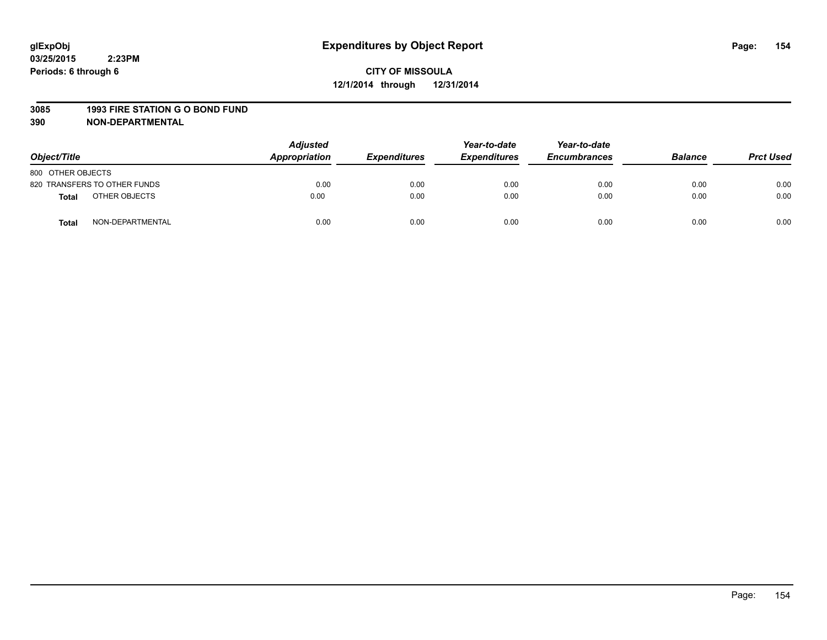#### **3085 1993 FIRE STATION G O BOND FUND**

| Object/Title      |                              | <b>Adjusted</b><br>Appropriation | <b>Expenditures</b> | Year-to-date<br><b>Expenditures</b> | Year-to-date<br><b>Encumbrances</b> | <b>Balance</b> | <b>Prct Used</b> |
|-------------------|------------------------------|----------------------------------|---------------------|-------------------------------------|-------------------------------------|----------------|------------------|
| 800 OTHER OBJECTS |                              |                                  |                     |                                     |                                     |                |                  |
|                   | 820 TRANSFERS TO OTHER FUNDS | 0.00                             | 0.00                | 0.00                                | 0.00                                | 0.00           | 0.00             |
| <b>Total</b>      | OTHER OBJECTS                | 0.00                             | 0.00                | 0.00                                | 0.00                                | 0.00           | 0.00             |
| <b>Total</b>      | NON-DEPARTMENTAL             | 0.00                             | 0.00                | 0.00                                | 0.00                                | 0.00           | 0.00             |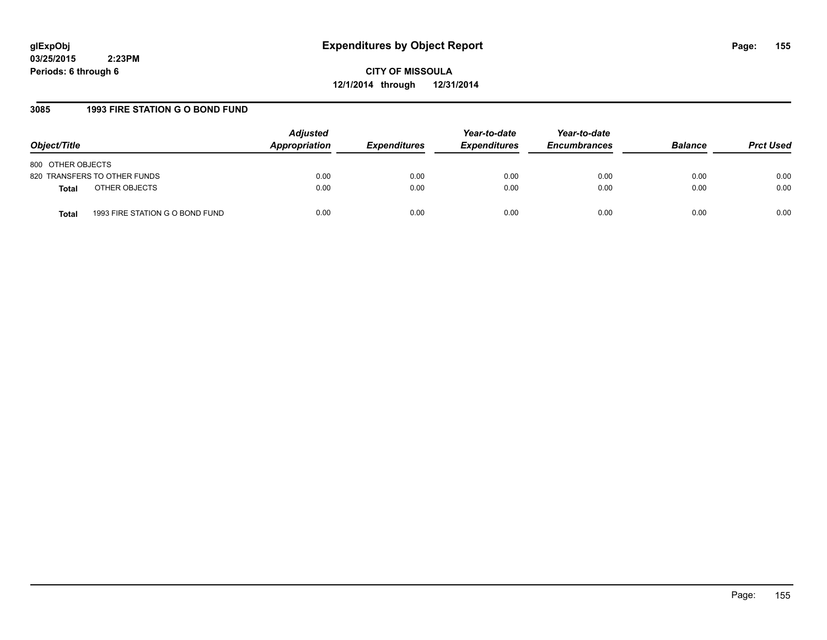## **glExpObj Expenditures by Object Report Page: 155**

**03/25/2015 2:23PM Periods: 6 through 6**

**CITY OF MISSOULA 12/1/2014 through 12/31/2014**

#### **3085 1993 FIRE STATION G O BOND FUND**

| Object/Title                                    | <b>Adjusted</b><br>Appropriation | <b>Expenditures</b> | Year-to-date<br><b>Expenditures</b> | Year-to-date<br><b>Encumbrances</b> | <b>Balance</b> | <b>Prct Used</b> |
|-------------------------------------------------|----------------------------------|---------------------|-------------------------------------|-------------------------------------|----------------|------------------|
| 800 OTHER OBJECTS                               |                                  |                     |                                     |                                     |                |                  |
| 820 TRANSFERS TO OTHER FUNDS                    | 0.00                             | 0.00                | 0.00                                | 0.00                                | 0.00           | 0.00             |
| OTHER OBJECTS<br><b>Total</b>                   | 0.00                             | 0.00                | 0.00                                | 0.00                                | 0.00           | 0.00             |
| 1993 FIRE STATION G O BOND FUND<br><b>Total</b> | 0.00                             | 0.00                | 0.00                                | 0.00                                | 0.00           | 0.00             |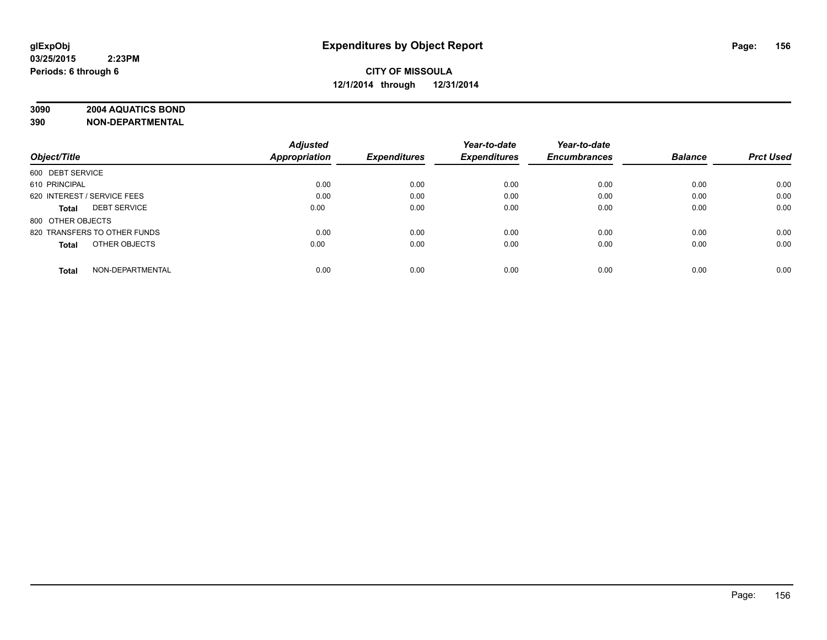## **3090 2004 AQUATICS BOND**

|                                  | <b>Adjusted</b> |                     | Year-to-date        | Year-to-date        |                |                  |
|----------------------------------|-----------------|---------------------|---------------------|---------------------|----------------|------------------|
| Object/Title                     | Appropriation   | <b>Expenditures</b> | <b>Expenditures</b> | <b>Encumbrances</b> | <b>Balance</b> | <b>Prct Used</b> |
| 600 DEBT SERVICE                 |                 |                     |                     |                     |                |                  |
| 610 PRINCIPAL                    | 0.00            | 0.00                | 0.00                | 0.00                | 0.00           | 0.00             |
| 620 INTEREST / SERVICE FEES      | 0.00            | 0.00                | 0.00                | 0.00                | 0.00           | 0.00             |
| <b>DEBT SERVICE</b><br>Total     | 0.00            | 0.00                | 0.00                | 0.00                | 0.00           | 0.00             |
| 800 OTHER OBJECTS                |                 |                     |                     |                     |                |                  |
| 820 TRANSFERS TO OTHER FUNDS     | 0.00            | 0.00                | 0.00                | 0.00                | 0.00           | 0.00             |
| OTHER OBJECTS<br>Total           | 0.00            | 0.00                | 0.00                | 0.00                | 0.00           | 0.00             |
| NON-DEPARTMENTAL<br><b>Total</b> | 0.00            | 0.00                | 0.00                | 0.00                | 0.00           | 0.00             |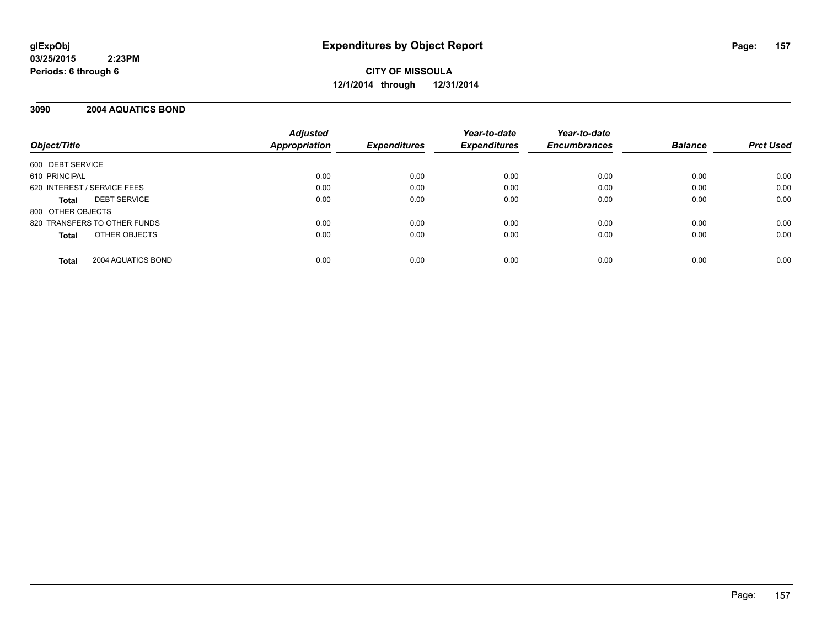**CITY OF MISSOULA 12/1/2014 through 12/31/2014**

#### **3090 2004 AQUATICS BOND**

| Object/Title                        | <b>Adjusted</b><br><b>Appropriation</b> | <b>Expenditures</b> | Year-to-date<br><b>Expenditures</b> | Year-to-date<br><b>Encumbrances</b> | <b>Balance</b> | <b>Prct Used</b> |
|-------------------------------------|-----------------------------------------|---------------------|-------------------------------------|-------------------------------------|----------------|------------------|
| 600 DEBT SERVICE                    |                                         |                     |                                     |                                     |                |                  |
| 610 PRINCIPAL                       | 0.00                                    | 0.00                | 0.00                                | 0.00                                | 0.00           | 0.00             |
| 620 INTEREST / SERVICE FEES         | 0.00                                    | 0.00                | 0.00                                | 0.00                                | 0.00           | 0.00             |
| <b>DEBT SERVICE</b><br><b>Total</b> | 0.00                                    | 0.00                | 0.00                                | 0.00                                | 0.00           | 0.00             |
| 800 OTHER OBJECTS                   |                                         |                     |                                     |                                     |                |                  |
| 820 TRANSFERS TO OTHER FUNDS        | 0.00                                    | 0.00                | 0.00                                | 0.00                                | 0.00           | 0.00             |
| OTHER OBJECTS<br>Total              | 0.00                                    | 0.00                | 0.00                                | 0.00                                | 0.00           | 0.00             |
| 2004 AQUATICS BOND<br><b>Total</b>  | 0.00                                    | 0.00                | 0.00                                | 0.00                                | 0.00           | 0.00             |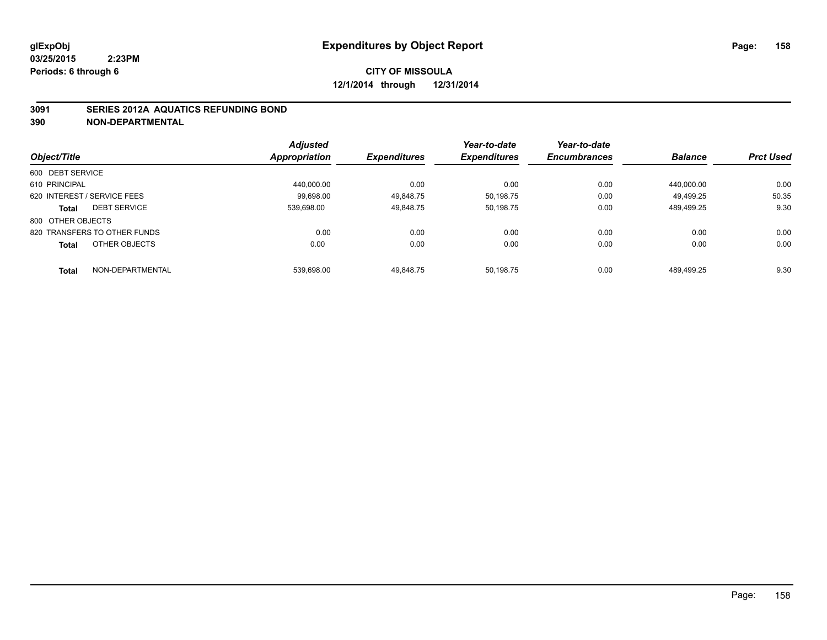#### **3091 SERIES 2012A AQUATICS REFUNDING BOND**

|                                     | <b>Adjusted</b> |                     | Year-to-date        | Year-to-date        |                |                  |
|-------------------------------------|-----------------|---------------------|---------------------|---------------------|----------------|------------------|
| Object/Title                        | Appropriation   | <b>Expenditures</b> | <b>Expenditures</b> | <b>Encumbrances</b> | <b>Balance</b> | <b>Prct Used</b> |
| 600 DEBT SERVICE                    |                 |                     |                     |                     |                |                  |
| 610 PRINCIPAL                       | 440.000.00      | 0.00                | 0.00                | 0.00                | 440.000.00     | 0.00             |
| 620 INTEREST / SERVICE FEES         | 99.698.00       | 49.848.75           | 50.198.75           | 0.00                | 49.499.25      | 50.35            |
| <b>DEBT SERVICE</b><br><b>Total</b> | 539.698.00      | 49.848.75           | 50.198.75           | 0.00                | 489.499.25     | 9.30             |
| 800 OTHER OBJECTS                   |                 |                     |                     |                     |                |                  |
| 820 TRANSFERS TO OTHER FUNDS        | 0.00            | 0.00                | 0.00                | 0.00                | 0.00           | 0.00             |
| OTHER OBJECTS<br><b>Total</b>       | 0.00            | 0.00                | 0.00                | 0.00                | 0.00           | 0.00             |
| NON-DEPARTMENTAL<br><b>Total</b>    | 539.698.00      | 49.848.75           | 50.198.75           | 0.00                | 489.499.25     | 9.30             |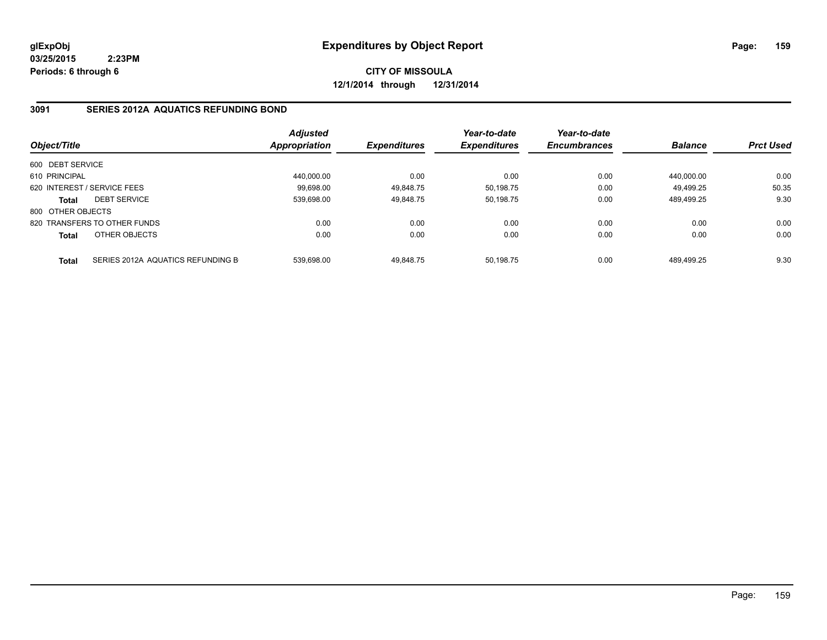**CITY OF MISSOULA 12/1/2014 through 12/31/2014**

#### **3091 SERIES 2012A AQUATICS REFUNDING BOND**

| Object/Title      |                                   | <b>Adjusted</b><br>Appropriation | <b>Expenditures</b> | Year-to-date<br><b>Expenditures</b> | Year-to-date<br><b>Encumbrances</b> | <b>Balance</b> | <b>Prct Used</b> |
|-------------------|-----------------------------------|----------------------------------|---------------------|-------------------------------------|-------------------------------------|----------------|------------------|
| 600 DEBT SERVICE  |                                   |                                  |                     |                                     |                                     |                |                  |
| 610 PRINCIPAL     |                                   | 440.000.00                       | 0.00                | 0.00                                | 0.00                                | 440.000.00     | 0.00             |
|                   | 620 INTEREST / SERVICE FEES       | 99.698.00                        | 49,848.75           | 50,198.75                           | 0.00                                | 49.499.25      | 50.35            |
| <b>Total</b>      | <b>DEBT SERVICE</b>               | 539.698.00                       | 49.848.75           | 50.198.75                           | 0.00                                | 489.499.25     | 9.30             |
| 800 OTHER OBJECTS |                                   |                                  |                     |                                     |                                     |                |                  |
|                   | 820 TRANSFERS TO OTHER FUNDS      | 0.00                             | 0.00                | 0.00                                | 0.00                                | 0.00           | 0.00             |
| <b>Total</b>      | OTHER OBJECTS                     | 0.00                             | 0.00                | 0.00                                | 0.00                                | 0.00           | 0.00             |
| <b>Total</b>      | SERIES 2012A AQUATICS REFUNDING B | 539.698.00                       | 49.848.75           | 50.198.75                           | 0.00                                | 489.499.25     | 9.30             |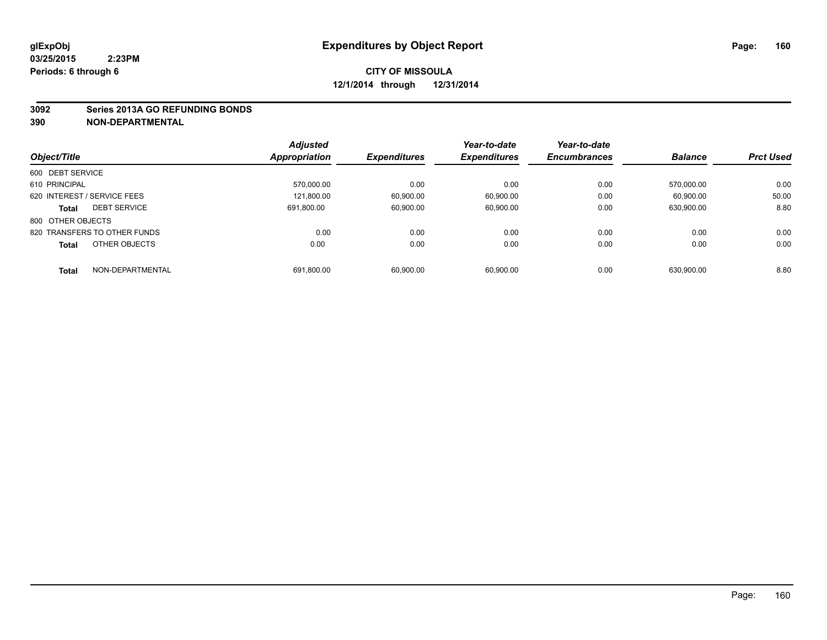#### **3092 Series 2013A GO REFUNDING BONDS**

|                                     | <b>Adjusted</b>      |                     | Year-to-date        | Year-to-date        |                |                  |
|-------------------------------------|----------------------|---------------------|---------------------|---------------------|----------------|------------------|
| Object/Title                        | <b>Appropriation</b> | <b>Expenditures</b> | <b>Expenditures</b> | <b>Encumbrances</b> | <b>Balance</b> | <b>Prct Used</b> |
| 600 DEBT SERVICE                    |                      |                     |                     |                     |                |                  |
| 610 PRINCIPAL                       | 570.000.00           | 0.00                | 0.00                | 0.00                | 570.000.00     | 0.00             |
| 620 INTEREST / SERVICE FEES         | 121.800.00           | 60.900.00           | 60.900.00           | 0.00                | 60.900.00      | 50.00            |
| <b>DEBT SERVICE</b><br><b>Total</b> | 691.800.00           | 60,900.00           | 60.900.00           | 0.00                | 630.900.00     | 8.80             |
| 800 OTHER OBJECTS                   |                      |                     |                     |                     |                |                  |
| 820 TRANSFERS TO OTHER FUNDS        | 0.00                 | 0.00                | 0.00                | 0.00                | 0.00           | 0.00             |
| OTHER OBJECTS<br><b>Total</b>       | 0.00                 | 0.00                | 0.00                | 0.00                | 0.00           | 0.00             |
| NON-DEPARTMENTAL<br><b>Total</b>    | 691.800.00           | 60.900.00           | 60.900.00           | 0.00                | 630.900.00     | 8.80             |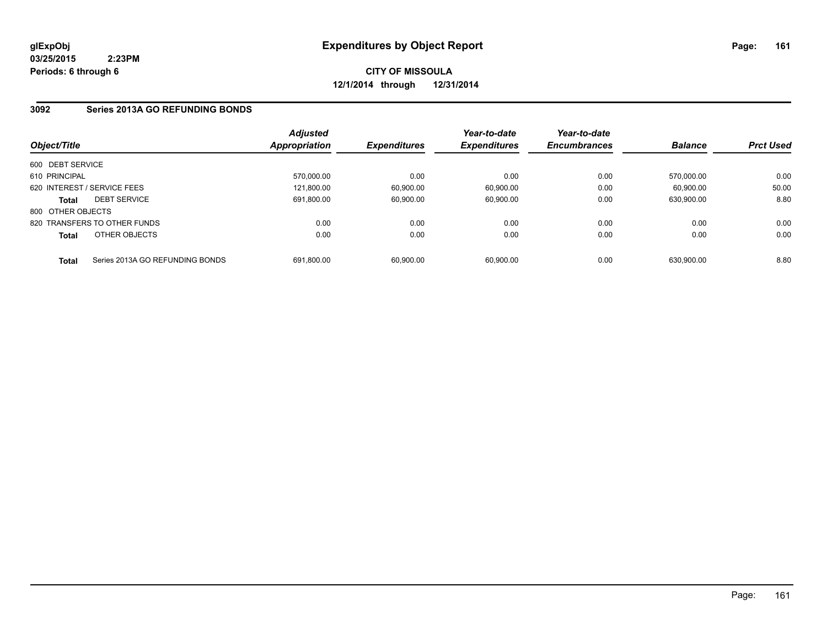**CITY OF MISSOULA 12/1/2014 through 12/31/2014**

#### **3092 Series 2013A GO REFUNDING BONDS**

| Object/Title      |                                 | <b>Adjusted</b><br>Appropriation | <b>Expenditures</b> | Year-to-date<br><b>Expenditures</b> | Year-to-date<br><b>Encumbrances</b> | <b>Balance</b> | <b>Prct Used</b> |
|-------------------|---------------------------------|----------------------------------|---------------------|-------------------------------------|-------------------------------------|----------------|------------------|
| 600 DEBT SERVICE  |                                 |                                  |                     |                                     |                                     |                |                  |
| 610 PRINCIPAL     |                                 | 570,000.00                       | 0.00                | 0.00                                | 0.00                                | 570.000.00     | 0.00             |
|                   | 620 INTEREST / SERVICE FEES     | 121.800.00                       | 60,900.00           | 60,900.00                           | 0.00                                | 60.900.00      | 50.00            |
| <b>Total</b>      | <b>DEBT SERVICE</b>             | 691.800.00                       | 60,900.00           | 60,900.00                           | 0.00                                | 630,900.00     | 8.80             |
| 800 OTHER OBJECTS |                                 |                                  |                     |                                     |                                     |                |                  |
|                   | 820 TRANSFERS TO OTHER FUNDS    | 0.00                             | 0.00                | 0.00                                | 0.00                                | 0.00           | 0.00             |
| <b>Total</b>      | OTHER OBJECTS                   | 0.00                             | 0.00                | 0.00                                | 0.00                                | 0.00           | 0.00             |
| <b>Total</b>      | Series 2013A GO REFUNDING BONDS | 691.800.00                       | 60,900.00           | 60.900.00                           | 0.00                                | 630.900.00     | 8.80             |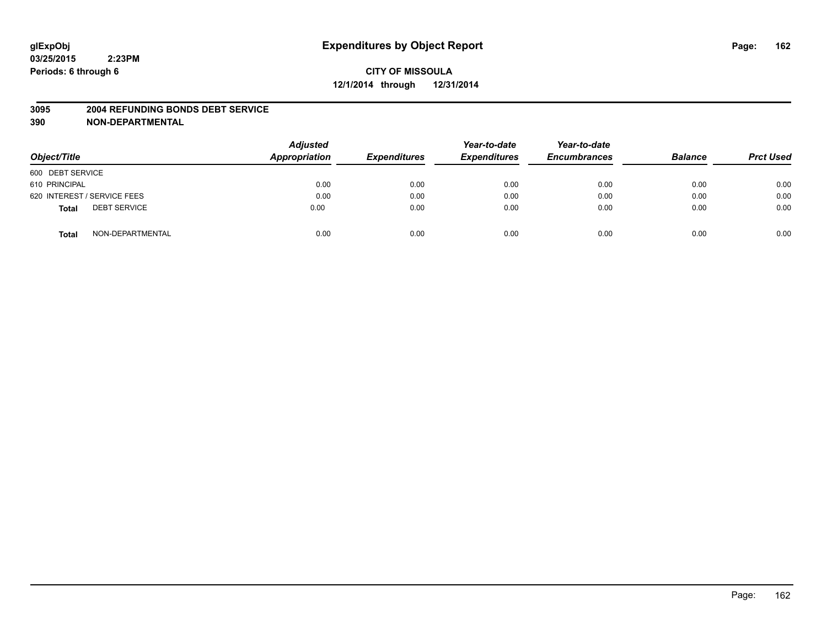#### **3095 2004 REFUNDING BONDS DEBT SERVICE**

| Object/Title                        | <b>Adjusted</b><br>Appropriation | <b>Expenditures</b> | Year-to-date<br><b>Expenditures</b> | Year-to-date<br><b>Encumbrances</b> | <b>Balance</b> | <b>Prct Used</b> |
|-------------------------------------|----------------------------------|---------------------|-------------------------------------|-------------------------------------|----------------|------------------|
| 600 DEBT SERVICE                    |                                  |                     |                                     |                                     |                |                  |
| 610 PRINCIPAL                       | 0.00                             | 0.00                | 0.00                                | 0.00                                | 0.00           | 0.00             |
| 620 INTEREST / SERVICE FEES         | 0.00                             | 0.00                | 0.00                                | 0.00                                | 0.00           | 0.00             |
| <b>DEBT SERVICE</b><br><b>Total</b> | 0.00                             | 0.00                | 0.00                                | 0.00                                | 0.00           | 0.00             |
| NON-DEPARTMENTAL<br><b>Total</b>    | 0.00                             | 0.00                | 0.00                                | 0.00                                | 0.00           | 0.00             |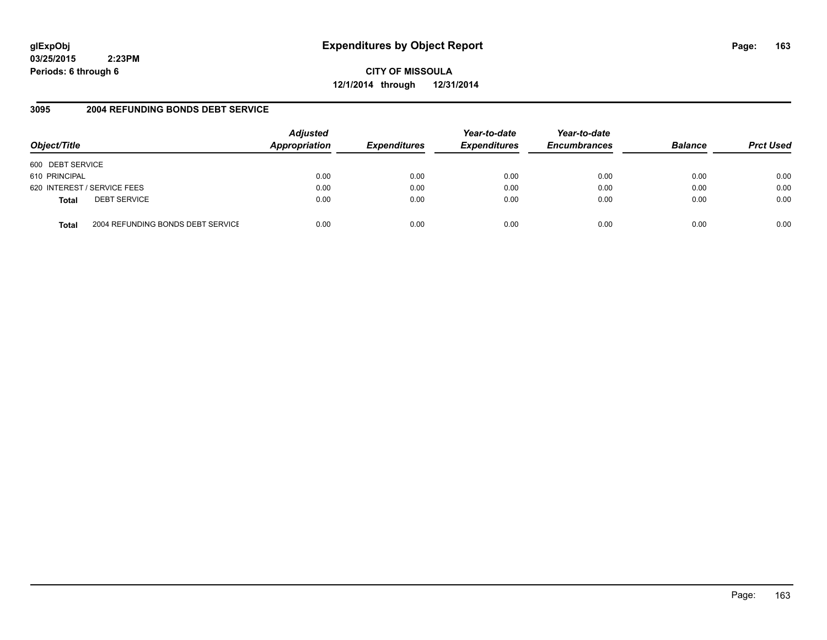## **glExpObj Expenditures by Object Report Page: 163**

**03/25/2015 2:23PM Periods: 6 through 6**

**CITY OF MISSOULA 12/1/2014 through 12/31/2014**

#### **3095 2004 REFUNDING BONDS DEBT SERVICE**

| Object/Title                                      | <b>Adjusted</b><br>Appropriation | <b>Expenditures</b> | Year-to-date<br><b>Expenditures</b> | Year-to-date<br><b>Encumbrances</b> | <b>Balance</b> | <b>Prct Used</b> |
|---------------------------------------------------|----------------------------------|---------------------|-------------------------------------|-------------------------------------|----------------|------------------|
| 600 DEBT SERVICE                                  |                                  |                     |                                     |                                     |                |                  |
| 610 PRINCIPAL                                     | 0.00                             | 0.00                | 0.00                                | 0.00                                | 0.00           | 0.00             |
| 620 INTEREST / SERVICE FEES                       | 0.00                             | 0.00                | 0.00                                | 0.00                                | 0.00           | 0.00             |
| <b>DEBT SERVICE</b><br><b>Total</b>               | 0.00                             | 0.00                | 0.00                                | 0.00                                | 0.00           | 0.00             |
| 2004 REFUNDING BONDS DEBT SERVICE<br><b>Total</b> | 0.00                             | 0.00                | 0.00                                | 0.00                                | 0.00           | 0.00             |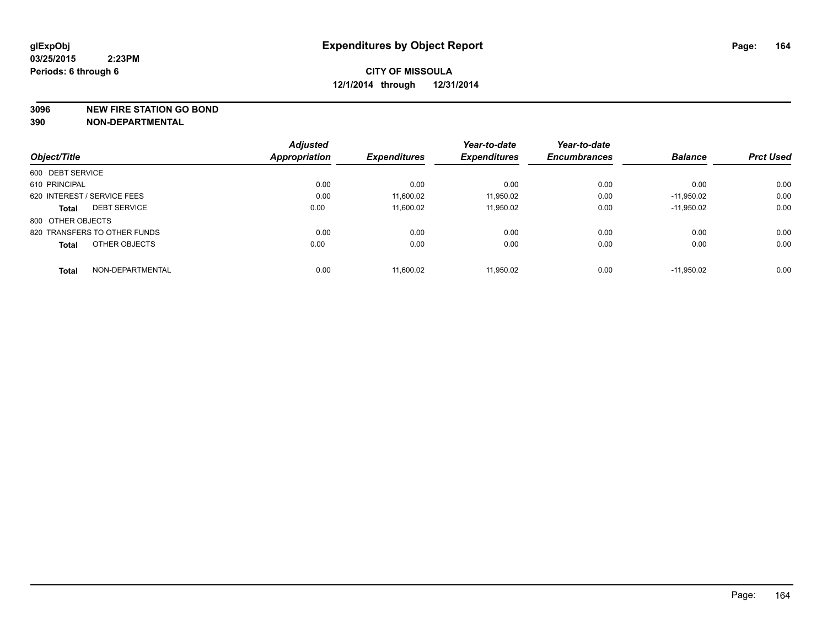**3096 NEW FIRE STATION GO BOND**

|                                  | <b>Adjusted</b>      |                     | Year-to-date        | Year-to-date        |                |                  |
|----------------------------------|----------------------|---------------------|---------------------|---------------------|----------------|------------------|
| Object/Title                     | <b>Appropriation</b> | <b>Expenditures</b> | <b>Expenditures</b> | <b>Encumbrances</b> | <b>Balance</b> | <b>Prct Used</b> |
| 600 DEBT SERVICE                 |                      |                     |                     |                     |                |                  |
| 610 PRINCIPAL                    | 0.00                 | 0.00                | 0.00                | 0.00                | 0.00           | 0.00             |
| 620 INTEREST / SERVICE FEES      | 0.00                 | 11.600.02           | 11,950.02           | 0.00                | $-11.950.02$   | 0.00             |
| <b>DEBT SERVICE</b><br>Total     | 0.00                 | 11.600.02           | 11,950.02           | 0.00                | $-11,950.02$   | 0.00             |
| 800 OTHER OBJECTS                |                      |                     |                     |                     |                |                  |
| 820 TRANSFERS TO OTHER FUNDS     | 0.00                 | 0.00                | 0.00                | 0.00                | 0.00           | 0.00             |
| OTHER OBJECTS<br><b>Total</b>    | 0.00                 | 0.00                | 0.00                | 0.00                | 0.00           | 0.00             |
| NON-DEPARTMENTAL<br><b>Total</b> | 0.00                 | 11.600.02           | 11.950.02           | 0.00                | $-11.950.02$   | 0.00             |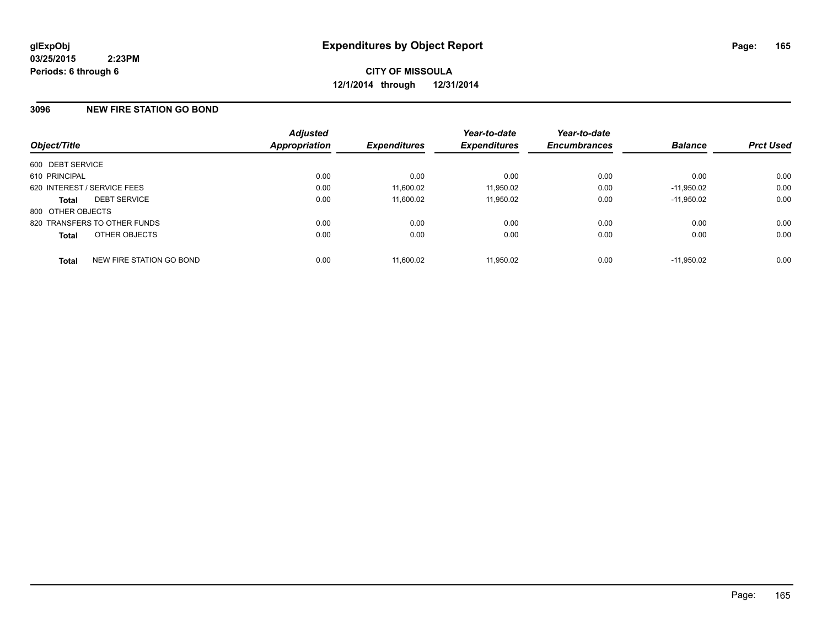#### **3096 NEW FIRE STATION GO BOND**

| Object/Title                |                              | <b>Adjusted</b><br><b>Appropriation</b> | <b>Expenditures</b> | Year-to-date<br><b>Expenditures</b> | Year-to-date<br><b>Encumbrances</b> | <b>Balance</b> | <b>Prct Used</b> |
|-----------------------------|------------------------------|-----------------------------------------|---------------------|-------------------------------------|-------------------------------------|----------------|------------------|
| 600 DEBT SERVICE            |                              |                                         |                     |                                     |                                     |                |                  |
| 610 PRINCIPAL               |                              | 0.00                                    | 0.00                | 0.00                                | 0.00                                | 0.00           | 0.00             |
| 620 INTEREST / SERVICE FEES |                              | 0.00                                    | 11,600.02           | 11,950.02                           | 0.00                                | $-11.950.02$   | 0.00             |
| <b>Total</b>                | <b>DEBT SERVICE</b>          | 0.00                                    | 11,600.02           | 11,950.02                           | 0.00                                | $-11.950.02$   | 0.00             |
| 800 OTHER OBJECTS           |                              |                                         |                     |                                     |                                     |                |                  |
|                             | 820 TRANSFERS TO OTHER FUNDS | 0.00                                    | 0.00                | 0.00                                | 0.00                                | 0.00           | 0.00             |
| <b>Total</b>                | OTHER OBJECTS                | 0.00                                    | 0.00                | 0.00                                | 0.00                                | 0.00           | 0.00             |
| <b>Total</b>                | NEW FIRE STATION GO BOND     | 0.00                                    | 11.600.02           | 11.950.02                           | 0.00                                | $-11.950.02$   | 0.00             |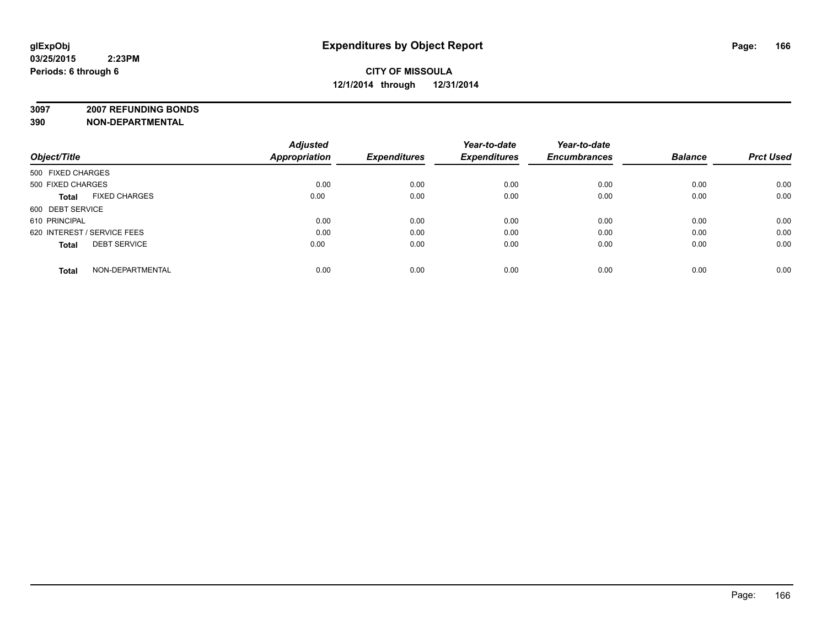**3097 2007 REFUNDING BONDS**

| Object/Title                         | <b>Adjusted</b><br><b>Appropriation</b> | <b>Expenditures</b> | Year-to-date<br><b>Expenditures</b> | Year-to-date<br><b>Encumbrances</b> | <b>Balance</b> | <b>Prct Used</b> |
|--------------------------------------|-----------------------------------------|---------------------|-------------------------------------|-------------------------------------|----------------|------------------|
| 500 FIXED CHARGES                    |                                         |                     |                                     |                                     |                |                  |
| 500 FIXED CHARGES                    | 0.00                                    | 0.00                | 0.00                                | 0.00                                | 0.00           | 0.00             |
| <b>FIXED CHARGES</b><br><b>Total</b> | 0.00                                    | 0.00                | 0.00                                | 0.00                                | 0.00           | 0.00             |
| 600 DEBT SERVICE                     |                                         |                     |                                     |                                     |                |                  |
| 610 PRINCIPAL                        | 0.00                                    | 0.00                | 0.00                                | 0.00                                | 0.00           | 0.00             |
| 620 INTEREST / SERVICE FEES          | 0.00                                    | 0.00                | 0.00                                | 0.00                                | 0.00           | 0.00             |
| <b>DEBT SERVICE</b><br><b>Total</b>  | 0.00                                    | 0.00                | 0.00                                | 0.00                                | 0.00           | 0.00             |
| NON-DEPARTMENTAL<br><b>Total</b>     | 0.00                                    | 0.00                | 0.00                                | 0.00                                | 0.00           | 0.00             |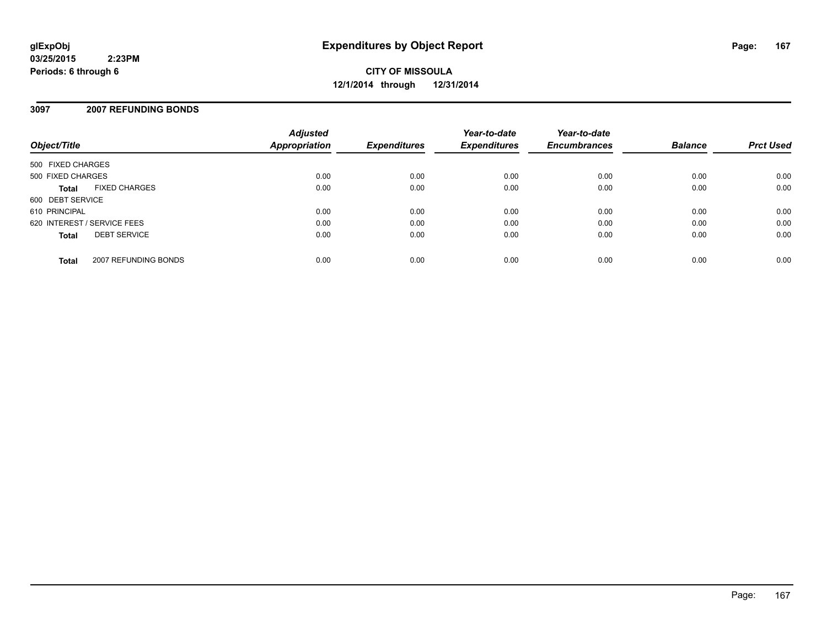**CITY OF MISSOULA 12/1/2014 through 12/31/2014**

#### **3097 2007 REFUNDING BONDS**

| Object/Title                         | <b>Adjusted</b><br>Appropriation | <b>Expenditures</b> | Year-to-date<br><b>Expenditures</b> | Year-to-date<br><b>Encumbrances</b> | <b>Balance</b> | <b>Prct Used</b> |
|--------------------------------------|----------------------------------|---------------------|-------------------------------------|-------------------------------------|----------------|------------------|
| 500 FIXED CHARGES                    |                                  |                     |                                     |                                     |                |                  |
| 500 FIXED CHARGES                    | 0.00                             | 0.00                | 0.00                                | 0.00                                | 0.00           | 0.00             |
| <b>FIXED CHARGES</b><br><b>Total</b> | 0.00                             | 0.00                | 0.00                                | 0.00                                | 0.00           | 0.00             |
| 600 DEBT SERVICE                     |                                  |                     |                                     |                                     |                |                  |
| 610 PRINCIPAL                        | 0.00                             | 0.00                | 0.00                                | 0.00                                | 0.00           | 0.00             |
| 620 INTEREST / SERVICE FEES          | 0.00                             | 0.00                | 0.00                                | 0.00                                | 0.00           | 0.00             |
| <b>DEBT SERVICE</b><br><b>Total</b>  | 0.00                             | 0.00                | 0.00                                | 0.00                                | 0.00           | 0.00             |
| 2007 REFUNDING BONDS<br><b>Total</b> | 0.00                             | 0.00                | 0.00                                | 0.00                                | 0.00           | 0.00             |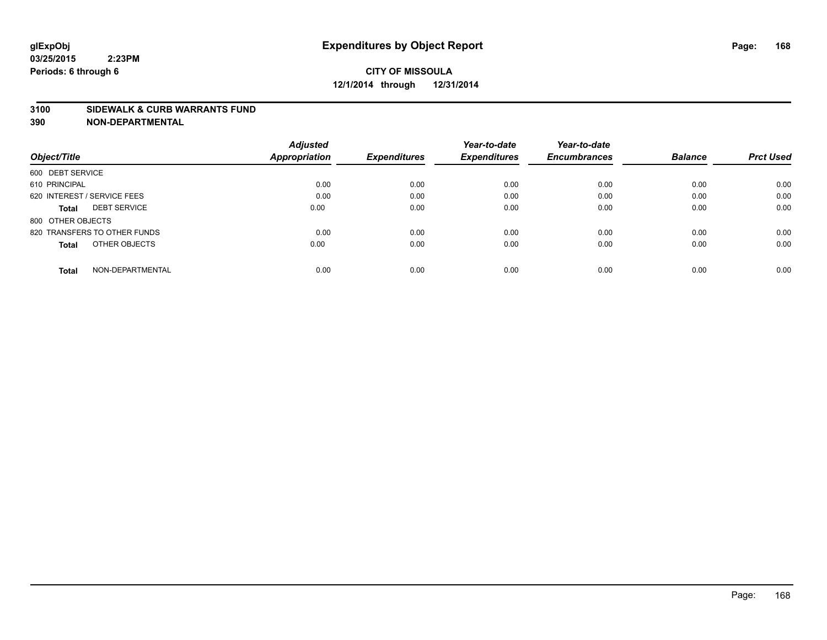#### **3100 SIDEWALK & CURB WARRANTS FUND**

| Object/Title                     | <b>Adjusted</b><br><b>Appropriation</b> | <b>Expenditures</b> | Year-to-date<br><b>Expenditures</b> | Year-to-date<br><b>Encumbrances</b> | <b>Balance</b> | <b>Prct Used</b> |
|----------------------------------|-----------------------------------------|---------------------|-------------------------------------|-------------------------------------|----------------|------------------|
|                                  |                                         |                     |                                     |                                     |                |                  |
| 600 DEBT SERVICE                 |                                         |                     |                                     |                                     |                |                  |
| 610 PRINCIPAL                    | 0.00                                    | 0.00                | 0.00                                | 0.00                                | 0.00           | 0.00             |
| 620 INTEREST / SERVICE FEES      | 0.00                                    | 0.00                | 0.00                                | 0.00                                | 0.00           | 0.00             |
| <b>DEBT SERVICE</b><br>Total     | 0.00                                    | 0.00                | 0.00                                | 0.00                                | 0.00           | 0.00             |
| 800 OTHER OBJECTS                |                                         |                     |                                     |                                     |                |                  |
| 820 TRANSFERS TO OTHER FUNDS     | 0.00                                    | 0.00                | 0.00                                | 0.00                                | 0.00           | 0.00             |
| OTHER OBJECTS<br>Total           | 0.00                                    | 0.00                | 0.00                                | 0.00                                | 0.00           | 0.00             |
| NON-DEPARTMENTAL<br><b>Total</b> | 0.00                                    | 0.00                | 0.00                                | 0.00                                | 0.00           | 0.00             |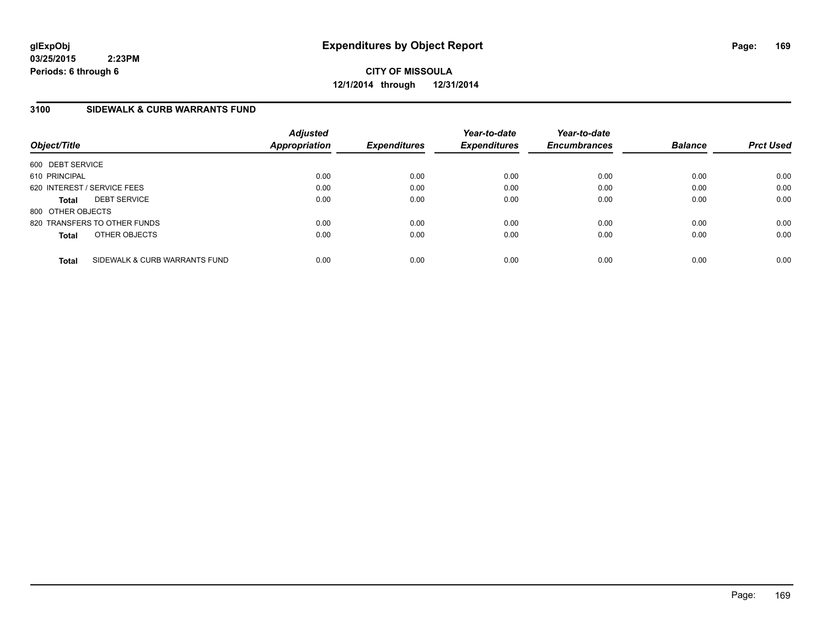**CITY OF MISSOULA 12/1/2014 through 12/31/2014**

#### **3100 SIDEWALK & CURB WARRANTS FUND**

| Object/Title      |                               | <b>Adjusted</b><br>Appropriation | <b>Expenditures</b> | Year-to-date<br><b>Expenditures</b> | Year-to-date<br><b>Encumbrances</b> | <b>Balance</b> | <b>Prct Used</b> |
|-------------------|-------------------------------|----------------------------------|---------------------|-------------------------------------|-------------------------------------|----------------|------------------|
| 600 DEBT SERVICE  |                               |                                  |                     |                                     |                                     |                |                  |
| 610 PRINCIPAL     |                               | 0.00                             | 0.00                | 0.00                                | 0.00                                | 0.00           | 0.00             |
|                   | 620 INTEREST / SERVICE FEES   | 0.00                             | 0.00                | 0.00                                | 0.00                                | 0.00           | 0.00             |
| <b>Total</b>      | <b>DEBT SERVICE</b>           | 0.00                             | 0.00                | 0.00                                | 0.00                                | 0.00           | 0.00             |
| 800 OTHER OBJECTS |                               |                                  |                     |                                     |                                     |                |                  |
|                   | 820 TRANSFERS TO OTHER FUNDS  | 0.00                             | 0.00                | 0.00                                | 0.00                                | 0.00           | 0.00             |
| <b>Total</b>      | OTHER OBJECTS                 | 0.00                             | 0.00                | 0.00                                | 0.00                                | 0.00           | 0.00             |
| <b>Total</b>      | SIDEWALK & CURB WARRANTS FUND | 0.00                             | 0.00                | 0.00                                | 0.00                                | 0.00           | 0.00             |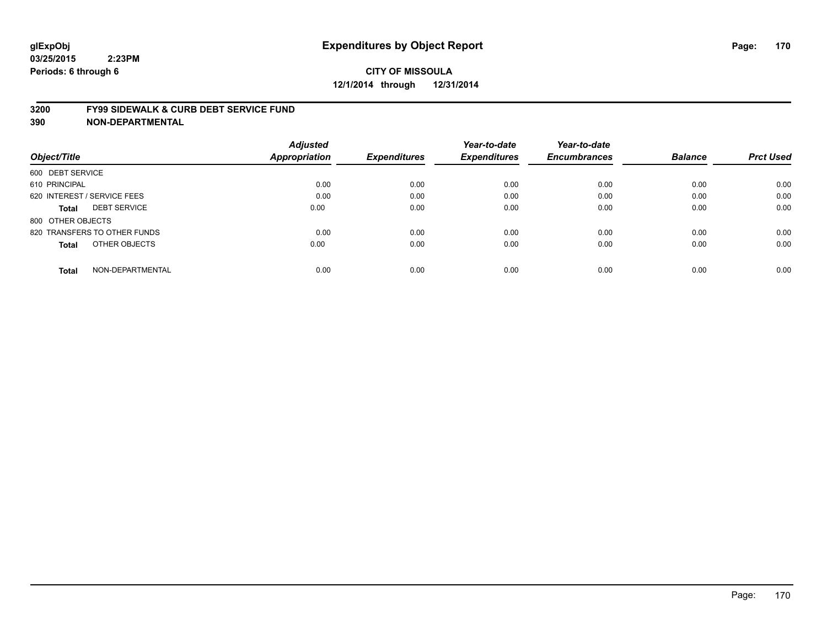#### **3200 FY99 SIDEWALK & CURB DEBT SERVICE FUND**

| Object/Title                     | <b>Adjusted</b><br><b>Appropriation</b> | <b>Expenditures</b> | Year-to-date<br><b>Expenditures</b> | Year-to-date<br><b>Encumbrances</b> | <b>Balance</b> | <b>Prct Used</b> |
|----------------------------------|-----------------------------------------|---------------------|-------------------------------------|-------------------------------------|----------------|------------------|
|                                  |                                         |                     |                                     |                                     |                |                  |
| 600 DEBT SERVICE                 |                                         |                     |                                     |                                     |                |                  |
| 610 PRINCIPAL                    | 0.00                                    | 0.00                | 0.00                                | 0.00                                | 0.00           | 0.00             |
| 620 INTEREST / SERVICE FEES      | 0.00                                    | 0.00                | 0.00                                | 0.00                                | 0.00           | 0.00             |
| <b>DEBT SERVICE</b><br>Total     | 0.00                                    | 0.00                | 0.00                                | 0.00                                | 0.00           | 0.00             |
| 800 OTHER OBJECTS                |                                         |                     |                                     |                                     |                |                  |
| 820 TRANSFERS TO OTHER FUNDS     | 0.00                                    | 0.00                | 0.00                                | 0.00                                | 0.00           | 0.00             |
| OTHER OBJECTS<br>Total           | 0.00                                    | 0.00                | 0.00                                | 0.00                                | 0.00           | 0.00             |
| NON-DEPARTMENTAL<br><b>Total</b> | 0.00                                    | 0.00                | 0.00                                | 0.00                                | 0.00           | 0.00             |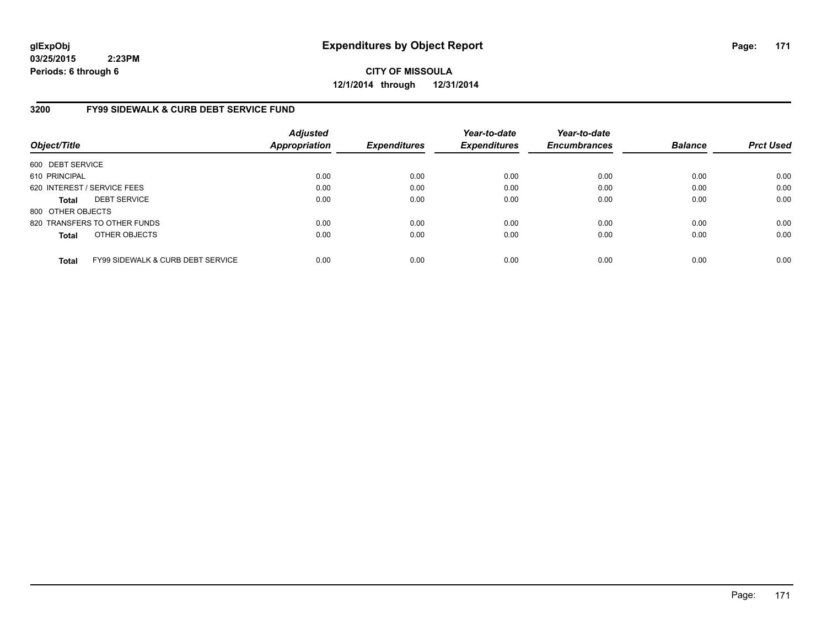**CITY OF MISSOULA 12/1/2014 through 12/31/2014**

#### **3200 FY99 SIDEWALK & CURB DEBT SERVICE FUND**

| Object/Title      |                                              | <b>Adjusted</b><br><b>Appropriation</b> | <b>Expenditures</b> | Year-to-date<br><b>Expenditures</b> | Year-to-date<br><b>Encumbrances</b> | <b>Balance</b> | <b>Prct Used</b> |
|-------------------|----------------------------------------------|-----------------------------------------|---------------------|-------------------------------------|-------------------------------------|----------------|------------------|
| 600 DEBT SERVICE  |                                              |                                         |                     |                                     |                                     |                |                  |
| 610 PRINCIPAL     |                                              | 0.00                                    | 0.00                | 0.00                                | 0.00                                | 0.00           | 0.00             |
|                   | 620 INTEREST / SERVICE FEES                  | 0.00                                    | 0.00                | 0.00                                | 0.00                                | 0.00           | 0.00             |
| <b>Total</b>      | <b>DEBT SERVICE</b>                          | 0.00                                    | 0.00                | 0.00                                | 0.00                                | 0.00           | 0.00             |
| 800 OTHER OBJECTS |                                              |                                         |                     |                                     |                                     |                |                  |
|                   | 820 TRANSFERS TO OTHER FUNDS                 | 0.00                                    | 0.00                | 0.00                                | 0.00                                | 0.00           | 0.00             |
| <b>Total</b>      | OTHER OBJECTS                                | 0.00                                    | 0.00                | 0.00                                | 0.00                                | 0.00           | 0.00             |
| <b>Total</b>      | <b>FY99 SIDEWALK &amp; CURB DEBT SERVICE</b> | 0.00                                    | 0.00                | 0.00                                | 0.00                                | 0.00           | 0.00             |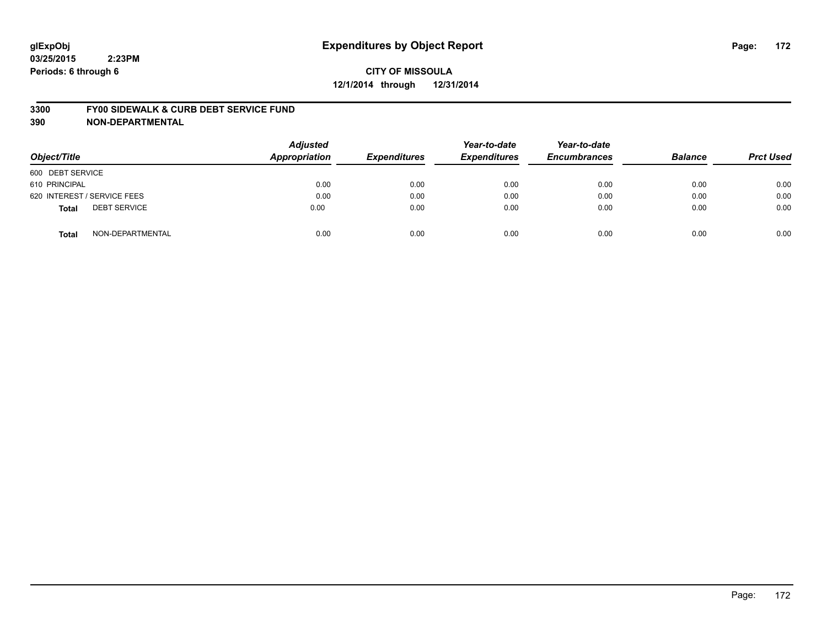## **CITY OF MISSOULA 12/1/2014 through 12/31/2014**

#### **3300 FY00 SIDEWALK & CURB DEBT SERVICE FUND**

| Object/Title                        | <b>Adjusted</b><br>Appropriation | <b>Expenditures</b> | Year-to-date<br><b>Expenditures</b> | Year-to-date<br><b>Encumbrances</b> | <b>Balance</b> | <b>Prct Used</b> |
|-------------------------------------|----------------------------------|---------------------|-------------------------------------|-------------------------------------|----------------|------------------|
| 600 DEBT SERVICE                    |                                  |                     |                                     |                                     |                |                  |
| 610 PRINCIPAL                       | 0.00                             | 0.00                | 0.00                                | 0.00                                | 0.00           | 0.00             |
| 620 INTEREST / SERVICE FEES         | 0.00                             | 0.00                | 0.00                                | 0.00                                | 0.00           | 0.00             |
| <b>DEBT SERVICE</b><br><b>Total</b> | 0.00                             | 0.00                | 0.00                                | 0.00                                | 0.00           | 0.00             |
| NON-DEPARTMENTAL<br><b>Total</b>    | 0.00                             | 0.00                | 0.00                                | 0.00                                | 0.00           | 0.00             |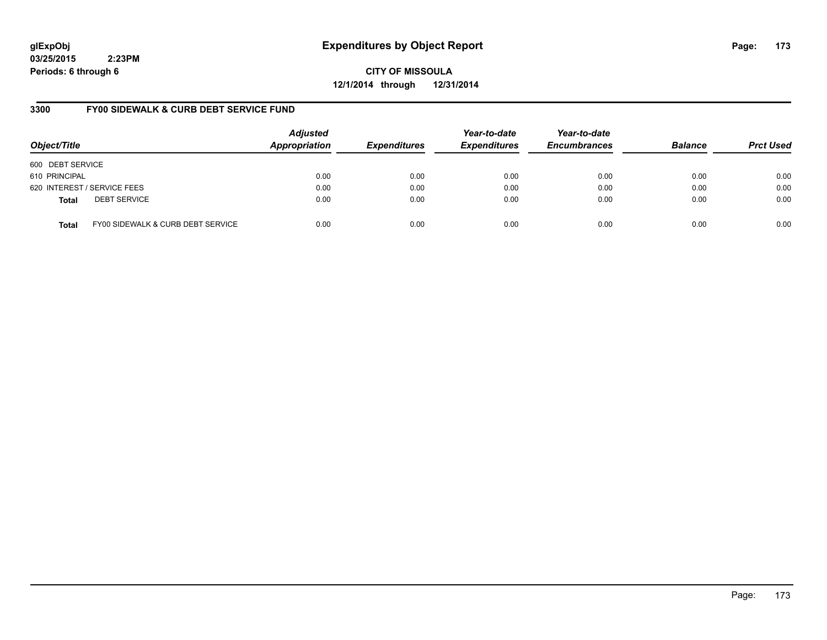## **glExpObj Expenditures by Object Report Page: 173**

**03/25/2015 2:23PM Periods: 6 through 6**

**CITY OF MISSOULA 12/1/2014 through 12/31/2014**

#### **3300 FY00 SIDEWALK & CURB DEBT SERVICE FUND**

| Object/Title     |                                   | <b>Adjusted</b><br>Appropriation | <b>Expenditures</b> | Year-to-date<br><b>Expenditures</b> | Year-to-date<br><b>Encumbrances</b> | <b>Balance</b> | <b>Prct Used</b> |
|------------------|-----------------------------------|----------------------------------|---------------------|-------------------------------------|-------------------------------------|----------------|------------------|
| 600 DEBT SERVICE |                                   |                                  |                     |                                     |                                     |                |                  |
| 610 PRINCIPAL    |                                   | 0.00                             | 0.00                | 0.00                                | 0.00                                | 0.00           | 0.00             |
|                  | 620 INTEREST / SERVICE FEES       | 0.00                             | 0.00                | 0.00                                | 0.00                                | 0.00           | 0.00             |
| <b>Total</b>     | <b>DEBT SERVICE</b>               | 0.00                             | 0.00                | 0.00                                | 0.00                                | 0.00           | 0.00             |
| <b>Total</b>     | FY00 SIDEWALK & CURB DEBT SERVICE | 0.00                             | 0.00                | 0.00                                | 0.00                                | 0.00           | 0.00             |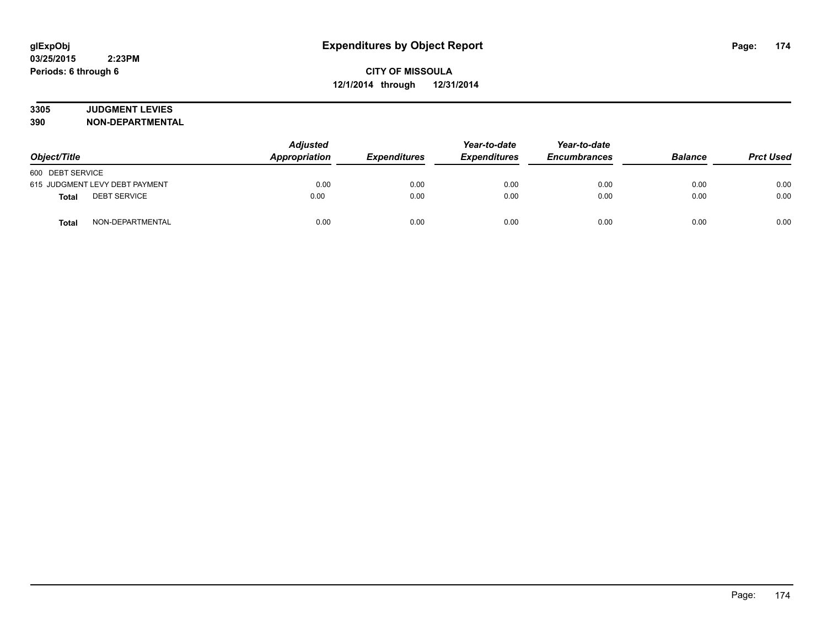# **3305 JUDGMENT LEVIES**

| Object/Title                        | <b>Adjusted</b><br>Appropriation | <b>Expenditures</b> | Year-to-date<br><b>Expenditures</b> | Year-to-date<br><b>Encumbrances</b> | <b>Balance</b> | <b>Prct Used</b> |
|-------------------------------------|----------------------------------|---------------------|-------------------------------------|-------------------------------------|----------------|------------------|
| 600 DEBT SERVICE                    |                                  |                     |                                     |                                     |                |                  |
| 615 JUDGMENT LEVY DEBT PAYMENT      | 0.00                             | 0.00                | 0.00                                | 0.00                                | 0.00           | 0.00             |
| <b>DEBT SERVICE</b><br><b>Total</b> | 0.00                             | 0.00                | 0.00                                | 0.00                                | 0.00           | 0.00             |
| NON-DEPARTMENTAL<br><b>Total</b>    | 0.00                             | 0.00                | 0.00                                | 0.00                                | 0.00           | 0.00             |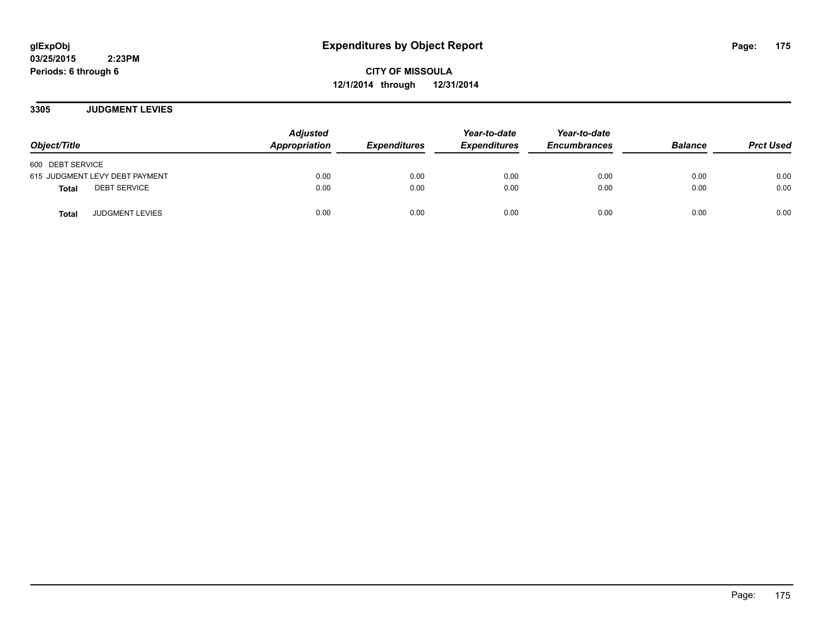**CITY OF MISSOULA 12/1/2014 through 12/31/2014**

**3305 JUDGMENT LEVIES**

| Object/Title                           | <b>Adjusted</b><br>Appropriation | <b>Expenditures</b> | Year-to-date<br><b>Expenditures</b> | Year-to-date<br><b>Encumbrances</b> | <b>Balance</b> | <b>Prct Used</b> |
|----------------------------------------|----------------------------------|---------------------|-------------------------------------|-------------------------------------|----------------|------------------|
| 600 DEBT SERVICE                       |                                  |                     |                                     |                                     |                |                  |
| 615 JUDGMENT LEVY DEBT PAYMENT         | 0.00                             | 0.00                | 0.00                                | 0.00                                | 0.00           | 0.00             |
| <b>DEBT SERVICE</b><br><b>Total</b>    | 0.00                             | 0.00                | 0.00                                | 0.00                                | 0.00           | 0.00             |
| <b>JUDGMENT LEVIES</b><br><b>Total</b> | 0.00                             | 0.00                | 0.00                                | 0.00                                | 0.00           | 0.00             |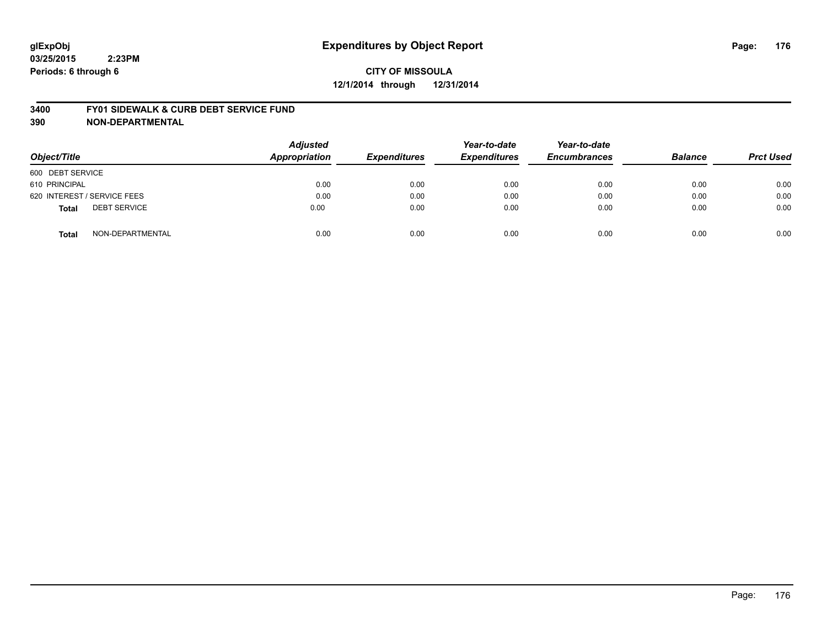## **CITY OF MISSOULA 12/1/2014 through 12/31/2014**

#### **3400 FY01 SIDEWALK & CURB DEBT SERVICE FUND**

| Object/Title                        | <b>Adjusted</b><br>Appropriation | <b>Expenditures</b> | Year-to-date<br><b>Expenditures</b> | Year-to-date<br><b>Encumbrances</b> | <b>Balance</b> | <b>Prct Used</b> |
|-------------------------------------|----------------------------------|---------------------|-------------------------------------|-------------------------------------|----------------|------------------|
| 600 DEBT SERVICE                    |                                  |                     |                                     |                                     |                |                  |
| 610 PRINCIPAL                       | 0.00                             | 0.00                | 0.00                                | 0.00                                | 0.00           | 0.00             |
| 620 INTEREST / SERVICE FEES         | 0.00                             | 0.00                | 0.00                                | 0.00                                | 0.00           | 0.00             |
| <b>DEBT SERVICE</b><br><b>Total</b> | 0.00                             | 0.00                | 0.00                                | 0.00                                | 0.00           | 0.00             |
| NON-DEPARTMENTAL<br><b>Total</b>    | 0.00                             | 0.00                | 0.00                                | 0.00                                | 0.00           | 0.00             |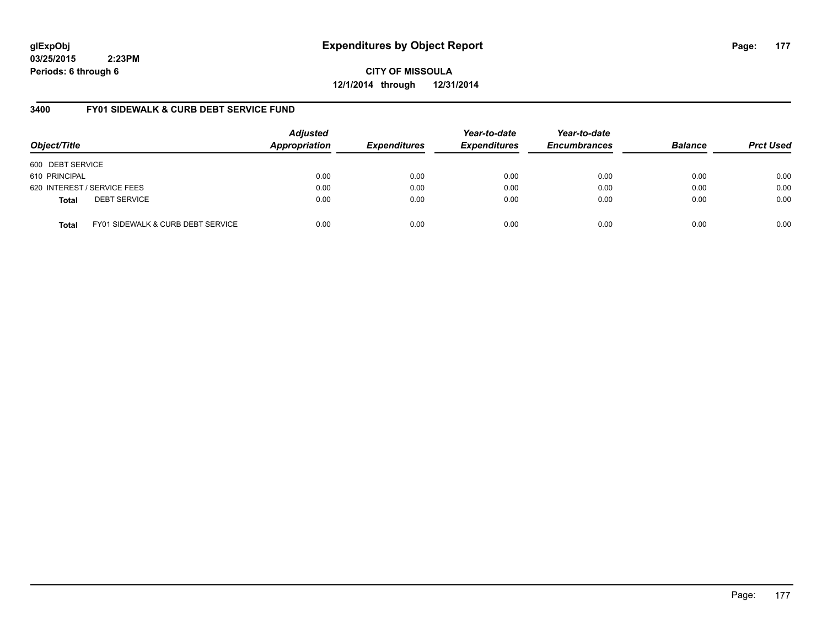## **glExpObj Expenditures by Object Report Page: 177**

**03/25/2015 2:23PM Periods: 6 through 6**

**CITY OF MISSOULA 12/1/2014 through 12/31/2014**

#### **3400 FY01 SIDEWALK & CURB DEBT SERVICE FUND**

| Object/Title     |                                   | <b>Adjusted</b><br>Appropriation | <b>Expenditures</b> | Year-to-date<br><b>Expenditures</b> | Year-to-date<br><b>Encumbrances</b> | <b>Balance</b> | <b>Prct Used</b> |
|------------------|-----------------------------------|----------------------------------|---------------------|-------------------------------------|-------------------------------------|----------------|------------------|
| 600 DEBT SERVICE |                                   |                                  |                     |                                     |                                     |                |                  |
| 610 PRINCIPAL    |                                   | 0.00                             | 0.00                | 0.00                                | 0.00                                | 0.00           | 0.00             |
|                  | 620 INTEREST / SERVICE FEES       | 0.00                             | 0.00                | 0.00                                | 0.00                                | 0.00           | 0.00             |
| <b>Total</b>     | <b>DEBT SERVICE</b>               | 0.00                             | 0.00                | 0.00                                | 0.00                                | 0.00           | 0.00             |
| <b>Total</b>     | FY01 SIDEWALK & CURB DEBT SERVICE | 0.00                             | 0.00                | 0.00                                | 0.00                                | 0.00           | 0.00             |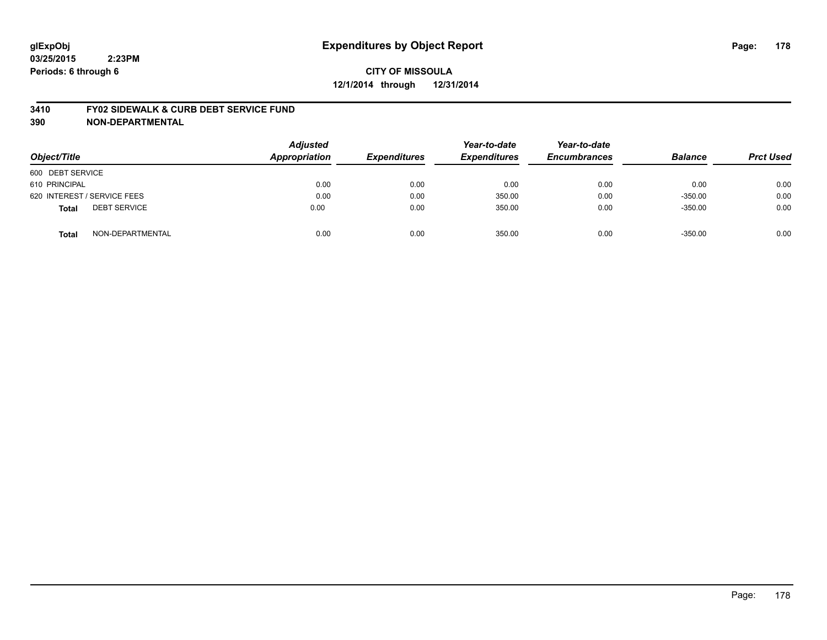## **CITY OF MISSOULA 12/1/2014 through 12/31/2014**

#### **3410 FY02 SIDEWALK & CURB DEBT SERVICE FUND**

| Object/Title                        | <b>Adjusted</b><br><b>Appropriation</b> | <b>Expenditures</b> | Year-to-date<br><b>Expenditures</b> | Year-to-date<br><b>Encumbrances</b> | <b>Balance</b> | <b>Prct Used</b> |
|-------------------------------------|-----------------------------------------|---------------------|-------------------------------------|-------------------------------------|----------------|------------------|
| 600 DEBT SERVICE                    |                                         |                     |                                     |                                     |                |                  |
| 610 PRINCIPAL                       | 0.00                                    | 0.00                | 0.00                                | 0.00                                | 0.00           | 0.00             |
| 620 INTEREST / SERVICE FEES         | 0.00                                    | 0.00                | 350.00                              | 0.00                                | $-350.00$      | 0.00             |
| <b>DEBT SERVICE</b><br><b>Total</b> | 0.00                                    | 0.00                | 350.00                              | 0.00                                | $-350.00$      | 0.00             |
| NON-DEPARTMENTAL<br><b>Total</b>    | 0.00                                    | 0.00                | 350.00                              | 0.00                                | $-350.00$      | 0.00             |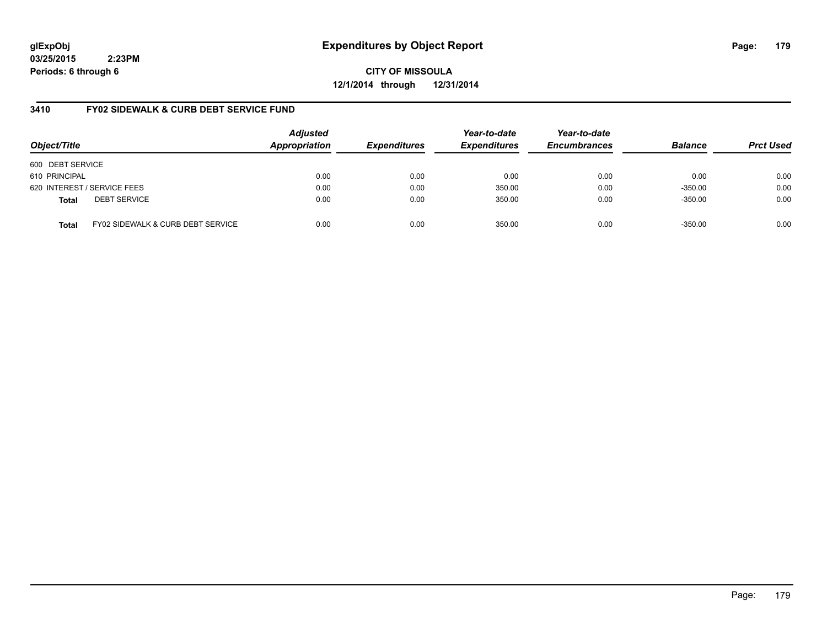## **glExpObj Expenditures by Object Report Page: 179**

**03/25/2015 2:23PM Periods: 6 through 6**

**CITY OF MISSOULA 12/1/2014 through 12/31/2014**

#### **3410 FY02 SIDEWALK & CURB DEBT SERVICE FUND**

| Object/Title     |                                              | <b>Adjusted</b><br>Appropriation | <b>Expenditures</b> | Year-to-date<br><b>Expenditures</b> | Year-to-date<br><b>Encumbrances</b> | <b>Balance</b> | <b>Prct Used</b> |
|------------------|----------------------------------------------|----------------------------------|---------------------|-------------------------------------|-------------------------------------|----------------|------------------|
| 600 DEBT SERVICE |                                              |                                  |                     |                                     |                                     |                |                  |
| 610 PRINCIPAL    |                                              | 0.00                             | 0.00                | 0.00                                | 0.00                                | 0.00           | 0.00             |
|                  | 620 INTEREST / SERVICE FEES                  | 0.00                             | 0.00                | 350.00                              | 0.00                                | $-350.00$      | 0.00             |
| <b>Total</b>     | <b>DEBT SERVICE</b>                          | 0.00                             | 0.00                | 350.00                              | 0.00                                | $-350.00$      | 0.00             |
| Total            | <b>FY02 SIDEWALK &amp; CURB DEBT SERVICE</b> | 0.00                             | 0.00                | 350.00                              | 0.00                                | $-350.00$      | 0.00             |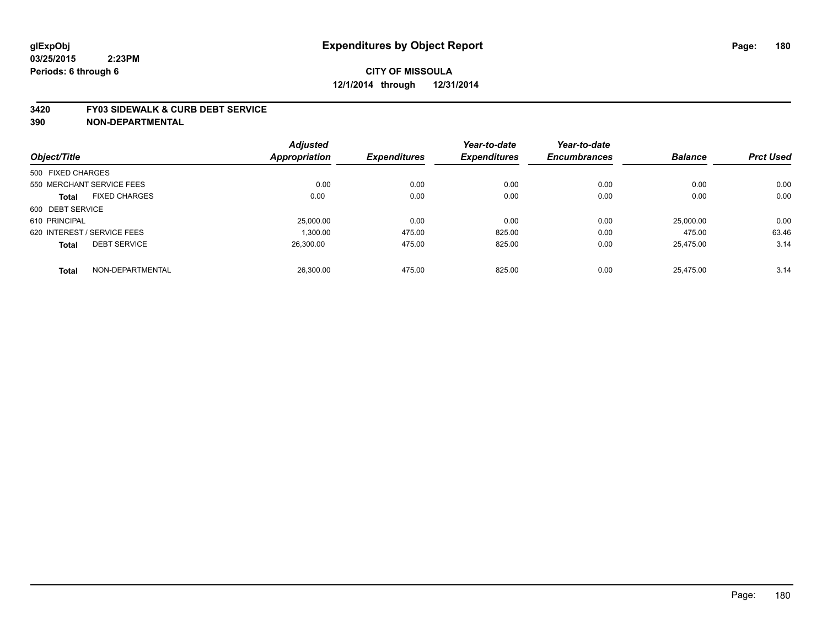#### **3420 FY03 SIDEWALK & CURB DEBT SERVICE**

|                             |                      | <b>Adjusted</b> |                     | Year-to-date        | Year-to-date        |                |                  |
|-----------------------------|----------------------|-----------------|---------------------|---------------------|---------------------|----------------|------------------|
| Object/Title                |                      | Appropriation   | <b>Expenditures</b> | <b>Expenditures</b> | <b>Encumbrances</b> | <b>Balance</b> | <b>Prct Used</b> |
| 500 FIXED CHARGES           |                      |                 |                     |                     |                     |                |                  |
| 550 MERCHANT SERVICE FEES   |                      | 0.00            | 0.00                | 0.00                | 0.00                | 0.00           | 0.00             |
| <b>Total</b>                | <b>FIXED CHARGES</b> | 0.00            | 0.00                | 0.00                | 0.00                | 0.00           | 0.00             |
| 600 DEBT SERVICE            |                      |                 |                     |                     |                     |                |                  |
| 610 PRINCIPAL               |                      | 25,000.00       | 0.00                | 0.00                | 0.00                | 25,000.00      | 0.00             |
| 620 INTEREST / SERVICE FEES |                      | 1.300.00        | 475.00              | 825.00              | 0.00                | 475.00         | 63.46            |
| <b>Total</b>                | <b>DEBT SERVICE</b>  | 26.300.00       | 475.00              | 825.00              | 0.00                | 25.475.00      | 3.14             |
| <b>Total</b>                | NON-DEPARTMENTAL     | 26.300.00       | 475.00              | 825.00              | 0.00                | 25.475.00      | 3.14             |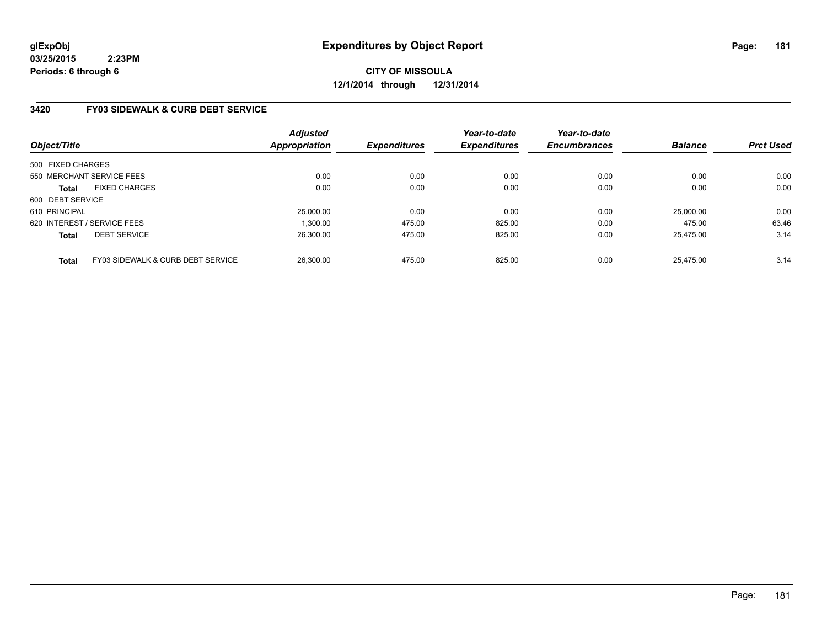# **CITY OF MISSOULA 12/1/2014 through 12/31/2014**

# **3420 FY03 SIDEWALK & CURB DEBT SERVICE**

| Object/Title      |                                              | <b>Adjusted</b><br>Appropriation | <b>Expenditures</b> | Year-to-date<br><b>Expenditures</b> | Year-to-date<br><b>Encumbrances</b> | <b>Balance</b> | <b>Prct Used</b> |
|-------------------|----------------------------------------------|----------------------------------|---------------------|-------------------------------------|-------------------------------------|----------------|------------------|
| 500 FIXED CHARGES |                                              |                                  |                     |                                     |                                     |                |                  |
|                   | 550 MERCHANT SERVICE FEES                    | 0.00                             | 0.00                | 0.00                                | 0.00                                | 0.00           | 0.00             |
| <b>Total</b>      | <b>FIXED CHARGES</b>                         | 0.00                             | 0.00                | 0.00                                | 0.00                                | 0.00           | 0.00             |
| 600 DEBT SERVICE  |                                              |                                  |                     |                                     |                                     |                |                  |
| 610 PRINCIPAL     |                                              | 25.000.00                        | 0.00                | 0.00                                | 0.00                                | 25,000.00      | 0.00             |
|                   | 620 INTEREST / SERVICE FEES                  | 1.300.00                         | 475.00              | 825.00                              | 0.00                                | 475.00         | 63.46            |
| <b>Total</b>      | <b>DEBT SERVICE</b>                          | 26.300.00                        | 475.00              | 825.00                              | 0.00                                | 25.475.00      | 3.14             |
| <b>Total</b>      | <b>FY03 SIDEWALK &amp; CURB DEBT SERVICE</b> | 26,300.00                        | 475.00              | 825.00                              | 0.00                                | 25.475.00      | 3.14             |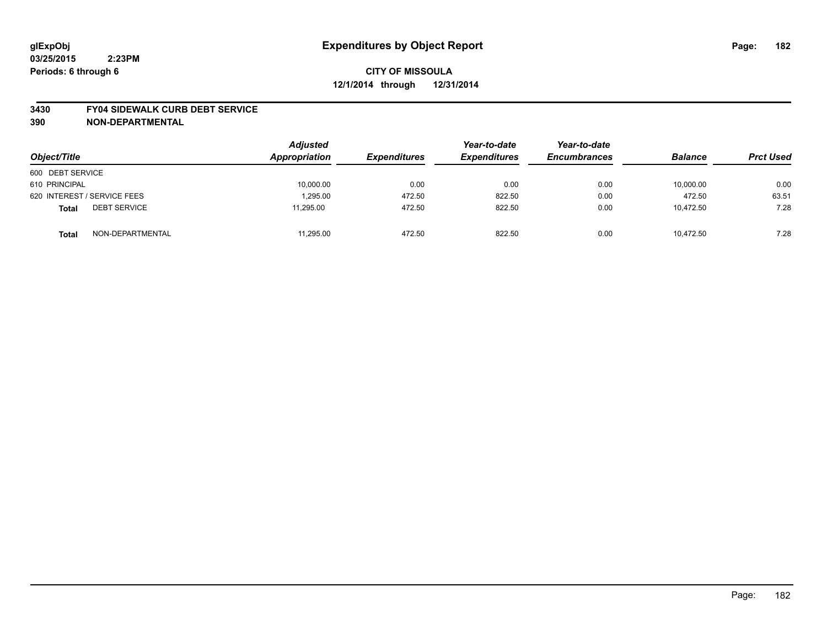#### **3430 FY04 SIDEWALK CURB DEBT SERVICE**

| Object/Title                        | <b>Adjusted</b><br>Appropriation | <b>Expenditures</b> | Year-to-date<br><b>Expenditures</b> | Year-to-date<br><b>Encumbrances</b> | <b>Balance</b> | <b>Prct Used</b> |
|-------------------------------------|----------------------------------|---------------------|-------------------------------------|-------------------------------------|----------------|------------------|
| 600 DEBT SERVICE                    |                                  |                     |                                     |                                     |                |                  |
| 610 PRINCIPAL                       | 10,000.00                        | 0.00                | 0.00                                | 0.00                                | 10,000.00      | 0.00             |
| 620 INTEREST / SERVICE FEES         | 1.295.00                         | 472.50              | 822.50                              | 0.00                                | 472.50         | 63.51            |
| <b>DEBT SERVICE</b><br><b>Total</b> | 11,295.00                        | 472.50              | 822.50                              | 0.00                                | 10,472.50      | 7.28             |
| NON-DEPARTMENTAL<br><b>Total</b>    | 11,295.00                        | 472.50              | 822.50                              | 0.00                                | 10.472.50      | 7.28             |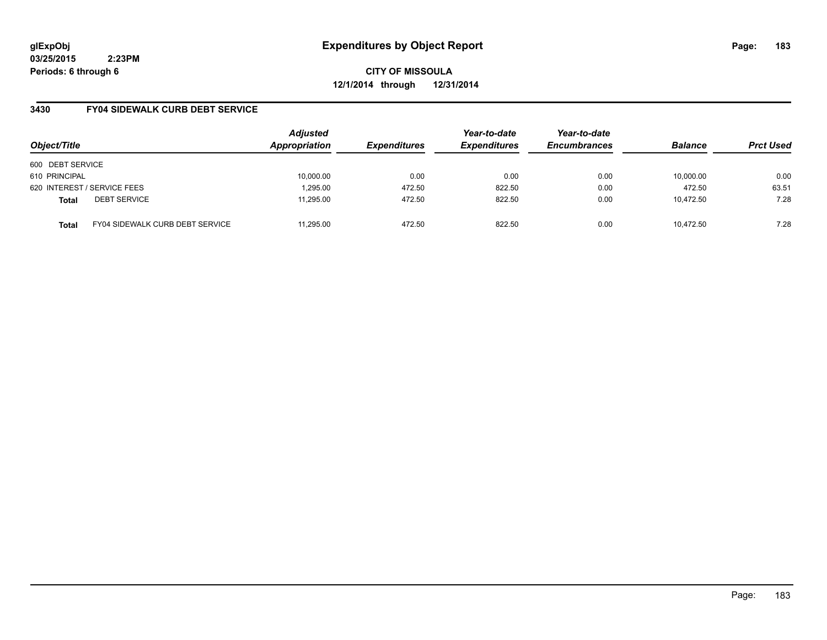**CITY OF MISSOULA 12/1/2014 through 12/31/2014**

## **3430 FY04 SIDEWALK CURB DEBT SERVICE**

| Object/Title     |                                        | <b>Adjusted</b><br>Appropriation | <b>Expenditures</b> | Year-to-date<br><b>Expenditures</b> | Year-to-date<br><b>Encumbrances</b> | <b>Balance</b> | <b>Prct Used</b> |
|------------------|----------------------------------------|----------------------------------|---------------------|-------------------------------------|-------------------------------------|----------------|------------------|
| 600 DEBT SERVICE |                                        |                                  |                     |                                     |                                     |                |                  |
| 610 PRINCIPAL    |                                        | 10,000.00                        | 0.00                | 0.00                                | 0.00                                | 10.000.00      | 0.00             |
|                  | 620 INTEREST / SERVICE FEES            | 1,295.00                         | 472.50              | 822.50                              | 0.00                                | 472.50         | 63.51            |
| <b>Total</b>     | <b>DEBT SERVICE</b>                    | 11.295.00                        | 472.50              | 822.50                              | 0.00                                | 10.472.50      | 7.28             |
| <b>Total</b>     | <b>FY04 SIDEWALK CURB DEBT SERVICE</b> | 11.295.00                        | 472.50              | 822.50                              | 0.00                                | 10.472.50      | 7.28             |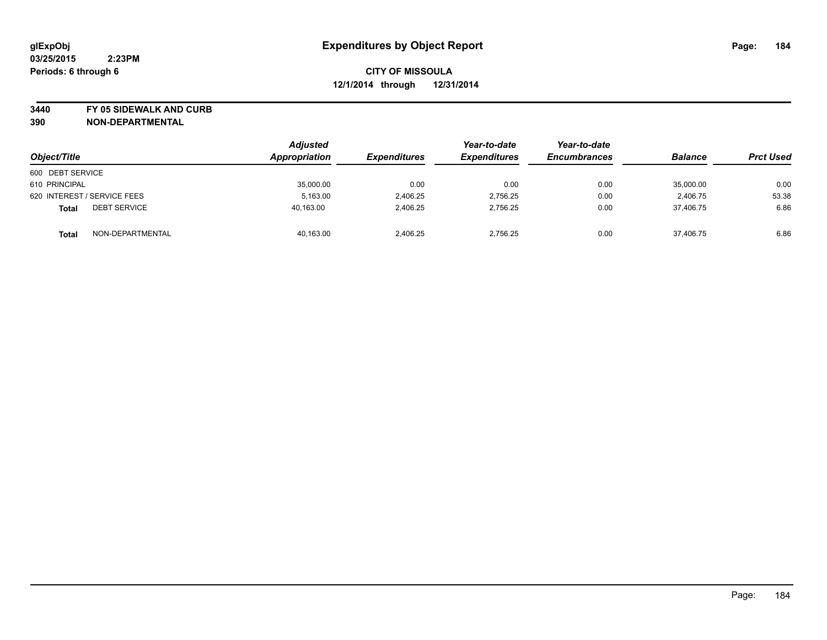**3440 FY 05 SIDEWALK AND CURB**

| Object/Title                        | <b>Adjusted</b><br>Appropriation | <b>Expenditures</b> | Year-to-date<br><b>Expenditures</b> | Year-to-date<br><b>Encumbrances</b> | <b>Balance</b> | <b>Prct Used</b> |
|-------------------------------------|----------------------------------|---------------------|-------------------------------------|-------------------------------------|----------------|------------------|
| 600 DEBT SERVICE                    |                                  |                     |                                     |                                     |                |                  |
| 610 PRINCIPAL                       | 35,000.00                        | 0.00                | 0.00                                | 0.00                                | 35,000.00      | 0.00             |
| 620 INTEREST / SERVICE FEES         | 5,163.00                         | 2,406.25            | 2.756.25                            | 0.00                                | 2.406.75       | 53.38            |
| <b>DEBT SERVICE</b><br><b>Total</b> | 40,163.00                        | 2,406.25            | 2,756.25                            | 0.00                                | 37,406.75      | 6.86             |
| NON-DEPARTMENTAL<br><b>Total</b>    | 40,163.00                        | 2,406.25            | 2.756.25                            | 0.00                                | 37,406.75      | 6.86             |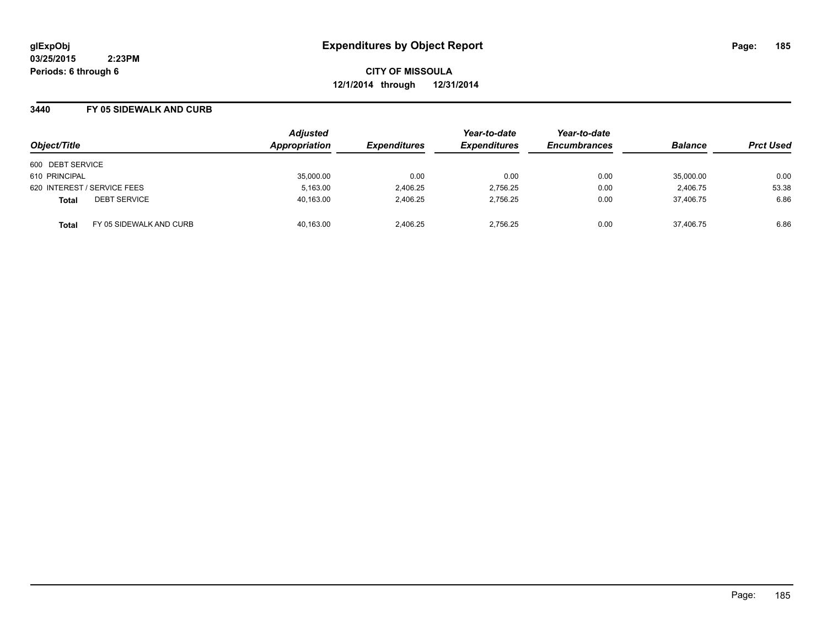**CITY OF MISSOULA 12/1/2014 through 12/31/2014**

#### **3440 FY 05 SIDEWALK AND CURB**

|                                         | <b>Adjusted</b> |                     | Year-to-date        | Year-to-date        |                |                  |
|-----------------------------------------|-----------------|---------------------|---------------------|---------------------|----------------|------------------|
| Object/Title                            | Appropriation   | <b>Expenditures</b> | <b>Expenditures</b> | <b>Encumbrances</b> | <b>Balance</b> | <b>Prct Used</b> |
| 600 DEBT SERVICE                        |                 |                     |                     |                     |                |                  |
| 610 PRINCIPAL                           | 35,000.00       | 0.00                | 0.00                | 0.00                | 35,000.00      | 0.00             |
| 620 INTEREST / SERVICE FEES             | 5,163.00        | 2,406.25            | 2,756.25            | 0.00                | 2,406.75       | 53.38            |
| <b>DEBT SERVICE</b><br><b>Total</b>     | 40,163.00       | 2,406.25            | 2.756.25            | 0.00                | 37.406.75      | 6.86             |
| FY 05 SIDEWALK AND CURB<br><b>Total</b> | 40,163.00       | 2.406.25            | 2.756.25            | 0.00                | 37.406.75      | 6.86             |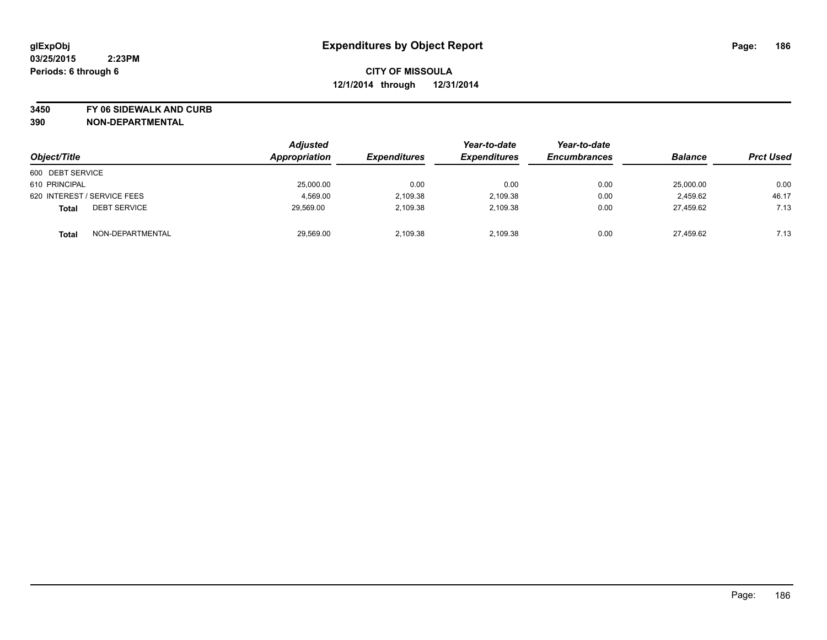**3450 FY 06 SIDEWALK AND CURB**

| Object/Title                        | <b>Adjusted</b><br>Appropriation | <b>Expenditures</b> | Year-to-date<br><b>Expenditures</b> | Year-to-date<br><b>Encumbrances</b> | <b>Balance</b> | <b>Prct Used</b> |
|-------------------------------------|----------------------------------|---------------------|-------------------------------------|-------------------------------------|----------------|------------------|
| 600 DEBT SERVICE                    |                                  |                     |                                     |                                     |                |                  |
| 610 PRINCIPAL                       | 25,000.00                        | 0.00                | 0.00                                | 0.00                                | 25,000.00      | 0.00             |
| 620 INTEREST / SERVICE FEES         | 4,569.00                         | 2,109.38            | 2,109.38                            | 0.00                                | 2.459.62       | 46.17            |
| <b>DEBT SERVICE</b><br><b>Total</b> | 29,569.00                        | 2,109.38            | 2,109.38                            | 0.00                                | 27,459.62      | 7.13             |
| NON-DEPARTMENTAL<br><b>Total</b>    | 29,569.00                        | 2,109.38            | 2,109.38                            | 0.00                                | 27,459.62      | 7.13             |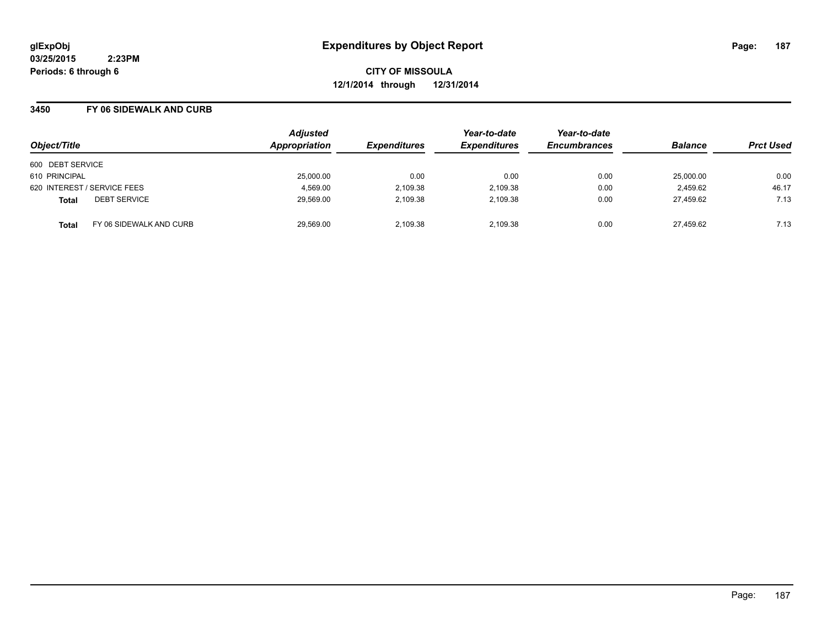**CITY OF MISSOULA 12/1/2014 through 12/31/2014**

#### **3450 FY 06 SIDEWALK AND CURB**

| Object/Title                            | <b>Adjusted</b><br><b>Appropriation</b> | <b>Expenditures</b> | Year-to-date<br><b>Expenditures</b> | Year-to-date<br><b>Encumbrances</b> | <b>Balance</b> | <b>Prct Used</b> |
|-----------------------------------------|-----------------------------------------|---------------------|-------------------------------------|-------------------------------------|----------------|------------------|
| 600 DEBT SERVICE                        |                                         |                     |                                     |                                     |                |                  |
| 610 PRINCIPAL                           | 25,000.00                               | 0.00                | 0.00                                | 0.00                                | 25,000.00      | 0.00             |
| 620 INTEREST / SERVICE FEES             | 4,569.00                                | 2,109.38            | 2,109.38                            | 0.00                                | 2,459.62       | 46.17            |
| <b>DEBT SERVICE</b><br><b>Total</b>     | 29,569.00                               | 2,109.38            | 2.109.38                            | 0.00                                | 27.459.62      | 7.13             |
| FY 06 SIDEWALK AND CURB<br><b>Total</b> | 29,569.00                               | 2.109.38            | 2.109.38                            | 0.00                                | 27,459.62      | 7.13             |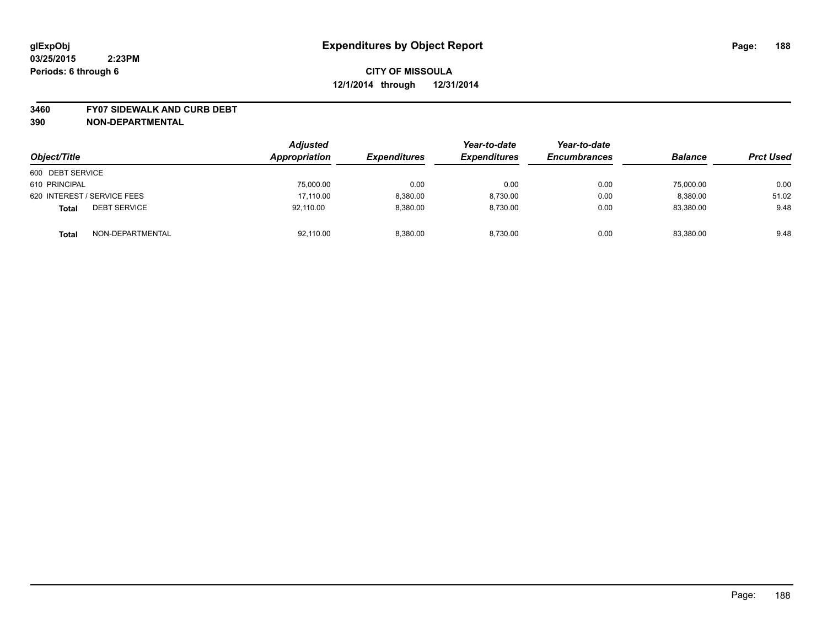#### **3460 FY07 SIDEWALK AND CURB DEBT**

| Object/Title                        | <b>Adjusted</b><br>Appropriation | <b>Expenditures</b> | Year-to-date<br><b>Expenditures</b> | Year-to-date<br><b>Encumbrances</b> | <b>Balance</b> | <b>Prct Used</b> |
|-------------------------------------|----------------------------------|---------------------|-------------------------------------|-------------------------------------|----------------|------------------|
| 600 DEBT SERVICE                    |                                  |                     |                                     |                                     |                |                  |
| 610 PRINCIPAL                       | 75,000.00                        | 0.00                | 0.00                                | 0.00                                | 75,000.00      | 0.00             |
| 620 INTEREST / SERVICE FEES         | 17,110.00                        | 8,380.00            | 8,730.00                            | 0.00                                | 8,380.00       | 51.02            |
| <b>DEBT SERVICE</b><br><b>Total</b> | 92.110.00                        | 8.380.00            | 8.730.00                            | 0.00                                | 83,380.00      | 9.48             |
| NON-DEPARTMENTAL<br><b>Total</b>    | 92,110.00                        | 8.380.00            | 8,730.00                            | 0.00                                | 83,380.00      | 9.48             |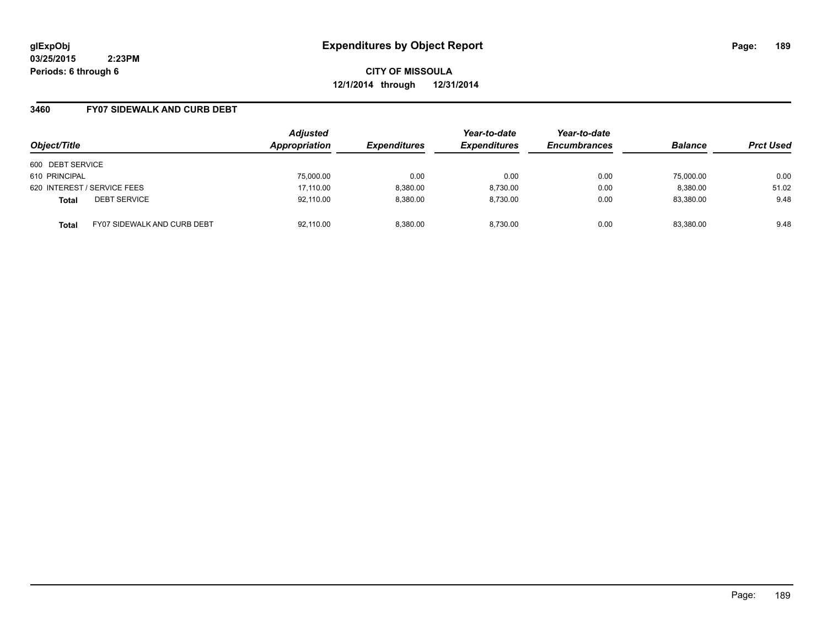**CITY OF MISSOULA 12/1/2014 through 12/31/2014**

## **3460 FY07 SIDEWALK AND CURB DEBT**

| Object/Title                        |                                    | <b>Adjusted</b><br>Appropriation | <b>Expenditures</b> | Year-to-date<br><b>Expenditures</b> | Year-to-date<br><b>Encumbrances</b> | <b>Balance</b> | <b>Prct Used</b> |
|-------------------------------------|------------------------------------|----------------------------------|---------------------|-------------------------------------|-------------------------------------|----------------|------------------|
| 600 DEBT SERVICE                    |                                    |                                  |                     |                                     |                                     |                |                  |
| 610 PRINCIPAL                       |                                    | 75,000.00                        | 0.00                | 0.00                                | 0.00                                | 75,000.00      | 0.00             |
| 620 INTEREST / SERVICE FEES         |                                    | 17,110.00                        | 8,380.00            | 8,730.00                            | 0.00                                | 8,380.00       | 51.02            |
| <b>DEBT SERVICE</b><br><b>Total</b> |                                    | 92,110.00                        | 8.380.00            | 8.730.00                            | 0.00                                | 83,380.00      | 9.48             |
| <b>Total</b>                        | <b>FY07 SIDEWALK AND CURB DEBT</b> | 92,110.00                        | 8.380.00            | 8.730.00                            | 0.00                                | 83,380.00      | 9.48             |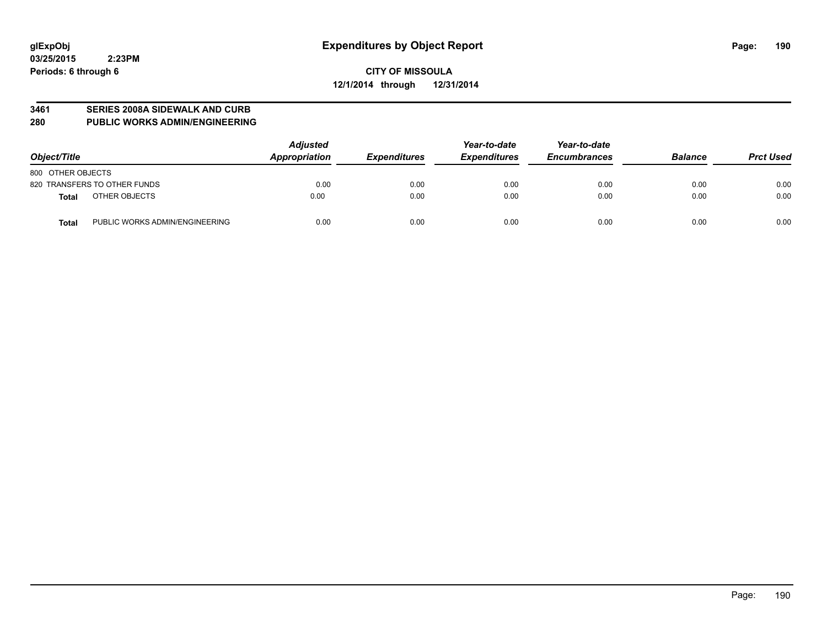#### **3461 SERIES 2008A SIDEWALK AND CURB**

**280 PUBLIC WORKS ADMIN/ENGINEERING**

| Object/Title                            | <b>Adjusted</b><br>Appropriation | <b>Expenditures</b> | Year-to-date<br><b>Expenditures</b> | Year-to-date<br><b>Encumbrances</b> | <b>Balance</b> | <b>Prct Used</b> |
|-----------------------------------------|----------------------------------|---------------------|-------------------------------------|-------------------------------------|----------------|------------------|
| 800 OTHER OBJECTS                       |                                  |                     |                                     |                                     |                |                  |
| 820 TRANSFERS TO OTHER FUNDS            | 0.00                             | 0.00                | 0.00                                | 0.00                                | 0.00           | 0.00             |
| OTHER OBJECTS<br>Total                  | 0.00                             | 0.00                | 0.00                                | 0.00                                | 0.00           | 0.00             |
| PUBLIC WORKS ADMIN/ENGINEERING<br>Total | 0.00                             | 0.00                | 0.00                                | 0.00                                | 0.00           | 0.00             |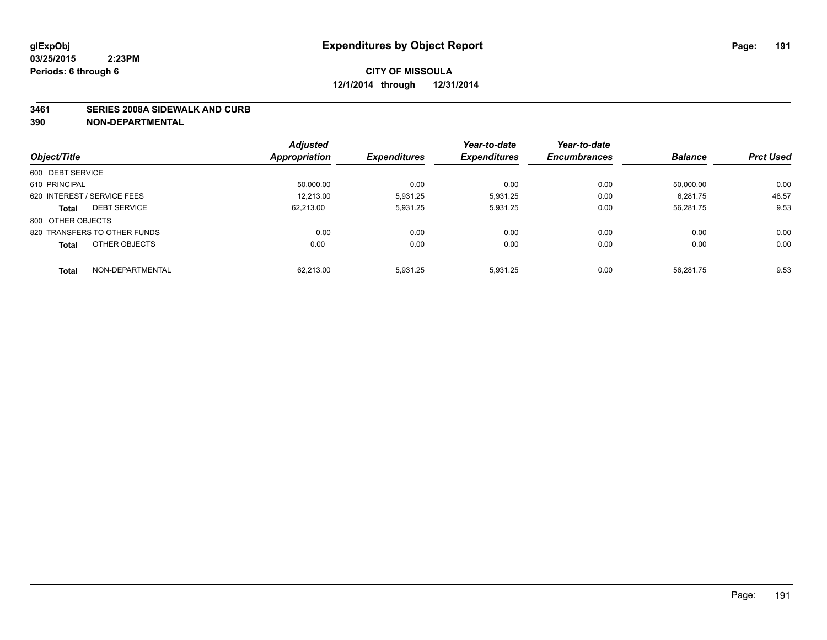#### **3461 SERIES 2008A SIDEWALK AND CURB**

|                                     | <b>Adjusted</b> |                     | Year-to-date        | Year-to-date        |                |                  |
|-------------------------------------|-----------------|---------------------|---------------------|---------------------|----------------|------------------|
| Object/Title                        | Appropriation   | <b>Expenditures</b> | <b>Expenditures</b> | <b>Encumbrances</b> | <b>Balance</b> | <b>Prct Used</b> |
| 600 DEBT SERVICE                    |                 |                     |                     |                     |                |                  |
| 610 PRINCIPAL                       | 50,000.00       | 0.00                | 0.00                | 0.00                | 50.000.00      | 0.00             |
| 620 INTEREST / SERVICE FEES         | 12.213.00       | 5.931.25            | 5,931.25            | 0.00                | 6.281.75       | 48.57            |
| <b>DEBT SERVICE</b><br><b>Total</b> | 62,213.00       | 5,931.25            | 5,931.25            | 0.00                | 56,281.75      | 9.53             |
| 800 OTHER OBJECTS                   |                 |                     |                     |                     |                |                  |
| 820 TRANSFERS TO OTHER FUNDS        | 0.00            | 0.00                | 0.00                | 0.00                | 0.00           | 0.00             |
| OTHER OBJECTS<br><b>Total</b>       | 0.00            | 0.00                | 0.00                | 0.00                | 0.00           | 0.00             |
| NON-DEPARTMENTAL<br><b>Total</b>    | 62.213.00       | 5.931.25            | 5,931.25            | 0.00                | 56.281.75      | 9.53             |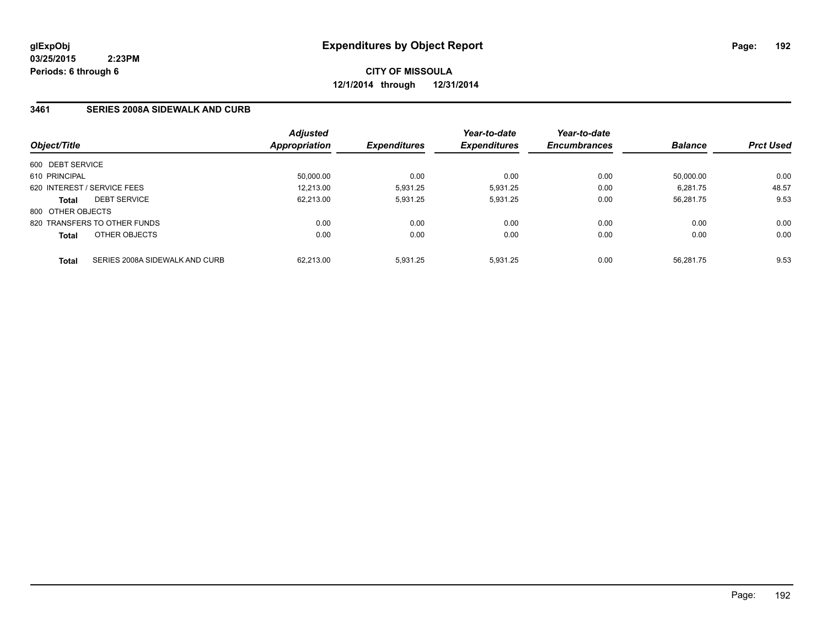**CITY OF MISSOULA 12/1/2014 through 12/31/2014**

## **3461 SERIES 2008A SIDEWALK AND CURB**

| Object/Title      |                                | <b>Adjusted</b><br>Appropriation | <b>Expenditures</b> | Year-to-date<br><b>Expenditures</b> | Year-to-date<br><b>Encumbrances</b> | <b>Balance</b> | <b>Prct Used</b> |
|-------------------|--------------------------------|----------------------------------|---------------------|-------------------------------------|-------------------------------------|----------------|------------------|
| 600 DEBT SERVICE  |                                |                                  |                     |                                     |                                     |                |                  |
| 610 PRINCIPAL     |                                | 50,000.00                        | 0.00                | 0.00                                | 0.00                                | 50.000.00      | 0.00             |
|                   | 620 INTEREST / SERVICE FEES    | 12.213.00                        | 5,931.25            | 5,931.25                            | 0.00                                | 6,281.75       | 48.57            |
| <b>Total</b>      | <b>DEBT SERVICE</b>            | 62.213.00                        | 5.931.25            | 5.931.25                            | 0.00                                | 56.281.75      | 9.53             |
| 800 OTHER OBJECTS |                                |                                  |                     |                                     |                                     |                |                  |
|                   | 820 TRANSFERS TO OTHER FUNDS   | 0.00                             | 0.00                | 0.00                                | 0.00                                | 0.00           | 0.00             |
| <b>Total</b>      | OTHER OBJECTS                  | 0.00                             | 0.00                | 0.00                                | 0.00                                | 0.00           | 0.00             |
| <b>Total</b>      | SERIES 2008A SIDEWALK AND CURB | 62.213.00                        | 5.931.25            | 5.931.25                            | 0.00                                | 56.281.75      | 9.53             |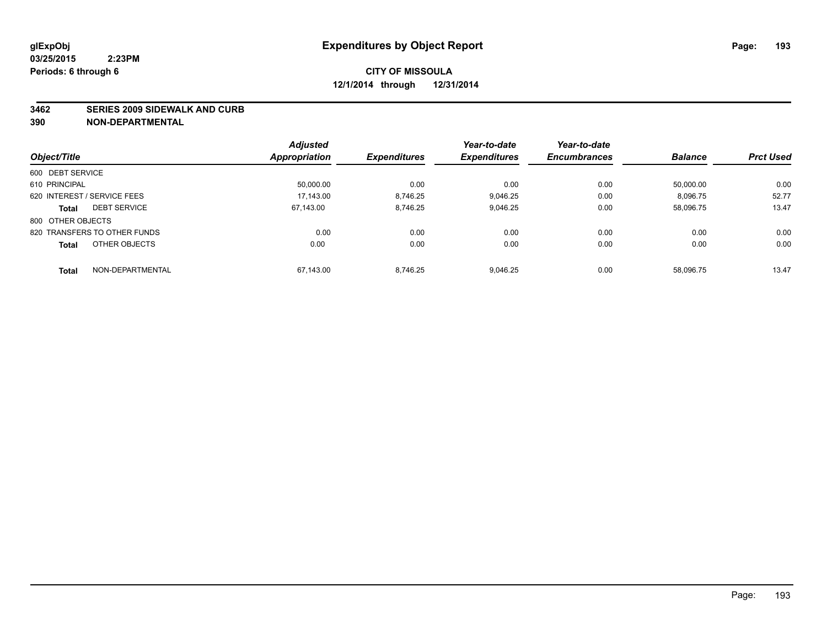#### **3462 SERIES 2009 SIDEWALK AND CURB**

|                                     | <b>Adjusted</b>      |                     | Year-to-date        | Year-to-date        |                |                  |
|-------------------------------------|----------------------|---------------------|---------------------|---------------------|----------------|------------------|
| Object/Title                        | <b>Appropriation</b> | <b>Expenditures</b> | <b>Expenditures</b> | <b>Encumbrances</b> | <b>Balance</b> | <b>Prct Used</b> |
| 600 DEBT SERVICE                    |                      |                     |                     |                     |                |                  |
| 610 PRINCIPAL                       | 50.000.00            | 0.00                | 0.00                | 0.00                | 50.000.00      | 0.00             |
| 620 INTEREST / SERVICE FEES         | 17.143.00            | 8.746.25            | 9.046.25            | 0.00                | 8.096.75       | 52.77            |
| <b>DEBT SERVICE</b><br><b>Total</b> | 67.143.00            | 8,746.25            | 9,046.25            | 0.00                | 58,096.75      | 13.47            |
| 800 OTHER OBJECTS                   |                      |                     |                     |                     |                |                  |
| 820 TRANSFERS TO OTHER FUNDS        | 0.00                 | 0.00                | 0.00                | 0.00                | 0.00           | 0.00             |
| OTHER OBJECTS<br><b>Total</b>       | 0.00                 | 0.00                | 0.00                | 0.00                | 0.00           | 0.00             |
| NON-DEPARTMENTAL<br><b>Total</b>    | 67.143.00            | 8.746.25            | 9.046.25            | 0.00                | 58.096.75      | 13.47            |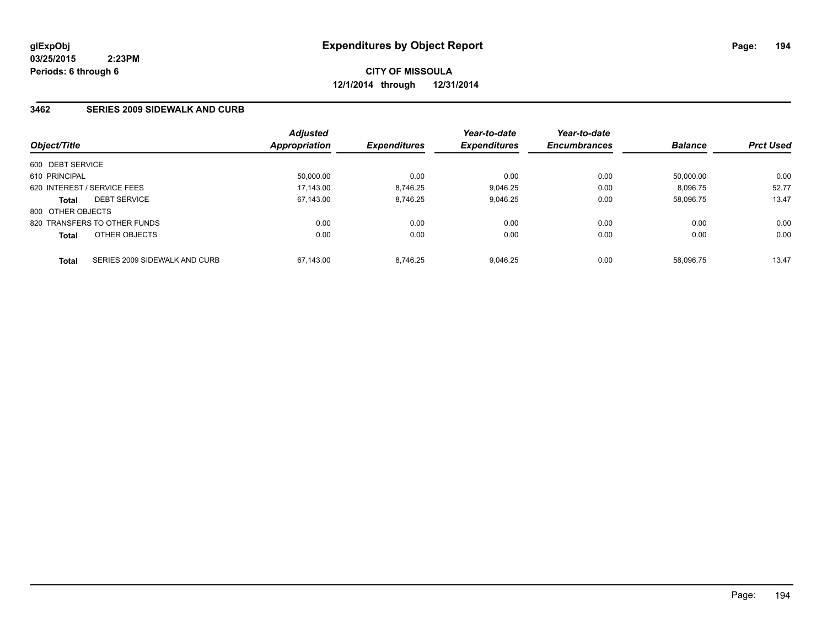**CITY OF MISSOULA 12/1/2014 through 12/31/2014**

## **3462 SERIES 2009 SIDEWALK AND CURB**

| Object/Title      |                               | <b>Adjusted</b><br>Appropriation | <b>Expenditures</b> | Year-to-date<br><b>Expenditures</b> | Year-to-date<br><b>Encumbrances</b> | <b>Balance</b> | <b>Prct Used</b> |
|-------------------|-------------------------------|----------------------------------|---------------------|-------------------------------------|-------------------------------------|----------------|------------------|
|                   |                               |                                  |                     |                                     |                                     |                |                  |
| 600 DEBT SERVICE  |                               |                                  |                     |                                     |                                     |                |                  |
| 610 PRINCIPAL     |                               | 50,000.00                        | 0.00                | 0.00                                | 0.00                                | 50.000.00      | 0.00             |
|                   | 620 INTEREST / SERVICE FEES   | 17.143.00                        | 8.746.25            | 9.046.25                            | 0.00                                | 8.096.75       | 52.77            |
| <b>Total</b>      | <b>DEBT SERVICE</b>           | 67,143.00                        | 8.746.25            | 9,046.25                            | 0.00                                | 58,096.75      | 13.47            |
| 800 OTHER OBJECTS |                               |                                  |                     |                                     |                                     |                |                  |
|                   | 820 TRANSFERS TO OTHER FUNDS  | 0.00                             | 0.00                | 0.00                                | 0.00                                | 0.00           | 0.00             |
| <b>Total</b>      | OTHER OBJECTS                 | 0.00                             | 0.00                | 0.00                                | 0.00                                | 0.00           | 0.00             |
| <b>Total</b>      | SERIES 2009 SIDEWALK AND CURB | 67.143.00                        | 8.746.25            | 9.046.25                            | 0.00                                | 58.096.75      | 13.47            |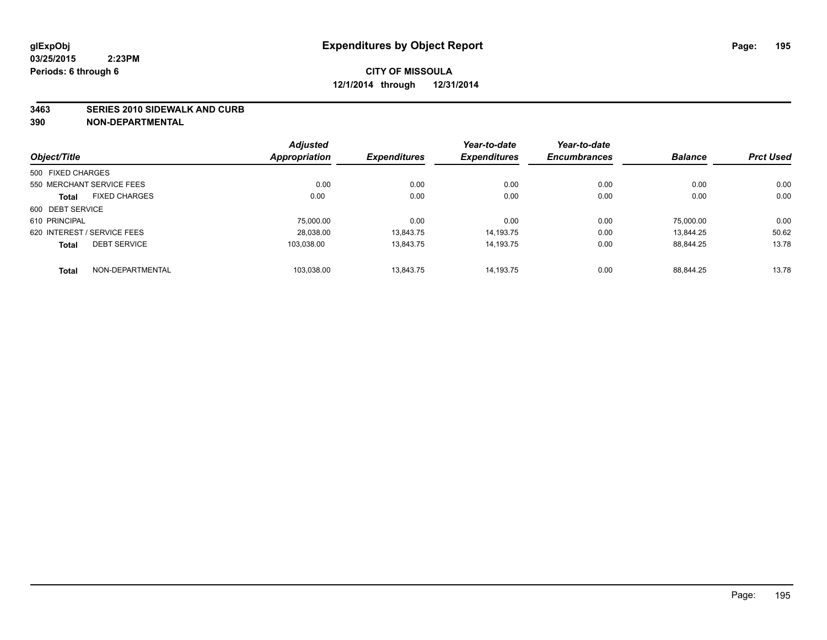#### **3463 SERIES 2010 SIDEWALK AND CURB**

|                   |                             | <b>Adjusted</b> |                     | Year-to-date        | Year-to-date        |                |                  |
|-------------------|-----------------------------|-----------------|---------------------|---------------------|---------------------|----------------|------------------|
| Object/Title      |                             | Appropriation   | <b>Expenditures</b> | <b>Expenditures</b> | <b>Encumbrances</b> | <b>Balance</b> | <b>Prct Used</b> |
| 500 FIXED CHARGES |                             |                 |                     |                     |                     |                |                  |
|                   | 550 MERCHANT SERVICE FEES   | 0.00            | 0.00                | 0.00                | 0.00                | 0.00           | 0.00             |
| <b>Total</b>      | <b>FIXED CHARGES</b>        | 0.00            | 0.00                | 0.00                | 0.00                | 0.00           | 0.00             |
| 600 DEBT SERVICE  |                             |                 |                     |                     |                     |                |                  |
| 610 PRINCIPAL     |                             | 75,000.00       | 0.00                | 0.00                | 0.00                | 75.000.00      | 0.00             |
|                   | 620 INTEREST / SERVICE FEES | 28.038.00       | 13.843.75           | 14.193.75           | 0.00                | 13.844.25      | 50.62            |
| <b>Total</b>      | <b>DEBT SERVICE</b>         | 103.038.00      | 13.843.75           | 14.193.75           | 0.00                | 88.844.25      | 13.78            |
| <b>Total</b>      | NON-DEPARTMENTAL            | 103.038.00      | 13.843.75           | 14.193.75           | 0.00                | 88.844.25      | 13.78            |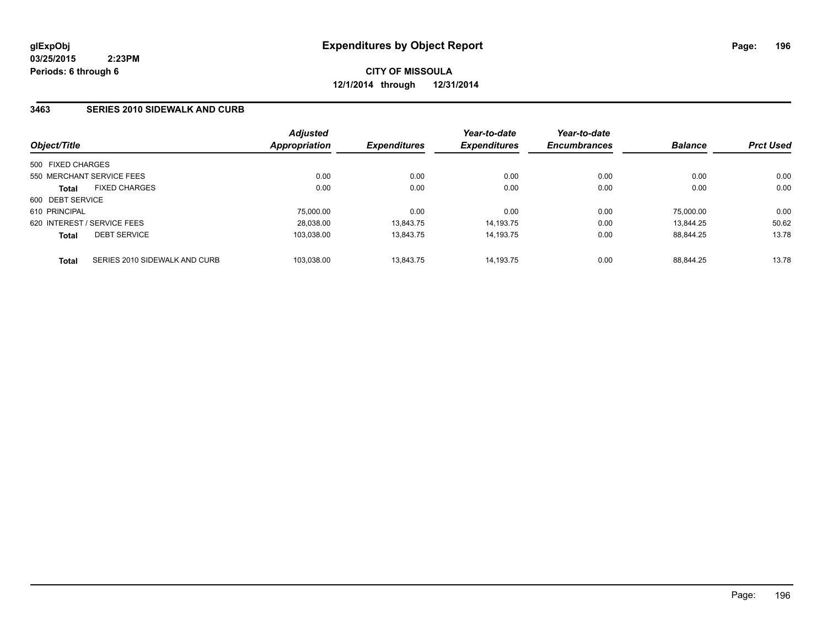## **3463 SERIES 2010 SIDEWALK AND CURB**

| Object/Title                |                               | <b>Adjusted</b><br><b>Appropriation</b> | <b>Expenditures</b> | Year-to-date<br><b>Expenditures</b> | Year-to-date<br><b>Encumbrances</b> | <b>Balance</b> | <b>Prct Used</b> |
|-----------------------------|-------------------------------|-----------------------------------------|---------------------|-------------------------------------|-------------------------------------|----------------|------------------|
| 500 FIXED CHARGES           |                               |                                         |                     |                                     |                                     |                |                  |
| 550 MERCHANT SERVICE FEES   |                               | 0.00                                    | 0.00                | 0.00                                | 0.00                                | 0.00           | 0.00             |
| <b>Total</b>                | <b>FIXED CHARGES</b>          | 0.00                                    | 0.00                | 0.00                                | 0.00                                | 0.00           | 0.00             |
| 600 DEBT SERVICE            |                               |                                         |                     |                                     |                                     |                |                  |
| 610 PRINCIPAL               |                               | 75.000.00                               | 0.00                | 0.00                                | 0.00                                | 75.000.00      | 0.00             |
| 620 INTEREST / SERVICE FEES |                               | 28,038.00                               | 13.843.75           | 14.193.75                           | 0.00                                | 13.844.25      | 50.62            |
| <b>Total</b>                | <b>DEBT SERVICE</b>           | 103,038.00                              | 13.843.75           | 14.193.75                           | 0.00                                | 88.844.25      | 13.78            |
| <b>Total</b>                | SERIES 2010 SIDEWALK AND CURB | 103,038.00                              | 13.843.75           | 14.193.75                           | 0.00                                | 88.844.25      | 13.78            |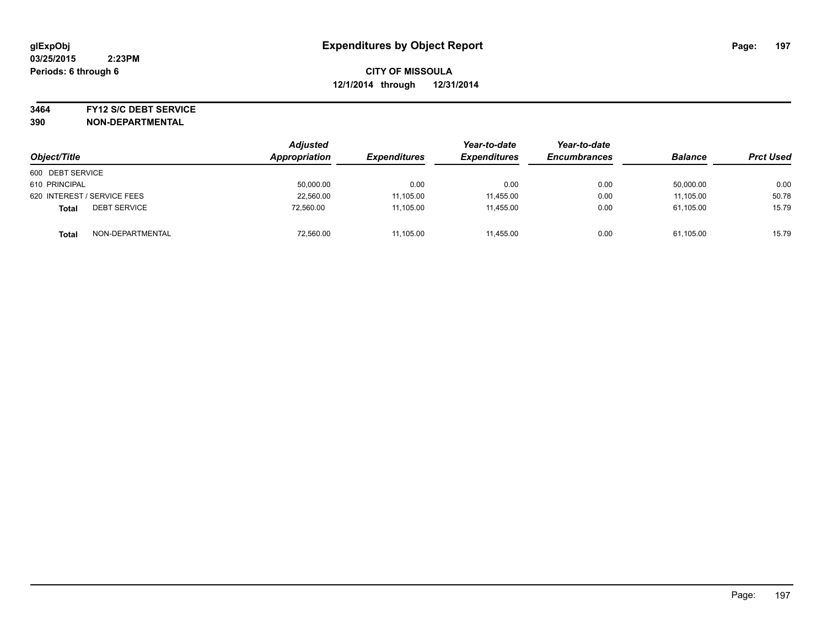#### **3464 FY12 S/C DEBT SERVICE**

| Object/Title                     | <b>Adjusted</b><br>Appropriation | <b>Expenditures</b> | Year-to-date<br><b>Expenditures</b> | Year-to-date<br><b>Encumbrances</b> | <b>Balance</b> | <b>Prct Used</b> |
|----------------------------------|----------------------------------|---------------------|-------------------------------------|-------------------------------------|----------------|------------------|
| 600 DEBT SERVICE                 |                                  |                     |                                     |                                     |                |                  |
| 610 PRINCIPAL                    | 50,000.00                        | 0.00                | 0.00                                | 0.00                                | 50,000.00      | 0.00             |
| 620 INTEREST / SERVICE FEES      | 22,560.00                        | 11,105.00           | 11.455.00                           | 0.00                                | 11.105.00      | 50.78            |
| <b>DEBT SERVICE</b><br>Total     | 72,560.00                        | 11,105.00           | 11.455.00                           | 0.00                                | 61,105.00      | 15.79            |
| NON-DEPARTMENTAL<br><b>Total</b> | 72,560.00                        | 11,105.00           | 11,455.00                           | 0.00                                | 61,105.00      | 15.79            |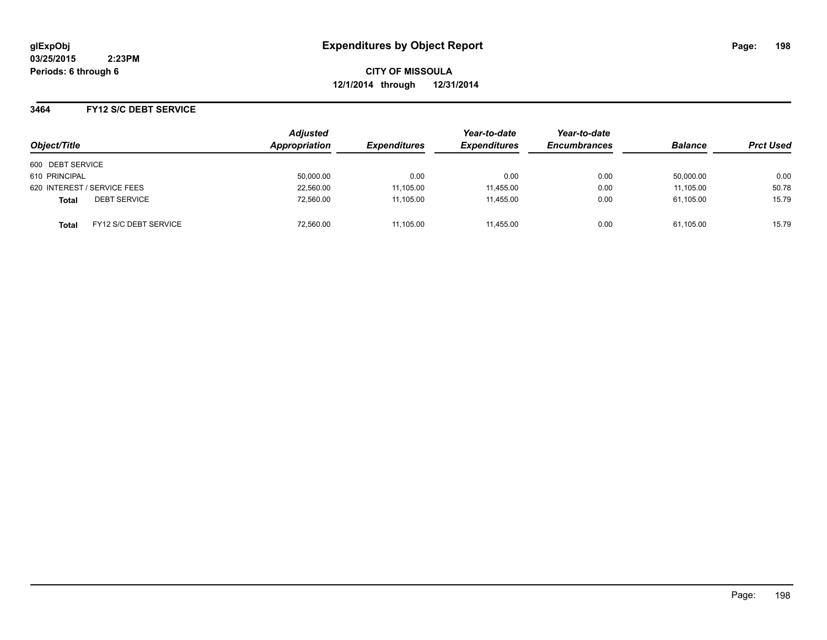**CITY OF MISSOULA 12/1/2014 through 12/31/2014**

## **3464 FY12 S/C DEBT SERVICE**

| Object/Title                                 | <b>Adjusted</b><br>Appropriation | <b>Expenditures</b> | Year-to-date<br><b>Expenditures</b> | Year-to-date<br><b>Encumbrances</b> | <b>Balance</b> | <b>Prct Used</b> |
|----------------------------------------------|----------------------------------|---------------------|-------------------------------------|-------------------------------------|----------------|------------------|
| 600 DEBT SERVICE                             |                                  |                     |                                     |                                     |                |                  |
| 610 PRINCIPAL                                | 50,000.00                        | 0.00                | 0.00                                | 0.00                                | 50.000.00      | 0.00             |
| 620 INTEREST / SERVICE FEES                  | 22,560.00                        | 11,105.00           | 11,455.00                           | 0.00                                | 11,105.00      | 50.78            |
| <b>DEBT SERVICE</b><br><b>Total</b>          | 72,560.00                        | 11,105.00           | 11.455.00                           | 0.00                                | 61,105.00      | 15.79            |
| <b>FY12 S/C DEBT SERVICE</b><br><b>Total</b> | 72,560.00                        | 11,105.00           | 11.455.00                           | 0.00                                | 61,105.00      | 15.79            |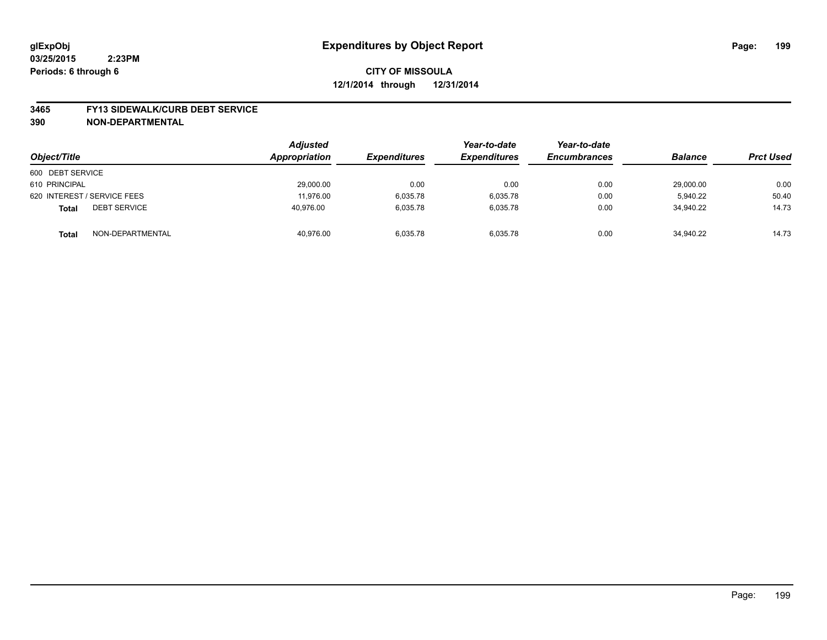#### **3465 FY13 SIDEWALK/CURB DEBT SERVICE**

| Object/Title                        | <b>Adjusted</b><br>Appropriation | <b>Expenditures</b> | Year-to-date<br><b>Expenditures</b> | Year-to-date<br><b>Encumbrances</b> | <b>Balance</b> | <b>Prct Used</b> |
|-------------------------------------|----------------------------------|---------------------|-------------------------------------|-------------------------------------|----------------|------------------|
| 600 DEBT SERVICE                    |                                  |                     |                                     |                                     |                |                  |
| 610 PRINCIPAL                       | 29,000.00                        | 0.00                | 0.00                                | 0.00                                | 29,000.00      | 0.00             |
| 620 INTEREST / SERVICE FEES         | 11.976.00                        | 6,035.78            | 6,035.78                            | 0.00                                | 5.940.22       | 50.40            |
| <b>DEBT SERVICE</b><br><b>Total</b> | 40.976.00                        | 6.035.78            | 6.035.78                            | 0.00                                | 34.940.22      | 14.73            |
| NON-DEPARTMENTAL<br><b>Total</b>    | 40,976.00                        | 6,035.78            | 6,035.78                            | 0.00                                | 34,940.22      | 14.73            |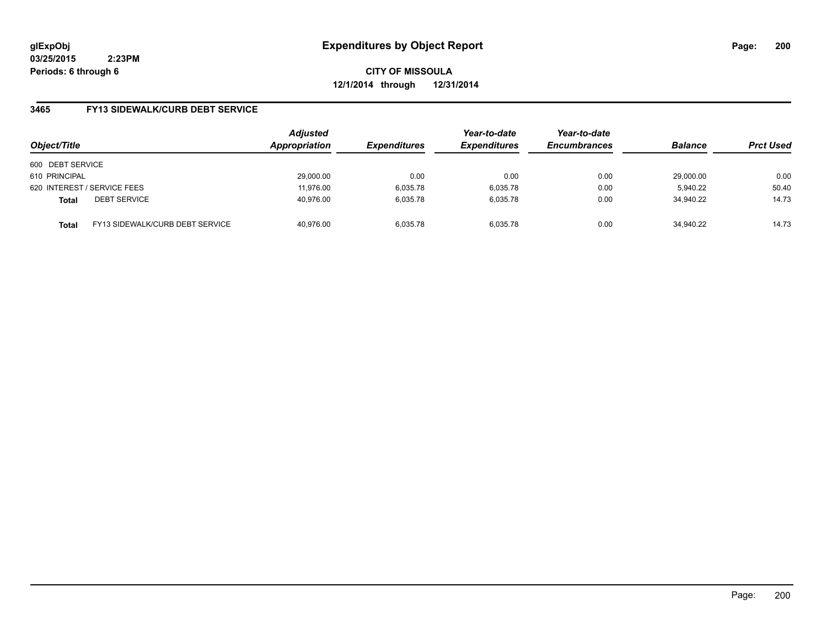**CITY OF MISSOULA 12/1/2014 through 12/31/2014**

## **3465 FY13 SIDEWALK/CURB DEBT SERVICE**

| Object/Title     |                                 | <b>Adjusted</b><br>Appropriation | <b>Expenditures</b> | Year-to-date<br><b>Expenditures</b> | Year-to-date<br><b>Encumbrances</b> | <b>Balance</b> | <b>Prct Used</b> |
|------------------|---------------------------------|----------------------------------|---------------------|-------------------------------------|-------------------------------------|----------------|------------------|
| 600 DEBT SERVICE |                                 |                                  |                     |                                     |                                     |                |                  |
| 610 PRINCIPAL    |                                 | 29,000.00                        | 0.00                | 0.00                                | 0.00                                | 29,000.00      | 0.00             |
|                  | 620 INTEREST / SERVICE FEES     | 11.976.00                        | 6,035.78            | 6,035.78                            | 0.00                                | 5.940.22       | 50.40            |
| <b>Total</b>     | <b>DEBT SERVICE</b>             | 40.976.00                        | 6.035.78            | 6.035.78                            | 0.00                                | 34.940.22      | 14.73            |
| <b>Total</b>     | FY13 SIDEWALK/CURB DEBT SERVICE | 40.976.00                        | 6.035.78            | 6.035.78                            | 0.00                                | 34.940.22      | 14.73            |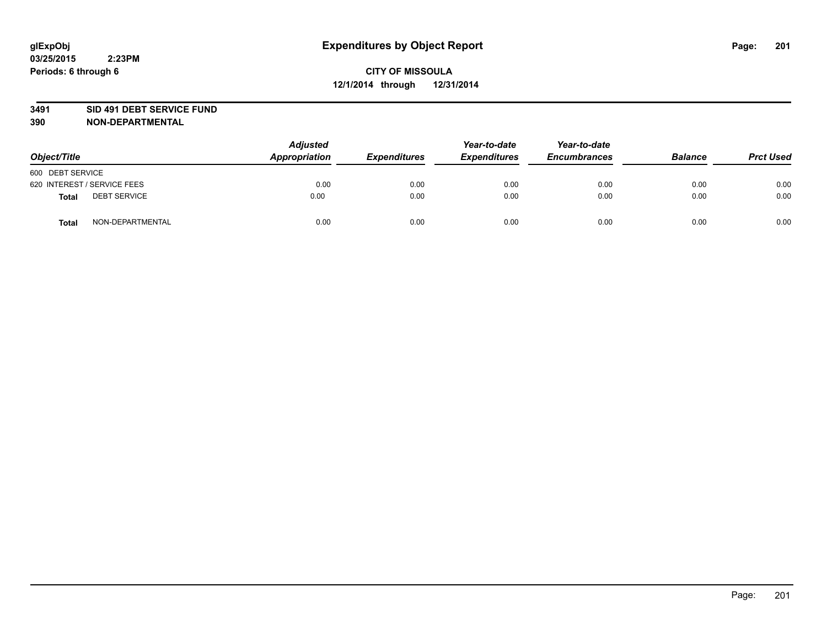#### **3491 SID 491 DEBT SERVICE FUND**

| Object/Title                 | <b>Adjusted</b><br>Appropriation | <b>Expenditures</b> | Year-to-date<br><b>Expenditures</b> | Year-to-date<br><b>Encumbrances</b> | <b>Balance</b> | <b>Prct Used</b> |
|------------------------------|----------------------------------|---------------------|-------------------------------------|-------------------------------------|----------------|------------------|
| 600 DEBT SERVICE             |                                  |                     |                                     |                                     |                |                  |
| 620 INTEREST / SERVICE FEES  | 0.00                             | 0.00                | 0.00                                | 0.00                                | 0.00           | 0.00             |
| <b>DEBT SERVICE</b><br>Total | 0.00                             | 0.00                | 0.00                                | 0.00                                | 0.00           | 0.00             |
| NON-DEPARTMENTAL<br>Total    | 0.00                             | 0.00                | 0.00                                | 0.00                                | 0.00           | 0.00             |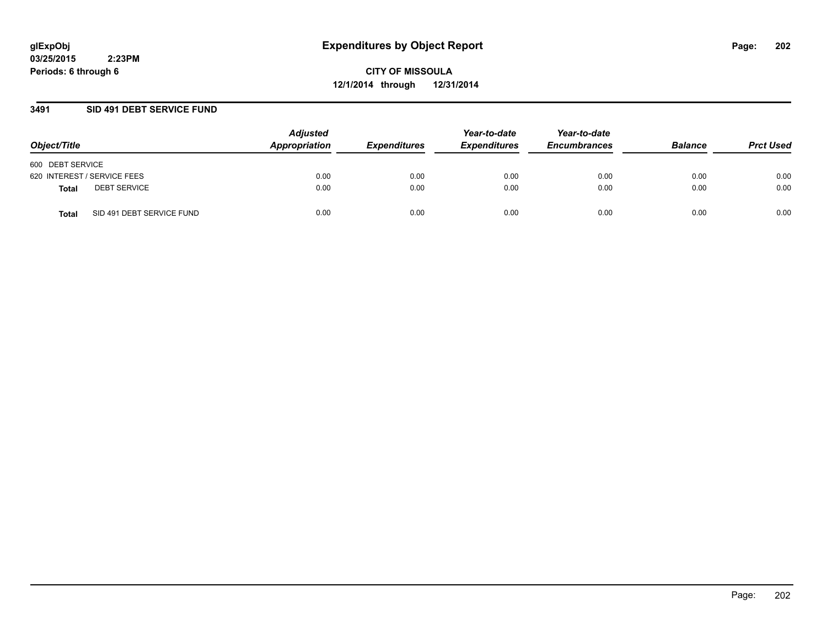**CITY OF MISSOULA 12/1/2014 through 12/31/2014**

## **3491 SID 491 DEBT SERVICE FUND**

| Object/Title                              | <b>Adjusted</b><br>Appropriation | <b>Expenditures</b> | Year-to-date<br><b>Expenditures</b> | Year-to-date<br><b>Encumbrances</b> | <b>Balance</b> | <b>Prct Used</b> |
|-------------------------------------------|----------------------------------|---------------------|-------------------------------------|-------------------------------------|----------------|------------------|
| 600 DEBT SERVICE                          |                                  |                     |                                     |                                     |                |                  |
| 620 INTEREST / SERVICE FEES               | 0.00                             | 0.00                | 0.00                                | 0.00                                | 0.00           | 0.00             |
| <b>DEBT SERVICE</b><br><b>Total</b>       | 0.00                             | 0.00                | 0.00                                | 0.00                                | 0.00           | 0.00             |
| SID 491 DEBT SERVICE FUND<br><b>Total</b> | 0.00                             | 0.00                | 0.00                                | 0.00                                | 0.00           | 0.00             |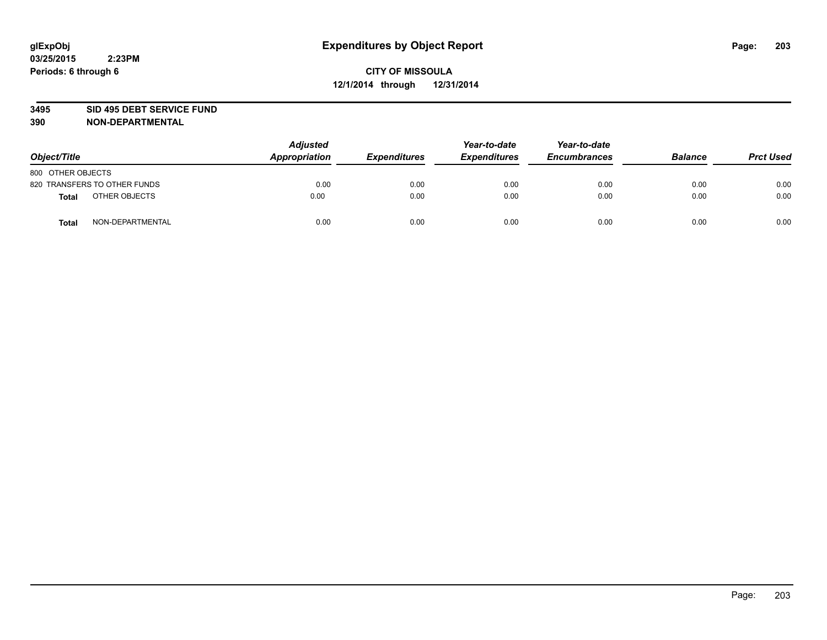#### **3495 SID 495 DEBT SERVICE FUND**

| Object/Title                     | <b>Adjusted</b><br><b>Appropriation</b> | <b>Expenditures</b> | Year-to-date<br><b>Expenditures</b> | Year-to-date<br><b>Encumbrances</b> | <b>Balance</b> | <b>Prct Used</b> |
|----------------------------------|-----------------------------------------|---------------------|-------------------------------------|-------------------------------------|----------------|------------------|
| 800 OTHER OBJECTS                |                                         |                     |                                     |                                     |                |                  |
| 820 TRANSFERS TO OTHER FUNDS     | 0.00                                    | 0.00                | 0.00                                | 0.00                                | 0.00           | 0.00             |
| OTHER OBJECTS<br><b>Total</b>    | 0.00                                    | 0.00                | 0.00                                | 0.00                                | 0.00           | 0.00             |
| NON-DEPARTMENTAL<br><b>Total</b> | 0.00                                    | 0.00                | 0.00                                | 0.00                                | 0.00           | 0.00             |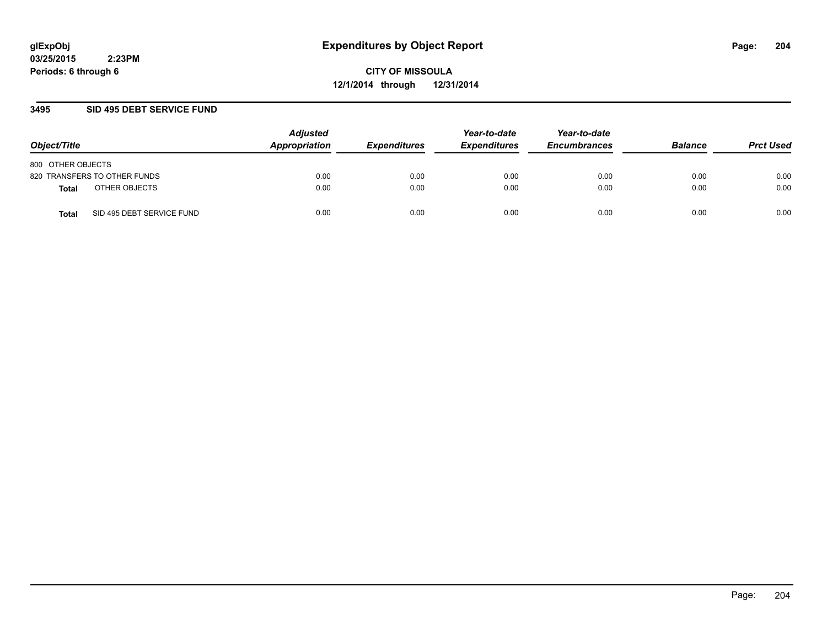**CITY OF MISSOULA 12/1/2014 through 12/31/2014**

## **3495 SID 495 DEBT SERVICE FUND**

| Object/Title                       | <b>Adjusted</b><br>Appropriation | <b>Expenditures</b> | Year-to-date<br><b>Expenditures</b> | Year-to-date<br><b>Encumbrances</b> | <b>Balance</b> | <b>Prct Used</b> |
|------------------------------------|----------------------------------|---------------------|-------------------------------------|-------------------------------------|----------------|------------------|
| 800 OTHER OBJECTS                  |                                  |                     |                                     |                                     |                |                  |
| 820 TRANSFERS TO OTHER FUNDS       | 0.00                             | 0.00                | 0.00                                | 0.00                                | 0.00           | 0.00             |
| OTHER OBJECTS<br>Total             | 0.00                             | 0.00                | 0.00                                | 0.00                                | 0.00           | 0.00             |
| SID 495 DEBT SERVICE FUND<br>Total | 0.00                             | 0.00                | 0.00                                | 0.00                                | 0.00           | 0.00             |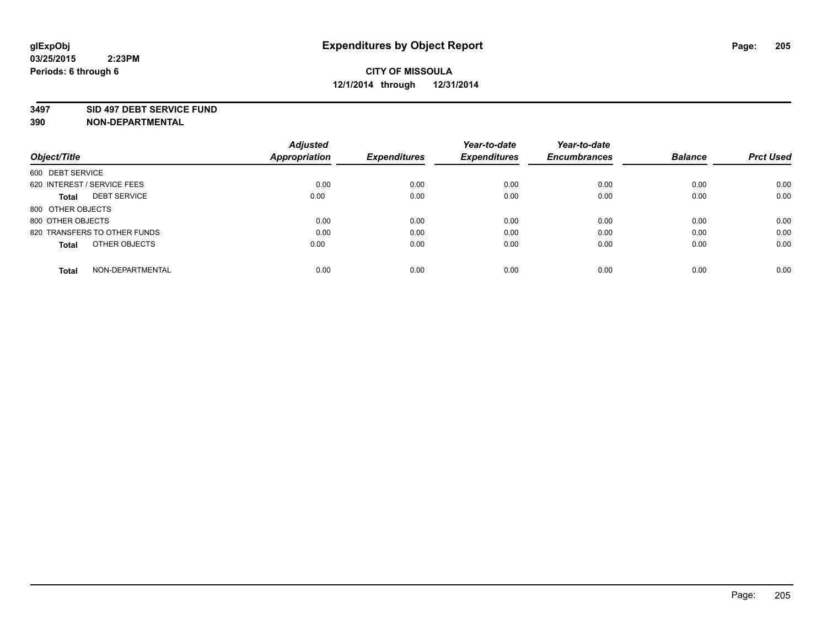#### **3497 SID 497 DEBT SERVICE FUND**

|                   |                              | <b>Adjusted</b>      |                     | Year-to-date        | Year-to-date        |                |                  |
|-------------------|------------------------------|----------------------|---------------------|---------------------|---------------------|----------------|------------------|
| Object/Title      |                              | <b>Appropriation</b> | <b>Expenditures</b> | <b>Expenditures</b> | <b>Encumbrances</b> | <b>Balance</b> | <b>Prct Used</b> |
| 600 DEBT SERVICE  |                              |                      |                     |                     |                     |                |                  |
|                   | 620 INTEREST / SERVICE FEES  | 0.00                 | 0.00                | 0.00                | 0.00                | 0.00           | 0.00             |
| <b>Total</b>      | <b>DEBT SERVICE</b>          | 0.00                 | 0.00                | 0.00                | 0.00                | 0.00           | 0.00             |
|                   | 800 OTHER OBJECTS            |                      |                     |                     |                     |                |                  |
| 800 OTHER OBJECTS |                              | 0.00                 | 0.00                | 0.00                | 0.00                | 0.00           | 0.00             |
|                   | 820 TRANSFERS TO OTHER FUNDS | 0.00                 | 0.00                | 0.00                | 0.00                | 0.00           | 0.00             |
| <b>Total</b>      | OTHER OBJECTS                | 0.00                 | 0.00                | 0.00                | 0.00                | 0.00           | 0.00             |
| <b>Total</b>      | NON-DEPARTMENTAL             | 0.00                 | 0.00                | 0.00                | 0.00                | 0.00           | 0.00             |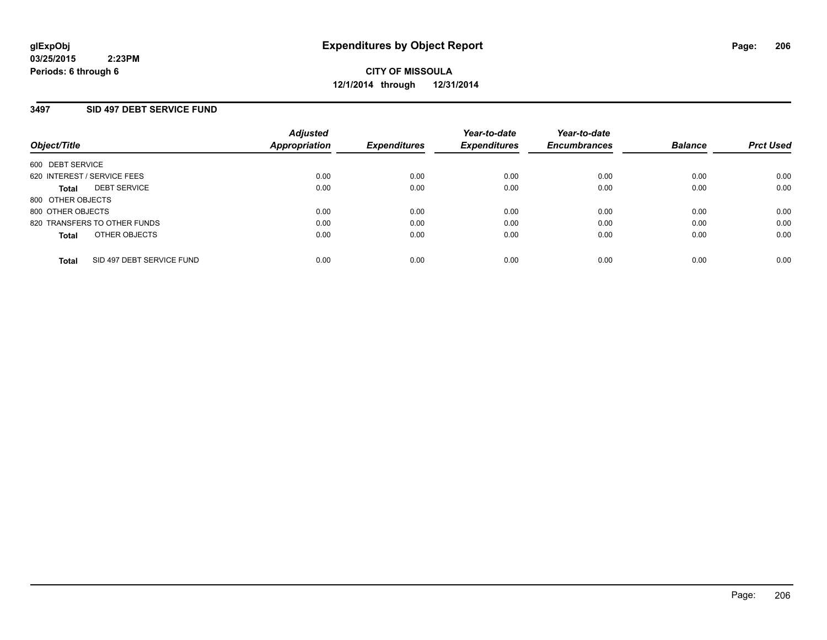## **3497 SID 497 DEBT SERVICE FUND**

| Object/Title                              | <b>Adjusted</b><br><b>Appropriation</b> | <b>Expenditures</b> | Year-to-date<br><b>Expenditures</b> | Year-to-date<br><b>Encumbrances</b> | <b>Balance</b> | <b>Prct Used</b> |
|-------------------------------------------|-----------------------------------------|---------------------|-------------------------------------|-------------------------------------|----------------|------------------|
| 600 DEBT SERVICE                          |                                         |                     |                                     |                                     |                |                  |
| 620 INTEREST / SERVICE FEES               | 0.00                                    | 0.00                | 0.00                                | 0.00                                | 0.00           | 0.00             |
| <b>DEBT SERVICE</b><br>Total              | 0.00                                    | 0.00                | 0.00                                | 0.00                                | 0.00           | 0.00             |
| 800 OTHER OBJECTS                         |                                         |                     |                                     |                                     |                |                  |
| 800 OTHER OBJECTS                         | 0.00                                    | 0.00                | 0.00                                | 0.00                                | 0.00           | 0.00             |
| 820 TRANSFERS TO OTHER FUNDS              | 0.00                                    | 0.00                | 0.00                                | 0.00                                | 0.00           | 0.00             |
| OTHER OBJECTS<br><b>Total</b>             | 0.00                                    | 0.00                | 0.00                                | 0.00                                | 0.00           | 0.00             |
| SID 497 DEBT SERVICE FUND<br><b>Total</b> | 0.00                                    | 0.00                | 0.00                                | 0.00                                | 0.00           | 0.00             |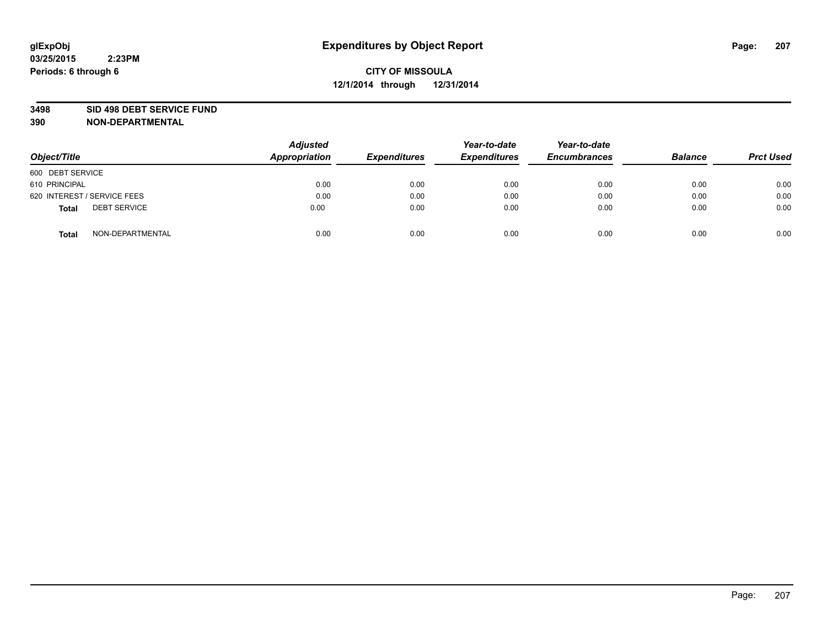#### **3498 SID 498 DEBT SERVICE FUND**

| Object/Title                 | <b>Adjusted</b><br>Appropriation | <b>Expenditures</b> | Year-to-date<br><b>Expenditures</b> | Year-to-date<br><b>Encumbrances</b> | <b>Balance</b> | <b>Prct Used</b> |
|------------------------------|----------------------------------|---------------------|-------------------------------------|-------------------------------------|----------------|------------------|
| 600 DEBT SERVICE             |                                  |                     |                                     |                                     |                |                  |
| 610 PRINCIPAL                | 0.00                             | 0.00                | 0.00                                | 0.00                                | 0.00           | 0.00             |
| 620 INTEREST / SERVICE FEES  | 0.00                             | 0.00                | 0.00                                | 0.00                                | 0.00           | 0.00             |
| <b>DEBT SERVICE</b><br>Total | 0.00                             | 0.00                | 0.00                                | 0.00                                | 0.00           | 0.00             |
| NON-DEPARTMENTAL<br>Total    | 0.00                             | 0.00                | 0.00                                | 0.00                                | 0.00           | 0.00             |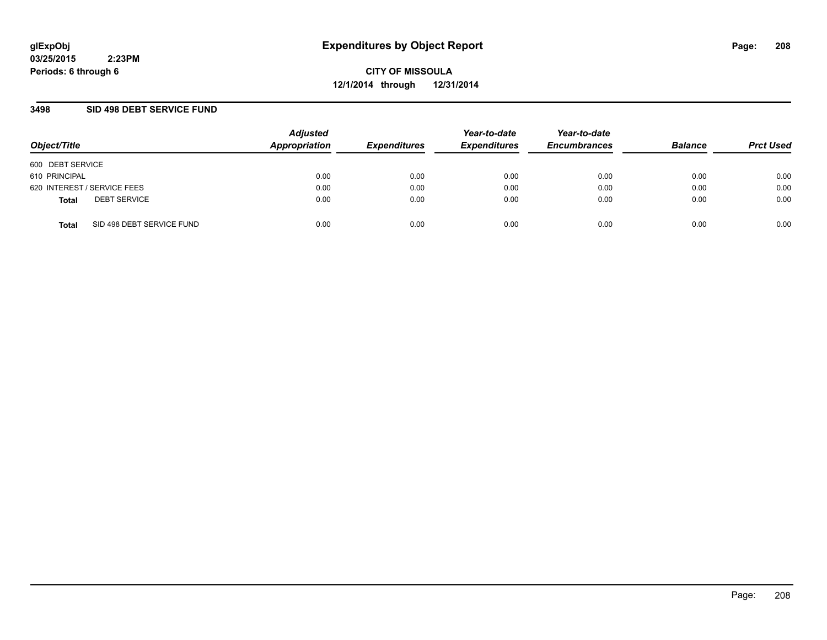**CITY OF MISSOULA 12/1/2014 through 12/31/2014**

## **3498 SID 498 DEBT SERVICE FUND**

| Object/Title                              | <b>Adjusted</b><br>Appropriation | <b>Expenditures</b> | Year-to-date<br><b>Expenditures</b> | Year-to-date<br><b>Encumbrances</b> | <b>Balance</b> | <b>Prct Used</b> |
|-------------------------------------------|----------------------------------|---------------------|-------------------------------------|-------------------------------------|----------------|------------------|
| 600 DEBT SERVICE                          |                                  |                     |                                     |                                     |                |                  |
| 610 PRINCIPAL                             | 0.00                             | 0.00                | 0.00                                | 0.00                                | 0.00           | 0.00             |
| 620 INTEREST / SERVICE FEES               | 0.00                             | 0.00                | 0.00                                | 0.00                                | 0.00           | 0.00             |
| <b>DEBT SERVICE</b><br><b>Total</b>       | 0.00                             | 0.00                | 0.00                                | 0.00                                | 0.00           | 0.00             |
| SID 498 DEBT SERVICE FUND<br><b>Total</b> | 0.00                             | 0.00                | 0.00                                | 0.00                                | 0.00           | 0.00             |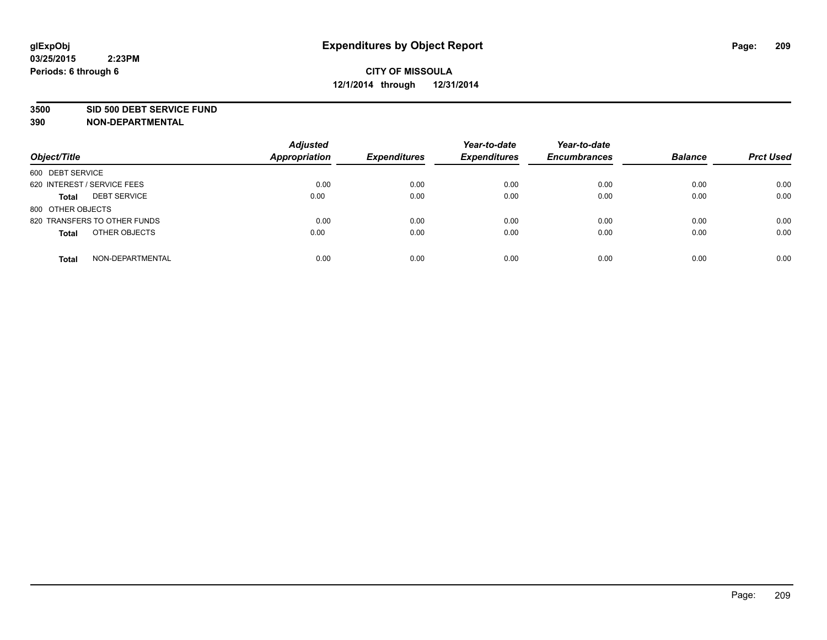#### **3500 SID 500 DEBT SERVICE FUND**

| Object/Title                        | <b>Adjusted</b><br><b>Appropriation</b> | <b>Expenditures</b> | Year-to-date<br><b>Expenditures</b> | Year-to-date<br><b>Encumbrances</b> | <b>Balance</b> | <b>Prct Used</b> |
|-------------------------------------|-----------------------------------------|---------------------|-------------------------------------|-------------------------------------|----------------|------------------|
| 600 DEBT SERVICE                    |                                         |                     |                                     |                                     |                |                  |
| 620 INTEREST / SERVICE FEES         | 0.00                                    | 0.00                | 0.00                                | 0.00                                | 0.00           | 0.00             |
| <b>DEBT SERVICE</b><br><b>Total</b> | 0.00                                    | 0.00                | 0.00                                | 0.00                                | 0.00           | 0.00             |
| 800 OTHER OBJECTS                   |                                         |                     |                                     |                                     |                |                  |
| 820 TRANSFERS TO OTHER FUNDS        | 0.00                                    | 0.00                | 0.00                                | 0.00                                | 0.00           | 0.00             |
| OTHER OBJECTS<br><b>Total</b>       | 0.00                                    | 0.00                | 0.00                                | 0.00                                | 0.00           | 0.00             |
| NON-DEPARTMENTAL<br><b>Total</b>    | 0.00                                    | 0.00                | 0.00                                | 0.00                                | 0.00           | 0.00             |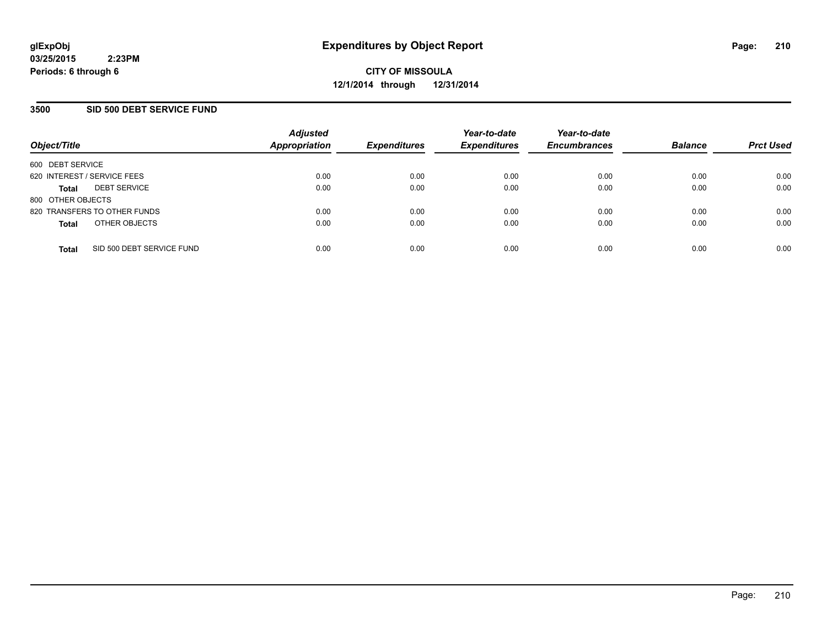## **3500 SID 500 DEBT SERVICE FUND**

|                             |                              | <b>Adjusted</b>      |                     | Year-to-date        | Year-to-date        |                |                  |
|-----------------------------|------------------------------|----------------------|---------------------|---------------------|---------------------|----------------|------------------|
| Object/Title                |                              | <b>Appropriation</b> | <b>Expenditures</b> | <b>Expenditures</b> | <b>Encumbrances</b> | <b>Balance</b> | <b>Prct Used</b> |
| 600 DEBT SERVICE            |                              |                      |                     |                     |                     |                |                  |
| 620 INTEREST / SERVICE FEES |                              | 0.00                 | 0.00                | 0.00                | 0.00                | 0.00           | 0.00             |
| <b>Total</b>                | <b>DEBT SERVICE</b>          | 0.00                 | 0.00                | 0.00                | 0.00                | 0.00           | 0.00             |
| 800 OTHER OBJECTS           |                              |                      |                     |                     |                     |                |                  |
|                             | 820 TRANSFERS TO OTHER FUNDS | 0.00                 | 0.00                | 0.00                | 0.00                | 0.00           | 0.00             |
| <b>Total</b>                | OTHER OBJECTS                | 0.00                 | 0.00                | 0.00                | 0.00                | 0.00           | 0.00             |
| <b>Total</b>                | SID 500 DEBT SERVICE FUND    | 0.00                 | 0.00                | 0.00                | 0.00                | 0.00           | 0.00             |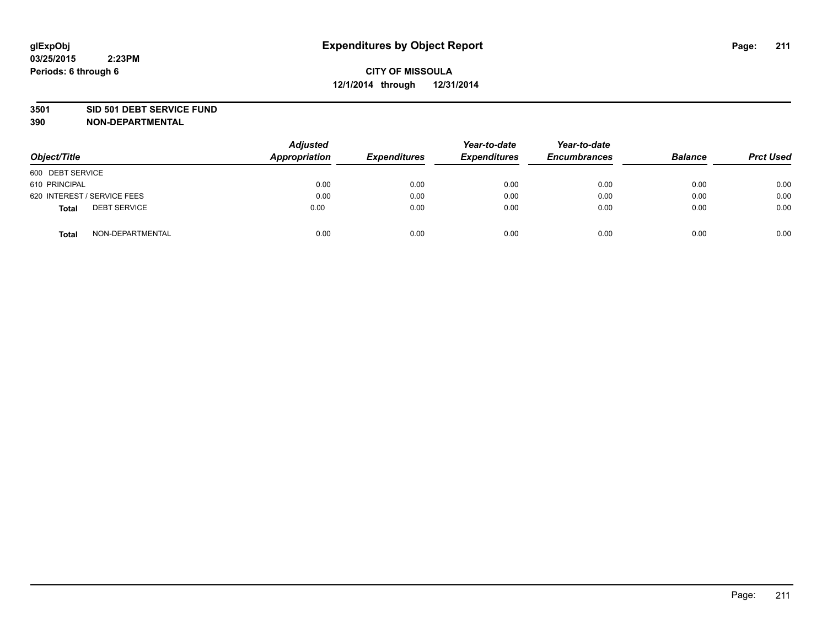#### **3501 SID 501 DEBT SERVICE FUND**

| Object/Title                        | <b>Adjusted</b><br>Appropriation | <b>Expenditures</b> | Year-to-date<br><b>Expenditures</b> | Year-to-date<br><b>Encumbrances</b> | <b>Balance</b> | <b>Prct Used</b> |
|-------------------------------------|----------------------------------|---------------------|-------------------------------------|-------------------------------------|----------------|------------------|
| 600 DEBT SERVICE                    |                                  |                     |                                     |                                     |                |                  |
| 610 PRINCIPAL                       | 0.00                             | 0.00                | 0.00                                | 0.00                                | 0.00           | 0.00             |
| 620 INTEREST / SERVICE FEES         | 0.00                             | 0.00                | 0.00                                | 0.00                                | 0.00           | 0.00             |
| <b>DEBT SERVICE</b><br><b>Total</b> | 0.00                             | 0.00                | 0.00                                | 0.00                                | 0.00           | 0.00             |
| NON-DEPARTMENTAL<br><b>Total</b>    | 0.00                             | 0.00                | 0.00                                | 0.00                                | 0.00           | 0.00             |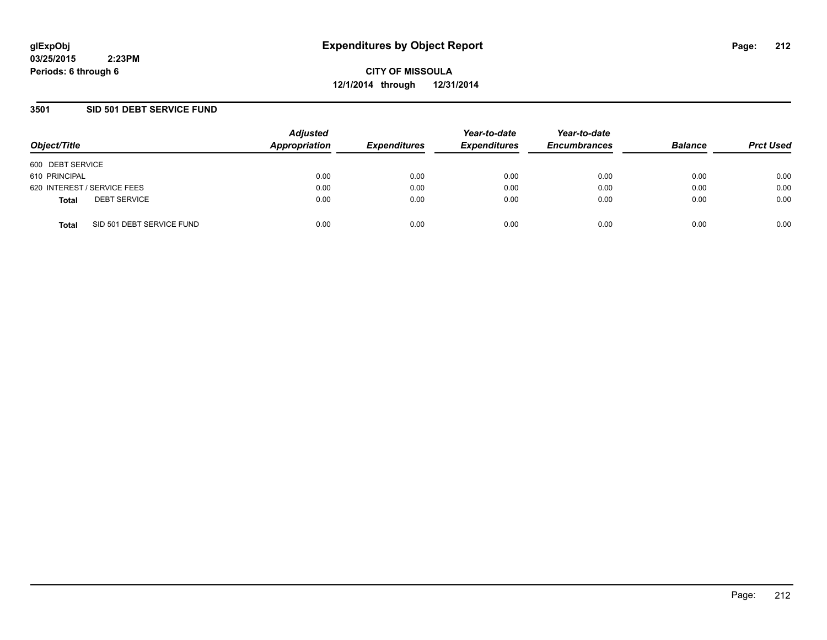**CITY OF MISSOULA 12/1/2014 through 12/31/2014**

## **3501 SID 501 DEBT SERVICE FUND**

| Object/Title                              | <b>Adjusted</b><br>Appropriation | <b>Expenditures</b> | Year-to-date<br><b>Expenditures</b> | Year-to-date<br><b>Encumbrances</b> | <b>Balance</b> | <b>Prct Used</b> |
|-------------------------------------------|----------------------------------|---------------------|-------------------------------------|-------------------------------------|----------------|------------------|
| 600 DEBT SERVICE                          |                                  |                     |                                     |                                     |                |                  |
| 610 PRINCIPAL                             | 0.00                             | 0.00                | 0.00                                | 0.00                                | 0.00           | 0.00             |
| 620 INTEREST / SERVICE FEES               | 0.00                             | 0.00                | 0.00                                | 0.00                                | 0.00           | 0.00             |
| <b>DEBT SERVICE</b><br><b>Total</b>       | 0.00                             | 0.00                | 0.00                                | 0.00                                | 0.00           | 0.00             |
| SID 501 DEBT SERVICE FUND<br><b>Total</b> | 0.00                             | 0.00                | 0.00                                | 0.00                                | 0.00           | 0.00             |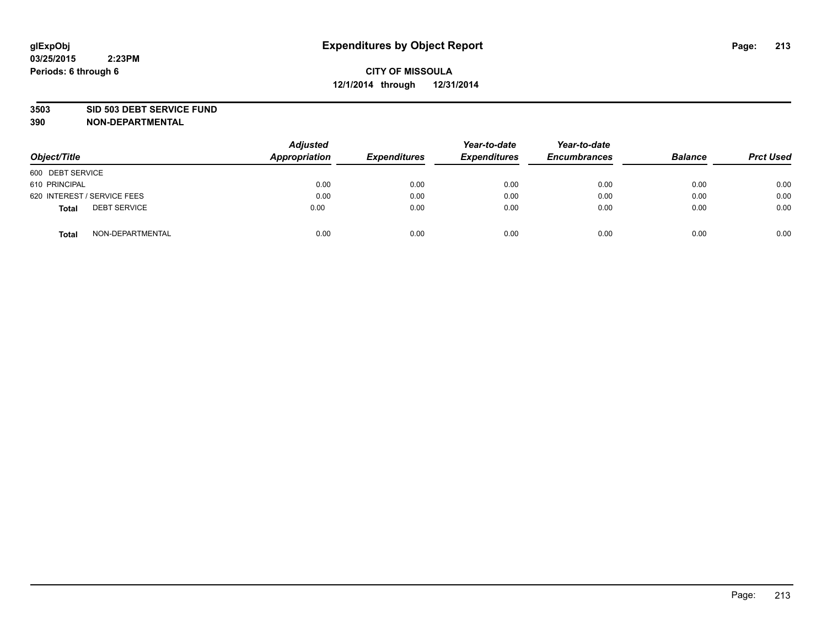#### **3503 SID 503 DEBT SERVICE FUND**

| Object/Title                 | <b>Adjusted</b><br>Appropriation | <b>Expenditures</b> | Year-to-date<br><b>Expenditures</b> | Year-to-date<br><b>Encumbrances</b> | <b>Balance</b> | <b>Prct Used</b> |
|------------------------------|----------------------------------|---------------------|-------------------------------------|-------------------------------------|----------------|------------------|
| 600 DEBT SERVICE             |                                  |                     |                                     |                                     |                |                  |
| 610 PRINCIPAL                | 0.00                             | 0.00                | 0.00                                | 0.00                                | 0.00           | 0.00             |
| 620 INTEREST / SERVICE FEES  | 0.00                             | 0.00                | 0.00                                | 0.00                                | 0.00           | 0.00             |
| <b>DEBT SERVICE</b><br>Total | 0.00                             | 0.00                | 0.00                                | 0.00                                | 0.00           | 0.00             |
| NON-DEPARTMENTAL<br>Total    | 0.00                             | 0.00                | 0.00                                | 0.00                                | 0.00           | 0.00             |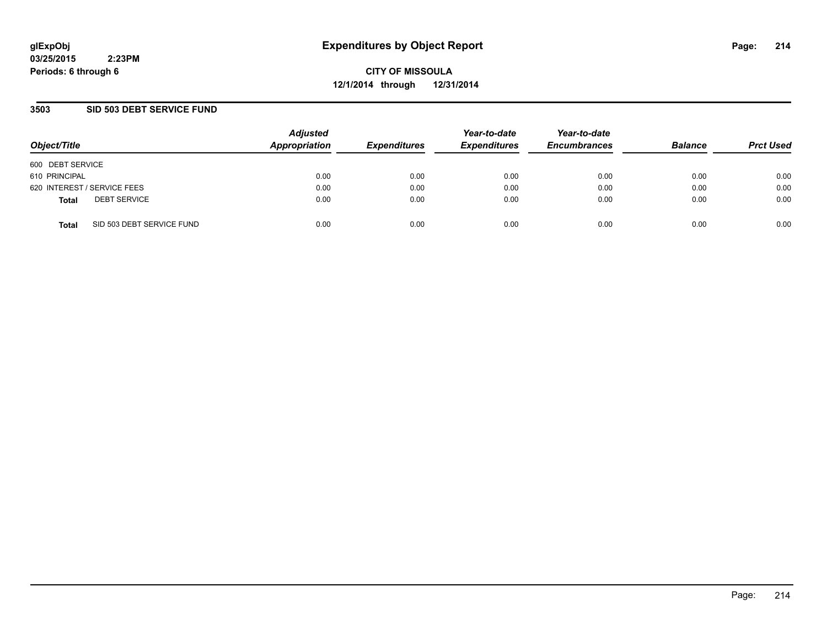**CITY OF MISSOULA 12/1/2014 through 12/31/2014**

## **3503 SID 503 DEBT SERVICE FUND**

| Object/Title                              | <b>Adjusted</b><br>Appropriation | <b>Expenditures</b> | Year-to-date<br><b>Expenditures</b> | Year-to-date<br><b>Encumbrances</b> | <b>Balance</b> | <b>Prct Used</b> |
|-------------------------------------------|----------------------------------|---------------------|-------------------------------------|-------------------------------------|----------------|------------------|
| 600 DEBT SERVICE                          |                                  |                     |                                     |                                     |                |                  |
| 610 PRINCIPAL                             | 0.00                             | 0.00                | 0.00                                | 0.00                                | 0.00           | 0.00             |
| 620 INTEREST / SERVICE FEES               | 0.00                             | 0.00                | 0.00                                | 0.00                                | 0.00           | 0.00             |
| <b>DEBT SERVICE</b><br><b>Total</b>       | 0.00                             | 0.00                | 0.00                                | 0.00                                | 0.00           | 0.00             |
| SID 503 DEBT SERVICE FUND<br><b>Total</b> | 0.00                             | 0.00                | 0.00                                | 0.00                                | 0.00           | 0.00             |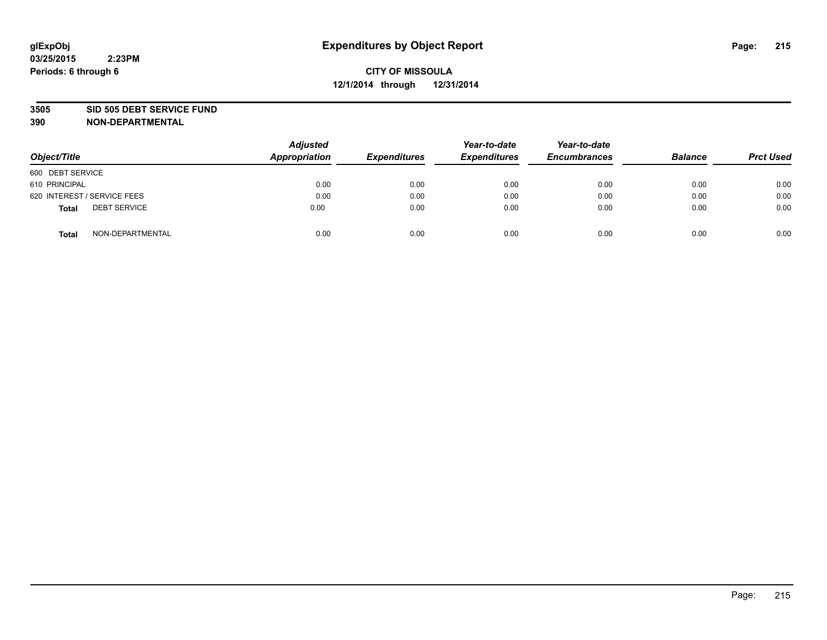#### **3505 SID 505 DEBT SERVICE FUND**

| Object/Title                 | <b>Adjusted</b><br><b>Appropriation</b> | <b>Expenditures</b> | Year-to-date<br><b>Expenditures</b> | Year-to-date<br><b>Encumbrances</b> | <b>Balance</b> | <b>Prct Used</b> |
|------------------------------|-----------------------------------------|---------------------|-------------------------------------|-------------------------------------|----------------|------------------|
| 600 DEBT SERVICE             |                                         |                     |                                     |                                     |                |                  |
| 610 PRINCIPAL                | 0.00                                    | 0.00                | 0.00                                | 0.00                                | 0.00           | 0.00             |
| 620 INTEREST / SERVICE FEES  | 0.00                                    | 0.00                | 0.00                                | 0.00                                | 0.00           | 0.00             |
| <b>DEBT SERVICE</b><br>Total | 0.00                                    | 0.00                | 0.00                                | 0.00                                | 0.00           | 0.00             |
| NON-DEPARTMENTAL<br>Total    | 0.00                                    | 0.00                | 0.00                                | 0.00                                | 0.00           | 0.00             |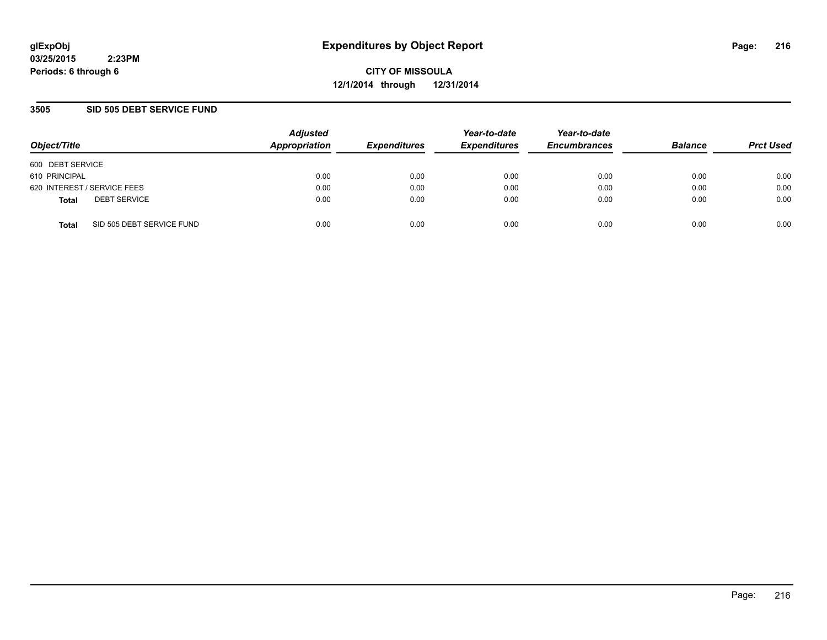**CITY OF MISSOULA 12/1/2014 through 12/31/2014**

## **3505 SID 505 DEBT SERVICE FUND**

| Object/Title                              | <b>Adjusted</b><br>Appropriation | <b>Expenditures</b> | Year-to-date<br><b>Expenditures</b> | Year-to-date<br><b>Encumbrances</b> | <b>Balance</b> | <b>Prct Used</b> |
|-------------------------------------------|----------------------------------|---------------------|-------------------------------------|-------------------------------------|----------------|------------------|
| 600 DEBT SERVICE                          |                                  |                     |                                     |                                     |                |                  |
| 610 PRINCIPAL                             | 0.00                             | 0.00                | 0.00                                | 0.00                                | 0.00           | 0.00             |
| 620 INTEREST / SERVICE FEES               | 0.00                             | 0.00                | 0.00                                | 0.00                                | 0.00           | 0.00             |
| <b>DEBT SERVICE</b><br><b>Total</b>       | 0.00                             | 0.00                | 0.00                                | 0.00                                | 0.00           | 0.00             |
| SID 505 DEBT SERVICE FUND<br><b>Total</b> | 0.00                             | 0.00                | 0.00                                | 0.00                                | 0.00           | 0.00             |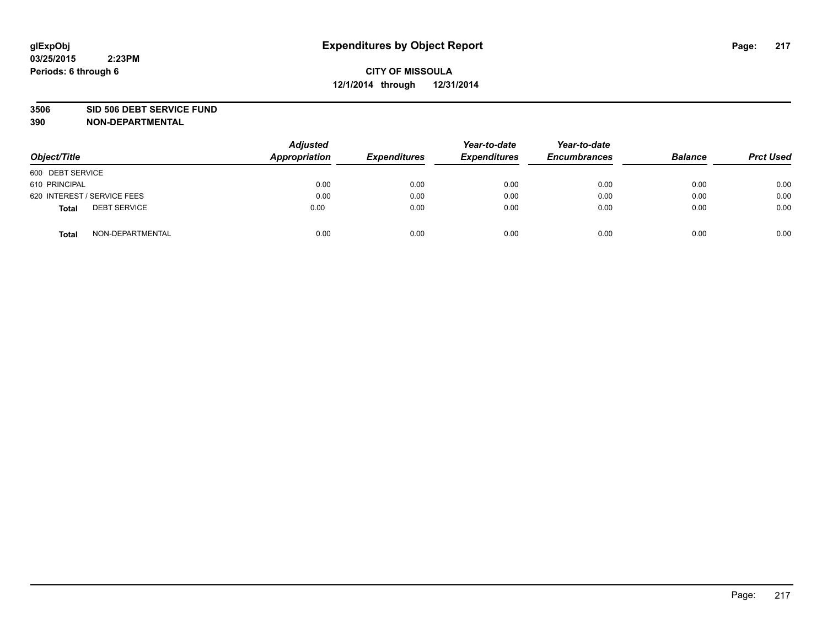#### **3506 SID 506 DEBT SERVICE FUND**

| Object/Title                 | <b>Adjusted</b><br><b>Appropriation</b> | <b>Expenditures</b> | Year-to-date<br><b>Expenditures</b> | Year-to-date<br><b>Encumbrances</b> | <b>Balance</b> | <b>Prct Used</b> |
|------------------------------|-----------------------------------------|---------------------|-------------------------------------|-------------------------------------|----------------|------------------|
| 600 DEBT SERVICE             |                                         |                     |                                     |                                     |                |                  |
| 610 PRINCIPAL                | 0.00                                    | 0.00                | 0.00                                | 0.00                                | 0.00           | 0.00             |
| 620 INTEREST / SERVICE FEES  | 0.00                                    | 0.00                | 0.00                                | 0.00                                | 0.00           | 0.00             |
| <b>DEBT SERVICE</b><br>Total | 0.00                                    | 0.00                | 0.00                                | 0.00                                | 0.00           | 0.00             |
| NON-DEPARTMENTAL<br>Total    | 0.00                                    | 0.00                | 0.00                                | 0.00                                | 0.00           | 0.00             |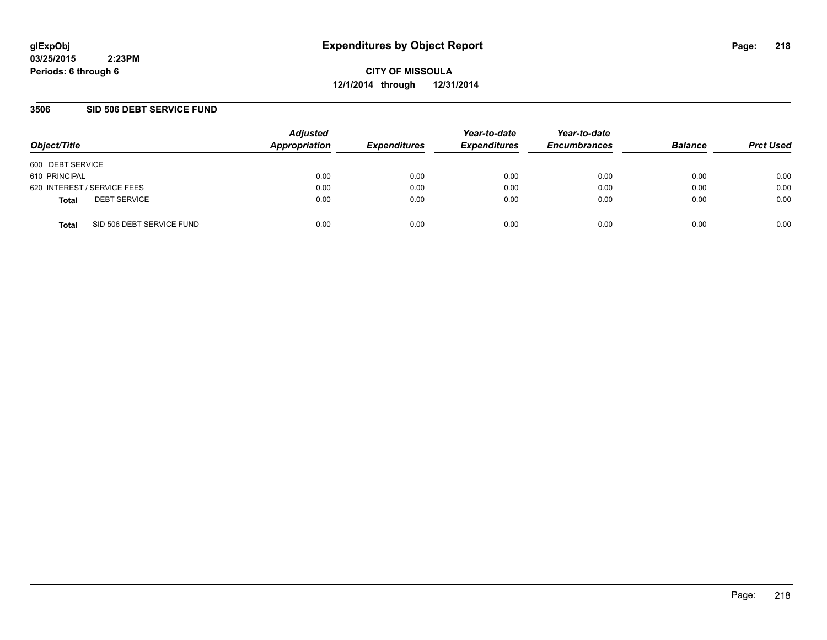**CITY OF MISSOULA 12/1/2014 through 12/31/2014**

### **3506 SID 506 DEBT SERVICE FUND**

| Object/Title                              | <b>Adjusted</b><br>Appropriation | <b>Expenditures</b> | Year-to-date<br><b>Expenditures</b> | Year-to-date<br><b>Encumbrances</b> | <b>Balance</b> | <b>Prct Used</b> |
|-------------------------------------------|----------------------------------|---------------------|-------------------------------------|-------------------------------------|----------------|------------------|
| 600 DEBT SERVICE                          |                                  |                     |                                     |                                     |                |                  |
| 610 PRINCIPAL                             | 0.00                             | 0.00                | 0.00                                | 0.00                                | 0.00           | 0.00             |
| 620 INTEREST / SERVICE FEES               | 0.00                             | 0.00                | 0.00                                | 0.00                                | 0.00           | 0.00             |
| <b>DEBT SERVICE</b><br><b>Total</b>       | 0.00                             | 0.00                | 0.00                                | 0.00                                | 0.00           | 0.00             |
| SID 506 DEBT SERVICE FUND<br><b>Total</b> | 0.00                             | 0.00                | 0.00                                | 0.00                                | 0.00           | 0.00             |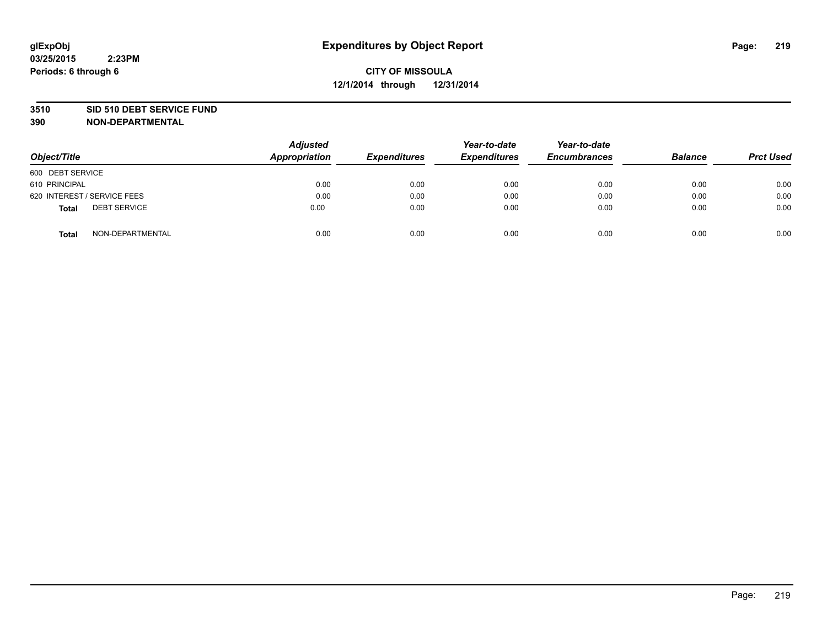#### **3510 SID 510 DEBT SERVICE FUND**

| Object/Title                        | <b>Adjusted</b><br>Appropriation | <b>Expenditures</b> | Year-to-date<br><b>Expenditures</b> | Year-to-date<br><b>Encumbrances</b> | <b>Balance</b> | <b>Prct Used</b> |
|-------------------------------------|----------------------------------|---------------------|-------------------------------------|-------------------------------------|----------------|------------------|
| 600 DEBT SERVICE                    |                                  |                     |                                     |                                     |                |                  |
| 610 PRINCIPAL                       | 0.00                             | 0.00                | 0.00                                | 0.00                                | 0.00           | 0.00             |
| 620 INTEREST / SERVICE FEES         | 0.00                             | 0.00                | 0.00                                | 0.00                                | 0.00           | 0.00             |
| <b>DEBT SERVICE</b><br><b>Total</b> | 0.00                             | 0.00                | 0.00                                | 0.00                                | 0.00           | 0.00             |
| NON-DEPARTMENTAL<br><b>Total</b>    | 0.00                             | 0.00                | 0.00                                | 0.00                                | 0.00           | 0.00             |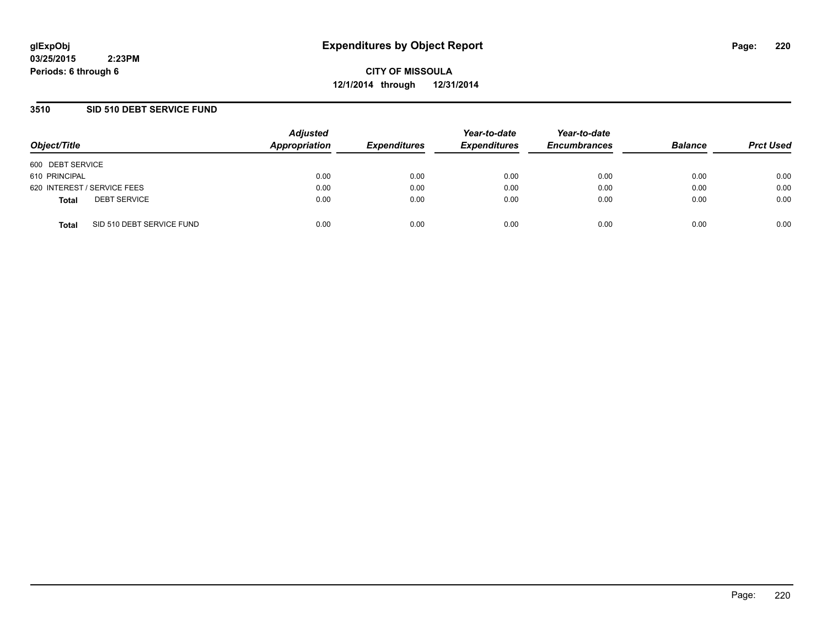**CITY OF MISSOULA 12/1/2014 through 12/31/2014**

### **3510 SID 510 DEBT SERVICE FUND**

| Object/Title                              | <b>Adjusted</b><br>Appropriation | <b>Expenditures</b> | Year-to-date<br><b>Expenditures</b> | Year-to-date<br><b>Encumbrances</b> | <b>Balance</b> | <b>Prct Used</b> |
|-------------------------------------------|----------------------------------|---------------------|-------------------------------------|-------------------------------------|----------------|------------------|
| 600 DEBT SERVICE                          |                                  |                     |                                     |                                     |                |                  |
| 610 PRINCIPAL                             | 0.00                             | 0.00                | 0.00                                | 0.00                                | 0.00           | 0.00             |
| 620 INTEREST / SERVICE FEES               | 0.00                             | 0.00                | 0.00                                | 0.00                                | 0.00           | 0.00             |
| <b>DEBT SERVICE</b><br><b>Total</b>       | 0.00                             | 0.00                | 0.00                                | 0.00                                | 0.00           | 0.00             |
| SID 510 DEBT SERVICE FUND<br><b>Total</b> | 0.00                             | 0.00                | 0.00                                | 0.00                                | 0.00           | 0.00             |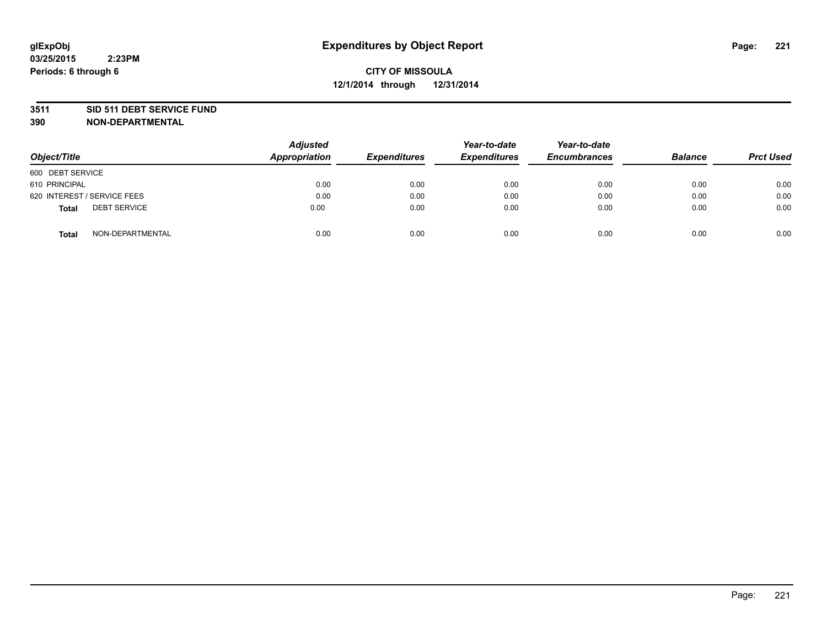#### **3511 SID 511 DEBT SERVICE FUND**

| Object/Title                 | Adjusted<br><b>Appropriation</b> | <b>Expenditures</b> | Year-to-date<br><b>Expenditures</b> | Year-to-date<br><b>Encumbrances</b> | <b>Balance</b> | <b>Prct Used</b> |
|------------------------------|----------------------------------|---------------------|-------------------------------------|-------------------------------------|----------------|------------------|
| 600 DEBT SERVICE             |                                  |                     |                                     |                                     |                |                  |
| 610 PRINCIPAL                | 0.00                             | 0.00                | 0.00                                | 0.00                                | 0.00           | 0.00             |
| 620 INTEREST / SERVICE FEES  | 0.00                             | 0.00                | 0.00                                | 0.00                                | 0.00           | 0.00             |
| <b>DEBT SERVICE</b><br>Total | 0.00                             | 0.00                | 0.00                                | 0.00                                | 0.00           | 0.00             |
| NON-DEPARTMENTAL<br>Total    | 0.00                             | 0.00                | 0.00                                | 0.00                                | 0.00           | 0.00             |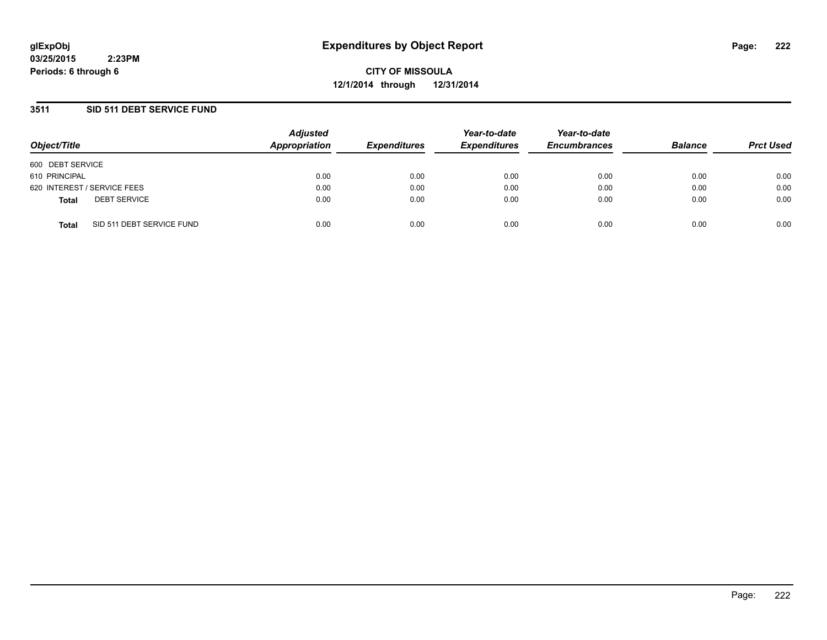**CITY OF MISSOULA 12/1/2014 through 12/31/2014**

### **3511 SID 511 DEBT SERVICE FUND**

| Object/Title                              | <b>Adjusted</b><br>Appropriation | <b>Expenditures</b> | Year-to-date<br><b>Expenditures</b> | Year-to-date<br><b>Encumbrances</b> | <b>Balance</b> | <b>Prct Used</b> |
|-------------------------------------------|----------------------------------|---------------------|-------------------------------------|-------------------------------------|----------------|------------------|
| 600 DEBT SERVICE                          |                                  |                     |                                     |                                     |                |                  |
| 610 PRINCIPAL                             | 0.00                             | 0.00                | 0.00                                | 0.00                                | 0.00           | 0.00             |
| 620 INTEREST / SERVICE FEES               | 0.00                             | 0.00                | 0.00                                | 0.00                                | 0.00           | 0.00             |
| <b>DEBT SERVICE</b><br><b>Total</b>       | 0.00                             | 0.00                | 0.00                                | 0.00                                | 0.00           | 0.00             |
| SID 511 DEBT SERVICE FUND<br><b>Total</b> | 0.00                             | 0.00                | 0.00                                | 0.00                                | 0.00           | 0.00             |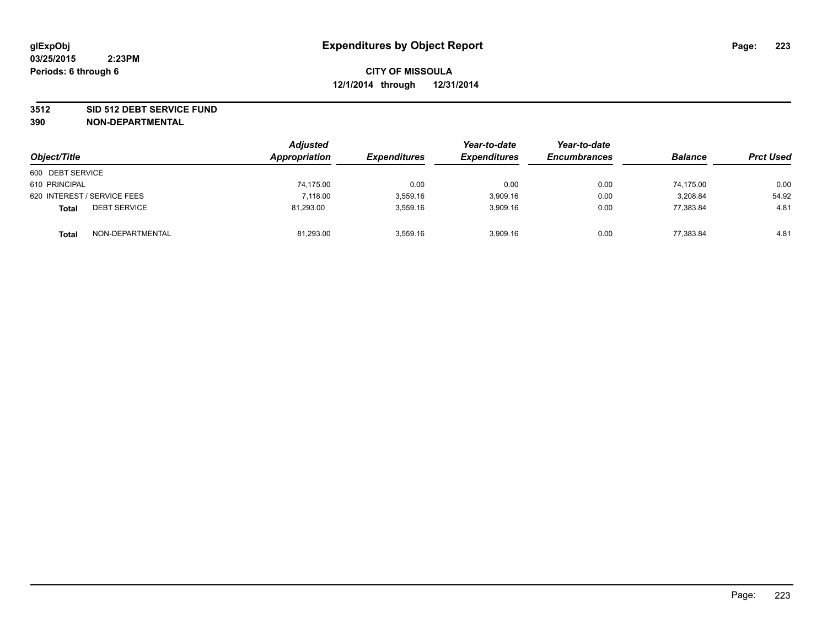#### **3512 SID 512 DEBT SERVICE FUND**

| Object/Title                        | <b>Adjusted</b><br>Appropriation | <b>Expenditures</b> | Year-to-date<br><b>Expenditures</b> | Year-to-date<br><b>Encumbrances</b> | <b>Balance</b> | <b>Prct Used</b> |
|-------------------------------------|----------------------------------|---------------------|-------------------------------------|-------------------------------------|----------------|------------------|
| 600 DEBT SERVICE                    |                                  |                     |                                     |                                     |                |                  |
| 610 PRINCIPAL                       | 74,175.00                        | 0.00                | 0.00                                | 0.00                                | 74.175.00      | 0.00             |
| 620 INTEREST / SERVICE FEES         | 7,118.00                         | 3,559.16            | 3,909.16                            | 0.00                                | 3,208.84       | 54.92            |
| <b>DEBT SERVICE</b><br><b>Total</b> | 81,293.00                        | 3.559.16            | 3.909.16                            | 0.00                                | 77,383.84      | 4.81             |
| NON-DEPARTMENTAL<br><b>Total</b>    | 81,293.00                        | 3,559.16            | 3,909.16                            | 0.00                                | 77,383.84      | 4.81             |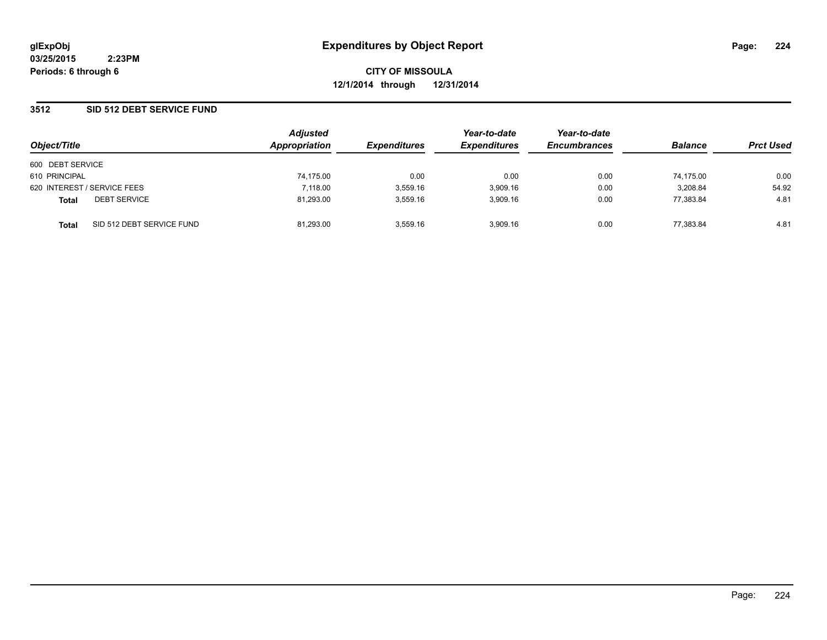**CITY OF MISSOULA 12/1/2014 through 12/31/2014**

### **3512 SID 512 DEBT SERVICE FUND**

| Object/Title                        |                           | <b>Adjusted</b><br>Appropriation | <b>Expenditures</b> | Year-to-date<br><b>Expenditures</b> | Year-to-date<br><b>Encumbrances</b> | <b>Balance</b> | <b>Prct Used</b> |
|-------------------------------------|---------------------------|----------------------------------|---------------------|-------------------------------------|-------------------------------------|----------------|------------------|
| 600 DEBT SERVICE                    |                           |                                  |                     |                                     |                                     |                |                  |
| 610 PRINCIPAL                       |                           | 74,175.00                        | 0.00                | 0.00                                | 0.00                                | 74.175.00      | 0.00             |
| 620 INTEREST / SERVICE FEES         |                           | 7,118.00                         | 3,559.16            | 3,909.16                            | 0.00                                | 3,208.84       | 54.92            |
| <b>DEBT SERVICE</b><br><b>Total</b> |                           | 81,293.00                        | 3.559.16            | 3,909.16                            | 0.00                                | 77.383.84      | 4.81             |
| <b>Total</b>                        | SID 512 DEBT SERVICE FUND | 81,293.00                        | 3.559.16            | 3.909.16                            | 0.00                                | 77.383.84      | 4.81             |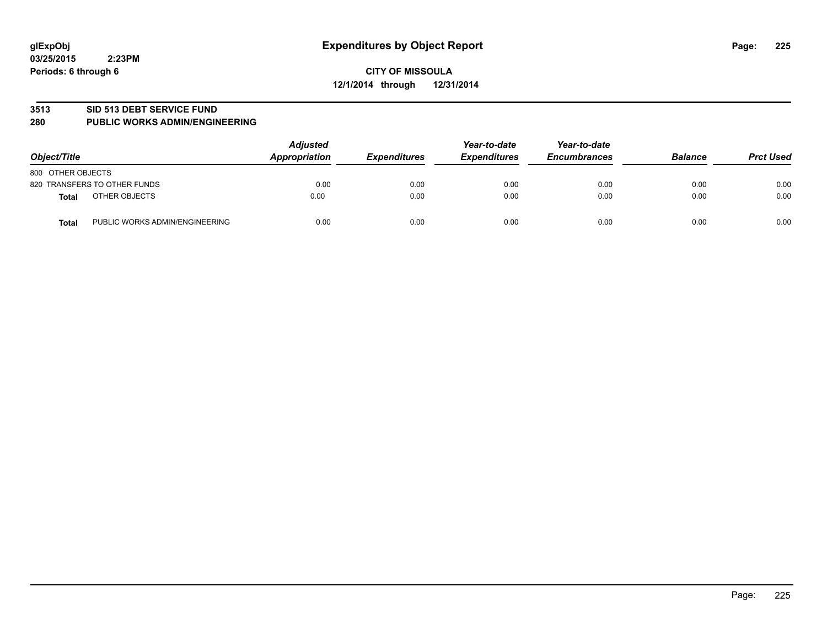#### **3513 SID 513 DEBT SERVICE FUND**

#### **280 PUBLIC WORKS ADMIN/ENGINEERING**

| Object/Title                                   | <b>Adjusted</b><br><b>Appropriation</b> | <b>Expenditures</b> | Year-to-date<br><b>Expenditures</b> | Year-to-date<br><b>Encumbrances</b> | <b>Balance</b> | <b>Prct Used</b> |
|------------------------------------------------|-----------------------------------------|---------------------|-------------------------------------|-------------------------------------|----------------|------------------|
| 800 OTHER OBJECTS                              |                                         |                     |                                     |                                     |                |                  |
| 820 TRANSFERS TO OTHER FUNDS                   | 0.00                                    | 0.00                | 0.00                                | 0.00                                | 0.00           | 0.00             |
| OTHER OBJECTS<br><b>Total</b>                  | 0.00                                    | 0.00                | 0.00                                | 0.00                                | 0.00           | 0.00             |
| PUBLIC WORKS ADMIN/ENGINEERING<br><b>Total</b> | 0.00                                    | 0.00                | 0.00                                | 0.00                                | 0.00           | 0.00             |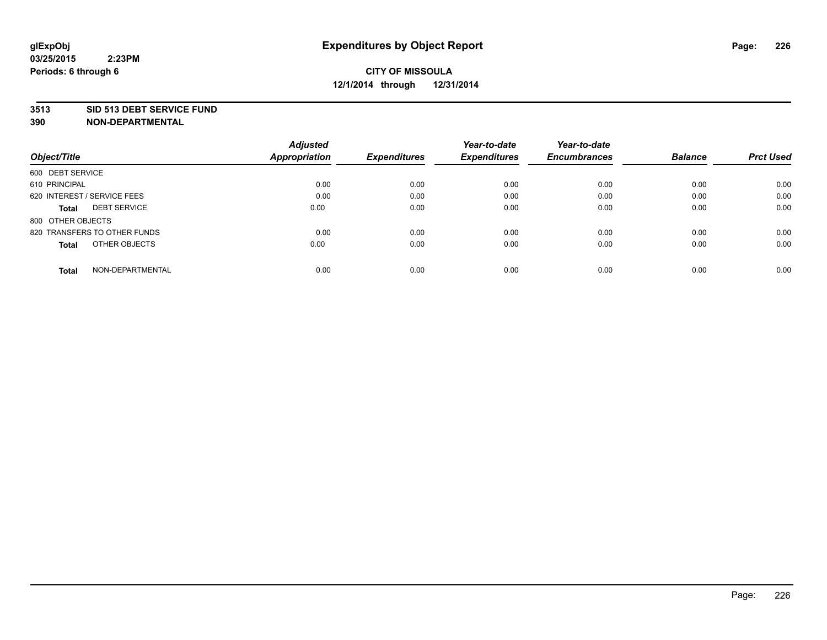#### **3513 SID 513 DEBT SERVICE FUND**

|                                     | <b>Adjusted</b> |                     | Year-to-date        | Year-to-date        |                |                  |
|-------------------------------------|-----------------|---------------------|---------------------|---------------------|----------------|------------------|
| Object/Title                        | Appropriation   | <b>Expenditures</b> | <b>Expenditures</b> | <b>Encumbrances</b> | <b>Balance</b> | <b>Prct Used</b> |
| 600 DEBT SERVICE                    |                 |                     |                     |                     |                |                  |
| 610 PRINCIPAL                       | 0.00            | 0.00                | 0.00                | 0.00                | 0.00           | 0.00             |
| 620 INTEREST / SERVICE FEES         | 0.00            | 0.00                | 0.00                | 0.00                | 0.00           | 0.00             |
| <b>DEBT SERVICE</b><br><b>Total</b> | 0.00            | 0.00                | 0.00                | 0.00                | 0.00           | 0.00             |
| 800 OTHER OBJECTS                   |                 |                     |                     |                     |                |                  |
| 820 TRANSFERS TO OTHER FUNDS        | 0.00            | 0.00                | 0.00                | 0.00                | 0.00           | 0.00             |
| OTHER OBJECTS<br><b>Total</b>       | 0.00            | 0.00                | 0.00                | 0.00                | 0.00           | 0.00             |
| NON-DEPARTMENTAL<br>Total           | 0.00            | 0.00                | 0.00                | 0.00                | 0.00           | 0.00             |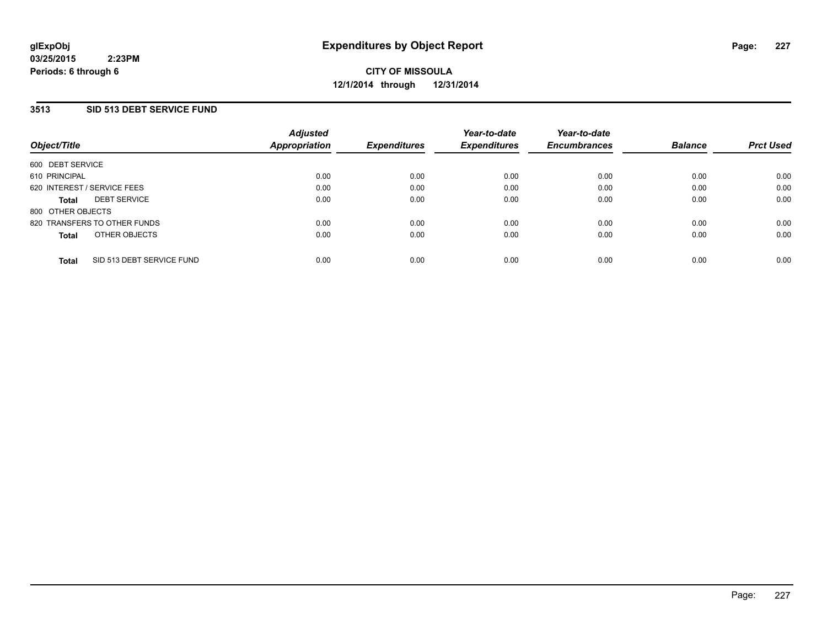### **3513 SID 513 DEBT SERVICE FUND**

| Object/Title                |                              | <b>Adjusted</b><br>Appropriation | <b>Expenditures</b> | Year-to-date<br><b>Expenditures</b> | Year-to-date<br><b>Encumbrances</b> | <b>Balance</b> | <b>Prct Used</b> |
|-----------------------------|------------------------------|----------------------------------|---------------------|-------------------------------------|-------------------------------------|----------------|------------------|
| 600 DEBT SERVICE            |                              |                                  |                     |                                     |                                     |                |                  |
| 610 PRINCIPAL               |                              | 0.00                             | 0.00                | 0.00                                | 0.00                                | 0.00           | 0.00             |
| 620 INTEREST / SERVICE FEES |                              | 0.00                             | 0.00                | 0.00                                | 0.00                                | 0.00           | 0.00             |
| <b>Total</b>                | <b>DEBT SERVICE</b>          | 0.00                             | 0.00                | 0.00                                | 0.00                                | 0.00           | 0.00             |
| 800 OTHER OBJECTS           |                              |                                  |                     |                                     |                                     |                |                  |
|                             | 820 TRANSFERS TO OTHER FUNDS | 0.00                             | 0.00                | 0.00                                | 0.00                                | 0.00           | 0.00             |
| <b>Total</b>                | OTHER OBJECTS                | 0.00                             | 0.00                | 0.00                                | 0.00                                | 0.00           | 0.00             |
| <b>Total</b>                | SID 513 DEBT SERVICE FUND    | 0.00                             | 0.00                | 0.00                                | 0.00                                | 0.00           | 0.00             |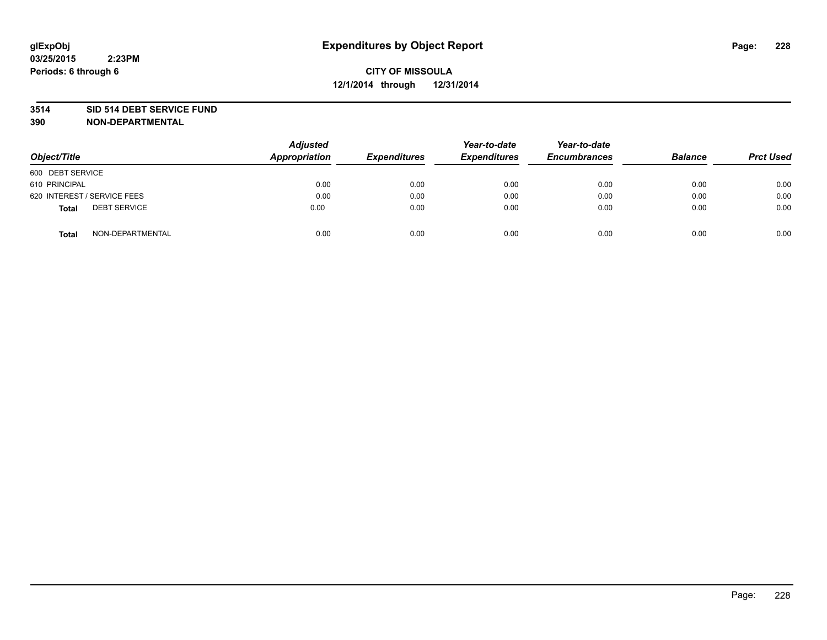#### **3514 SID 514 DEBT SERVICE FUND**

| Object/Title                        | <b>Adjusted</b><br>Appropriation | <b>Expenditures</b> | Year-to-date<br><b>Expenditures</b> | Year-to-date<br><b>Encumbrances</b> | <b>Balance</b> | <b>Prct Used</b> |
|-------------------------------------|----------------------------------|---------------------|-------------------------------------|-------------------------------------|----------------|------------------|
| 600 DEBT SERVICE                    |                                  |                     |                                     |                                     |                |                  |
| 610 PRINCIPAL                       | 0.00                             | 0.00                | 0.00                                | 0.00                                | 0.00           | 0.00             |
| 620 INTEREST / SERVICE FEES         | 0.00                             | 0.00                | 0.00                                | 0.00                                | 0.00           | 0.00             |
| <b>DEBT SERVICE</b><br><b>Total</b> | 0.00                             | 0.00                | 0.00                                | 0.00                                | 0.00           | 0.00             |
| NON-DEPARTMENTAL<br><b>Total</b>    | 0.00                             | 0.00                | 0.00                                | 0.00                                | 0.00           | 0.00             |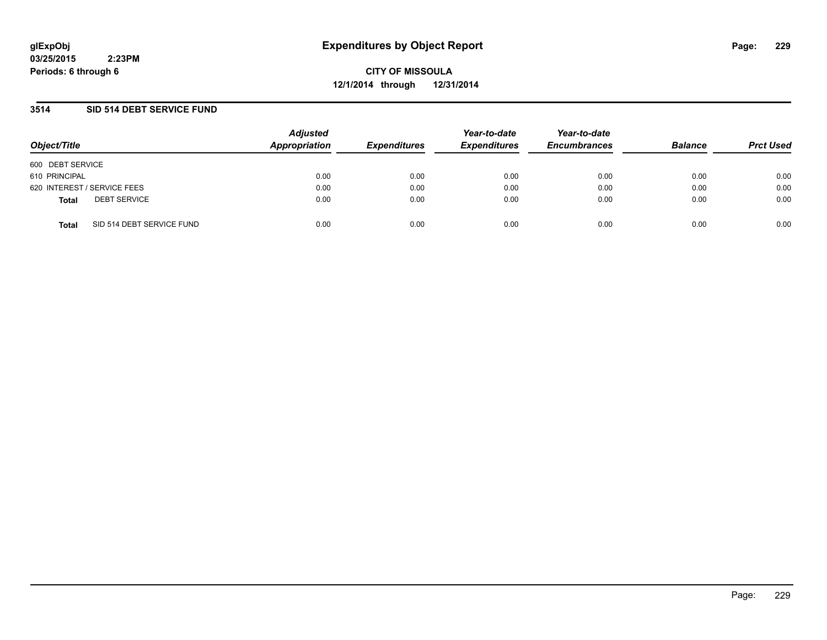**CITY OF MISSOULA 12/1/2014 through 12/31/2014**

### **3514 SID 514 DEBT SERVICE FUND**

| Object/Title                              | <b>Adjusted</b><br>Appropriation | <b>Expenditures</b> | Year-to-date<br><b>Expenditures</b> | Year-to-date<br><b>Encumbrances</b> | <b>Balance</b> | <b>Prct Used</b> |
|-------------------------------------------|----------------------------------|---------------------|-------------------------------------|-------------------------------------|----------------|------------------|
| 600 DEBT SERVICE                          |                                  |                     |                                     |                                     |                |                  |
| 610 PRINCIPAL                             | 0.00                             | 0.00                | 0.00                                | 0.00                                | 0.00           | 0.00             |
| 620 INTEREST / SERVICE FEES               | 0.00                             | 0.00                | 0.00                                | 0.00                                | 0.00           | 0.00             |
| <b>DEBT SERVICE</b><br><b>Total</b>       | 0.00                             | 0.00                | 0.00                                | 0.00                                | 0.00           | 0.00             |
| SID 514 DEBT SERVICE FUND<br><b>Total</b> | 0.00                             | 0.00                | 0.00                                | 0.00                                | 0.00           | 0.00             |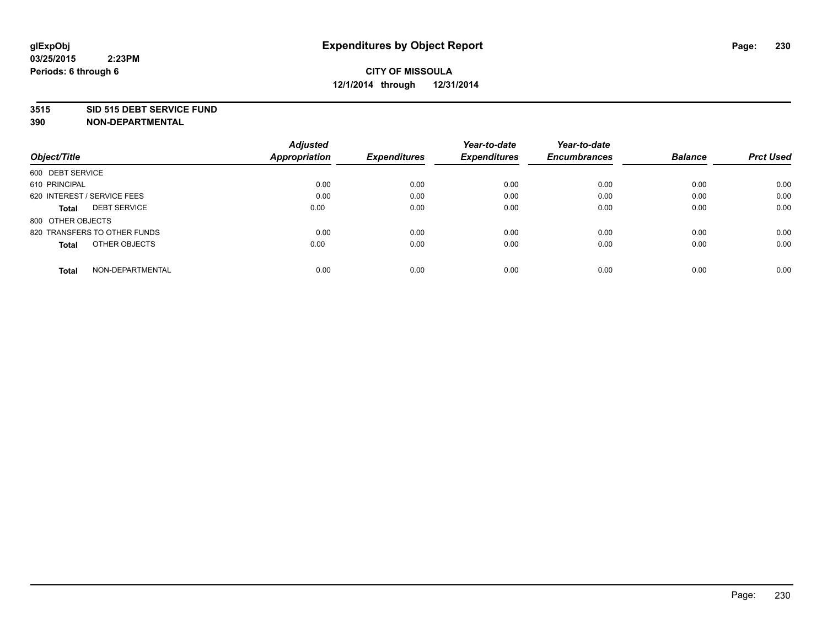#### **3515 SID 515 DEBT SERVICE FUND**

|                                     | <b>Adjusted</b>      |                     | Year-to-date        | Year-to-date        |                |                  |
|-------------------------------------|----------------------|---------------------|---------------------|---------------------|----------------|------------------|
| Object/Title                        | <b>Appropriation</b> | <b>Expenditures</b> | <b>Expenditures</b> | <b>Encumbrances</b> | <b>Balance</b> | <b>Prct Used</b> |
| 600 DEBT SERVICE                    |                      |                     |                     |                     |                |                  |
| 610 PRINCIPAL                       | 0.00                 | 0.00                | 0.00                | 0.00                | 0.00           | 0.00             |
| 620 INTEREST / SERVICE FEES         | 0.00                 | 0.00                | 0.00                | 0.00                | 0.00           | 0.00             |
| <b>DEBT SERVICE</b><br><b>Total</b> | 0.00                 | 0.00                | 0.00                | 0.00                | 0.00           | 0.00             |
| 800 OTHER OBJECTS                   |                      |                     |                     |                     |                |                  |
| 820 TRANSFERS TO OTHER FUNDS        | 0.00                 | 0.00                | 0.00                | 0.00                | 0.00           | 0.00             |
| OTHER OBJECTS<br><b>Total</b>       | 0.00                 | 0.00                | 0.00                | 0.00                | 0.00           | 0.00             |
| NON-DEPARTMENTAL<br>Total           | 0.00                 | 0.00                | 0.00                | 0.00                | 0.00           | 0.00             |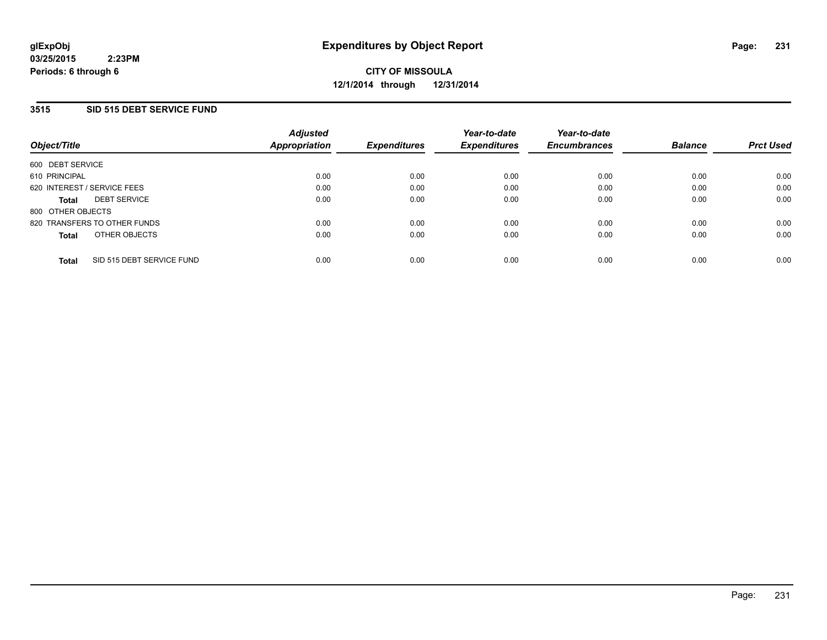### **3515 SID 515 DEBT SERVICE FUND**

| Object/Title                              | <b>Adjusted</b><br>Appropriation | <b>Expenditures</b> | Year-to-date<br><b>Expenditures</b> | Year-to-date<br><b>Encumbrances</b> | <b>Balance</b> | <b>Prct Used</b> |
|-------------------------------------------|----------------------------------|---------------------|-------------------------------------|-------------------------------------|----------------|------------------|
| 600 DEBT SERVICE                          |                                  |                     |                                     |                                     |                |                  |
| 610 PRINCIPAL                             | 0.00                             | 0.00                | 0.00                                | 0.00                                | 0.00           | 0.00             |
| 620 INTEREST / SERVICE FEES               | 0.00                             | 0.00                | 0.00                                | 0.00                                | 0.00           | 0.00             |
| <b>DEBT SERVICE</b><br><b>Total</b>       | 0.00                             | 0.00                | 0.00                                | 0.00                                | 0.00           | 0.00             |
| 800 OTHER OBJECTS                         |                                  |                     |                                     |                                     |                |                  |
| 820 TRANSFERS TO OTHER FUNDS              | 0.00                             | 0.00                | 0.00                                | 0.00                                | 0.00           | 0.00             |
| OTHER OBJECTS<br><b>Total</b>             | 0.00                             | 0.00                | 0.00                                | 0.00                                | 0.00           | 0.00             |
| SID 515 DEBT SERVICE FUND<br><b>Total</b> | 0.00                             | 0.00                | 0.00                                | 0.00                                | 0.00           | 0.00             |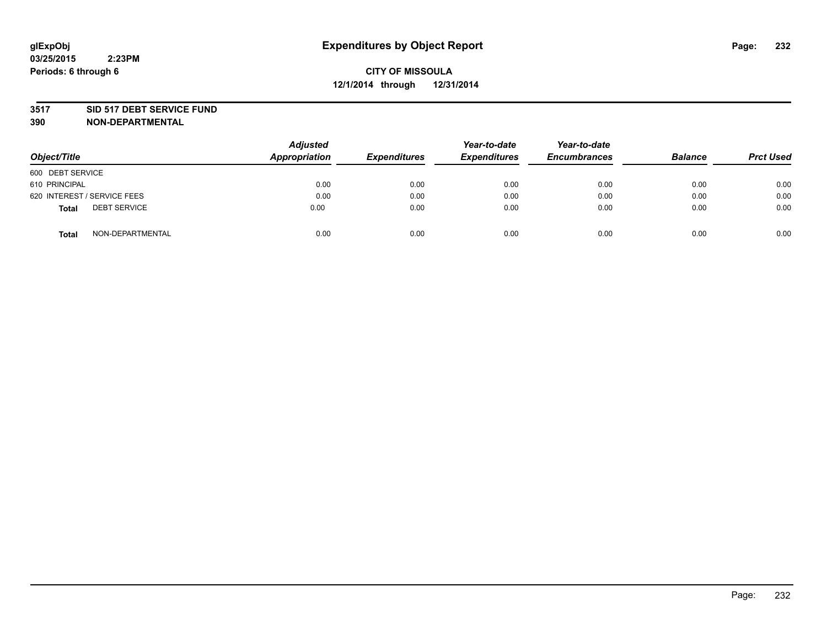#### **3517 SID 517 DEBT SERVICE FUND**

| Object/Title                        | <b>Adjusted</b><br>Appropriation | <b>Expenditures</b> | Year-to-date<br><b>Expenditures</b> | Year-to-date<br><b>Encumbrances</b> | <b>Balance</b> | <b>Prct Used</b> |
|-------------------------------------|----------------------------------|---------------------|-------------------------------------|-------------------------------------|----------------|------------------|
| 600 DEBT SERVICE                    |                                  |                     |                                     |                                     |                |                  |
| 610 PRINCIPAL                       | 0.00                             | 0.00                | 0.00                                | 0.00                                | 0.00           | 0.00             |
| 620 INTEREST / SERVICE FEES         | 0.00                             | 0.00                | 0.00                                | 0.00                                | 0.00           | 0.00             |
| <b>DEBT SERVICE</b><br><b>Total</b> | 0.00                             | 0.00                | 0.00                                | 0.00                                | 0.00           | 0.00             |
| NON-DEPARTMENTAL<br><b>Total</b>    | 0.00                             | 0.00                | 0.00                                | 0.00                                | 0.00           | 0.00             |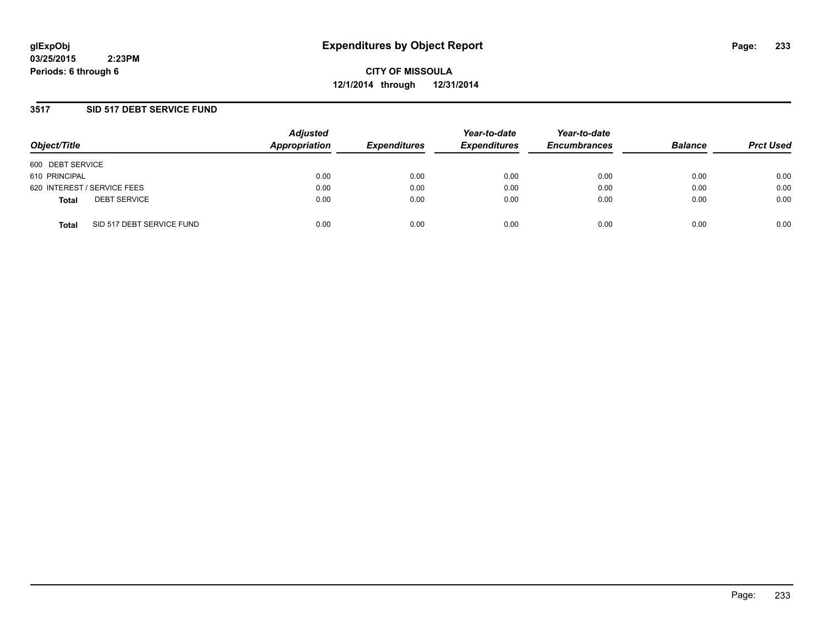**CITY OF MISSOULA 12/1/2014 through 12/31/2014**

### **3517 SID 517 DEBT SERVICE FUND**

| Object/Title                              | <b>Adjusted</b><br>Appropriation | <b>Expenditures</b> | Year-to-date<br><b>Expenditures</b> | Year-to-date<br><b>Encumbrances</b> | <b>Balance</b> | <b>Prct Used</b> |
|-------------------------------------------|----------------------------------|---------------------|-------------------------------------|-------------------------------------|----------------|------------------|
| 600 DEBT SERVICE                          |                                  |                     |                                     |                                     |                |                  |
| 610 PRINCIPAL                             | 0.00                             | 0.00                | 0.00                                | 0.00                                | 0.00           | 0.00             |
| 620 INTEREST / SERVICE FEES               | 0.00                             | 0.00                | 0.00                                | 0.00                                | 0.00           | 0.00             |
| <b>DEBT SERVICE</b><br><b>Total</b>       | 0.00                             | 0.00                | 0.00                                | 0.00                                | 0.00           | 0.00             |
| SID 517 DEBT SERVICE FUND<br><b>Total</b> | 0.00                             | 0.00                | 0.00                                | 0.00                                | 0.00           | 0.00             |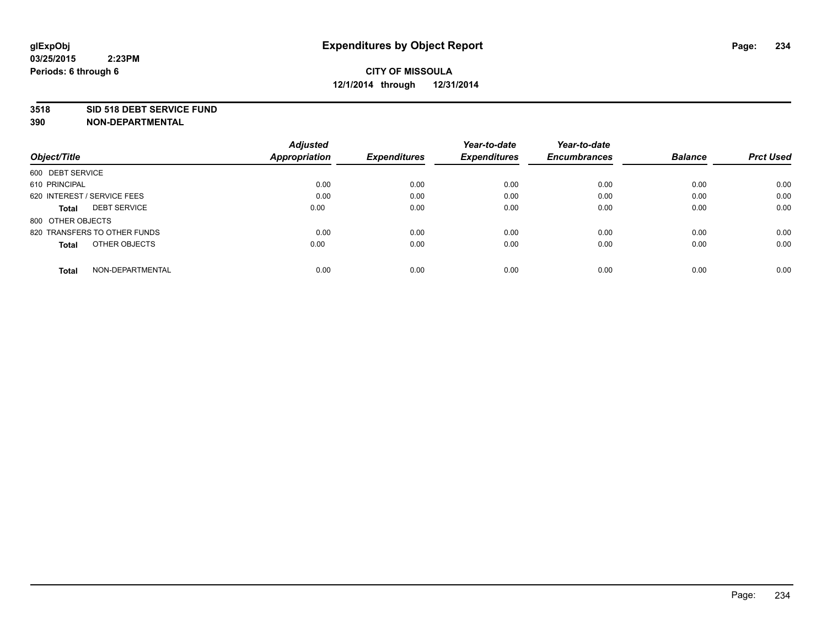#### **3518 SID 518 DEBT SERVICE FUND**

|                                     | <b>Adjusted</b>      |                     | Year-to-date        | Year-to-date        |                |                  |
|-------------------------------------|----------------------|---------------------|---------------------|---------------------|----------------|------------------|
| Object/Title                        | <b>Appropriation</b> | <b>Expenditures</b> | <b>Expenditures</b> | <b>Encumbrances</b> | <b>Balance</b> | <b>Prct Used</b> |
| 600 DEBT SERVICE                    |                      |                     |                     |                     |                |                  |
| 610 PRINCIPAL                       | 0.00                 | 0.00                | 0.00                | 0.00                | 0.00           | 0.00             |
| 620 INTEREST / SERVICE FEES         | 0.00                 | 0.00                | 0.00                | 0.00                | 0.00           | 0.00             |
| <b>DEBT SERVICE</b><br><b>Total</b> | 0.00                 | 0.00                | 0.00                | 0.00                | 0.00           | 0.00             |
| 800 OTHER OBJECTS                   |                      |                     |                     |                     |                |                  |
| 820 TRANSFERS TO OTHER FUNDS        | 0.00                 | 0.00                | 0.00                | 0.00                | 0.00           | 0.00             |
| OTHER OBJECTS<br><b>Total</b>       | 0.00                 | 0.00                | 0.00                | 0.00                | 0.00           | 0.00             |
| NON-DEPARTMENTAL<br>Total           | 0.00                 | 0.00                | 0.00                | 0.00                | 0.00           | 0.00             |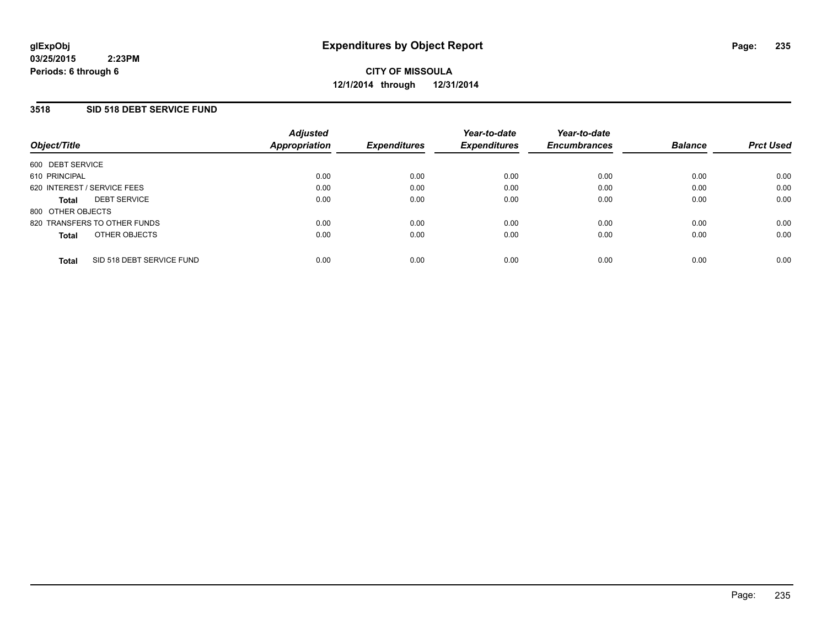### **3518 SID 518 DEBT SERVICE FUND**

| Object/Title                        |                           | <b>Adjusted</b><br>Appropriation | <b>Expenditures</b> | Year-to-date<br><b>Expenditures</b> | Year-to-date<br><b>Encumbrances</b> | <b>Balance</b> | <b>Prct Used</b> |
|-------------------------------------|---------------------------|----------------------------------|---------------------|-------------------------------------|-------------------------------------|----------------|------------------|
| 600 DEBT SERVICE                    |                           |                                  |                     |                                     |                                     |                |                  |
| 610 PRINCIPAL                       |                           | 0.00                             | 0.00                | 0.00                                | 0.00                                | 0.00           | 0.00             |
| 620 INTEREST / SERVICE FEES         |                           | 0.00                             | 0.00                | 0.00                                | 0.00                                | 0.00           | 0.00             |
| <b>DEBT SERVICE</b><br><b>Total</b> |                           | 0.00                             | 0.00                | 0.00                                | 0.00                                | 0.00           | 0.00             |
| 800 OTHER OBJECTS                   |                           |                                  |                     |                                     |                                     |                |                  |
| 820 TRANSFERS TO OTHER FUNDS        |                           | 0.00                             | 0.00                | 0.00                                | 0.00                                | 0.00           | 0.00             |
| <b>Total</b>                        | OTHER OBJECTS             | 0.00                             | 0.00                | 0.00                                | 0.00                                | 0.00           | 0.00             |
| <b>Total</b>                        | SID 518 DEBT SERVICE FUND | 0.00                             | 0.00                | 0.00                                | 0.00                                | 0.00           | 0.00             |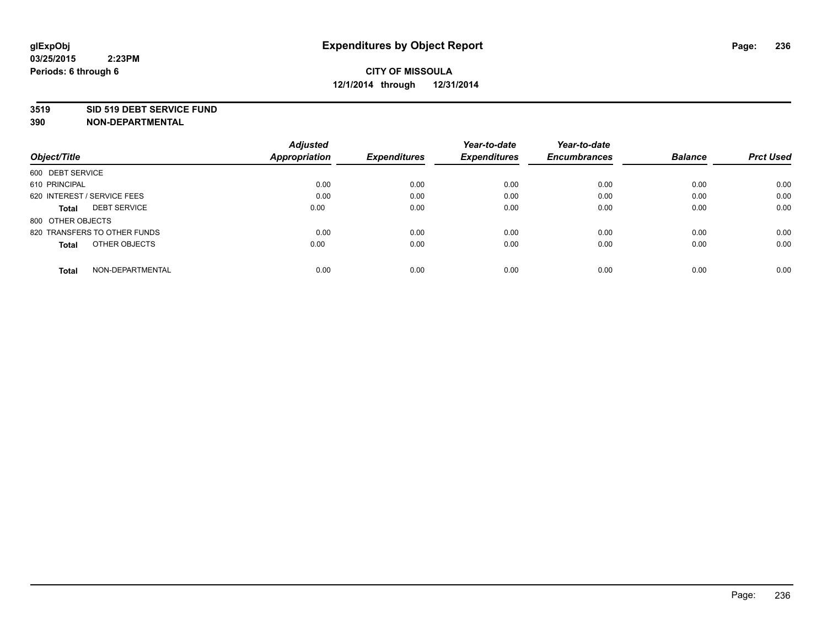#### **3519 SID 519 DEBT SERVICE FUND**

|                                     | <b>Adjusted</b>      |                     | Year-to-date        | Year-to-date        |                |                  |
|-------------------------------------|----------------------|---------------------|---------------------|---------------------|----------------|------------------|
| Object/Title                        | <b>Appropriation</b> | <b>Expenditures</b> | <b>Expenditures</b> | <b>Encumbrances</b> | <b>Balance</b> | <b>Prct Used</b> |
| 600 DEBT SERVICE                    |                      |                     |                     |                     |                |                  |
| 610 PRINCIPAL                       | 0.00                 | 0.00                | 0.00                | 0.00                | 0.00           | 0.00             |
| 620 INTEREST / SERVICE FEES         | 0.00                 | 0.00                | 0.00                | 0.00                | 0.00           | 0.00             |
| <b>DEBT SERVICE</b><br><b>Total</b> | 0.00                 | 0.00                | 0.00                | 0.00                | 0.00           | 0.00             |
| 800 OTHER OBJECTS                   |                      |                     |                     |                     |                |                  |
| 820 TRANSFERS TO OTHER FUNDS        | 0.00                 | 0.00                | 0.00                | 0.00                | 0.00           | 0.00             |
| OTHER OBJECTS<br><b>Total</b>       | 0.00                 | 0.00                | 0.00                | 0.00                | 0.00           | 0.00             |
| NON-DEPARTMENTAL<br>Total           | 0.00                 | 0.00                | 0.00                | 0.00                | 0.00           | 0.00             |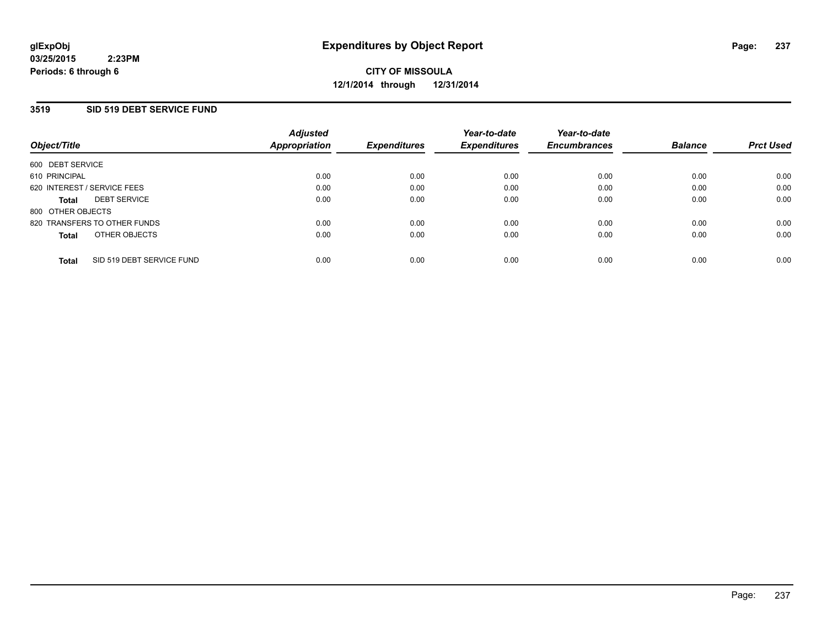### **3519 SID 519 DEBT SERVICE FUND**

| Object/Title                       | <b>Adjusted</b><br><b>Appropriation</b> | <b>Expenditures</b> | Year-to-date<br><b>Expenditures</b> | Year-to-date<br><b>Encumbrances</b> | <b>Balance</b> | <b>Prct Used</b> |
|------------------------------------|-----------------------------------------|---------------------|-------------------------------------|-------------------------------------|----------------|------------------|
| 600 DEBT SERVICE                   |                                         |                     |                                     |                                     |                |                  |
| 610 PRINCIPAL                      | 0.00                                    | 0.00                | 0.00                                | 0.00                                | 0.00           | 0.00             |
| 620 INTEREST / SERVICE FEES        | 0.00                                    | 0.00                | 0.00                                | 0.00                                | 0.00           | 0.00             |
| <b>DEBT SERVICE</b><br>Total       | 0.00                                    | 0.00                | 0.00                                | 0.00                                | 0.00           | 0.00             |
| 800 OTHER OBJECTS                  |                                         |                     |                                     |                                     |                |                  |
| 820 TRANSFERS TO OTHER FUNDS       | 0.00                                    | 0.00                | 0.00                                | 0.00                                | 0.00           | 0.00             |
| OTHER OBJECTS<br>Total             | 0.00                                    | 0.00                | 0.00                                | 0.00                                | 0.00           | 0.00             |
| SID 519 DEBT SERVICE FUND<br>Total | 0.00                                    | 0.00                | 0.00                                | 0.00                                | 0.00           | 0.00             |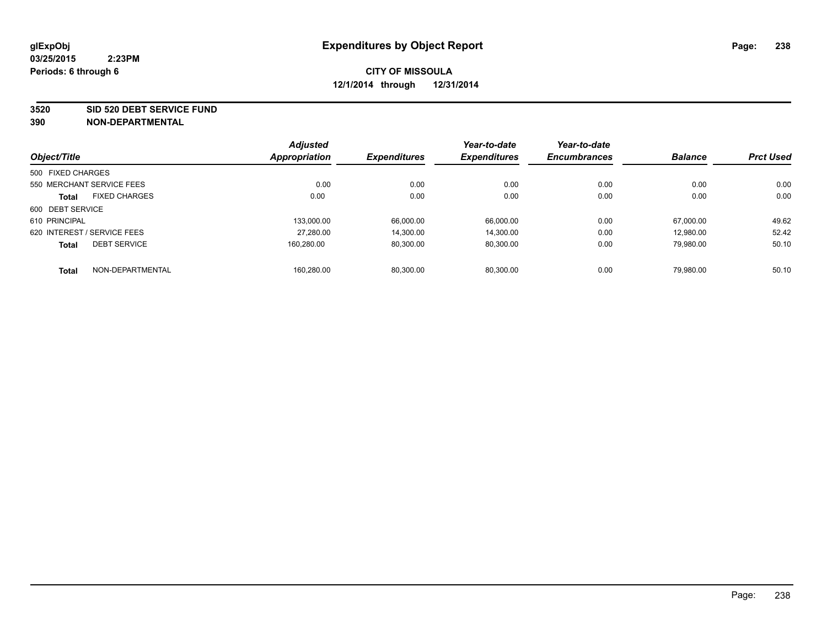**3520 SID 520 DEBT SERVICE FUND**

| Object/Title      |                             | <b>Adjusted</b> |                     | Year-to-date        | Year-to-date        |                |                  |
|-------------------|-----------------------------|-----------------|---------------------|---------------------|---------------------|----------------|------------------|
|                   |                             | Appropriation   | <b>Expenditures</b> | <b>Expenditures</b> | <b>Encumbrances</b> | <b>Balance</b> | <b>Prct Used</b> |
| 500 FIXED CHARGES |                             |                 |                     |                     |                     |                |                  |
|                   | 550 MERCHANT SERVICE FEES   | 0.00            | 0.00                | 0.00                | 0.00                | 0.00           | 0.00             |
| <b>Total</b>      | <b>FIXED CHARGES</b>        | 0.00            | 0.00                | 0.00                | 0.00                | 0.00           | 0.00             |
| 600 DEBT SERVICE  |                             |                 |                     |                     |                     |                |                  |
| 610 PRINCIPAL     |                             | 133.000.00      | 66.000.00           | 66.000.00           | 0.00                | 67.000.00      | 49.62            |
|                   | 620 INTEREST / SERVICE FEES | 27,280.00       | 14.300.00           | 14.300.00           | 0.00                | 12.980.00      | 52.42            |
| <b>Total</b>      | <b>DEBT SERVICE</b>         | 160.280.00      | 80,300.00           | 80,300.00           | 0.00                | 79.980.00      | 50.10            |
| <b>Total</b>      | NON-DEPARTMENTAL            | 160.280.00      | 80.300.00           | 80.300.00           | 0.00                | 79.980.00      | 50.10            |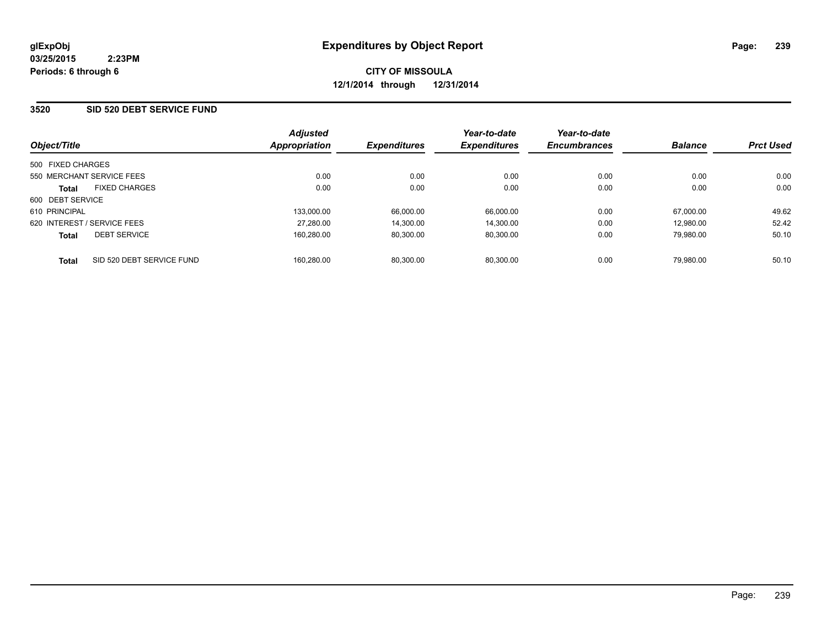### **3520 SID 520 DEBT SERVICE FUND**

| Object/Title                              | <b>Adjusted</b><br><b>Appropriation</b> | <b>Expenditures</b> | Year-to-date<br><b>Expenditures</b> | Year-to-date<br><b>Encumbrances</b> | <b>Balance</b> | <b>Prct Used</b> |
|-------------------------------------------|-----------------------------------------|---------------------|-------------------------------------|-------------------------------------|----------------|------------------|
| 500 FIXED CHARGES                         |                                         |                     |                                     |                                     |                |                  |
| 550 MERCHANT SERVICE FEES                 | 0.00                                    | 0.00                | 0.00                                | 0.00                                | 0.00           | 0.00             |
| <b>FIXED CHARGES</b><br><b>Total</b>      | 0.00                                    | 0.00                | 0.00                                | 0.00                                | 0.00           | 0.00             |
| 600 DEBT SERVICE                          |                                         |                     |                                     |                                     |                |                  |
| 610 PRINCIPAL                             | 133,000.00                              | 66,000.00           | 66,000.00                           | 0.00                                | 67.000.00      | 49.62            |
| 620 INTEREST / SERVICE FEES               | 27,280.00                               | 14,300.00           | 14,300.00                           | 0.00                                | 12.980.00      | 52.42            |
| <b>DEBT SERVICE</b><br><b>Total</b>       | 160.280.00                              | 80,300.00           | 80,300.00                           | 0.00                                | 79.980.00      | 50.10            |
| SID 520 DEBT SERVICE FUND<br><b>Total</b> | 160.280.00                              | 80.300.00           | 80.300.00                           | 0.00                                | 79.980.00      | 50.10            |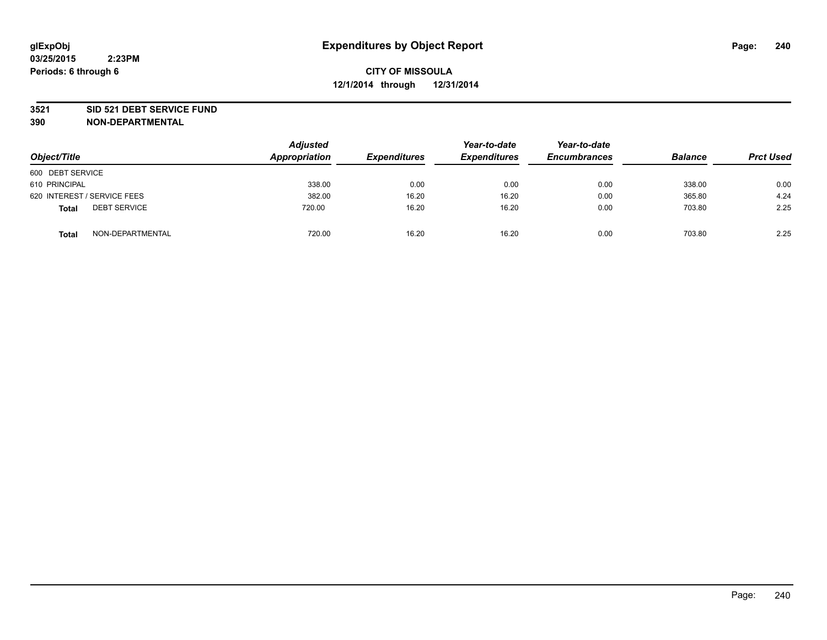#### **3521 SID 521 DEBT SERVICE FUND**

| Object/Title                        | <b>Adjusted</b><br>Appropriation | <b>Expenditures</b> | Year-to-date<br><b>Expenditures</b> | Year-to-date<br><b>Encumbrances</b> | <b>Balance</b> | <b>Prct Used</b> |
|-------------------------------------|----------------------------------|---------------------|-------------------------------------|-------------------------------------|----------------|------------------|
| 600 DEBT SERVICE                    |                                  |                     |                                     |                                     |                |                  |
| 610 PRINCIPAL                       | 338.00                           | 0.00                | 0.00                                | 0.00                                | 338.00         | 0.00             |
| 620 INTEREST / SERVICE FEES         | 382.00                           | 16.20               | 16.20                               | 0.00                                | 365.80         | 4.24             |
| <b>DEBT SERVICE</b><br><b>Total</b> | 720.00                           | 16.20               | 16.20                               | 0.00                                | 703.80         | 2.25             |
| NON-DEPARTMENTAL<br><b>Total</b>    | 720.00                           | 16.20               | 16.20                               | 0.00                                | 703.80         | 2.25             |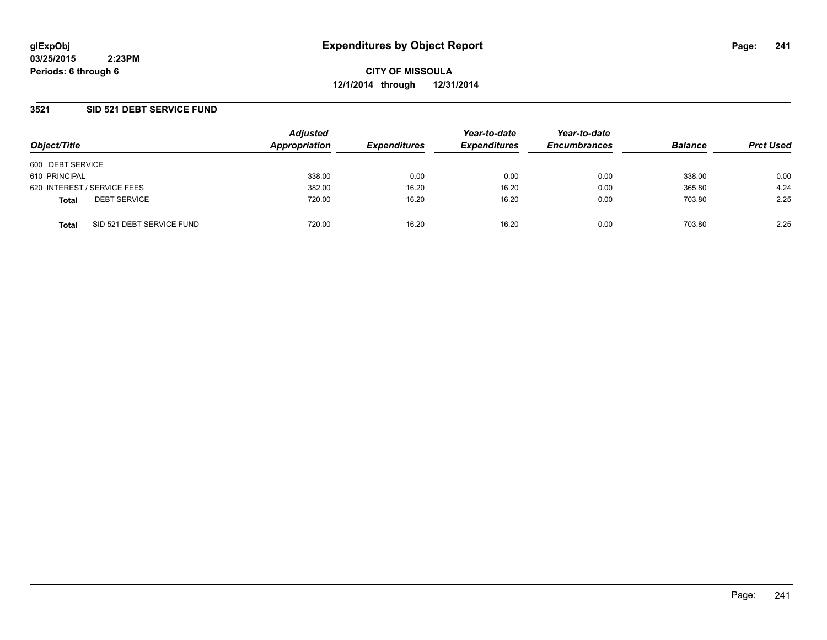**CITY OF MISSOULA 12/1/2014 through 12/31/2014**

### **3521 SID 521 DEBT SERVICE FUND**

|                                           | <b>Adjusted</b> | Year-to-date        | Year-to-date        |                     |                |                  |
|-------------------------------------------|-----------------|---------------------|---------------------|---------------------|----------------|------------------|
| Object/Title                              | Appropriation   | <b>Expenditures</b> | <b>Expenditures</b> | <b>Encumbrances</b> | <b>Balance</b> | <b>Prct Used</b> |
| 600 DEBT SERVICE                          |                 |                     |                     |                     |                |                  |
| 610 PRINCIPAL                             | 338.00          | 0.00                | 0.00                | 0.00                | 338.00         | 0.00             |
| 620 INTEREST / SERVICE FEES               | 382.00          | 16.20               | 16.20               | 0.00                | 365.80         | 4.24             |
| <b>DEBT SERVICE</b><br><b>Total</b>       | 720.00          | 16.20               | 16.20               | 0.00                | 703.80         | 2.25             |
| SID 521 DEBT SERVICE FUND<br><b>Total</b> | 720.00          | 16.20               | 16.20               | 0.00                | 703.80         | 2.25             |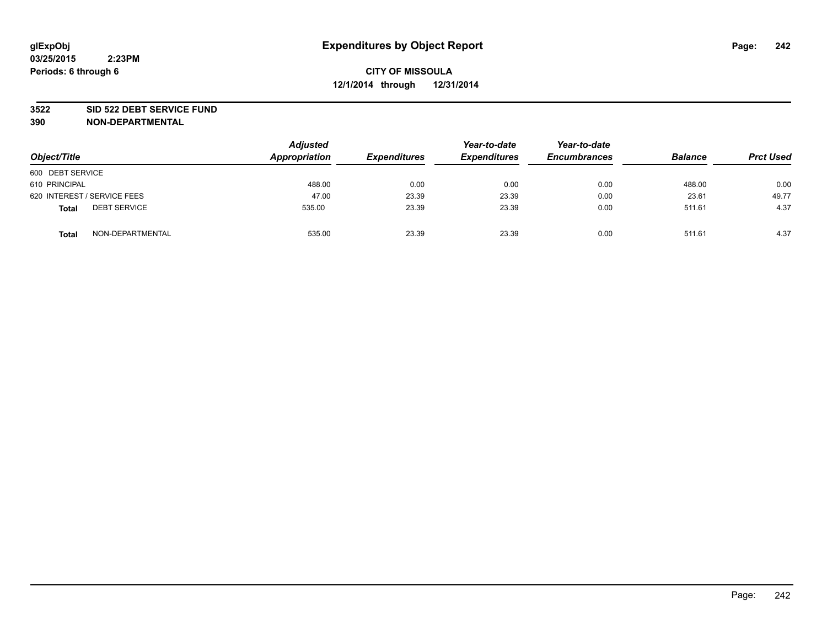#### **3522 SID 522 DEBT SERVICE FUND**

| Object/Title                        | <b>Adjusted</b><br>Appropriation | <b>Expenditures</b> | Year-to-date<br><b>Expenditures</b> | Year-to-date<br><b>Encumbrances</b> | <b>Balance</b> | <b>Prct Used</b> |
|-------------------------------------|----------------------------------|---------------------|-------------------------------------|-------------------------------------|----------------|------------------|
| 600 DEBT SERVICE                    |                                  |                     |                                     |                                     |                |                  |
| 610 PRINCIPAL                       | 488.00                           | 0.00                | 0.00                                | 0.00                                | 488.00         | 0.00             |
| 620 INTEREST / SERVICE FEES         | 47.00                            | 23.39               | 23.39                               | 0.00                                | 23.61          | 49.77            |
| <b>DEBT SERVICE</b><br><b>Total</b> | 535.00                           | 23.39               | 23.39                               | 0.00                                | 511.61         | 4.37             |
| NON-DEPARTMENTAL<br><b>Total</b>    | 535.00                           | 23.39               | 23.39                               | 0.00                                | 511.61         | 4.37             |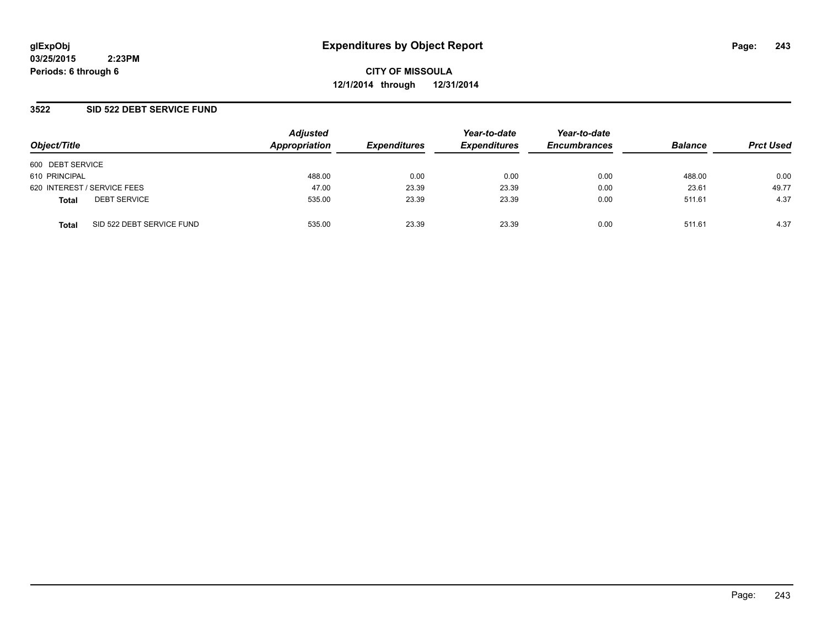**CITY OF MISSOULA 12/1/2014 through 12/31/2014**

### **3522 SID 522 DEBT SERVICE FUND**

| Object/Title                              | <b>Adjusted</b><br>Appropriation | <b>Expenditures</b> | Year-to-date<br><b>Expenditures</b> | Year-to-date<br><b>Encumbrances</b> | <b>Balance</b> | <b>Prct Used</b> |
|-------------------------------------------|----------------------------------|---------------------|-------------------------------------|-------------------------------------|----------------|------------------|
| 600 DEBT SERVICE                          |                                  |                     |                                     |                                     |                |                  |
| 610 PRINCIPAL                             | 488.00                           | 0.00                | 0.00                                | 0.00                                | 488.00         | 0.00             |
| 620 INTEREST / SERVICE FEES               | 47.00                            | 23.39               | 23.39                               | 0.00                                | 23.61          | 49.77            |
| <b>DEBT SERVICE</b><br><b>Total</b>       | 535.00                           | 23.39               | 23.39                               | 0.00                                | 511.61         | 4.37             |
| SID 522 DEBT SERVICE FUND<br><b>Total</b> | 535.00                           | 23.39               | 23.39                               | 0.00                                | 511.61         | 4.37             |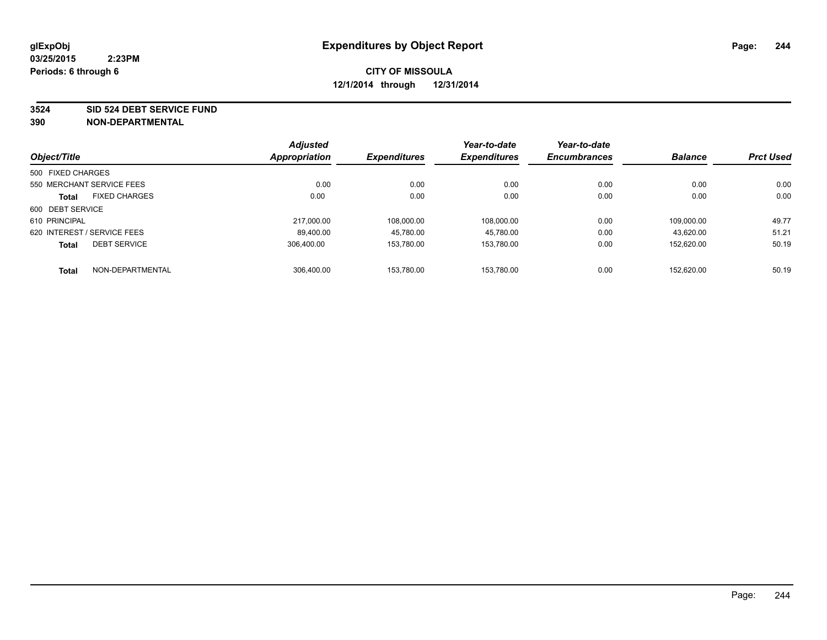**3524 SID 524 DEBT SERVICE FUND**

|                             |                           | <b>Adjusted</b>     |                     | Year-to-date        | Year-to-date | <b>Balance</b> | <b>Prct Used</b> |
|-----------------------------|---------------------------|---------------------|---------------------|---------------------|--------------|----------------|------------------|
| Object/Title                | Appropriation             | <b>Expenditures</b> | <b>Expenditures</b> | <b>Encumbrances</b> |              |                |                  |
| 500 FIXED CHARGES           |                           |                     |                     |                     |              |                |                  |
|                             | 550 MERCHANT SERVICE FEES | 0.00                | 0.00                | 0.00                | 0.00         | 0.00           | 0.00             |
| <b>Total</b>                | <b>FIXED CHARGES</b>      | 0.00                | 0.00                | 0.00                | 0.00         | 0.00           | 0.00             |
| 600 DEBT SERVICE            |                           |                     |                     |                     |              |                |                  |
| 610 PRINCIPAL               |                           | 217.000.00          | 108.000.00          | 108,000.00          | 0.00         | 109.000.00     | 49.77            |
| 620 INTEREST / SERVICE FEES |                           | 89.400.00           | 45.780.00           | 45.780.00           | 0.00         | 43,620.00      | 51.21            |
| <b>Total</b>                | <b>DEBT SERVICE</b>       | 306.400.00          | 153.780.00          | 153.780.00          | 0.00         | 152.620.00     | 50.19            |
| <b>Total</b>                | NON-DEPARTMENTAL          | 306.400.00          | 153.780.00          | 153.780.00          | 0.00         | 152.620.00     | 50.19            |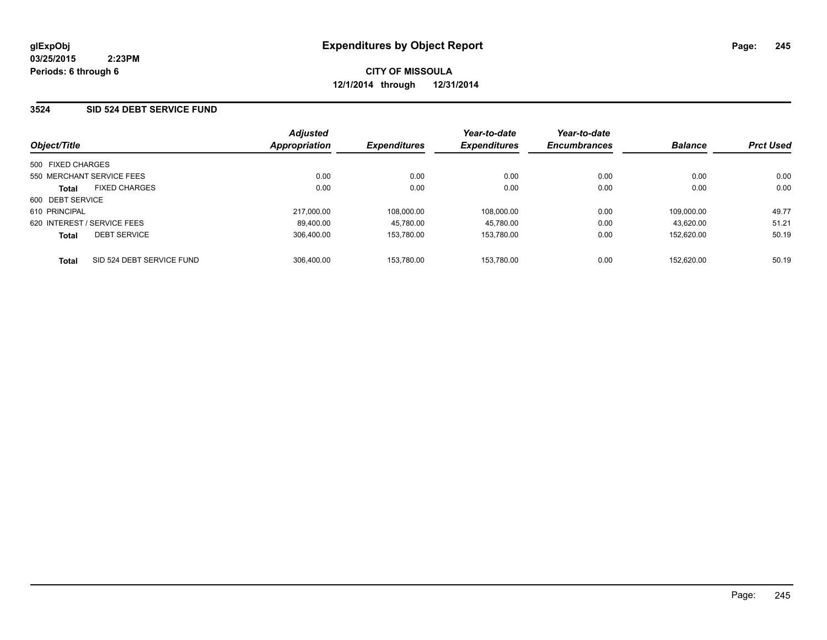### **3524 SID 524 DEBT SERVICE FUND**

| Object/Title                              | <b>Adjusted</b><br>Appropriation | <b>Expenditures</b> | Year-to-date<br><b>Expenditures</b> | Year-to-date<br><b>Encumbrances</b> | <b>Balance</b> | <b>Prct Used</b> |
|-------------------------------------------|----------------------------------|---------------------|-------------------------------------|-------------------------------------|----------------|------------------|
| 500 FIXED CHARGES                         |                                  |                     |                                     |                                     |                |                  |
| 550 MERCHANT SERVICE FEES                 | 0.00                             | 0.00                | 0.00                                | 0.00                                | 0.00           | 0.00             |
| <b>FIXED CHARGES</b><br><b>Total</b>      | 0.00                             | 0.00                | 0.00                                | 0.00                                | 0.00           | 0.00             |
| 600 DEBT SERVICE                          |                                  |                     |                                     |                                     |                |                  |
| 610 PRINCIPAL                             | 217.000.00                       | 108.000.00          | 108.000.00                          | 0.00                                | 109.000.00     | 49.77            |
| 620 INTEREST / SERVICE FEES               | 89.400.00                        | 45.780.00           | 45.780.00                           | 0.00                                | 43.620.00      | 51.21            |
| <b>DEBT SERVICE</b><br><b>Total</b>       | 306.400.00                       | 153.780.00          | 153.780.00                          | 0.00                                | 152.620.00     | 50.19            |
| SID 524 DEBT SERVICE FUND<br><b>Total</b> | 306.400.00                       | 153.780.00          | 153.780.00                          | 0.00                                | 152.620.00     | 50.19            |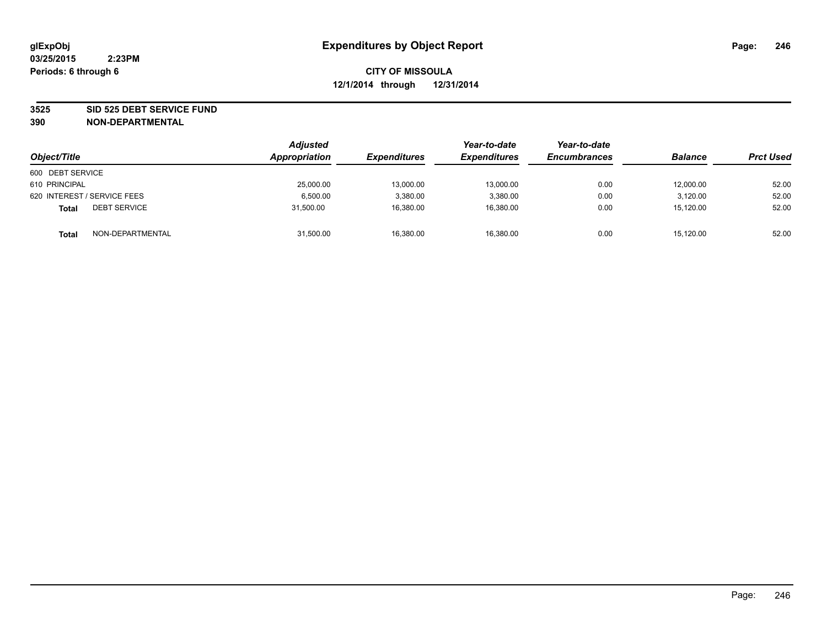#### **3525 SID 525 DEBT SERVICE FUND**

| Object/Title                        | <b>Adjusted</b><br>Appropriation | <b>Expenditures</b> | Year-to-date<br><b>Expenditures</b> | Year-to-date<br><b>Encumbrances</b> | <b>Balance</b> | <b>Prct Used</b> |
|-------------------------------------|----------------------------------|---------------------|-------------------------------------|-------------------------------------|----------------|------------------|
| 600 DEBT SERVICE                    |                                  |                     |                                     |                                     |                |                  |
| 610 PRINCIPAL                       | 25,000.00                        | 13,000.00           | 13.000.00                           | 0.00                                | 12,000.00      | 52.00            |
| 620 INTEREST / SERVICE FEES         | 6.500.00                         | 3,380.00            | 3,380.00                            | 0.00                                | 3.120.00       | 52.00            |
| <b>DEBT SERVICE</b><br><b>Total</b> | 31.500.00                        | 16,380.00           | 16,380.00                           | 0.00                                | 15.120.00      | 52.00            |
| NON-DEPARTMENTAL<br><b>Total</b>    | 31,500.00                        | 16,380.00           | 16,380.00                           | 0.00                                | 15,120.00      | 52.00            |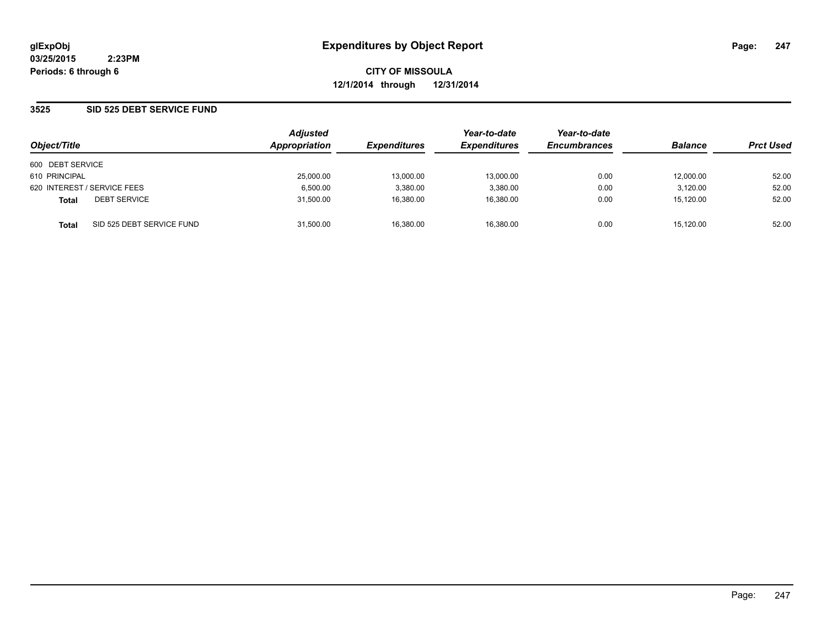**CITY OF MISSOULA 12/1/2014 through 12/31/2014**

### **3525 SID 525 DEBT SERVICE FUND**

| Object/Title                              | <b>Adjusted</b><br>Appropriation | <b>Expenditures</b> | Year-to-date<br><b>Expenditures</b> | Year-to-date<br><b>Encumbrances</b> | <b>Balance</b> | <b>Prct Used</b> |
|-------------------------------------------|----------------------------------|---------------------|-------------------------------------|-------------------------------------|----------------|------------------|
| 600 DEBT SERVICE                          |                                  |                     |                                     |                                     |                |                  |
| 610 PRINCIPAL                             | 25,000.00                        | 13.000.00           | 13.000.00                           | 0.00                                | 12.000.00      | 52.00            |
| 620 INTEREST / SERVICE FEES               | 6,500.00                         | 3,380.00            | 3,380.00                            | 0.00                                | 3,120.00       | 52.00            |
| <b>DEBT SERVICE</b><br><b>Total</b>       | 31,500.00                        | 16,380.00           | 16,380.00                           | 0.00                                | 15,120.00      | 52.00            |
| SID 525 DEBT SERVICE FUND<br><b>Total</b> | 31,500.00                        | 16,380.00           | 16.380.00                           | 0.00                                | 15.120.00      | 52.00            |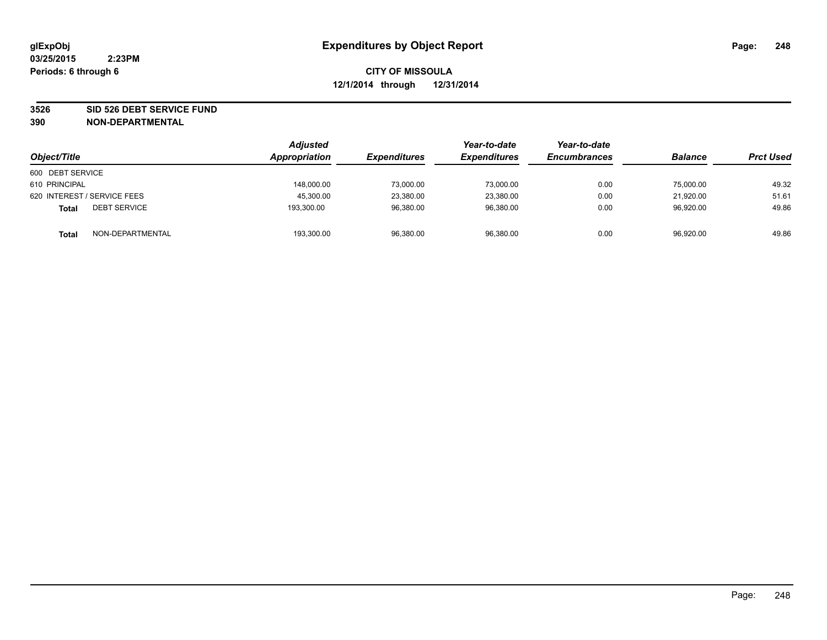#### **3526 SID 526 DEBT SERVICE FUND**

| Object/Title                        | <b>Adjusted</b><br>Appropriation | <b>Expenditures</b> | Year-to-date<br><b>Expenditures</b> | Year-to-date<br><b>Encumbrances</b> | <b>Balance</b> | <b>Prct Used</b> |
|-------------------------------------|----------------------------------|---------------------|-------------------------------------|-------------------------------------|----------------|------------------|
| 600 DEBT SERVICE                    |                                  |                     |                                     |                                     |                |                  |
| 610 PRINCIPAL                       | 148,000.00                       | 73,000.00           | 73,000.00                           | 0.00                                | 75,000.00      | 49.32            |
| 620 INTEREST / SERVICE FEES         | 45,300.00                        | 23,380.00           | 23,380.00                           | 0.00                                | 21,920.00      | 51.61            |
| <b>DEBT SERVICE</b><br><b>Total</b> | 193.300.00                       | 96,380.00           | 96.380.00                           | 0.00                                | 96,920.00      | 49.86            |
| NON-DEPARTMENTAL<br><b>Total</b>    | 193,300.00                       | 96,380.00           | 96,380.00                           | 0.00                                | 96,920.00      | 49.86            |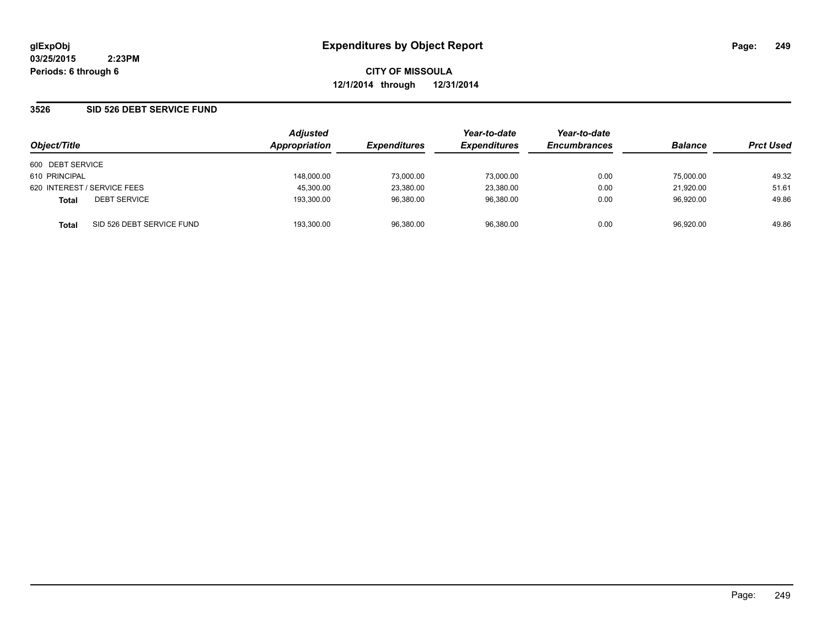**CITY OF MISSOULA 12/1/2014 through 12/31/2014**

### **3526 SID 526 DEBT SERVICE FUND**

| Object/Title     |                             | <b>Adjusted</b><br>Appropriation | <b>Expenditures</b> | Year-to-date<br><b>Expenditures</b> | Year-to-date<br><b>Encumbrances</b> | <b>Balance</b> | <b>Prct Used</b> |
|------------------|-----------------------------|----------------------------------|---------------------|-------------------------------------|-------------------------------------|----------------|------------------|
| 600 DEBT SERVICE |                             |                                  |                     |                                     |                                     |                |                  |
| 610 PRINCIPAL    |                             | 148.000.00                       | 73.000.00           | 73.000.00                           | 0.00                                | 75.000.00      | 49.32            |
|                  | 620 INTEREST / SERVICE FEES | 45,300.00                        | 23,380.00           | 23,380.00                           | 0.00                                | 21,920.00      | 51.61            |
| <b>Total</b>     | <b>DEBT SERVICE</b>         | 193,300.00                       | 96,380.00           | 96,380.00                           | 0.00                                | 96,920.00      | 49.86            |
| Total            | SID 526 DEBT SERVICE FUND   | 193.300.00                       | 96,380.00           | 96.380.00                           | 0.00                                | 96,920.00      | 49.86            |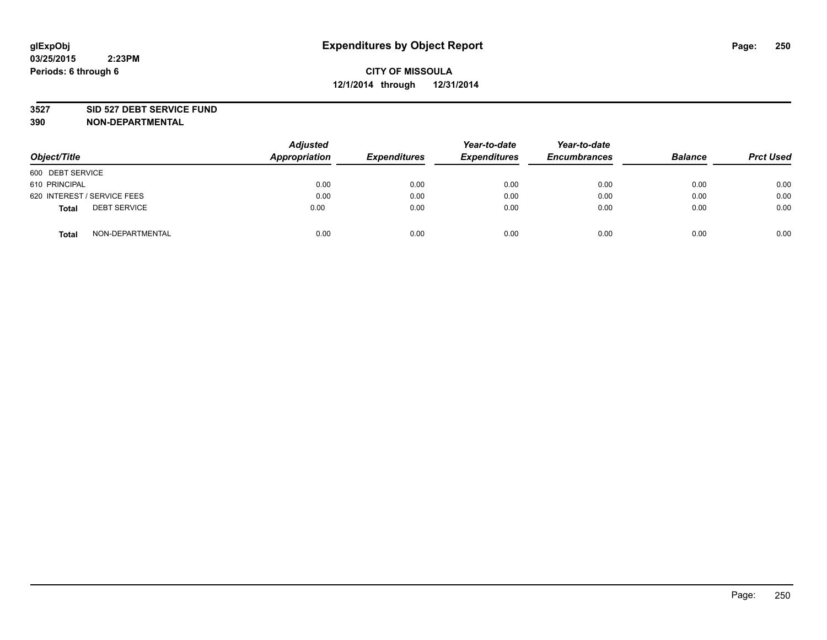#### **3527 SID 527 DEBT SERVICE FUND**

| Object/Title                 | <b>Adjusted</b><br>Appropriation | <b>Expenditures</b> | Year-to-date<br><b>Expenditures</b> | Year-to-date<br><b>Encumbrances</b> | <b>Balance</b> | <b>Prct Used</b> |
|------------------------------|----------------------------------|---------------------|-------------------------------------|-------------------------------------|----------------|------------------|
| 600 DEBT SERVICE             |                                  |                     |                                     |                                     |                |                  |
| 610 PRINCIPAL                | 0.00                             | 0.00                | 0.00                                | 0.00                                | 0.00           | 0.00             |
| 620 INTEREST / SERVICE FEES  | 0.00                             | 0.00                | 0.00                                | 0.00                                | 0.00           | 0.00             |
| <b>DEBT SERVICE</b><br>Total | 0.00                             | 0.00                | 0.00                                | 0.00                                | 0.00           | 0.00             |
| NON-DEPARTMENTAL<br>Total    | 0.00                             | 0.00                | 0.00                                | 0.00                                | 0.00           | 0.00             |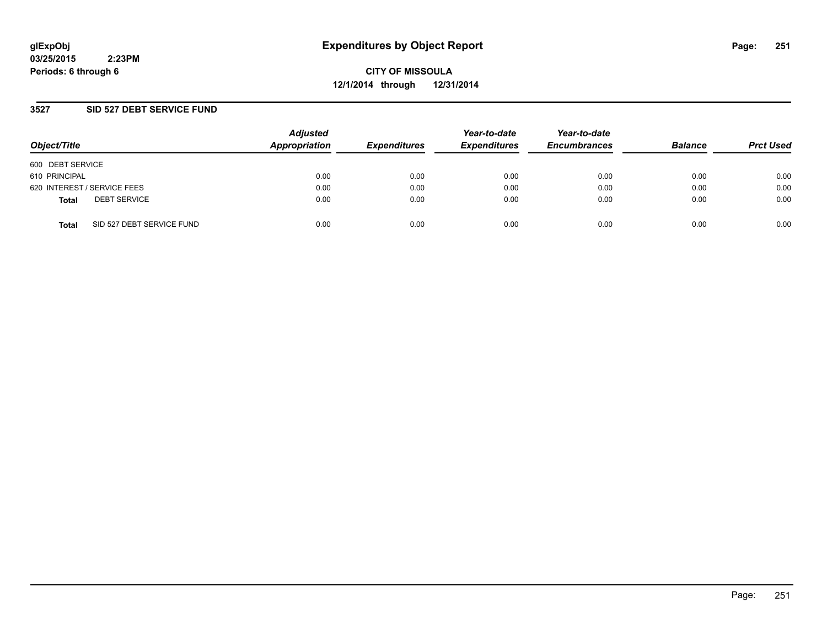**CITY OF MISSOULA 12/1/2014 through 12/31/2014**

### **3527 SID 527 DEBT SERVICE FUND**

| Object/Title                              | <b>Adjusted</b><br>Appropriation | <b>Expenditures</b> | Year-to-date<br><b>Expenditures</b> | Year-to-date<br><b>Encumbrances</b> | <b>Balance</b> | <b>Prct Used</b> |
|-------------------------------------------|----------------------------------|---------------------|-------------------------------------|-------------------------------------|----------------|------------------|
| 600 DEBT SERVICE                          |                                  |                     |                                     |                                     |                |                  |
| 610 PRINCIPAL                             | 0.00                             | 0.00                | 0.00                                | 0.00                                | 0.00           | 0.00             |
| 620 INTEREST / SERVICE FEES               | 0.00                             | 0.00                | 0.00                                | 0.00                                | 0.00           | 0.00             |
| <b>DEBT SERVICE</b><br><b>Total</b>       | 0.00                             | 0.00                | 0.00                                | 0.00                                | 0.00           | 0.00             |
| SID 527 DEBT SERVICE FUND<br><b>Total</b> | 0.00                             | 0.00                | 0.00                                | 0.00                                | 0.00           | 0.00             |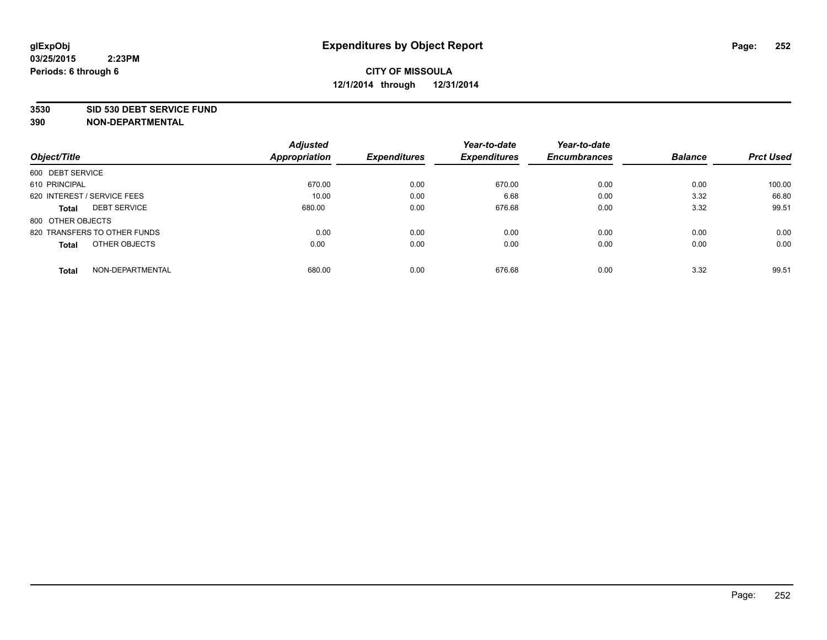#### **3530 SID 530 DEBT SERVICE FUND**

|                                     | <b>Adjusted</b>      |                     | Year-to-date        | Year-to-date        |                |                  |
|-------------------------------------|----------------------|---------------------|---------------------|---------------------|----------------|------------------|
| Object/Title                        | <b>Appropriation</b> | <b>Expenditures</b> | <b>Expenditures</b> | <b>Encumbrances</b> | <b>Balance</b> | <b>Prct Used</b> |
| 600 DEBT SERVICE                    |                      |                     |                     |                     |                |                  |
| 610 PRINCIPAL                       | 670.00               | 0.00                | 670.00              | 0.00                | 0.00           | 100.00           |
| 620 INTEREST / SERVICE FEES         | 10.00                | 0.00                | 6.68                | 0.00                | 3.32           | 66.80            |
| <b>DEBT SERVICE</b><br><b>Total</b> | 680.00               | 0.00                | 676.68              | 0.00                | 3.32           | 99.51            |
| 800 OTHER OBJECTS                   |                      |                     |                     |                     |                |                  |
| 820 TRANSFERS TO OTHER FUNDS        | 0.00                 | 0.00                | 0.00                | 0.00                | 0.00           | 0.00             |
| OTHER OBJECTS<br><b>Total</b>       | 0.00                 | 0.00                | 0.00                | 0.00                | 0.00           | 0.00             |
| NON-DEPARTMENTAL<br><b>Total</b>    | 680.00               | 0.00                | 676.68              | 0.00                | 3.32           | 99.51            |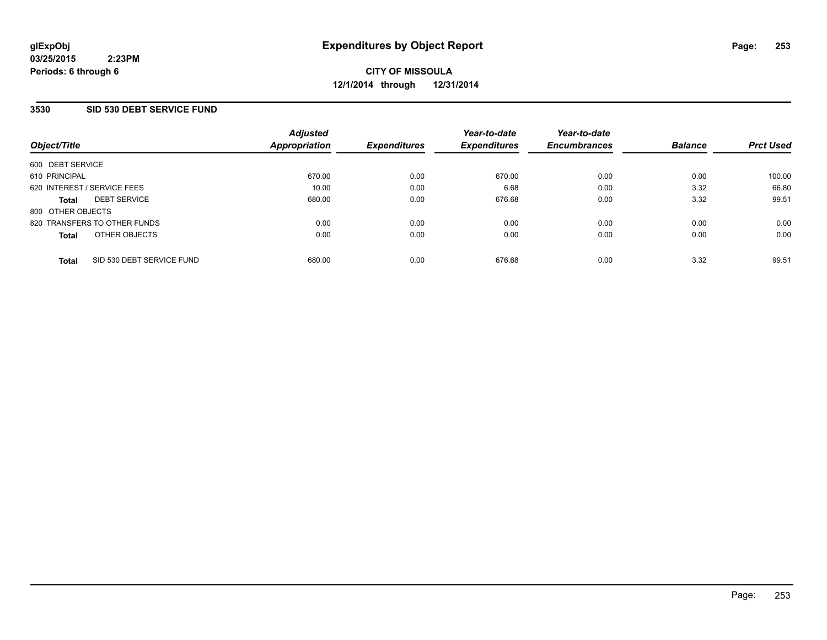## **3530 SID 530 DEBT SERVICE FUND**

| Object/Title                 |                           | <b>Adjusted</b><br>Appropriation | <b>Expenditures</b> | Year-to-date<br><b>Expenditures</b> | Year-to-date<br><b>Encumbrances</b> | <b>Balance</b> | <b>Prct Used</b> |
|------------------------------|---------------------------|----------------------------------|---------------------|-------------------------------------|-------------------------------------|----------------|------------------|
|                              |                           |                                  |                     |                                     |                                     |                |                  |
| 600 DEBT SERVICE             |                           |                                  |                     |                                     |                                     |                |                  |
| 610 PRINCIPAL                |                           | 670.00                           | 0.00                | 670.00                              | 0.00                                | 0.00           | 100.00           |
| 620 INTEREST / SERVICE FEES  |                           | 10.00                            | 0.00                | 6.68                                | 0.00                                | 3.32           | 66.80            |
| <b>Total</b>                 | <b>DEBT SERVICE</b>       | 680.00                           | 0.00                | 676.68                              | 0.00                                | 3.32           | 99.51            |
| 800 OTHER OBJECTS            |                           |                                  |                     |                                     |                                     |                |                  |
| 820 TRANSFERS TO OTHER FUNDS |                           | 0.00                             | 0.00                | 0.00                                | 0.00                                | 0.00           | 0.00             |
| <b>Total</b>                 | OTHER OBJECTS             | 0.00                             | 0.00                | 0.00                                | 0.00                                | 0.00           | 0.00             |
| <b>Total</b>                 | SID 530 DEBT SERVICE FUND | 680.00                           | 0.00                | 676.68                              | 0.00                                | 3.32           | 99.51            |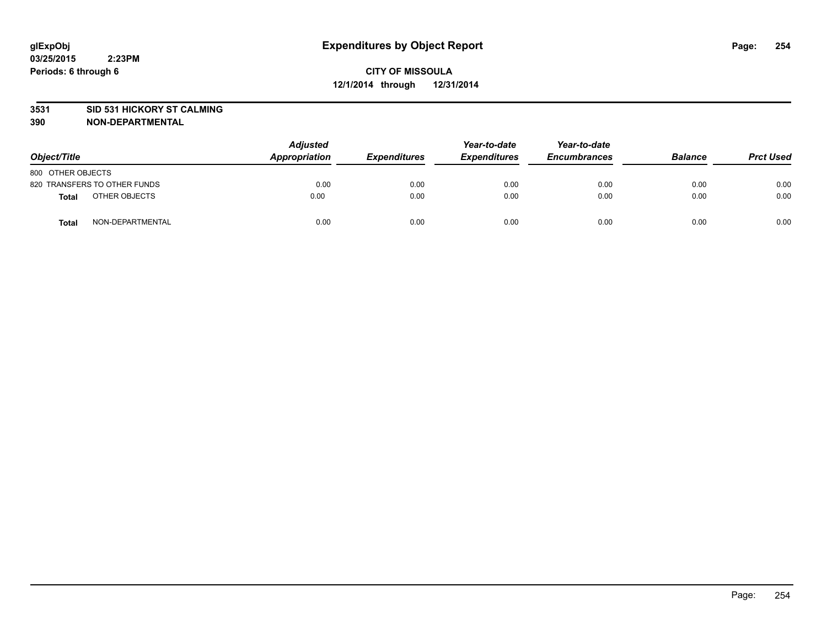#### **3531 SID 531 HICKORY ST CALMING**

| Object/Title      |                              | <b>Adjusted</b><br>Appropriation | <b>Expenditures</b> | Year-to-date<br><b>Expenditures</b> | Year-to-date<br><b>Encumbrances</b> | <b>Balance</b> | <b>Prct Used</b> |
|-------------------|------------------------------|----------------------------------|---------------------|-------------------------------------|-------------------------------------|----------------|------------------|
| 800 OTHER OBJECTS |                              |                                  |                     |                                     |                                     |                |                  |
|                   | 820 TRANSFERS TO OTHER FUNDS | 0.00                             | 0.00                | 0.00                                | 0.00                                | 0.00           | 0.00             |
| Total             | OTHER OBJECTS                | 0.00                             | 0.00                | 0.00                                | 0.00                                | 0.00           | 0.00             |
| <b>Total</b>      | NON-DEPARTMENTAL             | 0.00                             | 0.00                | 0.00                                | 0.00                                | 0.00           | 0.00             |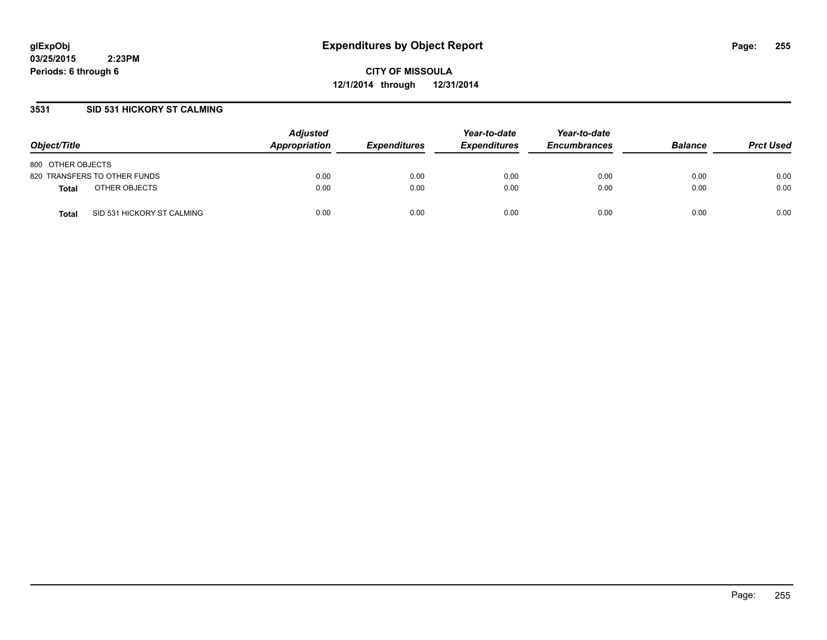**CITY OF MISSOULA 12/1/2014 through 12/31/2014**

## **3531 SID 531 HICKORY ST CALMING**

| Object/Title                               | <b>Adjusted</b><br><b>Appropriation</b> | <i><b>Expenditures</b></i> | Year-to-date<br><b>Expenditures</b> | Year-to-date<br><b>Encumbrances</b> | <b>Balance</b> | <b>Prct Used</b> |
|--------------------------------------------|-----------------------------------------|----------------------------|-------------------------------------|-------------------------------------|----------------|------------------|
| 800 OTHER OBJECTS                          |                                         |                            |                                     |                                     |                |                  |
| 820 TRANSFERS TO OTHER FUNDS               | 0.00                                    | 0.00                       | 0.00                                | 0.00                                | 0.00           | 0.00             |
| OTHER OBJECTS<br><b>Total</b>              | 0.00                                    | 0.00                       | 0.00                                | 0.00                                | 0.00           | 0.00             |
| SID 531 HICKORY ST CALMING<br><b>Total</b> | 0.00                                    | 0.00                       | 0.00                                | 0.00                                | 0.00           | 0.00             |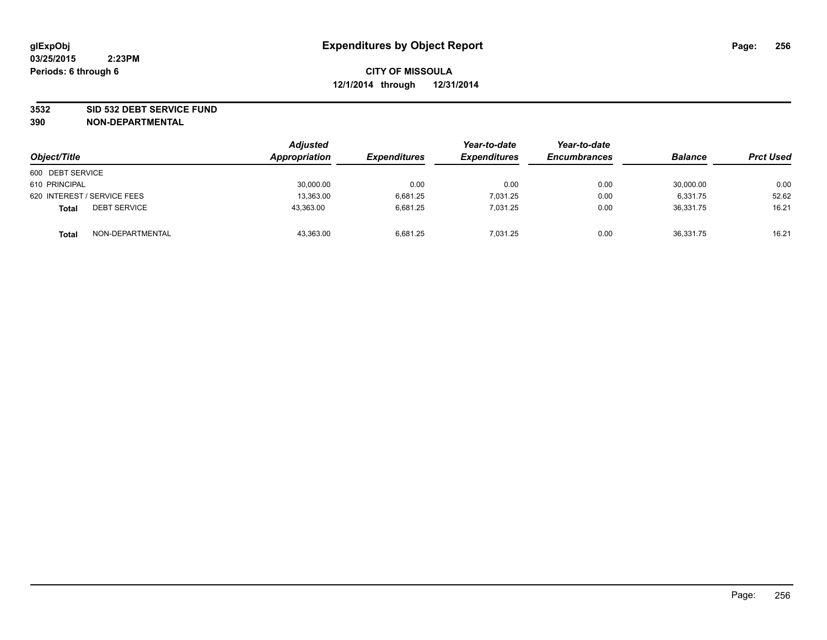#### **3532 SID 532 DEBT SERVICE FUND**

| Object/Title                        | <b>Adjusted</b><br>Appropriation | <b>Expenditures</b> | Year-to-date<br><b>Expenditures</b> | Year-to-date<br><b>Encumbrances</b> | <b>Balance</b> | <b>Prct Used</b> |
|-------------------------------------|----------------------------------|---------------------|-------------------------------------|-------------------------------------|----------------|------------------|
| 600 DEBT SERVICE                    |                                  |                     |                                     |                                     |                |                  |
| 610 PRINCIPAL                       | 30,000.00                        | 0.00                | 0.00                                | 0.00                                | 30,000.00      | 0.00             |
| 620 INTEREST / SERVICE FEES         | 13,363.00                        | 6,681.25            | 7,031.25                            | 0.00                                | 6,331.75       | 52.62            |
| <b>DEBT SERVICE</b><br><b>Total</b> | 43,363.00                        | 6.681.25            | 7.031.25                            | 0.00                                | 36.331.75      | 16.21            |
| NON-DEPARTMENTAL<br><b>Total</b>    | 43,363.00                        | 6.681.25            | 7,031.25                            | 0.00                                | 36,331.75      | 16.21            |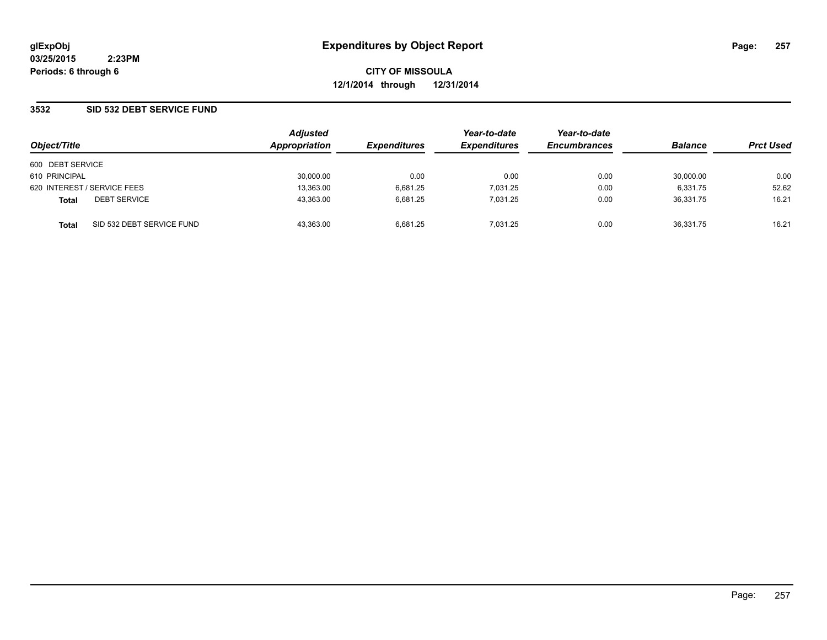**CITY OF MISSOULA 12/1/2014 through 12/31/2014**

## **3532 SID 532 DEBT SERVICE FUND**

| Object/Title                              | <b>Adjusted</b><br>Appropriation | <b>Expenditures</b> | Year-to-date<br><b>Expenditures</b> | Year-to-date<br><b>Encumbrances</b> | <b>Balance</b> | <b>Prct Used</b> |
|-------------------------------------------|----------------------------------|---------------------|-------------------------------------|-------------------------------------|----------------|------------------|
| 600 DEBT SERVICE                          |                                  |                     |                                     |                                     |                |                  |
| 610 PRINCIPAL                             | 30,000.00                        | 0.00                | 0.00                                | 0.00                                | 30,000.00      | 0.00             |
| 620 INTEREST / SERVICE FEES               | 13,363.00                        | 6.681.25            | 7.031.25                            | 0.00                                | 6.331.75       | 52.62            |
| <b>DEBT SERVICE</b><br><b>Total</b>       | 43,363.00                        | 6.681.25            | 7.031.25                            | 0.00                                | 36.331.75      | 16.21            |
| SID 532 DEBT SERVICE FUND<br><b>Total</b> | 43.363.00                        | 6.681.25            | 7.031.25                            | 0.00                                | 36.331.75      | 16.21            |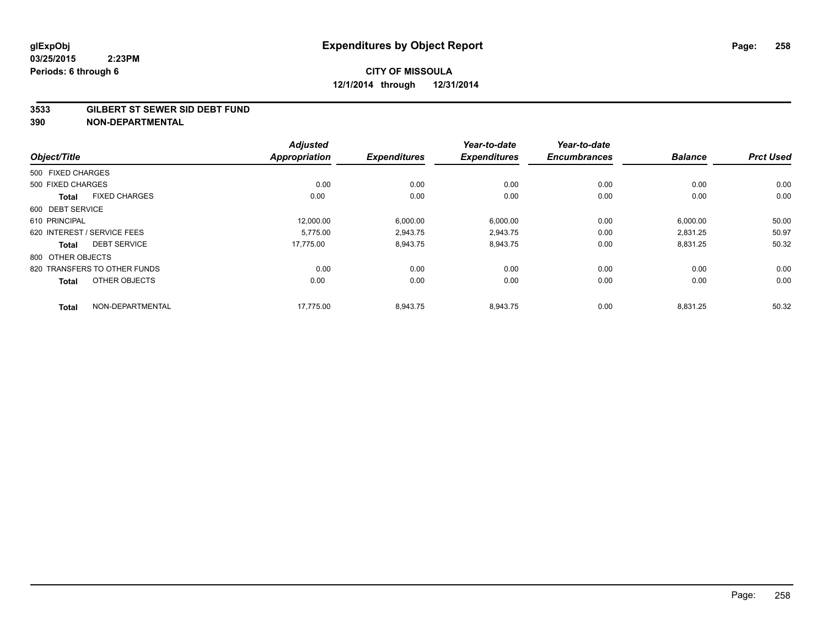#### **3533 GILBERT ST SEWER SID DEBT FUND**

|                                      | <b>Adjusted</b>      |                     | Year-to-date        | Year-to-date        |                |                  |
|--------------------------------------|----------------------|---------------------|---------------------|---------------------|----------------|------------------|
| Object/Title                         | <b>Appropriation</b> | <b>Expenditures</b> | <b>Expenditures</b> | <b>Encumbrances</b> | <b>Balance</b> | <b>Prct Used</b> |
| 500 FIXED CHARGES                    |                      |                     |                     |                     |                |                  |
| 500 FIXED CHARGES                    | 0.00                 | 0.00                | 0.00                | 0.00                | 0.00           | 0.00             |
| <b>FIXED CHARGES</b><br><b>Total</b> | 0.00                 | 0.00                | 0.00                | 0.00                | 0.00           | 0.00             |
| 600 DEBT SERVICE                     |                      |                     |                     |                     |                |                  |
| 610 PRINCIPAL                        | 12,000.00            | 6,000.00            | 6,000.00            | 0.00                | 6,000.00       | 50.00            |
| 620 INTEREST / SERVICE FEES          | 5.775.00             | 2,943.75            | 2.943.75            | 0.00                | 2.831.25       | 50.97            |
| <b>DEBT SERVICE</b><br><b>Total</b>  | 17,775.00            | 8,943.75            | 8,943.75            | 0.00                | 8,831.25       | 50.32            |
| 800 OTHER OBJECTS                    |                      |                     |                     |                     |                |                  |
| 820 TRANSFERS TO OTHER FUNDS         | 0.00                 | 0.00                | 0.00                | 0.00                | 0.00           | 0.00             |
| OTHER OBJECTS<br><b>Total</b>        | 0.00                 | 0.00                | 0.00                | 0.00                | 0.00           | 0.00             |
| NON-DEPARTMENTAL<br><b>Total</b>     | 17.775.00            | 8.943.75            | 8.943.75            | 0.00                | 8.831.25       | 50.32            |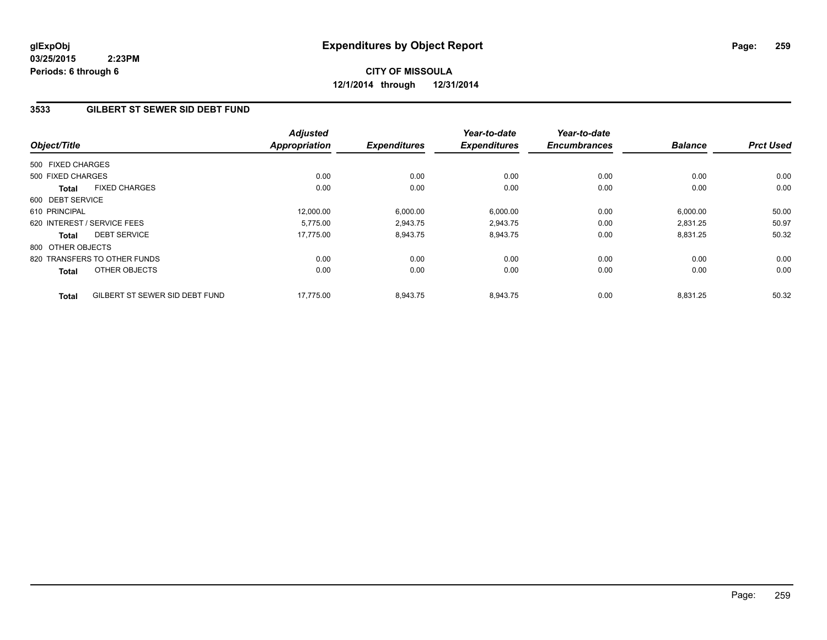# **CITY OF MISSOULA 12/1/2014 through 12/31/2014**

## **3533 GILBERT ST SEWER SID DEBT FUND**

| Object/Title      |                                | <b>Adjusted</b><br><b>Appropriation</b> | <b>Expenditures</b> | Year-to-date<br><b>Expenditures</b> | Year-to-date<br><b>Encumbrances</b> | <b>Balance</b> | <b>Prct Used</b> |
|-------------------|--------------------------------|-----------------------------------------|---------------------|-------------------------------------|-------------------------------------|----------------|------------------|
|                   |                                |                                         |                     |                                     |                                     |                |                  |
| 500 FIXED CHARGES |                                |                                         |                     |                                     |                                     |                |                  |
| 500 FIXED CHARGES |                                | 0.00                                    | 0.00                | 0.00                                | 0.00                                | 0.00           | 0.00             |
| <b>Total</b>      | <b>FIXED CHARGES</b>           | 0.00                                    | 0.00                | 0.00                                | 0.00                                | 0.00           | 0.00             |
| 600 DEBT SERVICE  |                                |                                         |                     |                                     |                                     |                |                  |
| 610 PRINCIPAL     |                                | 12.000.00                               | 6,000.00            | 6,000.00                            | 0.00                                | 6,000.00       | 50.00            |
|                   | 620 INTEREST / SERVICE FEES    | 5,775.00                                | 2,943.75            | 2,943.75                            | 0.00                                | 2,831.25       | 50.97            |
| <b>Total</b>      | <b>DEBT SERVICE</b>            | 17,775.00                               | 8,943.75            | 8,943.75                            | 0.00                                | 8,831.25       | 50.32            |
| 800 OTHER OBJECTS |                                |                                         |                     |                                     |                                     |                |                  |
|                   | 820 TRANSFERS TO OTHER FUNDS   | 0.00                                    | 0.00                | 0.00                                | 0.00                                | 0.00           | 0.00             |
| Total             | OTHER OBJECTS                  | 0.00                                    | 0.00                | 0.00                                | 0.00                                | 0.00           | 0.00             |
| <b>Total</b>      | GILBERT ST SEWER SID DEBT FUND | 17.775.00                               | 8,943.75            | 8.943.75                            | 0.00                                | 8.831.25       | 50.32            |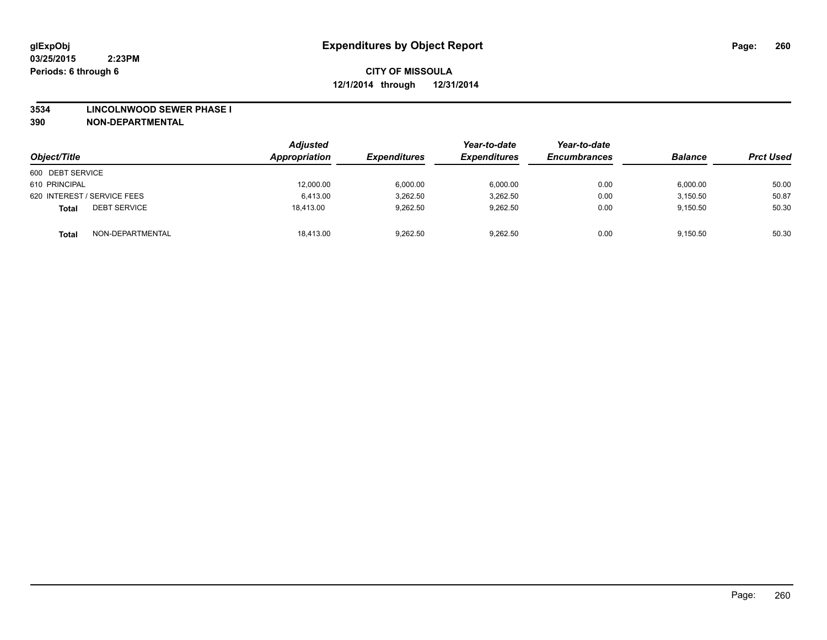#### **3534 LINCOLNWOOD SEWER PHASE I**

| Object/Title                        | <b>Adjusted</b><br>Appropriation | <b>Expenditures</b> | Year-to-date<br><b>Expenditures</b> | Year-to-date<br><b>Encumbrances</b> | <b>Balance</b> | <b>Prct Used</b> |
|-------------------------------------|----------------------------------|---------------------|-------------------------------------|-------------------------------------|----------------|------------------|
| 600 DEBT SERVICE                    |                                  |                     |                                     |                                     |                |                  |
| 610 PRINCIPAL                       | 12,000.00                        | 6,000.00            | 6,000.00                            | 0.00                                | 6,000.00       | 50.00            |
| 620 INTEREST / SERVICE FEES         | 6,413.00                         | 3,262.50            | 3,262.50                            | 0.00                                | 3,150.50       | 50.87            |
| <b>DEBT SERVICE</b><br><b>Total</b> | 18.413.00                        | 9,262.50            | 9.262.50                            | 0.00                                | 9,150.50       | 50.30            |
| NON-DEPARTMENTAL<br><b>Total</b>    | 18.413.00                        | 9,262.50            | 9,262.50                            | 0.00                                | 9,150.50       | 50.30            |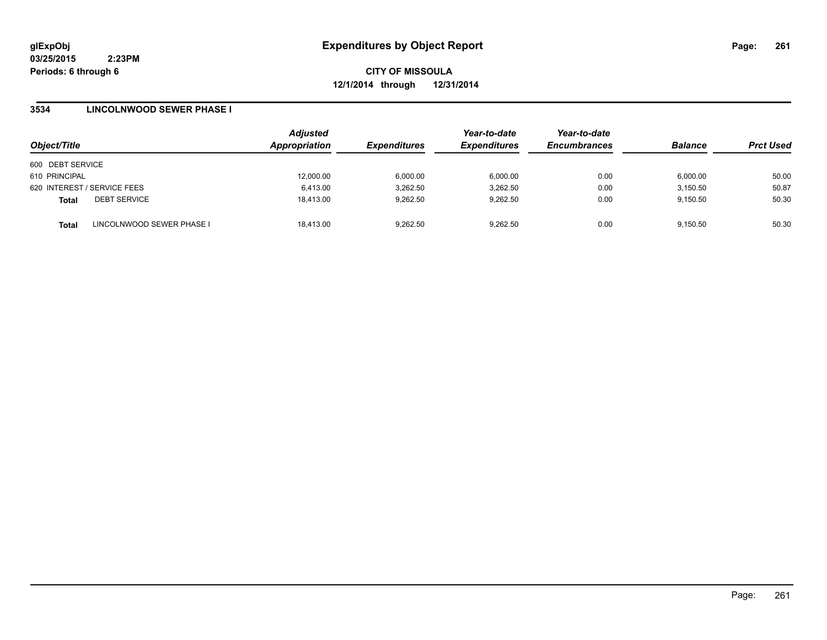**CITY OF MISSOULA 12/1/2014 through 12/31/2014**

## **3534 LINCOLNWOOD SEWER PHASE I**

| Object/Title     |                             | <b>Adjusted</b><br>Appropriation | <b>Expenditures</b> | Year-to-date<br><b>Expenditures</b> | Year-to-date<br><b>Encumbrances</b> | <b>Balance</b> | <b>Prct Used</b> |
|------------------|-----------------------------|----------------------------------|---------------------|-------------------------------------|-------------------------------------|----------------|------------------|
| 600 DEBT SERVICE |                             |                                  |                     |                                     |                                     |                |                  |
| 610 PRINCIPAL    |                             | 12,000.00                        | 6,000.00            | 6.000.00                            | 0.00                                | 6.000.00       | 50.00            |
|                  | 620 INTEREST / SERVICE FEES | 6,413.00                         | 3,262.50            | 3,262.50                            | 0.00                                | 3,150.50       | 50.87            |
| <b>Total</b>     | <b>DEBT SERVICE</b>         | 18,413.00                        | 9.262.50            | 9,262.50                            | 0.00                                | 9,150.50       | 50.30            |
| <b>Total</b>     | LINCOLNWOOD SEWER PHASE I   | 18,413.00                        | 9.262.50            | 9,262.50                            | 0.00                                | 9,150.50       | 50.30            |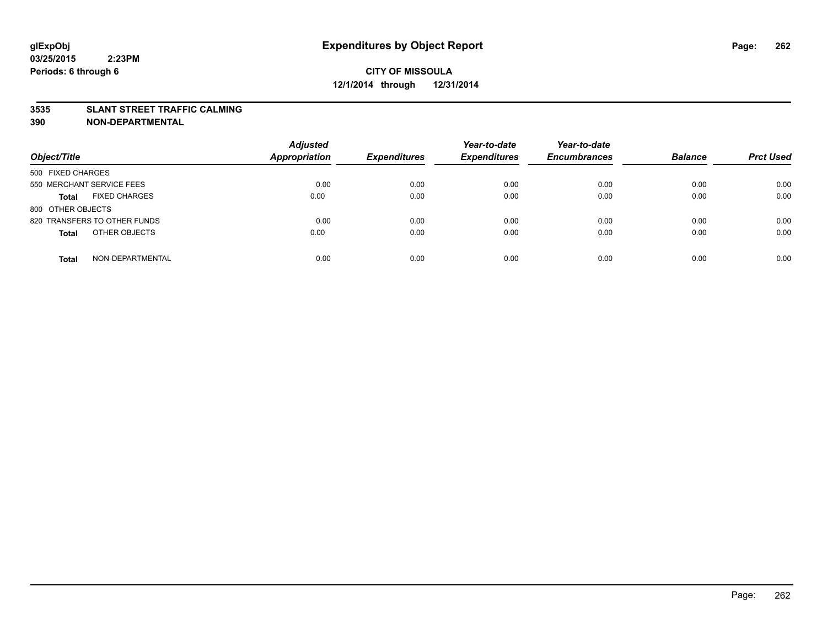#### **3535 SLANT STREET TRAFFIC CALMING**

| Object/Title                         | <b>Adjusted</b><br><b>Appropriation</b> | <b>Expenditures</b> | Year-to-date<br><b>Expenditures</b> | Year-to-date<br><b>Encumbrances</b> | <b>Balance</b> | <b>Prct Used</b> |
|--------------------------------------|-----------------------------------------|---------------------|-------------------------------------|-------------------------------------|----------------|------------------|
|                                      |                                         |                     |                                     |                                     |                |                  |
| 500 FIXED CHARGES                    |                                         |                     |                                     |                                     |                |                  |
| 550 MERCHANT SERVICE FEES            | 0.00                                    | 0.00                | 0.00                                | 0.00                                | 0.00           | 0.00             |
| <b>FIXED CHARGES</b><br><b>Total</b> | 0.00                                    | 0.00                | 0.00                                | 0.00                                | 0.00           | 0.00             |
| 800 OTHER OBJECTS                    |                                         |                     |                                     |                                     |                |                  |
| 820 TRANSFERS TO OTHER FUNDS         | 0.00                                    | 0.00                | 0.00                                | 0.00                                | 0.00           | 0.00             |
| OTHER OBJECTS<br><b>Total</b>        | 0.00                                    | 0.00                | 0.00                                | 0.00                                | 0.00           | 0.00             |
|                                      |                                         |                     |                                     |                                     |                |                  |
| NON-DEPARTMENTAL<br><b>Total</b>     | 0.00                                    | 0.00                | 0.00                                | 0.00                                | 0.00           | 0.00             |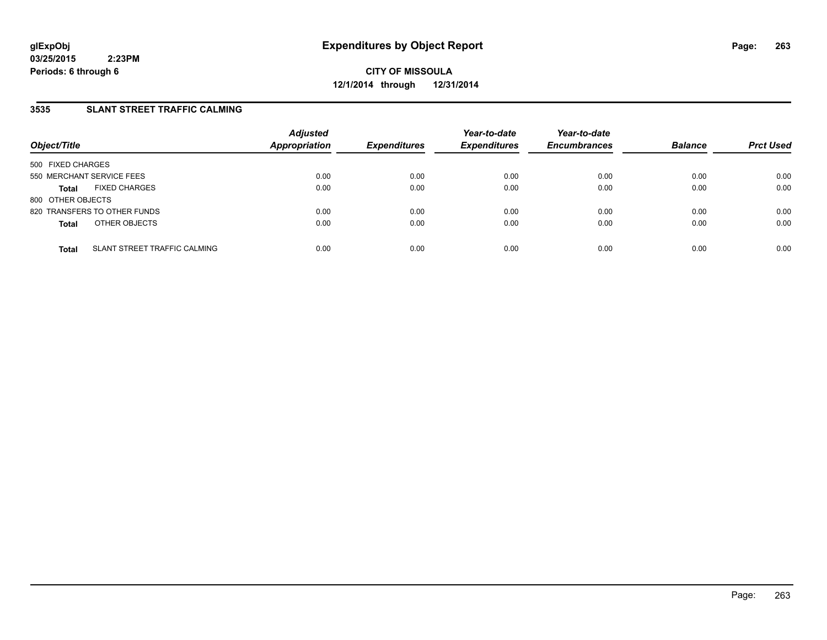## **3535 SLANT STREET TRAFFIC CALMING**

| Object/Title              |                                     | <b>Adjusted</b><br><b>Appropriation</b> | <b>Expenditures</b> | Year-to-date<br><b>Expenditures</b> | Year-to-date<br><b>Encumbrances</b> | <b>Balance</b> | <b>Prct Used</b> |
|---------------------------|-------------------------------------|-----------------------------------------|---------------------|-------------------------------------|-------------------------------------|----------------|------------------|
| 500 FIXED CHARGES         |                                     |                                         |                     |                                     |                                     |                |                  |
| 550 MERCHANT SERVICE FEES |                                     | 0.00                                    | 0.00                | 0.00                                | 0.00                                | 0.00           | 0.00             |
| <b>Total</b>              | <b>FIXED CHARGES</b>                | 0.00                                    | 0.00                | 0.00                                | 0.00                                | 0.00           | 0.00             |
| 800 OTHER OBJECTS         |                                     |                                         |                     |                                     |                                     |                |                  |
|                           | 820 TRANSFERS TO OTHER FUNDS        | 0.00                                    | 0.00                | 0.00                                | 0.00                                | 0.00           | 0.00             |
| <b>Total</b>              | OTHER OBJECTS                       | 0.00                                    | 0.00                | 0.00                                | 0.00                                | 0.00           | 0.00             |
|                           |                                     |                                         |                     |                                     |                                     |                |                  |
| <b>Total</b>              | <b>SLANT STREET TRAFFIC CALMING</b> | 0.00                                    | 0.00                | 0.00                                | 0.00                                | 0.00           | 0.00             |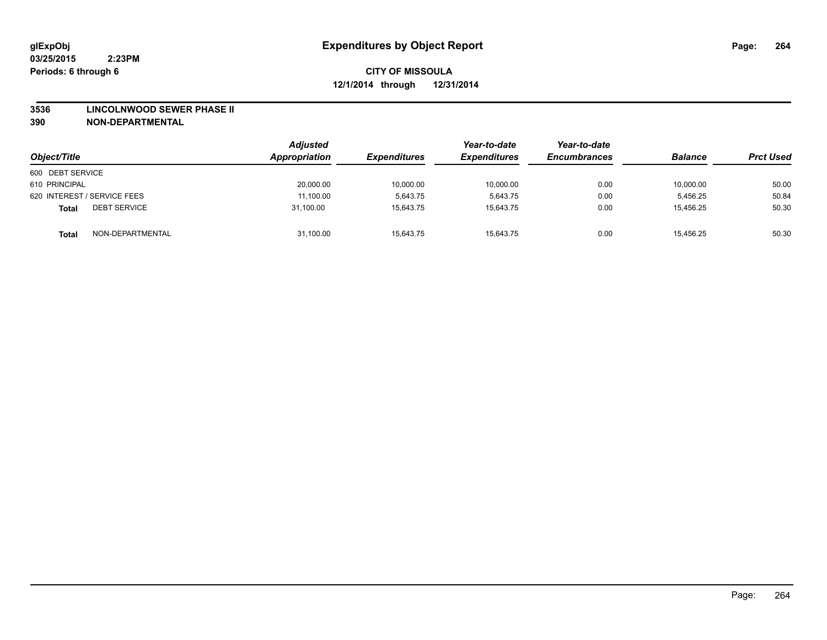#### **3536 LINCOLNWOOD SEWER PHASE II**

| Object/Title                        | <b>Adjusted</b><br>Appropriation | <b>Expenditures</b> | Year-to-date<br><b>Expenditures</b> | Year-to-date<br><b>Encumbrances</b> | <b>Balance</b> | <b>Prct Used</b> |
|-------------------------------------|----------------------------------|---------------------|-------------------------------------|-------------------------------------|----------------|------------------|
| 600 DEBT SERVICE                    |                                  |                     |                                     |                                     |                |                  |
| 610 PRINCIPAL                       | 20,000.00                        | 10,000.00           | 10,000.00                           | 0.00                                | 10,000.00      | 50.00            |
| 620 INTEREST / SERVICE FEES         | 11,100.00                        | 5.643.75            | 5.643.75                            | 0.00                                | 5.456.25       | 50.84            |
| <b>DEBT SERVICE</b><br><b>Total</b> | 31.100.00                        | 15.643.75           | 15.643.75                           | 0.00                                | 15,456.25      | 50.30            |
| NON-DEPARTMENTAL<br><b>Total</b>    | 31,100.00                        | 15,643.75           | 15,643.75                           | 0.00                                | 15,456.25      | 50.30            |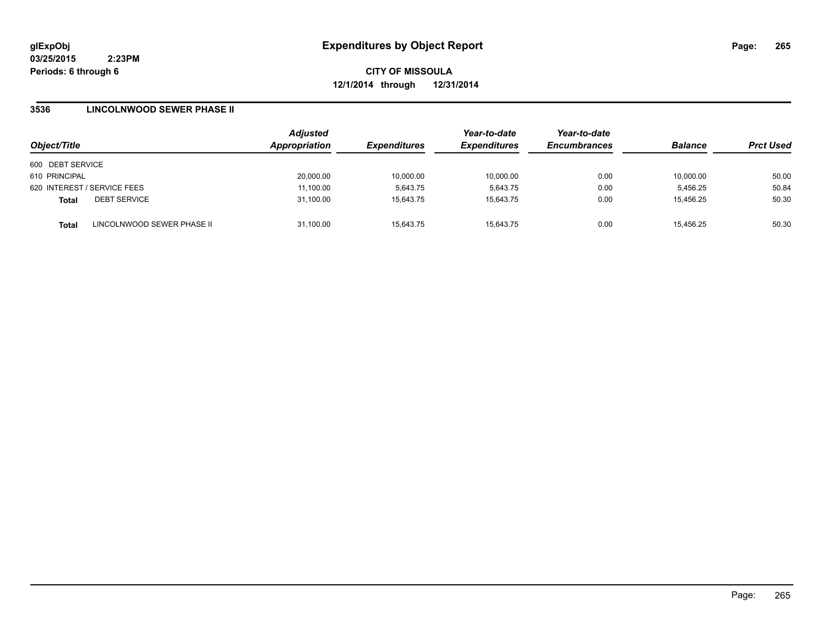**CITY OF MISSOULA 12/1/2014 through 12/31/2014**

### **3536 LINCOLNWOOD SEWER PHASE II**

| Object/Title                               | <b>Adjusted</b><br><b>Appropriation</b> | <b>Expenditures</b> | Year-to-date<br><b>Expenditures</b> | Year-to-date<br><b>Encumbrances</b> | <b>Balance</b> | <b>Prct Used</b> |
|--------------------------------------------|-----------------------------------------|---------------------|-------------------------------------|-------------------------------------|----------------|------------------|
| 600 DEBT SERVICE                           |                                         |                     |                                     |                                     |                |                  |
| 610 PRINCIPAL                              | 20,000.00                               | 10,000.00           | 10,000.00                           | 0.00                                | 10,000.00      | 50.00            |
| 620 INTEREST / SERVICE FEES                | 11,100.00                               | 5.643.75            | 5,643.75                            | 0.00                                | 5,456.25       | 50.84            |
| <b>DEBT SERVICE</b><br><b>Total</b>        | 31,100.00                               | 15,643.75           | 15.643.75                           | 0.00                                | 15.456.25      | 50.30            |
| LINCOLNWOOD SEWER PHASE II<br><b>Total</b> | 31,100.00                               | 15,643.75           | 15.643.75                           | 0.00                                | 15,456.25      | 50.30            |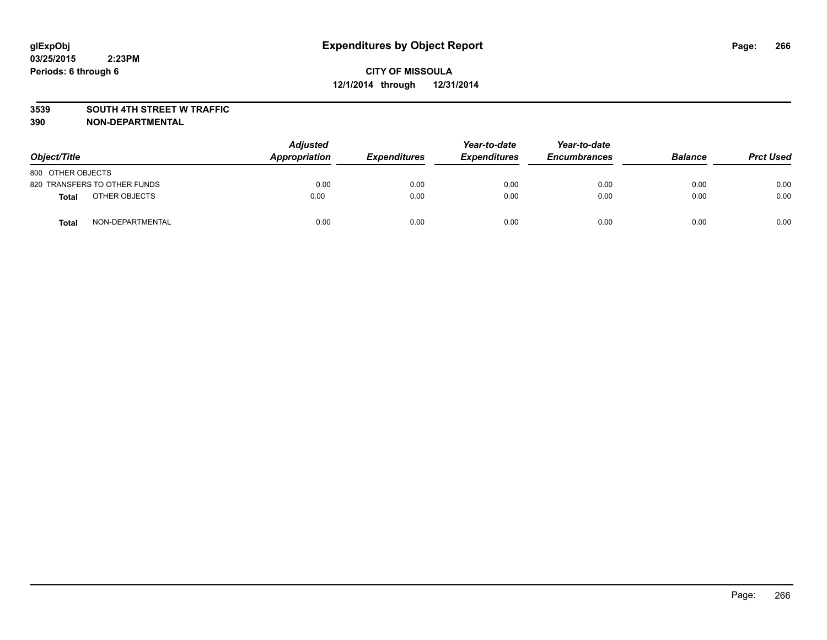#### **3539 SOUTH 4TH STREET W TRAFFIC**

| Object/Title      |                              | <b>Adjusted</b><br>Appropriation | <b>Expenditures</b> | Year-to-date<br><b>Expenditures</b> | Year-to-date<br><b>Encumbrances</b> | <b>Balance</b> | <b>Prct Used</b> |
|-------------------|------------------------------|----------------------------------|---------------------|-------------------------------------|-------------------------------------|----------------|------------------|
| 800 OTHER OBJECTS |                              |                                  |                     |                                     |                                     |                |                  |
|                   | 820 TRANSFERS TO OTHER FUNDS | 0.00                             | 0.00                | 0.00                                | 0.00                                | 0.00           | 0.00             |
| Total             | OTHER OBJECTS                | 0.00                             | 0.00                | 0.00                                | 0.00                                | 0.00           | 0.00             |
| Total             | NON-DEPARTMENTAL             | 0.00                             | 0.00                | 0.00                                | 0.00                                | 0.00           | 0.00             |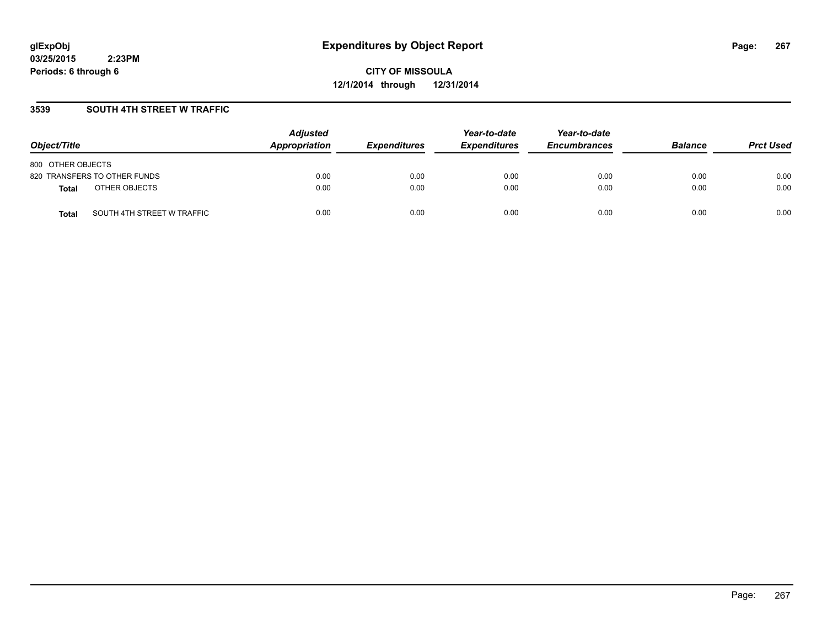**CITY OF MISSOULA 12/1/2014 through 12/31/2014**

## **3539 SOUTH 4TH STREET W TRAFFIC**

| Object/Title                               | <b>Adjusted</b><br><b>Appropriation</b> | <b>Expenditures</b> | Year-to-date<br><b>Expenditures</b> | Year-to-date<br><b>Encumbrances</b> | <b>Balance</b> | <b>Prct Used</b> |
|--------------------------------------------|-----------------------------------------|---------------------|-------------------------------------|-------------------------------------|----------------|------------------|
| 800 OTHER OBJECTS                          |                                         |                     |                                     |                                     |                |                  |
| 820 TRANSFERS TO OTHER FUNDS               | 0.00                                    | 0.00                | 0.00                                | 0.00                                | 0.00           | 0.00             |
| OTHER OBJECTS<br><b>Total</b>              | 0.00                                    | 0.00                | 0.00                                | 0.00                                | 0.00           | 0.00             |
| SOUTH 4TH STREET W TRAFFIC<br><b>Total</b> | 0.00                                    | 0.00                | 0.00                                | 0.00                                | 0.00           | 0.00             |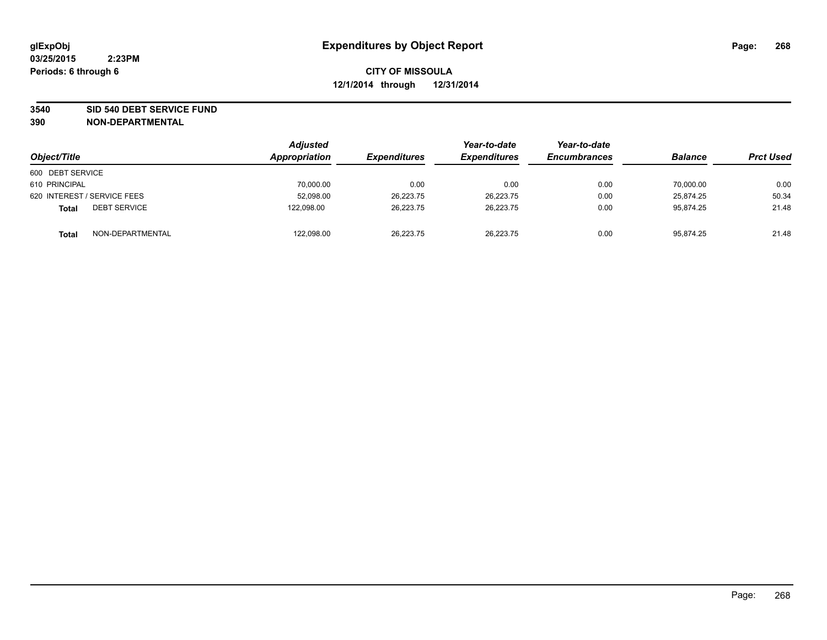#### **3540 SID 540 DEBT SERVICE FUND**

| Object/Title                        | <b>Adjusted</b><br>Appropriation | <i><b>Expenditures</b></i> | Year-to-date<br><b>Expenditures</b> | Year-to-date<br><b>Encumbrances</b> | <b>Balance</b> | <b>Prct Used</b> |
|-------------------------------------|----------------------------------|----------------------------|-------------------------------------|-------------------------------------|----------------|------------------|
| 600 DEBT SERVICE                    |                                  |                            |                                     |                                     |                |                  |
| 610 PRINCIPAL                       | 70,000.00                        | 0.00                       | 0.00                                | 0.00                                | 70,000.00      | 0.00             |
| 620 INTEREST / SERVICE FEES         | 52,098.00                        | 26,223.75                  | 26,223.75                           | 0.00                                | 25,874.25      | 50.34            |
| <b>DEBT SERVICE</b><br><b>Total</b> | 122.098.00                       | 26.223.75                  | 26.223.75                           | 0.00                                | 95.874.25      | 21.48            |
| NON-DEPARTMENTAL<br><b>Total</b>    | 122,098.00                       | 26,223.75                  | 26,223.75                           | 0.00                                | 95,874.25      | 21.48            |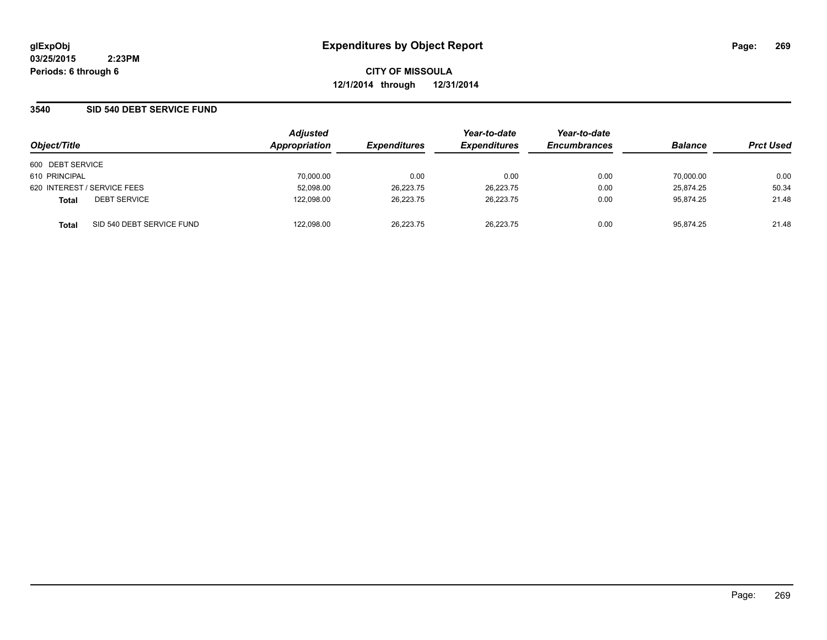**CITY OF MISSOULA 12/1/2014 through 12/31/2014**

## **3540 SID 540 DEBT SERVICE FUND**

| Object/Title     |                             | <b>Adjusted</b><br>Appropriation | <b>Expenditures</b> | Year-to-date<br><b>Expenditures</b> | Year-to-date<br><b>Encumbrances</b> | <b>Balance</b> | <b>Prct Used</b> |
|------------------|-----------------------------|----------------------------------|---------------------|-------------------------------------|-------------------------------------|----------------|------------------|
| 600 DEBT SERVICE |                             |                                  |                     |                                     |                                     |                |                  |
| 610 PRINCIPAL    |                             | 70,000.00                        | 0.00                | 0.00                                | 0.00                                | 70.000.00      | 0.00             |
|                  | 620 INTEREST / SERVICE FEES | 52,098.00                        | 26,223.75           | 26,223.75                           | 0.00                                | 25.874.25      | 50.34            |
| <b>Total</b>     | <b>DEBT SERVICE</b>         | 122.098.00                       | 26,223.75           | 26.223.75                           | 0.00                                | 95.874.25      | 21.48            |
| <b>Total</b>     | SID 540 DEBT SERVICE FUND   | 122.098.00                       | 26.223.75           | 26.223.75                           | 0.00                                | 95.874.25      | 21.48            |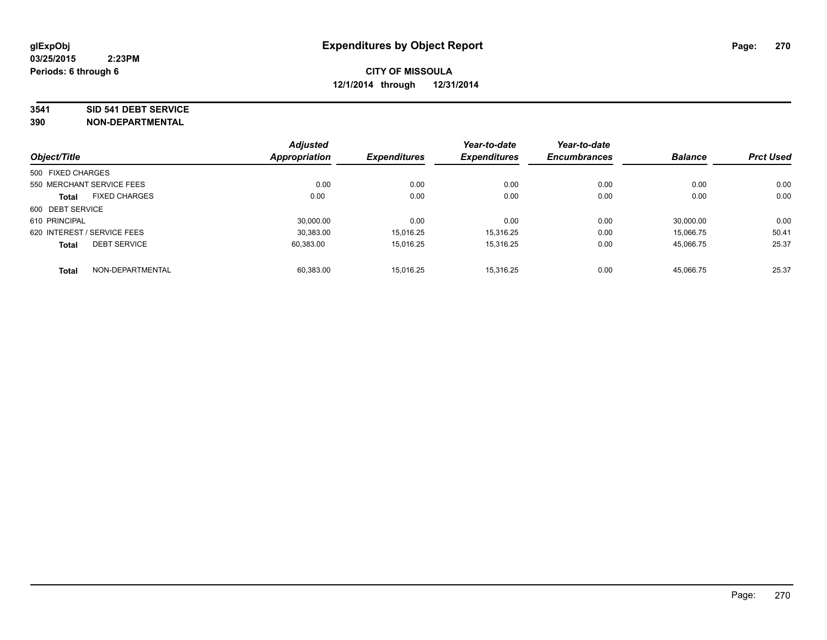#### **3541 SID 541 DEBT SERVICE**

|                             |                      | <b>Adjusted</b> |                     | Year-to-date        | Year-to-date        |                |                  |
|-----------------------------|----------------------|-----------------|---------------------|---------------------|---------------------|----------------|------------------|
| Object/Title                |                      | Appropriation   | <b>Expenditures</b> | <b>Expenditures</b> | <b>Encumbrances</b> | <b>Balance</b> | <b>Prct Used</b> |
| 500 FIXED CHARGES           |                      |                 |                     |                     |                     |                |                  |
| 550 MERCHANT SERVICE FEES   |                      | 0.00            | 0.00                | 0.00                | 0.00                | 0.00           | 0.00             |
| <b>Total</b>                | <b>FIXED CHARGES</b> | 0.00            | 0.00                | 0.00                | 0.00                | 0.00           | 0.00             |
| 600 DEBT SERVICE            |                      |                 |                     |                     |                     |                |                  |
| 610 PRINCIPAL               |                      | 30.000.00       | 0.00                | 0.00                | 0.00                | 30.000.00      | 0.00             |
| 620 INTEREST / SERVICE FEES |                      | 30.383.00       | 15.016.25           | 15.316.25           | 0.00                | 15.066.75      | 50.41            |
| <b>Total</b>                | <b>DEBT SERVICE</b>  | 60,383.00       | 15.016.25           | 15.316.25           | 0.00                | 45,066.75      | 25.37            |
| <b>Total</b>                | NON-DEPARTMENTAL     | 60,383.00       | 15.016.25           | 15.316.25           | 0.00                | 45.066.75      | 25.37            |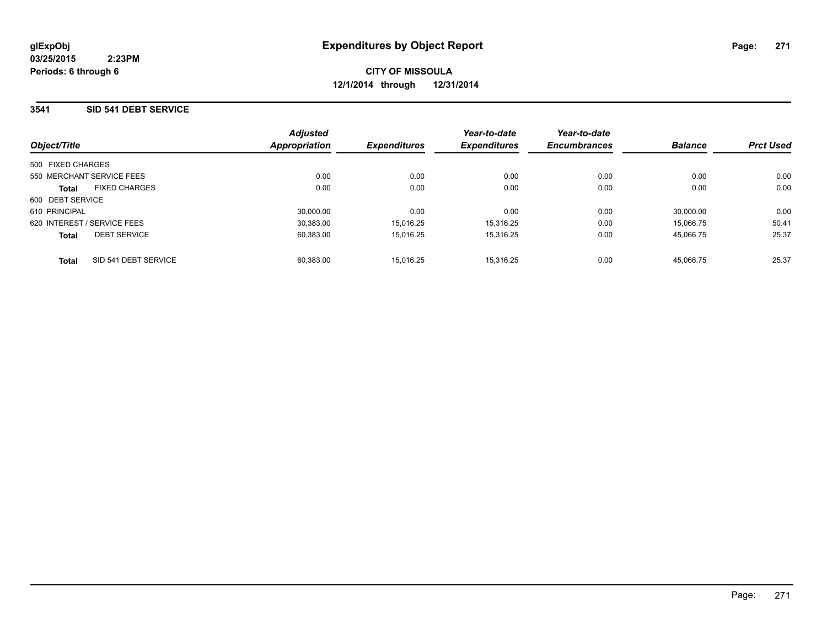### **3541 SID 541 DEBT SERVICE**

|                   |                             | <b>Adjusted</b> |                     | Year-to-date        | Year-to-date        |                |                  |
|-------------------|-----------------------------|-----------------|---------------------|---------------------|---------------------|----------------|------------------|
| Object/Title      |                             | Appropriation   | <b>Expenditures</b> | <b>Expenditures</b> | <b>Encumbrances</b> | <b>Balance</b> | <b>Prct Used</b> |
| 500 FIXED CHARGES |                             |                 |                     |                     |                     |                |                  |
|                   | 550 MERCHANT SERVICE FEES   | 0.00            | 0.00                | 0.00                | 0.00                | 0.00           | 0.00             |
| <b>Total</b>      | <b>FIXED CHARGES</b>        | 0.00            | 0.00                | 0.00                | 0.00                | 0.00           | 0.00             |
| 600 DEBT SERVICE  |                             |                 |                     |                     |                     |                |                  |
| 610 PRINCIPAL     |                             | 30,000.00       | 0.00                | 0.00                | 0.00                | 30.000.00      | 0.00             |
|                   | 620 INTEREST / SERVICE FEES | 30.383.00       | 15.016.25           | 15.316.25           | 0.00                | 15.066.75      | 50.41            |
| <b>Total</b>      | <b>DEBT SERVICE</b>         | 60,383.00       | 15.016.25           | 15.316.25           | 0.00                | 45.066.75      | 25.37            |
| <b>Total</b>      | SID 541 DEBT SERVICE        | 60.383.00       | 15.016.25           | 15.316.25           | 0.00                | 45.066.75      | 25.37            |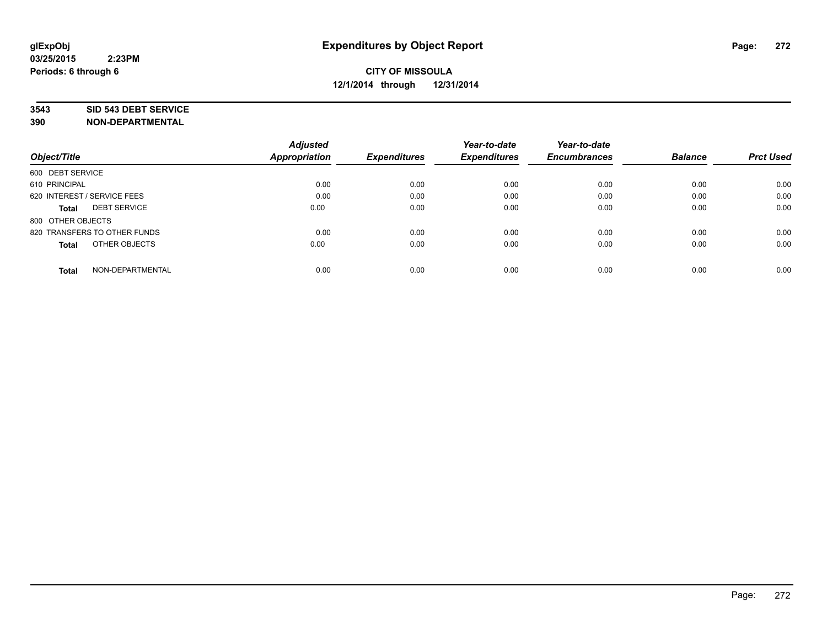#### **3543 SID 543 DEBT SERVICE**

| Object/Title                        | <b>Adjusted</b><br><b>Appropriation</b> | <b>Expenditures</b> | Year-to-date<br><b>Expenditures</b> | Year-to-date<br><b>Encumbrances</b> | <b>Balance</b> | <b>Prct Used</b> |
|-------------------------------------|-----------------------------------------|---------------------|-------------------------------------|-------------------------------------|----------------|------------------|
|                                     |                                         |                     |                                     |                                     |                |                  |
| 600 DEBT SERVICE                    |                                         |                     |                                     |                                     |                |                  |
| 610 PRINCIPAL                       | 0.00                                    | 0.00                | 0.00                                | 0.00                                | 0.00           | 0.00             |
| 620 INTEREST / SERVICE FEES         | 0.00                                    | 0.00                | 0.00                                | 0.00                                | 0.00           | 0.00             |
| <b>DEBT SERVICE</b><br><b>Total</b> | 0.00                                    | 0.00                | 0.00                                | 0.00                                | 0.00           | 0.00             |
| 800 OTHER OBJECTS                   |                                         |                     |                                     |                                     |                |                  |
| 820 TRANSFERS TO OTHER FUNDS        | 0.00                                    | 0.00                | 0.00                                | 0.00                                | 0.00           | 0.00             |
| OTHER OBJECTS<br><b>Total</b>       | 0.00                                    | 0.00                | 0.00                                | 0.00                                | 0.00           | 0.00             |
|                                     |                                         |                     |                                     |                                     |                |                  |
| NON-DEPARTMENTAL<br><b>Total</b>    | 0.00                                    | 0.00                | 0.00                                | 0.00                                | 0.00           | 0.00             |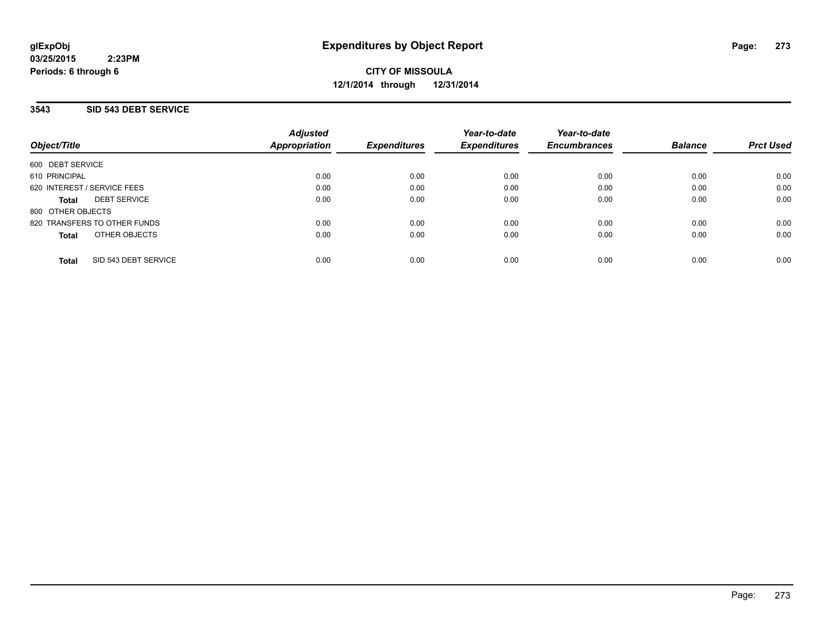**CITY OF MISSOULA 12/1/2014 through 12/31/2014**

## **3543 SID 543 DEBT SERVICE**

| Object/Title                         | <b>Adjusted</b><br><b>Appropriation</b> | <b>Expenditures</b> | Year-to-date<br><b>Expenditures</b> | Year-to-date<br><b>Encumbrances</b> | <b>Balance</b> | <b>Prct Used</b> |
|--------------------------------------|-----------------------------------------|---------------------|-------------------------------------|-------------------------------------|----------------|------------------|
| 600 DEBT SERVICE                     |                                         |                     |                                     |                                     |                |                  |
| 610 PRINCIPAL                        | 0.00                                    | 0.00                | 0.00                                | 0.00                                | 0.00           | 0.00             |
| 620 INTEREST / SERVICE FEES          | 0.00                                    | 0.00                | 0.00                                | 0.00                                | 0.00           | 0.00             |
| <b>DEBT SERVICE</b><br><b>Total</b>  | 0.00                                    | 0.00                | 0.00                                | 0.00                                | 0.00           | 0.00             |
| 800 OTHER OBJECTS                    |                                         |                     |                                     |                                     |                |                  |
| 820 TRANSFERS TO OTHER FUNDS         | 0.00                                    | 0.00                | 0.00                                | 0.00                                | 0.00           | 0.00             |
| OTHER OBJECTS<br><b>Total</b>        | 0.00                                    | 0.00                | 0.00                                | 0.00                                | 0.00           | 0.00             |
| SID 543 DEBT SERVICE<br><b>Total</b> | 0.00                                    | 0.00                | 0.00                                | 0.00                                | 0.00           | 0.00             |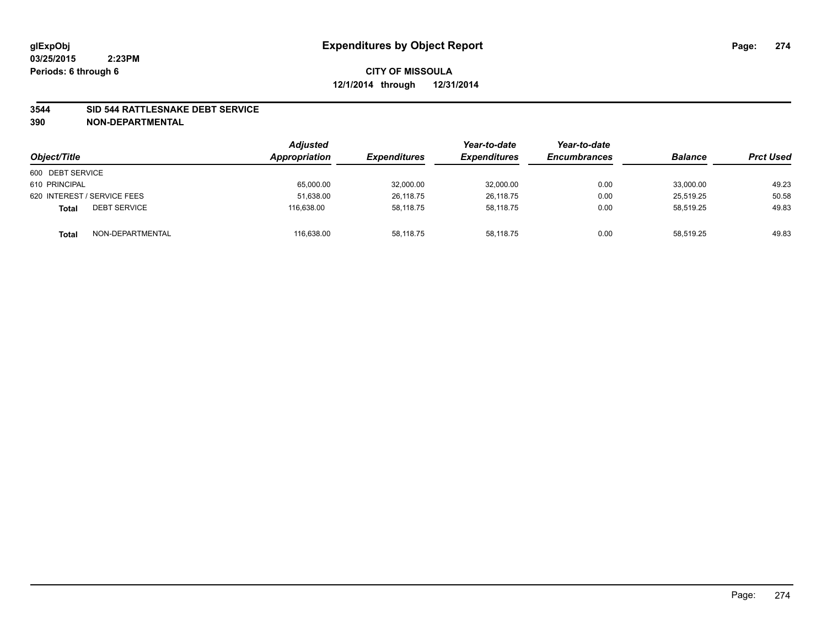#### **3544 SID 544 RATTLESNAKE DEBT SERVICE**

| Object/Title                        | <b>Adjusted</b><br>Appropriation | <b>Expenditures</b> | Year-to-date<br><b>Expenditures</b> | Year-to-date<br><b>Encumbrances</b> | <b>Balance</b> | <b>Prct Used</b> |
|-------------------------------------|----------------------------------|---------------------|-------------------------------------|-------------------------------------|----------------|------------------|
| 600 DEBT SERVICE                    |                                  |                     |                                     |                                     |                |                  |
| 610 PRINCIPAL                       | 65,000.00                        | 32,000.00           | 32,000.00                           | 0.00                                | 33,000.00      | 49.23            |
| 620 INTEREST / SERVICE FEES         | 51,638.00                        | 26,118.75           | 26,118.75                           | 0.00                                | 25.519.25      | 50.58            |
| <b>DEBT SERVICE</b><br><b>Total</b> | 116.638.00                       | 58.118.75           | 58.118.75                           | 0.00                                | 58.519.25      | 49.83            |
| NON-DEPARTMENTAL<br><b>Total</b>    | 116,638.00                       | 58,118.75           | 58,118.75                           | 0.00                                | 58,519.25      | 49.83            |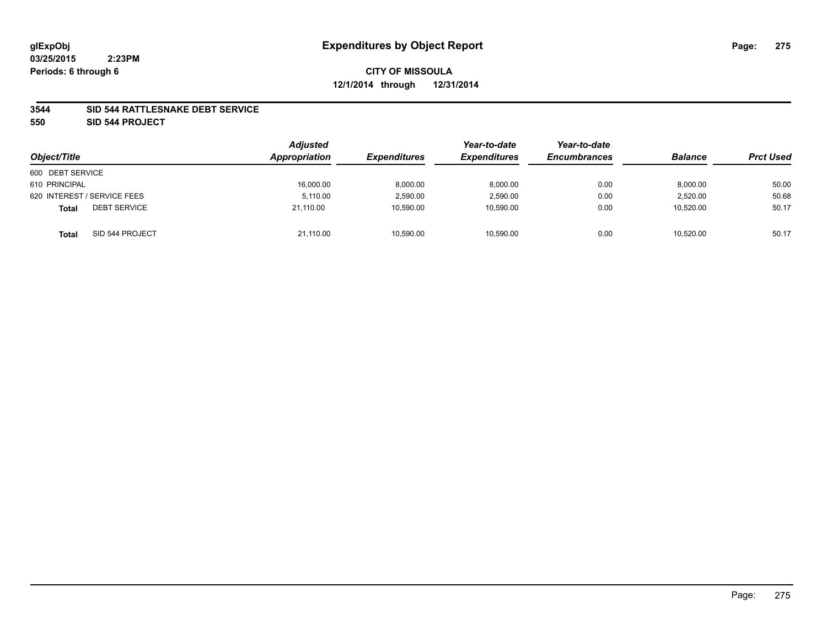#### **3544 SID 544 RATTLESNAKE DEBT SERVICE**

**550 SID 544 PROJECT**

| Object/Title                        | <b>Adjusted</b><br>Appropriation | <b>Expenditures</b> | Year-to-date<br><b>Expenditures</b> | Year-to-date<br><b>Encumbrances</b> | <b>Balance</b> | <b>Prct Used</b> |
|-------------------------------------|----------------------------------|---------------------|-------------------------------------|-------------------------------------|----------------|------------------|
| 600 DEBT SERVICE                    |                                  |                     |                                     |                                     |                |                  |
| 610 PRINCIPAL                       | 16,000.00                        | 8,000.00            | 8.000.00                            | 0.00                                | 8,000.00       | 50.00            |
| 620 INTEREST / SERVICE FEES         | 5.110.00                         | 2,590.00            | 2,590.00                            | 0.00                                | 2,520.00       | 50.68            |
| <b>DEBT SERVICE</b><br><b>Total</b> | 21.110.00                        | 10,590.00           | 10,590.00                           | 0.00                                | 10,520.00      | 50.17            |
| SID 544 PROJECT<br><b>Total</b>     | 21,110.00                        | 10,590.00           | 10,590.00                           | 0.00                                | 10,520.00      | 50.17            |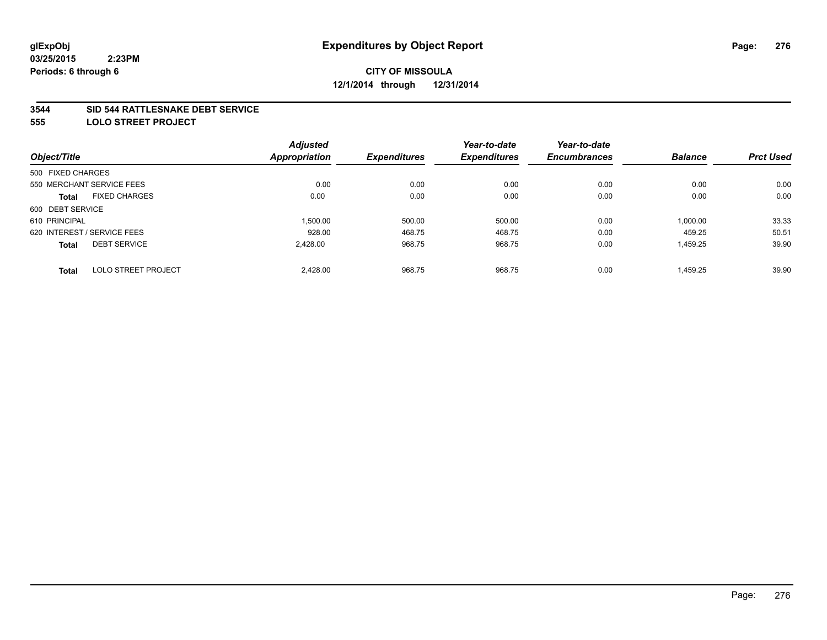#### **3544 SID 544 RATTLESNAKE DEBT SERVICE**

**555 LOLO STREET PROJECT**

|                                            | <b>Adjusted</b> |                     | Year-to-date        | Year-to-date        |                |                  |
|--------------------------------------------|-----------------|---------------------|---------------------|---------------------|----------------|------------------|
| Object/Title                               | Appropriation   | <b>Expenditures</b> | <b>Expenditures</b> | <b>Encumbrances</b> | <b>Balance</b> | <b>Prct Used</b> |
| 500 FIXED CHARGES                          |                 |                     |                     |                     |                |                  |
| 550 MERCHANT SERVICE FEES                  | 0.00            | 0.00                | 0.00                | 0.00                | 0.00           | 0.00             |
| <b>FIXED CHARGES</b><br><b>Total</b>       | 0.00            | 0.00                | 0.00                | 0.00                | 0.00           | 0.00             |
| 600 DEBT SERVICE                           |                 |                     |                     |                     |                |                  |
| 610 PRINCIPAL                              | 1,500.00        | 500.00              | 500.00              | 0.00                | 1,000.00       | 33.33            |
| 620 INTEREST / SERVICE FEES                | 928.00          | 468.75              | 468.75              | 0.00                | 459.25         | 50.51            |
| <b>DEBT SERVICE</b><br><b>Total</b>        | 2,428.00        | 968.75              | 968.75              | 0.00                | 1,459.25       | 39.90            |
| <b>LOLO STREET PROJECT</b><br><b>Total</b> | 2.428.00        | 968.75              | 968.75              | 0.00                | 1.459.25       | 39.90            |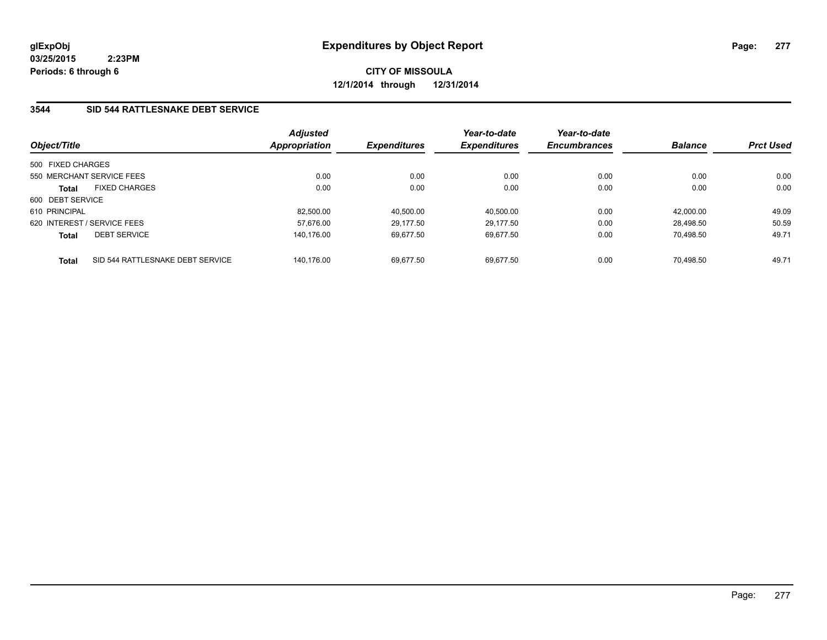**CITY OF MISSOULA 12/1/2014 through 12/31/2014**

## **3544 SID 544 RATTLESNAKE DEBT SERVICE**

| Object/Title      |                                  | <b>Adjusted</b><br>Appropriation | <b>Expenditures</b> | Year-to-date<br><b>Expenditures</b> | Year-to-date<br><b>Encumbrances</b> | <b>Balance</b> | <b>Prct Used</b> |
|-------------------|----------------------------------|----------------------------------|---------------------|-------------------------------------|-------------------------------------|----------------|------------------|
| 500 FIXED CHARGES |                                  |                                  |                     |                                     |                                     |                |                  |
|                   | 550 MERCHANT SERVICE FEES        | 0.00                             | 0.00                | 0.00                                | 0.00                                | 0.00           | 0.00             |
| <b>Total</b>      | <b>FIXED CHARGES</b>             | 0.00                             | 0.00                | 0.00                                | 0.00                                | 0.00           | 0.00             |
| 600 DEBT SERVICE  |                                  |                                  |                     |                                     |                                     |                |                  |
| 610 PRINCIPAL     |                                  | 82.500.00                        | 40,500.00           | 40.500.00                           | 0.00                                | 42.000.00      | 49.09            |
|                   | 620 INTEREST / SERVICE FEES      | 57.676.00                        | 29.177.50           | 29.177.50                           | 0.00                                | 28.498.50      | 50.59            |
| <b>Total</b>      | <b>DEBT SERVICE</b>              | 140.176.00                       | 69.677.50           | 69.677.50                           | 0.00                                | 70.498.50      | 49.71            |
| <b>Total</b>      | SID 544 RATTLESNAKE DEBT SERVICE | 140.176.00                       | 69.677.50           | 69.677.50                           | 0.00                                | 70.498.50      | 49.71            |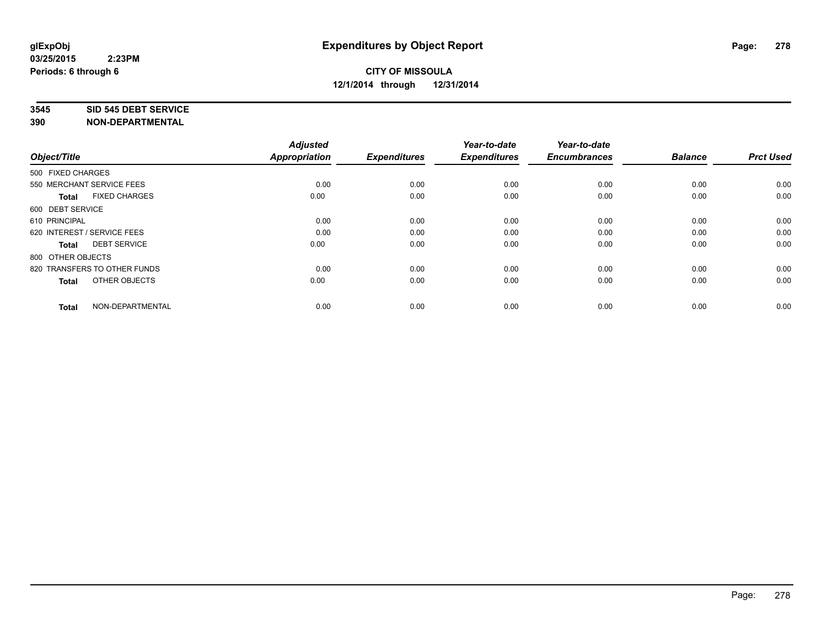#### **3545 SID 545 DEBT SERVICE**

| Object/Title                         | <b>Adjusted</b><br><b>Appropriation</b> | <b>Expenditures</b> | Year-to-date<br><b>Expenditures</b> | Year-to-date<br><b>Encumbrances</b> | <b>Balance</b> | <b>Prct Used</b> |
|--------------------------------------|-----------------------------------------|---------------------|-------------------------------------|-------------------------------------|----------------|------------------|
|                                      |                                         |                     |                                     |                                     |                |                  |
| 500 FIXED CHARGES                    |                                         |                     |                                     |                                     |                |                  |
| 550 MERCHANT SERVICE FEES            | 0.00                                    | 0.00                | 0.00                                | 0.00                                | 0.00           | 0.00             |
| <b>FIXED CHARGES</b><br><b>Total</b> | 0.00                                    | 0.00                | 0.00                                | 0.00                                | 0.00           | 0.00             |
| 600 DEBT SERVICE                     |                                         |                     |                                     |                                     |                |                  |
| 610 PRINCIPAL                        | 0.00                                    | 0.00                | 0.00                                | 0.00                                | 0.00           | 0.00             |
| 620 INTEREST / SERVICE FEES          | 0.00                                    | 0.00                | 0.00                                | 0.00                                | 0.00           | 0.00             |
| <b>DEBT SERVICE</b><br><b>Total</b>  | 0.00                                    | 0.00                | 0.00                                | 0.00                                | 0.00           | 0.00             |
| 800 OTHER OBJECTS                    |                                         |                     |                                     |                                     |                |                  |
| 820 TRANSFERS TO OTHER FUNDS         | 0.00                                    | 0.00                | 0.00                                | 0.00                                | 0.00           | 0.00             |
| OTHER OBJECTS<br><b>Total</b>        | 0.00                                    | 0.00                | 0.00                                | 0.00                                | 0.00           | 0.00             |
|                                      |                                         |                     |                                     |                                     |                |                  |
| NON-DEPARTMENTAL<br><b>Total</b>     | 0.00                                    | 0.00                | 0.00                                | 0.00                                | 0.00           | 0.00             |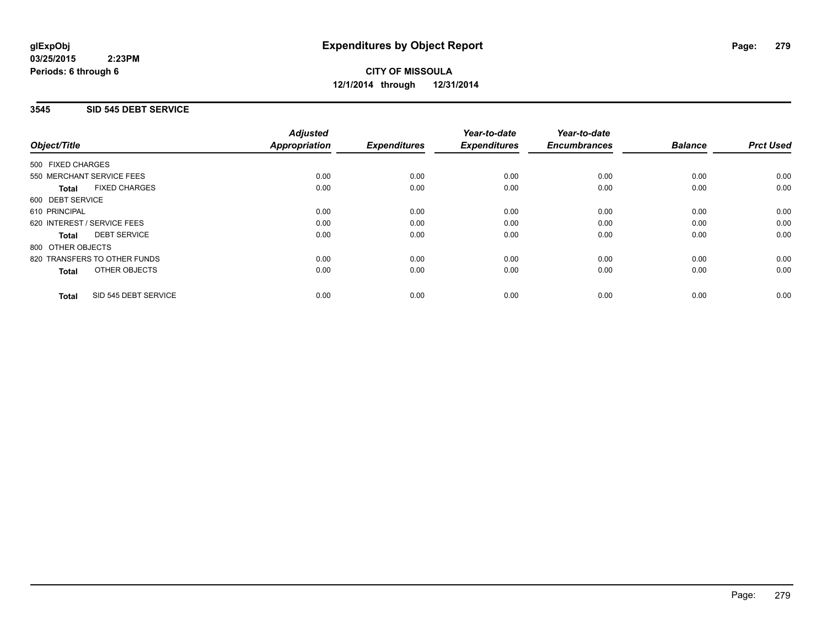**CITY OF MISSOULA 12/1/2014 through 12/31/2014**

#### **3545 SID 545 DEBT SERVICE**

|                                      | <b>Adjusted</b>      |                     | Year-to-date        | Year-to-date<br><b>Encumbrances</b> | <b>Balance</b> | <b>Prct Used</b> |
|--------------------------------------|----------------------|---------------------|---------------------|-------------------------------------|----------------|------------------|
| Object/Title                         | <b>Appropriation</b> | <b>Expenditures</b> | <b>Expenditures</b> |                                     |                |                  |
| 500 FIXED CHARGES                    |                      |                     |                     |                                     |                |                  |
| 550 MERCHANT SERVICE FEES            | 0.00                 | 0.00                | 0.00                | 0.00                                | 0.00           | 0.00             |
| <b>FIXED CHARGES</b><br><b>Total</b> | 0.00                 | 0.00                | 0.00                | 0.00                                | 0.00           | 0.00             |
| 600 DEBT SERVICE                     |                      |                     |                     |                                     |                |                  |
| 610 PRINCIPAL                        | 0.00                 | 0.00                | 0.00                | 0.00                                | 0.00           | 0.00             |
| 620 INTEREST / SERVICE FEES          | 0.00                 | 0.00                | 0.00                | 0.00                                | 0.00           | 0.00             |
| <b>DEBT SERVICE</b><br><b>Total</b>  | 0.00                 | 0.00                | 0.00                | 0.00                                | 0.00           | 0.00             |
| 800 OTHER OBJECTS                    |                      |                     |                     |                                     |                |                  |
| 820 TRANSFERS TO OTHER FUNDS         | 0.00                 | 0.00                | 0.00                | 0.00                                | 0.00           | 0.00             |
| OTHER OBJECTS<br><b>Total</b>        | 0.00                 | 0.00                | 0.00                | 0.00                                | 0.00           | 0.00             |
| SID 545 DEBT SERVICE<br><b>Total</b> | 0.00                 | 0.00                | 0.00                | 0.00                                | 0.00           | 0.00             |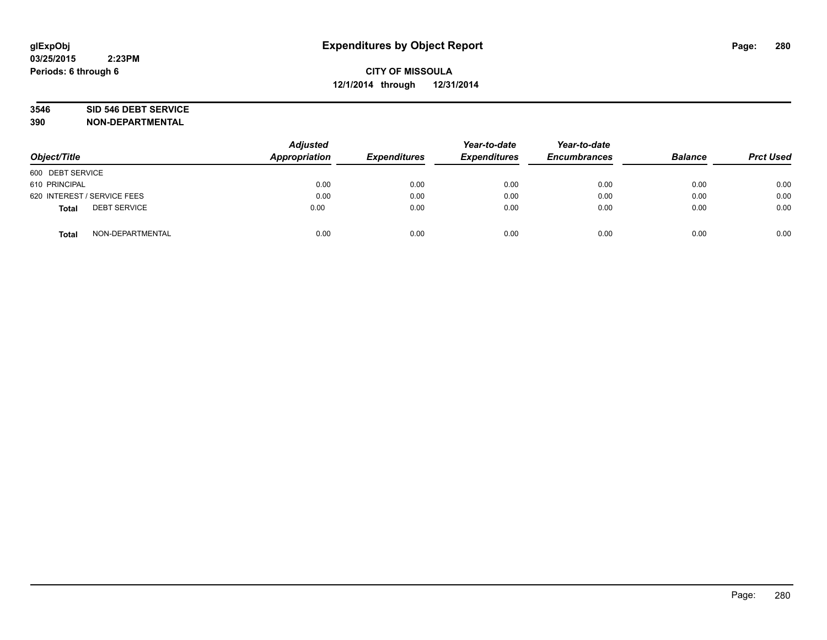# **3546 SID 546 DEBT SERVICE**

| Object/Title                        | <b>Adjusted</b><br><b>Appropriation</b> | <b>Expenditures</b> | Year-to-date<br><b>Expenditures</b> | Year-to-date<br><b>Encumbrances</b> | <b>Balance</b> | <b>Prct Used</b> |
|-------------------------------------|-----------------------------------------|---------------------|-------------------------------------|-------------------------------------|----------------|------------------|
| 600 DEBT SERVICE                    |                                         |                     |                                     |                                     |                |                  |
| 610 PRINCIPAL                       | 0.00                                    | 0.00                | 0.00                                | 0.00                                | 0.00           | 0.00             |
| 620 INTEREST / SERVICE FEES         | 0.00                                    | 0.00                | 0.00                                | 0.00                                | 0.00           | 0.00             |
| <b>DEBT SERVICE</b><br><b>Total</b> | 0.00                                    | 0.00                | 0.00                                | 0.00                                | 0.00           | 0.00             |
| NON-DEPARTMENTAL<br><b>Total</b>    | 0.00                                    | 0.00                | 0.00                                | 0.00                                | 0.00           | 0.00             |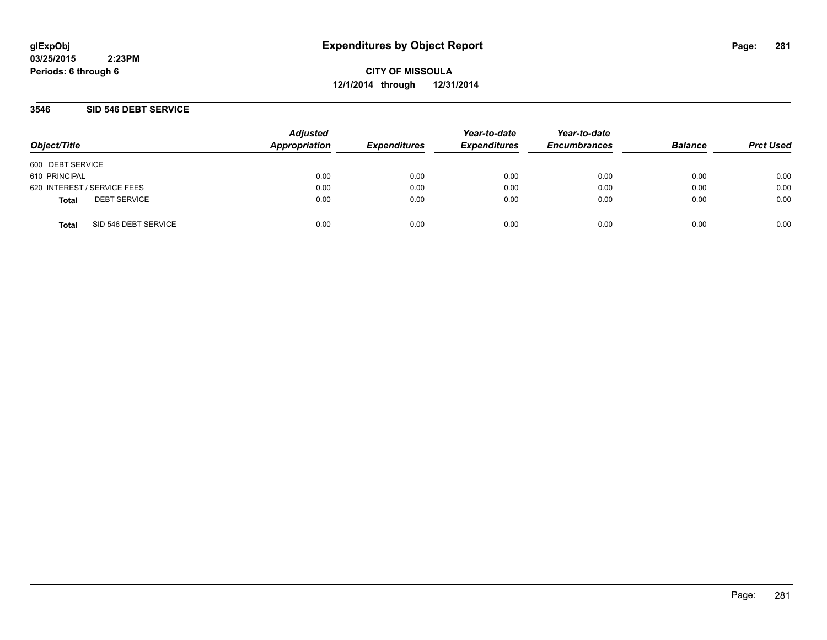**CITY OF MISSOULA 12/1/2014 through 12/31/2014**

## **3546 SID 546 DEBT SERVICE**

| Object/Title     |                             | <b>Adjusted</b><br>Appropriation | <b>Expenditures</b> | Year-to-date<br><b>Expenditures</b> | Year-to-date<br><b>Encumbrances</b> | <b>Balance</b> | <b>Prct Used</b> |
|------------------|-----------------------------|----------------------------------|---------------------|-------------------------------------|-------------------------------------|----------------|------------------|
| 600 DEBT SERVICE |                             |                                  |                     |                                     |                                     |                |                  |
| 610 PRINCIPAL    |                             | 0.00                             | 0.00                | 0.00                                | 0.00                                | 0.00           | 0.00             |
|                  | 620 INTEREST / SERVICE FEES | 0.00                             | 0.00                | 0.00                                | 0.00                                | 0.00           | 0.00             |
| <b>Total</b>     | <b>DEBT SERVICE</b>         | 0.00                             | 0.00                | 0.00                                | 0.00                                | 0.00           | 0.00             |
| <b>Total</b>     | SID 546 DEBT SERVICE        | 0.00                             | 0.00                | 0.00                                | 0.00                                | 0.00           | 0.00             |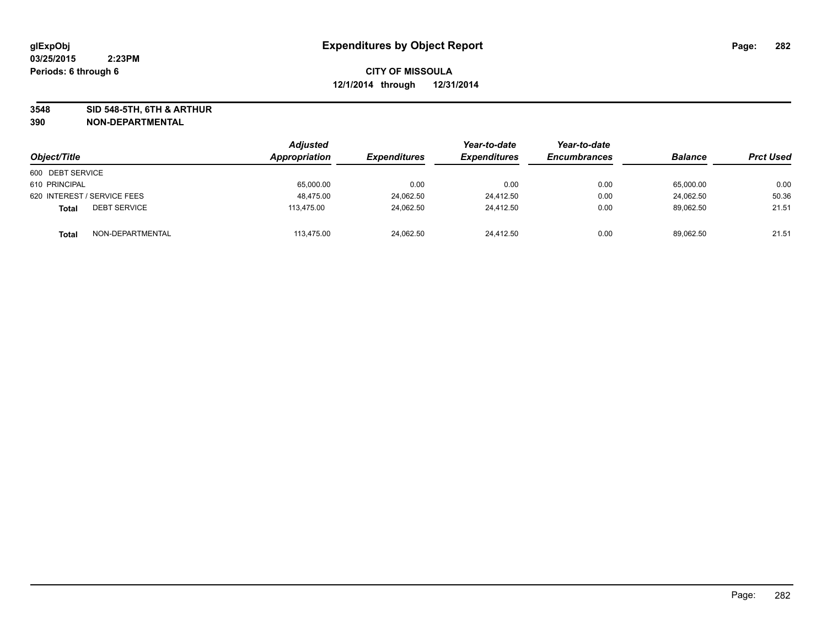**3548 SID 548-5TH, 6TH & ARTHUR**

| Object/Title                        | <b>Adjusted</b><br>Appropriation | <i><b>Expenditures</b></i> | Year-to-date<br><b>Expenditures</b> | Year-to-date<br><b>Encumbrances</b> | <b>Balance</b> | <b>Prct Used</b> |
|-------------------------------------|----------------------------------|----------------------------|-------------------------------------|-------------------------------------|----------------|------------------|
| 600 DEBT SERVICE                    |                                  |                            |                                     |                                     |                |                  |
| 610 PRINCIPAL                       | 65,000.00                        | 0.00                       | 0.00                                | 0.00                                | 65,000.00      | 0.00             |
| 620 INTEREST / SERVICE FEES         | 48,475.00                        | 24,062.50                  | 24.412.50                           | 0.00                                | 24.062.50      | 50.36            |
| <b>DEBT SERVICE</b><br><b>Total</b> | 113.475.00                       | 24,062.50                  | 24,412.50                           | 0.00                                | 89,062.50      | 21.51            |
| NON-DEPARTMENTAL<br><b>Total</b>    | 113,475.00                       | 24,062.50                  | 24.412.50                           | 0.00                                | 89,062.50      | 21.51            |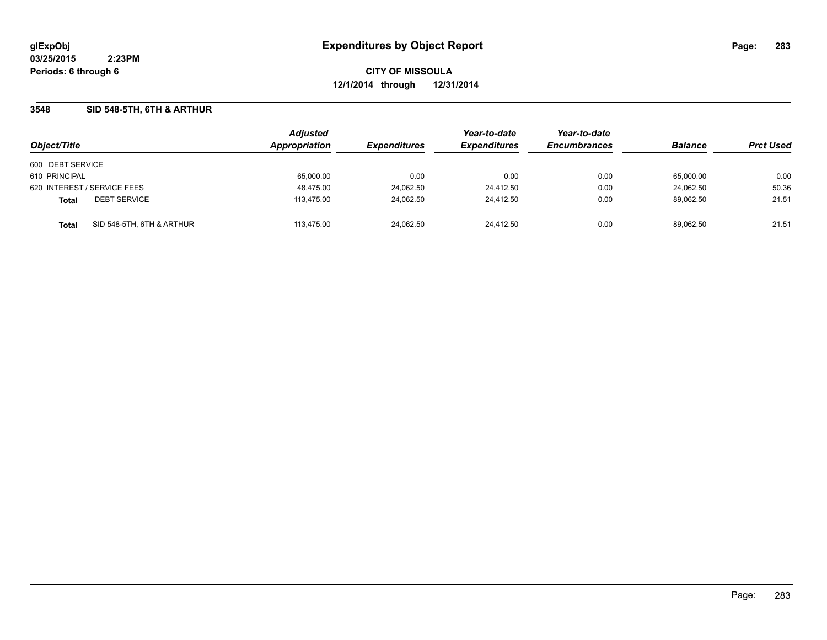**CITY OF MISSOULA 12/1/2014 through 12/31/2014**

## **3548 SID 548-5TH, 6TH & ARTHUR**

| Object/Title                              | <b>Adjusted</b><br><b>Appropriation</b> | <b>Expenditures</b> | Year-to-date<br><b>Expenditures</b> | Year-to-date<br><b>Encumbrances</b> | <b>Balance</b> | <b>Prct Used</b> |
|-------------------------------------------|-----------------------------------------|---------------------|-------------------------------------|-------------------------------------|----------------|------------------|
| 600 DEBT SERVICE                          |                                         |                     |                                     |                                     |                |                  |
| 610 PRINCIPAL                             | 65,000.00                               | 0.00                | 0.00                                | 0.00                                | 65.000.00      | 0.00             |
| 620 INTEREST / SERVICE FEES               | 48,475.00                               | 24,062.50           | 24,412.50                           | 0.00                                | 24.062.50      | 50.36            |
| <b>DEBT SERVICE</b><br><b>Total</b>       | 113,475.00                              | 24,062.50           | 24.412.50                           | 0.00                                | 89.062.50      | 21.51            |
| SID 548-5TH, 6TH & ARTHUR<br><b>Total</b> | 113,475.00                              | 24,062.50           | 24.412.50                           | 0.00                                | 89,062.50      | 21.51            |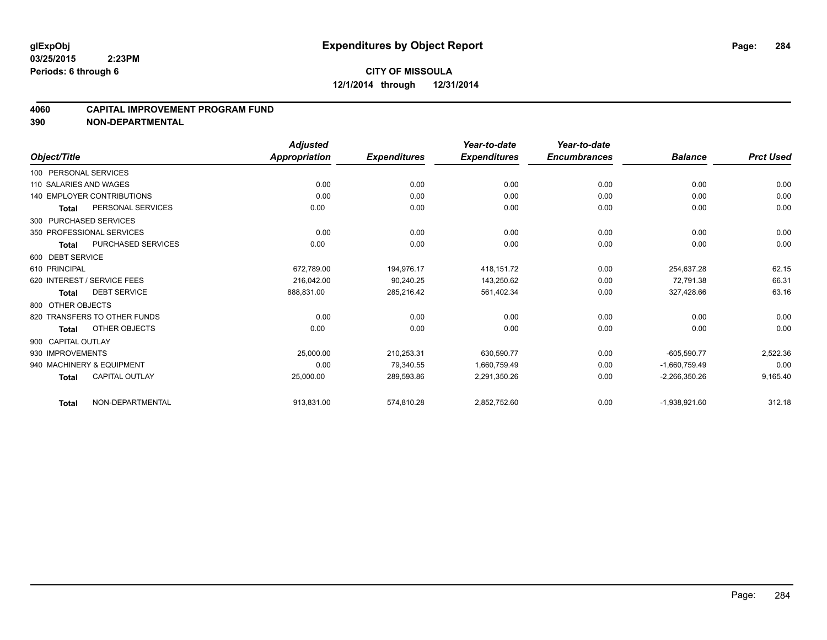#### **4060 CAPITAL IMPROVEMENT PROGRAM FUND**

|                        |                                   | <b>Adjusted</b> |                     | Year-to-date        | Year-to-date        |                 |                  |
|------------------------|-----------------------------------|-----------------|---------------------|---------------------|---------------------|-----------------|------------------|
| Object/Title           |                                   | Appropriation   | <b>Expenditures</b> | <b>Expenditures</b> | <b>Encumbrances</b> | <b>Balance</b>  | <b>Prct Used</b> |
| 100 PERSONAL SERVICES  |                                   |                 |                     |                     |                     |                 |                  |
| 110 SALARIES AND WAGES |                                   | 0.00            | 0.00                | 0.00                | 0.00                | 0.00            | 0.00             |
|                        | <b>140 EMPLOYER CONTRIBUTIONS</b> | 0.00            | 0.00                | 0.00                | 0.00                | 0.00            | 0.00             |
| <b>Total</b>           | PERSONAL SERVICES                 | 0.00            | 0.00                | 0.00                | 0.00                | 0.00            | 0.00             |
|                        | 300 PURCHASED SERVICES            |                 |                     |                     |                     |                 |                  |
|                        | 350 PROFESSIONAL SERVICES         | 0.00            | 0.00                | 0.00                | 0.00                | 0.00            | 0.00             |
| <b>Total</b>           | <b>PURCHASED SERVICES</b>         | 0.00            | 0.00                | 0.00                | 0.00                | 0.00            | 0.00             |
| 600 DEBT SERVICE       |                                   |                 |                     |                     |                     |                 |                  |
| 610 PRINCIPAL          |                                   | 672,789.00      | 194,976.17          | 418,151.72          | 0.00                | 254,637.28      | 62.15            |
|                        | 620 INTEREST / SERVICE FEES       | 216,042.00      | 90,240.25           | 143,250.62          | 0.00                | 72,791.38       | 66.31            |
| <b>Total</b>           | <b>DEBT SERVICE</b>               | 888,831.00      | 285,216.42          | 561,402.34          | 0.00                | 327.428.66      | 63.16            |
| 800 OTHER OBJECTS      |                                   |                 |                     |                     |                     |                 |                  |
|                        | 820 TRANSFERS TO OTHER FUNDS      | 0.00            | 0.00                | 0.00                | 0.00                | 0.00            | 0.00             |
| <b>Total</b>           | OTHER OBJECTS                     | 0.00            | 0.00                | 0.00                | 0.00                | 0.00            | 0.00             |
| 900 CAPITAL OUTLAY     |                                   |                 |                     |                     |                     |                 |                  |
| 930 IMPROVEMENTS       |                                   | 25,000.00       | 210,253.31          | 630,590.77          | 0.00                | $-605,590.77$   | 2,522.36         |
|                        | 940 MACHINERY & EQUIPMENT         | 0.00            | 79.340.55           | 1,660,759.49        | 0.00                | $-1.660.759.49$ | 0.00             |
| <b>Total</b>           | <b>CAPITAL OUTLAY</b>             | 25,000.00       | 289,593.86          | 2,291,350.26        | 0.00                | $-2,266,350.26$ | 9,165.40         |
| <b>Total</b>           | NON-DEPARTMENTAL                  | 913,831.00      | 574,810.28          | 2,852,752.60        | 0.00                | $-1,938,921.60$ | 312.18           |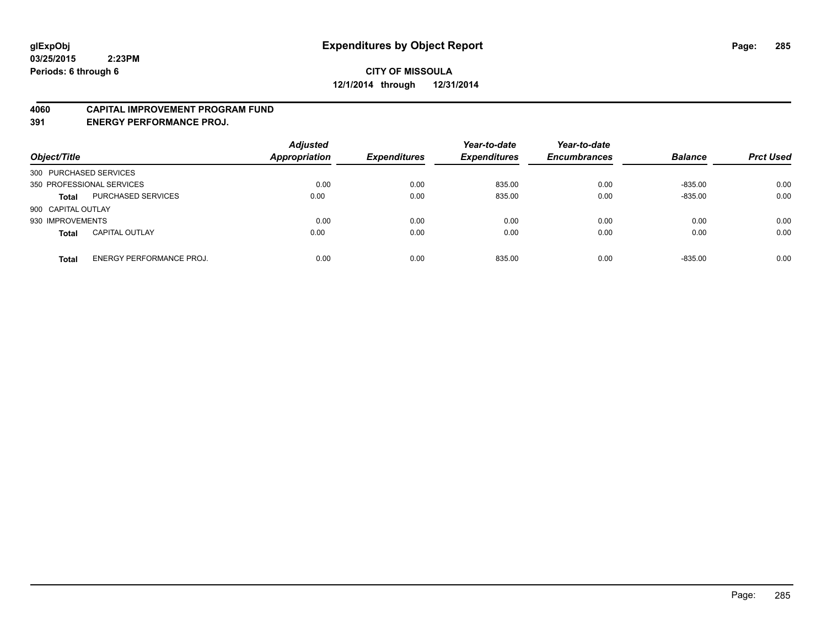#### **4060 CAPITAL IMPROVEMENT PROGRAM FUND**

**391 ENERGY PERFORMANCE PROJ.**

| Object/Title                             | <b>Adjusted</b><br><b>Appropriation</b> | <b>Expenditures</b> | Year-to-date<br><b>Expenditures</b> | Year-to-date<br><b>Encumbrances</b> | <b>Balance</b> | <b>Prct Used</b> |
|------------------------------------------|-----------------------------------------|---------------------|-------------------------------------|-------------------------------------|----------------|------------------|
| 300 PURCHASED SERVICES                   |                                         |                     |                                     |                                     |                |                  |
| 350 PROFESSIONAL SERVICES                | 0.00                                    | 0.00                | 835.00                              | 0.00                                | $-835.00$      | 0.00             |
| PURCHASED SERVICES<br><b>Total</b>       | 0.00                                    | 0.00                | 835.00                              | 0.00                                | $-835.00$      | 0.00             |
| 900 CAPITAL OUTLAY                       |                                         |                     |                                     |                                     |                |                  |
| 930 IMPROVEMENTS                         | 0.00                                    | 0.00                | 0.00                                | 0.00                                | 0.00           | 0.00             |
| <b>CAPITAL OUTLAY</b><br><b>Total</b>    | 0.00                                    | 0.00                | 0.00                                | 0.00                                | 0.00           | 0.00             |
| ENERGY PERFORMANCE PROJ.<br><b>Total</b> | 0.00                                    | 0.00                | 835.00                              | 0.00                                | $-835.00$      | 0.00             |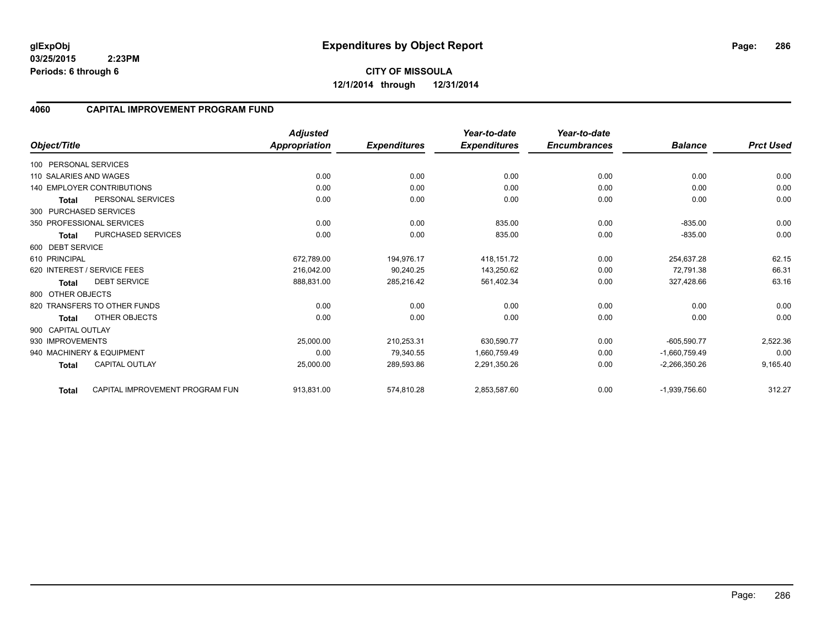**12/1/2014 through 12/31/2014**

#### **4060 CAPITAL IMPROVEMENT PROGRAM FUND**

|                        |                                   | <b>Adjusted</b>      |                     | Year-to-date        | Year-to-date        |                 |                  |
|------------------------|-----------------------------------|----------------------|---------------------|---------------------|---------------------|-----------------|------------------|
| Object/Title           |                                   | <b>Appropriation</b> | <b>Expenditures</b> | <b>Expenditures</b> | <b>Encumbrances</b> | <b>Balance</b>  | <b>Prct Used</b> |
| 100 PERSONAL SERVICES  |                                   |                      |                     |                     |                     |                 |                  |
| 110 SALARIES AND WAGES |                                   | 0.00                 | 0.00                | 0.00                | 0.00                | 0.00            | 0.00             |
|                        | <b>140 EMPLOYER CONTRIBUTIONS</b> | 0.00                 | 0.00                | 0.00                | 0.00                | 0.00            | 0.00             |
| Total                  | PERSONAL SERVICES                 | 0.00                 | 0.00                | 0.00                | 0.00                | 0.00            | 0.00             |
| 300 PURCHASED SERVICES |                                   |                      |                     |                     |                     |                 |                  |
|                        | 350 PROFESSIONAL SERVICES         | 0.00                 | 0.00                | 835.00              | 0.00                | $-835.00$       | 0.00             |
| <b>Total</b>           | PURCHASED SERVICES                | 0.00                 | 0.00                | 835.00              | 0.00                | $-835.00$       | 0.00             |
| 600 DEBT SERVICE       |                                   |                      |                     |                     |                     |                 |                  |
| 610 PRINCIPAL          |                                   | 672,789.00           | 194.976.17          | 418,151.72          | 0.00                | 254,637.28      | 62.15            |
|                        | 620 INTEREST / SERVICE FEES       | 216.042.00           | 90.240.25           | 143,250.62          | 0.00                | 72,791.38       | 66.31            |
| <b>Total</b>           | <b>DEBT SERVICE</b>               | 888,831.00           | 285,216.42          | 561,402.34          | 0.00                | 327,428.66      | 63.16            |
| 800 OTHER OBJECTS      |                                   |                      |                     |                     |                     |                 |                  |
|                        | 820 TRANSFERS TO OTHER FUNDS      | 0.00                 | 0.00                | 0.00                | 0.00                | 0.00            | 0.00             |
| <b>Total</b>           | OTHER OBJECTS                     | 0.00                 | 0.00                | 0.00                | 0.00                | 0.00            | 0.00             |
| 900 CAPITAL OUTLAY     |                                   |                      |                     |                     |                     |                 |                  |
| 930 IMPROVEMENTS       |                                   | 25,000.00            | 210,253.31          | 630,590.77          | 0.00                | $-605,590.77$   | 2,522.36         |
|                        | 940 MACHINERY & EQUIPMENT         | 0.00                 | 79.340.55           | 1,660,759.49        | 0.00                | $-1.660.759.49$ | 0.00             |
| <b>Total</b>           | <b>CAPITAL OUTLAY</b>             | 25,000.00            | 289,593.86          | 2,291,350.26        | 0.00                | $-2,266,350.26$ | 9,165.40         |
| Total                  | CAPITAL IMPROVEMENT PROGRAM FUN   | 913,831.00           | 574,810.28          | 2,853,587.60        | 0.00                | $-1,939,756.60$ | 312.27           |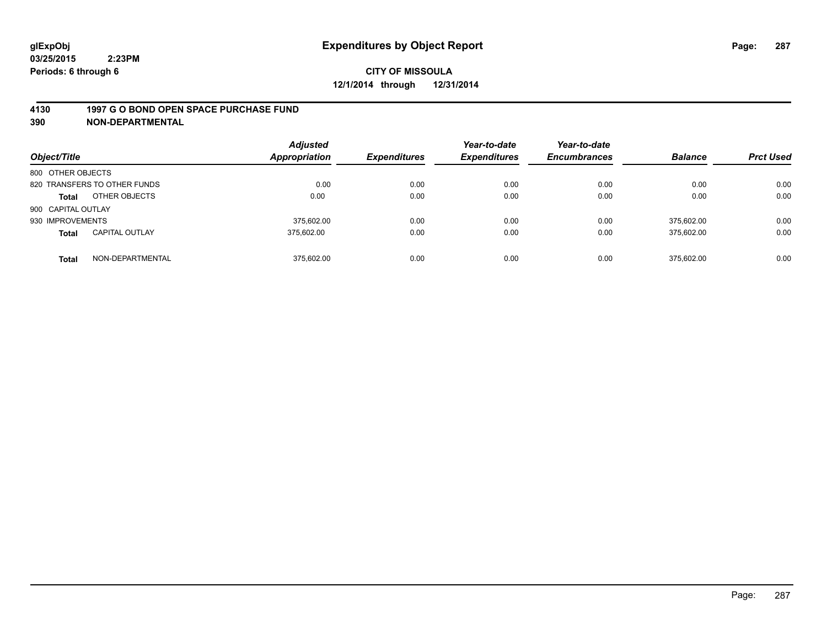#### **4130 1997 G O BOND OPEN SPACE PURCHASE FUND**

| Object/Title       |                              | <b>Adjusted</b><br><b>Appropriation</b> | <b>Expenditures</b> | Year-to-date<br><b>Expenditures</b> | Year-to-date<br><b>Encumbrances</b> | <b>Balance</b> | <b>Prct Used</b> |
|--------------------|------------------------------|-----------------------------------------|---------------------|-------------------------------------|-------------------------------------|----------------|------------------|
| 800 OTHER OBJECTS  |                              |                                         |                     |                                     |                                     |                |                  |
|                    | 820 TRANSFERS TO OTHER FUNDS | 0.00                                    | 0.00                | 0.00                                | 0.00                                | 0.00           | 0.00             |
| <b>Total</b>       | OTHER OBJECTS                | 0.00                                    | 0.00                | 0.00                                | 0.00                                | 0.00           | 0.00             |
| 900 CAPITAL OUTLAY |                              |                                         |                     |                                     |                                     |                |                  |
| 930 IMPROVEMENTS   |                              | 375.602.00                              | 0.00                | 0.00                                | 0.00                                | 375.602.00     | 0.00             |
| <b>Total</b>       | <b>CAPITAL OUTLAY</b>        | 375.602.00                              | 0.00                | 0.00                                | 0.00                                | 375,602.00     | 0.00             |
| <b>Total</b>       | NON-DEPARTMENTAL             | 375.602.00                              | 0.00                | 0.00                                | 0.00                                | 375.602.00     | 0.00             |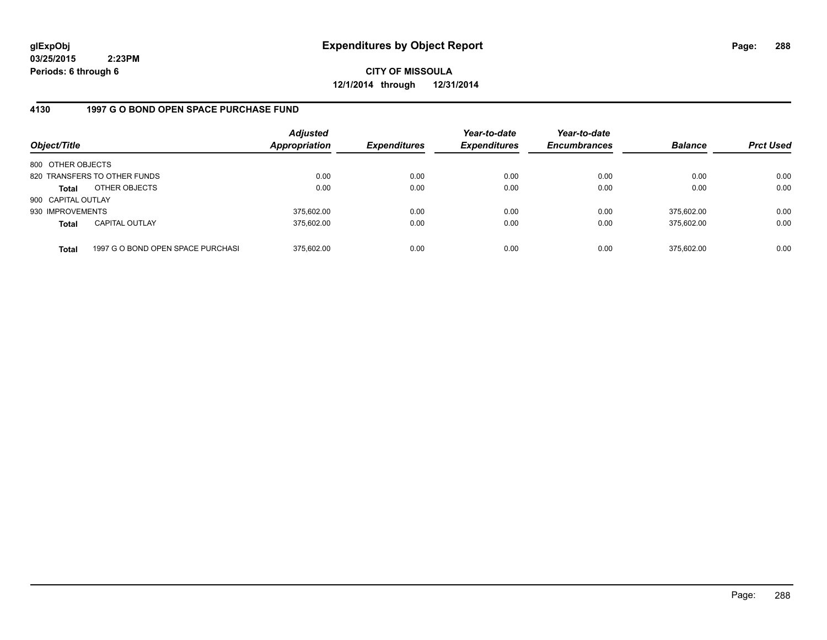**CITY OF MISSOULA 12/1/2014 through 12/31/2014**

## **4130 1997 G O BOND OPEN SPACE PURCHASE FUND**

| Object/Title       |                                   | <b>Adjusted</b><br><b>Appropriation</b> | <b>Expenditures</b> | Year-to-date<br><b>Expenditures</b> | Year-to-date<br><b>Encumbrances</b> | <b>Balance</b> | <b>Prct Used</b> |
|--------------------|-----------------------------------|-----------------------------------------|---------------------|-------------------------------------|-------------------------------------|----------------|------------------|
| 800 OTHER OBJECTS  |                                   |                                         |                     |                                     |                                     |                |                  |
|                    | 820 TRANSFERS TO OTHER FUNDS      | 0.00                                    | 0.00                | 0.00                                | 0.00                                | 0.00           | 0.00             |
| <b>Total</b>       | OTHER OBJECTS                     | 0.00                                    | 0.00                | 0.00                                | 0.00                                | 0.00           | 0.00             |
| 900 CAPITAL OUTLAY |                                   |                                         |                     |                                     |                                     |                |                  |
| 930 IMPROVEMENTS   |                                   | 375,602.00                              | 0.00                | 0.00                                | 0.00                                | 375.602.00     | 0.00             |
| <b>Total</b>       | <b>CAPITAL OUTLAY</b>             | 375,602.00                              | 0.00                | 0.00                                | 0.00                                | 375.602.00     | 0.00             |
| <b>Total</b>       | 1997 G O BOND OPEN SPACE PURCHASI | 375,602.00                              | 0.00                | 0.00                                | 0.00                                | 375,602.00     | 0.00             |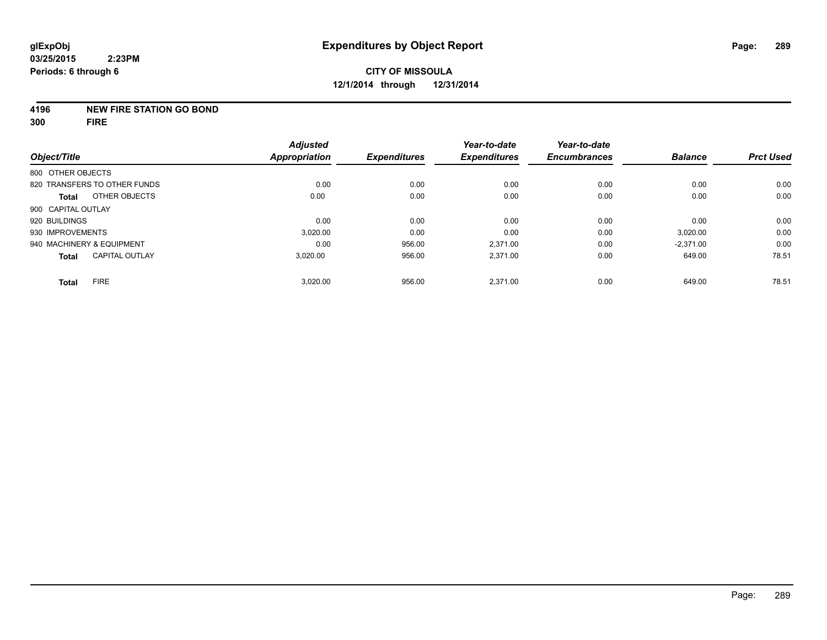#### **4196 NEW FIRE STATION GO BOND**

**300 FIRE**

|                                       | <b>Adjusted</b>      |                     | Year-to-date        | Year-to-date        |                |                  |
|---------------------------------------|----------------------|---------------------|---------------------|---------------------|----------------|------------------|
| Object/Title                          | <b>Appropriation</b> | <b>Expenditures</b> | <b>Expenditures</b> | <b>Encumbrances</b> | <b>Balance</b> | <b>Prct Used</b> |
| 800 OTHER OBJECTS                     |                      |                     |                     |                     |                |                  |
| 820 TRANSFERS TO OTHER FUNDS          | 0.00                 | 0.00                | 0.00                | 0.00                | 0.00           | 0.00             |
| OTHER OBJECTS<br><b>Total</b>         | 0.00                 | 0.00                | 0.00                | 0.00                | 0.00           | 0.00             |
| 900 CAPITAL OUTLAY                    |                      |                     |                     |                     |                |                  |
| 920 BUILDINGS                         | 0.00                 | 0.00                | 0.00                | 0.00                | 0.00           | 0.00             |
| 930 IMPROVEMENTS                      | 3,020.00             | 0.00                | 0.00                | 0.00                | 3,020.00       | 0.00             |
| 940 MACHINERY & EQUIPMENT             | 0.00                 | 956.00              | 2.371.00            | 0.00                | $-2.371.00$    | 0.00             |
| <b>CAPITAL OUTLAY</b><br><b>Total</b> | 3.020.00             | 956.00              | 2.371.00            | 0.00                | 649.00         | 78.51            |
| <b>FIRE</b><br><b>Total</b>           | 3,020.00             | 956.00              | 2.371.00            | 0.00                | 649.00         | 78.51            |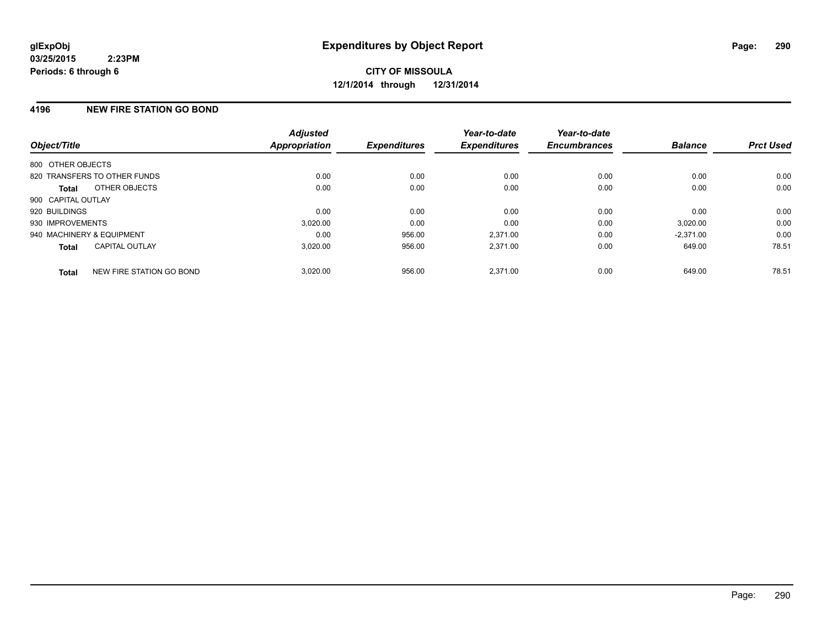## **4196 NEW FIRE STATION GO BOND**

| Object/Title              |                              | <b>Adjusted</b><br><b>Appropriation</b> | <b>Expenditures</b> | Year-to-date<br><b>Expenditures</b> | Year-to-date<br><b>Encumbrances</b> | <b>Balance</b> | <b>Prct Used</b> |
|---------------------------|------------------------------|-----------------------------------------|---------------------|-------------------------------------|-------------------------------------|----------------|------------------|
| 800 OTHER OBJECTS         |                              |                                         |                     |                                     |                                     |                |                  |
|                           | 820 TRANSFERS TO OTHER FUNDS | 0.00                                    | 0.00                | 0.00                                | 0.00                                | 0.00           | 0.00             |
| <b>Total</b>              | OTHER OBJECTS                | 0.00                                    | 0.00                | 0.00                                | 0.00                                | 0.00           | 0.00             |
| 900 CAPITAL OUTLAY        |                              |                                         |                     |                                     |                                     |                |                  |
| 920 BUILDINGS             |                              | 0.00                                    | 0.00                | 0.00                                | 0.00                                | 0.00           | 0.00             |
| 930 IMPROVEMENTS          |                              | 3,020.00                                | 0.00                | 0.00                                | 0.00                                | 3,020.00       | 0.00             |
| 940 MACHINERY & EQUIPMENT |                              | 0.00                                    | 956.00              | 2.371.00                            | 0.00                                | $-2.371.00$    | 0.00             |
| <b>Total</b>              | <b>CAPITAL OUTLAY</b>        | 3,020.00                                | 956.00              | 2,371.00                            | 0.00                                | 649.00         | 78.51            |
| <b>Total</b>              | NEW FIRE STATION GO BOND     | 3.020.00                                | 956.00              | 2.371.00                            | 0.00                                | 649.00         | 78.51            |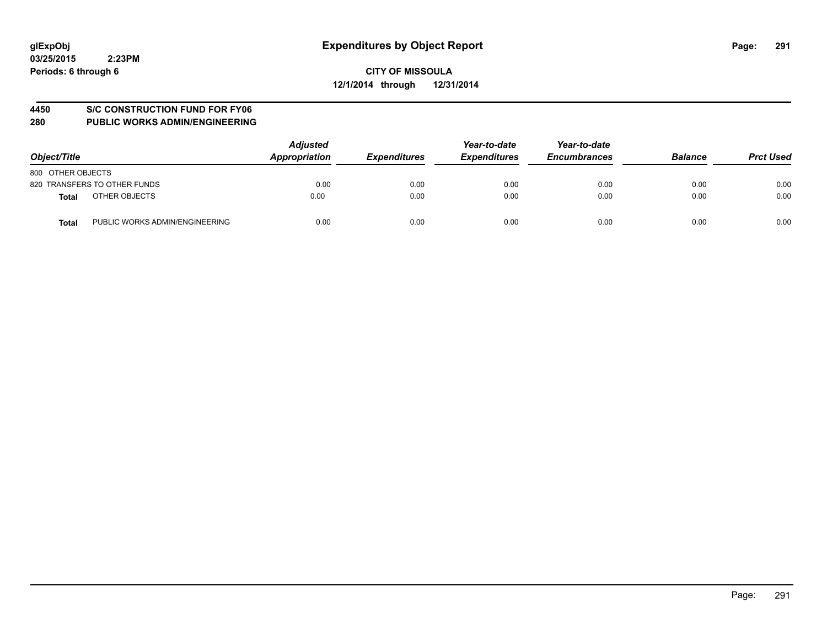#### **4450 S/C CONSTRUCTION FUND FOR FY06**

| Object/Title                                   | <b>Adjusted</b><br>Appropriation | <b>Expenditures</b> | Year-to-date<br><b>Expenditures</b> | Year-to-date<br><b>Encumbrances</b> | <b>Balance</b> | <b>Prct Used</b> |
|------------------------------------------------|----------------------------------|---------------------|-------------------------------------|-------------------------------------|----------------|------------------|
| 800 OTHER OBJECTS                              |                                  |                     |                                     |                                     |                |                  |
| 820 TRANSFERS TO OTHER FUNDS                   | 0.00                             | 0.00                | 0.00                                | 0.00                                | 0.00           | 0.00             |
| OTHER OBJECTS<br><b>Total</b>                  | 0.00                             | 0.00                | 0.00                                | 0.00                                | 0.00           | 0.00             |
| PUBLIC WORKS ADMIN/ENGINEERING<br><b>Total</b> | 0.00                             | 0.00                | 0.00                                | 0.00                                | 0.00           | 0.00             |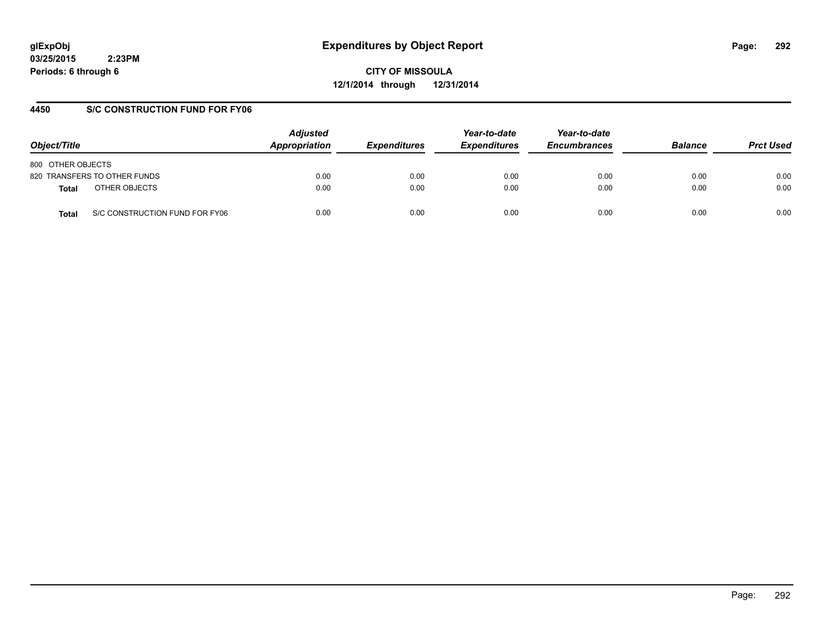# **glExpObj Expenditures by Object Report Page: 292**

**03/25/2015 2:23PM Periods: 6 through 6**

**CITY OF MISSOULA 12/1/2014 through 12/31/2014**

## **4450 S/C CONSTRUCTION FUND FOR FY06**

| Object/Title                            | <b>Adjusted</b><br>Appropriation | <b>Expenditures</b> | Year-to-date<br><b>Expenditures</b> | Year-to-date<br><b>Encumbrances</b> | <b>Balance</b> | <b>Prct Used</b> |
|-----------------------------------------|----------------------------------|---------------------|-------------------------------------|-------------------------------------|----------------|------------------|
| 800 OTHER OBJECTS                       |                                  |                     |                                     |                                     |                |                  |
| 820 TRANSFERS TO OTHER FUNDS            | 0.00                             | 0.00                | 0.00                                | 0.00                                | 0.00           | 0.00             |
| OTHER OBJECTS<br>Total                  | 0.00                             | 0.00                | 0.00                                | 0.00                                | 0.00           | 0.00             |
| S/C CONSTRUCTION FUND FOR FY06<br>Total | 0.00                             | 0.00                | 0.00                                | 0.00                                | 0.00           | 0.00             |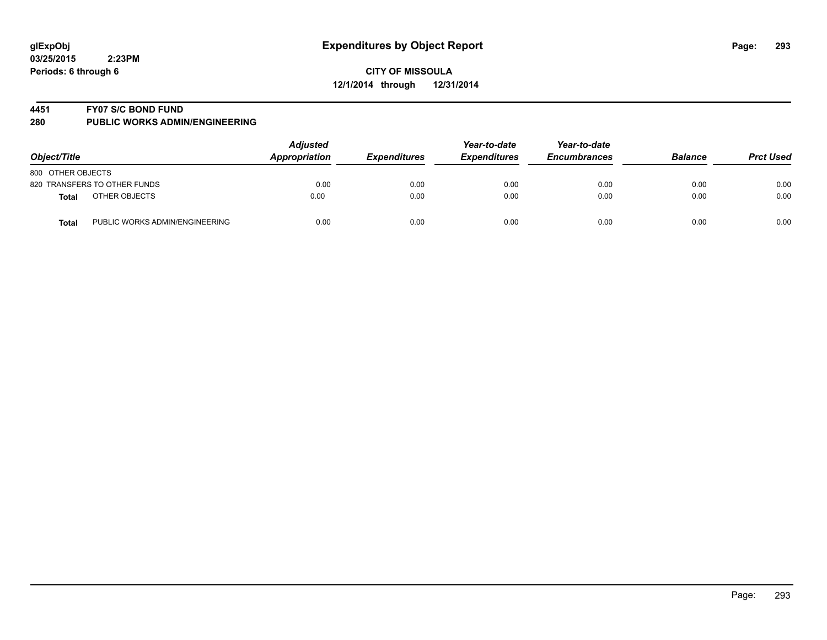#### **4451 FY07 S/C BOND FUND**

| Object/Title                            | <b>Adjusted</b><br>Appropriation | <b>Expenditures</b> | Year-to-date<br><b>Expenditures</b> | Year-to-date<br><b>Encumbrances</b> | <b>Balance</b> | <b>Prct Used</b> |
|-----------------------------------------|----------------------------------|---------------------|-------------------------------------|-------------------------------------|----------------|------------------|
| 800 OTHER OBJECTS                       |                                  |                     |                                     |                                     |                |                  |
| 820 TRANSFERS TO OTHER FUNDS            | 0.00                             | 0.00                | 0.00                                | 0.00                                | 0.00           | 0.00             |
| OTHER OBJECTS<br><b>Total</b>           | 0.00                             | 0.00                | 0.00                                | 0.00                                | 0.00           | 0.00             |
| PUBLIC WORKS ADMIN/ENGINEERING<br>Total | 0.00                             | 0.00                | 0.00                                | 0.00                                | 0.00           | 0.00             |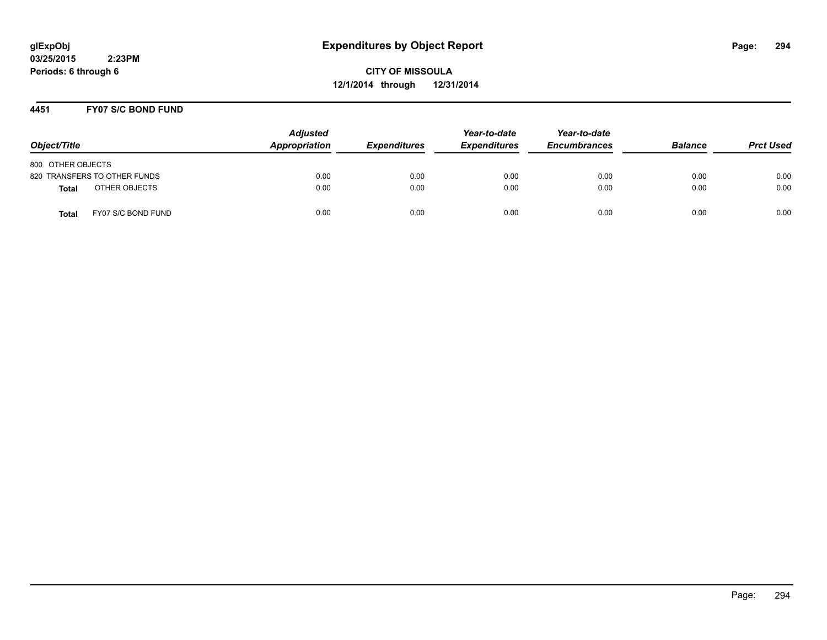**CITY OF MISSOULA 12/1/2014 through 12/31/2014**

#### **4451 FY07 S/C BOND FUND**

| Object/Title                       | <b>Adjusted</b><br>Appropriation | <b>Expenditures</b> | Year-to-date<br><b>Expenditures</b> | Year-to-date<br><b>Encumbrances</b> | <b>Balance</b> | <b>Prct Used</b> |
|------------------------------------|----------------------------------|---------------------|-------------------------------------|-------------------------------------|----------------|------------------|
| 800 OTHER OBJECTS                  |                                  |                     |                                     |                                     |                |                  |
| 820 TRANSFERS TO OTHER FUNDS       | 0.00                             | 0.00                | 0.00                                | 0.00                                | 0.00           | 0.00             |
| OTHER OBJECTS<br><b>Total</b>      | 0.00                             | 0.00                | 0.00                                | 0.00                                | 0.00           | 0.00             |
| FY07 S/C BOND FUND<br><b>Total</b> | 0.00                             | 0.00                | 0.00                                | 0.00                                | 0.00           | 0.00             |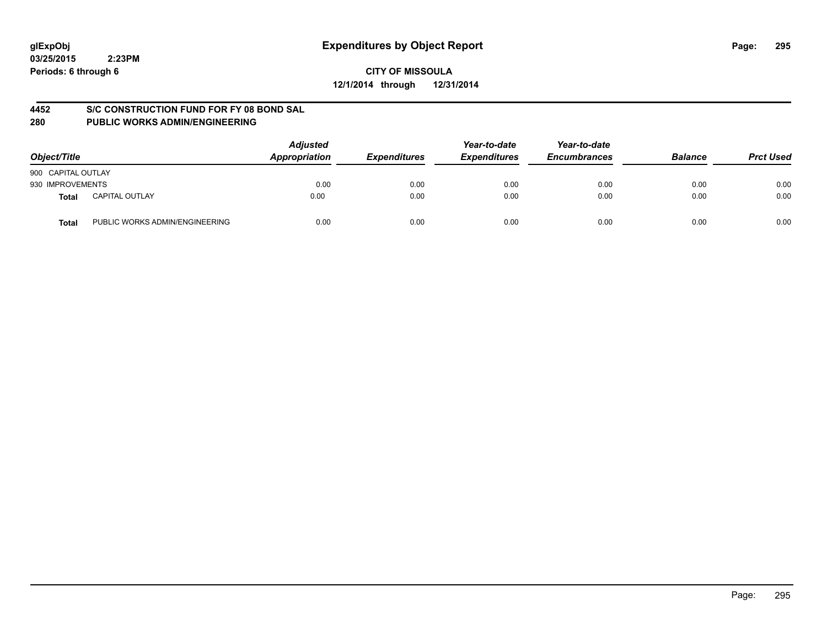#### **CITY OF MISSOULA 12/1/2014 through 12/31/2014**

#### **4452 S/C CONSTRUCTION FUND FOR FY 08 BOND SAL**

| Object/Title       |                                | <b>Adjusted</b><br>Appropriation | <b>Expenditures</b> | Year-to-date<br><b>Expenditures</b> | Year-to-date<br><b>Encumbrances</b> | <b>Balance</b> | <b>Prct Used</b> |
|--------------------|--------------------------------|----------------------------------|---------------------|-------------------------------------|-------------------------------------|----------------|------------------|
| 900 CAPITAL OUTLAY |                                |                                  |                     |                                     |                                     |                |                  |
| 930 IMPROVEMENTS   |                                | 0.00                             | 0.00                | 0.00                                | 0.00                                | 0.00           | 0.00             |
| Total              | <b>CAPITAL OUTLAY</b>          | 0.00                             | 0.00                | 0.00                                | 0.00                                | 0.00           | 0.00             |
| Total              | PUBLIC WORKS ADMIN/ENGINEERING | 0.00                             | 0.00                | 0.00                                | 0.00                                | 0.00           | 0.00             |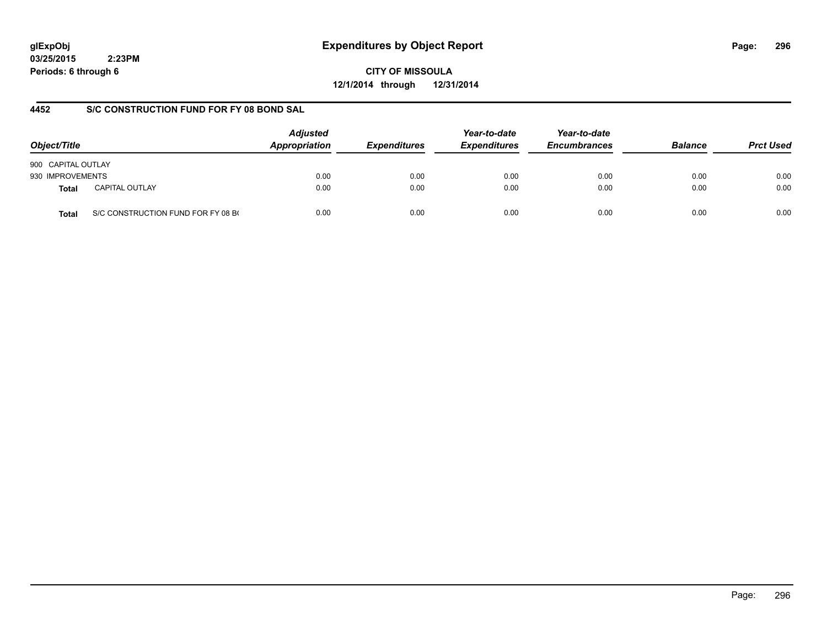# **glExpObj Expenditures by Object Report Page: 296**

**03/25/2015 2:23PM Periods: 6 through 6**

**CITY OF MISSOULA 12/1/2014 through 12/31/2014**

## **4452 S/C CONSTRUCTION FUND FOR FY 08 BOND SAL**

| Object/Title       |                                    | <b>Adjusted</b><br>Appropriation | <b>Expenditures</b> | Year-to-date<br><b>Expenditures</b> | Year-to-date<br><b>Encumbrances</b> | <b>Balance</b> | <b>Prct Used</b> |
|--------------------|------------------------------------|----------------------------------|---------------------|-------------------------------------|-------------------------------------|----------------|------------------|
| 900 CAPITAL OUTLAY |                                    |                                  |                     |                                     |                                     |                |                  |
| 930 IMPROVEMENTS   |                                    | 0.00                             | 0.00                | 0.00                                | 0.00                                | 0.00           | 0.00             |
| <b>Total</b>       | <b>CAPITAL OUTLAY</b>              | 0.00                             | 0.00                | 0.00                                | 0.00                                | 0.00           | 0.00             |
| <b>Total</b>       | S/C CONSTRUCTION FUND FOR FY 08 BO | 0.00                             | 0.00                | 0.00                                | 0.00                                | 0.00           | 0.00             |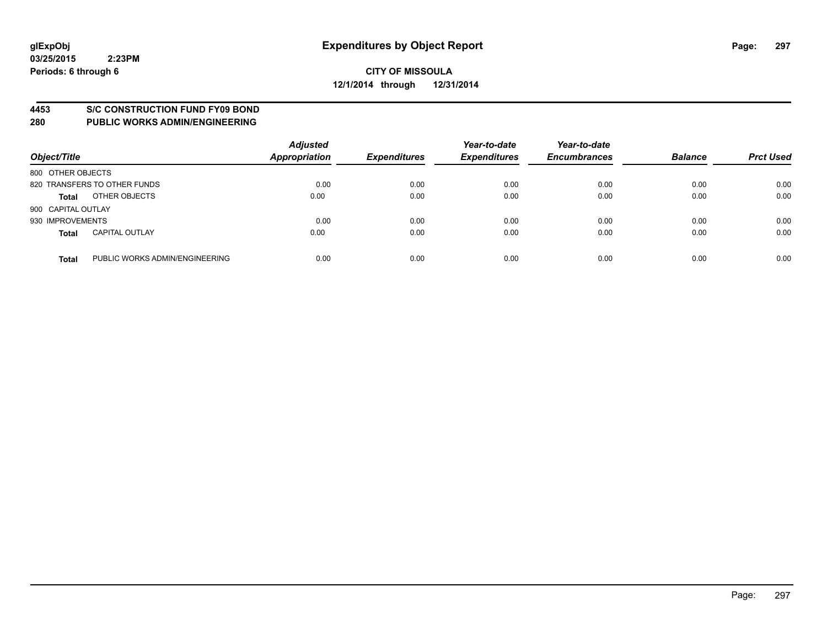#### **4453 S/C CONSTRUCTION FUND FY09 BOND**

| Object/Title       |                                | <b>Adjusted</b><br><b>Appropriation</b> | <b>Expenditures</b> | Year-to-date<br><b>Expenditures</b> | Year-to-date<br><b>Encumbrances</b> | <b>Balance</b> | <b>Prct Used</b> |
|--------------------|--------------------------------|-----------------------------------------|---------------------|-------------------------------------|-------------------------------------|----------------|------------------|
| 800 OTHER OBJECTS  |                                |                                         |                     |                                     |                                     |                |                  |
|                    | 820 TRANSFERS TO OTHER FUNDS   | 0.00                                    | 0.00                | 0.00                                | 0.00                                | 0.00           | 0.00             |
| <b>Total</b>       | OTHER OBJECTS                  | 0.00                                    | 0.00                | 0.00                                | 0.00                                | 0.00           | 0.00             |
| 900 CAPITAL OUTLAY |                                |                                         |                     |                                     |                                     |                |                  |
| 930 IMPROVEMENTS   |                                | 0.00                                    | 0.00                | 0.00                                | 0.00                                | 0.00           | 0.00             |
| <b>Total</b>       | <b>CAPITAL OUTLAY</b>          | 0.00                                    | 0.00                | 0.00                                | 0.00                                | 0.00           | 0.00             |
| <b>Total</b>       | PUBLIC WORKS ADMIN/ENGINEERING | 0.00                                    | 0.00                | 0.00                                | 0.00                                | 0.00           | 0.00             |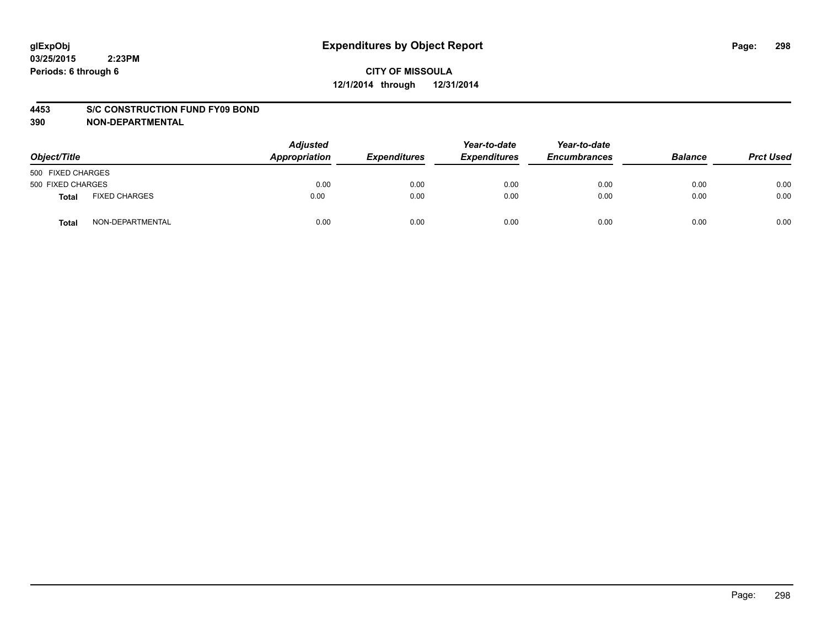#### **4453 S/C CONSTRUCTION FUND FY09 BOND**

| Object/Title      |                      | <b>Adjusted</b><br>Appropriation | <b>Expenditures</b> | Year-to-date<br><b>Expenditures</b> | Year-to-date<br><b>Encumbrances</b> | <b>Balance</b> | <b>Prct Used</b> |
|-------------------|----------------------|----------------------------------|---------------------|-------------------------------------|-------------------------------------|----------------|------------------|
| 500 FIXED CHARGES |                      |                                  |                     |                                     |                                     |                |                  |
| 500 FIXED CHARGES |                      | 0.00                             | 0.00                | 0.00                                | 0.00                                | 0.00           | 0.00             |
| <b>Total</b>      | <b>FIXED CHARGES</b> | 0.00                             | 0.00                | 0.00                                | 0.00                                | 0.00           | 0.00             |
| Total             | NON-DEPARTMENTAL     | 0.00                             | 0.00                | 0.00                                | 0.00                                | 0.00           | 0.00             |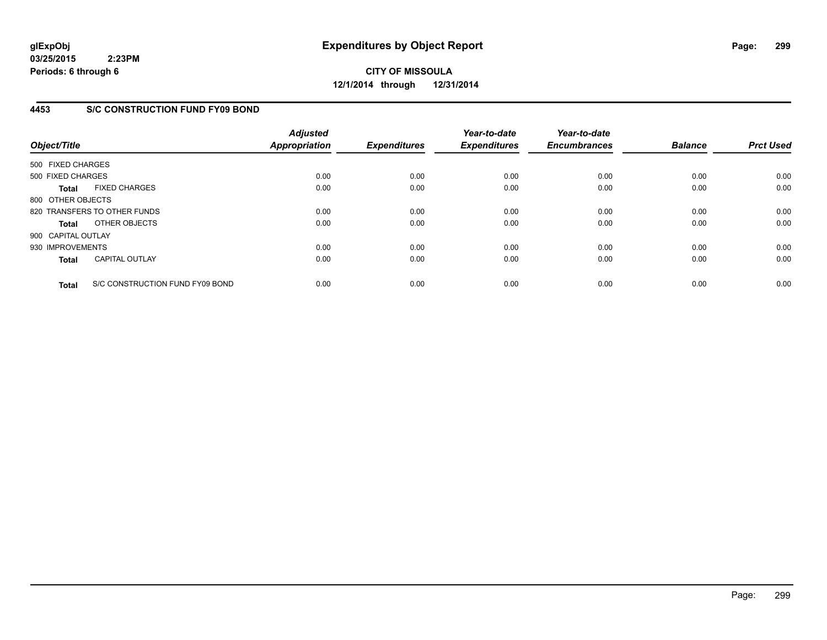**CITY OF MISSOULA 12/1/2014 through 12/31/2014**

## **4453 S/C CONSTRUCTION FUND FY09 BOND**

| Object/Title       |                                 | <b>Adjusted</b><br><b>Appropriation</b> | <b>Expenditures</b> | Year-to-date<br><b>Expenditures</b> | Year-to-date<br><b>Encumbrances</b> | <b>Balance</b> | <b>Prct Used</b> |
|--------------------|---------------------------------|-----------------------------------------|---------------------|-------------------------------------|-------------------------------------|----------------|------------------|
| 500 FIXED CHARGES  |                                 |                                         |                     |                                     |                                     |                |                  |
| 500 FIXED CHARGES  |                                 | 0.00                                    | 0.00                | 0.00                                | 0.00                                | 0.00           | 0.00             |
| <b>Total</b>       | <b>FIXED CHARGES</b>            | 0.00                                    | 0.00                | 0.00                                | 0.00                                | 0.00           | 0.00             |
| 800 OTHER OBJECTS  |                                 |                                         |                     |                                     |                                     |                |                  |
|                    | 820 TRANSFERS TO OTHER FUNDS    | 0.00                                    | 0.00                | 0.00                                | 0.00                                | 0.00           | 0.00             |
| <b>Total</b>       | OTHER OBJECTS                   | 0.00                                    | 0.00                | 0.00                                | 0.00                                | 0.00           | 0.00             |
| 900 CAPITAL OUTLAY |                                 |                                         |                     |                                     |                                     |                |                  |
| 930 IMPROVEMENTS   |                                 | 0.00                                    | 0.00                | 0.00                                | 0.00                                | 0.00           | 0.00             |
| <b>Total</b>       | <b>CAPITAL OUTLAY</b>           | 0.00                                    | 0.00                | 0.00                                | 0.00                                | 0.00           | 0.00             |
| <b>Total</b>       | S/C CONSTRUCTION FUND FY09 BOND | 0.00                                    | 0.00                | 0.00                                | 0.00                                | 0.00           | 0.00             |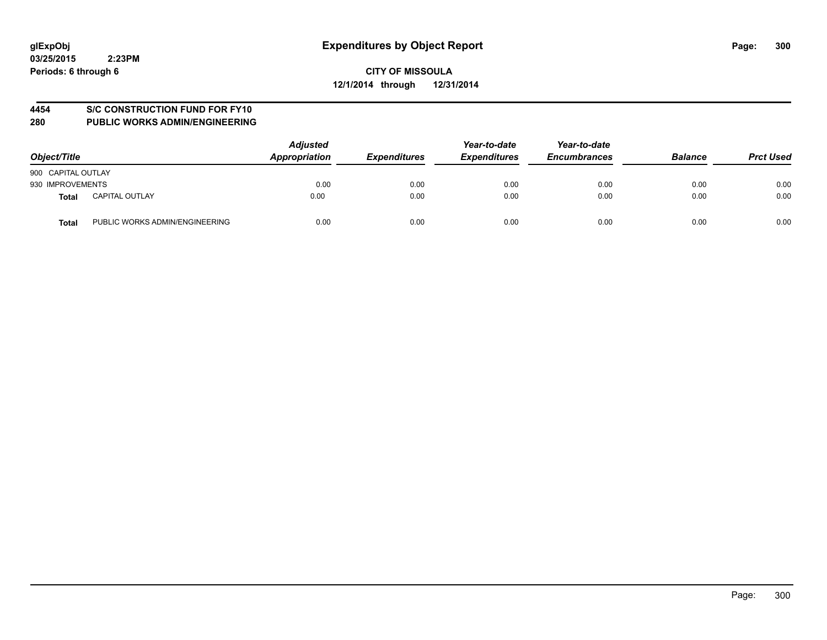## **4454 S/C CONSTRUCTION FUND FOR FY10**

| Object/Title       |                                | <b>Adjusted</b><br>Appropriation | <b>Expenditures</b> | Year-to-date<br><b>Expenditures</b> | Year-to-date<br><b>Encumbrances</b> | <b>Balance</b> | <b>Prct Used</b> |
|--------------------|--------------------------------|----------------------------------|---------------------|-------------------------------------|-------------------------------------|----------------|------------------|
| 900 CAPITAL OUTLAY |                                |                                  |                     |                                     |                                     |                |                  |
| 930 IMPROVEMENTS   |                                | 0.00                             | 0.00                | 0.00                                | 0.00                                | 0.00           | 0.00             |
| Total              | <b>CAPITAL OUTLAY</b>          | 0.00                             | 0.00                | 0.00                                | 0.00                                | 0.00           | 0.00             |
| <b>Total</b>       | PUBLIC WORKS ADMIN/ENGINEERING | 0.00                             | 0.00                | 0.00                                | 0.00                                | 0.00           | 0.00             |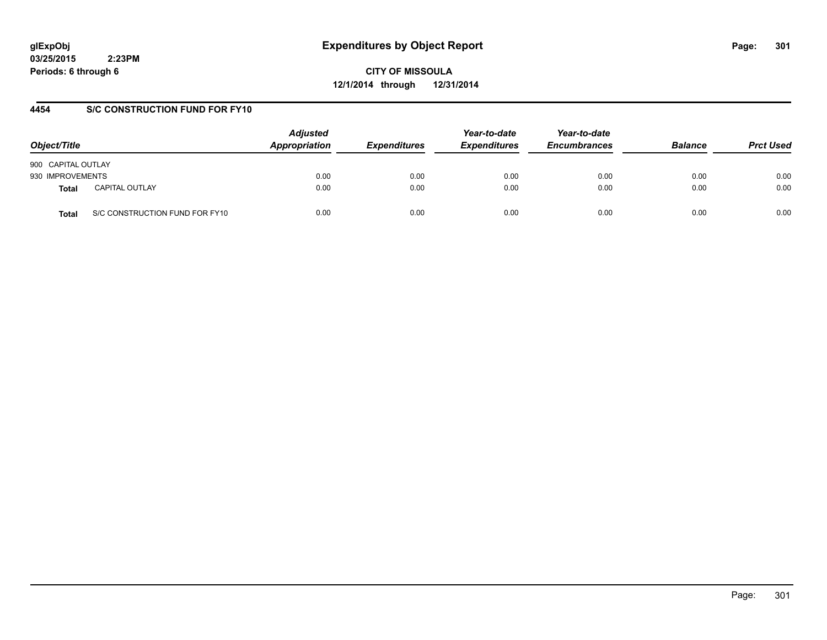# **glExpObj Expenditures by Object Report Page: 301**

**03/25/2015 2:23PM Periods: 6 through 6**

**CITY OF MISSOULA 12/1/2014 through 12/31/2014**

## **4454 S/C CONSTRUCTION FUND FOR FY10**

| Object/Title       |                                | <b>Adjusted</b><br>Appropriation | <b>Expenditures</b> | Year-to-date<br><b>Expenditures</b> | Year-to-date<br><b>Encumbrances</b> | <b>Balance</b> | <b>Prct Used</b> |
|--------------------|--------------------------------|----------------------------------|---------------------|-------------------------------------|-------------------------------------|----------------|------------------|
| 900 CAPITAL OUTLAY |                                |                                  |                     |                                     |                                     |                |                  |
| 930 IMPROVEMENTS   |                                | 0.00                             | 0.00                | 0.00                                | 0.00                                | 0.00           | 0.00             |
| Total              | <b>CAPITAL OUTLAY</b>          | 0.00                             | 0.00                | 0.00                                | 0.00                                | 0.00           | 0.00             |
| Total              | S/C CONSTRUCTION FUND FOR FY10 | 0.00                             | 0.00                | 0.00                                | 0.00                                | 0.00           | 0.00             |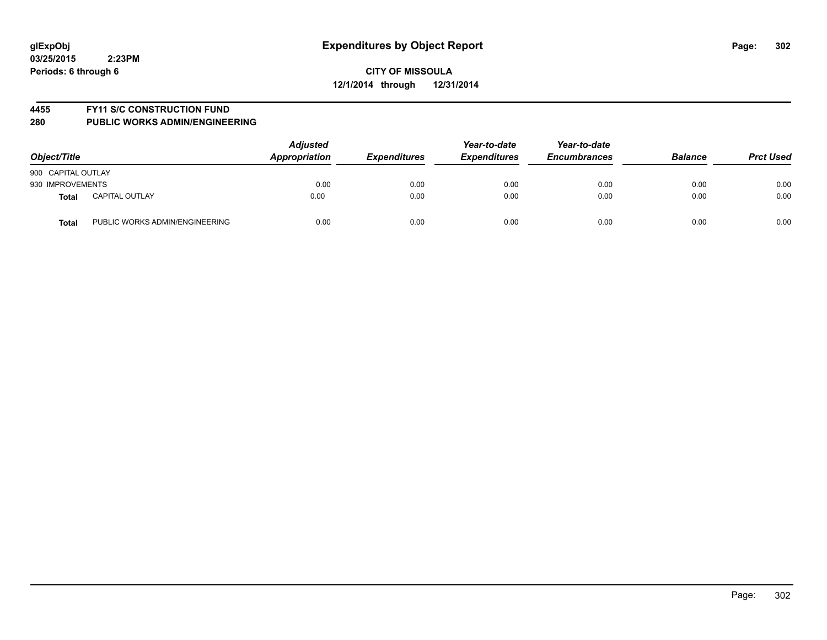#### **4455 FY11 S/C CONSTRUCTION FUND**

| Object/Title                                   | <b>Adjusted</b><br>Appropriation | <b>Expenditures</b> | Year-to-date<br><b>Expenditures</b> | Year-to-date<br><b>Encumbrances</b> | <b>Balance</b> | <b>Prct Used</b> |
|------------------------------------------------|----------------------------------|---------------------|-------------------------------------|-------------------------------------|----------------|------------------|
| 900 CAPITAL OUTLAY                             |                                  |                     |                                     |                                     |                |                  |
| 930 IMPROVEMENTS                               | 0.00                             | 0.00                | 0.00                                | 0.00                                | 0.00           | 0.00             |
| <b>CAPITAL OUTLAY</b><br>Total                 | 0.00                             | 0.00                | 0.00                                | 0.00                                | 0.00           | 0.00             |
| PUBLIC WORKS ADMIN/ENGINEERING<br><b>Total</b> | 0.00                             | 0.00                | 0.00                                | 0.00                                | 0.00           | 0.00             |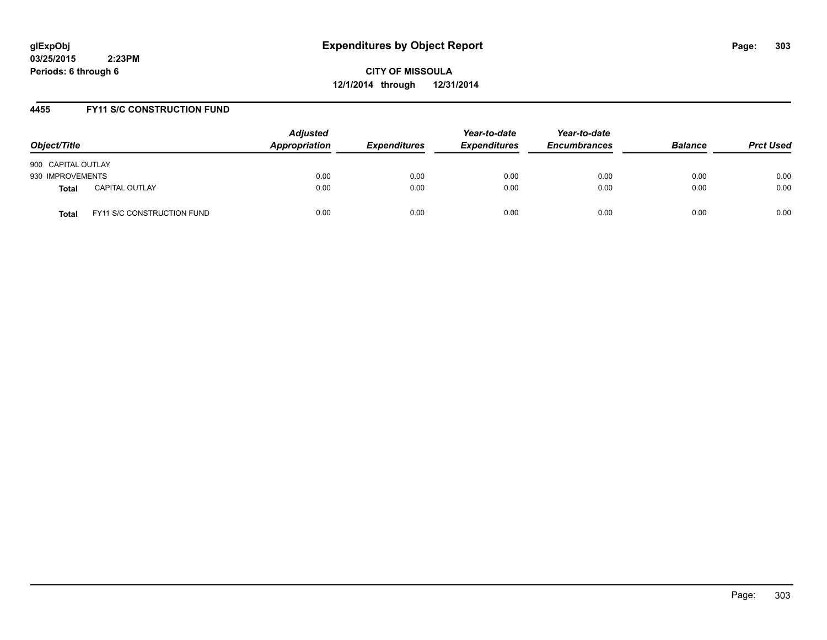**CITY OF MISSOULA 12/1/2014 through 12/31/2014**

#### **4455 FY11 S/C CONSTRUCTION FUND**

| Object/Title                          | <b>Adjusted</b><br>Appropriation | <b>Expenditures</b> | Year-to-date<br><b>Expenditures</b> | Year-to-date<br><b>Encumbrances</b> | <b>Balance</b> | <b>Prct Used</b> |
|---------------------------------------|----------------------------------|---------------------|-------------------------------------|-------------------------------------|----------------|------------------|
| 900 CAPITAL OUTLAY                    |                                  |                     |                                     |                                     |                |                  |
| 930 IMPROVEMENTS                      | 0.00                             | 0.00                | 0.00                                | 0.00                                | 0.00           | 0.00             |
| <b>CAPITAL OUTLAY</b><br><b>Total</b> | 0.00                             | 0.00                | 0.00                                | 0.00                                | 0.00           | 0.00             |
| FY11 S/C CONSTRUCTION FUND<br>Total   | 0.00                             | 0.00                | 0.00                                | 0.00                                | 0.00           | 0.00             |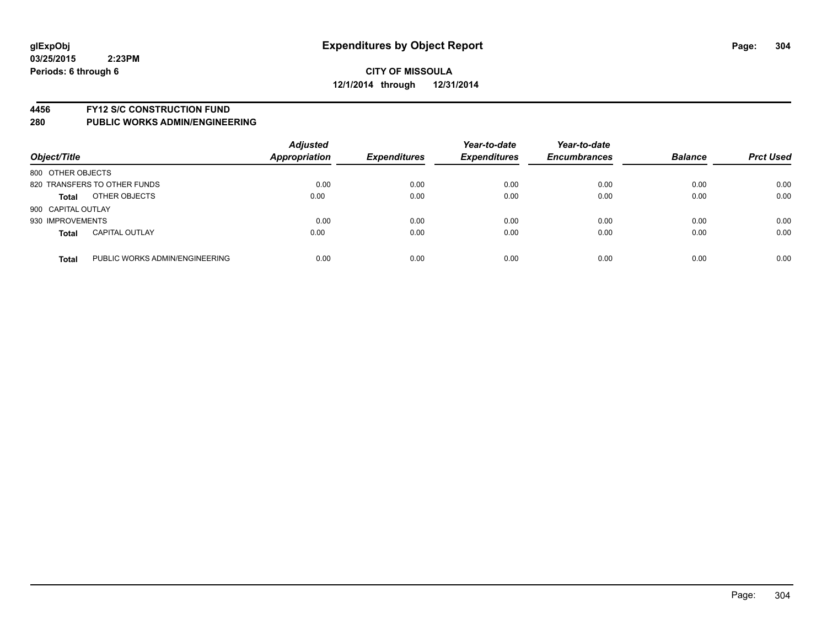#### **4456 FY12 S/C CONSTRUCTION FUND**

| Object/Title       |                                | <b>Adjusted</b><br><b>Appropriation</b> | <b>Expenditures</b> | Year-to-date<br><b>Expenditures</b> | Year-to-date<br><b>Encumbrances</b> | <b>Balance</b> | <b>Prct Used</b> |
|--------------------|--------------------------------|-----------------------------------------|---------------------|-------------------------------------|-------------------------------------|----------------|------------------|
| 800 OTHER OBJECTS  |                                |                                         |                     |                                     |                                     |                |                  |
|                    | 820 TRANSFERS TO OTHER FUNDS   | 0.00                                    | 0.00                | 0.00                                | 0.00                                | 0.00           | 0.00             |
| <b>Total</b>       | OTHER OBJECTS                  | 0.00                                    | 0.00                | 0.00                                | 0.00                                | 0.00           | 0.00             |
| 900 CAPITAL OUTLAY |                                |                                         |                     |                                     |                                     |                |                  |
| 930 IMPROVEMENTS   |                                | 0.00                                    | 0.00                | 0.00                                | 0.00                                | 0.00           | 0.00             |
| <b>Total</b>       | <b>CAPITAL OUTLAY</b>          | 0.00                                    | 0.00                | 0.00                                | 0.00                                | 0.00           | 0.00             |
| <b>Total</b>       | PUBLIC WORKS ADMIN/ENGINEERING | 0.00                                    | 0.00                | 0.00                                | 0.00                                | 0.00           | 0.00             |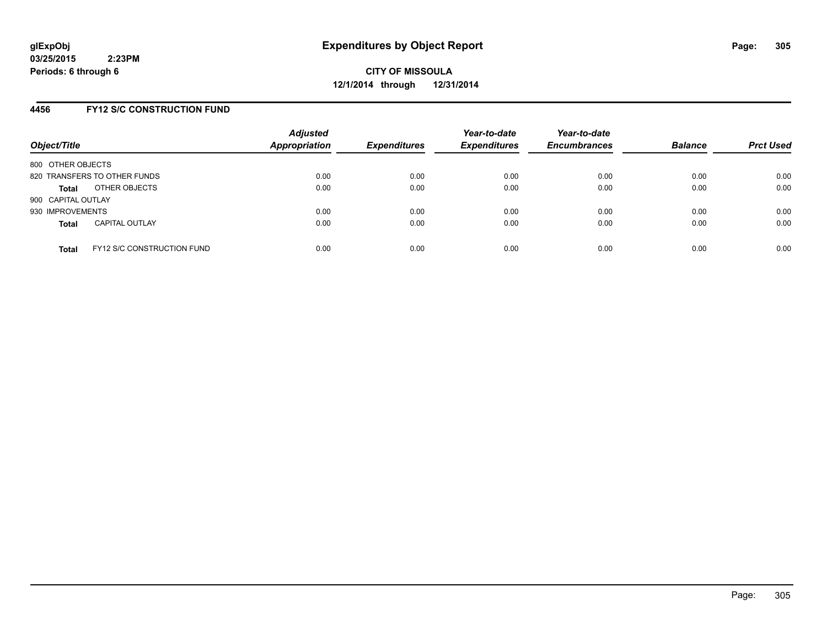#### **4456 FY12 S/C CONSTRUCTION FUND**

| Object/Title       |                                   | <b>Adjusted</b><br><b>Appropriation</b> | <b>Expenditures</b> | Year-to-date<br><b>Expenditures</b> | Year-to-date<br><b>Encumbrances</b> | <b>Balance</b> | <b>Prct Used</b> |
|--------------------|-----------------------------------|-----------------------------------------|---------------------|-------------------------------------|-------------------------------------|----------------|------------------|
| 800 OTHER OBJECTS  |                                   |                                         |                     |                                     |                                     |                |                  |
|                    | 820 TRANSFERS TO OTHER FUNDS      | 0.00                                    | 0.00                | 0.00                                | 0.00                                | 0.00           | 0.00             |
| Total              | OTHER OBJECTS                     | 0.00                                    | 0.00                | 0.00                                | 0.00                                | 0.00           | 0.00             |
| 900 CAPITAL OUTLAY |                                   |                                         |                     |                                     |                                     |                |                  |
| 930 IMPROVEMENTS   |                                   | 0.00                                    | 0.00                | 0.00                                | 0.00                                | 0.00           | 0.00             |
| <b>Total</b>       | <b>CAPITAL OUTLAY</b>             | 0.00                                    | 0.00                | 0.00                                | 0.00                                | 0.00           | 0.00             |
| <b>Total</b>       | <b>FY12 S/C CONSTRUCTION FUND</b> | 0.00                                    | 0.00                | 0.00                                | 0.00                                | 0.00           | 0.00             |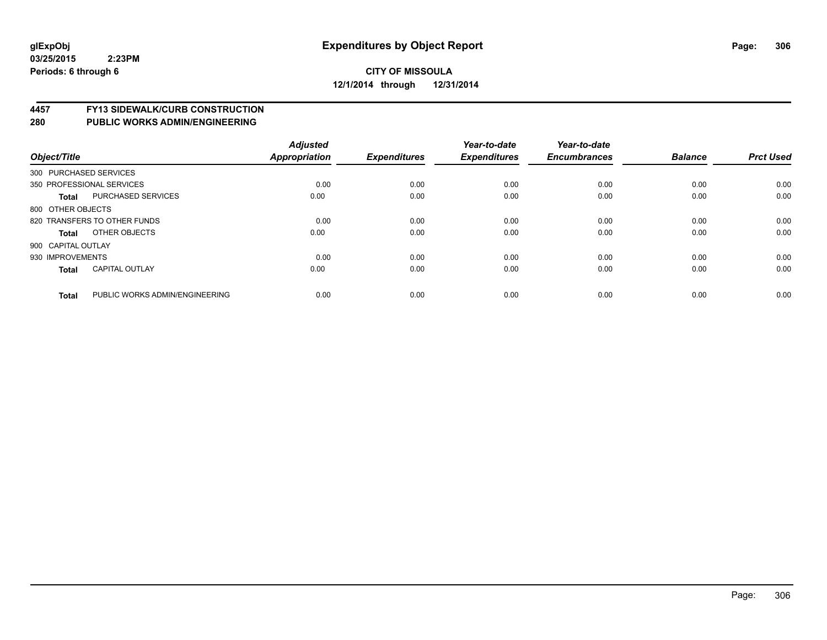# **4457 FY13 SIDEWALK/CURB CONSTRUCTION**

| Object/Title       |                                | <b>Adjusted</b><br><b>Appropriation</b> | <b>Expenditures</b> | Year-to-date<br><b>Expenditures</b> | Year-to-date<br><b>Encumbrances</b> | <b>Balance</b> | <b>Prct Used</b> |
|--------------------|--------------------------------|-----------------------------------------|---------------------|-------------------------------------|-------------------------------------|----------------|------------------|
|                    | 300 PURCHASED SERVICES         |                                         |                     |                                     |                                     |                |                  |
|                    | 350 PROFESSIONAL SERVICES      | 0.00                                    | 0.00                | 0.00                                | 0.00                                | 0.00           | 0.00             |
| Total              | <b>PURCHASED SERVICES</b>      | 0.00                                    | 0.00                | 0.00                                | 0.00                                | 0.00           | 0.00             |
| 800 OTHER OBJECTS  |                                |                                         |                     |                                     |                                     |                |                  |
|                    | 820 TRANSFERS TO OTHER FUNDS   | 0.00                                    | 0.00                | 0.00                                | 0.00                                | 0.00           | 0.00             |
| Total              | OTHER OBJECTS                  | 0.00                                    | 0.00                | 0.00                                | 0.00                                | 0.00           | 0.00             |
| 900 CAPITAL OUTLAY |                                |                                         |                     |                                     |                                     |                |                  |
| 930 IMPROVEMENTS   |                                | 0.00                                    | 0.00                | 0.00                                | 0.00                                | 0.00           | 0.00             |
| <b>Total</b>       | <b>CAPITAL OUTLAY</b>          | 0.00                                    | 0.00                | 0.00                                | 0.00                                | 0.00           | 0.00             |
| <b>Total</b>       | PUBLIC WORKS ADMIN/ENGINEERING | 0.00                                    | 0.00                | 0.00                                | 0.00                                | 0.00           | 0.00             |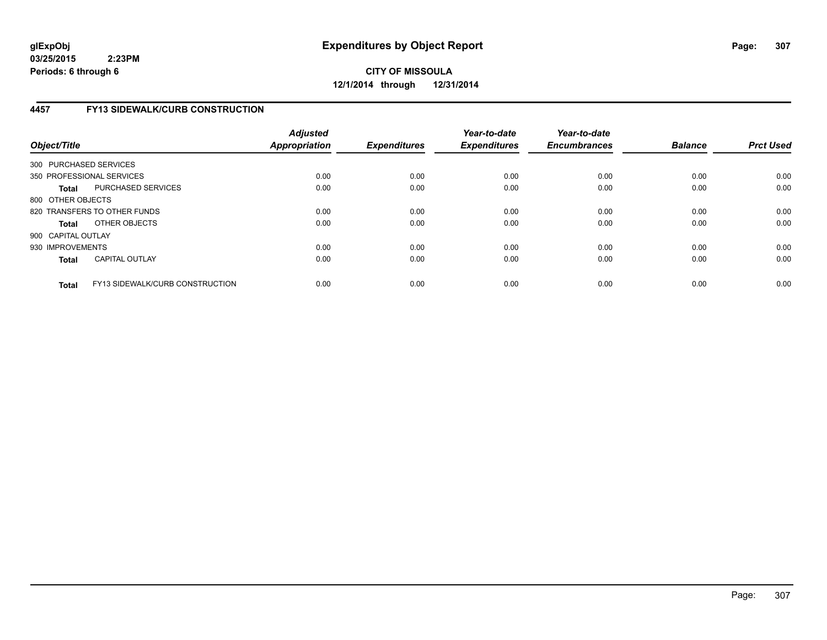## **CITY OF MISSOULA 12/1/2014 through 12/31/2014**

## **4457 FY13 SIDEWALK/CURB CONSTRUCTION**

| Object/Title           |                                        | <b>Adjusted</b><br><b>Appropriation</b> | <b>Expenditures</b> | Year-to-date<br><b>Expenditures</b> | Year-to-date<br><b>Encumbrances</b> | <b>Balance</b> | <b>Prct Used</b> |
|------------------------|----------------------------------------|-----------------------------------------|---------------------|-------------------------------------|-------------------------------------|----------------|------------------|
| 300 PURCHASED SERVICES |                                        |                                         |                     |                                     |                                     |                |                  |
|                        | 350 PROFESSIONAL SERVICES              | 0.00                                    | 0.00                | 0.00                                | 0.00                                | 0.00           | 0.00             |
| <b>Total</b>           | PURCHASED SERVICES                     | 0.00                                    | 0.00                | 0.00                                | 0.00                                | 0.00           | 0.00             |
| 800 OTHER OBJECTS      |                                        |                                         |                     |                                     |                                     |                |                  |
|                        | 820 TRANSFERS TO OTHER FUNDS           | 0.00                                    | 0.00                | 0.00                                | 0.00                                | 0.00           | 0.00             |
| <b>Total</b>           | OTHER OBJECTS                          | 0.00                                    | 0.00                | 0.00                                | 0.00                                | 0.00           | 0.00             |
| 900 CAPITAL OUTLAY     |                                        |                                         |                     |                                     |                                     |                |                  |
| 930 IMPROVEMENTS       |                                        | 0.00                                    | 0.00                | 0.00                                | 0.00                                | 0.00           | 0.00             |
| <b>Total</b>           | <b>CAPITAL OUTLAY</b>                  | 0.00                                    | 0.00                | 0.00                                | 0.00                                | 0.00           | 0.00             |
| <b>Total</b>           | <b>FY13 SIDEWALK/CURB CONSTRUCTION</b> | 0.00                                    | 0.00                | 0.00                                | 0.00                                | 0.00           | 0.00             |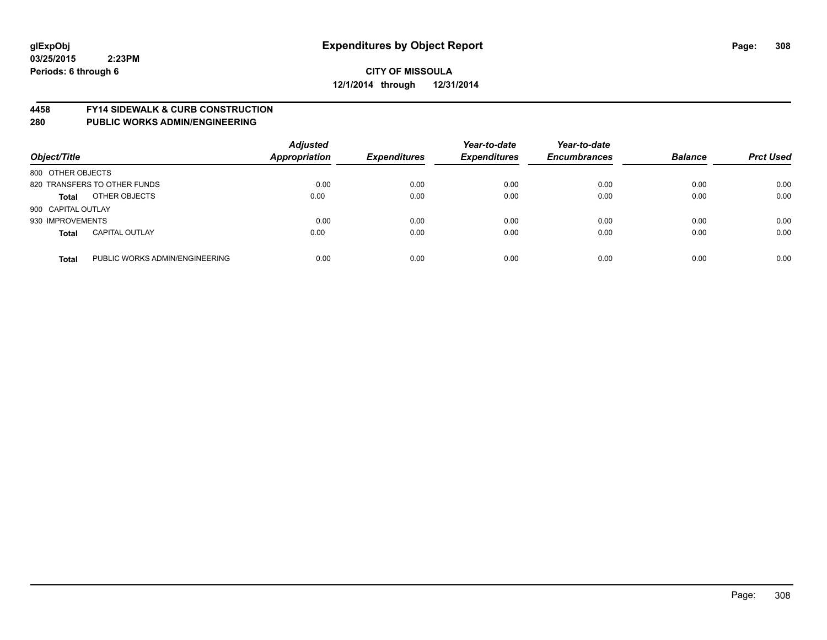#### **4458 FY14 SIDEWALK & CURB CONSTRUCTION**

| Object/Title       |                                | <b>Adjusted</b><br><b>Appropriation</b> | <b>Expenditures</b> | Year-to-date<br><b>Expenditures</b> | Year-to-date<br><b>Encumbrances</b> | <b>Balance</b> | <b>Prct Used</b> |
|--------------------|--------------------------------|-----------------------------------------|---------------------|-------------------------------------|-------------------------------------|----------------|------------------|
| 800 OTHER OBJECTS  |                                |                                         |                     |                                     |                                     |                |                  |
|                    | 820 TRANSFERS TO OTHER FUNDS   | 0.00                                    | 0.00                | 0.00                                | 0.00                                | 0.00           | 0.00             |
| <b>Total</b>       | OTHER OBJECTS                  | 0.00                                    | 0.00                | 0.00                                | 0.00                                | 0.00           | 0.00             |
| 900 CAPITAL OUTLAY |                                |                                         |                     |                                     |                                     |                |                  |
| 930 IMPROVEMENTS   |                                | 0.00                                    | 0.00                | 0.00                                | 0.00                                | 0.00           | 0.00             |
| <b>Total</b>       | <b>CAPITAL OUTLAY</b>          | 0.00                                    | 0.00                | 0.00                                | 0.00                                | 0.00           | 0.00             |
| <b>Total</b>       | PUBLIC WORKS ADMIN/ENGINEERING | 0.00                                    | 0.00                | 0.00                                | 0.00                                | 0.00           | 0.00             |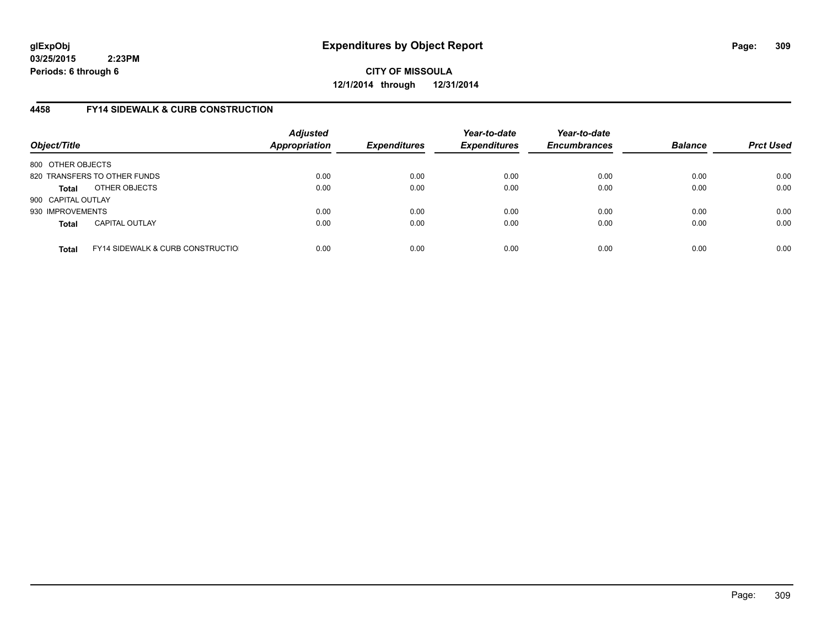**CITY OF MISSOULA 12/1/2014 through 12/31/2014**

## **4458 FY14 SIDEWALK & CURB CONSTRUCTION**

| Object/Title       |                                              | <b>Adjusted</b><br><b>Appropriation</b> | <b>Expenditures</b> | Year-to-date<br><b>Expenditures</b> | Year-to-date<br><b>Encumbrances</b> | <b>Balance</b> | <b>Prct Used</b> |
|--------------------|----------------------------------------------|-----------------------------------------|---------------------|-------------------------------------|-------------------------------------|----------------|------------------|
| 800 OTHER OBJECTS  |                                              |                                         |                     |                                     |                                     |                |                  |
|                    | 820 TRANSFERS TO OTHER FUNDS                 | 0.00                                    | 0.00                | 0.00                                | 0.00                                | 0.00           | 0.00             |
| Total              | OTHER OBJECTS                                | 0.00                                    | 0.00                | 0.00                                | 0.00                                | 0.00           | 0.00             |
| 900 CAPITAL OUTLAY |                                              |                                         |                     |                                     |                                     |                |                  |
| 930 IMPROVEMENTS   |                                              | 0.00                                    | 0.00                | 0.00                                | 0.00                                | 0.00           | 0.00             |
| <b>Total</b>       | <b>CAPITAL OUTLAY</b>                        | 0.00                                    | 0.00                | 0.00                                | 0.00                                | 0.00           | 0.00             |
| <b>Total</b>       | <b>FY14 SIDEWALK &amp; CURB CONSTRUCTIOL</b> | 0.00                                    | 0.00                | 0.00                                | 0.00                                | 0.00           | 0.00             |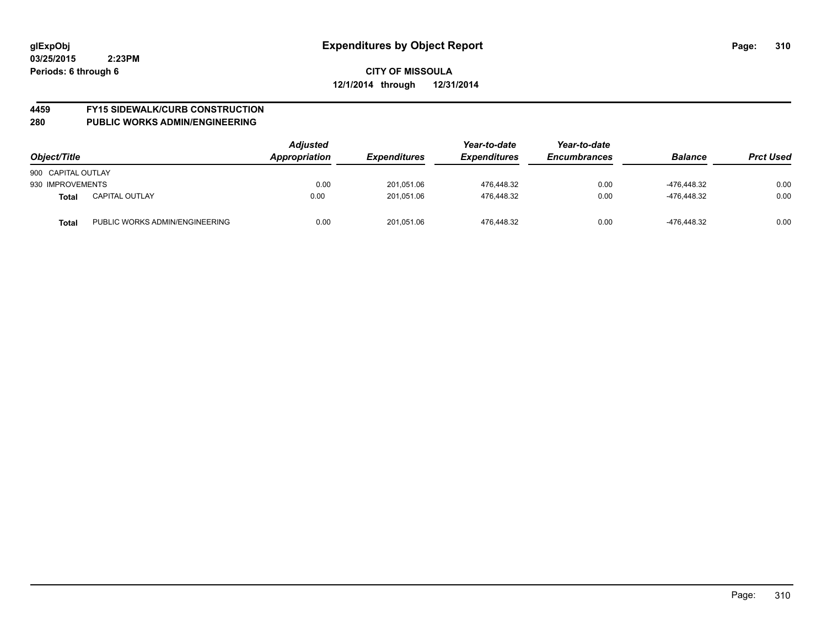# **4459 FY15 SIDEWALK/CURB CONSTRUCTION**

| Object/Title       |                                | <b>Adjusted</b><br>Appropriation | <b>Expenditures</b> | Year-to-date<br><b>Expenditures</b> | Year-to-date<br><b>Encumbrances</b> | <b>Balance</b> | <b>Prct Used</b> |
|--------------------|--------------------------------|----------------------------------|---------------------|-------------------------------------|-------------------------------------|----------------|------------------|
| 900 CAPITAL OUTLAY |                                |                                  |                     |                                     |                                     |                |                  |
| 930 IMPROVEMENTS   |                                | 0.00                             | 201.051.06          | 476.448.32                          | 0.00                                | -476.448.32    | 0.00             |
| <b>Total</b>       | <b>CAPITAL OUTLAY</b>          | 0.00                             | 201.051.06          | 476.448.32                          | 0.00                                | -476.448.32    | 0.00             |
| <b>Total</b>       | PUBLIC WORKS ADMIN/ENGINEERING | 0.00                             | 201,051.06          | 476.448.32                          | 0.00                                | -476.448.32    | 0.00             |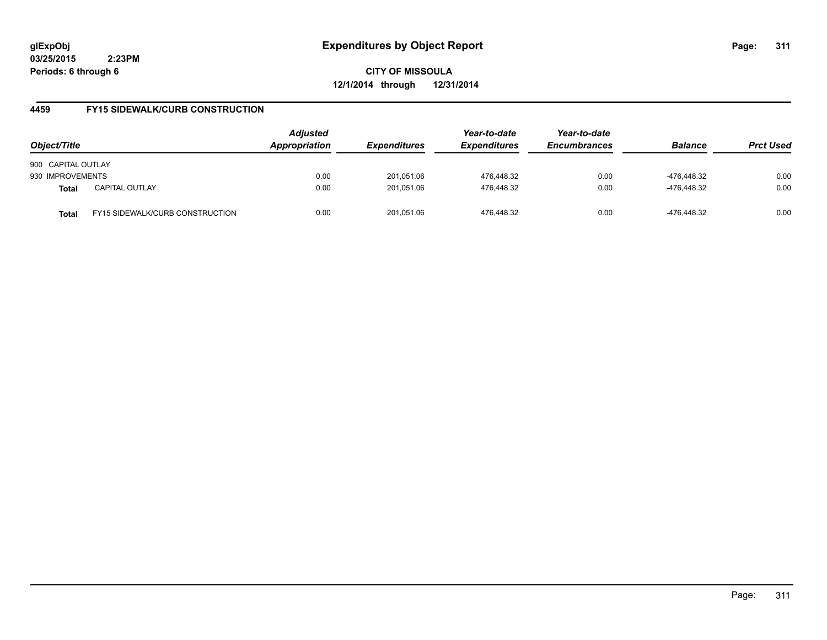**CITY OF MISSOULA 12/1/2014 through 12/31/2014**

## **4459 FY15 SIDEWALK/CURB CONSTRUCTION**

| Object/Title       |                                        | <b>Adjusted</b><br><b>Appropriation</b><br><b>Expenditures</b> | Year-to-date<br><b>Expenditures</b> | Year-to-date<br><b>Encumbrances</b> | <b>Balance</b> | <b>Prct Used</b> |      |
|--------------------|----------------------------------------|----------------------------------------------------------------|-------------------------------------|-------------------------------------|----------------|------------------|------|
| 900 CAPITAL OUTLAY |                                        |                                                                |                                     |                                     |                |                  |      |
| 930 IMPROVEMENTS   |                                        | 0.00                                                           | 201.051.06                          | 476.448.32                          | 0.00           | -476.448.32      | 0.00 |
| <b>Total</b>       | <b>CAPITAL OUTLAY</b>                  | 0.00                                                           | 201,051.06                          | 476,448.32                          | 0.00           | -476.448.32      | 0.00 |
| Total              | <b>FY15 SIDEWALK/CURB CONSTRUCTION</b> | 0.00                                                           | 201.051.06                          | 476.448.32                          | 0.00           | -476.448.32      | 0.00 |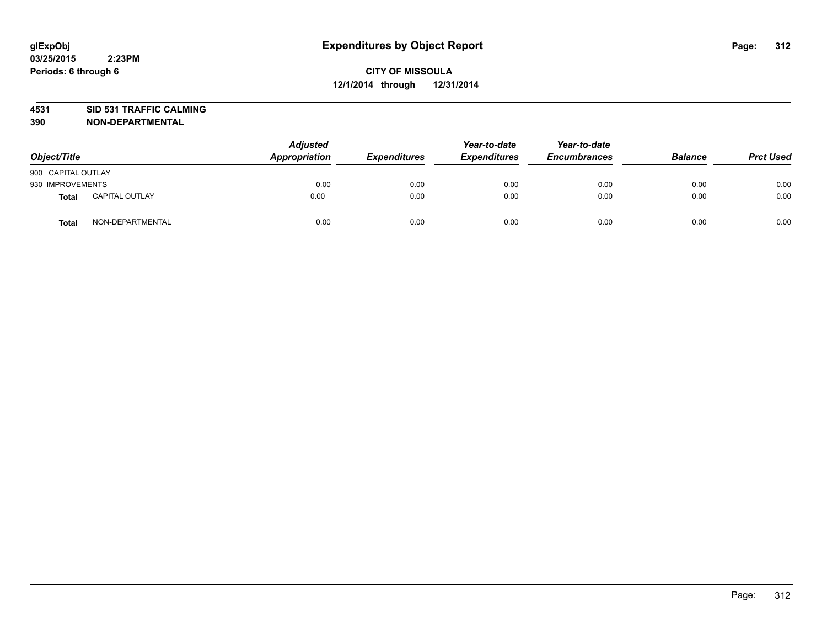# **4531 SID 531 TRAFFIC CALMING**

| Object/Title       |                       | <b>Adjusted</b><br>Appropriation | <b>Expenditures</b> | Year-to-date<br><b>Expenditures</b> | Year-to-date<br><b>Encumbrances</b> | <b>Balance</b> | <b>Prct Used</b> |
|--------------------|-----------------------|----------------------------------|---------------------|-------------------------------------|-------------------------------------|----------------|------------------|
| 900 CAPITAL OUTLAY |                       |                                  |                     |                                     |                                     |                |                  |
| 930 IMPROVEMENTS   |                       | 0.00                             | 0.00                | 0.00                                | 0.00                                | 0.00           | 0.00             |
| Total              | <b>CAPITAL OUTLAY</b> | 0.00                             | 0.00                | 0.00                                | 0.00                                | 0.00           | 0.00             |
| <b>Total</b>       | NON-DEPARTMENTAL      | 0.00                             | 0.00                | 0.00                                | 0.00                                | 0.00           | 0.00             |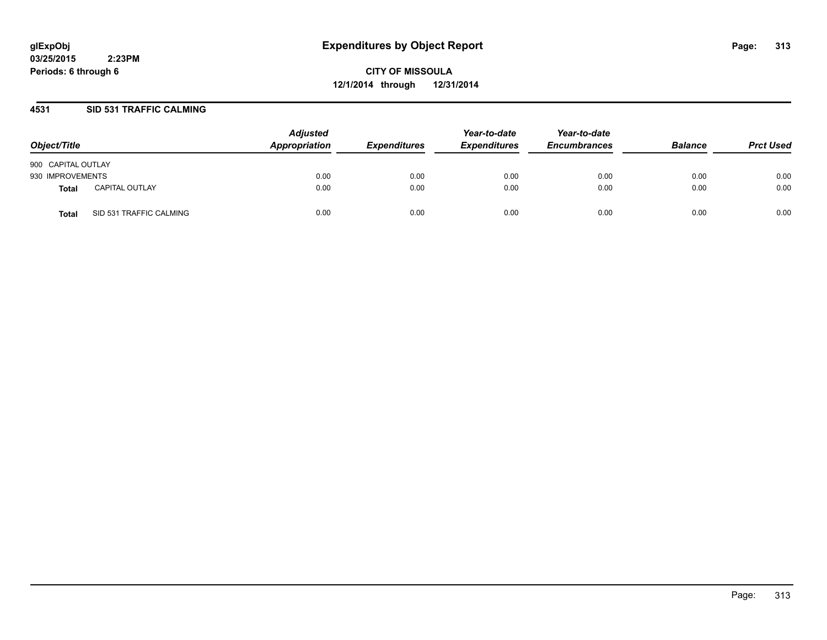**CITY OF MISSOULA 12/1/2014 through 12/31/2014**

#### **4531 SID 531 TRAFFIC CALMING**

| Object/Title       |                         | <b>Adjusted</b><br>Appropriation | <b>Expenditures</b> | Year-to-date<br><b>Expenditures</b> | Year-to-date<br><b>Encumbrances</b> | <b>Balance</b> | <b>Prct Used</b> |
|--------------------|-------------------------|----------------------------------|---------------------|-------------------------------------|-------------------------------------|----------------|------------------|
| 900 CAPITAL OUTLAY |                         |                                  |                     |                                     |                                     |                |                  |
| 930 IMPROVEMENTS   |                         | 0.00                             | 0.00                | 0.00                                | 0.00                                | 0.00           | 0.00             |
| <b>Total</b>       | <b>CAPITAL OUTLAY</b>   | 0.00                             | 0.00                | 0.00                                | 0.00                                | 0.00           | 0.00             |
| Total              | SID 531 TRAFFIC CALMING | 0.00                             | 0.00                | 0.00                                | 0.00                                | 0.00           | 0.00             |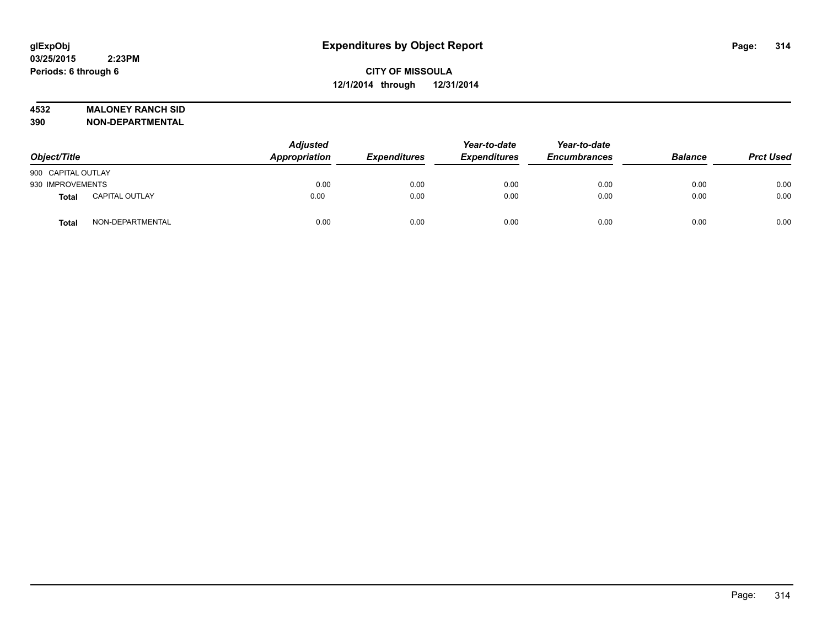#### **4532 MALONEY RANCH SID**

| Object/Title       |                       | <b>Adjusted</b><br>Appropriation | <b>Expenditures</b> | Year-to-date<br><b>Expenditures</b> | Year-to-date<br><b>Encumbrances</b> | <b>Balance</b> | <b>Prct Used</b> |
|--------------------|-----------------------|----------------------------------|---------------------|-------------------------------------|-------------------------------------|----------------|------------------|
| 900 CAPITAL OUTLAY |                       |                                  |                     |                                     |                                     |                |                  |
| 930 IMPROVEMENTS   |                       | 0.00                             | 0.00                | 0.00                                | 0.00                                | 0.00           | 0.00             |
| <b>Total</b>       | <b>CAPITAL OUTLAY</b> | 0.00                             | 0.00                | 0.00                                | 0.00                                | 0.00           | 0.00             |
| <b>Total</b>       | NON-DEPARTMENTAL      | 0.00                             | 0.00                | 0.00                                | 0.00                                | 0.00           | 0.00             |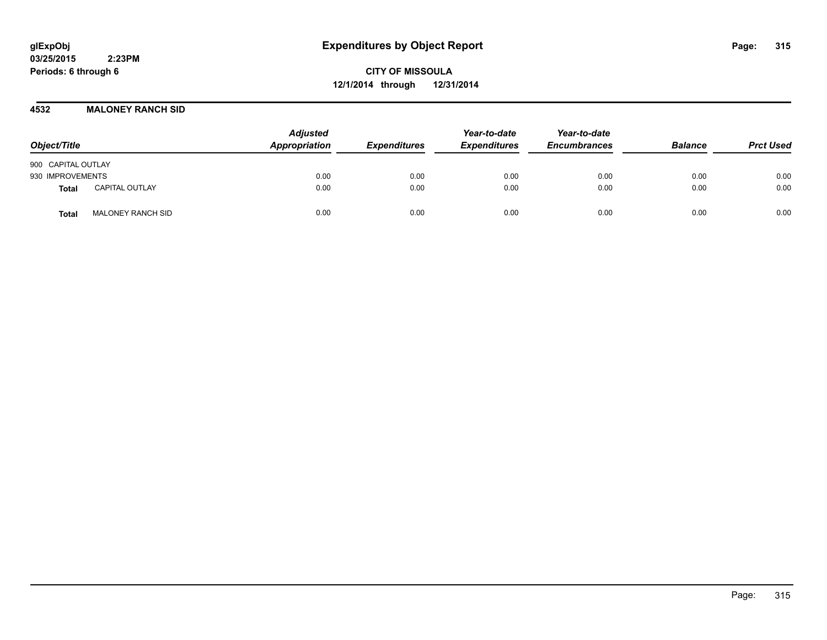**CITY OF MISSOULA 12/1/2014 through 12/31/2014**

#### **4532 MALONEY RANCH SID**

| Object/Title                             |  | <b>Adjusted</b><br>Appropriation | <b>Expenditures</b> | Year-to-date<br><b>Expenditures</b> | Year-to-date<br><b>Encumbrances</b> | <b>Balance</b> | <b>Prct Used</b> |
|------------------------------------------|--|----------------------------------|---------------------|-------------------------------------|-------------------------------------|----------------|------------------|
| 900 CAPITAL OUTLAY                       |  |                                  |                     |                                     |                                     |                |                  |
| 930 IMPROVEMENTS                         |  | 0.00                             | 0.00                | 0.00                                | 0.00                                | 0.00           | 0.00             |
| <b>CAPITAL OUTLAY</b><br>Total           |  | 0.00                             | 0.00                | 0.00                                | 0.00                                | 0.00           | 0.00             |
| <b>MALONEY RANCH SID</b><br><b>Total</b> |  | 0.00                             | 0.00                | 0.00                                | 0.00                                | 0.00           | 0.00             |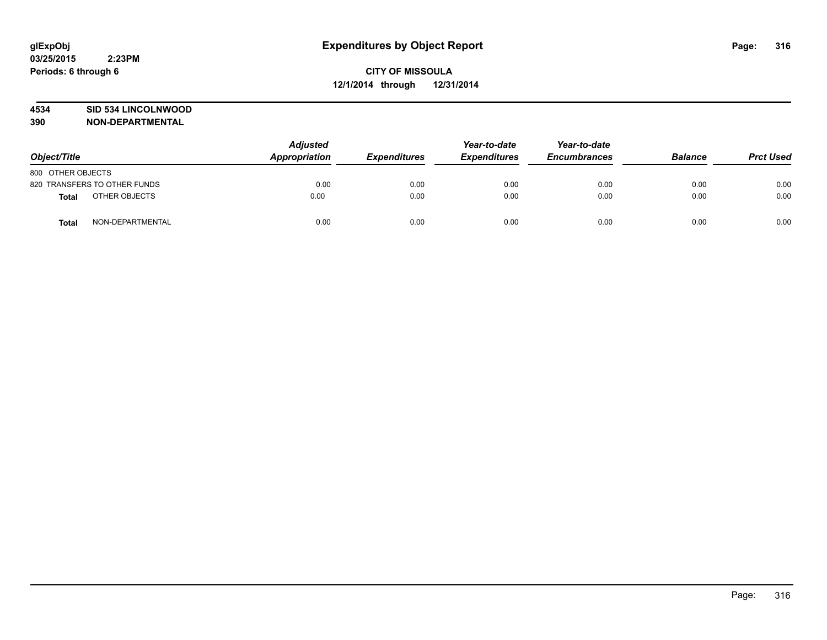#### **4534 SID 534 LINCOLNWOOD**

| Object/Title                 | <b>Adjusted</b><br>Appropriation | <b>Expenditures</b> | Year-to-date<br><b>Expenditures</b> | Year-to-date<br><b>Encumbrances</b> | <b>Balance</b> | <b>Prct Used</b> |
|------------------------------|----------------------------------|---------------------|-------------------------------------|-------------------------------------|----------------|------------------|
| 800 OTHER OBJECTS            |                                  |                     |                                     |                                     |                |                  |
| 820 TRANSFERS TO OTHER FUNDS | 0.00                             | 0.00                | 0.00                                | 0.00                                | 0.00           | 0.00             |
| OTHER OBJECTS<br>Total       | 0.00                             | 0.00                | 0.00                                | 0.00                                | 0.00           | 0.00             |
| NON-DEPARTMENTAL<br>Total    | 0.00                             | 0.00                | 0.00                                | 0.00                                | 0.00           | 0.00             |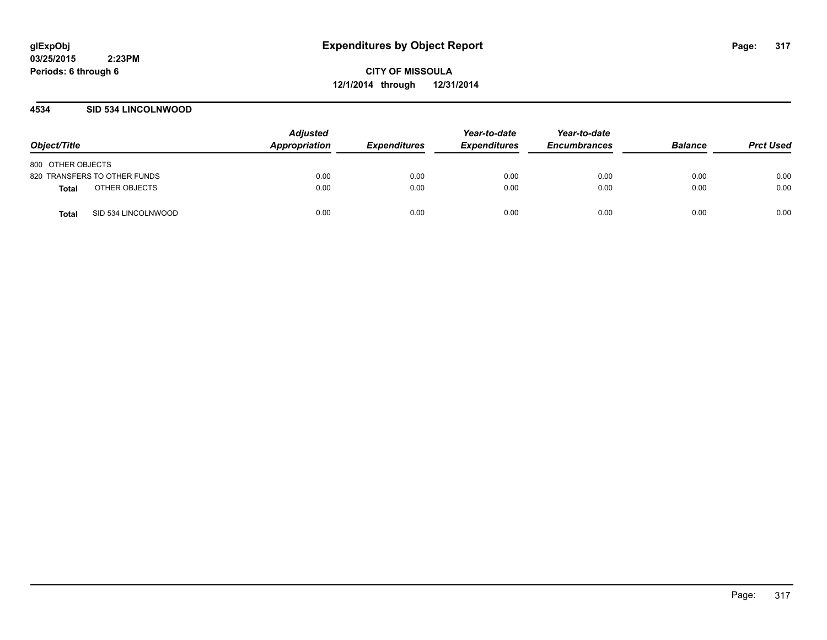#### **4534 SID 534 LINCOLNWOOD**

| Object/Title                  | <b>Adjusted</b><br>Appropriation | <b>Expenditures</b> | Year-to-date<br><b>Expenditures</b> | Year-to-date<br><b>Encumbrances</b> | <b>Balance</b> | <b>Prct Used</b> |
|-------------------------------|----------------------------------|---------------------|-------------------------------------|-------------------------------------|----------------|------------------|
| 800 OTHER OBJECTS             |                                  |                     |                                     |                                     |                |                  |
| 820 TRANSFERS TO OTHER FUNDS  | 0.00                             | 0.00                | 0.00                                | 0.00                                | 0.00           | 0.00             |
| OTHER OBJECTS<br><b>Total</b> | 0.00                             | 0.00                | 0.00                                | 0.00                                | 0.00           | 0.00             |
| SID 534 LINCOLNWOOD<br>Total  | 0.00                             | 0.00                | 0.00                                | 0.00                                | 0.00           | 0.00             |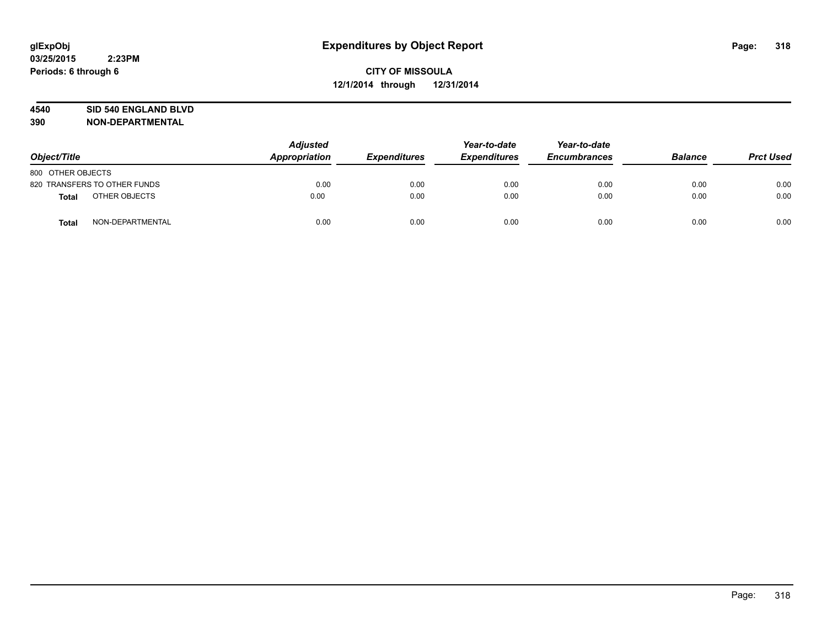#### **4540 SID 540 ENGLAND BLVD**

| Object/Title                  | <b>Adjusted</b><br>Appropriation<br><b>Expenditures</b> | Year-to-date<br><b>Expenditures</b> | Year-to-date<br><b>Encumbrances</b> | <b>Balance</b> | <b>Prct Used</b> |      |
|-------------------------------|---------------------------------------------------------|-------------------------------------|-------------------------------------|----------------|------------------|------|
| 800 OTHER OBJECTS             |                                                         |                                     |                                     |                |                  |      |
| 820 TRANSFERS TO OTHER FUNDS  | 0.00                                                    | 0.00                                | 0.00                                | 0.00           | 0.00             | 0.00 |
| OTHER OBJECTS<br><b>Total</b> | 0.00                                                    | 0.00                                | 0.00                                | 0.00           | 0.00             | 0.00 |
| NON-DEPARTMENTAL<br>Total     | 0.00                                                    | 0.00                                | 0.00                                | 0.00           | 0.00             | 0.00 |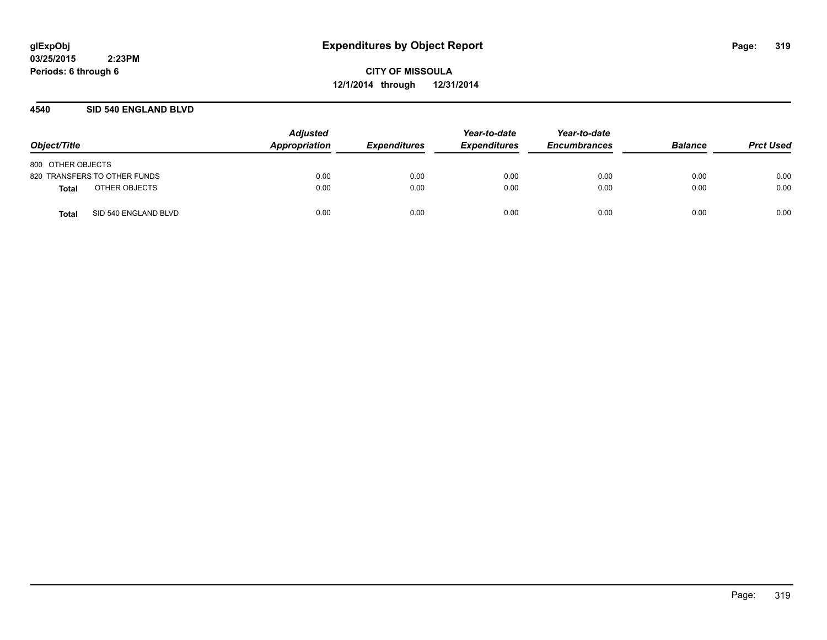**CITY OF MISSOULA 12/1/2014 through 12/31/2014**

#### **4540 SID 540 ENGLAND BLVD**

| Object/Title                  | <b>Adjusted</b><br>Appropriation | <b>Expenditures</b> | Year-to-date<br><b>Expenditures</b> | Year-to-date<br><b>Encumbrances</b> | <b>Balance</b> | <b>Prct Used</b> |
|-------------------------------|----------------------------------|---------------------|-------------------------------------|-------------------------------------|----------------|------------------|
| 800 OTHER OBJECTS             |                                  |                     |                                     |                                     |                |                  |
| 820 TRANSFERS TO OTHER FUNDS  | 0.00                             | 0.00                | 0.00                                | 0.00                                | 0.00           | 0.00             |
| OTHER OBJECTS<br>Total        | 0.00                             | 0.00                | 0.00                                | 0.00                                | 0.00           | 0.00             |
| SID 540 ENGLAND BLVD<br>Total | 0.00                             | 0.00                | 0.00                                | 0.00                                | 0.00           | 0.00             |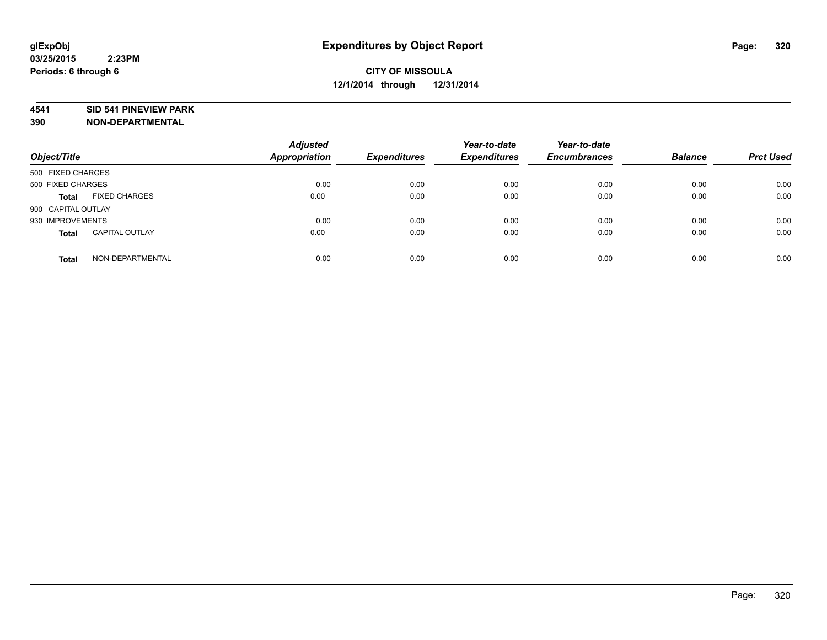#### **4541 SID 541 PINEVIEW PARK**

| Object/Title                          | <b>Adjusted</b><br><b>Appropriation</b> | <b>Expenditures</b> | Year-to-date<br><b>Expenditures</b> | Year-to-date<br><b>Encumbrances</b> | <b>Balance</b> | <b>Prct Used</b> |
|---------------------------------------|-----------------------------------------|---------------------|-------------------------------------|-------------------------------------|----------------|------------------|
| 500 FIXED CHARGES                     |                                         |                     |                                     |                                     |                |                  |
| 500 FIXED CHARGES                     | 0.00                                    | 0.00                | 0.00                                | 0.00                                | 0.00           | 0.00             |
| <b>FIXED CHARGES</b><br><b>Total</b>  | 0.00                                    | 0.00                | 0.00                                | 0.00                                | 0.00           | 0.00             |
| 900 CAPITAL OUTLAY                    |                                         |                     |                                     |                                     |                |                  |
| 930 IMPROVEMENTS                      | 0.00                                    | 0.00                | 0.00                                | 0.00                                | 0.00           | 0.00             |
| <b>CAPITAL OUTLAY</b><br><b>Total</b> | 0.00                                    | 0.00                | 0.00                                | 0.00                                | 0.00           | 0.00             |
| NON-DEPARTMENTAL<br><b>Total</b>      | 0.00                                    | 0.00                | 0.00                                | 0.00                                | 0.00           | 0.00             |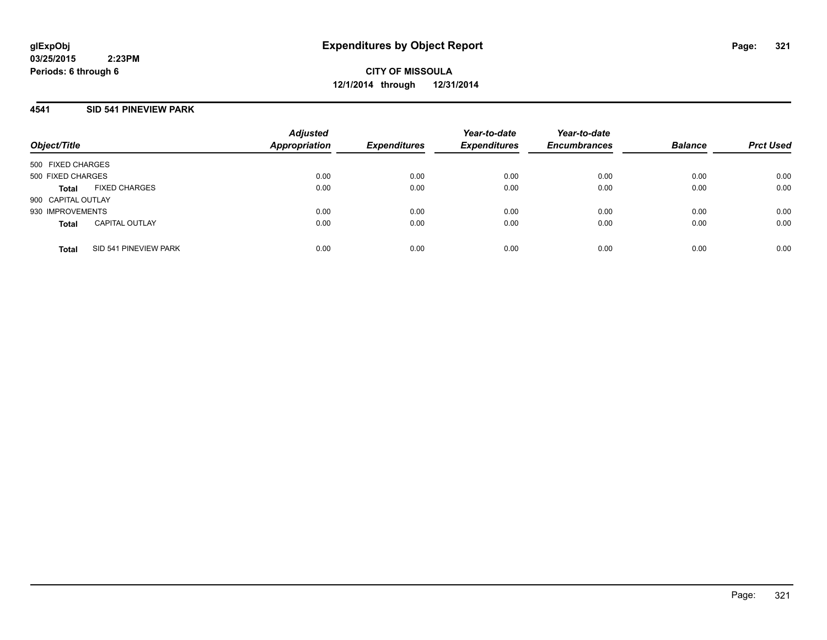**CITY OF MISSOULA 12/1/2014 through 12/31/2014**

#### **4541 SID 541 PINEVIEW PARK**

| Object/Title                          | <b>Adjusted</b><br><b>Appropriation</b> | <b>Expenditures</b> | Year-to-date<br><b>Expenditures</b> | Year-to-date<br><b>Encumbrances</b> | <b>Balance</b> | <b>Prct Used</b> |
|---------------------------------------|-----------------------------------------|---------------------|-------------------------------------|-------------------------------------|----------------|------------------|
| 500 FIXED CHARGES                     |                                         |                     |                                     |                                     |                |                  |
| 500 FIXED CHARGES                     | 0.00                                    | 0.00                | 0.00                                | 0.00                                | 0.00           | 0.00             |
| <b>FIXED CHARGES</b><br><b>Total</b>  | 0.00                                    | 0.00                | 0.00                                | 0.00                                | 0.00           | 0.00             |
| 900 CAPITAL OUTLAY                    |                                         |                     |                                     |                                     |                |                  |
| 930 IMPROVEMENTS                      | 0.00                                    | 0.00                | 0.00                                | 0.00                                | 0.00           | 0.00             |
| <b>CAPITAL OUTLAY</b><br><b>Total</b> | 0.00                                    | 0.00                | 0.00                                | 0.00                                | 0.00           | 0.00             |
| SID 541 PINEVIEW PARK<br><b>Total</b> | 0.00                                    | 0.00                | 0.00                                | 0.00                                | 0.00           | 0.00             |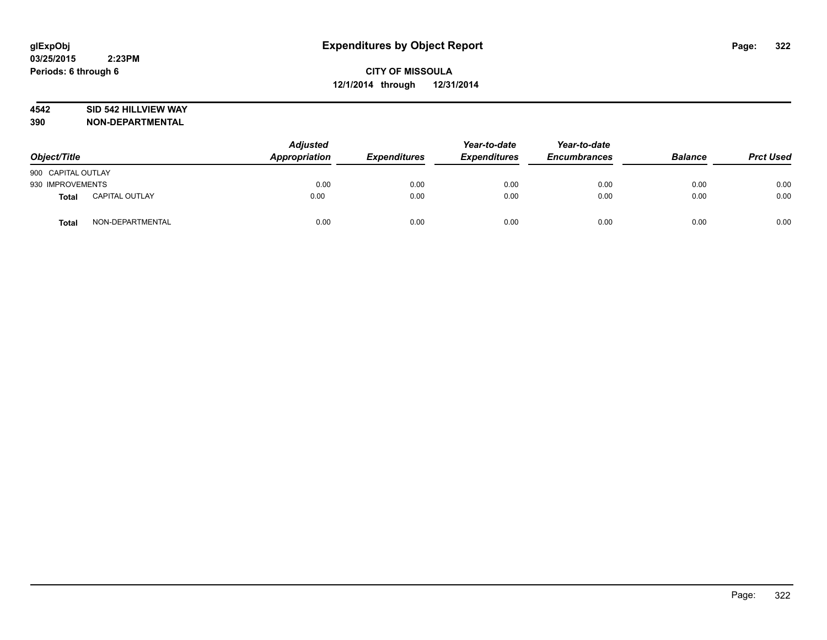#### **4542 SID 542 HILLVIEW WAY**

| Object/Title       |                       | <b>Adjusted</b><br>Appropriation | <b>Expenditures</b> | Year-to-date<br><b>Expenditures</b> | Year-to-date<br><b>Encumbrances</b> | <b>Balance</b> | <b>Prct Used</b> |
|--------------------|-----------------------|----------------------------------|---------------------|-------------------------------------|-------------------------------------|----------------|------------------|
| 900 CAPITAL OUTLAY |                       |                                  |                     |                                     |                                     |                |                  |
| 930 IMPROVEMENTS   |                       | 0.00                             | 0.00                | 0.00                                | 0.00                                | 0.00           | 0.00             |
| <b>Total</b>       | <b>CAPITAL OUTLAY</b> | 0.00                             | 0.00                | 0.00                                | 0.00                                | 0.00           | 0.00             |
| <b>Total</b>       | NON-DEPARTMENTAL      | 0.00                             | 0.00                | 0.00                                | 0.00                                | 0.00           | 0.00             |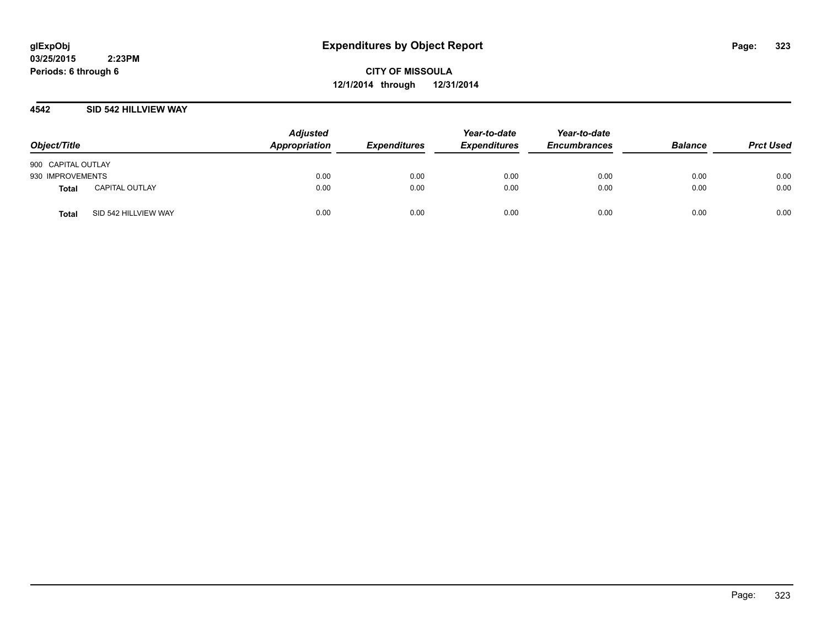**CITY OF MISSOULA 12/1/2014 through 12/31/2014**

#### **4542 SID 542 HILLVIEW WAY**

| Object/Title       |                       | <b>Adjusted</b><br>Appropriation | <b>Expenditures</b> | Year-to-date<br><b>Expenditures</b> | Year-to-date<br><b>Encumbrances</b> | <b>Balance</b> | <b>Prct Used</b> |
|--------------------|-----------------------|----------------------------------|---------------------|-------------------------------------|-------------------------------------|----------------|------------------|
| 900 CAPITAL OUTLAY |                       |                                  |                     |                                     |                                     |                |                  |
| 930 IMPROVEMENTS   |                       | 0.00                             | 0.00                | 0.00                                | 0.00                                | 0.00           | 0.00             |
| Total              | <b>CAPITAL OUTLAY</b> | 0.00                             | 0.00                | 0.00                                | 0.00                                | 0.00           | 0.00             |
| <b>Total</b>       | SID 542 HILLVIEW WAY  | 0.00                             | 0.00                | 0.00                                | 0.00                                | 0.00           | 0.00             |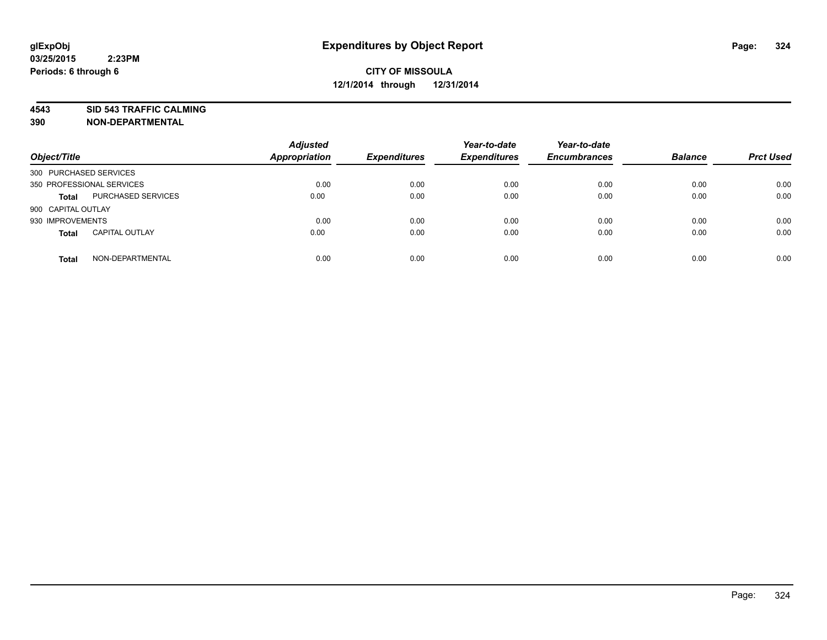**4543 SID 543 TRAFFIC CALMING**

| Object/Title              |                           | <b>Adjusted</b><br><b>Appropriation</b> | <b>Expenditures</b> | Year-to-date<br><b>Expenditures</b> | Year-to-date<br><b>Encumbrances</b> | <b>Balance</b> | <b>Prct Used</b> |
|---------------------------|---------------------------|-----------------------------------------|---------------------|-------------------------------------|-------------------------------------|----------------|------------------|
| 300 PURCHASED SERVICES    |                           |                                         |                     |                                     |                                     |                |                  |
| 350 PROFESSIONAL SERVICES |                           | 0.00                                    | 0.00                | 0.00                                | 0.00                                | 0.00           | 0.00             |
| <b>Total</b>              | <b>PURCHASED SERVICES</b> | 0.00                                    | 0.00                | 0.00                                | 0.00                                | 0.00           | 0.00             |
| 900 CAPITAL OUTLAY        |                           |                                         |                     |                                     |                                     |                |                  |
| 930 IMPROVEMENTS          |                           | 0.00                                    | 0.00                | 0.00                                | 0.00                                | 0.00           | 0.00             |
| <b>Total</b>              | <b>CAPITAL OUTLAY</b>     | 0.00                                    | 0.00                | 0.00                                | 0.00                                | 0.00           | 0.00             |
| <b>Total</b>              | NON-DEPARTMENTAL          | 0.00                                    | 0.00                | 0.00                                | 0.00                                | 0.00           | 0.00             |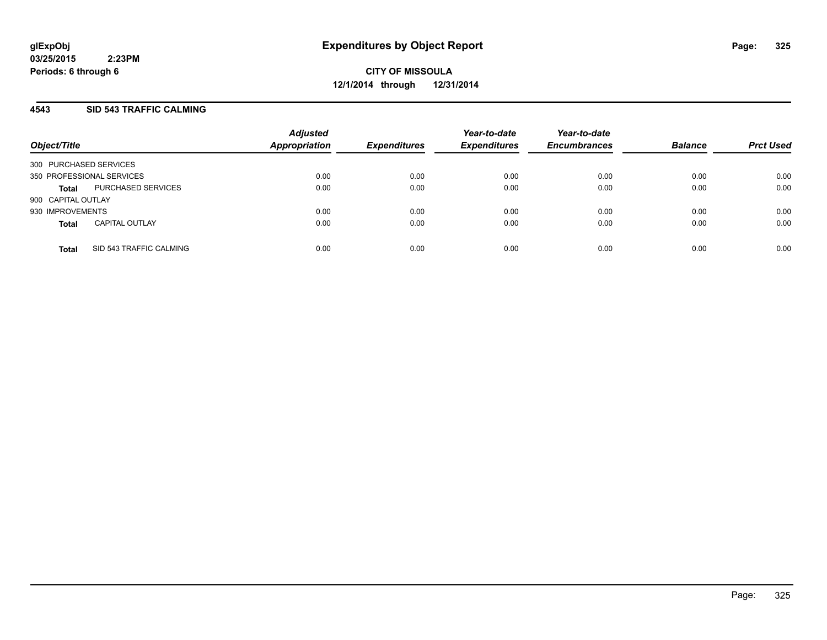#### **4543 SID 543 TRAFFIC CALMING**

| Object/Title           |                           | <b>Adjusted</b><br><b>Appropriation</b> | <b>Expenditures</b> | Year-to-date<br><b>Expenditures</b> | Year-to-date<br><b>Encumbrances</b> | <b>Balance</b> | <b>Prct Used</b> |
|------------------------|---------------------------|-----------------------------------------|---------------------|-------------------------------------|-------------------------------------|----------------|------------------|
| 300 PURCHASED SERVICES |                           |                                         |                     |                                     |                                     |                |                  |
|                        | 350 PROFESSIONAL SERVICES | 0.00                                    | 0.00                | 0.00                                | 0.00                                | 0.00           | 0.00             |
| <b>Total</b>           | PURCHASED SERVICES        | 0.00                                    | 0.00                | 0.00                                | 0.00                                | 0.00           | 0.00             |
| 900 CAPITAL OUTLAY     |                           |                                         |                     |                                     |                                     |                |                  |
| 930 IMPROVEMENTS       |                           | 0.00                                    | 0.00                | 0.00                                | 0.00                                | 0.00           | 0.00             |
| <b>Total</b>           | <b>CAPITAL OUTLAY</b>     | 0.00                                    | 0.00                | 0.00                                | 0.00                                | 0.00           | 0.00             |
| <b>Total</b>           | SID 543 TRAFFIC CALMING   | 0.00                                    | 0.00                | 0.00                                | 0.00                                | 0.00           | 0.00             |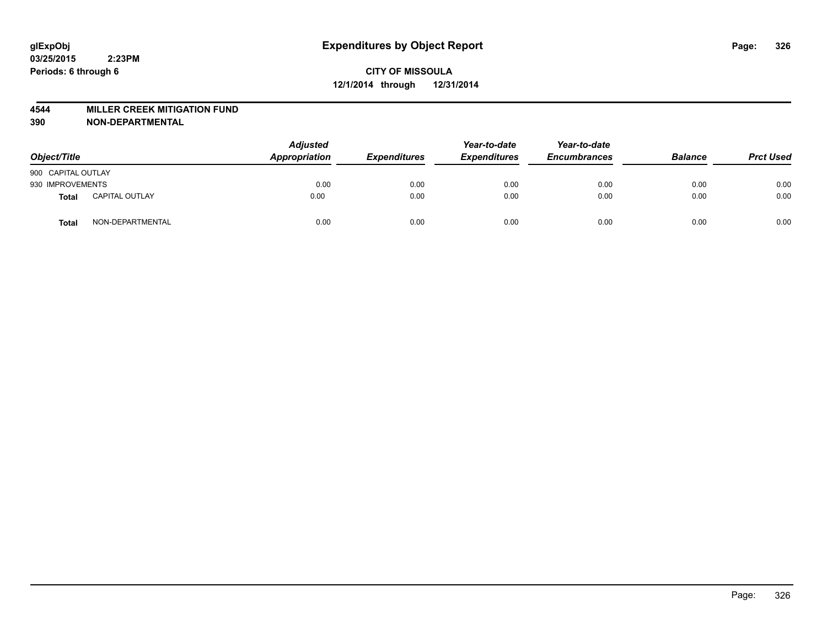#### **4544 MILLER CREEK MITIGATION FUND**

| Object/Title       |                       | <b>Adjusted</b><br>Appropriation | <b>Expenditures</b> | Year-to-date<br><b>Expenditures</b> | Year-to-date<br><b>Encumbrances</b> | <b>Balance</b> | <b>Prct Used</b> |
|--------------------|-----------------------|----------------------------------|---------------------|-------------------------------------|-------------------------------------|----------------|------------------|
| 900 CAPITAL OUTLAY |                       |                                  |                     |                                     |                                     |                |                  |
| 930 IMPROVEMENTS   |                       | 0.00                             | 0.00                | 0.00                                | 0.00                                | 0.00           | 0.00             |
| <b>Total</b>       | <b>CAPITAL OUTLAY</b> | 0.00                             | 0.00                | 0.00                                | 0.00                                | 0.00           | 0.00             |
| Total              | NON-DEPARTMENTAL      | 0.00                             | 0.00                | 0.00                                | 0.00                                | 0.00           | 0.00             |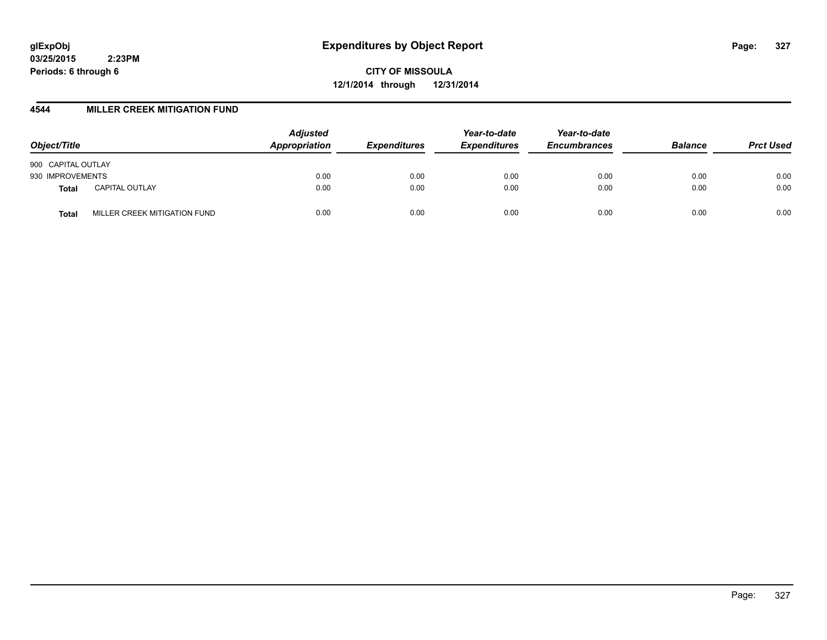**CITY OF MISSOULA 12/1/2014 through 12/31/2014**

#### **4544 MILLER CREEK MITIGATION FUND**

| Object/Title                          | <b>Adjusted</b><br>Appropriation | <b>Expenditures</b> | Year-to-date<br><b>Expenditures</b> | Year-to-date<br><b>Encumbrances</b> | <b>Balance</b> | <b>Prct Used</b> |
|---------------------------------------|----------------------------------|---------------------|-------------------------------------|-------------------------------------|----------------|------------------|
| 900 CAPITAL OUTLAY                    |                                  |                     |                                     |                                     |                |                  |
| 930 IMPROVEMENTS                      | 0.00                             | 0.00                | 0.00                                | 0.00                                | 0.00           | 0.00             |
| <b>CAPITAL OUTLAY</b><br><b>Total</b> | 0.00                             | 0.00                | 0.00                                | 0.00                                | 0.00           | 0.00             |
| MILLER CREEK MITIGATION FUND<br>Total | 0.00                             | 0.00                | 0.00                                | 0.00                                | 0.00           | 0.00             |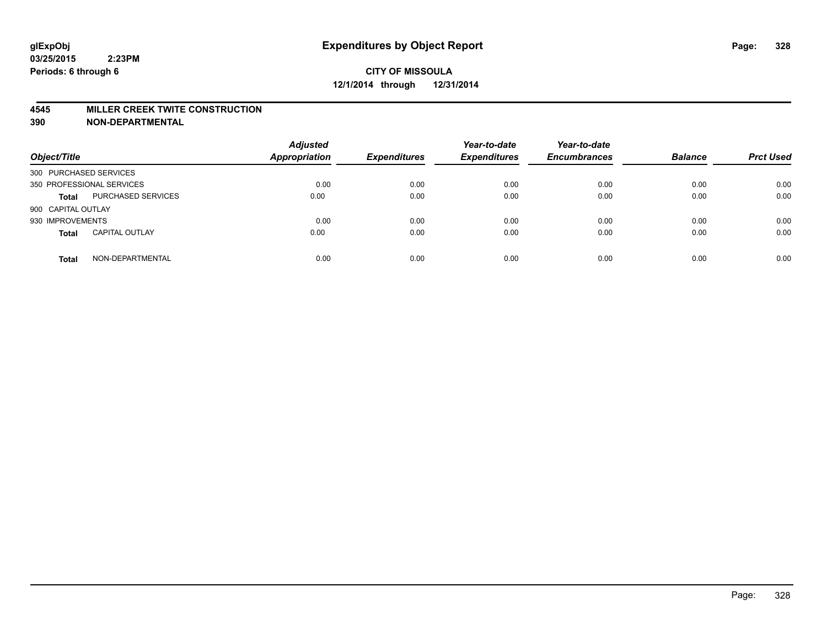#### **4545 MILLER CREEK TWITE CONSTRUCTION**

| Object/Title           |                           | <b>Adjusted</b><br><b>Appropriation</b> | <b>Expenditures</b> | Year-to-date<br><b>Expenditures</b> | Year-to-date<br><b>Encumbrances</b> | <b>Balance</b> | <b>Prct Used</b> |
|------------------------|---------------------------|-----------------------------------------|---------------------|-------------------------------------|-------------------------------------|----------------|------------------|
| 300 PURCHASED SERVICES |                           |                                         |                     |                                     |                                     |                |                  |
|                        | 350 PROFESSIONAL SERVICES | 0.00                                    | 0.00                | 0.00                                | 0.00                                | 0.00           | 0.00             |
| <b>Total</b>           | PURCHASED SERVICES        | 0.00                                    | 0.00                | 0.00                                | 0.00                                | 0.00           | 0.00             |
| 900 CAPITAL OUTLAY     |                           |                                         |                     |                                     |                                     |                |                  |
| 930 IMPROVEMENTS       |                           | 0.00                                    | 0.00                | 0.00                                | 0.00                                | 0.00           | 0.00             |
| <b>Total</b>           | <b>CAPITAL OUTLAY</b>     | 0.00                                    | 0.00                | 0.00                                | 0.00                                | 0.00           | 0.00             |
| <b>Total</b>           | NON-DEPARTMENTAL          | 0.00                                    | 0.00                | 0.00                                | 0.00                                | 0.00           | 0.00             |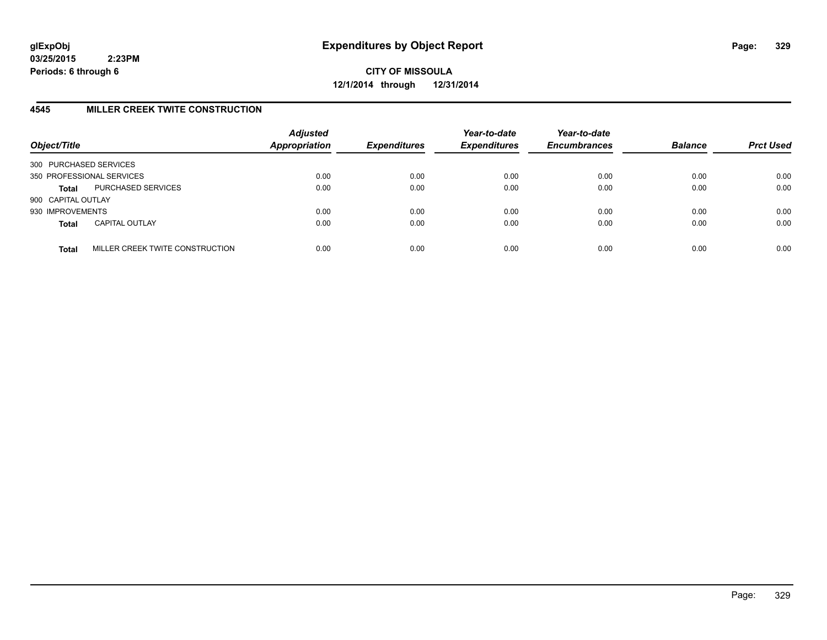**CITY OF MISSOULA 12/1/2014 through 12/31/2014**

## **4545 MILLER CREEK TWITE CONSTRUCTION**

| Object/Title           |                                 | <b>Adjusted</b><br><b>Appropriation</b> | <b>Expenditures</b> | Year-to-date<br><b>Expenditures</b> | Year-to-date<br><b>Encumbrances</b> | <b>Balance</b> | <b>Prct Used</b> |
|------------------------|---------------------------------|-----------------------------------------|---------------------|-------------------------------------|-------------------------------------|----------------|------------------|
| 300 PURCHASED SERVICES |                                 |                                         |                     |                                     |                                     |                |                  |
|                        | 350 PROFESSIONAL SERVICES       | 0.00                                    | 0.00                | 0.00                                | 0.00                                | 0.00           | 0.00             |
| <b>Total</b>           | PURCHASED SERVICES              | 0.00                                    | 0.00                | 0.00                                | 0.00                                | 0.00           | 0.00             |
| 900 CAPITAL OUTLAY     |                                 |                                         |                     |                                     |                                     |                |                  |
| 930 IMPROVEMENTS       |                                 | 0.00                                    | 0.00                | 0.00                                | 0.00                                | 0.00           | 0.00             |
| <b>Total</b>           | <b>CAPITAL OUTLAY</b>           | 0.00                                    | 0.00                | 0.00                                | 0.00                                | 0.00           | 0.00             |
| <b>Total</b>           | MILLER CREEK TWITE CONSTRUCTION | 0.00                                    | 0.00                | 0.00                                | 0.00                                | 0.00           | 0.00             |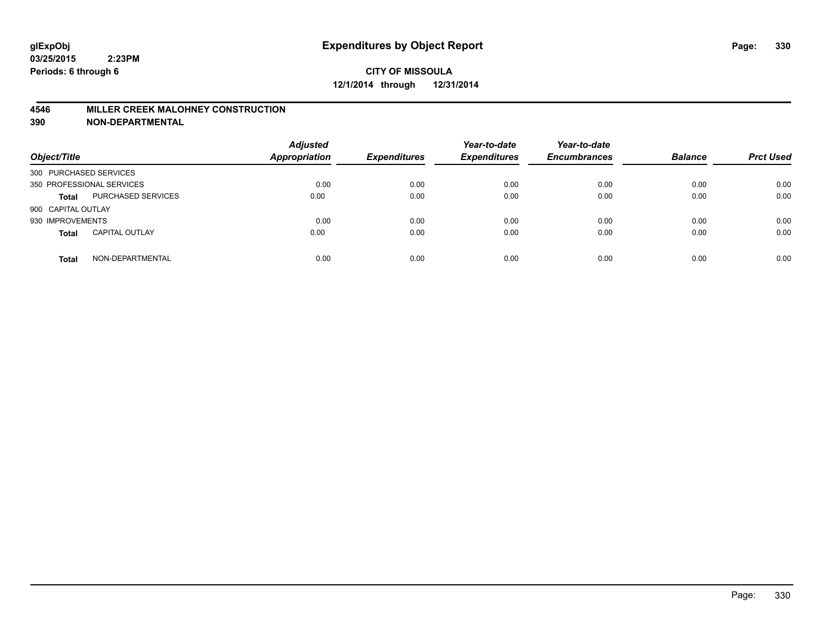#### **4546 MILLER CREEK MALOHNEY CONSTRUCTION**

| Object/Title           |                           | <b>Adjusted</b><br><b>Appropriation</b> | <b>Expenditures</b> | Year-to-date<br><b>Expenditures</b> | Year-to-date<br><b>Encumbrances</b> | <b>Balance</b> | <b>Prct Used</b> |
|------------------------|---------------------------|-----------------------------------------|---------------------|-------------------------------------|-------------------------------------|----------------|------------------|
| 300 PURCHASED SERVICES |                           |                                         |                     |                                     |                                     |                |                  |
|                        | 350 PROFESSIONAL SERVICES | 0.00                                    | 0.00                | 0.00                                | 0.00                                | 0.00           | 0.00             |
| <b>Total</b>           | <b>PURCHASED SERVICES</b> | 0.00                                    | 0.00                | 0.00                                | 0.00                                | 0.00           | 0.00             |
| 900 CAPITAL OUTLAY     |                           |                                         |                     |                                     |                                     |                |                  |
| 930 IMPROVEMENTS       |                           | 0.00                                    | 0.00                | 0.00                                | 0.00                                | 0.00           | 0.00             |
| <b>Total</b>           | <b>CAPITAL OUTLAY</b>     | 0.00                                    | 0.00                | 0.00                                | 0.00                                | 0.00           | 0.00             |
| <b>Total</b>           | NON-DEPARTMENTAL          | 0.00                                    | 0.00                | 0.00                                | 0.00                                | 0.00           | 0.00             |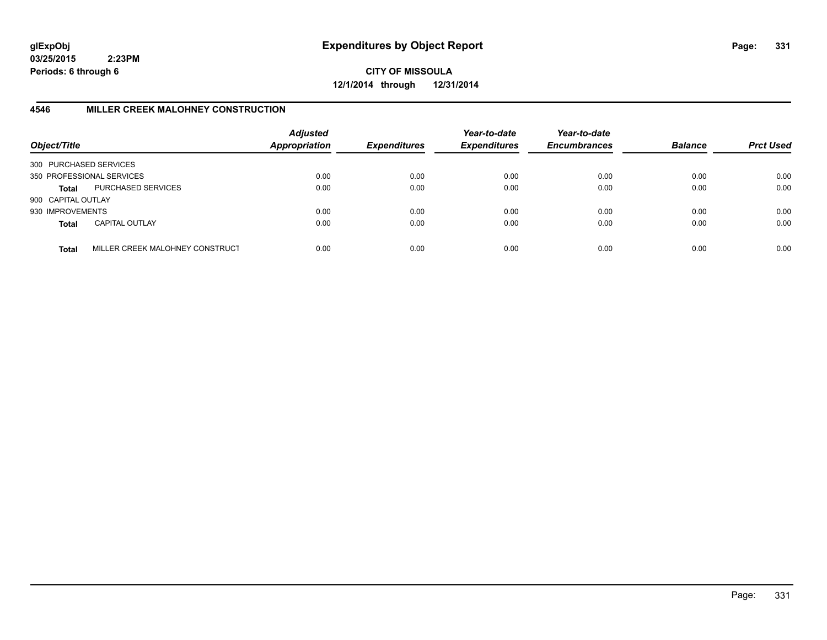**CITY OF MISSOULA 12/1/2014 through 12/31/2014**

## **4546 MILLER CREEK MALOHNEY CONSTRUCTION**

| Object/Title           |                                 | <b>Adjusted</b><br><b>Appropriation</b> | <b>Expenditures</b> | Year-to-date<br><b>Expenditures</b> | Year-to-date<br><b>Encumbrances</b> | <b>Balance</b> | <b>Prct Used</b> |
|------------------------|---------------------------------|-----------------------------------------|---------------------|-------------------------------------|-------------------------------------|----------------|------------------|
| 300 PURCHASED SERVICES |                                 |                                         |                     |                                     |                                     |                |                  |
|                        | 350 PROFESSIONAL SERVICES       | 0.00                                    | 0.00                | 0.00                                | 0.00                                | 0.00           | 0.00             |
| Total                  | PURCHASED SERVICES              | 0.00                                    | 0.00                | 0.00                                | 0.00                                | 0.00           | 0.00             |
| 900 CAPITAL OUTLAY     |                                 |                                         |                     |                                     |                                     |                |                  |
| 930 IMPROVEMENTS       |                                 | 0.00                                    | 0.00                | 0.00                                | 0.00                                | 0.00           | 0.00             |
| <b>Total</b>           | <b>CAPITAL OUTLAY</b>           | 0.00                                    | 0.00                | 0.00                                | 0.00                                | 0.00           | 0.00             |
| <b>Total</b>           | MILLER CREEK MALOHNEY CONSTRUCT | 0.00                                    | 0.00                | 0.00                                | 0.00                                | 0.00           | 0.00             |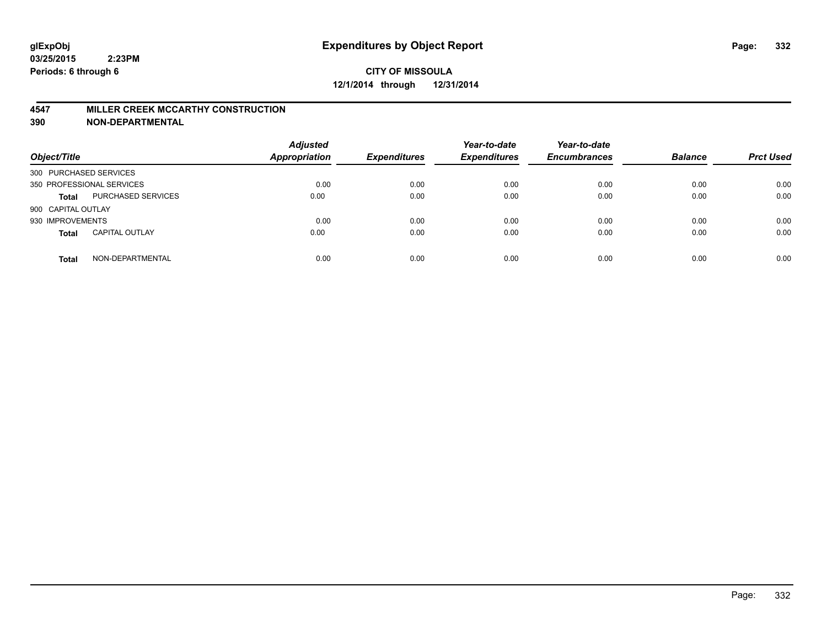#### **4547 MILLER CREEK MCCARTHY CONSTRUCTION**

| Object/Title           |                           | <b>Adjusted</b><br><b>Appropriation</b> | <b>Expenditures</b> | Year-to-date<br><b>Expenditures</b> | Year-to-date<br><b>Encumbrances</b> | <b>Balance</b> | <b>Prct Used</b> |
|------------------------|---------------------------|-----------------------------------------|---------------------|-------------------------------------|-------------------------------------|----------------|------------------|
| 300 PURCHASED SERVICES |                           |                                         |                     |                                     |                                     |                |                  |
|                        | 350 PROFESSIONAL SERVICES | 0.00                                    | 0.00                | 0.00                                | 0.00                                | 0.00           | 0.00             |
| <b>Total</b>           | PURCHASED SERVICES        | 0.00                                    | 0.00                | 0.00                                | 0.00                                | 0.00           | 0.00             |
| 900 CAPITAL OUTLAY     |                           |                                         |                     |                                     |                                     |                |                  |
| 930 IMPROVEMENTS       |                           | 0.00                                    | 0.00                | 0.00                                | 0.00                                | 0.00           | 0.00             |
| <b>Total</b>           | <b>CAPITAL OUTLAY</b>     | 0.00                                    | 0.00                | 0.00                                | 0.00                                | 0.00           | 0.00             |
| <b>Total</b>           | NON-DEPARTMENTAL          | 0.00                                    | 0.00                | 0.00                                | 0.00                                | 0.00           | 0.00             |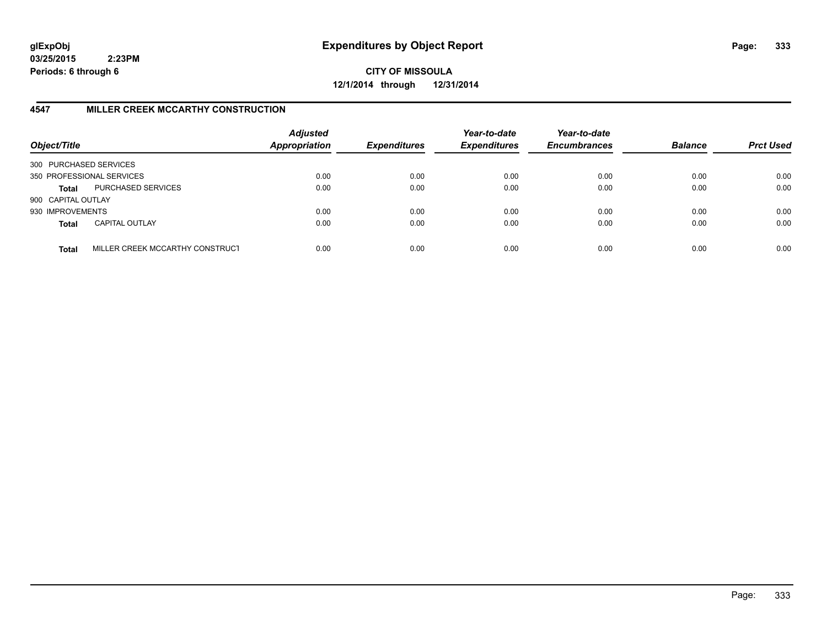**CITY OF MISSOULA 12/1/2014 through 12/31/2014**

## **4547 MILLER CREEK MCCARTHY CONSTRUCTION**

| Object/Title           |                                 | <b>Adjusted</b><br><b>Appropriation</b> | <b>Expenditures</b> | Year-to-date<br><b>Expenditures</b> | Year-to-date<br><b>Encumbrances</b> | <b>Balance</b> | <b>Prct Used</b> |
|------------------------|---------------------------------|-----------------------------------------|---------------------|-------------------------------------|-------------------------------------|----------------|------------------|
| 300 PURCHASED SERVICES |                                 |                                         |                     |                                     |                                     |                |                  |
|                        | 350 PROFESSIONAL SERVICES       | 0.00                                    | 0.00                | 0.00                                | 0.00                                | 0.00           | 0.00             |
| Total                  | PURCHASED SERVICES              | 0.00                                    | 0.00                | 0.00                                | 0.00                                | 0.00           | 0.00             |
| 900 CAPITAL OUTLAY     |                                 |                                         |                     |                                     |                                     |                |                  |
| 930 IMPROVEMENTS       |                                 | 0.00                                    | 0.00                | 0.00                                | 0.00                                | 0.00           | 0.00             |
| <b>Total</b>           | <b>CAPITAL OUTLAY</b>           | 0.00                                    | 0.00                | 0.00                                | 0.00                                | 0.00           | 0.00             |
| <b>Total</b>           | MILLER CREEK MCCARTHY CONSTRUCT | 0.00                                    | 0.00                | 0.00                                | 0.00                                | 0.00           | 0.00             |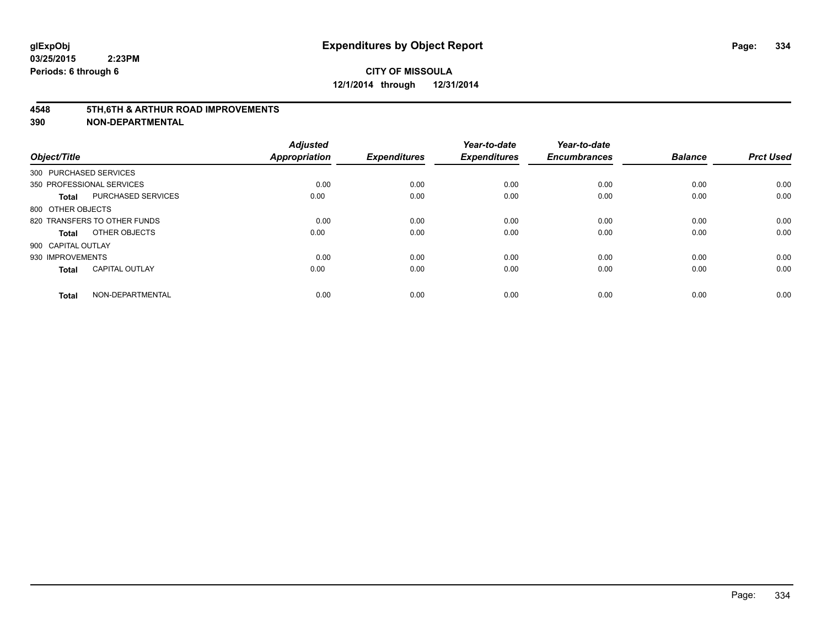#### **4548 5TH,6TH & ARTHUR ROAD IMPROVEMENTS**

| Object/Title           |                              | <b>Adjusted</b><br><b>Appropriation</b> | <b>Expenditures</b> | Year-to-date<br><b>Expenditures</b> | Year-to-date<br><b>Encumbrances</b> | <b>Balance</b> | <b>Prct Used</b> |
|------------------------|------------------------------|-----------------------------------------|---------------------|-------------------------------------|-------------------------------------|----------------|------------------|
| 300 PURCHASED SERVICES |                              |                                         |                     |                                     |                                     |                |                  |
|                        | 350 PROFESSIONAL SERVICES    | 0.00                                    | 0.00                | 0.00                                | 0.00                                | 0.00           | 0.00             |
| <b>Total</b>           | <b>PURCHASED SERVICES</b>    | 0.00                                    | 0.00                | 0.00                                | 0.00                                | 0.00           | 0.00             |
| 800 OTHER OBJECTS      |                              |                                         |                     |                                     |                                     |                |                  |
|                        | 820 TRANSFERS TO OTHER FUNDS | 0.00                                    | 0.00                | 0.00                                | 0.00                                | 0.00           | 0.00             |
| Total                  | OTHER OBJECTS                | 0.00                                    | 0.00                | 0.00                                | 0.00                                | 0.00           | 0.00             |
| 900 CAPITAL OUTLAY     |                              |                                         |                     |                                     |                                     |                |                  |
| 930 IMPROVEMENTS       |                              | 0.00                                    | 0.00                | 0.00                                | 0.00                                | 0.00           | 0.00             |
| Total                  | <b>CAPITAL OUTLAY</b>        | 0.00                                    | 0.00                | 0.00                                | 0.00                                | 0.00           | 0.00             |
| <b>Total</b>           | NON-DEPARTMENTAL             | 0.00                                    | 0.00                | 0.00                                | 0.00                                | 0.00           | 0.00             |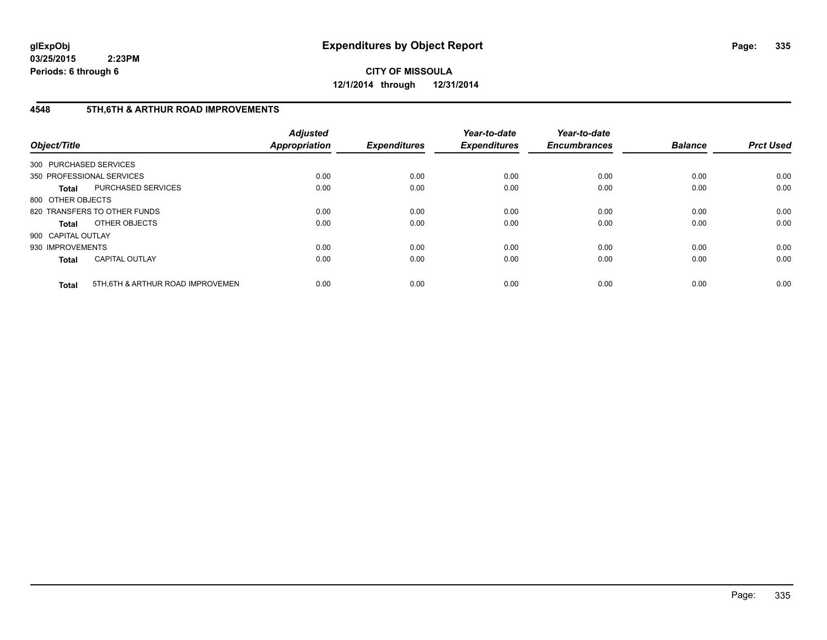**CITY OF MISSOULA 12/1/2014 through 12/31/2014**

## **4548 5TH,6TH & ARTHUR ROAD IMPROVEMENTS**

| Object/Title           |                                  | <b>Adjusted</b><br>Appropriation | <b>Expenditures</b> | Year-to-date<br><b>Expenditures</b> | Year-to-date<br><b>Encumbrances</b> | <b>Balance</b> | <b>Prct Used</b> |
|------------------------|----------------------------------|----------------------------------|---------------------|-------------------------------------|-------------------------------------|----------------|------------------|
| 300 PURCHASED SERVICES |                                  |                                  |                     |                                     |                                     |                |                  |
|                        | 350 PROFESSIONAL SERVICES        | 0.00                             | 0.00                | 0.00                                | 0.00                                | 0.00           | 0.00             |
| Total                  | PURCHASED SERVICES               | 0.00                             | 0.00                | 0.00                                | 0.00                                | 0.00           | 0.00             |
| 800 OTHER OBJECTS      |                                  |                                  |                     |                                     |                                     |                |                  |
|                        | 820 TRANSFERS TO OTHER FUNDS     | 0.00                             | 0.00                | 0.00                                | 0.00                                | 0.00           | 0.00             |
| Total                  | OTHER OBJECTS                    | 0.00                             | 0.00                | 0.00                                | 0.00                                | 0.00           | 0.00             |
| 900 CAPITAL OUTLAY     |                                  |                                  |                     |                                     |                                     |                |                  |
| 930 IMPROVEMENTS       |                                  | 0.00                             | 0.00                | 0.00                                | 0.00                                | 0.00           | 0.00             |
| <b>Total</b>           | <b>CAPITAL OUTLAY</b>            | 0.00                             | 0.00                | 0.00                                | 0.00                                | 0.00           | 0.00             |
| <b>Total</b>           | 5TH.6TH & ARTHUR ROAD IMPROVEMEN | 0.00                             | 0.00                | 0.00                                | 0.00                                | 0.00           | 0.00             |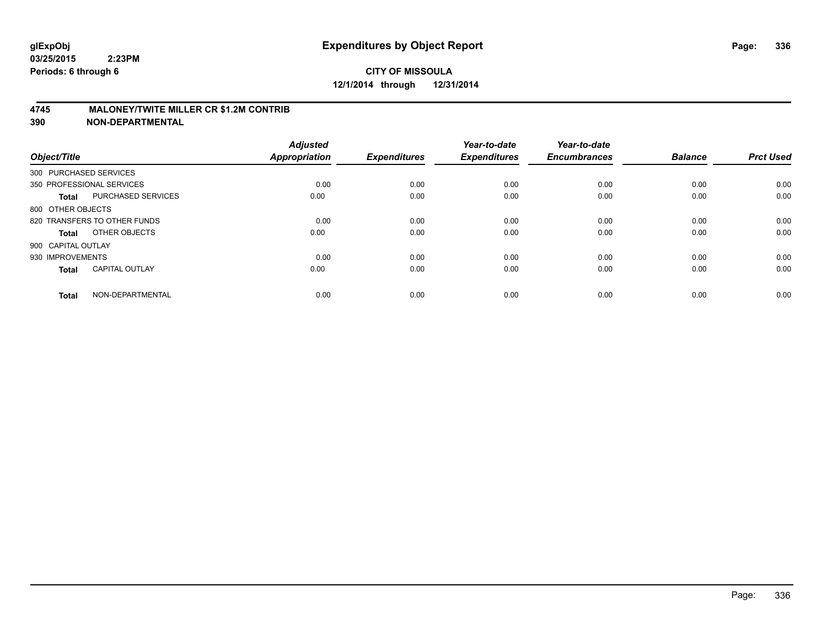#### **4745 MALONEY/TWITE MILLER CR \$1.2M CONTRIB**

| Object/Title           |                              | <b>Adjusted</b><br><b>Appropriation</b> | <b>Expenditures</b> | Year-to-date<br><b>Expenditures</b> | Year-to-date<br><b>Encumbrances</b> | <b>Balance</b> | <b>Prct Used</b> |
|------------------------|------------------------------|-----------------------------------------|---------------------|-------------------------------------|-------------------------------------|----------------|------------------|
| 300 PURCHASED SERVICES |                              |                                         |                     |                                     |                                     |                |                  |
|                        | 350 PROFESSIONAL SERVICES    | 0.00                                    | 0.00                | 0.00                                | 0.00                                | 0.00           | 0.00             |
| Total                  | <b>PURCHASED SERVICES</b>    | 0.00                                    | 0.00                | 0.00                                | 0.00                                | 0.00           | 0.00             |
| 800 OTHER OBJECTS      |                              |                                         |                     |                                     |                                     |                |                  |
|                        | 820 TRANSFERS TO OTHER FUNDS | 0.00                                    | 0.00                | 0.00                                | 0.00                                | 0.00           | 0.00             |
| Total                  | OTHER OBJECTS                | 0.00                                    | 0.00                | 0.00                                | 0.00                                | 0.00           | 0.00             |
| 900 CAPITAL OUTLAY     |                              |                                         |                     |                                     |                                     |                |                  |
| 930 IMPROVEMENTS       |                              | 0.00                                    | 0.00                | 0.00                                | 0.00                                | 0.00           | 0.00             |
| <b>Total</b>           | <b>CAPITAL OUTLAY</b>        | 0.00                                    | 0.00                | 0.00                                | 0.00                                | 0.00           | 0.00             |
| <b>Total</b>           | NON-DEPARTMENTAL             | 0.00                                    | 0.00                | 0.00                                | 0.00                                | 0.00           | 0.00             |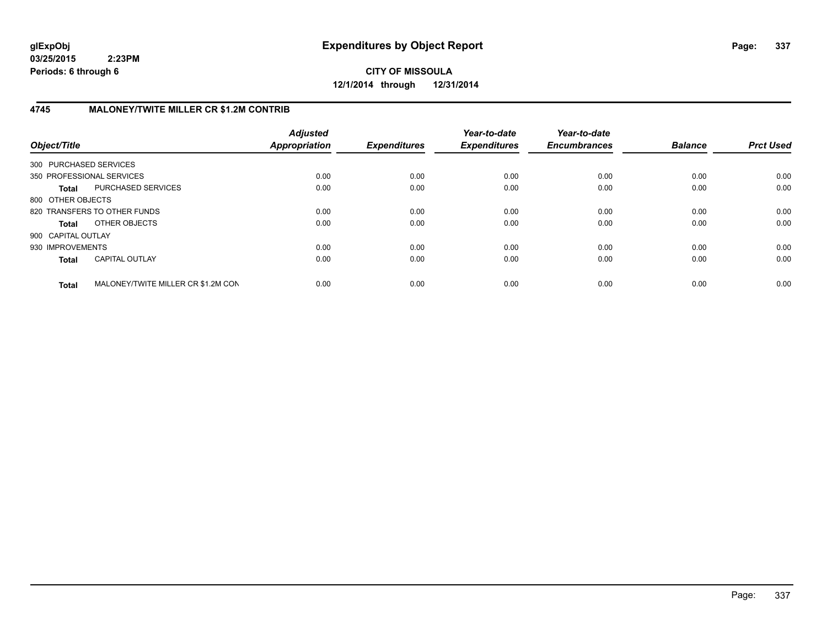**CITY OF MISSOULA 12/1/2014 through 12/31/2014**

## **4745 MALONEY/TWITE MILLER CR \$1.2M CONTRIB**

| Object/Title           |                                    | <b>Adjusted</b><br>Appropriation | <b>Expenditures</b> | Year-to-date<br><b>Expenditures</b> | Year-to-date<br><b>Encumbrances</b> | <b>Balance</b> | <b>Prct Used</b> |
|------------------------|------------------------------------|----------------------------------|---------------------|-------------------------------------|-------------------------------------|----------------|------------------|
| 300 PURCHASED SERVICES |                                    |                                  |                     |                                     |                                     |                |                  |
|                        | 350 PROFESSIONAL SERVICES          | 0.00                             | 0.00                | 0.00                                | 0.00                                | 0.00           | 0.00             |
| <b>Total</b>           | PURCHASED SERVICES                 | 0.00                             | 0.00                | 0.00                                | 0.00                                | 0.00           | 0.00             |
| 800 OTHER OBJECTS      |                                    |                                  |                     |                                     |                                     |                |                  |
|                        | 820 TRANSFERS TO OTHER FUNDS       | 0.00                             | 0.00                | 0.00                                | 0.00                                | 0.00           | 0.00             |
| <b>Total</b>           | OTHER OBJECTS                      | 0.00                             | 0.00                | 0.00                                | 0.00                                | 0.00           | 0.00             |
| 900 CAPITAL OUTLAY     |                                    |                                  |                     |                                     |                                     |                |                  |
| 930 IMPROVEMENTS       |                                    | 0.00                             | 0.00                | 0.00                                | 0.00                                | 0.00           | 0.00             |
| <b>Total</b>           | <b>CAPITAL OUTLAY</b>              | 0.00                             | 0.00                | 0.00                                | 0.00                                | 0.00           | 0.00             |
| <b>Total</b>           | MALONEY/TWITE MILLER CR \$1.2M CON | 0.00                             | 0.00                | 0.00                                | 0.00                                | 0.00           | 0.00             |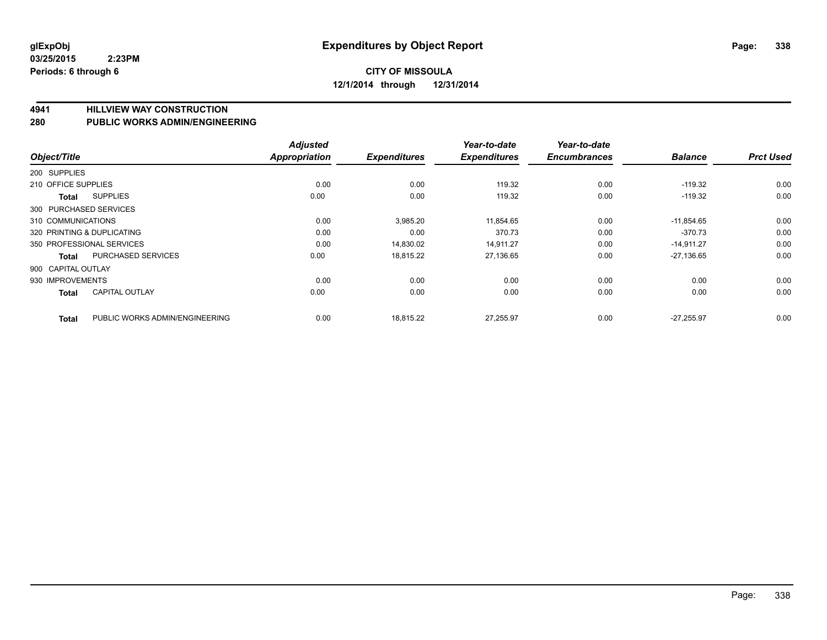**4941 HILLVIEW WAY CONSTRUCTION**

**280 PUBLIC WORKS ADMIN/ENGINEERING**

| Object/Title           |                                | <b>Adjusted</b><br><b>Appropriation</b> | <b>Expenditures</b> | Year-to-date<br><b>Expenditures</b> | Year-to-date<br><b>Encumbrances</b> | <b>Balance</b> | <b>Prct Used</b> |
|------------------------|--------------------------------|-----------------------------------------|---------------------|-------------------------------------|-------------------------------------|----------------|------------------|
| 200 SUPPLIES           |                                |                                         |                     |                                     |                                     |                |                  |
| 210 OFFICE SUPPLIES    |                                | 0.00                                    | 0.00                | 119.32                              | 0.00                                | $-119.32$      | 0.00             |
| Total                  | <b>SUPPLIES</b>                | 0.00                                    | 0.00                | 119.32                              | 0.00                                | $-119.32$      | 0.00             |
| 300 PURCHASED SERVICES |                                |                                         |                     |                                     |                                     |                |                  |
| 310 COMMUNICATIONS     |                                | 0.00                                    | 3,985.20            | 11,854.65                           | 0.00                                | $-11,854.65$   | 0.00             |
|                        | 320 PRINTING & DUPLICATING     | 0.00                                    | 0.00                | 370.73                              | 0.00                                | $-370.73$      | 0.00             |
|                        | 350 PROFESSIONAL SERVICES      | 0.00                                    | 14,830.02           | 14,911.27                           | 0.00                                | $-14,911.27$   | 0.00             |
| <b>Total</b>           | <b>PURCHASED SERVICES</b>      | 0.00                                    | 18,815.22           | 27,136.65                           | 0.00                                | $-27,136.65$   | 0.00             |
| 900 CAPITAL OUTLAY     |                                |                                         |                     |                                     |                                     |                |                  |
| 930 IMPROVEMENTS       |                                | 0.00                                    | 0.00                | 0.00                                | 0.00                                | 0.00           | 0.00             |
| <b>Total</b>           | <b>CAPITAL OUTLAY</b>          | 0.00                                    | 0.00                | 0.00                                | 0.00                                | 0.00           | 0.00             |
| <b>Total</b>           | PUBLIC WORKS ADMIN/ENGINEERING | 0.00                                    | 18,815.22           | 27,255.97                           | 0.00                                | $-27.255.97$   | 0.00             |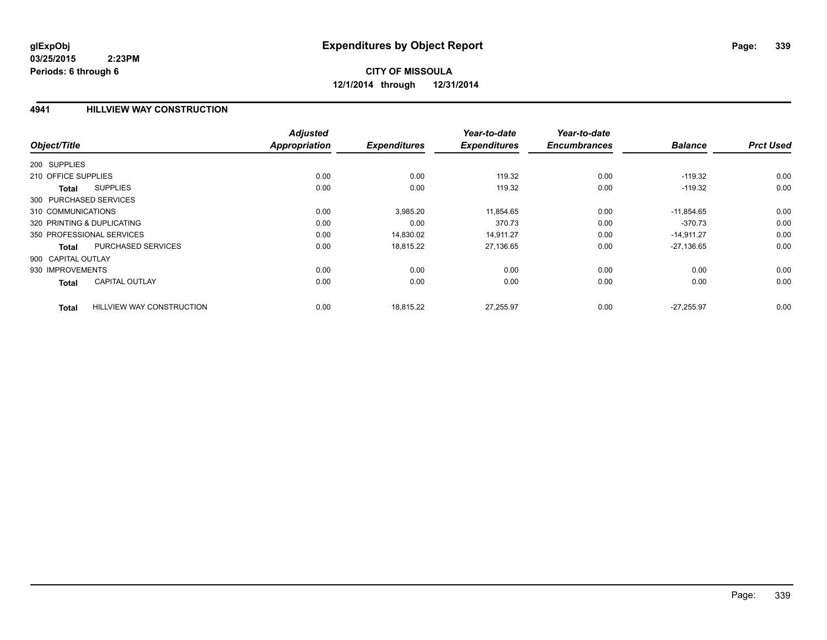# **CITY OF MISSOULA 12/1/2014 through 12/31/2014**

#### **4941 HILLVIEW WAY CONSTRUCTION**

|                                                  | <b>Adjusted</b> |                     | Year-to-date        | Year-to-date        |                |                  |
|--------------------------------------------------|-----------------|---------------------|---------------------|---------------------|----------------|------------------|
| Object/Title                                     | Appropriation   | <b>Expenditures</b> | <b>Expenditures</b> | <b>Encumbrances</b> | <b>Balance</b> | <b>Prct Used</b> |
| 200 SUPPLIES                                     |                 |                     |                     |                     |                |                  |
| 210 OFFICE SUPPLIES                              | 0.00            | 0.00                | 119.32              | 0.00                | $-119.32$      | 0.00             |
| <b>SUPPLIES</b><br>Total                         | 0.00            | 0.00                | 119.32              | 0.00                | $-119.32$      | 0.00             |
| 300 PURCHASED SERVICES                           |                 |                     |                     |                     |                |                  |
| 310 COMMUNICATIONS                               | 0.00            | 3,985.20            | 11,854.65           | 0.00                | $-11.854.65$   | 0.00             |
| 320 PRINTING & DUPLICATING                       | 0.00            | 0.00                | 370.73              | 0.00                | $-370.73$      | 0.00             |
| 350 PROFESSIONAL SERVICES                        | 0.00            | 14,830.02           | 14,911.27           | 0.00                | $-14,911.27$   | 0.00             |
| <b>PURCHASED SERVICES</b><br>Total               | 0.00            | 18,815.22           | 27,136.65           | 0.00                | $-27,136.65$   | 0.00             |
| 900 CAPITAL OUTLAY                               |                 |                     |                     |                     |                |                  |
| 930 IMPROVEMENTS                                 | 0.00            | 0.00                | 0.00                | 0.00                | 0.00           | 0.00             |
| <b>CAPITAL OUTLAY</b><br>Total                   | 0.00            | 0.00                | 0.00                | 0.00                | 0.00           | 0.00             |
| <b>HILLVIEW WAY CONSTRUCTION</b><br><b>Total</b> | 0.00            | 18.815.22           | 27,255.97           | 0.00                | $-27.255.97$   | 0.00             |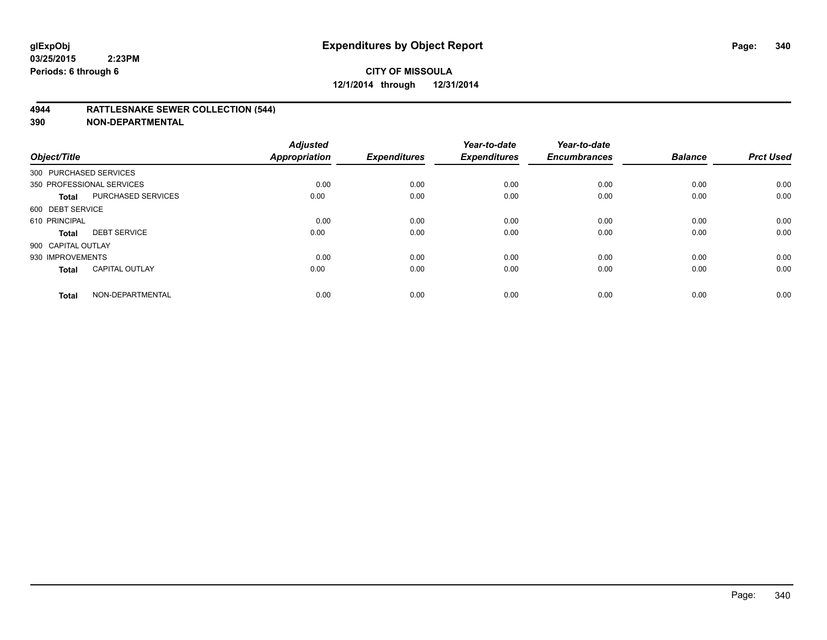#### **4944 RATTLESNAKE SEWER COLLECTION (544)**

| Object/Title           |                           | <b>Adjusted</b><br><b>Appropriation</b> | <b>Expenditures</b> | Year-to-date<br><b>Expenditures</b> | Year-to-date<br><b>Encumbrances</b> | <b>Balance</b> | <b>Prct Used</b> |
|------------------------|---------------------------|-----------------------------------------|---------------------|-------------------------------------|-------------------------------------|----------------|------------------|
| 300 PURCHASED SERVICES |                           |                                         |                     |                                     |                                     |                |                  |
|                        | 350 PROFESSIONAL SERVICES | 0.00                                    | 0.00                | 0.00                                | 0.00                                | 0.00           | 0.00             |
| <b>Total</b>           | <b>PURCHASED SERVICES</b> | 0.00                                    | 0.00                | 0.00                                | 0.00                                | 0.00           | 0.00             |
| 600 DEBT SERVICE       |                           |                                         |                     |                                     |                                     |                |                  |
| 610 PRINCIPAL          |                           | 0.00                                    | 0.00                | 0.00                                | 0.00                                | 0.00           | 0.00             |
| <b>Total</b>           | <b>DEBT SERVICE</b>       | 0.00                                    | 0.00                | 0.00                                | 0.00                                | 0.00           | 0.00             |
| 900 CAPITAL OUTLAY     |                           |                                         |                     |                                     |                                     |                |                  |
| 930 IMPROVEMENTS       |                           | 0.00                                    | 0.00                | 0.00                                | 0.00                                | 0.00           | 0.00             |
| <b>Total</b>           | <b>CAPITAL OUTLAY</b>     | 0.00                                    | 0.00                | 0.00                                | 0.00                                | 0.00           | 0.00             |
| <b>Total</b>           | NON-DEPARTMENTAL          | 0.00                                    | 0.00                | 0.00                                | 0.00                                | 0.00           | 0.00             |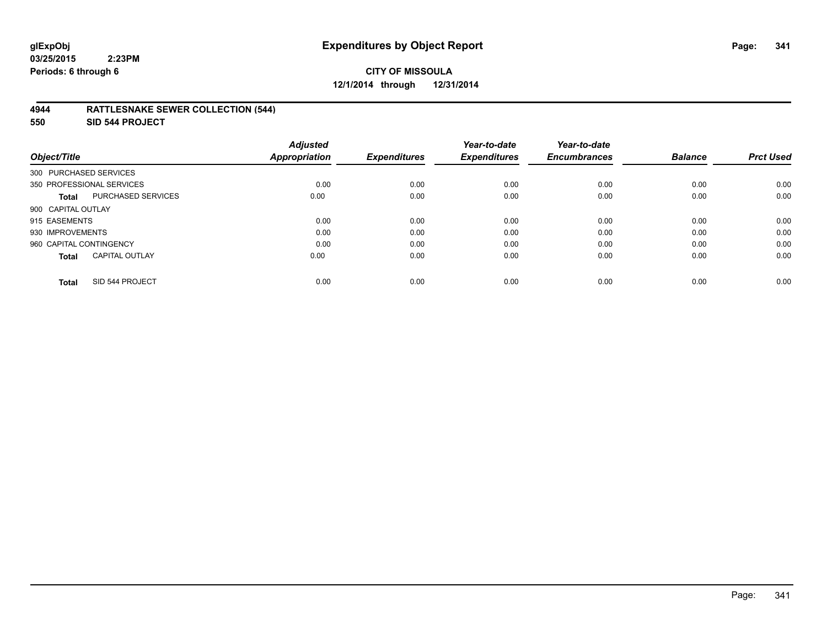# **CITY OF MISSOULA 12/1/2014 through 12/31/2014**

#### **4944 RATTLESNAKE SEWER COLLECTION (544)**

**550 SID 544 PROJECT**

| Object/Title                              | <b>Adjusted</b><br><b>Appropriation</b> | <b>Expenditures</b> | Year-to-date<br><b>Expenditures</b> | Year-to-date<br><b>Encumbrances</b> | <b>Balance</b> | <b>Prct Used</b> |
|-------------------------------------------|-----------------------------------------|---------------------|-------------------------------------|-------------------------------------|----------------|------------------|
| 300 PURCHASED SERVICES                    |                                         |                     |                                     |                                     |                |                  |
| 350 PROFESSIONAL SERVICES                 | 0.00                                    | 0.00                | 0.00                                | 0.00                                | 0.00           | 0.00             |
| <b>PURCHASED SERVICES</b><br><b>Total</b> | 0.00                                    | 0.00                | 0.00                                | 0.00                                | 0.00           | 0.00             |
| 900 CAPITAL OUTLAY                        |                                         |                     |                                     |                                     |                |                  |
| 915 EASEMENTS                             | 0.00                                    | 0.00                | 0.00                                | 0.00                                | 0.00           | 0.00             |
| 930 IMPROVEMENTS                          | 0.00                                    | 0.00                | 0.00                                | 0.00                                | 0.00           | 0.00             |
| 960 CAPITAL CONTINGENCY                   | 0.00                                    | 0.00                | 0.00                                | 0.00                                | 0.00           | 0.00             |
| <b>CAPITAL OUTLAY</b><br><b>Total</b>     | 0.00                                    | 0.00                | 0.00                                | 0.00                                | 0.00           | 0.00             |
| SID 544 PROJECT<br><b>Total</b>           | 0.00                                    | 0.00                | 0.00                                | 0.00                                | 0.00           | 0.00             |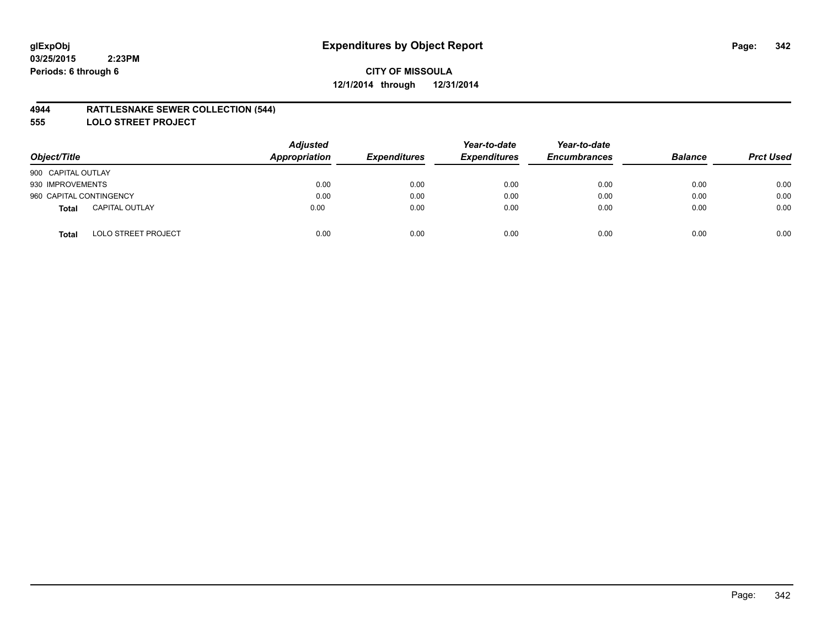#### **4944 RATTLESNAKE SEWER COLLECTION (544)**

**555 LOLO STREET PROJECT**

| Object/Title                               | <b>Adjusted</b><br><b>Appropriation</b> | <b>Expenditures</b> | Year-to-date<br><b>Expenditures</b> | Year-to-date<br><b>Encumbrances</b> | <b>Balance</b> | <b>Prct Used</b> |
|--------------------------------------------|-----------------------------------------|---------------------|-------------------------------------|-------------------------------------|----------------|------------------|
| 900 CAPITAL OUTLAY                         |                                         |                     |                                     |                                     |                |                  |
| 930 IMPROVEMENTS                           | 0.00                                    | 0.00                | 0.00                                | 0.00                                | 0.00           | 0.00             |
| 960 CAPITAL CONTINGENCY                    | 0.00                                    | 0.00                | 0.00                                | 0.00                                | 0.00           | 0.00             |
| <b>CAPITAL OUTLAY</b><br>Total             | 0.00                                    | 0.00                | 0.00                                | 0.00                                | 0.00           | 0.00             |
| <b>LOLO STREET PROJECT</b><br><b>Total</b> | 0.00                                    | 0.00                | 0.00                                | 0.00                                | 0.00           | 0.00             |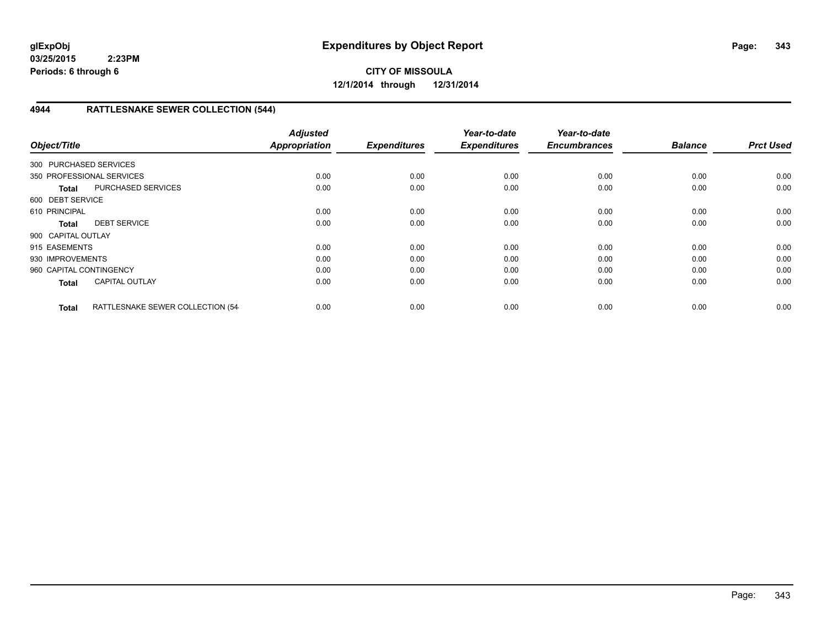**CITY OF MISSOULA 12/1/2014 through 12/31/2014**

## **4944 RATTLESNAKE SEWER COLLECTION (544)**

| Object/Title            |                                  | <b>Adjusted</b><br><b>Appropriation</b> | <b>Expenditures</b> | Year-to-date<br><b>Expenditures</b> | Year-to-date<br><b>Encumbrances</b> | <b>Balance</b> | <b>Prct Used</b> |
|-------------------------|----------------------------------|-----------------------------------------|---------------------|-------------------------------------|-------------------------------------|----------------|------------------|
| 300 PURCHASED SERVICES  |                                  |                                         |                     |                                     |                                     |                |                  |
|                         | 350 PROFESSIONAL SERVICES        | 0.00                                    | 0.00                | 0.00                                | 0.00                                | 0.00           | 0.00             |
| <b>Total</b>            | <b>PURCHASED SERVICES</b>        | 0.00                                    | 0.00                | 0.00                                | 0.00                                | 0.00           | 0.00             |
| 600 DEBT SERVICE        |                                  |                                         |                     |                                     |                                     |                |                  |
| 610 PRINCIPAL           |                                  | 0.00                                    | 0.00                | 0.00                                | 0.00                                | 0.00           | 0.00             |
| <b>Total</b>            | <b>DEBT SERVICE</b>              | 0.00                                    | 0.00                | 0.00                                | 0.00                                | 0.00           | 0.00             |
| 900 CAPITAL OUTLAY      |                                  |                                         |                     |                                     |                                     |                |                  |
| 915 EASEMENTS           |                                  | 0.00                                    | 0.00                | 0.00                                | 0.00                                | 0.00           | 0.00             |
| 930 IMPROVEMENTS        |                                  | 0.00                                    | 0.00                | 0.00                                | 0.00                                | 0.00           | 0.00             |
| 960 CAPITAL CONTINGENCY |                                  | 0.00                                    | 0.00                | 0.00                                | 0.00                                | 0.00           | 0.00             |
| <b>Total</b>            | <b>CAPITAL OUTLAY</b>            | 0.00                                    | 0.00                | 0.00                                | 0.00                                | 0.00           | 0.00             |
| <b>Total</b>            | RATTLESNAKE SEWER COLLECTION (54 | 0.00                                    | 0.00                | 0.00                                | 0.00                                | 0.00           | 0.00             |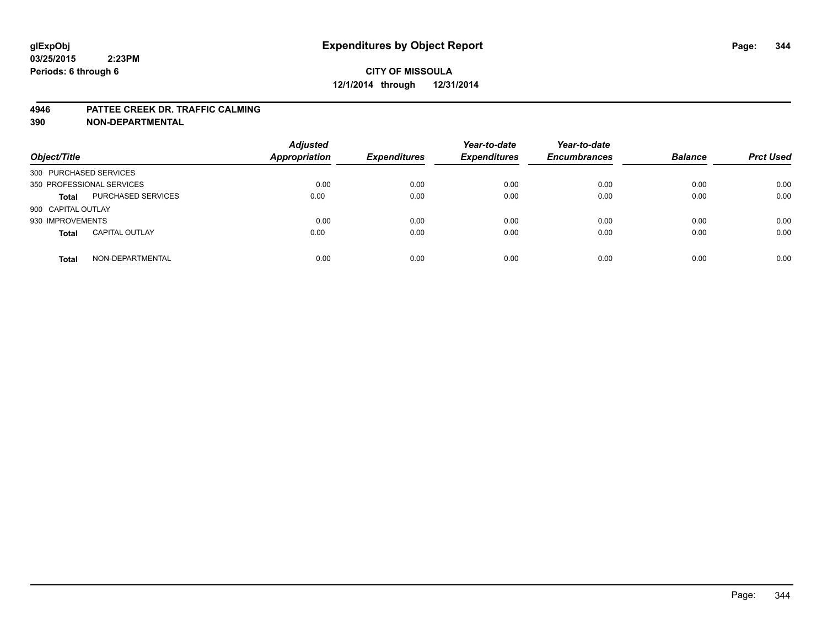#### **4946 PATTEE CREEK DR. TRAFFIC CALMING**

| Object/Title              |                       | <b>Adjusted</b><br>Appropriation | <b>Expenditures</b> | Year-to-date<br><b>Expenditures</b> | Year-to-date<br><b>Encumbrances</b> | <b>Balance</b> | <b>Prct Used</b> |
|---------------------------|-----------------------|----------------------------------|---------------------|-------------------------------------|-------------------------------------|----------------|------------------|
| 300 PURCHASED SERVICES    |                       |                                  |                     |                                     |                                     |                |                  |
| 350 PROFESSIONAL SERVICES |                       | 0.00                             | 0.00                | 0.00                                | 0.00                                | 0.00           | 0.00             |
| <b>Total</b>              | PURCHASED SERVICES    | 0.00                             | 0.00                | 0.00                                | 0.00                                | 0.00           | 0.00             |
| 900 CAPITAL OUTLAY        |                       |                                  |                     |                                     |                                     |                |                  |
| 930 IMPROVEMENTS          |                       | 0.00                             | 0.00                | 0.00                                | 0.00                                | 0.00           | 0.00             |
| <b>Total</b>              | <b>CAPITAL OUTLAY</b> | 0.00                             | 0.00                | 0.00                                | 0.00                                | 0.00           | 0.00             |
| <b>Total</b>              | NON-DEPARTMENTAL      | 0.00                             | 0.00                | 0.00                                | 0.00                                | 0.00           | 0.00             |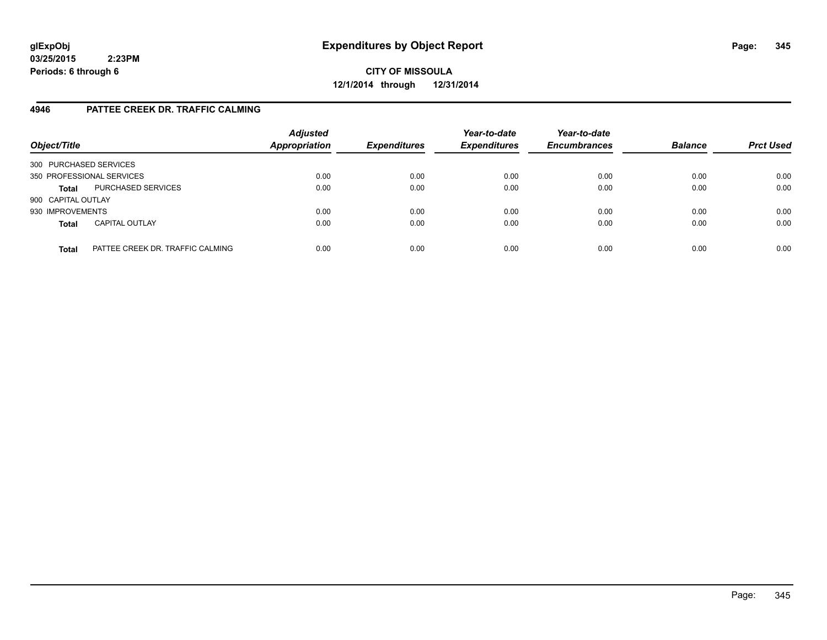**CITY OF MISSOULA 12/1/2014 through 12/31/2014**

## **4946 PATTEE CREEK DR. TRAFFIC CALMING**

| Object/Title           |                                  | <b>Adjusted</b><br><b>Appropriation</b> | <b>Expenditures</b> | Year-to-date<br><b>Expenditures</b> | Year-to-date<br><b>Encumbrances</b> | <b>Balance</b> | <b>Prct Used</b> |
|------------------------|----------------------------------|-----------------------------------------|---------------------|-------------------------------------|-------------------------------------|----------------|------------------|
| 300 PURCHASED SERVICES |                                  |                                         |                     |                                     |                                     |                |                  |
|                        | 350 PROFESSIONAL SERVICES        | 0.00                                    | 0.00                | 0.00                                | 0.00                                | 0.00           | 0.00             |
| <b>Total</b>           | PURCHASED SERVICES               | 0.00                                    | 0.00                | 0.00                                | 0.00                                | 0.00           | 0.00             |
| 900 CAPITAL OUTLAY     |                                  |                                         |                     |                                     |                                     |                |                  |
| 930 IMPROVEMENTS       |                                  | 0.00                                    | 0.00                | 0.00                                | 0.00                                | 0.00           | 0.00             |
| <b>Total</b>           | <b>CAPITAL OUTLAY</b>            | 0.00                                    | 0.00                | 0.00                                | 0.00                                | 0.00           | 0.00             |
| <b>Total</b>           | PATTEE CREEK DR. TRAFFIC CALMING | 0.00                                    | 0.00                | 0.00                                | 0.00                                | 0.00           | 0.00             |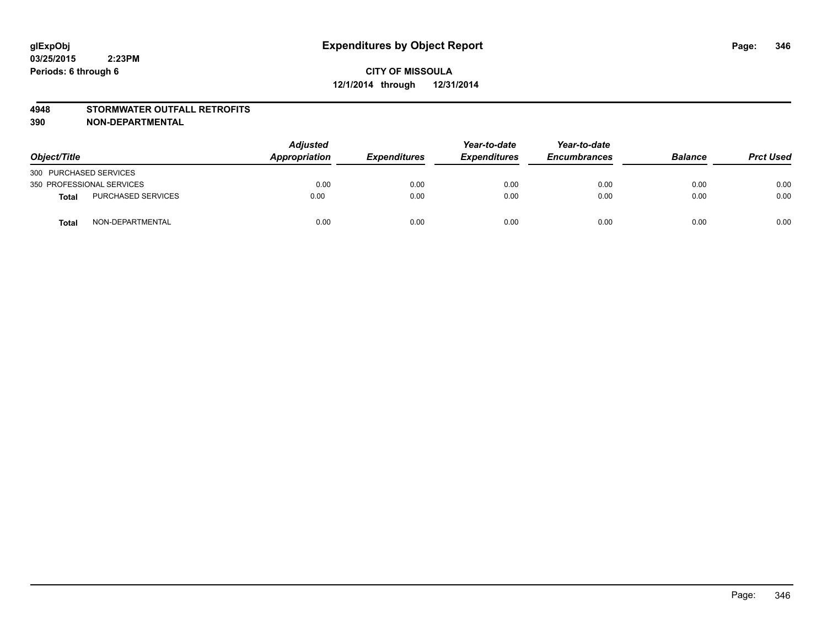#### **4948 STORMWATER OUTFALL RETROFITS**

| Object/Title              |                           | <b>Adjusted</b><br>Appropriation | <b>Expenditures</b> | Year-to-date<br><b>Expenditures</b> | Year-to-date<br><b>Encumbrances</b> | <b>Balance</b> | <b>Prct Used</b> |
|---------------------------|---------------------------|----------------------------------|---------------------|-------------------------------------|-------------------------------------|----------------|------------------|
| 300 PURCHASED SERVICES    |                           |                                  |                     |                                     |                                     |                |                  |
| 350 PROFESSIONAL SERVICES |                           | 0.00                             | 0.00                | 0.00                                | 0.00                                | 0.00           | 0.00             |
| <b>Total</b>              | <b>PURCHASED SERVICES</b> | 0.00                             | 0.00                | 0.00                                | 0.00                                | 0.00           | 0.00             |
| <b>Total</b>              | NON-DEPARTMENTAL          | 0.00                             | 0.00                | 0.00                                | 0.00                                | 0.00           | 0.00             |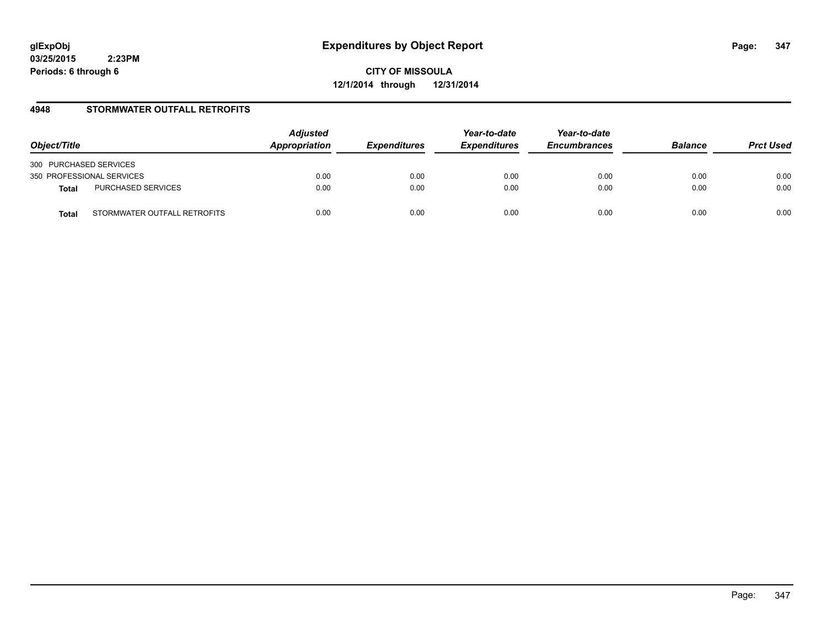**CITY OF MISSOULA 12/1/2014 through 12/31/2014**

## **4948 STORMWATER OUTFALL RETROFITS**

| Object/Title                          | <b>Adjusted</b><br>Appropriation | <b>Expenditures</b> | Year-to-date<br><b>Expenditures</b> | Year-to-date<br><b>Encumbrances</b> | <b>Balance</b> | <b>Prct Used</b> |
|---------------------------------------|----------------------------------|---------------------|-------------------------------------|-------------------------------------|----------------|------------------|
| 300 PURCHASED SERVICES                |                                  |                     |                                     |                                     |                |                  |
| 350 PROFESSIONAL SERVICES             | 0.00                             | 0.00                | 0.00                                | 0.00                                | 0.00           | 0.00             |
| PURCHASED SERVICES<br><b>Total</b>    | 0.00                             | 0.00                | 0.00                                | 0.00                                | 0.00           | 0.00             |
| STORMWATER OUTFALL RETROFITS<br>Total | 0.00                             | 0.00                | 0.00                                | 0.00                                | 0.00           | 0.00             |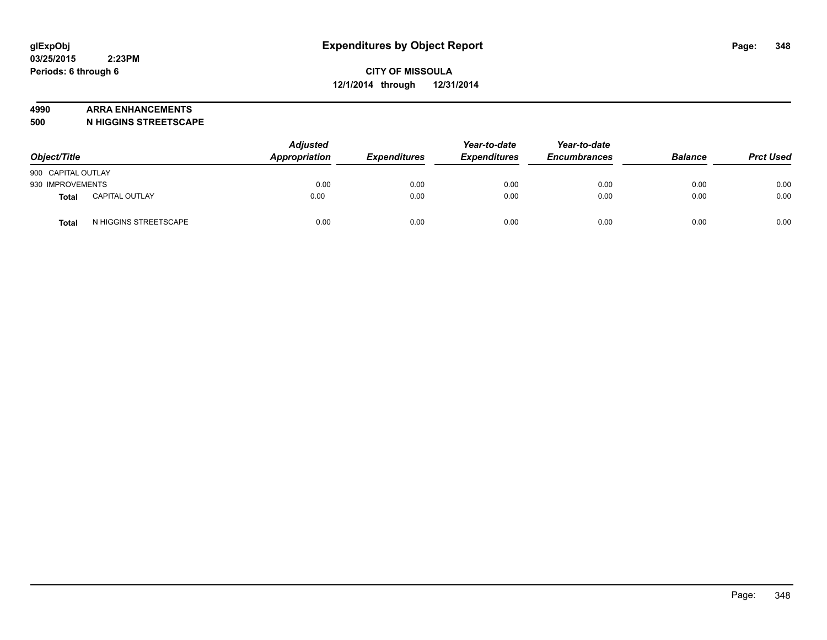#### **4990 ARRA ENHANCEMENTS**

**500 N HIGGINS STREETSCAPE**

| Object/Title       |                       | <b>Adjusted</b><br>Appropriation | <b>Expenditures</b> | Year-to-date<br><b>Expenditures</b> | Year-to-date<br><b>Encumbrances</b> | <b>Balance</b> | <b>Prct Used</b> |
|--------------------|-----------------------|----------------------------------|---------------------|-------------------------------------|-------------------------------------|----------------|------------------|
| 900 CAPITAL OUTLAY |                       |                                  |                     |                                     |                                     |                |                  |
| 930 IMPROVEMENTS   |                       | 0.00                             | 0.00                | 0.00                                | 0.00                                | 0.00           | 0.00             |
| Total              | <b>CAPITAL OUTLAY</b> | 0.00                             | 0.00                | 0.00                                | 0.00                                | 0.00           | 0.00             |
| <b>Total</b>       | N HIGGINS STREETSCAPE | 0.00                             | 0.00                | 0.00                                | 0.00                                | 0.00           | 0.00             |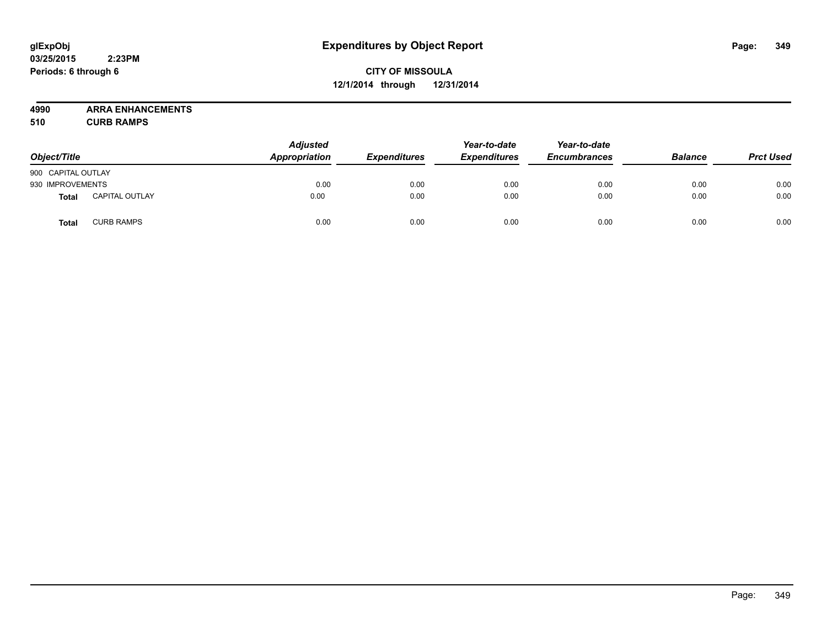# **CITY OF MISSOULA 12/1/2014 through 12/31/2014**

**4990 ARRA ENHANCEMENTS**

**510 CURB RAMPS**

| Object/Title       |                       | <b>Adjusted</b><br>Appropriation | <b>Expenditures</b> | Year-to-date<br><b>Expenditures</b> | Year-to-date<br><b>Encumbrances</b> | <b>Balance</b> | <b>Prct Used</b> |
|--------------------|-----------------------|----------------------------------|---------------------|-------------------------------------|-------------------------------------|----------------|------------------|
| 900 CAPITAL OUTLAY |                       |                                  |                     |                                     |                                     |                |                  |
| 930 IMPROVEMENTS   |                       | 0.00                             | 0.00                | 0.00                                | 0.00                                | 0.00           | 0.00             |
| <b>Total</b>       | <b>CAPITAL OUTLAY</b> | 0.00                             | 0.00                | 0.00                                | 0.00                                | 0.00           | 0.00             |
| Total              | <b>CURB RAMPS</b>     | 0.00                             | 0.00                | 0.00                                | 0.00                                | 0.00           | 0.00             |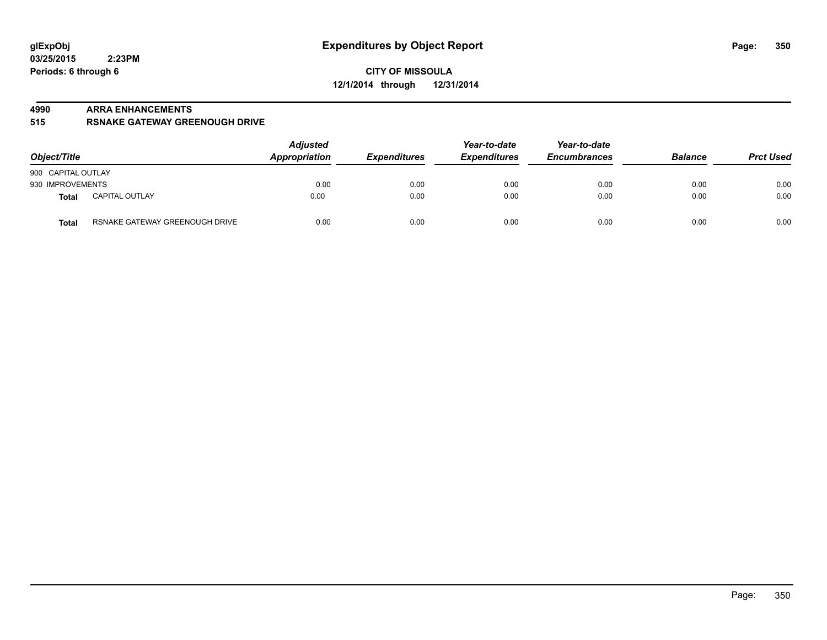#### **4990 ARRA ENHANCEMENTS**

**515 RSNAKE GATEWAY GREENOUGH DRIVE**

| Object/Title                                   | <b>Adjusted</b><br>Appropriation | <b>Expenditures</b> | Year-to-date<br><b>Expenditures</b> | Year-to-date<br><b>Encumbrances</b> | <b>Balance</b> | <b>Prct Used</b> |
|------------------------------------------------|----------------------------------|---------------------|-------------------------------------|-------------------------------------|----------------|------------------|
| 900 CAPITAL OUTLAY                             |                                  |                     |                                     |                                     |                |                  |
| 930 IMPROVEMENTS                               | 0.00                             | 0.00                | 0.00                                | 0.00                                | 0.00           | 0.00             |
| <b>CAPITAL OUTLAY</b><br><b>Total</b>          | 0.00                             | 0.00                | 0.00                                | 0.00                                | 0.00           | 0.00             |
| RSNAKE GATEWAY GREENOUGH DRIVE<br><b>Total</b> | 0.00                             | 0.00                | 0.00                                | 0.00                                | 0.00           | 0.00             |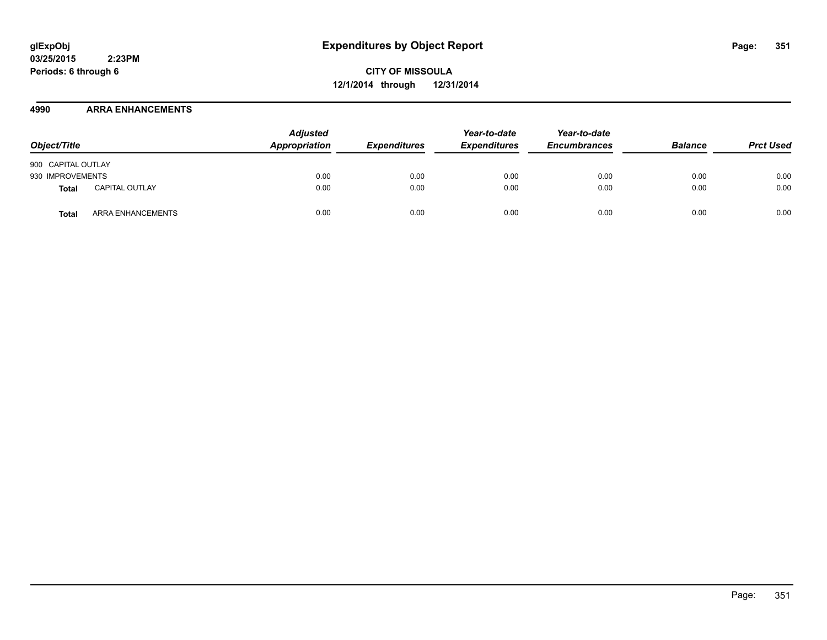**CITY OF MISSOULA 12/1/2014 through 12/31/2014**

#### **4990 ARRA ENHANCEMENTS**

| Object/Title       |                       | <b>Adjusted</b><br>Appropriation | <b>Expenditures</b> | Year-to-date<br><b>Expenditures</b> | Year-to-date<br><b>Encumbrances</b> | <b>Balance</b> | <b>Prct Used</b> |
|--------------------|-----------------------|----------------------------------|---------------------|-------------------------------------|-------------------------------------|----------------|------------------|
| 900 CAPITAL OUTLAY |                       |                                  |                     |                                     |                                     |                |                  |
| 930 IMPROVEMENTS   |                       | 0.00                             | 0.00                | 0.00                                | 0.00                                | 0.00           | 0.00             |
| Total              | <b>CAPITAL OUTLAY</b> | 0.00                             | 0.00                | 0.00                                | 0.00                                | 0.00           | 0.00             |
| Total              | ARRA ENHANCEMENTS     | 0.00                             | 0.00                | 0.00                                | 0.00                                | 0.00           | 0.00             |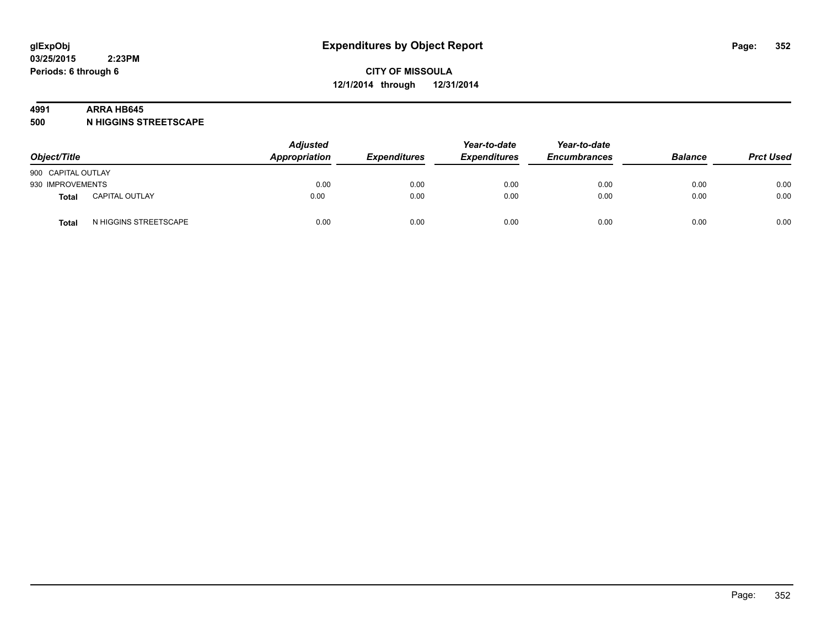#### **4991 ARRA HB645**

**500 N HIGGINS STREETSCAPE**

| Object/Title       |                       | <b>Adjusted</b><br>Appropriation | <b>Expenditures</b> | Year-to-date<br><b>Expenditures</b> | Year-to-date<br><b>Encumbrances</b> | <b>Balance</b> | <b>Prct Used</b> |
|--------------------|-----------------------|----------------------------------|---------------------|-------------------------------------|-------------------------------------|----------------|------------------|
| 900 CAPITAL OUTLAY |                       |                                  |                     |                                     |                                     |                |                  |
| 930 IMPROVEMENTS   |                       | 0.00                             | 0.00                | 0.00                                | 0.00                                | 0.00           | 0.00             |
| <b>Total</b>       | <b>CAPITAL OUTLAY</b> | 0.00                             | 0.00                | 0.00                                | 0.00                                | 0.00           | 0.00             |
| Total              | N HIGGINS STREETSCAPE | 0.00                             | 0.00                | 0.00                                | 0.00                                | 0.00           | 0.00             |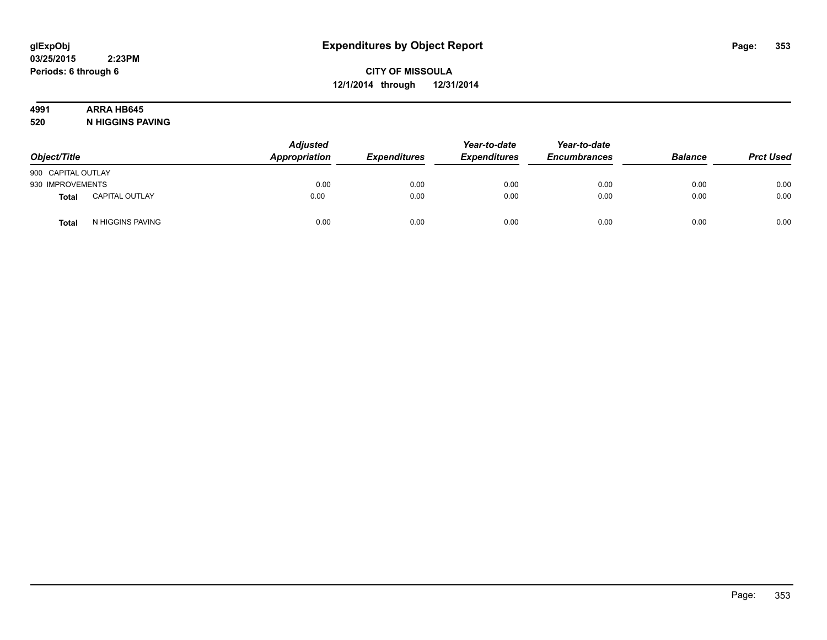# **4991 ARRA HB645**

**520 N HIGGINS PAVING**

| Object/Title       |                       | <b>Adjusted</b><br>Appropriation | <b>Expenditures</b> | Year-to-date<br><b>Expenditures</b> | Year-to-date<br><b>Encumbrances</b> | <b>Balance</b> | <b>Prct Used</b> |
|--------------------|-----------------------|----------------------------------|---------------------|-------------------------------------|-------------------------------------|----------------|------------------|
| 900 CAPITAL OUTLAY |                       |                                  |                     |                                     |                                     |                |                  |
| 930 IMPROVEMENTS   |                       | 0.00                             | 0.00                | 0.00                                | 0.00                                | 0.00           | 0.00             |
| <b>Total</b>       | <b>CAPITAL OUTLAY</b> | 0.00                             | 0.00                | 0.00                                | 0.00                                | 0.00           | 0.00             |
| Total              | N HIGGINS PAVING      | 0.00                             | 0.00                | 0.00                                | 0.00                                | 0.00           | 0.00             |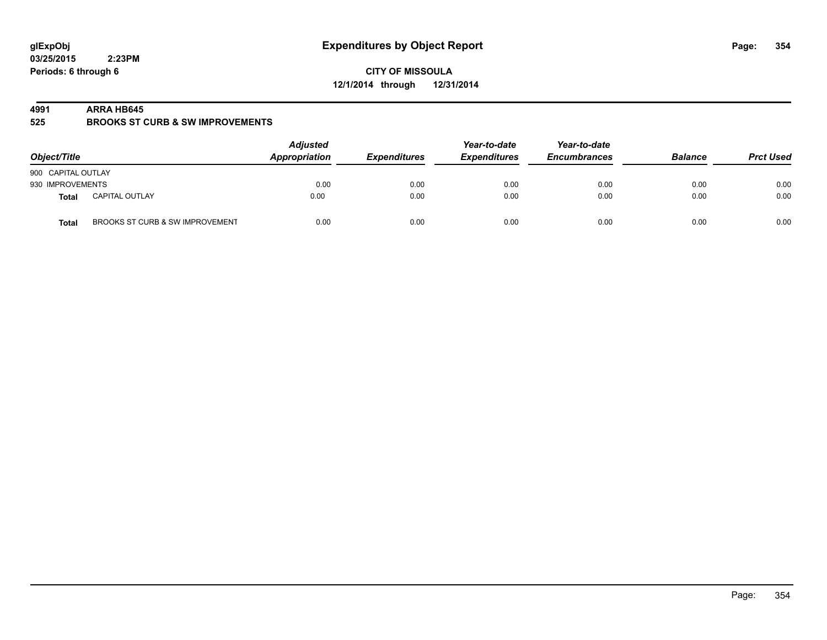**CITY OF MISSOULA 12/1/2014 through 12/31/2014**

#### **4991 ARRA HB645**

**525 BROOKS ST CURB & SW IMPROVEMENTS**

| Object/Title       |                                 | <b>Adjusted</b><br>Appropriation | <b>Expenditures</b> | Year-to-date<br><b>Expenditures</b> | Year-to-date<br><b>Encumbrances</b> | <b>Balance</b> | <b>Prct Used</b> |
|--------------------|---------------------------------|----------------------------------|---------------------|-------------------------------------|-------------------------------------|----------------|------------------|
| 900 CAPITAL OUTLAY |                                 |                                  |                     |                                     |                                     |                |                  |
| 930 IMPROVEMENTS   |                                 | 0.00                             | 0.00                | 0.00                                | 0.00                                | 0.00           | 0.00             |
| <b>Total</b>       | <b>CAPITAL OUTLAY</b>           | 0.00                             | 0.00                | 0.00                                | 0.00                                | 0.00           | 0.00             |
| <b>Total</b>       | BROOKS ST CURB & SW IMPROVEMENT | 0.00                             | 0.00                | 0.00                                | 0.00                                | 0.00           | 0.00             |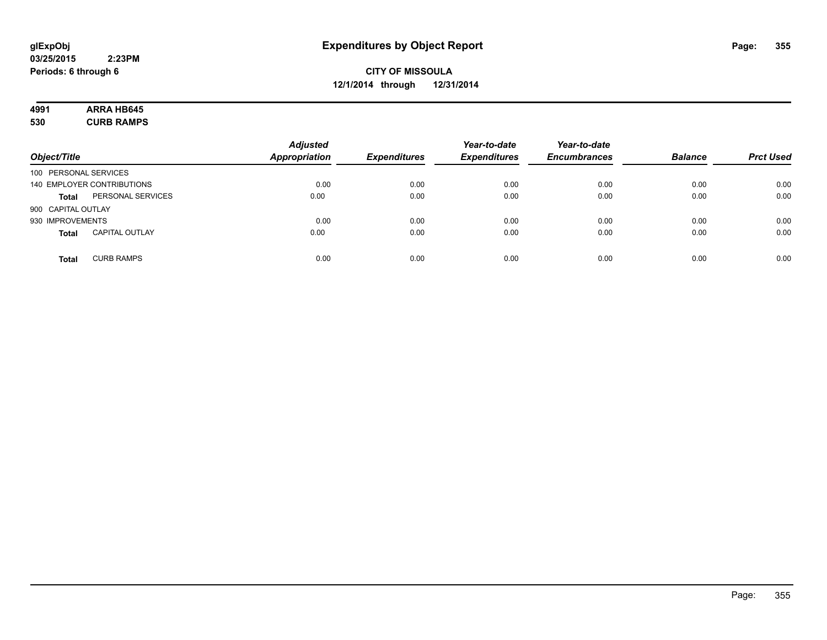# **4991 ARRA HB645**

**530 CURB RAMPS**

|                       |                            | <b>Adjusted</b>      |                     | Year-to-date        | Year-to-date        |                |                  |
|-----------------------|----------------------------|----------------------|---------------------|---------------------|---------------------|----------------|------------------|
| Object/Title          |                            | <b>Appropriation</b> | <b>Expenditures</b> | <b>Expenditures</b> | <b>Encumbrances</b> | <b>Balance</b> | <b>Prct Used</b> |
| 100 PERSONAL SERVICES |                            |                      |                     |                     |                     |                |                  |
|                       | 140 EMPLOYER CONTRIBUTIONS | 0.00                 | 0.00                | 0.00                | 0.00                | 0.00           | 0.00             |
| <b>Total</b>          | PERSONAL SERVICES          | 0.00                 | 0.00                | 0.00                | 0.00                | 0.00           | 0.00             |
| 900 CAPITAL OUTLAY    |                            |                      |                     |                     |                     |                |                  |
| 930 IMPROVEMENTS      |                            | 0.00                 | 0.00                | 0.00                | 0.00                | 0.00           | 0.00             |
| <b>Total</b>          | <b>CAPITAL OUTLAY</b>      | 0.00                 | 0.00                | 0.00                | 0.00                | 0.00           | 0.00             |
| <b>Total</b>          | <b>CURB RAMPS</b>          | 0.00                 | 0.00                | 0.00                | 0.00                | 0.00           | 0.00             |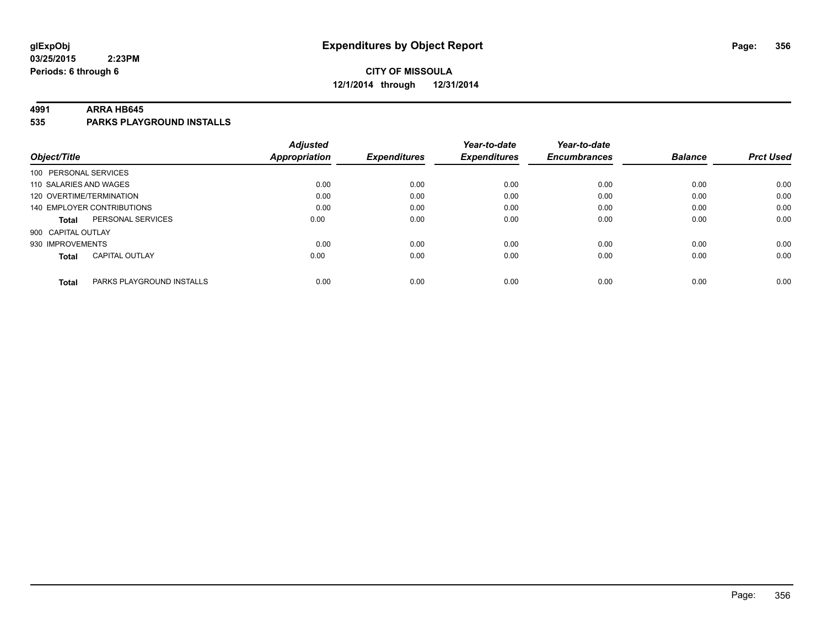#### **4991 ARRA HB645**

**535 PARKS PLAYGROUND INSTALLS**

|                          |                            | <b>Adjusted</b>      |                     | Year-to-date        | Year-to-date        |                |                  |
|--------------------------|----------------------------|----------------------|---------------------|---------------------|---------------------|----------------|------------------|
| Object/Title             |                            | <b>Appropriation</b> | <b>Expenditures</b> | <b>Expenditures</b> | <b>Encumbrances</b> | <b>Balance</b> | <b>Prct Used</b> |
| 100 PERSONAL SERVICES    |                            |                      |                     |                     |                     |                |                  |
| 110 SALARIES AND WAGES   |                            | 0.00                 | 0.00                | 0.00                | 0.00                | 0.00           | 0.00             |
| 120 OVERTIME/TERMINATION |                            | 0.00                 | 0.00                | 0.00                | 0.00                | 0.00           | 0.00             |
|                          | 140 EMPLOYER CONTRIBUTIONS | 0.00                 | 0.00                | 0.00                | 0.00                | 0.00           | 0.00             |
| <b>Total</b>             | PERSONAL SERVICES          | 0.00                 | 0.00                | 0.00                | 0.00                | 0.00           | 0.00             |
| 900 CAPITAL OUTLAY       |                            |                      |                     |                     |                     |                |                  |
| 930 IMPROVEMENTS         |                            | 0.00                 | 0.00                | 0.00                | 0.00                | 0.00           | 0.00             |
| <b>Total</b>             | <b>CAPITAL OUTLAY</b>      | 0.00                 | 0.00                | 0.00                | 0.00                | 0.00           | 0.00             |
| <b>Total</b>             | PARKS PLAYGROUND INSTALLS  | 0.00                 | 0.00                | 0.00                | 0.00                | 0.00           | 0.00             |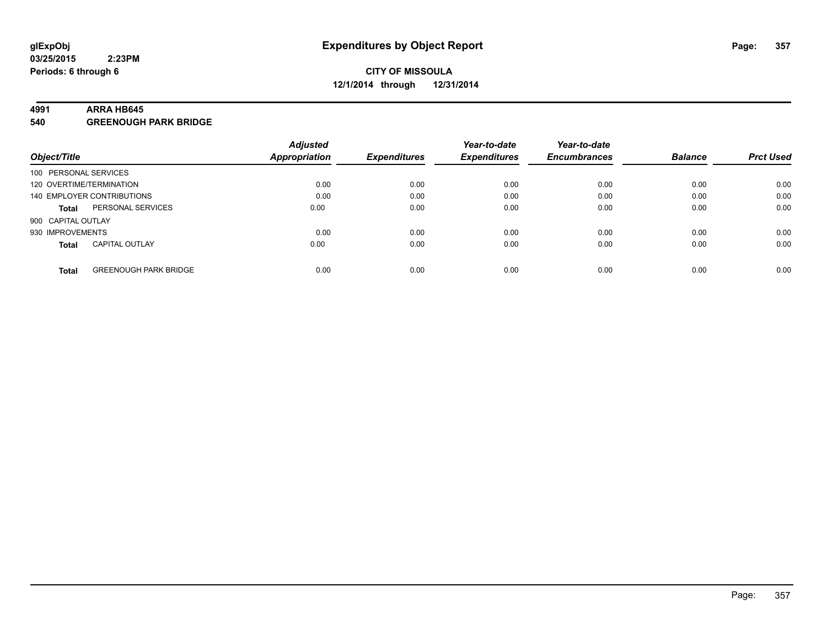#### **4991 ARRA HB645**

**540 GREENOUGH PARK BRIDGE**

|                                              | <b>Adjusted</b> |                     | Year-to-date        | Year-to-date        |                |                  |
|----------------------------------------------|-----------------|---------------------|---------------------|---------------------|----------------|------------------|
| Object/Title                                 | Appropriation   | <b>Expenditures</b> | <b>Expenditures</b> | <b>Encumbrances</b> | <b>Balance</b> | <b>Prct Used</b> |
| 100 PERSONAL SERVICES                        |                 |                     |                     |                     |                |                  |
| 120 OVERTIME/TERMINATION                     | 0.00            | 0.00                | 0.00                | 0.00                | 0.00           | 0.00             |
| 140 EMPLOYER CONTRIBUTIONS                   | 0.00            | 0.00                | 0.00                | 0.00                | 0.00           | 0.00             |
| PERSONAL SERVICES<br><b>Total</b>            | 0.00            | 0.00                | 0.00                | 0.00                | 0.00           | 0.00             |
| 900 CAPITAL OUTLAY                           |                 |                     |                     |                     |                |                  |
| 930 IMPROVEMENTS                             | 0.00            | 0.00                | 0.00                | 0.00                | 0.00           | 0.00             |
| <b>CAPITAL OUTLAY</b><br><b>Total</b>        | 0.00            | 0.00                | 0.00                | 0.00                | 0.00           | 0.00             |
| <b>GREENOUGH PARK BRIDGE</b><br><b>Total</b> | 0.00            | 0.00                | 0.00                | 0.00                | 0.00           | 0.00             |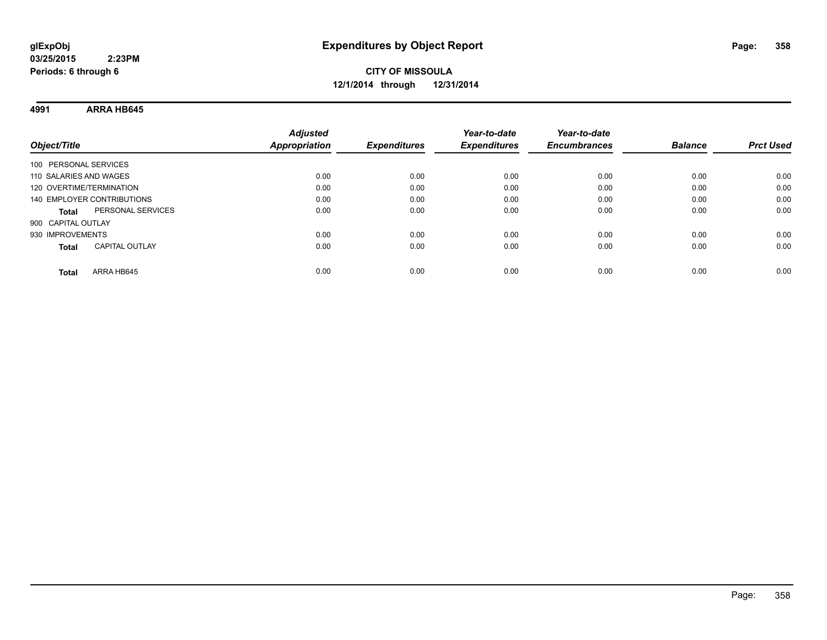**4991 ARRA HB645**

| Object/Title                          | <b>Adjusted</b><br><b>Appropriation</b> | <b>Expenditures</b> | Year-to-date<br><b>Expenditures</b> | Year-to-date<br><b>Encumbrances</b> | <b>Balance</b> | <b>Prct Used</b> |
|---------------------------------------|-----------------------------------------|---------------------|-------------------------------------|-------------------------------------|----------------|------------------|
| 100 PERSONAL SERVICES                 |                                         |                     |                                     |                                     |                |                  |
| 110 SALARIES AND WAGES                | 0.00                                    | 0.00                | 0.00                                | 0.00                                | 0.00           | 0.00             |
| 120 OVERTIME/TERMINATION              | 0.00                                    | 0.00                | 0.00                                | 0.00                                | 0.00           | 0.00             |
| 140 EMPLOYER CONTRIBUTIONS            | 0.00                                    | 0.00                | 0.00                                | 0.00                                | 0.00           | 0.00             |
| PERSONAL SERVICES<br><b>Total</b>     | 0.00                                    | 0.00                | 0.00                                | 0.00                                | 0.00           | 0.00             |
| 900 CAPITAL OUTLAY                    |                                         |                     |                                     |                                     |                |                  |
| 930 IMPROVEMENTS                      | 0.00                                    | 0.00                | 0.00                                | 0.00                                | 0.00           | 0.00             |
| <b>CAPITAL OUTLAY</b><br><b>Total</b> | 0.00                                    | 0.00                | 0.00                                | 0.00                                | 0.00           | 0.00             |
| ARRA HB645<br>Total                   | 0.00                                    | 0.00                | 0.00                                | 0.00                                | 0.00           | 0.00             |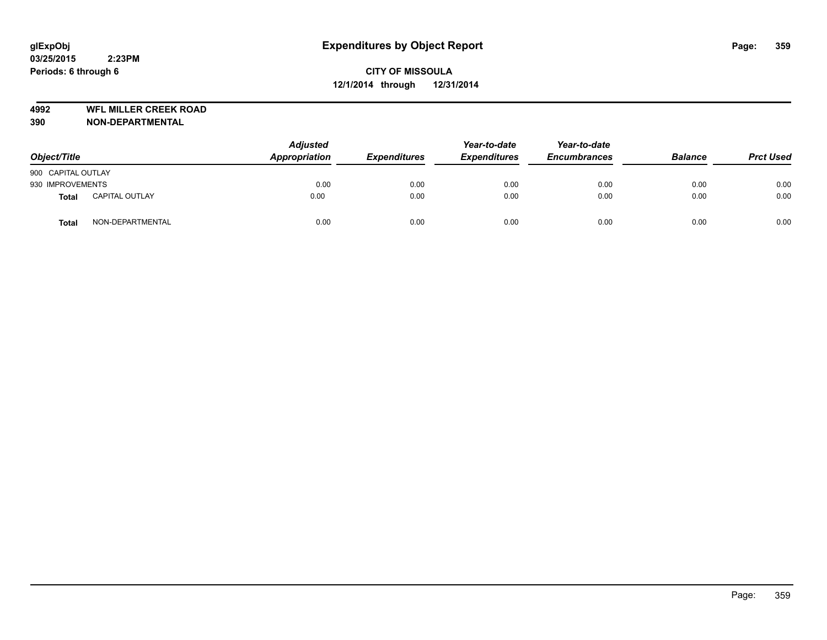**4992 WFL MILLER CREEK ROAD**

| Object/Title       |                       | <b>Adjusted</b><br>Appropriation | <b>Expenditures</b> | Year-to-date<br><b>Expenditures</b> | Year-to-date<br><b>Encumbrances</b> | <b>Balance</b> | <b>Prct Used</b> |
|--------------------|-----------------------|----------------------------------|---------------------|-------------------------------------|-------------------------------------|----------------|------------------|
| 900 CAPITAL OUTLAY |                       |                                  |                     |                                     |                                     |                |                  |
| 930 IMPROVEMENTS   |                       | 0.00                             | 0.00                | 0.00                                | 0.00                                | 0.00           | 0.00             |
| <b>Total</b>       | <b>CAPITAL OUTLAY</b> | 0.00                             | 0.00                | 0.00                                | 0.00                                | 0.00           | 0.00             |
| <b>Total</b>       | NON-DEPARTMENTAL      | 0.00                             | 0.00                | 0.00                                | 0.00                                | 0.00           | 0.00             |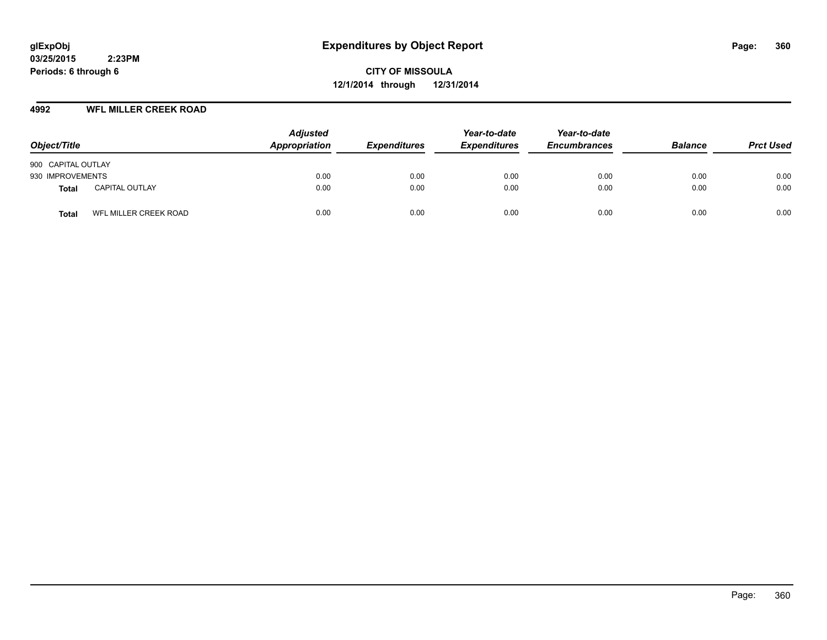**CITY OF MISSOULA 12/1/2014 through 12/31/2014**

#### **4992 WFL MILLER CREEK ROAD**

| Object/Title       |                       | <b>Adjusted</b><br>Appropriation | <b>Expenditures</b> | Year-to-date<br><b>Expenditures</b> | Year-to-date<br><b>Encumbrances</b> | <b>Balance</b> | <b>Prct Used</b> |
|--------------------|-----------------------|----------------------------------|---------------------|-------------------------------------|-------------------------------------|----------------|------------------|
| 900 CAPITAL OUTLAY |                       |                                  |                     |                                     |                                     |                |                  |
| 930 IMPROVEMENTS   |                       | 0.00                             | 0.00                | 0.00                                | 0.00                                | 0.00           | 0.00             |
| Total              | <b>CAPITAL OUTLAY</b> | 0.00                             | 0.00                | 0.00                                | 0.00                                | 0.00           | 0.00             |
| Total              | WFL MILLER CREEK ROAD | 0.00                             | 0.00                | 0.00                                | 0.00                                | 0.00           | 0.00             |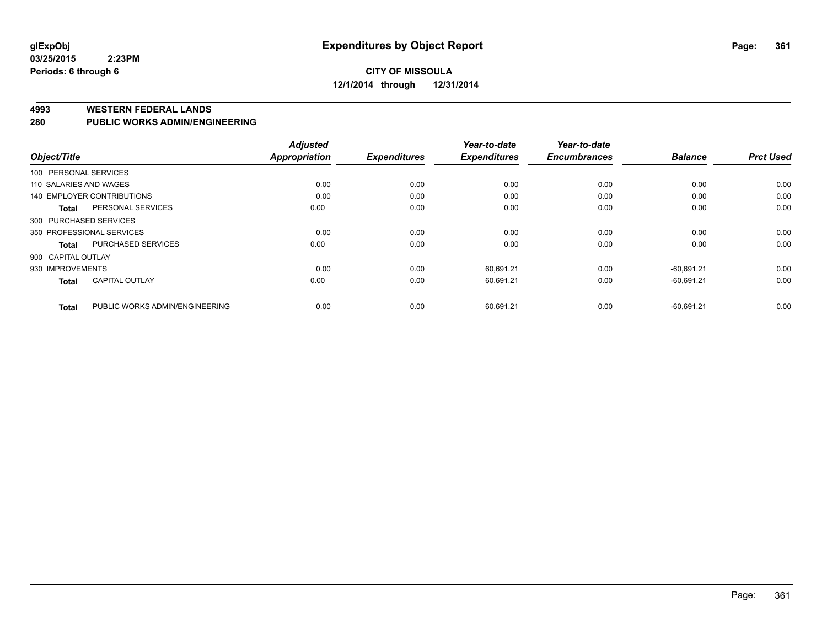#### **4993 WESTERN FEDERAL LANDS**

#### **280 PUBLIC WORKS ADMIN/ENGINEERING**

|                           |                                | <b>Adjusted</b> |                     | Year-to-date        | Year-to-date<br><b>Encumbrances</b> | <b>Balance</b> | <b>Prct Used</b> |
|---------------------------|--------------------------------|-----------------|---------------------|---------------------|-------------------------------------|----------------|------------------|
| Object/Title              |                                | Appropriation   | <b>Expenditures</b> | <b>Expenditures</b> |                                     |                |                  |
| 100 PERSONAL SERVICES     |                                |                 |                     |                     |                                     |                |                  |
| 110 SALARIES AND WAGES    |                                | 0.00            | 0.00                | 0.00                | 0.00                                | 0.00           | 0.00             |
|                           | 140 EMPLOYER CONTRIBUTIONS     | 0.00            | 0.00                | 0.00                | 0.00                                | 0.00           | 0.00             |
| <b>Total</b>              | PERSONAL SERVICES              | 0.00            | 0.00                | 0.00                | 0.00                                | 0.00           | 0.00             |
| 300 PURCHASED SERVICES    |                                |                 |                     |                     |                                     |                |                  |
| 350 PROFESSIONAL SERVICES |                                | 0.00            | 0.00                | 0.00                | 0.00                                | 0.00           | 0.00             |
| <b>Total</b>              | <b>PURCHASED SERVICES</b>      | 0.00            | 0.00                | 0.00                | 0.00                                | 0.00           | 0.00             |
| 900 CAPITAL OUTLAY        |                                |                 |                     |                     |                                     |                |                  |
| 930 IMPROVEMENTS          |                                | 0.00            | 0.00                | 60,691.21           | 0.00                                | $-60,691.21$   | 0.00             |
| <b>Total</b>              | <b>CAPITAL OUTLAY</b>          | 0.00            | 0.00                | 60,691.21           | 0.00                                | $-60,691.21$   | 0.00             |
|                           |                                |                 |                     |                     |                                     |                |                  |
| <b>Total</b>              | PUBLIC WORKS ADMIN/ENGINEERING | 0.00            | 0.00                | 60,691.21           | 0.00                                | $-60,691.21$   | 0.00             |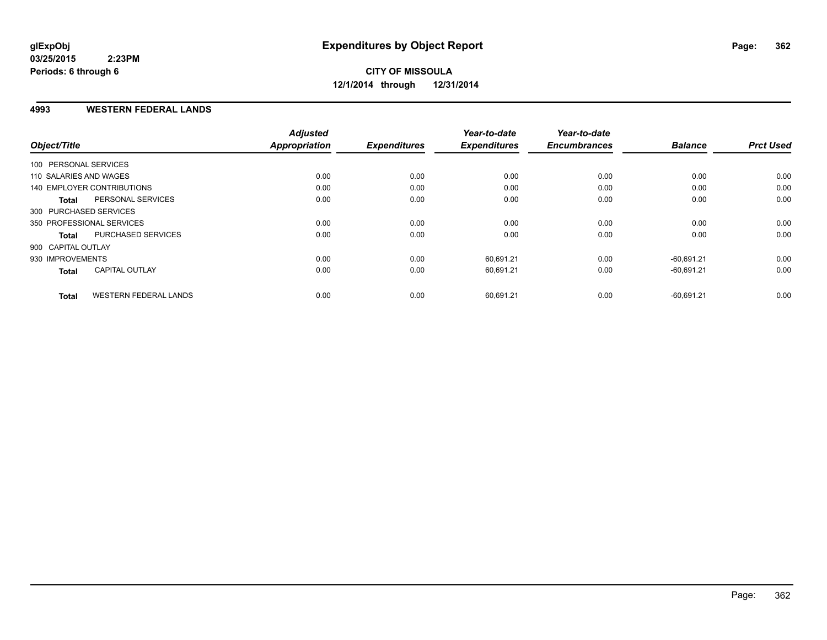#### **4993 WESTERN FEDERAL LANDS**

| Object/Title               |                              | <b>Adjusted</b><br>Appropriation | <b>Expenditures</b> | Year-to-date<br><b>Expenditures</b> | Year-to-date<br><b>Encumbrances</b> | <b>Balance</b> | <b>Prct Used</b> |
|----------------------------|------------------------------|----------------------------------|---------------------|-------------------------------------|-------------------------------------|----------------|------------------|
| 100 PERSONAL SERVICES      |                              |                                  |                     |                                     |                                     |                |                  |
| 110 SALARIES AND WAGES     |                              | 0.00                             | 0.00                | 0.00                                | 0.00                                | 0.00           | 0.00             |
| 140 EMPLOYER CONTRIBUTIONS |                              | 0.00                             | 0.00                | 0.00                                | 0.00                                | 0.00           | 0.00             |
| <b>Total</b>               | PERSONAL SERVICES            | 0.00                             | 0.00                | 0.00                                | 0.00                                | 0.00           | 0.00             |
| 300 PURCHASED SERVICES     |                              |                                  |                     |                                     |                                     |                |                  |
| 350 PROFESSIONAL SERVICES  |                              | 0.00                             | 0.00                | 0.00                                | 0.00                                | 0.00           | 0.00             |
| <b>Total</b>               | PURCHASED SERVICES           | 0.00                             | 0.00                | 0.00                                | 0.00                                | 0.00           | 0.00             |
| 900 CAPITAL OUTLAY         |                              |                                  |                     |                                     |                                     |                |                  |
| 930 IMPROVEMENTS           |                              | 0.00                             | 0.00                | 60.691.21                           | 0.00                                | $-60.691.21$   | 0.00             |
| <b>Total</b>               | <b>CAPITAL OUTLAY</b>        | 0.00                             | 0.00                | 60,691.21                           | 0.00                                | $-60,691.21$   | 0.00             |
| <b>Total</b>               | <b>WESTERN FEDERAL LANDS</b> | 0.00                             | 0.00                | 60,691.21                           | 0.00                                | $-60,691.21$   | 0.00             |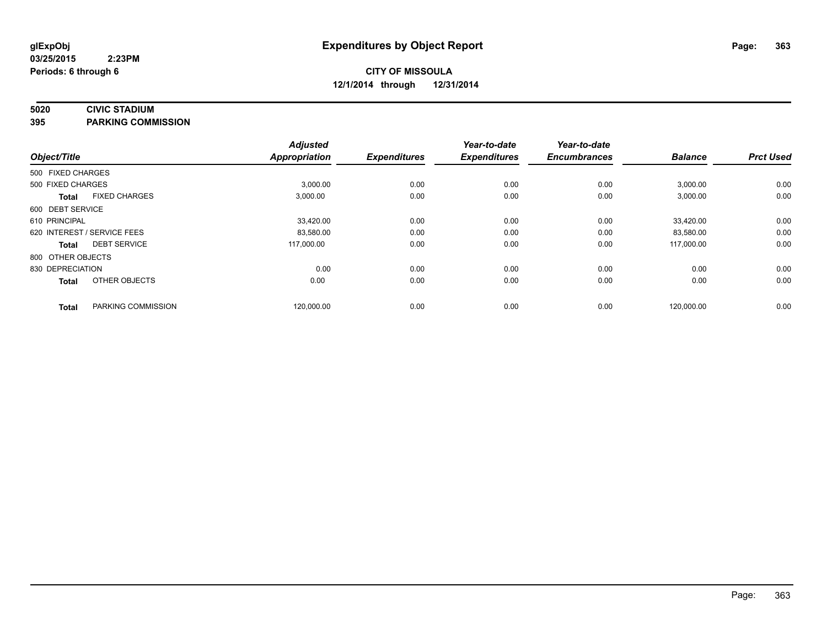# **5020 CIVIC STADIUM**

**395 PARKING COMMISSION**

| Object/Title      |                             | <b>Adjusted</b><br><b>Appropriation</b> | <b>Expenditures</b> | Year-to-date<br><b>Expenditures</b> | Year-to-date<br><b>Encumbrances</b> | <b>Balance</b> | <b>Prct Used</b> |
|-------------------|-----------------------------|-----------------------------------------|---------------------|-------------------------------------|-------------------------------------|----------------|------------------|
| 500 FIXED CHARGES |                             |                                         |                     |                                     |                                     |                |                  |
| 500 FIXED CHARGES |                             | 3,000.00                                | 0.00                | 0.00                                | 0.00                                | 3,000.00       | 0.00             |
| <b>Total</b>      | <b>FIXED CHARGES</b>        | 3,000.00                                | 0.00                | 0.00                                | 0.00                                | 3,000.00       | 0.00             |
| 600 DEBT SERVICE  |                             |                                         |                     |                                     |                                     |                |                  |
| 610 PRINCIPAL     |                             | 33,420.00                               | 0.00                | 0.00                                | 0.00                                | 33,420.00      | 0.00             |
|                   | 620 INTEREST / SERVICE FEES | 83,580.00                               | 0.00                | 0.00                                | 0.00                                | 83,580.00      | 0.00             |
| <b>Total</b>      | <b>DEBT SERVICE</b>         | 117.000.00                              | 0.00                | 0.00                                | 0.00                                | 117.000.00     | 0.00             |
| 800 OTHER OBJECTS |                             |                                         |                     |                                     |                                     |                |                  |
| 830 DEPRECIATION  |                             | 0.00                                    | 0.00                | 0.00                                | 0.00                                | 0.00           | 0.00             |
| <b>Total</b>      | OTHER OBJECTS               | 0.00                                    | 0.00                | 0.00                                | 0.00                                | 0.00           | 0.00             |
| <b>Total</b>      | PARKING COMMISSION          | 120,000.00                              | 0.00                | 0.00                                | 0.00                                | 120,000.00     | 0.00             |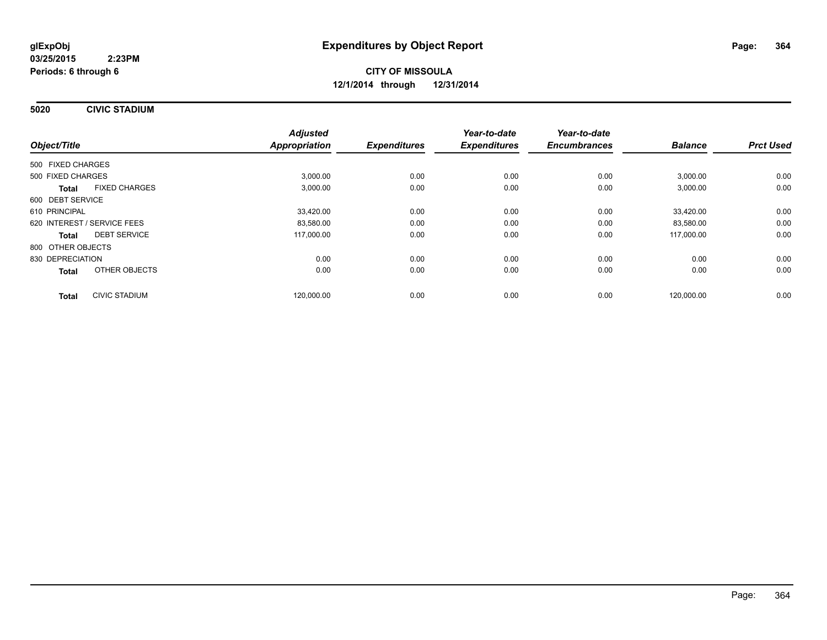**5020 CIVIC STADIUM**

|                             |                      | <b>Adjusted</b>      |                     | Year-to-date        | Year-to-date        |                |                  |
|-----------------------------|----------------------|----------------------|---------------------|---------------------|---------------------|----------------|------------------|
| Object/Title                |                      | <b>Appropriation</b> | <b>Expenditures</b> | <b>Expenditures</b> | <b>Encumbrances</b> | <b>Balance</b> | <b>Prct Used</b> |
| 500 FIXED CHARGES           |                      |                      |                     |                     |                     |                |                  |
| 500 FIXED CHARGES           |                      | 3,000.00             | 0.00                | 0.00                | 0.00                | 3,000.00       | 0.00             |
| <b>Total</b>                | <b>FIXED CHARGES</b> | 3,000.00             | 0.00                | 0.00                | 0.00                | 3,000.00       | 0.00             |
| 600 DEBT SERVICE            |                      |                      |                     |                     |                     |                |                  |
| 610 PRINCIPAL               |                      | 33,420.00            | 0.00                | 0.00                | 0.00                | 33,420.00      | 0.00             |
| 620 INTEREST / SERVICE FEES |                      | 83,580.00            | 0.00                | 0.00                | 0.00                | 83,580.00      | 0.00             |
| <b>Total</b>                | <b>DEBT SERVICE</b>  | 117,000.00           | 0.00                | 0.00                | 0.00                | 117,000.00     | 0.00             |
| 800 OTHER OBJECTS           |                      |                      |                     |                     |                     |                |                  |
| 830 DEPRECIATION            |                      | 0.00                 | 0.00                | 0.00                | 0.00                | 0.00           | 0.00             |
| Total                       | OTHER OBJECTS        | 0.00                 | 0.00                | 0.00                | 0.00                | 0.00           | 0.00             |
| <b>Total</b>                | <b>CIVIC STADIUM</b> | 120.000.00           | 0.00                | 0.00                | 0.00                | 120.000.00     | 0.00             |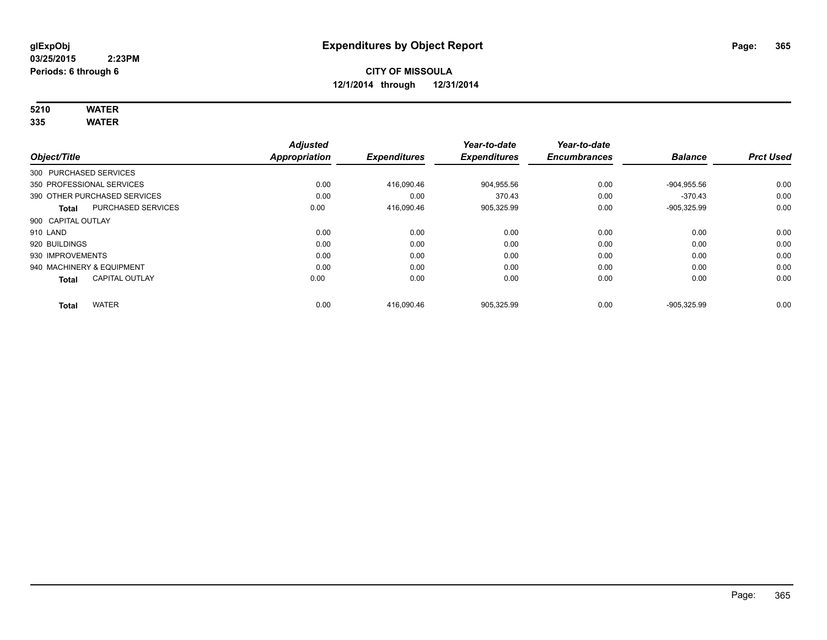# **5210 WATER**

**335 WATER**

|                           |                              | <b>Adjusted</b>      |                     | Year-to-date        | Year-to-date        |                |                  |
|---------------------------|------------------------------|----------------------|---------------------|---------------------|---------------------|----------------|------------------|
| Object/Title              |                              | <b>Appropriation</b> | <b>Expenditures</b> | <b>Expenditures</b> | <b>Encumbrances</b> | <b>Balance</b> | <b>Prct Used</b> |
| 300 PURCHASED SERVICES    |                              |                      |                     |                     |                     |                |                  |
| 350 PROFESSIONAL SERVICES |                              | 0.00                 | 416,090.46          | 904,955.56          | 0.00                | $-904,955.56$  | 0.00             |
|                           | 390 OTHER PURCHASED SERVICES | 0.00                 | 0.00                | 370.43              | 0.00                | $-370.43$      | 0.00             |
| <b>Total</b>              | <b>PURCHASED SERVICES</b>    | 0.00                 | 416,090.46          | 905,325.99          | 0.00                | $-905,325.99$  | 0.00             |
| 900 CAPITAL OUTLAY        |                              |                      |                     |                     |                     |                |                  |
| 910 LAND                  |                              | 0.00                 | 0.00                | 0.00                | 0.00                | 0.00           | 0.00             |
| 920 BUILDINGS             |                              | 0.00                 | 0.00                | 0.00                | 0.00                | 0.00           | 0.00             |
| 930 IMPROVEMENTS          |                              | 0.00                 | 0.00                | 0.00                | 0.00                | 0.00           | 0.00             |
| 940 MACHINERY & EQUIPMENT |                              | 0.00                 | 0.00                | 0.00                | 0.00                | 0.00           | 0.00             |
| <b>Total</b>              | <b>CAPITAL OUTLAY</b>        | 0.00                 | 0.00                | 0.00                | 0.00                | 0.00           | 0.00             |
| <b>Total</b>              | <b>WATER</b>                 | 0.00                 | 416.090.46          | 905.325.99          | 0.00                | -905.325.99    | 0.00             |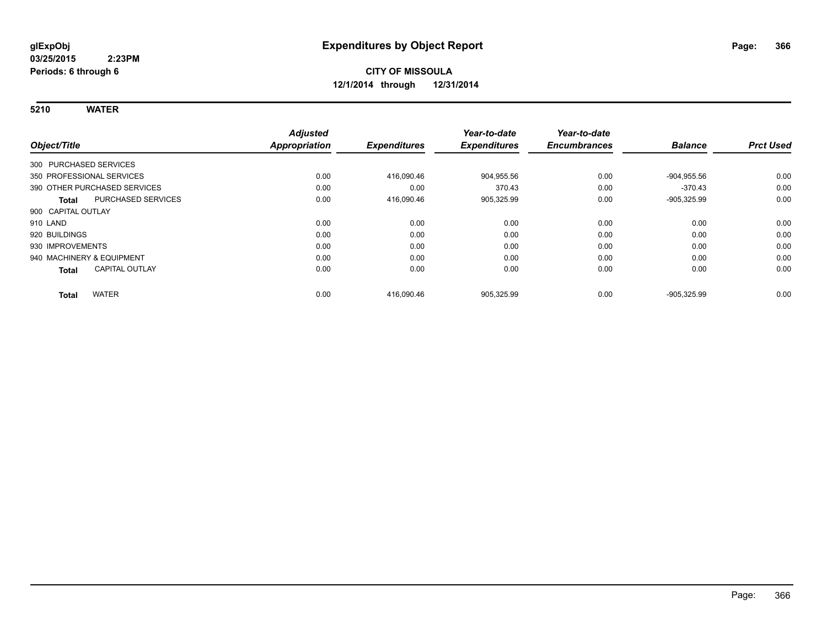**5210 WATER**

|                                           | <b>Adjusted</b>      |                     | Year-to-date        | Year-to-date        |                |                  |
|-------------------------------------------|----------------------|---------------------|---------------------|---------------------|----------------|------------------|
| Object/Title                              | <b>Appropriation</b> | <b>Expenditures</b> | <b>Expenditures</b> | <b>Encumbrances</b> | <b>Balance</b> | <b>Prct Used</b> |
| 300 PURCHASED SERVICES                    |                      |                     |                     |                     |                |                  |
| 350 PROFESSIONAL SERVICES                 | 0.00                 | 416,090.46          | 904,955.56          | 0.00                | $-904,955.56$  | 0.00             |
| 390 OTHER PURCHASED SERVICES              | 0.00                 | 0.00                | 370.43              | 0.00                | $-370.43$      | 0.00             |
| <b>PURCHASED SERVICES</b><br><b>Total</b> | 0.00                 | 416,090.46          | 905,325.99          | 0.00                | $-905,325.99$  | 0.00             |
| 900 CAPITAL OUTLAY                        |                      |                     |                     |                     |                |                  |
| 910 LAND                                  | 0.00                 | 0.00                | 0.00                | 0.00                | 0.00           | 0.00             |
| 920 BUILDINGS                             | 0.00                 | 0.00                | 0.00                | 0.00                | 0.00           | 0.00             |
| 930 IMPROVEMENTS                          | 0.00                 | 0.00                | 0.00                | 0.00                | 0.00           | 0.00             |
| 940 MACHINERY & EQUIPMENT                 | 0.00                 | 0.00                | 0.00                | 0.00                | 0.00           | 0.00             |
| <b>CAPITAL OUTLAY</b><br><b>Total</b>     | 0.00                 | 0.00                | 0.00                | 0.00                | 0.00           | 0.00             |
| <b>WATER</b><br><b>Total</b>              | 0.00                 | 416,090.46          | 905,325.99          | 0.00                | $-905,325.99$  | 0.00             |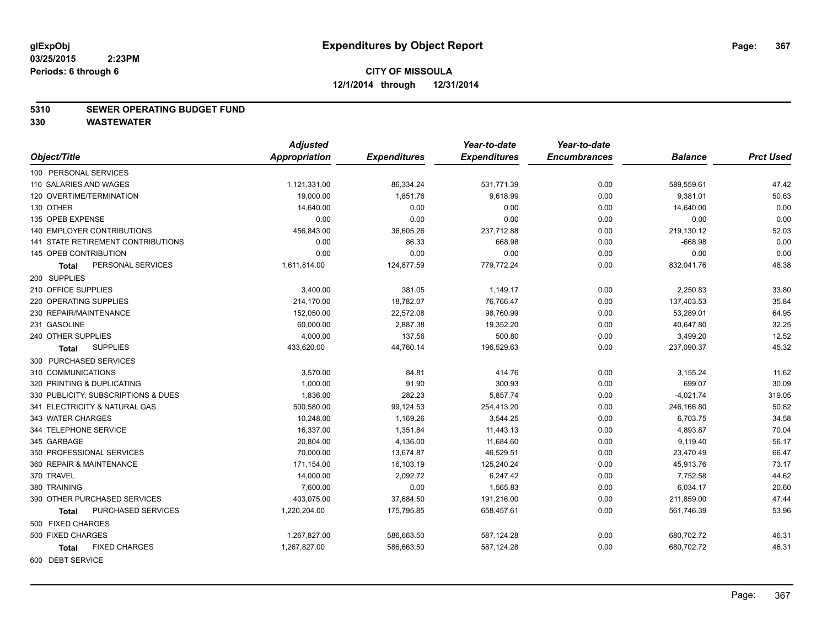#### **5310 SEWER OPERATING BUDGET FUND**

|                                           | <b>Adjusted</b> |                     | Year-to-date        | Year-to-date        |                |                  |
|-------------------------------------------|-----------------|---------------------|---------------------|---------------------|----------------|------------------|
| Object/Title                              | Appropriation   | <b>Expenditures</b> | <b>Expenditures</b> | <b>Encumbrances</b> | <b>Balance</b> | <b>Prct Used</b> |
| 100 PERSONAL SERVICES                     |                 |                     |                     |                     |                |                  |
| 110 SALARIES AND WAGES                    | 1,121,331.00    | 86,334.24           | 531,771.39          | 0.00                | 589,559.61     | 47.42            |
| 120 OVERTIME/TERMINATION                  | 19,000.00       | 1,851.76            | 9,618.99            | 0.00                | 9,381.01       | 50.63            |
| 130 OTHER                                 | 14,640.00       | 0.00                | 0.00                | 0.00                | 14,640.00      | 0.00             |
| 135 OPEB EXPENSE                          | 0.00            | 0.00                | 0.00                | 0.00                | 0.00           | 0.00             |
| <b>140 EMPLOYER CONTRIBUTIONS</b>         | 456,843.00      | 36,605.26           | 237,712.88          | 0.00                | 219,130.12     | 52.03            |
| <b>141 STATE RETIREMENT CONTRIBUTIONS</b> | 0.00            | 86.33               | 668.98              | 0.00                | $-668.98$      | 0.00             |
| 145 OPEB CONTRIBUTION                     | 0.00            | 0.00                | 0.00                | 0.00                | 0.00           | 0.00             |
| PERSONAL SERVICES<br>Total                | 1,611,814.00    | 124,877.59          | 779,772.24          | 0.00                | 832,041.76     | 48.38            |
| 200 SUPPLIES                              |                 |                     |                     |                     |                |                  |
| 210 OFFICE SUPPLIES                       | 3,400.00        | 381.05              | 1,149.17            | 0.00                | 2,250.83       | 33.80            |
| 220 OPERATING SUPPLIES                    | 214,170.00      | 18,782.07           | 76,766.47           | 0.00                | 137,403.53     | 35.84            |
| 230 REPAIR/MAINTENANCE                    | 152,050.00      | 22,572.08           | 98,760.99           | 0.00                | 53,289.01      | 64.95            |
| 231 GASOLINE                              | 60,000.00       | 2,887.38            | 19,352.20           | 0.00                | 40,647.80      | 32.25            |
| 240 OTHER SUPPLIES                        | 4,000.00        | 137.56              | 500.80              | 0.00                | 3,499.20       | 12.52            |
| <b>SUPPLIES</b><br><b>Total</b>           | 433,620.00      | 44,760.14           | 196,529.63          | 0.00                | 237,090.37     | 45.32            |
| 300 PURCHASED SERVICES                    |                 |                     |                     |                     |                |                  |
| 310 COMMUNICATIONS                        | 3,570.00        | 84.81               | 414.76              | 0.00                | 3,155.24       | 11.62            |
| 320 PRINTING & DUPLICATING                | 1,000.00        | 91.90               | 300.93              | 0.00                | 699.07         | 30.09            |
| 330 PUBLICITY, SUBSCRIPTIONS & DUES       | 1,836.00        | 282.23              | 5,857.74            | 0.00                | $-4,021.74$    | 319.05           |
| 341 ELECTRICITY & NATURAL GAS             | 500,580.00      | 99,124.53           | 254,413.20          | 0.00                | 246,166.80     | 50.82            |
| 343 WATER CHARGES                         | 10,248.00       | 1,169.26            | 3,544.25            | 0.00                | 6,703.75       | 34.58            |
| 344 TELEPHONE SERVICE                     | 16,337.00       | 1,351.84            | 11,443.13           | 0.00                | 4,893.87       | 70.04            |
| 345 GARBAGE                               | 20,804.00       | 4,136.00            | 11,684.60           | 0.00                | 9,119.40       | 56.17            |
| 350 PROFESSIONAL SERVICES                 | 70,000.00       | 13,674.87           | 46,529.51           | 0.00                | 23,470.49      | 66.47            |
| 360 REPAIR & MAINTENANCE                  | 171,154.00      | 16,103.19           | 125,240.24          | 0.00                | 45,913.76      | 73.17            |
| 370 TRAVEL                                | 14,000.00       | 2,092.72            | 6,247.42            | 0.00                | 7,752.58       | 44.62            |
| 380 TRAINING                              | 7,600.00        | 0.00                | 1,565.83            | 0.00                | 6,034.17       | 20.60            |
| 390 OTHER PURCHASED SERVICES              | 403,075.00      | 37,684.50           | 191,216.00          | 0.00                | 211,859.00     | 47.44            |
| PURCHASED SERVICES<br><b>Total</b>        | 1,220,204.00    | 175,795.85          | 658,457.61          | 0.00                | 561,746.39     | 53.96            |
| 500 FIXED CHARGES                         |                 |                     |                     |                     |                |                  |
| 500 FIXED CHARGES                         | 1,267,827.00    | 586,663.50          | 587,124.28          | 0.00                | 680,702.72     | 46.31            |
| <b>FIXED CHARGES</b><br><b>Total</b>      | 1,267,827.00    | 586,663.50          | 587,124.28          | 0.00                | 680,702.72     | 46.31            |
| 600 DEBT SERVICE                          |                 |                     |                     |                     |                |                  |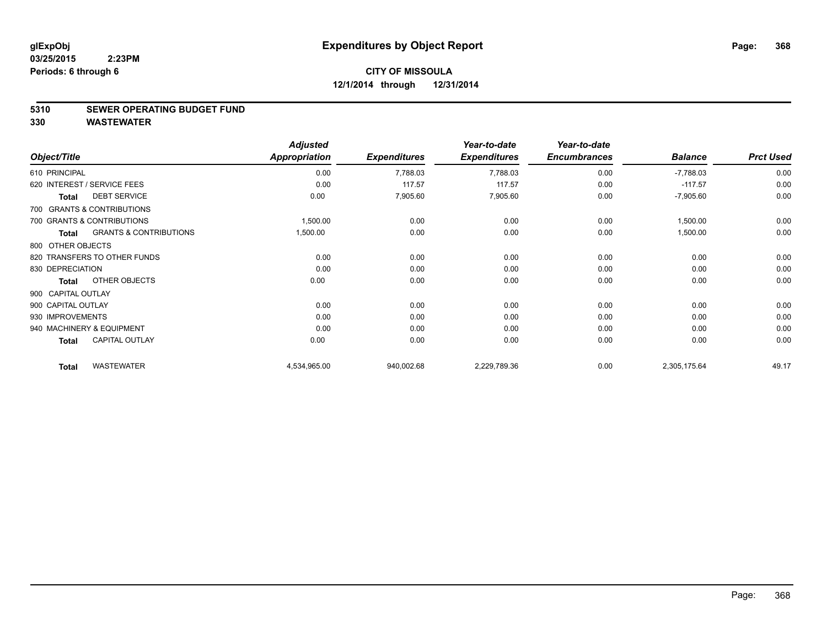#### **5310 SEWER OPERATING BUDGET FUND**

|                    |                                   | <b>Adjusted</b>      |                     | Year-to-date        | Year-to-date        |                |                  |
|--------------------|-----------------------------------|----------------------|---------------------|---------------------|---------------------|----------------|------------------|
| Object/Title       |                                   | <b>Appropriation</b> | <b>Expenditures</b> | <b>Expenditures</b> | <b>Encumbrances</b> | <b>Balance</b> | <b>Prct Used</b> |
| 610 PRINCIPAL      |                                   | 0.00                 | 7,788.03            | 7,788.03            | 0.00                | $-7,788.03$    | 0.00             |
|                    | 620 INTEREST / SERVICE FEES       | 0.00                 | 117.57              | 117.57              | 0.00                | $-117.57$      | 0.00             |
| <b>Total</b>       | <b>DEBT SERVICE</b>               | 0.00                 | 7,905.60            | 7,905.60            | 0.00                | $-7,905.60$    | 0.00             |
|                    | 700 GRANTS & CONTRIBUTIONS        |                      |                     |                     |                     |                |                  |
|                    | 700 GRANTS & CONTRIBUTIONS        | 1,500.00             | 0.00                | 0.00                | 0.00                | 1,500.00       | 0.00             |
| <b>Total</b>       | <b>GRANTS &amp; CONTRIBUTIONS</b> | 1,500.00             | 0.00                | 0.00                | 0.00                | 1,500.00       | 0.00             |
| 800 OTHER OBJECTS  |                                   |                      |                     |                     |                     |                |                  |
|                    | 820 TRANSFERS TO OTHER FUNDS      | 0.00                 | 0.00                | 0.00                | 0.00                | 0.00           | 0.00             |
| 830 DEPRECIATION   |                                   | 0.00                 | 0.00                | 0.00                | 0.00                | 0.00           | 0.00             |
| <b>Total</b>       | OTHER OBJECTS                     | 0.00                 | 0.00                | 0.00                | 0.00                | 0.00           | 0.00             |
| 900 CAPITAL OUTLAY |                                   |                      |                     |                     |                     |                |                  |
| 900 CAPITAL OUTLAY |                                   | 0.00                 | 0.00                | 0.00                | 0.00                | 0.00           | 0.00             |
| 930 IMPROVEMENTS   |                                   | 0.00                 | 0.00                | 0.00                | 0.00                | 0.00           | 0.00             |
|                    | 940 MACHINERY & EQUIPMENT         | 0.00                 | 0.00                | 0.00                | 0.00                | 0.00           | 0.00             |
| <b>Total</b>       | <b>CAPITAL OUTLAY</b>             | 0.00                 | 0.00                | 0.00                | 0.00                | 0.00           | 0.00             |
| <b>Total</b>       | <b>WASTEWATER</b>                 | 4,534,965.00         | 940,002.68          | 2,229,789.36        | 0.00                | 2,305,175.64   | 49.17            |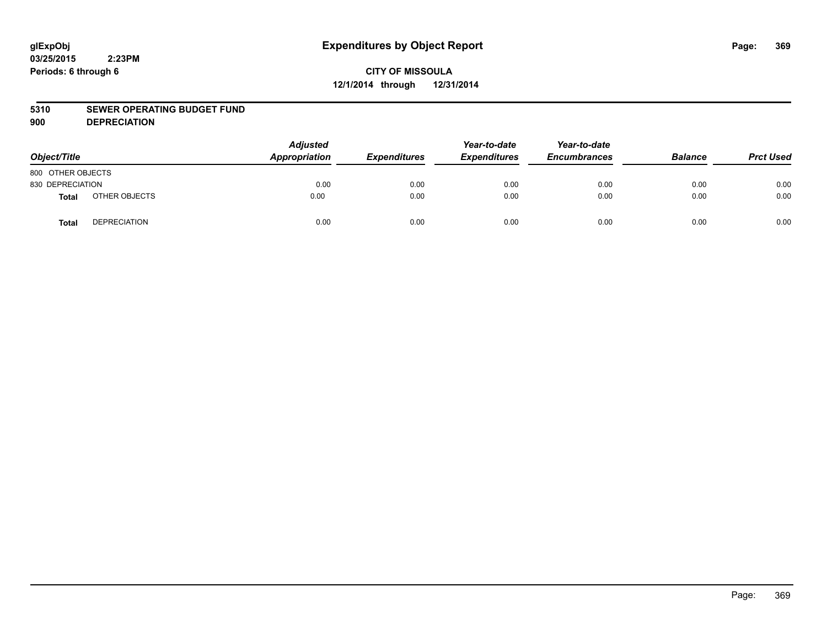# **CITY OF MISSOULA 12/1/2014 through 12/31/2014**

#### **5310 SEWER OPERATING BUDGET FUND**

**900 DEPRECIATION**

| Object/Title      |                     | <b>Adjusted</b><br>Appropriation | <b>Expenditures</b> | Year-to-date<br><b>Expenditures</b> | Year-to-date<br><b>Encumbrances</b> | <b>Balance</b> | <b>Prct Used</b> |
|-------------------|---------------------|----------------------------------|---------------------|-------------------------------------|-------------------------------------|----------------|------------------|
| 800 OTHER OBJECTS |                     |                                  |                     |                                     |                                     |                |                  |
| 830 DEPRECIATION  |                     | 0.00                             | 0.00                | 0.00                                | 0.00                                | 0.00           | 0.00             |
| Total             | OTHER OBJECTS       | 0.00                             | 0.00                | 0.00                                | 0.00                                | 0.00           | 0.00             |
| <b>Total</b>      | <b>DEPRECIATION</b> | 0.00                             | 0.00                | 0.00                                | 0.00                                | 0.00           | 0.00             |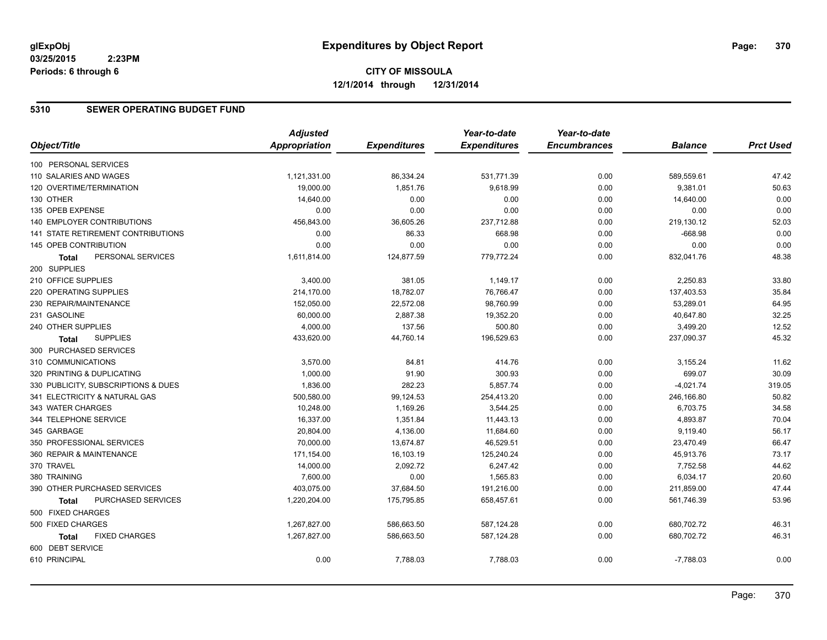#### **5310 SEWER OPERATING BUDGET FUND**

|                                      | <b>Adjusted</b> |                     | Year-to-date        | Year-to-date        |                |                  |
|--------------------------------------|-----------------|---------------------|---------------------|---------------------|----------------|------------------|
| Object/Title                         | Appropriation   | <b>Expenditures</b> | <b>Expenditures</b> | <b>Encumbrances</b> | <b>Balance</b> | <b>Prct Used</b> |
| 100 PERSONAL SERVICES                |                 |                     |                     |                     |                |                  |
| 110 SALARIES AND WAGES               | 1,121,331.00    | 86,334.24           | 531,771.39          | 0.00                | 589,559.61     | 47.42            |
| 120 OVERTIME/TERMINATION             | 19,000.00       | 1,851.76            | 9,618.99            | 0.00                | 9,381.01       | 50.63            |
| 130 OTHER                            | 14,640.00       | 0.00                | 0.00                | 0.00                | 14,640.00      | 0.00             |
| 135 OPEB EXPENSE                     | 0.00            | 0.00                | 0.00                | 0.00                | 0.00           | 0.00             |
| 140 EMPLOYER CONTRIBUTIONS           | 456,843.00      | 36,605.26           | 237,712.88          | 0.00                | 219,130.12     | 52.03            |
| 141 STATE RETIREMENT CONTRIBUTIONS   | 0.00            | 86.33               | 668.98              | 0.00                | $-668.98$      | 0.00             |
| 145 OPEB CONTRIBUTION                | 0.00            | 0.00                | 0.00                | 0.00                | 0.00           | 0.00             |
| PERSONAL SERVICES<br><b>Total</b>    | 1,611,814.00    | 124,877.59          | 779,772.24          | 0.00                | 832,041.76     | 48.38            |
| 200 SUPPLIES                         |                 |                     |                     |                     |                |                  |
| 210 OFFICE SUPPLIES                  | 3,400.00        | 381.05              | 1,149.17            | 0.00                | 2,250.83       | 33.80            |
| 220 OPERATING SUPPLIES               | 214,170.00      | 18,782.07           | 76,766.47           | 0.00                | 137,403.53     | 35.84            |
| 230 REPAIR/MAINTENANCE               | 152,050.00      | 22,572.08           | 98,760.99           | 0.00                | 53,289.01      | 64.95            |
| 231 GASOLINE                         | 60,000.00       | 2,887.38            | 19,352.20           | 0.00                | 40,647.80      | 32.25            |
| 240 OTHER SUPPLIES                   | 4,000.00        | 137.56              | 500.80              | 0.00                | 3,499.20       | 12.52            |
| <b>SUPPLIES</b><br><b>Total</b>      | 433,620.00      | 44,760.14           | 196,529.63          | 0.00                | 237,090.37     | 45.32            |
| 300 PURCHASED SERVICES               |                 |                     |                     |                     |                |                  |
| 310 COMMUNICATIONS                   | 3,570.00        | 84.81               | 414.76              | 0.00                | 3,155.24       | 11.62            |
| 320 PRINTING & DUPLICATING           | 1,000.00        | 91.90               | 300.93              | 0.00                | 699.07         | 30.09            |
| 330 PUBLICITY, SUBSCRIPTIONS & DUES  | 1,836.00        | 282.23              | 5,857.74            | 0.00                | $-4,021.74$    | 319.05           |
| 341 ELECTRICITY & NATURAL GAS        | 500,580.00      | 99,124.53           | 254,413.20          | 0.00                | 246,166.80     | 50.82            |
| 343 WATER CHARGES                    | 10,248.00       | 1,169.26            | 3,544.25            | 0.00                | 6,703.75       | 34.58            |
| 344 TELEPHONE SERVICE                | 16,337.00       | 1,351.84            | 11,443.13           | 0.00                | 4,893.87       | 70.04            |
| 345 GARBAGE                          | 20,804.00       | 4,136.00            | 11,684.60           | 0.00                | 9,119.40       | 56.17            |
| 350 PROFESSIONAL SERVICES            | 70,000.00       | 13,674.87           | 46,529.51           | 0.00                | 23,470.49      | 66.47            |
| 360 REPAIR & MAINTENANCE             | 171,154.00      | 16,103.19           | 125,240.24          | 0.00                | 45,913.76      | 73.17            |
| 370 TRAVEL                           | 14,000.00       | 2,092.72            | 6,247.42            | 0.00                | 7,752.58       | 44.62            |
| 380 TRAINING                         | 7,600.00        | 0.00                | 1,565.83            | 0.00                | 6,034.17       | 20.60            |
| 390 OTHER PURCHASED SERVICES         | 403,075.00      | 37,684.50           | 191,216.00          | 0.00                | 211,859.00     | 47.44            |
| PURCHASED SERVICES<br><b>Total</b>   | 1,220,204.00    | 175,795.85          | 658,457.61          | 0.00                | 561,746.39     | 53.96            |
| 500 FIXED CHARGES                    |                 |                     |                     |                     |                |                  |
| 500 FIXED CHARGES                    | 1,267,827.00    | 586,663.50          | 587,124.28          | 0.00                | 680,702.72     | 46.31            |
| <b>FIXED CHARGES</b><br><b>Total</b> | 1,267,827.00    | 586,663.50          | 587,124.28          | 0.00                | 680,702.72     | 46.31            |
| 600 DEBT SERVICE                     |                 |                     |                     |                     |                |                  |
| 610 PRINCIPAL                        | 0.00            | 7,788.03            | 7,788.03            | 0.00                | $-7,788.03$    | 0.00             |
|                                      |                 |                     |                     |                     |                |                  |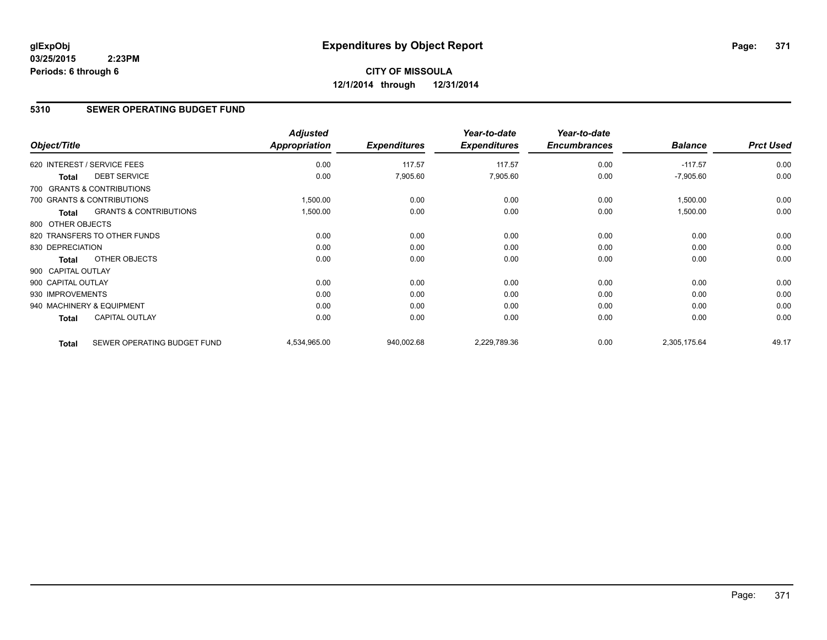# **CITY OF MISSOULA 12/1/2014 through 12/31/2014**

#### **5310 SEWER OPERATING BUDGET FUND**

| Object/Title       |                                   | <b>Adjusted</b><br><b>Appropriation</b> | <b>Expenditures</b> | Year-to-date<br><b>Expenditures</b> | Year-to-date<br><b>Encumbrances</b> | <b>Balance</b> | <b>Prct Used</b> |
|--------------------|-----------------------------------|-----------------------------------------|---------------------|-------------------------------------|-------------------------------------|----------------|------------------|
|                    | 620 INTEREST / SERVICE FEES       | 0.00                                    | 117.57              | 117.57                              | 0.00                                | $-117.57$      | 0.00             |
| <b>Total</b>       | <b>DEBT SERVICE</b>               | 0.00                                    | 7,905.60            | 7,905.60                            | 0.00                                | $-7,905.60$    | 0.00             |
|                    | 700 GRANTS & CONTRIBUTIONS        |                                         |                     |                                     |                                     |                |                  |
|                    | 700 GRANTS & CONTRIBUTIONS        | 1,500.00                                | 0.00                | 0.00                                | 0.00                                | 1,500.00       | 0.00             |
| <b>Total</b>       | <b>GRANTS &amp; CONTRIBUTIONS</b> | 1,500.00                                | 0.00                | 0.00                                | 0.00                                | 1,500.00       | 0.00             |
| 800 OTHER OBJECTS  |                                   |                                         |                     |                                     |                                     |                |                  |
|                    | 820 TRANSFERS TO OTHER FUNDS      | 0.00                                    | 0.00                | 0.00                                | 0.00                                | 0.00           | 0.00             |
| 830 DEPRECIATION   |                                   | 0.00                                    | 0.00                | 0.00                                | 0.00                                | 0.00           | 0.00             |
| Total              | OTHER OBJECTS                     | 0.00                                    | 0.00                | 0.00                                | 0.00                                | 0.00           | 0.00             |
| 900 CAPITAL OUTLAY |                                   |                                         |                     |                                     |                                     |                |                  |
| 900 CAPITAL OUTLAY |                                   | 0.00                                    | 0.00                | 0.00                                | 0.00                                | 0.00           | 0.00             |
| 930 IMPROVEMENTS   |                                   | 0.00                                    | 0.00                | 0.00                                | 0.00                                | 0.00           | 0.00             |
|                    | 940 MACHINERY & EQUIPMENT         | 0.00                                    | 0.00                | 0.00                                | 0.00                                | 0.00           | 0.00             |
| <b>Total</b>       | <b>CAPITAL OUTLAY</b>             | 0.00                                    | 0.00                | 0.00                                | 0.00                                | 0.00           | 0.00             |
| <b>Total</b>       | SEWER OPERATING BUDGET FUND       | 4,534,965.00                            | 940,002.68          | 2,229,789.36                        | 0.00                                | 2,305,175.64   | 49.17            |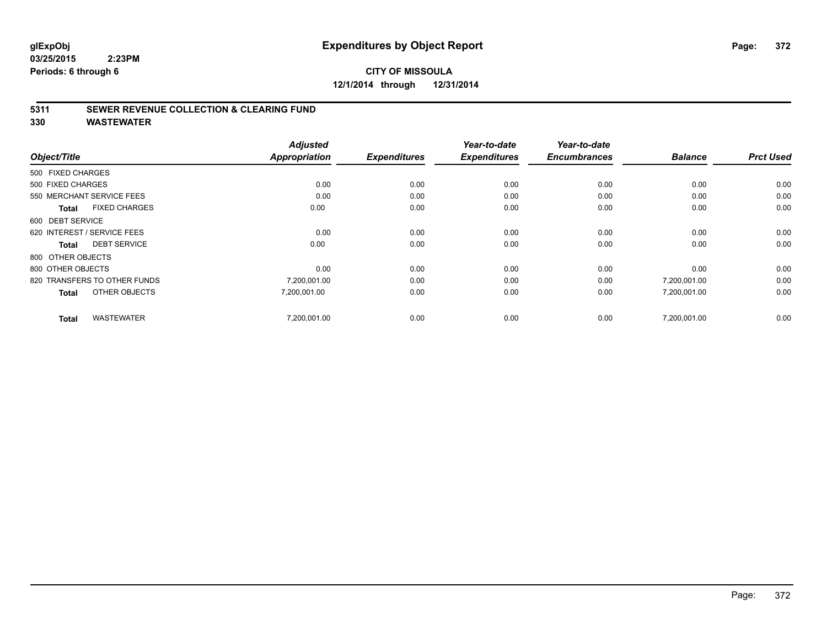# **CITY OF MISSOULA 12/1/2014 through 12/31/2014**

#### **5311 SEWER REVENUE COLLECTION & CLEARING FUND**

| Object/Title                         | <b>Adjusted</b><br><b>Appropriation</b> | <b>Expenditures</b> | Year-to-date<br><b>Expenditures</b> | Year-to-date<br><b>Encumbrances</b> | <b>Balance</b> | <b>Prct Used</b> |
|--------------------------------------|-----------------------------------------|---------------------|-------------------------------------|-------------------------------------|----------------|------------------|
|                                      |                                         |                     |                                     |                                     |                |                  |
| 500 FIXED CHARGES                    |                                         |                     |                                     |                                     |                |                  |
| 500 FIXED CHARGES                    | 0.00                                    | 0.00                | 0.00                                | 0.00                                | 0.00           | 0.00             |
| 550 MERCHANT SERVICE FEES            | 0.00                                    | 0.00                | 0.00                                | 0.00                                | 0.00           | 0.00             |
| <b>FIXED CHARGES</b><br><b>Total</b> | 0.00                                    | 0.00                | 0.00                                | 0.00                                | 0.00           | 0.00             |
| 600 DEBT SERVICE                     |                                         |                     |                                     |                                     |                |                  |
| 620 INTEREST / SERVICE FEES          | 0.00                                    | 0.00                | 0.00                                | 0.00                                | 0.00           | 0.00             |
| <b>DEBT SERVICE</b><br><b>Total</b>  | 0.00                                    | 0.00                | 0.00                                | 0.00                                | 0.00           | 0.00             |
| 800 OTHER OBJECTS                    |                                         |                     |                                     |                                     |                |                  |
| 800 OTHER OBJECTS                    | 0.00                                    | 0.00                | 0.00                                | 0.00                                | 0.00           | 0.00             |
| 820 TRANSFERS TO OTHER FUNDS         | 7,200,001.00                            | 0.00                | 0.00                                | 0.00                                | 7,200,001.00   | 0.00             |
| OTHER OBJECTS<br><b>Total</b>        | 7,200,001.00                            | 0.00                | 0.00                                | 0.00                                | 7,200,001.00   | 0.00             |
| <b>WASTEWATER</b><br><b>Total</b>    | 7,200,001.00                            | 0.00                | 0.00                                | 0.00                                | 7,200,001.00   | 0.00             |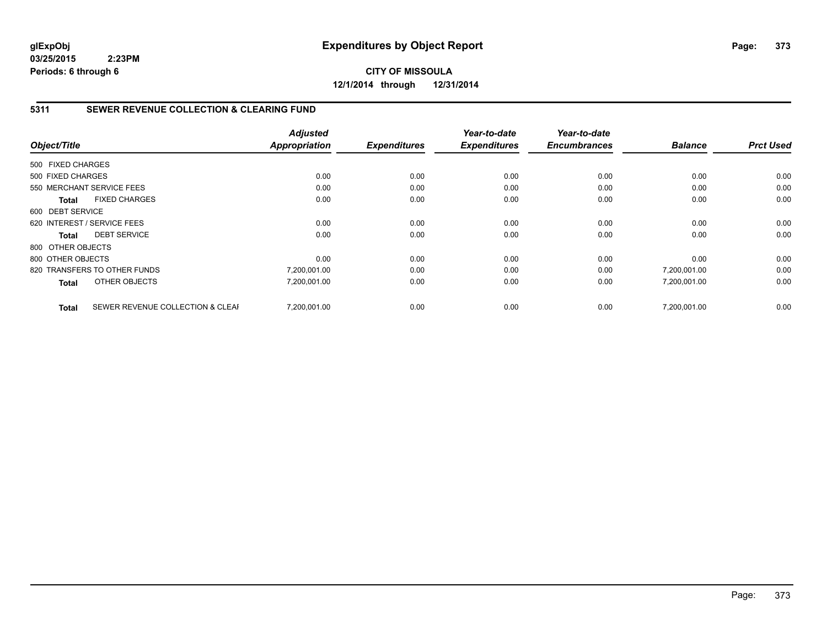# **CITY OF MISSOULA 12/1/2014 through 12/31/2014**

### **5311 SEWER REVENUE COLLECTION & CLEARING FUND**

|                   |                                  | <b>Adjusted</b>      |                     | Year-to-date        | Year-to-date<br><b>Encumbrances</b> |                | <b>Prct Used</b> |
|-------------------|----------------------------------|----------------------|---------------------|---------------------|-------------------------------------|----------------|------------------|
| Object/Title      |                                  | <b>Appropriation</b> | <b>Expenditures</b> | <b>Expenditures</b> |                                     | <b>Balance</b> |                  |
| 500 FIXED CHARGES |                                  |                      |                     |                     |                                     |                |                  |
| 500 FIXED CHARGES |                                  | 0.00                 | 0.00                | 0.00                | 0.00                                | 0.00           | 0.00             |
|                   | 550 MERCHANT SERVICE FEES        | 0.00                 | 0.00                | 0.00                | 0.00                                | 0.00           | 0.00             |
| <b>Total</b>      | <b>FIXED CHARGES</b>             | 0.00                 | 0.00                | 0.00                | 0.00                                | 0.00           | 0.00             |
| 600 DEBT SERVICE  |                                  |                      |                     |                     |                                     |                |                  |
|                   | 620 INTEREST / SERVICE FEES      | 0.00                 | 0.00                | 0.00                | 0.00                                | 0.00           | 0.00             |
| <b>Total</b>      | <b>DEBT SERVICE</b>              | 0.00                 | 0.00                | 0.00                | 0.00                                | 0.00           | 0.00             |
| 800 OTHER OBJECTS |                                  |                      |                     |                     |                                     |                |                  |
| 800 OTHER OBJECTS |                                  | 0.00                 | 0.00                | 0.00                | 0.00                                | 0.00           | 0.00             |
|                   | 820 TRANSFERS TO OTHER FUNDS     | 7,200,001.00         | 0.00                | 0.00                | 0.00                                | 7,200,001.00   | 0.00             |
| <b>Total</b>      | OTHER OBJECTS                    | 7,200,001.00         | 0.00                | 0.00                | 0.00                                | 7,200,001.00   | 0.00             |
| <b>Total</b>      | SEWER REVENUE COLLECTION & CLEAF | 7.200.001.00         | 0.00                | 0.00                | 0.00                                | 7.200.001.00   | 0.00             |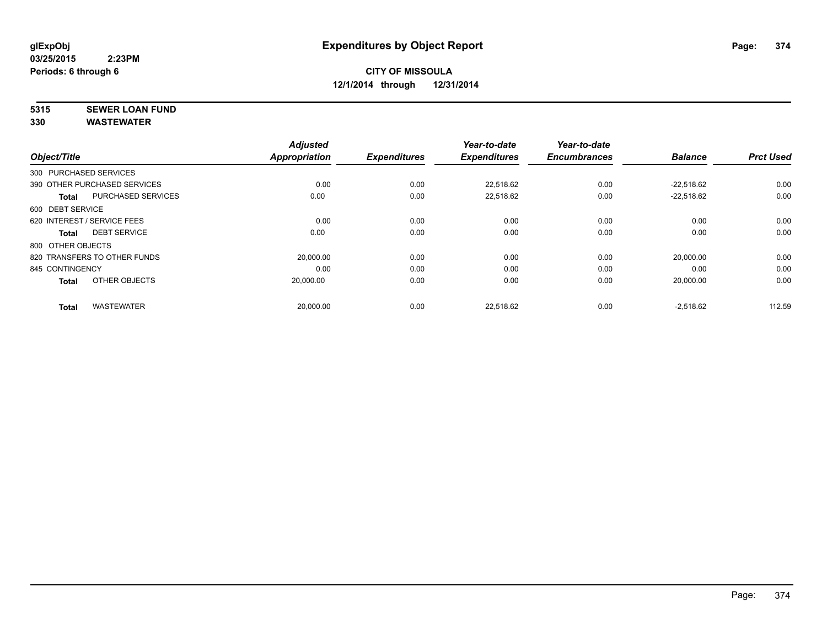# **5315 SEWER LOAN FUND**

| Object/Title      |                              | <b>Adjusted</b><br><b>Appropriation</b> | <b>Expenditures</b> | Year-to-date<br><b>Expenditures</b> | Year-to-date<br><b>Encumbrances</b> | <b>Balance</b> | <b>Prct Used</b> |
|-------------------|------------------------------|-----------------------------------------|---------------------|-------------------------------------|-------------------------------------|----------------|------------------|
|                   |                              |                                         |                     |                                     |                                     |                |                  |
|                   | 300 PURCHASED SERVICES       |                                         |                     |                                     |                                     |                |                  |
|                   | 390 OTHER PURCHASED SERVICES | 0.00                                    | 0.00                | 22.518.62                           | 0.00                                | $-22.518.62$   | 0.00             |
| <b>Total</b>      | <b>PURCHASED SERVICES</b>    | 0.00                                    | 0.00                | 22,518.62                           | 0.00                                | $-22.518.62$   | 0.00             |
| 600 DEBT SERVICE  |                              |                                         |                     |                                     |                                     |                |                  |
|                   | 620 INTEREST / SERVICE FEES  | 0.00                                    | 0.00                | 0.00                                | 0.00                                | 0.00           | 0.00             |
| Total             | <b>DEBT SERVICE</b>          | 0.00                                    | 0.00                | 0.00                                | 0.00                                | 0.00           | 0.00             |
| 800 OTHER OBJECTS |                              |                                         |                     |                                     |                                     |                |                  |
|                   | 820 TRANSFERS TO OTHER FUNDS | 20,000.00                               | 0.00                | 0.00                                | 0.00                                | 20,000.00      | 0.00             |
| 845 CONTINGENCY   |                              | 0.00                                    | 0.00                | 0.00                                | 0.00                                | 0.00           | 0.00             |
| <b>Total</b>      | OTHER OBJECTS                | 20,000.00                               | 0.00                | 0.00                                | 0.00                                | 20,000.00      | 0.00             |
| <b>Total</b>      | <b>WASTEWATER</b>            | 20,000.00                               | 0.00                | 22,518.62                           | 0.00                                | $-2,518.62$    | 112.59           |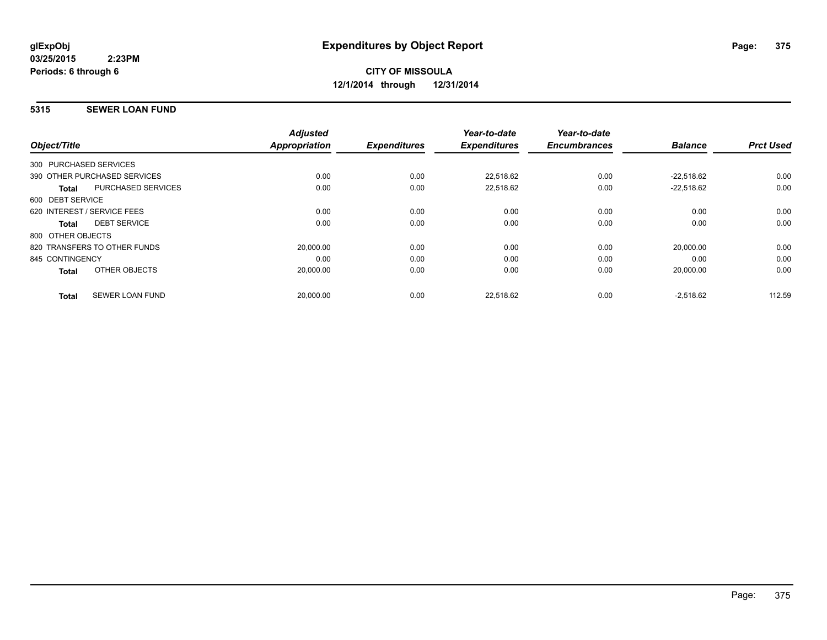#### **5315 SEWER LOAN FUND**

| Object/Title      |                              | <b>Adjusted</b><br><b>Appropriation</b> | <b>Expenditures</b> | Year-to-date<br><b>Expenditures</b> | Year-to-date<br><b>Encumbrances</b> | <b>Balance</b> | <b>Prct Used</b> |
|-------------------|------------------------------|-----------------------------------------|---------------------|-------------------------------------|-------------------------------------|----------------|------------------|
|                   | 300 PURCHASED SERVICES       |                                         |                     |                                     |                                     |                |                  |
|                   | 390 OTHER PURCHASED SERVICES | 0.00                                    | 0.00                | 22,518.62                           | 0.00                                | $-22.518.62$   | 0.00             |
| <b>Total</b>      | <b>PURCHASED SERVICES</b>    | 0.00                                    | 0.00                | 22,518.62                           | 0.00                                | $-22,518.62$   | 0.00             |
| 600 DEBT SERVICE  |                              |                                         |                     |                                     |                                     |                |                  |
|                   | 620 INTEREST / SERVICE FEES  | 0.00                                    | 0.00                | 0.00                                | 0.00                                | 0.00           | 0.00             |
| Total             | <b>DEBT SERVICE</b>          | 0.00                                    | 0.00                | 0.00                                | 0.00                                | 0.00           | 0.00             |
| 800 OTHER OBJECTS |                              |                                         |                     |                                     |                                     |                |                  |
|                   | 820 TRANSFERS TO OTHER FUNDS | 20,000.00                               | 0.00                | 0.00                                | 0.00                                | 20,000.00      | 0.00             |
| 845 CONTINGENCY   |                              | 0.00                                    | 0.00                | 0.00                                | 0.00                                | 0.00           | 0.00             |
| <b>Total</b>      | OTHER OBJECTS                | 20,000.00                               | 0.00                | 0.00                                | 0.00                                | 20,000.00      | 0.00             |
| <b>Total</b>      | <b>SEWER LOAN FUND</b>       | 20,000.00                               | 0.00                | 22,518.62                           | 0.00                                | $-2,518.62$    | 112.59           |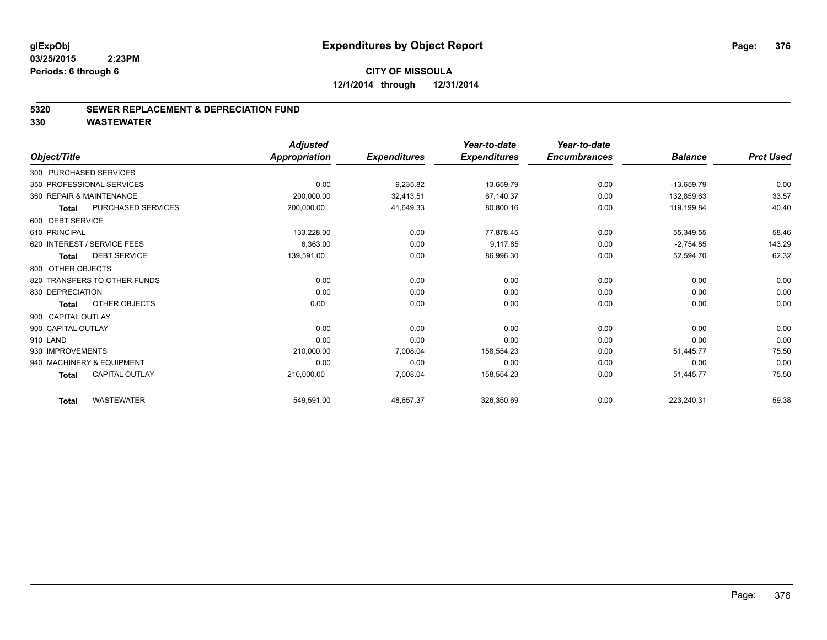#### **5320 SEWER REPLACEMENT & DEPRECIATION FUND**

|                                           | <b>Adjusted</b>      |                     | Year-to-date        | Year-to-date        |                |                  |
|-------------------------------------------|----------------------|---------------------|---------------------|---------------------|----------------|------------------|
| Object/Title                              | <b>Appropriation</b> | <b>Expenditures</b> | <b>Expenditures</b> | <b>Encumbrances</b> | <b>Balance</b> | <b>Prct Used</b> |
| 300 PURCHASED SERVICES                    |                      |                     |                     |                     |                |                  |
| 350 PROFESSIONAL SERVICES                 | 0.00                 | 9,235.82            | 13,659.79           | 0.00                | $-13,659.79$   | 0.00             |
| 360 REPAIR & MAINTENANCE                  | 200,000.00           | 32,413.51           | 67,140.37           | 0.00                | 132,859.63     | 33.57            |
| <b>PURCHASED SERVICES</b><br><b>Total</b> | 200,000.00           | 41,649.33           | 80,800.16           | 0.00                | 119,199.84     | 40.40            |
| 600 DEBT SERVICE                          |                      |                     |                     |                     |                |                  |
| 610 PRINCIPAL                             | 133,228.00           | 0.00                | 77,878.45           | 0.00                | 55,349.55      | 58.46            |
| 620 INTEREST / SERVICE FEES               | 6,363.00             | 0.00                | 9,117.85            | 0.00                | $-2,754.85$    | 143.29           |
| <b>DEBT SERVICE</b><br><b>Total</b>       | 139,591.00           | 0.00                | 86,996.30           | 0.00                | 52,594.70      | 62.32            |
| 800 OTHER OBJECTS                         |                      |                     |                     |                     |                |                  |
| 820 TRANSFERS TO OTHER FUNDS              | 0.00                 | 0.00                | 0.00                | 0.00                | 0.00           | 0.00             |
| 830 DEPRECIATION                          | 0.00                 | 0.00                | 0.00                | 0.00                | 0.00           | 0.00             |
| OTHER OBJECTS<br><b>Total</b>             | 0.00                 | 0.00                | 0.00                | 0.00                | 0.00           | 0.00             |
| 900 CAPITAL OUTLAY                        |                      |                     |                     |                     |                |                  |
| 900 CAPITAL OUTLAY                        | 0.00                 | 0.00                | 0.00                | 0.00                | 0.00           | 0.00             |
| 910 LAND                                  | 0.00                 | 0.00                | 0.00                | 0.00                | 0.00           | 0.00             |
| 930 IMPROVEMENTS                          | 210,000.00           | 7,008.04            | 158,554.23          | 0.00                | 51,445.77      | 75.50            |
| 940 MACHINERY & EQUIPMENT                 | 0.00                 | 0.00                | 0.00                | 0.00                | 0.00           | 0.00             |
| <b>CAPITAL OUTLAY</b><br><b>Total</b>     | 210,000.00           | 7,008.04            | 158,554.23          | 0.00                | 51,445.77      | 75.50            |
| <b>WASTEWATER</b><br><b>Total</b>         | 549,591.00           | 48,657.37           | 326,350.69          | 0.00                | 223,240.31     | 59.38            |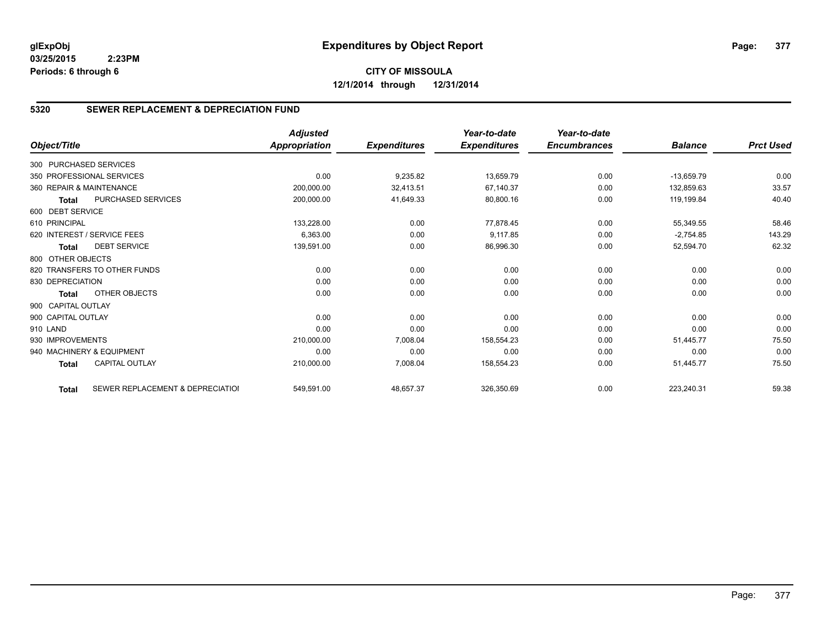# **CITY OF MISSOULA 12/1/2014 through 12/31/2014**

# **5320 SEWER REPLACEMENT & DEPRECIATION FUND**

| Object/Title           |                                  | <b>Adjusted</b><br><b>Appropriation</b> | <b>Expenditures</b> | Year-to-date<br><b>Expenditures</b> | Year-to-date<br><b>Encumbrances</b> | <b>Balance</b> | <b>Prct Used</b> |
|------------------------|----------------------------------|-----------------------------------------|---------------------|-------------------------------------|-------------------------------------|----------------|------------------|
|                        |                                  |                                         |                     |                                     |                                     |                |                  |
| 300 PURCHASED SERVICES |                                  |                                         |                     |                                     |                                     |                |                  |
|                        | 350 PROFESSIONAL SERVICES        | 0.00                                    | 9,235.82            | 13,659.79                           | 0.00                                | $-13,659.79$   | 0.00             |
|                        | 360 REPAIR & MAINTENANCE         | 200,000.00                              | 32,413.51           | 67,140.37                           | 0.00                                | 132,859.63     | 33.57            |
| <b>Total</b>           | PURCHASED SERVICES               | 200,000.00                              | 41,649.33           | 80,800.16                           | 0.00                                | 119,199.84     | 40.40            |
| 600 DEBT SERVICE       |                                  |                                         |                     |                                     |                                     |                |                  |
| 610 PRINCIPAL          |                                  | 133,228.00                              | 0.00                | 77,878.45                           | 0.00                                | 55,349.55      | 58.46            |
|                        | 620 INTEREST / SERVICE FEES      | 6,363.00                                | 0.00                | 9,117.85                            | 0.00                                | $-2,754.85$    | 143.29           |
| <b>Total</b>           | <b>DEBT SERVICE</b>              | 139,591.00                              | 0.00                | 86,996.30                           | 0.00                                | 52,594.70      | 62.32            |
| 800 OTHER OBJECTS      |                                  |                                         |                     |                                     |                                     |                |                  |
|                        | 820 TRANSFERS TO OTHER FUNDS     | 0.00                                    | 0.00                | 0.00                                | 0.00                                | 0.00           | 0.00             |
| 830 DEPRECIATION       |                                  | 0.00                                    | 0.00                | 0.00                                | 0.00                                | 0.00           | 0.00             |
| <b>Total</b>           | OTHER OBJECTS                    | 0.00                                    | 0.00                | 0.00                                | 0.00                                | 0.00           | 0.00             |
| 900 CAPITAL OUTLAY     |                                  |                                         |                     |                                     |                                     |                |                  |
| 900 CAPITAL OUTLAY     |                                  | 0.00                                    | 0.00                | 0.00                                | 0.00                                | 0.00           | 0.00             |
| 910 LAND               |                                  | 0.00                                    | 0.00                | 0.00                                | 0.00                                | 0.00           | 0.00             |
| 930 IMPROVEMENTS       |                                  | 210,000.00                              | 7,008.04            | 158,554.23                          | 0.00                                | 51.445.77      | 75.50            |
|                        | 940 MACHINERY & EQUIPMENT        | 0.00                                    | 0.00                | 0.00                                | 0.00                                | 0.00           | 0.00             |
| <b>Total</b>           | <b>CAPITAL OUTLAY</b>            | 210,000.00                              | 7,008.04            | 158,554.23                          | 0.00                                | 51,445.77      | 75.50            |
| <b>Total</b>           | SEWER REPLACEMENT & DEPRECIATION | 549,591.00                              | 48,657.37           | 326,350.69                          | 0.00                                | 223,240.31     | 59.38            |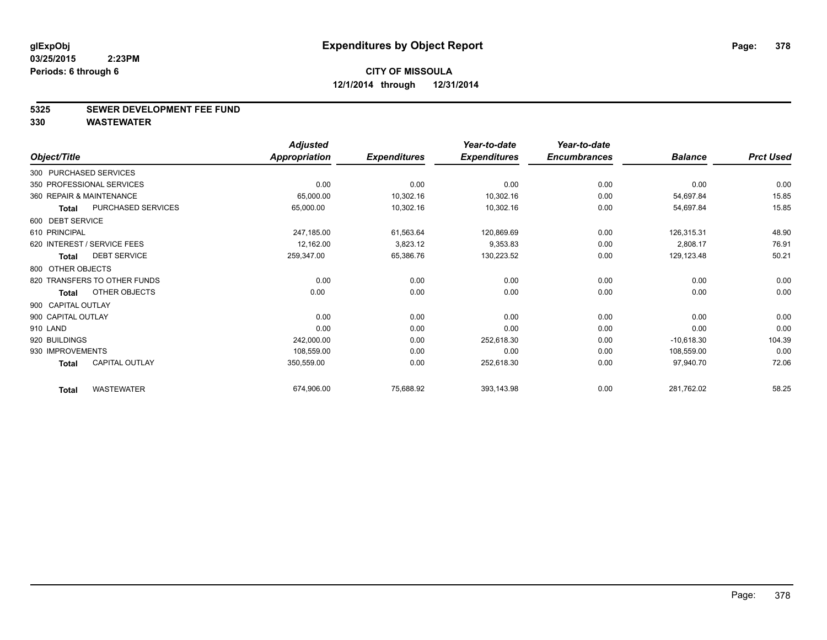#### **5325 SEWER DEVELOPMENT FEE FUND**

|                    |                              | <b>Adjusted</b>      |                     | Year-to-date        | Year-to-date        |                |                  |
|--------------------|------------------------------|----------------------|---------------------|---------------------|---------------------|----------------|------------------|
| Object/Title       |                              | <b>Appropriation</b> | <b>Expenditures</b> | <b>Expenditures</b> | <b>Encumbrances</b> | <b>Balance</b> | <b>Prct Used</b> |
|                    | 300 PURCHASED SERVICES       |                      |                     |                     |                     |                |                  |
|                    | 350 PROFESSIONAL SERVICES    | 0.00                 | 0.00                | 0.00                | 0.00                | 0.00           | 0.00             |
|                    | 360 REPAIR & MAINTENANCE     | 65,000.00            | 10,302.16           | 10,302.16           | 0.00                | 54,697.84      | 15.85            |
| <b>Total</b>       | PURCHASED SERVICES           | 65,000.00            | 10,302.16           | 10,302.16           | 0.00                | 54,697.84      | 15.85            |
| 600 DEBT SERVICE   |                              |                      |                     |                     |                     |                |                  |
| 610 PRINCIPAL      |                              | 247,185.00           | 61,563.64           | 120,869.69          | 0.00                | 126,315.31     | 48.90            |
|                    | 620 INTEREST / SERVICE FEES  | 12,162.00            | 3,823.12            | 9,353.83            | 0.00                | 2,808.17       | 76.91            |
| <b>Total</b>       | <b>DEBT SERVICE</b>          | 259,347.00           | 65,386.76           | 130,223.52          | 0.00                | 129,123.48     | 50.21            |
| 800 OTHER OBJECTS  |                              |                      |                     |                     |                     |                |                  |
|                    | 820 TRANSFERS TO OTHER FUNDS | 0.00                 | 0.00                | 0.00                | 0.00                | 0.00           | 0.00             |
| <b>Total</b>       | OTHER OBJECTS                | 0.00                 | 0.00                | 0.00                | 0.00                | 0.00           | 0.00             |
| 900 CAPITAL OUTLAY |                              |                      |                     |                     |                     |                |                  |
| 900 CAPITAL OUTLAY |                              | 0.00                 | 0.00                | 0.00                | 0.00                | 0.00           | 0.00             |
| 910 LAND           |                              | 0.00                 | 0.00                | 0.00                | 0.00                | 0.00           | 0.00             |
| 920 BUILDINGS      |                              | 242,000.00           | 0.00                | 252,618.30          | 0.00                | $-10,618.30$   | 104.39           |
| 930 IMPROVEMENTS   |                              | 108,559.00           | 0.00                | 0.00                | 0.00                | 108,559.00     | 0.00             |
| <b>Total</b>       | <b>CAPITAL OUTLAY</b>        | 350,559.00           | 0.00                | 252,618.30          | 0.00                | 97,940.70      | 72.06            |
| <b>Total</b>       | <b>WASTEWATER</b>            | 674,906.00           | 75,688.92           | 393,143.98          | 0.00                | 281,762.02     | 58.25            |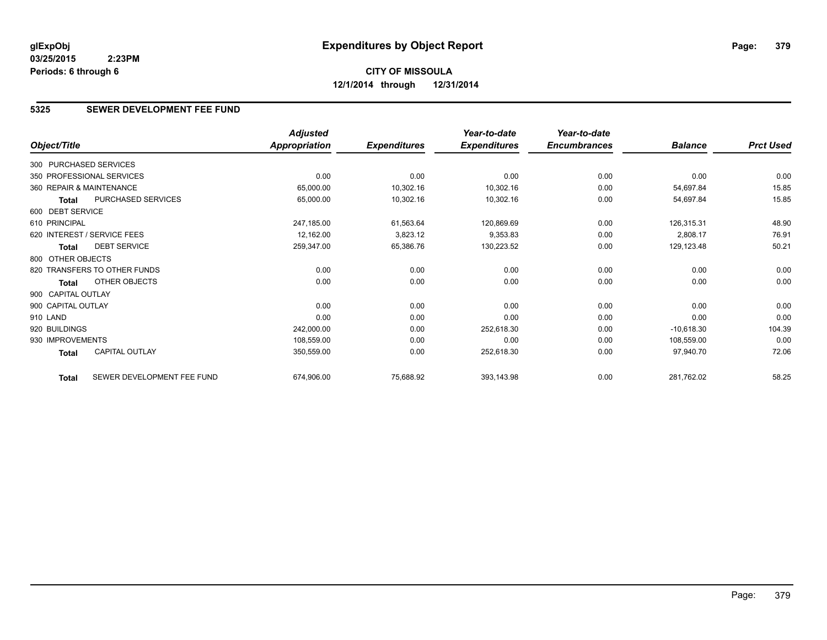# **CITY OF MISSOULA 12/1/2014 through 12/31/2014**

### **5325 SEWER DEVELOPMENT FEE FUND**

|                          |                              | <b>Adjusted</b> |                     | Year-to-date        | Year-to-date        |                |                  |
|--------------------------|------------------------------|-----------------|---------------------|---------------------|---------------------|----------------|------------------|
| Object/Title             |                              | Appropriation   | <b>Expenditures</b> | <b>Expenditures</b> | <b>Encumbrances</b> | <b>Balance</b> | <b>Prct Used</b> |
| 300 PURCHASED SERVICES   |                              |                 |                     |                     |                     |                |                  |
|                          | 350 PROFESSIONAL SERVICES    | 0.00            | 0.00                | 0.00                | 0.00                | 0.00           | 0.00             |
| 360 REPAIR & MAINTENANCE |                              | 65,000.00       | 10,302.16           | 10,302.16           | 0.00                | 54,697.84      | 15.85            |
| Total                    | PURCHASED SERVICES           | 65,000.00       | 10,302.16           | 10,302.16           | 0.00                | 54,697.84      | 15.85            |
| 600 DEBT SERVICE         |                              |                 |                     |                     |                     |                |                  |
| 610 PRINCIPAL            |                              | 247,185.00      | 61,563.64           | 120,869.69          | 0.00                | 126,315.31     | 48.90            |
|                          | 620 INTEREST / SERVICE FEES  | 12,162.00       | 3,823.12            | 9,353.83            | 0.00                | 2,808.17       | 76.91            |
| Total                    | <b>DEBT SERVICE</b>          | 259,347.00      | 65,386.76           | 130,223.52          | 0.00                | 129,123.48     | 50.21            |
| 800 OTHER OBJECTS        |                              |                 |                     |                     |                     |                |                  |
|                          | 820 TRANSFERS TO OTHER FUNDS | 0.00            | 0.00                | 0.00                | 0.00                | 0.00           | 0.00             |
| Total                    | OTHER OBJECTS                | 0.00            | 0.00                | 0.00                | 0.00                | 0.00           | 0.00             |
| 900 CAPITAL OUTLAY       |                              |                 |                     |                     |                     |                |                  |
| 900 CAPITAL OUTLAY       |                              | 0.00            | 0.00                | 0.00                | 0.00                | 0.00           | 0.00             |
| 910 LAND                 |                              | 0.00            | 0.00                | 0.00                | 0.00                | 0.00           | 0.00             |
| 920 BUILDINGS            |                              | 242,000.00      | 0.00                | 252,618.30          | 0.00                | $-10,618.30$   | 104.39           |
| 930 IMPROVEMENTS         |                              | 108,559.00      | 0.00                | 0.00                | 0.00                | 108,559.00     | 0.00             |
| Total                    | <b>CAPITAL OUTLAY</b>        | 350,559.00      | 0.00                | 252,618.30          | 0.00                | 97,940.70      | 72.06            |
| <b>Total</b>             | SEWER DEVELOPMENT FEE FUND   | 674,906.00      | 75,688.92           | 393,143.98          | 0.00                | 281,762.02     | 58.25            |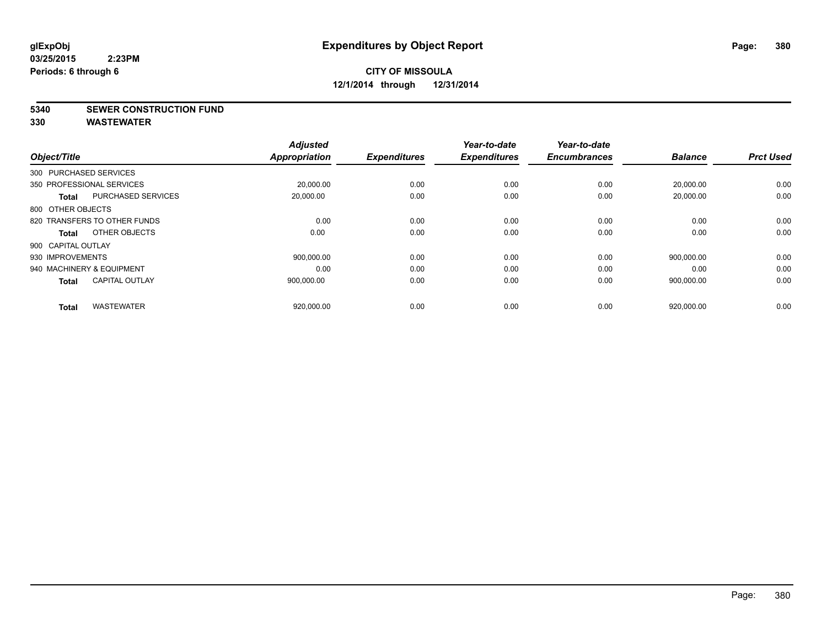**5340 SEWER CONSTRUCTION FUND**

| Object/Title              |                              | <b>Adjusted</b><br><b>Appropriation</b> | <b>Expenditures</b> | Year-to-date<br><b>Expenditures</b> | Year-to-date<br><b>Encumbrances</b> | <b>Balance</b> | <b>Prct Used</b> |
|---------------------------|------------------------------|-----------------------------------------|---------------------|-------------------------------------|-------------------------------------|----------------|------------------|
| 300 PURCHASED SERVICES    |                              |                                         |                     |                                     |                                     |                |                  |
| 350 PROFESSIONAL SERVICES |                              |                                         |                     |                                     |                                     |                |                  |
|                           |                              | 20,000.00                               | 0.00                | 0.00                                | 0.00                                | 20,000.00      | 0.00             |
| <b>Total</b>              | <b>PURCHASED SERVICES</b>    | 20,000.00                               | 0.00                | 0.00                                | 0.00                                | 20,000.00      | 0.00             |
| 800 OTHER OBJECTS         |                              |                                         |                     |                                     |                                     |                |                  |
|                           | 820 TRANSFERS TO OTHER FUNDS | 0.00                                    | 0.00                | 0.00                                | 0.00                                | 0.00           | 0.00             |
| Total                     | OTHER OBJECTS                | 0.00                                    | 0.00                | 0.00                                | 0.00                                | 0.00           | 0.00             |
| 900 CAPITAL OUTLAY        |                              |                                         |                     |                                     |                                     |                |                  |
| 930 IMPROVEMENTS          |                              | 900,000.00                              | 0.00                | 0.00                                | 0.00                                | 900.000.00     | 0.00             |
| 940 MACHINERY & EQUIPMENT |                              | 0.00                                    | 0.00                | 0.00                                | 0.00                                | 0.00           | 0.00             |
| <b>Total</b>              | <b>CAPITAL OUTLAY</b>        | 900,000.00                              | 0.00                | 0.00                                | 0.00                                | 900,000.00     | 0.00             |
|                           |                              |                                         |                     |                                     |                                     |                |                  |
| <b>Total</b>              | <b>WASTEWATER</b>            | 920,000.00                              | 0.00                | 0.00                                | 0.00                                | 920,000.00     | 0.00             |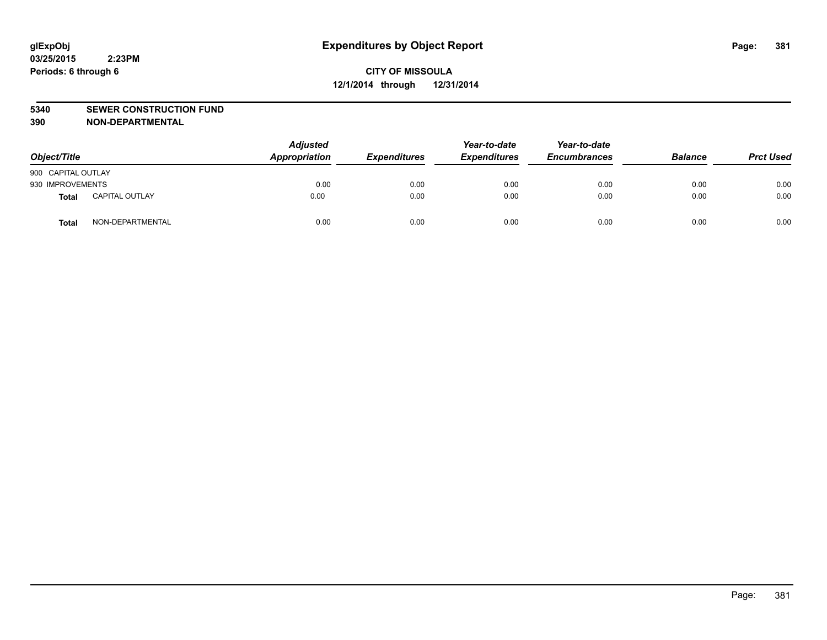#### **5340 SEWER CONSTRUCTION FUND**

**390 NON-DEPARTMENTAL**

| Object/Title       |                       | <b>Adjusted</b><br>Appropriation | <b>Expenditures</b> | Year-to-date<br><b>Expenditures</b> | Year-to-date<br><b>Encumbrances</b> | <b>Balance</b> | <b>Prct Used</b> |
|--------------------|-----------------------|----------------------------------|---------------------|-------------------------------------|-------------------------------------|----------------|------------------|
| 900 CAPITAL OUTLAY |                       |                                  |                     |                                     |                                     |                |                  |
| 930 IMPROVEMENTS   |                       | 0.00                             | 0.00                | 0.00                                | 0.00                                | 0.00           | 0.00             |
| Total              | <b>CAPITAL OUTLAY</b> | 0.00                             | 0.00                | 0.00                                | 0.00                                | 0.00           | 0.00             |
| Total              | NON-DEPARTMENTAL      | 0.00                             | 0.00                | 0.00                                | 0.00                                | 0.00           | 0.00             |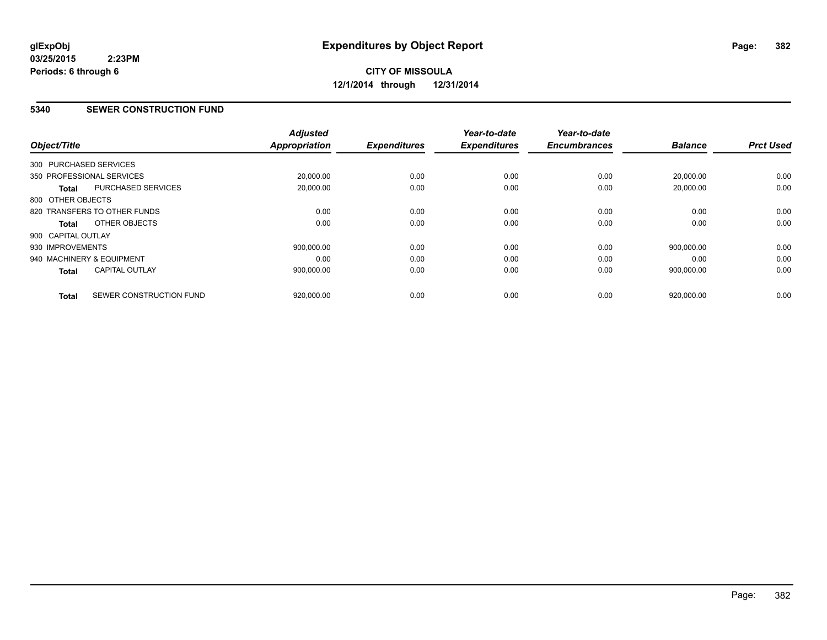#### **5340 SEWER CONSTRUCTION FUND**

| Object/Title              |                              | <b>Adjusted</b><br><b>Appropriation</b> | <b>Expenditures</b> | Year-to-date<br><b>Expenditures</b> | Year-to-date<br><b>Encumbrances</b> | <b>Balance</b> | <b>Prct Used</b> |
|---------------------------|------------------------------|-----------------------------------------|---------------------|-------------------------------------|-------------------------------------|----------------|------------------|
| 300 PURCHASED SERVICES    |                              |                                         |                     |                                     |                                     |                |                  |
| 350 PROFESSIONAL SERVICES |                              | 20,000.00                               | 0.00                | 0.00                                | 0.00                                | 20,000.00      | 0.00             |
| <b>Total</b>              | <b>PURCHASED SERVICES</b>    | 20,000.00                               | 0.00                | 0.00                                | 0.00                                | 20,000.00      | 0.00             |
| 800 OTHER OBJECTS         |                              |                                         |                     |                                     |                                     |                |                  |
|                           | 820 TRANSFERS TO OTHER FUNDS | 0.00                                    | 0.00                | 0.00                                | 0.00                                | 0.00           | 0.00             |
| Total                     | OTHER OBJECTS                | 0.00                                    | 0.00                | 0.00                                | 0.00                                | 0.00           | 0.00             |
| 900 CAPITAL OUTLAY        |                              |                                         |                     |                                     |                                     |                |                  |
| 930 IMPROVEMENTS          |                              | 900.000.00                              | 0.00                | 0.00                                | 0.00                                | 900.000.00     | 0.00             |
| 940 MACHINERY & EQUIPMENT |                              | 0.00                                    | 0.00                | 0.00                                | 0.00                                | 0.00           | 0.00             |
| <b>Total</b>              | <b>CAPITAL OUTLAY</b>        | 900,000.00                              | 0.00                | 0.00                                | 0.00                                | 900,000.00     | 0.00             |
| <b>Total</b>              | SEWER CONSTRUCTION FUND      | 920,000.00                              | 0.00                | 0.00                                | 0.00                                | 920,000.00     | 0.00             |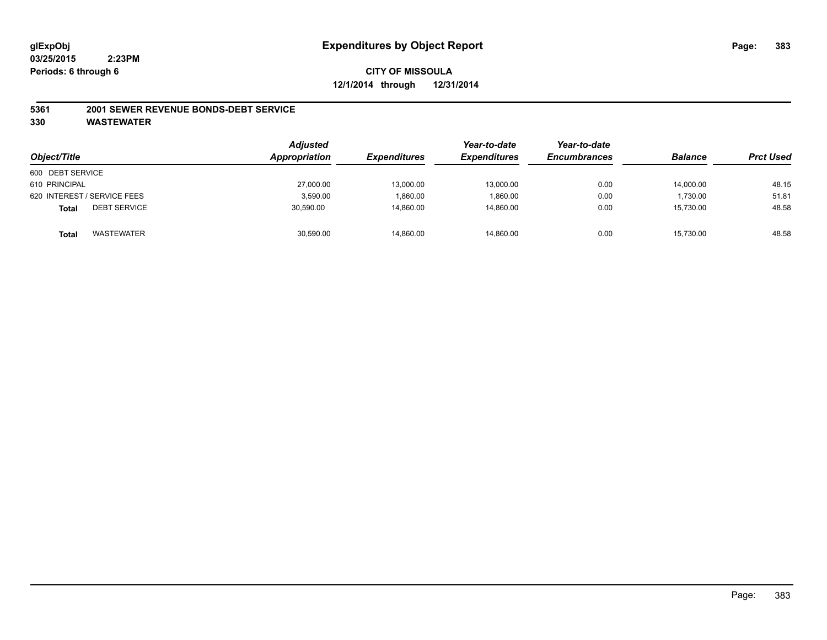#### **5361 2001 SEWER REVENUE BONDS-DEBT SERVICE**

| Object/Title                 | <b>Adjusted</b><br>Appropriation | <b>Expenditures</b> | Year-to-date<br><b>Expenditures</b> | Year-to-date<br><b>Encumbrances</b> | <b>Balance</b> | <b>Prct Used</b> |
|------------------------------|----------------------------------|---------------------|-------------------------------------|-------------------------------------|----------------|------------------|
|                              |                                  |                     |                                     |                                     |                |                  |
| 600 DEBT SERVICE             |                                  |                     |                                     |                                     |                |                  |
| 610 PRINCIPAL                | 27,000.00                        | 13,000.00           | 13,000.00                           | 0.00                                | 14,000.00      | 48.15            |
| 620 INTEREST / SERVICE FEES  | 3,590.00                         | 1,860.00            | 1.860.00                            | 0.00                                | 1.730.00       | 51.81            |
| <b>DEBT SERVICE</b><br>Total | 30,590.00                        | 14,860.00           | 14.860.00                           | 0.00                                | 15,730.00      | 48.58            |
| WASTEWATER<br>Total          | 30,590.00                        | 14,860.00           | 14,860.00                           | 0.00                                | 15,730.00      | 48.58            |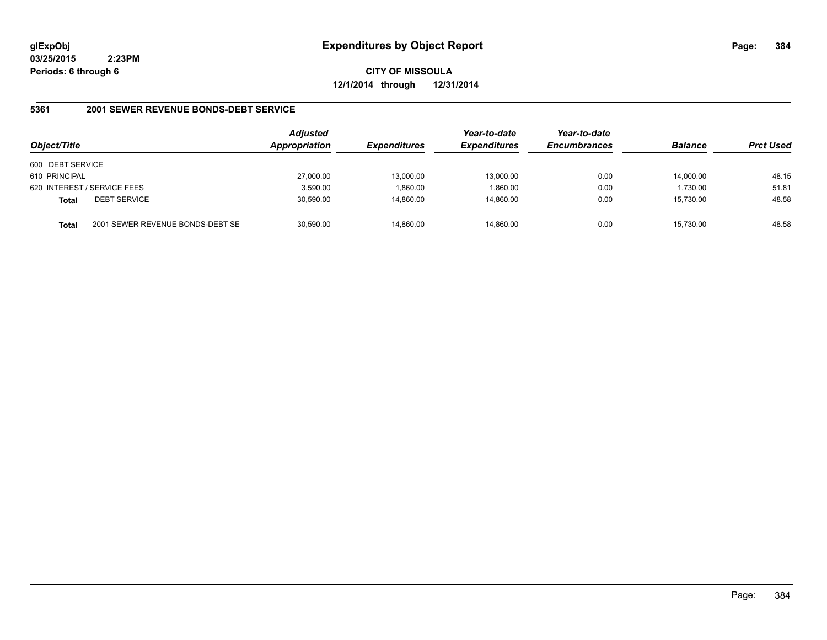**CITY OF MISSOULA 12/1/2014 through 12/31/2014**

#### **5361 2001 SEWER REVENUE BONDS-DEBT SERVICE**

| Object/Title                                     | <b>Adjusted</b><br>Appropriation | <b>Expenditures</b> | Year-to-date<br><b>Expenditures</b> | Year-to-date<br><b>Encumbrances</b> | <b>Balance</b> | <b>Prct Used</b> |
|--------------------------------------------------|----------------------------------|---------------------|-------------------------------------|-------------------------------------|----------------|------------------|
| 600 DEBT SERVICE                                 |                                  |                     |                                     |                                     |                |                  |
| 610 PRINCIPAL                                    | 27,000.00                        | 13,000.00           | 13,000.00                           | 0.00                                | 14,000.00      | 48.15            |
| 620 INTEREST / SERVICE FEES                      | 3,590.00                         | 1,860.00            | 1,860.00                            | 0.00                                | 1,730.00       | 51.81            |
| <b>DEBT SERVICE</b><br><b>Total</b>              | 30,590.00                        | 14,860.00           | 14.860.00                           | 0.00                                | 15.730.00      | 48.58            |
| 2001 SEWER REVENUE BONDS-DEBT SE<br><b>Total</b> | 30.590.00                        | 14.860.00           | 14.860.00                           | 0.00                                | 15.730.00      | 48.58            |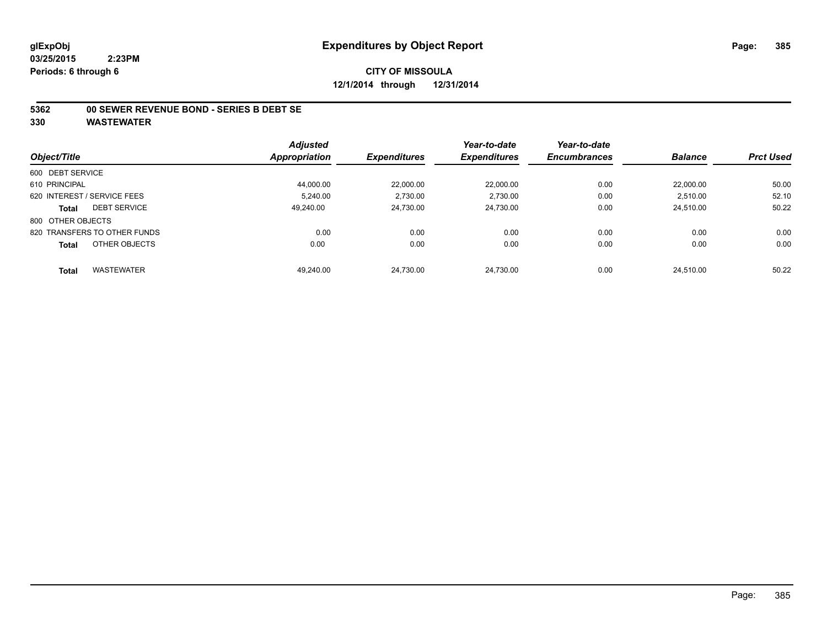#### **5362 00 SEWER REVENUE BOND - SERIES B DEBT SE**

|                                     | <b>Adjusted</b>      |                     | Year-to-date        | Year-to-date        |                |                  |
|-------------------------------------|----------------------|---------------------|---------------------|---------------------|----------------|------------------|
| Object/Title                        | <b>Appropriation</b> | <b>Expenditures</b> | <b>Expenditures</b> | <b>Encumbrances</b> | <b>Balance</b> | <b>Prct Used</b> |
| 600 DEBT SERVICE                    |                      |                     |                     |                     |                |                  |
| 610 PRINCIPAL                       | 44.000.00            | 22.000.00           | 22.000.00           | 0.00                | 22.000.00      | 50.00            |
| 620 INTEREST / SERVICE FEES         | 5.240.00             | 2,730.00            | 2,730.00            | 0.00                | 2,510.00       | 52.10            |
| <b>DEBT SERVICE</b><br><b>Total</b> | 49.240.00            | 24.730.00           | 24.730.00           | 0.00                | 24.510.00      | 50.22            |
| 800 OTHER OBJECTS                   |                      |                     |                     |                     |                |                  |
| 820 TRANSFERS TO OTHER FUNDS        | 0.00                 | 0.00                | 0.00                | 0.00                | 0.00           | 0.00             |
| OTHER OBJECTS<br><b>Total</b>       | 0.00                 | 0.00                | 0.00                | 0.00                | 0.00           | 0.00             |
| <b>WASTEWATER</b><br><b>Total</b>   | 49,240.00            | 24,730.00           | 24.730.00           | 0.00                | 24.510.00      | 50.22            |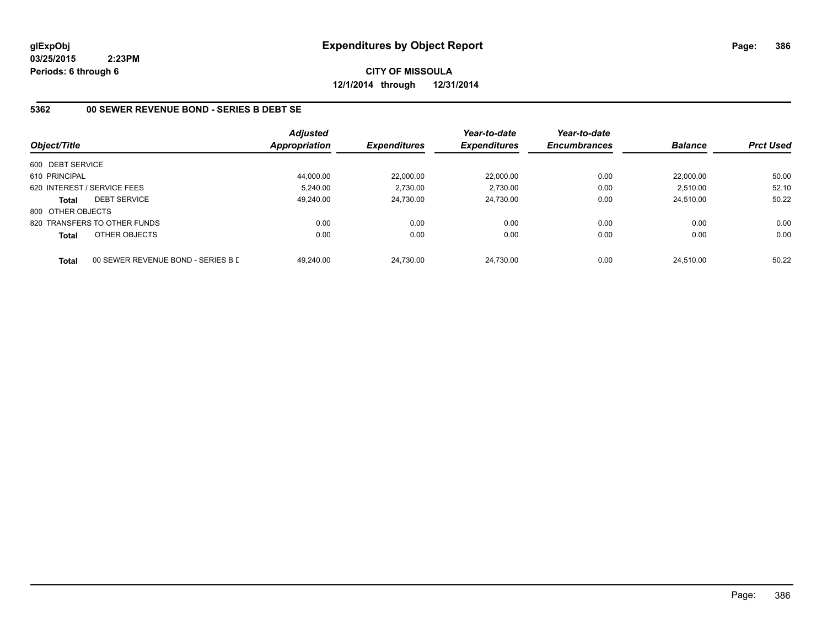**CITY OF MISSOULA 12/1/2014 through 12/31/2014**

#### **5362 00 SEWER REVENUE BOND - SERIES B DEBT SE**

|                   |                                    | <b>Adjusted</b> |                     | Year-to-date        | Year-to-date        |                |                  |
|-------------------|------------------------------------|-----------------|---------------------|---------------------|---------------------|----------------|------------------|
| Object/Title      |                                    | Appropriation   | <b>Expenditures</b> | <b>Expenditures</b> | <b>Encumbrances</b> | <b>Balance</b> | <b>Prct Used</b> |
| 600 DEBT SERVICE  |                                    |                 |                     |                     |                     |                |                  |
| 610 PRINCIPAL     |                                    | 44,000.00       | 22,000.00           | 22.000.00           | 0.00                | 22.000.00      | 50.00            |
|                   | 620 INTEREST / SERVICE FEES        | 5.240.00        | 2.730.00            | 2.730.00            | 0.00                | 2.510.00       | 52.10            |
| <b>Total</b>      | <b>DEBT SERVICE</b>                | 49.240.00       | 24,730.00           | 24.730.00           | 0.00                | 24.510.00      | 50.22            |
| 800 OTHER OBJECTS |                                    |                 |                     |                     |                     |                |                  |
|                   | 820 TRANSFERS TO OTHER FUNDS       | 0.00            | 0.00                | 0.00                | 0.00                | 0.00           | 0.00             |
| Total             | OTHER OBJECTS                      | 0.00            | 0.00                | 0.00                | 0.00                | 0.00           | 0.00             |
| <b>Total</b>      | 00 SEWER REVENUE BOND - SERIES B D | 49.240.00       | 24.730.00           | 24.730.00           | 0.00                | 24.510.00      | 50.22            |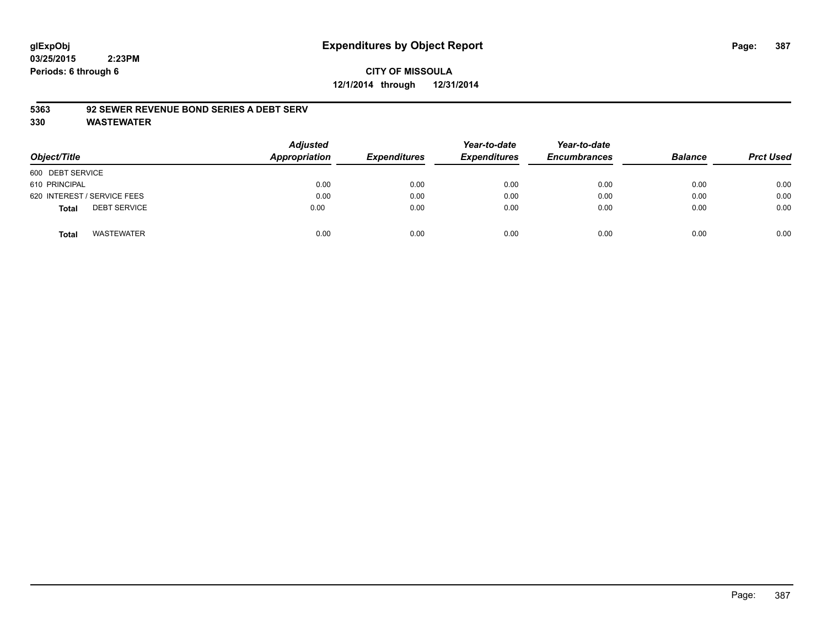# **CITY OF MISSOULA 12/1/2014 through 12/31/2014**

#### **5363 92 SEWER REVENUE BOND SERIES A DEBT SERV**

| Object/Title                        | <b>Adjusted</b><br>Appropriation | <b>Expenditures</b> | Year-to-date<br><b>Expenditures</b> | Year-to-date<br><b>Encumbrances</b> | <b>Balance</b> | <b>Prct Used</b> |
|-------------------------------------|----------------------------------|---------------------|-------------------------------------|-------------------------------------|----------------|------------------|
| 600 DEBT SERVICE                    |                                  |                     |                                     |                                     |                |                  |
| 610 PRINCIPAL                       | 0.00                             | 0.00                | 0.00                                | 0.00                                | 0.00           | 0.00             |
| 620 INTEREST / SERVICE FEES         | 0.00                             | 0.00                | 0.00                                | 0.00                                | 0.00           | 0.00             |
| <b>DEBT SERVICE</b><br><b>Total</b> | 0.00                             | 0.00                | 0.00                                | 0.00                                | 0.00           | 0.00             |
| <b>WASTEWATER</b><br><b>Total</b>   | 0.00                             | 0.00                | 0.00                                | 0.00                                | 0.00           | 0.00             |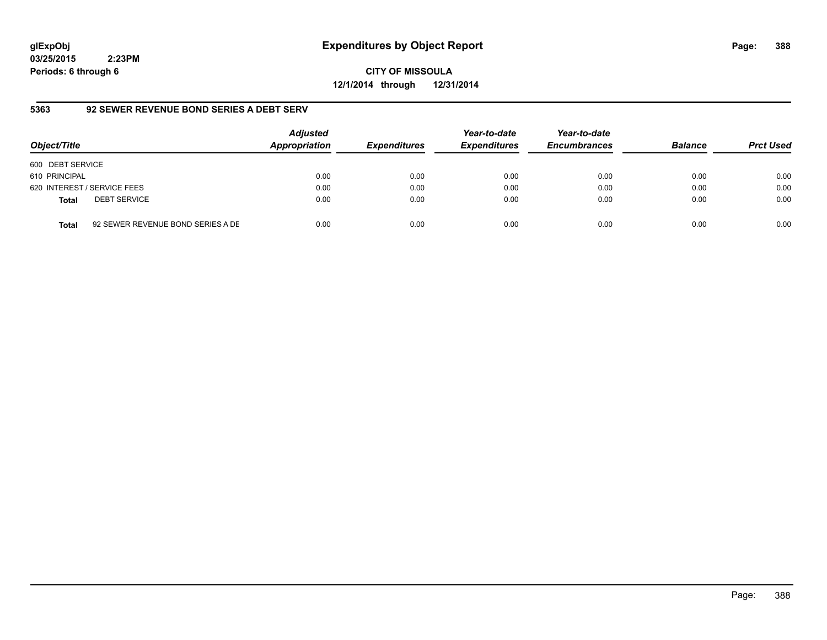# **glExpObj Expenditures by Object Report Page: 388**

**03/25/2015 2:23PM Periods: 6 through 6**

**CITY OF MISSOULA 12/1/2014 through 12/31/2014**

#### **5363 92 SEWER REVENUE BOND SERIES A DEBT SERV**

| Object/Title     |                                   | <b>Adjusted</b><br>Appropriation | <b>Expenditures</b> | Year-to-date<br><b>Expenditures</b> | Year-to-date<br><b>Encumbrances</b> | <b>Balance</b> | <b>Prct Used</b> |
|------------------|-----------------------------------|----------------------------------|---------------------|-------------------------------------|-------------------------------------|----------------|------------------|
| 600 DEBT SERVICE |                                   |                                  |                     |                                     |                                     |                |                  |
| 610 PRINCIPAL    |                                   | 0.00                             | 0.00                | 0.00                                | 0.00                                | 0.00           | 0.00             |
|                  | 620 INTEREST / SERVICE FEES       | 0.00                             | 0.00                | 0.00                                | 0.00                                | 0.00           | 0.00             |
| <b>Total</b>     | <b>DEBT SERVICE</b>               | 0.00                             | 0.00                | 0.00                                | 0.00                                | 0.00           | 0.00             |
| <b>Total</b>     | 92 SEWER REVENUE BOND SERIES A DE | 0.00                             | 0.00                | 0.00                                | 0.00                                | 0.00           | 0.00             |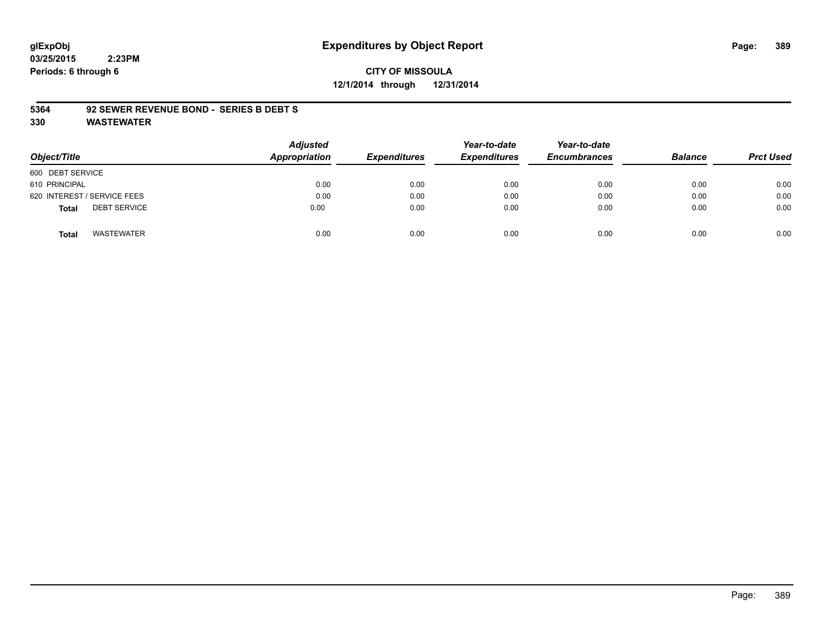# **CITY OF MISSOULA 12/1/2014 through 12/31/2014**

#### **5364 92 SEWER REVENUE BOND - SERIES B DEBT S**

| Object/Title                        | <b>Adjusted</b><br>Appropriation | <b>Expenditures</b> | Year-to-date<br><b>Expenditures</b> | Year-to-date<br><b>Encumbrances</b> | <b>Balance</b> | <b>Prct Used</b> |
|-------------------------------------|----------------------------------|---------------------|-------------------------------------|-------------------------------------|----------------|------------------|
| 600 DEBT SERVICE                    |                                  |                     |                                     |                                     |                |                  |
| 610 PRINCIPAL                       | 0.00                             | 0.00                | 0.00                                | 0.00                                | 0.00           | 0.00             |
| 620 INTEREST / SERVICE FEES         | 0.00                             | 0.00                | 0.00                                | 0.00                                | 0.00           | 0.00             |
| <b>DEBT SERVICE</b><br><b>Total</b> | 0.00                             | 0.00                | 0.00                                | 0.00                                | 0.00           | 0.00             |
| <b>WASTEWATER</b><br>Total          | 0.00                             | 0.00                | 0.00                                | 0.00                                | 0.00           | 0.00             |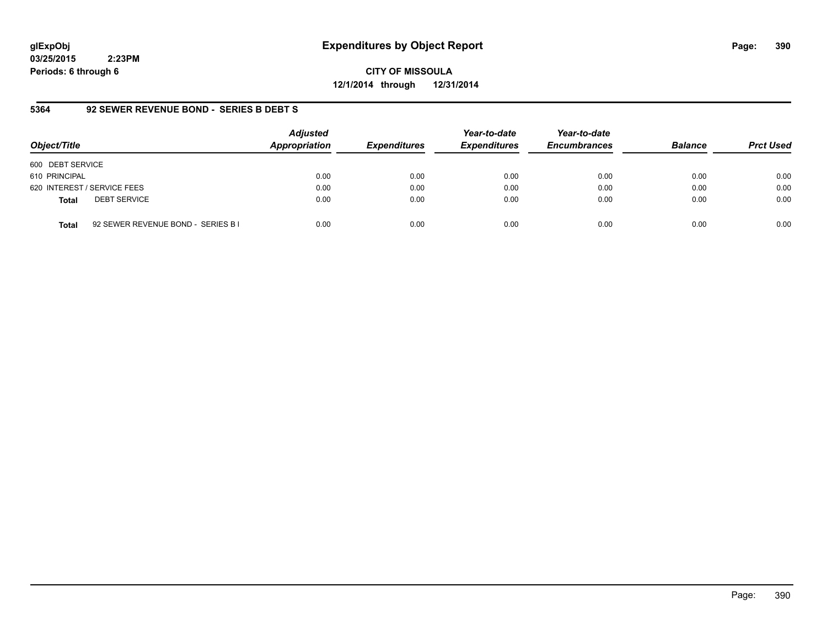# **glExpObj Expenditures by Object Report Page: 390**

**03/25/2015 2:23PM Periods: 6 through 6**

**CITY OF MISSOULA 12/1/2014 through 12/31/2014**

#### **5364 92 SEWER REVENUE BOND - SERIES B DEBT S**

| Object/Title                                       | <b>Adjusted</b><br>Appropriation | <b>Expenditures</b> | Year-to-date<br><b>Expenditures</b> | Year-to-date<br><b>Encumbrances</b> | <b>Balance</b> | <b>Prct Used</b> |
|----------------------------------------------------|----------------------------------|---------------------|-------------------------------------|-------------------------------------|----------------|------------------|
| 600 DEBT SERVICE                                   |                                  |                     |                                     |                                     |                |                  |
| 610 PRINCIPAL                                      | 0.00                             | 0.00                | 0.00                                | 0.00                                | 0.00           | 0.00             |
| 620 INTEREST / SERVICE FEES                        | 0.00                             | 0.00                | 0.00                                | 0.00                                | 0.00           | 0.00             |
| <b>DEBT SERVICE</b><br><b>Total</b>                | 0.00                             | 0.00                | 0.00                                | 0.00                                | 0.00           | 0.00             |
| 92 SEWER REVENUE BOND - SERIES B I<br><b>Total</b> | 0.00                             | 0.00                | 0.00                                | 0.00                                | 0.00           | 0.00             |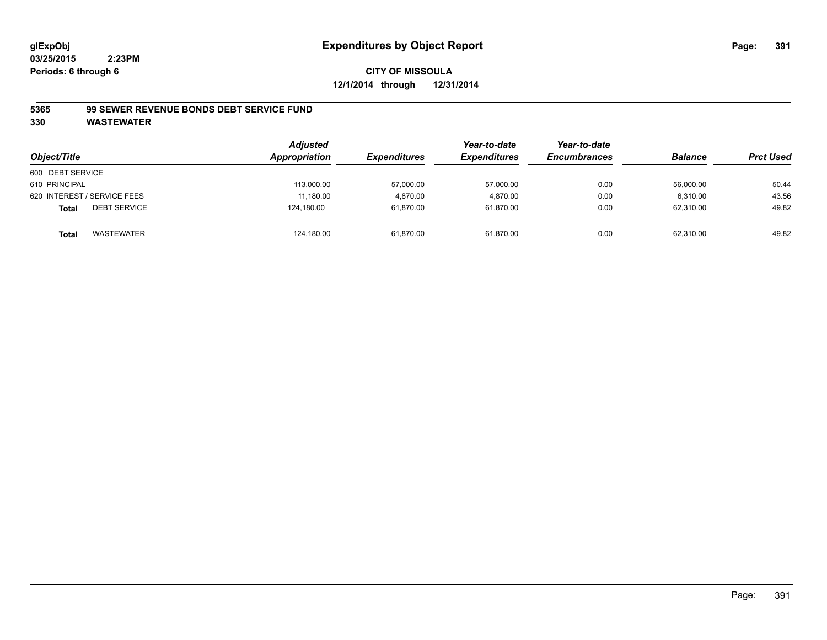#### **5365 99 SEWER REVENUE BONDS DEBT SERVICE FUND**

| Object/Title                        | <b>Adjusted</b><br>Appropriation | <b>Expenditures</b> | Year-to-date<br><b>Expenditures</b> | Year-to-date<br><b>Encumbrances</b> | <b>Balance</b> | <b>Prct Used</b> |
|-------------------------------------|----------------------------------|---------------------|-------------------------------------|-------------------------------------|----------------|------------------|
| 600 DEBT SERVICE                    |                                  |                     |                                     |                                     |                |                  |
| 610 PRINCIPAL                       | 113,000.00                       | 57,000.00           | 57,000.00                           | 0.00                                | 56,000.00      | 50.44            |
| 620 INTEREST / SERVICE FEES         | 11.180.00                        | 4.870.00            | 4.870.00                            | 0.00                                | 6.310.00       | 43.56            |
| <b>DEBT SERVICE</b><br><b>Total</b> | 124.180.00                       | 61.870.00           | 61,870.00                           | 0.00                                | 62.310.00      | 49.82            |
| WASTEWATER<br>Total                 | 124,180.00                       | 61,870.00           | 61,870.00                           | 0.00                                | 62,310.00      | 49.82            |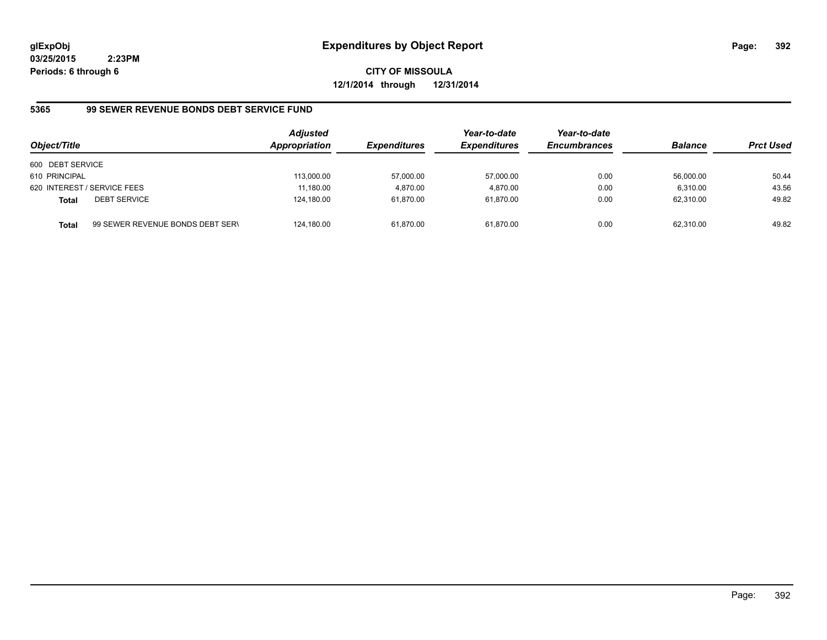**CITY OF MISSOULA 12/1/2014 through 12/31/2014**

# **5365 99 SEWER REVENUE BONDS DEBT SERVICE FUND**

| Object/Title     |                                  | <b>Adjusted</b><br>Appropriation | <b>Expenditures</b> | Year-to-date<br><b>Expenditures</b> | Year-to-date<br><b>Encumbrances</b> | <b>Balance</b> | <b>Prct Used</b> |
|------------------|----------------------------------|----------------------------------|---------------------|-------------------------------------|-------------------------------------|----------------|------------------|
| 600 DEBT SERVICE |                                  |                                  |                     |                                     |                                     |                |                  |
| 610 PRINCIPAL    |                                  | 113.000.00                       | 57,000.00           | 57,000.00                           | 0.00                                | 56.000.00      | 50.44            |
|                  | 620 INTEREST / SERVICE FEES      | 11,180.00                        | 4,870.00            | 4.870.00                            | 0.00                                | 6.310.00       | 43.56            |
| <b>Total</b>     | <b>DEBT SERVICE</b>              | 124,180.00                       | 61,870.00           | 61.870.00                           | 0.00                                | 62.310.00      | 49.82            |
| Total            | 99 SEWER REVENUE BONDS DEBT SERN | 124.180.00                       | 61,870.00           | 61.870.00                           | 0.00                                | 62.310.00      | 49.82            |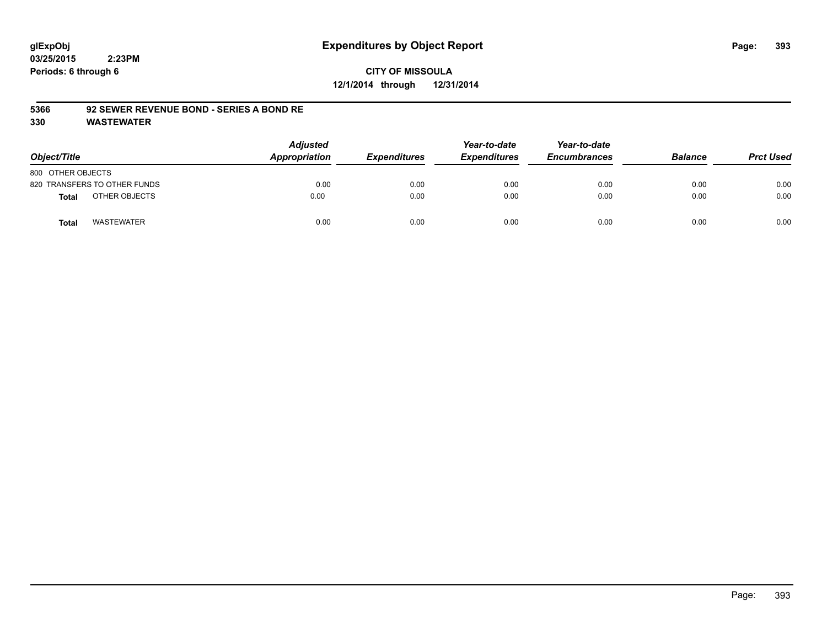# **CITY OF MISSOULA 12/1/2014 through 12/31/2014**

#### **5366 92 SEWER REVENUE BOND - SERIES A BOND RE**

| Object/Title                      | <b>Adjusted</b><br>Appropriation | <b>Expenditures</b> | Year-to-date<br><b>Expenditures</b> | Year-to-date<br><b>Encumbrances</b> | <b>Balance</b> | <b>Prct Used</b> |
|-----------------------------------|----------------------------------|---------------------|-------------------------------------|-------------------------------------|----------------|------------------|
| 800 OTHER OBJECTS                 |                                  |                     |                                     |                                     |                |                  |
| 820 TRANSFERS TO OTHER FUNDS      | 0.00                             | 0.00                | 0.00                                | 0.00                                | 0.00           | 0.00             |
| OTHER OBJECTS<br>Total            | 0.00                             | 0.00                | 0.00                                | 0.00                                | 0.00           | 0.00             |
| <b>WASTEWATER</b><br><b>Total</b> | 0.00                             | 0.00                | 0.00                                | 0.00                                | 0.00           | 0.00             |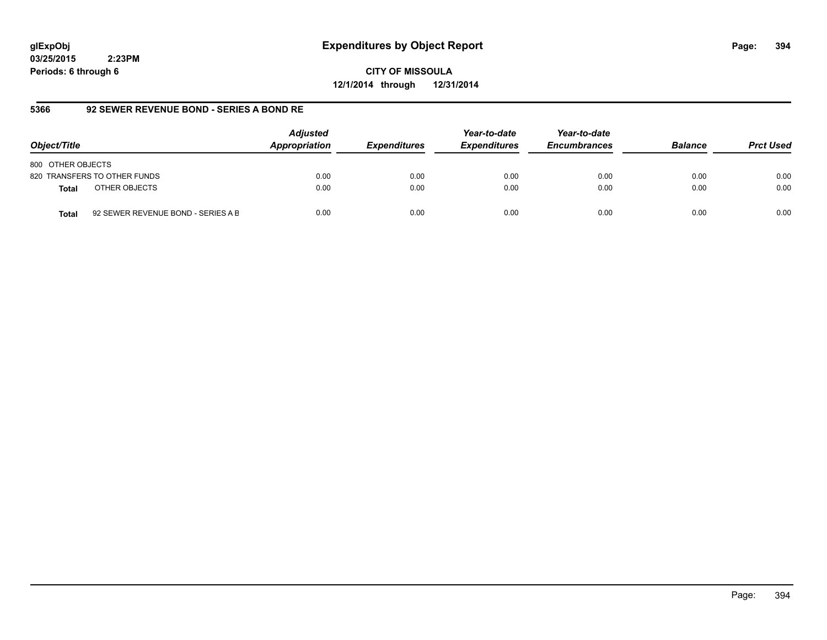# **glExpObj Expenditures by Object Report Page: 394**

**03/25/2015 2:23PM Periods: 6 through 6**

**CITY OF MISSOULA 12/1/2014 through 12/31/2014**

#### **5366 92 SEWER REVENUE BOND - SERIES A BOND RE**

| Object/Title                                       | <b>Adjusted</b><br>Appropriation | <b>Expenditures</b> | Year-to-date<br><b>Expenditures</b> | Year-to-date<br><b>Encumbrances</b> | <b>Balance</b> | <b>Prct Used</b> |
|----------------------------------------------------|----------------------------------|---------------------|-------------------------------------|-------------------------------------|----------------|------------------|
| 800 OTHER OBJECTS                                  |                                  |                     |                                     |                                     |                |                  |
| 820 TRANSFERS TO OTHER FUNDS                       | 0.00                             | 0.00                | 0.00                                | 0.00                                | 0.00           | 0.00             |
| OTHER OBJECTS<br><b>Total</b>                      | 0.00                             | 0.00                | 0.00                                | 0.00                                | 0.00           | 0.00             |
| 92 SEWER REVENUE BOND - SERIES A B<br><b>Total</b> | 0.00                             | 0.00                | 0.00                                | 0.00                                | 0.00           | 0.00             |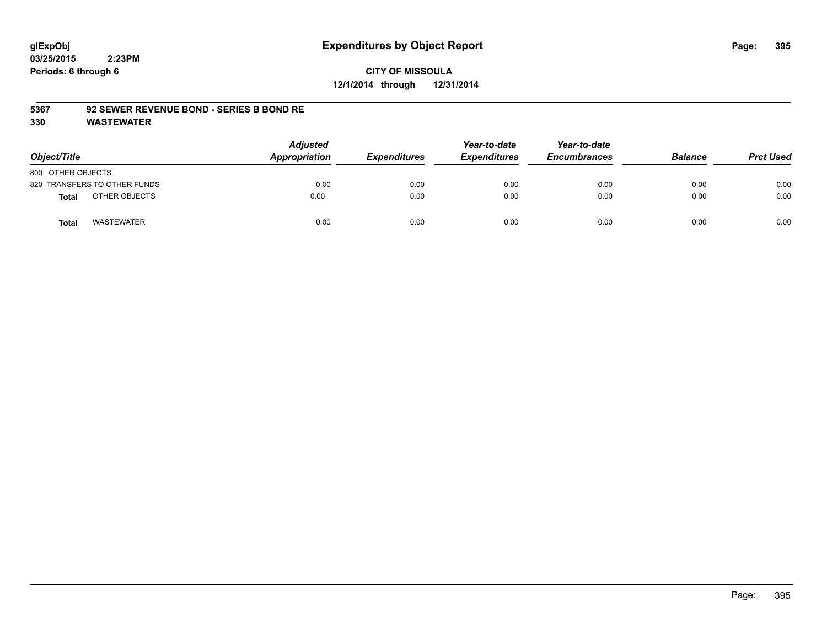# **CITY OF MISSOULA 12/1/2014 through 12/31/2014**

#### **5367 92 SEWER REVENUE BOND - SERIES B BOND RE**

| Object/Title                 | <b>Adjusted</b><br>Appropriation | <b>Expenditures</b> | Year-to-date<br><b>Expenditures</b> | Year-to-date<br><b>Encumbrances</b> | <b>Balance</b> | <b>Prct Used</b> |
|------------------------------|----------------------------------|---------------------|-------------------------------------|-------------------------------------|----------------|------------------|
| 800 OTHER OBJECTS            |                                  |                     |                                     |                                     |                |                  |
| 820 TRANSFERS TO OTHER FUNDS | 0.00                             | 0.00                | 0.00                                | 0.00                                | 0.00           | 0.00             |
| OTHER OBJECTS<br>Total       | 0.00                             | 0.00                | 0.00                                | 0.00                                | 0.00           | 0.00             |
| <b>WASTEWATER</b><br>Total   | 0.00                             | 0.00                | 0.00                                | 0.00                                | 0.00           | 0.00             |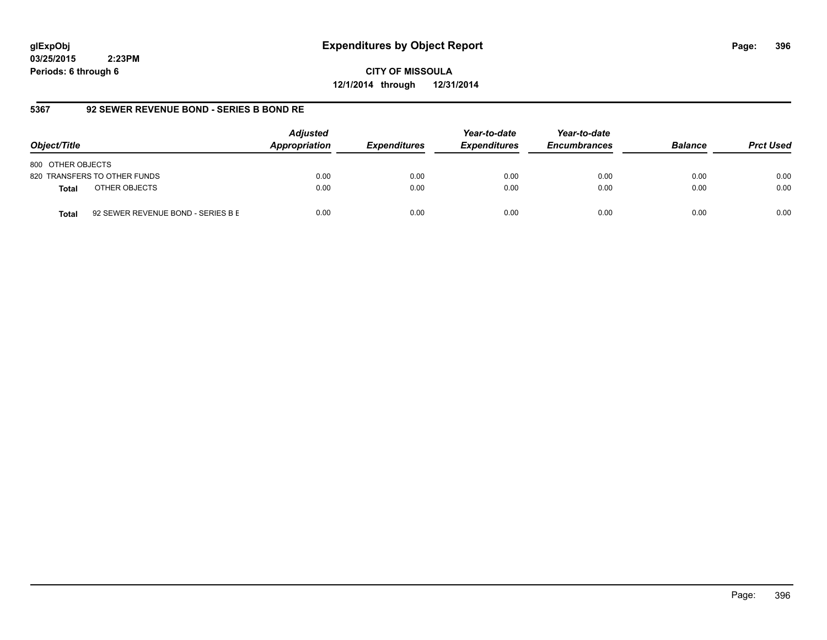# **glExpObj Expenditures by Object Report Page: 396**

**03/25/2015 2:23PM Periods: 6 through 6**

**CITY OF MISSOULA 12/1/2014 through 12/31/2014**

### **5367 92 SEWER REVENUE BOND - SERIES B BOND RE**

| Object/Title                                       | <b>Adjusted</b><br>Appropriation | <b>Expenditures</b> | Year-to-date<br><b>Expenditures</b> | Year-to-date<br><b>Encumbrances</b> | <b>Balance</b> | <b>Prct Used</b> |
|----------------------------------------------------|----------------------------------|---------------------|-------------------------------------|-------------------------------------|----------------|------------------|
| 800 OTHER OBJECTS                                  |                                  |                     |                                     |                                     |                |                  |
| 820 TRANSFERS TO OTHER FUNDS                       | 0.00                             | 0.00                | 0.00                                | 0.00                                | 0.00           | 0.00             |
| OTHER OBJECTS<br><b>Total</b>                      | 0.00                             | 0.00                | 0.00                                | 0.00                                | 0.00           | 0.00             |
| 92 SEWER REVENUE BOND - SERIES B E<br><b>Total</b> | 0.00                             | 0.00                | 0.00                                | 0.00                                | 0.00           | 0.00             |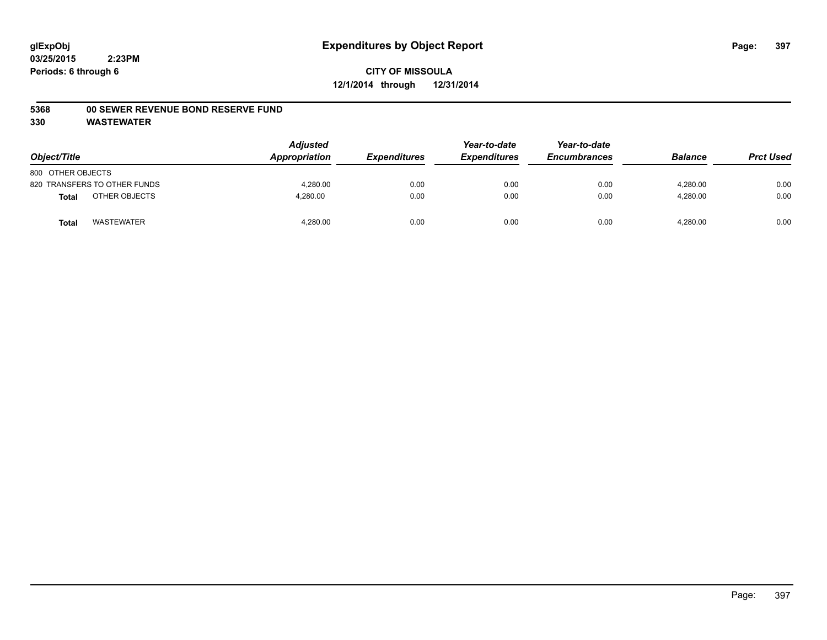#### **5368 00 SEWER REVENUE BOND RESERVE FUND**

| Object/Title                  | <b>Adjusted</b><br>Appropriation | <b>Expenditures</b> | Year-to-date<br><b>Expenditures</b> | Year-to-date<br><b>Encumbrances</b> | <b>Balance</b> | <b>Prct Used</b> |
|-------------------------------|----------------------------------|---------------------|-------------------------------------|-------------------------------------|----------------|------------------|
| 800 OTHER OBJECTS             |                                  |                     |                                     |                                     |                |                  |
| 820 TRANSFERS TO OTHER FUNDS  | 4.280.00                         | 0.00                | 0.00                                | 0.00                                | 4.280.00       | 0.00             |
| OTHER OBJECTS<br><b>Total</b> | 4,280.00                         | 0.00                | 0.00                                | 0.00                                | 4,280.00       | 0.00             |
| <b>WASTEWATER</b><br>Tota     | 4,280.00                         | 0.00                | 0.00                                | 0.00                                | 4,280.00       | 0.00             |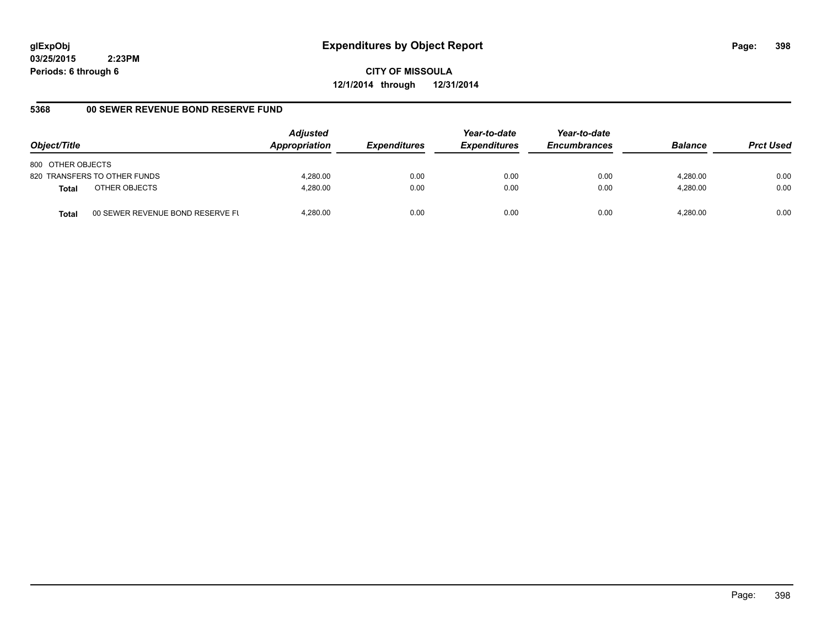**CITY OF MISSOULA 12/1/2014 through 12/31/2014**

# **5368 00 SEWER REVENUE BOND RESERVE FUND**

| Object/Title                  |                                  | <b>Adjusted</b><br>Appropriation | <b>Expenditures</b> | Year-to-date<br><b>Expenditures</b> | Year-to-date<br><b>Encumbrances</b> | <b>Balance</b> | <b>Prct Used</b> |
|-------------------------------|----------------------------------|----------------------------------|---------------------|-------------------------------------|-------------------------------------|----------------|------------------|
| 800 OTHER OBJECTS             |                                  |                                  |                     |                                     |                                     |                |                  |
| 820 TRANSFERS TO OTHER FUNDS  |                                  | 4.280.00                         | 0.00                | 0.00                                | 0.00                                | 4.280.00       | 0.00             |
| OTHER OBJECTS<br><b>Total</b> |                                  | 4.280.00                         | 0.00                | 0.00                                | 0.00                                | 4.280.00       | 0.00             |
| <b>Total</b>                  | 00 SEWER REVENUE BOND RESERVE FL | 4.280.00                         | 0.00                | 0.00                                | 0.00                                | 4.280.00       | 0.00             |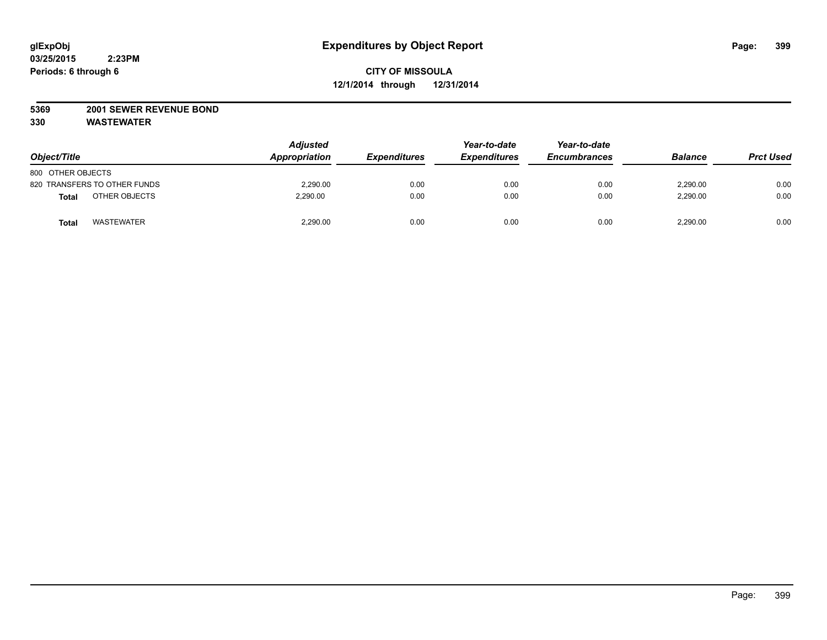#### **5369 2001 SEWER REVENUE BOND**

| Object/Title                 | <b>Adjusted</b><br>Appropriation | <b>Expenditures</b> | Year-to-date<br><b>Expenditures</b> | Year-to-date<br><b>Encumbrances</b> | <b>Balance</b> | <b>Prct Used</b> |
|------------------------------|----------------------------------|---------------------|-------------------------------------|-------------------------------------|----------------|------------------|
| 800 OTHER OBJECTS            |                                  |                     |                                     |                                     |                |                  |
| 820 TRANSFERS TO OTHER FUNDS | 2,290.00                         | 0.00                | 0.00                                | 0.00                                | 2,290.00       | 0.00             |
| OTHER OBJECTS<br>Total       | 2.290.00                         | 0.00                | 0.00                                | 0.00                                | 2,290.00       | 0.00             |
| <b>WASTEWATER</b><br>Total   | 2,290.00                         | 0.00                | 0.00                                | 0.00                                | 2,290.00       | 0.00             |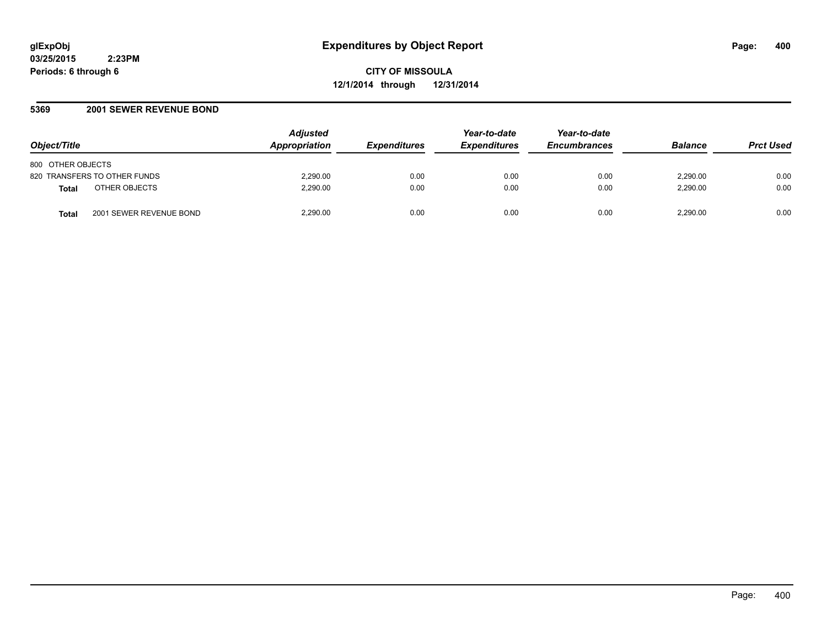#### **5369 2001 SEWER REVENUE BOND**

| Object/Title                            | <b>Adjusted</b><br><b>Appropriation</b> | <b>Expenditures</b> | Year-to-date<br><b>Expenditures</b> | Year-to-date<br><b>Encumbrances</b> | <b>Balance</b> | <b>Prct Used</b> |
|-----------------------------------------|-----------------------------------------|---------------------|-------------------------------------|-------------------------------------|----------------|------------------|
| 800 OTHER OBJECTS                       |                                         |                     |                                     |                                     |                |                  |
| 820 TRANSFERS TO OTHER FUNDS            | 2,290.00                                | 0.00                | 0.00                                | 0.00                                | 2.290.00       | 0.00             |
| OTHER OBJECTS<br><b>Total</b>           | 2,290.00                                | 0.00                | 0.00                                | 0.00                                | 2,290.00       | 0.00             |
| 2001 SEWER REVENUE BOND<br><b>Total</b> | 2,290.00                                | 0.00                | 0.00                                | 0.00                                | 2,290.00       | 0.00             |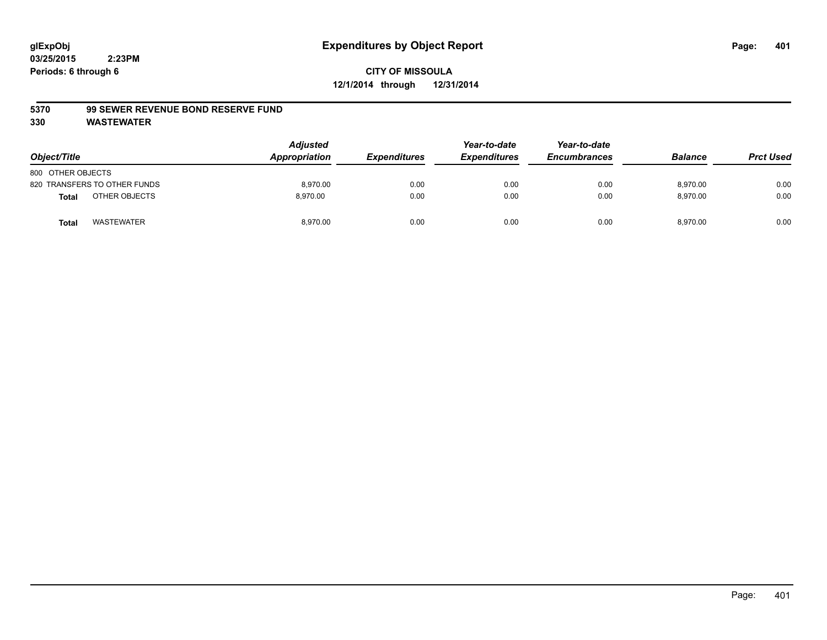#### **5370 99 SEWER REVENUE BOND RESERVE FUND**

| Object/Title      |                              | <b>Adjusted</b><br>Appropriation | <b>Expenditures</b> | Year-to-date<br><b>Expenditures</b> | Year-to-date<br><b>Encumbrances</b> | <b>Balance</b> | <b>Prct Used</b> |
|-------------------|------------------------------|----------------------------------|---------------------|-------------------------------------|-------------------------------------|----------------|------------------|
| 800 OTHER OBJECTS |                              |                                  |                     |                                     |                                     |                |                  |
|                   | 820 TRANSFERS TO OTHER FUNDS | 8,970.00                         | 0.00                | 0.00                                | 0.00                                | 8,970.00       | 0.00             |
| <b>Total</b>      | OTHER OBJECTS                | 8.970.00                         | 0.00                | 0.00                                | 0.00                                | 8,970.00       | 0.00             |
| <b>Total</b>      | <b>WASTEWATER</b>            | 8,970.00                         | 0.00                | 0.00                                | 0.00                                | 8,970.00       | 0.00             |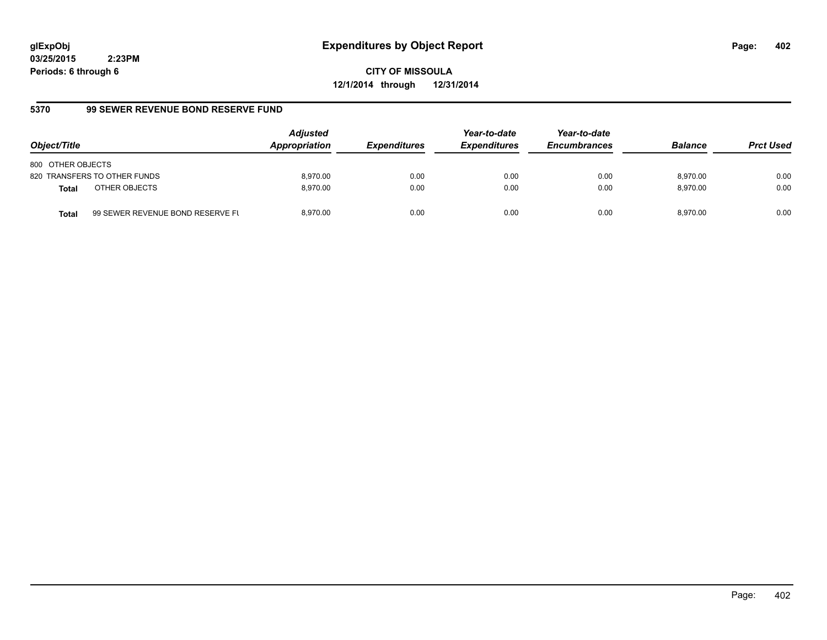**CITY OF MISSOULA 12/1/2014 through 12/31/2014**

# **5370 99 SEWER REVENUE BOND RESERVE FUND**

| Object/Title                  |                                  | <b>Adjusted</b><br>Appropriation | <b>Expenditures</b> | Year-to-date<br><b>Expenditures</b> | Year-to-date<br><b>Encumbrances</b> | <b>Balance</b> | <b>Prct Used</b> |
|-------------------------------|----------------------------------|----------------------------------|---------------------|-------------------------------------|-------------------------------------|----------------|------------------|
| 800 OTHER OBJECTS             |                                  |                                  |                     |                                     |                                     |                |                  |
| 820 TRANSFERS TO OTHER FUNDS  |                                  | 8.970.00                         | 0.00                | 0.00                                | 0.00                                | 8.970.00       | 0.00             |
| OTHER OBJECTS<br><b>Total</b> |                                  | 8.970.00                         | 0.00                | 0.00                                | 0.00                                | 8.970.00       | 0.00             |
| <b>Total</b>                  | 99 SEWER REVENUE BOND RESERVE FL | 8.970.00                         | 0.00                | 0.00                                | 0.00                                | 8.970.00       | 0.00             |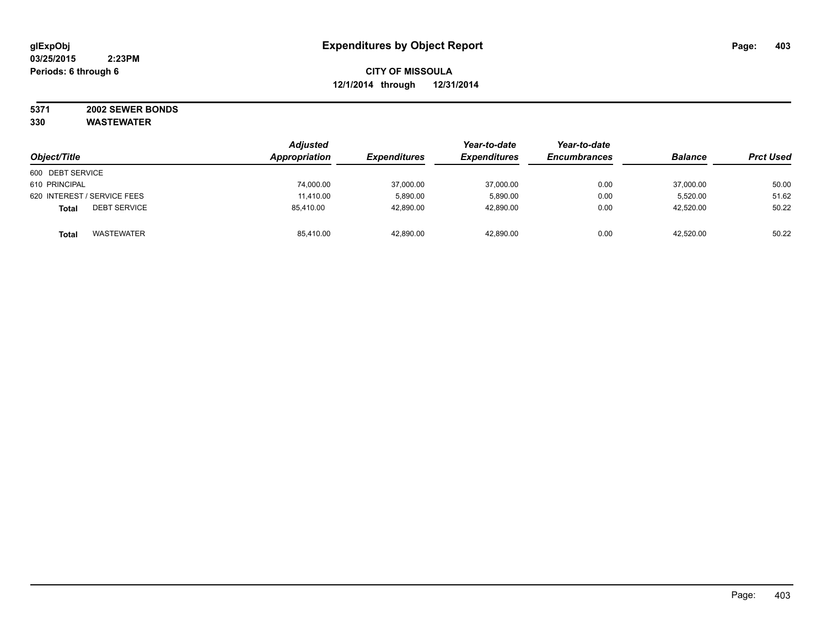# **5371 2002 SEWER BONDS**

|                                     | <b>Adjusted</b> |                     | Year-to-date        | Year-to-date        | <b>Balance</b> |                  |
|-------------------------------------|-----------------|---------------------|---------------------|---------------------|----------------|------------------|
| Object/Title                        | Appropriation   | <b>Expenditures</b> | <b>Expenditures</b> | <b>Encumbrances</b> |                | <b>Prct Used</b> |
| 600 DEBT SERVICE                    |                 |                     |                     |                     |                |                  |
| 610 PRINCIPAL                       | 74,000.00       | 37,000.00           | 37,000.00           | 0.00                | 37,000.00      | 50.00            |
| 620 INTEREST / SERVICE FEES         | 11,410.00       | 5,890.00            | 5,890.00            | 0.00                | 5.520.00       | 51.62            |
| <b>DEBT SERVICE</b><br><b>Total</b> | 85.410.00       | 42,890.00           | 42,890.00           | 0.00                | 42,520.00      | 50.22            |
| WASTEWATER<br><b>Total</b>          | 85.410.00       | 42,890.00           | 42,890.00           | 0.00                | 42,520.00      | 50.22            |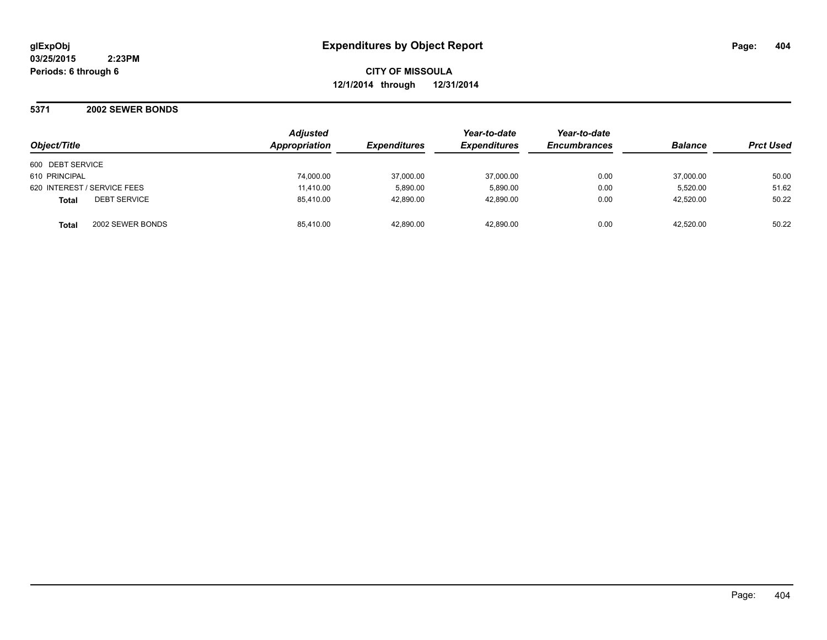**5371 2002 SEWER BONDS**

| Object/Title                 | Adjusted<br>Appropriation | <b>Expenditures</b> | Year-to-date<br><b>Expenditures</b> | Year-to-date<br><b>Encumbrances</b> | <b>Balance</b> | <b>Prct Used</b> |
|------------------------------|---------------------------|---------------------|-------------------------------------|-------------------------------------|----------------|------------------|
| 600 DEBT SERVICE             |                           |                     |                                     |                                     |                |                  |
| 610 PRINCIPAL                | 74,000.00                 | 37,000.00           | 37,000.00                           | 0.00                                | 37,000.00      | 50.00            |
| 620 INTEREST / SERVICE FEES  | 11,410.00                 | 5.890.00            | 5.890.00                            | 0.00                                | 5.520.00       | 51.62            |
| <b>DEBT SERVICE</b><br>Total | 85,410.00                 | 42,890.00           | 42,890.00                           | 0.00                                | 42.520.00      | 50.22            |
| 2002 SEWER BONDS<br>Total    | 85,410.00                 | 42,890.00           | 42.890.00                           | 0.00                                | 42.520.00      | 50.22            |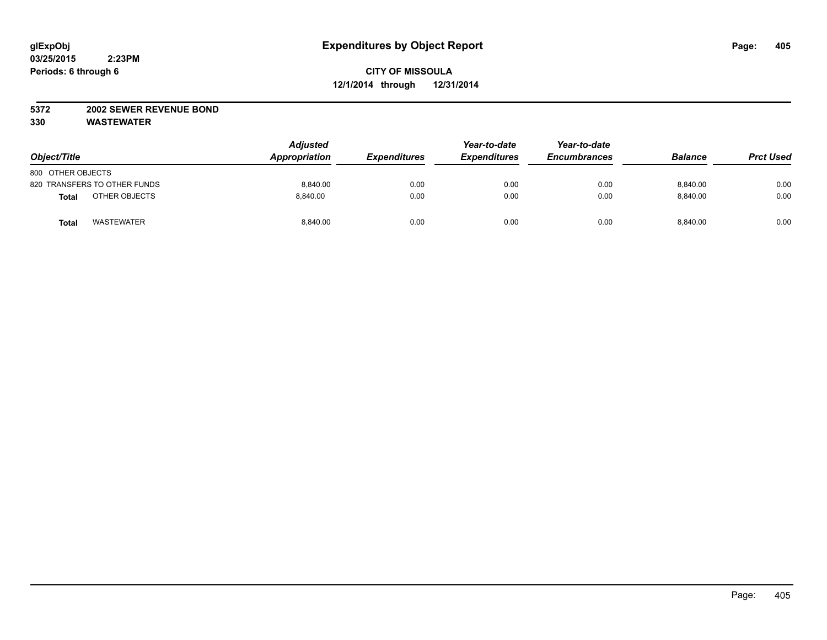#### **5372 2002 SEWER REVENUE BOND**

| Object/Title                      | <b>Adjusted</b><br>Appropriation | <b>Expenditures</b> | Year-to-date<br><b>Expenditures</b> | Year-to-date<br><b>Encumbrances</b> | <b>Balance</b> | <b>Prct Used</b> |
|-----------------------------------|----------------------------------|---------------------|-------------------------------------|-------------------------------------|----------------|------------------|
| 800 OTHER OBJECTS                 |                                  |                     |                                     |                                     |                |                  |
| 820 TRANSFERS TO OTHER FUNDS      | 8,840.00                         | 0.00                | 0.00                                | 0.00                                | 8,840.00       | 0.00             |
| OTHER OBJECTS<br><b>Total</b>     | 8.840.00                         | 0.00                | 0.00                                | 0.00                                | 8.840.00       | 0.00             |
| <b>WASTEWATER</b><br><b>Total</b> | 8,840.00                         | 0.00                | 0.00                                | 0.00                                | 8,840.00       | 0.00             |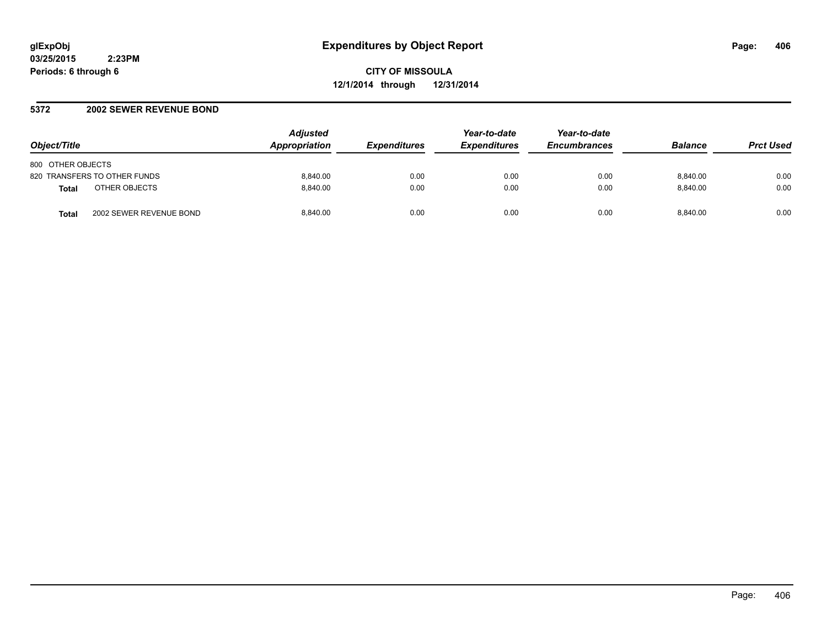#### **5372 2002 SEWER REVENUE BOND**

| Object/Title                            | <b>Adjusted</b><br>Appropriation | <i><b>Expenditures</b></i> | Year-to-date<br><b>Expenditures</b> | Year-to-date<br><b>Encumbrances</b> | <b>Balance</b> | <b>Prct Used</b> |
|-----------------------------------------|----------------------------------|----------------------------|-------------------------------------|-------------------------------------|----------------|------------------|
| 800 OTHER OBJECTS                       |                                  |                            |                                     |                                     |                |                  |
| 820 TRANSFERS TO OTHER FUNDS            | 8.840.00                         | 0.00                       | 0.00                                | 0.00                                | 8.840.00       | 0.00             |
| OTHER OBJECTS<br><b>Total</b>           | 8.840.00                         | 0.00                       | 0.00                                | 0.00                                | 8.840.00       | 0.00             |
| 2002 SEWER REVENUE BOND<br><b>Total</b> | 8.840.00                         | 0.00                       | 0.00                                | 0.00                                | 8.840.00       | 0.00             |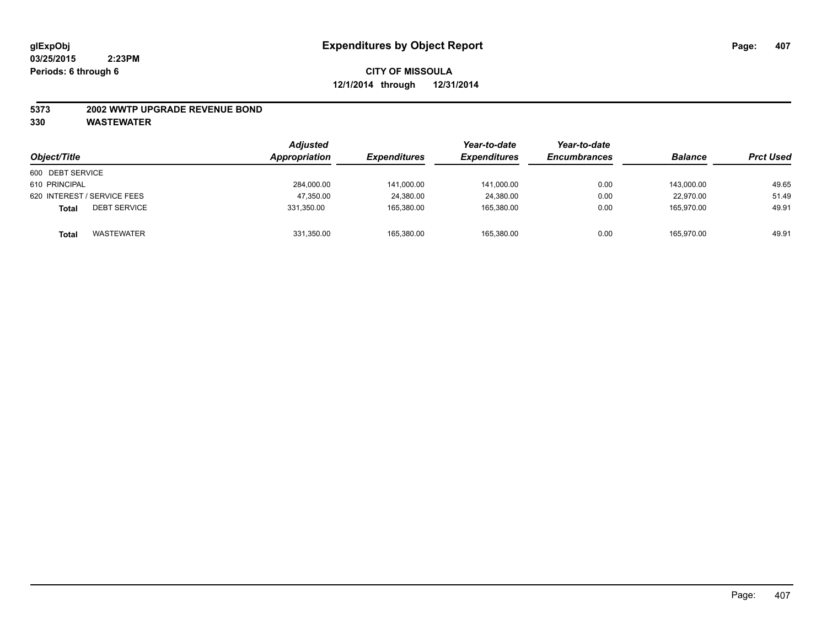#### **5373 2002 WWTP UPGRADE REVENUE BOND**

| Object/Title                        | <b>Adjusted</b><br>Appropriation | <i><b>Expenditures</b></i> | Year-to-date<br><b>Expenditures</b> | Year-to-date<br><b>Encumbrances</b> | <b>Balance</b> | <b>Prct Used</b> |
|-------------------------------------|----------------------------------|----------------------------|-------------------------------------|-------------------------------------|----------------|------------------|
| 600 DEBT SERVICE                    |                                  |                            |                                     |                                     |                |                  |
| 610 PRINCIPAL                       | 284,000.00                       | 141,000.00                 | 141,000.00                          | 0.00                                | 143.000.00     | 49.65            |
| 620 INTEREST / SERVICE FEES         | 47,350.00                        | 24,380.00                  | 24,380.00                           | 0.00                                | 22.970.00      | 51.49            |
| <b>DEBT SERVICE</b><br><b>Total</b> | 331,350.00                       | 165,380.00                 | 165,380.00                          | 0.00                                | 165,970.00     | 49.91            |
| <b>WASTEWATER</b><br><b>Total</b>   | 331,350.00                       | 165.380.00                 | 165,380.00                          | 0.00                                | 165,970.00     | 49.91            |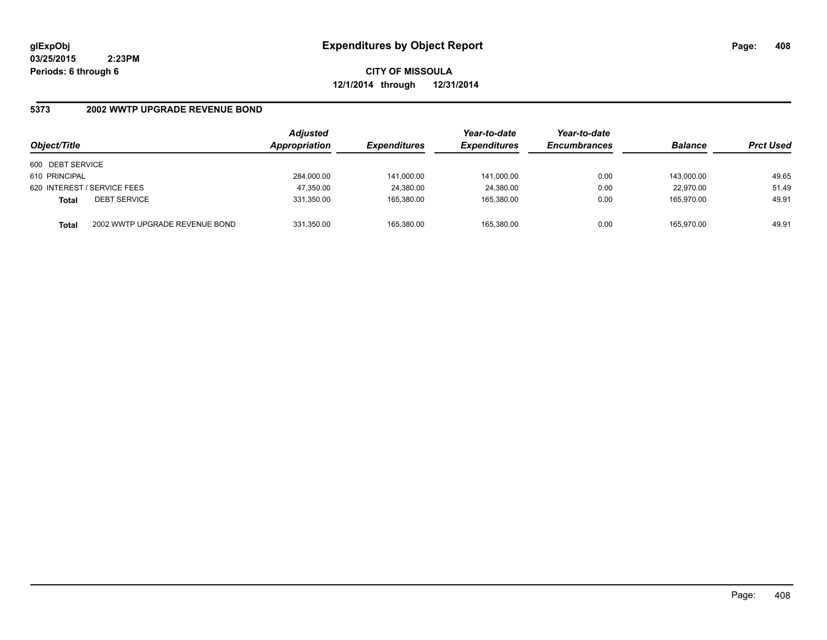**CITY OF MISSOULA 12/1/2014 through 12/31/2014**

# **5373 2002 WWTP UPGRADE REVENUE BOND**

| Object/Title     |                                | <b>Adjusted</b><br>Appropriation | <b>Expenditures</b> | Year-to-date<br><b>Expenditures</b> | Year-to-date<br><b>Encumbrances</b> | <b>Balance</b> | <b>Prct Used</b> |
|------------------|--------------------------------|----------------------------------|---------------------|-------------------------------------|-------------------------------------|----------------|------------------|
| 600 DEBT SERVICE |                                |                                  |                     |                                     |                                     |                |                  |
| 610 PRINCIPAL    |                                | 284,000.00                       | 141,000.00          | 141,000.00                          | 0.00                                | 143.000.00     | 49.65            |
|                  | 620 INTEREST / SERVICE FEES    | 47,350.00                        | 24,380.00           | 24,380.00                           | 0.00                                | 22.970.00      | 51.49            |
| <b>Total</b>     | <b>DEBT SERVICE</b>            | 331.350.00                       | 165.380.00          | 165.380.00                          | 0.00                                | 165.970.00     | 49.91            |
| <b>Total</b>     | 2002 WWTP UPGRADE REVENUE BOND | 331.350.00                       | 165.380.00          | 165.380.00                          | 0.00                                | 165.970.00     | 49.91            |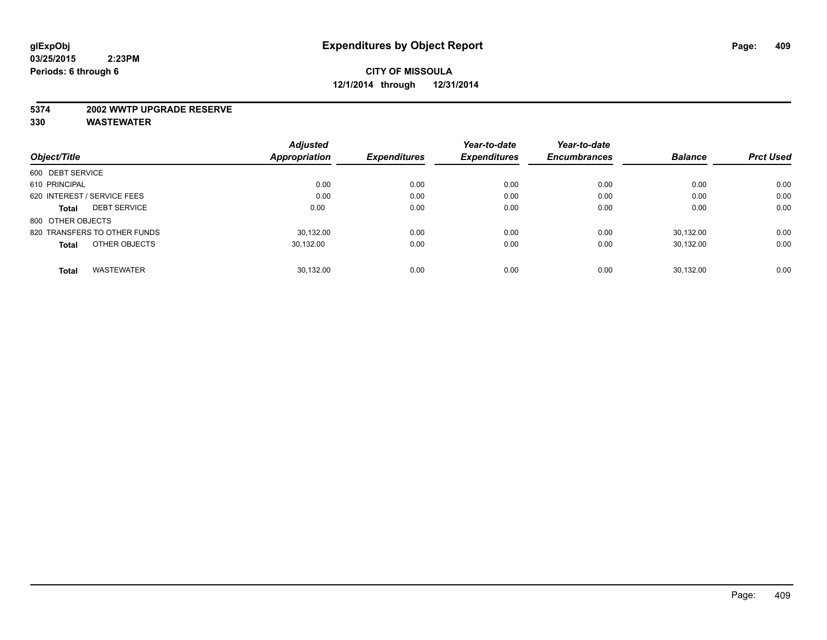#### **5374 2002 WWTP UPGRADE RESERVE**

|                                     | <b>Adjusted</b>      |                     | Year-to-date        | Year-to-date        |                |                  |
|-------------------------------------|----------------------|---------------------|---------------------|---------------------|----------------|------------------|
| Object/Title                        | <b>Appropriation</b> | <b>Expenditures</b> | <b>Expenditures</b> | <b>Encumbrances</b> | <b>Balance</b> | <b>Prct Used</b> |
| 600 DEBT SERVICE                    |                      |                     |                     |                     |                |                  |
| 610 PRINCIPAL                       | 0.00                 | 0.00                | 0.00                | 0.00                | 0.00           | 0.00             |
| 620 INTEREST / SERVICE FEES         | 0.00                 | 0.00                | 0.00                | 0.00                | 0.00           | 0.00             |
| <b>DEBT SERVICE</b><br><b>Total</b> | 0.00                 | 0.00                | 0.00                | 0.00                | 0.00           | 0.00             |
| 800 OTHER OBJECTS                   |                      |                     |                     |                     |                |                  |
| 820 TRANSFERS TO OTHER FUNDS        | 30.132.00            | 0.00                | 0.00                | 0.00                | 30.132.00      | 0.00             |
| OTHER OBJECTS<br><b>Total</b>       | 30.132.00            | 0.00                | 0.00                | 0.00                | 30.132.00      | 0.00             |
| <b>WASTEWATER</b><br><b>Total</b>   | 30,132.00            | 0.00                | 0.00                | 0.00                | 30.132.00      | 0.00             |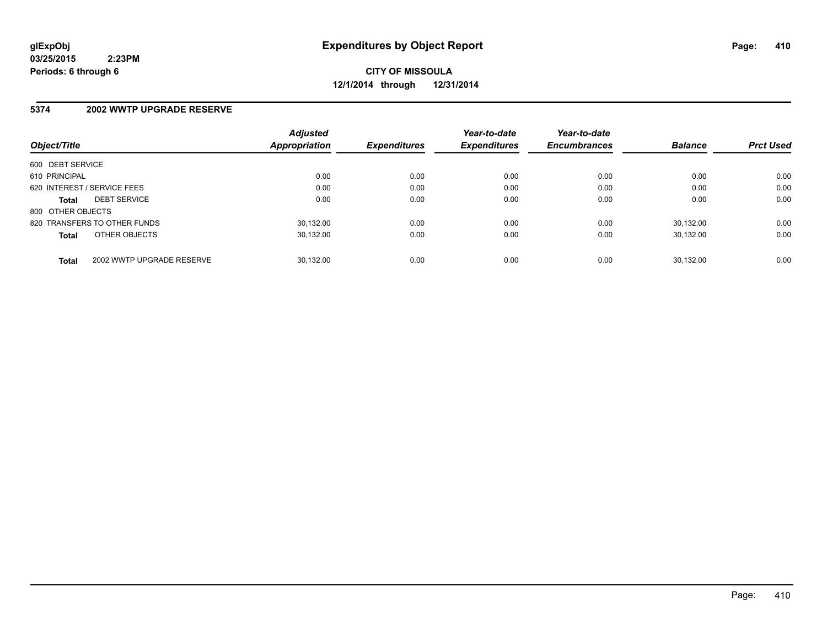**CITY OF MISSOULA 12/1/2014 through 12/31/2014**

#### **5374 2002 WWTP UPGRADE RESERVE**

| Object/Title      |                              | <b>Adjusted</b><br>Appropriation | <b>Expenditures</b> | Year-to-date<br><b>Expenditures</b> | Year-to-date<br><b>Encumbrances</b> | <b>Balance</b> | <b>Prct Used</b> |
|-------------------|------------------------------|----------------------------------|---------------------|-------------------------------------|-------------------------------------|----------------|------------------|
|                   |                              |                                  |                     |                                     |                                     |                |                  |
| 600 DEBT SERVICE  |                              |                                  |                     |                                     |                                     |                |                  |
| 610 PRINCIPAL     |                              | 0.00                             | 0.00                | 0.00                                | 0.00                                | 0.00           | 0.00             |
|                   | 620 INTEREST / SERVICE FEES  | 0.00                             | 0.00                | 0.00                                | 0.00                                | 0.00           | 0.00             |
| <b>Total</b>      | <b>DEBT SERVICE</b>          | 0.00                             | 0.00                | 0.00                                | 0.00                                | 0.00           | 0.00             |
| 800 OTHER OBJECTS |                              |                                  |                     |                                     |                                     |                |                  |
|                   | 820 TRANSFERS TO OTHER FUNDS | 30.132.00                        | 0.00                | 0.00                                | 0.00                                | 30.132.00      | 0.00             |
| <b>Total</b>      | OTHER OBJECTS                | 30.132.00                        | 0.00                | 0.00                                | 0.00                                | 30.132.00      | 0.00             |
| <b>Total</b>      | 2002 WWTP UPGRADE RESERVE    | 30.132.00                        | 0.00                | 0.00                                | 0.00                                | 30.132.00      | 0.00             |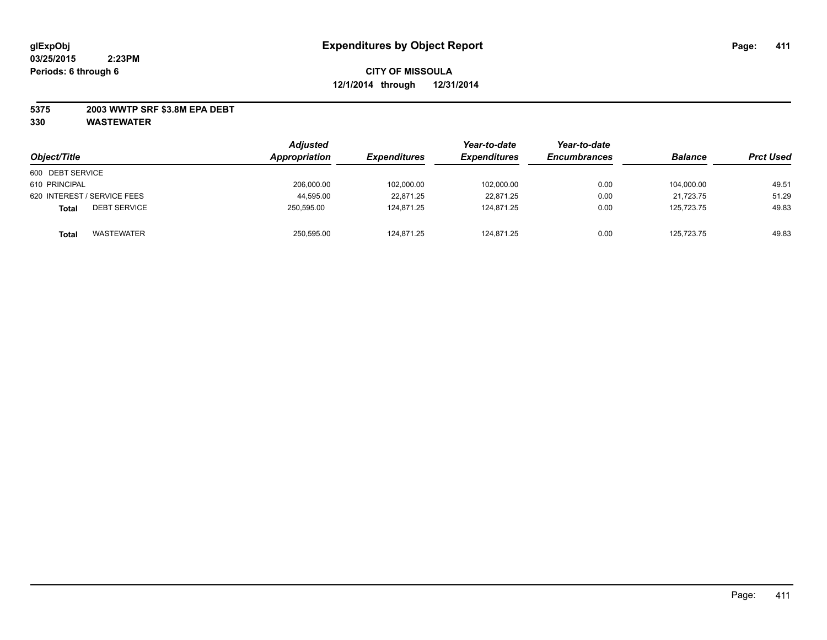#### **5375 2003 WWTP SRF \$3.8M EPA DEBT**

| Object/Title                        | <b>Adjusted</b><br>Appropriation | <b>Expenditures</b> | Year-to-date<br><i><b>Expenditures</b></i> | Year-to-date<br><b>Encumbrances</b> | <b>Balance</b> | <b>Prct Used</b> |
|-------------------------------------|----------------------------------|---------------------|--------------------------------------------|-------------------------------------|----------------|------------------|
| 600 DEBT SERVICE                    |                                  |                     |                                            |                                     |                |                  |
| 610 PRINCIPAL                       | 206,000.00                       | 102,000.00          | 102,000.00                                 | 0.00                                | 104.000.00     | 49.51            |
| 620 INTEREST / SERVICE FEES         | 44,595.00                        | 22,871.25           | 22,871.25                                  | 0.00                                | 21,723.75      | 51.29            |
| <b>DEBT SERVICE</b><br><b>Total</b> | 250.595.00                       | 124.871.25          | 124.871.25                                 | 0.00                                | 125.723.75     | 49.83            |
| <b>WASTEWATER</b><br><b>Total</b>   | 250,595.00                       | 124,871.25          | 124,871.25                                 | 0.00                                | 125,723.75     | 49.83            |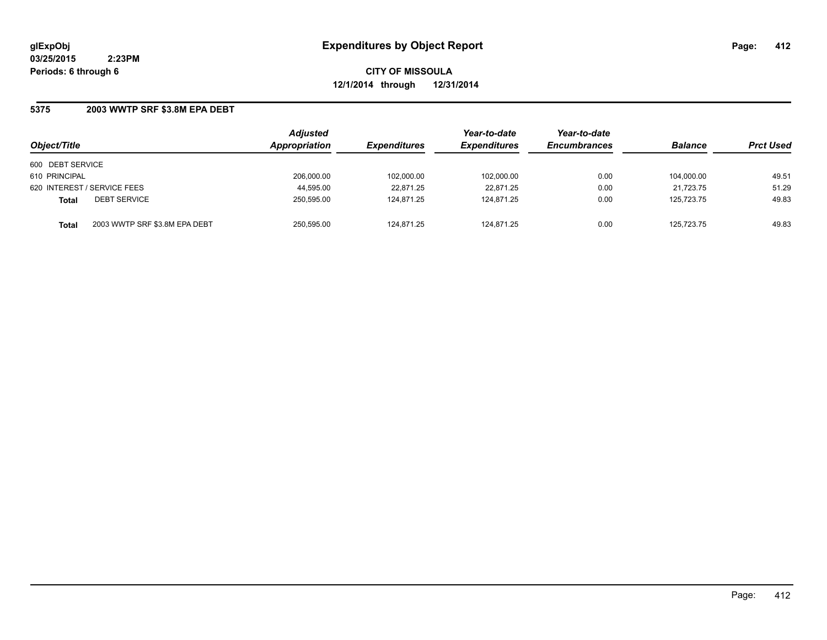**CITY OF MISSOULA 12/1/2014 through 12/31/2014**

#### **5375 2003 WWTP SRF \$3.8M EPA DEBT**

| Object/Title                                  | <b>Adjusted</b><br>Appropriation | <b>Expenditures</b> | Year-to-date<br><b>Expenditures</b> | Year-to-date<br><b>Encumbrances</b> | <b>Balance</b> | <b>Prct Used</b> |
|-----------------------------------------------|----------------------------------|---------------------|-------------------------------------|-------------------------------------|----------------|------------------|
|                                               |                                  |                     |                                     |                                     |                |                  |
| 600 DEBT SERVICE                              |                                  |                     |                                     |                                     |                |                  |
| 610 PRINCIPAL                                 | 206,000.00                       | 102,000.00          | 102,000.00                          | 0.00                                | 104.000.00     | 49.51            |
| 620 INTEREST / SERVICE FEES                   | 44,595.00                        | 22.871.25           | 22.871.25                           | 0.00                                | 21.723.75      | 51.29            |
| <b>DEBT SERVICE</b><br><b>Total</b>           | 250,595.00                       | 124.871.25          | 124,871.25                          | 0.00                                | 125.723.75     | 49.83            |
| 2003 WWTP SRF \$3.8M EPA DEBT<br><b>Total</b> | 250,595.00                       | 124.871.25          | 124,871.25                          | 0.00                                | 125.723.75     | 49.83            |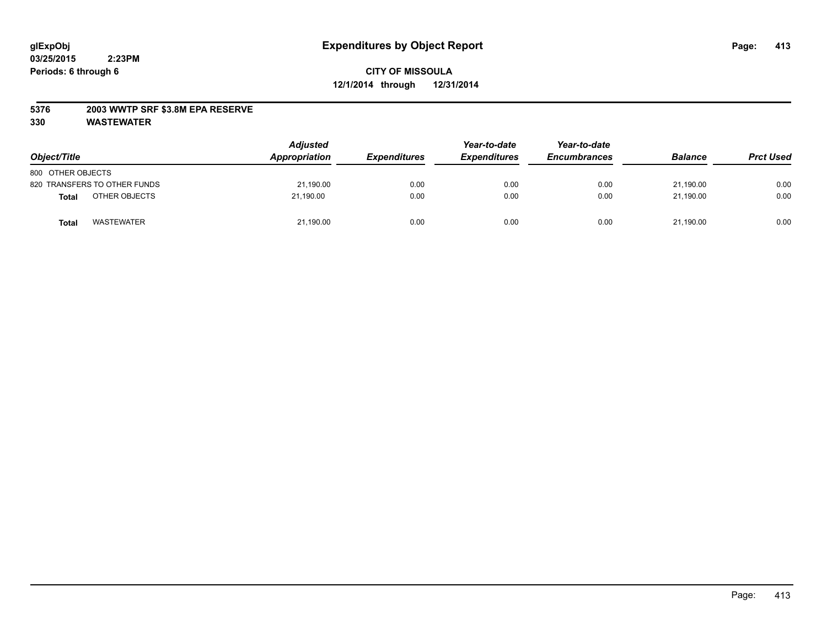#### **5376 2003 WWTP SRF \$3.8M EPA RESERVE**

| Object/Title                      | <b>Adjusted</b><br>Appropriation | <b>Expenditures</b> | Year-to-date<br><b>Expenditures</b> | Year-to-date<br><b>Encumbrances</b> | <b>Balance</b> | <b>Prct Used</b> |
|-----------------------------------|----------------------------------|---------------------|-------------------------------------|-------------------------------------|----------------|------------------|
| 800 OTHER OBJECTS                 |                                  |                     |                                     |                                     |                |                  |
| 820 TRANSFERS TO OTHER FUNDS      | 21,190.00                        | 0.00                | 0.00                                | 0.00                                | 21.190.00      | 0.00             |
| OTHER OBJECTS<br><b>Total</b>     | 21.190.00                        | 0.00                | 0.00                                | 0.00                                | 21.190.00      | 0.00             |
| <b>WASTEWATER</b><br><b>Total</b> | 21,190.00                        | 0.00                | 0.00                                | 0.00                                | 21,190.00      | 0.00             |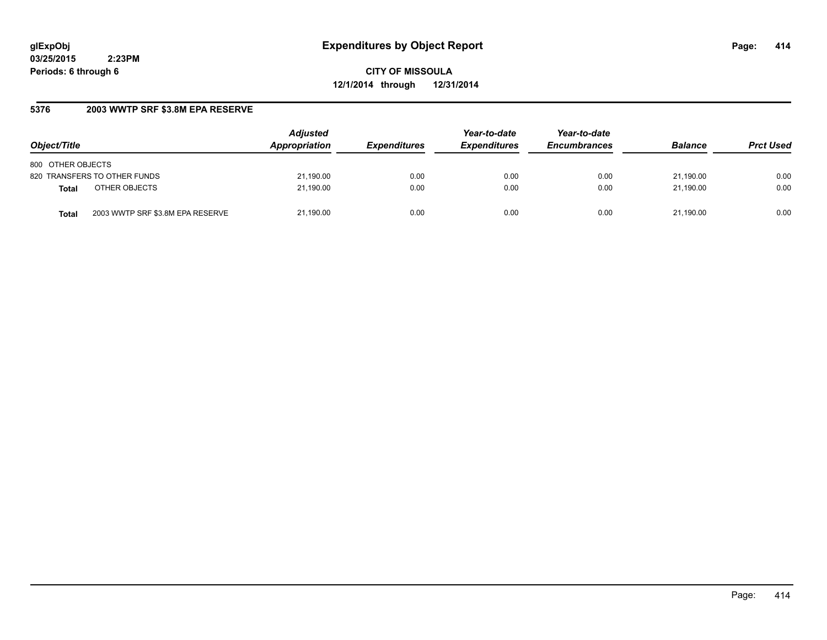**CITY OF MISSOULA 12/1/2014 through 12/31/2014**

# **5376 2003 WWTP SRF \$3.8M EPA RESERVE**

| Object/Title                              | <b>Adjusted</b><br>Appropriation | <b>Expenditures</b> | Year-to-date<br><b>Expenditures</b> | Year-to-date<br><b>Encumbrances</b> | <b>Balance</b> | <b>Prct Used</b> |
|-------------------------------------------|----------------------------------|---------------------|-------------------------------------|-------------------------------------|----------------|------------------|
| 800 OTHER OBJECTS                         |                                  |                     |                                     |                                     |                |                  |
| 820 TRANSFERS TO OTHER FUNDS              | 21,190.00                        | 0.00                | 0.00                                | 0.00                                | 21.190.00      | 0.00             |
| OTHER OBJECTS<br><b>Total</b>             | 21,190.00                        | 0.00                | 0.00                                | 0.00                                | 21.190.00      | 0.00             |
| 2003 WWTP SRF \$3.8M EPA RESERVE<br>Total | 21,190.00                        | 0.00                | 0.00                                | 0.00                                | 21.190.00      | 0.00             |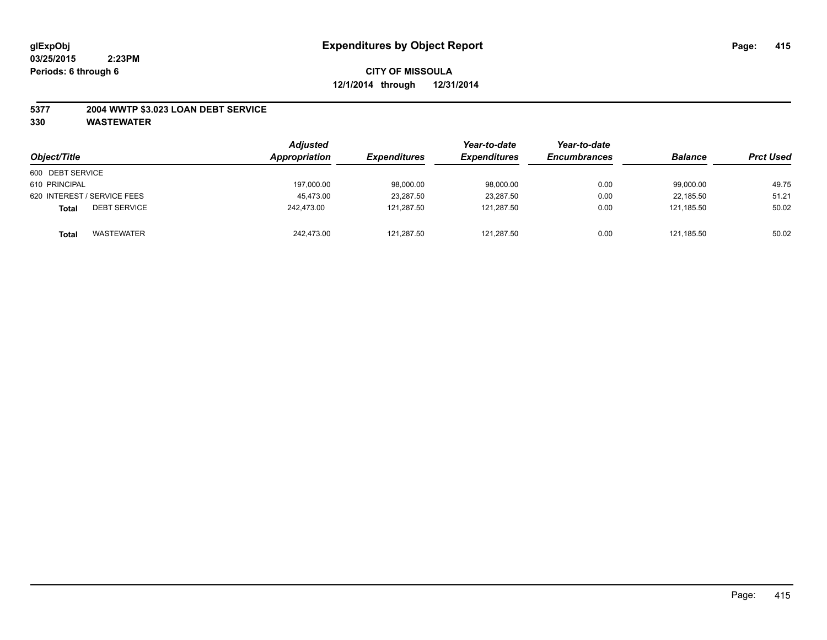#### **5377 2004 WWTP \$3.023 LOAN DEBT SERVICE**

| Object/Title                        | <b>Adjusted</b><br>Appropriation | <i><b>Expenditures</b></i> | Year-to-date<br><b>Expenditures</b> | Year-to-date<br><b>Encumbrances</b> | <b>Balance</b> | <b>Prct Used</b> |
|-------------------------------------|----------------------------------|----------------------------|-------------------------------------|-------------------------------------|----------------|------------------|
| 600 DEBT SERVICE                    |                                  |                            |                                     |                                     |                |                  |
| 610 PRINCIPAL                       | 197,000.00                       | 98,000.00                  | 98,000.00                           | 0.00                                | 99,000.00      | 49.75            |
| 620 INTEREST / SERVICE FEES         | 45,473.00                        | 23,287.50                  | 23,287.50                           | 0.00                                | 22.185.50      | 51.21            |
| <b>DEBT SERVICE</b><br><b>Total</b> | 242.473.00                       | 121.287.50                 | 121.287.50                          | 0.00                                | 121.185.50     | 50.02            |
| WASTEWATER<br><b>Total</b>          | 242,473.00                       | 121,287.50                 | 121,287.50                          | 0.00                                | 121,185.50     | 50.02            |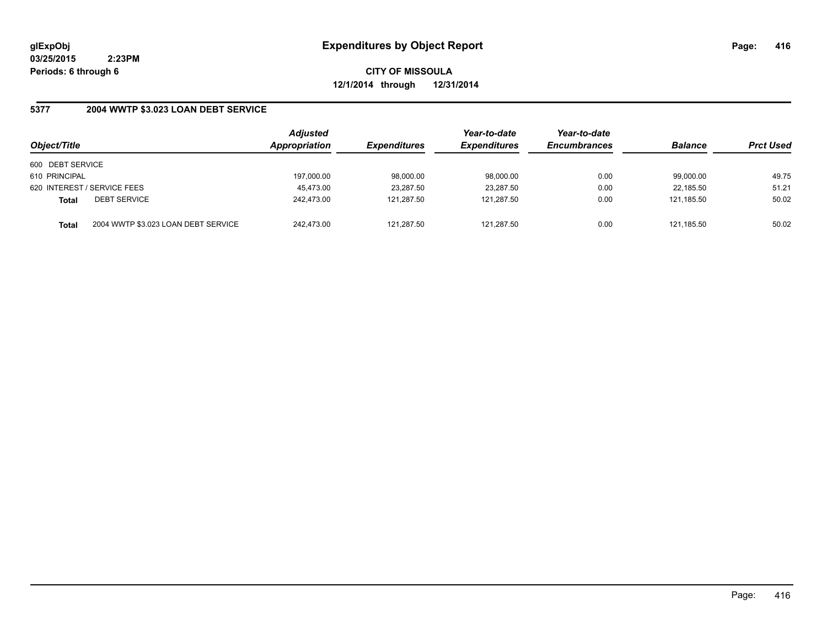**CITY OF MISSOULA 12/1/2014 through 12/31/2014**

# **5377 2004 WWTP \$3.023 LOAN DEBT SERVICE**

| Object/Title     |                                     | <b>Adjusted</b><br>Appropriation | <b>Expenditures</b> | Year-to-date<br><b>Expenditures</b> | Year-to-date<br><b>Encumbrances</b> | <b>Balance</b> | <b>Prct Used</b> |
|------------------|-------------------------------------|----------------------------------|---------------------|-------------------------------------|-------------------------------------|----------------|------------------|
| 600 DEBT SERVICE |                                     |                                  |                     |                                     |                                     |                |                  |
| 610 PRINCIPAL    |                                     | 197.000.00                       | 98,000.00           | 98,000.00                           | 0.00                                | 99.000.00      | 49.75            |
|                  | 620 INTEREST / SERVICE FEES         | 45.473.00                        | 23,287.50           | 23,287.50                           | 0.00                                | 22.185.50      | 51.21            |
| <b>Total</b>     | <b>DEBT SERVICE</b>                 | 242.473.00                       | 121.287.50          | 121.287.50                          | 0.00                                | 121.185.50     | 50.02            |
| Total            | 2004 WWTP \$3.023 LOAN DEBT SERVICE | 242.473.00                       | 121.287.50          | 121.287.50                          | 0.00                                | 121.185.50     | 50.02            |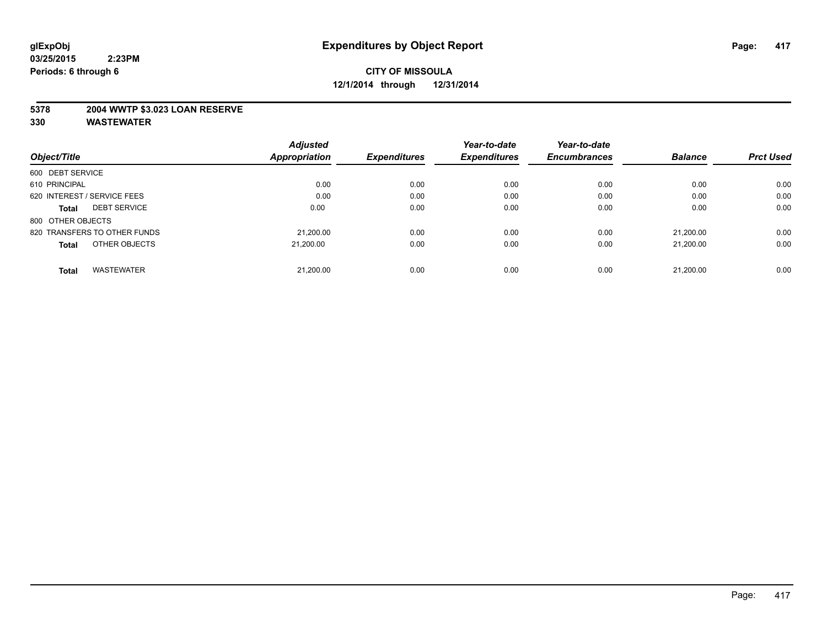#### **5378 2004 WWTP \$3.023 LOAN RESERVE**

|                                     | <b>Adjusted</b>      |                     | Year-to-date        | Year-to-date        |                |                  |
|-------------------------------------|----------------------|---------------------|---------------------|---------------------|----------------|------------------|
| Object/Title                        | <b>Appropriation</b> | <b>Expenditures</b> | <b>Expenditures</b> | <b>Encumbrances</b> | <b>Balance</b> | <b>Prct Used</b> |
| 600 DEBT SERVICE                    |                      |                     |                     |                     |                |                  |
| 610 PRINCIPAL                       | 0.00                 | 0.00                | 0.00                | 0.00                | 0.00           | 0.00             |
| 620 INTEREST / SERVICE FEES         | 0.00                 | 0.00                | 0.00                | 0.00                | 0.00           | 0.00             |
| <b>DEBT SERVICE</b><br><b>Total</b> | 0.00                 | 0.00                | 0.00                | 0.00                | 0.00           | 0.00             |
| 800 OTHER OBJECTS                   |                      |                     |                     |                     |                |                  |
| 820 TRANSFERS TO OTHER FUNDS        | 21.200.00            | 0.00                | 0.00                | 0.00                | 21.200.00      | 0.00             |
| OTHER OBJECTS<br><b>Total</b>       | 21.200.00            | 0.00                | 0.00                | 0.00                | 21.200.00      | 0.00             |
| <b>WASTEWATER</b><br><b>Total</b>   | 21,200.00            | 0.00                | 0.00                | 0.00                | 21.200.00      | 0.00             |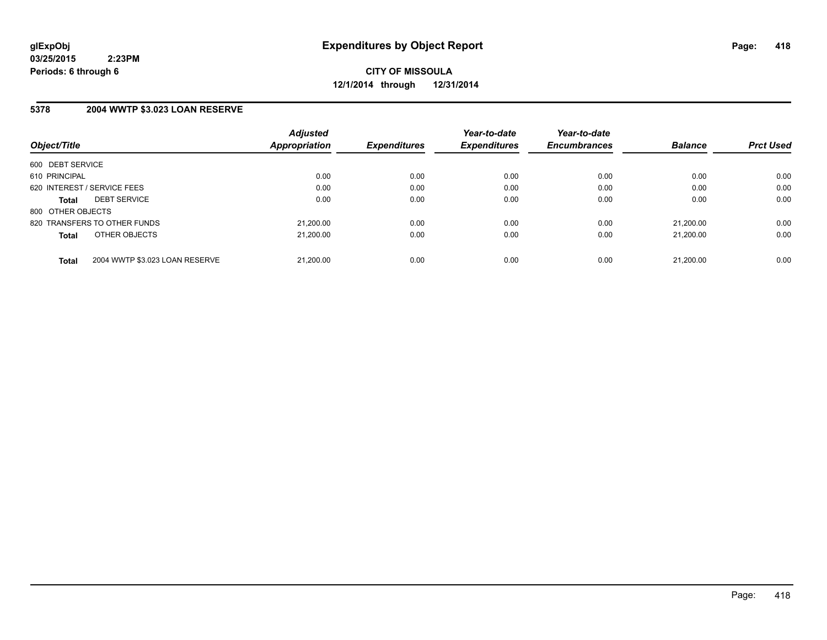**CITY OF MISSOULA 12/1/2014 through 12/31/2014**

#### **5378 2004 WWTP \$3.023 LOAN RESERVE**

| Object/Title      |                                | <b>Adjusted</b><br>Appropriation | <b>Expenditures</b> | Year-to-date<br><b>Expenditures</b> | Year-to-date<br><b>Encumbrances</b> | <b>Balance</b> | <b>Prct Used</b> |
|-------------------|--------------------------------|----------------------------------|---------------------|-------------------------------------|-------------------------------------|----------------|------------------|
| 600 DEBT SERVICE  |                                |                                  |                     |                                     |                                     |                |                  |
| 610 PRINCIPAL     |                                | 0.00                             | 0.00                | 0.00                                | 0.00                                | 0.00           | 0.00             |
|                   | 620 INTEREST / SERVICE FEES    | 0.00                             | 0.00                | 0.00                                | 0.00                                | 0.00           | 0.00             |
| <b>Total</b>      | <b>DEBT SERVICE</b>            | 0.00                             | 0.00                | 0.00                                | 0.00                                | 0.00           | 0.00             |
| 800 OTHER OBJECTS |                                |                                  |                     |                                     |                                     |                |                  |
|                   | 820 TRANSFERS TO OTHER FUNDS   | 21.200.00                        | 0.00                | 0.00                                | 0.00                                | 21.200.00      | 0.00             |
| <b>Total</b>      | OTHER OBJECTS                  | 21.200.00                        | 0.00                | 0.00                                | 0.00                                | 21.200.00      | 0.00             |
| <b>Total</b>      | 2004 WWTP \$3.023 LOAN RESERVE | 21.200.00                        | 0.00                | 0.00                                | 0.00                                | 21.200.00      | 0.00             |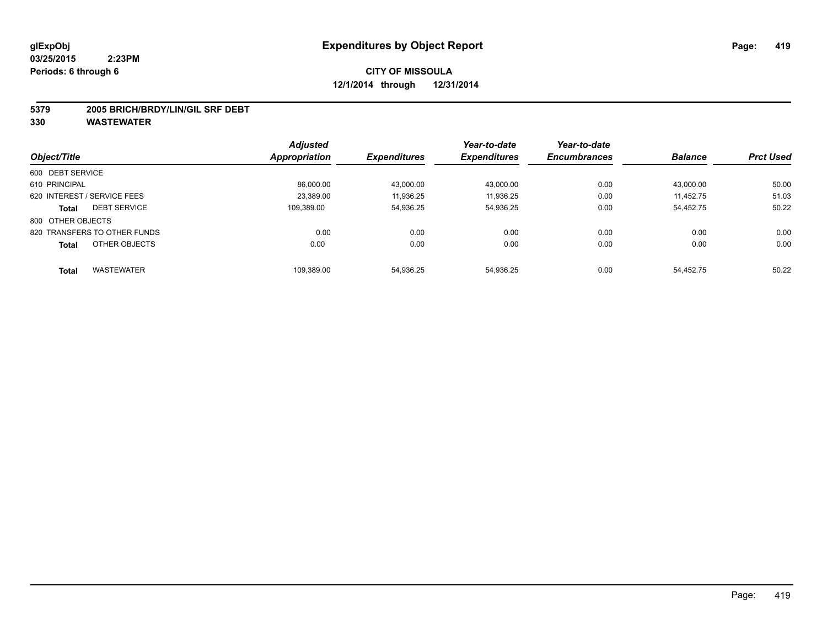#### **5379 2005 BRICH/BRDY/LIN/GIL SRF DEBT**

|                                   | <b>Adjusted</b>      |                     | Year-to-date        | Year-to-date        |                |                  |
|-----------------------------------|----------------------|---------------------|---------------------|---------------------|----------------|------------------|
| Object/Title                      | <b>Appropriation</b> | <b>Expenditures</b> | <b>Expenditures</b> | <b>Encumbrances</b> | <b>Balance</b> | <b>Prct Used</b> |
| 600 DEBT SERVICE                  |                      |                     |                     |                     |                |                  |
| 610 PRINCIPAL                     | 86.000.00            | 43.000.00           | 43.000.00           | 0.00                | 43.000.00      | 50.00            |
| 620 INTEREST / SERVICE FEES       | 23.389.00            | 11.936.25           | 11.936.25           | 0.00                | 11.452.75      | 51.03            |
| <b>DEBT SERVICE</b><br>Total      | 109.389.00           | 54,936.25           | 54,936.25           | 0.00                | 54,452.75      | 50.22            |
| 800 OTHER OBJECTS                 |                      |                     |                     |                     |                |                  |
| 820 TRANSFERS TO OTHER FUNDS      | 0.00                 | 0.00                | 0.00                | 0.00                | 0.00           | 0.00             |
| OTHER OBJECTS<br><b>Total</b>     | 0.00                 | 0.00                | 0.00                | 0.00                | 0.00           | 0.00             |
| <b>WASTEWATER</b><br><b>Total</b> | 109.389.00           | 54.936.25           | 54.936.25           | 0.00                | 54.452.75      | 50.22            |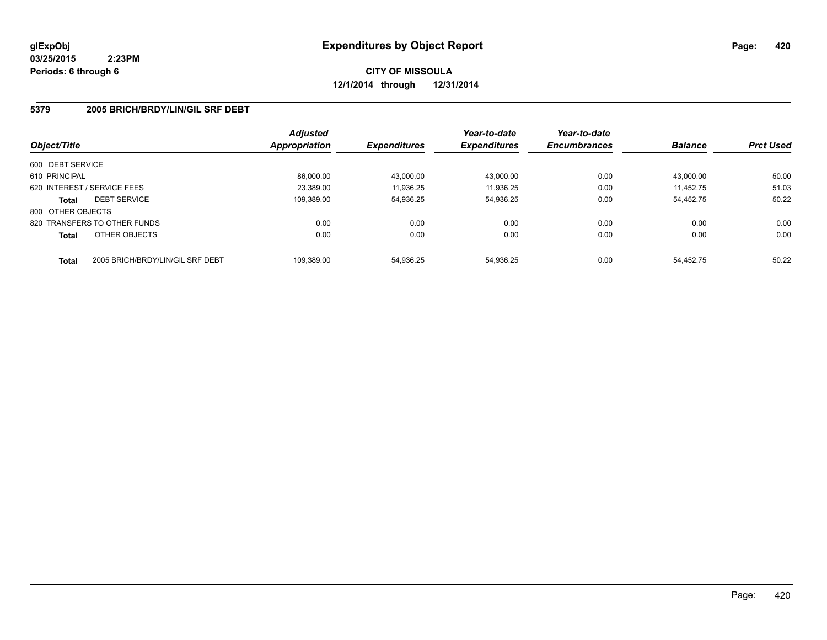**CITY OF MISSOULA 12/1/2014 through 12/31/2014**

#### **5379 2005 BRICH/BRDY/LIN/GIL SRF DEBT**

| Object/Title      |                                  | <b>Adjusted</b><br>Appropriation | <b>Expenditures</b> | Year-to-date<br><b>Expenditures</b> | Year-to-date<br><b>Encumbrances</b> | <b>Balance</b> | <b>Prct Used</b> |
|-------------------|----------------------------------|----------------------------------|---------------------|-------------------------------------|-------------------------------------|----------------|------------------|
| 600 DEBT SERVICE  |                                  |                                  |                     |                                     |                                     |                |                  |
| 610 PRINCIPAL     |                                  | 86.000.00                        | 43,000.00           | 43,000.00                           | 0.00                                | 43.000.00      | 50.00            |
|                   | 620 INTEREST / SERVICE FEES      | 23.389.00                        | 11,936.25           | 11,936.25                           | 0.00                                | 11.452.75      | 51.03            |
| <b>Total</b>      | <b>DEBT SERVICE</b>              | 109.389.00                       | 54.936.25           | 54,936.25                           | 0.00                                | 54.452.75      | 50.22            |
| 800 OTHER OBJECTS |                                  |                                  |                     |                                     |                                     |                |                  |
|                   | 820 TRANSFERS TO OTHER FUNDS     | 0.00                             | 0.00                | 0.00                                | 0.00                                | 0.00           | 0.00             |
| <b>Total</b>      | OTHER OBJECTS                    | 0.00                             | 0.00                | 0.00                                | 0.00                                | 0.00           | 0.00             |
| <b>Total</b>      | 2005 BRICH/BRDY/LIN/GIL SRF DEBT | 109.389.00                       | 54.936.25           | 54.936.25                           | 0.00                                | 54.452.75      | 50.22            |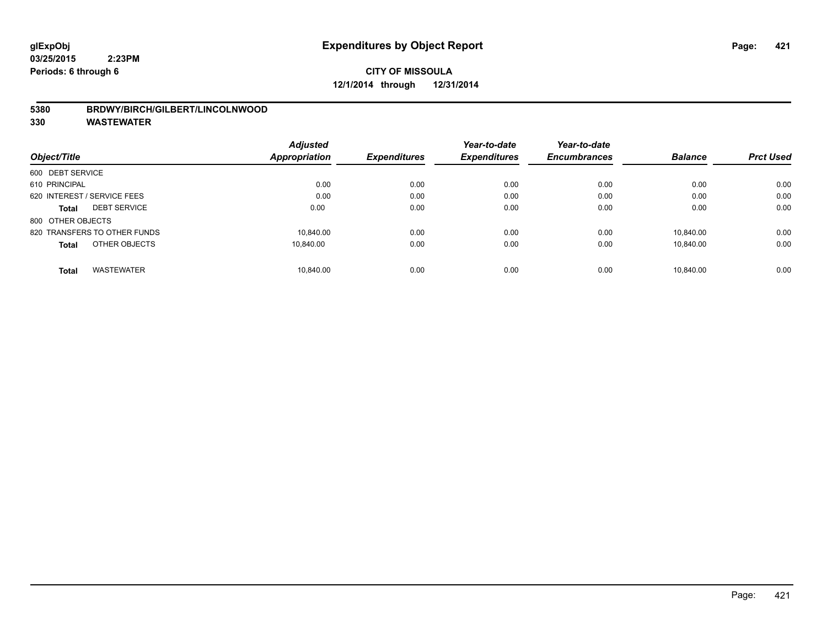#### **5380 BRDWY/BIRCH/GILBERT/LINCOLNWOOD**

|                                   | <b>Adjusted</b> | <b>Expenditures</b> | Year-to-date<br><b>Expenditures</b> | Year-to-date        | <b>Balance</b> | <b>Prct Used</b> |
|-----------------------------------|-----------------|---------------------|-------------------------------------|---------------------|----------------|------------------|
| Object/Title                      | Appropriation   |                     |                                     | <b>Encumbrances</b> |                |                  |
| 600 DEBT SERVICE                  |                 |                     |                                     |                     |                |                  |
| 610 PRINCIPAL                     | 0.00            | 0.00                | 0.00                                | 0.00                | 0.00           | 0.00             |
| 620 INTEREST / SERVICE FEES       | 0.00            | 0.00                | 0.00                                | 0.00                | 0.00           | 0.00             |
| <b>DEBT SERVICE</b><br>Total      | 0.00            | 0.00                | 0.00                                | 0.00                | 0.00           | 0.00             |
| 800 OTHER OBJECTS                 |                 |                     |                                     |                     |                |                  |
| 820 TRANSFERS TO OTHER FUNDS      | 10.840.00       | 0.00                | 0.00                                | 0.00                | 10.840.00      | 0.00             |
| OTHER OBJECTS<br><b>Total</b>     | 10.840.00       | 0.00                | 0.00                                | 0.00                | 10.840.00      | 0.00             |
| <b>WASTEWATER</b><br><b>Total</b> | 10.840.00       | 0.00                | 0.00                                | 0.00                | 10.840.00      | 0.00             |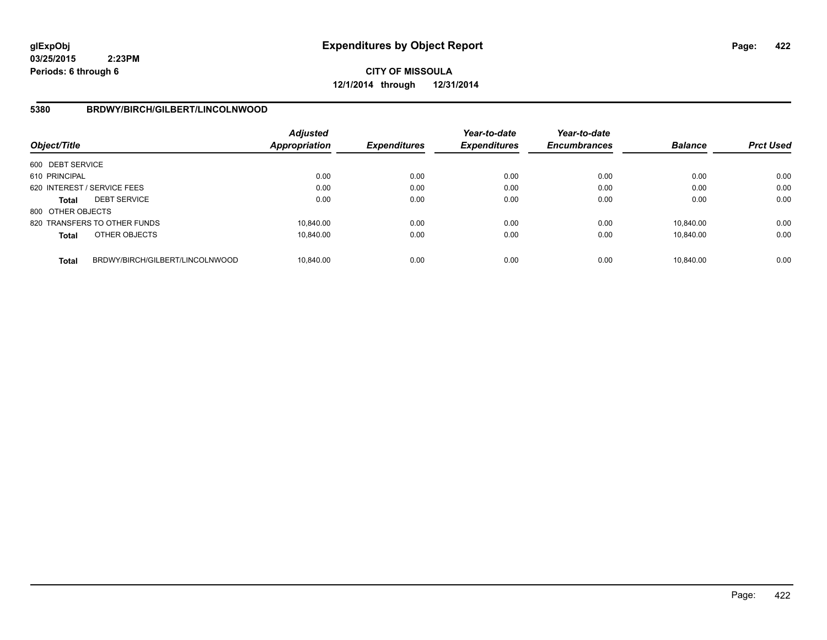**CITY OF MISSOULA 12/1/2014 through 12/31/2014**

#### **5380 BRDWY/BIRCH/GILBERT/LINCOLNWOOD**

| Object/Title      |                                 | <b>Adjusted</b><br><b>Appropriation</b> | <b>Expenditures</b> | Year-to-date<br><b>Expenditures</b> | Year-to-date<br><b>Encumbrances</b> | <b>Balance</b> | <b>Prct Used</b> |
|-------------------|---------------------------------|-----------------------------------------|---------------------|-------------------------------------|-------------------------------------|----------------|------------------|
| 600 DEBT SERVICE  |                                 |                                         |                     |                                     |                                     |                |                  |
| 610 PRINCIPAL     |                                 | 0.00                                    | 0.00                | 0.00                                | 0.00                                | 0.00           | 0.00             |
|                   | 620 INTEREST / SERVICE FEES     | 0.00                                    | 0.00                | 0.00                                | 0.00                                | 0.00           | 0.00             |
| <b>Total</b>      | <b>DEBT SERVICE</b>             | 0.00                                    | 0.00                | 0.00                                | 0.00                                | 0.00           | 0.00             |
| 800 OTHER OBJECTS |                                 |                                         |                     |                                     |                                     |                |                  |
|                   | 820 TRANSFERS TO OTHER FUNDS    | 10.840.00                               | 0.00                | 0.00                                | 0.00                                | 10.840.00      | 0.00             |
| <b>Total</b>      | OTHER OBJECTS                   | 10.840.00                               | 0.00                | 0.00                                | 0.00                                | 10.840.00      | 0.00             |
| <b>Total</b>      | BRDWY/BIRCH/GILBERT/LINCOLNWOOD | 10.840.00                               | 0.00                | 0.00                                | 0.00                                | 10.840.00      | 0.00             |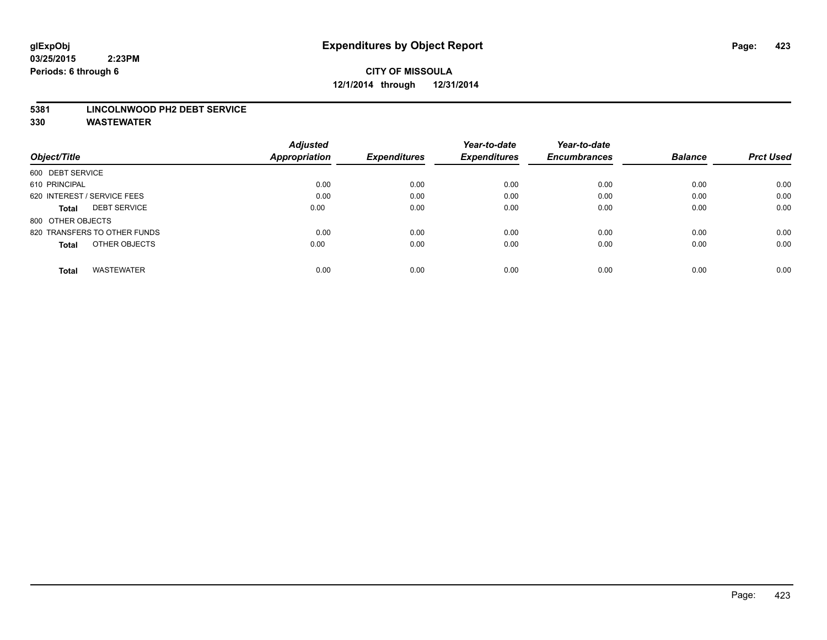# **CITY OF MISSOULA 12/1/2014 through 12/31/2014**

#### **5381 LINCOLNWOOD PH2 DEBT SERVICE**

|                                     | <b>Adjusted</b>      |                     | Year-to-date        | Year-to-date        |                |                  |
|-------------------------------------|----------------------|---------------------|---------------------|---------------------|----------------|------------------|
| Object/Title                        | <b>Appropriation</b> | <b>Expenditures</b> | <b>Expenditures</b> | <b>Encumbrances</b> | <b>Balance</b> | <b>Prct Used</b> |
| 600 DEBT SERVICE                    |                      |                     |                     |                     |                |                  |
| 610 PRINCIPAL                       | 0.00                 | 0.00                | 0.00                | 0.00                | 0.00           | 0.00             |
| 620 INTEREST / SERVICE FEES         | 0.00                 | 0.00                | 0.00                | 0.00                | 0.00           | 0.00             |
| <b>DEBT SERVICE</b><br><b>Total</b> | 0.00                 | 0.00                | 0.00                | 0.00                | 0.00           | 0.00             |
| 800 OTHER OBJECTS                   |                      |                     |                     |                     |                |                  |
| 820 TRANSFERS TO OTHER FUNDS        | 0.00                 | 0.00                | 0.00                | 0.00                | 0.00           | 0.00             |
| OTHER OBJECTS<br><b>Total</b>       | 0.00                 | 0.00                | 0.00                | 0.00                | 0.00           | 0.00             |
| <b>WASTEWATER</b><br>Total          | 0.00                 | 0.00                | 0.00                | 0.00                | 0.00           | 0.00             |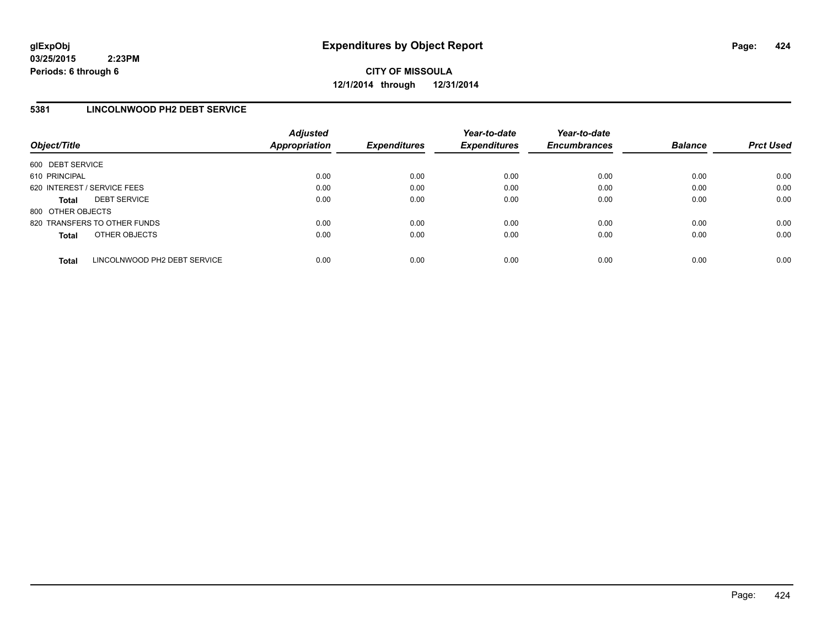**CITY OF MISSOULA 12/1/2014 through 12/31/2014**

#### **5381 LINCOLNWOOD PH2 DEBT SERVICE**

| Object/Title                |                              | <b>Adjusted</b><br>Appropriation | <b>Expenditures</b> | Year-to-date<br><b>Expenditures</b> | Year-to-date<br><b>Encumbrances</b> | <b>Balance</b> | <b>Prct Used</b> |
|-----------------------------|------------------------------|----------------------------------|---------------------|-------------------------------------|-------------------------------------|----------------|------------------|
| 600 DEBT SERVICE            |                              |                                  |                     |                                     |                                     |                |                  |
| 610 PRINCIPAL               |                              | 0.00                             | 0.00                | 0.00                                | 0.00                                | 0.00           | 0.00             |
| 620 INTEREST / SERVICE FEES |                              | 0.00                             | 0.00                | 0.00                                | 0.00                                | 0.00           | 0.00             |
| <b>Total</b>                | <b>DEBT SERVICE</b>          | 0.00                             | 0.00                | 0.00                                | 0.00                                | 0.00           | 0.00             |
| 800 OTHER OBJECTS           |                              |                                  |                     |                                     |                                     |                |                  |
|                             | 820 TRANSFERS TO OTHER FUNDS | 0.00                             | 0.00                | 0.00                                | 0.00                                | 0.00           | 0.00             |
| <b>Total</b>                | OTHER OBJECTS                | 0.00                             | 0.00                | 0.00                                | 0.00                                | 0.00           | 0.00             |
| <b>Total</b>                | LINCOLNWOOD PH2 DEBT SERVICE | 0.00                             | 0.00                | 0.00                                | 0.00                                | 0.00           | 0.00             |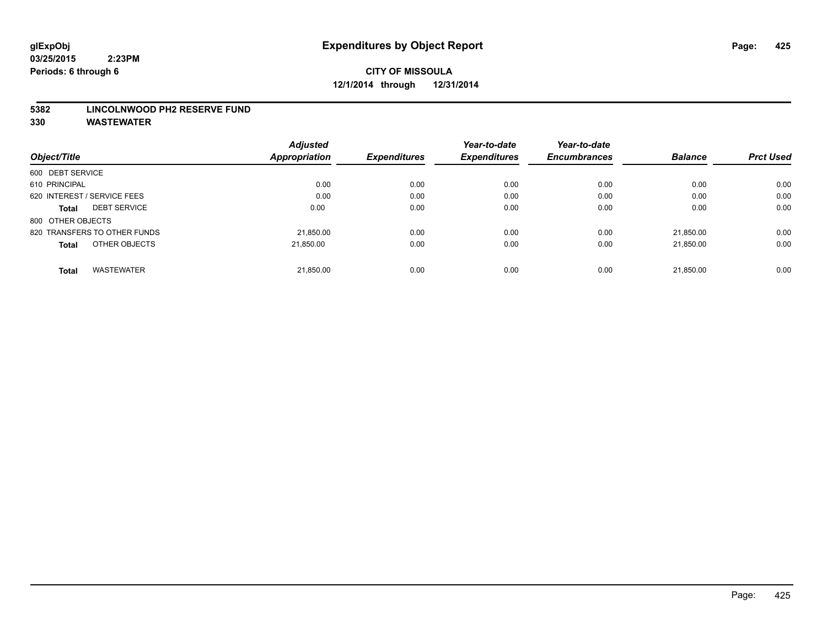#### **5382 LINCOLNWOOD PH2 RESERVE FUND**

|                                   | <b>Adjusted</b> | <b>Expenditures</b> | Year-to-date        | Year-to-date        | <b>Balance</b> | <b>Prct Used</b> |
|-----------------------------------|-----------------|---------------------|---------------------|---------------------|----------------|------------------|
| Object/Title                      | Appropriation   |                     | <b>Expenditures</b> | <b>Encumbrances</b> |                |                  |
| 600 DEBT SERVICE                  |                 |                     |                     |                     |                |                  |
| 610 PRINCIPAL                     | 0.00            | 0.00                | 0.00                | 0.00                | 0.00           | 0.00             |
| 620 INTEREST / SERVICE FEES       | 0.00            | 0.00                | 0.00                | 0.00                | 0.00           | 0.00             |
| <b>DEBT SERVICE</b><br>Total      | 0.00            | 0.00                | 0.00                | 0.00                | 0.00           | 0.00             |
| 800 OTHER OBJECTS                 |                 |                     |                     |                     |                |                  |
| 820 TRANSFERS TO OTHER FUNDS      | 21,850.00       | 0.00                | 0.00                | 0.00                | 21.850.00      | 0.00             |
| OTHER OBJECTS<br><b>Total</b>     | 21.850.00       | 0.00                | 0.00                | 0.00                | 21.850.00      | 0.00             |
| <b>WASTEWATER</b><br><b>Total</b> | 21,850.00       | 0.00                | 0.00                | 0.00                | 21.850.00      | 0.00             |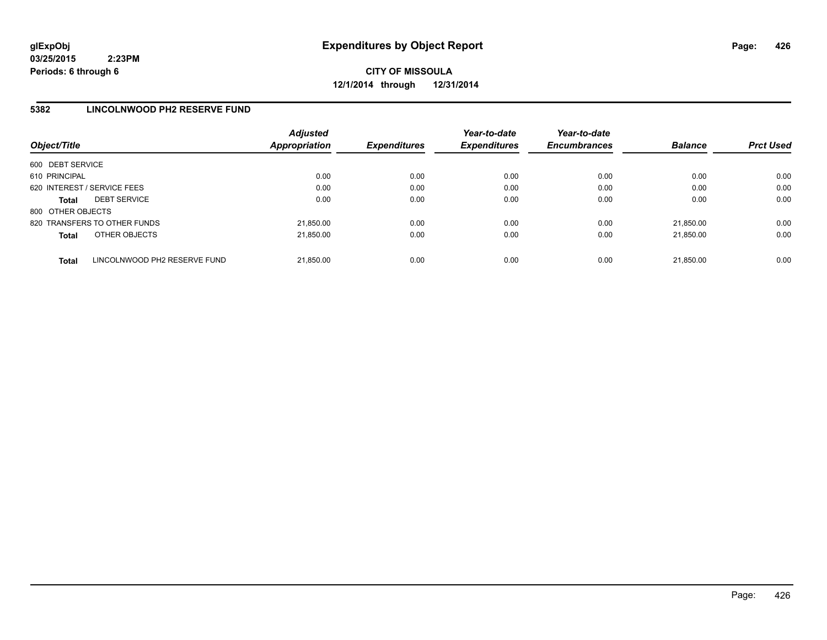**CITY OF MISSOULA 12/1/2014 through 12/31/2014**

#### **5382 LINCOLNWOOD PH2 RESERVE FUND**

| Object/Title                |                              | <b>Adjusted</b><br>Appropriation | <b>Expenditures</b> | Year-to-date<br><b>Expenditures</b> | Year-to-date<br><b>Encumbrances</b> | <b>Balance</b> | <b>Prct Used</b> |
|-----------------------------|------------------------------|----------------------------------|---------------------|-------------------------------------|-------------------------------------|----------------|------------------|
| 600 DEBT SERVICE            |                              |                                  |                     |                                     |                                     |                |                  |
| 610 PRINCIPAL               |                              | 0.00                             | 0.00                | 0.00                                | 0.00                                | 0.00           | 0.00             |
| 620 INTEREST / SERVICE FEES |                              | 0.00                             | 0.00                | 0.00                                | 0.00                                | 0.00           | 0.00             |
| <b>Total</b>                | <b>DEBT SERVICE</b>          | 0.00                             | 0.00                | 0.00                                | 0.00                                | 0.00           | 0.00             |
| 800 OTHER OBJECTS           |                              |                                  |                     |                                     |                                     |                |                  |
|                             | 820 TRANSFERS TO OTHER FUNDS | 21.850.00                        | 0.00                | 0.00                                | 0.00                                | 21.850.00      | 0.00             |
| <b>Total</b>                | OTHER OBJECTS                | 21,850.00                        | 0.00                | 0.00                                | 0.00                                | 21.850.00      | 0.00             |
| <b>Total</b>                | LINCOLNWOOD PH2 RESERVE FUND | 21.850.00                        | 0.00                | 0.00                                | 0.00                                | 21.850.00      | 0.00             |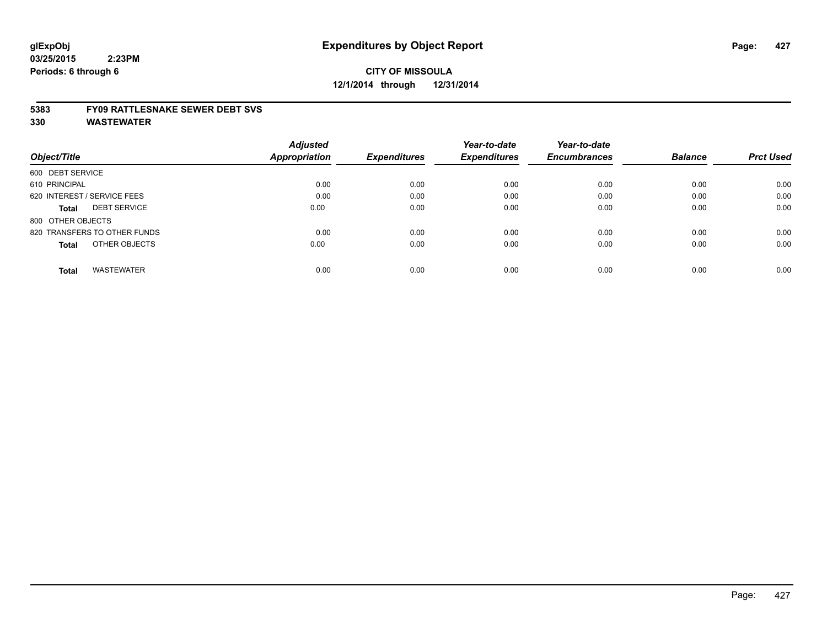#### **5383 FY09 RATTLESNAKE SEWER DEBT SVS**

|                                     | <b>Adjusted</b> |                     | Year-to-date        | Year-to-date        |                |                  |
|-------------------------------------|-----------------|---------------------|---------------------|---------------------|----------------|------------------|
| Object/Title                        | Appropriation   | <b>Expenditures</b> | <b>Expenditures</b> | <b>Encumbrances</b> | <b>Balance</b> | <b>Prct Used</b> |
| 600 DEBT SERVICE                    |                 |                     |                     |                     |                |                  |
| 610 PRINCIPAL                       | 0.00            | 0.00                | 0.00                | 0.00                | 0.00           | 0.00             |
| 620 INTEREST / SERVICE FEES         | 0.00            | 0.00                | 0.00                | 0.00                | 0.00           | 0.00             |
| <b>DEBT SERVICE</b><br><b>Total</b> | 0.00            | 0.00                | 0.00                | 0.00                | 0.00           | 0.00             |
| 800 OTHER OBJECTS                   |                 |                     |                     |                     |                |                  |
| 820 TRANSFERS TO OTHER FUNDS        | 0.00            | 0.00                | 0.00                | 0.00                | 0.00           | 0.00             |
| OTHER OBJECTS<br><b>Total</b>       | 0.00            | 0.00                | 0.00                | 0.00                | 0.00           | 0.00             |
| <b>WASTEWATER</b><br><b>Total</b>   | 0.00            | 0.00                | 0.00                | 0.00                | 0.00           | 0.00             |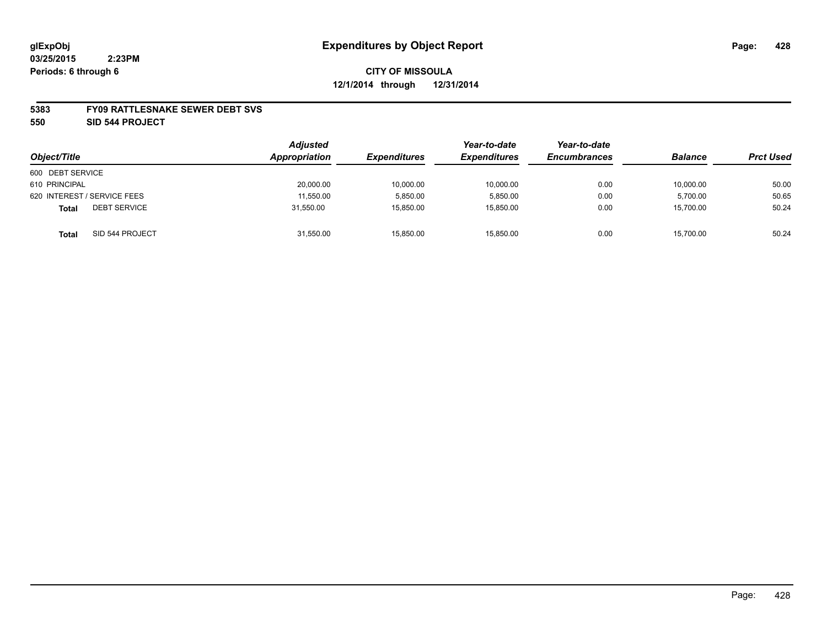#### **5383 FY09 RATTLESNAKE SEWER DEBT SVS**

**550 SID 544 PROJECT**

| Object/Title                 | <b>Adjusted</b><br>Appropriation | <b>Expenditures</b> | Year-to-date<br><b>Expenditures</b> | Year-to-date<br><b>Encumbrances</b> | <b>Balance</b> | <b>Prct Used</b> |
|------------------------------|----------------------------------|---------------------|-------------------------------------|-------------------------------------|----------------|------------------|
| 600 DEBT SERVICE             |                                  |                     |                                     |                                     |                |                  |
| 610 PRINCIPAL                | 20,000.00                        | 10,000.00           | 10,000.00                           | 0.00                                | 10,000.00      | 50.00            |
| 620 INTEREST / SERVICE FEES  | 11,550.00                        | 5,850.00            | 5.850.00                            | 0.00                                | 5,700.00       | 50.65            |
| <b>DEBT SERVICE</b><br>Total | 31,550.00                        | 15,850.00           | 15,850.00                           | 0.00                                | 15,700.00      | 50.24            |
| SID 544 PROJECT<br>Total     | 31,550.00                        | 15,850.00           | 15.850.00                           | 0.00                                | 15,700.00      | 50.24            |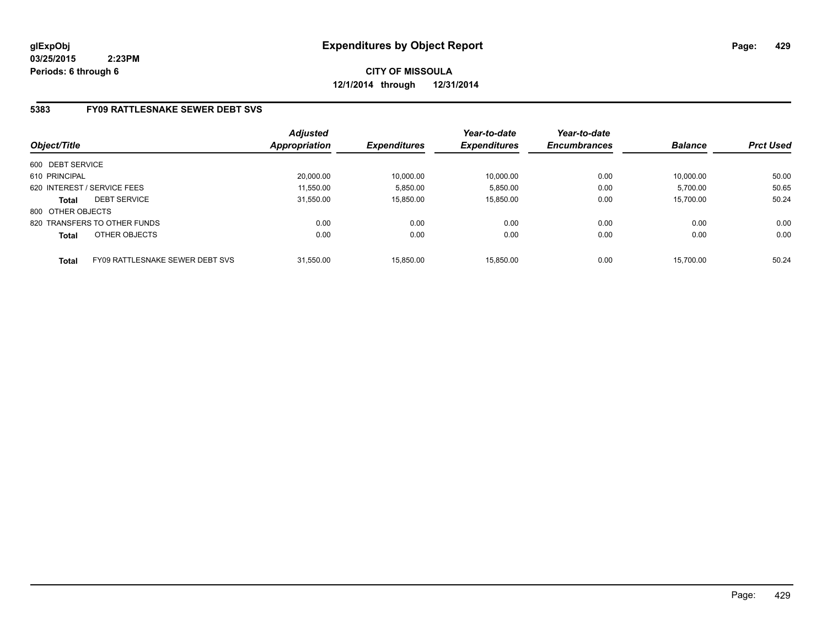**CITY OF MISSOULA 12/1/2014 through 12/31/2014**

# **5383 FY09 RATTLESNAKE SEWER DEBT SVS**

| Object/Title      |                                 | <b>Adjusted</b><br><b>Appropriation</b> | <b>Expenditures</b> | Year-to-date<br><b>Expenditures</b> | Year-to-date<br><b>Encumbrances</b> | <b>Balance</b> | <b>Prct Used</b> |
|-------------------|---------------------------------|-----------------------------------------|---------------------|-------------------------------------|-------------------------------------|----------------|------------------|
| 600 DEBT SERVICE  |                                 |                                         |                     |                                     |                                     |                |                  |
| 610 PRINCIPAL     |                                 | 20,000.00                               | 10,000.00           | 10,000.00                           | 0.00                                | 10.000.00      | 50.00            |
|                   | 620 INTEREST / SERVICE FEES     | 11,550.00                               | 5,850.00            | 5,850.00                            | 0.00                                | 5,700.00       | 50.65            |
| <b>Total</b>      | <b>DEBT SERVICE</b>             | 31.550.00                               | 15.850.00           | 15.850.00                           | 0.00                                | 15.700.00      | 50.24            |
| 800 OTHER OBJECTS |                                 |                                         |                     |                                     |                                     |                |                  |
|                   | 820 TRANSFERS TO OTHER FUNDS    | 0.00                                    | 0.00                | 0.00                                | 0.00                                | 0.00           | 0.00             |
| <b>Total</b>      | OTHER OBJECTS                   | 0.00                                    | 0.00                | 0.00                                | 0.00                                | 0.00           | 0.00             |
| <b>Total</b>      | FY09 RATTLESNAKE SEWER DEBT SVS | 31.550.00                               | 15.850.00           | 15.850.00                           | 0.00                                | 15.700.00      | 50.24            |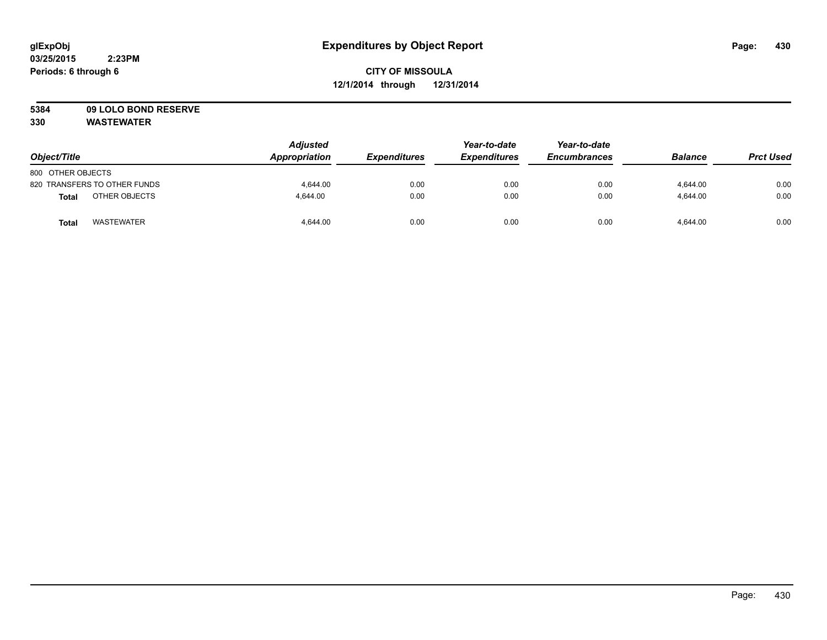# **5384 09 LOLO BOND RESERVE**

| Object/Title                 | <b>Adjusted</b><br>Appropriation | <b>Expenditures</b> | Year-to-date<br><b>Expenditures</b> | Year-to-date<br><b>Encumbrances</b> | <b>Balance</b> | <b>Prct Used</b> |
|------------------------------|----------------------------------|---------------------|-------------------------------------|-------------------------------------|----------------|------------------|
| 800 OTHER OBJECTS            |                                  |                     |                                     |                                     |                |                  |
| 820 TRANSFERS TO OTHER FUNDS | 4.644.00                         | 0.00                | 0.00                                | 0.00                                | 4,644.00       | 0.00             |
| OTHER OBJECTS<br>Total       | 4.644.00                         | 0.00                | 0.00                                | 0.00                                | 4.644.00       | 0.00             |
| <b>WASTEWATER</b><br>Total   | 4.644.00                         | 0.00                | 0.00                                | 0.00                                | 4,644.00       | 0.00             |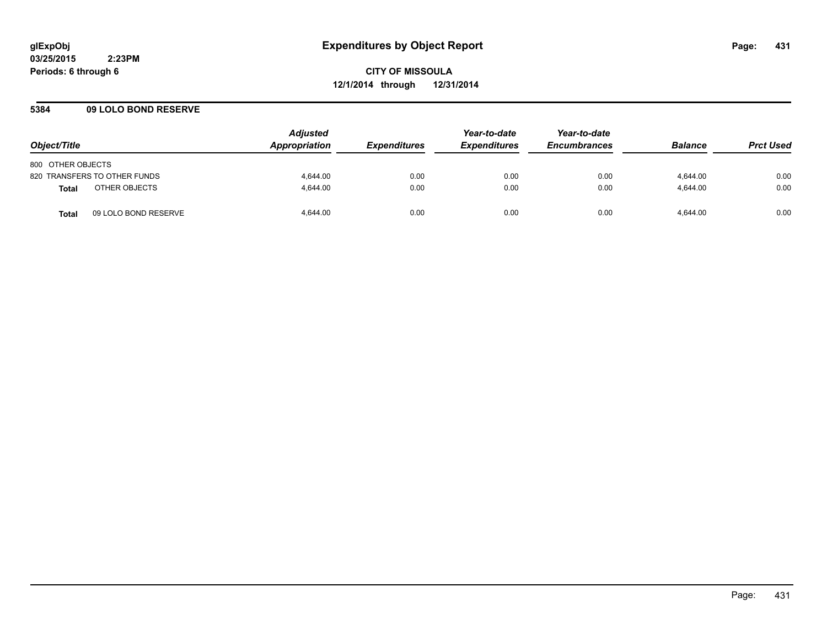#### **5384 09 LOLO BOND RESERVE**

| Object/Title      |                              | <b>Adjusted</b><br><b>Appropriation</b> | <i><b>Expenditures</b></i> | Year-to-date<br><b>Expenditures</b> | Year-to-date<br><b>Encumbrances</b> | <b>Balance</b> | <b>Prct Used</b> |
|-------------------|------------------------------|-----------------------------------------|----------------------------|-------------------------------------|-------------------------------------|----------------|------------------|
| 800 OTHER OBJECTS |                              |                                         |                            |                                     |                                     |                |                  |
|                   | 820 TRANSFERS TO OTHER FUNDS | 4.644.00                                | 0.00                       | 0.00                                | 0.00                                | 4.644.00       | 0.00             |
| <b>Total</b>      | OTHER OBJECTS                | 4.644.00                                | 0.00                       | 0.00                                | 0.00                                | 4.644.00       | 0.00             |
| <b>Total</b>      | 09 LOLO BOND RESERVE         | 4.644.00                                | 0.00                       | 0.00                                | 0.00                                | 4.644.00       | 0.00             |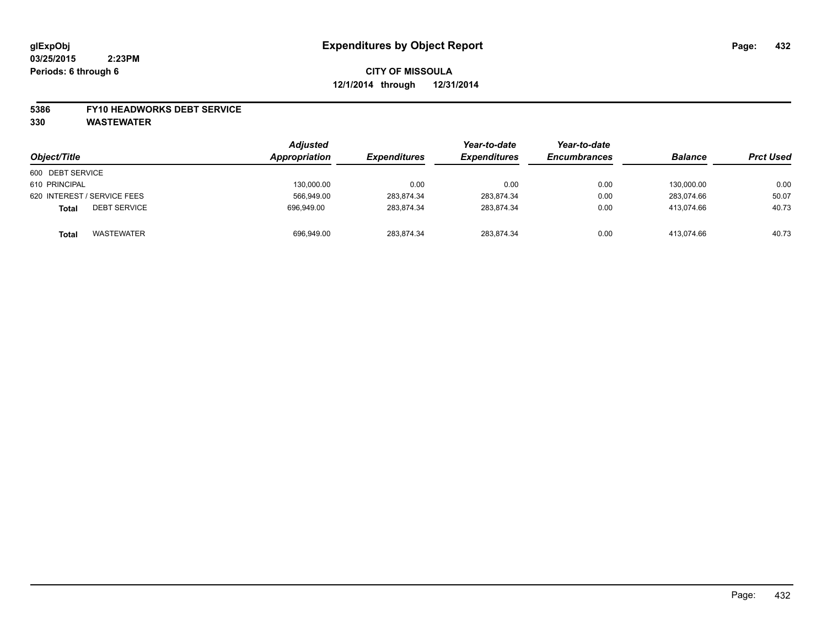#### **5386 FY10 HEADWORKS DEBT SERVICE**

| Object/Title                 | <b>Adjusted</b><br>Appropriation | <b>Expenditures</b> | Year-to-date<br><b>Expenditures</b> | Year-to-date<br><b>Encumbrances</b> | <b>Balance</b> | <b>Prct Used</b> |
|------------------------------|----------------------------------|---------------------|-------------------------------------|-------------------------------------|----------------|------------------|
| 600 DEBT SERVICE             |                                  |                     |                                     |                                     |                |                  |
| 610 PRINCIPAL                | 130,000.00                       | 0.00                | 0.00                                | 0.00                                | 130.000.00     | 0.00             |
| 620 INTEREST / SERVICE FEES  | 566,949.00                       | 283,874.34          | 283,874.34                          | 0.00                                | 283,074.66     | 50.07            |
| <b>DEBT SERVICE</b><br>Total | 696.949.00                       | 283.874.34          | 283.874.34                          | 0.00                                | 413.074.66     | 40.73            |
| WASTEWATER<br>Total          | 696,949.00                       | 283.874.34          | 283,874.34                          | 0.00                                | 413,074.66     | 40.73            |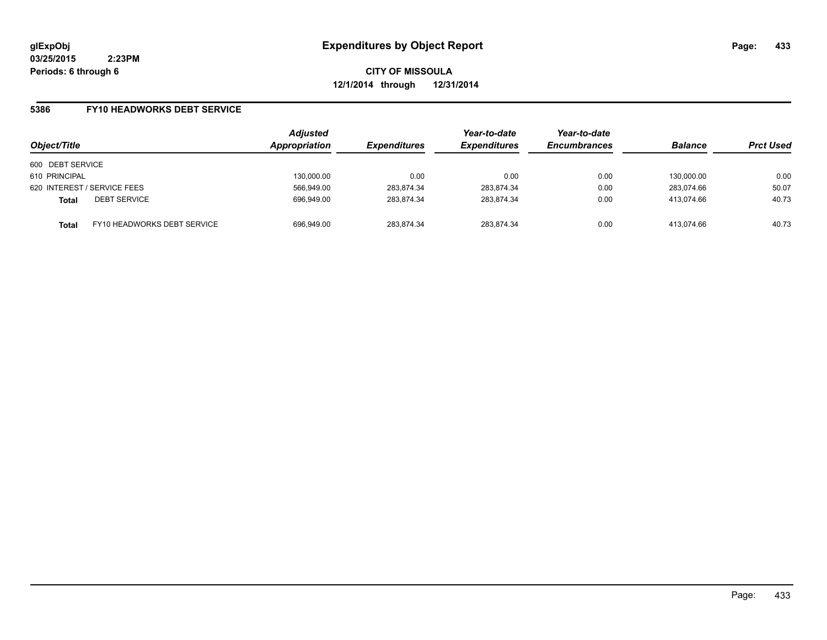**CITY OF MISSOULA 12/1/2014 through 12/31/2014**

### **5386 FY10 HEADWORKS DEBT SERVICE**

| Object/Title     |                                    | <b>Adjusted</b><br>Appropriation | <b>Expenditures</b> | Year-to-date<br><b>Expenditures</b> | Year-to-date<br><b>Encumbrances</b> | <b>Balance</b> | <b>Prct Used</b> |
|------------------|------------------------------------|----------------------------------|---------------------|-------------------------------------|-------------------------------------|----------------|------------------|
| 600 DEBT SERVICE |                                    |                                  |                     |                                     |                                     |                |                  |
| 610 PRINCIPAL    |                                    | 130,000.00                       | 0.00                | 0.00                                | 0.00                                | 130.000.00     | 0.00             |
|                  | 620 INTEREST / SERVICE FEES        | 566,949.00                       | 283,874.34          | 283,874.34                          | 0.00                                | 283.074.66     | 50.07            |
| <b>Total</b>     | <b>DEBT SERVICE</b>                | 696,949.00                       | 283.874.34          | 283,874.34                          | 0.00                                | 413.074.66     | 40.73            |
| <b>Total</b>     | <b>FY10 HEADWORKS DEBT SERVICE</b> | 696,949.00                       | 283,874.34          | 283,874.34                          | 0.00                                | 413.074.66     | 40.73            |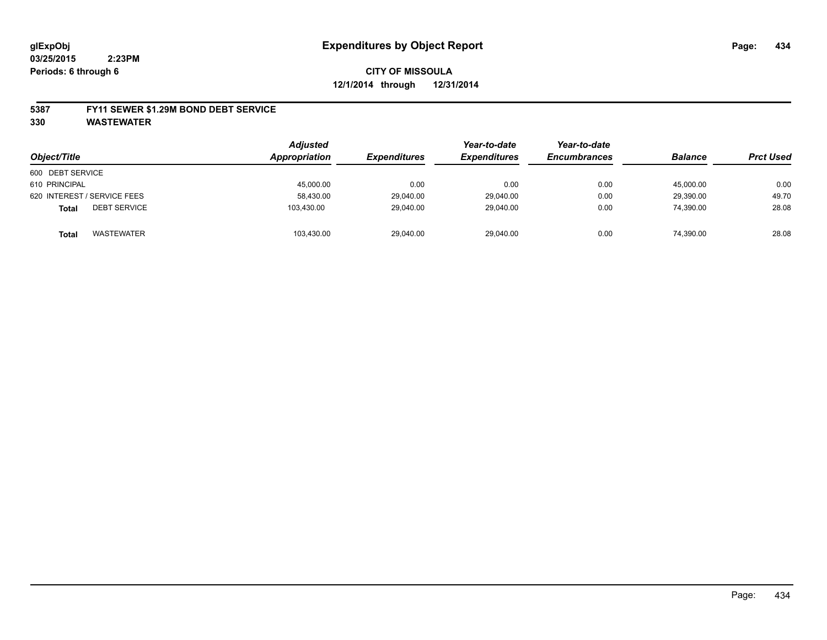### **5387 FY11 SEWER \$1.29M BOND DEBT SERVICE**

**330 WASTEWATER**

| Object/Title                        | <b>Adjusted</b><br>Appropriation | <b>Expenditures</b> | Year-to-date<br><b>Expenditures</b> | Year-to-date<br><b>Encumbrances</b> | <b>Balance</b> | <b>Prct Used</b> |
|-------------------------------------|----------------------------------|---------------------|-------------------------------------|-------------------------------------|----------------|------------------|
| 600 DEBT SERVICE                    |                                  |                     |                                     |                                     |                |                  |
|                                     |                                  |                     |                                     |                                     |                |                  |
| 610 PRINCIPAL                       | 45,000.00                        | 0.00                | 0.00                                | 0.00                                | 45.000.00      | 0.00             |
| 620 INTEREST / SERVICE FEES         | 58,430.00                        | 29,040.00           | 29,040.00                           | 0.00                                | 29,390.00      | 49.70            |
| <b>DEBT SERVICE</b><br><b>Total</b> | 103,430.00                       | 29,040.00           | 29,040.00                           | 0.00                                | 74,390.00      | 28.08            |
| WASTEWATER<br><b>Total</b>          | 103,430.00                       | 29,040.00           | 29,040.00                           | 0.00                                | 74,390.00      | 28.08            |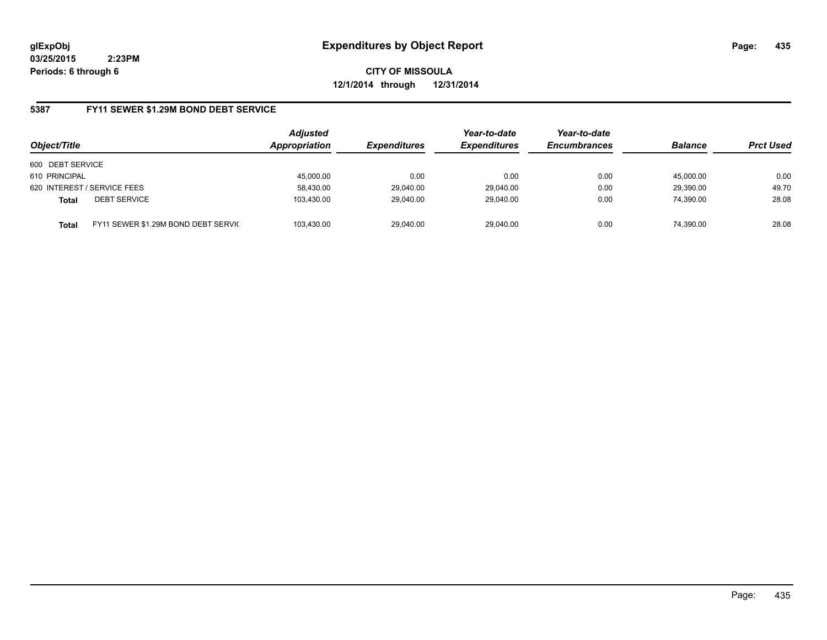**CITY OF MISSOULA 12/1/2014 through 12/31/2014**

### **5387 FY11 SEWER \$1.29M BOND DEBT SERVICE**

| Object/Title     |                                     | <b>Adjusted</b><br>Appropriation | <b>Expenditures</b> | Year-to-date<br><b>Expenditures</b> | Year-to-date<br><b>Encumbrances</b> | <b>Balance</b> | <b>Prct Used</b> |
|------------------|-------------------------------------|----------------------------------|---------------------|-------------------------------------|-------------------------------------|----------------|------------------|
| 600 DEBT SERVICE |                                     |                                  |                     |                                     |                                     |                |                  |
| 610 PRINCIPAL    |                                     | 45,000.00                        | 0.00                | 0.00                                | 0.00                                | 45.000.00      | 0.00             |
|                  | 620 INTEREST / SERVICE FEES         | 58,430.00                        | 29,040.00           | 29,040.00                           | 0.00                                | 29,390.00      | 49.70            |
| <b>Total</b>     | <b>DEBT SERVICE</b>                 | 103,430.00                       | 29,040.00           | 29.040.00                           | 0.00                                | 74,390.00      | 28.08            |
| Total            | FY11 SEWER \$1.29M BOND DEBT SERVIC | 103.430.00                       | 29,040.00           | 29.040.00                           | 0.00                                | 74,390.00      | 28.08            |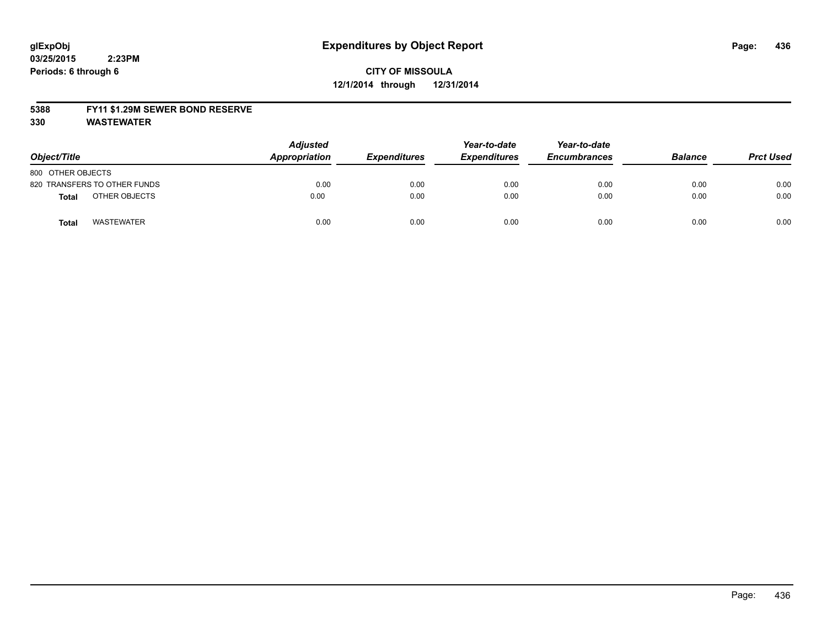## **CITY OF MISSOULA 12/1/2014 through 12/31/2014**

### **5388 FY11 \$1.29M SEWER BOND RESERVE**

**330 WASTEWATER**

| Object/Title                 | <b>Adjusted</b><br>Appropriation | <b>Expenditures</b> | Year-to-date<br><b>Expenditures</b> | Year-to-date<br><b>Encumbrances</b> | <b>Balance</b> | <b>Prct Used</b> |
|------------------------------|----------------------------------|---------------------|-------------------------------------|-------------------------------------|----------------|------------------|
| 800 OTHER OBJECTS            |                                  |                     |                                     |                                     |                |                  |
| 820 TRANSFERS TO OTHER FUNDS | 0.00                             | 0.00                | 0.00                                | 0.00                                | 0.00           | 0.00             |
| OTHER OBJECTS<br>Total       | 0.00                             | 0.00                | 0.00                                | 0.00                                | 0.00           | 0.00             |
| <b>WASTEWATER</b><br>Total   | 0.00                             | 0.00                | 0.00                                | 0.00                                | 0.00           | 0.00             |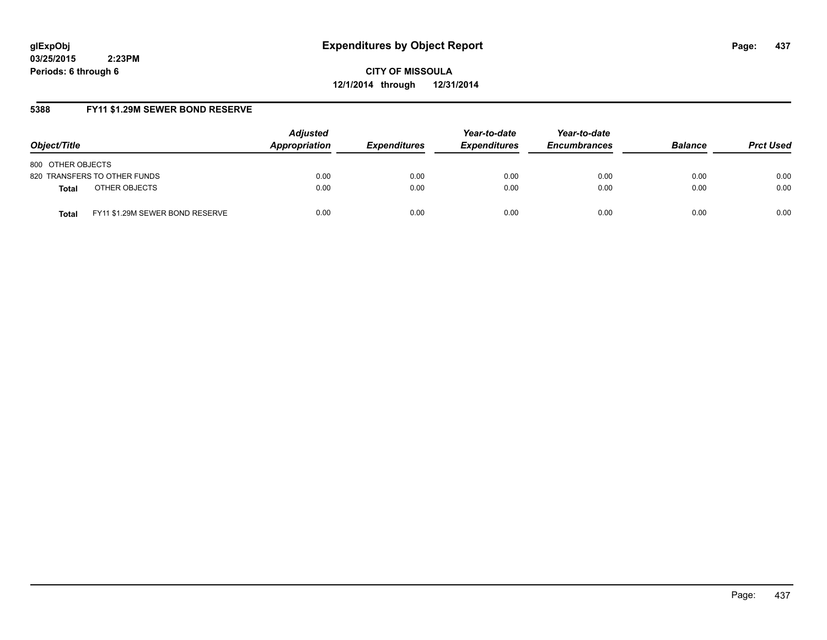**CITY OF MISSOULA 12/1/2014 through 12/31/2014**

## **5388 FY11 \$1.29M SEWER BOND RESERVE**

| Object/Title                                    | <b>Adjusted</b><br>Appropriation | <i><b>Expenditures</b></i> | Year-to-date<br><b>Expenditures</b> | Year-to-date<br><b>Encumbrances</b> | <b>Balance</b> | <b>Prct Used</b> |
|-------------------------------------------------|----------------------------------|----------------------------|-------------------------------------|-------------------------------------|----------------|------------------|
| 800 OTHER OBJECTS                               |                                  |                            |                                     |                                     |                |                  |
| 820 TRANSFERS TO OTHER FUNDS                    | 0.00                             | 0.00                       | 0.00                                | 0.00                                | 0.00           | 0.00             |
| OTHER OBJECTS<br><b>Total</b>                   | 0.00                             | 0.00                       | 0.00                                | 0.00                                | 0.00           | 0.00             |
| FY11 \$1.29M SEWER BOND RESERVE<br><b>Total</b> | 0.00                             | 0.00                       | 0.00                                | 0.00                                | 0.00           | 0.00             |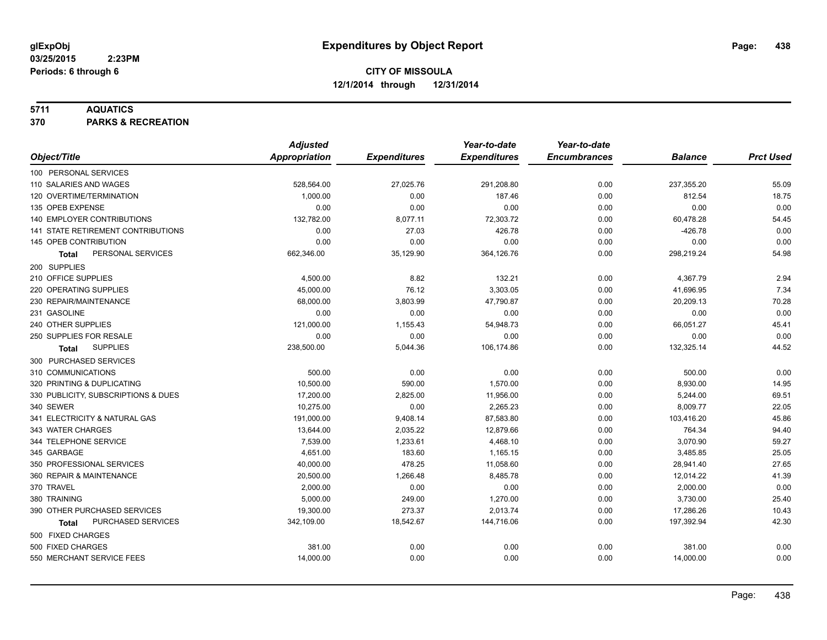### **5711 AQUATICS**

**370 PARKS & RECREATION**

|                                     | <b>Adjusted</b>      |                     | Year-to-date        | Year-to-date        |                |                  |
|-------------------------------------|----------------------|---------------------|---------------------|---------------------|----------------|------------------|
| Object/Title                        | <b>Appropriation</b> | <b>Expenditures</b> | <b>Expenditures</b> | <b>Encumbrances</b> | <b>Balance</b> | <b>Prct Used</b> |
| 100 PERSONAL SERVICES               |                      |                     |                     |                     |                |                  |
| 110 SALARIES AND WAGES              | 528,564.00           | 27,025.76           | 291,208.80          | 0.00                | 237,355.20     | 55.09            |
| 120 OVERTIME/TERMINATION            | 1,000.00             | 0.00                | 187.46              | 0.00                | 812.54         | 18.75            |
| 135 OPEB EXPENSE                    | 0.00                 | 0.00                | 0.00                | 0.00                | 0.00           | 0.00             |
| 140 EMPLOYER CONTRIBUTIONS          | 132,782.00           | 8,077.11            | 72,303.72           | 0.00                | 60,478.28      | 54.45            |
| 141 STATE RETIREMENT CONTRIBUTIONS  | 0.00                 | 27.03               | 426.78              | 0.00                | $-426.78$      | 0.00             |
| 145 OPEB CONTRIBUTION               | 0.00                 | 0.00                | 0.00                | 0.00                | 0.00           | 0.00             |
| PERSONAL SERVICES<br><b>Total</b>   | 662,346.00           | 35,129.90           | 364,126.76          | 0.00                | 298,219.24     | 54.98            |
| 200 SUPPLIES                        |                      |                     |                     |                     |                |                  |
| 210 OFFICE SUPPLIES                 | 4,500.00             | 8.82                | 132.21              | 0.00                | 4,367.79       | 2.94             |
| 220 OPERATING SUPPLIES              | 45,000.00            | 76.12               | 3,303.05            | 0.00                | 41,696.95      | 7.34             |
| 230 REPAIR/MAINTENANCE              | 68,000.00            | 3,803.99            | 47,790.87           | 0.00                | 20,209.13      | 70.28            |
| 231 GASOLINE                        | 0.00                 | 0.00                | 0.00                | 0.00                | 0.00           | 0.00             |
| 240 OTHER SUPPLIES                  | 121,000.00           | 1,155.43            | 54,948.73           | 0.00                | 66,051.27      | 45.41            |
| 250 SUPPLIES FOR RESALE             | 0.00                 | 0.00                | 0.00                | 0.00                | 0.00           | 0.00             |
| <b>SUPPLIES</b><br>Total            | 238,500.00           | 5,044.36            | 106,174.86          | 0.00                | 132,325.14     | 44.52            |
| 300 PURCHASED SERVICES              |                      |                     |                     |                     |                |                  |
| 310 COMMUNICATIONS                  | 500.00               | 0.00                | 0.00                | 0.00                | 500.00         | 0.00             |
| 320 PRINTING & DUPLICATING          | 10,500.00            | 590.00              | 1,570.00            | 0.00                | 8,930.00       | 14.95            |
| 330 PUBLICITY, SUBSCRIPTIONS & DUES | 17,200.00            | 2,825.00            | 11,956.00           | 0.00                | 5,244.00       | 69.51            |
| 340 SEWER                           | 10,275.00            | 0.00                | 2,265.23            | 0.00                | 8,009.77       | 22.05            |
| 341 ELECTRICITY & NATURAL GAS       | 191,000.00           | 9,408.14            | 87,583.80           | 0.00                | 103,416.20     | 45.86            |
| 343 WATER CHARGES                   | 13,644.00            | 2,035.22            | 12,879.66           | 0.00                | 764.34         | 94.40            |
| 344 TELEPHONE SERVICE               | 7,539.00             | 1,233.61            | 4,468.10            | 0.00                | 3,070.90       | 59.27            |
| 345 GARBAGE                         | 4,651.00             | 183.60              | 1,165.15            | 0.00                | 3,485.85       | 25.05            |
| 350 PROFESSIONAL SERVICES           | 40,000.00            | 478.25              | 11,058.60           | 0.00                | 28,941.40      | 27.65            |
| 360 REPAIR & MAINTENANCE            | 20,500.00            | 1,266.48            | 8,485.78            | 0.00                | 12,014.22      | 41.39            |
| 370 TRAVEL                          | 2,000.00             | 0.00                | 0.00                | 0.00                | 2,000.00       | 0.00             |
| 380 TRAINING                        | 5,000.00             | 249.00              | 1,270.00            | 0.00                | 3,730.00       | 25.40            |
| 390 OTHER PURCHASED SERVICES        | 19,300.00            | 273.37              | 2,013.74            | 0.00                | 17,286.26      | 10.43            |
| PURCHASED SERVICES<br><b>Total</b>  | 342,109.00           | 18,542.67           | 144,716.06          | 0.00                | 197,392.94     | 42.30            |
| 500 FIXED CHARGES                   |                      |                     |                     |                     |                |                  |
| 500 FIXED CHARGES                   | 381.00               | 0.00                | 0.00                | 0.00                | 381.00         | 0.00             |
| 550 MERCHANT SERVICE FEES           | 14,000.00            | 0.00                | 0.00                | 0.00                | 14,000.00      | 0.00             |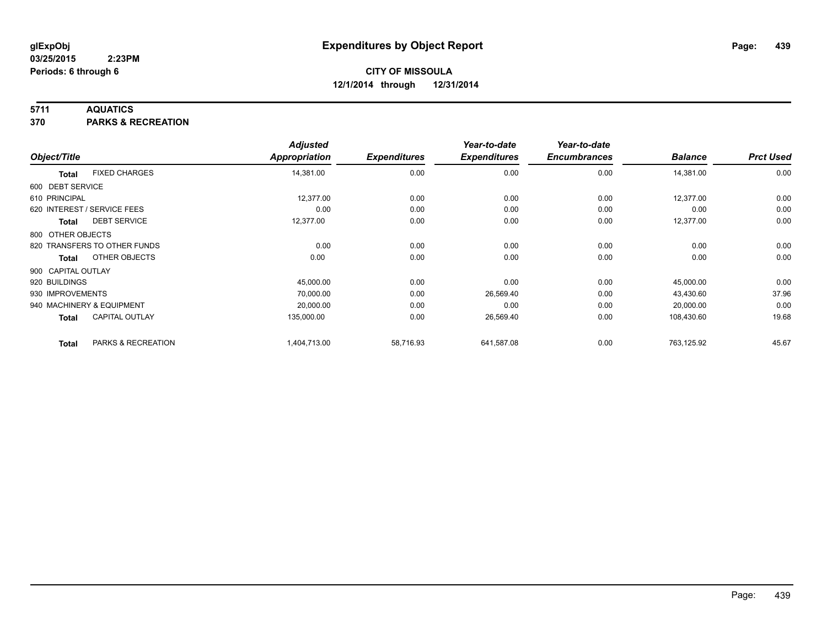### **5711 AQUATICS**

**370 PARKS & RECREATION**

|                    |                              | <b>Adjusted</b> |                     | Year-to-date        | Year-to-date        |                |                  |
|--------------------|------------------------------|-----------------|---------------------|---------------------|---------------------|----------------|------------------|
| Object/Title       |                              | Appropriation   | <b>Expenditures</b> | <b>Expenditures</b> | <b>Encumbrances</b> | <b>Balance</b> | <b>Prct Used</b> |
| <b>Total</b>       | <b>FIXED CHARGES</b>         | 14,381.00       | 0.00                | 0.00                | 0.00                | 14,381.00      | 0.00             |
| 600 DEBT SERVICE   |                              |                 |                     |                     |                     |                |                  |
| 610 PRINCIPAL      |                              | 12,377.00       | 0.00                | 0.00                | 0.00                | 12,377.00      | 0.00             |
|                    | 620 INTEREST / SERVICE FEES  | 0.00            | 0.00                | 0.00                | 0.00                | 0.00           | 0.00             |
| <b>Total</b>       | <b>DEBT SERVICE</b>          | 12,377.00       | 0.00                | 0.00                | 0.00                | 12,377.00      | 0.00             |
| 800 OTHER OBJECTS  |                              |                 |                     |                     |                     |                |                  |
|                    | 820 TRANSFERS TO OTHER FUNDS | 0.00            | 0.00                | 0.00                | 0.00                | 0.00           | 0.00             |
| <b>Total</b>       | OTHER OBJECTS                | 0.00            | 0.00                | 0.00                | 0.00                | 0.00           | 0.00             |
| 900 CAPITAL OUTLAY |                              |                 |                     |                     |                     |                |                  |
| 920 BUILDINGS      |                              | 45,000.00       | 0.00                | 0.00                | 0.00                | 45,000.00      | 0.00             |
| 930 IMPROVEMENTS   |                              | 70,000.00       | 0.00                | 26,569.40           | 0.00                | 43,430.60      | 37.96            |
|                    | 940 MACHINERY & EQUIPMENT    | 20,000.00       | 0.00                | 0.00                | 0.00                | 20,000.00      | 0.00             |
| <b>Total</b>       | <b>CAPITAL OUTLAY</b>        | 135,000.00      | 0.00                | 26,569.40           | 0.00                | 108,430.60     | 19.68            |
| <b>Total</b>       | PARKS & RECREATION           | 1,404,713.00    | 58,716.93           | 641,587.08          | 0.00                | 763,125.92     | 45.67            |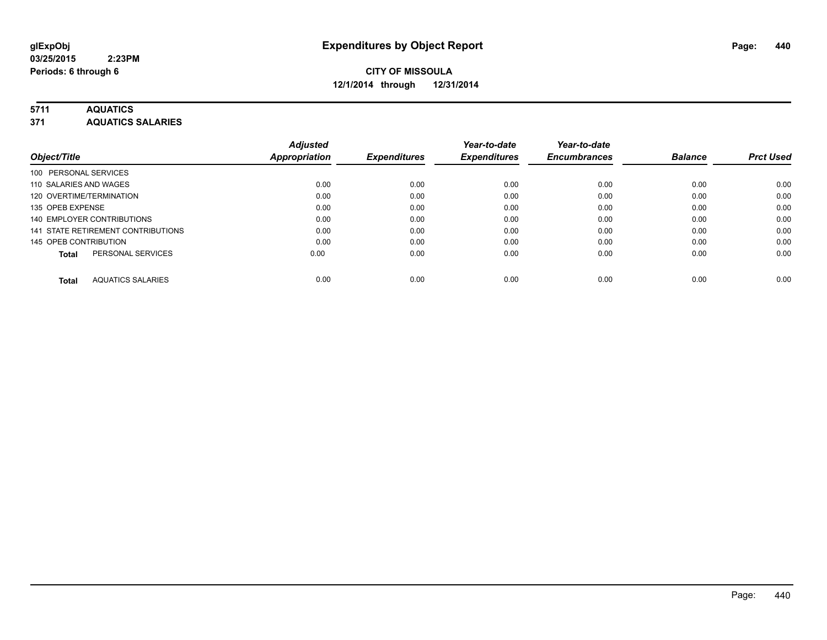# **5711 AQUATICS**

**371 AQUATICS SALARIES**

| Object/Title                             | <b>Adjusted</b><br>Appropriation | <b>Expenditures</b> | Year-to-date<br><b>Expenditures</b> | Year-to-date<br><b>Encumbrances</b> | <b>Balance</b> | <b>Prct Used</b> |
|------------------------------------------|----------------------------------|---------------------|-------------------------------------|-------------------------------------|----------------|------------------|
| 100 PERSONAL SERVICES                    |                                  |                     |                                     |                                     |                |                  |
| 110 SALARIES AND WAGES                   | 0.00                             | 0.00                | 0.00                                | 0.00                                | 0.00           | 0.00             |
| 120 OVERTIME/TERMINATION                 | 0.00                             | 0.00                | 0.00                                | 0.00                                | 0.00           | 0.00             |
| 135 OPEB EXPENSE                         | 0.00                             | 0.00                | 0.00                                | 0.00                                | 0.00           | 0.00             |
| 140 EMPLOYER CONTRIBUTIONS               | 0.00                             | 0.00                | 0.00                                | 0.00                                | 0.00           | 0.00             |
| 141 STATE RETIREMENT CONTRIBUTIONS       | 0.00                             | 0.00                | 0.00                                | 0.00                                | 0.00           | 0.00             |
| 145 OPEB CONTRIBUTION                    | 0.00                             | 0.00                | 0.00                                | 0.00                                | 0.00           | 0.00             |
| PERSONAL SERVICES<br><b>Total</b>        | 0.00                             | 0.00                | 0.00                                | 0.00                                | 0.00           | 0.00             |
| <b>AQUATICS SALARIES</b><br><b>Total</b> | 0.00                             | 0.00                | 0.00                                | 0.00                                | 0.00           | 0.00             |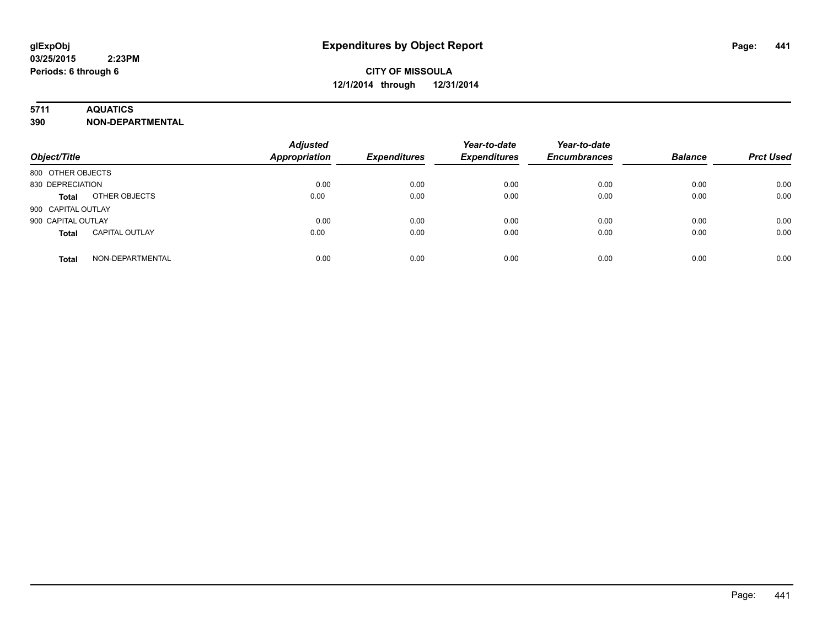### **5711 AQUATICS**

**390 NON-DEPARTMENTAL**

| Object/Title                          | <b>Adjusted</b><br>Appropriation | <b>Expenditures</b> | Year-to-date<br><b>Expenditures</b> | Year-to-date<br><b>Encumbrances</b> | <b>Balance</b> | <b>Prct Used</b> |
|---------------------------------------|----------------------------------|---------------------|-------------------------------------|-------------------------------------|----------------|------------------|
| 800 OTHER OBJECTS                     |                                  |                     |                                     |                                     |                |                  |
| 830 DEPRECIATION                      | 0.00                             | 0.00                | 0.00                                | 0.00                                | 0.00           | 0.00             |
| OTHER OBJECTS<br><b>Total</b>         | 0.00                             | 0.00                | 0.00                                | 0.00                                | 0.00           | 0.00             |
| 900 CAPITAL OUTLAY                    |                                  |                     |                                     |                                     |                |                  |
| 900 CAPITAL OUTLAY                    | 0.00                             | 0.00                | 0.00                                | 0.00                                | 0.00           | 0.00             |
| <b>CAPITAL OUTLAY</b><br><b>Total</b> | 0.00                             | 0.00                | 0.00                                | 0.00                                | 0.00           | 0.00             |
| NON-DEPARTMENTAL<br><b>Total</b>      | 0.00                             | 0.00                | 0.00                                | 0.00                                | 0.00           | 0.00             |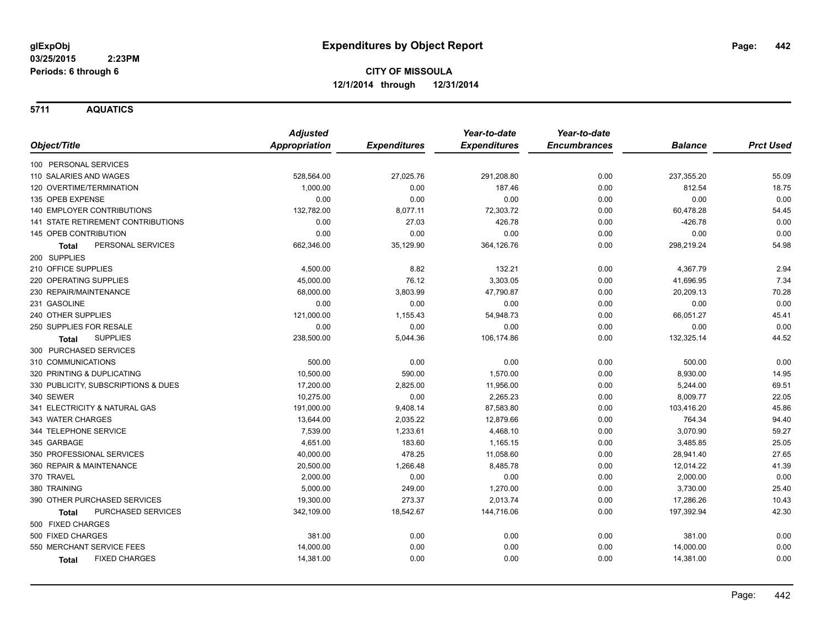**5711 AQUATICS**

|                                     | <b>Adjusted</b>      |                     | Year-to-date        | Year-to-date        |                |                  |
|-------------------------------------|----------------------|---------------------|---------------------|---------------------|----------------|------------------|
| Object/Title                        | <b>Appropriation</b> | <b>Expenditures</b> | <b>Expenditures</b> | <b>Encumbrances</b> | <b>Balance</b> | <b>Prct Used</b> |
| 100 PERSONAL SERVICES               |                      |                     |                     |                     |                |                  |
| 110 SALARIES AND WAGES              | 528,564.00           | 27,025.76           | 291,208.80          | 0.00                | 237,355.20     | 55.09            |
| 120 OVERTIME/TERMINATION            | 1,000.00             | 0.00                | 187.46              | 0.00                | 812.54         | 18.75            |
| 135 OPEB EXPENSE                    | 0.00                 | 0.00                | 0.00                | 0.00                | 0.00           | 0.00             |
| 140 EMPLOYER CONTRIBUTIONS          | 132,782.00           | 8,077.11            | 72,303.72           | 0.00                | 60,478.28      | 54.45            |
| 141 STATE RETIREMENT CONTRIBUTIONS  | 0.00                 | 27.03               | 426.78              | 0.00                | $-426.78$      | 0.00             |
| 145 OPEB CONTRIBUTION               | 0.00                 | 0.00                | 0.00                | 0.00                | 0.00           | 0.00             |
| PERSONAL SERVICES<br>Total          | 662,346.00           | 35,129.90           | 364,126.76          | 0.00                | 298,219.24     | 54.98            |
| 200 SUPPLIES                        |                      |                     |                     |                     |                |                  |
| 210 OFFICE SUPPLIES                 | 4,500.00             | 8.82                | 132.21              | 0.00                | 4,367.79       | 2.94             |
| 220 OPERATING SUPPLIES              | 45,000.00            | 76.12               | 3,303.05            | 0.00                | 41,696.95      | 7.34             |
| 230 REPAIR/MAINTENANCE              | 68,000.00            | 3,803.99            | 47,790.87           | 0.00                | 20,209.13      | 70.28            |
| 231 GASOLINE                        | 0.00                 | 0.00                | 0.00                | 0.00                | 0.00           | 0.00             |
| 240 OTHER SUPPLIES                  | 121,000.00           | 1,155.43            | 54,948.73           | 0.00                | 66,051.27      | 45.41            |
| 250 SUPPLIES FOR RESALE             | 0.00                 | 0.00                | 0.00                | 0.00                | 0.00           | 0.00             |
| <b>SUPPLIES</b><br>Total            | 238,500.00           | 5,044.36            | 106,174.86          | 0.00                | 132,325.14     | 44.52            |
| 300 PURCHASED SERVICES              |                      |                     |                     |                     |                |                  |
| 310 COMMUNICATIONS                  | 500.00               | 0.00                | 0.00                | 0.00                | 500.00         | 0.00             |
| 320 PRINTING & DUPLICATING          | 10,500.00            | 590.00              | 1,570.00            | 0.00                | 8,930.00       | 14.95            |
| 330 PUBLICITY, SUBSCRIPTIONS & DUES | 17,200.00            | 2,825.00            | 11,956.00           | 0.00                | 5,244.00       | 69.51            |
| 340 SEWER                           | 10,275.00            | 0.00                | 2,265.23            | 0.00                | 8,009.77       | 22.05            |
| 341 ELECTRICITY & NATURAL GAS       | 191,000.00           | 9,408.14            | 87,583.80           | 0.00                | 103,416.20     | 45.86            |
| 343 WATER CHARGES                   | 13,644.00            | 2,035.22            | 12,879.66           | 0.00                | 764.34         | 94.40            |
| 344 TELEPHONE SERVICE               | 7,539.00             | 1,233.61            | 4,468.10            | 0.00                | 3,070.90       | 59.27            |
| 345 GARBAGE                         | 4,651.00             | 183.60              | 1,165.15            | 0.00                | 3,485.85       | 25.05            |
| 350 PROFESSIONAL SERVICES           | 40,000.00            | 478.25              | 11,058.60           | 0.00                | 28,941.40      | 27.65            |
| 360 REPAIR & MAINTENANCE            | 20,500.00            | 1,266.48            | 8,485.78            | 0.00                | 12,014.22      | 41.39            |
| 370 TRAVEL                          | 2,000.00             | 0.00                | 0.00                | 0.00                | 2,000.00       | 0.00             |
| 380 TRAINING                        | 5,000.00             | 249.00              | 1,270.00            | 0.00                | 3,730.00       | 25.40            |
| 390 OTHER PURCHASED SERVICES        | 19,300.00            | 273.37              | 2,013.74            | 0.00                | 17,286.26      | 10.43            |
| PURCHASED SERVICES<br>Total         | 342,109.00           | 18,542.67           | 144,716.06          | 0.00                | 197,392.94     | 42.30            |
| 500 FIXED CHARGES                   |                      |                     |                     |                     |                |                  |
| 500 FIXED CHARGES                   | 381.00               | 0.00                | 0.00                | 0.00                | 381.00         | 0.00             |
| 550 MERCHANT SERVICE FEES           | 14,000.00            | 0.00                | 0.00                | 0.00                | 14,000.00      | 0.00             |
| <b>FIXED CHARGES</b><br>Total       | 14,381.00            | 0.00                | 0.00                | 0.00                | 14,381.00      | 0.00             |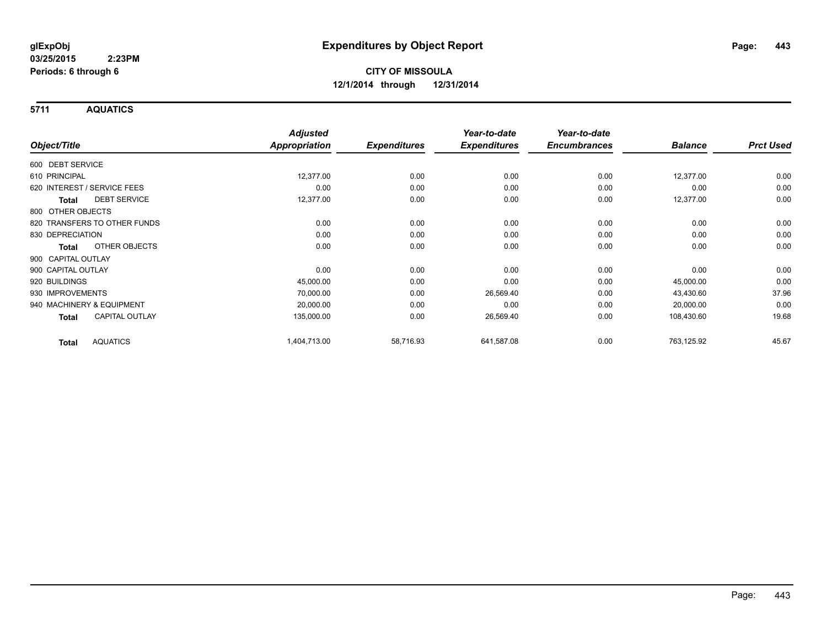**5711 AQUATICS**

|                                       | <b>Adjusted</b>      |                     | Year-to-date        | Year-to-date        |                |                  |
|---------------------------------------|----------------------|---------------------|---------------------|---------------------|----------------|------------------|
| Object/Title                          | <b>Appropriation</b> | <b>Expenditures</b> | <b>Expenditures</b> | <b>Encumbrances</b> | <b>Balance</b> | <b>Prct Used</b> |
| 600 DEBT SERVICE                      |                      |                     |                     |                     |                |                  |
| 610 PRINCIPAL                         | 12,377.00            | 0.00                | 0.00                | 0.00                | 12,377.00      | 0.00             |
| 620 INTEREST / SERVICE FEES           | 0.00                 | 0.00                | 0.00                | 0.00                | 0.00           | 0.00             |
| <b>DEBT SERVICE</b><br><b>Total</b>   | 12,377.00            | 0.00                | 0.00                | 0.00                | 12,377.00      | 0.00             |
| 800 OTHER OBJECTS                     |                      |                     |                     |                     |                |                  |
| 820 TRANSFERS TO OTHER FUNDS          | 0.00                 | 0.00                | 0.00                | 0.00                | 0.00           | 0.00             |
| 830 DEPRECIATION                      | 0.00                 | 0.00                | 0.00                | 0.00                | 0.00           | 0.00             |
| OTHER OBJECTS<br><b>Total</b>         | 0.00                 | 0.00                | 0.00                | 0.00                | 0.00           | 0.00             |
| 900 CAPITAL OUTLAY                    |                      |                     |                     |                     |                |                  |
| 900 CAPITAL OUTLAY                    | 0.00                 | 0.00                | 0.00                | 0.00                | 0.00           | 0.00             |
| 920 BUILDINGS                         | 45,000.00            | 0.00                | 0.00                | 0.00                | 45,000.00      | 0.00             |
| 930 IMPROVEMENTS                      | 70,000.00            | 0.00                | 26,569.40           | 0.00                | 43,430.60      | 37.96            |
| 940 MACHINERY & EQUIPMENT             | 20,000.00            | 0.00                | 0.00                | 0.00                | 20,000.00      | 0.00             |
| <b>CAPITAL OUTLAY</b><br><b>Total</b> | 135,000.00           | 0.00                | 26,569.40           | 0.00                | 108,430.60     | 19.68            |
| <b>AQUATICS</b><br><b>Total</b>       | 1,404,713.00         | 58,716.93           | 641,587.08          | 0.00                | 763,125.92     | 45.67            |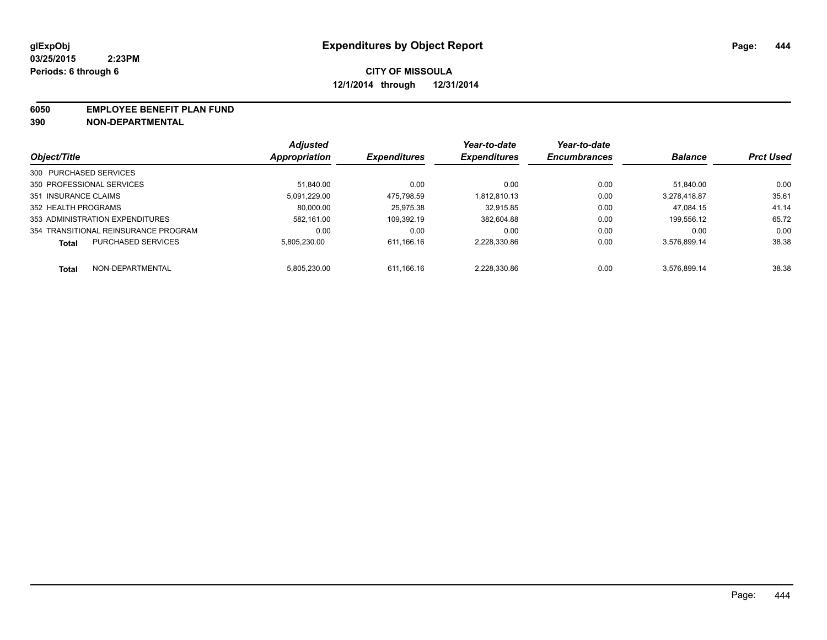#### **6050 EMPLOYEE BENEFIT PLAN FUND**

**390 NON-DEPARTMENTAL**

|                                           | <b>Adjusted</b> | <b>Expenditures</b> | Year-to-date        | Year-to-date<br><b>Encumbrances</b> | <b>Balance</b> | <b>Prct Used</b> |
|-------------------------------------------|-----------------|---------------------|---------------------|-------------------------------------|----------------|------------------|
| Object/Title                              | Appropriation   |                     | <b>Expenditures</b> |                                     |                |                  |
| 300 PURCHASED SERVICES                    |                 |                     |                     |                                     |                |                  |
| 350 PROFESSIONAL SERVICES                 | 51.840.00       | 0.00                | 0.00                | 0.00                                | 51.840.00      | 0.00             |
| 351 INSURANCE CLAIMS                      | 5.091.229.00    | 475.798.59          | 1.812.810.13        | 0.00                                | 3.278.418.87   | 35.61            |
| 352 HEALTH PROGRAMS                       | 80.000.00       | 25.975.38           | 32.915.85           | 0.00                                | 47.084.15      | 41.14            |
| 353 ADMINISTRATION EXPENDITURES           | 582.161.00      | 109.392.19          | 382.604.88          | 0.00                                | 199.556.12     | 65.72            |
| 354 TRANSITIONAL REINSURANCE PROGRAM      | 0.00            | 0.00                | 0.00                | 0.00                                | 0.00           | 0.00             |
| <b>PURCHASED SERVICES</b><br><b>Total</b> | 5.805.230.00    | 611.166.16          | 2.228.330.86        | 0.00                                | 3.576.899.14   | 38.38            |
| NON-DEPARTMENTAL<br><b>Total</b>          | 5.805.230.00    | 611.166.16          | 2.228.330.86        | 0.00                                | 3.576.899.14   | 38.38            |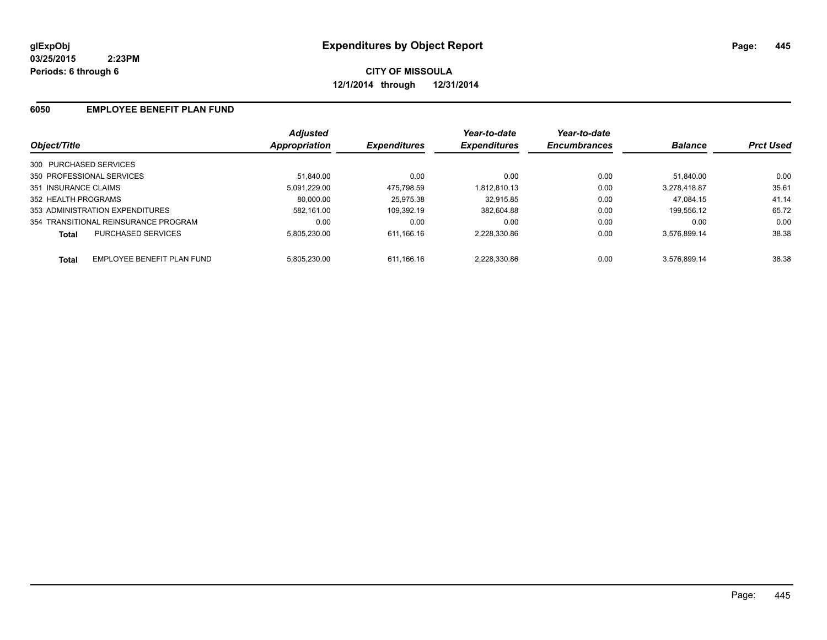# **CITY OF MISSOULA 12/1/2014 through 12/31/2014**

### **6050 EMPLOYEE BENEFIT PLAN FUND**

| Object/Title                               | <b>Adjusted</b><br>Appropriation | <b>Expenditures</b> | Year-to-date<br><b>Expenditures</b> | Year-to-date<br><b>Encumbrances</b> | <b>Balance</b> | <b>Prct Used</b> |
|--------------------------------------------|----------------------------------|---------------------|-------------------------------------|-------------------------------------|----------------|------------------|
| 300 PURCHASED SERVICES                     |                                  |                     |                                     |                                     |                |                  |
| 350 PROFESSIONAL SERVICES                  | 51.840.00                        | 0.00                | 0.00                                | 0.00                                | 51.840.00      | 0.00             |
| 351 INSURANCE CLAIMS                       | 5.091.229.00                     | 475.798.59          | 1,812,810.13                        | 0.00                                | 3.278.418.87   | 35.61            |
| 352 HEALTH PROGRAMS                        | 80.000.00                        | 25.975.38           | 32.915.85                           | 0.00                                | 47.084.15      | 41.14            |
| 353 ADMINISTRATION EXPENDITURES            | 582.161.00                       | 109.392.19          | 382.604.88                          | 0.00                                | 199.556.12     | 65.72            |
| 354 TRANSITIONAL REINSURANCE PROGRAM       | 0.00                             | 0.00                | 0.00                                | 0.00                                | 0.00           | 0.00             |
| <b>PURCHASED SERVICES</b><br>Total         | 5.805.230.00                     | 611.166.16          | 2.228.330.86                        | 0.00                                | 3,576,899.14   | 38.38            |
| EMPLOYEE BENEFIT PLAN FUND<br><b>Total</b> | 5.805.230.00                     | 611.166.16          | 2.228.330.86                        | 0.00                                | 3.576.899.14   | 38.38            |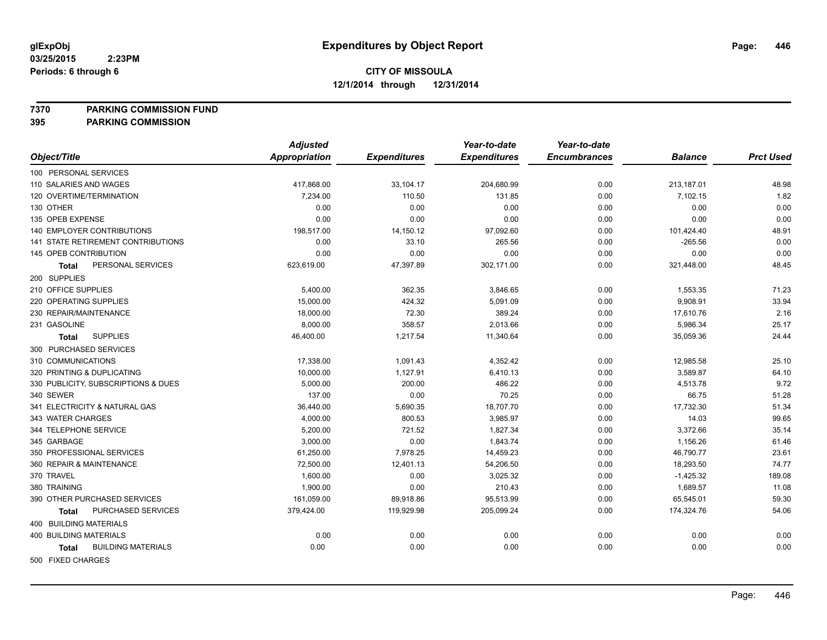### **7370 PARKING COMMISSION FUND**

|                                           | <b>Adjusted</b>      |                     | Year-to-date        | Year-to-date        |                |                  |
|-------------------------------------------|----------------------|---------------------|---------------------|---------------------|----------------|------------------|
| Object/Title                              | <b>Appropriation</b> | <b>Expenditures</b> | <b>Expenditures</b> | <b>Encumbrances</b> | <b>Balance</b> | <b>Prct Used</b> |
| 100 PERSONAL SERVICES                     |                      |                     |                     |                     |                |                  |
| 110 SALARIES AND WAGES                    | 417,868.00           | 33,104.17           | 204,680.99          | 0.00                | 213,187.01     | 48.98            |
| 120 OVERTIME/TERMINATION                  | 7,234.00             | 110.50              | 131.85              | 0.00                | 7,102.15       | 1.82             |
| 130 OTHER                                 | 0.00                 | 0.00                | 0.00                | 0.00                | 0.00           | 0.00             |
| 135 OPEB EXPENSE                          | 0.00                 | 0.00                | 0.00                | 0.00                | 0.00           | 0.00             |
| 140 EMPLOYER CONTRIBUTIONS                | 198,517.00           | 14,150.12           | 97,092.60           | 0.00                | 101,424.40     | 48.91            |
| 141 STATE RETIREMENT CONTRIBUTIONS        | 0.00                 | 33.10               | 265.56              | 0.00                | $-265.56$      | 0.00             |
| 145 OPEB CONTRIBUTION                     | 0.00                 | 0.00                | 0.00                | 0.00                | 0.00           | 0.00             |
| PERSONAL SERVICES<br><b>Total</b>         | 623,619.00           | 47,397.89           | 302,171.00          | 0.00                | 321,448.00     | 48.45            |
| 200 SUPPLIES                              |                      |                     |                     |                     |                |                  |
| 210 OFFICE SUPPLIES                       | 5,400.00             | 362.35              | 3,846.65            | 0.00                | 1,553.35       | 71.23            |
| 220 OPERATING SUPPLIES                    | 15,000.00            | 424.32              | 5,091.09            | 0.00                | 9,908.91       | 33.94            |
| 230 REPAIR/MAINTENANCE                    | 18,000.00            | 72.30               | 389.24              | 0.00                | 17,610.76      | 2.16             |
| 231 GASOLINE                              | 8,000.00             | 358.57              | 2,013.66            | 0.00                | 5,986.34       | 25.17            |
| <b>SUPPLIES</b><br>Total                  | 46,400.00            | 1,217.54            | 11,340.64           | 0.00                | 35,059.36      | 24.44            |
| 300 PURCHASED SERVICES                    |                      |                     |                     |                     |                |                  |
| 310 COMMUNICATIONS                        | 17,338.00            | 1,091.43            | 4,352.42            | 0.00                | 12,985.58      | 25.10            |
| 320 PRINTING & DUPLICATING                | 10,000.00            | 1,127.91            | 6,410.13            | 0.00                | 3,589.87       | 64.10            |
| 330 PUBLICITY, SUBSCRIPTIONS & DUES       | 5,000.00             | 200.00              | 486.22              | 0.00                | 4,513.78       | 9.72             |
| 340 SEWER                                 | 137.00               | 0.00                | 70.25               | 0.00                | 66.75          | 51.28            |
| 341 ELECTRICITY & NATURAL GAS             | 36,440.00            | 5,690.35            | 18,707.70           | 0.00                | 17,732.30      | 51.34            |
| 343 WATER CHARGES                         | 4,000.00             | 800.53              | 3,985.97            | 0.00                | 14.03          | 99.65            |
| 344 TELEPHONE SERVICE                     | 5,200.00             | 721.52              | 1,827.34            | 0.00                | 3,372.66       | 35.14            |
| 345 GARBAGE                               | 3,000.00             | 0.00                | 1,843.74            | 0.00                | 1,156.26       | 61.46            |
| 350 PROFESSIONAL SERVICES                 | 61,250.00            | 7,978.25            | 14,459.23           | 0.00                | 46,790.77      | 23.61            |
| 360 REPAIR & MAINTENANCE                  | 72,500.00            | 12,401.13           | 54,206.50           | 0.00                | 18,293.50      | 74.77            |
| 370 TRAVEL                                | 1,600.00             | 0.00                | 3,025.32            | 0.00                | $-1,425.32$    | 189.08           |
| 380 TRAINING                              | 1,900.00             | 0.00                | 210.43              | 0.00                | 1,689.57       | 11.08            |
| 390 OTHER PURCHASED SERVICES              | 161,059.00           | 89,918.86           | 95,513.99           | 0.00                | 65,545.01      | 59.30            |
| PURCHASED SERVICES<br><b>Total</b>        | 379,424.00           | 119,929.98          | 205,099.24          | 0.00                | 174,324.76     | 54.06            |
| 400 BUILDING MATERIALS                    |                      |                     |                     |                     |                |                  |
| <b>400 BUILDING MATERIALS</b>             | 0.00                 | 0.00                | 0.00                | 0.00                | 0.00           | 0.00             |
| <b>BUILDING MATERIALS</b><br><b>Total</b> | 0.00                 | 0.00                | 0.00                | 0.00                | 0.00           | 0.00             |
| 500 FIXED CHARGES                         |                      |                     |                     |                     |                |                  |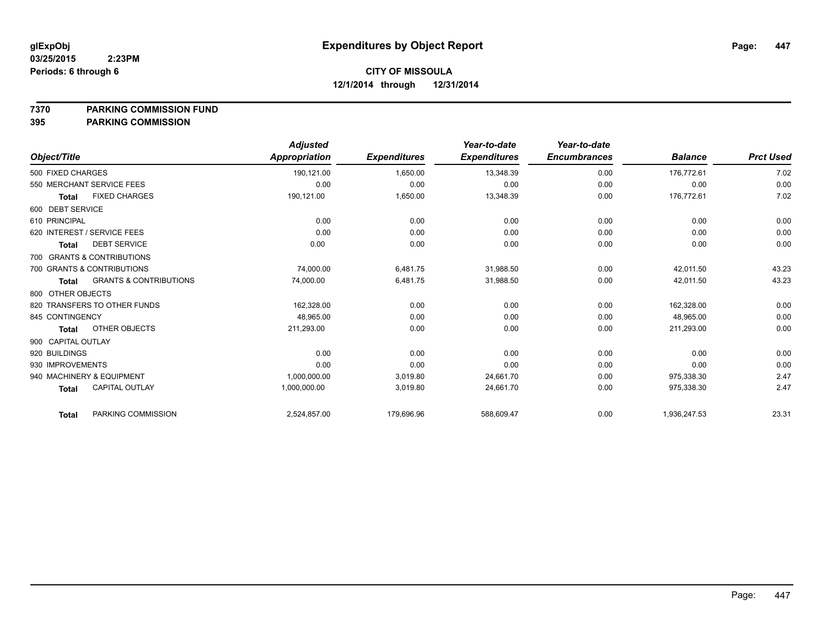**7370 PARKING COMMISSION FUND**

|                              |                                   | <b>Adjusted</b> |                     | Year-to-date        | Year-to-date        |                |                  |
|------------------------------|-----------------------------------|-----------------|---------------------|---------------------|---------------------|----------------|------------------|
| Object/Title                 |                                   | Appropriation   | <b>Expenditures</b> | <b>Expenditures</b> | <b>Encumbrances</b> | <b>Balance</b> | <b>Prct Used</b> |
| 500 FIXED CHARGES            |                                   | 190,121.00      | 1,650.00            | 13,348.39           | 0.00                | 176.772.61     | 7.02             |
| 550 MERCHANT SERVICE FEES    |                                   | 0.00            | 0.00                | 0.00                | 0.00                | 0.00           | 0.00             |
| <b>Total</b>                 | <b>FIXED CHARGES</b>              | 190,121.00      | 1,650.00            | 13,348.39           | 0.00                | 176,772.61     | 7.02             |
| 600 DEBT SERVICE             |                                   |                 |                     |                     |                     |                |                  |
| 610 PRINCIPAL                |                                   | 0.00            | 0.00                | 0.00                | 0.00                | 0.00           | 0.00             |
| 620 INTEREST / SERVICE FEES  |                                   | 0.00            | 0.00                | 0.00                | 0.00                | 0.00           | 0.00             |
| <b>Total</b>                 | <b>DEBT SERVICE</b>               | 0.00            | 0.00                | 0.00                | 0.00                | 0.00           | 0.00             |
| 700 GRANTS & CONTRIBUTIONS   |                                   |                 |                     |                     |                     |                |                  |
| 700 GRANTS & CONTRIBUTIONS   |                                   | 74,000.00       | 6,481.75            | 31,988.50           | 0.00                | 42.011.50      | 43.23            |
| <b>Total</b>                 | <b>GRANTS &amp; CONTRIBUTIONS</b> | 74,000.00       | 6,481.75            | 31,988.50           | 0.00                | 42,011.50      | 43.23            |
| 800 OTHER OBJECTS            |                                   |                 |                     |                     |                     |                |                  |
| 820 TRANSFERS TO OTHER FUNDS |                                   | 162,328.00      | 0.00                | 0.00                | 0.00                | 162,328.00     | 0.00             |
| 845 CONTINGENCY              |                                   | 48,965.00       | 0.00                | 0.00                | 0.00                | 48,965.00      | 0.00             |
| <b>Total</b>                 | OTHER OBJECTS                     | 211,293.00      | 0.00                | 0.00                | 0.00                | 211,293.00     | 0.00             |
| 900 CAPITAL OUTLAY           |                                   |                 |                     |                     |                     |                |                  |
| 920 BUILDINGS                |                                   | 0.00            | 0.00                | 0.00                | 0.00                | 0.00           | 0.00             |
| 930 IMPROVEMENTS             |                                   | 0.00            | 0.00                | 0.00                | 0.00                | 0.00           | 0.00             |
| 940 MACHINERY & EQUIPMENT    |                                   | 1,000,000.00    | 3,019.80            | 24,661.70           | 0.00                | 975,338.30     | 2.47             |
| <b>Total</b>                 | <b>CAPITAL OUTLAY</b>             | 1,000,000.00    | 3,019.80            | 24,661.70           | 0.00                | 975.338.30     | 2.47             |
| <b>Total</b>                 | PARKING COMMISSION                | 2,524,857.00    | 179,696.96          | 588,609.47          | 0.00                | 1,936,247.53   | 23.31            |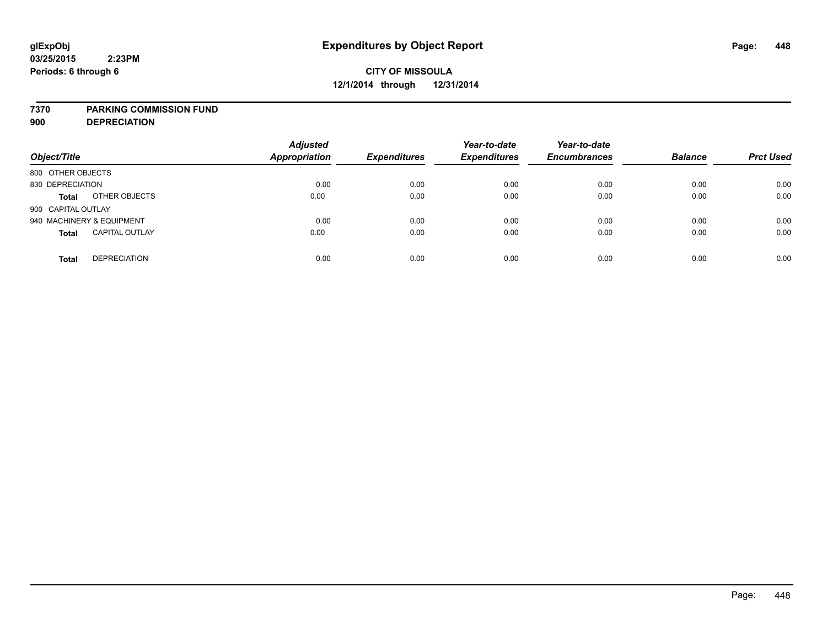### **7370 PARKING COMMISSION FUND**

**900 DEPRECIATION**

| Object/Title                          | <b>Adjusted</b><br><b>Appropriation</b> | <b>Expenditures</b> | Year-to-date<br><b>Expenditures</b> | Year-to-date<br><b>Encumbrances</b> | <b>Balance</b> | <b>Prct Used</b> |
|---------------------------------------|-----------------------------------------|---------------------|-------------------------------------|-------------------------------------|----------------|------------------|
| 800 OTHER OBJECTS                     |                                         |                     |                                     |                                     |                |                  |
| 830 DEPRECIATION                      | 0.00                                    | 0.00                | 0.00                                | 0.00                                | 0.00           | 0.00             |
| OTHER OBJECTS<br><b>Total</b>         | 0.00                                    | 0.00                | 0.00                                | 0.00                                | 0.00           | 0.00             |
| 900 CAPITAL OUTLAY                    |                                         |                     |                                     |                                     |                |                  |
| 940 MACHINERY & EQUIPMENT             | 0.00                                    | 0.00                | 0.00                                | 0.00                                | 0.00           | 0.00             |
| <b>CAPITAL OUTLAY</b><br><b>Total</b> | 0.00                                    | 0.00                | 0.00                                | 0.00                                | 0.00           | 0.00             |
| <b>DEPRECIATION</b><br><b>Total</b>   | 0.00                                    | 0.00                | 0.00                                | 0.00                                | 0.00           | 0.00             |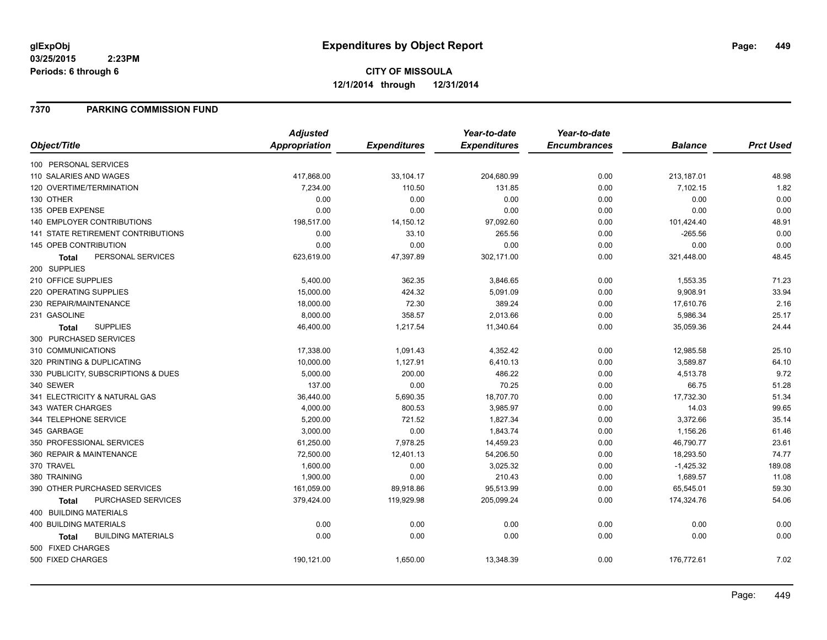### **7370 PARKING COMMISSION FUND**

|                                           | <b>Adjusted</b>      |                     | Year-to-date        | Year-to-date        |                |                  |
|-------------------------------------------|----------------------|---------------------|---------------------|---------------------|----------------|------------------|
| Object/Title                              | <b>Appropriation</b> | <b>Expenditures</b> | <b>Expenditures</b> | <b>Encumbrances</b> | <b>Balance</b> | <b>Prct Used</b> |
| 100 PERSONAL SERVICES                     |                      |                     |                     |                     |                |                  |
| 110 SALARIES AND WAGES                    | 417,868.00           | 33,104.17           | 204,680.99          | 0.00                | 213,187.01     | 48.98            |
| 120 OVERTIME/TERMINATION                  | 7,234.00             | 110.50              | 131.85              | 0.00                | 7,102.15       | 1.82             |
| 130 OTHER                                 | 0.00                 | 0.00                | 0.00                | 0.00                | 0.00           | 0.00             |
| 135 OPEB EXPENSE                          | 0.00                 | 0.00                | 0.00                | 0.00                | 0.00           | 0.00             |
| 140 EMPLOYER CONTRIBUTIONS                | 198,517.00           | 14,150.12           | 97,092.60           | 0.00                | 101,424.40     | 48.91            |
| <b>141 STATE RETIREMENT CONTRIBUTIONS</b> | 0.00                 | 33.10               | 265.56              | 0.00                | $-265.56$      | 0.00             |
| 145 OPEB CONTRIBUTION                     | 0.00                 | 0.00                | 0.00                | 0.00                | 0.00           | 0.00             |
| PERSONAL SERVICES<br>Total                | 623,619.00           | 47,397.89           | 302,171.00          | 0.00                | 321,448.00     | 48.45            |
| 200 SUPPLIES                              |                      |                     |                     |                     |                |                  |
| 210 OFFICE SUPPLIES                       | 5,400.00             | 362.35              | 3,846.65            | 0.00                | 1,553.35       | 71.23            |
| 220 OPERATING SUPPLIES                    | 15,000.00            | 424.32              | 5,091.09            | 0.00                | 9,908.91       | 33.94            |
| 230 REPAIR/MAINTENANCE                    | 18,000.00            | 72.30               | 389.24              | 0.00                | 17,610.76      | 2.16             |
| 231 GASOLINE                              | 8,000.00             | 358.57              | 2,013.66            | 0.00                | 5,986.34       | 25.17            |
| <b>SUPPLIES</b><br>Total                  | 46,400.00            | 1,217.54            | 11,340.64           | 0.00                | 35,059.36      | 24.44            |
| 300 PURCHASED SERVICES                    |                      |                     |                     |                     |                |                  |
| 310 COMMUNICATIONS                        | 17,338.00            | 1,091.43            | 4,352.42            | 0.00                | 12,985.58      | 25.10            |
| 320 PRINTING & DUPLICATING                | 10,000.00            | 1,127.91            | 6,410.13            | 0.00                | 3,589.87       | 64.10            |
| 330 PUBLICITY, SUBSCRIPTIONS & DUES       | 5,000.00             | 200.00              | 486.22              | 0.00                | 4,513.78       | 9.72             |
| 340 SEWER                                 | 137.00               | 0.00                | 70.25               | 0.00                | 66.75          | 51.28            |
| 341 ELECTRICITY & NATURAL GAS             | 36,440.00            | 5,690.35            | 18,707.70           | 0.00                | 17,732.30      | 51.34            |
| 343 WATER CHARGES                         | 4,000.00             | 800.53              | 3,985.97            | 0.00                | 14.03          | 99.65            |
| 344 TELEPHONE SERVICE                     | 5,200.00             | 721.52              | 1,827.34            | 0.00                | 3,372.66       | 35.14            |
| 345 GARBAGE                               | 3,000.00             | 0.00                | 1,843.74            | 0.00                | 1,156.26       | 61.46            |
| 350 PROFESSIONAL SERVICES                 | 61,250.00            | 7,978.25            | 14,459.23           | 0.00                | 46,790.77      | 23.61            |
| 360 REPAIR & MAINTENANCE                  | 72,500.00            | 12,401.13           | 54,206.50           | 0.00                | 18,293.50      | 74.77            |
| 370 TRAVEL                                | 1,600.00             | 0.00                | 3,025.32            | 0.00                | $-1,425.32$    | 189.08           |
| 380 TRAINING                              | 1,900.00             | 0.00                | 210.43              | 0.00                | 1,689.57       | 11.08            |
| 390 OTHER PURCHASED SERVICES              | 161,059.00           | 89,918.86           | 95,513.99           | 0.00                | 65,545.01      | 59.30            |
| <b>PURCHASED SERVICES</b><br><b>Total</b> | 379,424.00           | 119,929.98          | 205,099.24          | 0.00                | 174,324.76     | 54.06            |
| 400 BUILDING MATERIALS                    |                      |                     |                     |                     |                |                  |
| <b>400 BUILDING MATERIALS</b>             | 0.00                 | 0.00                | 0.00                | 0.00                | 0.00           | 0.00             |
| <b>BUILDING MATERIALS</b><br><b>Total</b> | 0.00                 | 0.00                | 0.00                | 0.00                | 0.00           | 0.00             |
| 500 FIXED CHARGES                         |                      |                     |                     |                     |                |                  |
| 500 FIXED CHARGES                         | 190,121.00           | 1,650.00            | 13,348.39           | 0.00                | 176,772.61     | 7.02             |
|                                           |                      |                     |                     |                     |                |                  |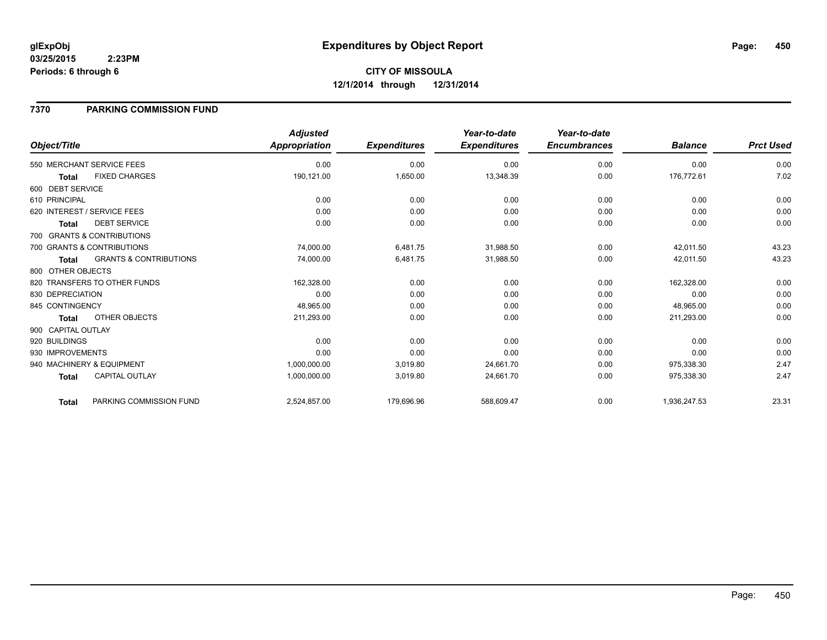# **7370 PARKING COMMISSION FUND**

|                    |                                   | <b>Adjusted</b>      |                     | Year-to-date        | Year-to-date        |                |                  |
|--------------------|-----------------------------------|----------------------|---------------------|---------------------|---------------------|----------------|------------------|
| Object/Title       |                                   | <b>Appropriation</b> | <b>Expenditures</b> | <b>Expenditures</b> | <b>Encumbrances</b> | <b>Balance</b> | <b>Prct Used</b> |
|                    | 550 MERCHANT SERVICE FEES         | 0.00                 | 0.00                | 0.00                | 0.00                | 0.00           | 0.00             |
| <b>Total</b>       | <b>FIXED CHARGES</b>              | 190,121.00           | 1,650.00            | 13,348.39           | 0.00                | 176,772.61     | 7.02             |
| 600 DEBT SERVICE   |                                   |                      |                     |                     |                     |                |                  |
| 610 PRINCIPAL      |                                   | 0.00                 | 0.00                | 0.00                | 0.00                | 0.00           | 0.00             |
|                    | 620 INTEREST / SERVICE FEES       | 0.00                 | 0.00                | 0.00                | 0.00                | 0.00           | 0.00             |
| <b>Total</b>       | <b>DEBT SERVICE</b>               | 0.00                 | 0.00                | 0.00                | 0.00                | 0.00           | 0.00             |
|                    | 700 GRANTS & CONTRIBUTIONS        |                      |                     |                     |                     |                |                  |
|                    | 700 GRANTS & CONTRIBUTIONS        | 74,000.00            | 6,481.75            | 31,988.50           | 0.00                | 42,011.50      | 43.23            |
| <b>Total</b>       | <b>GRANTS &amp; CONTRIBUTIONS</b> | 74,000.00            | 6,481.75            | 31,988.50           | 0.00                | 42,011.50      | 43.23            |
| 800 OTHER OBJECTS  |                                   |                      |                     |                     |                     |                |                  |
|                    | 820 TRANSFERS TO OTHER FUNDS      | 162,328.00           | 0.00                | 0.00                | 0.00                | 162,328.00     | 0.00             |
| 830 DEPRECIATION   |                                   | 0.00                 | 0.00                | 0.00                | 0.00                | 0.00           | 0.00             |
| 845 CONTINGENCY    |                                   | 48,965.00            | 0.00                | 0.00                | 0.00                | 48,965.00      | 0.00             |
| Total              | OTHER OBJECTS                     | 211,293.00           | 0.00                | 0.00                | 0.00                | 211,293.00     | 0.00             |
| 900 CAPITAL OUTLAY |                                   |                      |                     |                     |                     |                |                  |
| 920 BUILDINGS      |                                   | 0.00                 | 0.00                | 0.00                | 0.00                | 0.00           | 0.00             |
| 930 IMPROVEMENTS   |                                   | 0.00                 | 0.00                | 0.00                | 0.00                | 0.00           | 0.00             |
|                    | 940 MACHINERY & EQUIPMENT         | 1,000,000.00         | 3,019.80            | 24,661.70           | 0.00                | 975,338.30     | 2.47             |
| <b>Total</b>       | <b>CAPITAL OUTLAY</b>             | 1,000,000.00         | 3,019.80            | 24,661.70           | 0.00                | 975,338.30     | 2.47             |
| Total              | PARKING COMMISSION FUND           | 2,524,857.00         | 179,696.96          | 588,609.47          | 0.00                | 1,936,247.53   | 23.31            |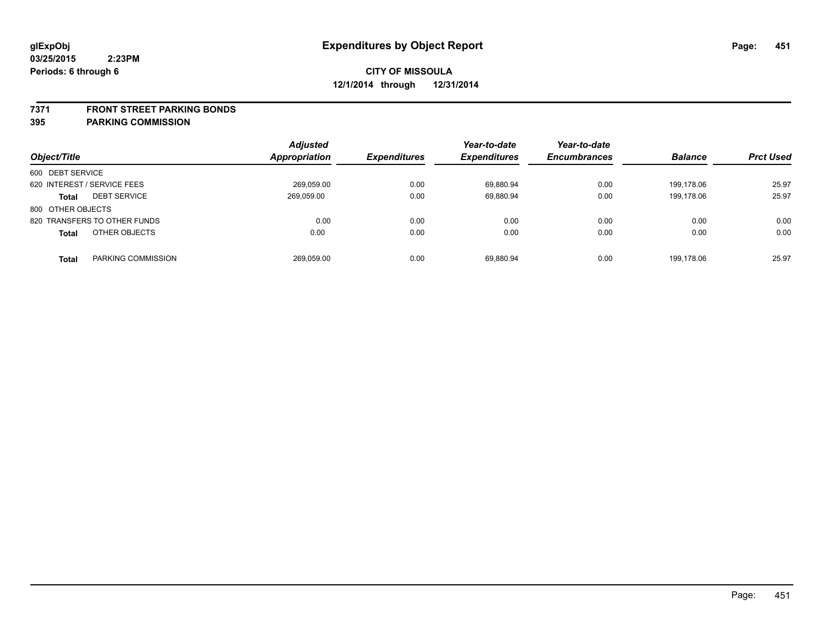#### **7371 FRONT STREET PARKING BONDS**

| Object/Title                        | <b>Adjusted</b><br>Appropriation | <b>Expenditures</b> | Year-to-date<br><b>Expenditures</b> | Year-to-date<br><b>Encumbrances</b> | <b>Balance</b> | <b>Prct Used</b> |
|-------------------------------------|----------------------------------|---------------------|-------------------------------------|-------------------------------------|----------------|------------------|
| 600 DEBT SERVICE                    |                                  |                     |                                     |                                     |                |                  |
| 620 INTEREST / SERVICE FEES         | 269,059.00                       | 0.00                | 69,880.94                           | 0.00                                | 199.178.06     | 25.97            |
| <b>DEBT SERVICE</b><br><b>Total</b> | 269.059.00                       | 0.00                | 69.880.94                           | 0.00                                | 199.178.06     | 25.97            |
| 800 OTHER OBJECTS                   |                                  |                     |                                     |                                     |                |                  |
| 820 TRANSFERS TO OTHER FUNDS        | 0.00                             | 0.00                | 0.00                                | 0.00                                | 0.00           | 0.00             |
| OTHER OBJECTS<br><b>Total</b>       | 0.00                             | 0.00                | 0.00                                | 0.00                                | 0.00           | 0.00             |
| PARKING COMMISSION<br>Total         | 269,059.00                       | 0.00                | 69.880.94                           | 0.00                                | 199.178.06     | 25.97            |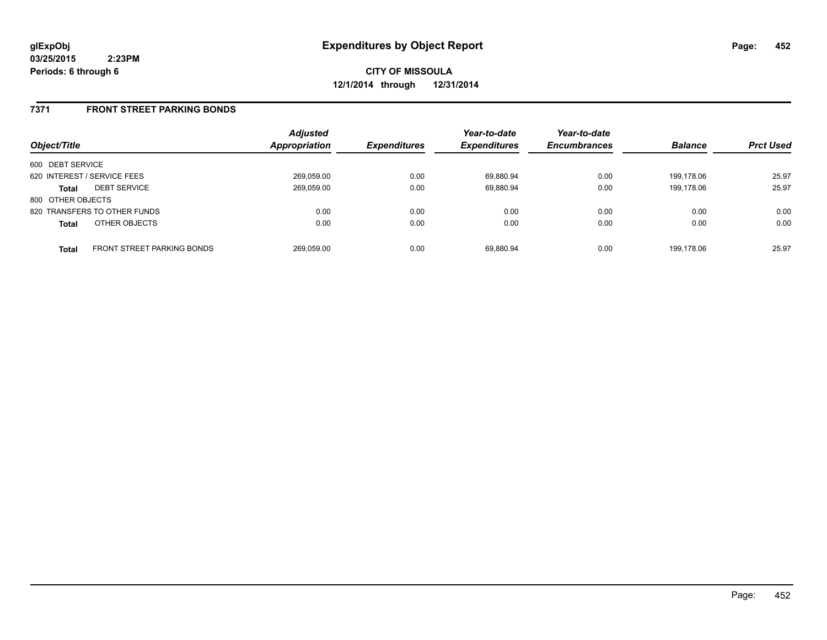### **7371 FRONT STREET PARKING BONDS**

| Object/Title                |                                   | <b>Adjusted</b><br><b>Appropriation</b> | <b>Expenditures</b> | Year-to-date<br><b>Expenditures</b> | Year-to-date<br><b>Encumbrances</b> | <b>Balance</b> | <b>Prct Used</b> |
|-----------------------------|-----------------------------------|-----------------------------------------|---------------------|-------------------------------------|-------------------------------------|----------------|------------------|
| 600 DEBT SERVICE            |                                   |                                         |                     |                                     |                                     |                |                  |
| 620 INTEREST / SERVICE FEES |                                   | 269,059.00                              | 0.00                | 69.880.94                           | 0.00                                | 199.178.06     | 25.97            |
| <b>Total</b>                | <b>DEBT SERVICE</b>               | 269,059.00                              | 0.00                | 69.880.94                           | 0.00                                | 199.178.06     | 25.97            |
| 800 OTHER OBJECTS           |                                   |                                         |                     |                                     |                                     |                |                  |
|                             | 820 TRANSFERS TO OTHER FUNDS      | 0.00                                    | 0.00                | 0.00                                | 0.00                                | 0.00           | 0.00             |
| <b>Total</b>                | OTHER OBJECTS                     | 0.00                                    | 0.00                | 0.00                                | 0.00                                | 0.00           | 0.00             |
| <b>Total</b>                | <b>FRONT STREET PARKING BONDS</b> | 269.059.00                              | 0.00                | 69.880.94                           | 0.00                                | 199.178.06     | 25.97            |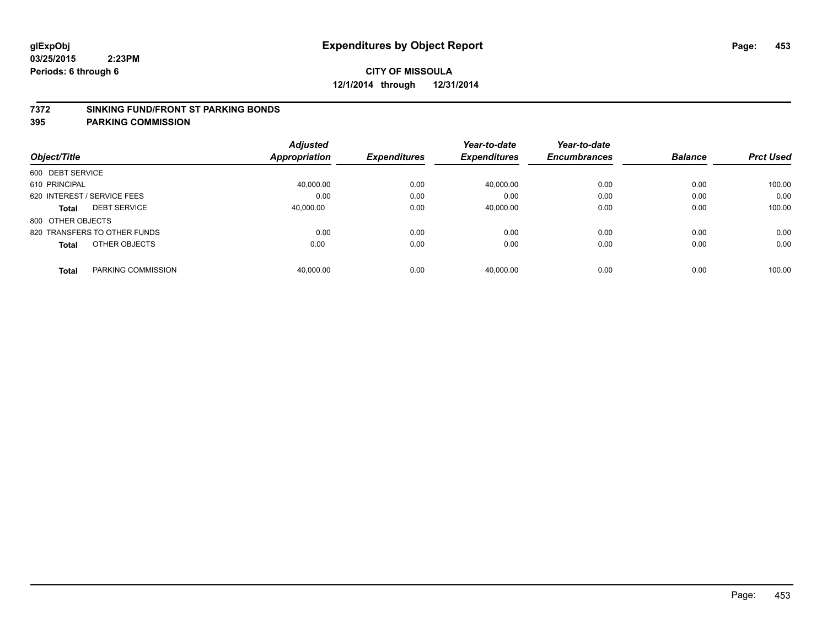### **7372 SINKING FUND/FRONT ST PARKING BONDS**

| Object/Title                       | <b>Adjusted</b><br>Appropriation | <b>Expenditures</b> | Year-to-date<br><b>Expenditures</b> | Year-to-date<br><b>Encumbrances</b> | <b>Balance</b> | <b>Prct Used</b> |
|------------------------------------|----------------------------------|---------------------|-------------------------------------|-------------------------------------|----------------|------------------|
|                                    |                                  |                     |                                     |                                     |                |                  |
| 600 DEBT SERVICE                   |                                  |                     |                                     |                                     |                |                  |
| 610 PRINCIPAL                      | 40.000.00                        | 0.00                | 40.000.00                           | 0.00                                | 0.00           | 100.00           |
| 620 INTEREST / SERVICE FEES        | 0.00                             | 0.00                | 0.00                                | 0.00                                | 0.00           | 0.00             |
| <b>DEBT SERVICE</b><br>Total       | 40.000.00                        | 0.00                | 40,000.00                           | 0.00                                | 0.00           | 100.00           |
| 800 OTHER OBJECTS                  |                                  |                     |                                     |                                     |                |                  |
| 820 TRANSFERS TO OTHER FUNDS       | 0.00                             | 0.00                | 0.00                                | 0.00                                | 0.00           | 0.00             |
| OTHER OBJECTS<br><b>Total</b>      | 0.00                             | 0.00                | 0.00                                | 0.00                                | 0.00           | 0.00             |
| PARKING COMMISSION<br><b>Total</b> | 40.000.00                        | 0.00                | 40.000.00                           | 0.00                                | 0.00           | 100.00           |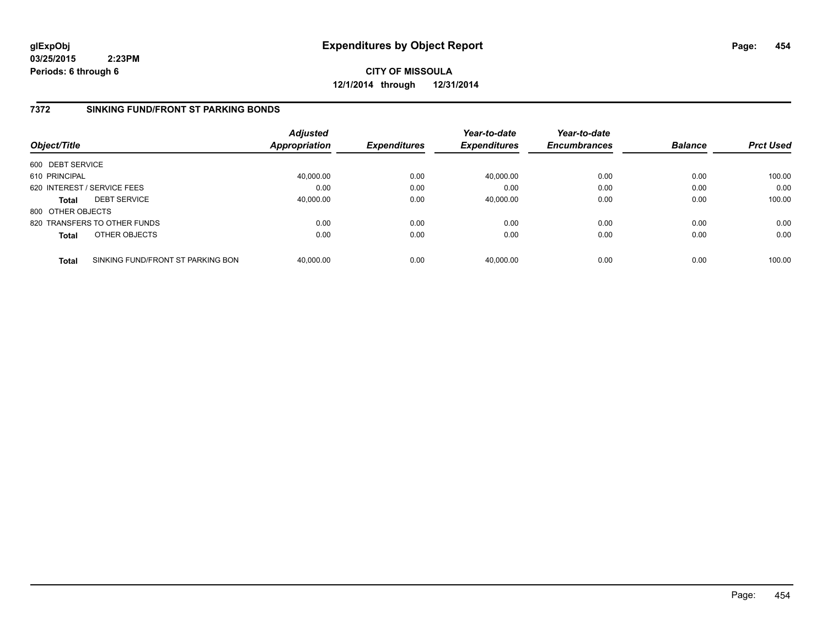**CITY OF MISSOULA 12/1/2014 through 12/31/2014**

### **7372 SINKING FUND/FRONT ST PARKING BONDS**

| Object/Title      |                                   | <b>Adjusted</b><br><b>Appropriation</b> | <b>Expenditures</b> | Year-to-date<br><b>Expenditures</b> | Year-to-date<br><b>Encumbrances</b> | <b>Balance</b> | <b>Prct Used</b> |
|-------------------|-----------------------------------|-----------------------------------------|---------------------|-------------------------------------|-------------------------------------|----------------|------------------|
| 600 DEBT SERVICE  |                                   |                                         |                     |                                     |                                     |                |                  |
| 610 PRINCIPAL     |                                   | 40,000.00                               | 0.00                | 40,000.00                           | 0.00                                | 0.00           | 100.00           |
|                   | 620 INTEREST / SERVICE FEES       | 0.00                                    | 0.00                | 0.00                                | 0.00                                | 0.00           | 0.00             |
| <b>Total</b>      | <b>DEBT SERVICE</b>               | 40,000.00                               | 0.00                | 40,000.00                           | 0.00                                | 0.00           | 100.00           |
| 800 OTHER OBJECTS |                                   |                                         |                     |                                     |                                     |                |                  |
|                   | 820 TRANSFERS TO OTHER FUNDS      | 0.00                                    | 0.00                | 0.00                                | 0.00                                | 0.00           | 0.00             |
| <b>Total</b>      | OTHER OBJECTS                     | 0.00                                    | 0.00                | 0.00                                | 0.00                                | 0.00           | 0.00             |
| <b>Total</b>      | SINKING FUND/FRONT ST PARKING BON | 40.000.00                               | 0.00                | 40.000.00                           | 0.00                                | 0.00           | 100.00           |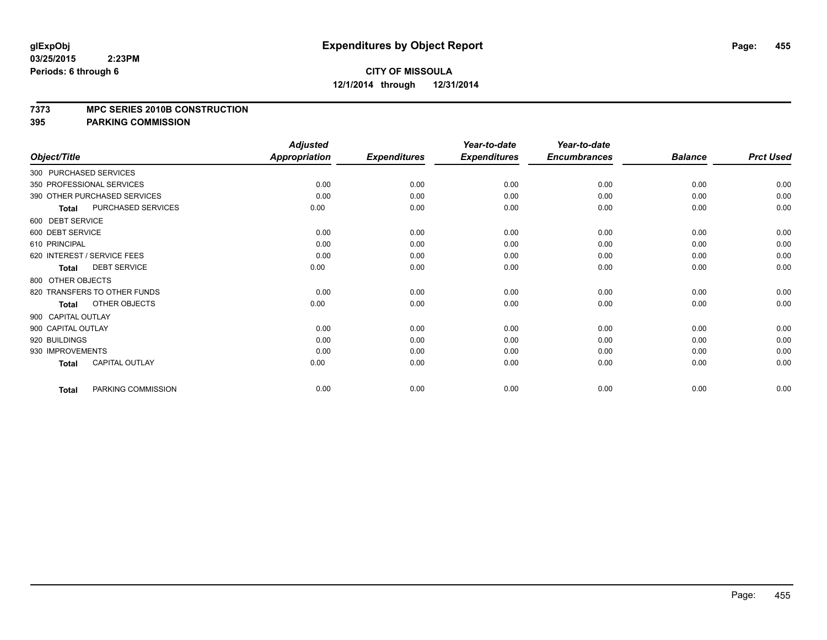#### **7373 MPC SERIES 2010B CONSTRUCTION**

|                    |                              | <b>Adjusted</b>      |                     | Year-to-date        | Year-to-date        |                |                  |
|--------------------|------------------------------|----------------------|---------------------|---------------------|---------------------|----------------|------------------|
| Object/Title       |                              | <b>Appropriation</b> | <b>Expenditures</b> | <b>Expenditures</b> | <b>Encumbrances</b> | <b>Balance</b> | <b>Prct Used</b> |
|                    | 300 PURCHASED SERVICES       |                      |                     |                     |                     |                |                  |
|                    | 350 PROFESSIONAL SERVICES    | 0.00                 | 0.00                | 0.00                | 0.00                | 0.00           | 0.00             |
|                    | 390 OTHER PURCHASED SERVICES | 0.00                 | 0.00                | 0.00                | 0.00                | 0.00           | 0.00             |
| <b>Total</b>       | PURCHASED SERVICES           | 0.00                 | 0.00                | 0.00                | 0.00                | 0.00           | 0.00             |
| 600 DEBT SERVICE   |                              |                      |                     |                     |                     |                |                  |
| 600 DEBT SERVICE   |                              | 0.00                 | 0.00                | 0.00                | 0.00                | 0.00           | 0.00             |
| 610 PRINCIPAL      |                              | 0.00                 | 0.00                | 0.00                | 0.00                | 0.00           | 0.00             |
|                    | 620 INTEREST / SERVICE FEES  | 0.00                 | 0.00                | 0.00                | 0.00                | 0.00           | 0.00             |
| <b>Total</b>       | <b>DEBT SERVICE</b>          | 0.00                 | 0.00                | 0.00                | 0.00                | 0.00           | 0.00             |
| 800 OTHER OBJECTS  |                              |                      |                     |                     |                     |                |                  |
|                    | 820 TRANSFERS TO OTHER FUNDS | 0.00                 | 0.00                | 0.00                | 0.00                | 0.00           | 0.00             |
| <b>Total</b>       | OTHER OBJECTS                | 0.00                 | 0.00                | 0.00                | 0.00                | 0.00           | 0.00             |
| 900 CAPITAL OUTLAY |                              |                      |                     |                     |                     |                |                  |
| 900 CAPITAL OUTLAY |                              | 0.00                 | 0.00                | 0.00                | 0.00                | 0.00           | 0.00             |
| 920 BUILDINGS      |                              | 0.00                 | 0.00                | 0.00                | 0.00                | 0.00           | 0.00             |
| 930 IMPROVEMENTS   |                              | 0.00                 | 0.00                | 0.00                | 0.00                | 0.00           | 0.00             |
| <b>Total</b>       | <b>CAPITAL OUTLAY</b>        | 0.00                 | 0.00                | 0.00                | 0.00                | 0.00           | 0.00             |
| <b>Total</b>       | PARKING COMMISSION           | 0.00                 | 0.00                | 0.00                | 0.00                | 0.00           | 0.00             |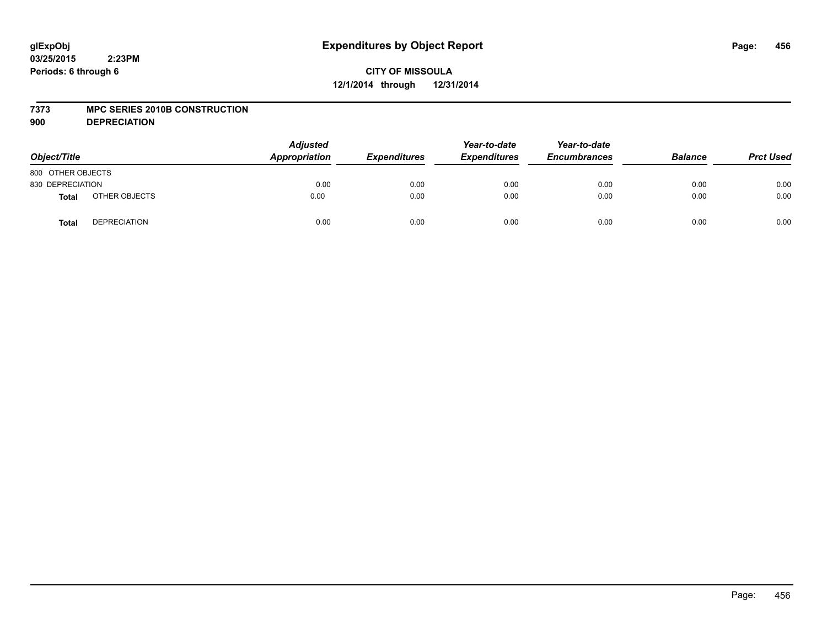## **CITY OF MISSOULA 12/1/2014 through 12/31/2014**

### **7373 MPC SERIES 2010B CONSTRUCTION**

**900 DEPRECIATION**

| Object/Title      |                     | Adjusted<br>Appropriation | <b>Expenditures</b> | Year-to-date<br><b>Expenditures</b> | Year-to-date<br><b>Encumbrances</b> | <b>Balance</b> | <b>Prct Used</b> |
|-------------------|---------------------|---------------------------|---------------------|-------------------------------------|-------------------------------------|----------------|------------------|
| 800 OTHER OBJECTS |                     |                           |                     |                                     |                                     |                |                  |
| 830 DEPRECIATION  |                     | 0.00                      | 0.00                | 0.00                                | 0.00                                | 0.00           | 0.00             |
| <b>Total</b>      | OTHER OBJECTS       | 0.00                      | 0.00                | 0.00                                | 0.00                                | 0.00           | 0.00             |
| <b>Total</b>      | <b>DEPRECIATION</b> | 0.00                      | 0.00                | 0.00                                | 0.00                                | 0.00           | 0.00             |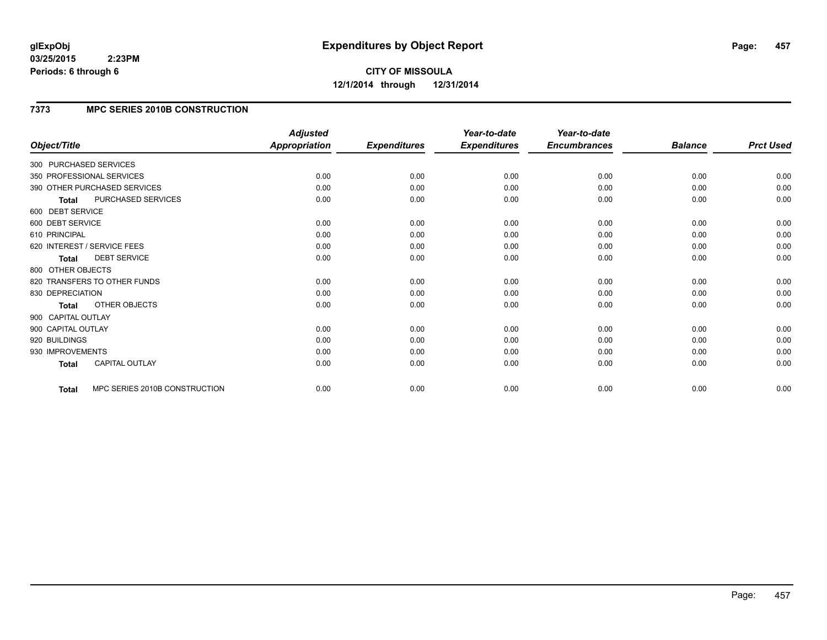**CITY OF MISSOULA 12/1/2014 through 12/31/2014**

### **7373 MPC SERIES 2010B CONSTRUCTION**

|                        |                               | <b>Adjusted</b>      |                     | Year-to-date        | Year-to-date        |                |                  |
|------------------------|-------------------------------|----------------------|---------------------|---------------------|---------------------|----------------|------------------|
| Object/Title           |                               | <b>Appropriation</b> | <b>Expenditures</b> | <b>Expenditures</b> | <b>Encumbrances</b> | <b>Balance</b> | <b>Prct Used</b> |
| 300 PURCHASED SERVICES |                               |                      |                     |                     |                     |                |                  |
|                        | 350 PROFESSIONAL SERVICES     | 0.00                 | 0.00                | 0.00                | 0.00                | 0.00           | 0.00             |
|                        | 390 OTHER PURCHASED SERVICES  | 0.00                 | 0.00                | 0.00                | 0.00                | 0.00           | 0.00             |
| <b>Total</b>           | PURCHASED SERVICES            | 0.00                 | 0.00                | 0.00                | 0.00                | 0.00           | 0.00             |
| 600 DEBT SERVICE       |                               |                      |                     |                     |                     |                |                  |
| 600 DEBT SERVICE       |                               | 0.00                 | 0.00                | 0.00                | 0.00                | 0.00           | 0.00             |
| 610 PRINCIPAL          |                               | 0.00                 | 0.00                | 0.00                | 0.00                | 0.00           | 0.00             |
|                        | 620 INTEREST / SERVICE FEES   | 0.00                 | 0.00                | 0.00                | 0.00                | 0.00           | 0.00             |
| <b>Total</b>           | <b>DEBT SERVICE</b>           | 0.00                 | 0.00                | 0.00                | 0.00                | 0.00           | 0.00             |
| 800 OTHER OBJECTS      |                               |                      |                     |                     |                     |                |                  |
|                        | 820 TRANSFERS TO OTHER FUNDS  | 0.00                 | 0.00                | 0.00                | 0.00                | 0.00           | 0.00             |
| 830 DEPRECIATION       |                               | 0.00                 | 0.00                | 0.00                | 0.00                | 0.00           | 0.00             |
| <b>Total</b>           | OTHER OBJECTS                 | 0.00                 | 0.00                | 0.00                | 0.00                | 0.00           | 0.00             |
| 900 CAPITAL OUTLAY     |                               |                      |                     |                     |                     |                |                  |
| 900 CAPITAL OUTLAY     |                               | 0.00                 | 0.00                | 0.00                | 0.00                | 0.00           | 0.00             |
| 920 BUILDINGS          |                               | 0.00                 | 0.00                | 0.00                | 0.00                | 0.00           | 0.00             |
| 930 IMPROVEMENTS       |                               | 0.00                 | 0.00                | 0.00                | 0.00                | 0.00           | 0.00             |
| <b>Total</b>           | <b>CAPITAL OUTLAY</b>         | 0.00                 | 0.00                | 0.00                | 0.00                | 0.00           | 0.00             |
| <b>Total</b>           | MPC SERIES 2010B CONSTRUCTION | 0.00                 | 0.00                | 0.00                | 0.00                | 0.00           | 0.00             |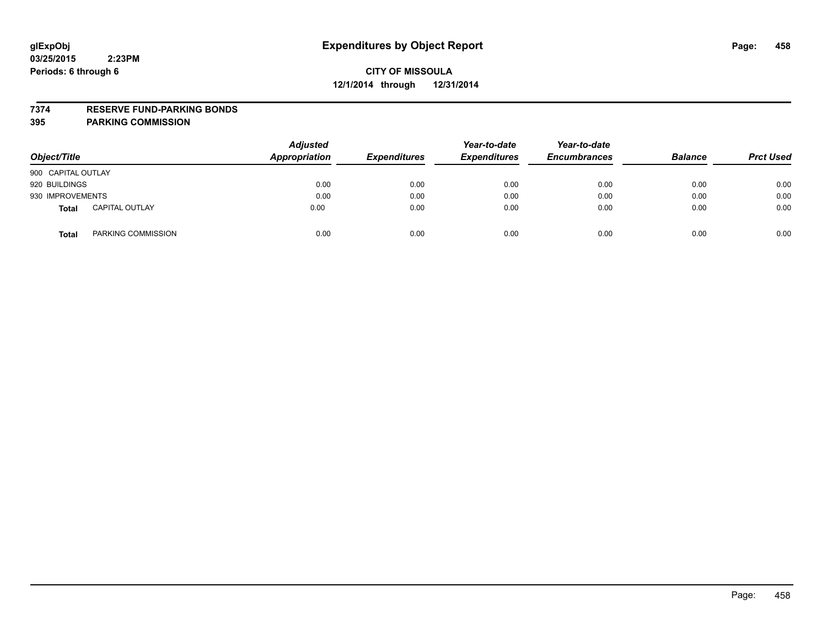### **7374 RESERVE FUND-PARKING BONDS**

| Object/Title       |                       | <b>Adjusted</b><br><b>Appropriation</b> | <b>Expenditures</b> | Year-to-date<br><b>Expenditures</b> | Year-to-date<br><b>Encumbrances</b> | <b>Balance</b> | <b>Prct Used</b> |
|--------------------|-----------------------|-----------------------------------------|---------------------|-------------------------------------|-------------------------------------|----------------|------------------|
| 900 CAPITAL OUTLAY |                       |                                         |                     |                                     |                                     |                |                  |
| 920 BUILDINGS      |                       | 0.00                                    | 0.00                | 0.00                                | 0.00                                | 0.00           | 0.00             |
| 930 IMPROVEMENTS   |                       | 0.00                                    | 0.00                | 0.00                                | 0.00                                | 0.00           | 0.00             |
| <b>Total</b>       | <b>CAPITAL OUTLAY</b> | 0.00                                    | 0.00                | 0.00                                | 0.00                                | 0.00           | 0.00             |
| <b>Total</b>       | PARKING COMMISSION    | 0.00                                    | 0.00                | 0.00                                | 0.00                                | 0.00           | 0.00             |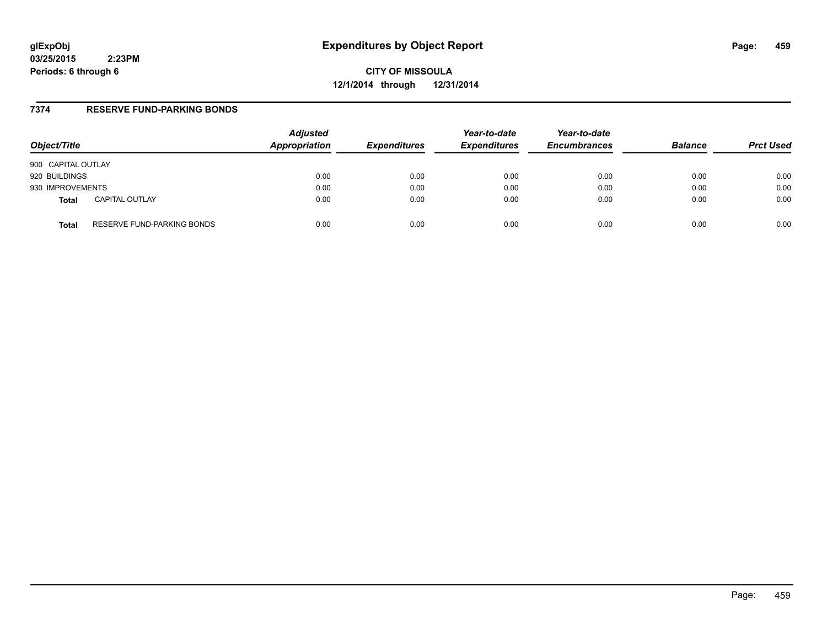# **glExpObj Expenditures by Object Report Page: 459**

**03/25/2015 2:23PM Periods: 6 through 6**

**CITY OF MISSOULA 12/1/2014 through 12/31/2014**

### **7374 RESERVE FUND-PARKING BONDS**

| Object/Title                          | <b>Adjusted</b><br>Appropriation | <b>Expenditures</b> | Year-to-date<br><b>Expenditures</b> | Year-to-date<br><b>Encumbrances</b> | <b>Balance</b> | <b>Prct Used</b> |
|---------------------------------------|----------------------------------|---------------------|-------------------------------------|-------------------------------------|----------------|------------------|
| 900 CAPITAL OUTLAY                    |                                  |                     |                                     |                                     |                |                  |
| 920 BUILDINGS                         | 0.00                             | 0.00                | 0.00                                | 0.00                                | 0.00           | 0.00             |
| 930 IMPROVEMENTS                      | 0.00                             | 0.00                | 0.00                                | 0.00                                | 0.00           | 0.00             |
| <b>CAPITAL OUTLAY</b><br><b>Total</b> | 0.00                             | 0.00                | 0.00                                | 0.00                                | 0.00           | 0.00             |
| RESERVE FUND-PARKING BONDS<br>Total   | 0.00                             | 0.00                | 0.00                                | 0.00                                | 0.00           | 0.00             |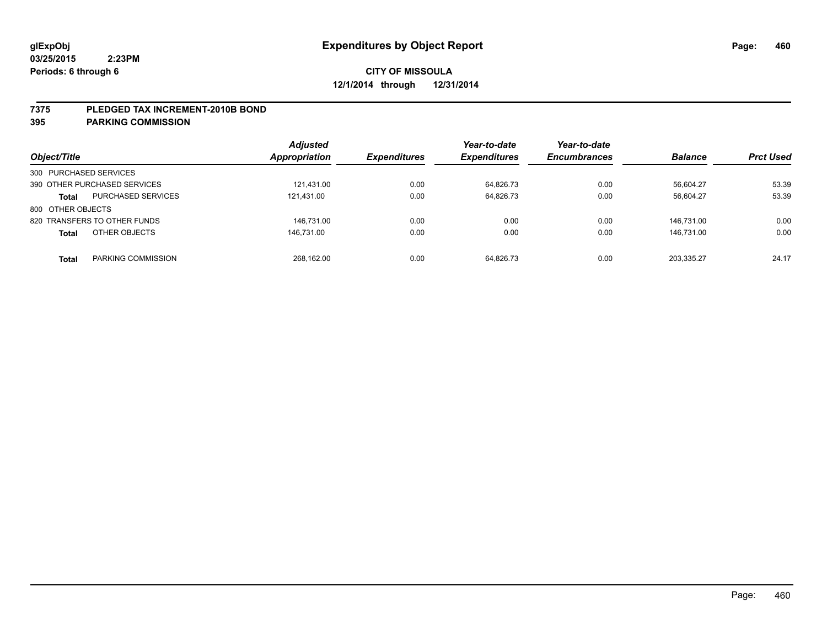### **7375 PLEDGED TAX INCREMENT-2010B BOND**

| Object/Title                              | <b>Adjusted</b><br><b>Appropriation</b> | <b>Expenditures</b> | Year-to-date<br><b>Expenditures</b> | Year-to-date<br><b>Encumbrances</b> | <b>Balance</b> | <b>Prct Used</b> |
|-------------------------------------------|-----------------------------------------|---------------------|-------------------------------------|-------------------------------------|----------------|------------------|
| 300 PURCHASED SERVICES                    |                                         |                     |                                     |                                     |                |                  |
| 390 OTHER PURCHASED SERVICES              | 121.431.00                              | 0.00                | 64.826.73                           | 0.00                                | 56.604.27      | 53.39            |
| <b>PURCHASED SERVICES</b><br><b>Total</b> | 121,431.00                              | 0.00                | 64,826.73                           | 0.00                                | 56,604.27      | 53.39            |
| 800 OTHER OBJECTS                         |                                         |                     |                                     |                                     |                |                  |
| 820 TRANSFERS TO OTHER FUNDS              | 146.731.00                              | 0.00                | 0.00                                | 0.00                                | 146.731.00     | 0.00             |
| OTHER OBJECTS<br><b>Total</b>             | 146.731.00                              | 0.00                | 0.00                                | 0.00                                | 146.731.00     | 0.00             |
| PARKING COMMISSION<br><b>Total</b>        | 268.162.00                              | 0.00                | 64.826.73                           | 0.00                                | 203.335.27     | 24.17            |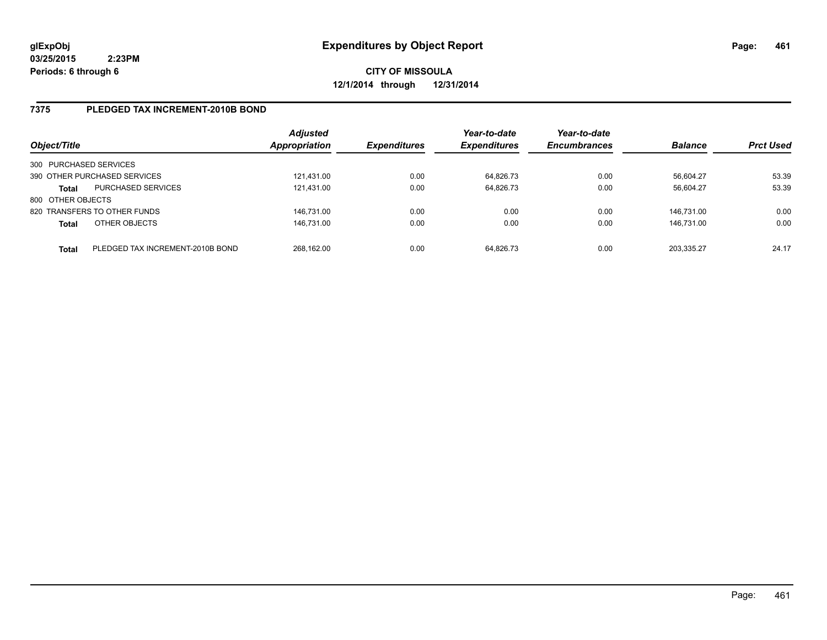# **CITY OF MISSOULA 12/1/2014 through 12/31/2014**

### **7375 PLEDGED TAX INCREMENT-2010B BOND**

| Object/Title           |                                  | <b>Adjusted</b><br><b>Appropriation</b> | <b>Expenditures</b> | Year-to-date<br><b>Expenditures</b> | Year-to-date<br><b>Encumbrances</b> | <b>Balance</b> | <b>Prct Used</b> |
|------------------------|----------------------------------|-----------------------------------------|---------------------|-------------------------------------|-------------------------------------|----------------|------------------|
| 300 PURCHASED SERVICES |                                  |                                         |                     |                                     |                                     |                |                  |
|                        | 390 OTHER PURCHASED SERVICES     | 121.431.00                              | 0.00                | 64.826.73                           | 0.00                                | 56,604.27      | 53.39            |
| <b>Total</b>           | <b>PURCHASED SERVICES</b>        | 121.431.00                              | 0.00                | 64.826.73                           | 0.00                                | 56.604.27      | 53.39            |
| 800 OTHER OBJECTS      |                                  |                                         |                     |                                     |                                     |                |                  |
|                        | 820 TRANSFERS TO OTHER FUNDS     | 146.731.00                              | 0.00                | 0.00                                | 0.00                                | 146.731.00     | 0.00             |
| <b>Total</b>           | OTHER OBJECTS                    | 146.731.00                              | 0.00                | 0.00                                | 0.00                                | 146.731.00     | 0.00             |
| <b>Total</b>           | PLEDGED TAX INCREMENT-2010B BOND | 268.162.00                              | 0.00                | 64.826.73                           | 0.00                                | 203.335.27     | 24.17            |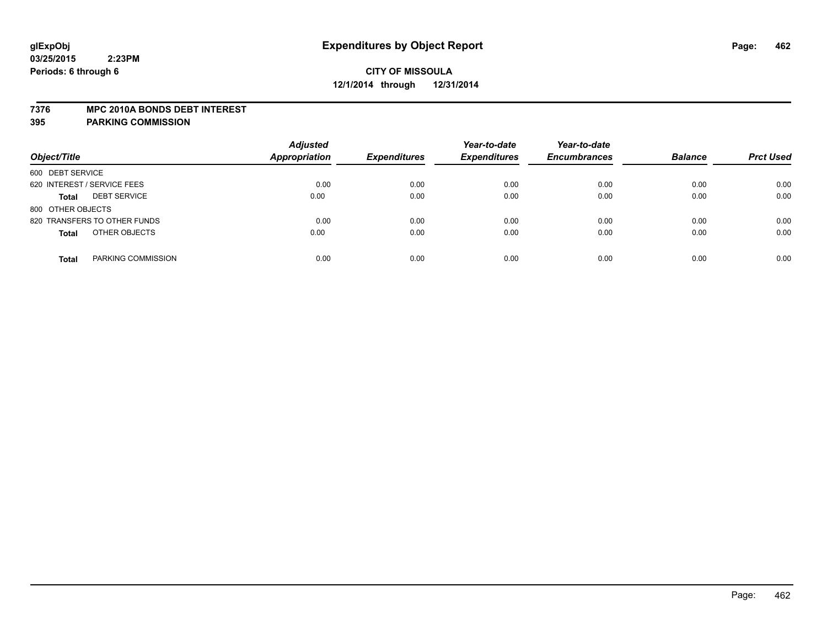#### **7376 MPC 2010A BONDS DEBT INTEREST**

| Object/Title                        | <b>Adjusted</b><br><b>Appropriation</b> | <b>Expenditures</b> | Year-to-date<br><b>Expenditures</b> | Year-to-date<br><b>Encumbrances</b> | <b>Balance</b> | <b>Prct Used</b> |
|-------------------------------------|-----------------------------------------|---------------------|-------------------------------------|-------------------------------------|----------------|------------------|
| 600 DEBT SERVICE                    |                                         |                     |                                     |                                     |                |                  |
| 620 INTEREST / SERVICE FEES         | 0.00                                    | 0.00                | 0.00                                | 0.00                                | 0.00           | 0.00             |
| <b>DEBT SERVICE</b><br><b>Total</b> | 0.00                                    | 0.00                | 0.00                                | 0.00                                | 0.00           | 0.00             |
| 800 OTHER OBJECTS                   |                                         |                     |                                     |                                     |                |                  |
| 820 TRANSFERS TO OTHER FUNDS        | 0.00                                    | 0.00                | 0.00                                | 0.00                                | 0.00           | 0.00             |
| OTHER OBJECTS<br><b>Total</b>       | 0.00                                    | 0.00                | 0.00                                | 0.00                                | 0.00           | 0.00             |
| PARKING COMMISSION<br><b>Total</b>  | 0.00                                    | 0.00                | 0.00                                | 0.00                                | 0.00           | 0.00             |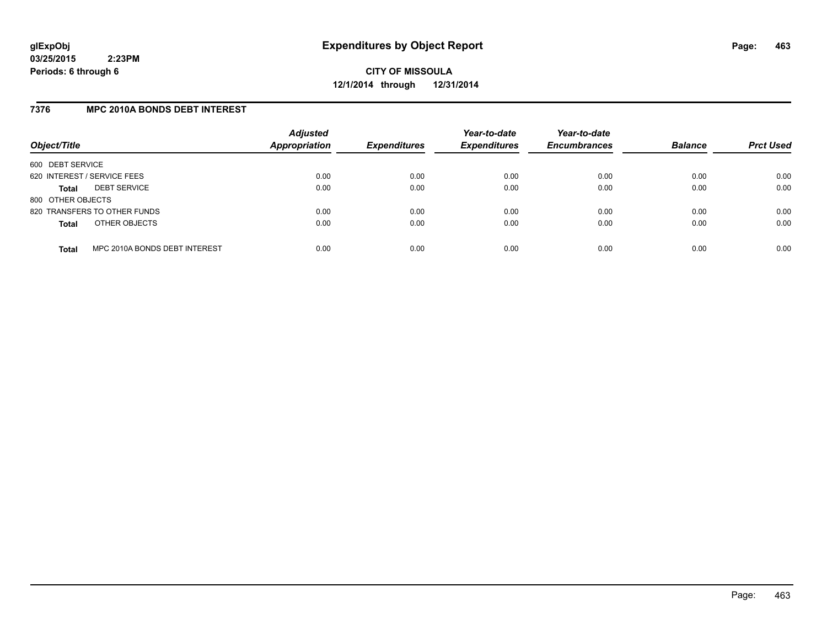**CITY OF MISSOULA 12/1/2014 through 12/31/2014**

### **7376 MPC 2010A BONDS DEBT INTEREST**

| Object/Title                |                               | <b>Adjusted</b><br>Appropriation | <b>Expenditures</b> | Year-to-date<br><b>Expenditures</b> | Year-to-date<br><b>Encumbrances</b> | <b>Balance</b> | <b>Prct Used</b> |
|-----------------------------|-------------------------------|----------------------------------|---------------------|-------------------------------------|-------------------------------------|----------------|------------------|
| 600 DEBT SERVICE            |                               |                                  |                     |                                     |                                     |                |                  |
| 620 INTEREST / SERVICE FEES |                               | 0.00                             | 0.00                | 0.00                                | 0.00                                | 0.00           | 0.00             |
| Total                       | <b>DEBT SERVICE</b>           | 0.00                             | 0.00                | 0.00                                | 0.00                                | 0.00           | 0.00             |
| 800 OTHER OBJECTS           |                               |                                  |                     |                                     |                                     |                |                  |
|                             | 820 TRANSFERS TO OTHER FUNDS  | 0.00                             | 0.00                | 0.00                                | 0.00                                | 0.00           | 0.00             |
| <b>Total</b>                | OTHER OBJECTS                 | 0.00                             | 0.00                | 0.00                                | 0.00                                | 0.00           | 0.00             |
| <b>Total</b>                | MPC 2010A BONDS DEBT INTEREST | 0.00                             | 0.00                | 0.00                                | 0.00                                | 0.00           | 0.00             |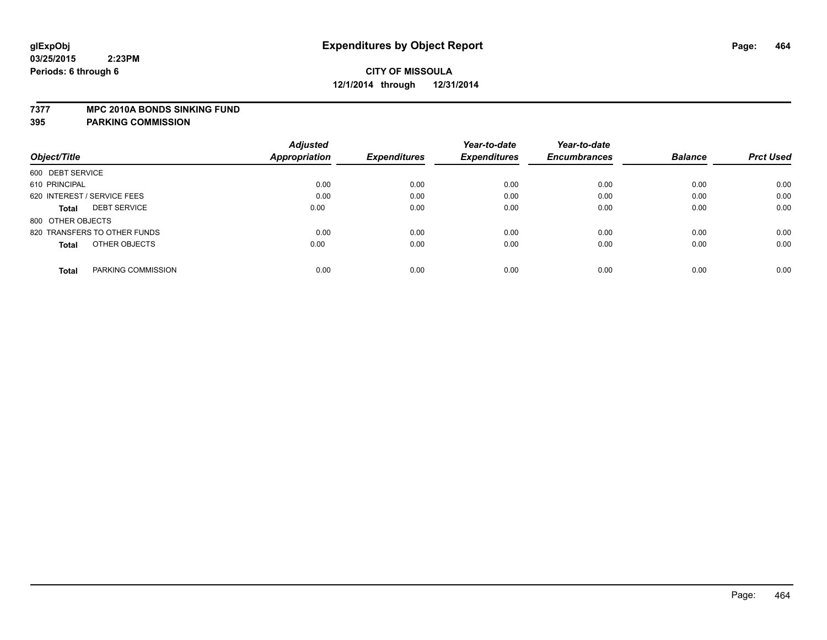### **7377 MPC 2010A BONDS SINKING FUND**

|                                     | <b>Adjusted</b> |                     | Year-to-date        | Year-to-date        |                |                  |
|-------------------------------------|-----------------|---------------------|---------------------|---------------------|----------------|------------------|
| Object/Title                        | Appropriation   | <b>Expenditures</b> | <b>Expenditures</b> | <b>Encumbrances</b> | <b>Balance</b> | <b>Prct Used</b> |
| 600 DEBT SERVICE                    |                 |                     |                     |                     |                |                  |
| 610 PRINCIPAL                       | 0.00            | 0.00                | 0.00                | 0.00                | 0.00           | 0.00             |
| 620 INTEREST / SERVICE FEES         | 0.00            | 0.00                | 0.00                | 0.00                | 0.00           | 0.00             |
| <b>DEBT SERVICE</b><br><b>Total</b> | 0.00            | 0.00                | 0.00                | 0.00                | 0.00           | 0.00             |
| 800 OTHER OBJECTS                   |                 |                     |                     |                     |                |                  |
| 820 TRANSFERS TO OTHER FUNDS        | 0.00            | 0.00                | 0.00                | 0.00                | 0.00           | 0.00             |
| OTHER OBJECTS<br><b>Total</b>       | 0.00            | 0.00                | 0.00                | 0.00                | 0.00           | 0.00             |
| PARKING COMMISSION<br><b>Total</b>  | 0.00            | 0.00                | 0.00                | 0.00                | 0.00           | 0.00             |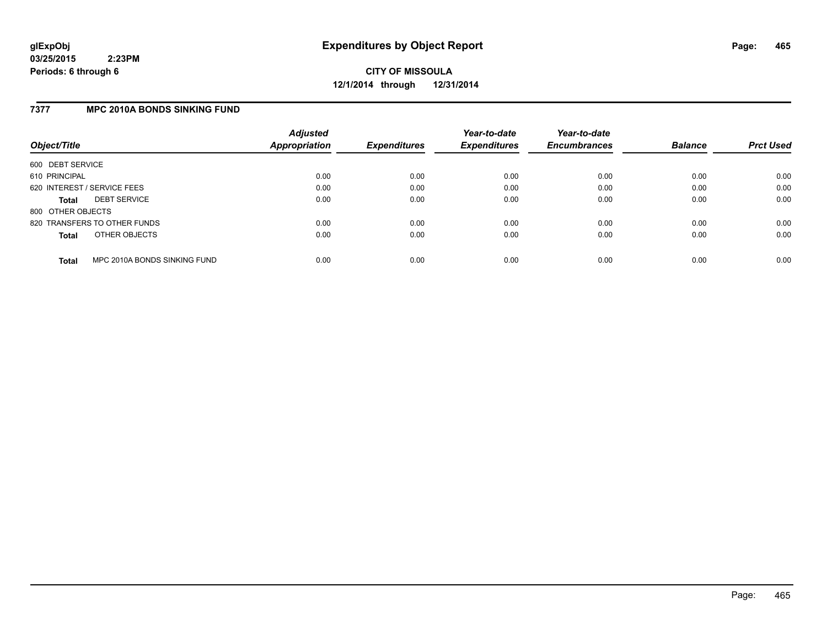**CITY OF MISSOULA 12/1/2014 through 12/31/2014**

### **7377 MPC 2010A BONDS SINKING FUND**

| Object/Title                |                              | <b>Adjusted</b><br><b>Appropriation</b> | <b>Expenditures</b> | Year-to-date<br><b>Expenditures</b> | Year-to-date<br><b>Encumbrances</b> | <b>Balance</b> | <b>Prct Used</b> |
|-----------------------------|------------------------------|-----------------------------------------|---------------------|-------------------------------------|-------------------------------------|----------------|------------------|
| 600 DEBT SERVICE            |                              |                                         |                     |                                     |                                     |                |                  |
| 610 PRINCIPAL               |                              | 0.00                                    | 0.00                | 0.00                                | 0.00                                | 0.00           | 0.00             |
| 620 INTEREST / SERVICE FEES |                              | 0.00                                    | 0.00                | 0.00                                | 0.00                                | 0.00           | 0.00             |
| <b>Total</b>                | <b>DEBT SERVICE</b>          | 0.00                                    | 0.00                | 0.00                                | 0.00                                | 0.00           | 0.00             |
| 800 OTHER OBJECTS           |                              |                                         |                     |                                     |                                     |                |                  |
|                             | 820 TRANSFERS TO OTHER FUNDS | 0.00                                    | 0.00                | 0.00                                | 0.00                                | 0.00           | 0.00             |
| <b>Total</b>                | OTHER OBJECTS                | 0.00                                    | 0.00                | 0.00                                | 0.00                                | 0.00           | 0.00             |
| <b>Total</b>                | MPC 2010A BONDS SINKING FUND | 0.00                                    | 0.00                | 0.00                                | 0.00                                | 0.00           | 0.00             |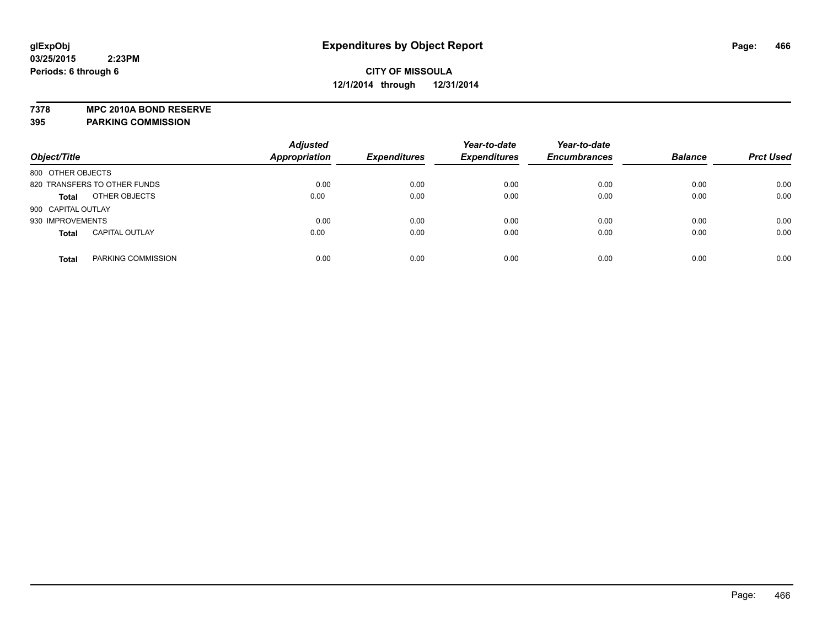**7378 MPC 2010A BOND RESERVE 395 PARKING COMMISSION**

| Object/Title                          | <b>Adjusted</b><br><b>Appropriation</b> | <b>Expenditures</b> | Year-to-date<br><b>Expenditures</b> | Year-to-date<br><b>Encumbrances</b> | <b>Balance</b> | <b>Prct Used</b> |
|---------------------------------------|-----------------------------------------|---------------------|-------------------------------------|-------------------------------------|----------------|------------------|
| 800 OTHER OBJECTS                     |                                         |                     |                                     |                                     |                |                  |
| 820 TRANSFERS TO OTHER FUNDS          | 0.00                                    | 0.00                | 0.00                                | 0.00                                | 0.00           | 0.00             |
| OTHER OBJECTS<br><b>Total</b>         | 0.00                                    | 0.00                | 0.00                                | 0.00                                | 0.00           | 0.00             |
| 900 CAPITAL OUTLAY                    |                                         |                     |                                     |                                     |                |                  |
| 930 IMPROVEMENTS                      | 0.00                                    | 0.00                | 0.00                                | 0.00                                | 0.00           | 0.00             |
| <b>CAPITAL OUTLAY</b><br><b>Total</b> | 0.00                                    | 0.00                | 0.00                                | 0.00                                | 0.00           | 0.00             |
| PARKING COMMISSION<br><b>Total</b>    | 0.00                                    | 0.00                | 0.00                                | 0.00                                | 0.00           | 0.00             |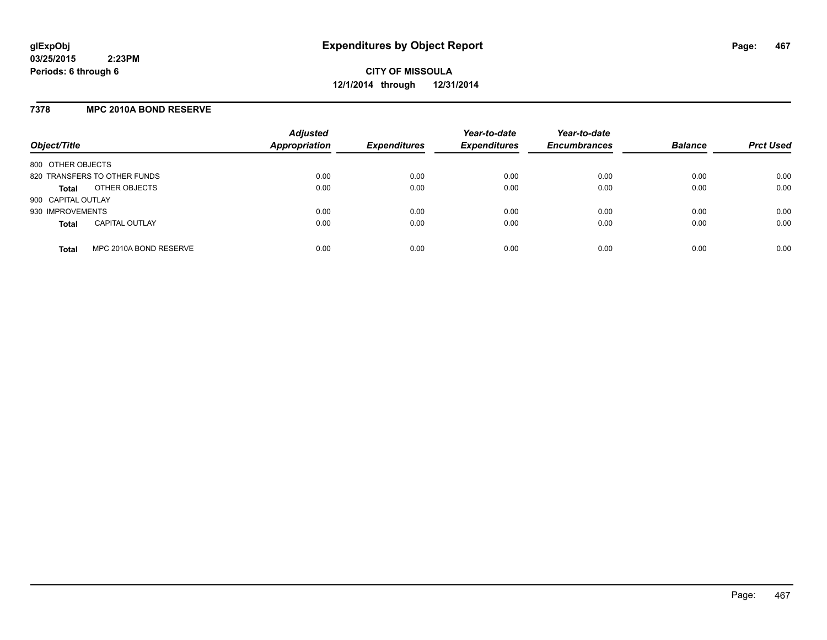### **7378 MPC 2010A BOND RESERVE**

| Object/Title       |                              | <b>Adjusted</b><br>Appropriation | <b>Expenditures</b> | Year-to-date<br><b>Expenditures</b> | Year-to-date<br><b>Encumbrances</b> | <b>Balance</b> | <b>Prct Used</b> |
|--------------------|------------------------------|----------------------------------|---------------------|-------------------------------------|-------------------------------------|----------------|------------------|
| 800 OTHER OBJECTS  |                              |                                  |                     |                                     |                                     |                |                  |
|                    | 820 TRANSFERS TO OTHER FUNDS | 0.00                             | 0.00                | 0.00                                | 0.00                                | 0.00           | 0.00             |
| <b>Total</b>       | OTHER OBJECTS                | 0.00                             | 0.00                | 0.00                                | 0.00                                | 0.00           | 0.00             |
| 900 CAPITAL OUTLAY |                              |                                  |                     |                                     |                                     |                |                  |
| 930 IMPROVEMENTS   |                              | 0.00                             | 0.00                | 0.00                                | 0.00                                | 0.00           | 0.00             |
| <b>Total</b>       | <b>CAPITAL OUTLAY</b>        | 0.00                             | 0.00                | 0.00                                | 0.00                                | 0.00           | 0.00             |
| <b>Total</b>       | MPC 2010A BOND RESERVE       | 0.00                             | 0.00                | 0.00                                | 0.00                                | 0.00           | 0.00             |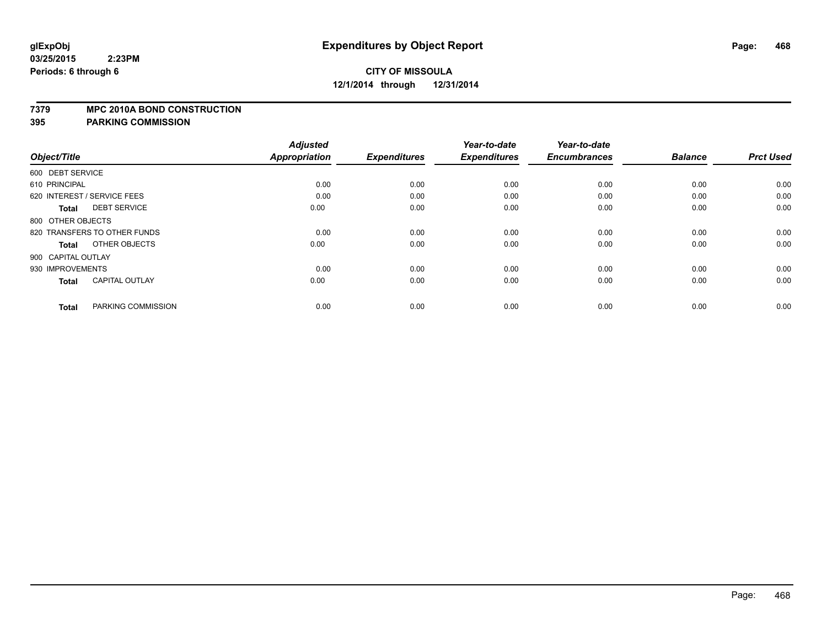#### **7379 MPC 2010A BOND CONSTRUCTION**

| Object/Title                          | <b>Adjusted</b><br><b>Appropriation</b> | <b>Expenditures</b> | Year-to-date<br><b>Expenditures</b> | Year-to-date<br><b>Encumbrances</b> | <b>Balance</b> | <b>Prct Used</b> |
|---------------------------------------|-----------------------------------------|---------------------|-------------------------------------|-------------------------------------|----------------|------------------|
|                                       |                                         |                     |                                     |                                     |                |                  |
| 600 DEBT SERVICE                      |                                         |                     |                                     |                                     |                |                  |
| 610 PRINCIPAL                         | 0.00                                    | 0.00                | 0.00                                | 0.00                                | 0.00           | 0.00             |
| 620 INTEREST / SERVICE FEES           | 0.00                                    | 0.00                | 0.00                                | 0.00                                | 0.00           | 0.00             |
| <b>DEBT SERVICE</b><br><b>Total</b>   | 0.00                                    | 0.00                | 0.00                                | 0.00                                | 0.00           | 0.00             |
| 800 OTHER OBJECTS                     |                                         |                     |                                     |                                     |                |                  |
| 820 TRANSFERS TO OTHER FUNDS          | 0.00                                    | 0.00                | 0.00                                | 0.00                                | 0.00           | 0.00             |
| OTHER OBJECTS<br><b>Total</b>         | 0.00                                    | 0.00                | 0.00                                | 0.00                                | 0.00           | 0.00             |
| 900 CAPITAL OUTLAY                    |                                         |                     |                                     |                                     |                |                  |
| 930 IMPROVEMENTS                      | 0.00                                    | 0.00                | 0.00                                | 0.00                                | 0.00           | 0.00             |
| <b>CAPITAL OUTLAY</b><br><b>Total</b> | 0.00                                    | 0.00                | 0.00                                | 0.00                                | 0.00           | 0.00             |
|                                       |                                         |                     |                                     |                                     |                |                  |
| PARKING COMMISSION<br><b>Total</b>    | 0.00                                    | 0.00                | 0.00                                | 0.00                                | 0.00           | 0.00             |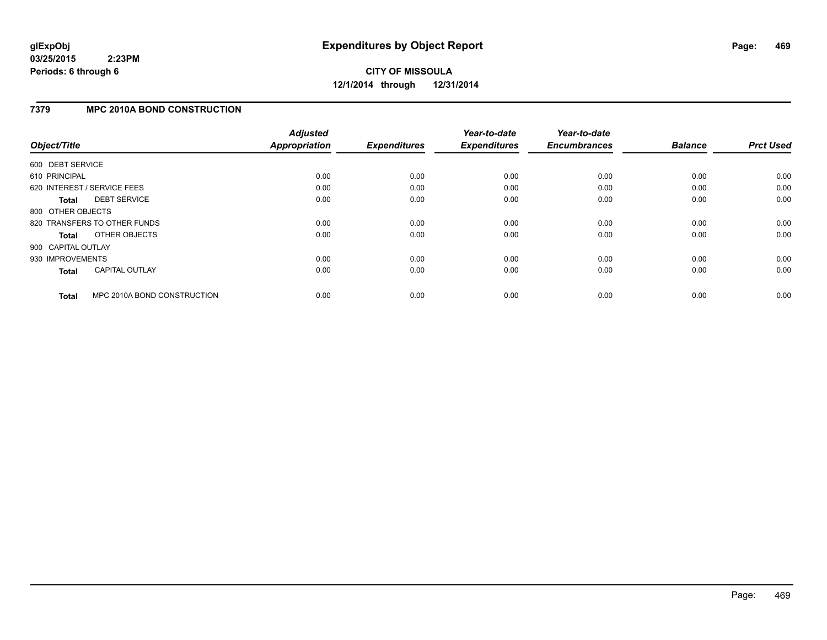# **CITY OF MISSOULA 12/1/2014 through 12/31/2014**

### **7379 MPC 2010A BOND CONSTRUCTION**

| Object/Title       |                              | <b>Adjusted</b><br>Appropriation | <b>Expenditures</b> | Year-to-date<br><b>Expenditures</b> | Year-to-date<br><b>Encumbrances</b> | <b>Balance</b> | <b>Prct Used</b> |
|--------------------|------------------------------|----------------------------------|---------------------|-------------------------------------|-------------------------------------|----------------|------------------|
| 600 DEBT SERVICE   |                              |                                  |                     |                                     |                                     |                |                  |
| 610 PRINCIPAL      |                              | 0.00                             | 0.00                | 0.00                                | 0.00                                | 0.00           | 0.00             |
|                    | 620 INTEREST / SERVICE FEES  | 0.00                             | 0.00                | 0.00                                | 0.00                                | 0.00           | 0.00             |
| Total              | <b>DEBT SERVICE</b>          | 0.00                             | 0.00                | 0.00                                | 0.00                                | 0.00           | 0.00             |
| 800 OTHER OBJECTS  |                              |                                  |                     |                                     |                                     |                |                  |
|                    | 820 TRANSFERS TO OTHER FUNDS | 0.00                             | 0.00                | 0.00                                | 0.00                                | 0.00           | 0.00             |
| Total              | OTHER OBJECTS                | 0.00                             | 0.00                | 0.00                                | 0.00                                | 0.00           | 0.00             |
| 900 CAPITAL OUTLAY |                              |                                  |                     |                                     |                                     |                |                  |
| 930 IMPROVEMENTS   |                              | 0.00                             | 0.00                | 0.00                                | 0.00                                | 0.00           | 0.00             |
| <b>Total</b>       | <b>CAPITAL OUTLAY</b>        | 0.00                             | 0.00                | 0.00                                | 0.00                                | 0.00           | 0.00             |
| <b>Total</b>       | MPC 2010A BOND CONSTRUCTION  | 0.00                             | 0.00                | 0.00                                | 0.00                                | 0.00           | 0.00             |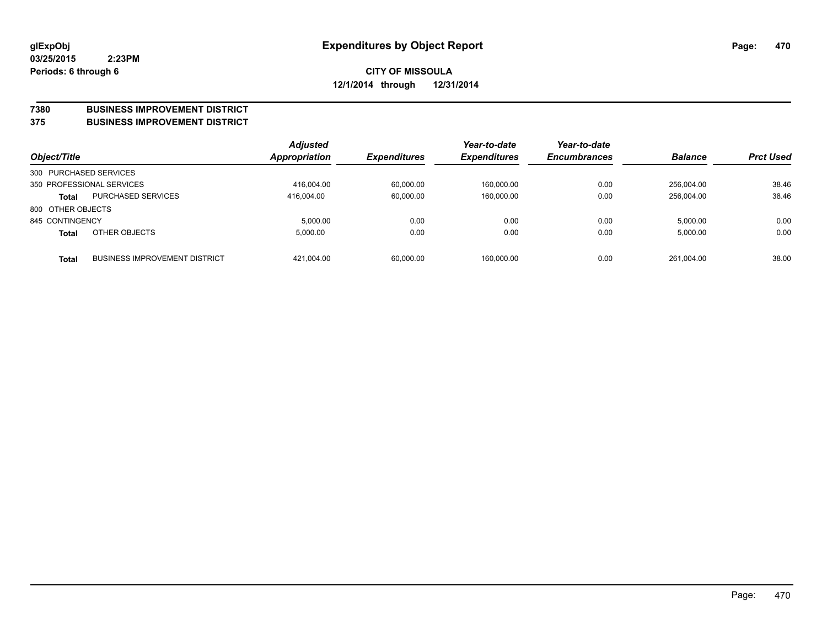#### **7380 BUSINESS IMPROVEMENT DISTRICT**

**375 BUSINESS IMPROVEMENT DISTRICT**

| Object/Title           |                                      | <b>Adjusted</b><br><b>Appropriation</b> | <b>Expenditures</b> | Year-to-date<br><b>Expenditures</b> | Year-to-date<br><b>Encumbrances</b> | <b>Balance</b> | <b>Prct Used</b> |
|------------------------|--------------------------------------|-----------------------------------------|---------------------|-------------------------------------|-------------------------------------|----------------|------------------|
| 300 PURCHASED SERVICES |                                      |                                         |                     |                                     |                                     |                |                  |
|                        | 350 PROFESSIONAL SERVICES            | 416.004.00                              | 60.000.00           | 160.000.00                          | 0.00                                | 256.004.00     | 38.46            |
| <b>Total</b>           | <b>PURCHASED SERVICES</b>            | 416.004.00                              | 60,000.00           | 160,000.00                          | 0.00                                | 256.004.00     | 38.46            |
| 800 OTHER OBJECTS      |                                      |                                         |                     |                                     |                                     |                |                  |
| 845 CONTINGENCY        |                                      | 5.000.00                                | 0.00                | 0.00                                | 0.00                                | 5.000.00       | 0.00             |
| <b>Total</b>           | OTHER OBJECTS                        | 5.000.00                                | 0.00                | 0.00                                | 0.00                                | 5,000.00       | 0.00             |
| <b>Total</b>           | <b>BUSINESS IMPROVEMENT DISTRICT</b> | 421.004.00                              | 60,000.00           | 160,000.00                          | 0.00                                | 261.004.00     | 38.00            |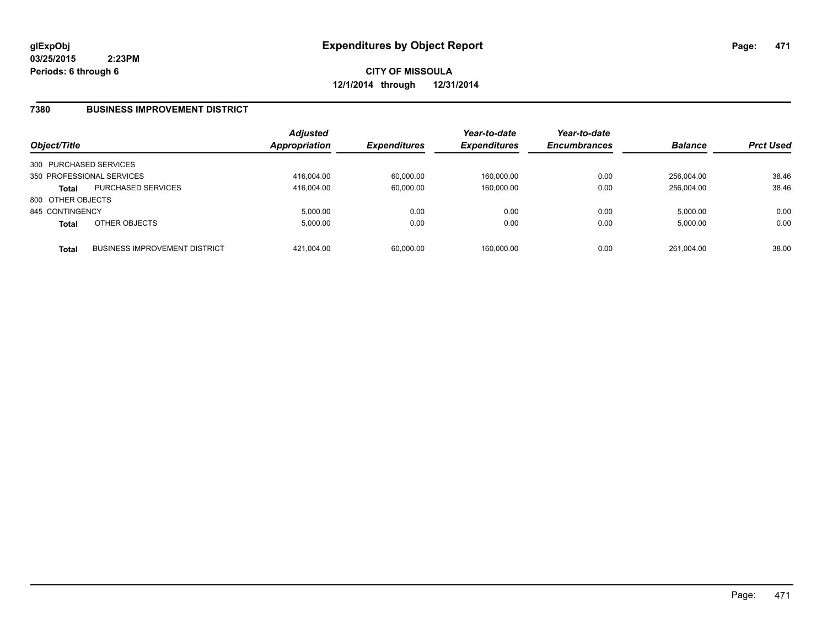**CITY OF MISSOULA 12/1/2014 through 12/31/2014**

### **7380 BUSINESS IMPROVEMENT DISTRICT**

| Object/Title           |                                      | <b>Adjusted</b><br>Appropriation | <b>Expenditures</b> | Year-to-date<br><b>Expenditures</b> | Year-to-date<br><b>Encumbrances</b> | <b>Balance</b> | <b>Prct Used</b> |
|------------------------|--------------------------------------|----------------------------------|---------------------|-------------------------------------|-------------------------------------|----------------|------------------|
| 300 PURCHASED SERVICES |                                      |                                  |                     |                                     |                                     |                |                  |
|                        | 350 PROFESSIONAL SERVICES            | 416,004.00                       | 60,000.00           | 160,000.00                          | 0.00                                | 256.004.00     | 38.46            |
| <b>Total</b>           | <b>PURCHASED SERVICES</b>            | 416.004.00                       | 60,000.00           | 160,000.00                          | 0.00                                | 256.004.00     | 38.46            |
| 800 OTHER OBJECTS      |                                      |                                  |                     |                                     |                                     |                |                  |
| 845 CONTINGENCY        |                                      | 5.000.00                         | 0.00                | 0.00                                | 0.00                                | 5.000.00       | 0.00             |
| <b>Total</b>           | OTHER OBJECTS                        | 5.000.00                         | 0.00                | 0.00                                | 0.00                                | 5,000.00       | 0.00             |
| <b>Total</b>           | <b>BUSINESS IMPROVEMENT DISTRICT</b> | 421.004.00                       | 60,000.00           | 160,000.00                          | 0.00                                | 261.004.00     | 38.00            |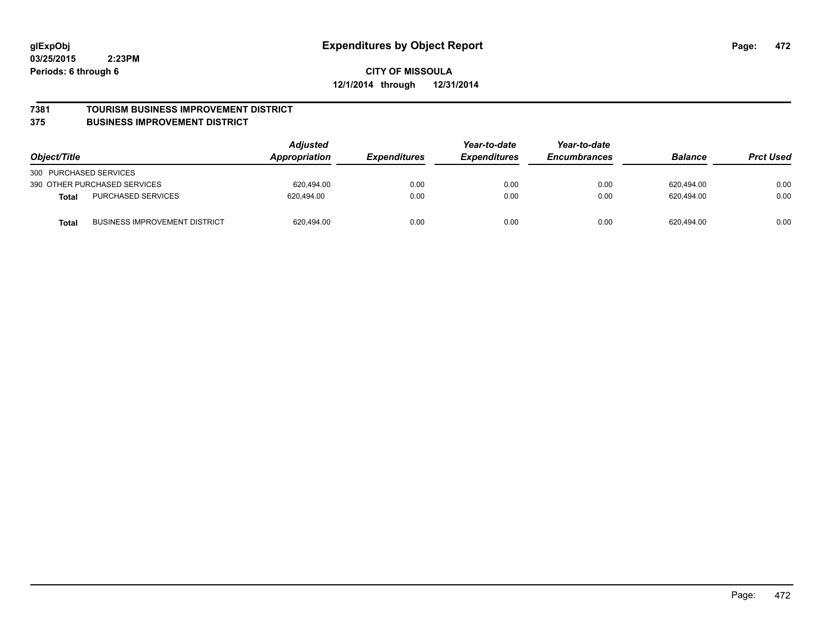#### **7381 TOURISM BUSINESS IMPROVEMENT DISTRICT**

#### **375 BUSINESS IMPROVEMENT DISTRICT**

| Object/Title                                  | <b>Adjusted</b><br>Appropriation | Year-to-date<br><b>Expenditures</b><br><i><b>Expenditures</b></i> | Year-to-date<br><b>Encumbrances</b> | <b>Balance</b> | <b>Prct Used</b> |      |
|-----------------------------------------------|----------------------------------|-------------------------------------------------------------------|-------------------------------------|----------------|------------------|------|
| 300 PURCHASED SERVICES                        |                                  |                                                                   |                                     |                |                  |      |
| 390 OTHER PURCHASED SERVICES                  | 620.494.00                       | 0.00                                                              | 0.00                                | 0.00           | 620.494.00       | 0.00 |
| PURCHASED SERVICES<br><b>Total</b>            | 620.494.00                       | 0.00                                                              | 0.00                                | 0.00           | 620.494.00       | 0.00 |
| <b>BUSINESS IMPROVEMENT DISTRICT</b><br>Total | 620,494.00                       | 0.00                                                              | 0.00                                | 0.00           | 620,494.00       | 0.00 |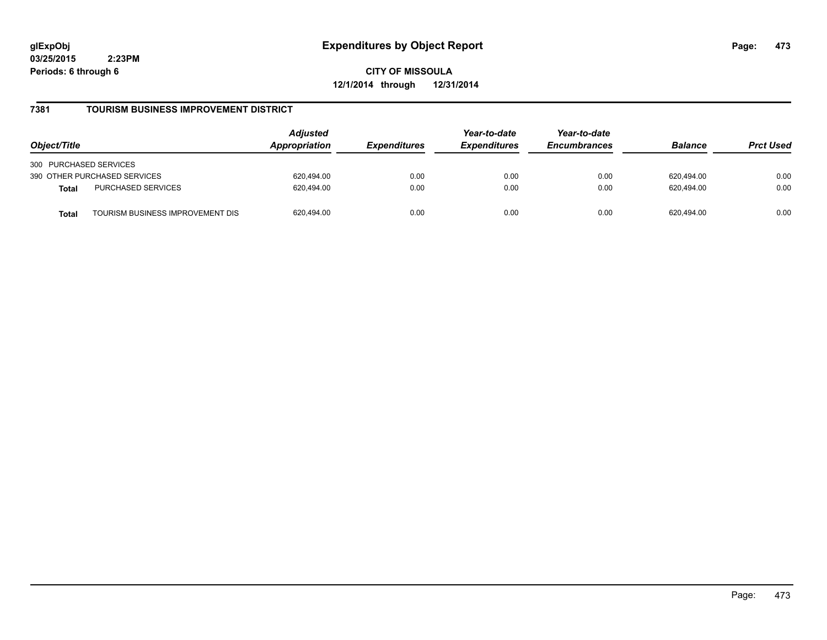**CITY OF MISSOULA 12/1/2014 through 12/31/2014**

### **7381 TOURISM BUSINESS IMPROVEMENT DISTRICT**

| Object/Title                                     | <b>Adjusted</b><br>Appropriation<br><i><b>Expenditures</b></i> | Year-to-date<br><b>Expenditures</b> | Year-to-date<br><b>Encumbrances</b> | <b>Balance</b> | <b>Prct Used</b> |      |
|--------------------------------------------------|----------------------------------------------------------------|-------------------------------------|-------------------------------------|----------------|------------------|------|
| 300 PURCHASED SERVICES                           |                                                                |                                     |                                     |                |                  |      |
| 390 OTHER PURCHASED SERVICES                     | 620.494.00                                                     | 0.00                                | 0.00                                | 0.00           | 620.494.00       | 0.00 |
| PURCHASED SERVICES<br><b>Total</b>               | 620.494.00                                                     | 0.00                                | 0.00                                | 0.00           | 620.494.00       | 0.00 |
| TOURISM BUSINESS IMPROVEMENT DIS<br><b>Total</b> | 620,494.00                                                     | 0.00                                | 0.00                                | 0.00           | 620.494.00       | 0.00 |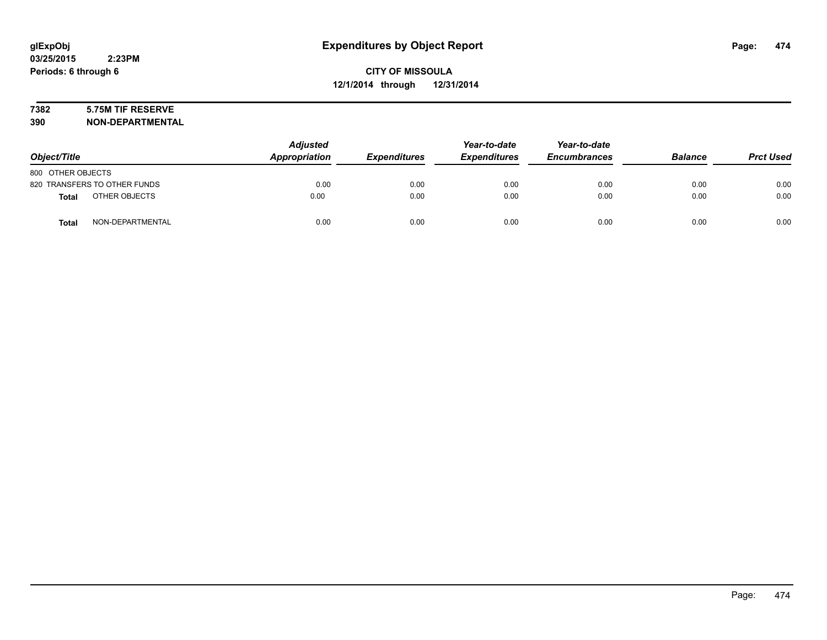# **7382 5.75M TIF RESERVE**

| Object/Title                  | <b>Adjusted</b><br><b>Appropriation</b> | <b>Expenditures</b> | Year-to-date<br><b>Expenditures</b> | Year-to-date<br><b>Encumbrances</b> | <b>Balance</b> | <b>Prct Used</b> |
|-------------------------------|-----------------------------------------|---------------------|-------------------------------------|-------------------------------------|----------------|------------------|
| 800 OTHER OBJECTS             |                                         |                     |                                     |                                     |                |                  |
| 820 TRANSFERS TO OTHER FUNDS  | 0.00                                    | 0.00                | 0.00                                | 0.00                                | 0.00           | 0.00             |
| OTHER OBJECTS<br><b>Total</b> | 0.00                                    | 0.00                | 0.00                                | 0.00                                | 0.00           | 0.00             |
| NON-DEPARTMENTAL<br>Total     | 0.00                                    | 0.00                | 0.00                                | 0.00                                | 0.00           | 0.00             |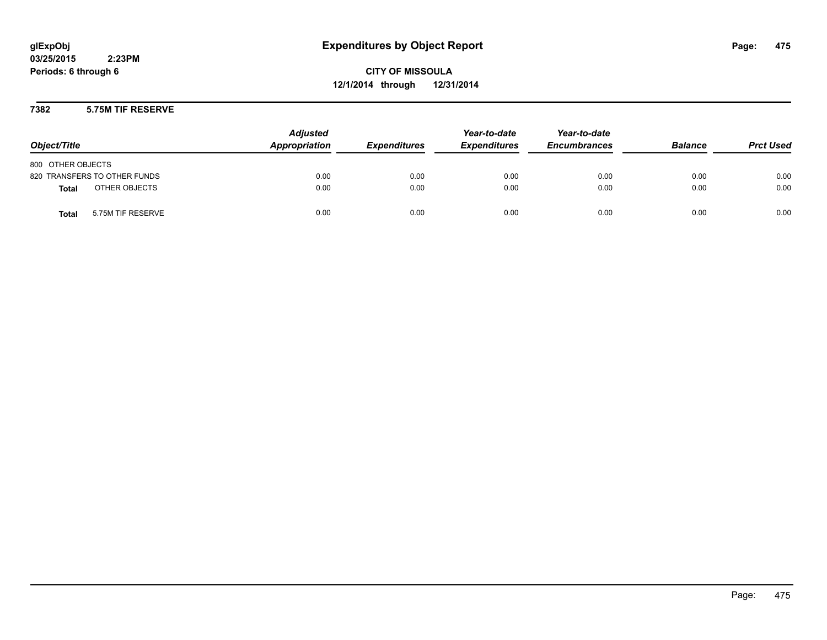**CITY OF MISSOULA 12/1/2014 through 12/31/2014**

### **7382 5.75M TIF RESERVE**

| Object/Title                      | <b>Adjusted</b><br>Appropriation | <b>Expenditures</b> | Year-to-date<br><b>Expenditures</b> | Year-to-date<br><b>Encumbrances</b> | <b>Balance</b> | <b>Prct Used</b> |
|-----------------------------------|----------------------------------|---------------------|-------------------------------------|-------------------------------------|----------------|------------------|
| 800 OTHER OBJECTS                 |                                  |                     |                                     |                                     |                |                  |
| 820 TRANSFERS TO OTHER FUNDS      | 0.00                             | 0.00                | 0.00                                | 0.00                                | 0.00           | 0.00             |
| OTHER OBJECTS<br><b>Total</b>     | 0.00                             | 0.00                | 0.00                                | 0.00                                | 0.00           | 0.00             |
| 5.75M TIF RESERVE<br><b>Total</b> | 0.00                             | 0.00                | 0.00                                | 0.00                                | 0.00           | 0.00             |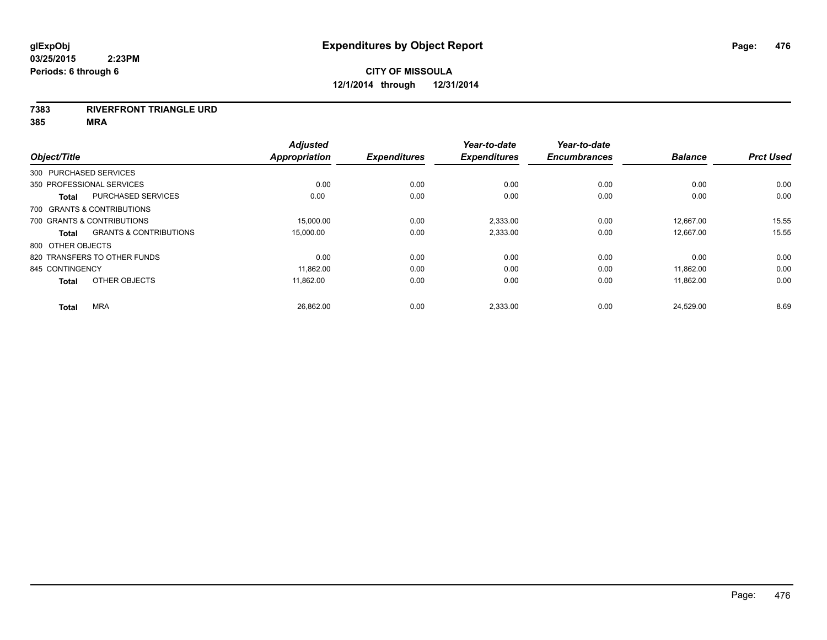#### **7383 RIVERFRONT TRIANGLE URD**

| Object/Title      |                                   | <b>Adjusted</b><br><b>Appropriation</b> | <b>Expenditures</b> | Year-to-date<br><b>Expenditures</b> | Year-to-date<br><b>Encumbrances</b> | <b>Balance</b> | <b>Prct Used</b> |
|-------------------|-----------------------------------|-----------------------------------------|---------------------|-------------------------------------|-------------------------------------|----------------|------------------|
|                   | 300 PURCHASED SERVICES            |                                         |                     |                                     |                                     |                |                  |
|                   | 350 PROFESSIONAL SERVICES         | 0.00                                    | 0.00                | 0.00                                | 0.00                                | 0.00           | 0.00             |
| <b>Total</b>      | PURCHASED SERVICES                | 0.00                                    | 0.00                | 0.00                                | 0.00                                | 0.00           | 0.00             |
|                   | 700 GRANTS & CONTRIBUTIONS        |                                         |                     |                                     |                                     |                |                  |
|                   | 700 GRANTS & CONTRIBUTIONS        | 15.000.00                               | 0.00                | 2,333.00                            | 0.00                                | 12,667.00      | 15.55            |
| <b>Total</b>      | <b>GRANTS &amp; CONTRIBUTIONS</b> | 15,000.00                               | 0.00                | 2,333.00                            | 0.00                                | 12,667.00      | 15.55            |
| 800 OTHER OBJECTS |                                   |                                         |                     |                                     |                                     |                |                  |
|                   | 820 TRANSFERS TO OTHER FUNDS      | 0.00                                    | 0.00                | 0.00                                | 0.00                                | 0.00           | 0.00             |
| 845 CONTINGENCY   |                                   | 11,862.00                               | 0.00                | 0.00                                | 0.00                                | 11,862.00      | 0.00             |
| <b>Total</b>      | OTHER OBJECTS                     | 11.862.00                               | 0.00                | 0.00                                | 0.00                                | 11,862.00      | 0.00             |
| <b>Total</b>      | <b>MRA</b>                        | 26,862.00                               | 0.00                | 2,333.00                            | 0.00                                | 24,529.00      | 8.69             |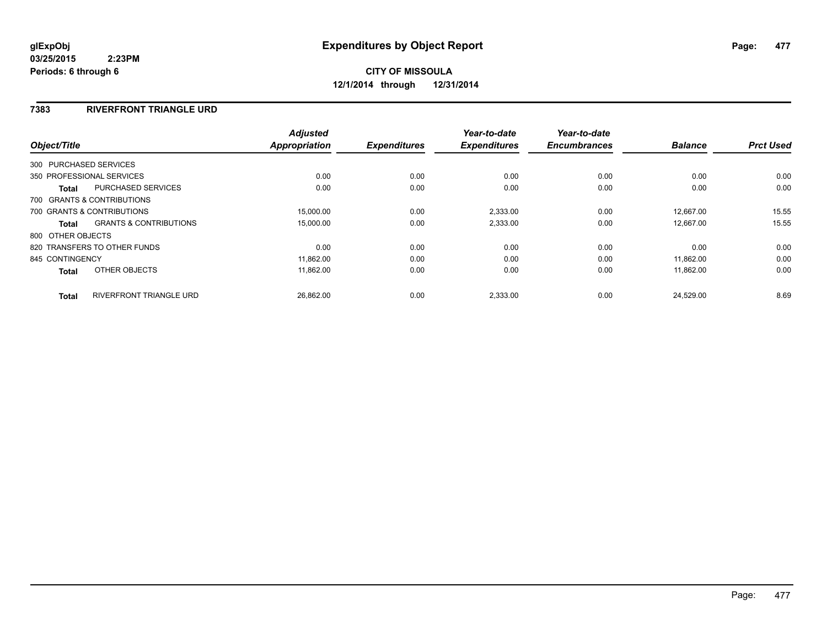# **CITY OF MISSOULA 12/1/2014 through 12/31/2014**

### **7383 RIVERFRONT TRIANGLE URD**

|                   |                                   | <b>Adjusted</b>      |                     | Year-to-date        | Year-to-date        |                |                  |
|-------------------|-----------------------------------|----------------------|---------------------|---------------------|---------------------|----------------|------------------|
| Object/Title      |                                   | <b>Appropriation</b> | <b>Expenditures</b> | <b>Expenditures</b> | <b>Encumbrances</b> | <b>Balance</b> | <b>Prct Used</b> |
|                   | 300 PURCHASED SERVICES            |                      |                     |                     |                     |                |                  |
|                   | 350 PROFESSIONAL SERVICES         | 0.00                 | 0.00                | 0.00                | 0.00                | 0.00           | 0.00             |
| Total             | PURCHASED SERVICES                | 0.00                 | 0.00                | 0.00                | 0.00                | 0.00           | 0.00             |
|                   | 700 GRANTS & CONTRIBUTIONS        |                      |                     |                     |                     |                |                  |
|                   | 700 GRANTS & CONTRIBUTIONS        | 15,000.00            | 0.00                | 2,333.00            | 0.00                | 12.667.00      | 15.55            |
| Total             | <b>GRANTS &amp; CONTRIBUTIONS</b> | 15,000.00            | 0.00                | 2,333.00            | 0.00                | 12.667.00      | 15.55            |
| 800 OTHER OBJECTS |                                   |                      |                     |                     |                     |                |                  |
|                   | 820 TRANSFERS TO OTHER FUNDS      | 0.00                 | 0.00                | 0.00                | 0.00                | 0.00           | 0.00             |
| 845 CONTINGENCY   |                                   | 11,862.00            | 0.00                | 0.00                | 0.00                | 11.862.00      | 0.00             |
| <b>Total</b>      | OTHER OBJECTS                     | 11,862.00            | 0.00                | 0.00                | 0.00                | 11,862.00      | 0.00             |
| <b>Total</b>      | <b>RIVERFRONT TRIANGLE URD</b>    | 26,862.00            | 0.00                | 2,333.00            | 0.00                | 24,529.00      | 8.69             |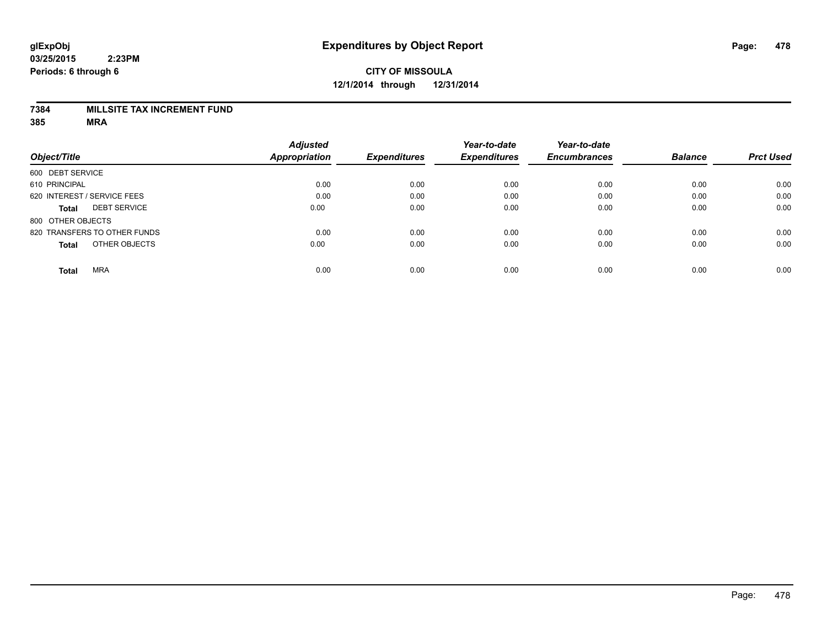### **7384 MILLSITE TAX INCREMENT FUND**

|                                     | <b>Adjusted</b> |                     | Year-to-date        | Year-to-date        |                |                  |
|-------------------------------------|-----------------|---------------------|---------------------|---------------------|----------------|------------------|
| Object/Title                        | Appropriation   | <b>Expenditures</b> | <b>Expenditures</b> | <b>Encumbrances</b> | <b>Balance</b> | <b>Prct Used</b> |
| 600 DEBT SERVICE                    |                 |                     |                     |                     |                |                  |
| 610 PRINCIPAL                       | 0.00            | 0.00                | 0.00                | 0.00                | 0.00           | 0.00             |
| 620 INTEREST / SERVICE FEES         | 0.00            | 0.00                | 0.00                | 0.00                | 0.00           | 0.00             |
| <b>DEBT SERVICE</b><br><b>Total</b> | 0.00            | 0.00                | 0.00                | 0.00                | 0.00           | 0.00             |
| 800 OTHER OBJECTS                   |                 |                     |                     |                     |                |                  |
| 820 TRANSFERS TO OTHER FUNDS        | 0.00            | 0.00                | 0.00                | 0.00                | 0.00           | 0.00             |
| OTHER OBJECTS<br><b>Total</b>       | 0.00            | 0.00                | 0.00                | 0.00                | 0.00           | 0.00             |
| <b>MRA</b><br><b>Total</b>          | 0.00            | 0.00                | 0.00                | 0.00                | 0.00           | 0.00             |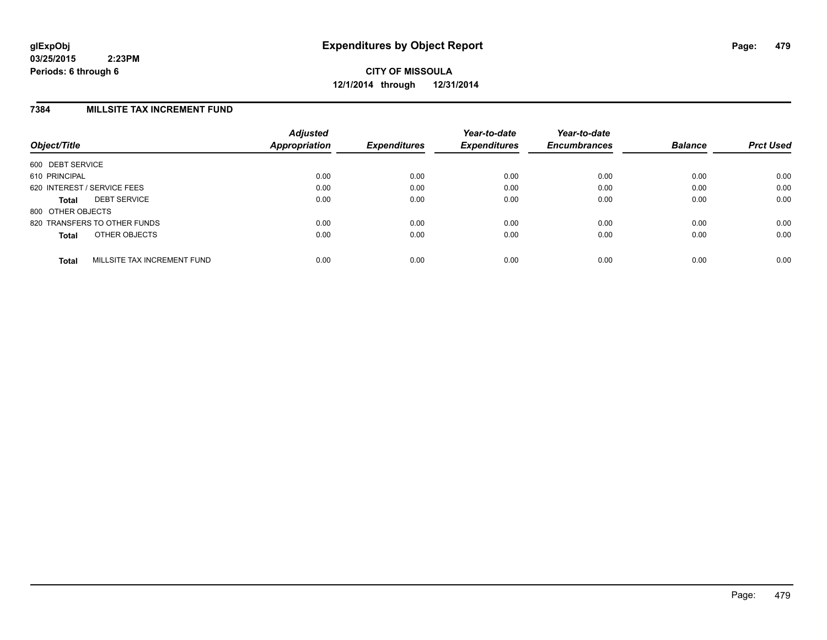### **7384 MILLSITE TAX INCREMENT FUND**

| Object/Title      |                              | <b>Adjusted</b><br>Appropriation | <b>Expenditures</b> | Year-to-date<br><b>Expenditures</b> | Year-to-date<br><b>Encumbrances</b> | <b>Balance</b> | <b>Prct Used</b> |
|-------------------|------------------------------|----------------------------------|---------------------|-------------------------------------|-------------------------------------|----------------|------------------|
| 600 DEBT SERVICE  |                              |                                  |                     |                                     |                                     |                |                  |
| 610 PRINCIPAL     |                              | 0.00                             | 0.00                | 0.00                                | 0.00                                | 0.00           | 0.00             |
|                   | 620 INTEREST / SERVICE FEES  | 0.00                             | 0.00                | 0.00                                | 0.00                                | 0.00           | 0.00             |
| Total             | <b>DEBT SERVICE</b>          | 0.00                             | 0.00                | 0.00                                | 0.00                                | 0.00           | 0.00             |
| 800 OTHER OBJECTS |                              |                                  |                     |                                     |                                     |                |                  |
|                   | 820 TRANSFERS TO OTHER FUNDS | 0.00                             | 0.00                | 0.00                                | 0.00                                | 0.00           | 0.00             |
| <b>Total</b>      | OTHER OBJECTS                | 0.00                             | 0.00                | 0.00                                | 0.00                                | 0.00           | 0.00             |
| <b>Total</b>      | MILLSITE TAX INCREMENT FUND  | 0.00                             | 0.00                | 0.00                                | 0.00                                | 0.00           | 0.00             |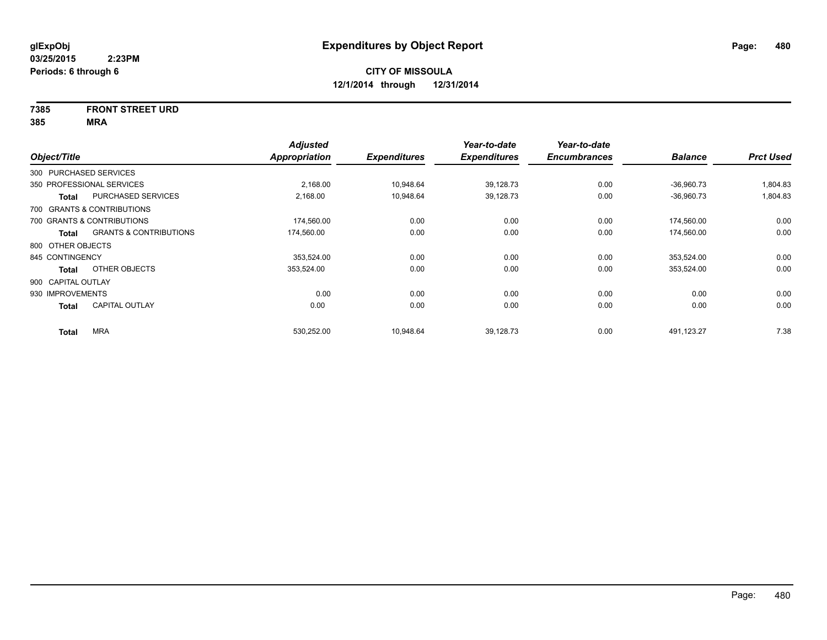# **7385 FRONT STREET URD**

| Object/Title           |                                   | <b>Adjusted</b><br>Appropriation | <b>Expenditures</b> | Year-to-date<br><b>Expenditures</b> | Year-to-date<br><b>Encumbrances</b> | <b>Balance</b> | <b>Prct Used</b> |
|------------------------|-----------------------------------|----------------------------------|---------------------|-------------------------------------|-------------------------------------|----------------|------------------|
| 300 PURCHASED SERVICES |                                   |                                  |                     |                                     |                                     |                |                  |
|                        | 350 PROFESSIONAL SERVICES         | 2,168.00                         | 10,948.64           | 39,128.73                           | 0.00                                | $-36,960.73$   | 1,804.83         |
| <b>Total</b>           | PURCHASED SERVICES                | 2,168.00                         | 10,948.64           | 39,128.73                           | 0.00                                | $-36,960.73$   | 1,804.83         |
|                        | 700 GRANTS & CONTRIBUTIONS        |                                  |                     |                                     |                                     |                |                  |
|                        | 700 GRANTS & CONTRIBUTIONS        | 174,560.00                       | 0.00                | 0.00                                | 0.00                                | 174,560.00     | 0.00             |
| <b>Total</b>           | <b>GRANTS &amp; CONTRIBUTIONS</b> | 174,560.00                       | 0.00                | 0.00                                | 0.00                                | 174,560.00     | 0.00             |
| 800 OTHER OBJECTS      |                                   |                                  |                     |                                     |                                     |                |                  |
| 845 CONTINGENCY        |                                   | 353,524.00                       | 0.00                | 0.00                                | 0.00                                | 353,524.00     | 0.00             |
| <b>Total</b>           | OTHER OBJECTS                     | 353,524.00                       | 0.00                | 0.00                                | 0.00                                | 353,524.00     | 0.00             |
| 900 CAPITAL OUTLAY     |                                   |                                  |                     |                                     |                                     |                |                  |
| 930 IMPROVEMENTS       |                                   | 0.00                             | 0.00                | 0.00                                | 0.00                                | 0.00           | 0.00             |
| <b>Total</b>           | <b>CAPITAL OUTLAY</b>             | 0.00                             | 0.00                | 0.00                                | 0.00                                | 0.00           | 0.00             |
| <b>Total</b>           | <b>MRA</b>                        | 530,252.00                       | 10,948.64           | 39,128.73                           | 0.00                                | 491,123.27     | 7.38             |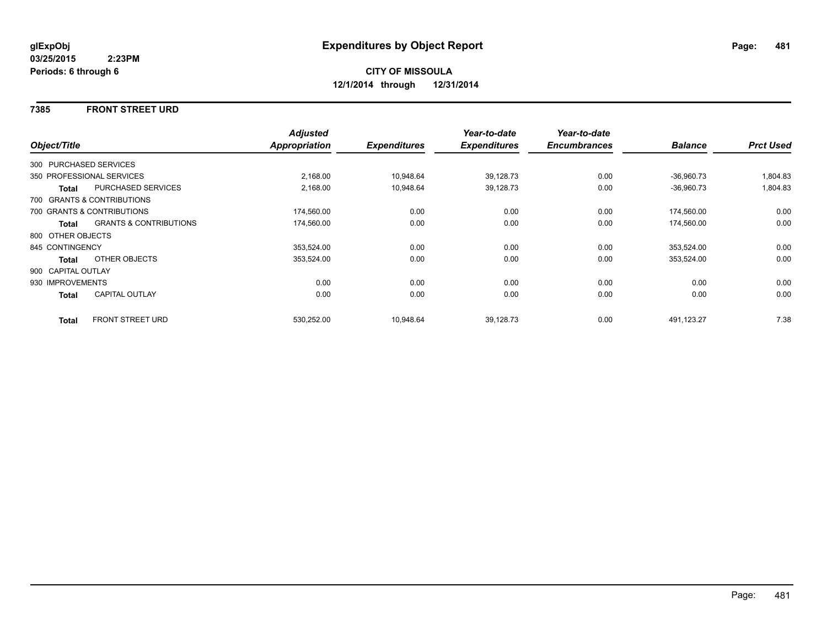### **7385 FRONT STREET URD**

|                    |                                   | <b>Adjusted</b> |                     | Year-to-date        | Year-to-date        |                |                  |
|--------------------|-----------------------------------|-----------------|---------------------|---------------------|---------------------|----------------|------------------|
| Object/Title       |                                   | Appropriation   | <b>Expenditures</b> | <b>Expenditures</b> | <b>Encumbrances</b> | <b>Balance</b> | <b>Prct Used</b> |
|                    | 300 PURCHASED SERVICES            |                 |                     |                     |                     |                |                  |
|                    | 350 PROFESSIONAL SERVICES         | 2,168.00        | 10,948.64           | 39,128.73           | 0.00                | $-36,960.73$   | 1,804.83         |
| <b>Total</b>       | PURCHASED SERVICES                | 2,168.00        | 10,948.64           | 39,128.73           | 0.00                | $-36,960.73$   | 1,804.83         |
|                    | 700 GRANTS & CONTRIBUTIONS        |                 |                     |                     |                     |                |                  |
|                    | 700 GRANTS & CONTRIBUTIONS        | 174,560.00      | 0.00                | 0.00                | 0.00                | 174,560.00     | 0.00             |
| Total              | <b>GRANTS &amp; CONTRIBUTIONS</b> | 174,560.00      | 0.00                | 0.00                | 0.00                | 174,560.00     | 0.00             |
| 800 OTHER OBJECTS  |                                   |                 |                     |                     |                     |                |                  |
| 845 CONTINGENCY    |                                   | 353,524.00      | 0.00                | 0.00                | 0.00                | 353,524.00     | 0.00             |
| Total              | OTHER OBJECTS                     | 353,524.00      | 0.00                | 0.00                | 0.00                | 353,524.00     | 0.00             |
| 900 CAPITAL OUTLAY |                                   |                 |                     |                     |                     |                |                  |
| 930 IMPROVEMENTS   |                                   | 0.00            | 0.00                | 0.00                | 0.00                | 0.00           | 0.00             |
| Total              | <b>CAPITAL OUTLAY</b>             | 0.00            | 0.00                | 0.00                | 0.00                | 0.00           | 0.00             |
| <b>Total</b>       | <b>FRONT STREET URD</b>           | 530,252.00      | 10,948.64           | 39,128.73           | 0.00                | 491,123.27     | 7.38             |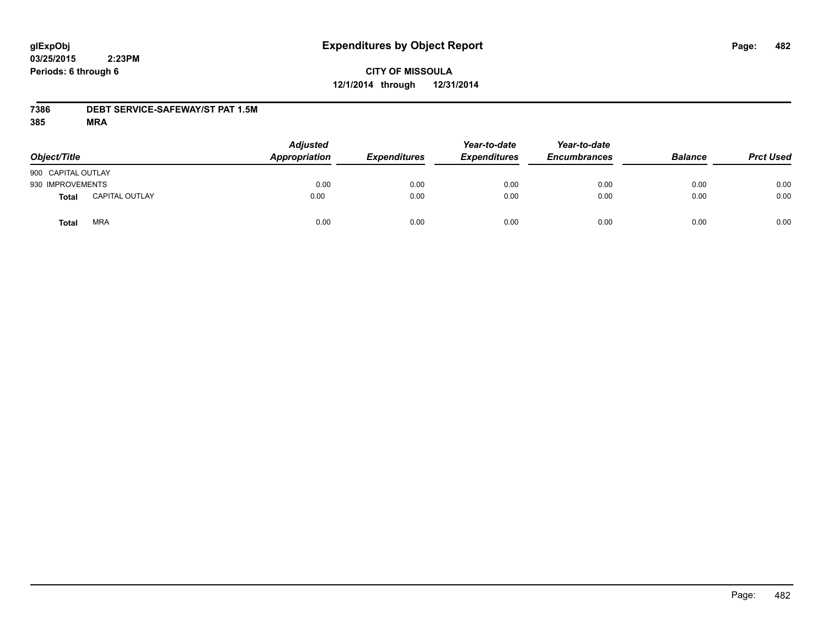### **CITY OF MISSOULA 12/1/2014 through 12/31/2014**

### **7386 DEBT SERVICE-SAFEWAY/ST PAT 1.5M**

| Object/Title       |                       | <b>Adjusted</b><br>Appropriation | <b>Expenditures</b> | Year-to-date<br><b>Expenditures</b> | Year-to-date<br><b>Encumbrances</b> | <b>Balance</b> | <b>Prct Used</b> |
|--------------------|-----------------------|----------------------------------|---------------------|-------------------------------------|-------------------------------------|----------------|------------------|
| 900 CAPITAL OUTLAY |                       |                                  |                     |                                     |                                     |                |                  |
| 930 IMPROVEMENTS   |                       | 0.00                             | 0.00                | 0.00                                | 0.00                                | 0.00           | 0.00             |
| <b>Total</b>       | <b>CAPITAL OUTLAY</b> | 0.00                             | 0.00                | 0.00                                | 0.00                                | 0.00           | 0.00             |
| Total              | <b>MRA</b>            | 0.00                             | 0.00                | 0.00                                | 0.00                                | 0.00           | 0.00             |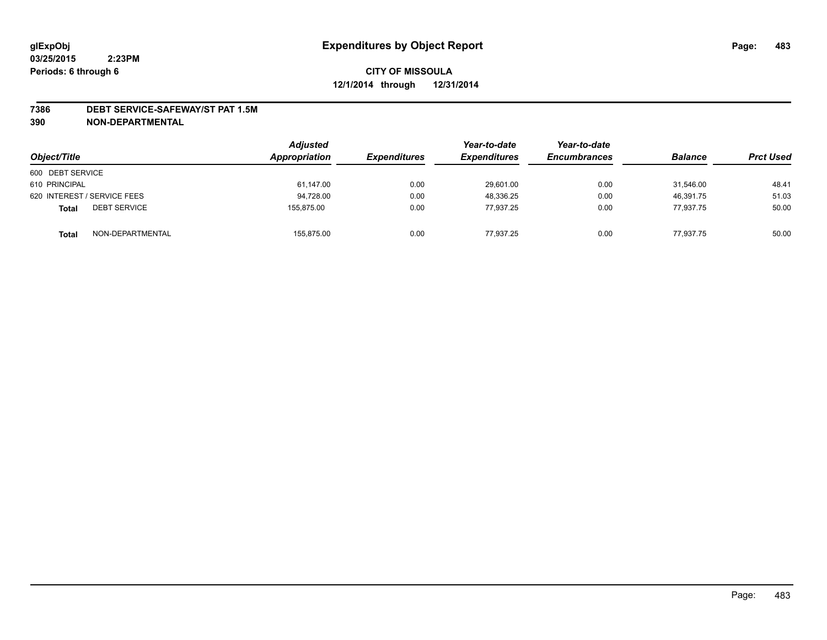#### **7386 DEBT SERVICE-SAFEWAY/ST PAT 1.5M**

| Object/Title                        | <b>Adjusted</b><br>Appropriation | <b>Expenditures</b> | Year-to-date<br><b>Expenditures</b> | Year-to-date<br><b>Encumbrances</b> | <b>Balance</b> | <b>Prct Used</b> |
|-------------------------------------|----------------------------------|---------------------|-------------------------------------|-------------------------------------|----------------|------------------|
| 600 DEBT SERVICE                    |                                  |                     |                                     |                                     |                |                  |
| 610 PRINCIPAL                       | 61,147.00                        | 0.00                | 29,601.00                           | 0.00                                | 31,546.00      | 48.41            |
| 620 INTEREST / SERVICE FEES         | 94,728.00                        | 0.00                | 48.336.25                           | 0.00                                | 46,391.75      | 51.03            |
| <b>DEBT SERVICE</b><br><b>Total</b> | 155,875.00                       | 0.00                | 77.937.25                           | 0.00                                | 77,937.75      | 50.00            |
| NON-DEPARTMENTAL<br><b>Total</b>    | 155,875.00                       | 0.00                | 77.937.25                           | 0.00                                | 77.937.75      | 50.00            |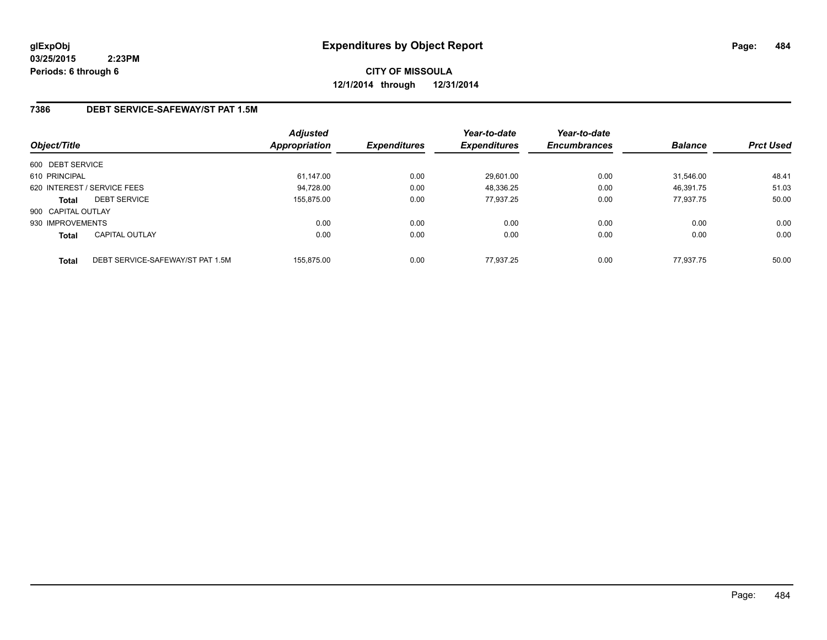**CITY OF MISSOULA 12/1/2014 through 12/31/2014**

### **7386 DEBT SERVICE-SAFEWAY/ST PAT 1.5M**

| Object/Title       |                                  | <b>Adjusted</b><br>Appropriation | <b>Expenditures</b> | Year-to-date<br><b>Expenditures</b> | Year-to-date<br><b>Encumbrances</b> | <b>Balance</b> | <b>Prct Used</b> |
|--------------------|----------------------------------|----------------------------------|---------------------|-------------------------------------|-------------------------------------|----------------|------------------|
| 600 DEBT SERVICE   |                                  |                                  |                     |                                     |                                     |                |                  |
| 610 PRINCIPAL      |                                  | 61,147.00                        | 0.00                | 29,601.00                           | 0.00                                | 31.546.00      | 48.41            |
|                    | 620 INTEREST / SERVICE FEES      | 94,728.00                        | 0.00                | 48,336.25                           | 0.00                                | 46,391.75      | 51.03            |
| <b>Total</b>       | <b>DEBT SERVICE</b>              | 155.875.00                       | 0.00                | 77.937.25                           | 0.00                                | 77.937.75      | 50.00            |
| 900 CAPITAL OUTLAY |                                  |                                  |                     |                                     |                                     |                |                  |
| 930 IMPROVEMENTS   |                                  | 0.00                             | 0.00                | 0.00                                | 0.00                                | 0.00           | 0.00             |
| <b>Total</b>       | <b>CAPITAL OUTLAY</b>            | 0.00                             | 0.00                | 0.00                                | 0.00                                | 0.00           | 0.00             |
| <b>Total</b>       | DEBT SERVICE-SAFEWAY/ST PAT 1.5M | 155.875.00                       | 0.00                | 77.937.25                           | 0.00                                | 77.937.75      | 50.00            |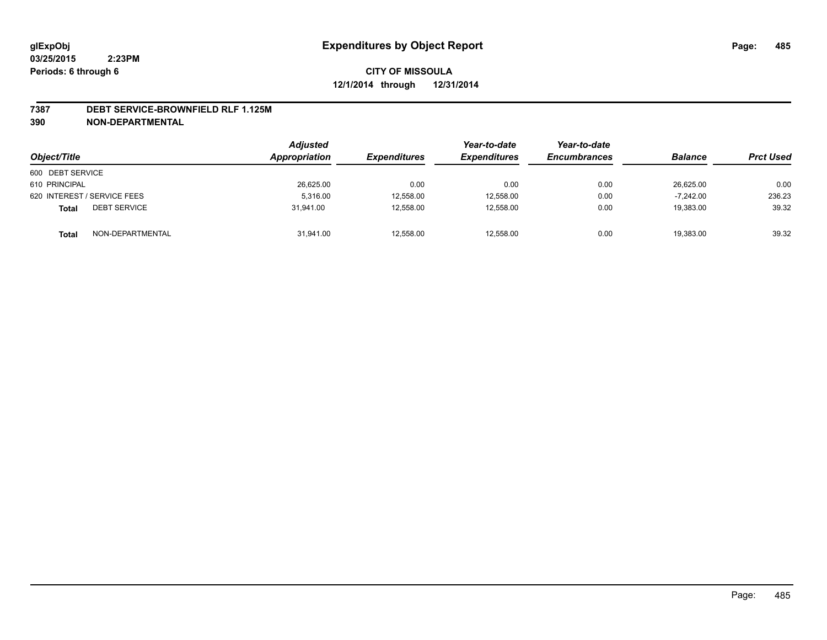#### **7387 DEBT SERVICE-BROWNFIELD RLF 1.125M**

| Object/Title                        | Adjusted<br>Appropriation | <b>Expenditures</b> | Year-to-date<br><b>Expenditures</b> | Year-to-date<br><b>Encumbrances</b> | <b>Balance</b> | <b>Prct Used</b> |
|-------------------------------------|---------------------------|---------------------|-------------------------------------|-------------------------------------|----------------|------------------|
| 600 DEBT SERVICE                    |                           |                     |                                     |                                     |                |                  |
| 610 PRINCIPAL                       | 26,625.00                 | 0.00                | 0.00                                | 0.00                                | 26,625.00      | 0.00             |
| 620 INTEREST / SERVICE FEES         | 5,316.00                  | 12,558.00           | 12,558.00                           | 0.00                                | $-7.242.00$    | 236.23           |
| <b>DEBT SERVICE</b><br><b>Total</b> | 31.941.00                 | 12,558.00           | 12.558.00                           | 0.00                                | 19,383.00      | 39.32            |
| NON-DEPARTMENTAL<br><b>Total</b>    | 31,941.00                 | 12,558.00           | 12,558.00                           | 0.00                                | 19,383.00      | 39.32            |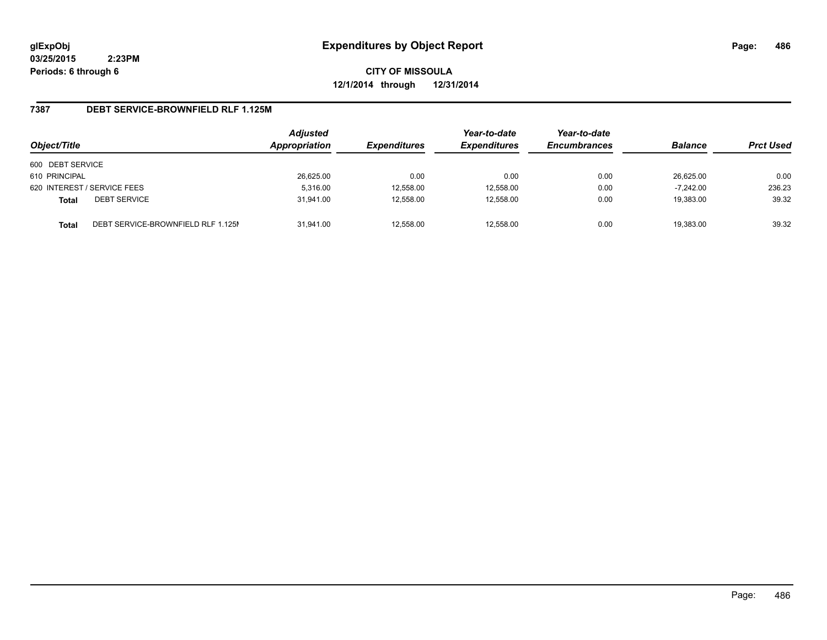**CITY OF MISSOULA 12/1/2014 through 12/31/2014**

### **7387 DEBT SERVICE-BROWNFIELD RLF 1.125M**

| Object/Title     |                                    | <b>Adjusted</b><br>Appropriation | <b>Expenditures</b> | Year-to-date<br><b>Expenditures</b> | Year-to-date<br><b>Encumbrances</b> | <b>Balance</b> | <b>Prct Used</b> |
|------------------|------------------------------------|----------------------------------|---------------------|-------------------------------------|-------------------------------------|----------------|------------------|
|                  |                                    |                                  |                     |                                     |                                     |                |                  |
| 600 DEBT SERVICE |                                    |                                  |                     |                                     |                                     |                |                  |
| 610 PRINCIPAL    |                                    | 26,625.00                        | 0.00                | 0.00                                | 0.00                                | 26.625.00      | 0.00             |
|                  | 620 INTEREST / SERVICE FEES        | 5,316.00                         | 12,558.00           | 12,558.00                           | 0.00                                | $-7.242.00$    | 236.23           |
| <b>Total</b>     | <b>DEBT SERVICE</b>                | 31.941.00                        | 12,558.00           | 12.558.00                           | 0.00                                | 19,383.00      | 39.32            |
| <b>Total</b>     | DEBT SERVICE-BROWNFIELD RLF 1.125M | 31.941.00                        | 12,558.00           | 12,558.00                           | 0.00                                | 19,383.00      | 39.32            |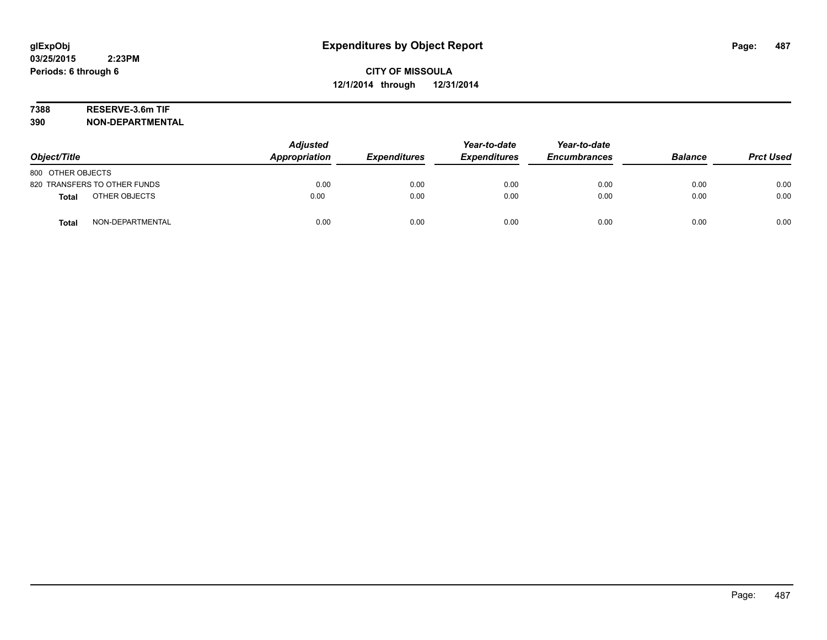# **7388 RESERVE-3.6m TIF**

| Object/Title                     | <b>Adjusted</b><br>Appropriation | <b>Expenditures</b> | Year-to-date<br><b>Expenditures</b> | Year-to-date<br><b>Encumbrances</b> | <b>Balance</b> | <b>Prct Used</b> |
|----------------------------------|----------------------------------|---------------------|-------------------------------------|-------------------------------------|----------------|------------------|
| 800 OTHER OBJECTS                |                                  |                     |                                     |                                     |                |                  |
| 820 TRANSFERS TO OTHER FUNDS     | 0.00                             | 0.00                | 0.00                                | 0.00                                | 0.00           | 0.00             |
| OTHER OBJECTS<br><b>Total</b>    | 0.00                             | 0.00                | 0.00                                | 0.00                                | 0.00           | 0.00             |
| NON-DEPARTMENTAL<br><b>Total</b> | 0.00                             | 0.00                | 0.00                                | 0.00                                | 0.00           | 0.00             |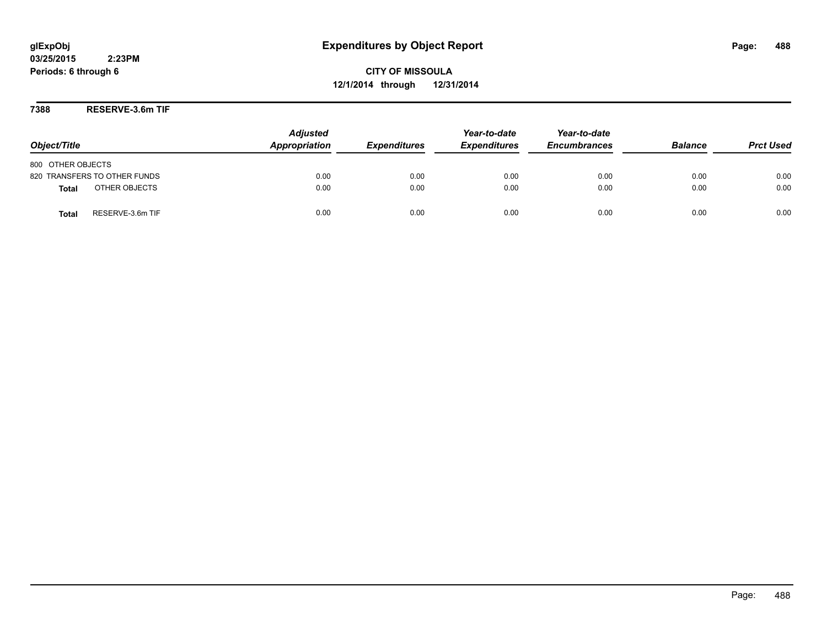**CITY OF MISSOULA 12/1/2014 through 12/31/2014**

**7388 RESERVE-3.6m TIF**

| Object/Title                     | <b>Adjusted</b><br>Appropriation | <b>Expenditures</b> | Year-to-date<br><b>Expenditures</b> | Year-to-date<br><b>Encumbrances</b> | <b>Balance</b> | <b>Prct Used</b> |
|----------------------------------|----------------------------------|---------------------|-------------------------------------|-------------------------------------|----------------|------------------|
| 800 OTHER OBJECTS                |                                  |                     |                                     |                                     |                |                  |
| 820 TRANSFERS TO OTHER FUNDS     | 0.00                             | 0.00                | 0.00                                | 0.00                                | 0.00           | 0.00             |
| OTHER OBJECTS<br><b>Total</b>    | 0.00                             | 0.00                | 0.00                                | 0.00                                | 0.00           | 0.00             |
| RESERVE-3.6m TIF<br><b>Total</b> | 0.00                             | 0.00                | 0.00                                | 0.00                                | 0.00           | 0.00             |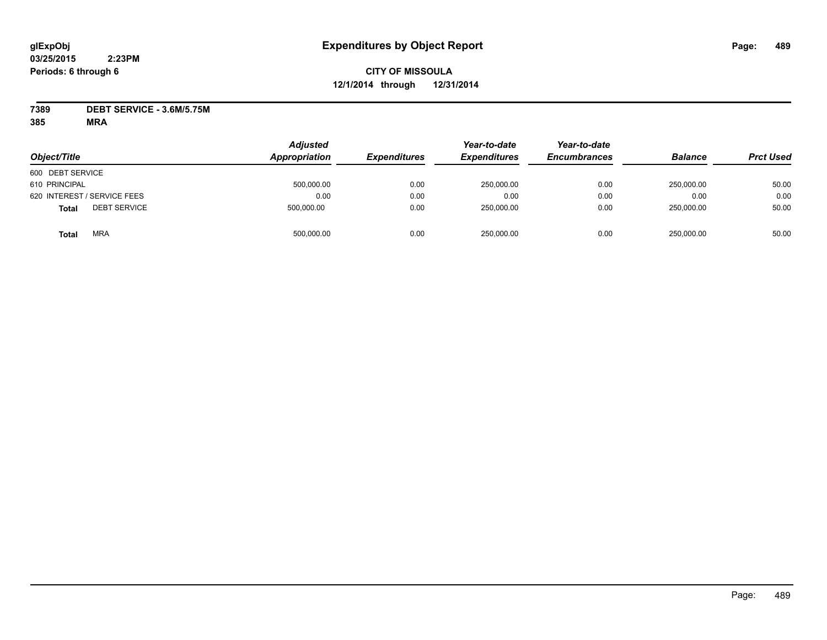### **CITY OF MISSOULA 12/1/2014 through 12/31/2014**

**7389 DEBT SERVICE - 3.6M/5.75M**

| Object/Title                        | <b>Adjusted</b><br>Appropriation | <b>Expenditures</b> | Year-to-date<br><b>Expenditures</b> | Year-to-date<br><b>Encumbrances</b> | <b>Balance</b> | <b>Prct Used</b> |
|-------------------------------------|----------------------------------|---------------------|-------------------------------------|-------------------------------------|----------------|------------------|
| 600 DEBT SERVICE                    |                                  |                     |                                     |                                     |                |                  |
| 610 PRINCIPAL                       | 500,000.00                       | 0.00                | 250,000.00                          | 0.00                                | 250.000.00     | 50.00            |
| 620 INTEREST / SERVICE FEES         | 0.00                             | 0.00                | 0.00                                | 0.00                                | 0.00           | 0.00             |
| <b>DEBT SERVICE</b><br><b>Total</b> | 500,000.00                       | 0.00                | 250,000.00                          | 0.00                                | 250,000.00     | 50.00            |
| <b>MRA</b><br>Total                 | 500,000.00                       | 0.00                | 250,000.00                          | 0.00                                | 250.000.00     | 50.00            |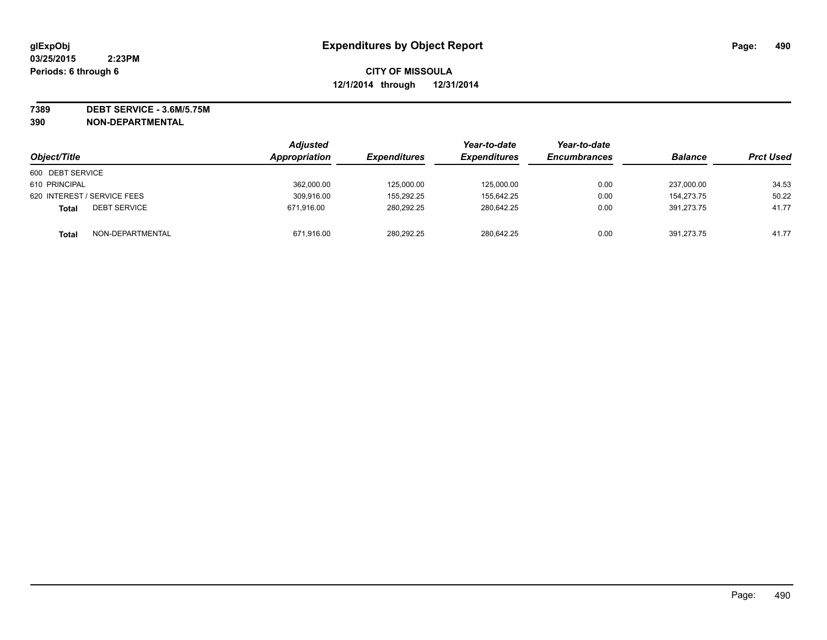**7389 DEBT SERVICE - 3.6M/5.75M**

| Object/Title                        | <b>Adjusted</b><br><b>Appropriation</b> | <i><b>Expenditures</b></i> | Year-to-date<br><b>Expenditures</b> | Year-to-date<br><b>Encumbrances</b> | <b>Balance</b> | <b>Prct Used</b> |
|-------------------------------------|-----------------------------------------|----------------------------|-------------------------------------|-------------------------------------|----------------|------------------|
| 600 DEBT SERVICE                    |                                         |                            |                                     |                                     |                |                  |
| 610 PRINCIPAL                       | 362,000.00                              | 125,000.00                 | 125,000.00                          | 0.00                                | 237.000.00     | 34.53            |
| 620 INTEREST / SERVICE FEES         | 309.916.00                              | 155.292.25                 | 155.642.25                          | 0.00                                | 154.273.75     | 50.22            |
| <b>DEBT SERVICE</b><br><b>Total</b> | 671.916.00                              | 280,292.25                 | 280.642.25                          | 0.00                                | 391.273.75     | 41.77            |
| NON-DEPARTMENTAL<br><b>Total</b>    | 671,916.00                              | 280.292.25                 | 280.642.25                          | 0.00                                | 391.273.75     | 41.77            |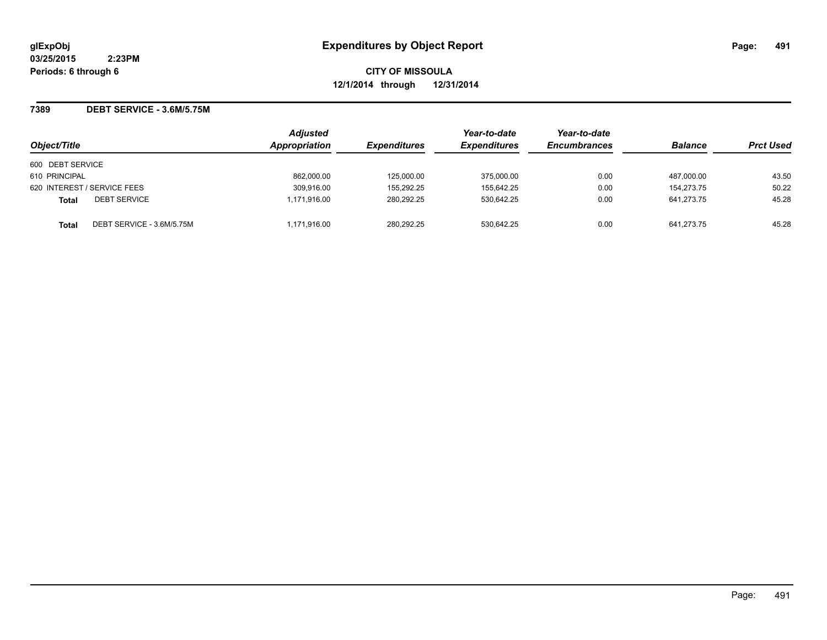**CITY OF MISSOULA 12/1/2014 through 12/31/2014**

**7389 DEBT SERVICE - 3.6M/5.75M**

| Object/Title                              | <b>Adjusted</b><br>Appropriation | <b>Expenditures</b> | Year-to-date<br><b>Expenditures</b> | Year-to-date<br><b>Encumbrances</b> | <b>Balance</b> | <b>Prct Used</b> |
|-------------------------------------------|----------------------------------|---------------------|-------------------------------------|-------------------------------------|----------------|------------------|
| 600 DEBT SERVICE                          |                                  |                     |                                     |                                     |                |                  |
| 610 PRINCIPAL                             | 862.000.00                       | 125.000.00          | 375,000.00                          | 0.00                                | 487,000.00     | 43.50            |
| 620 INTEREST / SERVICE FEES               | 309,916.00                       | 155.292.25          | 155,642.25                          | 0.00                                | 154.273.75     | 50.22            |
| <b>DEBT SERVICE</b><br><b>Total</b>       | 1,171,916.00                     | 280.292.25          | 530.642.25                          | 0.00                                | 641.273.75     | 45.28            |
| DEBT SERVICE - 3.6M/5.75M<br><b>Total</b> | 1,171,916.00                     | 280,292.25          | 530.642.25                          | 0.00                                | 641.273.75     | 45.28            |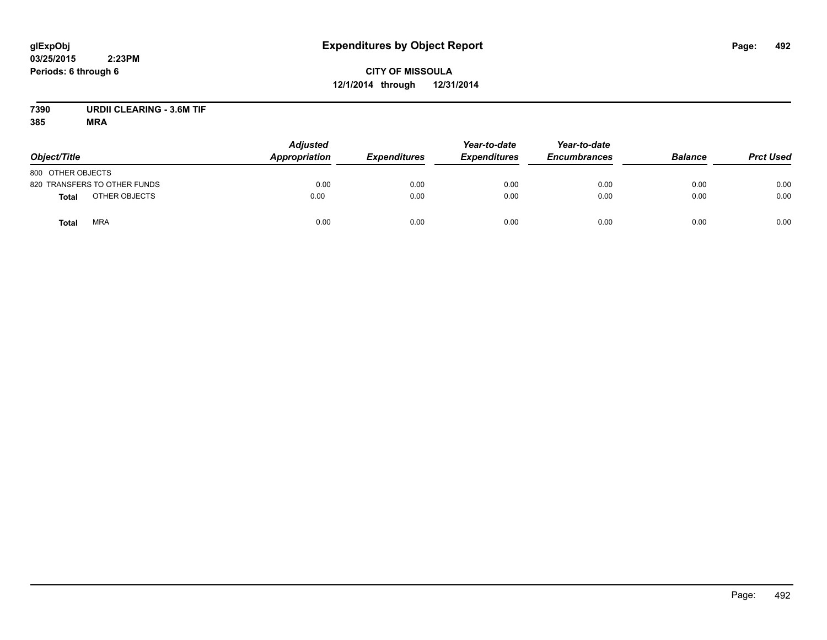# **CITY OF MISSOULA 12/1/2014 through 12/31/2014**

# **7390 URDII CLEARING - 3.6M TIF**

| Object/Title                  | <b>Adjusted</b><br><b>Appropriation</b> | <b>Expenditures</b> | Year-to-date<br><b>Expenditures</b> | Year-to-date<br><b>Encumbrances</b> | <b>Balance</b> | <b>Prct Used</b> |
|-------------------------------|-----------------------------------------|---------------------|-------------------------------------|-------------------------------------|----------------|------------------|
| 800 OTHER OBJECTS             |                                         |                     |                                     |                                     |                |                  |
| 820 TRANSFERS TO OTHER FUNDS  | 0.00                                    | 0.00                | 0.00                                | 0.00                                | 0.00           | 0.00             |
| OTHER OBJECTS<br><b>Total</b> | 0.00                                    | 0.00                | 0.00                                | 0.00                                | 0.00           | 0.00             |
| <b>MRA</b><br><b>Total</b>    | 0.00                                    | 0.00                | 0.00                                | 0.00                                | 0.00           | 0.00             |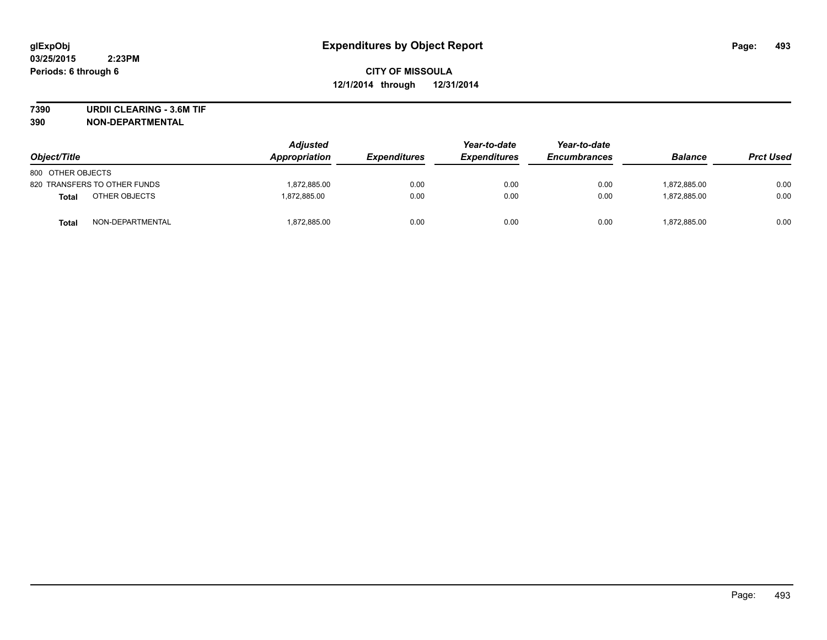**7390 URDII CLEARING - 3.6M TIF**

| Object/Title      |                              | <b>Adjusted</b><br>Appropriation | <b>Expenditures</b> | Year-to-date<br><b>Expenditures</b> | Year-to-date<br><b>Encumbrances</b> | <b>Balance</b> | <b>Prct Used</b> |
|-------------------|------------------------------|----------------------------------|---------------------|-------------------------------------|-------------------------------------|----------------|------------------|
| 800 OTHER OBJECTS |                              |                                  |                     |                                     |                                     |                |                  |
|                   | 820 TRANSFERS TO OTHER FUNDS | 1.872.885.00                     | 0.00                | 0.00                                | 0.00                                | 1,872,885.00   | 0.00             |
| <b>Total</b>      | OTHER OBJECTS                | 1.872.885.00                     | 0.00                | 0.00                                | 0.00                                | 1.872.885.00   | 0.00             |
| <b>Total</b>      | NON-DEPARTMENTAL             | 1,872,885.00                     | 0.00                | 0.00                                | 0.00                                | 1,872,885.00   | 0.00             |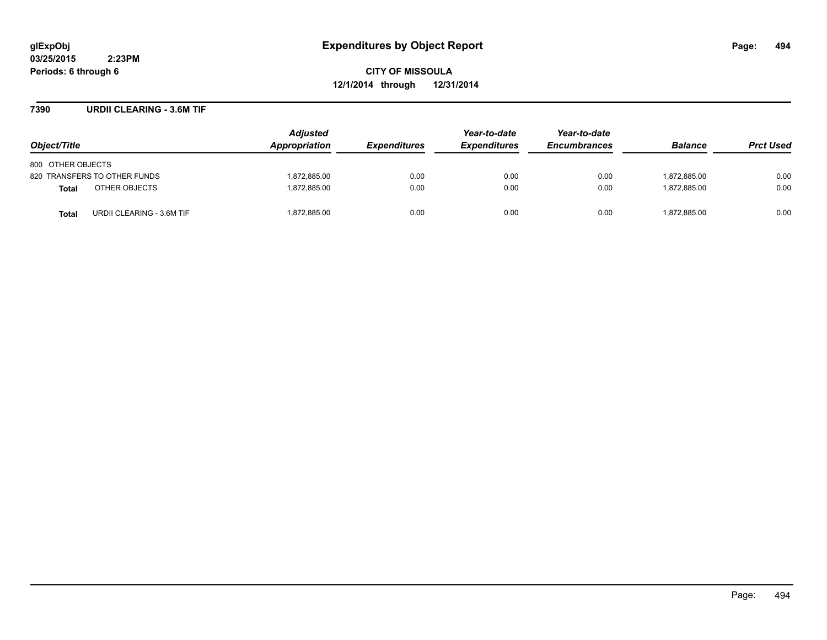**CITY OF MISSOULA 12/1/2014 through 12/31/2014**

### **7390 URDII CLEARING - 3.6M TIF**

| Object/Title                       | <b>Adjusted</b><br><b>Appropriation</b> | <i><b>Expenditures</b></i> | Year-to-date<br><b>Expenditures</b> | Year-to-date<br><b>Encumbrances</b> | <b>Balance</b> | <b>Prct Used</b> |
|------------------------------------|-----------------------------------------|----------------------------|-------------------------------------|-------------------------------------|----------------|------------------|
| 800 OTHER OBJECTS                  |                                         |                            |                                     |                                     |                |                  |
| 820 TRANSFERS TO OTHER FUNDS       | 1.872.885.00                            | 0.00                       | 0.00                                | 0.00                                | 1.872.885.00   | 0.00             |
| OTHER OBJECTS<br><b>Total</b>      | 1.872.885.00                            | 0.00                       | 0.00                                | 0.00                                | 1.872.885.00   | 0.00             |
| URDII CLEARING - 3.6M TIF<br>Total | 1,872,885.00                            | 0.00                       | 0.00                                | 0.00                                | 1,872,885.00   | 0.00             |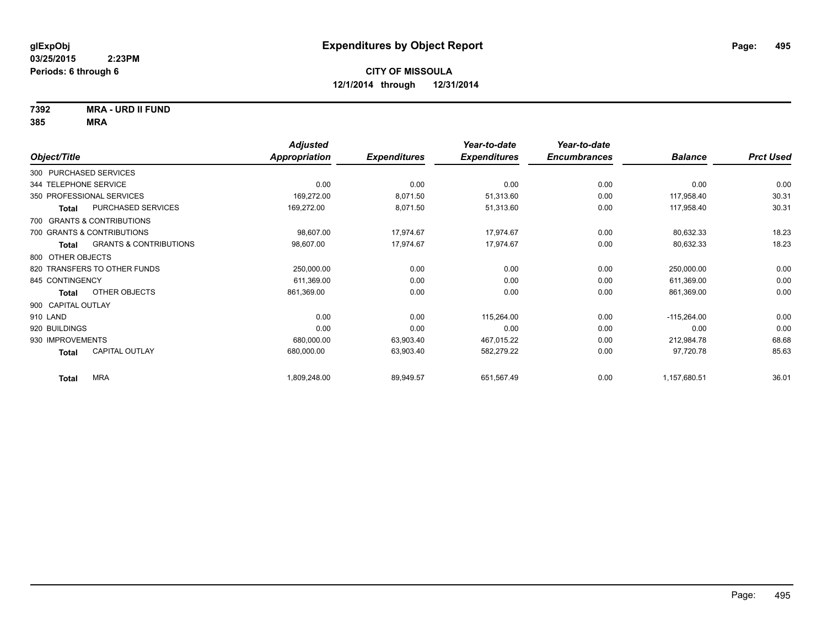**7392 MRA - URD II FUND**

|                                            | <b>Adjusted</b> |                     | Year-to-date        | Year-to-date        |                |                  |
|--------------------------------------------|-----------------|---------------------|---------------------|---------------------|----------------|------------------|
| Object/Title                               | Appropriation   | <b>Expenditures</b> | <b>Expenditures</b> | <b>Encumbrances</b> | <b>Balance</b> | <b>Prct Used</b> |
| 300 PURCHASED SERVICES                     |                 |                     |                     |                     |                |                  |
| 344 TELEPHONE SERVICE                      | 0.00            | 0.00                | 0.00                | 0.00                | 0.00           | 0.00             |
| 350 PROFESSIONAL SERVICES                  | 169,272.00      | 8,071.50            | 51,313.60           | 0.00                | 117,958.40     | 30.31            |
| PURCHASED SERVICES<br><b>Total</b>         | 169,272.00      | 8,071.50            | 51,313.60           | 0.00                | 117,958.40     | 30.31            |
| 700 GRANTS & CONTRIBUTIONS                 |                 |                     |                     |                     |                |                  |
| 700 GRANTS & CONTRIBUTIONS                 | 98,607.00       | 17,974.67           | 17,974.67           | 0.00                | 80,632.33      | 18.23            |
| <b>GRANTS &amp; CONTRIBUTIONS</b><br>Total | 98,607.00       | 17,974.67           | 17,974.67           | 0.00                | 80,632.33      | 18.23            |
| 800 OTHER OBJECTS                          |                 |                     |                     |                     |                |                  |
| 820 TRANSFERS TO OTHER FUNDS               | 250,000.00      | 0.00                | 0.00                | 0.00                | 250,000.00     | 0.00             |
| 845 CONTINGENCY                            | 611,369.00      | 0.00                | 0.00                | 0.00                | 611,369.00     | 0.00             |
| OTHER OBJECTS<br>Total                     | 861,369.00      | 0.00                | 0.00                | 0.00                | 861,369.00     | 0.00             |
| 900 CAPITAL OUTLAY                         |                 |                     |                     |                     |                |                  |
| 910 LAND                                   | 0.00            | 0.00                | 115,264.00          | 0.00                | $-115,264.00$  | 0.00             |
| 920 BUILDINGS                              | 0.00            | 0.00                | 0.00                | 0.00                | 0.00           | 0.00             |
| 930 IMPROVEMENTS                           | 680,000.00      | 63,903.40           | 467,015.22          | 0.00                | 212,984.78     | 68.68            |
| CAPITAL OUTLAY<br><b>Total</b>             | 680,000.00      | 63,903.40           | 582,279.22          | 0.00                | 97,720.78      | 85.63            |
| <b>MRA</b><br><b>Total</b>                 | 1,809,248.00    | 89,949.57           | 651,567.49          | 0.00                | 1,157,680.51   | 36.01            |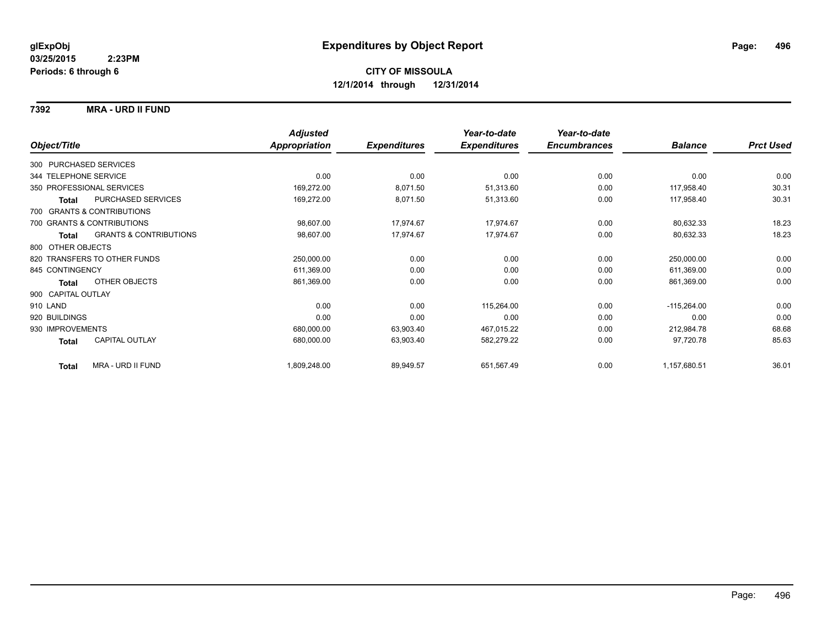### **7392 MRA - URD II FUND**

|                              |                                   | <b>Adjusted</b>      |                     | Year-to-date        | Year-to-date        |                |                  |
|------------------------------|-----------------------------------|----------------------|---------------------|---------------------|---------------------|----------------|------------------|
| Object/Title                 |                                   | <b>Appropriation</b> | <b>Expenditures</b> | <b>Expenditures</b> | <b>Encumbrances</b> | <b>Balance</b> | <b>Prct Used</b> |
| 300 PURCHASED SERVICES       |                                   |                      |                     |                     |                     |                |                  |
| 344 TELEPHONE SERVICE        |                                   | 0.00                 | 0.00                | 0.00                | 0.00                | 0.00           | 0.00             |
| 350 PROFESSIONAL SERVICES    |                                   | 169,272.00           | 8,071.50            | 51,313.60           | 0.00                | 117,958.40     | 30.31            |
| <b>Total</b>                 | <b>PURCHASED SERVICES</b>         | 169,272.00           | 8,071.50            | 51,313.60           | 0.00                | 117,958.40     | 30.31            |
| 700 GRANTS & CONTRIBUTIONS   |                                   |                      |                     |                     |                     |                |                  |
| 700 GRANTS & CONTRIBUTIONS   |                                   | 98,607.00            | 17,974.67           | 17,974.67           | 0.00                | 80,632.33      | 18.23            |
| Total                        | <b>GRANTS &amp; CONTRIBUTIONS</b> | 98,607.00            | 17,974.67           | 17,974.67           | 0.00                | 80,632.33      | 18.23            |
| 800 OTHER OBJECTS            |                                   |                      |                     |                     |                     |                |                  |
| 820 TRANSFERS TO OTHER FUNDS |                                   | 250,000.00           | 0.00                | 0.00                | 0.00                | 250,000.00     | 0.00             |
| 845 CONTINGENCY              |                                   | 611,369.00           | 0.00                | 0.00                | 0.00                | 611,369.00     | 0.00             |
| Total                        | <b>OTHER OBJECTS</b>              | 861,369.00           | 0.00                | 0.00                | 0.00                | 861,369.00     | 0.00             |
| 900 CAPITAL OUTLAY           |                                   |                      |                     |                     |                     |                |                  |
| 910 LAND                     |                                   | 0.00                 | 0.00                | 115,264.00          | 0.00                | $-115,264.00$  | 0.00             |
| 920 BUILDINGS                |                                   | 0.00                 | 0.00                | 0.00                | 0.00                | 0.00           | 0.00             |
| 930 IMPROVEMENTS             |                                   | 680,000.00           | 63,903.40           | 467,015.22          | 0.00                | 212,984.78     | 68.68            |
| Total                        | <b>CAPITAL OUTLAY</b>             | 680,000.00           | 63,903.40           | 582,279.22          | 0.00                | 97,720.78      | 85.63            |
| <b>Total</b>                 | <b>MRA - URD II FUND</b>          | 1,809,248.00         | 89,949.57           | 651,567.49          | 0.00                | 1,157,680.51   | 36.01            |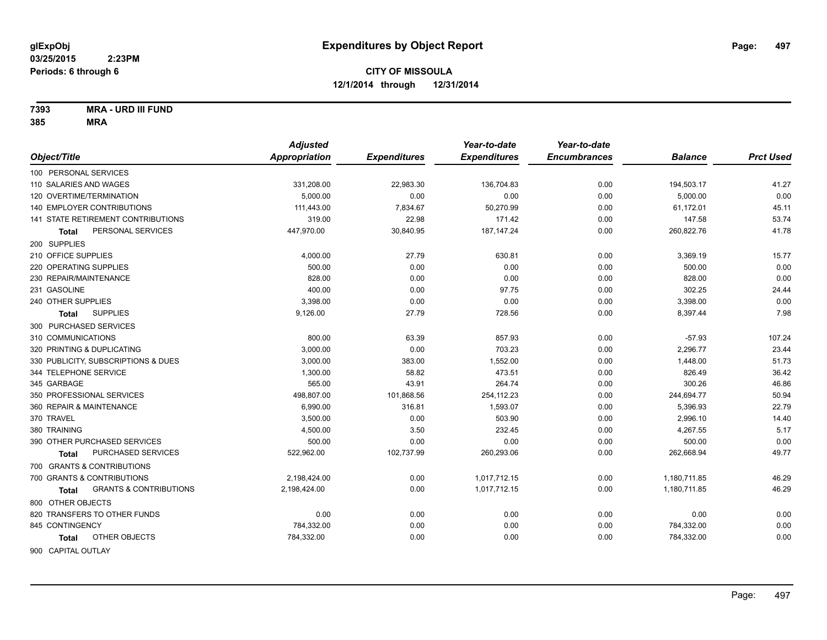**7393 MRA - URD III FUND**

| Object/Title                                      | <b>Adjusted</b><br><b>Appropriation</b> | <b>Expenditures</b> | Year-to-date<br><b>Expenditures</b> | Year-to-date<br><b>Encumbrances</b> | <b>Balance</b> | <b>Prct Used</b> |
|---------------------------------------------------|-----------------------------------------|---------------------|-------------------------------------|-------------------------------------|----------------|------------------|
|                                                   |                                         |                     |                                     |                                     |                |                  |
| 100 PERSONAL SERVICES                             |                                         |                     |                                     |                                     |                |                  |
| 110 SALARIES AND WAGES                            | 331,208.00                              | 22,983.30           | 136,704.83                          | 0.00                                | 194,503.17     | 41.27            |
| 120 OVERTIME/TERMINATION                          | 5.000.00                                | 0.00                | 0.00                                | 0.00                                | 5,000.00       | 0.00             |
| <b>140 EMPLOYER CONTRIBUTIONS</b>                 | 111,443.00                              | 7,834.67            | 50,270.99                           | 0.00                                | 61,172.01      | 45.11            |
| 141 STATE RETIREMENT CONTRIBUTIONS                | 319.00                                  | 22.98               | 171.42                              | 0.00                                | 147.58         | 53.74            |
| PERSONAL SERVICES<br>Total                        | 447,970.00                              | 30,840.95           | 187, 147.24                         | 0.00                                | 260,822.76     | 41.78            |
| 200 SUPPLIES                                      |                                         |                     |                                     |                                     |                |                  |
| 210 OFFICE SUPPLIES                               | 4,000.00                                | 27.79               | 630.81                              | 0.00                                | 3,369.19       | 15.77            |
| 220 OPERATING SUPPLIES                            | 500.00                                  | 0.00                | 0.00                                | 0.00                                | 500.00         | 0.00             |
| 230 REPAIR/MAINTENANCE                            | 828.00                                  | 0.00                | 0.00                                | 0.00                                | 828.00         | 0.00             |
| 231 GASOLINE                                      | 400.00                                  | 0.00                | 97.75                               | 0.00                                | 302.25         | 24.44            |
| 240 OTHER SUPPLIES                                | 3,398.00                                | 0.00                | 0.00                                | 0.00                                | 3,398.00       | 0.00             |
| <b>SUPPLIES</b><br><b>Total</b>                   | 9,126.00                                | 27.79               | 728.56                              | 0.00                                | 8,397.44       | 7.98             |
| 300 PURCHASED SERVICES                            |                                         |                     |                                     |                                     |                |                  |
| 310 COMMUNICATIONS                                | 800.00                                  | 63.39               | 857.93                              | 0.00                                | $-57.93$       | 107.24           |
| 320 PRINTING & DUPLICATING                        | 3,000.00                                | 0.00                | 703.23                              | 0.00                                | 2,296.77       | 23.44            |
| 330 PUBLICITY, SUBSCRIPTIONS & DUES               | 3,000.00                                | 383.00              | 1,552.00                            | 0.00                                | 1,448.00       | 51.73            |
| 344 TELEPHONE SERVICE                             | 1,300.00                                | 58.82               | 473.51                              | 0.00                                | 826.49         | 36.42            |
| 345 GARBAGE                                       | 565.00                                  | 43.91               | 264.74                              | 0.00                                | 300.26         | 46.86            |
| 350 PROFESSIONAL SERVICES                         | 498,807.00                              | 101,868.56          | 254,112.23                          | 0.00                                | 244,694.77     | 50.94            |
| 360 REPAIR & MAINTENANCE                          | 6,990.00                                | 316.81              | 1,593.07                            | 0.00                                | 5,396.93       | 22.79            |
| 370 TRAVEL                                        | 3,500.00                                | 0.00                | 503.90                              | 0.00                                | 2,996.10       | 14.40            |
| 380 TRAINING                                      | 4,500.00                                | 3.50                | 232.45                              | 0.00                                | 4,267.55       | 5.17             |
| 390 OTHER PURCHASED SERVICES                      | 500.00                                  | 0.00                | 0.00                                | 0.00                                | 500.00         | 0.00             |
| PURCHASED SERVICES<br>Total                       | 522,962.00                              | 102,737.99          | 260,293.06                          | 0.00                                | 262,668.94     | 49.77            |
| 700 GRANTS & CONTRIBUTIONS                        |                                         |                     |                                     |                                     |                |                  |
| 700 GRANTS & CONTRIBUTIONS                        | 2,198,424.00                            | 0.00                | 1,017,712.15                        | 0.00                                | 1,180,711.85   | 46.29            |
| <b>GRANTS &amp; CONTRIBUTIONS</b><br><b>Total</b> | 2,198,424.00                            | 0.00                | 1,017,712.15                        | 0.00                                | 1,180,711.85   | 46.29            |
| 800 OTHER OBJECTS                                 |                                         |                     |                                     |                                     |                |                  |
| 820 TRANSFERS TO OTHER FUNDS                      | 0.00                                    | 0.00                | 0.00                                | 0.00                                | 0.00           | 0.00             |
| 845 CONTINGENCY                                   | 784,332.00                              | 0.00                | 0.00                                | 0.00                                | 784,332.00     | 0.00             |
| OTHER OBJECTS<br>Total                            | 784,332.00                              | 0.00                | 0.00                                | 0.00                                | 784,332.00     | 0.00             |
|                                                   |                                         |                     |                                     |                                     |                |                  |
| 900 CAPITAL OUTLAY                                |                                         |                     |                                     |                                     |                |                  |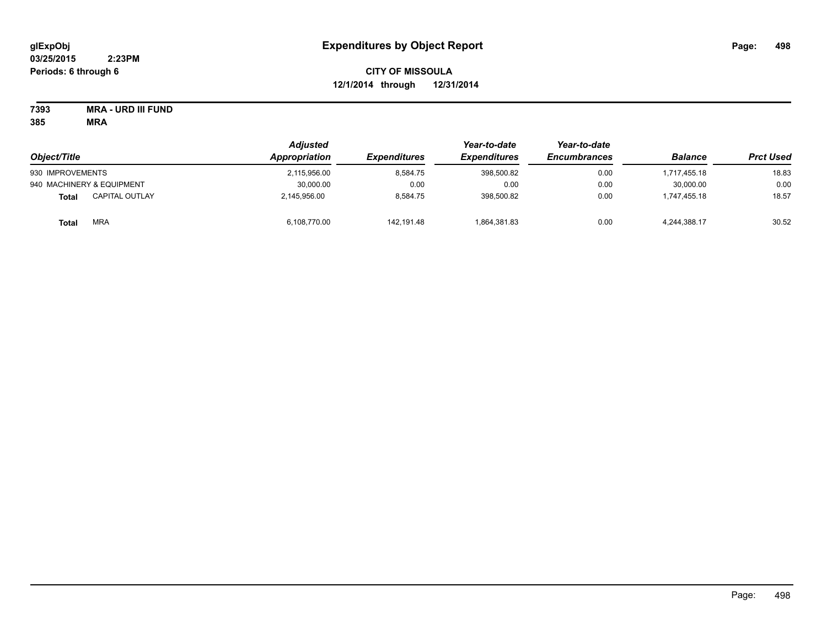# **CITY OF MISSOULA 12/1/2014 through 12/31/2014**

**7393 MRA - URD III FUND**

| Object/Title              |                       | <b>Adjusted</b><br>Appropriation | <i><b>Expenditures</b></i> | Year-to-date<br><b>Expenditures</b> | Year-to-date<br><b>Encumbrances</b> | <b>Balance</b> | <b>Prct Used</b> |
|---------------------------|-----------------------|----------------------------------|----------------------------|-------------------------------------|-------------------------------------|----------------|------------------|
| 930 IMPROVEMENTS          |                       | 2,115,956.00                     | 8.584.75                   | 398,500.82                          | 0.00                                | 1,717,455.18   | 18.83            |
| 940 MACHINERY & EQUIPMENT |                       | 30,000.00                        | 0.00                       | 0.00                                | 0.00                                | 30,000.00      | 0.00             |
| <b>Total</b>              | <b>CAPITAL OUTLAY</b> | 2,145,956.00                     | 8.584.75                   | 398,500.82                          | 0.00                                | 1.747.455.18   | 18.57            |
| <b>Total</b>              | <b>MRA</b>            | 6.108.770.00                     | 142.191.48                 | 1,864,381.83                        | 0.00                                | 4,244,388.17   | 30.52            |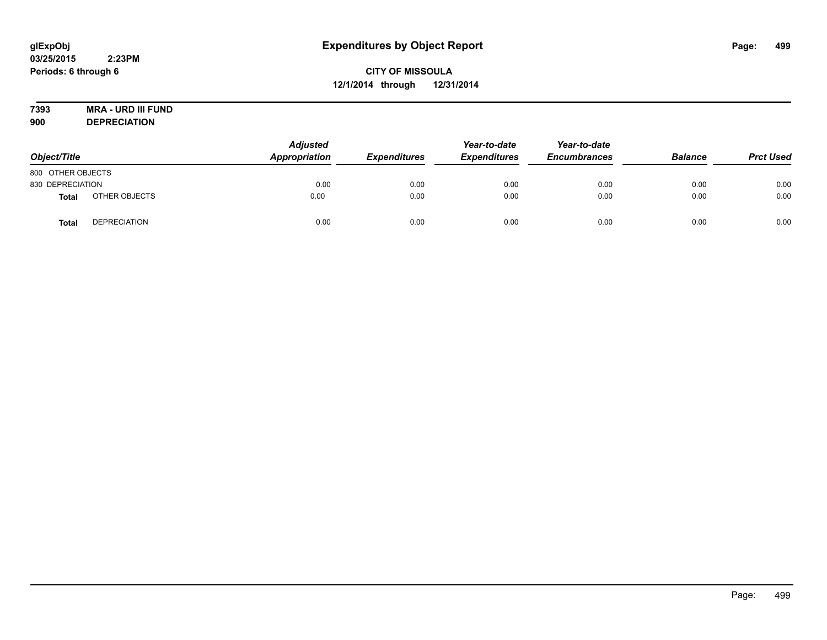# **7393 MRA - URD III FUND**

**900 DEPRECIATION**

| Object/Title      |                     | <b>Adjusted</b><br>Appropriation | <b>Expenditures</b> | Year-to-date<br><b>Expenditures</b> | Year-to-date<br><b>Encumbrances</b> | <b>Balance</b> | <b>Prct Used</b> |
|-------------------|---------------------|----------------------------------|---------------------|-------------------------------------|-------------------------------------|----------------|------------------|
| 800 OTHER OBJECTS |                     |                                  |                     |                                     |                                     |                |                  |
| 830 DEPRECIATION  |                     | 0.00                             | 0.00                | 0.00                                | 0.00                                | 0.00           | 0.00             |
| Total             | OTHER OBJECTS       | 0.00                             | 0.00                | 0.00                                | 0.00                                | 0.00           | 0.00             |
| Tota              | <b>DEPRECIATION</b> | 0.00                             | 0.00                | 0.00                                | 0.00                                | 0.00           | 0.00             |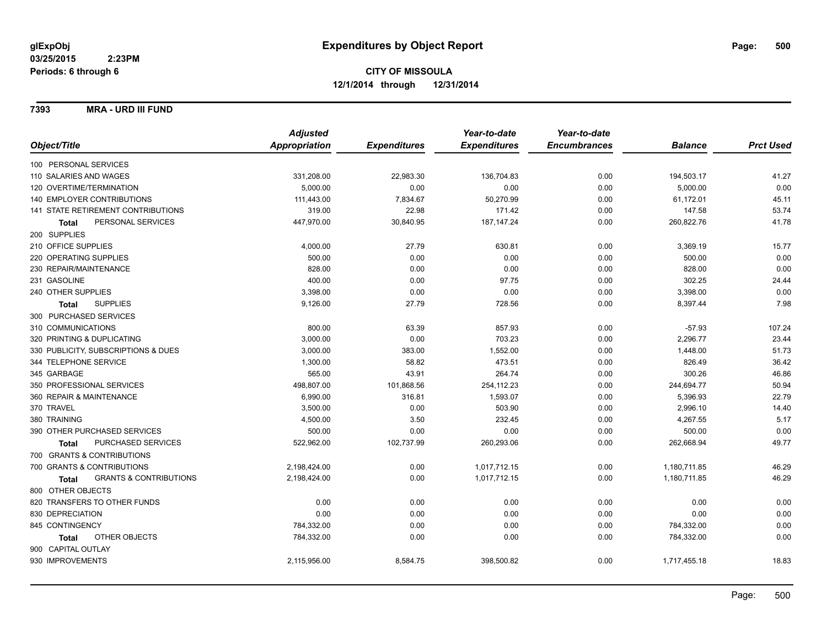**7393 MRA - URD III FUND**

|                                            | <b>Adjusted</b>      |                     | Year-to-date        | Year-to-date        |                |                  |
|--------------------------------------------|----------------------|---------------------|---------------------|---------------------|----------------|------------------|
| Object/Title                               | <b>Appropriation</b> | <b>Expenditures</b> | <b>Expenditures</b> | <b>Encumbrances</b> | <b>Balance</b> | <b>Prct Used</b> |
| 100 PERSONAL SERVICES                      |                      |                     |                     |                     |                |                  |
| 110 SALARIES AND WAGES                     | 331,208.00           | 22,983.30           | 136,704.83          | 0.00                | 194,503.17     | 41.27            |
| 120 OVERTIME/TERMINATION                   | 5,000.00             | 0.00                | 0.00                | 0.00                | 5,000.00       | 0.00             |
| 140 EMPLOYER CONTRIBUTIONS                 | 111,443.00           | 7,834.67            | 50,270.99           | 0.00                | 61,172.01      | 45.11            |
| 141 STATE RETIREMENT CONTRIBUTIONS         | 319.00               | 22.98               | 171.42              | 0.00                | 147.58         | 53.74            |
| PERSONAL SERVICES<br>Total                 | 447,970.00           | 30,840.95           | 187, 147.24         | 0.00                | 260,822.76     | 41.78            |
| 200 SUPPLIES                               |                      |                     |                     |                     |                |                  |
| 210 OFFICE SUPPLIES                        | 4,000.00             | 27.79               | 630.81              | 0.00                | 3,369.19       | 15.77            |
| 220 OPERATING SUPPLIES                     | 500.00               | 0.00                | 0.00                | 0.00                | 500.00         | 0.00             |
| 230 REPAIR/MAINTENANCE                     | 828.00               | 0.00                | 0.00                | 0.00                | 828.00         | 0.00             |
| 231 GASOLINE                               | 400.00               | 0.00                | 97.75               | 0.00                | 302.25         | 24.44            |
| 240 OTHER SUPPLIES                         | 3,398.00             | 0.00                | 0.00                | 0.00                | 3,398.00       | 0.00             |
| <b>SUPPLIES</b><br>Total                   | 9,126.00             | 27.79               | 728.56              | 0.00                | 8,397.44       | 7.98             |
| 300 PURCHASED SERVICES                     |                      |                     |                     |                     |                |                  |
| 310 COMMUNICATIONS                         | 800.00               | 63.39               | 857.93              | 0.00                | $-57.93$       | 107.24           |
| 320 PRINTING & DUPLICATING                 | 3,000.00             | 0.00                | 703.23              | 0.00                | 2,296.77       | 23.44            |
| 330 PUBLICITY, SUBSCRIPTIONS & DUES        | 3,000.00             | 383.00              | 1,552.00            | 0.00                | 1,448.00       | 51.73            |
| 344 TELEPHONE SERVICE                      | 1,300.00             | 58.82               | 473.51              | 0.00                | 826.49         | 36.42            |
| 345 GARBAGE                                | 565.00               | 43.91               | 264.74              | 0.00                | 300.26         | 46.86            |
| 350 PROFESSIONAL SERVICES                  | 498,807.00           | 101,868.56          | 254,112.23          | 0.00                | 244,694.77     | 50.94            |
| 360 REPAIR & MAINTENANCE                   | 6,990.00             | 316.81              | 1,593.07            | 0.00                | 5,396.93       | 22.79            |
| 370 TRAVEL                                 | 3,500.00             | 0.00                | 503.90              | 0.00                | 2,996.10       | 14.40            |
| 380 TRAINING                               | 4,500.00             | 3.50                | 232.45              | 0.00                | 4,267.55       | 5.17             |
| 390 OTHER PURCHASED SERVICES               | 500.00               | 0.00                | 0.00                | 0.00                | 500.00         | 0.00             |
| PURCHASED SERVICES<br><b>Total</b>         | 522,962.00           | 102,737.99          | 260,293.06          | 0.00                | 262,668.94     | 49.77            |
| 700 GRANTS & CONTRIBUTIONS                 |                      |                     |                     |                     |                |                  |
| 700 GRANTS & CONTRIBUTIONS                 | 2,198,424.00         | 0.00                | 1,017,712.15        | 0.00                | 1,180,711.85   | 46.29            |
| <b>GRANTS &amp; CONTRIBUTIONS</b><br>Total | 2,198,424.00         | 0.00                | 1,017,712.15        | 0.00                | 1,180,711.85   | 46.29            |
| 800 OTHER OBJECTS                          |                      |                     |                     |                     |                |                  |
| 820 TRANSFERS TO OTHER FUNDS               | 0.00                 | 0.00                | 0.00                | 0.00                | 0.00           | 0.00             |
| 830 DEPRECIATION                           | 0.00                 | 0.00                | 0.00                | 0.00                | 0.00           | 0.00             |
| 845 CONTINGENCY                            | 784,332.00           | 0.00                | 0.00                | 0.00                | 784,332.00     | 0.00             |
| OTHER OBJECTS<br>Total                     | 784,332.00           | 0.00                | 0.00                | 0.00                | 784,332.00     | 0.00             |
| 900 CAPITAL OUTLAY                         |                      |                     |                     |                     |                |                  |
| 930 IMPROVEMENTS                           | 2,115,956.00         | 8,584.75            | 398,500.82          | 0.00                | 1,717,455.18   | 18.83            |
|                                            |                      |                     |                     |                     |                |                  |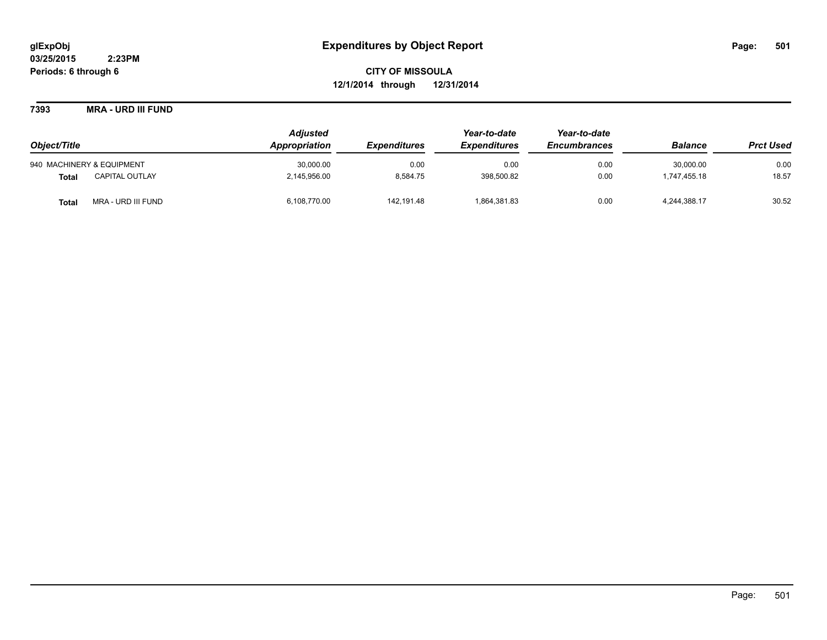**7393 MRA - URD III FUND**

|                                       | <b>Adjusted</b> |                     | Year-to-date<br><b>Expenditures</b> | Year-to-date<br><b>Encumbrances</b> | <b>Balance</b> | <b>Prct Used</b> |
|---------------------------------------|-----------------|---------------------|-------------------------------------|-------------------------------------|----------------|------------------|
| Object/Title                          | Appropriation   | <b>Expenditures</b> |                                     |                                     |                |                  |
| 940 MACHINERY & EQUIPMENT             | 30,000.00       | 0.00                | 0.00                                | 0.00                                | 30,000.00      | 0.00             |
| <b>CAPITAL OUTLAY</b><br><b>Total</b> | 2,145,956.00    | 8,584.75            | 398,500.82                          | 0.00                                | 1.747.455.18   | 18.57            |
| MRA - URD III FUND<br><b>Total</b>    | 6,108,770.00    | 142.191.48          | 1,864,381.83                        | 0.00                                | 4,244,388.17   | 30.52            |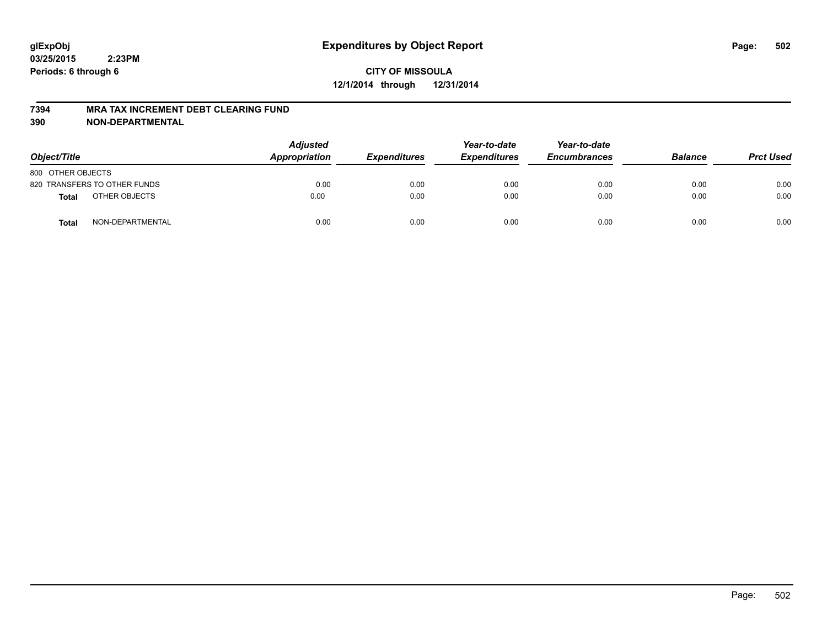#### **7394 MRA TAX INCREMENT DEBT CLEARING FUND**

| Object/Title      |                              | <b>Adjusted</b><br><b>Appropriation</b> | <b>Expenditures</b> | Year-to-date<br><b>Expenditures</b> | Year-to-date<br><b>Encumbrances</b> | <b>Balance</b> | <b>Prct Used</b> |
|-------------------|------------------------------|-----------------------------------------|---------------------|-------------------------------------|-------------------------------------|----------------|------------------|
| 800 OTHER OBJECTS |                              |                                         |                     |                                     |                                     |                |                  |
|                   | 820 TRANSFERS TO OTHER FUNDS | 0.00                                    | 0.00                | 0.00                                | 0.00                                | 0.00           | 0.00             |
| <b>Total</b>      | OTHER OBJECTS                | 0.00                                    | 0.00                | 0.00                                | 0.00                                | 0.00           | 0.00             |
| <b>Total</b>      | NON-DEPARTMENTAL             | 0.00                                    | 0.00                | 0.00                                | 0.00                                | 0.00           | 0.00             |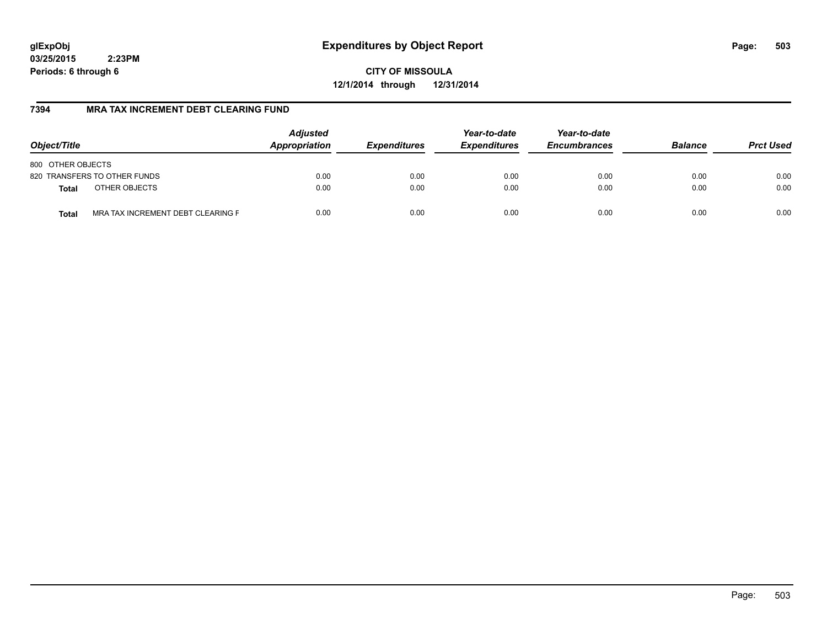# **glExpObj Expenditures by Object Report Page: 503**

**03/25/2015 2:23PM Periods: 6 through 6**

**CITY OF MISSOULA 12/1/2014 through 12/31/2014**

### **7394 MRA TAX INCREMENT DEBT CLEARING FUND**

| Object/Title                               | <b>Adjusted</b><br>Appropriation | <b>Expenditures</b> | Year-to-date<br><b>Expenditures</b> | Year-to-date<br><b>Encumbrances</b> | <b>Balance</b> | <b>Prct Used</b> |
|--------------------------------------------|----------------------------------|---------------------|-------------------------------------|-------------------------------------|----------------|------------------|
| 800 OTHER OBJECTS                          |                                  |                     |                                     |                                     |                |                  |
| 820 TRANSFERS TO OTHER FUNDS               | 0.00                             | 0.00                | 0.00                                | 0.00                                | 0.00           | 0.00             |
| OTHER OBJECTS<br><b>Total</b>              | 0.00                             | 0.00                | 0.00                                | 0.00                                | 0.00           | 0.00             |
| MRA TAX INCREMENT DEBT CLEARING F<br>Total | 0.00                             | 0.00                | 0.00                                | 0.00                                | 0.00           | 0.00             |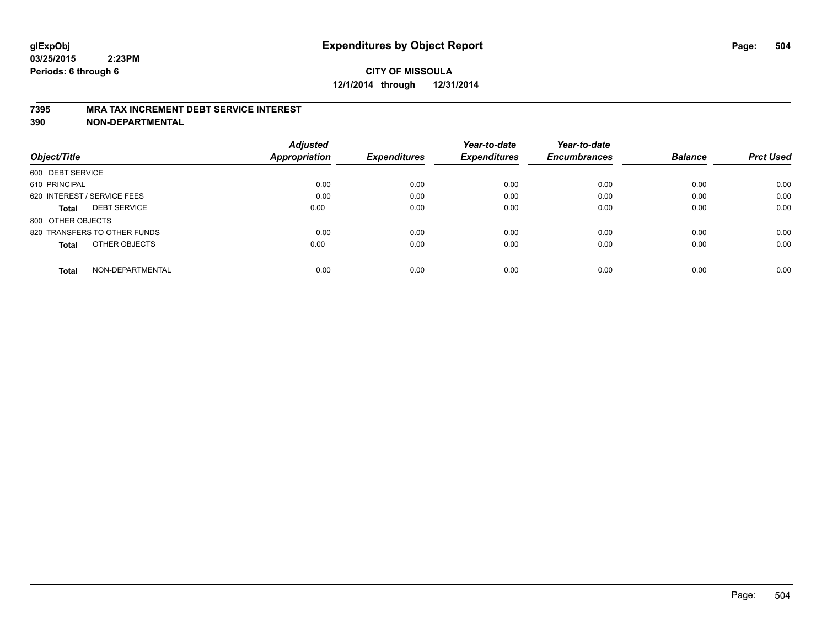#### **7395 MRA TAX INCREMENT DEBT SERVICE INTEREST**

| Object/Title                        | <b>Adjusted</b><br><b>Appropriation</b> | <b>Expenditures</b> | Year-to-date<br><b>Expenditures</b> | Year-to-date<br><b>Encumbrances</b> | <b>Balance</b> | <b>Prct Used</b> |
|-------------------------------------|-----------------------------------------|---------------------|-------------------------------------|-------------------------------------|----------------|------------------|
| 600 DEBT SERVICE                    |                                         |                     |                                     |                                     |                |                  |
| 610 PRINCIPAL                       | 0.00                                    | 0.00                | 0.00                                | 0.00                                | 0.00           | 0.00             |
| 620 INTEREST / SERVICE FEES         | 0.00                                    | 0.00                | 0.00                                | 0.00                                | 0.00           | 0.00             |
| <b>DEBT SERVICE</b><br><b>Total</b> | 0.00                                    | 0.00                | 0.00                                | 0.00                                | 0.00           | 0.00             |
| 800 OTHER OBJECTS                   |                                         |                     |                                     |                                     |                |                  |
| 820 TRANSFERS TO OTHER FUNDS        | 0.00                                    | 0.00                | 0.00                                | 0.00                                | 0.00           | 0.00             |
| OTHER OBJECTS<br><b>Total</b>       | 0.00                                    | 0.00                | 0.00                                | 0.00                                | 0.00           | 0.00             |
| NON-DEPARTMENTAL<br>Total           | 0.00                                    | 0.00                | 0.00                                | 0.00                                | 0.00           | 0.00             |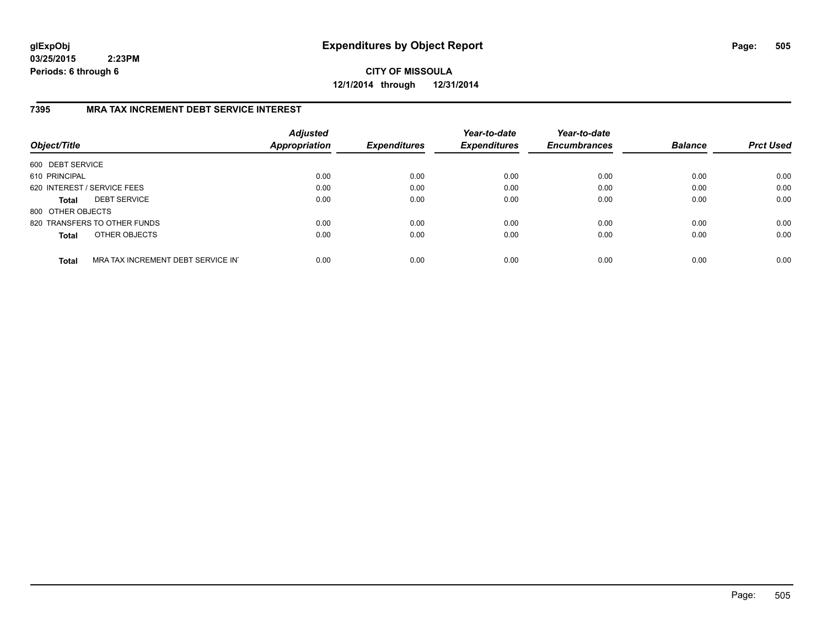**CITY OF MISSOULA 12/1/2014 through 12/31/2014**

### **7395 MRA TAX INCREMENT DEBT SERVICE INTEREST**

| Object/Title      |                                   | <b>Adjusted</b><br>Appropriation | <b>Expenditures</b> | Year-to-date<br><b>Expenditures</b> | Year-to-date<br><b>Encumbrances</b> | <b>Balance</b> | <b>Prct Used</b> |
|-------------------|-----------------------------------|----------------------------------|---------------------|-------------------------------------|-------------------------------------|----------------|------------------|
| 600 DEBT SERVICE  |                                   |                                  |                     |                                     |                                     |                |                  |
| 610 PRINCIPAL     |                                   | 0.00                             | 0.00                | 0.00                                | 0.00                                | 0.00           | 0.00             |
|                   | 620 INTEREST / SERVICE FEES       | 0.00                             | 0.00                | 0.00                                | 0.00                                | 0.00           | 0.00             |
| <b>Total</b>      | <b>DEBT SERVICE</b>               | 0.00                             | 0.00                | 0.00                                | 0.00                                | 0.00           | 0.00             |
| 800 OTHER OBJECTS |                                   |                                  |                     |                                     |                                     |                |                  |
|                   | 820 TRANSFERS TO OTHER FUNDS      | 0.00                             | 0.00                | 0.00                                | 0.00                                | 0.00           | 0.00             |
| <b>Total</b>      | OTHER OBJECTS                     | 0.00                             | 0.00                | 0.00                                | 0.00                                | 0.00           | 0.00             |
| <b>Total</b>      | MRA TAX INCREMENT DEBT SERVICE IN | 0.00                             | 0.00                | 0.00                                | 0.00                                | 0.00           | 0.00             |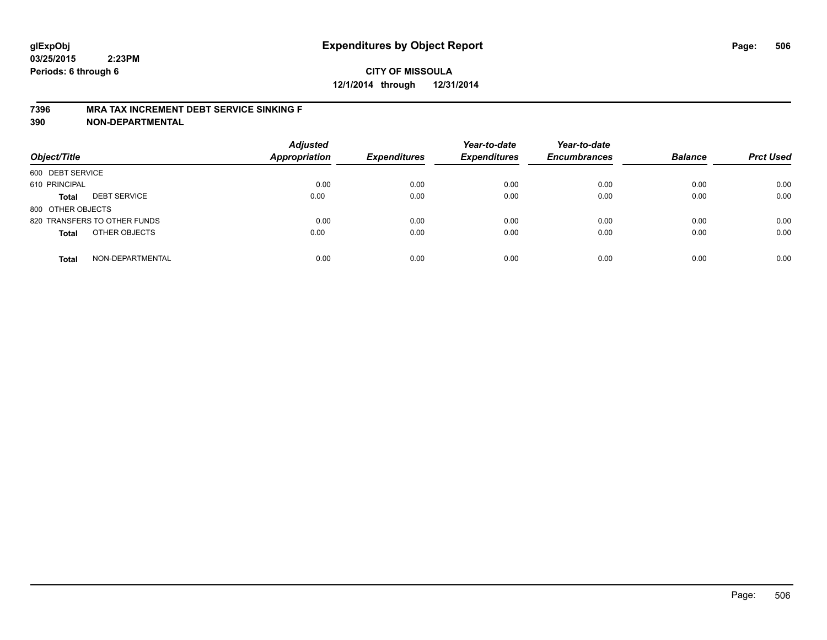## **CITY OF MISSOULA 12/1/2014 through 12/31/2014**

#### **7396 MRA TAX INCREMENT DEBT SERVICE SINKING F**

**390 NON-DEPARTMENTAL**

| Object/Title      |                              | <b>Adjusted</b><br><b>Appropriation</b> | <b>Expenditures</b> | Year-to-date<br><b>Expenditures</b> | Year-to-date<br><b>Encumbrances</b> | <b>Balance</b> | <b>Prct Used</b> |
|-------------------|------------------------------|-----------------------------------------|---------------------|-------------------------------------|-------------------------------------|----------------|------------------|
| 600 DEBT SERVICE  |                              |                                         |                     |                                     |                                     |                |                  |
| 610 PRINCIPAL     |                              | 0.00                                    | 0.00                | 0.00                                | 0.00                                | 0.00           | 0.00             |
| <b>Total</b>      | <b>DEBT SERVICE</b>          | 0.00                                    | 0.00                | 0.00                                | 0.00                                | 0.00           | 0.00             |
| 800 OTHER OBJECTS |                              |                                         |                     |                                     |                                     |                |                  |
|                   | 820 TRANSFERS TO OTHER FUNDS | 0.00                                    | 0.00                | 0.00                                | 0.00                                | 0.00           | 0.00             |
| <b>Total</b>      | OTHER OBJECTS                | 0.00                                    | 0.00                | 0.00                                | 0.00                                | 0.00           | 0.00             |
| <b>Total</b>      | NON-DEPARTMENTAL             | 0.00                                    | 0.00                | 0.00                                | 0.00                                | 0.00           | 0.00             |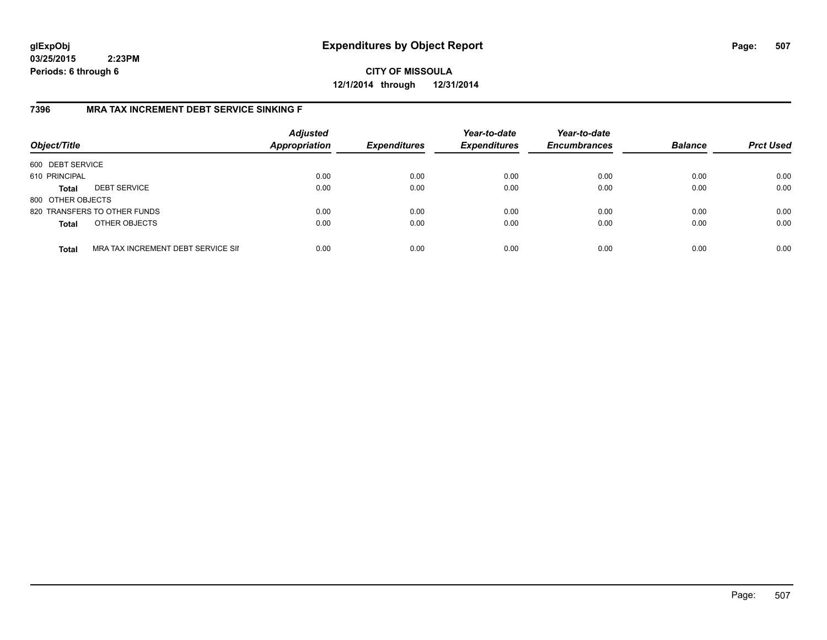**CITY OF MISSOULA 12/1/2014 through 12/31/2014**

### **7396 MRA TAX INCREMENT DEBT SERVICE SINKING F**

| Object/Title      |                                    | <b>Adjusted</b><br><b>Appropriation</b> | <b>Expenditures</b> | Year-to-date<br><b>Expenditures</b> | Year-to-date<br><b>Encumbrances</b> | <b>Balance</b> | <b>Prct Used</b> |
|-------------------|------------------------------------|-----------------------------------------|---------------------|-------------------------------------|-------------------------------------|----------------|------------------|
| 600 DEBT SERVICE  |                                    |                                         |                     |                                     |                                     |                |                  |
| 610 PRINCIPAL     |                                    | 0.00                                    | 0.00                | 0.00                                | 0.00                                | 0.00           | 0.00             |
| <b>Total</b>      | <b>DEBT SERVICE</b>                | 0.00                                    | 0.00                | 0.00                                | 0.00                                | 0.00           | 0.00             |
| 800 OTHER OBJECTS |                                    |                                         |                     |                                     |                                     |                |                  |
|                   | 820 TRANSFERS TO OTHER FUNDS       | 0.00                                    | 0.00                | 0.00                                | 0.00                                | 0.00           | 0.00             |
| <b>Total</b>      | OTHER OBJECTS                      | 0.00                                    | 0.00                | 0.00                                | 0.00                                | 0.00           | 0.00             |
| <b>Total</b>      | MRA TAX INCREMENT DEBT SERVICE SII | 0.00                                    | 0.00                | 0.00                                | 0.00                                | 0.00           | 0.00             |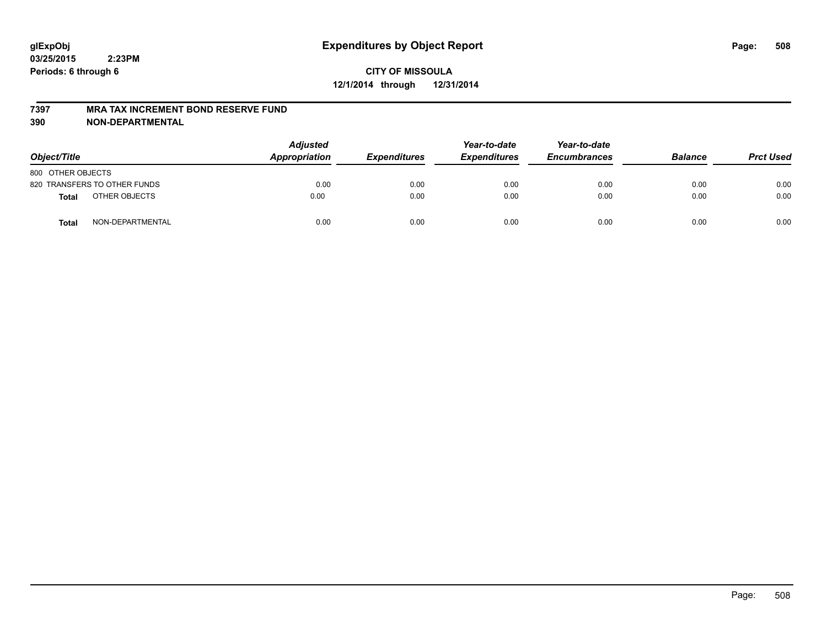#### **7397 MRA TAX INCREMENT BOND RESERVE FUND**

**390 NON-DEPARTMENTAL**

| Object/Title      |                              | <b>Adjusted</b><br>Appropriation | <b>Expenditures</b> | Year-to-date<br><b>Expenditures</b> | Year-to-date<br><b>Encumbrances</b> | <b>Balance</b> | <b>Prct Used</b> |
|-------------------|------------------------------|----------------------------------|---------------------|-------------------------------------|-------------------------------------|----------------|------------------|
| 800 OTHER OBJECTS |                              |                                  |                     |                                     |                                     |                |                  |
|                   | 820 TRANSFERS TO OTHER FUNDS | 0.00                             | 0.00                | 0.00                                | 0.00                                | 0.00           | 0.00             |
| Total             | OTHER OBJECTS                | 0.00                             | 0.00                | 0.00                                | 0.00                                | 0.00           | 0.00             |
| <b>Total</b>      | NON-DEPARTMENTAL             | 0.00                             | 0.00                | 0.00                                | 0.00                                | 0.00           | 0.00             |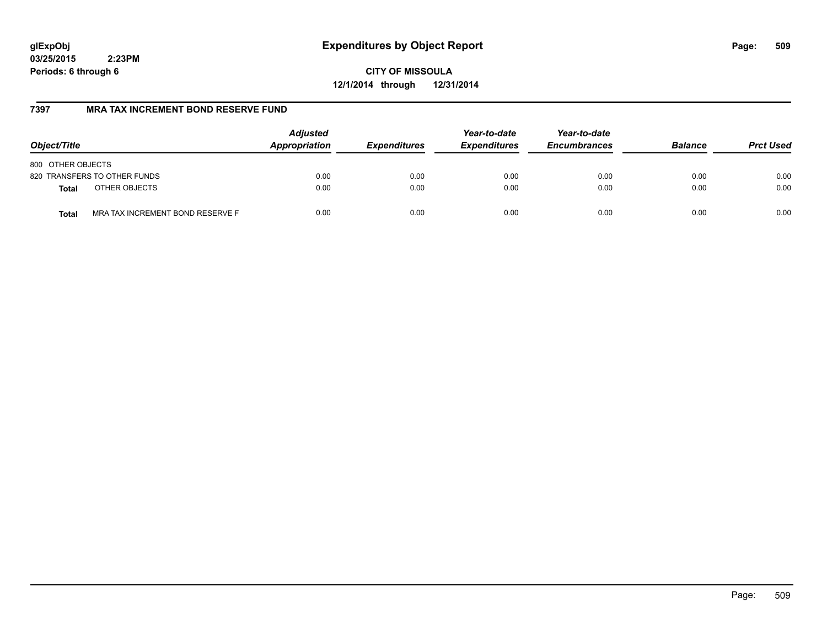# **glExpObj Expenditures by Object Report Page: 509**

**03/25/2015 2:23PM Periods: 6 through 6**

**CITY OF MISSOULA 12/1/2014 through 12/31/2014**

### **7397 MRA TAX INCREMENT BOND RESERVE FUND**

| Object/Title                                     | <b>Adjusted</b><br>Appropriation | <b>Expenditures</b> | Year-to-date<br><b>Expenditures</b> | Year-to-date<br><b>Encumbrances</b> | <b>Balance</b> | <b>Prct Used</b> |
|--------------------------------------------------|----------------------------------|---------------------|-------------------------------------|-------------------------------------|----------------|------------------|
| 800 OTHER OBJECTS                                |                                  |                     |                                     |                                     |                |                  |
| 820 TRANSFERS TO OTHER FUNDS                     | 0.00                             | 0.00                | 0.00                                | 0.00                                | 0.00           | 0.00             |
| OTHER OBJECTS<br><b>Total</b>                    | 0.00                             | 0.00                | 0.00                                | 0.00                                | 0.00           | 0.00             |
| MRA TAX INCREMENT BOND RESERVE F<br><b>Total</b> | 0.00                             | 0.00                | 0.00                                | 0.00                                | 0.00           | 0.00             |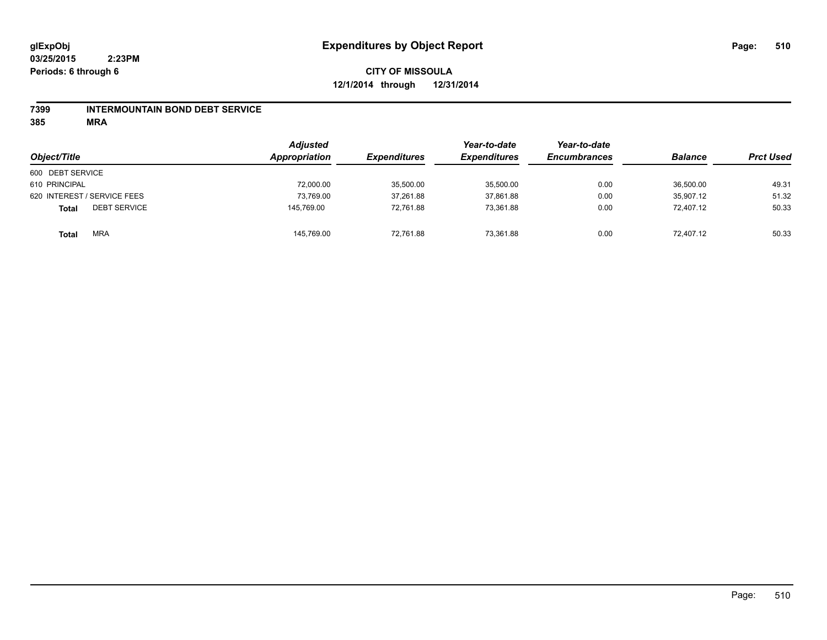### **7399 INTERMOUNTAIN BOND DEBT SERVICE**

**385 MRA**

| Object/Title                        | <b>Adjusted</b><br>Appropriation | <b>Expenditures</b> | Year-to-date<br><b>Expenditures</b> | Year-to-date<br><b>Encumbrances</b> | <b>Balance</b> | <b>Prct Used</b> |
|-------------------------------------|----------------------------------|---------------------|-------------------------------------|-------------------------------------|----------------|------------------|
| 600 DEBT SERVICE                    |                                  |                     |                                     |                                     |                |                  |
| 610 PRINCIPAL                       | 72,000.00                        | 35,500.00           | 35,500.00                           | 0.00                                | 36,500.00      | 49.31            |
| 620 INTEREST / SERVICE FEES         | 73.769.00                        | 37,261.88           | 37,861.88                           | 0.00                                | 35.907.12      | 51.32            |
| <b>DEBT SERVICE</b><br><b>Total</b> | 145.769.00                       | 72,761.88           | 73.361.88                           | 0.00                                | 72,407.12      | 50.33            |
| <b>MRA</b><br>Total                 | 145,769.00                       | 72,761.88           | 73,361.88                           | 0.00                                | 72,407.12      | 50.33            |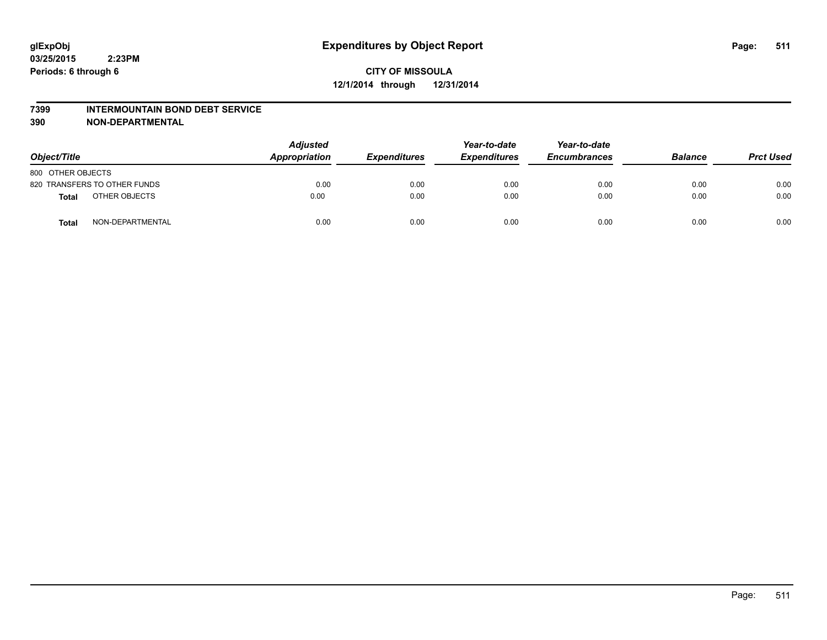#### **7399 INTERMOUNTAIN BOND DEBT SERVICE**

**390 NON-DEPARTMENTAL**

| Object/Title      |                              | <b>Adjusted</b><br>Appropriation | <b>Expenditures</b> | Year-to-date<br><b>Expenditures</b> | Year-to-date<br><b>Encumbrances</b> | <b>Balance</b> | <b>Prct Used</b> |
|-------------------|------------------------------|----------------------------------|---------------------|-------------------------------------|-------------------------------------|----------------|------------------|
| 800 OTHER OBJECTS |                              |                                  |                     |                                     |                                     |                |                  |
|                   | 820 TRANSFERS TO OTHER FUNDS | 0.00                             | 0.00                | 0.00                                | 0.00                                | 0.00           | 0.00             |
| Total             | OTHER OBJECTS                | 0.00                             | 0.00                | 0.00                                | 0.00                                | 0.00           | 0.00             |
| <b>Total</b>      | NON-DEPARTMENTAL             | 0.00                             | 0.00                | 0.00                                | 0.00                                | 0.00           | 0.00             |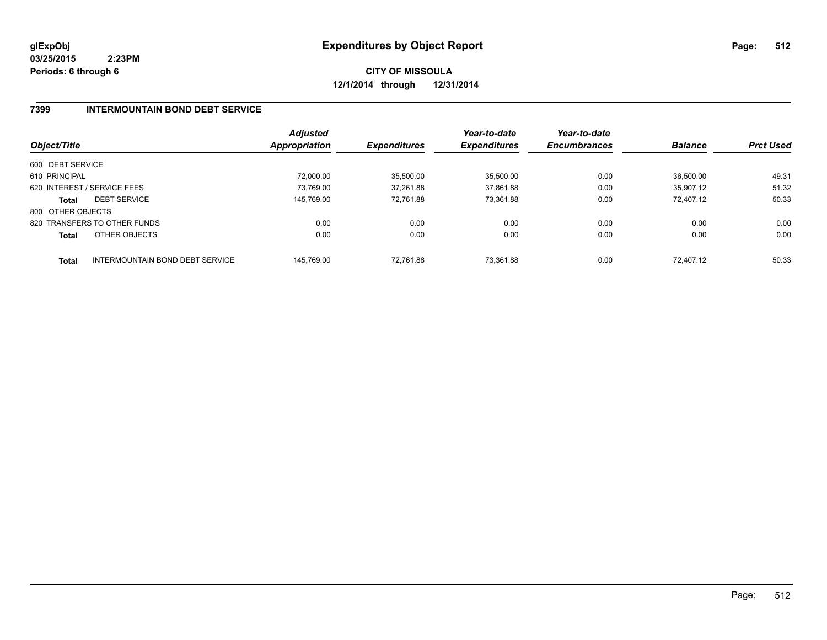**CITY OF MISSOULA 12/1/2014 through 12/31/2014**

### **7399 INTERMOUNTAIN BOND DEBT SERVICE**

| Object/Title      |                                 | <b>Adjusted</b><br><b>Appropriation</b> | <b>Expenditures</b> | Year-to-date<br><b>Expenditures</b> | Year-to-date<br><b>Encumbrances</b> | <b>Balance</b> | <b>Prct Used</b> |
|-------------------|---------------------------------|-----------------------------------------|---------------------|-------------------------------------|-------------------------------------|----------------|------------------|
| 600 DEBT SERVICE  |                                 |                                         |                     |                                     |                                     |                |                  |
| 610 PRINCIPAL     |                                 | 72.000.00                               | 35,500.00           | 35,500.00                           | 0.00                                | 36.500.00      | 49.31            |
|                   | 620 INTEREST / SERVICE FEES     | 73.769.00                               | 37,261.88           | 37,861.88                           | 0.00                                | 35.907.12      | 51.32            |
| <b>Total</b>      | <b>DEBT SERVICE</b>             | 145.769.00                              | 72.761.88           | 73.361.88                           | 0.00                                | 72.407.12      | 50.33            |
| 800 OTHER OBJECTS |                                 |                                         |                     |                                     |                                     |                |                  |
|                   | 820 TRANSFERS TO OTHER FUNDS    | 0.00                                    | 0.00                | 0.00                                | 0.00                                | 0.00           | 0.00             |
| <b>Total</b>      | OTHER OBJECTS                   | 0.00                                    | 0.00                | 0.00                                | 0.00                                | 0.00           | 0.00             |
| <b>Total</b>      | INTERMOUNTAIN BOND DEBT SERVICE | 145.769.00                              | 72.761.88           | 73.361.88                           | 0.00                                | 72.407.12      | 50.33            |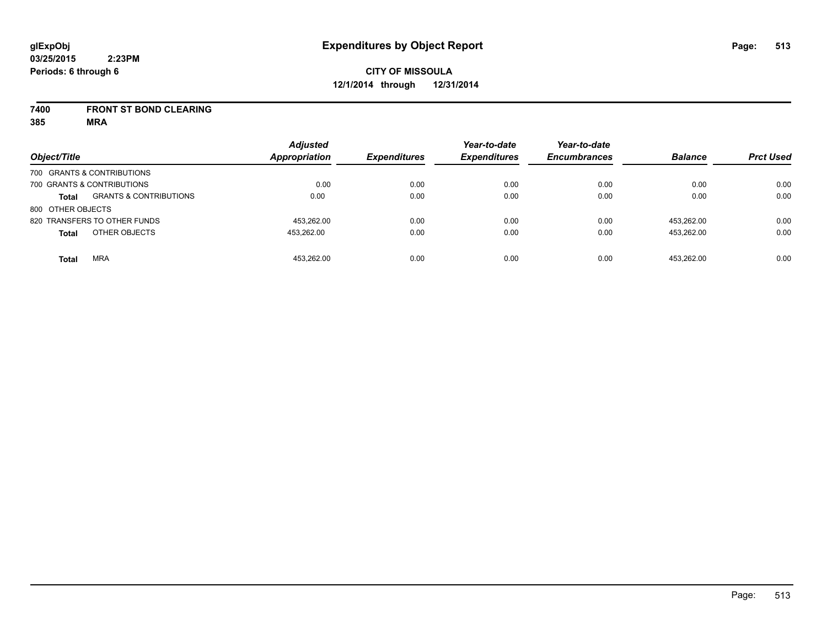#### **7400 FRONT ST BOND CLEARING**

**385 MRA**

| Object/Title      |                                   | <b>Adjusted</b><br><b>Appropriation</b> | <b>Expenditures</b> | Year-to-date<br><b>Expenditures</b> | Year-to-date<br><b>Encumbrances</b> | <b>Balance</b> | <b>Prct Used</b> |
|-------------------|-----------------------------------|-----------------------------------------|---------------------|-------------------------------------|-------------------------------------|----------------|------------------|
|                   | 700 GRANTS & CONTRIBUTIONS        |                                         |                     |                                     |                                     |                |                  |
|                   | 700 GRANTS & CONTRIBUTIONS        | 0.00                                    | 0.00                | 0.00                                | 0.00                                | 0.00           | 0.00             |
| <b>Total</b>      | <b>GRANTS &amp; CONTRIBUTIONS</b> | 0.00                                    | 0.00                | 0.00                                | 0.00                                | 0.00           | 0.00             |
| 800 OTHER OBJECTS |                                   |                                         |                     |                                     |                                     |                |                  |
|                   | 820 TRANSFERS TO OTHER FUNDS      | 453.262.00                              | 0.00                | 0.00                                | 0.00                                | 453.262.00     | 0.00             |
| <b>Total</b>      | OTHER OBJECTS                     | 453.262.00                              | 0.00                | 0.00                                | 0.00                                | 453.262.00     | 0.00             |
| <b>Total</b>      | <b>MRA</b>                        | 453.262.00                              | 0.00                | 0.00                                | 0.00                                | 453.262.00     | 0.00             |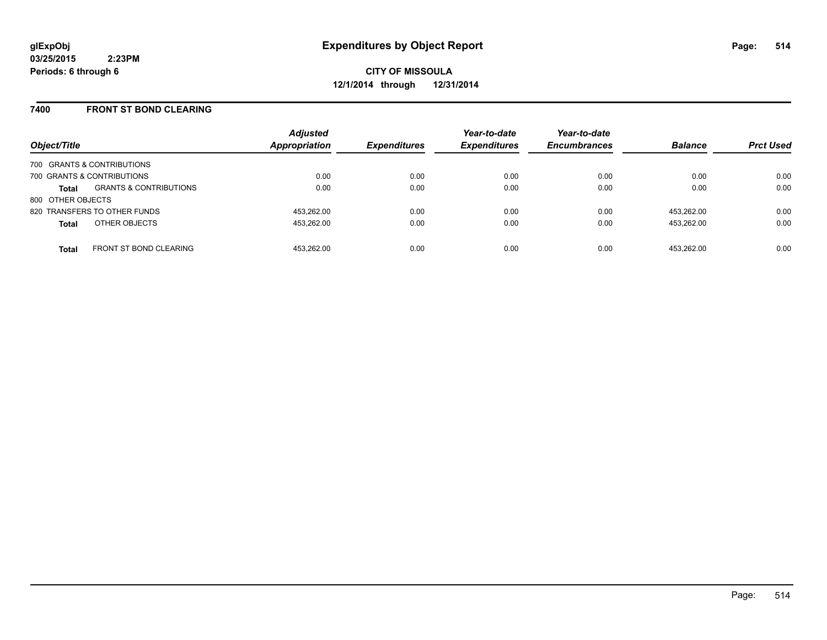### **7400 FRONT ST BOND CLEARING**

| Object/Title      |                                   | <b>Adjusted</b><br>Appropriation | <b>Expenditures</b> | Year-to-date<br><b>Expenditures</b> | Year-to-date<br><b>Encumbrances</b> | <b>Balance</b> | <b>Prct Used</b> |
|-------------------|-----------------------------------|----------------------------------|---------------------|-------------------------------------|-------------------------------------|----------------|------------------|
|                   | 700 GRANTS & CONTRIBUTIONS        |                                  |                     |                                     |                                     |                |                  |
|                   | 700 GRANTS & CONTRIBUTIONS        | 0.00                             | 0.00                | 0.00                                | 0.00                                | 0.00           | 0.00             |
| <b>Total</b>      | <b>GRANTS &amp; CONTRIBUTIONS</b> | 0.00                             | 0.00                | 0.00                                | 0.00                                | 0.00           | 0.00             |
| 800 OTHER OBJECTS |                                   |                                  |                     |                                     |                                     |                |                  |
|                   | 820 TRANSFERS TO OTHER FUNDS      | 453.262.00                       | 0.00                | 0.00                                | 0.00                                | 453.262.00     | 0.00             |
| <b>Total</b>      | OTHER OBJECTS                     | 453.262.00                       | 0.00                | 0.00                                | 0.00                                | 453.262.00     | 0.00             |
| <b>Total</b>      | <b>FRONT ST BOND CLEARING</b>     | 453.262.00                       | 0.00                | 0.00                                | 0.00                                | 453.262.00     | 0.00             |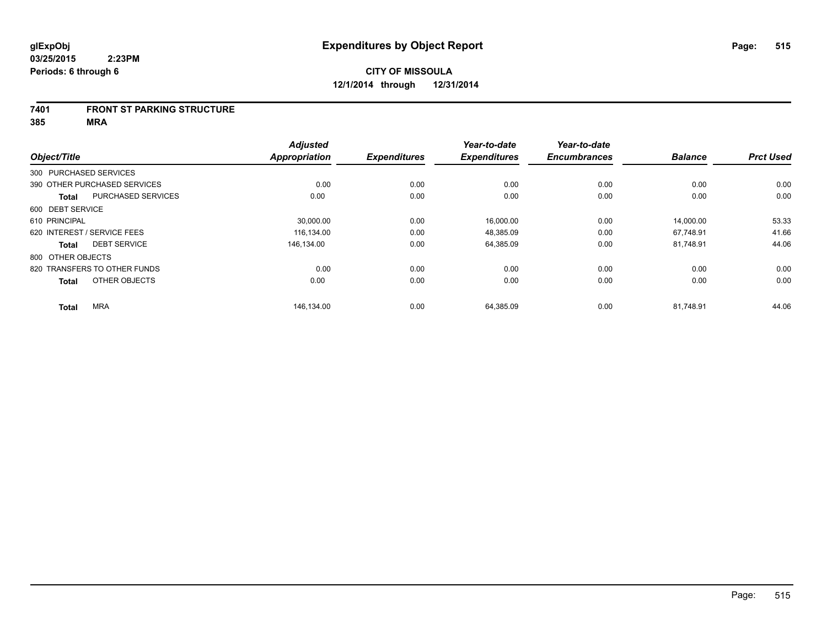#### **7401 FRONT ST PARKING STRUCTURE**

**385 MRA**

| Object/Title      |                              | <b>Adjusted</b><br><b>Appropriation</b> | <b>Expenditures</b> | Year-to-date<br><b>Expenditures</b> | Year-to-date<br><b>Encumbrances</b> | <b>Balance</b> | <b>Prct Used</b> |
|-------------------|------------------------------|-----------------------------------------|---------------------|-------------------------------------|-------------------------------------|----------------|------------------|
|                   |                              |                                         |                     |                                     |                                     |                |                  |
|                   | 300 PURCHASED SERVICES       |                                         |                     |                                     |                                     |                |                  |
|                   | 390 OTHER PURCHASED SERVICES | 0.00                                    | 0.00                | 0.00                                | 0.00                                | 0.00           | 0.00             |
| <b>Total</b>      | <b>PURCHASED SERVICES</b>    | 0.00                                    | 0.00                | 0.00                                | 0.00                                | 0.00           | 0.00             |
| 600 DEBT SERVICE  |                              |                                         |                     |                                     |                                     |                |                  |
| 610 PRINCIPAL     |                              | 30,000.00                               | 0.00                | 16,000.00                           | 0.00                                | 14,000.00      | 53.33            |
|                   | 620 INTEREST / SERVICE FEES  | 116.134.00                              | 0.00                | 48.385.09                           | 0.00                                | 67.748.91      | 41.66            |
| <b>Total</b>      | <b>DEBT SERVICE</b>          | 146.134.00                              | 0.00                | 64,385.09                           | 0.00                                | 81,748.91      | 44.06            |
| 800 OTHER OBJECTS |                              |                                         |                     |                                     |                                     |                |                  |
|                   | 820 TRANSFERS TO OTHER FUNDS | 0.00                                    | 0.00                | 0.00                                | 0.00                                | 0.00           | 0.00             |
| <b>Total</b>      | OTHER OBJECTS                | 0.00                                    | 0.00                | 0.00                                | 0.00                                | 0.00           | 0.00             |
| <b>Total</b>      | <b>MRA</b>                   | 146,134.00                              | 0.00                | 64,385.09                           | 0.00                                | 81,748.91      | 44.06            |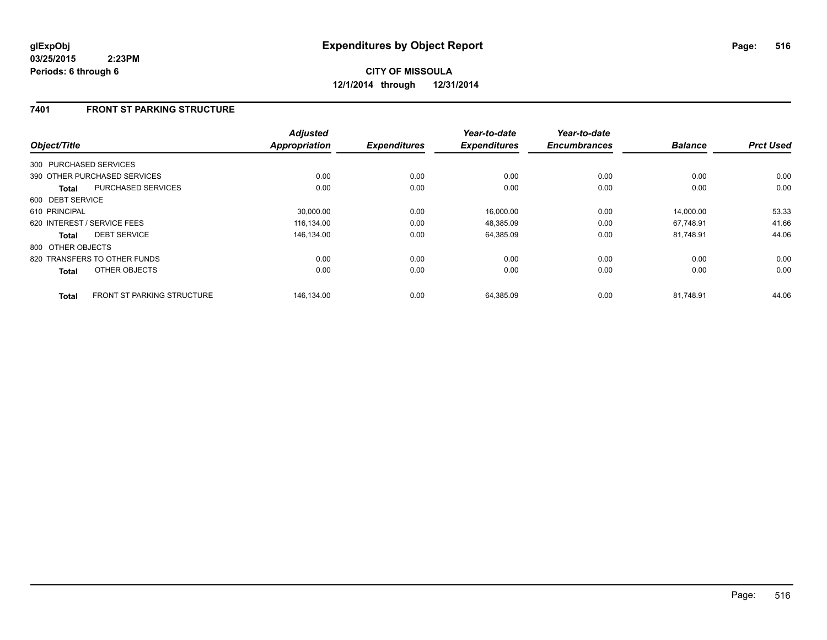### **7401 FRONT ST PARKING STRUCTURE**

| Object/Title                                      | <b>Adjusted</b><br><b>Appropriation</b> | <b>Expenditures</b> | Year-to-date<br><b>Expenditures</b> | Year-to-date<br><b>Encumbrances</b> | <b>Balance</b> | <b>Prct Used</b> |
|---------------------------------------------------|-----------------------------------------|---------------------|-------------------------------------|-------------------------------------|----------------|------------------|
| 300 PURCHASED SERVICES                            |                                         |                     |                                     |                                     |                |                  |
| 390 OTHER PURCHASED SERVICES                      | 0.00                                    | 0.00                | 0.00                                | 0.00                                | 0.00           | 0.00             |
| <b>PURCHASED SERVICES</b><br>Total                | 0.00                                    | 0.00                | 0.00                                | 0.00                                | 0.00           | 0.00             |
| 600 DEBT SERVICE                                  |                                         |                     |                                     |                                     |                |                  |
| 610 PRINCIPAL                                     | 30,000.00                               | 0.00                | 16,000.00                           | 0.00                                | 14,000.00      | 53.33            |
| 620 INTEREST / SERVICE FEES                       | 116.134.00                              | 0.00                | 48,385.09                           | 0.00                                | 67.748.91      | 41.66            |
| <b>DEBT SERVICE</b><br>Total                      | 146.134.00                              | 0.00                | 64,385.09                           | 0.00                                | 81.748.91      | 44.06            |
| 800 OTHER OBJECTS                                 |                                         |                     |                                     |                                     |                |                  |
| 820 TRANSFERS TO OTHER FUNDS                      | 0.00                                    | 0.00                | 0.00                                | 0.00                                | 0.00           | 0.00             |
| OTHER OBJECTS<br><b>Total</b>                     | 0.00                                    | 0.00                | 0.00                                | 0.00                                | 0.00           | 0.00             |
| <b>FRONT ST PARKING STRUCTURE</b><br><b>Total</b> | 146,134.00                              | 0.00                | 64,385.09                           | 0.00                                | 81,748.91      | 44.06            |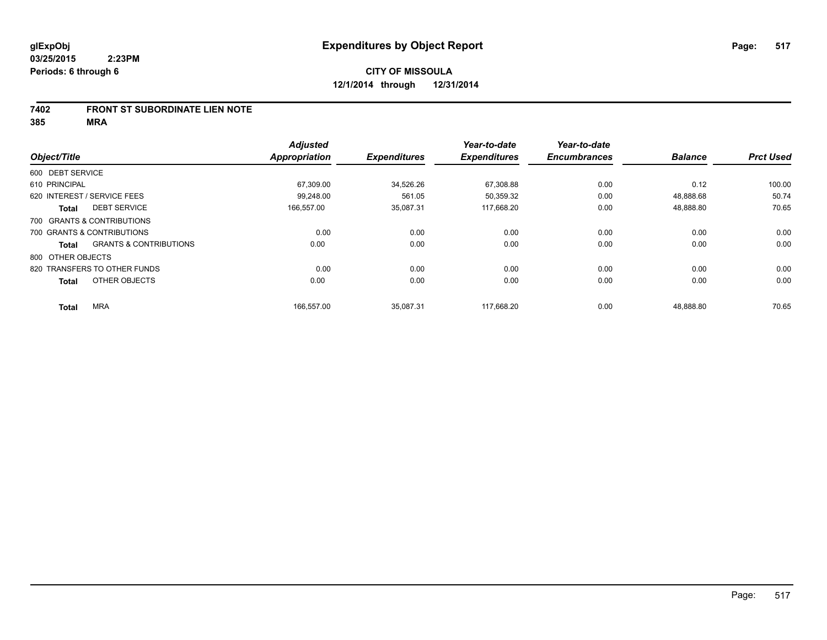### **7402 FRONT ST SUBORDINATE LIEN NOTE**

**385 MRA**

|                              |                                   | <b>Adjusted</b>      |                     | Year-to-date        | Year-to-date        |                |                  |
|------------------------------|-----------------------------------|----------------------|---------------------|---------------------|---------------------|----------------|------------------|
| Object/Title                 |                                   | <b>Appropriation</b> | <b>Expenditures</b> | <b>Expenditures</b> | <b>Encumbrances</b> | <b>Balance</b> | <b>Prct Used</b> |
| 600 DEBT SERVICE             |                                   |                      |                     |                     |                     |                |                  |
| 610 PRINCIPAL                |                                   | 67,309.00            | 34,526.26           | 67,308.88           | 0.00                | 0.12           | 100.00           |
| 620 INTEREST / SERVICE FEES  |                                   | 99.248.00            | 561.05              | 50,359.32           | 0.00                | 48,888.68      | 50.74            |
| <b>Total</b>                 | <b>DEBT SERVICE</b>               | 166,557.00           | 35,087.31           | 117,668.20          | 0.00                | 48,888.80      | 70.65            |
| 700 GRANTS & CONTRIBUTIONS   |                                   |                      |                     |                     |                     |                |                  |
| 700 GRANTS & CONTRIBUTIONS   |                                   | 0.00                 | 0.00                | 0.00                | 0.00                | 0.00           | 0.00             |
| Total                        | <b>GRANTS &amp; CONTRIBUTIONS</b> | 0.00                 | 0.00                | 0.00                | 0.00                | 0.00           | 0.00             |
| 800 OTHER OBJECTS            |                                   |                      |                     |                     |                     |                |                  |
| 820 TRANSFERS TO OTHER FUNDS |                                   | 0.00                 | 0.00                | 0.00                | 0.00                | 0.00           | 0.00             |
| <b>Total</b>                 | OTHER OBJECTS                     | 0.00                 | 0.00                | 0.00                | 0.00                | 0.00           | 0.00             |
| <b>MRA</b><br><b>Total</b>   |                                   | 166,557.00           | 35,087.31           | 117,668.20          | 0.00                | 48,888.80      | 70.65            |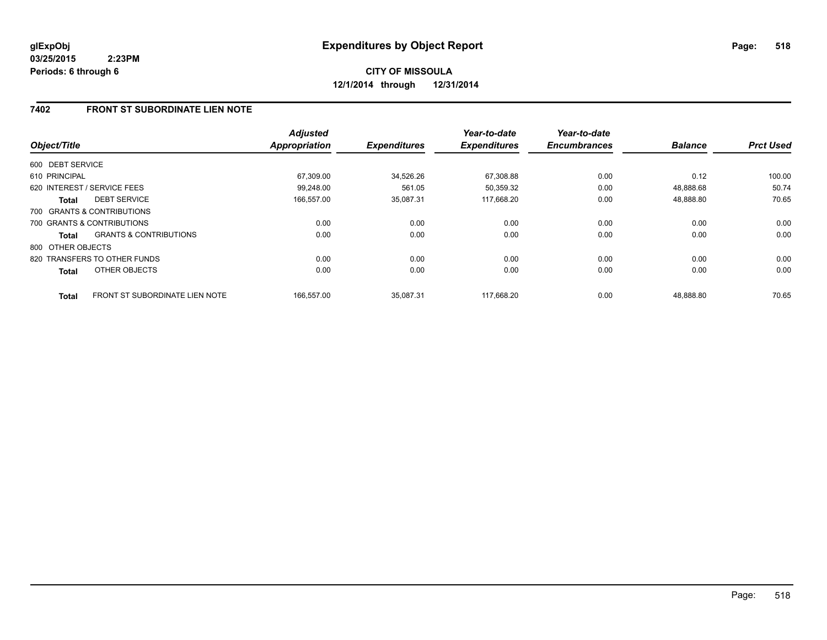### **7402 FRONT ST SUBORDINATE LIEN NOTE**

| Object/Title      |                                   | <b>Adjusted</b><br>Appropriation | <b>Expenditures</b> | Year-to-date<br><b>Expenditures</b> | Year-to-date<br><b>Encumbrances</b> | <b>Balance</b> | <b>Prct Used</b> |
|-------------------|-----------------------------------|----------------------------------|---------------------|-------------------------------------|-------------------------------------|----------------|------------------|
| 600 DEBT SERVICE  |                                   |                                  |                     |                                     |                                     |                |                  |
| 610 PRINCIPAL     |                                   | 67,309.00                        | 34,526.26           | 67,308.88                           | 0.00                                | 0.12           | 100.00           |
|                   | 620 INTEREST / SERVICE FEES       | 99.248.00                        | 561.05              | 50.359.32                           | 0.00                                | 48.888.68      | 50.74            |
| Total             | <b>DEBT SERVICE</b>               | 166,557.00                       | 35,087.31           | 117,668.20                          | 0.00                                | 48,888.80      | 70.65            |
|                   | 700 GRANTS & CONTRIBUTIONS        |                                  |                     |                                     |                                     |                |                  |
|                   | 700 GRANTS & CONTRIBUTIONS        | 0.00                             | 0.00                | 0.00                                | 0.00                                | 0.00           | 0.00             |
| <b>Total</b>      | <b>GRANTS &amp; CONTRIBUTIONS</b> | 0.00                             | 0.00                | 0.00                                | 0.00                                | 0.00           | 0.00             |
| 800 OTHER OBJECTS |                                   |                                  |                     |                                     |                                     |                |                  |
|                   | 820 TRANSFERS TO OTHER FUNDS      | 0.00                             | 0.00                | 0.00                                | 0.00                                | 0.00           | 0.00             |
| <b>Total</b>      | OTHER OBJECTS                     | 0.00                             | 0.00                | 0.00                                | 0.00                                | 0.00           | 0.00             |
| <b>Total</b>      | FRONT ST SUBORDINATE LIEN NOTE    | 166.557.00                       | 35.087.31           | 117.668.20                          | 0.00                                | 48.888.80      | 70.65            |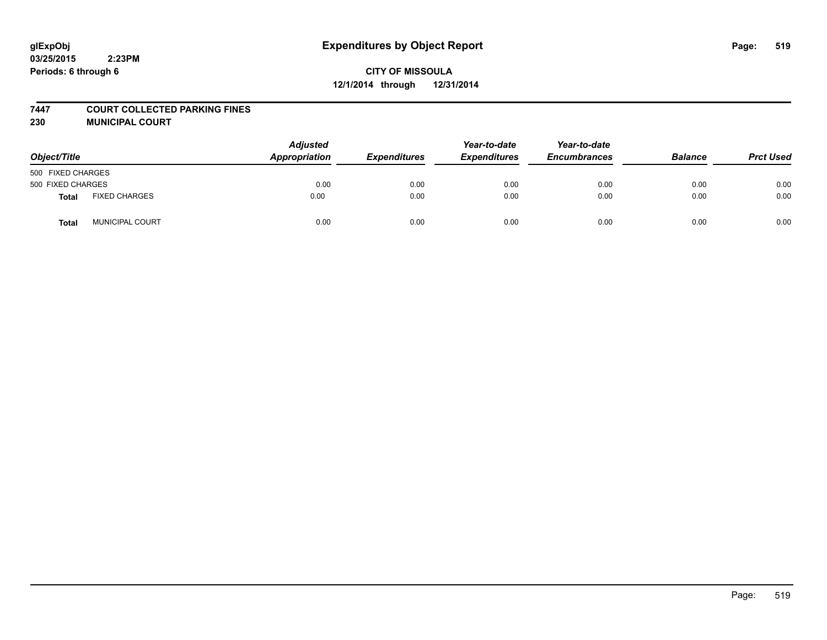#### **7447 COURT COLLECTED PARKING FINES**

**230 MUNICIPAL COURT**

| Object/Title      |                        | <b>Adjusted</b><br>Appropriation | <b>Expenditures</b> | Year-to-date<br><b>Expenditures</b> | Year-to-date<br><b>Encumbrances</b> | <b>Balance</b> | <b>Prct Used</b> |
|-------------------|------------------------|----------------------------------|---------------------|-------------------------------------|-------------------------------------|----------------|------------------|
| 500 FIXED CHARGES |                        |                                  |                     |                                     |                                     |                |                  |
| 500 FIXED CHARGES |                        | 0.00                             | 0.00                | 0.00                                | 0.00                                | 0.00           | 0.00             |
| <b>Total</b>      | <b>FIXED CHARGES</b>   | 0.00                             | 0.00                | 0.00                                | 0.00                                | 0.00           | 0.00             |
| Total             | <b>MUNICIPAL COURT</b> | 0.00                             | 0.00                | 0.00                                | 0.00                                | 0.00           | 0.00             |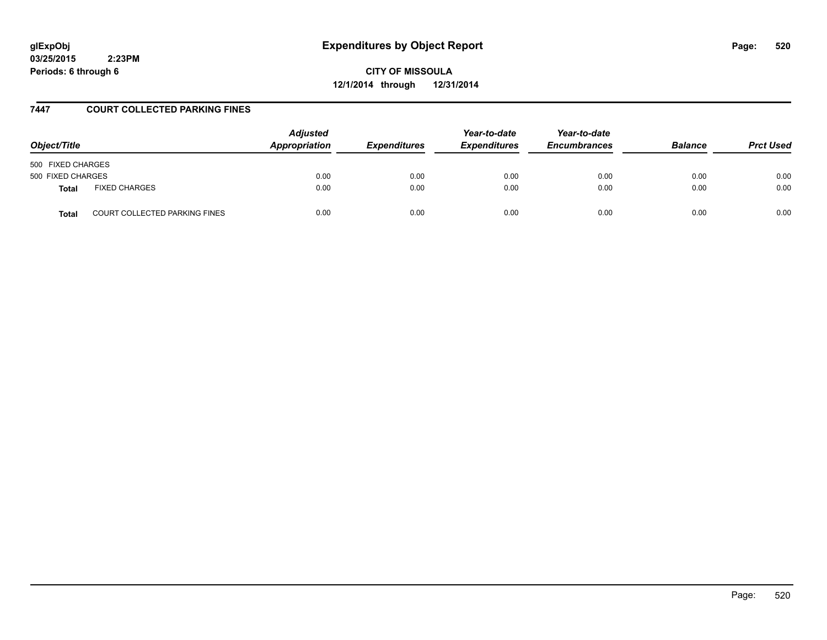# **glExpObj Expenditures by Object Report Page: 520**

**03/25/2015 2:23PM Periods: 6 through 6**

**CITY OF MISSOULA 12/1/2014 through 12/31/2014**

### **7447 COURT COLLECTED PARKING FINES**

| Object/Title                                         | <b>Adjusted</b><br><b>Appropriation</b> | <i><b>Expenditures</b></i> | Year-to-date<br><b>Expenditures</b> | Year-to-date<br><b>Encumbrances</b> | <b>Balance</b> | <b>Prct Used</b> |
|------------------------------------------------------|-----------------------------------------|----------------------------|-------------------------------------|-------------------------------------|----------------|------------------|
| 500 FIXED CHARGES                                    |                                         |                            |                                     |                                     |                |                  |
| 500 FIXED CHARGES                                    | 0.00                                    | 0.00                       | 0.00                                | 0.00                                | 0.00           | 0.00             |
| <b>FIXED CHARGES</b><br><b>Total</b>                 | 0.00                                    | 0.00                       | 0.00                                | 0.00                                | 0.00           | 0.00             |
| <b>COURT COLLECTED PARKING FINES</b><br><b>Total</b> | 0.00                                    | 0.00                       | 0.00                                | 0.00                                | 0.00           | 0.00             |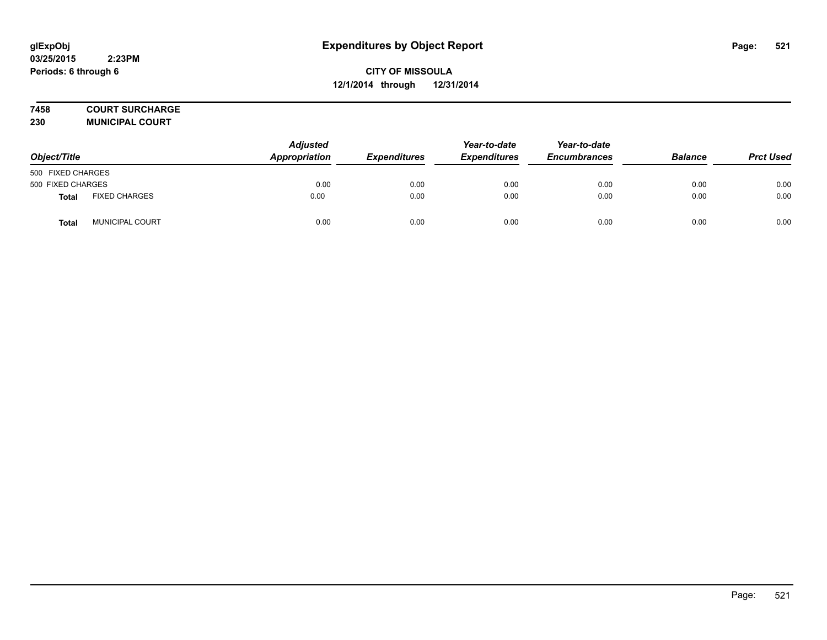## **7458 COURT SURCHARGE**

**230 MUNICIPAL COURT**

| Object/Title      |                      | Adjusted<br>Appropriation | <b>Expenditures</b> | Year-to-date<br><b>Expenditures</b> | Year-to-date<br><b>Encumbrances</b> | <b>Balance</b> | <b>Prct Used</b> |
|-------------------|----------------------|---------------------------|---------------------|-------------------------------------|-------------------------------------|----------------|------------------|
| 500 FIXED CHARGES |                      |                           |                     |                                     |                                     |                |                  |
| 500 FIXED CHARGES |                      | 0.00                      | 0.00                | 0.00                                | 0.00                                | 0.00           | 0.00             |
| <b>Total</b>      | <b>FIXED CHARGES</b> | 0.00                      | 0.00                | 0.00                                | 0.00                                | 0.00           | 0.00             |
| Total             | MUNICIPAL COURT      | 0.00                      | 0.00                | 0.00                                | 0.00                                | 0.00           | 0.00             |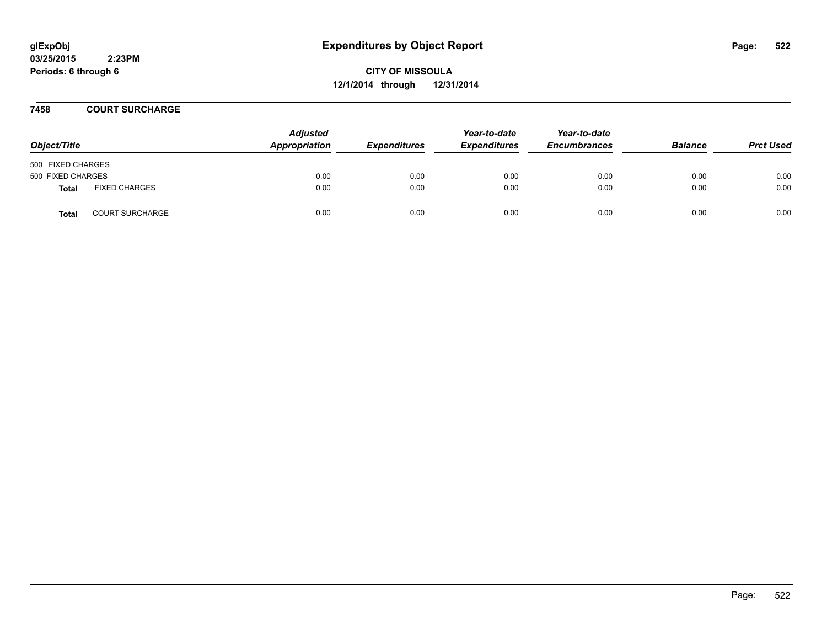**CITY OF MISSOULA 12/1/2014 through 12/31/2014**

### **7458 COURT SURCHARGE**

| Object/Title      |                        | <b>Adjusted</b><br>Appropriation | <b>Expenditures</b> | Year-to-date<br><b>Expenditures</b> | Year-to-date<br><b>Encumbrances</b> | <b>Balance</b> | <b>Prct Used</b> |
|-------------------|------------------------|----------------------------------|---------------------|-------------------------------------|-------------------------------------|----------------|------------------|
| 500 FIXED CHARGES |                        |                                  |                     |                                     |                                     |                |                  |
| 500 FIXED CHARGES |                        | 0.00                             | 0.00                | 0.00                                | 0.00                                | 0.00           | 0.00             |
| Total             | <b>FIXED CHARGES</b>   | 0.00                             | 0.00                | 0.00                                | 0.00                                | 0.00           | 0.00             |
| <b>Total</b>      | <b>COURT SURCHARGE</b> | 0.00                             | 0.00                | 0.00                                | 0.00                                | 0.00           | 0.00             |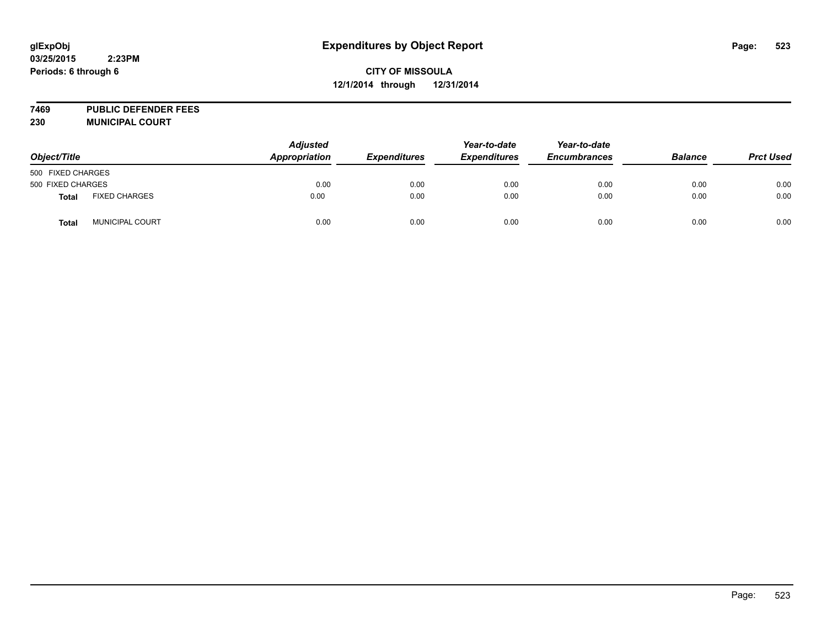## **CITY OF MISSOULA 12/1/2014 through 12/31/2014**

**7469 PUBLIC DEFENDER FEES 230 MUNICIPAL COURT**

| Object/Title      |                        | <b>Adjusted</b><br>Appropriation | <b>Expenditures</b> | Year-to-date<br><b>Expenditures</b> | Year-to-date<br><b>Encumbrances</b> | <b>Balance</b> | <b>Prct Used</b> |
|-------------------|------------------------|----------------------------------|---------------------|-------------------------------------|-------------------------------------|----------------|------------------|
| 500 FIXED CHARGES |                        |                                  |                     |                                     |                                     |                |                  |
| 500 FIXED CHARGES |                        | 0.00                             | 0.00                | 0.00                                | 0.00                                | 0.00           | 0.00             |
| <b>Total</b>      | <b>FIXED CHARGES</b>   | 0.00                             | 0.00                | 0.00                                | 0.00                                | 0.00           | 0.00             |
| <b>Total</b>      | <b>MUNICIPAL COURT</b> | 0.00                             | 0.00                | 0.00                                | 0.00                                | 0.00           | 0.00             |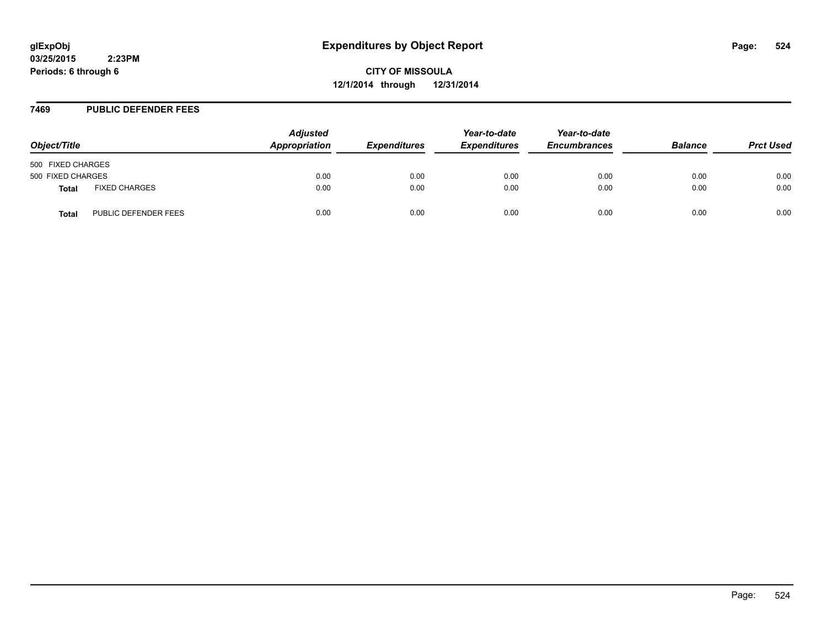**CITY OF MISSOULA 12/1/2014 through 12/31/2014**

#### **7469 PUBLIC DEFENDER FEES**

| Object/Title      |                      | <b>Adjusted</b><br>Appropriation | <b>Expenditures</b> | Year-to-date<br><b>Expenditures</b> | Year-to-date<br><b>Encumbrances</b> | <b>Balance</b> | <b>Prct Used</b> |
|-------------------|----------------------|----------------------------------|---------------------|-------------------------------------|-------------------------------------|----------------|------------------|
| 500 FIXED CHARGES |                      |                                  |                     |                                     |                                     |                |                  |
| 500 FIXED CHARGES |                      | 0.00                             | 0.00                | 0.00                                | 0.00                                | 0.00           | 0.00             |
| Total             | <b>FIXED CHARGES</b> | 0.00                             | 0.00                | 0.00                                | 0.00                                | 0.00           | 0.00             |
| Total             | PUBLIC DEFENDER FEES | 0.00                             | 0.00                | 0.00                                | 0.00                                | 0.00           | 0.00             |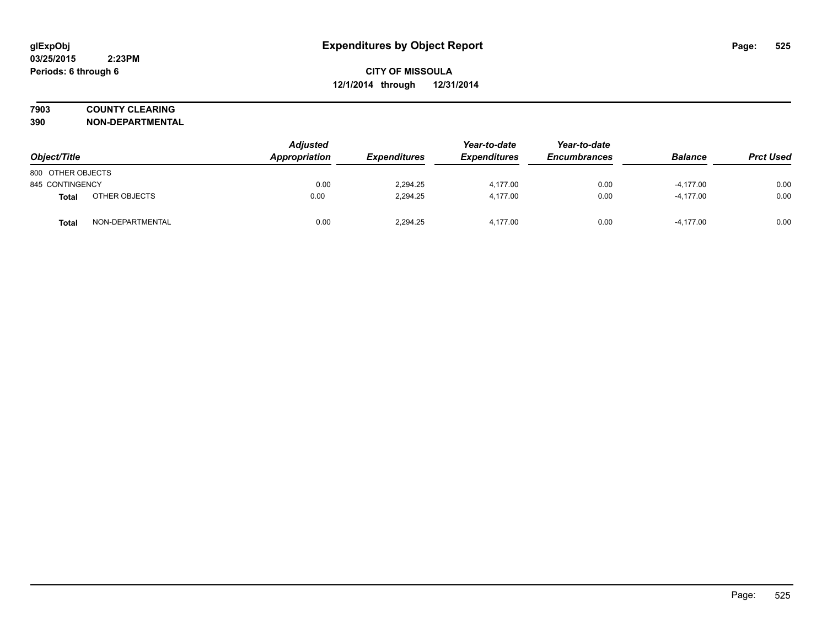## **7903 COUNTY CLEARING**

**390 NON-DEPARTMENTAL**

| Object/Title      |                  | <b>Adjusted</b><br>Appropriation | <b>Expenditures</b> | Year-to-date<br><b>Expenditures</b> | Year-to-date<br><b>Encumbrances</b> | <b>Balance</b> | <b>Prct Used</b> |
|-------------------|------------------|----------------------------------|---------------------|-------------------------------------|-------------------------------------|----------------|------------------|
| 800 OTHER OBJECTS |                  |                                  |                     |                                     |                                     |                |                  |
| 845 CONTINGENCY   |                  | 0.00                             | 2,294.25            | 4,177.00                            | 0.00                                | $-4,177.00$    | 0.00             |
| Total             | OTHER OBJECTS    | 0.00                             | 2,294.25            | 4.177.00                            | 0.00                                | $-4,177.00$    | 0.00             |
| Total             | NON-DEPARTMENTAL | 0.00                             | 2,294.25            | 4,177.00                            | 0.00                                | $-4,177.00$    | 0.00             |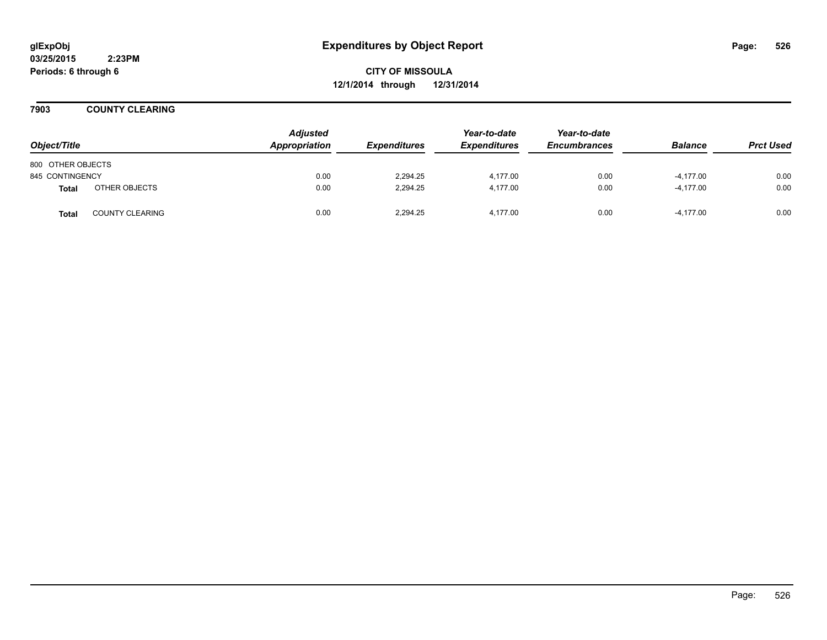**CITY OF MISSOULA 12/1/2014 through 12/31/2014**

**7903 COUNTY CLEARING**

| Object/Title      |                        | <b>Adjusted</b><br>Appropriation | <b>Expenditures</b> | Year-to-date<br><b>Expenditures</b> | Year-to-date<br><b>Encumbrances</b> | <b>Balance</b> | <b>Prct Used</b> |
|-------------------|------------------------|----------------------------------|---------------------|-------------------------------------|-------------------------------------|----------------|------------------|
| 800 OTHER OBJECTS |                        |                                  |                     |                                     |                                     |                |                  |
| 845 CONTINGENCY   |                        | 0.00                             | 2.294.25            | 4.177.00                            | 0.00                                | $-4,177.00$    | 0.00             |
| Total             | OTHER OBJECTS          | 0.00                             | 2.294.25            | 4.177.00                            | 0.00                                | $-4.177.00$    | 0.00             |
| <b>Total</b>      | <b>COUNTY CLEARING</b> | 0.00                             | 2.294.25            | 4.177.00                            | 0.00                                | $-4.177.00$    | 0.00             |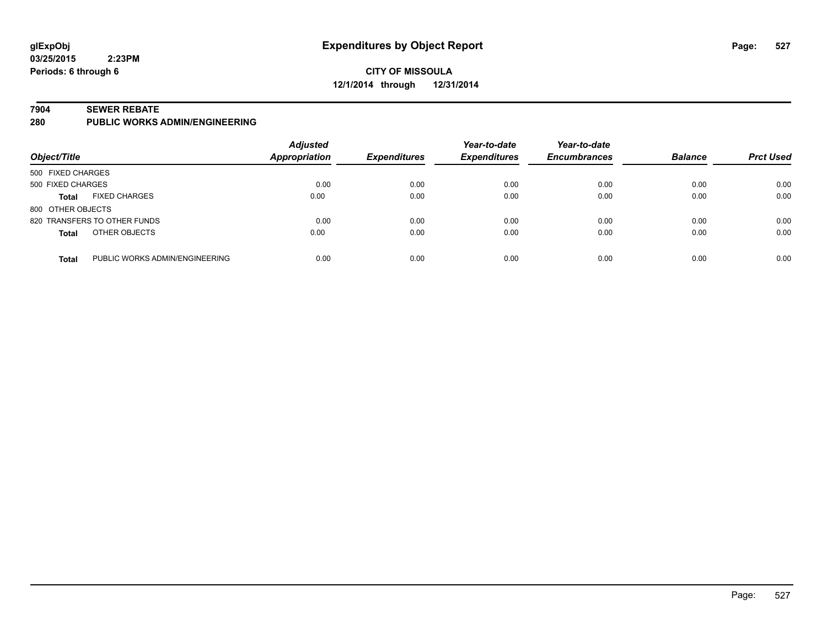### **CITY OF MISSOULA 12/1/2014 through 12/31/2014**

#### **7904 SEWER REBATE**

**280 PUBLIC WORKS ADMIN/ENGINEERING**

| Object/Title      |                                | <b>Adjusted</b><br>Appropriation | <b>Expenditures</b> | Year-to-date<br><b>Expenditures</b> | Year-to-date<br><b>Encumbrances</b> | <b>Balance</b> | <b>Prct Used</b> |
|-------------------|--------------------------------|----------------------------------|---------------------|-------------------------------------|-------------------------------------|----------------|------------------|
| 500 FIXED CHARGES |                                |                                  |                     |                                     |                                     |                |                  |
| 500 FIXED CHARGES |                                | 0.00                             | 0.00                | 0.00                                | 0.00                                | 0.00           | 0.00             |
| <b>Total</b>      | <b>FIXED CHARGES</b>           | 0.00                             | 0.00                | 0.00                                | 0.00                                | 0.00           | 0.00             |
| 800 OTHER OBJECTS |                                |                                  |                     |                                     |                                     |                |                  |
|                   | 820 TRANSFERS TO OTHER FUNDS   | 0.00                             | 0.00                | 0.00                                | 0.00                                | 0.00           | 0.00             |
| <b>Total</b>      | OTHER OBJECTS                  | 0.00                             | 0.00                | 0.00                                | 0.00                                | 0.00           | 0.00             |
| <b>Total</b>      | PUBLIC WORKS ADMIN/ENGINEERING | 0.00                             | 0.00                | 0.00                                | 0.00                                | 0.00           | 0.00             |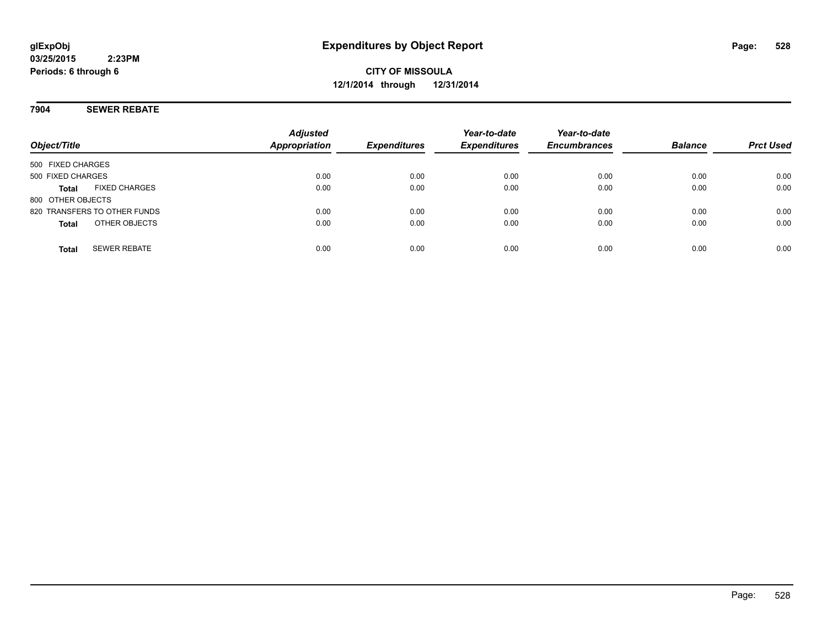### **7904 SEWER REBATE**

| Object/Title                         | <b>Adjusted</b><br><b>Appropriation</b> | <b>Expenditures</b> | Year-to-date<br><b>Expenditures</b> | Year-to-date<br><b>Encumbrances</b> | <b>Balance</b> | <b>Prct Used</b> |
|--------------------------------------|-----------------------------------------|---------------------|-------------------------------------|-------------------------------------|----------------|------------------|
| 500 FIXED CHARGES                    |                                         |                     |                                     |                                     |                |                  |
| 500 FIXED CHARGES                    | 0.00                                    | 0.00                | 0.00                                | 0.00                                | 0.00           | 0.00             |
| <b>FIXED CHARGES</b><br><b>Total</b> | 0.00                                    | 0.00                | 0.00                                | 0.00                                | 0.00           | 0.00             |
| 800 OTHER OBJECTS                    |                                         |                     |                                     |                                     |                |                  |
| 820 TRANSFERS TO OTHER FUNDS         | 0.00                                    | 0.00                | 0.00                                | 0.00                                | 0.00           | 0.00             |
| OTHER OBJECTS<br><b>Total</b>        | 0.00                                    | 0.00                | 0.00                                | 0.00                                | 0.00           | 0.00             |
|                                      |                                         |                     |                                     |                                     |                |                  |
| <b>SEWER REBATE</b><br><b>Total</b>  | 0.00                                    | 0.00                | 0.00                                | 0.00                                | 0.00           | 0.00             |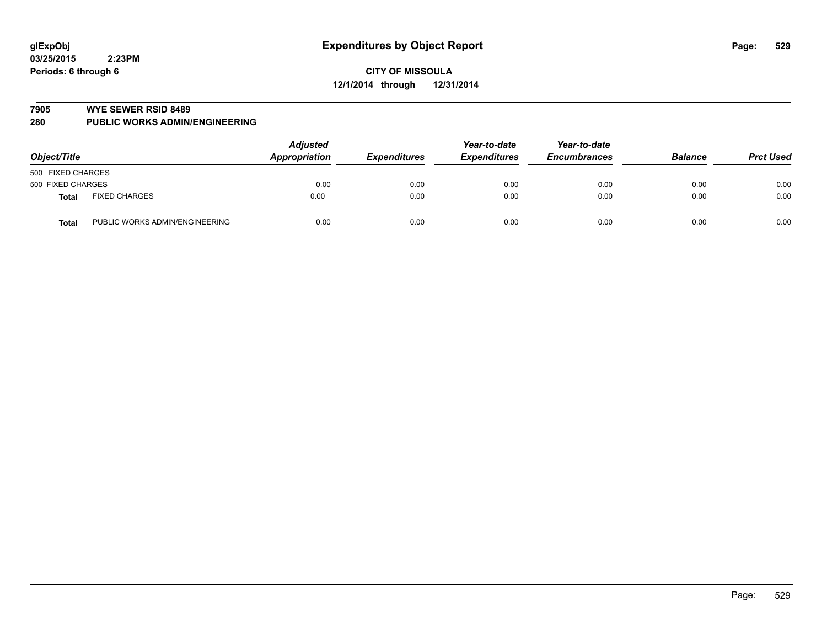#### **7905 WYE SEWER RSID 8489**

**280 PUBLIC WORKS ADMIN/ENGINEERING**

| Object/Title                            | <b>Adjusted</b><br>Appropriation | <b>Expenditures</b> | Year-to-date<br><b>Expenditures</b> | Year-to-date<br><b>Encumbrances</b> | <b>Balance</b> | <b>Prct Used</b> |
|-----------------------------------------|----------------------------------|---------------------|-------------------------------------|-------------------------------------|----------------|------------------|
| 500 FIXED CHARGES                       |                                  |                     |                                     |                                     |                |                  |
| 500 FIXED CHARGES                       | 0.00                             | 0.00                | 0.00                                | 0.00                                | 0.00           | 0.00             |
| <b>FIXED CHARGES</b><br>Total           | 0.00                             | 0.00                | 0.00                                | 0.00                                | 0.00           | 0.00             |
| PUBLIC WORKS ADMIN/ENGINEERING<br>Total | 0.00                             | 0.00                | 0.00                                | 0.00                                | 0.00           | 0.00             |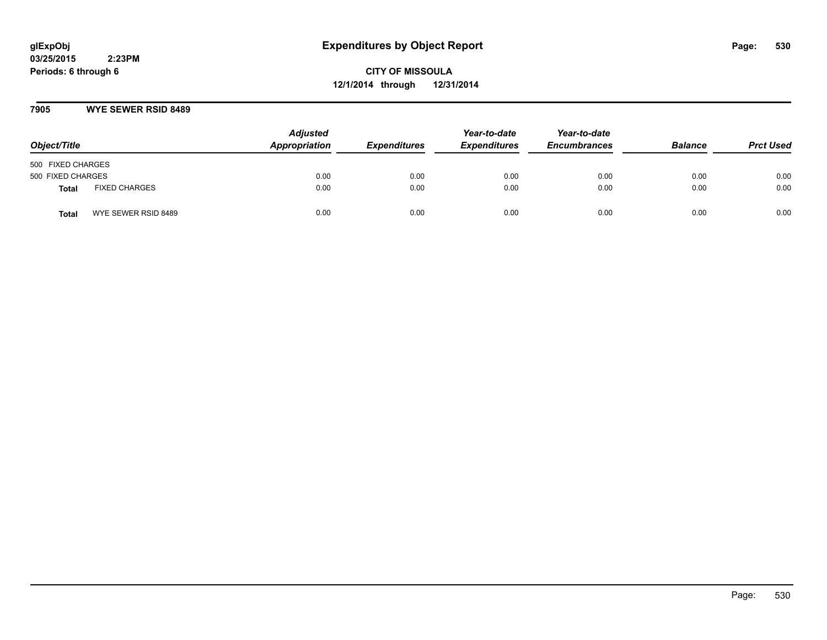**CITY OF MISSOULA 12/1/2014 through 12/31/2014**

### **7905 WYE SEWER RSID 8489**

| Object/Title      |                      | <b>Adjusted</b><br>Appropriation | <b>Expenditures</b> | Year-to-date<br><b>Expenditures</b> | Year-to-date<br><b>Encumbrances</b> | <b>Balance</b> | <b>Prct Used</b> |
|-------------------|----------------------|----------------------------------|---------------------|-------------------------------------|-------------------------------------|----------------|------------------|
| 500 FIXED CHARGES |                      |                                  |                     |                                     |                                     |                |                  |
| 500 FIXED CHARGES |                      | 0.00                             | 0.00                | 0.00                                | 0.00                                | 0.00           | 0.00             |
| <b>Total</b>      | <b>FIXED CHARGES</b> | 0.00                             | 0.00                | 0.00                                | 0.00                                | 0.00           | 0.00             |
| Total             | WYE SEWER RSID 8489  | 0.00                             | 0.00                | 0.00                                | 0.00                                | 0.00           | 0.00             |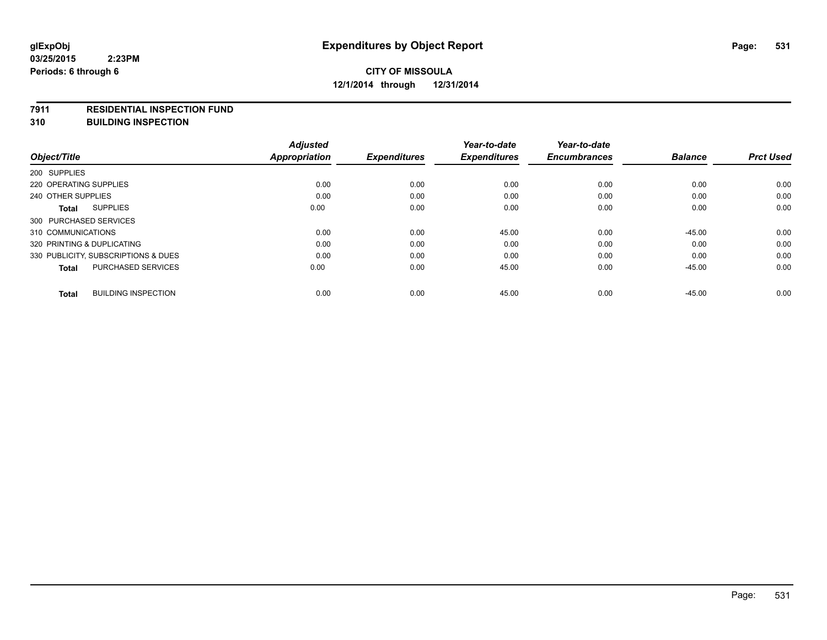#### **7911 RESIDENTIAL INSPECTION FUND**

**310 BUILDING INSPECTION**

|                                            | <b>Adjusted</b>      |                     | Year-to-date        | Year-to-date        |                | <b>Prct Used</b> |
|--------------------------------------------|----------------------|---------------------|---------------------|---------------------|----------------|------------------|
| Object/Title                               | <b>Appropriation</b> | <b>Expenditures</b> | <b>Expenditures</b> | <b>Encumbrances</b> | <b>Balance</b> |                  |
| 200 SUPPLIES                               |                      |                     |                     |                     |                |                  |
| 220 OPERATING SUPPLIES                     | 0.00                 | 0.00                | 0.00                | 0.00                | 0.00           | 0.00             |
| 240 OTHER SUPPLIES                         | 0.00                 | 0.00                | 0.00                | 0.00                | 0.00           | 0.00             |
| <b>SUPPLIES</b><br>Total                   | 0.00                 | 0.00                | 0.00                | 0.00                | 0.00           | 0.00             |
| 300 PURCHASED SERVICES                     |                      |                     |                     |                     |                |                  |
| 310 COMMUNICATIONS                         | 0.00                 | 0.00                | 45.00               | 0.00                | $-45.00$       | 0.00             |
| 320 PRINTING & DUPLICATING                 | 0.00                 | 0.00                | 0.00                | 0.00                | 0.00           | 0.00             |
| 330 PUBLICITY, SUBSCRIPTIONS & DUES        | 0.00                 | 0.00                | 0.00                | 0.00                | 0.00           | 0.00             |
| <b>PURCHASED SERVICES</b><br>Total         | 0.00                 | 0.00                | 45.00               | 0.00                | $-45.00$       | 0.00             |
| <b>BUILDING INSPECTION</b><br><b>Total</b> | 0.00                 | 0.00                | 45.00               | 0.00                | $-45.00$       | 0.00             |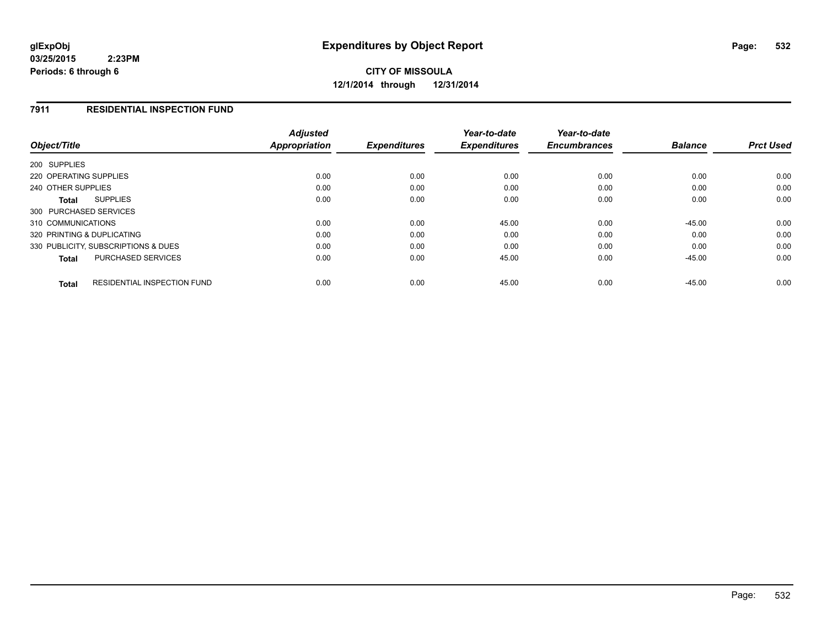**CITY OF MISSOULA 12/1/2014 through 12/31/2014**

### **7911 RESIDENTIAL INSPECTION FUND**

| Object/Title                                       | <b>Adjusted</b><br><b>Appropriation</b> | <b>Expenditures</b> | Year-to-date<br><b>Expenditures</b> | Year-to-date<br><b>Encumbrances</b> | <b>Balance</b> | <b>Prct Used</b> |
|----------------------------------------------------|-----------------------------------------|---------------------|-------------------------------------|-------------------------------------|----------------|------------------|
| 200 SUPPLIES                                       |                                         |                     |                                     |                                     |                |                  |
|                                                    |                                         |                     |                                     |                                     |                |                  |
| 220 OPERATING SUPPLIES                             | 0.00                                    | 0.00                | 0.00                                | 0.00                                | 0.00           | 0.00             |
| 240 OTHER SUPPLIES                                 | 0.00                                    | 0.00                | 0.00                                | 0.00                                | 0.00           | 0.00             |
| <b>SUPPLIES</b><br>Total                           | 0.00                                    | 0.00                | 0.00                                | 0.00                                | 0.00           | 0.00             |
| 300 PURCHASED SERVICES                             |                                         |                     |                                     |                                     |                |                  |
| 310 COMMUNICATIONS                                 | 0.00                                    | 0.00                | 45.00                               | 0.00                                | $-45.00$       | 0.00             |
| 320 PRINTING & DUPLICATING                         | 0.00                                    | 0.00                | 0.00                                | 0.00                                | 0.00           | 0.00             |
| 330 PUBLICITY, SUBSCRIPTIONS & DUES                | 0.00                                    | 0.00                | 0.00                                | 0.00                                | 0.00           | 0.00             |
| <b>PURCHASED SERVICES</b><br><b>Total</b>          | 0.00                                    | 0.00                | 45.00                               | 0.00                                | $-45.00$       | 0.00             |
| <b>RESIDENTIAL INSPECTION FUND</b><br><b>Total</b> | 0.00                                    | 0.00                | 45.00                               | 0.00                                | $-45.00$       | 0.00             |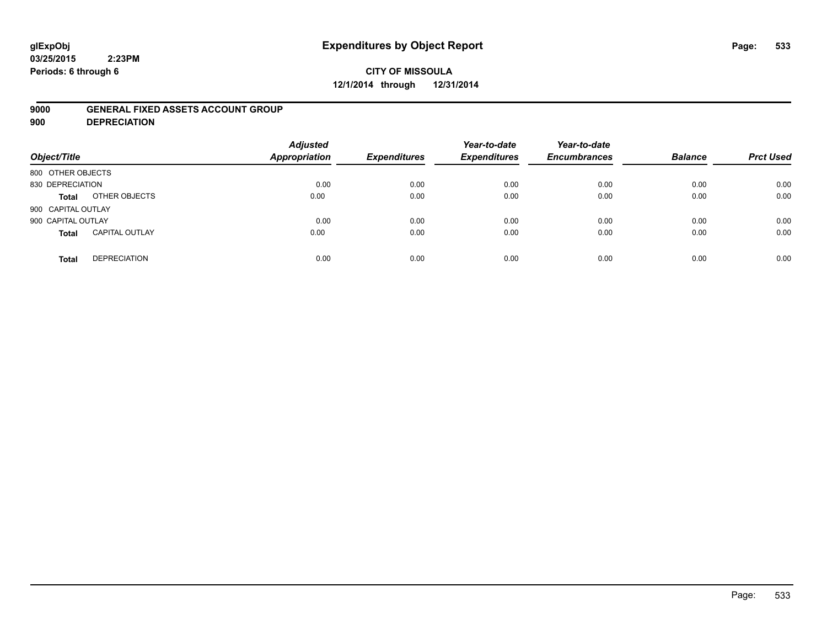# **glExpObj Expenditures by Object Report Page: 533**

#### **03/25/2015 2:23PM Periods: 6 through 6**

## **CITY OF MISSOULA 12/1/2014 through 12/31/2014**

### **9000 GENERAL FIXED ASSETS ACCOUNT GROUP**

**900 DEPRECIATION**

| Object/Title                          | <b>Adjusted</b><br><b>Appropriation</b> | <b>Expenditures</b> | Year-to-date<br><b>Expenditures</b> | Year-to-date<br><b>Encumbrances</b> | <b>Balance</b> | <b>Prct Used</b> |
|---------------------------------------|-----------------------------------------|---------------------|-------------------------------------|-------------------------------------|----------------|------------------|
| 800 OTHER OBJECTS                     |                                         |                     |                                     |                                     |                |                  |
| 830 DEPRECIATION                      | 0.00                                    | 0.00                | 0.00                                | 0.00                                | 0.00           | 0.00             |
| OTHER OBJECTS<br><b>Total</b>         | 0.00                                    | 0.00                | 0.00                                | 0.00                                | 0.00           | 0.00             |
| 900 CAPITAL OUTLAY                    |                                         |                     |                                     |                                     |                |                  |
| 900 CAPITAL OUTLAY                    | 0.00                                    | 0.00                | 0.00                                | 0.00                                | 0.00           | 0.00             |
| <b>CAPITAL OUTLAY</b><br><b>Total</b> | 0.00                                    | 0.00                | 0.00                                | 0.00                                | 0.00           | 0.00             |
| <b>DEPRECIATION</b><br><b>Total</b>   | 0.00                                    | 0.00                | 0.00                                | 0.00                                | 0.00           | 0.00             |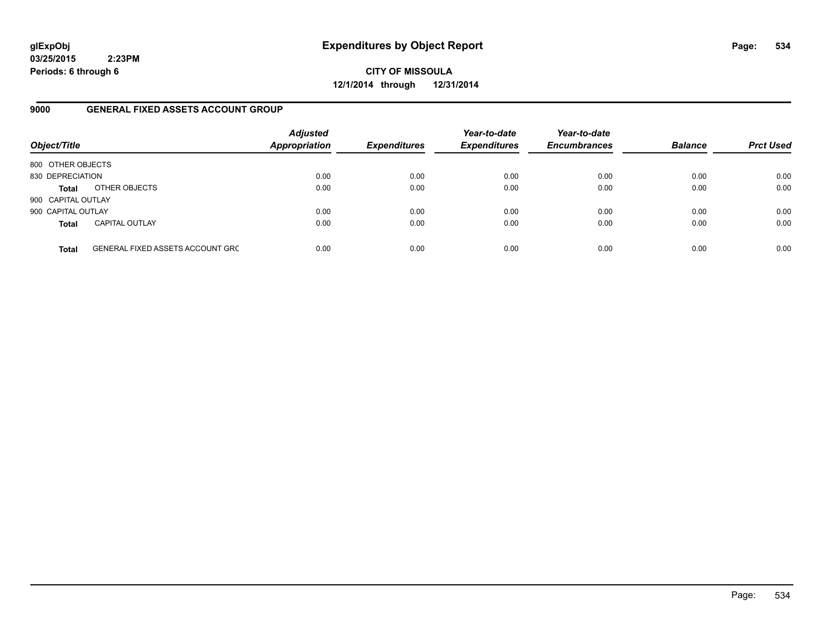**CITY OF MISSOULA 12/1/2014 through 12/31/2014**

### **9000 GENERAL FIXED ASSETS ACCOUNT GROUP**

| Object/Title       |                                         | <b>Adjusted</b><br><b>Appropriation</b> | <b>Expenditures</b> | Year-to-date<br><b>Expenditures</b> | Year-to-date<br><b>Encumbrances</b> | <b>Balance</b> | <b>Prct Used</b> |
|--------------------|-----------------------------------------|-----------------------------------------|---------------------|-------------------------------------|-------------------------------------|----------------|------------------|
| 800 OTHER OBJECTS  |                                         |                                         |                     |                                     |                                     |                |                  |
| 830 DEPRECIATION   |                                         | 0.00                                    | 0.00                | 0.00                                | 0.00                                | 0.00           | 0.00             |
| <b>Total</b>       | OTHER OBJECTS                           | 0.00                                    | 0.00                | 0.00                                | 0.00                                | 0.00           | 0.00             |
| 900 CAPITAL OUTLAY |                                         |                                         |                     |                                     |                                     |                |                  |
| 900 CAPITAL OUTLAY |                                         | 0.00                                    | 0.00                | 0.00                                | 0.00                                | 0.00           | 0.00             |
| <b>Total</b>       | <b>CAPITAL OUTLAY</b>                   | 0.00                                    | 0.00                | 0.00                                | 0.00                                | 0.00           | 0.00             |
| <b>Total</b>       | <b>GENERAL FIXED ASSETS ACCOUNT GRC</b> | 0.00                                    | 0.00                | 0.00                                | 0.00                                | 0.00           | 0.00             |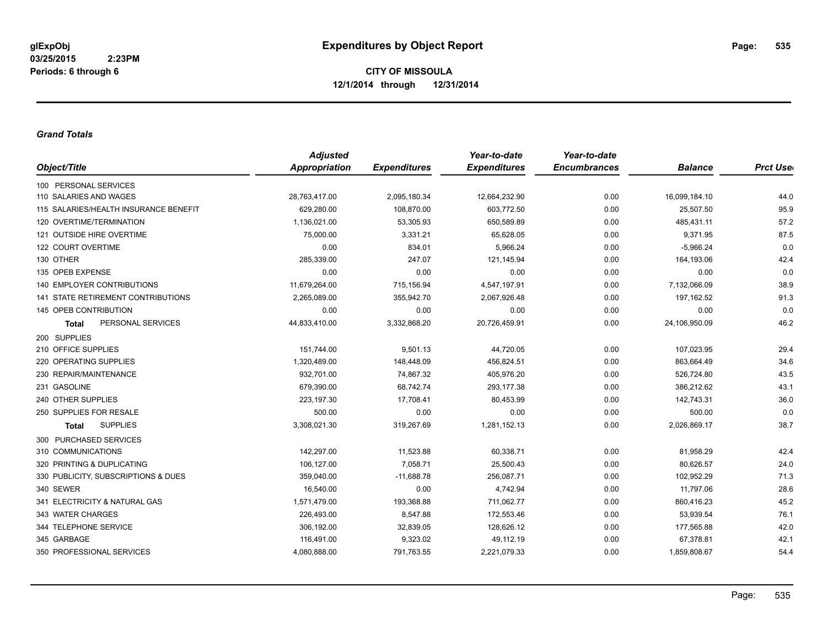#### *Grand Totals*

|                                       | <b>Adjusted</b>      |                     | Year-to-date        | Year-to-date        |                |                  |
|---------------------------------------|----------------------|---------------------|---------------------|---------------------|----------------|------------------|
| Object/Title                          | <b>Appropriation</b> | <b>Expenditures</b> | <b>Expenditures</b> | <b>Encumbrances</b> | <b>Balance</b> | <b>Prct User</b> |
| 100 PERSONAL SERVICES                 |                      |                     |                     |                     |                |                  |
| 110 SALARIES AND WAGES                | 28,763,417.00        | 2,095,180.34        | 12,664,232.90       | 0.00                | 16,099,184.10  | 44.0             |
| 115 SALARIES/HEALTH INSURANCE BENEFIT | 629.280.00           | 108,870.00          | 603.772.50          | 0.00                | 25,507.50      | 95.9             |
| 120 OVERTIME/TERMINATION              | 1,136,021.00         | 53,305.93           | 650,589.89          | 0.00                | 485,431.11     | 57.2             |
| 121 OUTSIDE HIRE OVERTIME             | 75,000.00            | 3,331.21            | 65,628.05           | 0.00                | 9,371.95       | 87.5             |
| 122 COURT OVERTIME                    | 0.00                 | 834.01              | 5,966.24            | 0.00                | $-5,966.24$    | 0.0              |
| 130 OTHER                             | 285,339.00           | 247.07              | 121,145.94          | 0.00                | 164,193.06     | 42.4             |
| 135 OPEB EXPENSE                      | 0.00                 | 0.00                | 0.00                | 0.00                | 0.00           | 0.0              |
| 140 EMPLOYER CONTRIBUTIONS            | 11,679,264.00        | 715,156.94          | 4,547,197.91        | 0.00                | 7,132,066.09   | 38.9             |
| 141 STATE RETIREMENT CONTRIBUTIONS    | 2,265,089.00         | 355,942.70          | 2,067,926.48        | 0.00                | 197,162.52     | 91.3             |
| 145 OPEB CONTRIBUTION                 | 0.00                 | 0.00                | 0.00                | 0.00                | 0.00           | 0.0              |
| PERSONAL SERVICES<br><b>Total</b>     | 44,833,410.00        | 3,332,868.20        | 20,726,459.91       | 0.00                | 24,106,950.09  | 46.2             |
| 200 SUPPLIES                          |                      |                     |                     |                     |                |                  |
| 210 OFFICE SUPPLIES                   | 151,744.00           | 9,501.13            | 44,720.05           | 0.00                | 107,023.95     | 29.4             |
| 220 OPERATING SUPPLIES                | 1,320,489.00         | 148,448.09          | 456,824.51          | 0.00                | 863,664.49     | 34.6             |
| 230 REPAIR/MAINTENANCE                | 932,701.00           | 74,867.32           | 405,976.20          | 0.00                | 526,724.80     | 43.5             |
| 231 GASOLINE                          | 679,390.00           | 68,742.74           | 293,177.38          | 0.00                | 386,212.62     | 43.1             |
| 240 OTHER SUPPLIES                    | 223,197.30           | 17,708.41           | 80,453.99           | 0.00                | 142,743.31     | 36.0             |
| 250 SUPPLIES FOR RESALE               | 500.00               | 0.00                | 0.00                | 0.00                | 500.00         | 0.0              |
| <b>SUPPLIES</b><br><b>Total</b>       | 3,308,021.30         | 319,267.69          | 1,281,152.13        | 0.00                | 2,026,869.17   | 38.7             |
| 300 PURCHASED SERVICES                |                      |                     |                     |                     |                |                  |
| 310 COMMUNICATIONS                    | 142,297.00           | 11,523.88           | 60,338.71           | 0.00                | 81,958.29      | 42.4             |
| 320 PRINTING & DUPLICATING            | 106,127.00           | 7,058.71            | 25,500.43           | 0.00                | 80,626.57      | 24.0             |
| 330 PUBLICITY, SUBSCRIPTIONS & DUES   | 359,040.00           | $-11,688.78$        | 256,087.71          | 0.00                | 102,952.29     | 71.3             |
| 340 SEWER                             | 16,540.00            | 0.00                | 4,742.94            | 0.00                | 11,797.06      | 28.6             |
| 341 ELECTRICITY & NATURAL GAS         | 1,571,479.00         | 193,368.88          | 711,062.77          | 0.00                | 860,416.23     | 45.2             |
| 343 WATER CHARGES                     | 226,493.00           | 8,547.88            | 172,553.46          | 0.00                | 53,939.54      | 76.1             |
| 344 TELEPHONE SERVICE                 | 306,192.00           | 32,839.05           | 128,626.12          | 0.00                | 177,565.88     | 42.0             |
| 345 GARBAGE                           | 116,491.00           | 9,323.02            | 49,112.19           | 0.00                | 67,378.81      | 42.1             |
| 350 PROFESSIONAL SERVICES             | 4,080,888.00         | 791,763.55          | 2,221,079.33        | 0.00                | 1,859,808.67   | 54.4             |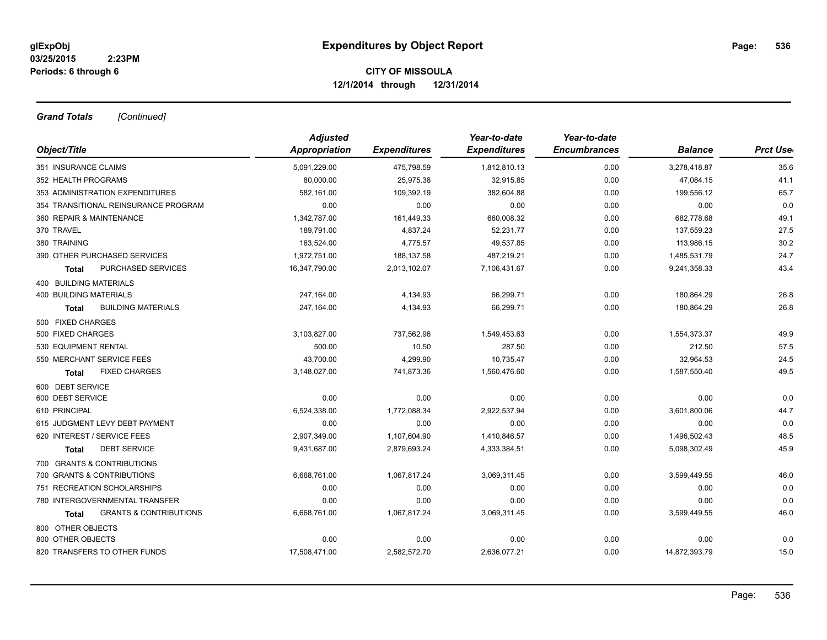*Grand Totals [Continued]*

|                                                   | <b>Adjusted</b> |                     | Year-to-date        | Year-to-date        |                |                  |
|---------------------------------------------------|-----------------|---------------------|---------------------|---------------------|----------------|------------------|
| Object/Title                                      | Appropriation   | <b>Expenditures</b> | <b>Expenditures</b> | <b>Encumbrances</b> | <b>Balance</b> | <b>Prct Uset</b> |
| 351 INSURANCE CLAIMS                              | 5,091,229.00    | 475,798.59          | 1,812,810.13        | 0.00                | 3,278,418.87   | 35.6             |
| 352 HEALTH PROGRAMS                               | 80,000.00       | 25,975.38           | 32,915.85           | 0.00                | 47,084.15      | 41.1             |
| 353 ADMINISTRATION EXPENDITURES                   | 582.161.00      | 109,392.19          | 382.604.88          | 0.00                | 199,556.12     | 65.7             |
| 354 TRANSITIONAL REINSURANCE PROGRAM              | 0.00            | 0.00                | 0.00                | 0.00                | 0.00           | 0.0              |
| 360 REPAIR & MAINTENANCE                          | 1,342,787.00    | 161,449.33          | 660,008.32          | 0.00                | 682,778.68     | 49.1             |
| 370 TRAVEL                                        | 189,791.00      | 4,837.24            | 52,231.77           | 0.00                | 137,559.23     | 27.5             |
| 380 TRAINING                                      | 163,524.00      | 4,775.57            | 49,537.85           | 0.00                | 113,986.15     | 30.2             |
| 390 OTHER PURCHASED SERVICES                      | 1,972,751.00    | 188.137.58          | 487,219.21          | 0.00                | 1,485,531.79   | 24.7             |
| PURCHASED SERVICES<br><b>Total</b>                | 16,347,790.00   | 2,013,102.07        | 7,106,431.67        | 0.00                | 9,241,358.33   | 43.4             |
| 400 BUILDING MATERIALS                            |                 |                     |                     |                     |                |                  |
| <b>400 BUILDING MATERIALS</b>                     | 247,164.00      | 4,134.93            | 66,299.71           | 0.00                | 180,864.29     | 26.8             |
| <b>BUILDING MATERIALS</b><br><b>Total</b>         | 247,164.00      | 4,134.93            | 66.299.71           | 0.00                | 180,864.29     | 26.8             |
| 500 FIXED CHARGES                                 |                 |                     |                     |                     |                |                  |
| 500 FIXED CHARGES                                 | 3,103,827.00    | 737,562.96          | 1,549,453.63        | 0.00                | 1,554,373.37   | 49.9             |
| 530 EQUIPMENT RENTAL                              | 500.00          | 10.50               | 287.50              | 0.00                | 212.50         | 57.5             |
| 550 MERCHANT SERVICE FEES                         | 43,700.00       | 4,299.90            | 10,735.47           | 0.00                | 32,964.53      | 24.5             |
| <b>FIXED CHARGES</b><br>Total                     | 3,148,027.00    | 741,873.36          | 1,560,476.60        | 0.00                | 1,587,550.40   | 49.5             |
| 600 DEBT SERVICE                                  |                 |                     |                     |                     |                |                  |
| 600 DEBT SERVICE                                  | 0.00            | 0.00                | 0.00                | 0.00                | 0.00           | 0.0              |
| 610 PRINCIPAL                                     | 6,524,338.00    | 1,772,088.34        | 2,922,537.94        | 0.00                | 3,601,800.06   | 44.7             |
| 615 JUDGMENT LEVY DEBT PAYMENT                    | 0.00            | 0.00                | 0.00                | 0.00                | 0.00           | 0.0              |
| 620 INTEREST / SERVICE FEES                       | 2,907,349.00    | 1,107,604.90        | 1,410,846.57        | 0.00                | 1,496,502.43   | 48.5             |
| <b>DEBT SERVICE</b><br><b>Total</b>               | 9,431,687.00    | 2,879,693.24        | 4,333,384.51        | 0.00                | 5,098,302.49   | 45.9             |
| 700 GRANTS & CONTRIBUTIONS                        |                 |                     |                     |                     |                |                  |
| 700 GRANTS & CONTRIBUTIONS                        | 6,668,761.00    | 1,067,817.24        | 3,069,311.45        | 0.00                | 3,599,449.55   | 46.0             |
| 751 RECREATION SCHOLARSHIPS                       | 0.00            | 0.00                | 0.00                | 0.00                | 0.00           | 0.0              |
| 780 INTERGOVERNMENTAL TRANSFER                    | 0.00            | 0.00                | 0.00                | 0.00                | 0.00           | 0.0              |
| <b>GRANTS &amp; CONTRIBUTIONS</b><br><b>Total</b> | 6,668,761.00    | 1,067,817.24        | 3,069,311.45        | 0.00                | 3,599,449.55   | 46.0             |
| 800 OTHER OBJECTS                                 |                 |                     |                     |                     |                |                  |
| 800 OTHER OBJECTS                                 | 0.00            | 0.00                | 0.00                | 0.00                | 0.00           | 0.0              |
| 820 TRANSFERS TO OTHER FUNDS                      | 17,508,471.00   | 2,582,572.70        | 2,636,077.21        | 0.00                | 14,872,393.79  | 15.0             |